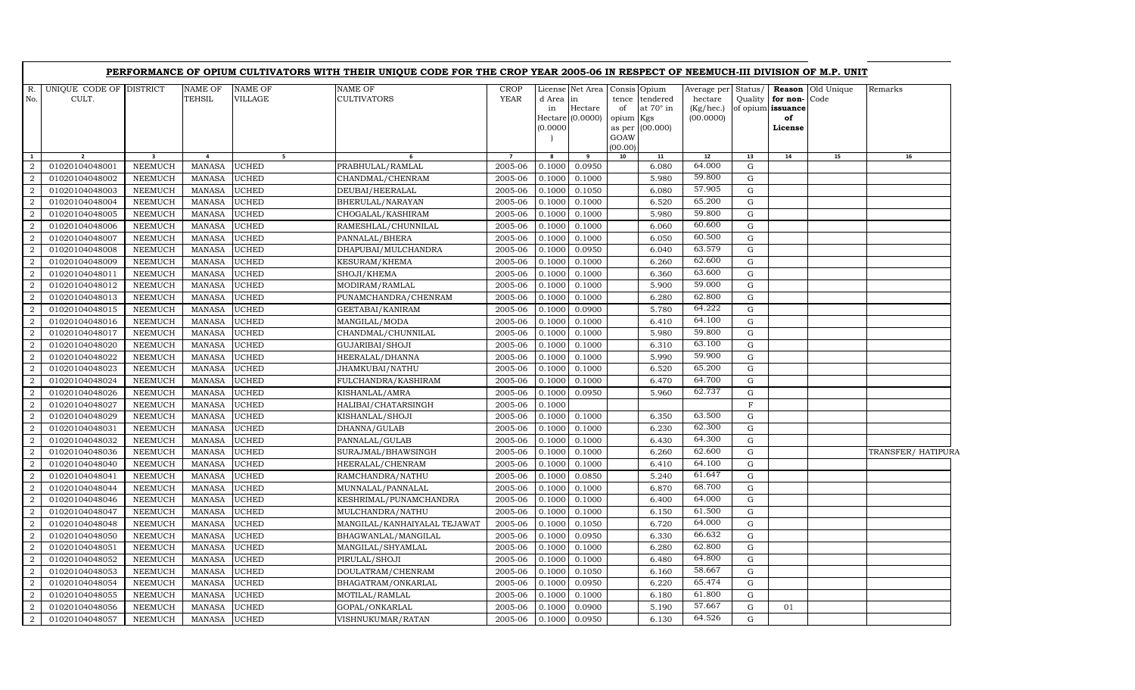|                                  |                                  |                                  |                                |                              | PERFORMANCE OF OPIUM CULTIVATORS WITH THEIR UNIQUE CODE FOR THE CROP YEAR 2005-06 IN RESPECT OF NEEMUCH-III DIVISION OF M.P. UNIT |                            |                          |                                                                    |                                                   |                                          |                                                  |                    |                                                    |                          |                    |
|----------------------------------|----------------------------------|----------------------------------|--------------------------------|------------------------------|-----------------------------------------------------------------------------------------------------------------------------------|----------------------------|--------------------------|--------------------------------------------------------------------|---------------------------------------------------|------------------------------------------|--------------------------------------------------|--------------------|----------------------------------------------------|--------------------------|--------------------|
| R.<br>No.                        | UNIQUE CODE OF DISTRICT<br>CULT. |                                  | <b>NAME OF</b><br>TEHSIL       | <b>NAME OF</b><br>VILLAGE    | <b>NAME OF</b><br><b>CULTIVATORS</b>                                                                                              | <b>CROP</b><br><b>YEAR</b> | d Area<br>in<br>(0.0000) | License Net Area Consis Opium<br>in<br>Hectare<br>Hectare (0.0000) | tence<br>of<br>opium<br>as per<br>GOAW<br>(00.00) | tendered<br>at 70° in<br>Kgs<br>(00.000) | Average per<br>hectare<br>(Kg/hec.)<br>(00.0000) | Status/<br>Quality | for non-Code<br>of opium issuance<br>of<br>License | <b>Reason</b> Old Unique | Remarks            |
| $\mathbf{1}$                     | $\overline{2}$                   | $\overline{\mathbf{3}}$          | $\overline{a}$                 | 5 <sub>1</sub>               | 6                                                                                                                                 | $\overline{7}$             | 8                        | 9                                                                  | 10                                                | 11                                       | 12                                               | 13                 | 14                                                 | 15                       | 16                 |
| 2                                | 01020104048001                   | <b>NEEMUCH</b>                   | <b>MANASA</b>                  | <b>UCHED</b>                 | PRABHULAL/RAMLAL                                                                                                                  | 2005-06                    | 0.1000                   | 0.0950                                                             |                                                   | 6.080                                    | 64.000                                           | G                  |                                                    |                          |                    |
| 2                                | 01020104048002                   | <b>NEEMUCH</b>                   | <b>MANASA</b>                  | <b>UCHED</b>                 | CHANDMAL/CHENRAM                                                                                                                  | 2005-06                    | 0.1000                   | 0.1000                                                             |                                                   | 5.980                                    | 59.800                                           | G                  |                                                    |                          |                    |
| 2                                | 01020104048003                   | <b>NEEMUCH</b>                   | <b>MANASA</b>                  | <b>UCHED</b>                 | DEUBAI/HEERALAL                                                                                                                   | 2005-06                    | 0.1000                   | 0.1050                                                             |                                                   | 6.080                                    | 57.905<br>65.200                                 | G                  |                                                    |                          |                    |
| $\overline{a}$                   | 01020104048004                   | <b>NEEMUCH</b>                   | <b>MANASA</b>                  | <b>UCHED</b>                 | BHERULAL/NARAYAN                                                                                                                  | 2005-06                    | 0.1000                   | 0.1000                                                             |                                                   | 6.520                                    | 59.800                                           | ${\bf G}$          |                                                    |                          |                    |
| $\overline{a}$                   | 01020104048005                   | <b>NEEMUCH</b>                   | <b>MANASA</b>                  | <b>UCHED</b>                 | CHOGALAL/KASHIRAM                                                                                                                 | 2005-06                    | 0.1000                   | 0.1000                                                             |                                                   | 5.980                                    | 60.600                                           | ${\rm G}$          |                                                    |                          |                    |
| $\overline{2}$                   | 01020104048006                   | <b>NEEMUCH</b>                   | <b>MANASA</b>                  | <b>UCHED</b>                 | RAMESHLAL/CHUNNILAL                                                                                                               | 2005-06                    | 0.1000                   | 0.1000                                                             |                                                   | 6.060                                    | 60.500                                           | $\mathbf G$        |                                                    |                          |                    |
| 2                                | 01020104048007                   | <b>NEEMUCH</b>                   | <b>MANASA</b>                  | <b>UCHED</b>                 | PANNALAL/BHERA                                                                                                                    | 2005-06                    | 0.1000                   | 0.1000                                                             |                                                   | 6.050                                    | 63.579                                           | ${\rm G}$          |                                                    |                          |                    |
| $\overline{a}$                   | 01020104048008                   | <b>NEEMUCH</b>                   | <b>MANASA</b>                  | <b>UCHED</b>                 | DHAPUBAI/MULCHANDRA                                                                                                               | 2005-06                    | 0.1000                   | 0.0950                                                             |                                                   | 6.040                                    | 62.600                                           | ${\rm G}$          |                                                    |                          |                    |
| $\overline{2}$                   | 01020104048009                   | <b>NEEMUCH</b>                   | <b>MANASA</b>                  | <b>UCHED</b>                 | KESURAM/KHEMA                                                                                                                     | 2005-06                    | 0.1000                   | 0.1000                                                             |                                                   | 6.260                                    | 63.600                                           | ${\rm G}$          |                                                    |                          |                    |
| 2<br>$\overline{2}$              | 01020104048011<br>01020104048012 | <b>NEEMUCH</b>                   | <b>MANASA</b><br><b>MANASA</b> | <b>UCHED</b><br><b>UCHED</b> | SHOJI/KHEMA                                                                                                                       | 2005-06                    | 0.1000                   | 0.1000                                                             |                                                   | 6.360<br>5.900                           | 59.000                                           | G<br>$\mathbf G$   |                                                    |                          |                    |
|                                  | 01020104048013                   | <b>NEEMUCH</b><br><b>NEEMUCH</b> | <b>MANASA</b>                  | <b>UCHED</b>                 | MODIRAM/RAMLAL                                                                                                                    | 2005-06<br>2005-06         | 0.1000<br>0.1000         | 0.1000                                                             |                                                   | 6.280                                    | 62.800                                           | $\mathbf G$        |                                                    |                          |                    |
| $\overline{a}$<br>2              | 01020104048015                   |                                  | <b>MANASA</b>                  | <b>UCHED</b>                 | PUNAMCHANDRA/CHENRAM                                                                                                              | 2005-06                    | 0.1000                   | 0.1000<br>0.0900                                                   |                                                   | 5.780                                    | 64.222                                           | ${\rm G}$          |                                                    |                          |                    |
| 2                                | 01020104048016                   | <b>NEEMUCH</b><br><b>NEEMUCH</b> | <b>MANASA</b>                  | <b>UCHED</b>                 | GEETABAI/KANIRAM<br>MANGILAL/MODA                                                                                                 | 2005-06                    | 0.1000                   | 0.1000                                                             |                                                   | 6.410                                    | 64.100                                           | G                  |                                                    |                          |                    |
| $\overline{2}$                   | 01020104048017                   | <b>NEEMUCH</b>                   | <b>MANASA</b>                  | <b>UCHED</b>                 | CHANDMAL/CHUNNILAL                                                                                                                | 2005-06                    | 0.1000                   | 0.1000                                                             |                                                   | 5.980                                    | 59.800                                           | ${\rm G}$          |                                                    |                          |                    |
| $\overline{2}$                   | 01020104048020                   |                                  |                                | <b>UCHED</b>                 |                                                                                                                                   | 2005-06                    | 0.1000                   | 0.1000                                                             |                                                   |                                          | 63.100                                           | ${\rm G}$          |                                                    |                          |                    |
|                                  | 01020104048022                   | NEEMUCH<br><b>NEEMUCH</b>        | <b>MANASA</b><br><b>MANASA</b> | <b>UCHED</b>                 | GUJARIBAI/SHOJI<br>HEERALAL/DHANNA                                                                                                | 2005-06                    | 0.1000                   | 0.1000                                                             |                                                   | 6.310<br>5.990                           | 59.900                                           | ${\rm G}$          |                                                    |                          |                    |
| $\overline{a}$<br>$\overline{a}$ | 01020104048023                   | <b>NEEMUCH</b>                   | <b>MANASA</b>                  | <b>UCHED</b>                 | JHAMKUBAI/NATHU                                                                                                                   | 2005-06                    | 0.1000                   | 0.1000                                                             |                                                   | 6.520                                    | 65.200                                           | G                  |                                                    |                          |                    |
| 2                                | 01020104048024                   | <b>NEEMUCH</b>                   | <b>MANASA</b>                  | <b>UCHED</b>                 | FULCHANDRA/KASHIRAM                                                                                                               | 2005-06                    | 0.1000                   | 0.1000                                                             |                                                   | 6.470                                    | 64.700                                           | G                  |                                                    |                          |                    |
| $\overline{a}$                   | 01020104048026                   | <b>NEEMUCH</b>                   | <b>MANASA</b>                  | <b>UCHED</b>                 |                                                                                                                                   | 2005-06                    | 0.1000                   | 0.0950                                                             |                                                   | 5.960                                    | 62.737                                           | G                  |                                                    |                          |                    |
| 2                                | 01020104048027                   | NEEMUCH                          | <b>MANASA</b>                  | <b>UCHED</b>                 | KISHANLAL/AMRA<br>HALIBAI/CHATARSINGH                                                                                             | 2005-06                    | 0.1000                   |                                                                    |                                                   |                                          |                                                  | $\mathbf F$        |                                                    |                          |                    |
|                                  | 01020104048029                   | <b>NEEMUCH</b>                   | <b>MANASA</b>                  | <b>UCHED</b>                 |                                                                                                                                   | 2005-06                    |                          |                                                                    |                                                   | 6.350                                    | 63.500                                           | ${\rm G}$          |                                                    |                          |                    |
| $\overline{a}$                   | 01020104048031                   |                                  |                                | <b>UCHED</b>                 | KISHANLAL/SHOJI                                                                                                                   | 2005-06                    | 0.1000<br>0.1000         | 0.1000                                                             |                                                   | 6.230                                    | 62.300                                           | ${\bf G}$          |                                                    |                          |                    |
| $\overline{a}$<br>$\overline{a}$ |                                  | <b>NEEMUCH</b>                   | <b>MANASA</b><br><b>MANASA</b> | <b>UCHED</b>                 | DHANNA/GULAB                                                                                                                      | 2005-06                    | 0.1000                   | 0.1000<br>0.1000                                                   |                                                   | 6.430                                    | 64.300                                           | ${\rm G}$          |                                                    |                          |                    |
| $\overline{a}$                   | 01020104048032<br>01020104048036 | <b>NEEMUCH</b><br><b>NEEMUCH</b> | <b>MANASA</b>                  | <b>UCHED</b>                 | PANNALAL/GULAB                                                                                                                    | 2005-06                    | 0.1000                   | 0.1000                                                             |                                                   | 6.260                                    | 62.600                                           | G                  |                                                    |                          |                    |
| 2                                | 01020104048040                   | <b>NEEMUCH</b>                   | <b>MANASA</b>                  | <b>UCHED</b>                 | SURAJMAL/BHAWSINGH                                                                                                                | 2005-06                    | 0.1000                   | 0.1000                                                             |                                                   | 6.410                                    | 64.100                                           | ${\rm G}$          |                                                    |                          | TRANSFER/ HATIPURA |
| $\overline{a}$                   | 01020104048041                   | <b>NEEMUCH</b>                   | <b>MANASA</b>                  | <b>UCHED</b>                 | HEERALAL/CHENRAM<br>RAMCHANDRA/NATHU                                                                                              | 2005-06                    | 0.1000                   | 0.0850                                                             |                                                   | 5.240                                    | 61.647                                           | $\mathbf G$        |                                                    |                          |                    |
| $\overline{a}$                   | 01020104048044                   | <b>NEEMUCH</b>                   | <b>MANASA</b>                  | <b>UCHED</b>                 |                                                                                                                                   | 2005-06                    | 0.1000                   | 0.1000                                                             |                                                   | 6.870                                    | 68.700                                           | ${\bf G}$          |                                                    |                          |                    |
|                                  | 01020104048046                   | <b>NEEMUCH</b>                   | <b>MANASA</b>                  | <b>UCHED</b>                 | MUNNALAL/PANNALAL                                                                                                                 | 2005-06                    | 0.1000                   |                                                                    |                                                   | 6.400                                    | 64.000                                           | ${\rm G}$          |                                                    |                          |                    |
| $\overline{a}$<br>2              | 01020104048047                   | <b>NEEMUCH</b>                   | <b>MANASA</b>                  | <b>UCHED</b>                 | KESHRIMAL/PUNAMCHANDRA<br>MULCHANDRA/NATHU                                                                                        | 2005-06                    | 0.1000                   | 0.1000<br>0.1000                                                   |                                                   | 6.150                                    | 61.500                                           | G                  |                                                    |                          |                    |
| $\overline{a}$                   | 01020104048048                   | <b>NEEMUCH</b>                   | <b>MANASA</b>                  | <b>UCHED</b>                 | MANGILAL/KANHAIYALAL TEJAWAT                                                                                                      | 2005-06                    | 0.1000                   | 0.1050                                                             |                                                   | 6.720                                    | 64.000                                           | ${\bf G}$          |                                                    |                          |                    |
| $\overline{2}$                   | 01020104048050                   | <b>NEEMUCH</b>                   | <b>MANASA</b>                  | <b>UCHED</b>                 | BHAGWANLAL/MANGILAL                                                                                                               | 2005-06                    | 0.1000                   | 0.0950                                                             |                                                   | 6.330                                    | 66.632                                           | G                  |                                                    |                          |                    |
| $\overline{a}$                   | 01020104048051                   | <b>NEEMUCH</b>                   | <b>MANASA</b>                  | <b>UCHED</b>                 | MANGILAL/SHYAMLAL                                                                                                                 | 2005-06                    | 0.1000                   | 0.1000                                                             |                                                   | 6.280                                    | 62.800                                           | ${\bf G}$          |                                                    |                          |                    |
| $\overline{a}$                   | 01020104048052                   | <b>NEEMUCH</b>                   | <b>MANASA</b>                  | <b>UCHED</b>                 | PIRULAL/SHOJI                                                                                                                     | 2005-06                    | 0.1000                   | 0.1000                                                             |                                                   | 6.480                                    | 64.800                                           | G                  |                                                    |                          |                    |
| 2                                | 01020104048053                   | <b>NEEMUCH</b>                   | <b>MANASA</b>                  | <b>UCHED</b>                 | DOULATRAM/CHENRAM                                                                                                                 | 2005-06                    | 0.1000                   | 0.1050                                                             |                                                   | 6.160                                    | 58.667                                           | G                  |                                                    |                          |                    |
| $\overline{a}$                   | 01020104048054                   | <b>NEEMUCH</b>                   | <b>MANASA</b>                  | <b>UCHED</b>                 | BHAGATRAM/ONKARLAL                                                                                                                | 2005-06                    | 0.1000                   | 0.0950                                                             |                                                   | 6.220                                    | 65.474                                           | ${\bf G}$          |                                                    |                          |                    |
| $\overline{2}$                   | 01020104048055                   | <b>NEEMUCH</b>                   | <b>MANASA</b>                  | <b>UCHED</b>                 | MOTILAL/RAMLAL                                                                                                                    | 2005-06                    | 0.1000                   | 0.1000                                                             |                                                   | 6.180                                    | 61.800                                           | $\mathbf G$        |                                                    |                          |                    |
| $\overline{a}$                   | 01020104048056                   | <b>NEEMUCH</b>                   | <b>MANASA</b>                  | <b>UCHED</b>                 | GOPAL/ONKARLAL                                                                                                                    | 2005-06                    | 0.1000                   | 0.0900                                                             |                                                   | 5.190                                    | 57.667                                           | ${\rm G}$          | 01                                                 |                          |                    |
| $\overline{a}$                   | 01020104048057                   | NEEMUCH                          | MANASA                         | <b>UCHED</b>                 | VISHNUKUMAR/RATAN                                                                                                                 | 2005-06                    | 0.1000                   | 0.0950                                                             |                                                   | 6.130                                    | 64.526                                           | G                  |                                                    |                          |                    |
|                                  |                                  |                                  |                                |                              |                                                                                                                                   |                            |                          |                                                                    |                                                   |                                          |                                                  |                    |                                                    |                          |                    |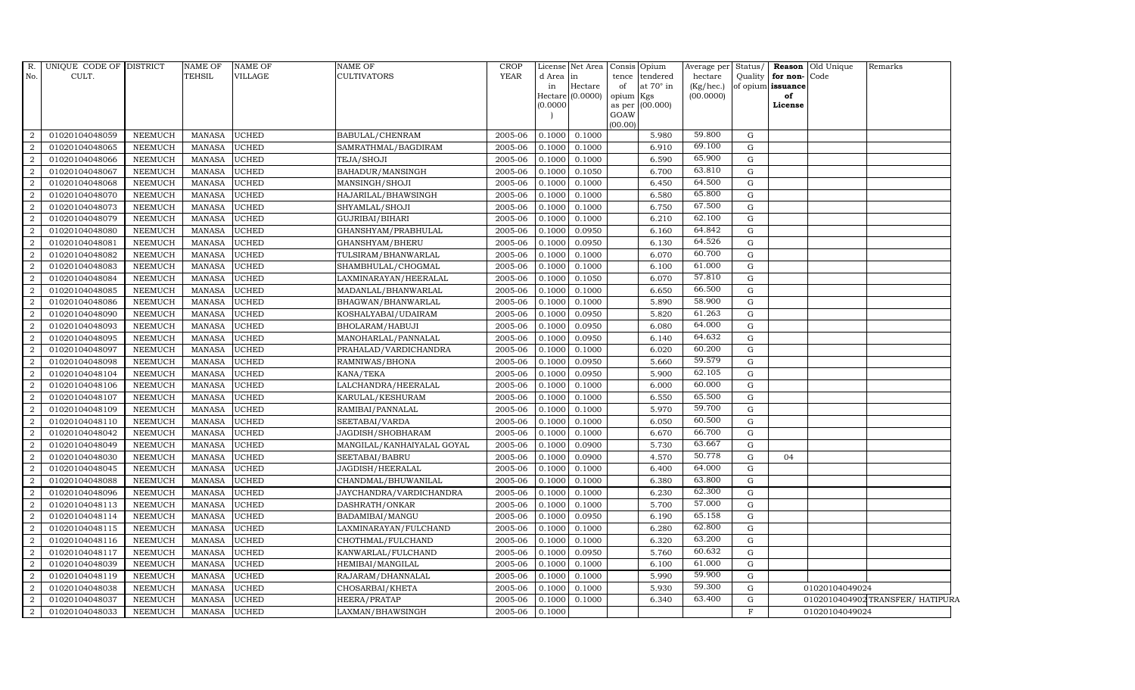| $R$ .<br>No.   | UNIQUE CODE OF DISTRICT<br>CULT. |                | NAME OF<br><b>TEHSIL</b> | <b>NAME OF</b><br>VILLAGE | <b>NAME OF</b><br><b>CULTIVATORS</b> | <b>CROP</b><br><b>YEAR</b> | d Area<br>in<br>(0.0000) | License Net Area Consis Opium<br>lin<br>Hectare<br>Hectare (0.0000) | tence<br>of<br>opium Kgs<br>as per<br>GOAW | tendered<br>at $70^\circ$ in<br>(00.000) | Average per Status/<br>hectare<br>(Kg/hec.)<br>(00.0000) |              | Quality for non-Code<br>of opium issuance<br>of<br>License | <b>Reason</b> Old Unique | Remarks                        |
|----------------|----------------------------------|----------------|--------------------------|---------------------------|--------------------------------------|----------------------------|--------------------------|---------------------------------------------------------------------|--------------------------------------------|------------------------------------------|----------------------------------------------------------|--------------|------------------------------------------------------------|--------------------------|--------------------------------|
|                |                                  |                |                          |                           |                                      |                            |                          |                                                                     | (00.00)                                    |                                          |                                                          |              |                                                            |                          |                                |
| 2              | 01020104048059                   | <b>NEEMUCH</b> | MANASA                   | <b>UCHED</b>              | BABULAL/CHENRAM                      | 2005-06                    | 0.1000                   | 0.1000                                                              |                                            | 5.980                                    | 59.800                                                   | G            |                                                            |                          |                                |
| $\overline{2}$ | 01020104048065                   | <b>NEEMUCH</b> | <b>MANASA</b>            | <b>UCHED</b>              | SAMRATHMAL/BAGDIRAM                  | 2005-06                    | 0.1000                   | 0.1000                                                              |                                            | 6.910                                    | 69.100                                                   | G            |                                                            |                          |                                |
| $\overline{2}$ | 01020104048066                   | <b>NEEMUCH</b> | <b>MANASA</b>            | <b>UCHED</b>              | TEJA/SHOJI                           | 2005-06                    | 0.1000                   | 0.1000                                                              |                                            | 6.590                                    | 65.900                                                   | G            |                                                            |                          |                                |
| $\overline{2}$ | 01020104048067                   | <b>NEEMUCH</b> | <b>MANASA</b>            | <b>UCHED</b>              | BAHADUR/MANSINGH                     | 2005-06                    | 0.1000                   | 0.1050                                                              |                                            | 6.700                                    | 63.810                                                   | G            |                                                            |                          |                                |
| 2              | 01020104048068                   | <b>NEEMUCH</b> | <b>MANASA</b>            | <b>UCHED</b>              | MANSINGH/SHOJI                       | 2005-06                    | 0.1000                   | 0.1000                                                              |                                            | 6.450                                    | 64.500                                                   | G            |                                                            |                          |                                |
| 2              | 01020104048070                   | <b>NEEMUCH</b> | <b>MANASA</b>            | <b>UCHED</b>              | HAJARILAL/BHAWSINGH                  | 2005-06                    | 0.1000                   | 0.1000                                                              |                                            | 6.580                                    | 65.800                                                   | G            |                                                            |                          |                                |
| 2              | 01020104048073                   | <b>NEEMUCH</b> | <b>MANASA</b>            | <b>UCHED</b>              | SHYAMLAL/SHOJI                       | 2005-06                    | 0.1000                   | 0.1000                                                              |                                            | 6.750                                    | 67.500                                                   | G            |                                                            |                          |                                |
| 2              | 01020104048079                   | <b>NEEMUCH</b> | <b>MANASA</b>            | <b>UCHED</b>              | GUJRIBAI/BIHARI                      | 2005-06                    | 0.1000                   | 0.1000                                                              |                                            | 6.210                                    | 62.100                                                   | G            |                                                            |                          |                                |
| $\overline{2}$ | 01020104048080                   | <b>NEEMUCH</b> | <b>MANASA</b>            | <b>UCHED</b>              | GHANSHYAM/PRABHULAL                  | 2005-06                    | 0.1000                   | 0.0950                                                              |                                            | 6.160                                    | 64.842                                                   | G            |                                                            |                          |                                |
| 2              | 01020104048081                   | <b>NEEMUCH</b> | <b>MANASA</b>            | <b>UCHED</b>              | GHANSHYAM/BHERU                      | $2005 - 06$                | 0.1000                   | 0.0950                                                              |                                            | 6.130                                    | 64.526                                                   | G            |                                                            |                          |                                |
| 2              | 01020104048082                   | <b>NEEMUCH</b> | <b>MANASA</b>            | <b>UCHED</b>              | TULSIRAM/BHANWARLAL                  | 2005-06                    | 0.1000                   | 0.1000                                                              |                                            | 6.070                                    | 60.700                                                   | G            |                                                            |                          |                                |
| $\overline{2}$ | 01020104048083                   | <b>NEEMUCH</b> | <b>MANASA</b>            | <b>UCHED</b>              | SHAMBHULAL/CHOGMAL                   | 2005-06                    | 0.1000                   | 0.1000                                                              |                                            | 6.100                                    | 61.000                                                   | ${\rm G}$    |                                                            |                          |                                |
| 2              | 01020104048084                   | <b>NEEMUCH</b> | <b>MANASA</b>            | <b>UCHED</b>              | LAXMINARAYAN/HEERALAL                | 2005-06                    | 0.1000                   | 0.1050                                                              |                                            | 6.070                                    | 57.810                                                   | G            |                                                            |                          |                                |
| $\overline{2}$ | 01020104048085                   | <b>NEEMUCH</b> | <b>MANASA</b>            | <b>UCHED</b>              | MADANLAL/BHANWARLAL                  | 2005-06                    | 0.1000                   | 0.1000                                                              |                                            | 6.650                                    | 66.500                                                   | G            |                                                            |                          |                                |
| 2              | 01020104048086                   | NEEMUCH        | <b>MANASA</b>            | <b>UCHED</b>              | BHAGWAN/BHANWARLAL                   | 2005-06                    | 0.1000                   | 0.1000                                                              |                                            | 5.890                                    | 58.900                                                   | G            |                                                            |                          |                                |
| $\overline{2}$ | 01020104048090                   | <b>NEEMUCH</b> | <b>MANASA</b>            | <b>UCHED</b>              | KOSHALYABAI/UDAIRAM                  | 2005-06                    | 0.1000                   | 0.0950                                                              |                                            | 5.820                                    | 61.263                                                   | G            |                                                            |                          |                                |
| 2              | 01020104048093                   | <b>NEEMUCH</b> | <b>MANASA</b>            | <b>UCHED</b>              | BHOLARAM/HABUJI                      | 2005-06                    | 0.1000                   | 0.0950                                                              |                                            | 6.080                                    | 64.000                                                   | G            |                                                            |                          |                                |
| 2              | 01020104048095                   | NEEMUCH        | <b>MANASA</b>            | <b>UCHED</b>              | MANOHARLAL/PANNALAL                  | 2005-06                    | 0.1000                   | 0.0950                                                              |                                            | 6.140                                    | 64.632                                                   | G            |                                                            |                          |                                |
| $\overline{2}$ | 01020104048097                   | <b>NEEMUCH</b> | <b>MANASA</b>            | <b>UCHED</b>              | PRAHALAD/VARDICHANDRA                | 2005-06                    | 0.1000                   | 0.1000                                                              |                                            | 6.020                                    | 60.200                                                   | $\mathbf G$  |                                                            |                          |                                |
| $\overline{2}$ | 01020104048098                   | <b>NEEMUCH</b> | <b>MANASA</b>            | <b>UCHED</b>              | RAMNIWAS/BHONA                       | 2005-06                    | 0.1000                   | 0.0950                                                              |                                            | 5.660                                    | 59.579                                                   | G            |                                                            |                          |                                |
| $\overline{2}$ | 01020104048104                   | <b>NEEMUCH</b> | <b>MANASA</b>            | <b>UCHED</b>              | KANA/TEKA                            | 2005-06                    | 0.1000                   | 0.0950                                                              |                                            | 5.900                                    | 62.105                                                   | G            |                                                            |                          |                                |
| 2              | 01020104048106                   | <b>NEEMUCH</b> | <b>MANASA</b>            | <b>UCHED</b>              | LALCHANDRA/HEERALAL                  | 2005-06                    | 0.1000                   | 0.1000                                                              |                                            | 6.000                                    | 60.000                                                   | G            |                                                            |                          |                                |
| $\overline{a}$ | 01020104048107                   | <b>NEEMUCH</b> | <b>MANASA</b>            | <b>UCHED</b>              | KARULAL/KESHURAM                     | 2005-06                    | 0.1000                   | 0.1000                                                              |                                            | 6.550                                    | 65.500                                                   | ${\rm G}$    |                                                            |                          |                                |
| $\overline{2}$ | 01020104048109                   | <b>NEEMUCH</b> | <b>MANASA</b>            | <b>UCHED</b>              | RAMIBAI/PANNALAL                     | 2005-06                    | 0.1000                   | 0.1000                                                              |                                            | 5.970                                    | 59.700                                                   | $\mathbf G$  |                                                            |                          |                                |
| $\overline{2}$ | 01020104048110                   | <b>NEEMUCH</b> | <b>MANASA</b>            | <b>UCHED</b>              | SEETABAI/VARDA                       | 2005-06                    | 0.1000                   | 0.1000                                                              |                                            | 6.050                                    | 60.500                                                   | G            |                                                            |                          |                                |
| $\overline{2}$ | 01020104048042                   | <b>NEEMUCH</b> | <b>MANASA</b>            | <b>UCHED</b>              | JAGDISH/SHOBHARAM                    | 2005-06                    | 0.1000                   | 0.1000                                                              |                                            | 6.670                                    | 66.700                                                   | G            |                                                            |                          |                                |
| 2              | 01020104048049                   | <b>NEEMUCH</b> | <b>MANASA</b>            | <b>UCHED</b>              | MANGILAL/KANHAIYALAL GOYAL           | 2005-06                    | 0.1000                   | 0.0900                                                              |                                            | 5.730                                    | 63.667                                                   | G            |                                                            |                          |                                |
| 2              | 01020104048030                   | <b>NEEMUCH</b> | <b>MANASA</b>            | <b>UCHED</b>              | SEETABAI/BABRU                       | 2005-06                    | 0.1000                   | 0.0900                                                              |                                            | 4.570                                    | 50.778                                                   | G            | 04                                                         |                          |                                |
| $\overline{2}$ | 01020104048045                   | <b>NEEMUCH</b> | <b>MANASA</b>            | <b>UCHED</b>              | JAGDISH/HEERALAL                     | 2005-06                    | 0.1000                   | 0.1000                                                              |                                            | 6.400                                    | 64.000                                                   | G            |                                                            |                          |                                |
| 2              | 01020104048088                   | <b>NEEMUCH</b> | <b>MANASA</b>            | <b>UCHED</b>              | CHANDMAL/BHUWANILAL                  | 2005-06                    | 0.1000                   | 0.1000                                                              |                                            | 6.380                                    | 63.800                                                   | G            |                                                            |                          |                                |
| $\overline{2}$ | 01020104048096                   | <b>NEEMUCH</b> | <b>MANASA</b>            | <b>UCHED</b>              | JAYCHANDRA/VARDICHANDRA              | 2005-06                    | 0.1000                   | 0.1000                                                              |                                            | 6.230                                    | 62.300                                                   | G            |                                                            |                          |                                |
| $\overline{2}$ | 01020104048113                   | <b>NEEMUCH</b> | <b>MANASA</b>            | <b>UCHED</b>              | DASHRATH/ONKAR                       | 2005-06                    | 0.1000                   | 0.1000                                                              |                                            | 5.700                                    | 57.000                                                   | G            |                                                            |                          |                                |
| 2              | 01020104048114                   | <b>NEEMUCH</b> | <b>MANASA</b>            | <b>UCHED</b>              | BADAMIBAI/MANGU                      | 2005-06                    | 0.1000                   | 0.0950                                                              |                                            | 6.190                                    | 65.158                                                   | G            |                                                            |                          |                                |
| $\overline{2}$ | 01020104048115                   | <b>NEEMUCH</b> | <b>MANASA</b>            | <b>UCHED</b>              | LAXMINARAYAN/FULCHAND                | 2005-06                    | 0.1000                   | 0.1000                                                              |                                            | 6.280                                    | 62.800                                                   | G            |                                                            |                          |                                |
| $\overline{2}$ | 01020104048116                   | <b>NEEMUCH</b> | <b>MANASA</b>            | <b>UCHED</b>              | CHOTHMAL/FULCHAND                    | 2005-06                    | 0.1000                   | 0.1000                                                              |                                            | 6.320                                    | 63.200<br>60.632                                         | G            |                                                            |                          |                                |
| $\overline{2}$ | 01020104048117                   | <b>NEEMUCH</b> | <b>MANASA</b>            | <b>UCHED</b>              | KANWARLAL/FULCHAND                   | 2005-06                    | 0.1000                   | 0.0950                                                              |                                            | 5.760                                    | 61.000                                                   | $\mathbf{G}$ |                                                            |                          |                                |
| 2              | 01020104048039                   | <b>NEEMUCH</b> | <b>MANASA</b>            | <b>UCHED</b>              | HEMIBAI/MANGILAL                     | 2005-06                    | 0.1000                   | 0.1000                                                              |                                            | 6.100                                    | 59.900                                                   | G            |                                                            |                          |                                |
| $\overline{a}$ | 01020104048119                   | <b>NEEMUCH</b> | <b>MANASA</b>            | <b>UCHED</b>              | RAJARAM / DHANNALAL                  | 2005-06                    | 0.1000                   | 0.1000                                                              |                                            | 5.990                                    | 59.300                                                   | G            |                                                            |                          |                                |
| $\overline{2}$ | 01020104048038                   | <b>NEEMUCH</b> | <b>MANASA</b>            | <b>UCHED</b>              | CHOSARBAI/KHETA                      | 2005-06                    | 0.1000                   | 0.1000                                                              |                                            | 5.930                                    | 63.400                                                   | G            |                                                            | 01020104049024           |                                |
| 2              | 01020104048037                   | <b>NEEMUCH</b> | <b>MANASA</b>            | <b>UCHED</b>              | HEERA/PRATAP                         | 2005-06                    | 0.1000                   | 0.1000                                                              |                                            | 6.340                                    |                                                          | G            |                                                            |                          | 0102010404902TRANSFER/HATIPURA |
| $\overline{2}$ | 01020104048033                   | <b>NEEMUCH</b> | MANASA                   | <b>UCHED</b>              | LAXMAN/BHAWSINGH                     | 2005-06                    | 0.1000                   |                                                                     |                                            |                                          |                                                          | $\mathbf F$  |                                                            | 01020104049024           |                                |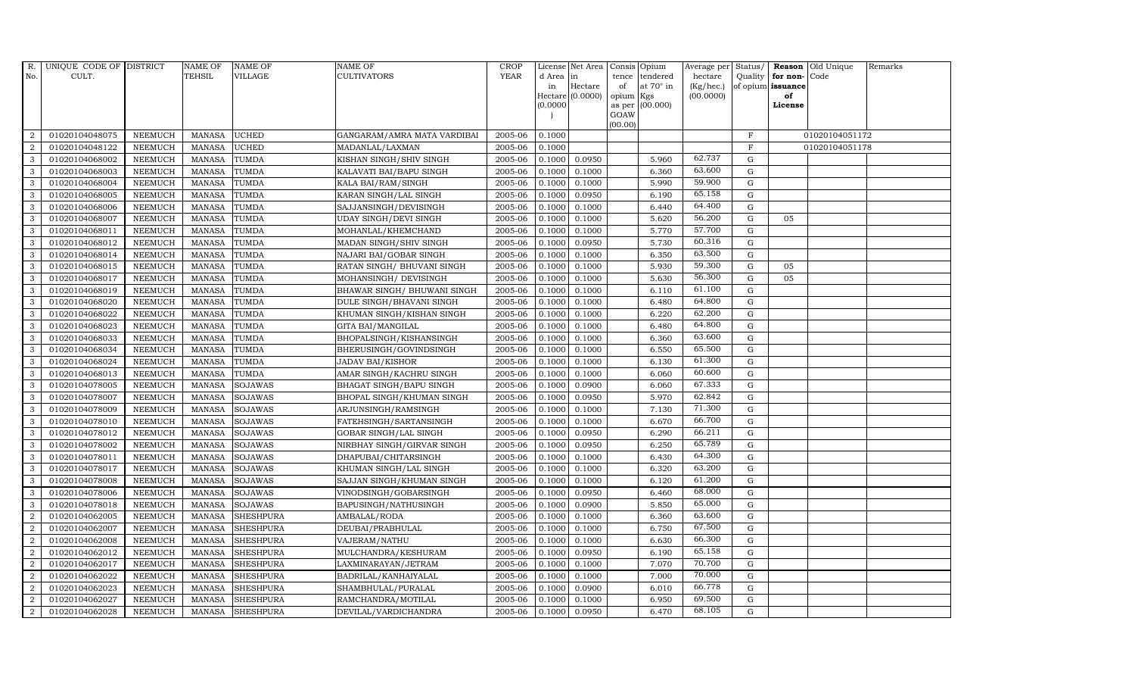| R.               | UNIQUE CODE OF DISTRICT |                | <b>NAME OF</b> | <b>NAME OF</b>   | <b>NAME OF</b>               | CROP    |           | License Net Area   Consis   Opium |                 |                  | Average per | Status/     | Reason            | Old Unique     | Remarks |
|------------------|-------------------------|----------------|----------------|------------------|------------------------------|---------|-----------|-----------------------------------|-----------------|------------------|-------------|-------------|-------------------|----------------|---------|
| No.              | CULT.                   |                | <b>TEHSIL</b>  | <b>VILLAGE</b>   | <b>CULTIVATORS</b>           | YEAR    | d Area in |                                   |                 | tence tendered   | hectare     | Quality     | for non-          | Code           |         |
|                  |                         |                |                |                  |                              |         | in        | Hectare                           | of              | at $70^\circ$ in | (Kg/hec.)   |             | of opium issuance |                |         |
|                  |                         |                |                |                  |                              |         |           | Hectare (0.0000)                  | opium Kgs       |                  | (00.0000)   |             | of                |                |         |
|                  |                         |                |                |                  |                              |         | (0.0000)  |                                   |                 | as per (00.000)  |             |             | License           |                |         |
|                  |                         |                |                |                  |                              |         |           |                                   | GOAW<br>(00.00) |                  |             |             |                   |                |         |
| $\overline{2}$   | 01020104048075          | <b>NEEMUCH</b> | <b>MANASA</b>  | <b>UCHED</b>     | GANGARAM/AMRA MATA VARDIBAI  | 2005-06 | 0.1000    |                                   |                 |                  |             | $\mathbf F$ |                   | 01020104051172 |         |
| $\overline{2}$   | 01020104048122          | <b>NEEMUCH</b> | <b>MANASA</b>  | <b>UCHED</b>     | MADANLAL/LAXMAN              | 2005-06 | 0.1000    |                                   |                 |                  |             | F           |                   | 01020104051178 |         |
| 3                | 01020104068002          | <b>NEEMUCH</b> | <b>MANASA</b>  | <b>TUMDA</b>     | KISHAN SINGH/SHIV SINGH      | 2005-06 | 0.1000    | 0.0950                            |                 | 5.960            | 62.737      | G           |                   |                |         |
| 3                | 01020104068003          | <b>NEEMUCH</b> | <b>MANASA</b>  | <b>TUMDA</b>     | KALAVATI BAI/BAPU SINGH      | 2005-06 | 0.1000    | 0.1000                            |                 | 6.360            | 63.600      | $\mathbf G$ |                   |                |         |
| 3                | 01020104068004          | <b>NEEMUCH</b> | <b>MANASA</b>  | TUMDA            | KALA BAI/RAM/SINGH           | 2005-06 | 0.1000    | 0.1000                            |                 | 5.990            | 59.900      | G           |                   |                |         |
| 3                | 01020104068005          | <b>NEEMUCH</b> | <b>MANASA</b>  | TUMDA            | KARAN SINGH/LAL SINGH        | 2005-06 | 0.1000    | 0.0950                            |                 | 6.190            | 65.158      | $\mathbf G$ |                   |                |         |
| 3                | 01020104068006          | <b>NEEMUCH</b> | MANASA         | TUMDA            | SAJJANSINGH/DEVISINGH        | 2005-06 | 0.1000    | 0.1000                            |                 | 6.440            | 64.400      | ${\rm G}$   |                   |                |         |
| 3                | 01020104068007          | <b>NEEMUCH</b> | <b>MANASA</b>  | TUMDA            | <b>UDAY SINGH/DEVI SINGH</b> | 2005-06 | 0.1000    | 0.1000                            |                 | 5.620            | 56.200      | $\mathbf G$ | 05                |                |         |
| 3                | 01020104068011          | <b>NEEMUCH</b> | <b>MANASA</b>  | TUMDA            | MOHANLAL/KHEMCHAND           | 2005-06 | 0.1000    | 0.1000                            |                 | 5.770            | 57.700      | ${\rm G}$   |                   |                |         |
| 3                | 01020104068012          | <b>NEEMUCH</b> | <b>MANASA</b>  | <b>TUMDA</b>     | MADAN SINGH/SHIV SINGH       | 2005-06 | 0.1000    | 0.0950                            |                 | 5.730            | 60.316      | $\mathbf G$ |                   |                |         |
| 3                | 01020104068014          | <b>NEEMUCH</b> | <b>MANASA</b>  | TUMDA            | NAJARI BAI/GOBAR SINGH       | 2005-06 | 0.1000    | 0.1000                            |                 | 6.350            | 63.500      | G           |                   |                |         |
| 3                | 01020104068015          | <b>NEEMUCH</b> | <b>MANASA</b>  | <b>TUMDA</b>     | RATAN SINGH/ BHUVANI SINGH   | 2005-06 | 0.1000    | 0.1000                            |                 | 5.930            | 59.300      | $\mathbf G$ | 05                |                |         |
| 3                | 01020104068017          | <b>NEEMUCH</b> | <b>MANASA</b>  | <b>TUMDA</b>     | MOHANSINGH/ DEVISINGH        | 2005-06 | 0.1000    | 0.1000                            |                 | 5.630            | 56.300      | G           | 05                |                |         |
| 3                | 01020104068019          | <b>NEEMUCH</b> | <b>MANASA</b>  | <b>TUMDA</b>     | BHAWAR SINGH / BHUWANI SINGH | 2005-06 | 0.1000    | 0.1000                            |                 | 6.110            | 61.100      | $\mathbf G$ |                   |                |         |
| 3                | 01020104068020          | <b>NEEMUCH</b> | <b>MANASA</b>  | TUMDA            | DULE SINGH/BHAVANI SINGH     | 2005-06 | 0.1000    | 0.1000                            |                 | 6.480            | 64.800      | G           |                   |                |         |
| 3                | 01020104068022          | <b>NEEMUCH</b> | <b>MANASA</b>  | <b>TUMDA</b>     | KHUMAN SINGH/KISHAN SINGH    | 2005-06 | 0.1000    | 0.1000                            |                 | 6.220            | 62.200      | $\mathbf G$ |                   |                |         |
| 3                | 01020104068023          | <b>NEEMUCH</b> | MANASA         | TUMDA            | GITA BAI/MANGILAL            | 2005-06 | 0.1000    | 0.1000                            |                 | 6.480            | 64.800      | G           |                   |                |         |
| 3                | 01020104068033          | <b>NEEMUCH</b> | <b>MANASA</b>  | <b>TUMDA</b>     | BHOPALSINGH/KISHANSINGH      | 2005-06 | 0.1000    | 0.1000                            |                 | 6.360            | 63.600      | $\mathbf G$ |                   |                |         |
| 3                | 01020104068034          | <b>NEEMUCH</b> | <b>MANASA</b>  | <b>TUMDA</b>     | BHERUSINGH/GOVINDSINGH       | 2005-06 | 0.1000    | 0.1000                            |                 | 6.550            | 65.500      | $\mathbf G$ |                   |                |         |
| 3                | 01020104068024          | <b>NEEMUCH</b> | <b>MANASA</b>  | TUMDA            | <b>JADAV BAI/KISHOR</b>      | 2005-06 | 0.1000    | 0.1000                            |                 | 6.130            | 61.300      | G           |                   |                |         |
| 3                | 01020104068013          | <b>NEEMUCH</b> | <b>MANASA</b>  | TUMDA            | AMAR SINGH/KACHRU SINGH      | 2005-06 | 0.1000    | 0.1000                            |                 | 6.060            | 60.600      | $\mathbf G$ |                   |                |         |
| 3                | 01020104078005          | <b>NEEMUCH</b> | MANASA         | <b>SOJAWAS</b>   | BHAGAT SINGH/BAPU SINGH      | 2005-06 | 0.1000    | 0.0900                            |                 | 6.060            | 67.333      | $\mathbf G$ |                   |                |         |
| 3                | 01020104078007          | <b>NEEMUCH</b> | <b>MANASA</b>  | <b>SOJAWAS</b>   | BHOPAL SINGH/KHUMAN SINGH    | 2005-06 | 0.1000    | 0.0950                            |                 | 5.970            | 62.842      | $\mathbf G$ |                   |                |         |
| 3                | 01020104078009          | <b>NEEMUCH</b> | <b>MANASA</b>  | <b>SOJAWAS</b>   | ARJUNSINGH/RAMSINGH          | 2005-06 | 0.1000    | 0.1000                            |                 | 7.130            | 71.300      | $\mathbf G$ |                   |                |         |
| 3                | 01020104078010          | <b>NEEMUCH</b> | <b>MANASA</b>  | <b>SOJAWAS</b>   | FATEHSINGH/SARTANSINGH       | 2005-06 | 0.1000    | 0.1000                            |                 | 6.670            | 66.700      | $\mathbf G$ |                   |                |         |
| 3                | 01020104078012          | <b>NEEMUCH</b> | <b>MANASA</b>  | SOJAWAS          | GOBAR SINGH/LAL SINGH        | 2005-06 | 0.1000    | 0.0950                            |                 | 6.290            | 66.211      | $\mathbf G$ |                   |                |         |
| 3                | 01020104078002          | <b>NEEMUCH</b> | <b>MANASA</b>  | <b>SOJAWAS</b>   | NIRBHAY SINGH/GIRVAR SINGH   | 2005-06 | 0.1000    | 0.0950                            |                 | 6.250            | 65.789      | $\mathbf G$ |                   |                |         |
| 3                | 01020104078011          | <b>NEEMUCH</b> | <b>MANASA</b>  | SOJAWAS          | DHAPUBAI/CHITARSINGH         | 2005-06 | 0.1000    | 0.1000                            |                 | 6.430            | 64.300      | G           |                   |                |         |
| 3                | 01020104078017          | <b>NEEMUCH</b> | <b>MANASA</b>  | <b>SOJAWAS</b>   | KHUMAN SINGH/LAL SINGH       | 2005-06 | 0.1000    | 0.1000                            |                 | 6.320            | 63.200      | $\mathbf G$ |                   |                |         |
| 3                | 01020104078008          | <b>NEEMUCH</b> | <b>MANASA</b>  | <b>SOJAWAS</b>   | SAJJAN SINGH/KHUMAN SINGH    | 2005-06 | 0.1000    | 0.1000                            |                 | 6.120            | 61.200      | G           |                   |                |         |
| $\mathbf{3}$     | 01020104078006          | <b>NEEMUCH</b> | <b>MANASA</b>  | <b>SOJAWAS</b>   | VINODSINGH/GOBARSINGH        | 2005-06 | 0.1000    | 0.0950                            |                 | 6.460            | 68.000      | $\mathbf G$ |                   |                |         |
| 3                | 01020104078018          | <b>NEEMUCH</b> | <b>MANASA</b>  | <b>SOJAWAS</b>   | BAPUSINGH/NATHUSINGH         | 2005-06 | 0.1000    | 0.0900                            |                 | 5.850            | 65.000      | ${\rm G}$   |                   |                |         |
| $\overline{2}$   | 01020104062005          | <b>NEEMUCH</b> | <b>MANASA</b>  | <b>SHESHPURA</b> | AMBALAL/RODA                 | 2005-06 | 0.1000    | 0.1000                            |                 | 6.360            | 63.600      | G           |                   |                |         |
| $\overline{2}$   | 01020104062007          | <b>NEEMUCH</b> | <b>MANASA</b>  | <b>SHESHPURA</b> | DEUBAI/PRABHULAL             | 2005-06 | 0.1000    | 0.1000                            |                 | 6.750            | 67.500      | $\mathbf G$ |                   |                |         |
| 2                | 01020104062008          | <b>NEEMUCH</b> | <b>MANASA</b>  | <b>SHESHPURA</b> | VAJERAM/NATHU                | 2005-06 | 0.1000    | 0.1000                            |                 | 6.630            | 66.300      | $\mathbf G$ |                   |                |         |
| $\overline{2}$   | 01020104062012          | <b>NEEMUCH</b> | <b>MANASA</b>  | <b>SHESHPURA</b> | MULCHANDRA/KESHURAM          | 2005-06 | 0.1000    | 0.0950                            |                 | 6.190            | 65.158      | $\mathbf G$ |                   |                |         |
| $\overline{2}$   | 01020104062017          | <b>NEEMUCH</b> | MANASA         | <b>SHESHPURA</b> | LAXMINARAYAN/JETRAM          | 2005-06 | 0.1000    | 0.1000                            |                 | 7.070            | 70.700      | ${\rm G}$   |                   |                |         |
| $\overline{2}$   | 01020104062022          | <b>NEEMUCH</b> | <b>MANASA</b>  | <b>SHESHPURA</b> | BADRILAL/KANHAIYALAL         | 2005-06 | 0.1000    | 0.1000                            |                 | 7.000            | 70.000      | G           |                   |                |         |
| $\boldsymbol{2}$ | 01020104062023          | <b>NEEMUCH</b> | <b>MANASA</b>  | <b>SHESHPURA</b> | SHAMBHULAL/PURALAL           | 2005-06 | 0.1000    | 0.0900                            |                 | 6.010            | 66.778      | $\mathbf G$ |                   |                |         |
| 2                | 01020104062027          | <b>NEEMUCH</b> | <b>MANASA</b>  | <b>SHESHPURA</b> | RAMCHANDRA/MOTILAL           | 2005-06 | 0.1000    | 0.1000                            |                 | 6.950            | 69.500      | G           |                   |                |         |
| $\overline{a}$   | 01020104062028          | <b>NEEMUCH</b> |                | MANASA SHESHPURA | DEVILAL/VARDICHANDRA         | 2005-06 | 0.1000    | 0.0950                            |                 | 6.470            | 68.105      | G           |                   |                |         |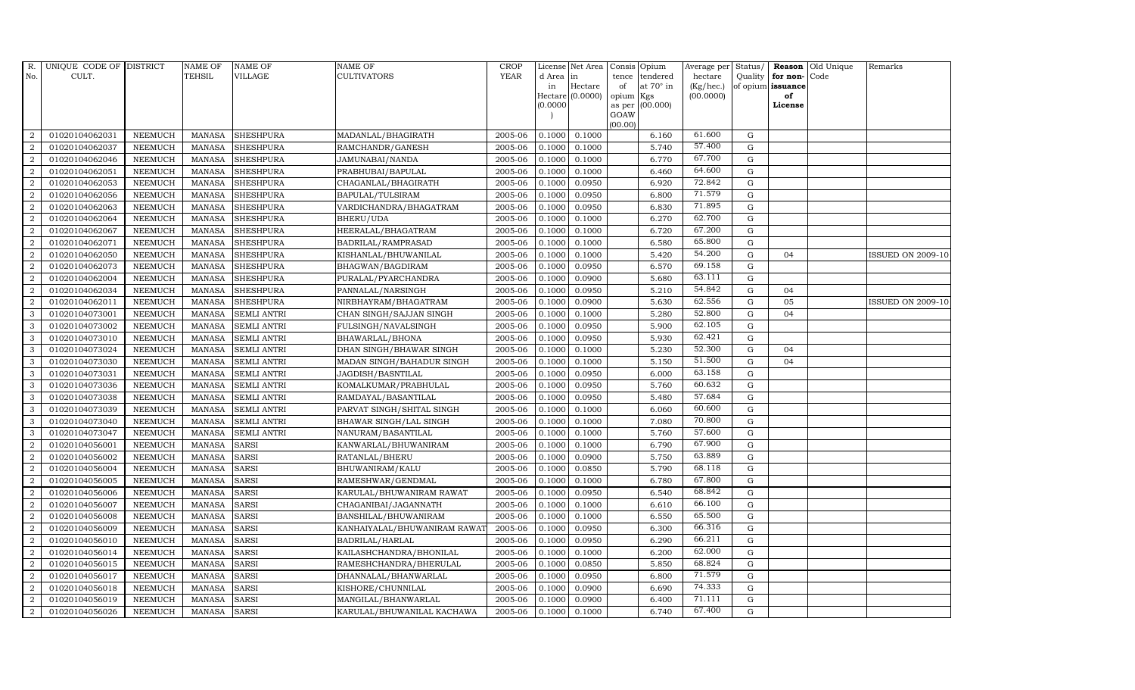| R.             | UNIQUE CODE OF DISTRICT |                | <b>NAME OF</b> | <b>NAME OF</b>     | NAME OF                      | <b>CROP</b> |           | License Net Area |                 | Consis Opium    | Average per | Status/     |                   | Reason Old Unique | Remarks                  |
|----------------|-------------------------|----------------|----------------|--------------------|------------------------------|-------------|-----------|------------------|-----------------|-----------------|-------------|-------------|-------------------|-------------------|--------------------------|
| No.            | CULT.                   |                | <b>TEHSIL</b>  | VILLAGE            | CULTIVATORS                  | <b>YEAR</b> | d Area in |                  | tence           | tendered        | hectare     | Quality     | for non-Code      |                   |                          |
|                |                         |                |                |                    |                              |             | in        | Hectare          | of              | at 70° in       | (Kg/hec.)   |             | of opium issuance |                   |                          |
|                |                         |                |                |                    |                              |             | (0.0000)  | Hectare (0.0000) | opium<br>as per | Kgs<br>(00.000) | (00.0000)   |             | of<br>License     |                   |                          |
|                |                         |                |                |                    |                              |             |           |                  | GOAW            |                 |             |             |                   |                   |                          |
|                |                         |                |                |                    |                              |             |           |                  | (00.00)         |                 |             |             |                   |                   |                          |
| $\overline{2}$ | 01020104062031          | <b>NEEMUCH</b> | MANASA         | <b>SHESHPURA</b>   | MADANLAL/BHAGIRATH           | 2005-06     | 0.1000    | 0.1000           |                 | 6.160           | 61.600      | G           |                   |                   |                          |
| $\overline{2}$ | 01020104062037          | <b>NEEMUCH</b> | <b>MANASA</b>  | <b>SHESHPURA</b>   | RAMCHANDR/GANESH             | 2005-06     | 0.1000    | 0.1000           |                 | 5.740           | 57.400      | $\mathbf G$ |                   |                   |                          |
| 2              | 01020104062046          | <b>NEEMUCH</b> | <b>MANASA</b>  | <b>SHESHPURA</b>   | JAMUNABAI/NANDA              | 2005-06     | 0.1000    | 0.1000           |                 | 6.770           | 67.700      | G           |                   |                   |                          |
| $\sqrt{2}$     | 01020104062051          | <b>NEEMUCH</b> | <b>MANASA</b>  | <b>SHESHPURA</b>   | PRABHUBAI/BAPULAL            | 2005-06     | 0.1000    | 0.1000           |                 | 6.460           | 64.600      | ${\rm G}$   |                   |                   |                          |
| $\overline{a}$ | 01020104062053          | <b>NEEMUCH</b> | <b>MANASA</b>  | <b>SHESHPURA</b>   | CHAGANLAL/BHAGIRATH          | 2005-06     | 0.1000    | 0.0950           |                 | 6.920           | 72.842      | ${\rm G}$   |                   |                   |                          |
| $\overline{2}$ | 01020104062056          | <b>NEEMUCH</b> | <b>MANASA</b>  | <b>SHESHPURA</b>   | BAPULAL/TULSIRAM             | 2005-06     | 0.1000    | 0.0950           |                 | 6.800           | 71.579      | G           |                   |                   |                          |
| 2              | 01020104062063          | <b>NEEMUCH</b> | <b>MANASA</b>  | <b>SHESHPURA</b>   | VARDICHANDRA/BHAGATRAM       | 2005-06     | 0.1000    | 0.0950           |                 | 6.830           | 71.895      | $\mathbf G$ |                   |                   |                          |
| 2              | 01020104062064          | <b>NEEMUCH</b> | <b>MANASA</b>  | <b>SHESHPURA</b>   | BHERU/UDA                    | 2005-06     | 0.1000    | 0.1000           |                 | 6.270           | 62.700      | $\mathbf G$ |                   |                   |                          |
| $\overline{2}$ | 01020104062067          | <b>NEEMUCH</b> | <b>MANASA</b>  | <b>SHESHPURA</b>   | HEERALAL/BHAGATRAM           | 2005-06     | 0.1000    | 0.1000           |                 | 6.720           | 67.200      | $\mathbf G$ |                   |                   |                          |
| $\overline{a}$ | 01020104062071          | <b>NEEMUCH</b> | <b>MANASA</b>  | <b>SHESHPURA</b>   | BADRILAL/RAMPRASAD           | 2005-06     | 0.1000    | 0.1000           |                 | 6.580           | 65.800      | $\mathbf G$ |                   |                   |                          |
| $\overline{2}$ | 01020104062050          | <b>NEEMUCH</b> | <b>MANASA</b>  | <b>SHESHPURA</b>   | KISHANLAL/BHUWANILAL         | 2005-06     | 0.1000    | 0.1000           |                 | 5.420           | 54.200      | ${\rm G}$   | 04                |                   | <b>ISSUED ON 2009-10</b> |
| $\overline{2}$ | 01020104062073          | <b>NEEMUCH</b> | <b>MANASA</b>  | <b>SHESHPURA</b>   | BHAGWAN/BAGDIRAM             | 2005-06     | 0.1000    | 0.0950           |                 | 6.570           | 69.158      | $\mathbf G$ |                   |                   |                          |
| $\overline{2}$ | 01020104062004          | <b>NEEMUCH</b> | <b>MANASA</b>  | <b>SHESHPURA</b>   | PURALAL/PYARCHANDRA          | 2005-06     | 0.1000    | 0.0900           |                 | 5.680           | 63.111      | $\mathbf G$ |                   |                   |                          |
| $\overline{2}$ | 01020104062034          | <b>NEEMUCH</b> | <b>MANASA</b>  | <b>SHESHPURA</b>   | PANNALAL/NARSINGH            | 2005-06     | 0.1000    | 0.0950           |                 | 5.210           | 54.842      | G           | 04                |                   |                          |
| $\overline{2}$ | 01020104062011          | <b>NEEMUCH</b> | <b>MANASA</b>  | <b>SHESHPURA</b>   | NIRBHAYRAM/BHAGATRAM         | 2005-06     | 0.1000    | 0.0900           |                 | 5.630           | 62.556      | $\mathbf G$ | 05                |                   | <b>ISSUED ON 2009-10</b> |
| $\mathbf{3}$   | 01020104073001          | <b>NEEMUCH</b> | <b>MANASA</b>  | <b>SEMLI ANTRI</b> | CHAN SINGH/SAJJAN SINGH      | 2005-06     | 0.1000    | 0.1000           |                 | 5.280           | 52.800      | G           | 04                |                   |                          |
| 3              | 01020104073002          | <b>NEEMUCH</b> | <b>MANASA</b>  | <b>SEMLI ANTRI</b> | FULSINGH/NAVALSINGH          | 2005-06     | 0.1000    | 0.0950           |                 | 5.900           | 62.105      | G           |                   |                   |                          |
| 3              | 01020104073010          | <b>NEEMUCH</b> | <b>MANASA</b>  | <b>SEMLI ANTRI</b> | BHAWARLAL/BHONA              | 2005-06     | 0.1000    | 0.0950           |                 | 5.930           | 62.421      | $\mathbf G$ |                   |                   |                          |
| 3              | 01020104073024          | <b>NEEMUCH</b> | <b>MANASA</b>  | <b>SEMLI ANTRI</b> | DHAN SINGH/BHAWAR SINGH      | 2005-06     | 0.1000    | 0.1000           |                 | 5.230           | 52.300      | $\mathbf G$ | 04                |                   |                          |
| 3              | 01020104073030          | <b>NEEMUCH</b> | <b>MANASA</b>  | <b>SEMLI ANTRI</b> | MADAN SINGH/BAHADUR SINGH    | 2005-06     | 0.1000    | 0.1000           |                 | 5.150           | 51.500      | $\mathbf G$ | 04                |                   |                          |
| $\mathbf{3}$   | 01020104073031          | <b>NEEMUCH</b> | <b>MANASA</b>  | <b>SEMLI ANTRI</b> | JAGDISH/BASNTILAL            | 2005-06     | 0.1000    | 0.0950           |                 | 6.000           | 63.158      | G           |                   |                   |                          |
| 3              | 01020104073036          | <b>NEEMUCH</b> | <b>MANASA</b>  | SEMLI ANTRI        | KOMALKUMAR/PRABHULAL         | 2005-06     | 0.1000    | 0.0950           |                 | 5.760           | 60.632      | G           |                   |                   |                          |
| 3              | 01020104073038          | <b>NEEMUCH</b> | <b>MANASA</b>  | <b>SEMLI ANTRI</b> | RAMDAYAL/BASANTILAL          | 2005-06     | 0.1000    | 0.0950           |                 | 5.480           | 57.684      | G           |                   |                   |                          |
| 3              | 01020104073039          | <b>NEEMUCH</b> | <b>MANASA</b>  | <b>SEMLI ANTRI</b> | PARVAT SINGH/SHITAL SINGH    | 2005-06     | 0.1000    | 0.1000           |                 | 6.060           | 60.600      | $\mathbf G$ |                   |                   |                          |
| 3              | 01020104073040          | <b>NEEMUCH</b> | <b>MANASA</b>  | <b>SEMLI ANTRI</b> | BHAWAR SINGH/LAL SINGH       | 2005-06     | 0.1000    | 0.1000           |                 | 7.080           | 70.800      | G           |                   |                   |                          |
| 3              | 01020104073047          | <b>NEEMUCH</b> | <b>MANASA</b>  | <b>SEMLI ANTRI</b> | NANURAM/BASANTILAL           | 2005-06     | 0.1000    | 0.1000           |                 | 5.760           | 57.600      | G           |                   |                   |                          |
| $\overline{a}$ | 01020104056001          | <b>NEEMUCH</b> | <b>MANASA</b>  | <b>SARSI</b>       | KANWARLAL/BHUWANIRAM         | 2005-06     | 0.1000    | 0.1000           |                 | 6.790           | 67.900      | G           |                   |                   |                          |
| 2              | 01020104056002          | <b>NEEMUCH</b> | <b>MANASA</b>  | <b>SARSI</b>       | RATANLAL/BHERU               | 2005-06     | 0.1000    | 0.0900           |                 | 5.750           | 63.889      | G           |                   |                   |                          |
| 2              | 01020104056004          | <b>NEEMUCH</b> | <b>MANASA</b>  | <b>SARSI</b>       | BHUWANIRAM/KALU              | 2005-06     | 0.1000    | 0.0850           |                 | 5.790           | 68.118      | $\mathbf G$ |                   |                   |                          |
| $\sqrt{2}$     | 01020104056005          | <b>NEEMUCH</b> | <b>MANASA</b>  | <b>SARSI</b>       | RAMESHWAR/GENDMAL            | 2005-06     | 0.1000    | 0.1000           |                 | 6.780           | 67.800      | $\mathbf G$ |                   |                   |                          |
| 2              | 01020104056006          | <b>NEEMUCH</b> | <b>MANASA</b>  | <b>SARSI</b>       | KARULAL/BHUWANIRAM RAWAT     | 2005-06     | 0.1000    | 0.0950           |                 | 6.540           | 68.842      | G           |                   |                   |                          |
| $\overline{a}$ | 01020104056007          | <b>NEEMUCH</b> | <b>MANASA</b>  | <b>SARSI</b>       | CHAGANIBAI/JAGANNATH         | 2005-06     | 0.1000    | 0.1000           |                 | 6.610           | 66.100      | ${\rm G}$   |                   |                   |                          |
| $\overline{a}$ | 01020104056008          | <b>NEEMUCH</b> | <b>MANASA</b>  | <b>SARSI</b>       | BANSHILAL/BHUWANIRAM         | 2005-06     | 0.1000    | 0.1000           |                 | 6.550           | 65.500      | $\mathbf G$ |                   |                   |                          |
| $\overline{2}$ | 01020104056009          | <b>NEEMUCH</b> | <b>MANASA</b>  | <b>SARSI</b>       | KANHAIYALAL/BHUWANIRAM RAWAT | 2005-06     | 0.1000    | 0.0950           |                 | 6.300           | 66.316      | $\mathbf G$ |                   |                   |                          |
| $\overline{2}$ | 01020104056010          | <b>NEEMUCH</b> | <b>MANASA</b>  | <b>SARSI</b>       | BADRILAL/HARLAL              | 2005-06     | 0.1000    | 0.0950           |                 | 6.290           | 66.211      | $\mathbf G$ |                   |                   |                          |
| $\overline{a}$ | 01020104056014          | <b>NEEMUCH</b> | <b>MANASA</b>  | <b>SARSI</b>       | KAILASHCHANDRA/BHONILAL      | 2005-06     | 0.1000    | 0.1000           |                 | 6.200           | 62.000      | G           |                   |                   |                          |
| $\overline{2}$ | 01020104056015          | <b>NEEMUCH</b> | <b>MANASA</b>  | <b>SARSI</b>       | RAMESHCHANDRA/BHERULAL       | 2005-06     | 0.1000    | 0.0850           |                 | 5.850           | 68.824      | ${\rm G}$   |                   |                   |                          |
| $\overline{a}$ | 01020104056017          | <b>NEEMUCH</b> | <b>MANASA</b>  | <b>SARSI</b>       | DHANNALAL/BHANWARLAL         | 2005-06     | 0.1000    | 0.0950           |                 | 6.800           | 71.579      | G           |                   |                   |                          |
| 2              | 01020104056018          | <b>NEEMUCH</b> | <b>MANASA</b>  | <b>SARSI</b>       | KISHORE/CHUNNILAL            | 2005-06     | 0.1000    | 0.0900           |                 | 6.690           | 74.333      | $\mathbf G$ |                   |                   |                          |
| 2              | 01020104056019          | <b>NEEMUCH</b> | <b>MANASA</b>  | <b>SARSI</b>       | MANGILAL/BHANWARLAL          | 2005-06     | 0.1000    | 0.0900           |                 | 6.400           | 71.111      | $\mathbf G$ |                   |                   |                          |
| $\overline{a}$ | 01020104056026          | <b>NEEMUCH</b> | MANASA         | <b>SARSI</b>       | KARULAL/BHUWANILAL KACHAWA   | 2005-06     | 0.1000    | 0.1000           |                 | 6.740           | 67.400      | G           |                   |                   |                          |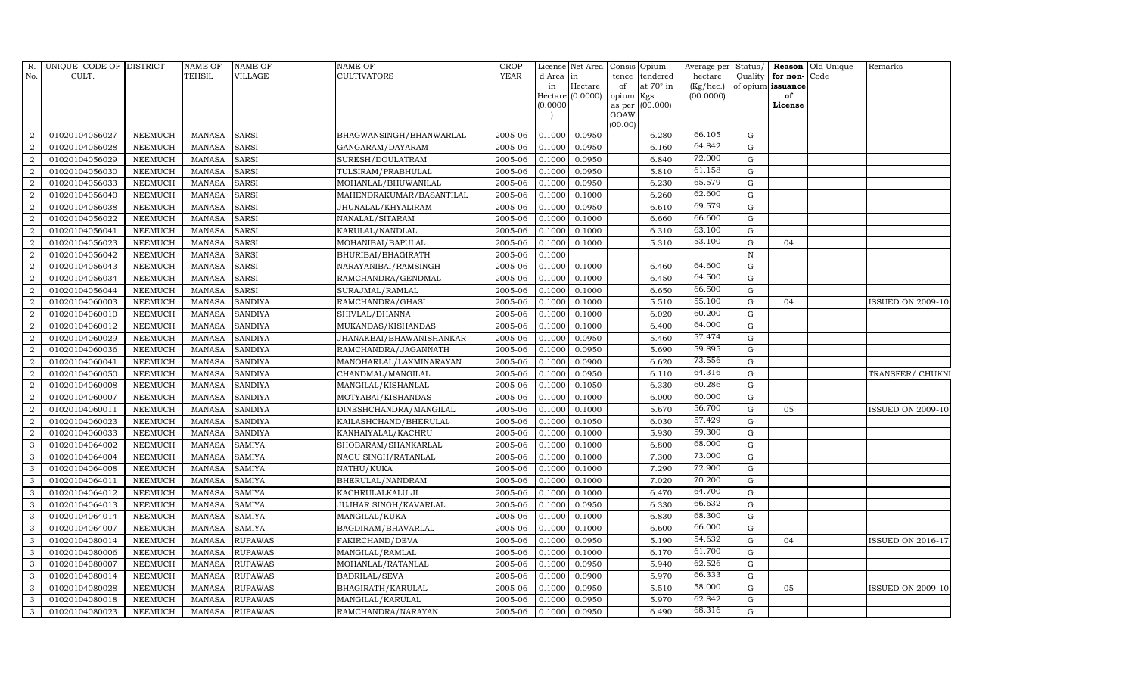| R.             | UNIQUE CODE OF DISTRICT |                | <b>NAME OF</b> | <b>NAME OF</b> | <b>NAME OF</b>           | <b>CROP</b> |          | License Net Area   |           | Consis Opium    | Average per | Status/     | <b>Reason</b>     | Old Unique | Remarks                  |
|----------------|-------------------------|----------------|----------------|----------------|--------------------------|-------------|----------|--------------------|-----------|-----------------|-------------|-------------|-------------------|------------|--------------------------|
| No.            | CULT.                   |                | <b>TEHSIL</b>  | VILLAGE        | <b>CULTIVATORS</b>       | <b>YEAR</b> | d Area   | in                 | tence     | tendered        | hectare     | Quality     | for non-          | Code       |                          |
|                |                         |                |                |                |                          |             | in       | Hectare            | of        | at 70° in       | (Kg/hec.)   |             | of opium issuance |            |                          |
|                |                         |                |                |                |                          |             | (0.0000) | $Hectare (0.0000)$ | opium Kgs | as per (00.000) | (00.0000)   |             | of<br>License     |            |                          |
|                |                         |                |                |                |                          |             |          |                    | GOAW      |                 |             |             |                   |            |                          |
|                |                         |                |                |                |                          |             |          |                    | (00.00)   |                 |             |             |                   |            |                          |
| 2              | 01020104056027          | <b>NEEMUCH</b> | <b>MANASA</b>  | <b>SARSI</b>   | BHAGWANSINGH/BHANWARLAL  | 2005-06     | 0.1000   | 0.0950             |           | 6.280           | 66.105      | G           |                   |            |                          |
| 2              | 01020104056028          | <b>NEEMUCH</b> | <b>MANASA</b>  | <b>SARSI</b>   | GANGARAM/DAYARAM         | 2005-06     | 0.1000   | 0.0950             |           | 6.160           | 64.842      | ${\rm G}$   |                   |            |                          |
| 2              | 01020104056029          | <b>NEEMUCH</b> | <b>MANASA</b>  | <b>SARSI</b>   | SURESH/DOULATRAM         | 2005-06     | 0.1000   | 0.0950             |           | 6.840           | 72.000      | G           |                   |            |                          |
| $\overline{2}$ | 01020104056030          | <b>NEEMUCH</b> | <b>MANASA</b>  | <b>SARSI</b>   | TULSIRAM/PRABHULAL       | 2005-06     | 0.1000   | 0.0950             |           | 5.810           | 61.158      | $\mathbf G$ |                   |            |                          |
| 2              | 01020104056033          | <b>NEEMUCH</b> | <b>MANASA</b>  | <b>SARSI</b>   | MOHANLAL/BHUWANILAL      | 2005-06     | 0.1000   | 0.0950             |           | 6.230           | 65.579      | ${\rm G}$   |                   |            |                          |
| 2              | 01020104056040          | <b>NEEMUCH</b> | <b>MANASA</b>  | <b>SARSI</b>   | MAHENDRAKUMAR/BASANTILAL | 2005-06     | 0.1000   | 0.1000             |           | 6.260           | 62.600      | ${\rm G}$   |                   |            |                          |
| 2              | 01020104056038          | <b>NEEMUCH</b> | <b>MANASA</b>  | <b>SARSI</b>   | JHUNALAL/KHYALIRAM       | 2005-06     | 0.1000   | 0.0950             |           | 6.610           | 69.579      | ${\rm G}$   |                   |            |                          |
| 2              | 01020104056022          | NEEMUCH        | <b>MANASA</b>  | <b>SARSI</b>   | NANALAL/SITARAM          | 2005-06     | 0.1000   | 0.1000             |           | 6.660           | 66.600      | $\mathbf G$ |                   |            |                          |
| $\overline{2}$ | 01020104056041          | <b>NEEMUCH</b> | <b>MANASA</b>  | <b>SARSI</b>   | KARULAL/NANDLAL          | 2005-06     | 0.1000   | 0.1000             |           | 6.310           | 63.100      | G           |                   |            |                          |
| 2              | 01020104056023          | <b>NEEMUCH</b> | <b>MANASA</b>  | <b>SARSI</b>   | MOHANIBAI/BAPULAL        | 2005-06     | 0.1000   | 0.1000             |           | 5.310           | 53.100      | ${\rm G}$   | 04                |            |                          |
| $\overline{2}$ | 01020104056042          | <b>NEEMUCH</b> | <b>MANASA</b>  | <b>SARSI</b>   | BHURIBAI/BHAGIRATH       | 2005-06     | 0.1000   |                    |           |                 |             | $\mathbb N$ |                   |            |                          |
| 2              | 01020104056043          | <b>NEEMUCH</b> | <b>MANASA</b>  | <b>SARSI</b>   | NARAYANIBAI/RAMSINGH     | 2005-06     | 0.1000   | 0.1000             |           | 6.460           | 64.600      | $\mathbf G$ |                   |            |                          |
| 2              | 01020104056034          | <b>NEEMUCH</b> | <b>MANASA</b>  | <b>SARSI</b>   | RAMCHANDRA/GENDMAL       | 2005-06     | 0.1000   | 0.1000             |           | 6.450           | 64.500      | $\mathbf G$ |                   |            |                          |
| $\overline{2}$ | 01020104056044          | <b>NEEMUCH</b> | <b>MANASA</b>  | <b>SARSI</b>   | SURAJMAL/RAMLAL          | 2005-06     | 0.1000   | 0.1000             |           | 6.650           | 66.500      | G           |                   |            |                          |
| $\overline{2}$ | 01020104060003          | <b>NEEMUCH</b> | <b>MANASA</b>  | <b>SANDIYA</b> | RAMCHANDRA/GHASI         | 2005-06     | 0.1000   | 0.1000             |           | 5.510           | 55.100      | ${\rm G}$   | 04                |            | <b>ISSUED ON 2009-10</b> |
| $\overline{2}$ | 01020104060010          | <b>NEEMUCH</b> | <b>MANASA</b>  | <b>SANDIYA</b> | SHIVLAL/DHANNA           | 2005-06     | 0.1000   | 0.1000             |           | 6.020           | 60.200      | ${\rm G}$   |                   |            |                          |
| 2              | 01020104060012          | <b>NEEMUCH</b> | <b>MANASA</b>  | <b>SANDIYA</b> | MUKANDAS/KISHANDAS       | 2005-06     | 0.1000   | 0.1000             |           | 6.400           | 64.000      | G           |                   |            |                          |
| 2              | 01020104060029          | NEEMUCH        | <b>MANASA</b>  | <b>SANDIYA</b> | JHANAKBAI/BHAWANISHANKAR | 2005-06     | 0.1000   | 0.0950             |           | 5.460           | 57.474      | $\mathbf G$ |                   |            |                          |
| 2              | 01020104060036          | <b>NEEMUCH</b> | <b>MANASA</b>  | <b>SANDIYA</b> | RAMCHANDRA/JAGANNATH     | 2005-06     | 0.1000   | 0.0950             |           | 5.690           | 59.895      | $\mathbf G$ |                   |            |                          |
| 2              | 01020104060041          | <b>NEEMUCH</b> | <b>MANASA</b>  | <b>SANDIYA</b> | MANOHARLAL/LAXMINARAYAN  | 2005-06     | 0.1000   | 0.0900             |           | 6.620           | 73.556      | $\mathbf G$ |                   |            |                          |
| 2              | 01020104060050          | <b>NEEMUCH</b> | <b>MANASA</b>  | <b>SANDIYA</b> | CHANDMAL/MANGILAL        | 2005-06     | 0.1000   | 0.0950             |           | 6.110           | 64.316      | ${\rm G}$   |                   |            | TRANSFER/ CHUKNI         |
| 2              | 01020104060008          | <b>NEEMUCH</b> | <b>MANASA</b>  | <b>SANDIYA</b> | MANGILAL/KISHANLAL       | 2005-06     | 0.1000   | 0.1050             |           | 6.330           | 60.286      | $\mathbf G$ |                   |            |                          |
| 2              | 01020104060007          | <b>NEEMUCH</b> | <b>MANASA</b>  | <b>SANDIYA</b> | MOTYABAI/KISHANDAS       | 2005-06     | 0.1000   | 0.1000             |           | 6.000           | 60.000      | G           |                   |            |                          |
| 2              | 01020104060011          | <b>NEEMUCH</b> | <b>MANASA</b>  | <b>SANDIYA</b> | DINESHCHANDRA/MANGILAL   | 2005-06     | 0.1000   | 0.1000             |           | 5.670           | 56.700      | $\mathbf G$ | 05                |            | <b>ISSUED ON 2009-10</b> |
| $\overline{2}$ | 01020104060023          | NEEMUCH        | <b>MANASA</b>  | <b>SANDIYA</b> | KAILASHCHAND/BHERULAL    | 2005-06     | 0.1000   | 0.1050             |           | 6.030           | 57.429      | $\mathbf G$ |                   |            |                          |
| $\overline{2}$ | 01020104060033          | <b>NEEMUCH</b> | <b>MANASA</b>  | <b>SANDIYA</b> | KANHAIYALAL/KACHRU       | 2005-06     | 0.1000   | 0.1000             |           | 5.930           | 59.300      | ${\rm G}$   |                   |            |                          |
| 3              | 01020104064002          | <b>NEEMUCH</b> | <b>MANASA</b>  | <b>SAMIYA</b>  | SHOBARAM/SHANKARLAL      | 2005-06     | 0.1000   | 0.1000             |           | 6.800           | 68.000      | G           |                   |            |                          |
| 3              | 01020104064004          | <b>NEEMUCH</b> | <b>MANASA</b>  | <b>SAMIYA</b>  | NAGU SINGH/RATANLAL      | 2005-06     | 0.1000   | 0.1000             |           | 7.300           | 73.000      | $\mathbf G$ |                   |            |                          |
| 3              | 01020104064008          | <b>NEEMUCH</b> | <b>MANASA</b>  | <b>SAMIYA</b>  | NATHU/KUKA               | 2005-06     | 0.1000   | 0.1000             |           | 7.290           | 72.900      | $\mathbf G$ |                   |            |                          |
| 3              | 01020104064011          | <b>NEEMUCH</b> | <b>MANASA</b>  | <b>SAMIYA</b>  | BHERULAL/NANDRAM         | 2005-06     | 0.1000   | 0.1000             |           | 7.020           | 70.200      | $\mathbf G$ |                   |            |                          |
| 3              | 01020104064012          | <b>NEEMUCH</b> | <b>MANASA</b>  | <b>SAMIYA</b>  | KACHRULALKALU JI         | 2005-06     | 0.1000   | 0.1000             |           | 6.470           | 64.700      | G           |                   |            |                          |
| 3              | 01020104064013          | <b>NEEMUCH</b> | <b>MANASA</b>  | <b>SAMIYA</b>  | JUJHAR SINGH/KAVARLAL    | 2005-06     | 0.1000   | 0.0950             |           | 6.330           | 66.632      | ${\rm G}$   |                   |            |                          |
| 3              | 01020104064014          | NEEMUCH        | <b>MANASA</b>  | <b>SAMIYA</b>  | MANGILAL/KUKA            | 2005-06     | 0.1000   | 0.1000             |           | 6.830           | 68.300      | ${\rm G}$   |                   |            |                          |
| 3              | 01020104064007          | <b>NEEMUCH</b> | <b>MANASA</b>  | <b>SAMIYA</b>  | BAGDIRAM/BHAVARLAL       | 2005-06     | 0.1000   | 0.1000             |           | 6.600           | 66.000      | $\mathbf G$ |                   |            |                          |
| 3              | 01020104080014          | <b>NEEMUCH</b> | <b>MANASA</b>  | <b>RUPAWAS</b> | FAKIRCHAND/DEVA          | 2005-06     | 0.1000   | 0.0950             |           | 5.190           | 54.632      | $\mathbf G$ | 04                |            | <b>ISSUED ON 2016-17</b> |
| 3              | 01020104080006          | <b>NEEMUCH</b> | <b>MANASA</b>  | <b>RUPAWAS</b> | MANGILAL/RAMLAL          | 2005-06     | 0.1000   | 0.1000             |           | 6.170           | 61.700      | ${\rm G}$   |                   |            |                          |
| 3              | 01020104080007          | <b>NEEMUCH</b> | <b>MANASA</b>  | <b>RUPAWAS</b> | MOHANLAL/RATANLAL        | 2005-06     | 0.1000   | 0.0950             |           | 5.940           | 62.526      | ${\rm G}$   |                   |            |                          |
| 3              | 01020104080014          | NEEMUCH        | <b>MANASA</b>  | <b>RUPAWAS</b> | BADRILAL/SEVA            | 2005-06     | 0.1000   | 0.0900             |           | 5.970           | 66.333      | ${\rm G}$   |                   |            |                          |
| 3              | 01020104080028          | <b>NEEMUCH</b> | <b>MANASA</b>  | <b>RUPAWAS</b> | BHAGIRATH/KARULAL        | 2005-06     | 0.1000   | 0.0950             |           | 5.510           | 58.000      | $\mathbf G$ | 05                |            | <b>ISSUED ON 2009-10</b> |
| 3              | 01020104080018          | <b>NEEMUCH</b> | <b>MANASA</b>  | <b>RUPAWAS</b> | MANGILAL/KARULAL         | 2005-06     | 0.1000   | 0.0950             |           | 5.970           | 62.842      | G           |                   |            |                          |
| 3              | 01020104080023          | <b>NEEMUCH</b> | MANASA         | <b>RUPAWAS</b> | RAMCHANDRA/NARAYAN       | 2005-06     | 0.1000   | 0.0950             |           | 6.490           | 68.316      | G           |                   |            |                          |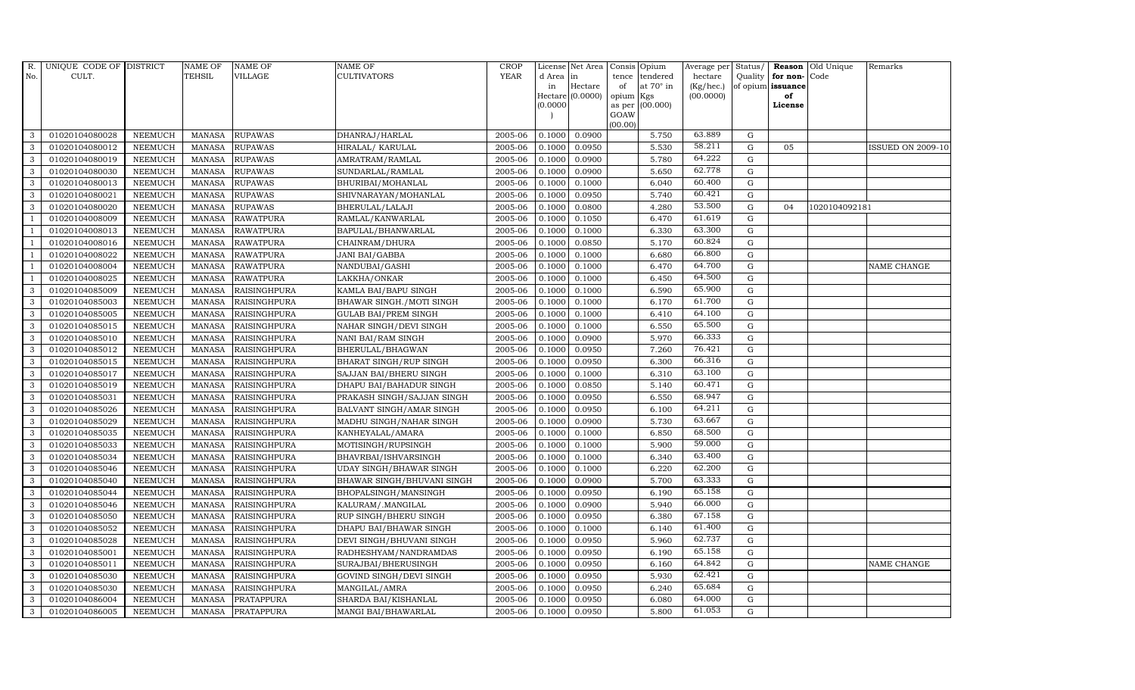| R.             | UNIQUE CODE OF DISTRICT |                | <b>NAME OF</b> | <b>NAME OF</b>      | <b>NAME OF</b>              | CROP        |            | License Net Area | Consis Opium   |                  | Average per | Status/     | Reason            | Old Unique    | Remarks                  |
|----------------|-------------------------|----------------|----------------|---------------------|-----------------------------|-------------|------------|------------------|----------------|------------------|-------------|-------------|-------------------|---------------|--------------------------|
| No.            | CULT.                   |                | TEHSIL         | <b>VILLAGE</b>      | <b>CULTIVATORS</b>          | <b>YEAR</b> | d Area lin |                  | tence          | tendered         | hectare     | Quality     | for non-          | Code          |                          |
|                |                         |                |                |                     |                             |             | in         | Hectare          | of             | at $70^\circ$ in | (Kg/hec.)   |             | of opium issuance |               |                          |
|                |                         |                |                |                     |                             |             |            | Hectare (0.0000) | opium Kgs      |                  | (00.0000)   |             | of                |               |                          |
|                |                         |                |                |                     |                             |             | (0.0000)   |                  | as per<br>GOAW | (00.000)         |             |             | License           |               |                          |
|                |                         |                |                |                     |                             |             |            |                  | (00.00)        |                  |             |             |                   |               |                          |
| 3              | 01020104080028          | <b>NEEMUCH</b> | <b>MANASA</b>  | <b>RUPAWAS</b>      | DHANRAJ/HARLAL              | 2005-06     | 0.1000     | 0.0900           |                | 5.750            | 63.889      | $\mathbf G$ |                   |               |                          |
| 3              | 01020104080012          | <b>NEEMUCH</b> | <b>MANASA</b>  | <b>RUPAWAS</b>      | HIRALAL/ KARULAL            | 2005-06     | 0.1000     | 0.0950           |                | 5.530            | 58.211      | $\mathbf G$ | 05                |               | <b>ISSUED ON 2009-10</b> |
| 3              | 01020104080019          | <b>NEEMUCH</b> | <b>MANASA</b>  | <b>RUPAWAS</b>      | AMRATRAM/RAMLAL             | 2005-06     | 0.1000     | 0.0900           |                | 5.780            | 64.222      | $\mathbf G$ |                   |               |                          |
| 3              | 01020104080030          | <b>NEEMUCH</b> | <b>MANASA</b>  | <b>RUPAWAS</b>      | SUNDARLAL/RAMLAL            | 2005-06     | 0.1000     | 0.0900           |                | 5.650            | 62.778      | $\mathbf G$ |                   |               |                          |
| 3              | 01020104080013          | <b>NEEMUCH</b> | <b>MANASA</b>  | <b>RUPAWAS</b>      | BHURIBAI/MOHANLAL           | 2005-06     | 0.1000     | 0.1000           |                | 6.040            | 60.400      | ${\rm G}$   |                   |               |                          |
| $\mathbf{3}$   | 01020104080021          | <b>NEEMUCH</b> | <b>MANASA</b>  | <b>RUPAWAS</b>      | SHIVNARAYAN/MOHANLAL        | 2005-06     | 0.1000     | 0.0950           |                | 5.740            | 60.421      | ${\rm G}$   |                   |               |                          |
| 3              | 01020104080020          | <b>NEEMUCH</b> | MANASA         | <b>RUPAWAS</b>      | BHERULAL/LALAJI             | 2005-06     | 0.1000     | 0.0800           |                | 4.280            | 53.500      | $\mathbf G$ | 04                | 1020104092181 |                          |
| $\overline{1}$ | 01020104008009          | <b>NEEMUCH</b> | MANASA         | <b>RAWATPURA</b>    | RAMLAL/KANWARLAL            | 2005-06     | 0.1000     | 0.1050           |                | 6.470            | 61.619      | $\mathbf G$ |                   |               |                          |
|                | 01020104008013          | <b>NEEMUCH</b> | <b>MANASA</b>  | <b>RAWATPURA</b>    | BAPULAL/BHANWARLAL          | 2005-06     | 0.1000     | 0.1000           |                | 6.330            | 63.300      | $\mathbf G$ |                   |               |                          |
|                | 01020104008016          | <b>NEEMUCH</b> | <b>MANASA</b>  | <b>RAWATPURA</b>    | CHAINRAM/DHURA              | 2005-06     | 0.1000     | 0.0850           |                | 5.170            | 60.824      | $\mathbf G$ |                   |               |                          |
| $\overline{1}$ | 01020104008022          | <b>NEEMUCH</b> | <b>MANASA</b>  | <b>RAWATPURA</b>    | <b>JANI BAI/GABBA</b>       | 2005-06     | 0.1000     | 0.1000           |                | 6.680            | 66.800      | ${\rm G}$   |                   |               |                          |
| $\overline{1}$ | 01020104008004          | <b>NEEMUCH</b> | MANASA         | <b>RAWATPURA</b>    | NANDUBAI/GASHI              | 2005-06     | 0.1000     | 0.1000           |                | 6.470            | 64.700      | ${\rm G}$   |                   |               | NAME CHANGE              |
| $\overline{1}$ | 01020104008025          | <b>NEEMUCH</b> | MANASA         | <b>RAWATPURA</b>    | LAKKHA/ONKAR                | 2005-06     | 0.1000     | 0.1000           |                | 6.450            | 64.500      | $\mathbf G$ |                   |               |                          |
| 3              | 01020104085009          | <b>NEEMUCH</b> | <b>MANASA</b>  | <b>RAISINGHPURA</b> | KAMLA BAI/BAPU SINGH        | 2005-06     | 0.1000     | 0.1000           |                | 6.590            | 65.900      | $\mathbf G$ |                   |               |                          |
| 3              | 01020104085003          | <b>NEEMUCH</b> | <b>MANASA</b>  | <b>RAISINGHPURA</b> | BHAWAR SINGH./MOTI SINGH    | 2005-06     | 0.1000     | 0.1000           |                | 6.170            | 61.700      | $\mathbf G$ |                   |               |                          |
| 3              | 01020104085005          | <b>NEEMUCH</b> | <b>MANASA</b>  | <b>RAISINGHPURA</b> | <b>GULAB BAI/PREM SINGH</b> | 2005-06     | 0.1000     | 0.1000           |                | 6.410            | 64.100      | $\mathbf G$ |                   |               |                          |
| 3              | 01020104085015          | <b>NEEMUCH</b> | <b>MANASA</b>  | <b>RAISINGHPURA</b> | NAHAR SINGH/DEVI SINGH      | 2005-06     | 0.1000     | 0.1000           |                | 6.550            | 65.500      | G           |                   |               |                          |
| 3              | 01020104085010          | <b>NEEMUCH</b> | MANASA         | <b>RAISINGHPURA</b> | NANI BAI/RAM SINGH          | 2005-06     | 0.1000     | 0.0900           |                | 5.970            | 66.333      | $\mathbf G$ |                   |               |                          |
| 3              | 01020104085012          | <b>NEEMUCH</b> | <b>MANASA</b>  | <b>RAISINGHPURA</b> | BHERULAL/BHAGWAN            | 2005-06     | 0.1000     | 0.0950           |                | 7.260            | 76.421      | $\mathbf G$ |                   |               |                          |
| 3              | 01020104085015          | <b>NEEMUCH</b> | <b>MANASA</b>  | <b>RAISINGHPURA</b> | BHARAT SINGH/RUP SINGH      | 2005-06     | 0.1000     | 0.0950           |                | 6.300            | 66.316      | $\mathbf G$ |                   |               |                          |
| $\mathbf{3}$   | 01020104085017          | <b>NEEMUCH</b> | <b>MANASA</b>  | <b>RAISINGHPURA</b> | SAJJAN BAI/BHERU SINGH      | 2005-06     | 0.1000     | 0.1000           |                | 6.310            | 63.100      | ${\rm G}$   |                   |               |                          |
| 3              | 01020104085019          | <b>NEEMUCH</b> | <b>MANASA</b>  | <b>RAISINGHPURA</b> | DHAPU BAI/BAHADUR SINGH     | 2005-06     | 0.1000     | 0.0850           |                | 5.140            | 60.471      | G           |                   |               |                          |
| $\mathbf{3}$   | 01020104085031          | <b>NEEMUCH</b> | <b>MANASA</b>  | <b>RAISINGHPURA</b> | PRAKASH SINGH/SAJJAN SINGH  | 2005-06     | 0.1000     | 0.0950           |                | 6.550            | 68.947      | $\mathbf G$ |                   |               |                          |
| 3              | 01020104085026          | <b>NEEMUCH</b> | <b>MANASA</b>  | <b>RAISINGHPURA</b> | BALVANT SINGH/AMAR SINGH    | 2005-06     | 0.1000     | 0.0950           |                | 6.100            | 64.211      | $\mathbf G$ |                   |               |                          |
| 3              | 01020104085029          | <b>NEEMUCH</b> | <b>MANASA</b>  | <b>RAISINGHPURA</b> | MADHU SINGH/NAHAR SINGH     | 2005-06     | 0.1000     | 0.0900           |                | 5.730            | 63.667      | $\mathbf G$ |                   |               |                          |
| 3              | 01020104085035          | <b>NEEMUCH</b> | <b>MANASA</b>  | <b>RAISINGHPURA</b> | KANHEYALAL/AMARA            | 2005-06     | 0.1000     | 0.1000           |                | 6.850            | 68.500      | ${\rm G}$   |                   |               |                          |
| 3              | 01020104085033          | <b>NEEMUCH</b> | <b>MANASA</b>  | <b>RAISINGHPURA</b> | MOTISINGH/RUPSINGH          | 2005-06     | 0.1000     | 0.1000           |                | 5.900            | 59.000      | $\mathbf G$ |                   |               |                          |
| 3              | 01020104085034          | <b>NEEMUCH</b> | MANASA         | <b>RAISINGHPURA</b> | BHAVRBAI/ISHVARSINGH        | 2005-06     | 0.1000     | 0.1000           |                | 6.340            | 63.400      | $\mathbf G$ |                   |               |                          |
| 3              | 01020104085046          | <b>NEEMUCH</b> | <b>MANASA</b>  | <b>RAISINGHPURA</b> | UDAY SINGH/BHAWAR SINGH     | 2005-06     | 0.1000     | 0.1000           |                | 6.220            | 62.200      | G           |                   |               |                          |
| 3              | 01020104085040          | <b>NEEMUCH</b> | <b>MANASA</b>  | <b>RAISINGHPURA</b> | BHAWAR SINGH/BHUVANI SINGH  | 2005-06     | 0.1000     | 0.0900           |                | 5.700            | 63.333      | $\mathbf G$ |                   |               |                          |
| 3              | 01020104085044          | <b>NEEMUCH</b> | <b>MANASA</b>  | RAISINGHPURA        | BHOPALSINGH/MANSINGH        | 2005-06     | 0.1000     | 0.0950           |                | 6.190            | 65.158      | ${\rm G}$   |                   |               |                          |
| 3              | 01020104085046          | <b>NEEMUCH</b> | <b>MANASA</b>  | RAISINGHPURA        | KALURAM/.MANGILAL           | 2005-06     | 0.1000     | 0.0900           |                | 5.940            | 66.000      | $\mathbf G$ |                   |               |                          |
| $\mathbf{3}$   | 01020104085050          | <b>NEEMUCH</b> | MANASA         | <b>RAISINGHPURA</b> | RUP SINGH/BHERU SINGH       | 2005-06     | 0.1000     | 0.0950           |                | 6.380            | 67.158      | $\mathbf G$ |                   |               |                          |
| 3              | 01020104085052          | <b>NEEMUCH</b> | <b>MANASA</b>  | <b>RAISINGHPURA</b> | DHAPU BAI/BHAWAR SINGH      | 2005-06     | 0.1000     | 0.1000           |                | 6.140            | 61.400      | $\mathbf G$ |                   |               |                          |
| 3              | 01020104085028          | <b>NEEMUCH</b> | <b>MANASA</b>  | <b>RAISINGHPURA</b> | DEVI SINGH/BHUVANI SINGH    | 2005-06     | 0.1000     | 0.0950           |                | 5.960            | 62.737      | $\mathbf G$ |                   |               |                          |
| 3              | 01020104085001          | <b>NEEMUCH</b> | <b>MANASA</b>  | RAISINGHPURA        | RADHESHYAM/NANDRAMDAS       | 2005-06     | 0.1000     | 0.0950           |                | 6.190            | 65.158      | ${\rm G}$   |                   |               |                          |
| 3              | 01020104085011          | <b>NEEMUCH</b> | <b>MANASA</b>  | <b>RAISINGHPURA</b> | SURAJBAI/BHERUSINGH         | 2005-06     | 0.1000     | 0.0950           |                | 6.160            | 64.842      | $\mathbf G$ |                   |               | NAME CHANGE              |
| $\mathbf{3}$   | 01020104085030          | <b>NEEMUCH</b> | MANASA         | <b>RAISINGHPURA</b> | GOVIND SINGH/DEVI SINGH     | 2005-06     | 0.1000     | 0.0950           |                | 5.930            | 62.421      | $\mathbf G$ |                   |               |                          |
| 3              | 01020104085030          | <b>NEEMUCH</b> | <b>MANASA</b>  | <b>RAISINGHPURA</b> | MANGILAL/AMRA               | 2005-06     | 0.1000     | 0.0950           |                | 6.240            | 65.684      | $\mathbf G$ |                   |               |                          |
| 3              | 01020104086004          | <b>NEEMUCH</b> | <b>MANASA</b>  | PRATAPPURA          | SHARDA BAI/KISHANLAL        | 2005-06     | 0.1000     | 0.0950           |                | 6.080            | 64.000      | G           |                   |               |                          |
| 3              | 01020104086005          | <b>NEEMUCH</b> |                | MANASA PRATAPPURA   | MANGI BAI/BHAWARLAL         | 2005-06     | 0.1000     | 0.0950           |                | 5.800            | 61.053      | ${\rm G}$   |                   |               |                          |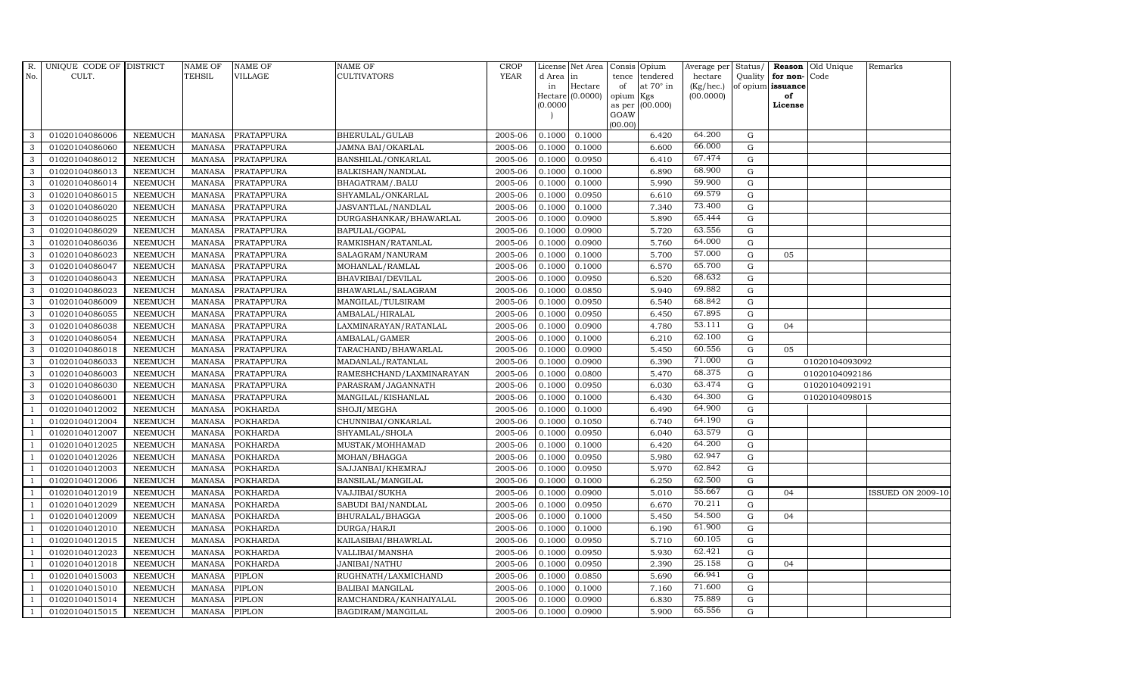| R.             | UNIQUE CODE OF DISTRICT |                | <b>NAME OF</b> | <b>NAME OF</b>    | NAME OF                  | <b>CROP</b> |           | License Net Area   |                | Consis Opium     | Average per Status/ |             |                   | Reason Old Unique | Remarks           |
|----------------|-------------------------|----------------|----------------|-------------------|--------------------------|-------------|-----------|--------------------|----------------|------------------|---------------------|-------------|-------------------|-------------------|-------------------|
| No.            | CULT.                   |                | <b>TEHSIL</b>  | <b>VILLAGE</b>    | CULTIVATORS              | <b>YEAR</b> | d Area in |                    | tence          | tendered         | hectare             |             | Quality for non-  | Code              |                   |
|                |                         |                |                |                   |                          |             | in        | Hectare            | of             | at $70^\circ$ in | (Kg/hec.)           |             | of opium issuance |                   |                   |
|                |                         |                |                |                   |                          |             |           | Hectare $(0.0000)$ | opium          | Kgs              | (00.0000)           |             | of                |                   |                   |
|                |                         |                |                |                   |                          |             | (0.0000)  |                    | as per<br>GOAW | (00.000)         |                     |             | License           |                   |                   |
|                |                         |                |                |                   |                          |             |           |                    | (00.00)        |                  |                     |             |                   |                   |                   |
| 3              | 01020104086006          | <b>NEEMUCH</b> | <b>MANASA</b>  | PRATAPPURA        | BHERULAL/GULAB           | 2005-06     | 0.1000    | 0.1000             |                | 6.420            | 64.200              | G           |                   |                   |                   |
| 3              | 01020104086060          | <b>NEEMUCH</b> | <b>MANASA</b>  | PRATAPPURA        | <b>JAMNA BAI/OKARLAL</b> | 2005-06     | 0.1000    | 0.1000             |                | 6.600            | 66.000              | $\mathbf G$ |                   |                   |                   |
| 3              | 01020104086012          | <b>NEEMUCH</b> | <b>MANASA</b>  | PRATAPPURA        | BANSHILAL/ONKARLAL       | 2005-06     | 0.1000    | 0.0950             |                | 6.410            | 67.474              | G           |                   |                   |                   |
| 3              | 01020104086013          | <b>NEEMUCH</b> | <b>MANASA</b>  | PRATAPPURA        | BALKISHAN/NANDLAL        | 2005-06     | 0.1000    | 0.1000             |                | 6.890            | 68.900              | G           |                   |                   |                   |
| 3              | 01020104086014          | <b>NEEMUCH</b> | <b>MANASA</b>  | PRATAPPURA        | BHAGATRAM/.BALU          | 2005-06     | 0.1000    | 0.1000             |                | 5.990            | 59.900              | G           |                   |                   |                   |
| 3              | 01020104086015          | <b>NEEMUCH</b> | <b>MANASA</b>  | PRATAPPURA        | SHYAMLAL/ONKARLAL        | 2005-06     | 0.1000    | 0.0950             |                | 6.610            | 69.579              | G           |                   |                   |                   |
| 3              | 01020104086020          | <b>NEEMUCH</b> | <b>MANASA</b>  | PRATAPPURA        | JASVANTLAL/NANDLAL       | 2005-06     | 0.1000    | 0.1000             |                | 7.340            | 73.400              | G           |                   |                   |                   |
| 3              | 01020104086025          | <b>NEEMUCH</b> | <b>MANASA</b>  | PRATAPPURA        | DURGASHANKAR/BHAWARLAL   | 2005-06     | 0.1000    | 0.0900             |                | 5.890            | 65.444              | $\mathbf G$ |                   |                   |                   |
| 3              | 01020104086029          | <b>NEEMUCH</b> | <b>MANASA</b>  | PRATAPPURA        | BAPULAL/GOPAL            | 2005-06     | 0.1000    | 0.0900             |                | 5.720            | 63.556              | G           |                   |                   |                   |
| 3              | 01020104086036          | <b>NEEMUCH</b> | <b>MANASA</b>  | <b>PRATAPPURA</b> | RAMKISHAN/RATANLAL       | 2005-06     | 0.1000    | 0.0900             |                | 5.760            | 64.000              | G           |                   |                   |                   |
| 3              | 01020104086023          | <b>NEEMUCH</b> | <b>MANASA</b>  | PRATAPPURA        | SALAGRAM/NANURAM         | 2005-06     | 0.1000    | 0.1000             |                | 5.700            | 57.000              | G           | 05                |                   |                   |
| 3              | 01020104086047          | <b>NEEMUCH</b> | <b>MANASA</b>  | PRATAPPURA        | MOHANLAL/RAMLAL          | 2005-06     | 0.1000    | 0.1000             |                | 6.570            | 65.700              | G           |                   |                   |                   |
| 3              | 01020104086043          | <b>NEEMUCH</b> | <b>MANASA</b>  | <b>PRATAPPURA</b> | BHAVRIBAI/DEVILAL        | 2005-06     | 0.1000    | 0.0950             |                | 6.520            | 68.632              | $\mathbf G$ |                   |                   |                   |
| 3              | 01020104086023          | <b>NEEMUCH</b> | <b>MANASA</b>  | PRATAPPURA        | BHAWARLAL/SALAGRAM       | 2005-06     | 0.1000    | 0.0850             |                | 5.940            | 69.882              | G           |                   |                   |                   |
| 3              | 01020104086009          | <b>NEEMUCH</b> | <b>MANASA</b>  | PRATAPPURA        | MANGILAL/TULSIRAM        | 2005-06     | 0.1000    | 0.0950             |                | 6.540            | 68.842              | G           |                   |                   |                   |
| 3              | 01020104086055          | <b>NEEMUCH</b> | <b>MANASA</b>  | PRATAPPURA        | AMBALAL/HIRALAL          | 2005-06     | 0.1000    | 0.0950             |                | 6.450            | 67.895              | G           |                   |                   |                   |
| 3              | 01020104086038          | <b>NEEMUCH</b> | <b>MANASA</b>  | PRATAPPURA        | LAXMINARAYAN/RATANLAL    | 2005-06     | 0.1000    | 0.0900             |                | 4.780            | 53.111              | G           | 04                |                   |                   |
| 3              | 01020104086054          | <b>NEEMUCH</b> | <b>MANASA</b>  | <b>PRATAPPURA</b> | AMBALAL/GAMER            | 2005-06     | 0.1000    | 0.1000             |                | 6.210            | 62.100              | G           |                   |                   |                   |
| 3              | 01020104086018          | <b>NEEMUCH</b> | <b>MANASA</b>  | PRATAPPURA        | TARACHAND/BHAWARLAL      | 2005-06     | 0.1000    | 0.0900             |                | 5.450            | 60.556              | $\mathbf G$ | 05                |                   |                   |
| 3              | 01020104086033          | <b>NEEMUCH</b> | <b>MANASA</b>  | PRATAPPURA        | MADANLAL/RATANLAL        | 2005-06     | 0.1000    | 0.0900             |                | 6.390            | 71.000              | $\mathbf G$ |                   | 01020104093092    |                   |
| 3              | 01020104086003          | <b>NEEMUCH</b> | <b>MANASA</b>  | PRATAPPURA        | RAMESHCHAND/LAXMINARAYAN | 2005-06     | 0.1000    | 0.0800             |                | 5.470            | 68.375              | G           |                   | 01020104092186    |                   |
| 3              | 01020104086030          | <b>NEEMUCH</b> | <b>MANASA</b>  | PRATAPPURA        | PARASRAM/JAGANNATH       | 2005-06     | 0.1000    | 0.0950             |                | 6.030            | 63.474              | G           |                   | 01020104092191    |                   |
| 3              | 01020104086001          | <b>NEEMUCH</b> | <b>MANASA</b>  | PRATAPPURA        | MANGILAL/KISHANLAL       | 2005-06     | 0.1000    | 0.1000             |                | 6.430            | 64.300              | G           |                   | 01020104098015    |                   |
| $\mathbf{1}$   | 01020104012002          | <b>NEEMUCH</b> | <b>MANASA</b>  | <b>POKHARDA</b>   | SHOJI/MEGHA              | 2005-06     | 0.1000    | 0.1000             |                | 6.490            | 64.900              | $\mathbf G$ |                   |                   |                   |
|                | 01020104012004          | <b>NEEMUCH</b> | <b>MANASA</b>  | POKHARDA          | CHUNNIBAI/ONKARLAL       | 2005-06     | 0.1000    | 0.1050             |                | 6.740            | 64.190              | G           |                   |                   |                   |
| -1             | 01020104012007          | <b>NEEMUCH</b> | <b>MANASA</b>  | <b>POKHARDA</b>   | SHYAMLAL/SHOLA           | 2005-06     | 0.1000    | 0.0950             |                | 6.040            | 63.579              | G           |                   |                   |                   |
| $\overline{1}$ | 01020104012025          | <b>NEEMUCH</b> | <b>MANASA</b>  | <b>POKHARDA</b>   | MUSTAK/MOHHAMAD          | 2005-06     | 0.1000    | 0.1000             |                | 6.420            | 64.200              | G           |                   |                   |                   |
| $\overline{1}$ | 01020104012026          | <b>NEEMUCH</b> | <b>MANASA</b>  | POKHARDA          | MOHAN/BHAGGA             | 2005-06     | 0.1000    | 0.0950             |                | 5.980            | 62.947              | G           |                   |                   |                   |
| $\overline{1}$ | 01020104012003          | <b>NEEMUCH</b> | <b>MANASA</b>  | <b>POKHARDA</b>   | SAJJANBAI/KHEMRAJ        | 2005-06     | 0.1000    | 0.0950             |                | 5.970            | 62.842              | $\mathbf G$ |                   |                   |                   |
|                | 01020104012006          | <b>NEEMUCH</b> | <b>MANASA</b>  | POKHARDA          | BANSILAL/MANGILAL        | 2005-06     | 0.1000    | 0.1000             |                | 6.250            | 62.500              | $\mathbf G$ |                   |                   |                   |
| -1             | 01020104012019          | <b>NEEMUCH</b> | <b>MANASA</b>  | <b>POKHARDA</b>   | VAJJIBAI/SUKHA           | 2005-06     | 0.1000    | 0.0900             |                | 5.010            | 55.667              | G           | 04                |                   | ISSUED ON 2009-10 |
|                | 01020104012029          | <b>NEEMUCH</b> | <b>MANASA</b>  | <b>POKHARDA</b>   | SABUDI BAI/NANDLAL       | 2005-06     | 0.1000    | 0.0950             |                | 6.670            | 70.211              | G           |                   |                   |                   |
| $\overline{1}$ | 01020104012009          | <b>NEEMUCH</b> | <b>MANASA</b>  | POKHARDA          | BHURALAL/BHAGGA          | 2005-06     | 0.1000    | 0.1000             |                | 5.450            | 54.500              | G           | 04                |                   |                   |
| $\overline{1}$ | 01020104012010          | <b>NEEMUCH</b> | <b>MANASA</b>  | <b>POKHARDA</b>   | DURGA/HARJI              | 2005-06     | 0.1000    | 0.1000             |                | 6.190            | 61.900              | $\mathbf G$ |                   |                   |                   |
|                | 01020104012015          | <b>NEEMUCH</b> | <b>MANASA</b>  | <b>POKHARDA</b>   | KAILASIBAI/BHAWRLAL      | 2005-06     | 0.1000    | 0.0950             |                | 5.710            | 60.105              | $\mathbf G$ |                   |                   |                   |
| $\overline{1}$ | 01020104012023          | <b>NEEMUCH</b> | <b>MANASA</b>  | <b>POKHARDA</b>   | VALLIBAI/MANSHA          | 2005-06     | 0.1000    | 0.0950             |                | 5.930            | 62.421              | G           |                   |                   |                   |
|                | 01020104012018          | <b>NEEMUCH</b> | <b>MANASA</b>  | <b>POKHARDA</b>   | JANIBAI/NATHU            | 2005-06     | 0.1000    | 0.0950             |                | 2.390            | 25.158              | G           | 04                |                   |                   |
| $\overline{1}$ | 01020104015003          | <b>NEEMUCH</b> | <b>MANASA</b>  | PIPLON            | RUGHNATH/LAXMICHAND      | 2005-06     | 0.1000    | 0.0850             |                | 5.690            | 66.941              | G           |                   |                   |                   |
| $\overline{1}$ | 01020104015010          | <b>NEEMUCH</b> | <b>MANASA</b>  | PIPLON            | <b>BALIBAI MANGILAL</b>  | 2005-06     | 0.1000    | 0.1000             |                | 7.160            | 71.600              | G           |                   |                   |                   |
|                | 01020104015014          | <b>NEEMUCH</b> | <b>MANASA</b>  | PIPLON            | RAMCHANDRA/KANHAIYALAL   | 2005-06     | 0.1000    | 0.0900             |                | 6.830            | 75.889              | $\mathbf G$ |                   |                   |                   |
| $\mathbf{1}$   | 01020104015015          | <b>NEEMUCH</b> | MANASA         | <b>PIPLON</b>     | BAGDIRAM/MANGILAL        | 2005-06     | 0.1000    | 0.0900             |                | 5.900            | 65.556              | G           |                   |                   |                   |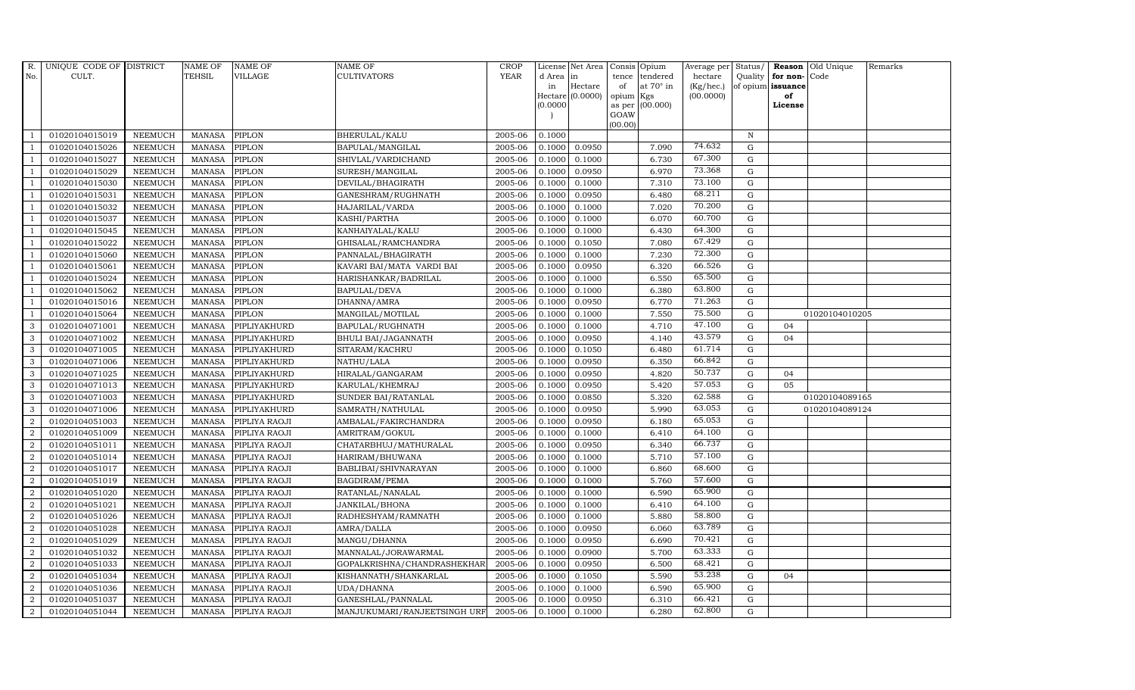| R.             | UNIQUE CODE OF DISTRICT |                | <b>NAME OF</b> | <b>NAME OF</b>       | NAME OF                      | <b>CROP</b> |           | License Net Area |         | Consis Opium           | Average per | Status/     |                   | <b>Reason</b> Old Unique | Remarks |
|----------------|-------------------------|----------------|----------------|----------------------|------------------------------|-------------|-----------|------------------|---------|------------------------|-------------|-------------|-------------------|--------------------------|---------|
| No.            | CULT.                   |                | TEHSIL         | VILLAGE              | CULTIVATORS                  | <b>YEAR</b> | d Area in |                  | tence   | tendered               | hectare     | Quality     | for non-Code      |                          |         |
|                |                         |                |                |                      |                              |             | in        | Hectare          | of      | at $70^\circ$ in       | (Kg/hec.)   |             | of opium issuance |                          |         |
|                |                         |                |                |                      |                              |             | (0.0000)  | Hectare (0.0000) | opium   | Kgs<br>as per (00.000) | (00.0000)   |             | of<br>License     |                          |         |
|                |                         |                |                |                      |                              |             |           |                  | GOAW    |                        |             |             |                   |                          |         |
|                |                         |                |                |                      |                              |             |           |                  | (00.00) |                        |             |             |                   |                          |         |
|                | 01020104015019          | <b>NEEMUCH</b> | MANASA         | PIPLON               | BHERULAL/KALU                | 2005-06     | 0.1000    |                  |         |                        |             | $\mathbb N$ |                   |                          |         |
| -1             | 01020104015026          | <b>NEEMUCH</b> | <b>MANASA</b>  | <b>PIPLON</b>        | BAPULAL/MANGILAL             | 2005-06     | 0.1000    | 0.0950           |         | 7.090                  | 74.632      | $\mathbf G$ |                   |                          |         |
|                | 01020104015027          | <b>NEEMUCH</b> | <b>MANASA</b>  | <b>PIPLON</b>        | SHIVLAL/VARDICHAND           | 2005-06     | 0.1000    | 0.1000           |         | 6.730                  | 67.300      | G           |                   |                          |         |
|                | 01020104015029          | <b>NEEMUCH</b> | <b>MANASA</b>  | <b>PIPLON</b>        | SURESH/MANGILAL              | 2005-06     | 0.1000    | 0.0950           |         | 6.970                  | 73.368      | ${\rm G}$   |                   |                          |         |
| $\mathbf{1}$   | 01020104015030          | <b>NEEMUCH</b> | <b>MANASA</b>  | <b>PIPLON</b>        | DEVILAL/BHAGIRATH            | 2005-06     | 0.1000    | 0.1000           |         | 7.310                  | 73.100      | ${\rm G}$   |                   |                          |         |
| $\overline{1}$ | 01020104015031          | <b>NEEMUCH</b> | <b>MANASA</b>  | <b>PIPLON</b>        | GANESHRAM/RUGHNATH           | 2005-06     | 0.1000    | 0.0950           |         | 6.480                  | 68.211      | G           |                   |                          |         |
| $\overline{1}$ | 01020104015032          | <b>NEEMUCH</b> | <b>MANASA</b>  | PIPLON               | HAJARILAL/VARDA              | 2005-06     | 0.1000    | 0.1000           |         | 7.020                  | 70.200      | $\mathbf G$ |                   |                          |         |
| $\overline{1}$ | 01020104015037          | <b>NEEMUCH</b> | <b>MANASA</b>  | PIPLON               | KASHI/PARTHA                 | 2005-06     | 0.1000    | 0.1000           |         | 6.070                  | 60.700      | $\mathbf G$ |                   |                          |         |
|                | 01020104015045          | <b>NEEMUCH</b> | <b>MANASA</b>  | PIPLON               | KANHAIYALAL/KALU             | 2005-06     | 0.1000    | 0.1000           |         | 6.430                  | 64.300      | G           |                   |                          |         |
| $\overline{1}$ | 01020104015022          | <b>NEEMUCH</b> | <b>MANASA</b>  | PIPLON               | GHISALAL/RAMCHANDRA          | 2005-06     | 0.1000    | 0.1050           |         | 7.080                  | 67.429      | G           |                   |                          |         |
| -1             | 01020104015060          | <b>NEEMUCH</b> | <b>MANASA</b>  | <b>PIPLON</b>        | PANNALAL/BHAGIRATH           | 2005-06     | 0.1000    | 0.1000           |         | 7.230                  | 72.300      | ${\rm G}$   |                   |                          |         |
| $\overline{1}$ | 01020104015061          | <b>NEEMUCH</b> | <b>MANASA</b>  | PIPLON               | KAVARI BAI/MATA VARDI BAI    | 2005-06     | 0.1000    | 0.0950           |         | 6.320                  | 66.526      | $\mathbf G$ |                   |                          |         |
| $\overline{1}$ | 01020104015024          | <b>NEEMUCH</b> | <b>MANASA</b>  | PIPLON               | HARISHANKAR/BADRILAL         | 2005-06     | 0.1000    | 0.1000           |         | 6.550                  | 65.500      | $\mathbf G$ |                   |                          |         |
|                | 01020104015062          | <b>NEEMUCH</b> | <b>MANASA</b>  | <b>PIPLON</b>        | BAPULAL/DEVA                 | 2005-06     | 0.1000    | 0.1000           |         | 6.380                  | 63.800      | G           |                   |                          |         |
|                | 01020104015016          | <b>NEEMUCH</b> | <b>MANASA</b>  | PIPLON               | DHANNA/AMRA                  | 2005-06     | 0.1000    | 0.0950           |         | 6.770                  | 71.263      | ${\rm G}$   |                   |                          |         |
| $\overline{1}$ | 01020104015064          | <b>NEEMUCH</b> | <b>MANASA</b>  | PIPLON               | MANGILAL/MOTILAL             | 2005-06     | 0.1000    | 0.1000           |         | 7.550                  | 75.500      | G           |                   | 01020104010205           |         |
| 3              | 01020104071001          | <b>NEEMUCH</b> | <b>MANASA</b>  | PIPLIYAKHURD         | BAPULAL/RUGHNATH             | 2005-06     | 0.1000    | 0.1000           |         | 4.710                  | 47.100      | G           | 04                |                          |         |
| $\mathbf{3}$   | 01020104071002          | <b>NEEMUCH</b> | <b>MANASA</b>  | PIPLIYAKHURD         | <b>BHULI BAI/JAGANNATH</b>   | 2005-06     | 0.1000    | 0.0950           |         | 4.140                  | 43.579      | G           | 04                |                          |         |
| 3              | 01020104071005          | <b>NEEMUCH</b> | <b>MANASA</b>  | PIPLIYAKHURD         | SITARAM/KACHRU               | 2005-06     | 0.1000    | 0.1050           |         | 6.480                  | 61.714      | $\mathbf G$ |                   |                          |         |
| 3              | 01020104071006          | <b>NEEMUCH</b> | <b>MANASA</b>  | PIPLIYAKHURD         | NATHU/LALA                   | 2005-06     | 0.1000    | 0.0950           |         | 6.350                  | 66.842      | $\mathbf G$ |                   |                          |         |
| $\mathbf{3}$   | 01020104071025          | <b>NEEMUCH</b> | <b>MANASA</b>  | PIPLIYAKHURD         | HIRALAL/GANGARAM             | 2005-06     | 0.1000    | 0.0950           |         | 4.820                  | 50.737      | G           | 04                |                          |         |
| 3              | 01020104071013          | <b>NEEMUCH</b> | <b>MANASA</b>  | PIPLIYAKHURD         | KARULAL/KHEMRAJ              | 2005-06     | 0.1000    | 0.0950           |         | 5.420                  | 57.053      | G           | 05                |                          |         |
| $\mathbf{3}$   | 01020104071003          | <b>NEEMUCH</b> | MANASA         | PIPLIYAKHURD         | SUNDER BAI/RATANLAL          | 2005-06     | 0.1000    | 0.0850           |         | 5.320                  | 62.588      | G           |                   | 01020104089165           |         |
| 3              | 01020104071006          | <b>NEEMUCH</b> | <b>MANASA</b>  | PIPLIYAKHURD         | SAMRATH/NATHULAL             | 2005-06     | 0.1000    | 0.0950           |         | 5.990                  | 63.053      | $\mathbf G$ |                   | 01020104089124           |         |
| $\sqrt{2}$     | 01020104051003          | <b>NEEMUCH</b> | <b>MANASA</b>  | PIPLIYA RAOJI        | AMBALAL/FAKIRCHANDRA         | 2005-06     | 0.1000    | 0.0950           |         | 6.180                  | 65.053      | G           |                   |                          |         |
| $\overline{2}$ | 01020104051009          | <b>NEEMUCH</b> | <b>MANASA</b>  | PIPLIYA RAOJI        | AMRITRAM/GOKUL               | 2005-06     | 0.1000    | 0.1000           |         | 6.410                  | 64.100      | G           |                   |                          |         |
| $\overline{a}$ | 01020104051011          | <b>NEEMUCH</b> | <b>MANASA</b>  | PIPLIYA RAOJI        | CHATARBHUJ/MATHURALAL        | 2005-06     | 0.1000    | 0.0950           |         | 6.340                  | 66.737      | ${\rm G}$   |                   |                          |         |
| 2              | 01020104051014          | <b>NEEMUCH</b> | <b>MANASA</b>  | PIPLIYA RAOJI        | HARIRAM/BHUWANA              | 2005-06     | 0.1000    | 0.1000           |         | 5.710                  | 57.100      | G           |                   |                          |         |
| 2              | 01020104051017          | <b>NEEMUCH</b> | <b>MANASA</b>  | PIPLIYA RAOJI        | BABLIBAI/SHIVNARAYAN         | 2005-06     | 0.1000    | 0.1000           |         | 6.860                  | 68.600      | $\mathbf G$ |                   |                          |         |
| $\sqrt{2}$     | 01020104051019          | <b>NEEMUCH</b> | <b>MANASA</b>  | PIPLIYA RAOJI        | BAGDIRAM/PEMA                | 2005-06     | 0.1000    | 0.1000           |         | 5.760                  | 57.600      | $\mathbf G$ |                   |                          |         |
| 2              | 01020104051020          | <b>NEEMUCH</b> | <b>MANASA</b>  | PIPLIYA RAOJI        | RATANLAL/NANALAL             | 2005-06     | 0.1000    | 0.1000           |         | 6.590                  | 65.900      | G           |                   |                          |         |
| $\overline{a}$ | 01020104051021          | <b>NEEMUCH</b> | <b>MANASA</b>  | PIPLIYA RAOJI        | JANKILAL/BHONA               | 2005-06     | 0.1000    | 0.1000           |         | 6.410                  | 64.100      | ${\rm G}$   |                   |                          |         |
| $\overline{a}$ | 01020104051026          | <b>NEEMUCH</b> | <b>MANASA</b>  | PIPLIYA RAOJI        | RADHESHYAM/RAMNATH           | 2005-06     | 0.1000    | 0.1000           |         | 5.880                  | 58.800      | $\mathbf G$ |                   |                          |         |
| 2              | 01020104051028          | <b>NEEMUCH</b> | <b>MANASA</b>  | PIPLIYA RAOJI        | AMRA/DALLA                   | 2005-06     | 0.1000    | 0.0950           |         | 6.060                  | 63.789      | $\mathbf G$ |                   |                          |         |
| $\overline{2}$ | 01020104051029          | <b>NEEMUCH</b> | <b>MANASA</b>  | PIPLIYA RAOJI        | MANGU/DHANNA                 | 2005-06     | 0.1000    | 0.0950           |         | 6.690                  | 70.421      | $\mathbf G$ |                   |                          |         |
| $\overline{a}$ | 01020104051032          | <b>NEEMUCH</b> | <b>MANASA</b>  | PIPLIYA RAOJI        | MANNALAL/JORAWARMAL          | 2005-06     | 0.1000    | 0.0900           |         | 5.700                  | 63.333      | G           |                   |                          |         |
| $\overline{2}$ | 01020104051033          | <b>NEEMUCH</b> | <b>MANASA</b>  | PIPLIYA RAOJI        | GOPALKRISHNA/CHANDRASHEKHAR  | 2005-06     | 0.1000    | 0.0950           |         | 6.500                  | 68.421      | $\mathbf G$ |                   |                          |         |
| $\overline{a}$ | 01020104051034          | <b>NEEMUCH</b> | <b>MANASA</b>  | PIPLIYA RAOJI        | KISHANNATH/SHANKARLAL        | 2005-06     | 0.1000    | 0.1050           |         | 5.590                  | 53.238      | ${\rm G}$   | 04                |                          |         |
| 2              | 01020104051036          | <b>NEEMUCH</b> | <b>MANASA</b>  | PIPLIYA RAOJI        | UDA/DHANNA                   | 2005-06     | 0.1000    | 0.1000           |         | 6.590                  | 65.900      | G           |                   |                          |         |
| 2              | 01020104051037          | <b>NEEMUCH</b> | <b>MANASA</b>  | PIPLIYA RAOJI        | GANESHLAL/PANNALAL           | 2005-06     | 0.1000    | 0.0950           |         | 6.310                  | 66.421      | G           |                   |                          |         |
| $\overline{a}$ | 01020104051044          | <b>NEEMUCH</b> |                | MANASA PIPLIYA RAOJI | MANJUKUMARI/RANJEETSINGH URF | 2005-06     | 0.1000    | 0.1000           |         | 6.280                  | 62.800      | G           |                   |                          |         |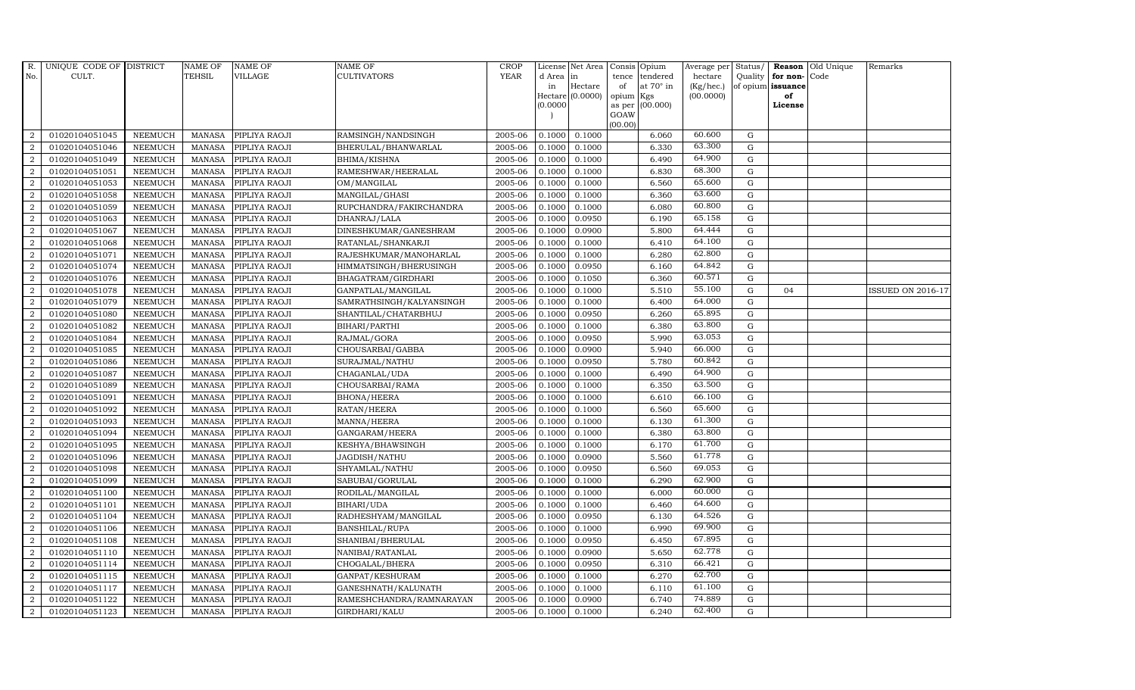| R.               | UNIQUE CODE OF DISTRICT |                | <b>NAME OF</b> | <b>NAME OF</b> | NAME OF                  | <b>CROP</b> |           | License Net Area   |                 | Consis Opium     | Average per Status/ |             |                   | Reason Old Unique | Remarks                  |
|------------------|-------------------------|----------------|----------------|----------------|--------------------------|-------------|-----------|--------------------|-----------------|------------------|---------------------|-------------|-------------------|-------------------|--------------------------|
| No.              | CULT.                   |                | <b>TEHSIL</b>  | VILLAGE        | CULTIVATORS              | <b>YEAR</b> | d Area in |                    | tence           | tendered         | hectare             |             | Quality for non-  | Code              |                          |
|                  |                         |                |                |                |                          |             | in        | Hectare            | of              | at $70^\circ$ in | (Kg/hec.)           |             | of opium issuance |                   |                          |
|                  |                         |                |                |                |                          |             | (0.0000)  | Hectare $(0.0000)$ | opium<br>as per | Kgs<br>(00.000)  | (00.0000)           |             | of<br>License     |                   |                          |
|                  |                         |                |                |                |                          |             |           |                    | GOAW            |                  |                     |             |                   |                   |                          |
|                  |                         |                |                |                |                          |             |           |                    | (00.00)         |                  |                     |             |                   |                   |                          |
| 2                | 01020104051045          | <b>NEEMUCH</b> | <b>MANASA</b>  | PIPLIYA RAOJI  | RAMSINGH/NANDSINGH       | 2005-06     | 0.1000    | 0.1000             |                 | 6.060            | 60.600              | G           |                   |                   |                          |
| $\overline{2}$   | 01020104051046          | <b>NEEMUCH</b> | <b>MANASA</b>  | PIPLIYA RAOJI  | BHERULAL/BHANWARLAL      | 2005-06     | 0.1000    | 0.1000             |                 | 6.330            | 63.300              | $\mathbf G$ |                   |                   |                          |
| 2                | 01020104051049          | <b>NEEMUCH</b> | <b>MANASA</b>  | PIPLIYA RAOJI  | BHIMA/KISHNA             | 2005-06     | 0.1000    | 0.1000             |                 | 6.490            | 64.900              | G           |                   |                   |                          |
| $\overline{2}$   | 01020104051051          | <b>NEEMUCH</b> | <b>MANASA</b>  | PIPLIYA RAOJI  | RAMESHWAR/HEERALAL       | 2005-06     | 0.1000    | 0.1000             |                 | 6.830            | 68.300              | G           |                   |                   |                          |
| $\overline{2}$   | 01020104051053          | <b>NEEMUCH</b> | <b>MANASA</b>  | PIPLIYA RAOJI  | OM/MANGILAL              | 2005-06     | 0.1000    | 0.1000             |                 | 6.560            | 65.600              | G           |                   |                   |                          |
| $\overline{2}$   | 01020104051058          | <b>NEEMUCH</b> | <b>MANASA</b>  | PIPLIYA RAOJI  | MANGILAL/GHASI           | 2005-06     | 0.1000    | 0.1000             |                 | 6.360            | 63.600              | G           |                   |                   |                          |
| $\overline{2}$   | 01020104051059          | <b>NEEMUCH</b> | <b>MANASA</b>  | PIPLIYA RAOJI  | RUPCHANDRA/FAKIRCHANDRA  | 2005-06     | 0.1000    | 0.1000             |                 | 6.080            | 60.800              | G           |                   |                   |                          |
| $\overline{2}$   | 01020104051063          | <b>NEEMUCH</b> | <b>MANASA</b>  | PIPLIYA RAOJI  | DHANRAJ/LALA             | 2005-06     | 0.1000    | 0.0950             |                 | 6.190            | 65.158              | $\mathbf G$ |                   |                   |                          |
| $\overline{2}$   | 01020104051067          | <b>NEEMUCH</b> | <b>MANASA</b>  | PIPLIYA RAOJI  | DINESHKUMAR/GANESHRAM    | 2005-06     | 0.1000    | 0.0900             |                 | 5.800            | 64.444              | G           |                   |                   |                          |
| $\overline{2}$   | 01020104051068          | <b>NEEMUCH</b> | <b>MANASA</b>  | PIPLIYA RAOJI  | RATANLAL/SHANKARJI       | 2005-06     | 0.1000    | 0.1000             |                 | 6.410            | 64.100              | G           |                   |                   |                          |
| $\overline{2}$   | 01020104051071          | <b>NEEMUCH</b> | <b>MANASA</b>  | PIPLIYA RAOJI  | RAJESHKUMAR/MANOHARLAL   | 2005-06     | 0.1000    | 0.1000             |                 | 6.280            | 62.800              | G           |                   |                   |                          |
| $\overline{2}$   | 01020104051074          | <b>NEEMUCH</b> | <b>MANASA</b>  | PIPLIYA RAOJI  | HIMMATSINGH/BHERUSINGH   | 2005-06     | 0.1000    | 0.0950             |                 | 6.160            | 64.842              | G           |                   |                   |                          |
| $\overline{2}$   | 01020104051076          | <b>NEEMUCH</b> | <b>MANASA</b>  | PIPLIYA RAOJI  | BHAGATRAM/GIRDHARI       | 2005-06     | 0.1000    | 0.1050             |                 | 6.360            | 60.571              | $\mathbf G$ |                   |                   |                          |
| $\overline{2}$   | 01020104051078          | <b>NEEMUCH</b> | <b>MANASA</b>  | PIPLIYA RAOJI  | GANPATLAL/MANGILAL       | 2005-06     | 0.1000    | 0.1000             |                 | 5.510            | 55.100              | G           | 04                |                   | <b>ISSUED ON 2016-17</b> |
| $\overline{2}$   | 01020104051079          | <b>NEEMUCH</b> | <b>MANASA</b>  | PIPLIYA RAOJI  | SAMRATHSINGH/KALYANSINGH | 2005-06     | 0.1000    | 0.1000             |                 | 6.400            | 64.000              | G           |                   |                   |                          |
| $\overline{2}$   | 01020104051080          | <b>NEEMUCH</b> | <b>MANASA</b>  | PIPLIYA RAOJI  | SHANTILAL/CHATARBHUJ     | 2005-06     | 0.1000    | 0.0950             |                 | 6.260            | 65.895              | G           |                   |                   |                          |
| $\overline{2}$   | 01020104051082          | <b>NEEMUCH</b> | <b>MANASA</b>  | PIPLIYA RAOJI  | BIHARI/PARTHI            | 2005-06     | 0.1000    | 0.1000             |                 | 6.380            | 63.800              | G           |                   |                   |                          |
| $\overline{2}$   | 01020104051084          | <b>NEEMUCH</b> | MANASA         | PIPLIYA RAOJI  | RAJMAL/GORA              | 2005-06     | 0.1000    | 0.0950             |                 | 5.990            | 63.053              | G           |                   |                   |                          |
| $\overline{2}$   | 01020104051085          | <b>NEEMUCH</b> | <b>MANASA</b>  | PIPLIYA RAOJI  | CHOUSARBAI/GABBA         | 2005-06     | 0.1000    | 0.0900             |                 | 5.940            | 66.000              | G           |                   |                   |                          |
| $\overline{2}$   | 01020104051086          | <b>NEEMUCH</b> | <b>MANASA</b>  | PIPLIYA RAOJI  | SURAJMAL/NATHU           | 2005-06     | 0.1000    | 0.0950             |                 | 5.780            | 60.842              | G           |                   |                   |                          |
| $\overline{2}$   | 01020104051087          | <b>NEEMUCH</b> | <b>MANASA</b>  | PIPLIYA RAOJI  | CHAGANLAL/UDA            | 2005-06     | 0.1000    | 0.1000             |                 | 6.490            | 64.900              | G           |                   |                   |                          |
| $\boldsymbol{2}$ | 01020104051089          | <b>NEEMUCH</b> | <b>MANASA</b>  | PIPLIYA RAOJI  | CHOUSARBAI/RAMA          | 2005-06     | 0.1000    | 0.1000             |                 | 6.350            | 63.500              | G           |                   |                   |                          |
| $\overline{2}$   | 01020104051091          | <b>NEEMUCH</b> | <b>MANASA</b>  | PIPLIYA RAOJI  | <b>BHONA/HEERA</b>       | 2005-06     | 0.1000    | 0.1000             |                 | 6.610            | 66.100              | G           |                   |                   |                          |
| $\overline{2}$   | 01020104051092          | <b>NEEMUCH</b> | <b>MANASA</b>  | PIPLIYA RAOJI  | RATAN/HEERA              | 2005-06     | 0.1000    | 0.1000             |                 | 6.560            | 65.600              | $\mathbf G$ |                   |                   |                          |
| $\overline{2}$   | 01020104051093          | <b>NEEMUCH</b> | <b>MANASA</b>  | PIPLIYA RAOJI  | MANNA/HEERA              | 2005-06     | 0.1000    | 0.1000             |                 | 6.130            | 61.300              | G           |                   |                   |                          |
| $\overline{2}$   | 01020104051094          | <b>NEEMUCH</b> | <b>MANASA</b>  | PIPLIYA RAOJI  | GANGARAM/HEERA           | 2005-06     | 0.1000    | 0.1000             |                 | 6.380            | 63.800              | G           |                   |                   |                          |
| $\overline{2}$   | 01020104051095          | <b>NEEMUCH</b> | <b>MANASA</b>  | PIPLIYA RAOJI  | KESHYA/BHAWSINGH         | 2005-06     | 0.1000    | 0.1000             |                 | 6.170            | 61.700              | G           |                   |                   |                          |
| $\overline{2}$   | 01020104051096          | <b>NEEMUCH</b> | <b>MANASA</b>  | PIPLIYA RAOJI  | JAGDISH/NATHU            | 2005-06     | 0.1000    | 0.0900             |                 | 5.560            | 61.778              | G           |                   |                   |                          |
| $\overline{2}$   | 01020104051098          | <b>NEEMUCH</b> | <b>MANASA</b>  | PIPLIYA RAOJI  | SHYAMLAL/NATHU           | 2005-06     | 0.1000    | 0.0950             |                 | 6.560            | 69.053              | $\mathbf G$ |                   |                   |                          |
| $\overline{2}$   | 01020104051099          | <b>NEEMUCH</b> | <b>MANASA</b>  | PIPLIYA RAOJI  | SABUBAI/GORULAL          | 2005-06     | 0.1000    | 0.1000             |                 | 6.290            | 62.900              | G           |                   |                   |                          |
| $\overline{2}$   | 01020104051100          | <b>NEEMUCH</b> | <b>MANASA</b>  | PIPLIYA RAOJI  | RODILAL/MANGILAL         | 2005-06     | 0.1000    | 0.1000             |                 | 6.000            | 60.000              | G           |                   |                   |                          |
| $\overline{2}$   | 01020104051101          | <b>NEEMUCH</b> | <b>MANASA</b>  | PIPLIYA RAOJI  | BIHARI/UDA               | 2005-06     | 0.1000    | 0.1000             |                 | 6.460            | 64.600              | G           |                   |                   |                          |
| $\overline{2}$   | 01020104051104          | <b>NEEMUCH</b> | <b>MANASA</b>  | PIPLIYA RAOJI  | RADHESHYAM/MANGILAL      | 2005-06     | 0.1000    | 0.0950             |                 | 6.130            | 64.526              | G           |                   |                   |                          |
| 2                | 01020104051106          | <b>NEEMUCH</b> | <b>MANASA</b>  | PIPLIYA RAOJI  | <b>BANSHILAL/RUPA</b>    | 2005-06     | 0.1000    | 0.1000             |                 | 6.990            | 69.900              | $\mathbf G$ |                   |                   |                          |
| $\overline{2}$   | 01020104051108          | <b>NEEMUCH</b> | <b>MANASA</b>  | PIPLIYA RAOJI  | SHANIBAI/BHERULAL        | 2005-06     | 0.1000    | 0.0950             |                 | 6.450            | 67.895              | $\mathbf G$ |                   |                   |                          |
| $\overline{2}$   | 01020104051110          | <b>NEEMUCH</b> | <b>MANASA</b>  | PIPLIYA RAOJI  | NANIBAI/RATANLAL         | 2005-06     | 0.1000    | 0.0900             |                 | 5.650            | 62.778              | G           |                   |                   |                          |
| $\overline{2}$   | 01020104051114          | <b>NEEMUCH</b> | <b>MANASA</b>  | PIPLIYA RAOJI  | CHOGALAL/BHERA           | 2005-06     | 0.1000    | 0.0950             |                 | 6.310            | 66.421              | G           |                   |                   |                          |
| $\overline{2}$   | 01020104051115          | <b>NEEMUCH</b> | <b>MANASA</b>  | PIPLIYA RAOJI  | GANPAT/KESHURAM          | 2005-06     | 0.1000    | 0.1000             |                 | 6.270            | 62.700              | G           |                   |                   |                          |
| 2                | 01020104051117          | <b>NEEMUCH</b> | <b>MANASA</b>  | PIPLIYA RAOJI  | GANESHNATH/KALUNATH      | 2005-06     | 0.1000    | 0.1000             |                 | 6.110            | 61.100              | G           |                   |                   |                          |
| $\overline{2}$   | 01020104051122          | <b>NEEMUCH</b> | <b>MANASA</b>  | PIPLIYA RAOJI  | RAMESHCHANDRA/RAMNARAYAN | 2005-06     | 0.1000    | 0.0900             |                 | 6.740            | 74.889              | $\mathbf G$ |                   |                   |                          |
| $\overline{2}$   | 01020104051123          | <b>NEEMUCH</b> | MANASA         | PIPLIYA RAOJI  | GIRDHARI/KALU            | 2005-06     | 0.1000    | 0.1000             |                 | 6.240            | 62.400              | G           |                   |                   |                          |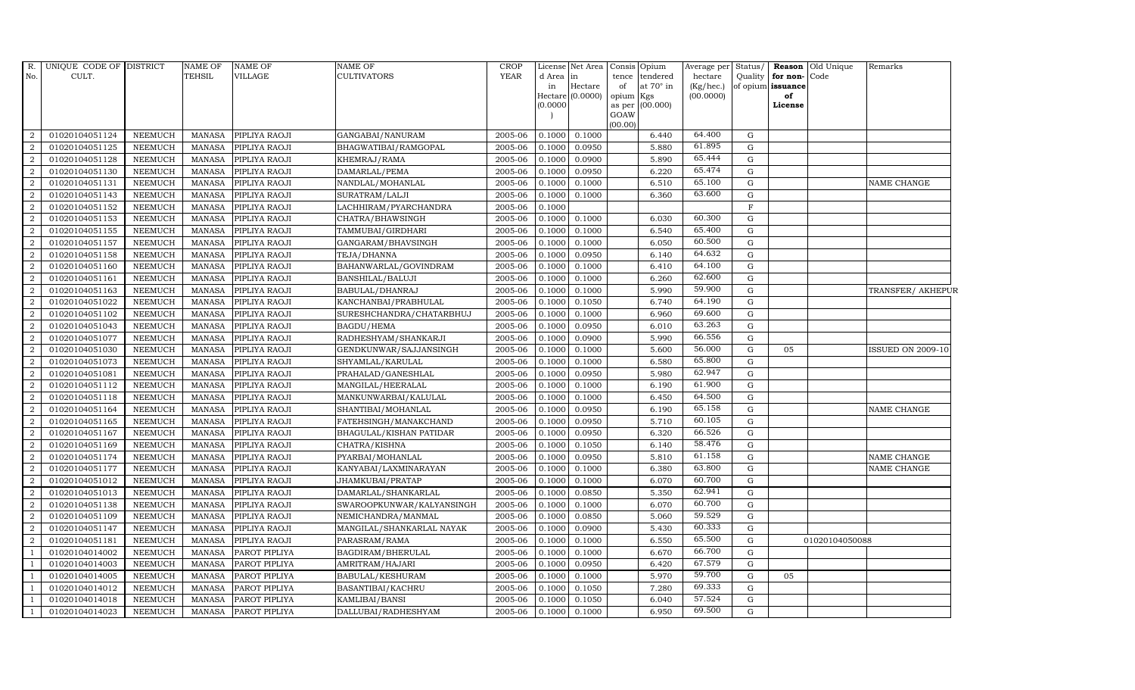| $R_{\cdot}$<br>No. | UNIQUE CODE OF DISTRICT<br>CULT. |                | NAME OF<br>TEHSIL | NAME OF<br>VILLAGE | <b>NAME OF</b><br><b>CULTIVATORS</b> | <b>CROP</b><br><b>YEAR</b> | d Area in | License Net Area   Consis   Opium | tence          |                       | Average per<br>hectare | Status/     |                                   | Reason Old Unique | Remarks                  |
|--------------------|----------------------------------|----------------|-------------------|--------------------|--------------------------------------|----------------------------|-----------|-----------------------------------|----------------|-----------------------|------------------------|-------------|-----------------------------------|-------------------|--------------------------|
|                    |                                  |                |                   |                    |                                      |                            | in        | Hectare                           | of             | tendered<br>at 70° in | (Kg/hec.)              | Quality     | for non-Code<br>of opium issuance |                   |                          |
|                    |                                  |                |                   |                    |                                      |                            |           | Hectare (0.0000)                  | opium          | Kgs                   | (00.0000)              |             | of                                |                   |                          |
|                    |                                  |                |                   |                    |                                      |                            | (0.0000)  |                                   | as per<br>GOAW | (00.000)              |                        |             | License                           |                   |                          |
|                    |                                  |                |                   |                    |                                      |                            |           |                                   | (00.00)        |                       |                        |             |                                   |                   |                          |
| 2                  | 01020104051124                   | NEEMUCH        | MANASA            | PIPLIYA RAOJI      | GANGABAI/NANURAM                     | 2005-06                    |           | 0.1000 0.1000                     |                | 6.440                 | 64.400                 | G           |                                   |                   |                          |
| $\overline{2}$     | 01020104051125                   | <b>NEEMUCH</b> | <b>MANASA</b>     | PIPLIYA RAOJI      | BHAGWATIBAI/RAMGOPAL                 | 2005-06                    | 0.1000    | 0.0950                            |                | 5.880                 | 61.895                 | $\mathbf G$ |                                   |                   |                          |
| 2                  | 01020104051128                   | <b>NEEMUCH</b> | <b>MANASA</b>     | PIPLIYA RAOJI      | KHEMRAJ/RAMA                         | 2005-06                    | 0.1000    | 0.0900                            |                | 5.890                 | 65.444                 | G           |                                   |                   |                          |
| $\boldsymbol{2}$   | 01020104051130                   | <b>NEEMUCH</b> | <b>MANASA</b>     | PIPLIYA RAOJI      | DAMARLAL/PEMA                        | 2005-06                    | 0.1000    | 0.0950                            |                | 6.220                 | 65.474                 | ${\rm G}$   |                                   |                   |                          |
| $\overline{2}$     | 01020104051131                   | <b>NEEMUCH</b> | <b>MANASA</b>     | PIPLIYA RAOJI      | NANDLAL/MOHANLAL                     | 2005-06                    | 0.1000    | 0.1000                            |                | 6.510                 | 65.100                 | G           |                                   |                   | NAME CHANGE              |
| $\overline{2}$     | 01020104051143                   | <b>NEEMUCH</b> | <b>MANASA</b>     | PIPLIYA RAOJI      | SURATRAM/LALJI                       | 2005-06                    | 0.1000    | 0.1000                            |                | 6.360                 | 63.600                 | G           |                                   |                   |                          |
| $\overline{2}$     | 01020104051152                   | <b>NEEMUCH</b> | <b>MANASA</b>     | PIPLIYA RAOJI      | LACHHIRAM/PYARCHANDRA                | 2005-06                    | 0.1000    |                                   |                |                       |                        | $\mathbf F$ |                                   |                   |                          |
| $\overline{2}$     | 01020104051153                   | <b>NEEMUCH</b> | <b>MANASA</b>     | PIPLIYA RAOJI      | CHATRA/BHAWSINGH                     | 2005-06                    | 0.1000    | 0.1000                            |                | 6.030                 | 60.300                 | G           |                                   |                   |                          |
| $\overline{2}$     | 01020104051155                   | <b>NEEMUCH</b> | <b>MANASA</b>     | PIPLIYA RAOJI      | TAMMUBAI/GIRDHARI                    | 2005-06                    | 0.1000    | 0.1000                            |                | 6.540                 | 65.400                 | G           |                                   |                   |                          |
| $\overline{2}$     | 01020104051157                   | <b>NEEMUCH</b> | <b>MANASA</b>     | PIPLIYA RAOJI      | GANGARAM/BHAVSINGH                   | 2005-06                    | 0.1000    | 0.1000                            |                | 6.050                 | 60.500                 | ${\rm G}$   |                                   |                   |                          |
| $\overline{2}$     | 01020104051158                   | <b>NEEMUCH</b> | <b>MANASA</b>     | PIPLIYA RAOJI      | TEJA/DHANNA                          | 2005-06                    | 0.1000    | 0.0950                            |                | 6.140                 | 64.632                 | G           |                                   |                   |                          |
| $\overline{2}$     | 01020104051160                   | <b>NEEMUCH</b> | <b>MANASA</b>     | PIPLIYA RAOJI      | BAHANWARLAL/GOVINDRAM                | 2005-06                    | 0.1000    | 0.1000                            |                | 6.410                 | 64.100                 | G           |                                   |                   |                          |
| $\overline{2}$     | 01020104051161                   | <b>NEEMUCH</b> | <b>MANASA</b>     | PIPLIYA RAOJI      | BANSHILAL/BALUJI                     | 2005-06                    | 0.1000    | 0.1000                            |                | 6.260                 | 62.600                 | G           |                                   |                   |                          |
| $\overline{2}$     | 01020104051163                   | <b>NEEMUCH</b> | <b>MANASA</b>     | PIPLIYA RAOJI      | BABULAL/DHANRAJ                      | 2005-06                    | 0.1000    | 0.1000                            |                | 5.990                 | 59.900                 | G           |                                   |                   | TRANSFER/ AKHEPUR        |
| $\overline{2}$     | 01020104051022                   | <b>NEEMUCH</b> | <b>MANASA</b>     | PIPLIYA RAOJI      | KANCHANBAI/PRABHULAL                 | 2005-06                    | 0.1000    | 0.1050                            |                | 6.740                 | 64.190                 | ${\rm G}$   |                                   |                   |                          |
| $\overline{2}$     | 01020104051102                   | <b>NEEMUCH</b> | <b>MANASA</b>     | PIPLIYA RAOJI      | SURESHCHANDRA/CHATARBHUJ             | 2005-06                    | 0.1000    | 0.1000                            |                | 6.960                 | 69.600                 | G           |                                   |                   |                          |
| $\overline{2}$     | 01020104051043                   | <b>NEEMUCH</b> | <b>MANASA</b>     | PIPLIYA RAOJI      | <b>BAGDU/HEMA</b>                    | 2005-06                    | 0.1000    | 0.0950                            |                | 6.010                 | 63.263                 | $\mathbf G$ |                                   |                   |                          |
| $\overline{2}$     | 01020104051077                   | <b>NEEMUCH</b> | MANASA            | PIPLIYA RAOJI      | RADHESHYAM/SHANKARJI                 | 2005-06                    | 0.1000    | 0.0900                            |                | 5.990                 | 66.556                 | G           |                                   |                   |                          |
| $\overline{2}$     | 01020104051030                   | <b>NEEMUCH</b> | <b>MANASA</b>     | PIPLIYA RAOJI      | GENDKUNWAR/SAJJANSINGH               | 2005-06                    | 0.1000    | 0.1000                            |                | 5.600                 | 56.000                 | ${\rm G}$   | 05                                |                   | <b>ISSUED ON 2009-10</b> |
| $\overline{2}$     | 01020104051073                   | <b>NEEMUCH</b> | <b>MANASA</b>     | PIPLIYA RAOJI      | SHYAMLAL/KARULAL                     | 2005-06                    | 0.1000    | 0.1000                            |                | 6.580                 | 65.800                 | $\mathbf G$ |                                   |                   |                          |
| $\overline{2}$     | 01020104051081                   | <b>NEEMUCH</b> | <b>MANASA</b>     | PIPLIYA RAOJI      | PRAHALAD/GANESHLAL                   | 2005-06                    | 0.1000    | 0.0950                            |                | 5.980                 | 62.947                 | G           |                                   |                   |                          |
| $\overline{2}$     | 01020104051112                   | <b>NEEMUCH</b> | <b>MANASA</b>     | PIPLIYA RAOJI      | MANGILAL/HEERALAL                    | 2005-06                    | 0.1000    | 0.1000                            |                | 6.190                 | 61.900                 | ${\rm G}$   |                                   |                   |                          |
| $\overline{a}$     | 01020104051118                   | <b>NEEMUCH</b> | MANASA            | PIPLIYA RAOJI      | MANKUNWARBAI/KALULAL                 | 2005-06                    | 0.1000    | 0.1000                            |                | 6.450                 | 64.500                 | G           |                                   |                   |                          |
| $\boldsymbol{2}$   | 01020104051164                   | <b>NEEMUCH</b> | <b>MANASA</b>     | PIPLIYA RAOJI      | SHANTIBAI/MOHANLAL                   | 2005-06                    | 0.1000    | 0.0950                            |                | 6.190                 | 65.158                 | ${\rm G}$   |                                   |                   | NAME CHANGE              |
| $\boldsymbol{2}$   | 01020104051165                   | <b>NEEMUCH</b> | <b>MANASA</b>     | PIPLIYA RAOJI      | FATEHSINGH/MANAKCHAND                | 2005-06                    | 0.1000    | 0.0950                            |                | 5.710                 | 60.105                 | ${\rm G}$   |                                   |                   |                          |
| $\overline{2}$     | 01020104051167                   | <b>NEEMUCH</b> | MANASA            | PIPLIYA RAOJI      | BHAGULAL/KISHAN PATIDAR              | 2005-06                    | 0.1000    | 0.0950                            |                | 6.320                 | 66.526                 | G           |                                   |                   |                          |
| $\overline{2}$     | 01020104051169                   | <b>NEEMUCH</b> | <b>MANASA</b>     | PIPLIYA RAOJI      | CHATRA/KISHNA                        | 2005-06                    | 0.1000    | 0.1050                            |                | 6.140                 | 58.476                 | ${\rm G}$   |                                   |                   |                          |
| $\overline{2}$     | 01020104051174                   | <b>NEEMUCH</b> | <b>MANASA</b>     | PIPLIYA RAOJI      | PYARBAI/MOHANLAL                     | 2005-06                    | 0.1000    | 0.0950                            |                | 5.810                 | 61.158                 | G           |                                   |                   | NAME CHANGE              |
| $\overline{2}$     | 01020104051177                   | <b>NEEMUCH</b> | <b>MANASA</b>     | PIPLIYA RAOJI      | KANYABAI/LAXMINARAYAN                | 2005-06                    | 0.1000    | 0.1000                            |                | 6.380                 | 63.800                 | ${\rm G}$   |                                   |                   | NAME CHANGE              |
| $\boldsymbol{2}$   | 01020104051012                   | <b>NEEMUCH</b> | <b>MANASA</b>     | PIPLIYA RAOJI      | JHAMKUBAI/PRATAP                     | 2005-06                    | 0.1000    | 0.1000                            |                | 6.070                 | 60.700                 | ${\rm G}$   |                                   |                   |                          |
| $\overline{2}$     | 01020104051013                   | <b>NEEMUCH</b> | <b>MANASA</b>     | PIPLIYA RAOJI      | DAMARLAL/SHANKARLAL                  | 2005-06                    | 0.1000    | 0.0850                            |                | 5.350                 | 62.941                 | G           |                                   |                   |                          |
| $\overline{2}$     | 01020104051138                   | <b>NEEMUCH</b> | <b>MANASA</b>     | PIPLIYA RAOJI      | SWAROOPKUNWAR/KALYANSINGH            | 2005-06                    | 0.1000    | 0.1000                            |                | 6.070                 | 60.700<br>59.529       | G           |                                   |                   |                          |
| $\overline{2}$     | 01020104051109                   | <b>NEEMUCH</b> | <b>MANASA</b>     | PIPLIYA RAOJI      | NEMICHANDRA/MANMAL                   | 2005-06                    | 0.1000    | 0.0850                            |                | 5.060                 |                        | G           |                                   |                   |                          |
| $\overline{2}$     | 01020104051147                   | <b>NEEMUCH</b> | <b>MANASA</b>     | PIPLIYA RAOJI      | MANGILAL/SHANKARLAL NAYAK            | 2005-06                    | 0.1000    | 0.0900                            |                | 5.430                 | 60.333                 | $\mathbf G$ |                                   |                   |                          |
| $\overline{2}$     | 01020104051181                   | <b>NEEMUCH</b> | <b>MANASA</b>     | PIPLIYA RAOJI      | PARASRAM/RAMA                        | 2005-06                    | 0.1000    | 0.1000                            |                | 6.550                 | 65.500<br>66.700       | $\mathbf G$ |                                   | 01020104050088    |                          |
| $\overline{1}$     | 01020104014002                   | <b>NEEMUCH</b> | <b>MANASA</b>     | PAROT PIPLIYA      | BAGDIRAM/BHERULAL                    | 2005-06                    | 0.1000    | 0.1000                            |                | 6.670                 | 67.579                 | G           |                                   |                   |                          |
| $\overline{1}$     | 01020104014003                   | <b>NEEMUCH</b> | <b>MANASA</b>     | PAROT PIPLIYA      | AMRITRAM/HAJARI                      | 2005-06                    | 0.1000    | 0.0950                            |                | 6.420                 | 59.700                 | G           |                                   |                   |                          |
| $\overline{1}$     | 01020104014005                   | <b>NEEMUCH</b> | <b>MANASA</b>     | PAROT PIPLIYA      | BABULAL/KESHURAM                     | 2005-06                    | 0.1000    | 0.1000                            |                | 5.970                 | 69.333                 | ${\rm G}$   | 05                                |                   |                          |
| $\overline{1}$     | 01020104014012                   | <b>NEEMUCH</b> | <b>MANASA</b>     | PAROT PIPLIYA      | BASANTIBAI/KACHRU                    | 2005-06                    | 0.1000    | 0.1050                            |                | 7.280                 | 57.524                 | $\mathbf G$ |                                   |                   |                          |
|                    | 01020104014018                   | <b>NEEMUCH</b> | <b>MANASA</b>     | PAROT PIPLIYA      | KAMLIBAI/BANSI                       | 2005-06                    | 0.1000    | 0.1050                            |                | 6.040                 | 69.500                 | $\mathbf G$ |                                   |                   |                          |
| $\mathbf{1}$       | 01020104014023                   | <b>NEEMUCH</b> | <b>MANASA</b>     | PAROT PIPLIYA      | DALLUBAI/RADHESHYAM                  | 2005-06                    | 0.1000    | 0.1000                            |                | 6.950                 |                        | G           |                                   |                   |                          |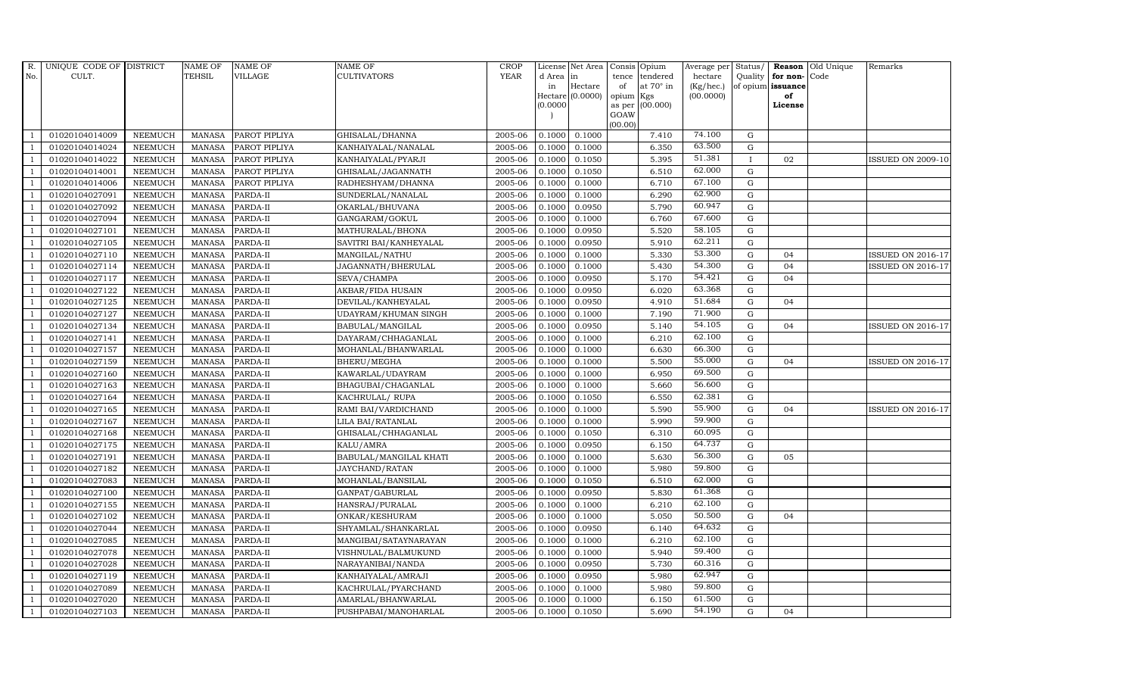| R.             | UNIQUE CODE OF DISTRICT |                | <b>NAME OF</b>  | <b>NAME OF</b> | <b>NAME OF</b>           | CROP        |            | License Net Area |                     | Consis Opium | Average per | Status/      | Reason            | Old Unique | Remarks                  |
|----------------|-------------------------|----------------|-----------------|----------------|--------------------------|-------------|------------|------------------|---------------------|--------------|-------------|--------------|-------------------|------------|--------------------------|
| No.            | CULT.                   |                | TEHSIL          | <b>VILLAGE</b> | <b>CULTIVATORS</b>       | <b>YEAR</b> | d Area lin |                  | tence               | tendered     | hectare     | Quality      | for non-          | Code       |                          |
|                |                         |                |                 |                |                          |             | in         | Hectare          | of                  | at 70° in    | (Kg/hec.)   |              | of opium issuance |            |                          |
|                |                         |                |                 |                |                          |             | (0.0000)   | Hectare (0.0000) | opium Kgs<br>as per | (00.000)     | (00.0000)   |              | of<br>License     |            |                          |
|                |                         |                |                 |                |                          |             |            |                  | GOAW                |              |             |              |                   |            |                          |
|                |                         |                |                 |                |                          |             |            |                  | (00.00)             |              |             |              |                   |            |                          |
|                | 01020104014009          | <b>NEEMUCH</b> | <b>MANASA</b>   | PAROT PIPLIYA  | GHISALAL/DHANNA          | 2005-06     | 0.1000     | 0.1000           |                     | 7.410        | 74.100      | ${\rm G}$    |                   |            |                          |
|                | 01020104014024          | <b>NEEMUCH</b> | <b>MANASA</b>   | PAROT PIPLIYA  | KANHAIYALAL/NANALAL      | 2005-06     | 0.1000     | 0.1000           |                     | 6.350        | 63.500      | ${\rm G}$    |                   |            |                          |
|                | 01020104014022          | <b>NEEMUCH</b> | <b>MANASA</b>   | PAROT PIPLIYA  | KANHAIYALAL/PYARJI       | 2005-06     | 0.1000     | 0.1050           |                     | 5.395        | 51.381      | $\mathbf{I}$ | 02                |            | <b>ISSUED ON 2009-10</b> |
|                | 01020104014001          | <b>NEEMUCH</b> | <b>MANASA</b>   | PAROT PIPLIYA  | GHISALAL/JAGANNATH       | 2005-06     | 0.1000     | 0.1050           |                     | 6.510        | 62.000      | $\mathbf G$  |                   |            |                          |
|                | 01020104014006          | <b>NEEMUCH</b> | $\mbox{MANASA}$ | PAROT PIPLIYA  | RADHESHYAM/DHANNA        | 2005-06     | 0.1000     | 0.1000           |                     | 6.710        | 67.100      | $\mathbf G$  |                   |            |                          |
| $\overline{1}$ | 01020104027091          | <b>NEEMUCH</b> | <b>MANASA</b>   | PARDA-II       | SUNDERLAL/NANALAL        | 2005-06     | 0.1000     | 0.1000           |                     | 6.290        | 62.900      | ${\rm G}$    |                   |            |                          |
| $\overline{1}$ | 01020104027092          | <b>NEEMUCH</b> | <b>MANASA</b>   | PARDA-II       | OKARLAL/BHUVANA          | 2005-06     | 0.1000     | 0.0950           |                     | 5.790        | 60.947      | ${\rm G}$    |                   |            |                          |
| $\overline{1}$ | 01020104027094          | <b>NEEMUCH</b> | <b>MANASA</b>   | PARDA-II       | GANGARAM/GOKUL           | 2005-06     | 0.1000     | 0.1000           |                     | 6.760        | 67.600      | G            |                   |            |                          |
|                | 01020104027101          | <b>NEEMUCH</b> | <b>MANASA</b>   | PARDA-II       | MATHURALAL/BHONA         | 2005-06     | 0.1000     | 0.0950           |                     | 5.520        | 58.105      | $\mathbf G$  |                   |            |                          |
|                | 01020104027105          | <b>NEEMUCH</b> | <b>MANASA</b>   | PARDA-II       | SAVITRI BAI/KANHEYALAL   | 2005-06     | 0.1000     | 0.0950           |                     | 5.910        | 62.211      | $\mathbf G$  |                   |            |                          |
| -1             | 01020104027110          | <b>NEEMUCH</b> | <b>MANASA</b>   | PARDA-II       | MANGILAL/NATHU           | 2005-06     | 0.1000     | 0.1000           |                     | 5.330        | 53.300      | ${\rm G}$    | 04                |            | <b>ISSUED ON 2016-17</b> |
|                | 01020104027114          | <b>NEEMUCH</b> | <b>MANASA</b>   | PARDA-II       | JAGANNATH/BHERULAL       | 2005-06     | 0.1000     | 0.1000           |                     | 5.430        | 54.300      | $\mathbf G$  | 04                |            | <b>ISSUED ON 2016-17</b> |
| $\overline{1}$ | 01020104027117          | <b>NEEMUCH</b> | <b>MANASA</b>   | PARDA-II       | SEVA/CHAMPA              | 2005-06     | 0.1000     | 0.0950           |                     | 5.170        | 54.421      | $\mathbf G$  | 04                |            |                          |
|                | 01020104027122          | <b>NEEMUCH</b> | <b>MANASA</b>   | PARDA-II       | <b>AKBAR/FIDA HUSAIN</b> | 2005-06     | 0.1000     | 0.0950           |                     | 6.020        | 63.368      | $\mathbf G$  |                   |            |                          |
|                | 01020104027125          | <b>NEEMUCH</b> | <b>MANASA</b>   | PARDA-II       | DEVILAL/KANHEYALAL       | 2005-06     | 0.1000     | 0.0950           |                     | 4.910        | 51.684      | $\mathbf G$  | 04                |            |                          |
| $\overline{1}$ | 01020104027127          | <b>NEEMUCH</b> | <b>MANASA</b>   | PARDA-II       | UDAYRAM/KHUMAN SINGH     | 2005-06     | 0.1000     | 0.1000           |                     | 7.190        | 71.900      | $\mathbf G$  |                   |            |                          |
| -1             | 01020104027134          | <b>NEEMUCH</b> | <b>MANASA</b>   | PARDA-II       | BABULAL/MANGILAL         | 2005-06     | 0.1000     | 0.0950           |                     | 5.140        | 54.105      | ${\rm G}$    | 04                |            | <b>ISSUED ON 2016-17</b> |
| $\overline{1}$ | 01020104027141          | <b>NEEMUCH</b> | MANASA          | PARDA-II       | DAYARAM/CHHAGANLAL       | 2005-06     | 0.1000     | 0.1000           |                     | 6.210        | 62.100      | $\mathbf G$  |                   |            |                          |
|                | 01020104027157          | <b>NEEMUCH</b> | <b>MANASA</b>   | PARDA-II       | MOHANLAL/BHANWARLAL      | 2005-06     | 0.1000     | 0.1000           |                     | 6.630        | 66.300      | $\mathbf G$  |                   |            |                          |
|                | 01020104027159          | <b>NEEMUCH</b> | <b>MANASA</b>   | PARDA-II       | BHERU/MEGHA              | 2005-06     | 0.1000     | 0.1000           |                     | 5.500        | 55.000      | $\mathbf G$  | 04                |            | <b>ISSUED ON 2016-17</b> |
| $\overline{1}$ | 01020104027160          | <b>NEEMUCH</b> | <b>MANASA</b>   | PARDA-II       | KAWARLAL/UDAYRAM         | 2005-06     | 0.1000     | 0.1000           |                     | 6.950        | 69.500      | $\mathbf G$  |                   |            |                          |
|                | 01020104027163          | <b>NEEMUCH</b> | <b>MANASA</b>   | PARDA-II       | BHAGUBAI/CHAGANLAL       | 2005-06     | 0.1000     | 0.1000           |                     | 5.660        | 56.600      | ${\rm G}$    |                   |            |                          |
| $\overline{1}$ | 01020104027164          | <b>NEEMUCH</b> | MANASA          | PARDA-II       | KACHRULAL/RUPA           | 2005-06     | 0.1000     | 0.1050           |                     | 6.550        | 62.381      | $\mathbf G$  |                   |            |                          |
|                | 01020104027165          | <b>NEEMUCH</b> | <b>MANASA</b>   | PARDA-II       | RAMI BAI/VARDICHAND      | 2005-06     | 0.1000     | 0.1000           |                     | 5.590        | 55.900      | $\mathbf G$  | 04                |            | <b>ISSUED ON 2016-17</b> |
|                | 01020104027167          | <b>NEEMUCH</b> | <b>MANASA</b>   | PARDA-II       | LILA BAI/RATANLAL        | 2005-06     | 0.1000     | 0.1000           |                     | 5.990        | 59.900      | $\mathbf G$  |                   |            |                          |
| $\overline{1}$ | 01020104027168          | <b>NEEMUCH</b> | <b>MANASA</b>   | PARDA-II       | GHISALAL/CHHAGANLAL      | 2005-06     | 0.1000     | 0.1050           |                     | 6.310        | 60.095      | ${\rm G}$    |                   |            |                          |
| -1             | 01020104027175          | <b>NEEMUCH</b> | <b>MANASA</b>   | PARDA-II       | KALU/AMRA                | 2005-06     | 0.1000     | 0.0950           |                     | 6.150        | 64.737      | $\mathbf G$  |                   |            |                          |
| $\overline{1}$ | 01020104027191          | <b>NEEMUCH</b> | MANASA          | PARDA-II       | BABULAL/MANGILAL KHATI   | 2005-06     | 0.1000     | 0.1000           |                     | 5.630        | 56.300      | $\mathbf G$  | 05                |            |                          |
|                | 01020104027182          | <b>NEEMUCH</b> | <b>MANASA</b>   | PARDA-II       | JAYCHAND/RATAN           | 2005-06     | 0.1000     | 0.1000           |                     | 5.980        | 59.800      | $\mathbf G$  |                   |            |                          |
|                | 01020104027083          | <b>NEEMUCH</b> | <b>MANASA</b>   | PARDA-II       | MOHANLAL/BANSILAL        | 2005-06     | 0.1000     | 0.1050           |                     | 6.510        | 62.000      | $\mathbf G$  |                   |            |                          |
|                | 01020104027100          | <b>NEEMUCH</b> | MANASA          | PARDA-II       | GANPAT/GABURLAL          | 2005-06     | 0.1000     | 0.0950           |                     | 5.830        | 61.368      | ${\rm G}$    |                   |            |                          |
|                | 01020104027155          | <b>NEEMUCH</b> | <b>MANASA</b>   | PARDA-II       | HANSRAJ/PURALAL          | 2005-06     | 0.1000     | 0.1000           |                     | 6.210        | 62.100      | $\mathbf G$  |                   |            |                          |
| $\overline{1}$ | 01020104027102          | <b>NEEMUCH</b> | <b>MANASA</b>   | PARDA-II       | ONKAR/KESHURAM           | 2005-06     | 0.1000     | 0.1000           |                     | 5.050        | 50.500      | ${\rm G}$    | 04                |            |                          |
| $\overline{1}$ | 01020104027044          | <b>NEEMUCH</b> | <b>MANASA</b>   | PARDA-II       | SHYAMLAL/SHANKARLAL      | 2005-06     | 0.1000     | 0.0950           |                     | 6.140        | 64.632      | $\mathbf G$  |                   |            |                          |
|                | 01020104027085          | <b>NEEMUCH</b> | <b>MANASA</b>   | PARDA-II       | MANGIBAI/SATAYNARAYAN    | 2005-06     | 0.1000     | 0.1000           |                     | 6.210        | 62.100      | $\mathbf G$  |                   |            |                          |
| $\overline{1}$ | 01020104027078          | <b>NEEMUCH</b> | <b>MANASA</b>   | PARDA-II       | VISHNULAL/BALMUKUND      | 2005-06     | 0.1000     | 0.1000           |                     | 5.940        | 59.400      | $\mathbf G$  |                   |            |                          |
|                | 01020104027028          | <b>NEEMUCH</b> | <b>MANASA</b>   | PARDA-II       | NARAYANIBAI/NANDA        | 2005-06     | 0.1000     | 0.0950           |                     | 5.730        | 60.316      | ${\rm G}$    |                   |            |                          |
| $\overline{1}$ | 01020104027119          | <b>NEEMUCH</b> | <b>MANASA</b>   | PARDA-II       | KANHAIYALAL/AMRAJI       | 2005-06     | 0.1000     | 0.0950           |                     | 5.980        | 62.947      | ${\rm G}$    |                   |            |                          |
| $\overline{1}$ | 01020104027089          | <b>NEEMUCH</b> | <b>MANASA</b>   | PARDA-II       | KACHRULAL/PYARCHAND      | 2005-06     | 0.1000     | 0.1000           |                     | 5.980        | 59.800      | $\mathbf G$  |                   |            |                          |
|                | 01020104027020          | <b>NEEMUCH</b> | <b>MANASA</b>   | PARDA-II       | AMARLAL/BHANWARLAL       | 2005-06     | 0.1000     | 0.1000           |                     | 6.150        | 61.500      | $\mathbf G$  |                   |            |                          |
| $\mathbf{1}$   | 01020104027103          | <b>NEEMUCH</b> | MANASA PARDA-II |                | PUSHPABAI/MANOHARLAL     | 2005-06     | 0.1000     | 0.1050           |                     | 5.690        | 54.190      | G            | 04                |            |                          |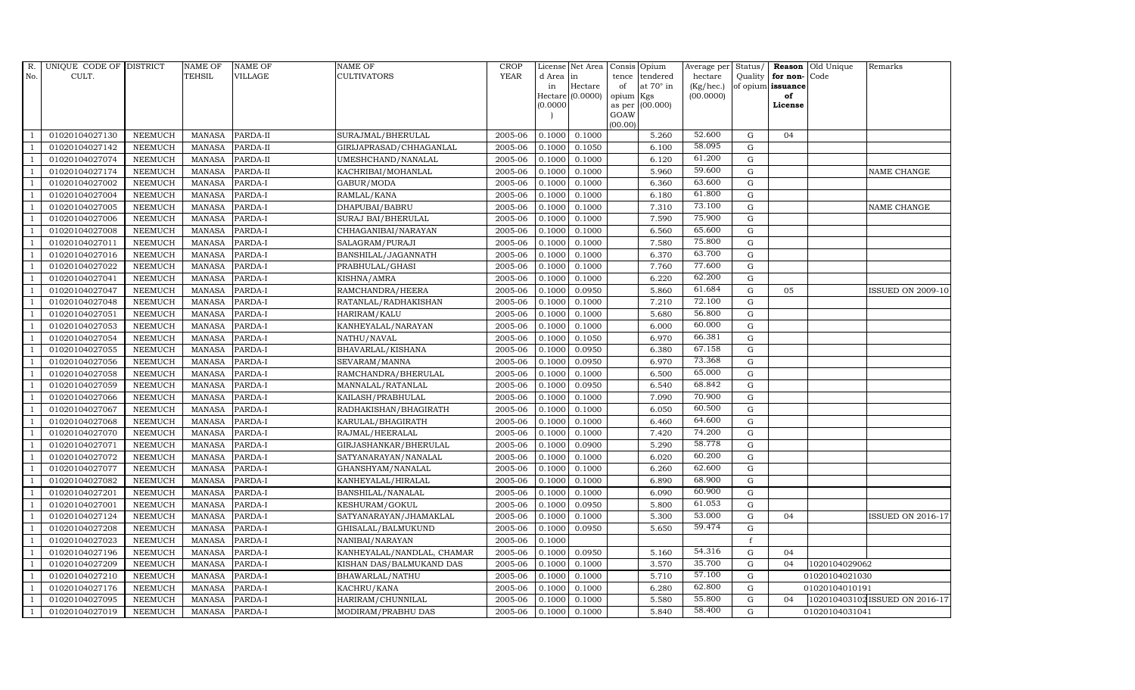| R.                       | UNIQUE CODE OF DISTRICT |                | <b>NAME OF</b>  | <b>NAME OF</b> | <b>NAME OF</b>             | <b>CROP</b> |           | License Net Area   | Consis Opium        |                  | Average per Status/ |              |                   | <b>Reason</b> Old Unique | Remarks                        |
|--------------------------|-------------------------|----------------|-----------------|----------------|----------------------------|-------------|-----------|--------------------|---------------------|------------------|---------------------|--------------|-------------------|--------------------------|--------------------------------|
| No.                      | CULT.                   |                | <b>TEHSIL</b>   | <b>VILLAGE</b> | <b>CULTIVATORS</b>         | <b>YEAR</b> | d Area in |                    |                     | tence tendered   | hectare             | Quality      | for non-Code      |                          |                                |
|                          |                         |                |                 |                |                            |             | in        | Hectare            | of                  | at $70^\circ$ in | (Kg/hec.)           |              | of opium issuance |                          |                                |
|                          |                         |                |                 |                |                            |             | 0.0000    | $Hectare (0.0000)$ | opium Kgs<br>as per | (00.000)         | (00.0000)           |              | of<br>License     |                          |                                |
|                          |                         |                |                 |                |                            |             |           |                    | GOAW                |                  |                     |              |                   |                          |                                |
|                          |                         |                |                 |                |                            |             |           |                    | (00.00)             |                  |                     |              |                   |                          |                                |
|                          | 01020104027130          | <b>NEEMUCH</b> | <b>MANASA</b>   | PARDA-II       | SURAJMAL/BHERULAL          | 2005-06     | 0.1000    | 0.1000             |                     | 5.260            | 52.600              | G            | 04                |                          |                                |
|                          | 01020104027142          | <b>NEEMUCH</b> | <b>MANASA</b>   | PARDA-II       | GIRIJAPRASAD/CHHAGANLAL    | 2005-06     | 0.1000    | 0.1050             |                     | 6.100            | 58.095              | ${\bf G}$    |                   |                          |                                |
| $\overline{1}$           | 01020104027074          | <b>NEEMUCH</b> | <b>MANASA</b>   | PARDA-II       | UMESHCHAND/NANALAL         | 2005-06     | 0.1000    | 0.1000             |                     | 6.120            | 61.200              | $\mathbf G$  |                   |                          |                                |
|                          | 01020104027174          | <b>NEEMUCH</b> | <b>MANASA</b>   | PARDA-II       | KACHRIBAI/MOHANLAL         | 2005-06     | 0.1000    | 0.1000             |                     | 5.960            | 59.600              | $\mathbf G$  |                   |                          | <b>NAME CHANGE</b>             |
| $\overline{1}$           | 01020104027002          | <b>NEEMUCH</b> | $\mbox{MANASA}$ | PARDA-I        | GABUR/MODA                 | 2005-06     | 0.1000    | 0.1000             |                     | 6.360            | 63.600              | $\mathbf G$  |                   |                          |                                |
| $\overline{1}$           | 01020104027004          | <b>NEEMUCH</b> | <b>MANASA</b>   | PARDA-I        | RAMLAL/KANA                | 2005-06     | 0.1000    | 0.1000             |                     | 6.180            | 61.800              | $\mathbf G$  |                   |                          |                                |
| $\overline{1}$           | 01020104027005          | <b>NEEMUCH</b> | <b>MANASA</b>   | PARDA-I        | DHAPUBAI/BABRU             | 2005-06     | 0.1000    | 0.1000             |                     | 7.310            | 73.100              | $\mathbf G$  |                   |                          | NAME CHANGE                    |
| $\overline{1}$           | 01020104027006          | <b>NEEMUCH</b> | <b>MANASA</b>   | PARDA-I        | SURAJ BAI/BHERULAL         | 2005-06     | 0.1000    | 0.1000             |                     | 7.590            | 75.900              | G            |                   |                          |                                |
|                          | 01020104027008          | <b>NEEMUCH</b> | <b>MANASA</b>   | PARDA-I        | CHHAGANIBAI/NARAYAN        | 2005-06     | 0.1000    | 0.1000             |                     | 6.560            | 65.600              | $\mathbf G$  |                   |                          |                                |
|                          | 01020104027011          | NEEMUCH        | <b>MANASA</b>   | PARDA-I        | SALAGRAM/PURAJI            | 2005-06     | 0.1000    | 0.1000             |                     | 7.580            | 75.800              | ${\rm G}$    |                   |                          |                                |
| -1                       | 01020104027016          | <b>NEEMUCH</b> | <b>MANASA</b>   | PARDA-I        | BANSHILAL/JAGANNATH        | 2005-06     | 0.1000    | 0.1000             |                     | 6.370            | 63.700              | $\mathbf G$  |                   |                          |                                |
| $\overline{\phantom{a}}$ | 01020104027022          | <b>NEEMUCH</b> | <b>MANASA</b>   | PARDA-I        | PRABHULAL/GHASI            | 2005-06     | 0.1000    | 0.1000             |                     | 7.760            | 77.600              | ${\bf G}$    |                   |                          |                                |
| $\overline{1}$           | 01020104027041          | <b>NEEMUCH</b> | <b>MANASA</b>   | PARDA-I        | KISHNA/AMRA                | 2005-06     | 0.1000    | 0.1000             |                     | 6.220            | 62.200              | G            |                   |                          |                                |
|                          | 01020104027047          | <b>NEEMUCH</b> | <b>MANASA</b>   | PARDA-I        | RAMCHANDRA/HEERA           | 2005-06     | 0.1000    | 0.0950             |                     | 5.860            | 61.684              | $\mathbf G$  | 05                |                          | <b>ISSUED ON 2009-10</b>       |
|                          | 01020104027048          | NEEMUCH        | <b>MANASA</b>   | PARDA-I        | RATANLAL/RADHAKISHAN       | 2005-06     | 0.1000    | 0.1000             |                     | 7.210            | 72.100              | G            |                   |                          |                                |
| $\overline{1}$           | 01020104027051          | <b>NEEMUCH</b> | <b>MANASA</b>   | PARDA-I        | HARIRAM/KALU               | 2005-06     | 0.1000    | 0.1000             |                     | 5.680            | 56.800              | $\mathbf G$  |                   |                          |                                |
| -1                       | 01020104027053          | <b>NEEMUCH</b> | <b>MANASA</b>   | PARDA-I        | KANHEYALAL/NARAYAN         | 2005-06     | 0.1000    | 0.1000             |                     | 6.000            | 60.000              | $\mathbf G$  |                   |                          |                                |
| $\overline{1}$           | 01020104027054          | <b>NEEMUCH</b> | MANASA          | PARDA-I        | NATHU/NAVAL                | 2005-06     | 0.1000    | 0.1050             |                     | 6.970            | 66.381              | ${\rm G}$    |                   |                          |                                |
|                          | 01020104027055          | <b>NEEMUCH</b> | <b>MANASA</b>   | PARDA-I        | BHAVARLAL/KISHANA          | 2005-06     | 0.1000    | 0.0950             |                     | 6.380            | 67.158              | $\mathbf G$  |                   |                          |                                |
|                          | 01020104027056          | NEEMUCH        | <b>MANASA</b>   | PARDA-I        | SEVARAM/MANNA              | 2005-06     | 0.1000    | 0.0950             |                     | 6.970            | 73.368              | ${\bf G}$    |                   |                          |                                |
| $\overline{1}$           | 01020104027058          | <b>NEEMUCH</b> | <b>MANASA</b>   | PARDA-I        | RAMCHANDRA/BHERULAL        | 2005-06     | 0.1000    | 0.1000             |                     | 6.500            | 65.000              | $\mathbf G$  |                   |                          |                                |
|                          | 01020104027059          | <b>NEEMUCH</b> | <b>MANASA</b>   | PARDA-I        | MANNALAL/RATANLAL          | 2005-06     | 0.1000    | 0.0950             |                     | 6.540            | 68.842              | $\mathbf G$  |                   |                          |                                |
| $\overline{1}$           | 01020104027066          | <b>NEEMUCH</b> | <b>MANASA</b>   | PARDA-I        | KAILASH/PRABHULAL          | 2005-06     | 0.1000    | 0.1000             |                     | 7.090            | 70.900              | ${\rm G}$    |                   |                          |                                |
|                          | 01020104027067          | <b>NEEMUCH</b> | <b>MANASA</b>   | PARDA-I        | RADHAKISHAN/BHAGIRATH      | 2005-06     | 0.1000    | 0.1000             |                     | 6.050            | 60.500              | $\mathbf G$  |                   |                          |                                |
|                          | 01020104027068          | NEEMUCH        | <b>MANASA</b>   | PARDA-I        | KARULAL/BHAGIRATH          | 2005-06     | 0.1000    | 0.1000             |                     | 6.460            | 64.600              | $\mathbf G$  |                   |                          |                                |
| $\overline{1}$           | 01020104027070          | <b>NEEMUCH</b> | <b>MANASA</b>   | PARDA-I        | RAJMAL/HEERALAL            | 2005-06     | 0.1000    | 0.1000             |                     | 7.420            | 74.200              | $\mathbf G$  |                   |                          |                                |
| -1                       | 01020104027071          | <b>NEEMUCH</b> | <b>MANASA</b>   | PARDA-I        | GIRJASHANKAR/BHERULAL      | 2005-06     | 0.1000    | 0.0900             |                     | 5.290            | 58.778              | $\mathbf G$  |                   |                          |                                |
| $\overline{1}$           | 01020104027072          | <b>NEEMUCH</b> | <b>MANASA</b>   | PARDA-I        | SATYANARAYAN/NANALAL       | 2005-06     | 0.1000    | 0.1000             |                     | 6.020            | 60.200              | ${\rm G}$    |                   |                          |                                |
|                          | 01020104027077          | <b>NEEMUCH</b> | <b>MANASA</b>   | PARDA-I        | GHANSHYAM/NANALAL          | 2005-06     | 0.1000    | 0.1000             |                     | 6.260            | 62.600              | ${\rm G}$    |                   |                          |                                |
|                          | 01020104027082          | <b>NEEMUCH</b> | <b>MANASA</b>   | PARDA-I        | KANHEYALAL/HIRALAL         | 2005-06     | 0.1000    | 0.1000             |                     | 6.890            | 68.900              | $\mathbf G$  |                   |                          |                                |
|                          | 01020104027201          | <b>NEEMUCH</b> | <b>MANASA</b>   | PARDA-I        | BANSHILAL/NANALAL          | 2005-06     | 0.1000    | 0.1000             |                     | 6.090            | 60.900              | ${\rm G}$    |                   |                          |                                |
|                          | 01020104027001          | <b>NEEMUCH</b> | <b>MANASA</b>   | PARDA-I        | KESHURAM/GOKUL             | 2005-06     | 0.1000    | 0.0950             |                     | 5.800            | 61.053              | $\mathbf G$  |                   |                          |                                |
| $\overline{1}$           | 01020104027124          | <b>NEEMUCH</b> | <b>MANASA</b>   | PARDA-I        | SATYANARAYAN/JHAMAKLAL     | 2005-06     | 0.1000    | 0.1000             |                     | 5.300            | 53.000              | ${\rm G}$    | 04                |                          | <b>ISSUED ON 2016-17</b>       |
| $\overline{1}$           | 01020104027208          | <b>NEEMUCH</b> | <b>MANASA</b>   | PARDA-I        | GHISALAL/BALMUKUND         | 2005-06     | 0.1000    | 0.0950             |                     | 5.650            | 59.474              | $\mathbf G$  |                   |                          |                                |
|                          | 01020104027023          | <b>NEEMUCH</b> | <b>MANASA</b>   | PARDA-I        | NANIBAI/NARAYAN            | 2005-06     | 0.1000    |                    |                     |                  |                     | $\mathbf{f}$ |                   |                          |                                |
| $\overline{1}$           | 01020104027196          | <b>NEEMUCH</b> | <b>MANASA</b>   | PARDA-I        | KANHEYALAL/NANDLAL, CHAMAR | 2005-06     | 0.1000    | 0.0950             |                     | 5.160            | 54.316              | ${\rm G}$    | 04                |                          |                                |
| $\overline{1}$           | 01020104027209          | <b>NEEMUCH</b> | <b>MANASA</b>   | PARDA-I        | KISHAN DAS/BALMUKAND DAS   | 2005-06     | 0.1000    | 0.1000             |                     | 3.570            | 35.700              | $\mathbf G$  | 04                | 1020104029062            |                                |
| $\overline{1}$           | 01020104027210          | <b>NEEMUCH</b> | <b>MANASA</b>   | PARDA-I        | BHAWARLAL/NATHU            | 2005-06     | 0.1000    | 0.1000             |                     | 5.710            | 57.100              | ${\bf G}$    |                   | 01020104021030           |                                |
| $\overline{1}$           | 01020104027176          | <b>NEEMUCH</b> | <b>MANASA</b>   | PARDA-I        | KACHRU/KANA                | 2005-06     | 0.1000    | 0.1000             |                     | 6.280            | 62.800              | $\mathbf G$  |                   | 01020104010191           |                                |
|                          | 01020104027095          | <b>NEEMUCH</b> | <b>MANASA</b>   | PARDA-I        | HARIRAM/CHUNNILAL          | 2005-06     | 0.1000    | 0.1000             |                     | 5.580            | 55.800              | G            | 04                |                          | 102010403102 ISSUED ON 2016-17 |
| $\mathbf{1}$             | 01020104027019          | <b>NEEMUCH</b> | MANASA          | PARDA-I        | MODIRAM/PRABHU DAS         | 2005-06     | 0.1000    | 0.1000             |                     | 5.840            | 58.400              | G            |                   | 01020104031041           |                                |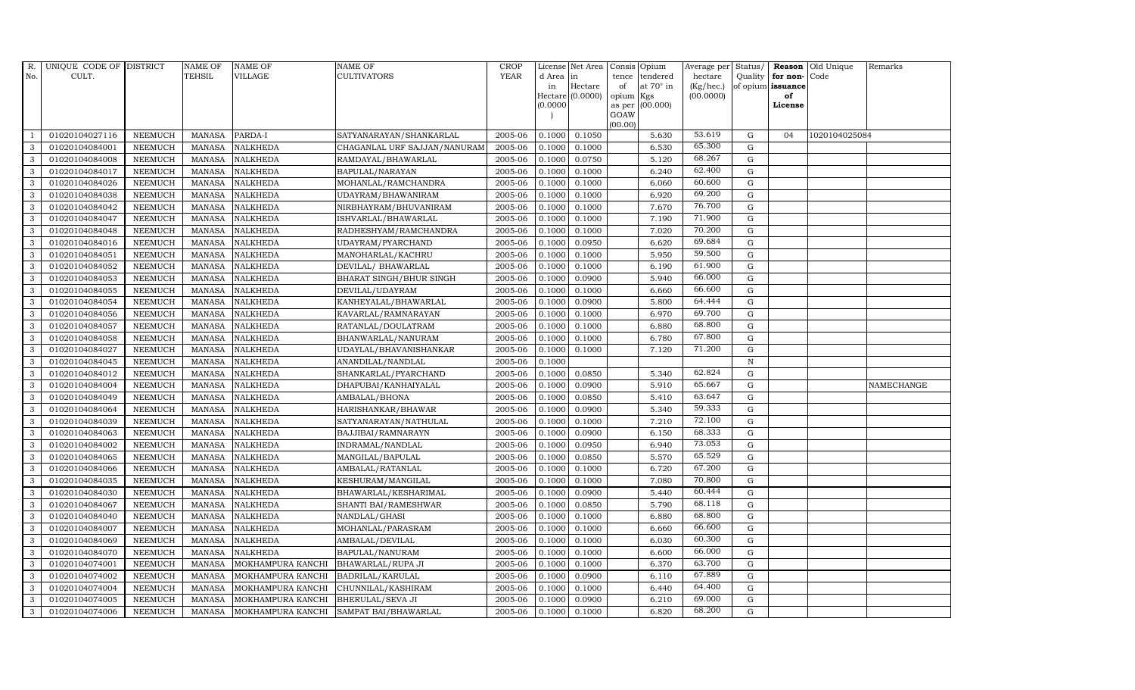| R.           | UNIQUE CODE OF DISTRICT |                | <b>NAME OF</b> | <b>NAME OF</b>           | <b>NAME OF</b>               | CROP        |           | License Net Area   Consis   Opium |           |                 | Average per | Status/     | Reason            | Old Unique    | Remarks    |
|--------------|-------------------------|----------------|----------------|--------------------------|------------------------------|-------------|-----------|-----------------------------------|-----------|-----------------|-------------|-------------|-------------------|---------------|------------|
| No.          | CULT.                   |                | <b>TEHSIL</b>  | <b>VILLAGE</b>           | <b>CULTIVATORS</b>           | <b>YEAR</b> | d Area in |                                   |           | tence tendered  | hectare     | Quality     | for non-          | Code          |            |
|              |                         |                |                |                          |                              |             | in        | Hectare                           | of        | at 70° in       | (Kg/hec.)   |             | of opium issuance |               |            |
|              |                         |                |                |                          |                              |             |           | Hectare (0.0000)                  | opium Kgs |                 | (00.0000)   |             | of                |               |            |
|              |                         |                |                |                          |                              |             | (0.0000)  |                                   | GOAW      | as per (00.000) |             |             | License           |               |            |
|              |                         |                |                |                          |                              |             |           |                                   | (00.00)   |                 |             |             |                   |               |            |
|              | 01020104027116          | <b>NEEMUCH</b> | MANASA         | PARDA-I                  | SATYANARAYAN/SHANKARLAL      | 2005-06     | 0.1000    | 0.1050                            |           | 5.630           | 53.619      | $\mathbf G$ | 04                | 1020104025084 |            |
| 3            | 01020104084001          | <b>NEEMUCH</b> | MANASA         | <b>NALKHEDA</b>          | CHAGANLAL URF SAJJAN/NANURAM | 2005-06     | 0.1000    | 0.1000                            |           | 6.530           | 65.300      | G           |                   |               |            |
| 3            | 01020104084008          | <b>NEEMUCH</b> | <b>MANASA</b>  | <b>NALKHEDA</b>          | RAMDAYAL/BHAWARLAL           | 2005-06     | 0.1000    | 0.0750                            |           | 5.120           | 68.267      | G           |                   |               |            |
| 3            | 01020104084017          | <b>NEEMUCH</b> | <b>MANASA</b>  | <b>NALKHEDA</b>          | BAPULAL/NARAYAN              | 2005-06     | 0.1000    | 0.1000                            |           | 6.240           | 62.400      | $\mathbf G$ |                   |               |            |
| 3            | 01020104084026          | <b>NEEMUCH</b> | <b>MANASA</b>  | <b>NALKHEDA</b>          | MOHANLAL/RAMCHANDRA          | 2005-06     | 0.1000    | 0.1000                            |           | 6.060           | 60.600      | $\mathbf G$ |                   |               |            |
| 3            | 01020104084038          | <b>NEEMUCH</b> | MANASA         | <b>NALKHEDA</b>          | UDAYRAM/BHAWANIRAM           | 2005-06     | 0.1000    | 0.1000                            |           | 6.920           | 69.200      | ${\rm G}$   |                   |               |            |
| 3            | 01020104084042          | <b>NEEMUCH</b> | MANASA         | <b>NALKHEDA</b>          | NIRBHAYRAM/BHUVANIRAM        | 2005-06     | 0.1000    | 0.1000                            |           | 7.670           | 76.700      | ${\rm G}$   |                   |               |            |
| 3            | 01020104084047          | <b>NEEMUCH</b> | <b>MANASA</b>  | <b>NALKHEDA</b>          | ISHVARLAL/BHAWARLAL          | 2005-06     | 0.1000    | 0.1000                            |           | 7.190           | 71.900      | $\mathbf G$ |                   |               |            |
| 3            | 01020104084048          | <b>NEEMUCH</b> | <b>MANASA</b>  | <b>NALKHEDA</b>          | RADHESHYAM/RAMCHANDRA        | 2005-06     | 0.1000    | 0.1000                            |           | 7.020           | 70.200      | $\mathbf G$ |                   |               |            |
| 3            | 01020104084016          | <b>NEEMUCH</b> | <b>MANASA</b>  | <b>NALKHEDA</b>          | UDAYRAM/PYARCHAND            | 2005-06     | 0.1000    | 0.0950                            |           | 6.620           | 69.684      | $\mathbf G$ |                   |               |            |
| 3            | 01020104084051          | <b>NEEMUCH</b> | <b>MANASA</b>  | <b>NALKHEDA</b>          | MANOHARLAL/KACHRU            | 2005-06     | 0.1000    | 0.1000                            |           | 5.950           | 59.500      | $\mathbf G$ |                   |               |            |
| 3            | 01020104084052          | <b>NEEMUCH</b> | MANASA         | <b>NALKHEDA</b>          | DEVILAL/ BHAWARLAL           | 2005-06     | 0.1000    | 0.1000                            |           | 6.190           | 61.900      | $\mathbf G$ |                   |               |            |
| 3            | 01020104084053          | <b>NEEMUCH</b> | <b>MANASA</b>  | <b>NALKHEDA</b>          | BHARAT SINGH/BHUR SINGH      | 2005-06     | 0.1000    | 0.0900                            |           | 5.940           | 66.000      | G           |                   |               |            |
| 3            | 01020104084055          | <b>NEEMUCH</b> | <b>MANASA</b>  | <b>NALKHEDA</b>          | DEVILAL/UDAYRAM              | 2005-06     | 0.1000    | 0.1000                            |           | 6.660           | 66.600      | $\mathbf G$ |                   |               |            |
| 3            | 01020104084054          | <b>NEEMUCH</b> | <b>MANASA</b>  | <b>NALKHEDA</b>          | KANHEYALAL/BHAWARLAL         | 2005-06     | 0.1000    | 0.0900                            |           | 5.800           | 64.444      | ${\rm G}$   |                   |               |            |
| $\mathbf{3}$ | 01020104084056          | <b>NEEMUCH</b> | <b>MANASA</b>  | <b>NALKHEDA</b>          | KAVARLAL/RAMNARAYAN          | 2005-06     | 0.1000    | 0.1000                            |           | 6.970           | 69.700      | $\mathbf G$ |                   |               |            |
| 3            | 01020104084057          | <b>NEEMUCH</b> | MANASA         | <b>NALKHEDA</b>          | RATANLAL/DOULATRAM           | 2005-06     | 0.1000    | 0.1000                            |           | 6.880           | 68.800      | G           |                   |               |            |
| 3            | 01020104084058          | <b>NEEMUCH</b> | <b>MANASA</b>  | <b>NALKHEDA</b>          | BHANWARLAL/NANURAM           | 2005-06     | 0.1000    | 0.1000                            |           | 6.780           | 67.800      | $\mathbf G$ |                   |               |            |
| 3            | 01020104084027          | <b>NEEMUCH</b> | <b>MANASA</b>  | <b>NALKHEDA</b>          | UDAYLAL/BHAVANISHANKAR       | 2005-06     | 0.1000    | 0.1000                            |           | 7.120           | 71.200      | $\mathbf G$ |                   |               |            |
| 3            | 01020104084045          | <b>NEEMUCH</b> | <b>MANASA</b>  | <b>NALKHEDA</b>          | ANANDILAL/NANDLAL            | 2005-06     | 0.1000    |                                   |           |                 |             | N           |                   |               |            |
| 3            | 01020104084012          | <b>NEEMUCH</b> | <b>MANASA</b>  | <b>NALKHEDA</b>          | SHANKARLAL/PYARCHAND         | 2005-06     | 0.1000    | 0.0850                            |           | 5.340           | 62.824      | $\mathbf G$ |                   |               |            |
| 3            | 01020104084004          | <b>NEEMUCH</b> | MANASA         | <b>NALKHEDA</b>          | DHAPUBAI/KANHAIYALAL         | 2005-06     | 0.1000    | 0.0900                            |           | 5.910           | 65.667      | $\mathbf G$ |                   |               | NAMECHANGE |
| 3            | 01020104084049          | <b>NEEMUCH</b> | <b>MANASA</b>  | <b>NALKHEDA</b>          | AMBALAL/BHONA                | 2005-06     | 0.1000    | 0.0850                            |           | 5.410           | 63.647      | $\mathbf G$ |                   |               |            |
| 3            | 01020104084064          | <b>NEEMUCH</b> | <b>MANASA</b>  | <b>NALKHEDA</b>          | HARISHANKAR/BHAWAR           | 2005-06     | 0.1000    | 0.0900                            |           | 5.340           | 59.333      | $\mathbf G$ |                   |               |            |
| 3            | 01020104084039          | <b>NEEMUCH</b> | <b>MANASA</b>  | <b>NALKHEDA</b>          | SATYANARAYAN/NATHULAL        | 2005-06     | 0.1000    | 0.1000                            |           | 7.210           | 72.100      | G           |                   |               |            |
| 3            | 01020104084063          | <b>NEEMUCH</b> | <b>MANASA</b>  | <b>NALKHEDA</b>          | BAJJIBAI/RAMNARAYN           | 2005-06     | 0.1000    | 0.0900                            |           | 6.150           | 68.333      | $\mathbf G$ |                   |               |            |
| 3            | 01020104084002          | <b>NEEMUCH</b> | MANASA         | <b>NALKHEDA</b>          | INDRAMAL/NANDLAL             | 2005-06     | 0.1000    | 0.0950                            |           | 6.940           | 73.053      | $\mathbf G$ |                   |               |            |
| $\mathbf{3}$ | 01020104084065          | <b>NEEMUCH</b> | <b>MANASA</b>  | <b>NALKHEDA</b>          | MANGILAL/BAPULAL             | 2005-06     | 0.1000    | 0.0850                            |           | 5.570           | 65.529      | G           |                   |               |            |
| 3            | 01020104084066          | <b>NEEMUCH</b> | <b>MANASA</b>  | <b>NALKHEDA</b>          | AMBALAL/RATANLAL             | 2005-06     | 0.1000    | 0.1000                            |           | 6.720           | 67.200      | $\mathbf G$ |                   |               |            |
| 3            | 01020104084035          | <b>NEEMUCH</b> | <b>MANASA</b>  | <b>NALKHEDA</b>          | KESHURAM/MANGILAL            | 2005-06     | 0.1000    | 0.1000                            |           | 7.080           | 70.800      | G           |                   |               |            |
| $\mathbf{3}$ | 01020104084030          | <b>NEEMUCH</b> | <b>MANASA</b>  | <b>NALKHEDA</b>          | BHAWARLAL/KESHARIMAL         | 2005-06     | 0.1000    | 0.0900                            |           | 5.440           | 60.444      | G           |                   |               |            |
| 3            | 01020104084067          | <b>NEEMUCH</b> | <b>MANASA</b>  | <b>NALKHEDA</b>          | SHANTI BAI/RAMESHWAR         | 2005-06     | 0.1000    | 0.0850                            |           | 5.790           | 68.118      | ${\rm G}$   |                   |               |            |
| 3            | 01020104084040          | <b>NEEMUCH</b> | <b>MANASA</b>  | <b>NALKHEDA</b>          | NANDLAL/GHASI                | 2005-06     | 0.1000    | 0.1000                            |           | 6.880           | 68.800      | G           |                   |               |            |
| 3            | 01020104084007          | <b>NEEMUCH</b> | <b>MANASA</b>  | <b>NALKHEDA</b>          | MOHANLAL/PARASRAM            | 2005-06     | 0.1000    | 0.1000                            |           | 6.660           | 66.600      | $\mathbf G$ |                   |               |            |
| 3            | 01020104084069          | <b>NEEMUCH</b> | <b>MANASA</b>  | <b>NALKHEDA</b>          | AMBALAL/DEVILAL              | 2005-06     | 0.1000    | 0.1000                            |           | 6.030           | 60.300      | $\mathbf G$ |                   |               |            |
| $\mathbf{3}$ | 01020104084070          | <b>NEEMUCH</b> | <b>MANASA</b>  | <b>NALKHEDA</b>          | BAPULAL/NANURAM              | 2005-06     | 0.1000    | 0.1000                            |           | 6.600           | 66.000      | $\mathbf G$ |                   |               |            |
| 3            | 01020104074001          | <b>NEEMUCH</b> | <b>MANASA</b>  | MOKHAMPURA KANCHI        | <b>BHAWARLAL/RUPA JI</b>     | 2005-06     | 0.1000    | 0.1000                            |           | 6.370           | 63.700      | ${\rm G}$   |                   |               |            |
| 3            | 01020104074002          | <b>NEEMUCH</b> | <b>MANASA</b>  | MOKHAMPURA KANCHI        | BADRILAL/KARULAL             | 2005-06     | 0.1000    | 0.0900                            |           | 6.110           | 67.889      | G           |                   |               |            |
| 3            | 01020104074004          | <b>NEEMUCH</b> | <b>MANASA</b>  | MOKHAMPURA KANCHI        | CHUNNILAL/KASHIRAM           | 2005-06     | 0.1000    | 0.1000                            |           | 6.440           | 64.400      | $\mathbf G$ |                   |               |            |
| 3            | 01020104074005          | <b>NEEMUCH</b> | <b>MANASA</b>  | MOKHAMPURA KANCHI        | BHERULAL/SEVA JI             | 2005-06     | 0.1000    | 0.0900                            |           | 6.210           | 69.000      | G           |                   |               |            |
| $\mathbf{3}$ | 01020104074006          | <b>NEEMUCH</b> |                | MANASA MOKHAMPURA KANCHI | SAMPAT BAI/BHAWARLAL         | 2005-06     |           | $0.1000$ 0.1000                   |           | 6.820           | 68.200      | G           |                   |               |            |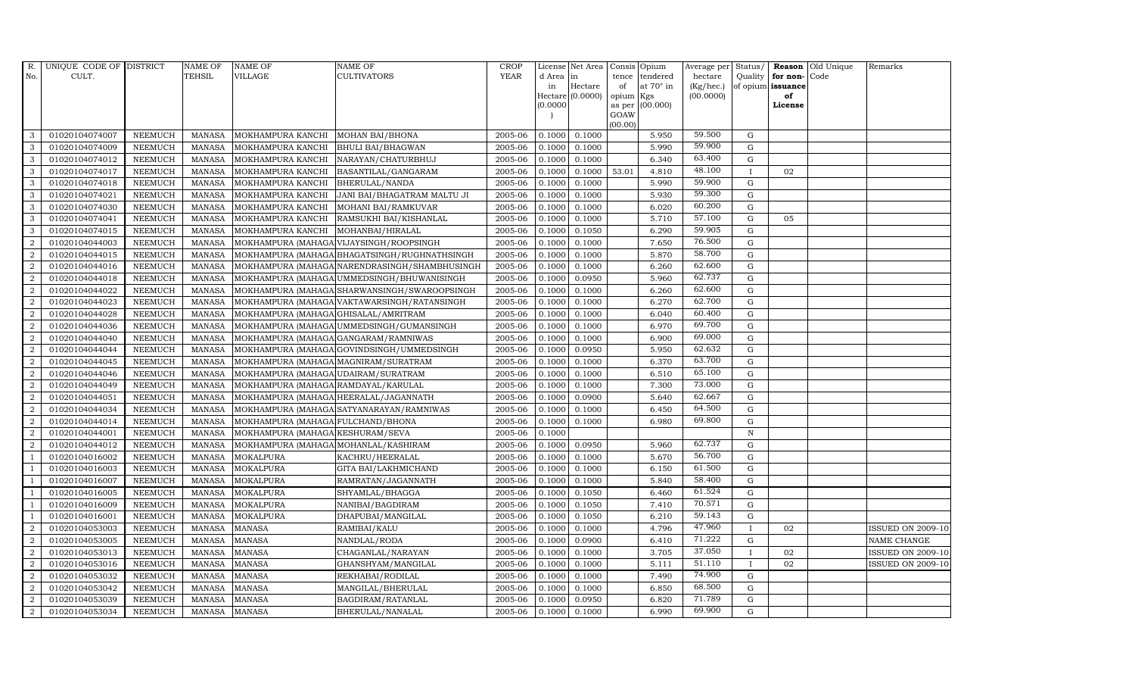| <b>YEAR</b><br>CULT.<br><b>TEHSIL</b><br>VILLAGE<br>CULTIVATORS<br>No.<br>d Area in<br>tence                                                         | tendered<br>hectare           |              |                   | Remarks                  |
|------------------------------------------------------------------------------------------------------------------------------------------------------|-------------------------------|--------------|-------------------|--------------------------|
|                                                                                                                                                      |                               | Quality      | for non-Code      |                          |
| Hectare<br>in<br>of                                                                                                                                  | (Kg/hec.)<br>at $70^\circ$ in |              | of opium issuance |                          |
| Hectare $(0.0000)$<br>opium Kgs<br>(0.0000)                                                                                                          | (00.0000)<br>as per (00.000)  |              | of<br>License     |                          |
| GOAW                                                                                                                                                 |                               |              |                   |                          |
| (00.00)                                                                                                                                              |                               |              |                   |                          |
| 01020104074007<br>2005-06<br>0.1000<br>0.1000<br>3<br>NEEMUCH<br>MANASA<br>MOKHAMPURA KANCHI<br><b>MOHAN BAI/BHONA</b>                               | 59.500<br>5.950               | G            |                   |                          |
| 3<br>01020104074009<br>2005-06<br><b>NEEMUCH</b><br>MANASA<br>MOKHAMPURA KANCHI<br><b>BHULI BAI/BHAGWAN</b><br>0.1000<br>0.1000                      | 59.900<br>5.990               | G            |                   |                          |
| 3<br>01020104074012<br><b>NEEMUCH</b><br><b>MANASA</b><br>MOKHAMPURA KANCHI<br>NARAYAN/CHATURBHUJ<br>2005-06<br>0.1000<br>0.1000                     | 63.400<br>6.340               | G            |                   |                          |
| 3<br>01020104074017<br><b>NEEMUCH</b><br><b>MANASA</b><br>MOKHAMPURA KANCHI<br>2005-06<br>0.1000<br>0.1000<br>53.01<br>BASANTILAL/GANGARAM           | 48.100<br>4.810               |              | 02                |                          |
| 3<br>01020104074018<br><b>NEEMUCH</b><br><b>MANASA</b><br>2005-06<br>MOKHAMPURA KANCHI<br>BHERULAL/NANDA<br>0.1000<br>0.1000                         | 59.900<br>5.990               | G            |                   |                          |
| 3<br><b>NEEMUCH</b><br><b>MANASA</b><br>2005-06<br>0.1000<br>01020104074021<br>MOKHAMPURA KANCHI<br>JANI BAI/BHAGATRAM MALTU JI<br>0.1000            | 59.300<br>5.930               | G            |                   |                          |
| $\mathbf{3}$<br>2005-06<br>01020104074030<br><b>NEEMUCH</b><br><b>MANASA</b><br>0.1000<br>0.1000<br>MOKHAMPURA KANCHI<br>MOHANI BAI/RAMKUVAR         | 60.200<br>6.020               | G            |                   |                          |
| $\mathbf{3}$<br>01020104074041<br><b>NEEMUCH</b><br>MOKHAMPURA KANCHI<br>2005-06<br>0.1000<br><b>MANASA</b><br>RAMSUKHI BAI/KISHANLAL<br>0.1000      | 57.100<br>5.710               | G            | 05                |                          |
| <b>NEEMUCH</b><br><b>MANASA</b><br>2005-06<br>0.1050<br>3<br>01020104074015<br>MOKHAMPURA KANCHI<br>MOHANBAI/HIRALAL<br>0.1000                       | 59.905<br>6.290               | G            |                   |                          |
| $\overline{2}$<br>01020104044003<br><b>MANASA</b><br>2005-06<br><b>NEEMUCH</b><br>MOKHAMPURA (MAHAGA VIJAYSINGH/ROOPSINGH<br>0.1000<br>0.1000        | 76.500<br>7.650               | G            |                   |                          |
| $\overline{2}$<br><b>NEEMUCH</b><br><b>MANASA</b><br>2005-06<br>01020104044015<br>MOKHAMPURA (MAHAGA BHAGATSINGH / RUGHNATHSINGH<br>0.1000<br>0.1000 | 58.700<br>5.870               | G            |                   |                          |
| 2<br>01020104044016<br><b>NEEMUCH</b><br>2005-06<br>0.1000<br>MANASA<br>MOKHAMPURA (MAHAGA NARENDRASINGH/SHAMBHUSINGH<br>0.1000                      | 62.600<br>6.260               | G            |                   |                          |
| $\overline{2}$<br>01020104044018<br><b>NEEMUCH</b><br>MOKHAMPURA (MAHAGA UMMEDSINGH/BHUWANISINGH<br>2005-06<br>0.0950<br><b>MANASA</b><br>0.1000     | 62.737<br>5.960               | G            |                   |                          |
| $\overline{2}$<br>01020104044022<br><b>NEEMUCH</b><br><b>MANASA</b><br>MOKHAMPURA (MAHAGA SHARWANSINGH/SWAROOPSINGH<br>2005-06<br>0.1000<br>0.1000   | 62.600<br>6.260               | G            |                   |                          |
| $\overline{2}$<br>01020104044023<br><b>NEEMUCH</b><br><b>MANASA</b><br>2005-06<br>0.1000<br>MOKHAMPURA (MAHAGA VAKTAWARSINGH/RATANSINGH<br>0.1000    | 62.700<br>6.270               | G            |                   |                          |
| 2<br>01020104044028<br><b>NEEMUCH</b><br><b>MANASA</b><br>MOKHAMPURA (MAHAGA GHISALAL/AMRITRAM<br>2005-06<br>0.1000<br>0.1000                        | 60.400<br>6.040               | G            |                   |                          |
| 2<br>01020104044036<br><b>NEEMUCH</b><br><b>MANASA</b><br>MOKHAMPURA (MAHAGA UMMEDSINGH/GUMANSINGH<br>2005-06<br>0.1000<br>0.1000                    | 69.700<br>6.970               | G            |                   |                          |
| 2<br>01020104044040<br><b>NEEMUCH</b><br><b>MANASA</b><br>MOKHAMPURA (MAHAGA GANGARAM/RAMNIWAS<br>2005-06<br>0.1000<br>0.1000                        | 69.000<br>6.900               | G            |                   |                          |
| $\overline{2}$<br>01020104044044<br><b>NEEMUCH</b><br><b>MANASA</b><br>MOKHAMPURA (MAHAGA GOVINDSINGH/UMMEDSINGH<br>2005-06<br>0.1000<br>0.0950      | 62.632<br>5.950               | G            |                   |                          |
| $\overline{2}$<br>01020104044045<br><b>NEEMUCH</b><br><b>MANASA</b><br>MOKHAMPURA (MAHAGA MAGNIRAM/SURATRAM<br>2005-06<br>0.1000<br>0.1000           | 63.700<br>6.370               | G            |                   |                          |
| 2<br>01020104044046<br><b>NEEMUCH</b><br><b>MANASA</b><br>MOKHAMPURA (MAHAGA UDAIRAM/SURATRAM<br>2005-06<br>0.1000<br>0.1000                         | 65.100<br>6.510               | G            |                   |                          |
| $\overline{a}$<br>01020104044049<br><b>NEEMUCH</b><br><b>MANASA</b><br>MOKHAMPURA (MAHAGA RAMDAYAL/KARULAL<br>2005-06<br>0.1000<br>0.1000            | 73.000<br>7.300               | G            |                   |                          |
| $\overline{a}$<br>01020104044051<br><b>NEEMUCH</b><br>MANASA<br>MOKHAMPURA (MAHAGA HEERALAL/JAGANNATH<br>2005-06<br>0.1000<br>0.0900                 | 62.667<br>5.640               | G            |                   |                          |
| 2<br>01020104044034<br>2005-06<br><b>NEEMUCH</b><br><b>MANASA</b><br>MOKHAMPURA (MAHAGA SATYANARAYAN/RAMNIWAS<br>0.1000<br>0.1000                    | 64.500<br>6.450               | $\mathbf G$  |                   |                          |
| $\overline{2}$<br>01020104044014<br><b>NEEMUCH</b><br><b>MANASA</b><br>MOKHAMPURA (MAHAGA FULCHAND/BHONA<br>2005-06<br>0.1000<br>0.1000              | 69.800<br>6.980               | G            |                   |                          |
| $\overline{2}$<br>01020104044001<br><b>NEEMUCH</b><br><b>MANASA</b><br>MOKHAMPURA (MAHAGA KESHURAM/SEVA<br>2005-06<br>0.1000                         |                               | N            |                   |                          |
| 0.0950<br>2<br>01020104044012<br><b>NEEMUCH</b><br><b>MANASA</b><br>MOKHAMPURA (MAHAGA MOHANLAL/KASHIRAM<br>2005-06<br>0.1000                        | 62.737<br>5.960               | G            |                   |                          |
| 01020104016002<br>2005-06<br><sup>1</sup><br><b>NEEMUCH</b><br><b>MANASA</b><br>MOKALPURA<br>KACHRU/HEERALAL<br>0.1000<br>0.1000                     | 56.700<br>5.670               | G            |                   |                          |
| 01020104016003<br><b>NEEMUCH</b><br><b>MANASA</b><br><b>MOKALPURA</b><br>GITA BAI/LAKHMICHAND<br>2005-06<br>0.1000<br>0.1000<br>$\overline{1}$       | 61.500<br>6.150               | G            |                   |                          |
| $\overline{1}$<br>01020104016007<br><b>NEEMUCH</b><br><b>MANASA</b><br><b>MOKALPURA</b><br>2005-06<br>0.1000<br>RAMRATAN/JAGANNATH<br>0.1000         | 58.400<br>5.840               | G            |                   |                          |
| 01020104016005<br><b>NEEMUCH</b><br><b>MANASA</b><br><b>MOKALPURA</b><br>2005-06<br>0.1000<br>0.1050<br>SHYAMLAL/BHAGGA<br>$\overline{1}$            | 61.524<br>6.460               | G            |                   |                          |
| 01020104016009<br>2005-06<br><b>NEEMUCH</b><br><b>MANASA</b><br><b>MOKALPURA</b><br>NANIBAI/BAGDIRAM<br>0.1000<br>0.1050<br>-1                       | 70.571<br>7.410               | G            |                   |                          |
| 01020104016001<br><b>NEEMUCH</b><br>2005-06<br>0.1050<br>$\overline{1}$<br><b>MANASA</b><br>MOKALPURA<br>DHAPUBAI/MANGILAL<br>0.1000                 | 59.143<br>6.210               | G            |                   |                          |
| 2005-06<br>$\overline{2}$<br>01020104053003<br><b>NEEMUCH</b><br><b>MANASA</b><br><b>MANASA</b><br>RAMIBAI/KALU<br>0.1000<br>0.1000                  | 47.960<br>4.796               | $\mathbf{I}$ | 02                | <b>ISSUED ON 2009-10</b> |
| $\overline{2}$<br>01020104053005<br><b>NEEMUCH</b><br><b>MANASA</b><br><b>MANASA</b><br>2005-06<br>0.0900<br>NANDLAL/RODA<br>0.1000                  | 71.222<br>6.410               | G            |                   | NAME CHANGE              |
| $\overline{2}$<br>01020104053013<br><b>NEEMUCH</b><br><b>MANASA</b><br><b>MANASA</b><br>CHAGANLAL/NARAYAN<br>2005-06<br>0.1000<br>0.1000             | 37.050<br>3.705               | $\mathbf{I}$ | 02                | <b>ISSUED ON 2009-10</b> |
| $\overline{2}$<br>01020104053016<br><b>MANASA</b><br>2005-06<br><b>NEEMUCH</b><br><b>MANASA</b><br>GHANSHYAM/MANGILAL<br>0.1000<br>0.1000            | 51.110<br>5.111               | $\mathbf{I}$ | 02                | <b>ISSUED ON 2009-10</b> |
| $\overline{a}$<br>01020104053032<br><b>NEEMUCH</b><br>2005-06<br>0.1000<br>0.1000<br><b>MANASA</b><br>MANASA<br>REKHABAI/RODILAL                     | 74.900<br>7.490               | G            |                   |                          |
| 2<br>01020104053042<br><b>MANASA</b><br>2005-06<br><b>NEEMUCH</b><br><b>MANASA</b><br>MANGILAL/BHERULAL<br>0.1000<br>0.1000                          | 68.500<br>6.850               | G            |                   |                          |
| $\overline{2}$<br>01020104053039<br><b>NEEMUCH</b><br><b>MANASA</b><br><b>MANASA</b><br>BAGDIRAM/RATANLAL<br>2005-06<br>0.0950<br>0.1000             | 71.789<br>6.820               | G            |                   |                          |
| $\overline{a}$<br>01020104053034<br><b>NEEMUCH</b><br>MANASA<br><b>MANASA</b><br>BHERULAL/NANALAL<br>2005-06<br>0.1000<br>0.1000                     | 69.900<br>6.990               | G            |                   |                          |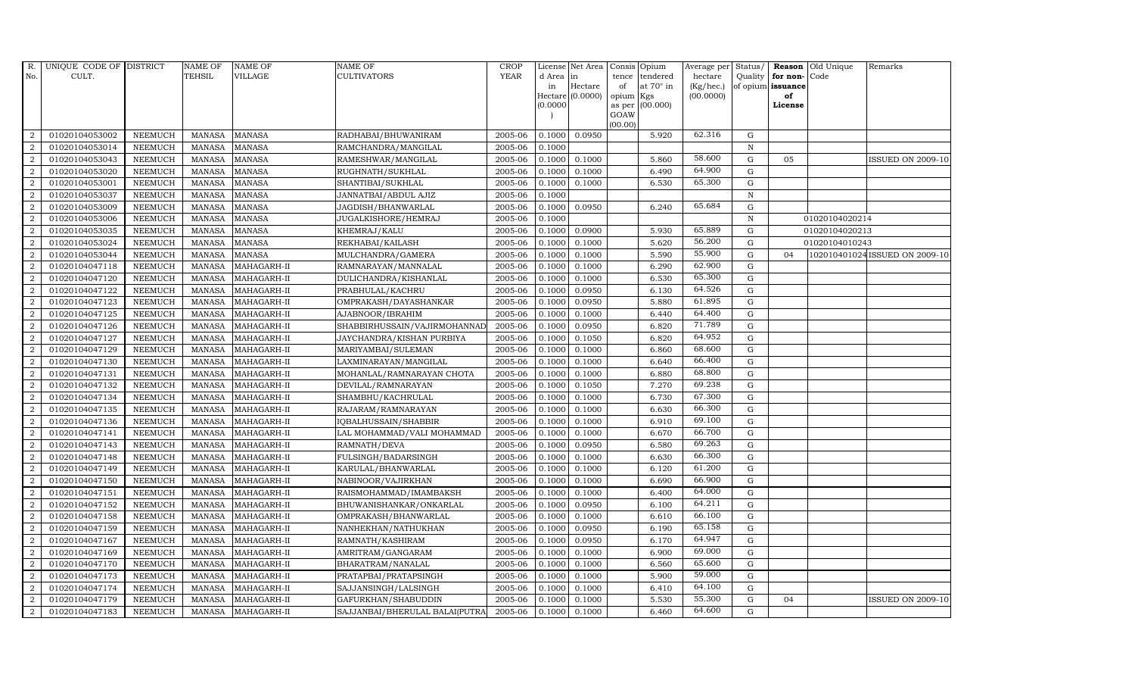| R.             | UNIQUE CODE OF DISTRICT |                | <b>NAME OF</b> | <b>NAME OF</b> | <b>NAME OF</b>                 | CROP        |           | License Net Area | Consis Opium |                  | Average per Status/ |              |                   | <b>Reason</b> Old Unique | Remarks                        |
|----------------|-------------------------|----------------|----------------|----------------|--------------------------------|-------------|-----------|------------------|--------------|------------------|---------------------|--------------|-------------------|--------------------------|--------------------------------|
| No.            | CULT.                   |                | <b>TEHSIL</b>  | <b>VILLAGE</b> | <b>CULTIVATORS</b>             | <b>YEAR</b> | d Area in |                  |              | tence tendered   | hectare             | Quality      | for non-Code      |                          |                                |
|                |                         |                |                |                |                                |             | in        | Hectare          | of           | at $70^\circ$ in | (Kg/hec.)           |              | of opium issuance |                          |                                |
|                |                         |                |                |                |                                |             | 0.0000    | Hectare (0.0000) | opium Kgs    | as per (00.000)  | (00.0000)           |              | of<br>License     |                          |                                |
|                |                         |                |                |                |                                |             |           |                  | GOAW         |                  |                     |              |                   |                          |                                |
|                |                         |                |                |                |                                |             |           |                  | (00.00)      |                  |                     |              |                   |                          |                                |
| $\overline{2}$ | 01020104053002          | <b>NEEMUCH</b> | <b>MANASA</b>  | <b>MANASA</b>  | RADHABAI/BHUWANIRAM            | 2005-06     | 0.1000    | 0.0950           |              | 5.920            | 62.316              | G            |                   |                          |                                |
| $\overline{2}$ | 01020104053014          | <b>NEEMUCH</b> | <b>MANASA</b>  | <b>MANASA</b>  | RAMCHANDRA/MANGILAL            | 2005-06     | 0.1000    |                  |              |                  |                     | $\mathbb N$  |                   |                          |                                |
| 2              | 01020104053043          | <b>NEEMUCH</b> | <b>MANASA</b>  | <b>MANASA</b>  | RAMESHWAR/MANGILAL             | 2005-06     | 0.1000    | 0.1000           |              | 5.860            | 58.600              | $\mathbf G$  | 05                |                          | <b>ISSUED ON 2009-10</b>       |
| $\overline{2}$ | 01020104053020          | <b>NEEMUCH</b> | <b>MANASA</b>  | <b>MANASA</b>  | RUGHNATH/SUKHLAL               | 2005-06     | 0.1000    | 0.1000           |              | 6.490            | 64.900              | $\mathbf G$  |                   |                          |                                |
| 2              | 01020104053001          | <b>NEEMUCH</b> | <b>MANASA</b>  | <b>MANASA</b>  | SHANTIBAI/SUKHLAL              | 2005-06     | 0.1000    | 0.1000           |              | 6.530            | 65.300              | $\mathbf G$  |                   |                          |                                |
| $\overline{2}$ | 01020104053037          | <b>NEEMUCH</b> | <b>MANASA</b>  | <b>MANASA</b>  | JANNATBAI/ABDUL AJIZ           | 2005-06     | 0.1000    |                  |              |                  |                     | $\mathbf N$  |                   |                          |                                |
| $\overline{a}$ | 01020104053009          | <b>NEEMUCH</b> | <b>MANASA</b>  | <b>MANASA</b>  | JAGDISH/BHANWARLAL             | 2005-06     | 0.1000    | 0.0950           |              | 6.240            | 65.684              | $\mathbf G$  |                   |                          |                                |
| 2              | 01020104053006          | <b>NEEMUCH</b> | <b>MANASA</b>  | <b>MANASA</b>  | JUGALKISHORE/HEMRAJ            | 2005-06     | 0.1000    |                  |              |                  |                     | $\, {\rm N}$ |                   | 01020104020214           |                                |
| 2              | 01020104053035          | <b>NEEMUCH</b> | <b>MANASA</b>  | <b>MANASA</b>  | KHEMRAJ/KALU                   | 2005-06     | 0.1000    | 0.0900           |              | 5.930            | 65.889              | $\mathbf G$  |                   | 01020104020213           |                                |
| $\overline{2}$ | 01020104053024          | NEEMUCH        | <b>MANASA</b>  | <b>MANASA</b>  | REKHABAI/KAILASH               | 2005-06     | 0.1000    | 0.1000           |              | 5.620            | 56.200              | ${\rm G}$    |                   | 01020104010243           |                                |
| $\overline{2}$ | 01020104053044          | <b>NEEMUCH</b> | <b>MANASA</b>  | <b>MANASA</b>  | MULCHANDRA/GAMERA              | 2005-06     | 0.1000    | 0.1000           |              | 5.590            | 55.900              | $\mathbf G$  | 0 <sub>4</sub>    |                          | 102010401024 ISSUED ON 2009-10 |
| $\overline{a}$ | 01020104047118          | <b>NEEMUCH</b> | <b>MANASA</b>  | MAHAGARH-II    | RAMNARAYAN/MANNALAL            | 2005-06     | 0.1000    | 0.1000           |              | 6.290            | 62.900              | $\mathbf G$  |                   |                          |                                |
| $\overline{2}$ | 01020104047120          | <b>NEEMUCH</b> | <b>MANASA</b>  | MAHAGARH-II    | DULICHANDRA/KISHANLAL          | 2005-06     | 0.1000    | 0.1000           |              | 6.530            | 65.300              | G            |                   |                          |                                |
| 2              | 01020104047122          | <b>NEEMUCH</b> | <b>MANASA</b>  | MAHAGARH-II    | PRABHULAL/KACHRU               | 2005-06     | 0.1000    | 0.0950           |              | 6.130            | 64.526              | $\mathbf G$  |                   |                          |                                |
| $\overline{a}$ | 01020104047123          | NEEMUCH        | <b>MANASA</b>  | MAHAGARH-II    | OMPRAKASH/DAYASHANKAR          | 2005-06     | 0.1000    | 0.0950           |              | 5.880            | 61.895              | $\mathbf G$  |                   |                          |                                |
| $\overline{a}$ | 01020104047125          | <b>NEEMUCH</b> | <b>MANASA</b>  | MAHAGARH-II    | AJABNOOR/IBRAHIM               | 2005-06     | 0.1000    | 0.1000           |              | 6.440            | 64.400              | $\mathbf G$  |                   |                          |                                |
| $\overline{a}$ | 01020104047126          | <b>NEEMUCH</b> | <b>MANASA</b>  | MAHAGARH-II    | SHABBIRHUSSAIN/VAJIRMOHANNAL   | 2005-06     | 0.1000    | 0.0950           |              | 6.820            | 71.789              | $\mathbf G$  |                   |                          |                                |
| $\overline{2}$ | 01020104047127          | <b>NEEMUCH</b> | MANASA         | MAHAGARH-II    | JAYCHANDRA/KISHAN PURBIYA      | 2005-06     | 0.1000    | 0.1050           |              | 6.820            | 64.952              | ${\rm G}$    |                   |                          |                                |
| $\overline{2}$ | 01020104047129          | <b>NEEMUCH</b> | <b>MANASA</b>  | MAHAGARH-II    | MARIYAMBAI/SULEMAN             | 2005-06     | 0.1000    | 0.1000           |              | 6.860            | 68.600              | $\mathbf G$  |                   |                          |                                |
| $\overline{2}$ | 01020104047130          | <b>NEEMUCH</b> | <b>MANASA</b>  | MAHAGARH-II    | LAXMINARAYAN/MANGILAL          | 2005-06     | 0.1000    | 0.1000           |              | 6.640            | 66.400              | ${\bf G}$    |                   |                          |                                |
| $\overline{2}$ | 01020104047131          | <b>NEEMUCH</b> | <b>MANASA</b>  | MAHAGARH-II    | MOHANLAL/RAMNARAYAN CHOTA      | 2005-06     | 0.1000    | 0.1000           |              | 6.880            | 68.800              | $\mathbf G$  |                   |                          |                                |
| $\overline{2}$ | 01020104047132          | <b>NEEMUCH</b> | <b>MANASA</b>  | MAHAGARH-II    | DEVILAL/RAMNARAYAN             | 2005-06     | 0.1000    | 0.1050           |              | 7.270            | 69.238              | $\mathbf G$  |                   |                          |                                |
| $\overline{a}$ | 01020104047134          | <b>NEEMUCH</b> | MANASA         | MAHAGARH-II    | SHAMBHU/KACHRULAL              | 2005-06     | 0.1000    | 0.1000           |              | 6.730            | 67.300              | ${\rm G}$    |                   |                          |                                |
| 2              | 01020104047135          | <b>NEEMUCH</b> | <b>MANASA</b>  | MAHAGARH-II    | RAJARAM / RAMNARAYAN           | 2005-06     | 0.1000    | 0.1000           |              | 6.630            | 66.300              | $\mathbf G$  |                   |                          |                                |
| $\overline{2}$ | 01020104047136          | NEEMUCH        | <b>MANASA</b>  | MAHAGARH-II    | IQBALHUSSAIN/SHABBIR           | 2005-06     | 0.1000    | 0.1000           |              | 6.910            | 69.100              | $\mathbf G$  |                   |                          |                                |
| 2              | 01020104047141          | <b>NEEMUCH</b> | <b>MANASA</b>  | MAHAGARH-II    | LAL MOHAMMAD/VALI MOHAMMAD     | 2005-06     | 0.1000    | 0.1000           |              | 6.670            | 66.700              | $\mathbf G$  |                   |                          |                                |
| 2              | 01020104047143          | <b>NEEMUCH</b> | <b>MANASA</b>  | MAHAGARH-II    | RAMNATH/DEVA                   | 2005-06     | 0.1000    | 0.0950           |              | 6.580            | 69.263              | $\mathbf G$  |                   |                          |                                |
| $\overline{a}$ | 01020104047148          | <b>NEEMUCH</b> | <b>MANASA</b>  | MAHAGARH-II    | FULSINGH/BADARSINGH            | 2005-06     | 0.1000    | 0.1000           |              | 6.630            | 66.300              | ${\rm G}$    |                   |                          |                                |
| $\overline{2}$ | 01020104047149          | <b>NEEMUCH</b> | <b>MANASA</b>  | MAHAGARH-II    | KARULAL/BHANWARLAL             | 2005-06     | 0.1000    | 0.1000           |              | 6.120            | 61.200              | ${\rm G}$    |                   |                          |                                |
| $\overline{2}$ | 01020104047150          | <b>NEEMUCH</b> | <b>MANASA</b>  | MAHAGARH-II    | NABINOOR/VAJIRKHAN             | 2005-06     | 0.1000    | 0.1000           |              | 6.690            | 66.900              | $\mathbf G$  |                   |                          |                                |
| $\overline{2}$ | 01020104047151          | <b>NEEMUCH</b> | MANASA         | MAHAGARH-II    | RAISMOHAMMAD/IMAMBAKSH         | 2005-06     | 0.1000    | 0.1000           |              | 6.400            | 64.000              | ${\rm G}$    |                   |                          |                                |
| $\overline{2}$ | 01020104047152          | <b>NEEMUCH</b> | <b>MANASA</b>  | MAHAGARH-II    | BHUWANISHANKAR/ONKARLAL        | 2005-06     | 0.1000    | 0.0950           |              | 6.100            | 64.211              | $\mathbf G$  |                   |                          |                                |
| $\overline{a}$ | 01020104047158          | <b>NEEMUCH</b> | <b>MANASA</b>  | MAHAGARH-II    | OMPRAKASH/BHANWARLAL           | 2005-06     | 0.1000    | 0.1000           |              | 6.610            | 66.100              | ${\rm G}$    |                   |                          |                                |
| 2              | 01020104047159          | <b>NEEMUCH</b> | <b>MANASA</b>  | MAHAGARH-II    | NANHEKHAN/NATHUKHAN            | 2005-06     | 0.1000    | 0.0950           |              | 6.190            | 65.158              | $\mathbf G$  |                   |                          |                                |
| 2              | 01020104047167          | <b>NEEMUCH</b> | <b>MANASA</b>  | MAHAGARH-II    | RAMNATH/KASHIRAM               | 2005-06     | 0.1000    | 0.0950           |              | 6.170            | 64.947              | $\mathbf G$  |                   |                          |                                |
| $\overline{a}$ | 01020104047169          | <b>NEEMUCH</b> | <b>MANASA</b>  | MAHAGARH-II    | AMRITRAM/GANGARAM              | 2005-06     | 0.1000    | 0.1000           |              | 6.900            | 69.000              | ${\rm G}$    |                   |                          |                                |
| 2              | 01020104047170          | <b>NEEMUCH</b> | <b>MANASA</b>  | MAHAGARH-II    | BHARATRAM/NANALAL              | 2005-06     | 0.1000    | 0.1000           |              | 6.560            | 65.600              | $\mathbf G$  |                   |                          |                                |
| $\overline{a}$ | 01020104047173          | <b>NEEMUCH</b> | <b>MANASA</b>  | MAHAGARH-II    | PRATAPBAI/PRATAPSINGH          | 2005-06     | 0.1000    | 0.1000           |              | 5.900            | 59.000              | ${\rm G}$    |                   |                          |                                |
| $\overline{2}$ | 01020104047174          | <b>NEEMUCH</b> | <b>MANASA</b>  | MAHAGARH-II    | SAJJANSINGH/LALSINGH           | 2005-06     | 0.1000    | 0.1000           |              | 6.410            | 64.100              | $\mathbf G$  |                   |                          |                                |
| 2              | 01020104047179          | <b>NEEMUCH</b> | <b>MANASA</b>  | MAHAGARH-II    | GAFURKHAN/SHABUDDIN            | 2005-06     | 0.1000    | 0.1000           |              | 5.530            | 55.300              | G            | 04                |                          | <b>ISSUED ON 2009-10</b>       |
| $\overline{a}$ | 01020104047183          | <b>NEEMUCH</b> | MANASA         | MAHAGARH-II    | SAJJANBAI/BHERULAL BALAI(PUTRA | 2005-06     | 0.1000    | 0.1000           |              | 6.460            | 64.600              | G            |                   |                          |                                |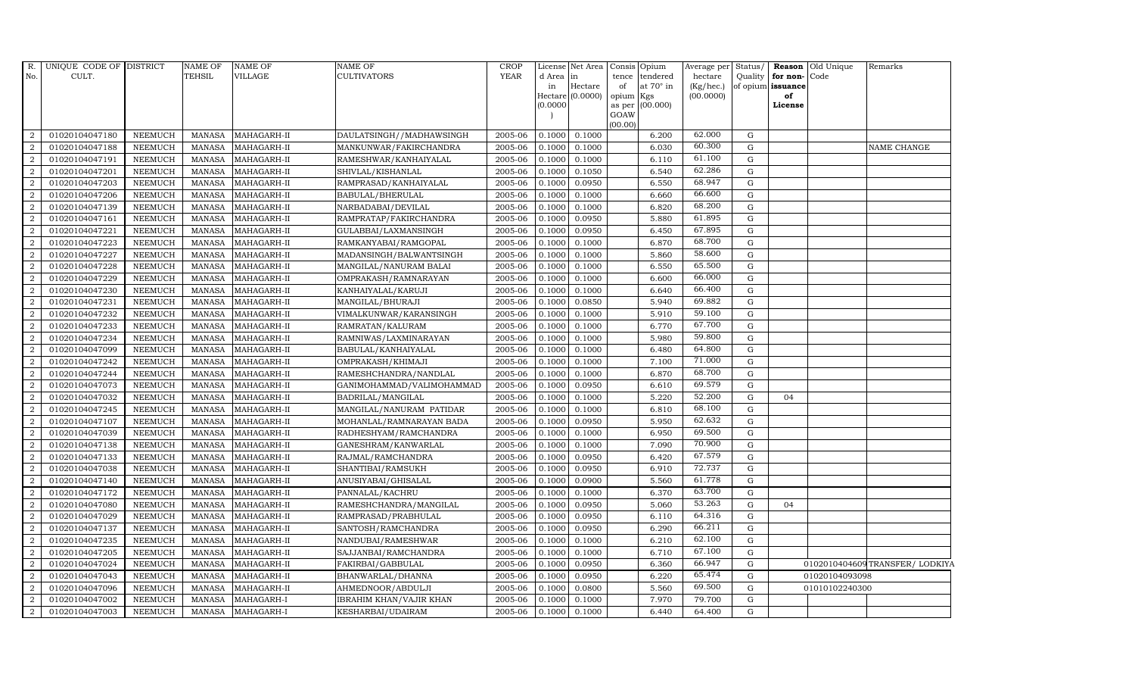| R.             | UNIQUE CODE OF DISTRICT |                | NAME OF       | <b>NAME OF</b>         | NAME OF                   | CROP        |          | License Net Area | Consis Opium |                  | Average per | Status/ |                      | <b>Reason</b> Old Unique | Remarks                        |
|----------------|-------------------------|----------------|---------------|------------------------|---------------------------|-------------|----------|------------------|--------------|------------------|-------------|---------|----------------------|--------------------------|--------------------------------|
| No.            | CULT.                   |                | TEHSIL        | <b>VILLAGE</b>         | <b>CULTIVATORS</b>        | <b>YEAR</b> | d Area   | in               | tence        | tendered         | hectare     |         | Quality for non-Code |                          |                                |
|                |                         |                |               |                        |                           |             | in       | Hectare          | of           | at $70^\circ$ in | (Kg/hec.)   |         | of opium issuance    |                          |                                |
|                |                         |                |               |                        |                           |             | (0.0000) | Hectare (0.0000) | opium Kgs    | as per (00.000)  | (00.0000)   |         | of<br>License        |                          |                                |
|                |                         |                |               |                        |                           |             |          |                  | GOAW         |                  |             |         |                      |                          |                                |
|                |                         |                |               |                        |                           |             |          |                  | (00.00)      |                  |             |         |                      |                          |                                |
| 2              | 01020104047180          | <b>NEEMUCH</b> | <b>MANASA</b> | MAHAGARH-II            | DAULATSINGH//MADHAWSINGH  | 2005-06     | 0.1000   | 0.1000           |              | 6.200            | 62.000      | G       |                      |                          |                                |
| 2              | 01020104047188          | <b>NEEMUCH</b> | <b>MANASA</b> | MAHAGARH-II            | MANKUNWAR/FAKIRCHANDRA    | 2005-06     | 0.1000   | 0.1000           |              | 6.030            | 60.300      | G       |                      |                          | <b>NAME CHANGE</b>             |
| 2              | 01020104047191          | <b>NEEMUCH</b> | <b>MANASA</b> | MAHAGARH-II            | RAMESHWAR/KANHAIYALAL     | 2005-06     | 0.1000   | 0.1000           |              | 6.110            | 61.100      | G       |                      |                          |                                |
| $\overline{2}$ | 01020104047201          | <b>NEEMUCH</b> | <b>MANASA</b> | MAHAGARH-II            | SHIVLAL/KISHANLAL         | 2005-06     | 0.1000   | 0.1050           |              | 6.540            | 62.286      | G       |                      |                          |                                |
| $\overline{2}$ | 01020104047203          | <b>NEEMUCH</b> | <b>MANASA</b> | MAHAGARH-II            | RAMPRASAD/KANHAIYALAL     | 2005-06     | 0.1000   | 0.0950           |              | 6.550            | 68.947      | G       |                      |                          |                                |
| $\overline{a}$ | 01020104047206          | <b>NEEMUCH</b> | <b>MANASA</b> | MAHAGARH-II            | BABULAL/BHERULAL          | 2005-06     | 0.1000   | 0.1000           |              | 6.660            | 66.600      | G       |                      |                          |                                |
| $\overline{a}$ | 01020104047139          | NEEMUCH        | <b>MANASA</b> | MAHAGARH-II            | NARBADABAI/DEVILAL        | 2005-06     | 0.1000   | 0.1000           |              | 6.820            | 68.200      | G       |                      |                          |                                |
| 2              | 01020104047161          | <b>NEEMUCH</b> | <b>MANASA</b> | MAHAGARH-II            | RAMPRATAP/FAKIRCHANDRA    | 2005-06     | 0.1000   | 0.0950           |              | 5.880            | 61.895      | G       |                      |                          |                                |
| $\overline{2}$ | 01020104047221          | <b>NEEMUCH</b> | <b>MANASA</b> | MAHAGARH-II            | GULABBAI/LAXMANSINGH      | 2005-06     | 0.1000   | 0.0950           |              | 6.450            | 67.895      | G       |                      |                          |                                |
| 2              | 01020104047223          | <b>NEEMUCH</b> | <b>MANASA</b> | MAHAGARH-II            | RAMKANYABAI/RAMGOPAL      | 2005-06     | 0.1000   | 0.1000           |              | 6.870            | 68.700      | G       |                      |                          |                                |
| $\overline{2}$ | 01020104047227          | <b>NEEMUCH</b> | <b>MANASA</b> | MAHAGARH-II            | MADANSINGH/BALWANTSINGH   | 2005-06     | 0.1000   | 0.1000           |              | 5.860            | 58.600      | G       |                      |                          |                                |
| 2              | 01020104047228          | <b>NEEMUCH</b> | <b>MANASA</b> | MAHAGARH-II            | MANGILAL/NANURAM BALAI    | 2005-06     | 0.1000   | 0.1000           |              | 6.550            | 65.500      | G       |                      |                          |                                |
| 2              | 01020104047229          | <b>NEEMUCH</b> | <b>MANASA</b> | MAHAGARH-II            | OMPRAKASH/RAMNARAYAN      | 2005-06     | 0.1000   | 0.1000           |              | 6.600            | 66.000      | G       |                      |                          |                                |
| $\overline{2}$ | 01020104047230          | <b>NEEMUCH</b> | <b>MANASA</b> | MAHAGARH-II            | KANHAIYALAL/KARUJI        | 2005-06     | 0.1000   | 0.1000           |              | 6.640            | 66.400      | G       |                      |                          |                                |
| $\overline{2}$ | 01020104047231          | <b>NEEMUCH</b> | <b>MANASA</b> | $\textsf{MAHAGARH-II}$ | MANGILAL/BHURAJI          | 2005-06     | 0.1000   | 0.0850           |              | 5.940            | 69.882      | G       |                      |                          |                                |
| $\overline{2}$ | 01020104047232          | <b>NEEMUCH</b> | <b>MANASA</b> | MAHAGARH-II            | VIMALKUNWAR/KARANSINGH    | 2005-06     | 0.1000   | 0.1000           |              | 5.910            | 59.100      | G       |                      |                          |                                |
| 2              | 01020104047233          | <b>NEEMUCH</b> | <b>MANASA</b> | MAHAGARH-II            | RAMRATAN/KALURAM          | 2005-06     | 0.1000   | 0.1000           |              | 6.770            | 67.700      | G       |                      |                          |                                |
| 2              | 01020104047234          | <b>NEEMUCH</b> | <b>MANASA</b> | MAHAGARH-II            | RAMNIWAS/LAXMINARAYAN     | 2005-06     | 0.1000   | 0.1000           |              | 5.980            | 59.800      | G       |                      |                          |                                |
| $\overline{2}$ | 01020104047099          | <b>NEEMUCH</b> | <b>MANASA</b> | MAHAGARH-II            | BABULAL/KANHAIYALAL       | 2005-06     | 0.1000   | 0.1000           |              | 6.480            | 64.800      | G       |                      |                          |                                |
| $\overline{2}$ | 01020104047242          | <b>NEEMUCH</b> | <b>MANASA</b> | MAHAGARH-II            | OMPRAKASH/KHIMAJI         | 2005-06     | 0.1000   | 0.1000           |              | 7.100            | 71.000      | G       |                      |                          |                                |
| $\overline{2}$ | 01020104047244          | <b>NEEMUCH</b> | <b>MANASA</b> | MAHAGARH-II            | RAMESHCHANDRA/NANDLAL     | 2005-06     | 0.1000   | 0.1000           |              | 6.870            | 68.700      | G       |                      |                          |                                |
| 2              | 01020104047073          | <b>NEEMUCH</b> | <b>MANASA</b> | MAHAGARH-II            | GANIMOHAMMAD/VALIMOHAMMAD | 2005-06     | 0.1000   | 0.0950           |              | 6.610            | 69.579      | G       |                      |                          |                                |
| $\overline{a}$ | 01020104047032          | <b>NEEMUCH</b> | <b>MANASA</b> | MAHAGARH-II            | BADRILAL/MANGILAL         | 2005-06     | 0.1000   | 0.1000           |              | 5.220            | 52.200      | G       | 04                   |                          |                                |
| 2              | 01020104047245          | <b>NEEMUCH</b> | <b>MANASA</b> | MAHAGARH-II            | MANGILAL/NANURAM PATIDAR  | 2005-06     | 0.1000   | 0.1000           |              | 6.810            | 68.100      | G       |                      |                          |                                |
| $\overline{2}$ | 01020104047107          | <b>NEEMUCH</b> | <b>MANASA</b> | MAHAGARH-II            | MOHANLAL/RAMNARAYAN BADA  | 2005-06     | 0.1000   | 0.0950           |              | 5.950            | 62.632      | G       |                      |                          |                                |
| $\overline{2}$ | 01020104047039          | <b>NEEMUCH</b> | <b>MANASA</b> | MAHAGARH-II            | RADHESHYAM/RAMCHANDRA     | 2005-06     | 0.1000   | 0.1000           |              | 6.950            | 69.500      | G       |                      |                          |                                |
| $\overline{2}$ | 01020104047138          | <b>NEEMUCH</b> | <b>MANASA</b> | MAHAGARH-II            | GANESHRAM/KANWARLAL       | 2005-06     | 0.1000   | 0.1000           |              | 7.090            | 70.900      | G       |                      |                          |                                |
| $\overline{a}$ | 01020104047133          | <b>NEEMUCH</b> | <b>MANASA</b> | MAHAGARH-II            | RAJMAL/RAMCHANDRA         | 2005-06     | 0.1000   | 0.0950           |              | 6.420            | 67.579      | G       |                      |                          |                                |
| 2              | 01020104047038          | <b>NEEMUCH</b> | <b>MANASA</b> | MAHAGARH-II            | SHANTIBAI/RAMSUKH         | 2005-06     | 0.1000   | 0.0950           |              | 6.910            | 72.737      | G       |                      |                          |                                |
| $\overline{2}$ | 01020104047140          | <b>NEEMUCH</b> | <b>MANASA</b> | MAHAGARH-II            | ANUSIYABAI/GHISALAL       | 2005-06     | 0.1000   | 0.0900           |              | 5.560            | 61.778      | G       |                      |                          |                                |
| $\overline{a}$ | 01020104047172          | <b>NEEMUCH</b> | <b>MANASA</b> | MAHAGARH-II            | PANNALAL/KACHRU           | 2005-06     | 0.1000   | 0.1000           |              | 6.370            | 63.700      | G       |                      |                          |                                |
| $\overline{2}$ | 01020104047080          | <b>NEEMUCH</b> | <b>MANASA</b> | MAHAGARH-II            | RAMESHCHANDRA/MANGILAL    | 2005-06     | 0.1000   | 0.0950           |              | 5.060            | 53.263      | G       | 04                   |                          |                                |
| $\overline{a}$ | 01020104047029          | <b>NEEMUCH</b> | <b>MANASA</b> | MAHAGARH-II            | RAMPRASAD/PRABHULAL       | 2005-06     | 0.1000   | 0.0950           |              | 6.110            | 64.316      | G       |                      |                          |                                |
| $\overline{2}$ | 01020104047137          | <b>NEEMUCH</b> | <b>MANASA</b> | MAHAGARH-II            | SANTOSH/RAMCHANDRA        | 2005-06     | 0.1000   | 0.0950           |              | 6.290            | 66.211      | G       |                      |                          |                                |
| 2              | 01020104047235          | <b>NEEMUCH</b> | <b>MANASA</b> | MAHAGARH-II            | NANDUBAI/RAMESHWAR        | 2005-06     | 0.1000   | 0.1000           |              | 6.210            | 62.100      | G       |                      |                          |                                |
| $\overline{2}$ | 01020104047205          | <b>NEEMUCH</b> | <b>MANASA</b> | MAHAGARH-II            | SAJJANBAI/RAMCHANDRA      | 2005-06     | 0.1000   | 0.1000           |              | 6.710            | 67.100      | G       |                      |                          |                                |
| 2              | 01020104047024          | <b>NEEMUCH</b> | <b>MANASA</b> | MAHAGARH-II            | FAKIRBAI/GABBULAL         | 2005-06     | 0.1000   | 0.0950           |              | 6.360            | 66.947      | G       |                      |                          | 0102010404609 TRANSFER/LODKIYA |
| $\overline{a}$ | 01020104047043          | <b>NEEMUCH</b> | <b>MANASA</b> | MAHAGARH-II            | BHANWARLAL/DHANNA         | 2005-06     | 0.1000   | 0.0950           |              | 6.220            | 65.474      | G       |                      | 01020104093098           |                                |
| 2              | 01020104047096          | <b>NEEMUCH</b> | <b>MANASA</b> | MAHAGARH-II            | AHMEDNOOR/ABDULJI         | 2005-06     | 0.1000   | 0.0800           |              | 5.560            | 69.500      | G       |                      | 01010102240300           |                                |
| 2              | 01020104047002          | <b>NEEMUCH</b> | <b>MANASA</b> | MAHAGARH-I             | IBRAHIM KHAN/VAJIR KHAN   | 2005-06     | 0.1000   | 0.1000           |              | 7.970            | 79.700      | G       |                      |                          |                                |
| $\overline{a}$ | 01020104047003          | <b>NEEMUCH</b> | MANASA        | MAHAGARH-I             | KESHARBAI/UDAIRAM         | 2005-06     | 0.1000   | 0.1000           |              | 6.440            | 64.400      | G       |                      |                          |                                |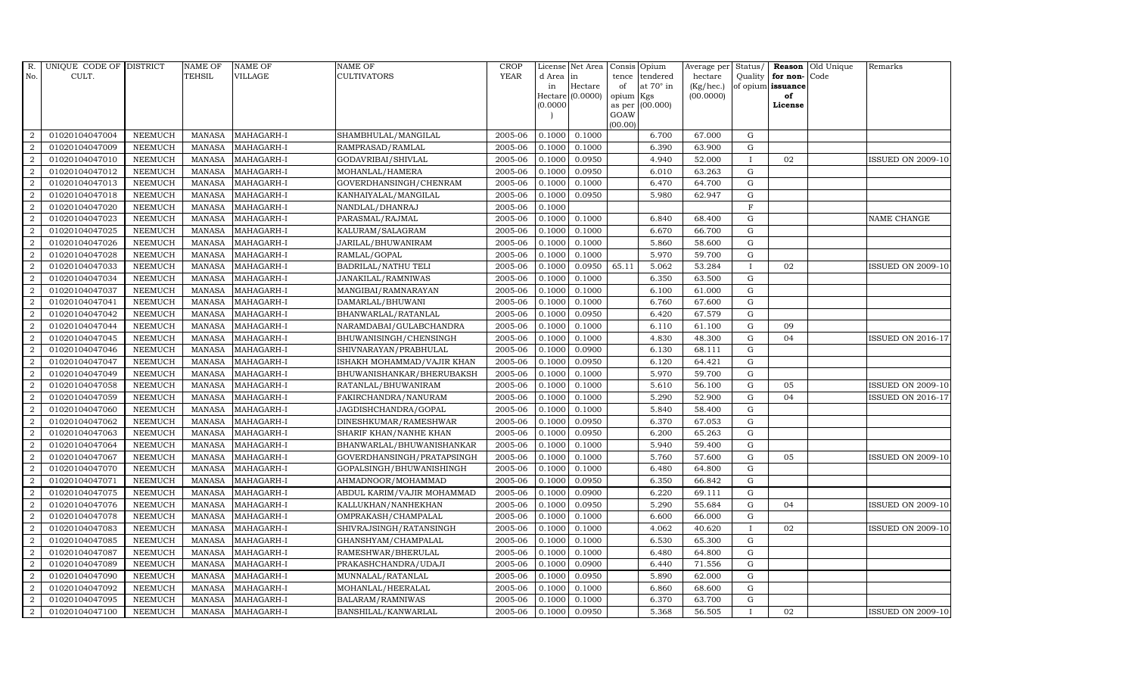| R.             | UNIQUE CODE OF DISTRICT |                | <b>NAME OF</b> | <b>NAME OF</b> | <b>NAME OF</b>             | CROP        |            | License Net Area | Consis         | Opium            | Average per | Status/      |                   | <b>Reason</b> Old Unique | Remarks                  |
|----------------|-------------------------|----------------|----------------|----------------|----------------------------|-------------|------------|------------------|----------------|------------------|-------------|--------------|-------------------|--------------------------|--------------------------|
| No.            | CULT.                   |                | <b>TEHSIL</b>  | <b>VILLAGE</b> | <b>CULTIVATORS</b>         | <b>YEAR</b> | d Area  in |                  | tence          | tendered         | hectare     | Quality      | for non-Code      |                          |                          |
|                |                         |                |                |                |                            |             | in         | Hectare          | of             | at $70^\circ$ in | (Kg/hec.)   |              | of opium issuance |                          |                          |
|                |                         |                |                |                |                            |             | 0.0000     | Hectare (0.0000) | opium          | Kgs<br>(00.000)  | (00.0000)   |              | of<br>License     |                          |                          |
|                |                         |                |                |                |                            |             |            |                  | as per<br>GOAW |                  |             |              |                   |                          |                          |
|                |                         |                |                |                |                            |             |            |                  | (00.00)        |                  |             |              |                   |                          |                          |
| $\overline{2}$ | 01020104047004          | <b>NEEMUCH</b> | <b>MANASA</b>  | MAHAGARH-I     | SHAMBHULAL/MANGILAL        | 2005-06     | 0.1000     | 0.1000           |                | 6.700            | 67.000      | G            |                   |                          |                          |
| $\overline{2}$ | 01020104047009          | <b>NEEMUCH</b> | <b>MANASA</b>  | MAHAGARH-I     | RAMPRASAD/RAMLAL           | 2005-06     | 0.1000     | 0.1000           |                | 6.390            | 63.900      | G            |                   |                          |                          |
| 2              | 01020104047010          | <b>NEEMUCH</b> | <b>MANASA</b>  | MAHAGARH-I     | GODAVRIBAI/SHIVLAL         | 2005-06     | 0.1000     | 0.0950           |                | 4.940            | 52.000      | $\mathbf{I}$ | 02                |                          | <b>ISSUED ON 2009-10</b> |
| $\overline{2}$ | 01020104047012          | <b>NEEMUCH</b> | <b>MANASA</b>  | MAHAGARH-I     | MOHANLAL/HAMERA            | 2005-06     | 0.1000     | 0.0950           |                | 6.010            | 63.263      | G            |                   |                          |                          |
| $\overline{2}$ | 01020104047013          | <b>NEEMUCH</b> | <b>MANASA</b>  | MAHAGARH-I     | GOVERDHANSINGH/CHENRAM     | 2005-06     | 0.1000     | 0.1000           |                | 6.470            | 64.700      | G            |                   |                          |                          |
| $\overline{a}$ | 01020104047018          | <b>NEEMUCH</b> | <b>MANASA</b>  | MAHAGARH-I     | KANHAIYALAL/MANGILAL       | 2005-06     | 0.1000     | 0.0950           |                | 5.980            | 62.947      | G            |                   |                          |                          |
| $\overline{a}$ | 01020104047020          | <b>NEEMUCH</b> | <b>MANASA</b>  | MAHAGARH-I     | NANDLAL/DHANRAJ            | 2005-06     | 0.1000     |                  |                |                  |             | $\mathbf F$  |                   |                          |                          |
| 2              | 01020104047023          | <b>NEEMUCH</b> | <b>MANASA</b>  | MAHAGARH-I     | PARASMAL/RAJMAL            | 2005-06     | 0.1000     | 0.1000           |                | 6.840            | 68.400      | G            |                   |                          | NAME CHANGE              |
| $\overline{2}$ | 01020104047025          | <b>NEEMUCH</b> | <b>MANASA</b>  | MAHAGARH-I     | KALURAM/SALAGRAM           | 2005-06     | 0.1000     | 0.1000           |                | 6.670            | 66.700      | G            |                   |                          |                          |
| $\overline{2}$ | 01020104047026          | <b>NEEMUCH</b> | <b>MANASA</b>  | MAHAGARH-I     | JARILAL/BHUWANIRAM         | 2005-06     | 0.1000     | 0.1000           |                | 5.860            | 58.600      | ${\rm G}$    |                   |                          |                          |
| $\overline{a}$ | 01020104047028          | <b>NEEMUCH</b> | <b>MANASA</b>  | MAHAGARH-I     | RAMLAL/GOPAL               | 2005-06     | 0.1000     | 0.1000           |                | 5.970            | 59.700      | G            |                   |                          |                          |
| $\overline{a}$ | 01020104047033          | <b>NEEMUCH</b> | <b>MANASA</b>  | MAHAGARH-I     | <b>BADRILAL/NATHU TELI</b> | 2005-06     | 0.1000     | 0.0950           | 65.11          | 5.062            | 53.284      | $\mathbf{I}$ | 02                |                          | <b>ISSUED ON 2009-10</b> |
| $\overline{2}$ | 01020104047034          | <b>NEEMUCH</b> | <b>MANASA</b>  | MAHAGARH-I     | JANAKILAL/RAMNIWAS         | 2005-06     | 0.1000     | 0.1000           |                | 6.350            | 63.500      | G            |                   |                          |                          |
| $\overline{2}$ | 01020104047037          | <b>NEEMUCH</b> | <b>MANASA</b>  | MAHAGARH-I     | MANGIBAI/RAMNARAYAN        | 2005-06     | 0.1000     | 0.1000           |                | 6.100            | 61.000      | G            |                   |                          |                          |
| $\overline{2}$ | 01020104047041          | NEEMUCH        | <b>MANASA</b>  | MAHAGARH-I     | DAMARLAL/BHUWANI           | 2005-06     | 0.1000     | 0.1000           |                | 6.760            | 67.600      | G            |                   |                          |                          |
| 2              | 01020104047042          | <b>NEEMUCH</b> | <b>MANASA</b>  | MAHAGARH-I     | BHANWARLAL/RATANLAL        | 2005-06     | 0.1000     | 0.0950           |                | 6.420            | 67.579      | G            |                   |                          |                          |
| 2              | 01020104047044          | <b>NEEMUCH</b> | <b>MANASA</b>  | MAHAGARH-I     | NARAMDABAI/GULABCHANDRA    | 2005-06     | 0.1000     | 0.1000           |                | 6.110            | 61.100      | G            | 09                |                          |                          |
| $\overline{a}$ | 01020104047045          | <b>NEEMUCH</b> | <b>MANASA</b>  | MAHAGARH-I     | BHUWANISINGH/CHENSINGH     | 2005-06     | 0.1000     | 0.1000           |                | 4.830            | 48.300      | G            | 04                |                          | <b>ISSUED ON 2016-17</b> |
| $\overline{2}$ | 01020104047046          | <b>NEEMUCH</b> | <b>MANASA</b>  | MAHAGARH-I     | SHIVNARAYAN/PRABHULAL      | 2005-06     | 0.1000     | 0.0900           |                | 6.130            | 68.111      | G            |                   |                          |                          |
| $\overline{2}$ | 01020104047047          | NEEMUCH        | <b>MANASA</b>  | MAHAGARH-I     | ISHAKH MOHAMMAD/VAJIR KHAN | 2005-06     | 0.1000     | 0.0950           |                | 6.120            | 64.421      | ${\rm G}$    |                   |                          |                          |
| 2              | 01020104047049          | <b>NEEMUCH</b> | <b>MANASA</b>  | MAHAGARH-I     | BHUWANISHANKAR/BHERUBAKSH  | 2005-06     | 0.1000     | 0.1000           |                | 5.970            | 59.700      | G            |                   |                          |                          |
| 2              | 01020104047058          | <b>NEEMUCH</b> | <b>MANASA</b>  | MAHAGARH-I     | RATANLAL/BHUWANIRAM        | 2005-06     | 0.1000     | 0.1000           |                | 5.610            | 56.100      | G            | 05                |                          | <b>ISSUED ON 2009-10</b> |
| $\overline{2}$ | 01020104047059          | <b>NEEMUCH</b> | <b>MANASA</b>  | MAHAGARH-I     | FAKIRCHANDRA/NANURAM       | 2005-06     | 0.1000     | 0.1000           |                | 5.290            | 52.900      | G            | 04                |                          | <b>ISSUED ON 2016-17</b> |
| 2              | 01020104047060          | <b>NEEMUCH</b> | <b>MANASA</b>  | MAHAGARH-I     | JAGDISHCHANDRA/GOPAL       | 2005-06     | 0.1000     | 0.1000           |                | 5.840            | 58.400      | G            |                   |                          |                          |
| $\overline{2}$ | 01020104047062          | <b>NEEMUCH</b> | <b>MANASA</b>  | MAHAGARH-I     | DINESHKUMAR/RAMESHWAR      | 2005-06     | 0.1000     | 0.0950           |                | 6.370            | 67.053      | G            |                   |                          |                          |
| 2              | 01020104047063          | <b>NEEMUCH</b> | <b>MANASA</b>  | MAHAGARH-I     | SHARIF KHAN/NANHE KHAN     | 2005-06     | 0.1000     | 0.0950           |                | 6.200            | 65.263      | G            |                   |                          |                          |
| 2              | 01020104047064          | <b>NEEMUCH</b> | <b>MANASA</b>  | MAHAGARH-I     | BHANWARLAL/BHUWANISHANKAR  | 2005-06     | 0.1000     | 0.1000           |                | 5.940            | 59.400      | G            |                   |                          |                          |
| $\overline{a}$ | 01020104047067          | <b>NEEMUCH</b> | <b>MANASA</b>  | MAHAGARH-I     | GOVERDHANSINGH/PRATAPSINGH | 2005-06     | 0.1000     | 0.1000           |                | 5.760            | 57.600      | G            | 05                |                          | <b>ISSUED ON 2009-10</b> |
| 2              | 01020104047070          | <b>NEEMUCH</b> | <b>MANASA</b>  | MAHAGARH-I     | GOPALSINGH/BHUWANISHINGH   | 2005-06     | 0.1000     | 0.1000           |                | 6.480            | 64.800      | G            |                   |                          |                          |
| $\overline{2}$ | 01020104047071          | <b>NEEMUCH</b> | <b>MANASA</b>  | MAHAGARH-I     | AHMADNOOR/MOHAMMAD         | 2005-06     | 0.1000     | 0.0950           |                | 6.350            | 66.842      | G            |                   |                          |                          |
| $\overline{a}$ | 01020104047075          | <b>NEEMUCH</b> | <b>MANASA</b>  | MAHAGARH-I     | ABDUL KARIM/VAJIR MOHAMMAD | 2005-06     | 0.1000     | 0.0900           |                | 6.220            | 69.111      | G            |                   |                          |                          |
| $\overline{2}$ | 01020104047076          | <b>NEEMUCH</b> | <b>MANASA</b>  | MAHAGARH-I     | KALLUKHAN/NANHEKHAN        | 2005-06     | 0.1000     | 0.0950           |                | 5.290            | 55.684      | $\mathbf G$  | 04                |                          | <b>ISSUED ON 2009-10</b> |
| $\overline{a}$ | 01020104047078          | <b>NEEMUCH</b> | <b>MANASA</b>  | MAHAGARH-I     | OMPRAKASH/CHAMPALAL        | 2005-06     | 0.1000     | 0.1000           |                | 6.600            | 66.000      | $\mathbf G$  |                   |                          |                          |
| 2              | 01020104047083          | <b>NEEMUCH</b> | <b>MANASA</b>  | MAHAGARH-I     | SHIVRAJSINGH/RATANSINGH    | 2005-06     | 0.1000     | 0.1000           |                | 4.062            | 40.620      | $\mathbf{I}$ | 02                |                          | <b>ISSUED ON 2009-10</b> |
| 2              | 01020104047085          | <b>NEEMUCH</b> | <b>MANASA</b>  | MAHAGARH-I     | GHANSHYAM/CHAMPALAL        | 2005-06     | 0.1000     | 0.1000           |                | 6.530            | 65.300      | G            |                   |                          |                          |
| $\overline{a}$ | 01020104047087          | <b>NEEMUCH</b> | <b>MANASA</b>  | MAHAGARH-I     | RAMESHWAR/BHERULAL         | 2005-06     | 0.1000     | 0.1000           |                | 6.480            | 64.800      | G            |                   |                          |                          |
| 2              | 01020104047089          | <b>NEEMUCH</b> | <b>MANASA</b>  | MAHAGARH-I     | PRAKASHCHANDRA/UDAJI       | 2005-06     | 0.1000     | 0.0900           |                | 6.440            | 71.556      | G            |                   |                          |                          |
| $\overline{a}$ | 01020104047090          | <b>NEEMUCH</b> | <b>MANASA</b>  | MAHAGARH-I     | MUNNALAL/RATANLAL          | 2005-06     | 0.1000     | 0.0950           |                | 5.890            | 62.000      | $\mathbf G$  |                   |                          |                          |
| $\overline{2}$ | 01020104047092          | <b>NEEMUCH</b> | <b>MANASA</b>  | MAHAGARH-I     | MOHANLAL/HEERALAL          | 2005-06     | 0.1000     | 0.1000           |                | 6.860            | 68.600      | G            |                   |                          |                          |
| 2              | 01020104047095          | <b>NEEMUCH</b> | <b>MANASA</b>  | MAHAGARH-I     | BALARAM/RAMNIWAS           | 2005-06     | 0.1000     | 0.1000           |                | 6.370            | 63.700      | G            |                   |                          |                          |
| $\overline{a}$ | 01020104047100          | <b>NEEMUCH</b> | MANASA         | MAHAGARH-I     | BANSHILAL/KANWARLAL        | 2005-06     | 0.1000     | 0.0950           |                | 5.368            | 56.505      | $\mathbf{I}$ | 02                |                          | <b>ISSUED ON 2009-10</b> |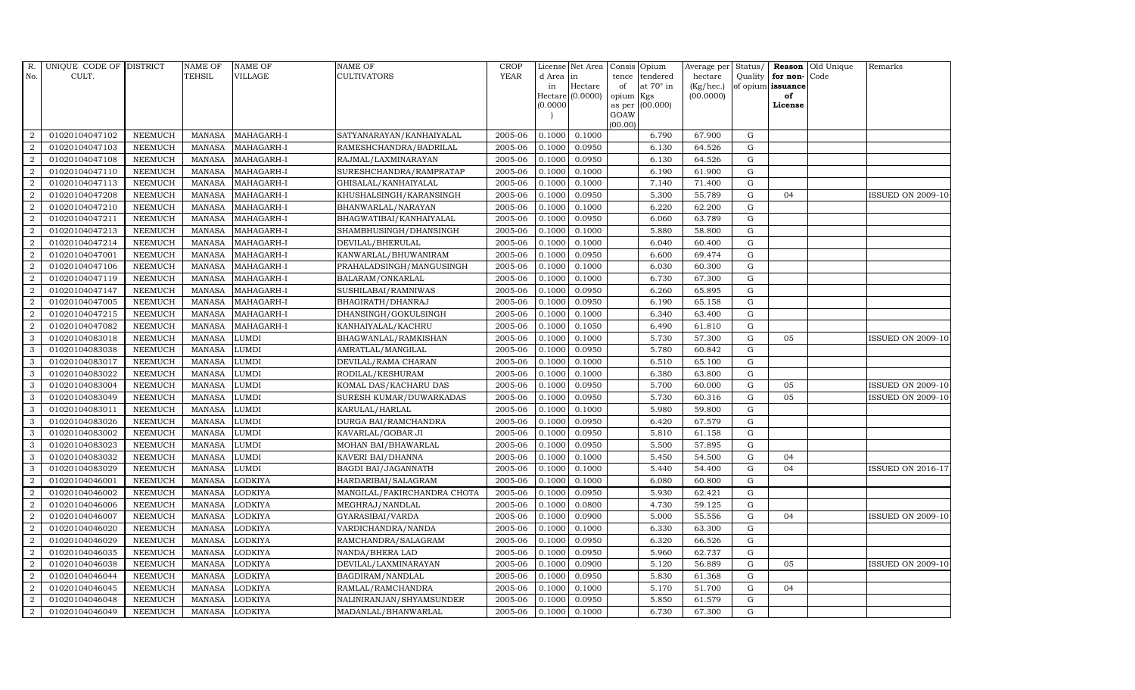| R.               | UNIQUE CODE OF DISTRICT |                | <b>NAME OF</b> | <b>NAME OF</b> | NAME OF                     | CROP        |           | License Net Area            | Consis          | Opium                   | Average per            | Status/     |                         | Reason Old Unique | Remarks                  |
|------------------|-------------------------|----------------|----------------|----------------|-----------------------------|-------------|-----------|-----------------------------|-----------------|-------------------------|------------------------|-------------|-------------------------|-------------------|--------------------------|
| No.              | CULT.                   |                | <b>TEHSIL</b>  | <b>VILLAGE</b> | CULTIVATORS                 | <b>YEAR</b> | d Area in |                             | tence           | tendered                | hectare                | Quality     | for non-                | Code              |                          |
|                  |                         |                |                |                |                             |             | in        | Hectare<br>Hectare (0.0000) | of              | at $70^\circ$ in<br>Kgs | (Kg/hec.)<br>(00.0000) |             | of opium issuance<br>of |                   |                          |
|                  |                         |                |                |                |                             |             | (0.0000)  |                             | opium<br>as per | (00.000)                |                        |             | License                 |                   |                          |
|                  |                         |                |                |                |                             |             |           |                             | GOAW            |                         |                        |             |                         |                   |                          |
|                  |                         |                |                |                |                             |             |           |                             | (00.00)         |                         |                        |             |                         |                   |                          |
| 2                | 01020104047102          | <b>NEEMUCH</b> | <b>MANASA</b>  | MAHAGARH-I     | SATYANARAYAN/KANHAIYALAL    | 2005-06     | 0.1000    | 0.1000                      |                 | 6.790                   | 67.900                 | G           |                         |                   |                          |
| $\overline{2}$   | 01020104047103          | <b>NEEMUCH</b> | <b>MANASA</b>  | MAHAGARH-I     | RAMESHCHANDRA/BADRILAL      | 2005-06     | 0.1000    | 0.0950                      |                 | 6.130                   | 64.526                 | G           |                         |                   |                          |
| 2                | 01020104047108          | <b>NEEMUCH</b> | <b>MANASA</b>  | MAHAGARH-I     | RAJMAL/LAXMINARAYAN         | 2005-06     | 0.1000    | 0.0950                      |                 | 6.130                   | 64.526                 | G           |                         |                   |                          |
| $\overline{2}$   | 01020104047110          | <b>NEEMUCH</b> | <b>MANASA</b>  | MAHAGARH-I     | SURESHCHANDRA/RAMPRATAP     | 2005-06     | 0.1000    | 0.1000                      |                 | 6.190                   | 61.900                 | G           |                         |                   |                          |
| 2                | 01020104047113          | <b>NEEMUCH</b> | <b>MANASA</b>  | MAHAGARH-I     | GHISALAL/KANHAIYALAL        | 2005-06     | 0.1000    | 0.1000                      |                 | 7.140                   | 71.400                 | G           |                         |                   |                          |
| 2                | 01020104047208          | <b>NEEMUCH</b> | <b>MANASA</b>  | MAHAGARH-I     | KHUSHALSINGH/KARANSINGH     | 2005-06     | 0.1000    | 0.0950                      |                 | 5.300                   | 55.789                 | G           | 04                      |                   | ISSUED ON 2009-10        |
| 2                | 01020104047210          | <b>NEEMUCH</b> | <b>MANASA</b>  | MAHAGARH-I     | BHANWARLAL/NARAYAN          | 2005-06     | 0.1000    | 0.1000                      |                 | 6.220                   | 62.200                 | G           |                         |                   |                          |
| 2                | 01020104047211          | <b>NEEMUCH</b> | <b>MANASA</b>  | MAHAGARH-I     | BHAGWATIBAI/KANHAIYALAL     | 2005-06     | 0.1000    | 0.0950                      |                 | 6.060                   | 63.789                 | G           |                         |                   |                          |
| $\overline{2}$   | 01020104047213          | <b>NEEMUCH</b> | <b>MANASA</b>  | MAHAGARH-I     | SHAMBHUSINGH/DHANSINGH      | 2005-06     | 0.1000    | 0.1000                      |                 | 5.880                   | 58.800                 | G           |                         |                   |                          |
| $\overline{2}$   | 01020104047214          | <b>NEEMUCH</b> | <b>MANASA</b>  | MAHAGARH-I     | DEVILAL/BHERULAL            | 2005-06     | 0.1000    | 0.1000                      |                 | 6.040                   | 60.400                 | G           |                         |                   |                          |
| 2                | 01020104047001          | <b>NEEMUCH</b> | <b>MANASA</b>  | MAHAGARH-I     | KANWARLAL/BHUWANIRAM        | 2005-06     | 0.1000    | 0.0950                      |                 | 6.600                   | 69.474                 | G           |                         |                   |                          |
| $\boldsymbol{2}$ | 01020104047106          | <b>NEEMUCH</b> | <b>MANASA</b>  | MAHAGARH-I     | PRAHALADSINGH/MANGUSINGH    | 2005-06     | 0.1000    | 0.1000                      |                 | 6.030                   | 60.300                 | G           |                         |                   |                          |
| 2                | 01020104047119          | <b>NEEMUCH</b> | <b>MANASA</b>  | MAHAGARH-I     | BALARAM/ONKARLAL            | 2005-06     | 0.1000    | 0.1000                      |                 | 6.730                   | 67.300                 | G           |                         |                   |                          |
| 2                | 01020104047147          | <b>NEEMUCH</b> | <b>MANASA</b>  | MAHAGARH-I     | SUSHILABAI/RAMNIWAS         | 2005-06     | 0.1000    | 0.0950                      |                 | 6.260                   | 65.895                 | $\mathbf G$ |                         |                   |                          |
| $\boldsymbol{2}$ | 01020104047005          | <b>NEEMUCH</b> | <b>MANASA</b>  | MAHAGARH-I     | BHAGIRATH/DHANRAJ           | 2005-06     | 0.1000    | 0.0950                      |                 | 6.190                   | 65.158                 | G           |                         |                   |                          |
| 2                | 01020104047215          | <b>NEEMUCH</b> | <b>MANASA</b>  | MAHAGARH-I     | DHANSINGH/GOKULSINGH        | 2005-06     | 0.1000    | 0.1000                      |                 | 6.340                   | 63.400                 | G           |                         |                   |                          |
| 2                | 01020104047082          | <b>NEEMUCH</b> | <b>MANASA</b>  | MAHAGARH-I     | KANHAIYALAL/KACHRU          | 2005-06     | 0.1000    | 0.1050                      |                 | 6.490                   | 61.810                 | G           |                         |                   |                          |
| 3                | 01020104083018          | <b>NEEMUCH</b> | <b>MANASA</b>  | LUMDI          | BHAGWANLAL/RAMKISHAN        | 2005-06     | 0.1000    | 0.1000                      |                 | 5.730                   | 57.300                 | G           | 05                      |                   | <b>ISSUED ON 2009-10</b> |
| 3                | 01020104083038          | <b>NEEMUCH</b> | <b>MANASA</b>  | LUMDI          | AMRATLAL/MANGILAL           | 2005-06     | 0.1000    | 0.0950                      |                 | 5.780                   | 60.842                 | G           |                         |                   |                          |
| $\mathcal{E}$    | 01020104083017          | <b>NEEMUCH</b> | <b>MANASA</b>  | LUMDI          | DEVILAL/RAMA CHARAN         | 2005-06     | 0.1000    | 0.1000                      |                 | 6.510                   | 65.100                 | G           |                         |                   |                          |
| 3                | 01020104083022          | <b>NEEMUCH</b> | <b>MANASA</b>  | LUMDI          | RODILAL/KESHURAM            | 2005-06     | 0.1000    | 0.1000                      |                 | 6.380                   | 63.800                 | G           |                         |                   |                          |
| 3                | 01020104083004          | <b>NEEMUCH</b> | <b>MANASA</b>  | LUMDI          | KOMAL DAS/KACHARU DAS       | 2005-06     | 0.1000    | 0.0950                      |                 | 5.700                   | 60.000                 | G           | 05                      |                   | <b>ISSUED ON 2009-10</b> |
| 3                | 01020104083049          | <b>NEEMUCH</b> | <b>MANASA</b>  | LUMDI          | SURESH KUMAR/DUWARKADAS     | 2005-06     | 0.1000    | 0.0950                      |                 | 5.730                   | 60.316                 | G           | 05                      |                   | <b>ISSUED ON 2009-10</b> |
| 3                | 01020104083011          | <b>NEEMUCH</b> | <b>MANASA</b>  | LUMDI          | KARULAL/HARLAL              | 2005-06     | 0.1000    | 0.1000                      |                 | 5.980                   | 59.800                 | G           |                         |                   |                          |
| 3                | 01020104083026          | <b>NEEMUCH</b> | <b>MANASA</b>  | LUMDI          | DURGA BAI/RAMCHANDRA        | 2005-06     | 0.1000    | 0.0950                      |                 | 6.420                   | 67.579                 | G           |                         |                   |                          |
| 3                | 01020104083002          | <b>NEEMUCH</b> | <b>MANASA</b>  | LUMDI          | KAVARLAL/GOBAR JI           | 2005-06     | 0.1000    | 0.0950                      |                 | 5.810                   | 61.158                 | G           |                         |                   |                          |
| 3                | 01020104083023          | <b>NEEMUCH</b> | <b>MANASA</b>  | LUMDI          | MOHAN BAI/BHAWARLAL         | 2005-06     | 0.1000    | 0.0950                      |                 | 5.500                   | 57.895                 | G           |                         |                   |                          |
| $\mathbf{3}$     | 01020104083032          | <b>NEEMUCH</b> | <b>MANASA</b>  | LUMDI          | KAVERI BAI/DHANNA           | 2005-06     | 0.1000    | 0.1000                      |                 | 5.450                   | 54.500                 | G           | 04                      |                   |                          |
| 3                | 01020104083029          | <b>NEEMUCH</b> | <b>MANASA</b>  | LUMDI          | <b>BAGDI BAI/JAGANNATH</b>  | 2005-06     | 0.1000    | 0.1000                      |                 | 5.440                   | 54.400                 | $\mathbf G$ | 04                      |                   | <b>ISSUED ON 2016-17</b> |
| $\overline{2}$   | 01020104046001          | <b>NEEMUCH</b> | <b>MANASA</b>  | LODKIYA        | HARDARIBAI/SALAGRAM         | 2005-06     | 0.1000    | 0.1000                      |                 | 6.080                   | 60.800                 | G           |                         |                   |                          |
| $\overline{2}$   | 01020104046002          | <b>NEEMUCH</b> | <b>MANASA</b>  | LODKIYA        | MANGILAL/FAKIRCHANDRA CHOTA | 2005-06     | 0.1000    | 0.0950                      |                 | 5.930                   | 62.421                 | G           |                         |                   |                          |
| 2                | 01020104046006          | <b>NEEMUCH</b> | <b>MANASA</b>  | LODKIYA        | MEGHRAJ/NANDLAL             | 2005-06     | 0.1000    | 0.0800                      |                 | 4.730                   | 59.125                 | G           |                         |                   |                          |
| $\overline{2}$   | 01020104046007          | <b>NEEMUCH</b> | <b>MANASA</b>  | <b>ODKIYA</b>  | GYARASIBAI/VARDA            | 2005-06     | 0.1000    | 0.0900                      |                 | 5.000                   | 55.556                 | G           | 04                      |                   | <b>ISSUED ON 2009-10</b> |
| 2                | 01020104046020          | <b>NEEMUCH</b> | <b>MANASA</b>  | LODKIYA        | VARDICHANDRA/NANDA          | 2005-06     | 0.1000    | 0.1000                      |                 | 6.330                   | 63.300                 | $\mathbf G$ |                         |                   |                          |
| 2                | 01020104046029          | <b>NEEMUCH</b> | <b>MANASA</b>  | LODKIYA        | RAMCHANDRA/SALAGRAM         | 2005-06     | 0.1000    | 0.0950                      |                 | 6.320                   | 66.526                 | $\mathbf G$ |                         |                   |                          |
| $\overline{2}$   | 01020104046035          | <b>NEEMUCH</b> | <b>MANASA</b>  | <b>ODKIYA</b>  | NANDA/BHERA LAD             | 2005-06     | 0.1000    | 0.0950                      |                 | 5.960                   | 62.737                 | G           |                         |                   |                          |
| 2                | 01020104046038          | <b>NEEMUCH</b> | <b>MANASA</b>  | LODKIYA        | DEVILAL/LAXMINARAYAN        | 2005-06     | 0.1000    | 0.0900                      |                 | 5.120                   | 56.889                 | G           | 05                      |                   | <b>ISSUED ON 2009-10</b> |
| $\overline{2}$   | 01020104046044          | <b>NEEMUCH</b> | <b>MANASA</b>  | <b>ODKIYA</b>  | BAGDIRAM/NANDLAL            | 2005-06     | 0.1000    | 0.0950                      |                 | 5.830                   | 61.368                 | G           |                         |                   |                          |
| 2                | 01020104046045          | <b>NEEMUCH</b> | <b>MANASA</b>  | LODKIYA        | RAMLAL/RAMCHANDRA           | 2005-06     | 0.1000    | 0.1000                      |                 | 5.170                   | 51.700                 | G           | 04                      |                   |                          |
| 2                | 01020104046048          | <b>NEEMUCH</b> | <b>MANASA</b>  | LODKIYA        | NALINIRANJAN/SHYAMSUNDER    | 2005-06     | 0.1000    | 0.0950                      |                 | 5.850                   | 61.579                 | $\mathbf G$ |                         |                   |                          |
| $\overline{2}$   | 01020104046049          | <b>NEEMUCH</b> | MANASA         | <b>LODKIYA</b> | MADANLAL/BHANWARLAL         | 2005-06     | 0.1000    | 0.1000                      |                 | 6.730                   | 67.300                 | G           |                         |                   |                          |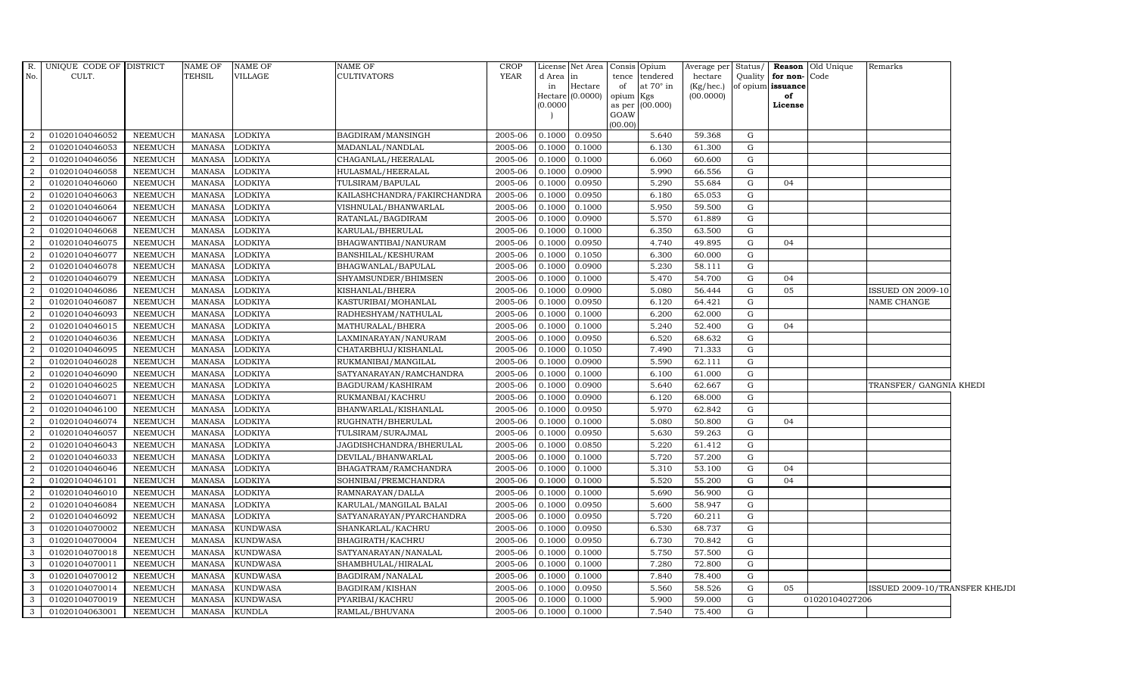| $\overline{R}$ . | UNIQUE CODE OF DISTRICT |                | <b>NAME OF</b> | NAME OF         | <b>NAME OF</b>              | <b>CROP</b> |          | License Net Area Consis Opium |           |                   | Average per Status/ |             |                   | Reason Old Unique | Remarks                        |  |
|------------------|-------------------------|----------------|----------------|-----------------|-----------------------------|-------------|----------|-------------------------------|-----------|-------------------|---------------------|-------------|-------------------|-------------------|--------------------------------|--|
| No.              | CULT.                   |                | <b>TEHSIL</b>  | VILLAGE         | <b>CULTIVATORS</b>          | <b>YEAR</b> | d Area   | in                            | tence     | tendered          | hectare             | Quality     | for non-Code      |                   |                                |  |
|                  |                         |                |                |                 |                             |             | in       | Hectare                       | of        | at 70° in         | (Kg/hec.)           |             | of opium issuance |                   |                                |  |
|                  |                         |                |                |                 |                             |             | (0.0000) | Hectare (0.0000)              | opium Kgs | as per $(00.000)$ | (00.0000)           |             | of<br>License     |                   |                                |  |
|                  |                         |                |                |                 |                             |             |          |                               | GOAW      |                   |                     |             |                   |                   |                                |  |
|                  |                         |                |                |                 |                             |             |          |                               | (00.00)   |                   |                     |             |                   |                   |                                |  |
| 2                | 01020104046052          | NEEMUCH        | MANASA         | LODKIYA         | BAGDIRAM/MANSINGH           | 2005-06     | 0.1000   | 0.0950                        |           | 5.640             | 59.368              | G           |                   |                   |                                |  |
| 2                | 01020104046053          | <b>NEEMUCH</b> | MANASA         | LODKIYA         | MADANLAL/NANDLAL            | 2005-06     | 0.1000   | 0.1000                        |           | 6.130             | 61.300              | G           |                   |                   |                                |  |
| $\overline{2}$   | 01020104046056          | <b>NEEMUCH</b> | <b>MANASA</b>  | LODKIYA         | CHAGANLAL/HEERALAL          | 2005-06     | 0.1000   | 0.1000                        |           | 6.060             | 60.600              | G           |                   |                   |                                |  |
| $\overline{2}$   | 01020104046058          | NEEMUCH        | <b>MANASA</b>  | LODKIYA         | HULASMAL/HEERALAL           | 2005-06     | 0.1000   | 0.0900                        |           | 5.990             | 66.556              | G           |                   |                   |                                |  |
| 2                | 01020104046060          | <b>NEEMUCH</b> | <b>MANASA</b>  | <b>LODKIYA</b>  | TULSIRAM/BAPULAL            | 2005-06     | 0.1000   | 0.0950                        |           | 5.290             | 55.684              | G           | 04                |                   |                                |  |
| 2                | 01020104046063          | <b>NEEMUCH</b> | <b>MANASA</b>  | LODKIYA         | KAILASHCHANDRA/FAKIRCHANDRA | 2005-06     | 0.1000   | 0.0950                        |           | 6.180             | 65.053              | G           |                   |                   |                                |  |
| 2                | 01020104046064          | NEEMUCH        | <b>MANASA</b>  | LODKIYA         | VISHNULAL/BHANWARLAL        | 2005-06     | 0.1000   | 0.1000                        |           | 5.950             | 59.500              | G           |                   |                   |                                |  |
| 2                | 01020104046067          | <b>NEEMUCH</b> | <b>MANASA</b>  | LODKIYA         | RATANLAL/BAGDIRAM           | 2005-06     | 0.1000   | 0.0900                        |           | 5.570             | 61.889              | G           |                   |                   |                                |  |
| $\overline{2}$   | 01020104046068          | <b>NEEMUCH</b> | <b>MANASA</b>  | LODKIYA         | KARULAL/BHERULAL            | 2005-06     | 0.1000   | 0.1000                        |           | 6.350             | 63.500              | G           |                   |                   |                                |  |
| $\overline{a}$   | 01020104046075          | NEEMUCH        | <b>MANASA</b>  | LODKIYA         | BHAGWANTIBAI/NANURAM        | 2005-06     | 0.1000   | 0.0950                        |           | 4.740             | 49.895              | G           | 04                |                   |                                |  |
| 2                | 01020104046077          | NEEMUCH        | <b>MANASA</b>  | LODKIYA         | BANSHILAL/KESHURAM          | 2005-06     | 0.1000   | 0.1050                        |           | 6.300             | 60.000              | G           |                   |                   |                                |  |
| $\overline{2}$   | 01020104046078          | <b>NEEMUCH</b> | <b>MANASA</b>  | LODKIYA         | BHAGWANLAL/BAPULAL          | 2005-06     | 0.1000   | 0.0900                        |           | 5.230             | 58.111              | ${\rm G}$   |                   |                   |                                |  |
| $\overline{2}$   | 01020104046079          | NEEMUCH        | <b>MANASA</b>  | LODKIYA         | SHYAMSUNDER/BHIMSEN         | 2005-06     | 0.1000   | 0.1000                        |           | 5.470             | 54.700              | G           | 04                |                   |                                |  |
| 2                | 01020104046086          | <b>NEEMUCH</b> | <b>MANASA</b>  | LODKIYA         | KISHANLAL/BHERA             | 2005-06     | 0.1000   | 0.0900                        |           | 5.080             | 56.444              | G           | 05                |                   | <b>ISSUED ON 2009-10</b>       |  |
| $\overline{a}$   | 01020104046087          | <b>NEEMUCH</b> | <b>MANASA</b>  | LODKIYA         | KASTURIBAI/MOHANLAL         | 2005-06     | 0.1000   | 0.0950                        |           | 6.120             | 64.421              | G           |                   |                   | NAME CHANGE                    |  |
| $\overline{2}$   | 01020104046093          | NEEMUCH        | <b>MANASA</b>  | LODKIYA         | RADHESHYAM/NATHULAL         | 2005-06     | 0.1000   | 0.1000                        |           | 6.200             | 62.000              | G           |                   |                   |                                |  |
| 2                | 01020104046015          | <b>NEEMUCH</b> | <b>MANASA</b>  | LODKIYA         | MATHURALAL/BHERA            | 2005-06     | 0.1000   | 0.1000                        |           | 5.240             | 52.400              | G           | 04                |                   |                                |  |
| $\overline{2}$   | 01020104046036          | NEEMUCH        | <b>MANASA</b>  | LODKIYA         | LAXMINARAYAN/NANURAM        | 2005-06     | 0.1000   | 0.0950                        |           | 6.520             | 68.632              | G           |                   |                   |                                |  |
| $\overline{2}$   | 01020104046095          | <b>NEEMUCH</b> | <b>MANASA</b>  | LODKIYA         | CHATARBHUJ/KISHANLAL        | 2005-06     | 0.1000   | 0.1050                        |           | 7.490             | 71.333              | G           |                   |                   |                                |  |
| $\overline{2}$   | 01020104046028          | <b>NEEMUCH</b> | <b>MANASA</b>  | LODKIYA         | RUKMANIBAI/MANGILAL         | 2005-06     | 0.1000   | 0.0900                        |           | 5.590             | 62.111              | G           |                   |                   |                                |  |
| 2                | 01020104046090          | NEEMUCH        | <b>MANASA</b>  | LODKIYA         | SATYANARAYAN/RAMCHANDRA     | 2005-06     | 0.1000   | 0.1000                        |           | 6.100             | 61.000              | G           |                   |                   |                                |  |
| 2                | 01020104046025          | <b>NEEMUCH</b> | <b>MANASA</b>  | LODKIYA         | BAGDURAM/KASHIRAM           | 2005-06     | 0.1000   | 0.0900                        |           | 5.640             | 62.667              | G           |                   |                   | TRANSFER/ GANGNIA KHEDI        |  |
| 2                | 01020104046071          | <b>NEEMUCH</b> | <b>MANASA</b>  | LODKIYA         | RUKMANBAI/KACHRU            | 2005-06     | 0.1000   | 0.0900                        |           | 6.120             | 68.000              | G           |                   |                   |                                |  |
| $\overline{2}$   | 01020104046100          | <b>NEEMUCH</b> | <b>MANASA</b>  | LODKIYA         | BHANWARLAL/KISHANLAL        | 2005-06     | 0.1000   | 0.0950                        |           | 5.970             | 62.842              | G           |                   |                   |                                |  |
| $\overline{2}$   | 01020104046074          | <b>NEEMUCH</b> | <b>MANASA</b>  | LODKIYA         | RUGHNATH/BHERULAL           | 2005-06     | 0.1000   | 0.1000                        |           | 5.080             | 50.800              | $\mathbf G$ | 04                |                   |                                |  |
| 2                | 01020104046057          | NEEMUCH        | <b>MANASA</b>  | LODKIYA         | TULSIRAM/SURAJMAL           | 2005-06     | 0.1000   | 0.0950                        |           | 5.630             | 59.263              | G           |                   |                   |                                |  |
| 2                | 01020104046043          | NEEMUCH        | <b>MANASA</b>  | <b>LODKIYA</b>  | JAGDISHCHANDRA/BHERULAL     | 2005-06     | 0.1000   | 0.0850                        |           | 5.220             | 61.412              | G           |                   |                   |                                |  |
| $\overline{2}$   | 01020104046033          | NEEMUCH        | <b>MANASA</b>  | LODKIYA         | DEVILAL/BHANWARLAL          | 2005-06     | 0.1000   | 0.1000                        |           | 5.720             | 57.200              | G           |                   |                   |                                |  |
| 2                | 01020104046046          | <b>NEEMUCH</b> | <b>MANASA</b>  | LODKIYA         | BHAGATRAM/RAMCHANDRA        | 2005-06     | 0.1000   | 0.1000                        |           | 5.310             | 53.100              | $\mathbf G$ | 04                |                   |                                |  |
| $\overline{2}$   | 01020104046101          | <b>NEEMUCH</b> | <b>MANASA</b>  | LODKIYA         | SOHNIBAI/PREMCHANDRA        | 2005-06     | 0.1000   | 0.1000                        |           | 5.520             | 55.200              | G           | 04                |                   |                                |  |
| $\overline{2}$   | 01020104046010          | <b>NEEMUCH</b> | <b>MANASA</b>  | LODKIYA         | RAMNARAYAN/DALLA            | 2005-06     | 0.1000   | 0.1000                        |           | 5.690             | 56.900              | G           |                   |                   |                                |  |
| 2                | 01020104046084          | <b>NEEMUCH</b> | <b>MANASA</b>  | LODKIYA         | KARULAL/MANGILAL BALAI      | 2005-06     | 0.1000   | 0.0950                        |           | 5.600             | 58.947              | G           |                   |                   |                                |  |
| 2                | 01020104046092          | <b>NEEMUCH</b> | <b>MANASA</b>  | LODKIYA         | SATYANARAYAN/PYARCHANDRA    | 2005-06     | 0.1000   | 0.0950                        |           | 5.720             | 60.211              | G           |                   |                   |                                |  |
| 3                | 01020104070002          | <b>NEEMUCH</b> | <b>MANASA</b>  | <b>KUNDWASA</b> | SHANKARLAL/KACHRU           | 2005-06     | 0.1000   | 0.0950                        |           | 6.530             | 68.737              | G           |                   |                   |                                |  |
| 3                | 01020104070004          | <b>NEEMUCH</b> | <b>MANASA</b>  | <b>KUNDWASA</b> | BHAGIRATH/KACHRU            | 2005-06     | 0.1000   | 0.0950                        |           | 6.730             | 70.842              | G           |                   |                   |                                |  |
| 3                | 01020104070018          | <b>NEEMUCH</b> | <b>MANASA</b>  | KUNDWASA        | SATYANARAYAN/NANALAL        | 2005-06     | 0.1000   | 0.1000                        |           | 5.750             | 57.500              | G           |                   |                   |                                |  |
| 3                | 01020104070011          | <b>NEEMUCH</b> | <b>MANASA</b>  | <b>KUNDWASA</b> | SHAMBHULAL/HIRALAL          | 2005-06     | 0.1000   | 0.1000                        |           | 7.280             | 72.800              | G           |                   |                   |                                |  |
| $\mathbf{3}$     | 01020104070012          | NEEMUCH        | <b>MANASA</b>  | <b>KUNDWASA</b> | BAGDIRAM/NANALAL            | 2005-06     | 0.1000   | 0.1000                        |           | 7.840             | 78.400              | G           |                   |                   |                                |  |
| 3                | 01020104070014          | <b>NEEMUCH</b> | <b>MANASA</b>  | <b>KUNDWASA</b> | BAGDIRAM/KISHAN             | 2005-06     | 0.1000   | 0.0950                        |           | 5.560             | 58.526              | G           | 05                |                   | ISSUED 2009-10/TRANSFER KHEJDI |  |
| 3                | 01020104070019          | <b>NEEMUCH</b> | <b>MANASA</b>  | <b>KUNDWASA</b> | PYARIBAI/KACHRU             | 2005-06     | 0.1000   | 0.1000                        |           | 5.900             | 59.000              | G           |                   | 01020104027206    |                                |  |
| 3                | 01020104063001          | <b>NEEMUCH</b> | <b>MANASA</b>  | <b>KUNDLA</b>   | RAMLAL/BHUVANA              | 2005-06     | 0.1000   | 0.1000                        |           | 7.540             | 75.400              | G           |                   |                   |                                |  |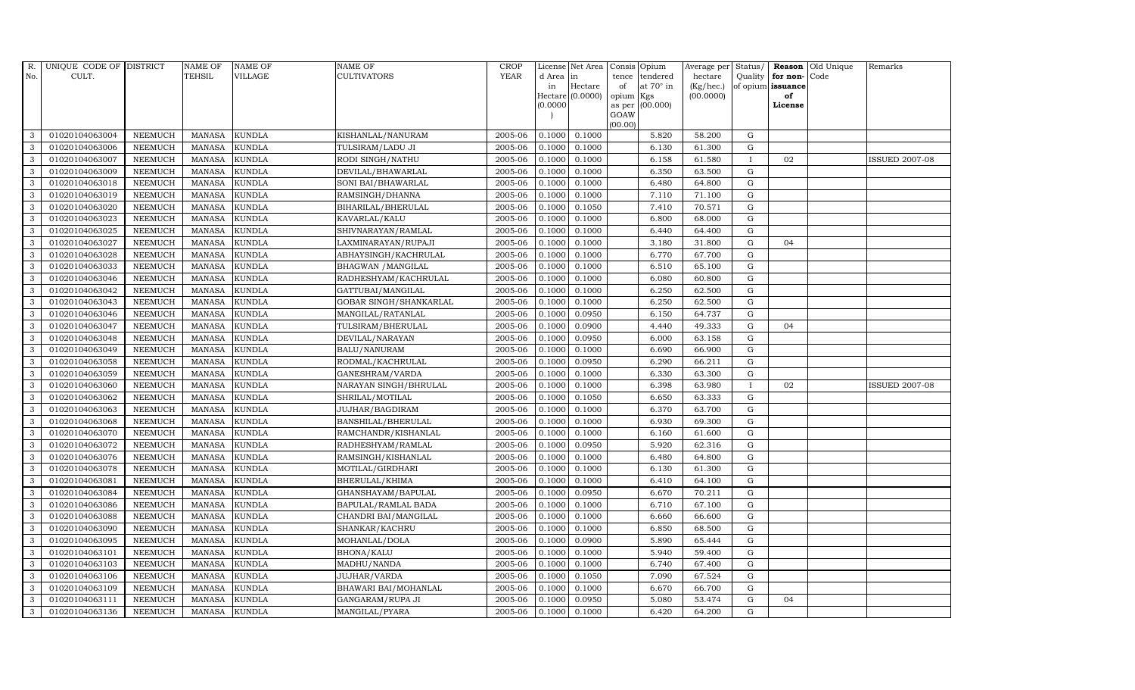| R.           | UNIQUE CODE OF DISTRICT |                | <b>NAME OF</b> | <b>NAME OF</b> | <b>NAME OF</b>         | CROP        |           | License Net Area Consis Opium |           |                  | Average per | Status/      | Reason            | Old Unique | Remarks               |
|--------------|-------------------------|----------------|----------------|----------------|------------------------|-------------|-----------|-------------------------------|-----------|------------------|-------------|--------------|-------------------|------------|-----------------------|
| No.          | CULT.                   |                | <b>TEHSIL</b>  | <b>VILLAGE</b> | <b>CULTIVATORS</b>     | <b>YEAR</b> | d Area in |                               | tence     | tendered         | hectare     | Quality      | for non-          | Code       |                       |
|              |                         |                |                |                |                        |             | in        | Hectare                       | of        | at $70^\circ$ in | (Kg/hec.)   |              | of opium issuance |            |                       |
|              |                         |                |                |                |                        |             |           | Hectare (0.0000)              | opium Kgs |                  | (00.0000)   |              | of                |            |                       |
|              |                         |                |                |                |                        |             | (0.0000)  |                               | GOAW      | as per (00.000)  |             |              | License           |            |                       |
|              |                         |                |                |                |                        |             |           |                               | (00.00)   |                  |             |              |                   |            |                       |
| 3            | 01020104063004          | <b>NEEMUCH</b> | MANASA         | <b>KUNDLA</b>  | KISHANLAL/NANURAM      | 2005-06     | 0.1000    | 0.1000                        |           | 5.820            | 58.200      | $\mathbf G$  |                   |            |                       |
| 3            | 01020104063006          | <b>NEEMUCH</b> | MANASA         | <b>KUNDLA</b>  | TULSIRAM/LADU JI       | 2005-06     | 0.1000    | 0.1000                        |           | 6.130            | 61.300      | $\mathbf G$  |                   |            |                       |
| 3            | 01020104063007          | <b>NEEMUCH</b> | <b>MANASA</b>  | <b>KUNDLA</b>  | RODI SINGH/NATHU       | 2005-06     | 0.1000    | 0.1000                        |           | 6.158            | 61.580      | $\mathbf{I}$ | 02                |            | <b>ISSUED 2007-08</b> |
| 3            | 01020104063009          | <b>NEEMUCH</b> | <b>MANASA</b>  | <b>KUNDLA</b>  | DEVILAL/BHAWARLAL      | 2005-06     | 0.1000    | 0.1000                        |           | 6.350            | 63.500      | $\mathbf G$  |                   |            |                       |
| 3            | 01020104063018          | <b>NEEMUCH</b> | <b>MANASA</b>  | <b>KUNDLA</b>  | SONI BAI/BHAWARLAL     | 2005-06     | 0.1000    | 0.1000                        |           | 6.480            | 64.800      | ${\rm G}$    |                   |            |                       |
| $\mathbf{3}$ | 01020104063019          | <b>NEEMUCH</b> | MANASA         | <b>KUNDLA</b>  | RAMSINGH/DHANNA        | 2005-06     | 0.1000    | 0.1000                        |           | 7.110            | 71.100      | $\mathbf G$  |                   |            |                       |
| 3            | 01020104063020          | <b>NEEMUCH</b> | <b>MANASA</b>  | <b>KUNDLA</b>  | BIHARILAL/BHERULAL     | 2005-06     | 0.1000    | 0.1050                        |           | 7.410            | 70.571      | $\mathbf G$  |                   |            |                       |
| 3            | 01020104063023          | <b>NEEMUCH</b> | <b>MANASA</b>  | <b>KUNDLA</b>  | KAVARLAL/KALU          | 2005-06     | 0.1000    | 0.1000                        |           | 6.800            | 68.000      | $\mathbf G$  |                   |            |                       |
| 3            | 01020104063025          | <b>NEEMUCH</b> | <b>MANASA</b>  | <b>KUNDLA</b>  | SHIVNARAYAN/RAMLAL     | 2005-06     | 0.1000    | 0.1000                        |           | 6.440            | 64.400      | $\mathbf G$  |                   |            |                       |
| 3            | 01020104063027          | <b>NEEMUCH</b> | <b>MANASA</b>  | <b>KUNDLA</b>  | LAXMINARAYAN/RUPAJI    | 2005-06     | 0.1000    | 0.1000                        |           | 3.180            | 31.800      | $\mathbf G$  | 04                |            |                       |
| 3            | 01020104063028          | <b>NEEMUCH</b> | <b>MANASA</b>  | <b>KUNDLA</b>  | ABHAYSINGH/KACHRULAL   | 2005-06     | 0.1000    | 0.1000                        |           | 6.770            | 67.700      | ${\rm G}$    |                   |            |                       |
| 3            | 01020104063033          | <b>NEEMUCH</b> | <b>MANASA</b>  | <b>KUNDLA</b>  | BHAGWAN / MANGILAL     | 2005-06     | 0.1000    | 0.1000                        |           | 6.510            | 65.100      | $\mathbf G$  |                   |            |                       |
| 3            | 01020104063046          | <b>NEEMUCH</b> | <b>MANASA</b>  | <b>KUNDLA</b>  | RADHESHYAM/KACHRULAL   | 2005-06     | 0.1000    | 0.1000                        |           | 6.080            | 60.800      | $\mathbf G$  |                   |            |                       |
| 3            | 01020104063042          | <b>NEEMUCH</b> | <b>MANASA</b>  | <b>KUNDLA</b>  | GATTUBAI/MANGILAL      | 2005-06     | 0.1000    | 0.1000                        |           | 6.250            | 62.500      | G            |                   |            |                       |
| 3            | 01020104063043          | <b>NEEMUCH</b> | <b>MANASA</b>  | <b>KUNDLA</b>  | GOBAR SINGH/SHANKARLAL | 2005-06     | 0.1000    | 0.1000                        |           | 6.250            | 62.500      | G            |                   |            |                       |
| 3            | 01020104063046          | <b>NEEMUCH</b> | <b>MANASA</b>  | <b>KUNDLA</b>  | MANGILAL/RATANLAL      | 2005-06     | 0.1000    | 0.0950                        |           | 6.150            | 64.737      | ${\rm G}$    |                   |            |                       |
| 3            | 01020104063047          | <b>NEEMUCH</b> | <b>MANASA</b>  | <b>KUNDLA</b>  | TULSIRAM/BHERULAL      | 2005-06     | 0.1000    | 0.0900                        |           | 4.440            | 49.333      | G            | 04                |            |                       |
| 3            | 01020104063048          | <b>NEEMUCH</b> | MANASA         | <b>KUNDLA</b>  | DEVILAL/NARAYAN        | 2005-06     | 0.1000    | 0.0950                        |           | 6.000            | 63.158      | G            |                   |            |                       |
| 3            | 01020104063049          | <b>NEEMUCH</b> | <b>MANASA</b>  | <b>KUNDLA</b>  | <b>BALU/NANURAM</b>    | 2005-06     | 0.1000    | 0.1000                        |           | 6.690            | 66.900      | $\mathbf G$  |                   |            |                       |
| 3            | 01020104063058          | <b>NEEMUCH</b> | <b>MANASA</b>  | <b>KUNDLA</b>  | RODMAL/KACHRULAL       | 2005-06     | 0.1000    | 0.0950                        |           | 6.290            | 66.211      | $\mathbf G$  |                   |            |                       |
| $\mathbf{3}$ | 01020104063059          | <b>NEEMUCH</b> | <b>MANASA</b>  | <b>KUNDLA</b>  | GANESHRAM/VARDA        | 2005-06     | 0.1000    | 0.1000                        |           | 6.330            | 63.300      | ${\rm G}$    |                   |            |                       |
| 3            | 01020104063060          | <b>NEEMUCH</b> | <b>MANASA</b>  | <b>KUNDLA</b>  | NARAYAN SINGH/BHRULAL  | 2005-06     | 0.1000    | 0.1000                        |           | 6.398            | 63.980      | $\mathbf{I}$ | 02                |            | <b>ISSUED 2007-08</b> |
| $\mathbf{3}$ | 01020104063062          | <b>NEEMUCH</b> | <b>MANASA</b>  | <b>KUNDLA</b>  | SHRILAL/MOTILAL        | 2005-06     | 0.1000    | 0.1050                        |           | 6.650            | 63.333      | G            |                   |            |                       |
| 3            | 01020104063063          | <b>NEEMUCH</b> | <b>MANASA</b>  | <b>KUNDLA</b>  | JUJHAR/BAGDIRAM        | 2005-06     | 0.1000    | 0.1000                        |           | 6.370            | 63.700      | $\mathbf G$  |                   |            |                       |
| 3            | 01020104063068          | NEEMUCH        | <b>MANASA</b>  | <b>KUNDLA</b>  | BANSHILAL/BHERULAL     | 2005-06     | 0.1000    | 0.1000                        |           | 6.930            | 69.300      | $\mathbf G$  |                   |            |                       |
| 3            | 01020104063070          | <b>NEEMUCH</b> | <b>MANASA</b>  | <b>KUNDLA</b>  | RAMCHANDR/KISHANLAL    | 2005-06     | 0.1000    | 0.1000                        |           | 6.160            | 61.600      | G            |                   |            |                       |
| 3            | 01020104063072          | <b>NEEMUCH</b> | <b>MANASA</b>  | <b>KUNDLA</b>  | RADHESHYAM/RAMLAL      | 2005-06     | 0.1000    | 0.0950                        |           | 5.920            | 62.316      | ${\rm G}$    |                   |            |                       |
| 3            | 01020104063076          | <b>NEEMUCH</b> | <b>MANASA</b>  | <b>KUNDLA</b>  | RAMSINGH/KISHANLAL     | 2005-06     | 0.1000    | 0.1000                        |           | 6.480            | 64.800      | $\mathbf G$  |                   |            |                       |
| 3            | 01020104063078          | <b>NEEMUCH</b> | <b>MANASA</b>  | <b>KUNDLA</b>  | MOTILAL/GIRDHARI       | 2005-06     | 0.1000    | 0.1000                        |           | 6.130            | 61.300      | $\mathbf G$  |                   |            |                       |
| 3            | 01020104063081          | <b>NEEMUCH</b> | <b>MANASA</b>  | <b>KUNDLA</b>  | BHERULAL/KHIMA         | 2005-06     | 0.1000    | 0.1000                        |           | 6.410            | 64.100      | $\mathbf G$  |                   |            |                       |
| 3            | 01020104063084          | <b>NEEMUCH</b> | <b>MANASA</b>  | <b>KUNDLA</b>  | GHANSHAYAM/BAPULAL     | 2005-06     | 0.1000    | 0.0950                        |           | 6.670            | 70.211      | G            |                   |            |                       |
| 3            | 01020104063086          | <b>NEEMUCH</b> | <b>MANASA</b>  | <b>KUNDLA</b>  | BAPULAL/RAMLAL BADA    | 2005-06     | 0.1000    | 0.1000                        |           | 6.710            | 67.100      | ${\rm G}$    |                   |            |                       |
| 3            | 01020104063088          | <b>NEEMUCH</b> | MANASA         | <b>KUNDLA</b>  | CHANDRI BAI/MANGILAL   | 2005-06     | 0.1000    | 0.1000                        |           | 6.660            | 66.600      | $\mathbf G$  |                   |            |                       |
| 3            | 01020104063090          | <b>NEEMUCH</b> | <b>MANASA</b>  | <b>KUNDLA</b>  | SHANKAR/KACHRU         | 2005-06     | 0.1000    | 0.1000                        |           | 6.850            | 68.500      | $\mathbf G$  |                   |            |                       |
| 3            | 01020104063095          | <b>NEEMUCH</b> | <b>MANASA</b>  | <b>KUNDLA</b>  | MOHANLAL/DOLA          | 2005-06     | 0.1000    | 0.0900                        |           | 5.890            | 65.444      | $\mathbf G$  |                   |            |                       |
| 3            | 01020104063101          | <b>NEEMUCH</b> | <b>MANASA</b>  | <b>KUNDLA</b>  | <b>BHONA/KALU</b>      | 2005-06     | 0.1000    | 0.1000                        |           | 5.940            | 59.400      | ${\rm G}$    |                   |            |                       |
| 3            | 01020104063103          | <b>NEEMUCH</b> | <b>MANASA</b>  | <b>KUNDLA</b>  | MADHU/NANDA            | 2005-06     | 0.1000    | 0.1000                        |           | 6.740            | 67.400      | ${\rm G}$    |                   |            |                       |
| 3            | 01020104063106          | <b>NEEMUCH</b> | <b>MANASA</b>  | <b>KUNDLA</b>  | <b>JUJHAR/VARDA</b>    | 2005-06     | 0.1000    | 0.1050                        |           | 7.090            | 67.524      | $\mathbf G$  |                   |            |                       |
| 3            | 01020104063109          | <b>NEEMUCH</b> | <b>MANASA</b>  | <b>KUNDLA</b>  | BHAWARI BAI/MOHANLAL   | 2005-06     | 0.1000    | 0.1000                        |           | 6.670            | 66.700      | $\mathbf G$  |                   |            |                       |
| 3            | 01020104063111          | <b>NEEMUCH</b> | <b>MANASA</b>  | <b>KUNDLA</b>  | GANGARAM/RUPA JI       | 2005-06     | 0.1000    | 0.0950                        |           | 5.080            | 53.474      | $\mathbf G$  | 04                |            |                       |
| 3            | 01020104063136          | <b>NEEMUCH</b> | MANASA KUNDLA  |                | MANGILAL/PYARA         | 2005-06     | 0.1000    | 0.1000                        |           | 6.420            | 64.200      | G            |                   |            |                       |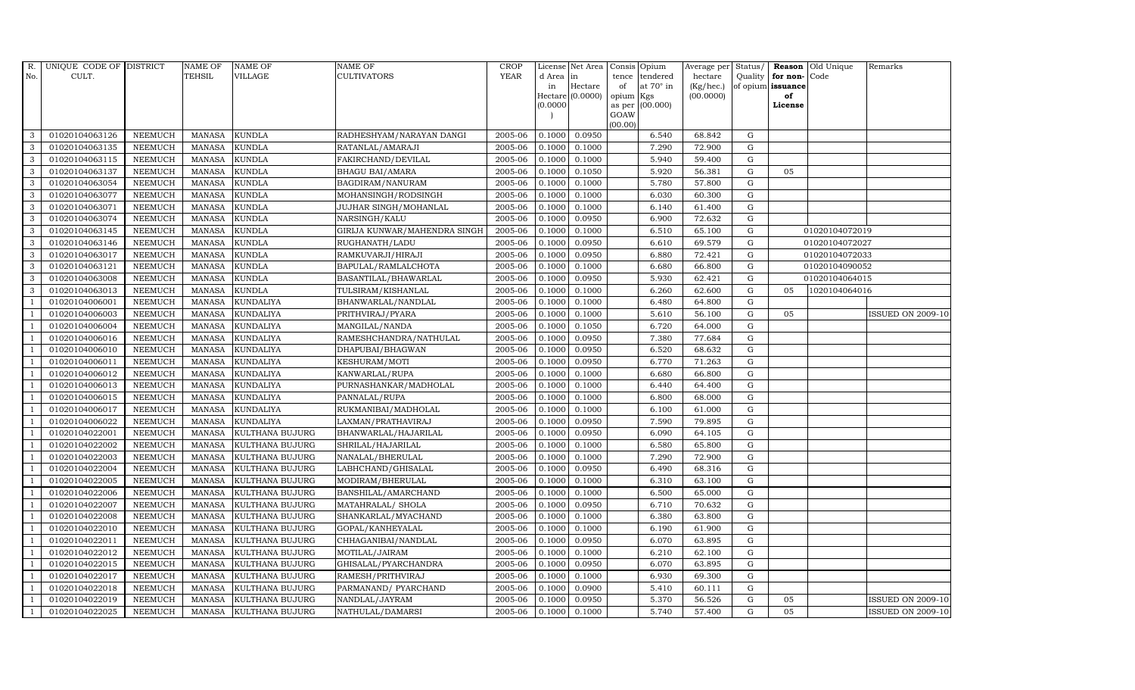| R.             | UNIQUE CODE OF DISTRICT |                | NAME OF       | <b>NAME OF</b>         | <b>NAME OF</b>               | CROP        |           | License Net Area Consis Opium |                     |                  | Average per     | Status/     | Reason            | Old Unique     | Remarks                  |
|----------------|-------------------------|----------------|---------------|------------------------|------------------------------|-------------|-----------|-------------------------------|---------------------|------------------|-----------------|-------------|-------------------|----------------|--------------------------|
| No.            | CULT.                   |                | <b>TEHSIL</b> | <b>VILLAGE</b>         | <b>CULTIVATORS</b>           | <b>YEAR</b> | d Area in |                               | tence               | tendered         | hectare         | Quality     | for non-          | Code           |                          |
|                |                         |                |               |                        |                              |             | in        | Hectare                       | of                  | at $70^\circ$ in | $(Kg/$ hec. $)$ |             | of opium issuance |                |                          |
|                |                         |                |               |                        |                              |             | (0.0000)  | Hectare (0.0000)              | opium Kgs<br>as per | (00.000)         | (00.0000)       |             | of<br>License     |                |                          |
|                |                         |                |               |                        |                              |             |           |                               | GOAW                |                  |                 |             |                   |                |                          |
|                |                         |                |               |                        |                              |             |           |                               | (00.00)             |                  |                 |             |                   |                |                          |
| 3              | 01020104063126          | <b>NEEMUCH</b> | MANASA        | <b>KUNDLA</b>          | RADHESHYAM/NARAYAN DANGI     | 2005-06     | 0.1000    | 0.0950                        |                     | 6.540            | 68.842          | G           |                   |                |                          |
| 3              | 01020104063135          | <b>NEEMUCH</b> | <b>MANASA</b> | <b>KUNDLA</b>          | RATANLAL/AMARAJI             | 2005-06     | 0.1000    | 0.1000                        |                     | 7.290            | 72.900          | ${\rm G}$   |                   |                |                          |
| 3              | 01020104063115          | <b>NEEMUCH</b> | <b>MANASA</b> | <b>KUNDLA</b>          | FAKIRCHAND/DEVILAL           | 2005-06     | 0.1000    | 0.1000                        |                     | 5.940            | 59.400          | $\mathbf G$ |                   |                |                          |
| 3              | 01020104063137          | <b>NEEMUCH</b> | <b>MANASA</b> | <b>KUNDLA</b>          | <b>BHAGU BAI/AMARA</b>       | 2005-06     | 0.1000    | 0.1050                        |                     | 5.920            | 56.381          | $\mathbf G$ | 05                |                |                          |
| 3              | 01020104063054          | <b>NEEMUCH</b> | <b>MANASA</b> | <b>KUNDLA</b>          | BAGDIRAM/NANURAM             | 2005-06     | 0.1000    | 0.1000                        |                     | 5.780            | 57.800          | $\mathbf G$ |                   |                |                          |
| 3              | 01020104063077          | <b>NEEMUCH</b> | <b>MANASA</b> | <b>KUNDLA</b>          | MOHANSINGH/RODSINGH          | 2005-06     | 0.1000    | 0.1000                        |                     | 6.030            | 60.300          | $\mathbf G$ |                   |                |                          |
| 3              | 01020104063071          | <b>NEEMUCH</b> | MANASA        | <b>KUNDLA</b>          | JUJHAR SINGH/MOHANLAL        | 2005-06     | 0.1000    | 0.1000                        |                     | 6.140            | 61.400          | ${\bf G}$   |                   |                |                          |
| 3              | 01020104063074          | <b>NEEMUCH</b> | <b>MANASA</b> | <b>KUNDLA</b>          | NARSINGH/KALU                | 2005-06     | 0.1000    | 0.0950                        |                     | 6.900            | 72.632          | G           |                   |                |                          |
| 3              | 01020104063145          | <b>NEEMUCH</b> | <b>MANASA</b> | <b>KUNDLA</b>          | GIRIJA KUNWAR/MAHENDRA SINGH | 2005-06     | 0.1000    | 0.1000                        |                     | 6.510            | 65.100          | $\mathbf G$ |                   | 01020104072019 |                          |
| 3              | 01020104063146          | <b>NEEMUCH</b> | <b>MANASA</b> | <b>KUNDLA</b>          | RUGHANATH/LADU               | 2005-06     | 0.1000    | 0.0950                        |                     | 6.610            | 69.579          | $\mathbf G$ |                   | 01020104072027 |                          |
| 3              | 01020104063017          | <b>NEEMUCH</b> | <b>MANASA</b> | <b>KUNDLA</b>          | RAMKUVARJI/HIRAJI            | 2005-06     | 0.1000    | 0.0950                        |                     | 6.880            | 72.421          | $\mathbf G$ |                   | 01020104072033 |                          |
| $\mathbf{3}$   | 01020104063121          | <b>NEEMUCH</b> | <b>MANASA</b> | <b>KUNDLA</b>          | BAPULAL/RAMLALCHOTA          | 2005-06     | 0.1000    | 0.1000                        |                     | 6.680            | 66.800          | ${\bf G}$   |                   | 01020104090052 |                          |
| $\mathbf{3}$   | 01020104063008          | <b>NEEMUCH</b> | <b>MANASA</b> | <b>KUNDLA</b>          | BASANTILAL/BHAWARLAL         | 2005-06     | 0.1000    | 0.0950                        |                     | 5.930            | 62.421          | $\mathbf G$ |                   | 01020104064015 |                          |
| 3              | 01020104063013          | <b>NEEMUCH</b> | <b>MANASA</b> | <b>KUNDLA</b>          | TULSIRAM/KISHANLAL           | 2005-06     | 0.1000    | 0.1000                        |                     | 6.260            | 62.600          | $\mathbf G$ | 05                | 1020104064016  |                          |
|                | 01020104006001          | <b>NEEMUCH</b> | <b>MANASA</b> | <b>KUNDALIYA</b>       | BHANWARLAL/NANDLAL           | 2005-06     | 0.1000    | 0.1000                        |                     | 6.480            | 64.800          | $\mathbf G$ |                   |                |                          |
| -1             | 01020104006003          | <b>NEEMUCH</b> | <b>MANASA</b> | <b>KUNDALIYA</b>       | PRITHVIRAJ/PYARA             | 2005-06     | 0.1000    | 0.1000                        |                     | 5.610            | 56.100          | G           | 05                |                | <b>ISSUED ON 2009-10</b> |
| -1             | 01020104006004          | <b>NEEMUCH</b> | <b>MANASA</b> | <b>KUNDALIYA</b>       | MANGILAL/NANDA               | 2005-06     | 0.1000    | 0.1050                        |                     | 6.720            | 64.000          | G           |                   |                |                          |
| $\overline{1}$ | 01020104006016          | <b>NEEMUCH</b> | <b>MANASA</b> | <b>KUNDALIYA</b>       | RAMESHCHANDRA/NATHULAL       | 2005-06     | 0.1000    | 0.0950                        |                     | 7.380            | 77.684          | $\mathbf G$ |                   |                |                          |
| $\overline{1}$ | 01020104006010          | <b>NEEMUCH</b> | <b>MANASA</b> | <b>KUNDALIYA</b>       | DHAPUBAI/BHAGWAN             | 2005-06     | 0.1000    | 0.0950                        |                     | 6.520            | 68.632          | $\mathbf G$ |                   |                |                          |
|                | 01020104006011          | <b>NEEMUCH</b> | <b>MANASA</b> | <b>KUNDALIYA</b>       | KESHURAM/MOTI                | 2005-06     | 0.1000    | 0.0950                        |                     | 6.770            | 71.263          | $\mathbf G$ |                   |                |                          |
| $\overline{1}$ | 01020104006012          | <b>NEEMUCH</b> | <b>MANASA</b> | <b>KUNDALIYA</b>       | KANWARLAL/RUPA               | 2005-06     | 0.1000    | 0.1000                        |                     | 6.680            | 66.800          | ${\rm G}$   |                   |                |                          |
| $\overline{1}$ | 01020104006013          | <b>NEEMUCH</b> | <b>MANASA</b> | <b>KUNDALIYA</b>       | PURNASHANKAR/MADHOLAL        | 2005-06     | 0.1000    | 0.1000                        |                     | 6.440            | 64.400          | $\mathbf G$ |                   |                |                          |
| $\overline{1}$ | 01020104006015          | <b>NEEMUCH</b> | MANASA        | <b>KUNDALIYA</b>       | PANNALAL/RUPA                | 2005-06     | 0.1000    | 0.1000                        |                     | 6.800            | 68.000          | ${\rm G}$   |                   |                |                          |
| $\overline{1}$ | 01020104006017          | <b>NEEMUCH</b> | <b>MANASA</b> | <b>KUNDALIYA</b>       | RUKMANIBAI/MADHOLAL          | 2005-06     | 0.1000    | 0.1000                        |                     | 6.100            | 61.000          | $\mathbf G$ |                   |                |                          |
|                | 01020104006022          | <b>NEEMUCH</b> | <b>MANASA</b> | <b>KUNDALIYA</b>       | LAXMAN/PRATHAVIRAJ           | 2005-06     | 0.1000    | 0.0950                        |                     | 7.590            | 79.895          | G           |                   |                |                          |
| $\overline{1}$ | 01020104022001          | <b>NEEMUCH</b> | <b>MANASA</b> | KULTHANA BUJURG        | BHANWARLAL/HAJARILAL         | 2005-06     | 0.1000    | 0.0950                        |                     | 6.090            | 64.105          | ${\rm G}$   |                   |                |                          |
| $\overline{1}$ | 01020104022002          | <b>NEEMUCH</b> | <b>MANASA</b> | KULTHANA BUJURG        | SHRILAL/HAJARILAL            | 2005-06     | 0.1000    | 0.1000                        |                     | 6.580            | 65.800          | ${\rm G}$   |                   |                |                          |
|                | 01020104022003          | <b>NEEMUCH</b> | <b>MANASA</b> | <b>KULTHANA BUJURG</b> | NANALAL/BHERULAL             | 2005-06     | 0.1000    | 0.1000                        |                     | 7.290            | 72.900          | $\mathbf G$ |                   |                |                          |
| -1             | 01020104022004          | <b>NEEMUCH</b> | MANASA        | KULTHANA BUJURG        | LABHCHAND/GHISALAL           | 2005-06     | 0.1000    | 0.0950                        |                     | 6.490            | 68.316          | ${\rm G}$   |                   |                |                          |
|                | 01020104022005          | <b>NEEMUCH</b> | <b>MANASA</b> | <b>KULTHANA BUJURG</b> | MODIRAM/BHERULAL             | 2005-06     | 0.1000    | 0.1000                        |                     | 6.310            | 63.100          | $\mathbf G$ |                   |                |                          |
|                | 01020104022006          | <b>NEEMUCH</b> | <b>MANASA</b> | <b>KULTHANA BUJURG</b> | BANSHILAL/AMARCHAND          | 2005-06     | 0.1000    | 0.1000                        |                     | 6.500            | 65.000          | G           |                   |                |                          |
| $\overline{1}$ | 01020104022007          | <b>NEEMUCH</b> | <b>MANASA</b> | KULTHANA BUJURG        | MATAHRALAL/ SHOLA            | 2005-06     | 0.1000    | 0.0950                        |                     | 6.710            | 70.632          | ${\rm G}$   |                   |                |                          |
| $\overline{1}$ | 01020104022008          | <b>NEEMUCH</b> | <b>MANASA</b> | KULTHANA BUJURG        | SHANKARLAL/MYACHAND          | 2005-06     | 0.1000    | 0.1000                        |                     | 6.380            | 63.800          | $\mathbf G$ |                   |                |                          |
| $\overline{1}$ | 01020104022010          | <b>NEEMUCH</b> | MANASA        | KULTHANA BUJURG        | GOPAL/KANHEYALAL             | 2005-06     | 0.1000    | 0.1000                        |                     | 6.190            | 61.900          | $\mathbf G$ |                   |                |                          |
| $\overline{1}$ | 01020104022011          | <b>NEEMUCH</b> | <b>MANASA</b> | <b>KULTHANA BUJURG</b> | CHHAGANIBAI/NANDLAL          | 2005-06     | 0.1000    | 0.0950                        |                     | 6.070            | 63.895          | $\mathbf G$ |                   |                |                          |
|                | 01020104022012          | <b>NEEMUCH</b> | <b>MANASA</b> | KULTHANA BUJURG        | MOTILAL/JAIRAM               | 2005-06     | 0.1000    | 0.1000                        |                     | 6.210            | 62.100          | $\mathbf G$ |                   |                |                          |
| $\overline{1}$ | 01020104022015          | <b>NEEMUCH</b> | <b>MANASA</b> | <b>KULTHANA BUJURG</b> | GHISALAL/PYARCHANDRA         | 2005-06     | 0.1000    | 0.0950                        |                     | 6.070            | 63.895          | ${\rm G}$   |                   |                |                          |
| $\mathbf{1}$   | 01020104022017          | <b>NEEMUCH</b> | <b>MANASA</b> | KULTHANA BUJURG        | RAMESH/PRITHVIRAJ            | 2005-06     | 0.1000    | 0.1000                        |                     | 6.930            | 69.300          | ${\rm G}$   |                   |                |                          |
| $\overline{1}$ | 01020104022018          | <b>NEEMUCH</b> | MANASA        | KULTHANA BUJURG        | PARMANAND/ PYARCHAND         | 2005-06     | 0.1000    | 0.0900                        |                     | 5.410            | 60.111          | $\mathbf G$ |                   |                |                          |
| $\overline{1}$ | 01020104022019          | <b>NEEMUCH</b> | <b>MANASA</b> | KULTHANA BUJURG        | NANDLAL/JAYRAM               | 2005-06     | 0.1000    | 0.0950                        |                     | 5.370            | 56.526          | $\mathbf G$ | 05                |                | <b>ISSUED ON 2009-10</b> |
| $\mathbf{1}$   | 01020104022025          | <b>NEEMUCH</b> |               | MANASA KULTHANA BUJURG | NATHULAL/DAMARSI             | 2005-06     | 0.1000    | 0.1000                        |                     | 5.740            | 57.400          | G           | 05                |                | <b>ISSUED ON 2009-10</b> |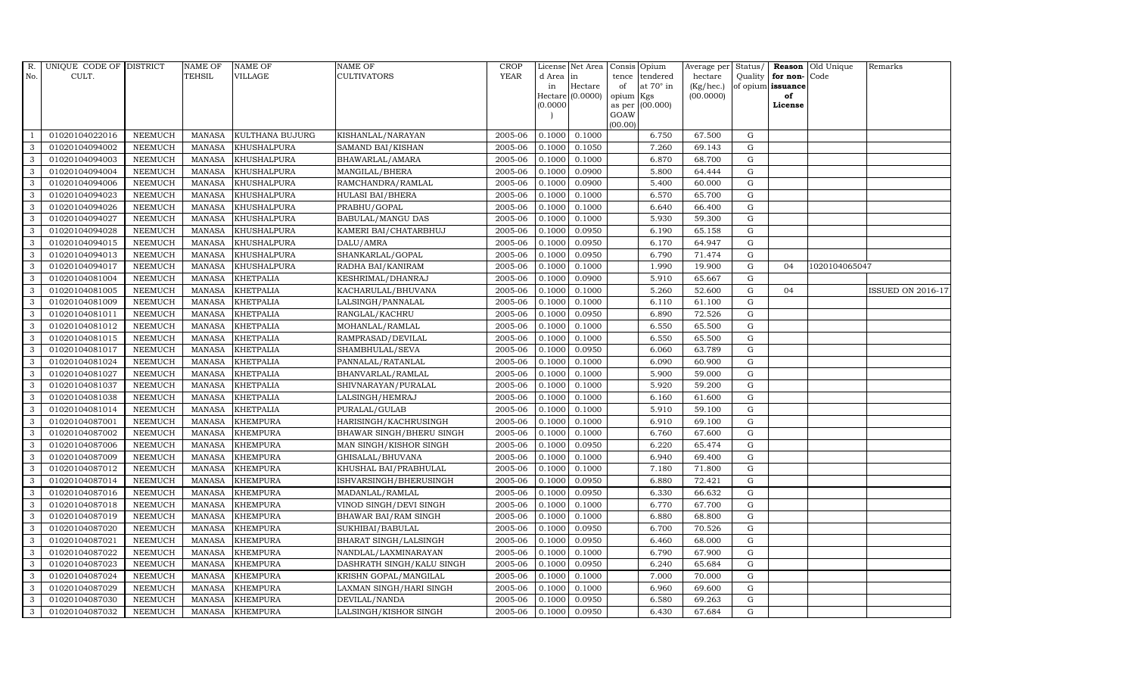| R.  | UNIQUE CODE OF DISTRICT |                | <b>NAME OF</b> | <b>NAME OF</b>   | NAME OF                      | <b>CROP</b> |           | License Net Area   |                 | Consis Opium     | Average per Status/ |             |                   | Reason Old Unique | Remarks                  |
|-----|-------------------------|----------------|----------------|------------------|------------------------------|-------------|-----------|--------------------|-----------------|------------------|---------------------|-------------|-------------------|-------------------|--------------------------|
| No. | CULT.                   |                | <b>TEHSIL</b>  | <b>VILLAGE</b>   | CULTIVATORS                  | <b>YEAR</b> | d Area in |                    | tence           | tendered         | hectare             |             | Quality for non-  | Code              |                          |
|     |                         |                |                |                  |                              |             | in        | Hectare            | of              | at $70^\circ$ in | (Kg/hec.)           |             | of opium issuance |                   |                          |
|     |                         |                |                |                  |                              |             | (0.0000)  | Hectare $(0.0000)$ | opium<br>as per | Kgs<br>(00.000)  | (00.0000)           |             | of<br>License     |                   |                          |
|     |                         |                |                |                  |                              |             |           |                    | GOAW            |                  |                     |             |                   |                   |                          |
|     |                         |                |                |                  |                              |             |           |                    | (00.00)         |                  |                     |             |                   |                   |                          |
|     | 01020104022016          | <b>NEEMUCH</b> | <b>MANASA</b>  | KULTHANA BUJURG  | KISHANLAL/NARAYAN            | 2005-06     | 0.1000    | 0.1000             |                 | 6.750            | 67.500              | G           |                   |                   |                          |
| 3   | 01020104094002          | <b>NEEMUCH</b> | <b>MANASA</b>  | KHUSHALPURA      | SAMAND BAI/KISHAN            | 2005-06     | 0.1000    | 0.1050             |                 | 7.260            | 69.143              | $\mathbf G$ |                   |                   |                          |
| 3   | 01020104094003          | <b>NEEMUCH</b> | <b>MANASA</b>  | KHUSHALPURA      | BHAWARLAL/AMARA              | 2005-06     | 0.1000    | 0.1000             |                 | 6.870            | 68.700              | G           |                   |                   |                          |
| 3   | 01020104094004          | <b>NEEMUCH</b> | <b>MANASA</b>  | KHUSHALPURA      | MANGILAL/BHERA               | 2005-06     | 0.1000    | 0.0900             |                 | 5.800            | 64.444              | G           |                   |                   |                          |
| 3   | 01020104094006          | <b>NEEMUCH</b> | <b>MANASA</b>  | KHUSHALPURA      | RAMCHANDRA/RAMLAL            | 2005-06     | 0.1000    | 0.0900             |                 | 5.400            | 60.000              | G           |                   |                   |                          |
| 3   | 01020104094023          | <b>NEEMUCH</b> | <b>MANASA</b>  | KHUSHALPURA      | HULASI BAI/BHERA             | 2005-06     | 0.1000    | 0.1000             |                 | 6.570            | 65.700              | G           |                   |                   |                          |
| 3   | 01020104094026          | <b>NEEMUCH</b> | <b>MANASA</b>  | KHUSHALPURA      | PRABHU/GOPAL                 | 2005-06     | 0.1000    | 0.1000             |                 | 6.640            | 66.400              | G           |                   |                   |                          |
| 3   | 01020104094027          | <b>NEEMUCH</b> | <b>MANASA</b>  | KHUSHALPURA      | BABULAL/MANGU DAS            | 2005-06     | 0.1000    | 0.1000             |                 | 5.930            | 59.300              | $\mathbf G$ |                   |                   |                          |
| 3   | 01020104094028          | <b>NEEMUCH</b> | <b>MANASA</b>  | KHUSHALPURA      | KAMERI BAI/CHATARBHUJ        | 2005-06     | 0.1000    | 0.0950             |                 | 6.190            | 65.158              | G           |                   |                   |                          |
| 3   | 01020104094015          | <b>NEEMUCH</b> | <b>MANASA</b>  | KHUSHALPURA      | DALU/AMRA                    | 2005-06     | 0.1000    | 0.0950             |                 | 6.170            | 64.947              | G           |                   |                   |                          |
| 3   | 01020104094013          | <b>NEEMUCH</b> | <b>MANASA</b>  | KHUSHALPURA      | SHANKARLAL/GOPAL             | 2005-06     | 0.1000    | 0.0950             |                 | 6.790            | 71.474              | G           |                   |                   |                          |
| 3   | 01020104094017          | <b>NEEMUCH</b> | <b>MANASA</b>  | KHUSHALPURA      | RADHA BAI/KANIRAM            | 2005-06     | 0.1000    | 0.1000             |                 | 1.990            | 19.900              | G           | 04                | 1020104065047     |                          |
| 3   | 01020104081004          | <b>NEEMUCH</b> | <b>MANASA</b>  | <b>KHETPALIA</b> | KESHRIMAL/DHANRAJ            | 2005-06     | 0.1000    | 0.0900             |                 | 5.910            | 65.667              | $\mathbf G$ |                   |                   |                          |
| 3   | 01020104081005          | <b>NEEMUCH</b> | <b>MANASA</b>  | <b>KHETPALIA</b> | KACHARULAL/BHUVANA           | 2005-06     | 0.1000    | 0.1000             |                 | 5.260            | 52.600              | G           | 04                |                   | <b>ISSUED ON 2016-17</b> |
| 3   | 01020104081009          | <b>NEEMUCH</b> | <b>MANASA</b>  | <b>KHETPALIA</b> | LALSINGH/PANNALAL            | 2005-06     | 0.1000    | 0.1000             |                 | 6.110            | 61.100              | G           |                   |                   |                          |
| 3   | 01020104081011          | <b>NEEMUCH</b> | <b>MANASA</b>  | <b>KHETPALIA</b> | RANGLAL/KACHRU               | 2005-06     | 0.1000    | 0.0950             |                 | 6.890            | 72.526              | G           |                   |                   |                          |
| 3   | 01020104081012          | <b>NEEMUCH</b> | <b>MANASA</b>  | <b>KHETPALIA</b> | MOHANLAL/RAMLAL              | 2005-06     | 0.1000    | 0.1000             |                 | 6.550            | 65.500              | G           |                   |                   |                          |
| 3   | 01020104081015          | <b>NEEMUCH</b> | <b>MANASA</b>  | <b>KHETPALIA</b> | RAMPRASAD/DEVILAL            | 2005-06     | 0.1000    | 0.1000             |                 | 6.550            | 65.500              | G           |                   |                   |                          |
| 3   | 01020104081017          | <b>NEEMUCH</b> | <b>MANASA</b>  | <b>KHETPALIA</b> | SHAMBHULAL/SEVA              | 2005-06     | 0.1000    | 0.0950             |                 | 6.060            | 63.789              | G           |                   |                   |                          |
| 3   | 01020104081024          | <b>NEEMUCH</b> | <b>MANASA</b>  | <b>KHETPALIA</b> | PANNALAL/RATANLAL            | 2005-06     | 0.1000    | 0.1000             |                 | 6.090            | 60.900              | G           |                   |                   |                          |
| 3   | 01020104081027          | <b>NEEMUCH</b> | <b>MANASA</b>  | <b>KHETPALIA</b> | BHANVARLAL/RAMLAL            | 2005-06     | 0.1000    | 0.1000             |                 | 5.900            | 59.000              | G           |                   |                   |                          |
| 3   | 01020104081037          | <b>NEEMUCH</b> | <b>MANASA</b>  | KHETPALIA        | SHIVNARAYAN/PURALAL          | 2005-06     | 0.1000    | 0.1000             |                 | 5.920            | 59.200              | G           |                   |                   |                          |
| 3   | 01020104081038          | <b>NEEMUCH</b> | <b>MANASA</b>  | <b>KHETPALIA</b> | LALSINGH/HEMRAJ              | 2005-06     | 0.1000    | 0.1000             |                 | 6.160            | 61.600              | G           |                   |                   |                          |
| 3   | 01020104081014          | <b>NEEMUCH</b> | <b>MANASA</b>  | <b>KHETPALIA</b> | PURALAL/GULAB                | 2005-06     | 0.1000    | 0.1000             |                 | 5.910            | 59.100              | $\mathbf G$ |                   |                   |                          |
| 3   | 01020104087001          | <b>NEEMUCH</b> | <b>MANASA</b>  | <b>KHEMPURA</b>  | HARISINGH/KACHRUSINGH        | 2005-06     | 0.1000    | 0.1000             |                 | 6.910            | 69.100              | G           |                   |                   |                          |
| 3   | 01020104087002          | <b>NEEMUCH</b> | <b>MANASA</b>  | <b>KHEMPURA</b>  | BHAWAR SINGH/BHERU SINGH     | 2005-06     | 0.1000    | 0.1000             |                 | 6.760            | 67.600              | G           |                   |                   |                          |
| 3   | 01020104087006          | <b>NEEMUCH</b> | <b>MANASA</b>  | <b>KHEMPURA</b>  | MAN SINGH/KISHOR SINGH       | 2005-06     | 0.1000    | 0.0950             |                 | 6.220            | 65.474              | G           |                   |                   |                          |
| 3   | 01020104087009          | <b>NEEMUCH</b> | <b>MANASA</b>  | <b>KHEMPURA</b>  | GHISALAL/BHUVANA             | 2005-06     | 0.1000    | 0.1000             |                 | 6.940            | 69.400              | G           |                   |                   |                          |
| 3   | 01020104087012          | <b>NEEMUCH</b> | <b>MANASA</b>  | <b>KHEMPURA</b>  | KHUSHAL BAI/PRABHULAL        | 2005-06     | 0.1000    | 0.1000             |                 | 7.180            | 71.800              | $\mathbf G$ |                   |                   |                          |
| 3   | 01020104087014          | <b>NEEMUCH</b> | <b>MANASA</b>  | <b>KHEMPURA</b>  | ISHVARSINGH/BHERUSINGH       | 2005-06     | 0.1000    | 0.0950             |                 | 6.880            | 72.421              | G           |                   |                   |                          |
| 3   | 01020104087016          | <b>NEEMUCH</b> | <b>MANASA</b>  | <b>KHEMPURA</b>  | MADANLAL/RAMLAL              | 2005-06     | 0.1000    | 0.0950             |                 | 6.330            | 66.632              | G           |                   |                   |                          |
| 3   | 01020104087018          | <b>NEEMUCH</b> | <b>MANASA</b>  | <b>KHEMPURA</b>  | VINOD SINGH/DEVI SINGH       | 2005-06     | 0.1000    | 0.1000             |                 | 6.770            | 67.700              | G           |                   |                   |                          |
| 3   | 01020104087019          | <b>NEEMUCH</b> | <b>MANASA</b>  | <b>KHEMPURA</b>  | BHAWAR BAI/RAM SINGH         | 2005-06     | 0.1000    | 0.1000             |                 | 6.880            | 68.800              | G           |                   |                   |                          |
| 3   | 01020104087020          | <b>NEEMUCH</b> | <b>MANASA</b>  | <b>KHEMPURA</b>  | SUKHIBAI/BABULAL             | 2005-06     | 0.1000    | 0.0950             |                 | 6.700            | 70.526              | G           |                   |                   |                          |
| 3   | 01020104087021          | <b>NEEMUCH</b> | <b>MANASA</b>  | <b>KHEMPURA</b>  | <b>BHARAT SINGH/LALSINGH</b> | 2005-06     | 0.1000    | 0.0950             |                 | 6.460            | 68.000              | $\mathbf G$ |                   |                   |                          |
| 3   | 01020104087022          | <b>NEEMUCH</b> | <b>MANASA</b>  | <b>KHEMPURA</b>  | NANDLAL/LAXMINARAYAN         | 2005-06     | 0.1000    | 0.1000             |                 | 6.790            | 67.900              | G           |                   |                   |                          |
| 3   | 01020104087023          | <b>NEEMUCH</b> | <b>MANASA</b>  | <b>KHEMPURA</b>  | DASHRATH SINGH/KALU SINGH    | 2005-06     | 0.1000    | 0.0950             |                 | 6.240            | 65.684              | G           |                   |                   |                          |
| 3   | 01020104087024          | <b>NEEMUCH</b> | <b>MANASA</b>  | <b>KHEMPURA</b>  | KRISHN GOPAL/MANGILAL        | 2005-06     | 0.1000    | 0.1000             |                 | 7.000            | 70.000              | G           |                   |                   |                          |
| 3   | 01020104087029          | <b>NEEMUCH</b> | <b>MANASA</b>  | <b>KHEMPURA</b>  | LAXMAN SINGH/HARI SINGH      | 2005-06     | 0.1000    | 0.1000             |                 | 6.960            | 69.600              | G           |                   |                   |                          |
| 3   | 01020104087030          | <b>NEEMUCH</b> | <b>MANASA</b>  | <b>KHEMPURA</b>  | DEVILAL/NANDA                | 2005-06     | 0.1000    | 0.0950             |                 | 6.580            | 69.263              | $\mathbf G$ |                   |                   |                          |
| 3   | 01020104087032          | <b>NEEMUCH</b> | MANASA         | <b>KHEMPURA</b>  | LALSINGH/KISHOR SINGH        | 2005-06     | 0.1000    | 0.0950             |                 | 6.430            | 67.684              | G           |                   |                   |                          |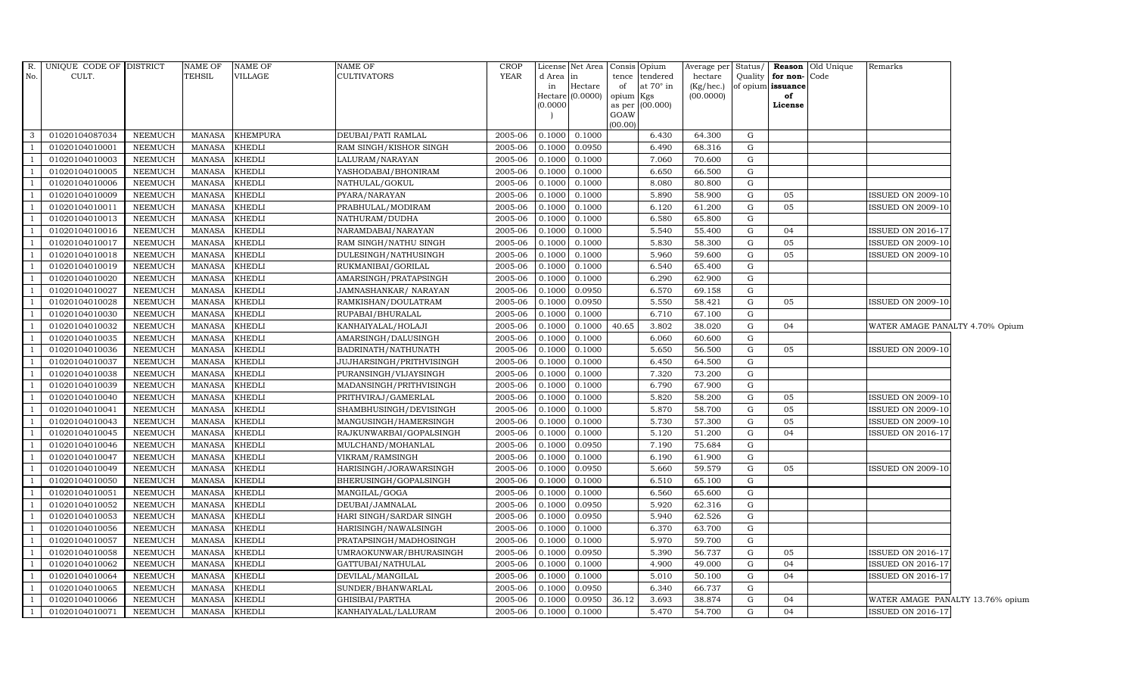|                | R. UNIQUE CODE OF DISTRICT |                 | <b>NAME OF</b> | NAME OF       | <b>NAME OF</b>           | CROP    |           |                  | License Net Area Consis Opium | Average per | Status/   |                   | Reason Old Unique | Remarks                          |  |
|----------------|----------------------------|-----------------|----------------|---------------|--------------------------|---------|-----------|------------------|-------------------------------|-------------|-----------|-------------------|-------------------|----------------------------------|--|
| No.            | CULT.                      |                 | <b>TEHSIL</b>  | VILLAGE       | <b>CULTIVATORS</b>       | YEAR    | d Area in |                  | tendered<br>tence             | hectare     | Quality   | for non-Code      |                   |                                  |  |
|                |                            |                 |                |               |                          |         | in        | Hectare          | at $70^\circ$ in<br>of        | (Kg/hec.)   |           | of opium issuance |                   |                                  |  |
|                |                            |                 |                |               |                          |         |           | Hectare (0.0000) | opium Kgs                     | (00.0000)   |           | of                |                   |                                  |  |
|                |                            |                 |                |               |                          |         | (0.0000)  |                  | as per (00.000)<br>GOAW       |             |           | License           |                   |                                  |  |
|                |                            |                 |                |               |                          |         |           |                  | (00.00)                       |             |           |                   |                   |                                  |  |
| $\mathbf{3}$   | 01020104087034             | NEEMUCH         | <b>MANASA</b>  | KHEMPURA      | DEUBAI/PATI RAMLAL       | 2005-06 | 0.1000    | 0.1000           | 6.430                         | 64.300      | G         |                   |                   |                                  |  |
|                | 01020104010001             | <b>NEEMUCH</b>  | <b>MANASA</b>  | <b>KHEDLI</b> | RAM SINGH/KISHOR SINGH   | 2005-06 | 0.1000    | 0.0950           | 6.490                         | 68.316      | G         |                   |                   |                                  |  |
|                | 01020104010003             | <b>NEEMUCH</b>  | <b>MANASA</b>  | <b>KHEDLI</b> | LALURAM/NARAYAN          | 2005-06 | 0.1000    | 0.1000           | 7.060                         | 70.600      | G         |                   |                   |                                  |  |
|                | 01020104010005             | NEEMUCH         | <b>MANASA</b>  | KHEDLI        | YASHODABAI/BHONIRAM      | 2005-06 | 0.1000    | 0.1000           | 6.650                         | 66.500      | G         |                   |                   |                                  |  |
|                | 01020104010006             | NEEMUCH         | <b>MANASA</b>  | <b>KHEDLI</b> | NATHULAL/GOKUL           | 2005-06 | 0.1000    | 0.1000           | 8.080                         | 80.800      | G         |                   |                   |                                  |  |
| $\overline{1}$ | 01020104010009             | ${\tt NEEMUCH}$ | <b>MANASA</b>  | KHEDLI        | PYARA/NARAYAN            | 2005-06 | 0.1000    | 0.1000           | 5.890                         | 58.900      | G         | 05                |                   | <b>ISSUED ON 2009-10</b>         |  |
| $\overline{1}$ | 01020104010011             | ${\tt NEEMUCH}$ | <b>MANASA</b>  | KHEDLI        | PRABHULAL/MODIRAM        | 2005-06 | 0.1000    | 0.1000           | 6.120                         | 61.200      | G         | 05                |                   | <b>ISSUED ON 2009-10</b>         |  |
|                | 01020104010013             | <b>NEEMUCH</b>  | <b>MANASA</b>  | KHEDLI        | NATHURAM/DUDHA           | 2005-06 | 0.1000    | 0.1000           | 6.580                         | 65.800      | G         |                   |                   |                                  |  |
|                | 01020104010016             | <b>NEEMUCH</b>  | <b>MANASA</b>  | <b>KHEDLI</b> | NARAMDABAI/NARAYAN       | 2005-06 | 0.1000    | 0.1000           | 5.540                         | 55.400      | G         | 04                |                   | <b>ISSUED ON 2016-17</b>         |  |
|                | 01020104010017             | NEEMUCH         | <b>MANASA</b>  | KHEDLI        | RAM SINGH/NATHU SINGH    | 2005-06 | 0.1000    | 0.1000           | 5.830                         | 58.300      | G         | 05                |                   | <b>ISSUED ON 2009-10</b>         |  |
| -1             | 01020104010018             | <b>NEEMUCH</b>  | <b>MANASA</b>  | <b>KHEDLI</b> | DULESINGH/NATHUSINGH     | 2005-06 | 0.1000    | 0.1000           | 5.960                         | 59.600      | G         | 05                |                   | <b>ISSUED ON 2009-10</b>         |  |
| $\overline{1}$ | 01020104010019             | <b>NEEMUCH</b>  | <b>MANASA</b>  | <b>KHEDLI</b> | RUKMANIBAI/GORILAL       | 2005-06 | 0.1000    | 0.1000           | 6.540                         | 65.400      | G         |                   |                   |                                  |  |
| $\overline{1}$ | 01020104010020             | NEEMUCH         | <b>MANASA</b>  | KHEDLI        | AMARSINGH/PRATAPSINGH    | 2005-06 | 0.1000    | 0.1000           | 6.290                         | 62.900      | G         |                   |                   |                                  |  |
|                | 01020104010027             | <b>NEEMUCH</b>  | <b>MANASA</b>  | <b>KHEDLI</b> | JAMNASHANKAR / NARAYAN   | 2005-06 | 0.1000    | 0.0950           | 6.570                         | 69.158      | G         |                   |                   |                                  |  |
|                | 01020104010028             | NEEMUCH         | <b>MANASA</b>  | <b>KHEDLI</b> | RAMKISHAN/DOULATRAM      | 2005-06 | 0.1000    | 0.0950           | 5.550                         | 58.421      | G         | 05                |                   | <b>ISSUED ON 2009-10</b>         |  |
|                | 01020104010030             | NEEMUCH         | <b>MANASA</b>  | KHEDLI        | RUPABAI/BHURALAL         | 2005-06 | 0.1000    | 0.1000           | 6.710                         | 67.100      | G         |                   |                   |                                  |  |
| $\overline{1}$ | 01020104010032             | NEEMUCH         | <b>MANASA</b>  | <b>KHEDLI</b> | KANHAIYALAL/HOLAJI       | 2005-06 | 0.1000    | 0.1000           | 40.65<br>3.802                | 38.020      | G         | 04                |                   | WATER AMAGE PANALTY 4.70% Opium  |  |
| $\overline{1}$ | 01020104010035             | <b>NEEMUCH</b>  | <b>MANASA</b>  | <b>KHEDLI</b> | AMARSINGH/DALUSINGH      | 2005-06 | 0.1000    | 0.1000           | 6.060                         | 60.600      | G         |                   |                   |                                  |  |
|                | 01020104010036             | NEEMUCH         | <b>MANASA</b>  | <b>KHEDLI</b> | BADRINATH/NATHUNATH      | 2005-06 | 0.1000    | 0.1000           | 5.650                         | 56.500      | G         | 05                |                   | <b>ISSUED ON 2009-10</b>         |  |
|                | 01020104010037             | <b>NEEMUCH</b>  | <b>MANASA</b>  | KHEDLI        | JUJHARSINGH/PRITHVISINGH | 2005-06 | 0.1000    | 0.1000           | 6.450                         | 64.500      | G         |                   |                   |                                  |  |
|                | 01020104010038             | NEEMUCH         | <b>MANASA</b>  | KHEDLI        | PURANSINGH/VIJAYSINGH    | 2005-06 | 0.1000    | 0.1000           | 7.320                         | 73.200      | G         |                   |                   |                                  |  |
|                | 01020104010039             | NEEMUCH         | <b>MANASA</b>  | <b>KHEDLI</b> | MADANSINGH/PRITHVISINGH  | 2005-06 | 0.1000    | 0.1000           | 6.790                         | 67.900      | G         |                   |                   |                                  |  |
|                | 01020104010040             | NEEMUCH         | <b>MANASA</b>  | KHEDLI        | PRITHVIRAJ/GAMERLAL      | 2005-06 | 0.1000    | 0.1000           | 5.820                         | 58.200      | G         | 05                |                   | <b>ISSUED ON 2009-10</b>         |  |
| $\overline{1}$ | 01020104010041             | <b>NEEMUCH</b>  | MANASA         | <b>KHEDLI</b> | SHAMBHUSINGH/DEVISINGH   | 2005-06 | 0.1000    | 0.1000           | 5.870                         | 58.700      | G         | 05                |                   | <b>ISSUED ON 2009-10</b>         |  |
|                | 01020104010043             | NEEMUCH         | <b>MANASA</b>  | KHEDLI        | MANGUSINGH/HAMERSINGH    | 2005-06 | 0.1000    | 0.1000           | 5.730                         | 57.300      | G         | 05                |                   | <b>ISSUED ON 2009-10</b>         |  |
|                | 01020104010045             | <b>NEEMUCH</b>  | <b>MANASA</b>  | <b>KHEDLI</b> | RAJKUNWARBAI/GOPALSINGH  | 2005-06 | 0.1000    | 0.1000           | 5.120                         | 51.200      | G         | 04                |                   | ISSUED ON 2016-17                |  |
|                | 01020104010046             | <b>NEEMUCH</b>  | <b>MANASA</b>  | <b>KHEDLI</b> | MULCHAND/MOHANLAL        | 2005-06 | 0.1000    | 0.0950           | 7.190                         | 75.684      | G         |                   |                   |                                  |  |
| $\overline{1}$ | 01020104010047             | NEEMUCH         | <b>MANASA</b>  | <b>KHEDLI</b> | VIKRAM/RAMSINGH          | 2005-06 | 0.1000    | 0.1000           | 6.190                         | 61.900      | G         |                   |                   |                                  |  |
|                | 01020104010049             | <b>NEEMUCH</b>  | <b>MANASA</b>  | <b>KHEDLI</b> | HARISINGH/JORAWARSINGH   | 2005-06 | 0.1000    | 0.0950           | 5.660                         | 59.579      | G         | 05                |                   | <b>ISSUED ON 2009-10</b>         |  |
|                | 01020104010050             | <b>NEEMUCH</b>  | <b>MANASA</b>  | <b>KHEDLI</b> | BHERUSINGH/GOPALSINGH    | 2005-06 | 0.1000    | 0.1000           | 6.510                         | 65.100      | G         |                   |                   |                                  |  |
|                | 01020104010051             | <b>NEEMUCH</b>  | <b>MANASA</b>  | KHEDLI        | MANGILAL/GOGA            | 2005-06 | 0.1000    | 0.1000           | 6.560                         | 65.600      | G         |                   |                   |                                  |  |
|                | 01020104010052             | NEEMUCH         | <b>MANASA</b>  | KHEDLI        | DEUBAI/JAMNALAL          | 2005-06 | 0.1000    | 0.0950           | 5.920                         | 62.316      | G         |                   |                   |                                  |  |
|                | 01020104010053             | <b>NEEMUCH</b>  | <b>MANASA</b>  | <b>KHEDLI</b> | HARI SINGH/SARDAR SINGH  | 2005-06 | 0.1000    | 0.0950           | 5.940                         | 62.526      | G         |                   |                   |                                  |  |
| $\overline{1}$ | 01020104010056             | <b>NEEMUCH</b>  | <b>MANASA</b>  | KHEDLI        | HARISINGH/NAWALSINGH     | 2005-06 | 0.100     | 0.1000           | 6.370                         | 63.700      | G         |                   |                   |                                  |  |
|                | 01020104010057             | NEEMUCH         | <b>MANASA</b>  | KHEDLI        | PRATAPSINGH/MADHOSINGH   | 2005-06 | 0.1000    | 0.1000           | 5.970                         | 59.700      | G         |                   |                   |                                  |  |
|                | 01020104010058             | <b>NEEMUCH</b>  | <b>MANASA</b>  | KHEDLI        | UMRAOKUNWAR/BHURASINGH   | 2005-06 | 0.1000    | 0.0950           | 5.390                         | 56.737      | ${\rm G}$ | 05                |                   | <b>ISSUED ON 2016-17</b>         |  |
|                | 01020104010062             | NEEMUCH         | <b>MANASA</b>  | <b>KHEDLI</b> | GATTUBAI/NATHULAL        | 2005-06 | 0.1000    | 0.1000           | 4.900                         | 49.000      | G         | 04                |                   | <b>ISSUED ON 2016-17</b>         |  |
|                | 01020104010064             | NEEMUCH         | <b>MANASA</b>  | KHEDLI        | DEVILAL/MANGILAL         | 2005-06 | 0.1000    | 0.1000           | 5.010                         | 50.100      | G         | 04                |                   | ISSUED ON 2016-17                |  |
| $\overline{1}$ | 01020104010065             | <b>NEEMUCH</b>  | <b>MANASA</b>  | KHEDLI        | SUNDER/BHANWARLAL        | 2005-06 | 0.1000    | 0.0950           | 6.340                         | 66.737      | G         |                   |                   |                                  |  |
|                | 01020104010066             | NEEMUCH         | <b>MANASA</b>  | KHEDLI        | GHISIBAI/PARTHA          | 2005-06 | 0.1000    | 0.0950           | 3.693<br>36.12                | 38.874      | G         | 04                |                   | WATER AMAGE PANALTY 13.76% opium |  |
|                | 01020104010071             | NEEMUCH         | <b>MANASA</b>  | <b>KHEDLI</b> | KANHAIYALAL/LALURAM      | 2005-06 | 0.1000    | 0.1000           | 5.470                         | 54.700      | G         | 04                |                   | <b>ISSUED ON 2016-17</b>         |  |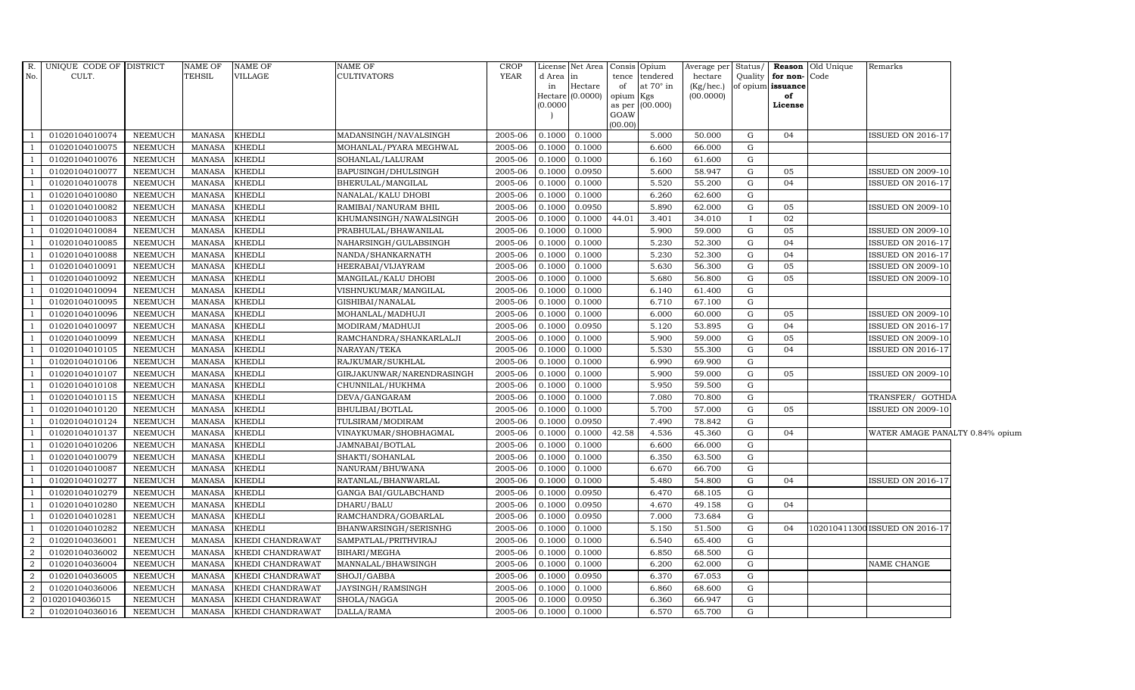| R.                       | UNIQUE CODE OF DISTRICT |                | <b>NAME OF</b> | <b>NAME OF</b>   | <b>NAME OF</b>            | <b>CROP</b> |                 | License Net Area Consis |                 | Opium                        | Average per Status/  |              |                                           | <b>Reason</b> Old Unique | Remarks                         |  |
|--------------------------|-------------------------|----------------|----------------|------------------|---------------------------|-------------|-----------------|-------------------------|-----------------|------------------------------|----------------------|--------------|-------------------------------------------|--------------------------|---------------------------------|--|
| No.                      | CULT.                   |                | <b>TEHSIL</b>  | VILLAGE          | <b>CULTIVATORS</b>        | <b>YEAR</b> | d Area in<br>in | Hectare                 | tence<br>of     | tendered<br>at $70^\circ$ in | hectare<br>(Kg/hec.) |              | Quality for non-Code<br>of opium issuance |                          |                                 |  |
|                          |                         |                |                |                  |                           |             |                 | Hectare (0.0000)        | opium Kgs       |                              | (00.0000)            |              | of                                        |                          |                                 |  |
|                          |                         |                |                |                  |                           |             | (0.0000)        |                         |                 | as per (00.000)              |                      |              | License                                   |                          |                                 |  |
|                          |                         |                |                |                  |                           |             |                 |                         | GOAW<br>(00.00) |                              |                      |              |                                           |                          |                                 |  |
|                          | 01020104010074          | <b>NEEMUCH</b> | <b>MANASA</b>  | <b>KHEDLI</b>    | MADANSINGH/NAVALSINGH     | 2005-06     | 0.1000          | 0.1000                  |                 | 5.000                        | 50.000               | G            | 04                                        |                          | <b>ISSUED ON 2016-17</b>        |  |
|                          | 01020104010075          | <b>NEEMUCH</b> | <b>MANASA</b>  | <b>KHEDLI</b>    | MOHANLAL/PYARA MEGHWAL    | 2005-06     | 0.1000          | 0.1000                  |                 | 6.600                        | 66.000               | G            |                                           |                          |                                 |  |
|                          | 01020104010076          | <b>NEEMUCH</b> | <b>MANASA</b>  | <b>KHEDLI</b>    | SOHANLAL/LALURAM          | 2005-06     | 0.1000          | 0.1000                  |                 | 6.160                        | 61.600               | G            |                                           |                          |                                 |  |
|                          | 01020104010077          | <b>NEEMUCH</b> | <b>MANASA</b>  | <b>KHEDLI</b>    | BAPUSINGH/DHULSINGH       | 2005-06     | 0.1000          | 0.0950                  |                 | 5.600                        | 58.947               | G            | 05                                        |                          | <b>ISSUED ON 2009-10</b>        |  |
| -1                       | 01020104010078          | <b>NEEMUCH</b> | <b>MANASA</b>  | <b>KHEDLI</b>    | BHERULAL/MANGILAL         | 2005-06     | 0.1000          | 0.1000                  |                 | 5.520                        | 55.200               | ${\rm G}$    | 04                                        |                          | ISSUED ON 2016-17               |  |
| $\overline{1}$           | 01020104010080          | <b>NEEMUCH</b> | <b>MANASA</b>  | <b>KHEDLI</b>    | NANALAL/KALU DHOBI        | 2005-06     | 0.1000          | 0.1000                  |                 | 6.260                        | 62.600               | G            |                                           |                          |                                 |  |
| $\overline{1}$           | 01020104010082          | <b>NEEMUCH</b> | <b>MANASA</b>  | <b>KHEDLI</b>    | RAMIBAI/NANURAM BHIL      | 2005-06     | 0.1000          | 0.0950                  |                 | 5.890                        | 62.000               | $\mathbf G$  | 05                                        |                          | ISSUED ON 2009-10               |  |
| -1                       | 01020104010083          | <b>NEEMUCH</b> | <b>MANASA</b>  | <b>KHEDLI</b>    | KHUMANSINGH/NAWALSINGH    | 2005-06     | 0.1000          | 0.1000                  | 44.01           | 3.401                        | 34.010               | $\mathbf{I}$ | 02                                        |                          |                                 |  |
|                          | 01020104010084          | <b>NEEMUCH</b> | <b>MANASA</b>  | <b>KHEDLI</b>    | PRABHULAL/BHAWANILAL      | 2005-06     | 0.1000          | 0.1000                  |                 | 5.900                        | 59.000               | G            | 05                                        |                          | ISSUED ON 2009-10               |  |
|                          | 01020104010085          | <b>NEEMUCH</b> | <b>MANASA</b>  | <b>KHEDLI</b>    | NAHARSINGH/GULABSINGH     | 2005-06     | 0.1000          | 0.1000                  |                 | 5.230                        | 52.300               | $\mathbf G$  | 04                                        |                          | ISSUED ON 2016-17               |  |
| $\overline{1}$           | 01020104010088          | <b>NEEMUCH</b> | <b>MANASA</b>  | <b>KHEDLI</b>    | NANDA/SHANKARNATH         | 2005-06     | 0.1000          | 0.1000                  |                 | 5.230                        | 52.300               | G            | 04                                        |                          | <b>ISSUED ON 2016-17</b>        |  |
|                          | 01020104010091          | <b>NEEMUCH</b> | <b>MANASA</b>  | <b>KHEDLI</b>    | HEERABAI/VIJAYRAM         | 2005-06     | 0.1000          | 0.1000                  |                 | 5.630                        | 56.300               | G            | 05                                        |                          | ISSUED ON 2009-10               |  |
|                          | 01020104010092          | <b>NEEMUCH</b> | <b>MANASA</b>  | <b>KHEDLI</b>    | MANGILAL/KALU DHOBI       | 2005-06     | 0.1000          | 0.1000                  |                 | 5.680                        | 56.800               | G            | 05                                        |                          | ISSUED ON 2009-10               |  |
|                          | 01020104010094          | <b>NEEMUCH</b> | <b>MANASA</b>  | <b>KHEDLI</b>    | VISHNUKUMAR/MANGILAL      | 2005-06     | 0.1000          | 0.1000                  |                 | 6.140                        | 61.400               | $\mathbf G$  |                                           |                          |                                 |  |
|                          | 01020104010095          | <b>NEEMUCH</b> | <b>MANASA</b>  | <b>KHEDLI</b>    | GISHIBAI/NANALAL          | 2005-06     | 0.1000          | 0.1000                  |                 | 6.710                        | 67.100               | ${\rm G}$    |                                           |                          |                                 |  |
| $\overline{\phantom{0}}$ | 01020104010096          | <b>NEEMUCH</b> | MANASA         | <b>KHEDLI</b>    | MOHANLAL/MADHUJI          | 2005-06     | 0.1000          | 0.1000                  |                 | 6.000                        | 60.000               | G            | 05                                        |                          | ISSUED ON 2009-10               |  |
| $\overline{1}$           | 01020104010097          | <b>NEEMUCH</b> | <b>MANASA</b>  | <b>KHEDLI</b>    | MODIRAM/MADHUJI           | 2005-06     | 0.1000          | 0.0950                  |                 | 5.120                        | 53.895               | $\mathbf G$  | 04                                        |                          | ISSUED ON 2016-17               |  |
| $\overline{1}$           | 01020104010099          | <b>NEEMUCH</b> | <b>MANASA</b>  | <b>KHEDLI</b>    | RAMCHANDRA/SHANKARLALJI   | 2005-06     | 0.1000          | 0.1000                  |                 | 5.900                        | 59.000               | G            | 05                                        |                          | ISSUED ON 2009-10               |  |
| $\overline{\phantom{0}}$ | 01020104010105          | <b>NEEMUCH</b> | <b>MANASA</b>  | <b>KHEDLI</b>    | NARAYAN/TEKA              | 2005-06     | 0.1000          | 0.1000                  |                 | 5.530                        | 55.300               | G            | 04                                        |                          | ISSUED ON 2016-17               |  |
|                          | 01020104010106          | <b>NEEMUCH</b> | <b>MANASA</b>  | <b>KHEDLI</b>    | RAJKUMAR/SUKHLAL          | 2005-06     | 0.1000          | 0.1000                  |                 | 6.990                        | 69.900               | G            |                                           |                          |                                 |  |
| $\overline{\phantom{0}}$ | 01020104010107          | <b>NEEMUCH</b> | MANASA         | <b>KHEDLI</b>    | GIRJAKUNWAR/NARENDRASINGH | 2005-06     | 0.1000          | 0.1000                  |                 | 5.900                        | 59.000               | G            | 05                                        |                          | <b>ISSUED ON 2009-10</b>        |  |
| $\overline{1}$           | 01020104010108          | <b>NEEMUCH</b> | <b>MANASA</b>  | <b>KHEDLI</b>    | CHUNNILAL/HUKHMA          | 2005-06     | 0.1000          | 0.1000                  |                 | 5.950                        | 59.500               | $\mathbf G$  |                                           |                          |                                 |  |
|                          | 01020104010115          | <b>NEEMUCH</b> | <b>MANASA</b>  | <b>KHEDLI</b>    | DEVA/GANGARAM             | 2005-06     | 0.1000          | 0.1000                  |                 | 7.080                        | 70.800               | G            |                                           |                          | TRANSFER/ GOTHDA                |  |
|                          | 01020104010120          | <b>NEEMUCH</b> | <b>MANASA</b>  | <b>KHEDLI</b>    | <b>BHULIBAI/BOTLAL</b>    | 2005-06     | 0.1000          | 0.1000                  |                 | 5.700                        | 57.000               | G            | 05                                        |                          | <b>ISSUED ON 2009-10</b>        |  |
|                          | 01020104010124          | <b>NEEMUCH</b> | <b>MANASA</b>  | <b>KHEDLI</b>    | TULSIRAM/MODIRAM          | 2005-06     | 0.1000          | 0.0950                  |                 | 7.490                        | 78.842               | G            |                                           |                          |                                 |  |
|                          | 01020104010137          | <b>NEEMUCH</b> | <b>MANASA</b>  | <b>KHEDLI</b>    | VINAYKUMAR/SHOBHAGMAL     | 2005-06     | 0.1000          | 0.1000                  | 42.58           | 4.536                        | 45.360               | G            | 04                                        |                          | WATER AMAGE PANALTY 0.84% opium |  |
| $\overline{1}$           | 01020104010206          | <b>NEEMUCH</b> | <b>MANASA</b>  | <b>KHEDLI</b>    | JAMNABAI/BOTLAL           | 2005-06     | 0.1000          | 0.1000                  |                 | 6.600                        | 66.000               | G            |                                           |                          |                                 |  |
|                          | 01020104010079          | <b>NEEMUCH</b> | <b>MANASA</b>  | <b>KHEDLI</b>    | SHAKTI/SOHANLAL           | 2005-06     | 0.1000          | 0.1000                  |                 | 6.350                        | 63.500               | G            |                                           |                          |                                 |  |
| $\overline{1}$           | 01020104010087          | <b>NEEMUCH</b> | <b>MANASA</b>  | <b>KHEDLI</b>    | NANURAM/BHUWANA           | 2005-06     | 0.1000          | 0.1000                  |                 | 6.670                        | 66.700               | $\mathbf G$  |                                           |                          |                                 |  |
|                          | 01020104010277          | <b>NEEMUCH</b> | <b>MANASA</b>  | <b>KHEDLI</b>    | RATANLAL/BHANWARLAL       | 2005-06     | 0.1000          | 0.1000                  |                 | 5.480                        | 54.800               | G            | 04                                        |                          | ISSUED ON 2016-17               |  |
|                          | 01020104010279          | <b>NEEMUCH</b> | <b>MANASA</b>  | <b>KHEDLI</b>    | GANGA BAI/GULABCHAND      | 2005-06     | 0.1000          | 0.0950                  |                 | 6.470                        | 68.105               | $\mathbf G$  |                                           |                          |                                 |  |
| $\overline{1}$           | 01020104010280          | <b>NEEMUCH</b> | <b>MANASA</b>  | <b>KHEDLI</b>    | DHARU/BALU                | 2005-06     | 0.1000          | 0.0950                  |                 | 4.670                        | 49.158               | $\mathbf G$  | 04                                        |                          |                                 |  |
| $\overline{1}$           | 01020104010281          | <b>NEEMUCH</b> | <b>MANASA</b>  | <b>KHEDLI</b>    | RAMCHANDRA/GOBARLAL       | 2005-06     | 0.1000          | 0.0950                  |                 | 7.000                        | 73.684               | G            |                                           |                          |                                 |  |
| $\overline{1}$           | 01020104010282          | <b>NEEMUCH</b> | <b>MANASA</b>  | <b>KHEDLI</b>    | BHANWARSINGH/SERISNHG     | 2005-06     | 0.1000          | 0.1000                  |                 | 5.150                        | 51.500               | G            | 04                                        |                          | 102010411300 ISSUED ON 2016-17  |  |
| $\overline{2}$           | 01020104036001          | <b>NEEMUCH</b> | <b>MANASA</b>  | KHEDI CHANDRAWAT | SAMPATLAL/PRITHVIRAJ      | 2005-06     | 0.1000          | 0.1000                  |                 | 6.540                        | 65.400               | G            |                                           |                          |                                 |  |
| $\overline{2}$           | 01020104036002          | <b>NEEMUCH</b> | <b>MANASA</b>  | KHEDI CHANDRAWAT | BIHARI/MEGHA              | 2005-06     | 0.1000          | 0.1000                  |                 | 6.850                        | 68.500               | $\mathbf G$  |                                           |                          |                                 |  |
| 2                        | 01020104036004          | <b>NEEMUCH</b> | <b>MANASA</b>  | KHEDI CHANDRAWAT | MANNALAL/BHAWSINGH        | 2005-06     | 0.1000          | 0.1000                  |                 | 6.200                        | 62.000               | G            |                                           |                          | NAME CHANGE                     |  |
| 2                        | 01020104036005          | NEEMUCH        | <b>MANASA</b>  | KHEDI CHANDRAWAT | SHOJI/GABBA               | 2005-06     | 0.1000          | 0.0950                  |                 | 6.370                        | 67.053               | G            |                                           |                          |                                 |  |
| 2                        | 01020104036006          | <b>NEEMUCH</b> | <b>MANASA</b>  | KHEDI CHANDRAWAT | JAYSINGH/RAMSINGH         | 2005-06     | 0.1000          | 0.1000                  |                 | 6.860                        | 68.600               | G            |                                           |                          |                                 |  |
| $\overline{2}$           | 01020104036015          | <b>NEEMUCH</b> | <b>MANASA</b>  | KHEDI CHANDRAWAT | SHOLA/NAGGA               | 2005-06     | 0.1000          | 0.0950                  |                 | 6.360                        | 66.947               | G            |                                           |                          |                                 |  |
| $\overline{a}$           | 01020104036016          | <b>NEEMUCH</b> | <b>MANASA</b>  | KHEDI CHANDRAWAT | DALLA/RAMA                | 2005-06     | 0.1000          | 0.1000                  |                 | 6.570                        | 65.700               | G            |                                           |                          |                                 |  |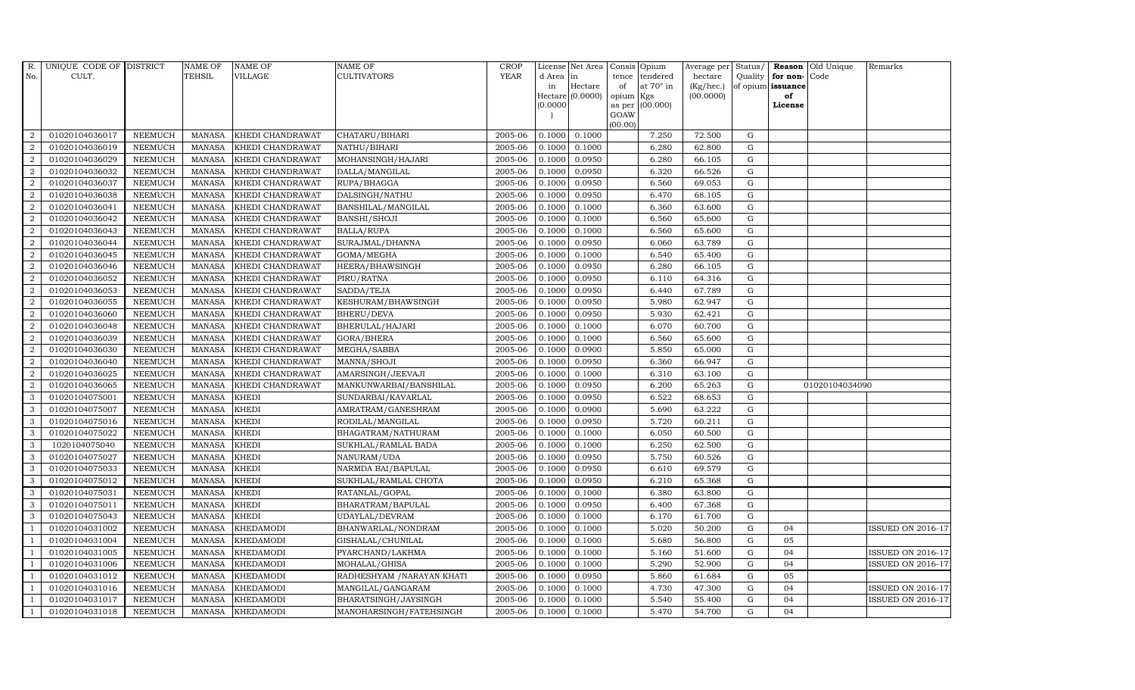| R.               | UNIQUE CODE OF DISTRICT |                | <b>NAME OF</b> | <b>NAME OF</b>   | NAME OF                    | CROP        |           | License Net Area |                | Consis Opium     | Average per |             | Status/ Reason    | Old Unique     | Remarks                  |
|------------------|-------------------------|----------------|----------------|------------------|----------------------------|-------------|-----------|------------------|----------------|------------------|-------------|-------------|-------------------|----------------|--------------------------|
| No.              | CULT.                   |                | TEHSIL         | <b>VILLAGE</b>   | <b>CULTIVATORS</b>         | <b>YEAR</b> | d Area in |                  | tence          | tendered         | hectare     | Quality     | for non-          | Code           |                          |
|                  |                         |                |                |                  |                            |             | in        | Hectare          | of             | at $70^\circ$ in | (Kg/hec.)   |             | of opium issuance |                |                          |
|                  |                         |                |                |                  |                            |             |           | Hectare (0.0000) | opium          | Kgs              | (00.0000)   |             | of                |                |                          |
|                  |                         |                |                |                  |                            |             | (0.0000)  |                  | as per<br>GOAW | (00.000)         |             |             | License           |                |                          |
|                  |                         |                |                |                  |                            |             |           |                  | (00.00)        |                  |             |             |                   |                |                          |
| $\overline{2}$   | 01020104036017          | <b>NEEMUCH</b> | <b>MANASA</b>  | KHEDI CHANDRAWAT | CHATARU/BIHARI             | 2005-06     | 0.1000    | 0.1000           |                | 7.250            | 72.500      | ${\rm G}$   |                   |                |                          |
| $\overline{a}$   | 01020104036019          | <b>NEEMUCH</b> | <b>MANASA</b>  | KHEDI CHANDRAWAT | NATHU/BIHARI               | 2005-06     | 0.1000    | 0.1000           |                | 6.280            | 62.800      | ${\rm G}$   |                   |                |                          |
| 2                | 01020104036029          | <b>NEEMUCH</b> | <b>MANASA</b>  | KHEDI CHANDRAWAT | MOHANSINGH/HAJARI          | 2005-06     | 0.1000    | 0.0950           |                | 6.280            | 66.105      | G           |                   |                |                          |
| $\overline{2}$   | 01020104036032          | <b>NEEMUCH</b> | <b>MANASA</b>  | KHEDI CHANDRAWAT | DALLA/MANGILAL             | 2005-06     | 0.1000    | 0.0950           |                | 6.320            | 66.526      | $\mathbf G$ |                   |                |                          |
| $\overline{2}$   | 01020104036037          | <b>NEEMUCH</b> | <b>MANASA</b>  | KHEDI CHANDRAWAT | RUPA/BHAGGA                | 2005-06     | 0.1000    | 0.0950           |                | 6.560            | 69.053      | G           |                   |                |                          |
| $\overline{2}$   | 01020104036038          | <b>NEEMUCH</b> | <b>MANASA</b>  | KHEDI CHANDRAWAT | DALSINGH/NATHU             | 2005-06     | 0.1000    | 0.0950           |                | 6.470            | 68.105      | ${\rm G}$   |                   |                |                          |
| $\overline{a}$   | 01020104036041          | NEEMUCH        | <b>MANASA</b>  | KHEDI CHANDRAWAT | BANSHILAL/MANGILAL         | 2005-06     | 0.1000    | 0.1000           |                | 6.360            | 63.600      | ${\rm G}$   |                   |                |                          |
| $\overline{2}$   | 01020104036042          | <b>NEEMUCH</b> | <b>MANASA</b>  | KHEDI CHANDRAWAT | BANSHI/SHOJI               | 2005-06     | 0.1000    | 0.1000           |                | 6.560            | 65.600      | G           |                   |                |                          |
| $\overline{2}$   | 01020104036043          | <b>NEEMUCH</b> | <b>MANASA</b>  | KHEDI CHANDRAWAT | <b>BALLA/RUPA</b>          | 2005-06     | 0.1000    | 0.1000           |                | 6.560            | 65.600      | $\mathbf G$ |                   |                |                          |
| $\boldsymbol{2}$ | 01020104036044          | <b>NEEMUCH</b> | <b>MANASA</b>  | KHEDI CHANDRAWAT | SURAJMAL/DHANNA            | 2005-06     | 0.1000    | 0.0950           |                | 6.060            | 63.789      | ${\rm G}$   |                   |                |                          |
| $\overline{2}$   | 01020104036045          | <b>NEEMUCH</b> | <b>MANASA</b>  | KHEDI CHANDRAWAT | GOMA/MEGHA                 | 2005-06     | 0.1000    | 0.1000           |                | 6.540            | 65.400      | G           |                   |                |                          |
| 2                | 01020104036046          | <b>NEEMUCH</b> | <b>MANASA</b>  | KHEDI CHANDRAWAT | HEERA/BHAWSINGH            | 2005-06     | 0.1000    | 0.0950           |                | 6.280            | 66.105      | ${\rm G}$   |                   |                |                          |
| $\overline{2}$   | 01020104036052          | <b>NEEMUCH</b> | <b>MANASA</b>  | KHEDI CHANDRAWAT | PIRU/RATNA                 | 2005-06     | 0.1000    | 0.0950           |                | 6.110            | 64.316      | G           |                   |                |                          |
| $\overline{2}$   | 01020104036053          | <b>NEEMUCH</b> | <b>MANASA</b>  | KHEDI CHANDRAWAT | SADDA/TEJA                 | 2005-06     | 0.1000    | 0.0950           |                | 6.440            | 67.789      | ${\rm G}$   |                   |                |                          |
| $\overline{2}$   | 01020104036055          | NEEMUCH        | <b>MANASA</b>  | KHEDI CHANDRAWAT | KESHURAM/BHAWSINGH         | 2005-06     | 0.1000    | 0.0950           |                | 5.980            | 62.947      | ${\rm G}$   |                   |                |                          |
| $\overline{2}$   | 01020104036060          | <b>NEEMUCH</b> | <b>MANASA</b>  | KHEDI CHANDRAWAT | <b>BHERU/DEVA</b>          | 2005-06     | 0.1000    | 0.0950           |                | 5.930            | 62.421      | G           |                   |                |                          |
| 2                | 01020104036048          | <b>NEEMUCH</b> | <b>MANASA</b>  | KHEDI CHANDRAWAT | BHERULAL/HAJARI            | 2005-06     | 0.1000    | 0.1000           |                | 6.070            | 60.700      | G           |                   |                |                          |
| $\overline{2}$   | 01020104036039          | <b>NEEMUCH</b> | <b>MANASA</b>  | KHEDI CHANDRAWAT | GORA/BHERA                 | 2005-06     | 0.1000    | 0.1000           |                | 6.560            | 65.600      | G           |                   |                |                          |
| $\overline{2}$   | 01020104036030          | <b>NEEMUCH</b> | <b>MANASA</b>  | KHEDI CHANDRAWAT | MEGHA/SABBA                | 2005-06     | 0.1000    | 0.0900           |                | 5.850            | 65.000      | ${\rm G}$   |                   |                |                          |
| $\overline{2}$   | 01020104036040          | <b>NEEMUCH</b> | <b>MANASA</b>  | KHEDI CHANDRAWAT | MANNA/SHOJI                | 2005-06     | 0.1000    | 0.0950           |                | 6.360            | 66.947      | ${\rm G}$   |                   |                |                          |
| $\overline{2}$   | 01020104036025          | <b>NEEMUCH</b> | <b>MANASA</b>  | KHEDI CHANDRAWAT | AMARSINGH/JEEVAJI          | 2005-06     | 0.1000    | 0.1000           |                | 6.310            | 63.100      | G           |                   |                |                          |
| 2                | 01020104036065          | <b>NEEMUCH</b> | <b>MANASA</b>  | KHEDI CHANDRAWAT | MANKUNWARBAI/BANSHILAL     | 2005-06     | 0.1000    | 0.0950           |                | 6.200            | 65.263      | ${\rm G}$   |                   | 01020104034090 |                          |
| 3                | 01020104075001          | NEEMUCH        | <b>MANASA</b>  | KHEDI            | SUNDARBAI/KAVARLAL         | 2005-06     | 0.1000    | 0.0950           |                | 6.522            | 68.653      | ${\rm G}$   |                   |                |                          |
| 3                | 01020104075007          | <b>NEEMUCH</b> | <b>MANASA</b>  | <b>KHEDI</b>     | AMRATRAM/GANESHRAM         | 2005-06     | 0.1000    | 0.0900           |                | 5.690            | 63.222      | $\mathbf G$ |                   |                |                          |
| 3                | 01020104075016          | <b>NEEMUCH</b> | <b>MANASA</b>  | KHEDI            | RODILAL/MANGILAL           | 2005-06     | 0.1000    | 0.0950           |                | 5.720            | 60.211      | ${\rm G}$   |                   |                |                          |
| 3                | 01020104075022          | <b>NEEMUCH</b> | <b>MANASA</b>  | KHEDI            | BHAGATRAM/NATHURAM         | 2005-06     | 0.1000    | 0.1000           |                | 6.050            | 60.500      | G           |                   |                |                          |
| 3                | 1020104075040           | <b>NEEMUCH</b> | <b>MANASA</b>  | <b>KHEDI</b>     | SUKHLAL/RAMLAL BADA        | 2005-06     | 0.1000    | 0.1000           |                | 6.250            | 62.500      | ${\rm G}$   |                   |                |                          |
| $\mathbf{3}$     | 01020104075027          | NEEMUCH        | <b>MANASA</b>  | KHEDI            | NANURAM/UDA                | 2005-06     | 0.1000    | 0.0950           |                | 5.750            | 60.526      | $\mathbf G$ |                   |                |                          |
| 3                | 01020104075033          | <b>NEEMUCH</b> | <b>MANASA</b>  | <b>KHEDI</b>     | NARMDA BAI/BAPULAL         | 2005-06     | 0.1000    | 0.0950           |                | 6.610            | 69.579      | $\mathbf G$ |                   |                |                          |
| 3                | 01020104075012          | <b>NEEMUCH</b> | <b>MANASA</b>  | KHEDI            | SUKHLAL/RAMLAL CHOTA       | 2005-06     | 0.1000    | 0.0950           |                | 6.210            | 65.368      | ${\rm G}$   |                   |                |                          |
| 3                | 01020104075031          | <b>NEEMUCH</b> | <b>MANASA</b>  | KHEDI            | RATANLAL/GOPAL             | 2005-06     | 0.1000    | 0.1000           |                | 6.380            | 63.800      | ${\rm G}$   |                   |                |                          |
| 3                | 01020104075011          | <b>NEEMUCH</b> | <b>MANASA</b>  | <b>KHEDI</b>     | BHARATRAM/BAPULAL          | 2005-06     | 0.1000    | 0.0950           |                | 6.400            | 67.368      | ${\rm G}$   |                   |                |                          |
| 3                | 01020104075043          | <b>NEEMUCH</b> | <b>MANASA</b>  | KHEDI            | UDAYLAL/DEVRAM             | 2005-06     | 0.1000    | 0.1000           |                | 6.170            | 61.700      | ${\rm G}$   |                   |                |                          |
| $\overline{1}$   | 01020104031002          | <b>NEEMUCH</b> | <b>MANASA</b>  | KHEDAMODI        | BHANWARLAL/NONDRAM         | 2005-06     | 0.1000    | 0.1000           |                | 5.020            | 50.200      | $\mathbf G$ | 04                |                | <b>ISSUED ON 2016-17</b> |
| $\overline{1}$   | 01020104031004          | <b>NEEMUCH</b> | <b>MANASA</b>  | KHEDAMODI        | GISHALAL/CHUNILAL          | 2005-06     | 0.1000    | 0.1000           |                | 5.680            | 56.800      | $\mathbf G$ | 05                |                |                          |
| $\overline{1}$   | 01020104031005          | <b>NEEMUCH</b> | <b>MANASA</b>  | KHEDAMODI        | PYARCHAND/LAKHMA           | 2005-06     | 0.1000    | 0.1000           |                | 5.160            | 51.600      | G           | 04                |                | <b>ISSUED ON 2016-17</b> |
| $\overline{1}$   | 01020104031006          | <b>NEEMUCH</b> | <b>MANASA</b>  | KHEDAMODI        | MOHALAL/GHISA              | 2005-06     | 0.1000    | 0.1000           |                | 5.290            | 52.900      | G           | 04                |                | <b>ISSUED ON 2016-17</b> |
| $\overline{1}$   | 01020104031012          | <b>NEEMUCH</b> | <b>MANASA</b>  | KHEDAMODI        | RADHESHYAM / NARAYAN KHATI | 2005-06     | 0.1000    | 0.0950           |                | 5.860            | 61.684      | ${\rm G}$   | 05                |                |                          |
| $\overline{1}$   | 01020104031016          | <b>NEEMUCH</b> | <b>MANASA</b>  | <b>KHEDAMODI</b> | MANGILAL/GANGARAM          | 2005-06     | 0.1000    | 0.1000           |                | 4.730            | 47.300      | $\mathbf G$ | 04                |                | <b>ISSUED ON 2016-17</b> |
| $\overline{1}$   | 01020104031017          | <b>NEEMUCH</b> | <b>MANASA</b>  | KHEDAMODI        | BHARATSINGH/JAYSINGH       | 2005-06     | 0.1000    | 0.1000           |                | 5.540            | 55.400      | $\mathbf G$ | 04                |                | <b>ISSUED ON 2016-17</b> |
| $\mathbf{1}$     | 01020104031018          | <b>NEEMUCH</b> | MANASA         | <b>KHEDAMODI</b> | MANOHARSINGH/FATEHSINGH    | 2005-06     | 0.1000    | 0.1000           |                | 5.470            | 54.700      | G           | 04                |                |                          |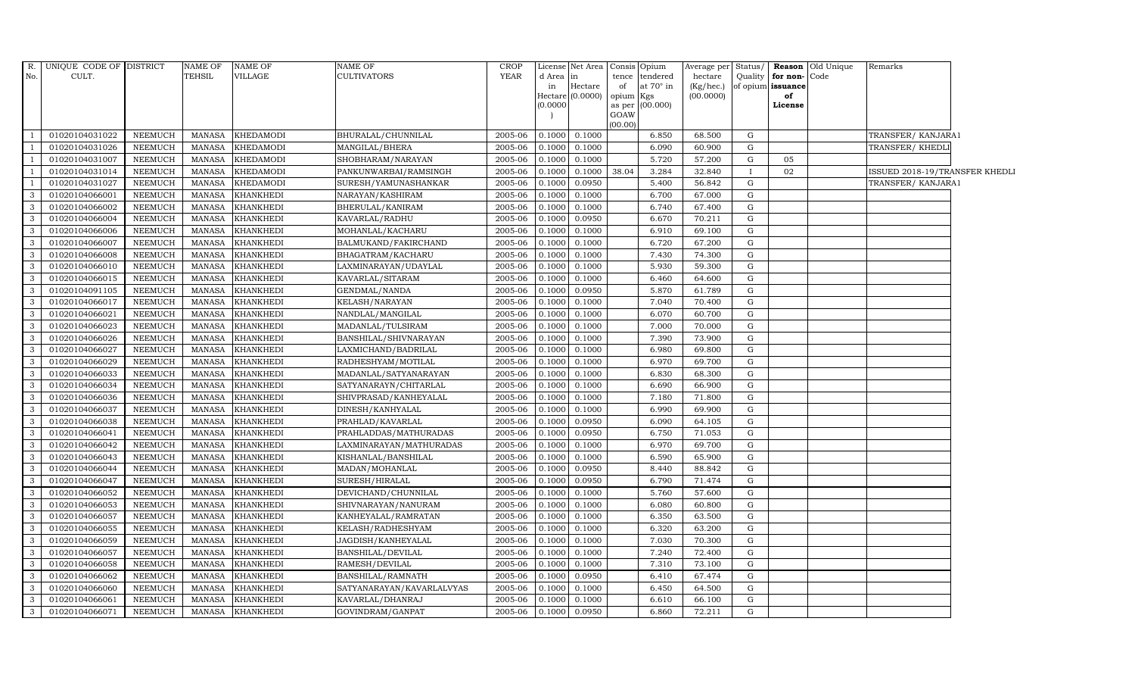| $R_{\cdot}$  | UNIQUE CODE OF DISTRICT |                | <b>NAME OF</b> | NAME OF          | <b>NAME OF</b>            | CROP        |          | License Net Area Consis |                     | Opium     | Average per | Status/   |                   | Reason Old Unique | Remarks                        |  |
|--------------|-------------------------|----------------|----------------|------------------|---------------------------|-------------|----------|-------------------------|---------------------|-----------|-------------|-----------|-------------------|-------------------|--------------------------------|--|
| No.          | CULT.                   |                | <b>TEHSIL</b>  | VILLAGE          | <b>CULTIVATORS</b>        | <b>YEAR</b> | d Area   | in                      | tence               | tendered  | hectare     | Quality   | for non-Code      |                   |                                |  |
|              |                         |                |                |                  |                           |             | in       | Hectare                 | of                  | at 70° in | (Kg/hec.)   |           | of opium issuance |                   |                                |  |
|              |                         |                |                |                  |                           |             | (0.0000) | Hectare (0.0000)        | opium Kgs<br>as per | (00.000)  | (00.0000)   |           | of<br>License     |                   |                                |  |
|              |                         |                |                |                  |                           |             |          |                         | GOAW                |           |             |           |                   |                   |                                |  |
|              |                         |                |                |                  |                           |             |          |                         | (00.00)             |           |             |           |                   |                   |                                |  |
|              | 01020104031022          | NEEMUCH        | MANASA         | <b>KHEDAMODI</b> | BHURALAL/CHUNNILAL        | 2005-06     | 0.1000   | 0.1000                  |                     | 6.850     | 68.500      | G         |                   |                   | TRANSFER/KANJARA1              |  |
|              | 01020104031026          | <b>NEEMUCH</b> | <b>MANASA</b>  | KHEDAMODI        | MANGILAL/BHERA            | 2005-06     | 0.1000   | 0.1000                  |                     | 6.090     | 60.900      | G         |                   |                   | TRANSFER/KHEDLI                |  |
| - 1          | 01020104031007          | <b>NEEMUCH</b> | <b>MANASA</b>  | <b>KHEDAMODI</b> | SHOBHARAM/NARAYAN         | 2005-06     | 0.1000   | 0.1000                  |                     | 5.720     | 57.200      | G         | 05                |                   |                                |  |
|              | 01020104031014          | <b>NEEMUCH</b> | <b>MANASA</b>  | <b>KHEDAMODI</b> | PANKUNWARBAI/RAMSINGH     | 2005-06     | 0.1000   | 0.1000                  | 38.04               | 3.284     | 32.840      |           | 02                |                   | ISSUED 2018-19/TRANSFER KHEDLI |  |
|              | 01020104031027          | <b>NEEMUCH</b> | <b>MANASA</b>  | <b>KHEDAMODI</b> | SURESH/YAMUNASHANKAR      | 2005-06     | 0.1000   | 0.0950                  |                     | 5.400     | 56.842      | G         |                   |                   | TRANSFER/KANJARA1              |  |
| $\mathbf{3}$ | 01020104066001          | <b>NEEMUCH</b> | <b>MANASA</b>  | <b>KHANKHEDI</b> | NARAYAN/KASHIRAM          | 2005-06     | 0.1000   | 0.1000                  |                     | 6.700     | 67.000      | G         |                   |                   |                                |  |
| 3            | 01020104066002          | NEEMUCH        | <b>MANASA</b>  | KHANKHEDI        | BHERULAL/KANIRAM          | 2005-06     | 0.1000   | 0.1000                  |                     | 6.740     | 67.400      | G         |                   |                   |                                |  |
| 3            | 01020104066004          | <b>NEEMUCH</b> | <b>MANASA</b>  | <b>KHANKHEDI</b> | KAVARLAL/RADHU            | 2005-06     | 0.1000   | 0.0950                  |                     | 6.670     | 70.211      | G         |                   |                   |                                |  |
| 3            | 01020104066006          | <b>NEEMUCH</b> | <b>MANASA</b>  | <b>KHANKHEDI</b> | MOHANLAL/KACHARU          | 2005-06     | 0.1000   | 0.1000                  |                     | 6.910     | 69.100      | G         |                   |                   |                                |  |
| 3            | 01020104066007          | NEEMUCH        | <b>MANASA</b>  | KHANKHEDI        | BALMUKAND/FAKIRCHAND      | 2005-06     | 0.1000   | 0.1000                  |                     | 6.720     | 67.200      | G         |                   |                   |                                |  |
| 3            | 01020104066008          | <b>NEEMUCH</b> | <b>MANASA</b>  | <b>KHANKHEDI</b> | BHAGATRAM/KACHARU         | 2005-06     | 0.1000   | 0.1000                  |                     | 7.430     | 74.300      | G         |                   |                   |                                |  |
| 3            | 01020104066010          | <b>NEEMUCH</b> | <b>MANASA</b>  | KHANKHEDI        | LAXMINARAYAN/UDAYLAL      | 2005-06     | 0.1000   | 0.1000                  |                     | 5.930     | 59.300      | G         |                   |                   |                                |  |
| 3            | 01020104066015          | <b>NEEMUCH</b> | <b>MANASA</b>  | <b>KHANKHEDI</b> | KAVARLAL/SITARAM          | 2005-06     | 0.1000   | 0.1000                  |                     | 6.460     | 64.600      | G         |                   |                   |                                |  |
| 3            | 01020104091105          | <b>NEEMUCH</b> | <b>MANASA</b>  | <b>KHANKHEDI</b> | GENDMAL/NANDA             | 2005-06     | 0.1000   | 0.0950                  |                     | 5.870     | 61.789      | G         |                   |                   |                                |  |
| 3            | 01020104066017          | NEEMUCH        | <b>MANASA</b>  | KHANKHEDI        | KELASH/NARAYAN            | 2005-06     | 0.1000   | 0.1000                  |                     | 7.040     | 70.400      | G         |                   |                   |                                |  |
| 3            | 01020104066021          | NEEMUCH        | <b>MANASA</b>  | <b>KHANKHEDI</b> | NANDLAL/MANGILAL          | 2005-06     | 0.1000   | 0.1000                  |                     | 6.070     | 60.700      | G         |                   |                   |                                |  |
| 3            | 01020104066023          | NEEMUCH        | <b>MANASA</b>  | KHANKHEDI        | MADANLAL/TULSIRAM         | 2005-06     | 0.1000   | 0.1000                  |                     | 7.000     | 70.000      | G         |                   |                   |                                |  |
| $\mathbf{3}$ | 01020104066026          | NEEMUCH        | <b>MANASA</b>  | KHANKHEDI        | BANSHILAL/SHIVNARAYAN     | 2005-06     | 0.1000   | 0.1000                  |                     | 7.390     | 73.900      | G         |                   |                   |                                |  |
| 3            | 01020104066027          | <b>NEEMUCH</b> | MANASA         | <b>KHANKHEDI</b> | LAXMICHAND/BADRILAL       | 2005-06     | 0.1000   | 0.1000                  |                     | 6.980     | 69.800      | G         |                   |                   |                                |  |
| 3            | 01020104066029          | NEEMUCH        | <b>MANASA</b>  | KHANKHEDI        | RADHESHYAM/MOTILAL        | 2005-06     | 0.1000   | 0.1000                  |                     | 6.970     | 69.700      | G         |                   |                   |                                |  |
| 3            | 01020104066033          | <b>NEEMUCH</b> | <b>MANASA</b>  | <b>KHANKHEDI</b> | MADANLAL/SATYANARAYAN     | 2005-06     | 0.1000   | 0.1000                  |                     | 6.830     | 68.300      | G         |                   |                   |                                |  |
| 3            | 01020104066034          | NEEMUCH        | <b>MANASA</b>  | KHANKHEDI        | SATYANARAYN/CHITARLAL     | 2005-06     | 0.1000   | 0.1000                  |                     | 6.690     | 66.900      | G         |                   |                   |                                |  |
| 3            | 01020104066036          | NEEMUCH        | <b>MANASA</b>  | KHANKHEDI        | SHIVPRASAD/KANHEYALAL     | 2005-06     | 0.1000   | 0.1000                  |                     | 7.180     | 71.800      | G         |                   |                   |                                |  |
| 3            | 01020104066037          | <b>NEEMUCH</b> | <b>MANASA</b>  | KHANKHEDI        | DINESH/KANHYALAL          | 2005-06     | 0.1000   | 0.1000                  |                     | 6.990     | 69.900      | ${\rm G}$ |                   |                   |                                |  |
| 3            | 01020104066038          | NEEMUCH        | <b>MANASA</b>  | <b>KHANKHEDI</b> | PRAHLAD/KAVARLAL          | 2005-06     | 0.1000   | 0.0950                  |                     | 6.090     | 64.105      | G         |                   |                   |                                |  |
| 3            | 01020104066041          | NEEMUCH        | <b>MANASA</b>  | <b>KHANKHEDI</b> | PRAHLADDAS/MATHURADAS     | 2005-06     | 0.1000   | 0.0950                  |                     | 6.750     | 71.053      | G         |                   |                   |                                |  |
| 3            | 01020104066042          | NEEMUCH        | <b>MANASA</b>  | <b>KHANKHEDI</b> | LAXMINARAYAN/MATHURADAS   | 2005-06     | 0.1000   | 0.1000                  |                     | 6.970     | 69.700      | G         |                   |                   |                                |  |
| 3            | 01020104066043          | NEEMUCH        | <b>MANASA</b>  | KHANKHEDI        | KISHANLAL/BANSHILAL       | 2005-06     | 0.1000   | 0.1000                  |                     | 6.590     | 65.900      | G         |                   |                   |                                |  |
| 3            | 01020104066044          | <b>NEEMUCH</b> | <b>MANASA</b>  | <b>KHANKHEDI</b> | MADAN/MOHANLAL            | $2005 - 06$ | 0.1000   | 0.0950                  |                     | 8.440     | 88.842      | G         |                   |                   |                                |  |
| 3            | 01020104066047          | <b>NEEMUCH</b> | <b>MANASA</b>  | KHANKHEDI        | SURESH/HIRALAL            | 2005-06     | 0.1000   | 0.0950                  |                     | 6.790     | 71.474      | G         |                   |                   |                                |  |
| 3            | 01020104066052          | NEEMUCH        | <b>MANASA</b>  | <b>KHANKHEDI</b> | DEVICHAND/CHUNNILAL       | 2005-06     | 0.1000   | 0.1000                  |                     | 5.760     | 57.600      | G         |                   |                   |                                |  |
| 3            | 01020104066053          | <b>NEEMUCH</b> | <b>MANASA</b>  | <b>KHANKHEDI</b> | SHIVNARAYAN/NANURAM       | 2005-06     | 0.1000   | 0.1000                  |                     | 6.080     | 60.800      | G         |                   |                   |                                |  |
| 3            | 01020104066057          | <b>NEEMUCH</b> | <b>MANASA</b>  | <b>KHANKHEDI</b> | KANHEYALAL/RAMRATAN       | 2005-06     | 0.1000   | 0.1000                  |                     | 6.350     | 63.500      | G         |                   |                   |                                |  |
| 3            | 01020104066055          | <b>NEEMUCH</b> | <b>MANASA</b>  | <b>KHANKHEDI</b> | KELASH/RADHESHYAM         | 2005-06     | 0.1000   | 0.1000                  |                     | 6.320     | 63.200      | G         |                   |                   |                                |  |
| 3            | 01020104066059          | <b>NEEMUCH</b> | <b>MANASA</b>  | <b>KHANKHEDI</b> | JAGDISH/KANHEYALAL        | 2005-06     | 0.1000   | 0.1000                  |                     | 7.030     | 70.300      | G         |                   |                   |                                |  |
| 3            | 01020104066057          | NEEMUCH        | <b>MANASA</b>  | <b>KHANKHEDI</b> | BANSHILAL/DEVILAL         | 2005-06     | 0.1000   | 0.1000                  |                     | 7.240     | 72.400      | G         |                   |                   |                                |  |
| 3            | 01020104066058          | <b>NEEMUCH</b> | <b>MANASA</b>  | <b>KHANKHEDI</b> | RAMESH/DEVILAL            | 2005-06     | 0.1000   | 0.1000                  |                     | 7.310     | 73.100      | G         |                   |                   |                                |  |
| 3            | 01020104066062          | NEEMUCH        | <b>MANASA</b>  | KHANKHEDI        | BANSHILAL/RAMNATH         | 2005-06     | 0.1000   | 0.0950                  |                     | 6.410     | 67.474      | G         |                   |                   |                                |  |
| 3            | 01020104066060          | <b>NEEMUCH</b> | <b>MANASA</b>  | KHANKHEDI        | SATYANARAYAN/KAVARLALVYAS | 2005-06     | 0.1000   | 0.1000                  |                     | 6.450     | 64.500      | G         |                   |                   |                                |  |
| 3            | 01020104066061          | <b>NEEMUCH</b> | <b>MANASA</b>  | <b>KHANKHEDI</b> | KAVARLAL/DHANRAJ          | 2005-06     | 0.1000   | 0.1000                  |                     | 6.610     | 66.100      | G         |                   |                   |                                |  |
| 3            | 01020104066071          | NEEMUCH        | <b>MANASA</b>  | <b>KHANKHEDI</b> | GOVINDRAM/GANPAT          | 2005-06     | 0.1000   | 0.0950                  |                     | 6.860     | 72.211      | G         |                   |                   |                                |  |
|              |                         |                |                |                  |                           |             |          |                         |                     |           |             |           |                   |                   |                                |  |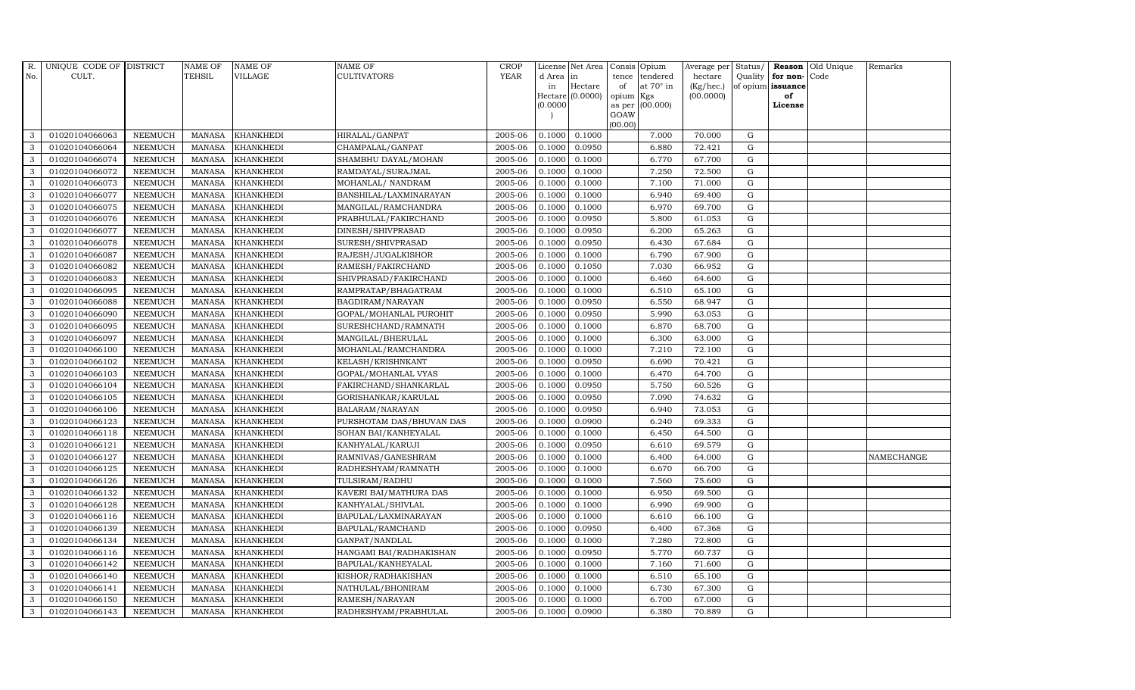| R.           | UNIQUE CODE OF DISTRICT |                | <b>NAME OF</b> | <b>NAME OF</b>   | NAME OF                  | <b>CROP</b> |           | License Net Area |                 | Consis Opium     | Average per | Status/     |                   | Reason Old Unique | Remarks    |
|--------------|-------------------------|----------------|----------------|------------------|--------------------------|-------------|-----------|------------------|-----------------|------------------|-------------|-------------|-------------------|-------------------|------------|
| No.          | CULT.                   |                | TEHSIL         | VILLAGE          | CULTIVATORS              | <b>YEAR</b> | d Area in |                  | tence           | tendered         | hectare     | Quality     | for non-Code      |                   |            |
|              |                         |                |                |                  |                          |             | in        | Hectare          | of              | at $70^\circ$ in | (Kg/hec.)   |             | of opium issuance |                   |            |
|              |                         |                |                |                  |                          |             | (0.0000)  | Hectare (0.0000) | opium<br>as per | Kgs<br>(00.000)  | (00.0000)   |             | of<br>License     |                   |            |
|              |                         |                |                |                  |                          |             |           |                  | GOAW            |                  |             |             |                   |                   |            |
|              |                         |                |                |                  |                          |             |           |                  | (00.00)         |                  |             |             |                   |                   |            |
| 3            | 01020104066063          | <b>NEEMUCH</b> | MANASA         | <b>KHANKHEDI</b> | HIRALAL/GANPAT           | 2005-06     | 0.1000    | 0.1000           |                 | 7.000            | 70.000      | G           |                   |                   |            |
| 3            | 01020104066064          | <b>NEEMUCH</b> | <b>MANASA</b>  | <b>KHANKHEDI</b> | CHAMPALAL/GANPAT         | 2005-06     | 0.1000    | 0.0950           |                 | 6.880            | 72.421      | $\mathbf G$ |                   |                   |            |
| 3            | 01020104066074          | <b>NEEMUCH</b> | <b>MANASA</b>  | <b>KHANKHEDI</b> | SHAMBHU DAYAL/MOHAN      | 2005-06     | 0.1000    | 0.1000           |                 | 6.770            | 67.700      | G           |                   |                   |            |
| 3            | 01020104066072          | <b>NEEMUCH</b> | <b>MANASA</b>  | <b>KHANKHEDI</b> | RAMDAYAL/SURAJMAL        | 2005-06     | 0.1000    | 0.1000           |                 | 7.250            | 72.500      | G           |                   |                   |            |
| 3            | 01020104066073          | <b>NEEMUCH</b> | <b>MANASA</b>  | <b>KHANKHEDI</b> | MOHANLAL/ NANDRAM        | 2005-06     | 0.1000    | 0.1000           |                 | 7.100            | 71.000      | ${\rm G}$   |                   |                   |            |
| $\mathbf{3}$ | 01020104066077          | NEEMUCH        | <b>MANASA</b>  | <b>KHANKHEDI</b> | BANSHILAL/LAXMINARAYAN   | 2005-06     | 0.1000    | 0.1000           |                 | 6.940            | 69.400      | G           |                   |                   |            |
| 3            | 01020104066075          | <b>NEEMUCH</b> | <b>MANASA</b>  | <b>KHANKHEDI</b> | MANGILAL/RAMCHANDRA      | 2005-06     | 0.1000    | 0.1000           |                 | 6.970            | 69.700      | $\mathbf G$ |                   |                   |            |
| 3            | 01020104066076          | <b>NEEMUCH</b> | <b>MANASA</b>  | <b>KHANKHEDI</b> | PRABHULAL/FAKIRCHAND     | 2005-06     | 0.1000    | 0.0950           |                 | 5.800            | 61.053      | G           |                   |                   |            |
| 3            | 01020104066077          | <b>NEEMUCH</b> | <b>MANASA</b>  | <b>KHANKHEDI</b> | DINESH/SHIVPRASAD        | 2005-06     | 0.1000    | 0.0950           |                 | 6.200            | 65.263      | G           |                   |                   |            |
| 3            | 01020104066078          | <b>NEEMUCH</b> | <b>MANASA</b>  | <b>KHANKHEDI</b> | SURESH/SHIVPRASAD        | 2005-06     | 0.1000    | 0.0950           |                 | 6.430            | 67.684      | G           |                   |                   |            |
| $\mathbf{3}$ | 01020104066087          | <b>NEEMUCH</b> | <b>MANASA</b>  | <b>KHANKHEDI</b> | RAJESH/JUGALKISHOR       | 2005-06     | 0.1000    | 0.1000           |                 | 6.790            | 67.900      | ${\rm G}$   |                   |                   |            |
| 3            | 01020104066082          | <b>NEEMUCH</b> | <b>MANASA</b>  | <b>KHANKHEDI</b> | RAMESH/FAKIRCHAND        | 2005-06     | 0.1000    | 0.1050           |                 | 7.030            | 66.952      | $\mathbf G$ |                   |                   |            |
| $\mathbf{3}$ | 01020104066083          | <b>NEEMUCH</b> | <b>MANASA</b>  | <b>KHANKHEDI</b> | SHIVPRASAD/FAKIRCHAND    | 2005-06     | 0.1000    | 0.1000           |                 | 6.460            | 64.600      | $\mathbf G$ |                   |                   |            |
| 3            | 01020104066095          | <b>NEEMUCH</b> | <b>MANASA</b>  | <b>KHANKHEDI</b> | RAMPRATAP/BHAGATRAM      | 2005-06     | 0.1000    | 0.1000           |                 | 6.510            | 65.100      | G           |                   |                   |            |
| 3            | 01020104066088          | <b>NEEMUCH</b> | <b>MANASA</b>  | <b>KHANKHEDI</b> | BAGDIRAM/NARAYAN         | 2005-06     | 0.1000    | 0.0950           |                 | 6.550            | 68.947      | ${\rm G}$   |                   |                   |            |
| $\mathbf{3}$ | 01020104066090          | <b>NEEMUCH</b> | <b>MANASA</b>  | <b>KHANKHEDI</b> | GOPAL/MOHANLAL PUROHIT   | 2005-06     | 0.1000    | 0.0950           |                 | 5.990            | 63.053      | ${\rm G}$   |                   |                   |            |
| 3            | 01020104066095          | <b>NEEMUCH</b> | <b>MANASA</b>  | <b>KHANKHEDI</b> | SURESHCHAND/RAMNATH      | 2005-06     | 0.1000    | 0.1000           |                 | 6.870            | 68.700      | G           |                   |                   |            |
| $\mathbf{3}$ | 01020104066097          | <b>NEEMUCH</b> | <b>MANASA</b>  | <b>KHANKHEDI</b> | MANGILAL/BHERULAL        | 2005-06     | 0.1000    | 0.1000           |                 | 6.300            | 63.000      | $\mathbf G$ |                   |                   |            |
| 3            | 01020104066100          | <b>NEEMUCH</b> | <b>MANASA</b>  | <b>KHANKHEDI</b> | MOHANLAL/RAMCHANDRA      | 2005-06     | 0.1000    | 0.1000           |                 | 7.210            | 72.100      | $\mathbf G$ |                   |                   |            |
| 3            | 01020104066102          | <b>NEEMUCH</b> | <b>MANASA</b>  | <b>KHANKHEDI</b> | KELASH/KRISHNKANT        | 2005-06     | 0.1000    | 0.0950           |                 | 6.690            | 70.421      | $\mathbf G$ |                   |                   |            |
| 3            | 01020104066103          | <b>NEEMUCH</b> | <b>MANASA</b>  | <b>KHANKHEDI</b> | GOPAL/MOHANLAL VYAS      | 2005-06     | 0.1000    | 0.1000           |                 | 6.470            | 64.700      | G           |                   |                   |            |
| 3            | 01020104066104          | <b>NEEMUCH</b> | <b>MANASA</b>  | KHANKHEDI        | FAKIRCHAND/SHANKARLAL    | 2005-06     | 0.1000    | 0.0950           |                 | 5.750            | 60.526      | ${\rm G}$   |                   |                   |            |
| $\mathbf{3}$ | 01020104066105          | <b>NEEMUCH</b> | <b>MANASA</b>  | <b>KHANKHEDI</b> | GORISHANKAR/KARULAL      | 2005-06     | 0.1000    | 0.0950           |                 | 7.090            | 74.632      | G           |                   |                   |            |
| 3            | 01020104066106          | <b>NEEMUCH</b> | <b>MANASA</b>  | <b>KHANKHEDI</b> | <b>BALARAM/NARAYAN</b>   | 2005-06     | 0.1000    | 0.0950           |                 | 6.940            | 73.053      | $\mathbf G$ |                   |                   |            |
| 3            | 01020104066123          | <b>NEEMUCH</b> | <b>MANASA</b>  | <b>KHANKHEDI</b> | PURSHOTAM DAS/BHUVAN DAS | 2005-06     | 0.1000    | 0.0900           |                 | 6.240            | 69.333      | G           |                   |                   |            |
| 3            | 01020104066118          | <b>NEEMUCH</b> | <b>MANASA</b>  | <b>KHANKHEDI</b> | SOHAN BAI/KANHEYALAL     | 2005-06     | 0.1000    | 0.1000           |                 | 6.450            | 64.500      | G           |                   |                   |            |
| 3            | 01020104066121          | <b>NEEMUCH</b> | <b>MANASA</b>  | KHANKHEDI        | KANHYALAL/KARUJI         | 2005-06     | 0.1000    | 0.0950           |                 | 6.610            | 69.579      | ${\rm G}$   |                   |                   |            |
| 3            | 01020104066127          | <b>NEEMUCH</b> | <b>MANASA</b>  | <b>KHANKHEDI</b> | RAMNIVAS/GANESHRAM       | 2005-06     | 0.1000    | 0.1000           |                 | 6.400            | 64.000      | G           |                   |                   | NAMECHANGE |
| 3            | 01020104066125          | <b>NEEMUCH</b> | <b>MANASA</b>  | <b>KHANKHEDI</b> | RADHESHYAM/RAMNATH       | 2005-06     | 0.1000    | 0.1000           |                 | 6.670            | 66.700      | $\mathbf G$ |                   |                   |            |
| 3            | 01020104066126          | <b>NEEMUCH</b> | <b>MANASA</b>  | <b>KHANKHEDI</b> | TULSIRAM/RADHU           | 2005-06     | 0.1000    | 0.1000           |                 | 7.560            | 75.600      | $\mathbf G$ |                   |                   |            |
| 3            | 01020104066132          | <b>NEEMUCH</b> | <b>MANASA</b>  | <b>KHANKHEDI</b> | KAVERI BAI/MATHURA DAS   | 2005-06     | 0.1000    | 0.1000           |                 | 6.950            | 69.500      | G           |                   |                   |            |
| 3            | 01020104066128          | <b>NEEMUCH</b> | <b>MANASA</b>  | <b>KHANKHEDI</b> | KANHYALAL/SHIVLAL        | 2005-06     | 0.1000    | 0.1000           |                 | 6.990            | 69.900      | ${\rm G}$   |                   |                   |            |
| 3            | 01020104066116          | <b>NEEMUCH</b> | <b>MANASA</b>  | <b>KHANKHEDI</b> | BAPULAL/LAXMINARAYAN     | 2005-06     | 0.1000    | 0.1000           |                 | 6.610            | 66.100      | $\mathbf G$ |                   |                   |            |
| 3            | 01020104066139          | <b>NEEMUCH</b> | <b>MANASA</b>  | <b>KHANKHEDI</b> | BAPULAL/RAMCHAND         | 2005-06     | 0.1000    | 0.0950           |                 | 6.400            | 67.368      | $\mathbf G$ |                   |                   |            |
| 3            | 01020104066134          | <b>NEEMUCH</b> | <b>MANASA</b>  | <b>KHANKHEDI</b> | GANPAT/NANDLAL           | 2005-06     | 0.1000    | 0.1000           |                 | 7.280            | 72.800      | $\mathbf G$ |                   |                   |            |
| 3            | 01020104066116          | <b>NEEMUCH</b> | <b>MANASA</b>  | <b>KHANKHEDI</b> | HANGAMI BAI/RADHAKISHAN  | 2005-06     | 0.1000    | 0.0950           |                 | 5.770            | 60.737      | ${\rm G}$   |                   |                   |            |
| $\mathbf{3}$ | 01020104066142          | <b>NEEMUCH</b> | <b>MANASA</b>  | <b>KHANKHEDI</b> | BAPULAL/KANHEYALAL       | 2005-06     | 0.1000    | 0.1000           |                 | 7.160            | 71.600      | ${\rm G}$   |                   |                   |            |
| 3            | 01020104066140          | <b>NEEMUCH</b> | <b>MANASA</b>  | <b>KHANKHEDI</b> | KISHOR/RADHAKISHAN       | 2005-06     | 0.1000    | 0.1000           |                 | 6.510            | 65.100      | ${\rm G}$   |                   |                   |            |
| 3            | 01020104066141          | <b>NEEMUCH</b> | <b>MANASA</b>  | <b>KHANKHEDI</b> | NATHULAL/BHONIRAM        | 2005-06     | 0.1000    | 0.1000           |                 | 6.730            | 67.300      | $\mathbf G$ |                   |                   |            |
| 3            | 01020104066150          | <b>NEEMUCH</b> | <b>MANASA</b>  | <b>KHANKHEDI</b> | RAMESH/NARAYAN           | 2005-06     | 0.1000    | 0.1000           |                 | 6.700            | 67.000      | $\mathbf G$ |                   |                   |            |
| 3            | 01020104066143          | <b>NEEMUCH</b> | MANASA         | <b>KHANKHEDI</b> | RADHESHYAM/PRABHULAL     | 2005-06     | 0.1000    | 0.0900           |                 | 6.380            | 70.889      | G           |                   |                   |            |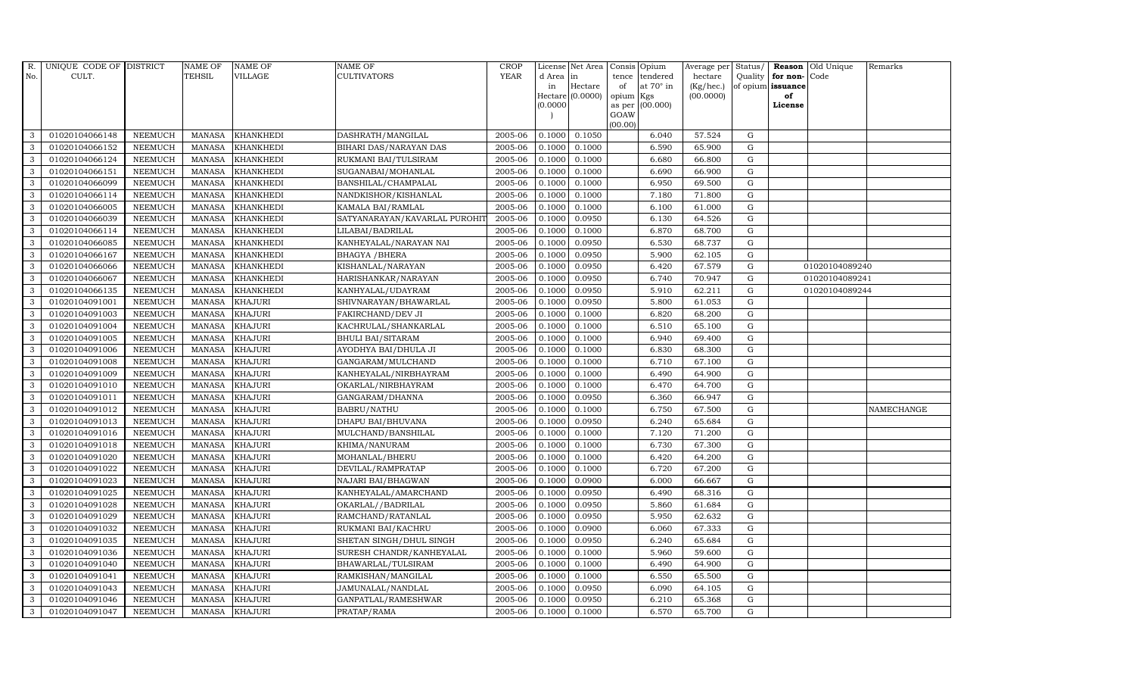| R.           | UNIQUE CODE OF DISTRICT |                | <b>NAME OF</b> | <b>NAME OF</b>   | NAME OF                       | <b>CROP</b> |           | License Net Area |                 | Consis Opium     | Average per | Status/     |                   | Reason Old Unique | Remarks           |
|--------------|-------------------------|----------------|----------------|------------------|-------------------------------|-------------|-----------|------------------|-----------------|------------------|-------------|-------------|-------------------|-------------------|-------------------|
| No.          | CULT.                   |                | <b>TEHSIL</b>  | VILLAGE          | CULTIVATORS                   | <b>YEAR</b> | d Area in |                  | tence           | tendered         | hectare     | Quality     | for non-Code      |                   |                   |
|              |                         |                |                |                  |                               |             | in        | Hectare          | of              | at $70^\circ$ in | (Kg/hec.)   |             | of opium issuance |                   |                   |
|              |                         |                |                |                  |                               |             | (0.0000)  | Hectare (0.0000) | opium<br>as per | Kgs<br>(00.000)  | (00.0000)   |             | of<br>License     |                   |                   |
|              |                         |                |                |                  |                               |             |           |                  | GOAW            |                  |             |             |                   |                   |                   |
|              |                         |                |                |                  |                               |             |           |                  | (00.00)         |                  |             |             |                   |                   |                   |
| 3            | 01020104066148          | <b>NEEMUCH</b> | MANASA         | <b>KHANKHEDI</b> | DASHRATH/MANGILAL             | 2005-06     | 0.1000    | 0.1050           |                 | 6.040            | 57.524      | G           |                   |                   |                   |
| 3            | 01020104066152          | <b>NEEMUCH</b> | <b>MANASA</b>  | <b>KHANKHEDI</b> | BIHARI DAS/NARAYAN DAS        | 2005-06     | 0.1000    | 0.1000           |                 | 6.590            | 65.900      | $\mathbf G$ |                   |                   |                   |
| 3            | 01020104066124          | <b>NEEMUCH</b> | <b>MANASA</b>  | <b>KHANKHEDI</b> | RUKMANI BAI/TULSIRAM          | 2005-06     | 0.1000    | 0.1000           |                 | 6.680            | 66.800      | G           |                   |                   |                   |
| 3            | 01020104066151          | <b>NEEMUCH</b> | <b>MANASA</b>  | <b>KHANKHEDI</b> | SUGANABAI/MOHANLAL            | 2005-06     | 0.1000    | 0.1000           |                 | 6.690            | 66.900      | ${\rm G}$   |                   |                   |                   |
| 3            | 01020104066099          | <b>NEEMUCH</b> | <b>MANASA</b>  | <b>KHANKHEDI</b> | BANSHILAL/CHAMPALAL           | 2005-06     | 0.1000    | 0.1000           |                 | 6.950            | 69.500      | ${\rm G}$   |                   |                   |                   |
| 3            | 01020104066114          | <b>NEEMUCH</b> | <b>MANASA</b>  | <b>KHANKHEDI</b> | NANDKISHOR/KISHANLAL          | 2005-06     | 0.1000    | 0.1000           |                 | 7.180            | 71.800      | G           |                   |                   |                   |
| 3            | 01020104066005          | <b>NEEMUCH</b> | <b>MANASA</b>  | <b>KHANKHEDI</b> | KAMALA BAI/RAMLAL             | 2005-06     | 0.1000    | 0.1000           |                 | 6.100            | 61.000      | $\mathbf G$ |                   |                   |                   |
| 3            | 01020104066039          | <b>NEEMUCH</b> | <b>MANASA</b>  | <b>KHANKHEDI</b> | SATYANARAYAN/KAVARLAL PUROHIT | 2005-06     | 0.1000    | 0.0950           |                 | 6.130            | 64.526      | $\mathbf G$ |                   |                   |                   |
| 3            | 01020104066114          | <b>NEEMUCH</b> | <b>MANASA</b>  | <b>KHANKHEDI</b> | LILABAI/BADRILAL              | 2005-06     | 0.1000    | 0.1000           |                 | 6.870            | 68.700      | G           |                   |                   |                   |
| 3            | 01020104066085          | <b>NEEMUCH</b> | <b>MANASA</b>  | <b>KHANKHEDI</b> | KANHEYALAL/NARAYAN NAI        | 2005-06     | 0.1000    | 0.0950           |                 | 6.530            | 68.737      | G           |                   |                   |                   |
| $\mathbf{3}$ | 01020104066167          | <b>NEEMUCH</b> | <b>MANASA</b>  | <b>KHANKHEDI</b> | <b>BHAGYA / BHERA</b>         | 2005-06     | 0.1000    | 0.0950           |                 | 5.900            | 62.105      | ${\rm G}$   |                   |                   |                   |
| 3            | 01020104066066          | <b>NEEMUCH</b> | <b>MANASA</b>  | <b>KHANKHEDI</b> | KISHANLAL/NARAYAN             | 2005-06     | 0.1000    | 0.0950           |                 | 6.420            | 67.579      | $\mathbf G$ |                   | 01020104089240    |                   |
| $\mathbf{3}$ | 01020104066067          | <b>NEEMUCH</b> | <b>MANASA</b>  | <b>KHANKHEDI</b> | HARISHANKAR/NARAYAN           | 2005-06     | 0.1000    | 0.0950           |                 | 6.740            | 70.947      | $\mathbf G$ |                   | 01020104089241    |                   |
| 3            | 01020104066135          | <b>NEEMUCH</b> | <b>MANASA</b>  | <b>KHANKHEDI</b> | KANHYALAL/UDAYRAM             | 2005-06     | 0.1000    | 0.0950           |                 | 5.910            | 62.211      | G           |                   | 01020104089244    |                   |
| 3            | 01020104091001          | <b>NEEMUCH</b> | <b>MANASA</b>  | <b>KHAJURI</b>   | SHIVNARAYAN/BHAWARLAL         | 2005-06     | 0.1000    | 0.0950           |                 | 5.800            | 61.053      | ${\rm G}$   |                   |                   |                   |
| $\mathbf{3}$ | 01020104091003          | <b>NEEMUCH</b> | <b>MANASA</b>  | <b>KHAJURI</b>   | FAKIRCHAND/DEV JI             | 2005-06     | 0.1000    | 0.1000           |                 | 6.820            | 68.200      | G           |                   |                   |                   |
| 3            | 01020104091004          | <b>NEEMUCH</b> | <b>MANASA</b>  | <b>KHAJURI</b>   | KACHRULAL/SHANKARLAL          | 2005-06     | 0.1000    | 0.1000           |                 | 6.510            | 65.100      | G           |                   |                   |                   |
| $\mathbf{3}$ | 01020104091005          | <b>NEEMUCH</b> | <b>MANASA</b>  | <b>KHAJURI</b>   | <b>BHULI BAI/SITARAM</b>      | 2005-06     | 0.1000    | 0.1000           |                 | 6.940            | 69.400      | $\mathbf G$ |                   |                   |                   |
| 3            | 01020104091006          | <b>NEEMUCH</b> | <b>MANASA</b>  | <b>KHAJURI</b>   | AYODHYA BAI/DHULA JI          | 2005-06     | 0.1000    | 0.1000           |                 | 6.830            | 68.300      | $\mathbf G$ |                   |                   |                   |
| 3            | 01020104091008          | <b>NEEMUCH</b> | <b>MANASA</b>  | <b>KHAJURI</b>   | GANGARAM/MULCHAND             | 2005-06     | 0.1000    | 0.1000           |                 | 6.710            | 67.100      | $\mathbf G$ |                   |                   |                   |
| 3            | 01020104091009          | <b>NEEMUCH</b> | <b>MANASA</b>  | <b>KHAJURI</b>   | KANHEYALAL/NIRBHAYRAM         | 2005-06     | 0.1000    | 0.1000           |                 | 6.490            | 64.900      | G           |                   |                   |                   |
| 3            | 01020104091010          | <b>NEEMUCH</b> | <b>MANASA</b>  | <b>KHAJURI</b>   | OKARLAL/NIRBHAYRAM            | 2005-06     | 0.1000    | 0.1000           |                 | 6.470            | 64.700      | G           |                   |                   |                   |
| $\mathbf{3}$ | 01020104091011          | <b>NEEMUCH</b> | <b>MANASA</b>  | <b>KHAJURI</b>   | GANGARAM/DHANNA               | 2005-06     | 0.1000    | 0.0950           |                 | 6.360            | 66.947      | G           |                   |                   |                   |
| 3            | 01020104091012          | <b>NEEMUCH</b> | <b>MANASA</b>  | <b>KHAJURI</b>   | <b>BABRU/NATHU</b>            | 2005-06     | 0.1000    | 0.1000           |                 | 6.750            | 67.500      | $\mathbf G$ |                   |                   | <b>NAMECHANGE</b> |
| 3            | 01020104091013          | <b>NEEMUCH</b> | <b>MANASA</b>  | <b>KHAJURI</b>   | DHAPU BAI/BHUVANA             | 2005-06     | 0.1000    | 0.0950           |                 | 6.240            | 65.684      | G           |                   |                   |                   |
| 3            | 01020104091016          | <b>NEEMUCH</b> | <b>MANASA</b>  | <b>KHAJURI</b>   | MULCHAND/BANSHILAL            | 2005-06     | 0.1000    | 0.1000           |                 | 7.120            | 71.200      | G           |                   |                   |                   |
| 3            | 01020104091018          | <b>NEEMUCH</b> | <b>MANASA</b>  | <b>KHAJURI</b>   | KHIMA/NANURAM                 | 2005-06     | 0.1000    | 0.1000           |                 | 6.730            | 67.300      | G           |                   |                   |                   |
| 3            | 01020104091020          | <b>NEEMUCH</b> | <b>MANASA</b>  | <b>KHAJURI</b>   | MOHANLAL/BHERU                | 2005-06     | 0.1000    | 0.1000           |                 | 6.420            | 64.200      | G           |                   |                   |                   |
| 3            | 01020104091022          | <b>NEEMUCH</b> | <b>MANASA</b>  | <b>KHAJURI</b>   | DEVILAL/RAMPRATAP             | 2005-06     | 0.1000    | 0.1000           |                 | 6.720            | 67.200      | $\mathbf G$ |                   |                   |                   |
| 3            | 01020104091023          | <b>NEEMUCH</b> | <b>MANASA</b>  | <b>KHAJURI</b>   | NAJARI BAI/BHAGWAN            | 2005-06     | 0.1000    | 0.0900           |                 | 6.000            | 66.667      | $\mathbf G$ |                   |                   |                   |
| 3            | 01020104091025          | <b>NEEMUCH</b> | <b>MANASA</b>  | <b>KHAJURI</b>   | KANHEYALAL/AMARCHAND          | 2005-06     | 0.1000    | 0.0950           |                 | 6.490            | 68.316      | G           |                   |                   |                   |
| 3            | 01020104091028          | <b>NEEMUCH</b> | <b>MANASA</b>  | <b>KHAJURI</b>   | OKARLAL//BADRILAL             | 2005-06     | 0.1000    | 0.0950           |                 | 5.860            | 61.684      | ${\rm G}$   |                   |                   |                   |
| 3            | 01020104091029          | <b>NEEMUCH</b> | <b>MANASA</b>  | <b>KHAJURI</b>   | RAMCHAND/RATANLAL             | 2005-06     | 0.1000    | 0.0950           |                 | 5.950            | 62.632      | G           |                   |                   |                   |
| 3            | 01020104091032          | <b>NEEMUCH</b> | <b>MANASA</b>  | <b>KHAJURI</b>   | RUKMANI BAI/KACHRU            | 2005-06     | 0.1000    | 0.0900           |                 | 6.060            | 67.333      | $\mathbf G$ |                   |                   |                   |
| 3            | 01020104091035          | <b>NEEMUCH</b> | <b>MANASA</b>  | <b>KHAJURI</b>   | SHETAN SINGH/DHUL SINGH       | 2005-06     | 0.1000    | 0.0950           |                 | 6.240            | 65.684      | $\mathbf G$ |                   |                   |                   |
| 3            | 01020104091036          | <b>NEEMUCH</b> | <b>MANASA</b>  | <b>KHAJURI</b>   | SURESH CHANDR/KANHEYALAL      | 2005-06     | 0.1000    | 0.1000           |                 | 5.960            | 59.600      | ${\rm G}$   |                   |                   |                   |
| $\mathbf{3}$ | 01020104091040          | <b>NEEMUCH</b> | <b>MANASA</b>  | <b>KHAJURI</b>   | BHAWARLAL/TULSIRAM            | 2005-06     | 0.1000    | 0.1000           |                 | 6.490            | 64.900      | ${\rm G}$   |                   |                   |                   |
| 3            | 01020104091041          | <b>NEEMUCH</b> | <b>MANASA</b>  | <b>KHAJURI</b>   | RAMKISHAN/MANGILAL            | 2005-06     | 0.1000    | 0.1000           |                 | 6.550            | 65.500      | G           |                   |                   |                   |
| 3            | 01020104091043          | <b>NEEMUCH</b> | <b>MANASA</b>  | <b>KHAJURI</b>   | JAMUNALAL/NANDLAL             | 2005-06     | 0.1000    | 0.0950           |                 | 6.090            | 64.105      | $\mathbf G$ |                   |                   |                   |
| 3            | 01020104091046          | <b>NEEMUCH</b> | <b>MANASA</b>  | <b>KHAJURI</b>   | GANPATLAL/RAMESHWAR           | 2005-06     | 0.1000    | 0.0950           |                 | 6.210            | 65.368      | $\mathbf G$ |                   |                   |                   |
| 3            | 01020104091047          | <b>NEEMUCH</b> | MANASA KHAJURI |                  | PRATAP/RAMA                   | 2005-06     | 0.1000    | 0.1000           |                 | 6.570            | 65.700      | G           |                   |                   |                   |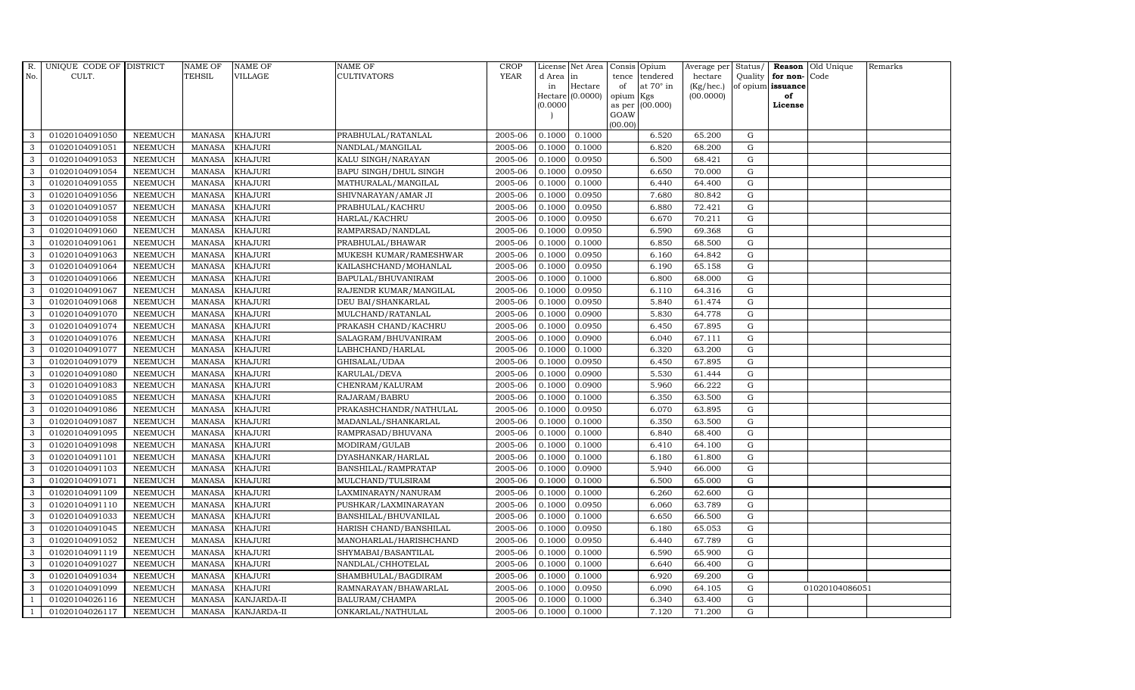| R.           | UNIQUE CODE OF DISTRICT |                | <b>NAME OF</b> | <b>NAME OF</b> | NAME OF                      | <b>CROP</b> |           | License Net Area | Consis          | Opium            | Average per  | Status/     |                   | Reason Old Unique | Remarks |
|--------------|-------------------------|----------------|----------------|----------------|------------------------------|-------------|-----------|------------------|-----------------|------------------|--------------|-------------|-------------------|-------------------|---------|
| No.          | CULT.                   |                | TEHSIL         | VILLAGE        | CULTIVATORS                  | <b>YEAR</b> | d Area in |                  | tence           | tendered         | hectare      | Quality     | for non-Code      |                   |         |
|              |                         |                |                |                |                              |             | in        | Hectare          | of              | at $70^\circ$ in | $(Kg/$ hec.) |             | of opium issuance |                   |         |
|              |                         |                |                |                |                              |             | (0.0000)  | Hectare (0.0000) | opium<br>as per | Kgs<br>(00.000)  | (00.0000)    |             | of<br>License     |                   |         |
|              |                         |                |                |                |                              |             |           |                  | GOAW            |                  |              |             |                   |                   |         |
|              |                         |                |                |                |                              |             |           |                  | (00.00)         |                  |              |             |                   |                   |         |
| 3            | 01020104091050          | <b>NEEMUCH</b> | <b>MANASA</b>  | <b>KHAJURI</b> | PRABHULAL/RATANLAL           | 2005-06     | 0.1000    | 0.1000           |                 | 6.520            | 65.200       | G           |                   |                   |         |
| 3            | 01020104091051          | <b>NEEMUCH</b> | <b>MANASA</b>  | <b>KHAJURI</b> | NANDLAL/MANGILAL             | 2005-06     | 0.1000    | 0.1000           |                 | 6.820            | 68.200       | G           |                   |                   |         |
| 3            | 01020104091053          | <b>NEEMUCH</b> | <b>MANASA</b>  | <b>KHAJURI</b> | KALU SINGH/NARAYAN           | 2005-06     | 0.1000    | 0.0950           |                 | 6.500            | 68.421       | $\mathbf G$ |                   |                   |         |
| 3            | 01020104091054          | <b>NEEMUCH</b> | <b>MANASA</b>  | <b>KHAJURI</b> | <b>BAPU SINGH/DHUL SINGH</b> | 2005-06     | 0.1000    | 0.0950           |                 | 6.650            | 70.000       | $\mathbf G$ |                   |                   |         |
| 3            | 01020104091055          | <b>NEEMUCH</b> | MANASA         | <b>KHAJURI</b> | MATHURALAL/MANGILAL          | 2005-06     | 0.1000    | 0.1000           |                 | 6.440            | 64.400       | $\mathbf G$ |                   |                   |         |
| 3            | 01020104091056          | <b>NEEMUCH</b> | <b>MANASA</b>  | <b>KHAJURI</b> | SHIVNARAYAN/AMAR JI          | 2005-06     | 0.1000    | 0.0950           |                 | 7.680            | 80.842       | ${\rm G}$   |                   |                   |         |
| 3            | 01020104091057          | <b>NEEMUCH</b> | <b>MANASA</b>  | <b>KHAJURI</b> | PRABHULAL/KACHRU             | 2005-06     | 0.1000    | 0.0950           |                 | 6.880            | 72.421       | G           |                   |                   |         |
| 3            | 01020104091058          | <b>NEEMUCH</b> | <b>MANASA</b>  | <b>KHAJURI</b> | HARLAL/KACHRU                | 2005-06     | 0.1000    | 0.0950           |                 | 6.670            | 70.211       | G           |                   |                   |         |
| 3            | 01020104091060          | <b>NEEMUCH</b> | <b>MANASA</b>  | <b>KHAJURI</b> | RAMPARSAD/NANDLAL            | 2005-06     | 0.1000    | 0.0950           |                 | 6.590            | 69.368       | $\mathbf G$ |                   |                   |         |
| 3            | 01020104091061          | <b>NEEMUCH</b> | <b>MANASA</b>  | KHAJURI        | PRABHULAL/BHAWAR             | 2005-06     | 0.1000    | 0.1000           |                 | 6.850            | 68.500       | $\mathbf G$ |                   |                   |         |
| 3            | 01020104091063          | <b>NEEMUCH</b> | <b>MANASA</b>  | <b>KHAJURI</b> | MUKESH KUMAR/RAMESHWAR       | 2005-06     | 0.1000    | 0.0950           |                 | 6.160            | 64.842       | G           |                   |                   |         |
| 3            | 01020104091064          | <b>NEEMUCH</b> | <b>MANASA</b>  | <b>KHAJURI</b> | KAILASHCHAND/MOHANLAL        | 2005-06     | 0.1000    | 0.0950           |                 | 6.190            | 65.158       | ${\rm G}$   |                   |                   |         |
| 3            | 01020104091066          | <b>NEEMUCH</b> | <b>MANASA</b>  | <b>KHAJURI</b> | BAPULAL/BHUVANIRAM           | 2005-06     | 0.1000    | 0.1000           |                 | 6.800            | 68.000       | G           |                   |                   |         |
| 3            | 01020104091067          | <b>NEEMUCH</b> | <b>MANASA</b>  | <b>KHAJURI</b> | RAJENDR KUMAR/MANGILAL       | 2005-06     | 0.1000    | 0.0950           |                 | 6.110            | 64.316       | $\mathbf G$ |                   |                   |         |
| 3            | 01020104091068          | <b>NEEMUCH</b> | <b>MANASA</b>  | <b>KHAJURI</b> | DEU BAI/SHANKARLAL           | 2005-06     | 0.1000    | 0.0950           |                 | 5.840            | 61.474       | $\mathbf G$ |                   |                   |         |
| 3            | 01020104091070          | <b>NEEMUCH</b> | <b>MANASA</b>  | <b>KHAJURI</b> | MULCHAND/RATANLAL            | 2005-06     | 0.1000    | 0.0900           |                 | 5.830            | 64.778       | G           |                   |                   |         |
| 3            | 01020104091074          | <b>NEEMUCH</b> | <b>MANASA</b>  | <b>KHAJURI</b> | PRAKASH CHAND/KACHRU         | 2005-06     | 0.1000    | 0.0950           |                 | 6.450            | 67.895       | G           |                   |                   |         |
| $\mathbf{3}$ | 01020104091076          | <b>NEEMUCH</b> | <b>MANASA</b>  | <b>KHAJURI</b> | SALAGRAM/BHUVANIRAM          | 2005-06     | 0.1000    | 0.0900           |                 | 6.040            | 67.111       | G           |                   |                   |         |
| 3            | 01020104091077          | <b>NEEMUCH</b> | <b>MANASA</b>  | <b>KHAJURI</b> | LABHCHAND/HARLAL             | 2005-06     | 0.1000    | 0.1000           |                 | 6.320            | 63.200       | $\mathbf G$ |                   |                   |         |
| 3            | 01020104091079          | NEEMUCH        | <b>MANASA</b>  | <b>KHAJURI</b> | GHISALAL/UDAA                | 2005-06     | 0.1000    | 0.0950           |                 | 6.450            | 67.895       | $\mathbf G$ |                   |                   |         |
| 3            | 01020104091080          | NEEMUCH        | <b>MANASA</b>  | <b>KHAJURI</b> | KARULAL/DEVA                 | 2005-06     | 0.1000    | 0.0900           |                 | 5.530            | 61.444       | G           |                   |                   |         |
| 3            | 01020104091083          | <b>NEEMUCH</b> | <b>MANASA</b>  | <b>KHAJURI</b> | CHENRAM/KALURAM              | 2005-06     | 0.1000    | 0.0900           |                 | 5.960            | 66.222       | G           |                   |                   |         |
| 3            | 01020104091085          | NEEMUCH        | <b>MANASA</b>  | <b>KHAJURI</b> | RAJARAM/BABRU                | 2005-06     | 0.1000    | 0.1000           |                 | 6.350            | 63.500       | $\mathbf G$ |                   |                   |         |
| 3            | 01020104091086          | <b>NEEMUCH</b> | <b>MANASA</b>  | <b>KHAJURI</b> | PRAKASHCHANDR/NATHULAL       | 2005-06     | 0.1000    | 0.0950           |                 | 6.070            | 63.895       | G           |                   |                   |         |
| 3            | 01020104091087          | <b>NEEMUCH</b> | <b>MANASA</b>  | <b>KHAJURI</b> | MADANLAL/SHANKARLAL          | 2005-06     | 0.1000    | 0.1000           |                 | 6.350            | 63.500       | $\mathbf G$ |                   |                   |         |
| 3            | 01020104091095          | <b>NEEMUCH</b> | <b>MANASA</b>  | <b>KHAJURI</b> | RAMPRASAD/BHUVANA            | 2005-06     | 0.1000    | 0.1000           |                 | 6.840            | 68.400       | G           |                   |                   |         |
| 3            | 01020104091098          | <b>NEEMUCH</b> | <b>MANASA</b>  | <b>KHAJURI</b> | MODIRAM/GULAB                | 2005-06     | 0.1000    | 0.1000           |                 | 6.410            | 64.100       | ${\rm G}$   |                   |                   |         |
| 3            | 01020104091101          | <b>NEEMUCH</b> | <b>MANASA</b>  | <b>KHAJURI</b> | DYASHANKAR/HARLAL            | 2005-06     | 0.1000    | 0.1000           |                 | 6.180            | 61.800       | G           |                   |                   |         |
| 3            | 01020104091103          | <b>NEEMUCH</b> | <b>MANASA</b>  | <b>KHAJURI</b> | BANSHILAL/RAMPRATAP          | 2005-06     | 0.1000    | 0.0900           |                 | 5.940            | 66.000       | $\mathbf G$ |                   |                   |         |
| 3            | 01020104091071          | <b>NEEMUCH</b> | <b>MANASA</b>  | <b>KHAJURI</b> | MULCHAND/TULSIRAM            | 2005-06     | 0.1000    | 0.1000           |                 | 6.500            | 65.000       | $\mathbf G$ |                   |                   |         |
| 3            | 01020104091109          | <b>NEEMUCH</b> | <b>MANASA</b>  | <b>KHAJURI</b> | LAXMINARAYN/NANURAM          | 2005-06     | 0.1000    | 0.1000           |                 | 6.260            | 62.600       | ${\rm G}$   |                   |                   |         |
| 3            | 01020104091110          | <b>NEEMUCH</b> | <b>MANASA</b>  | <b>KHAJURI</b> | PUSHKAR/LAXMINARAYAN         | 2005-06     | 0.1000    | 0.0950           |                 | 6.060            | 63.789       | ${\rm G}$   |                   |                   |         |
| 3            | 01020104091033          | <b>NEEMUCH</b> | <b>MANASA</b>  | <b>KHAJURI</b> | BANSHILAL/BHUVANILAL         | 2005-06     | 0.1000    | 0.1000           |                 | 6.650            | 66.500       | G           |                   |                   |         |
| 3            | 01020104091045          | <b>NEEMUCH</b> | <b>MANASA</b>  | <b>KHAJURI</b> | HARISH CHAND/BANSHILAL       | 2005-06     | 0.1000    | 0.0950           |                 | 6.180            | 65.053       | G           |                   |                   |         |
| 3            | 01020104091052          | <b>NEEMUCH</b> | <b>MANASA</b>  | <b>KHAJURI</b> | MANOHARLAL/HARISHCHAND       | 2005-06     | 0.1000    | 0.0950           |                 | 6.440            | 67.789       | $\mathbf G$ |                   |                   |         |
| 3            | 01020104091119          | <b>NEEMUCH</b> | <b>MANASA</b>  | <b>KHAJURI</b> | SHYMABAI/BASANTILAL          | 2005-06     | 0.1000    | 0.1000           |                 | 6.590            | 65.900       | G           |                   |                   |         |
| 3            | 01020104091027          | <b>NEEMUCH</b> | <b>MANASA</b>  | <b>KHAJURI</b> | NANDLAL/CHHOTELAL            | 2005-06     | 0.1000    | 0.1000           |                 | 6.640            | 66.400       | G           |                   |                   |         |
| 3            | 01020104091034          | <b>NEEMUCH</b> | <b>MANASA</b>  | <b>KHAJURI</b> | SHAMBHULAL/BAGDIRAM          | 2005-06     | 0.1000    | 0.1000           |                 | 6.920            | 69.200       | G           |                   |                   |         |
| 3            | 01020104091099          | <b>NEEMUCH</b> | <b>MANASA</b>  | <b>KHAJURI</b> | RAMNARAYAN/BHAWARLAL         | 2005-06     | 0.1000    | 0.0950           |                 | 6.090            | 64.105       | $\mathbf G$ |                   | 01020104086051    |         |
|              | 01020104026116          | <b>NEEMUCH</b> | <b>MANASA</b>  | KANJARDA-II    | BALURAM/CHAMPA               | 2005-06     | 0.1000    | 0.1000           |                 | 6.340            | 63.400       | G           |                   |                   |         |
|              |                         | <b>NEEMUCH</b> | MANASA         | KANJARDA-II    | ONKARLAL/NATHULAL            | 2005-06     | 0.1000    | 0.1000           |                 | 7.120            | 71.200       | G           |                   |                   |         |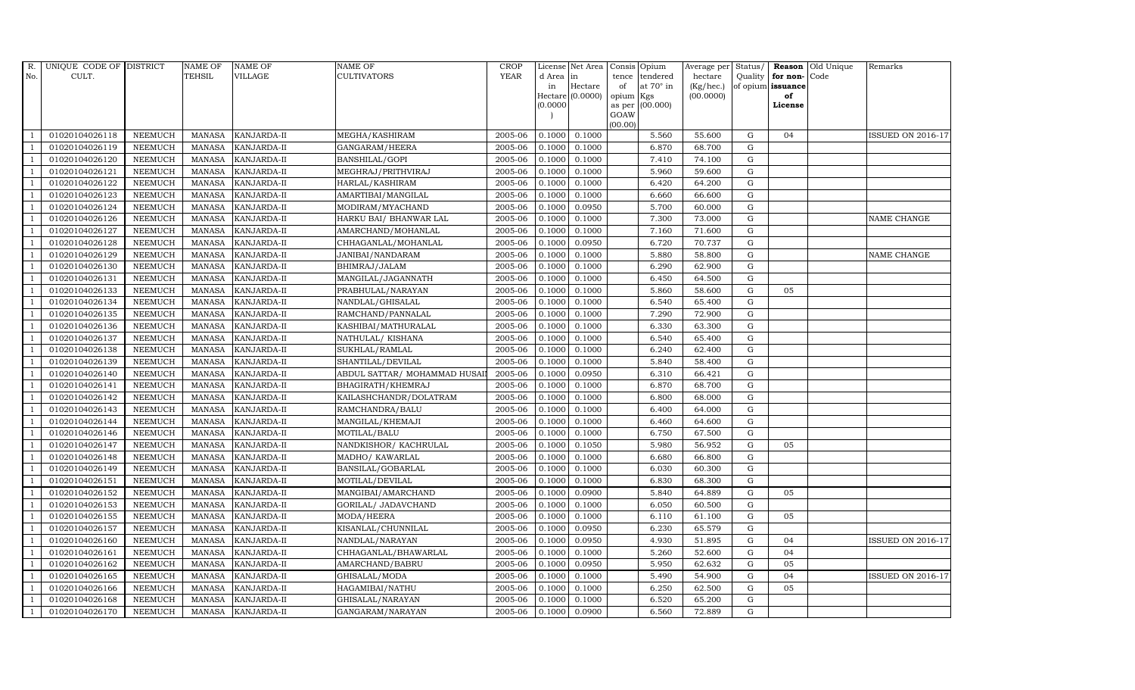| R.             | UNIQUE CODE OF DISTRICT |                | <b>NAME OF</b> | <b>NAME OF</b>     | <b>NAME OF</b>               | <b>CROP</b> |           | License Net Area   Consis   Opium |           |                 | Average per Status/ |             |                         | <b>Reason</b> Old Unique | Remarks                  |
|----------------|-------------------------|----------------|----------------|--------------------|------------------------------|-------------|-----------|-----------------------------------|-----------|-----------------|---------------------|-------------|-------------------------|--------------------------|--------------------------|
| No.            | CULT.                   |                | <b>TEHSIL</b>  | <b>VILLAGE</b>     | <b>CULTIVATORS</b>           | <b>YEAR</b> | d Area in |                                   |           | tence tendered  | hectare             |             | Quality   for non- Code |                          |                          |
|                |                         |                |                |                    |                              |             | in        | Hectare                           | of        | at 70° in       | (Kg/hec.)           |             | of opium issuance       |                          |                          |
|                |                         |                |                |                    |                              |             | 0.0000    | Hectare $(0.0000)$                | opium Kgs | as per (00.000) | (00.0000)           |             | of<br>License           |                          |                          |
|                |                         |                |                |                    |                              |             |           |                                   | GOAW      |                 |                     |             |                         |                          |                          |
|                |                         |                |                |                    |                              |             |           |                                   | (00.00)   |                 |                     |             |                         |                          |                          |
|                | 01020104026118          | <b>NEEMUCH</b> | MANASA         | <b>KANJARDA-II</b> | MEGHA/KASHIRAM               | 2005-06     | 0.1000    | 0.1000                            |           | 5.560           | 55.600              | G           | 04                      |                          | <b>ISSUED ON 2016-17</b> |
| -1             | 01020104026119          | <b>NEEMUCH</b> | <b>MANASA</b>  | KANJARDA-II        | GANGARAM/HEERA               | 2005-06     | 0.1000    | 0.1000                            |           | 6.870           | 68.700              | $\mathbf G$ |                         |                          |                          |
|                | 01020104026120          | <b>NEEMUCH</b> | <b>MANASA</b>  | KANJARDA-II        | BANSHILAL/GOPI               | 2005-06     | 0.1000    | 0.1000                            |           | 7.410           | 74.100              | G           |                         |                          |                          |
|                | 01020104026121          | <b>NEEMUCH</b> | <b>MANASA</b>  | KANJARDA-II        | MEGHRAJ/PRITHVIRAJ           | 2005-06     | 0.1000    | 0.1000                            |           | 5.960           | 59.600              | $\mathbf G$ |                         |                          |                          |
| $\overline{1}$ | 01020104026122          | <b>NEEMUCH</b> | <b>MANASA</b>  | KANJARDA-II        | HARLAL/KASHIRAM              | 2005-06     | 0.1000    | 0.1000                            |           | 6.420           | 64.200              | ${\bf G}$   |                         |                          |                          |
| $\overline{1}$ | 01020104026123          | <b>NEEMUCH</b> | <b>MANASA</b>  | KANJARDA-II        | AMARTIBAI/MANGILAL           | 2005-06     | 0.1000    | 0.1000                            |           | 6.660           | 66.600              | $\mathbf G$ |                         |                          |                          |
| $\overline{1}$ | 01020104026124          | <b>NEEMUCH</b> | <b>MANASA</b>  | KANJARDA-II        | MODIRAM/MYACHAND             | 2005-06     | 0.1000    | 0.0950                            |           | 5.700           | 60.000              | ${\bf G}$   |                         |                          |                          |
| $\overline{1}$ | 01020104026126          | <b>NEEMUCH</b> | <b>MANASA</b>  | KANJARDA-II        | HARKU BAI/ BHANWAR LAL       | 2005-06     | 0.1000    | 0.1000                            |           | 7.300           | 73.000              | $\mathbf G$ |                         |                          | NAME CHANGE              |
|                | 01020104026127          | <b>NEEMUCH</b> | <b>MANASA</b>  | KANJARDA-II        | AMARCHAND/MOHANLAL           | 2005-06     | 0.1000    | 0.1000                            |           | 7.160           | 71.600              | $\mathbf G$ |                         |                          |                          |
| $\overline{1}$ | 01020104026128          | <b>NEEMUCH</b> | <b>MANASA</b>  | KANJARDA-II        | CHHAGANLAL/MOHANLAL          | 2005-06     | 0.1000    | 0.0950                            |           | 6.720           | 70.737              | ${\rm G}$   |                         |                          |                          |
| -1             | 01020104026129          | <b>NEEMUCH</b> | <b>MANASA</b>  | KANJARDA-II        | JANIBAI/NANDARAM             | 2005-06     | 0.1000    | 0.1000                            |           | 5.880           | 58.800              | G           |                         |                          | NAME CHANGE              |
| $\overline{1}$ | 01020104026130          | <b>NEEMUCH</b> | <b>MANASA</b>  | KANJARDA-II        | BHIMRAJ/JALAM                | 2005-06     | 0.1000    | 0.1000                            |           | 6.290           | 62.900              | $\mathbf G$ |                         |                          |                          |
| $\overline{1}$ | 01020104026131          | <b>NEEMUCH</b> | <b>MANASA</b>  | KANJARDA-II        | MANGILAL/JAGANNATH           | 2005-06     | 0.1000    | 0.1000                            |           | 6.450           | 64.500              | G           |                         |                          |                          |
|                | 01020104026133          | <b>NEEMUCH</b> | <b>MANASA</b>  | KANJARDA-II        | PRABHULAL/NARAYAN            | 2005-06     | 0.1000    | 0.1000                            |           | 5.860           | 58.600              | $\mathbf G$ | 05                      |                          |                          |
|                | 01020104026134          | <b>NEEMUCH</b> | <b>MANASA</b>  | KANJARDA-II        | NANDLAL/GHISALAL             | 2005-06     | 0.1000    | 0.1000                            |           | 6.540           | 65.400              | $\mathbf G$ |                         |                          |                          |
| $\overline{1}$ | 01020104026135          | <b>NEEMUCH</b> | <b>MANASA</b>  | KANJARDA-II        | RAMCHAND/PANNALAL            | 2005-06     | 0.1000    | 0.1000                            |           | 7.290           | 72.900              | G           |                         |                          |                          |
| $\overline{1}$ | 01020104026136          | <b>NEEMUCH</b> | <b>MANASA</b>  | KANJARDA-II        | KASHIBAI/MATHURALAL          | 2005-06     | 0.1000    | 0.1000                            |           | 6.330           | 63.300              | $\mathbf G$ |                         |                          |                          |
| $\overline{1}$ | 01020104026137          | <b>NEEMUCH</b> | MANASA         | <b>KANJARDA-II</b> | NATHULAL/KISHANA             | 2005-06     | 0.1000    | 0.1000                            |           | 6.540           | 65.400              | $\mathbf G$ |                         |                          |                          |
|                | 01020104026138          | <b>NEEMUCH</b> | <b>MANASA</b>  | KANJARDA-II        | SUKHLAL/RAMLAL               | 2005-06     | 0.1000    | 0.1000                            |           | 6.240           | 62.400              | $\mathbf G$ |                         |                          |                          |
| $\overline{1}$ | 01020104026139          | <b>NEEMUCH</b> | <b>MANASA</b>  | KANJARDA-II        | SHANTILAL/DEVILAL            | 2005-06     | 0.1000    | 0.1000                            |           | 5.840           | 58.400              | $\mathbf G$ |                         |                          |                          |
| $\overline{1}$ | 01020104026140          | <b>NEEMUCH</b> | <b>MANASA</b>  | KANJARDA-II        | ABDUL SATTAR/ MOHAMMAD HUSAI | 2005-06     | 0.1000    | 0.0950                            |           | 6.310           | 66.421              | $\mathbf G$ |                         |                          |                          |
| $\overline{1}$ | 01020104026141          | <b>NEEMUCH</b> | <b>MANASA</b>  | KANJARDA-II        | BHAGIRATH/KHEMRAJ            | 2005-06     | 0.1000    | 0.1000                            |           | 6.870           | 68.700              | ${\rm G}$   |                         |                          |                          |
| $\overline{1}$ | 01020104026142          | <b>NEEMUCH</b> | MANASA         | <b>KANJARDA-II</b> | KAILASHCHANDR/DOLATRAM       | 2005-06     | 0.1000    | 0.1000                            |           | 6.800           | 68.000              | G           |                         |                          |                          |
|                | 01020104026143          | <b>NEEMUCH</b> | <b>MANASA</b>  | KANJARDA-II        | RAMCHANDRA/BALU              | 2005-06     | 0.1000    | 0.1000                            |           | 6.400           | 64.000              | $\mathbf G$ |                         |                          |                          |
|                | 01020104026144          | <b>NEEMUCH</b> | <b>MANASA</b>  | KANJARDA-II        | MANGILAL/KHEMAJI             | 2005-06     | 0.1000    | 0.1000                            |           | 6.460           | 64.600              | ${\rm G}$   |                         |                          |                          |
| -1             | 01020104026146          | <b>NEEMUCH</b> | <b>MANASA</b>  | KANJARDA-II        | MOTILAL/BALU                 | 2005-06     | 0.1000    | 0.1000                            |           | 6.750           | 67.500              | G           |                         |                          |                          |
| -1             | 01020104026147          | <b>NEEMUCH</b> | <b>MANASA</b>  | KANJARDA-II        | NANDKISHOR/KACHRULAL         | 2005-06     | 0.1000    | 0.1050                            |           | 5.980           | 56.952              | ${\rm G}$   | 05                      |                          |                          |
| $\overline{1}$ | 01020104026148          | <b>NEEMUCH</b> | <b>MANASA</b>  | KANJARDA-II        | MADHO/ KAWARLAL              | 2005-06     | 0.1000    | 0.1000                            |           | 6.680           | 66.800              | G           |                         |                          |                          |
| $\overline{1}$ | 01020104026149          | <b>NEEMUCH</b> | <b>MANASA</b>  | KANJARDA-II        | BANSILAL/GOBARLAL            | 2005-06     | 0.1000    | 0.1000                            |           | 6.030           | 60.300              | $\mathbf G$ |                         |                          |                          |
|                | 01020104026151          | NEEMUCH        | <b>MANASA</b>  | KANJARDA-II        | MOTILAL/DEVILAL              | 2005-06     | 0.1000    | 0.1000                            |           | 6.830           | 68.300              | $\mathbf G$ |                         |                          |                          |
| $\overline{1}$ | 01020104026152          | <b>NEEMUCH</b> | <b>MANASA</b>  | KANJARDA-II        | MANGIBAI/AMARCHAND           | 2005-06     | 0.1000    | 0.0900                            |           | 5.840           | 64.889              | G           | 05                      |                          |                          |
| -1             | 01020104026153          | <b>NEEMUCH</b> | <b>MANASA</b>  | KANJARDA-II        | GORILAL/ JADAVCHAND          | 2005-06     | 0.1000    | 0.1000                            |           | 6.050           | 60.500              | $\mathbf G$ |                         |                          |                          |
| $\overline{1}$ | 01020104026155          | <b>NEEMUCH</b> | <b>MANASA</b>  | KANJARDA-II        | MODA/HEERA                   | 2005-06     | 0.1000    | 0.1000                            |           | 6.110           | 61.100              | ${\rm G}$   | 05                      |                          |                          |
| $\overline{1}$ | 01020104026157          | <b>NEEMUCH</b> | <b>MANASA</b>  | KANJARDA-II        | KISANLAL/CHUNNILAL           | 2005-06     | 0.1000    | 0.0950                            |           | 6.230           | 65.579              | $\mathbf G$ |                         |                          |                          |
|                | 01020104026160          | <b>NEEMUCH</b> | <b>MANASA</b>  | KANJARDA-II        | NANDLAL/NARAYAN              | 2005-06     | 0.1000    | 0.0950                            |           | 4.930           | 51.895              | $\mathbf G$ | 04                      |                          | <b>ISSUED ON 2016-17</b> |
| $\overline{1}$ | 01020104026161          | <b>NEEMUCH</b> | <b>MANASA</b>  | KANJARDA-II        | CHHAGANLAL/BHAWARLAL         | 2005-06     | 0.1000    | 0.1000                            |           | 5.260           | 52.600              | G           | 04                      |                          |                          |
| $\overline{1}$ | 01020104026162          | <b>NEEMUCH</b> | <b>MANASA</b>  | KANJARDA-II        | AMARCHAND/BABRU              | 2005-06     | 0.1000    | 0.0950                            |           | 5.950           | 62.632              | G           | 05                      |                          |                          |
| $\overline{1}$ | 01020104026165          | <b>NEEMUCH</b> | <b>MANASA</b>  | KANJARDA-II        | GHISALAL/MODA                | 2005-06     | 0.1000    | 0.1000                            |           | 5.490           | 54.900              | $\mathbf G$ | 04                      |                          | <b>ISSUED ON 2016-17</b> |
| $\overline{1}$ | 01020104026166          | <b>NEEMUCH</b> | <b>MANASA</b>  | KANJARDA-II        | HAGAMIBAI/NATHU              | 2005-06     | 0.1000    | 0.1000                            |           | 6.250           | 62.500              | $\mathbf G$ | 05                      |                          |                          |
|                | 01020104026168          | <b>NEEMUCH</b> | <b>MANASA</b>  | KANJARDA-II        | GHISALAL/NARAYAN             | 2005-06     | 0.1000    | 0.1000                            |           | 6.520           | 65.200              | G           |                         |                          |                          |
| $\mathbf{1}$   | 01020104026170          | NEEMUCH        |                | MANASA KANJARDA-II | GANGARAM/NARAYAN             | 2005-06     | 0.1000    | 0.0900                            |           | 6.560           | 72.889              | G           |                         |                          |                          |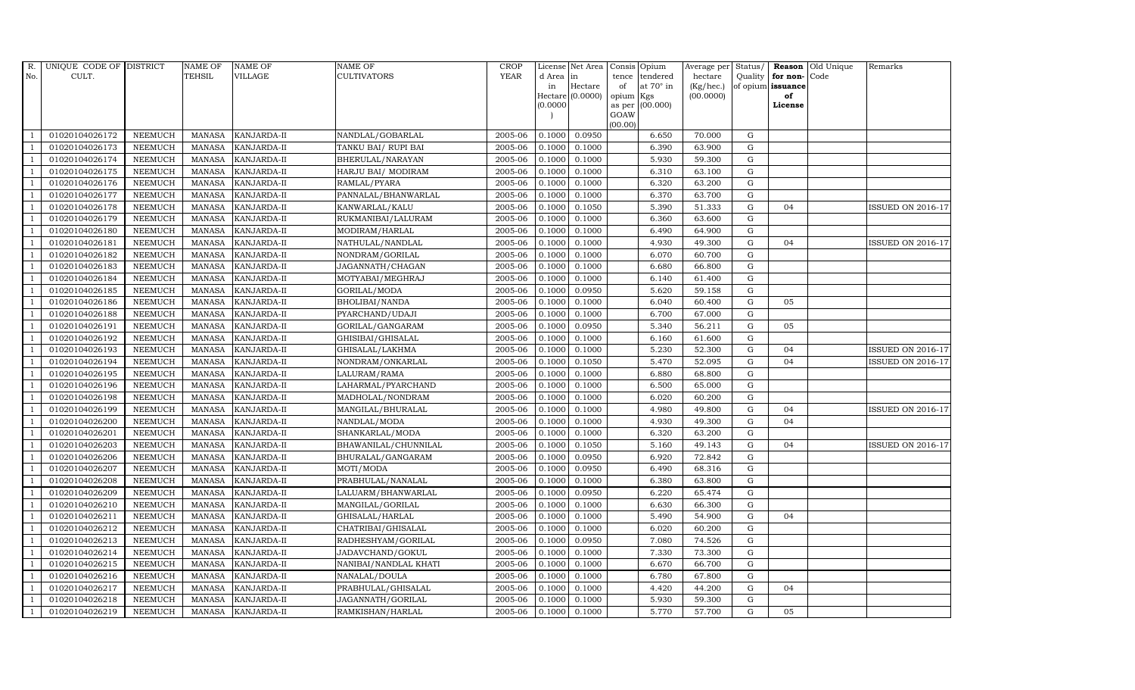| R.             | UNIQUE CODE OF DISTRICT |                | <b>NAME OF</b> | <b>NAME OF</b>     | NAME OF               | <b>CROP</b> |           | License Net Area |                 | Consis Opium     | Average per | Status/     |                   | Reason Old Unique | Remarks                  |
|----------------|-------------------------|----------------|----------------|--------------------|-----------------------|-------------|-----------|------------------|-----------------|------------------|-------------|-------------|-------------------|-------------------|--------------------------|
| No.            | CULT.                   |                | <b>TEHSIL</b>  | VILLAGE            | CULTIVATORS           | <b>YEAR</b> | d Area in |                  | tence           | tendered         | hectare     | Quality     | for non-Code      |                   |                          |
|                |                         |                |                |                    |                       |             | in        | Hectare          | of              | at $70^\circ$ in | (Kg/hec.)   |             | of opium issuance |                   |                          |
|                |                         |                |                |                    |                       |             | (0.0000)  | Hectare (0.0000) | opium<br>as per | Kgs<br>(00.000)  | (00.0000)   |             | of<br>License     |                   |                          |
|                |                         |                |                |                    |                       |             |           |                  | GOAW            |                  |             |             |                   |                   |                          |
|                |                         |                |                |                    |                       |             |           |                  | (00.00)         |                  |             |             |                   |                   |                          |
|                | 01020104026172          | <b>NEEMUCH</b> | MANASA         | <b>KANJARDA-II</b> | NANDLAL/GOBARLAL      | 2005-06     | 0.1000    | 0.0950           |                 | 6.650            | 70.000      | G           |                   |                   |                          |
| -1             | 01020104026173          | <b>NEEMUCH</b> | <b>MANASA</b>  | KANJARDA-II        | TANKU BAI/ RUPI BAI   | 2005-06     | 0.1000    | 0.1000           |                 | 6.390            | 63.900      | $\mathbf G$ |                   |                   |                          |
|                | 01020104026174          | <b>NEEMUCH</b> | <b>MANASA</b>  | KANJARDA-II        | BHERULAL/NARAYAN      | 2005-06     | 0.1000    | 0.1000           |                 | 5.930            | 59.300      | G           |                   |                   |                          |
|                | 01020104026175          | <b>NEEMUCH</b> | <b>MANASA</b>  | KANJARDA-II        | HARJU BAI/ MODIRAM    | 2005-06     | 0.1000    | 0.1000           |                 | 6.310            | 63.100      | ${\rm G}$   |                   |                   |                          |
| $\overline{1}$ | 01020104026176          | <b>NEEMUCH</b> | <b>MANASA</b>  | KANJARDA-II        | RAMLAL/PYARA          | 2005-06     | 0.1000    | 0.1000           |                 | 6.320            | 63.200      | ${\rm G}$   |                   |                   |                          |
| $\overline{1}$ | 01020104026177          | NEEMUCH        | <b>MANASA</b>  | KANJARDA-II        | PANNALAL/BHANWARLAL   | 2005-06     | 0.1000    | 0.1000           |                 | 6.370            | 63.700      | G           |                   |                   |                          |
| $\overline{1}$ | 01020104026178          | <b>NEEMUCH</b> | <b>MANASA</b>  | <b>KANJARDA-II</b> | KANWARLAL/KALU        | 2005-06     | 0.1000    | 0.1050           |                 | 5.390            | 51.333      | $\mathbf G$ | 04                |                   | <b>ISSUED ON 2016-17</b> |
| $\overline{1}$ | 01020104026179          | <b>NEEMUCH</b> | <b>MANASA</b>  | KANJARDA-II        | RUKMANIBAI/LALURAM    | 2005-06     | 0.1000    | 0.1000           |                 | 6.360            | 63.600      | $\mathbf G$ |                   |                   |                          |
|                | 01020104026180          | <b>NEEMUCH</b> | <b>MANASA</b>  | KANJARDA-II        | MODIRAM/HARLAL        | 2005-06     | 0.1000    | 0.1000           |                 | 6.490            | 64.900      | G           |                   |                   |                          |
| $\overline{1}$ | 01020104026181          | <b>NEEMUCH</b> | <b>MANASA</b>  | KANJARDA-II        | NATHULAL/NANDLAL      | 2005-06     | 0.1000    | 0.1000           |                 | 4.930            | 49.300      | ${\rm G}$   | 04                |                   | <b>ISSUED ON 2016-17</b> |
| -1             | 01020104026182          | <b>NEEMUCH</b> | <b>MANASA</b>  | KANJARDA-II        | NONDRAM/GORILAL       | 2005-06     | 0.1000    | 0.1000           |                 | 6.070            | 60.700      | ${\rm G}$   |                   |                   |                          |
| $\overline{1}$ | 01020104026183          | <b>NEEMUCH</b> | <b>MANASA</b>  | KANJARDA-II        | JAGANNATH/CHAGAN      | 2005-06     | 0.1000    | 0.1000           |                 | 6.680            | 66.800      | $\mathbf G$ |                   |                   |                          |
| $\overline{1}$ | 01020104026184          | <b>NEEMUCH</b> | <b>MANASA</b>  | KANJARDA-II        | MOTYABAI/MEGHRAJ      | 2005-06     | 0.1000    | 0.1000           |                 | 6.140            | 61.400      | $\mathbf G$ |                   |                   |                          |
|                | 01020104026185          | <b>NEEMUCH</b> | <b>MANASA</b>  | KANJARDA-II        | GORILAL/MODA          | 2005-06     | 0.1000    | 0.0950           |                 | 5.620            | 59.158      | $\mathbf G$ |                   |                   |                          |
|                | 01020104026186          | <b>NEEMUCH</b> | <b>MANASA</b>  | KANJARDA-II        | BHOLIBAI/NANDA        | 2005-06     | 0.1000    | 0.1000           |                 | 6.040            | 60.400      | $\mathbf G$ | 05                |                   |                          |
| $\overline{1}$ | 01020104026188          | <b>NEEMUCH</b> | <b>MANASA</b>  | KANJARDA-II        | PYARCHAND/UDAJI       | 2005-06     | 0.1000    | 0.1000           |                 | 6.700            | 67.000      | G           |                   |                   |                          |
| $\overline{1}$ | 01020104026191          | <b>NEEMUCH</b> | <b>MANASA</b>  | KANJARDA-II        | GORILAL/GANGARAM      | 2005-06     | 0.1000    | 0.0950           |                 | 5.340            | 56.211      | G           | 05                |                   |                          |
| $\overline{1}$ | 01020104026192          | <b>NEEMUCH</b> | <b>MANASA</b>  | KANJARDA-II        | GHISIBAI/GHISALAL     | 2005-06     | 0.1000    | 0.1000           |                 | 6.160            | 61.600      | $\mathbf G$ |                   |                   |                          |
|                | 01020104026193          | <b>NEEMUCH</b> | <b>MANASA</b>  | KANJARDA-II        | GHISALAL/LAKHMA       | 2005-06     | 0.1000    | 0.1000           |                 | 5.230            | 52.300      | $\mathbf G$ | 04                |                   | <b>ISSUED ON 2016-17</b> |
|                | 01020104026194          | <b>NEEMUCH</b> | <b>MANASA</b>  | KANJARDA-II        | NONDRAM/ONKARLAL      | 2005-06     | 0.1000    | 0.1050           |                 | 5.470            | 52.095      | $\mathbf G$ | 04                |                   | <b>ISSUED ON 2016-17</b> |
| $\overline{1}$ | 01020104026195          | <b>NEEMUCH</b> | <b>MANASA</b>  | KANJARDA-II        | LALURAM/RAMA          | 2005-06     | 0.1000    | 0.1000           |                 | 6.880            | 68.800      | G           |                   |                   |                          |
| $\overline{1}$ | 01020104026196          | <b>NEEMUCH</b> | <b>MANASA</b>  | KANJARDA-II        | LAHARMAL/PYARCHAND    | 2005-06     | 0.1000    | 0.1000           |                 | 6.500            | 65.000      | ${\rm G}$   |                   |                   |                          |
| $\overline{1}$ | 01020104026198          | <b>NEEMUCH</b> | <b>MANASA</b>  | KANJARDA-II        | MADHOLAL/NONDRAM      | 2005-06     | 0.1000    | 0.1000           |                 | 6.020            | 60.200      | G           |                   |                   |                          |
|                | 01020104026199          | <b>NEEMUCH</b> | <b>MANASA</b>  | KANJARDA-II        | MANGILAL/BHURALAL     | 2005-06     | 0.1000    | 0.1000           |                 | 4.980            | 49.800      | $\mathbf G$ | 04                |                   | <b>ISSUED ON 2016-17</b> |
| $\overline{1}$ | 01020104026200          | <b>NEEMUCH</b> | <b>MANASA</b>  | KANJARDA-II        | NANDLAL/MODA          | 2005-06     | 0.1000    | 0.1000           |                 | 4.930            | 49.300      | G           | 04                |                   |                          |
| -1             | 01020104026201          | <b>NEEMUCH</b> | <b>MANASA</b>  | KANJARDA-II        | SHANKARLAL/MODA       | 2005-06     | 0.1000    | 0.1000           |                 | 6.320            | 63.200      | G           |                   |                   |                          |
|                | 01020104026203          | <b>NEEMUCH</b> | <b>MANASA</b>  | KANJARDA-II        | BHAWANILAL/CHUNNILAL  | 2005-06     | 0.1000    | 0.1050           |                 | 5.160            | 49.143      | ${\rm G}$   | 04                |                   | <b>ISSUED ON 2016-17</b> |
| $\overline{1}$ | 01020104026206          | <b>NEEMUCH</b> | <b>MANASA</b>  | KANJARDA-II        | BHURALAL/GANGARAM     | 2005-06     | 0.1000    | 0.0950           |                 | 6.920            | 72.842      | G           |                   |                   |                          |
| $\overline{1}$ | 01020104026207          | <b>NEEMUCH</b> | <b>MANASA</b>  | KANJARDA-II        | MOTI/MODA             | 2005-06     | 0.1000    | 0.0950           |                 | 6.490            | 68.316      | $\mathbf G$ |                   |                   |                          |
|                | 01020104026208          | <b>NEEMUCH</b> | <b>MANASA</b>  | KANJARDA-II        | PRABHULAL/NANALAL     | 2005-06     | 0.1000    | 0.1000           |                 | 6.380            | 63.800      | $\mathbf G$ |                   |                   |                          |
| $\overline{1}$ | 01020104026209          | <b>NEEMUCH</b> | <b>MANASA</b>  | KANJARDA-II        | LALUARM/BHANWARLAL    | 2005-06     | 0.1000    | 0.0950           |                 | 6.220            | 65.474      | G           |                   |                   |                          |
|                | 01020104026210          | <b>NEEMUCH</b> | <b>MANASA</b>  | KANJARDA-II        | MANGILAL/GORILAL      | 2005-06     | 0.1000    | 0.1000           |                 | 6.630            | 66.300      | ${\bf G}$   |                   |                   |                          |
| $\overline{1}$ | 01020104026211          | <b>NEEMUCH</b> | <b>MANASA</b>  | KANJARDA-II        | GHISALAL/HARLAL       | 2005-06     | 0.1000    | 0.1000           |                 | 5.490            | 54.900      | $\mathbf G$ | 04                |                   |                          |
| $\overline{1}$ | 01020104026212          | <b>NEEMUCH</b> | <b>MANASA</b>  | KANJARDA-II        | CHATRIBAI/GHISALAL    | 2005-06     | 0.1000    | 0.1000           |                 | 6.020            | 60.200      | $\mathbf G$ |                   |                   |                          |
|                | 01020104026213          | <b>NEEMUCH</b> | <b>MANASA</b>  | KANJARDA-II        | RADHESHYAM/GORILAL    | 2005-06     | 0.1000    | 0.0950           |                 | 7.080            | 74.526      | $\mathbf G$ |                   |                   |                          |
| $\overline{1}$ | 01020104026214          | <b>NEEMUCH</b> | <b>MANASA</b>  | KANJARDA-II        | JADAVCHAND/GOKUL      | 2005-06     | 0.1000    | 0.1000           |                 | 7.330            | 73.300      | ${\rm G}$   |                   |                   |                          |
| $\overline{1}$ | 01020104026215          | <b>NEEMUCH</b> | <b>MANASA</b>  | KANJARDA-II        | NANIBAI/NANDLAL KHATI | 2005-06     | 0.1000    | 0.1000           |                 | 6.670            | 66.700      | ${\rm G}$   |                   |                   |                          |
| 1              | 01020104026216          | <b>NEEMUCH</b> | <b>MANASA</b>  | KANJARDA-II        | NANALAL/DOULA         | 2005-06     | 0.1000    | 0.1000           |                 | 6.780            | 67.800      | ${\rm G}$   |                   |                   |                          |
| $\overline{1}$ | 01020104026217          | <b>NEEMUCH</b> | <b>MANASA</b>  | KANJARDA-II        | PRABHULAL/GHISALAL    | 2005-06     | 0.1000    | 0.1000           |                 | 4.420            | 44.200      | $\mathbf G$ | 04                |                   |                          |
|                | 01020104026218          | <b>NEEMUCH</b> | <b>MANASA</b>  | KANJARDA-II        | JAGANNATH/GORILAL     | 2005-06     | 0.1000    | 0.1000           |                 | 5.930            | 59.300      | G           |                   |                   |                          |
| $\mathbf{1}$   | 01020104026219          | <b>NEEMUCH</b> | MANASA         | KANJARDA-II        | RAMKISHAN/HARLAL      | 2005-06     | 0.1000    | 0.1000           |                 | 5.770            | 57.700      | G           | 05                |                   |                          |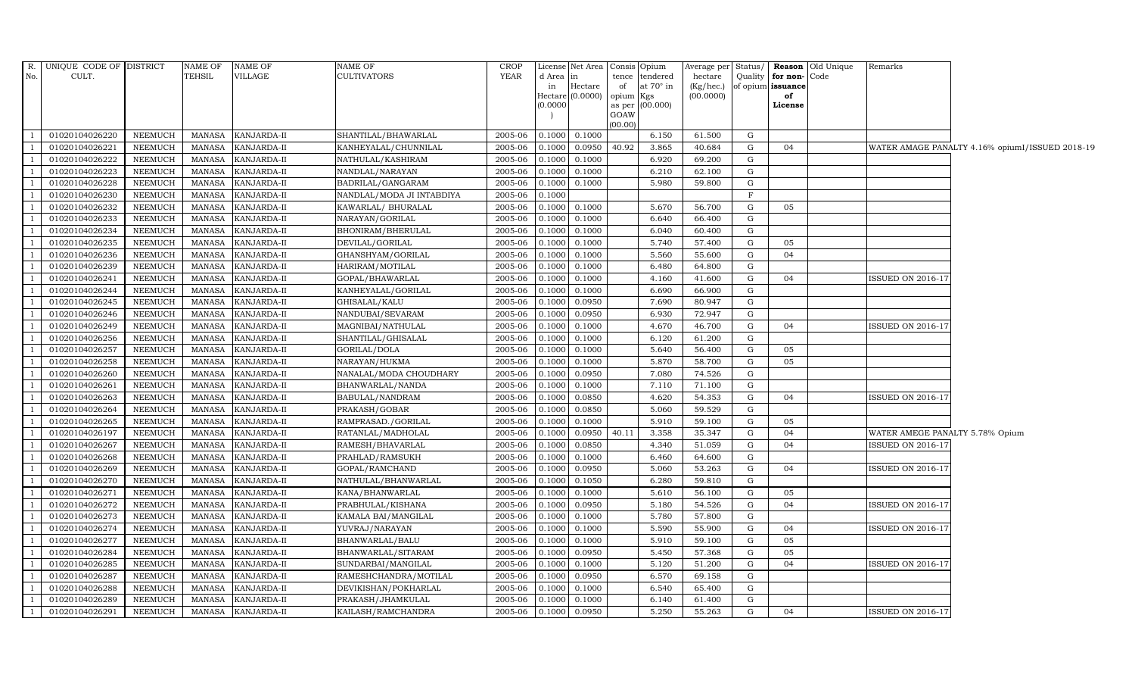|                | R. UNIQUE CODE OF DISTRICT |                 | NAME OF       | <b>NAME OF</b>     | NAME OF                   | <b>CROP</b> |                     | License Net Area Consis Opium |           |                   |           |         |                   | Average per Status/ <b>Reason</b> Old Unique | Remarks                         |                                                 |
|----------------|----------------------------|-----------------|---------------|--------------------|---------------------------|-------------|---------------------|-------------------------------|-----------|-------------------|-----------|---------|-------------------|----------------------------------------------|---------------------------------|-------------------------------------------------|
| No.            | CULT.                      |                 | <b>TEHSIL</b> | <b>VILLAGE</b>     | <b>CULTIVATORS</b>        | YEAR        | d Area              | in                            |           | tence tendered    | hectare   | Quality | for non-Code      |                                              |                                 |                                                 |
|                |                            |                 |               |                    |                           |             | in                  | Hectare                       | of        | at $70^\circ$ in  | (Kg/hec.) |         | of opium issuance |                                              |                                 |                                                 |
|                |                            |                 |               |                    |                           |             | Hectare<br>(0.0000) | (0.0000)                      | opium Kgs | as per $(00.000)$ | (00.0000) |         | of<br>License     |                                              |                                 |                                                 |
|                |                            |                 |               |                    |                           |             |                     |                               | GOAW      |                   |           |         |                   |                                              |                                 |                                                 |
|                |                            |                 |               |                    |                           |             |                     |                               | (00.00)   |                   |           |         |                   |                                              |                                 |                                                 |
| $\mathbf{1}$   | 01020104026220             | <b>NEEMUCH</b>  | MANASA        | KANJARDA-II        | SHANTILAL/BHAWARLAL       | 2005-06     | 0.1000              | 0.1000                        |           | 6.150             | 61.500    | G       |                   |                                              |                                 |                                                 |
| $\mathbf{1}$   | 01020104026221             | <b>NEEMUCH</b>  | <b>MANASA</b> | KANJARDA-II        | KANHEYALAL/CHUNNILAL      | 2005-06     | 0.1000              | 0.0950                        | 40.92     | 3.865             | 40.684    | G       | 04                |                                              |                                 | WATER AMAGE PANALTY 4.16% opiumI/ISSUED 2018-19 |
| $\overline{1}$ | 01020104026222             | <b>NEEMUCH</b>  | <b>MANASA</b> | KANJARDA-II        | NATHULAL/KASHIRAM         | 2005-06     | 0.1000              | 0.1000                        |           | 6.920             | 69.200    | G       |                   |                                              |                                 |                                                 |
| $\mathbf{1}$   | 01020104026223             | <b>NEEMUCH</b>  | <b>MANASA</b> | KANJARDA-II        | NANDLAL/NARAYAN           | 2005-06     | 0.1000              | 0.1000                        |           | 6.210             | 62.100    | G       |                   |                                              |                                 |                                                 |
| $\mathbf{1}$   | 01020104026228             | <b>NEEMUCH</b>  | MANASA        | KANJARDA-II        | BADRILAL/GANGARAM         | 2005-06     | 0.1000              | 0.1000                        |           | 5.980             | 59.800    | G       |                   |                                              |                                 |                                                 |
| $\mathbf{1}$   | 01020104026230             | <b>NEEMUCH</b>  | <b>MANASA</b> | KANJARDA-II        | NANDLAL/MODA JI INTABDIYA | 2005-06     | 0.1000              |                               |           |                   |           | F       |                   |                                              |                                 |                                                 |
| $\mathbf{1}$   | 01020104026232             | NEEMUCH         | <b>MANASA</b> | KANJARDA-II        | KAWARLAL/ BHURALAL        | 2005-06     | 0.1000              | 0.1000                        |           | 5.670             | 56.700    | G       | 05                |                                              |                                 |                                                 |
| $\mathbf{1}$   | 01020104026233             | <b>NEEMUCH</b>  | <b>MANASA</b> | KANJARDA-II        | NARAYAN/GORILAL           | 2005-06     | 0.1000              | 0.1000                        |           | 6.640             | 66.400    | G       |                   |                                              |                                 |                                                 |
| $\mathbf{1}$   | 01020104026234             | <b>NEEMUCH</b>  | <b>MANASA</b> | KANJARDA-II        | BHONIRAM/BHERULAL         | 2005-06     | 0.1000              | 0.1000                        |           | 6.040             | 60.400    | G       |                   |                                              |                                 |                                                 |
| $\mathbf{1}$   | 01020104026235             | <b>NEEMUCH</b>  | <b>MANASA</b> | KANJARDA-II        | DEVILAL/GORILAL           | 2005-06     | 0.1000              | 0.1000                        |           | 5.740             | 57.400    | G       | 05                |                                              |                                 |                                                 |
| $\mathbf{1}$   | 01020104026236             | <b>NEEMUCH</b>  | <b>MANASA</b> | KANJARDA-II        | GHANSHYAM/GORILAL         | 2005-06     | 0.1000              | 0.1000                        |           | 5.560             | 55.600    | G       | 04                |                                              |                                 |                                                 |
| $\mathbf{1}$   | 01020104026239             | <b>NEEMUCH</b>  | <b>MANASA</b> | KANJARDA-II        | HARIRAM/MOTILAL           | 2005-06     | 0.1000              | 0.1000                        |           | 6.480             | 64.800    | G       |                   |                                              |                                 |                                                 |
| $\mathbf{1}$   | 01020104026241             | <b>NEEMUCH</b>  | <b>MANASA</b> | KANJARDA-II        | GOPAL/BHAWARLAL           | 2005-06     | 0.1000              | 0.1000                        |           | 4.160             | 41.600    | G       | 04                |                                              | ISSUED ON 2016-17               |                                                 |
| $\mathbf{1}$   | 01020104026244             | <b>NEEMUCH</b>  | <b>MANASA</b> | KANJARDA-II        | KANHEYALAL/GORILAL        | 2005-06     | 0.1000              | 0.1000                        |           | 6.690             | 66.900    | G       |                   |                                              |                                 |                                                 |
| $\overline{1}$ | 01020104026245             | <b>NEEMUCH</b>  | <b>MANASA</b> | KANJARDA-II        | GHISALAL/KALU             | 2005-06     | 0.1000              | 0.0950                        |           | 7.690             | 80.947    | G       |                   |                                              |                                 |                                                 |
| $\mathbf{1}$   | 01020104026246             | NEEMUCH         | <b>MANASA</b> | KANJARDA-II        | NANDUBAI/SEVARAM          | 2005-06     | 0.1000              | 0.0950                        |           | 6.930             | 72.947    | G       |                   |                                              |                                 |                                                 |
| 1              | 01020104026249             | NEEMUCH         | <b>MANASA</b> | KANJARDA-II        | MAGNIBAI/NATHULAL         | 2005-06     | 0.1000              | 0.1000                        |           | 4.670             | 46.700    | G       | 04                |                                              | <b>ISSUED ON 2016-17</b>        |                                                 |
| $\mathbf{1}$   | 01020104026256             | <b>NEEMUCH</b>  | <b>MANASA</b> | KANJARDA-II        | SHANTILAL/GHISALAL        | 2005-06     | 0.1000              | 0.1000                        |           | 6.120             | 61.200    | G       |                   |                                              |                                 |                                                 |
| $\overline{1}$ | 01020104026257             | <b>NEEMUCH</b>  | <b>MANASA</b> | KANJARDA-II        | GORILAL/DOLA              | 2005-06     | 0.1000              | 0.1000                        |           | 5.640             | 56.400    | G       | 05                |                                              |                                 |                                                 |
| $\mathbf{1}$   | 01020104026258             | <b>NEEMUCH</b>  | <b>MANASA</b> | KANJARDA-II        | NARAYAN/HUKMA             | 2005-06     | 0.1000              | 0.1000                        |           | 5.870             | 58.700    | G       | 05                |                                              |                                 |                                                 |
| $\mathbf{1}$   | 01020104026260             | <b>NEEMUCH</b>  | <b>MANASA</b> | KANJARDA-II        | NANALAL/MODA CHOUDHARY    | 2005-06     | 0.1000              | 0.0950                        |           | 7.080             | 74.526    | G       |                   |                                              |                                 |                                                 |
| $\mathbf{1}$   | 01020104026261             | <b>NEEMUCH</b>  | <b>MANASA</b> | KANJARDA-II        | BHANWARLAL/NANDA          | 2005-06     | 0.1000              | 0.1000                        |           | 7.110             | 71.100    | G       |                   |                                              |                                 |                                                 |
| <sup>1</sup>   | 01020104026263             | NEEMUCH         | <b>MANASA</b> | KANJARDA-II        | BABULAL/NANDRAM           | 2005-06     | 0.1000              | 0.0850                        |           | 4.620             | 54.353    | G       | 04                |                                              | <b>ISSUED ON 2016-17</b>        |                                                 |
| $\mathbf{1}$   | 01020104026264             | <b>NEEMUCH</b>  | <b>MANASA</b> | KANJARDA-II        | PRAKASH/GOBAR             | 2005-06     | 0.1000              | 0.0850                        |           | 5.060             | 59.529    | G       |                   |                                              |                                 |                                                 |
| $\overline{1}$ | 01020104026265             | <b>NEEMUCH</b>  | <b>MANASA</b> | KANJARDA-II        | RAMPRASAD./GORILAL        | 2005-06     | 0.1000              | 0.1000                        |           | 5.910             | 59.100    | G       | 05                |                                              |                                 |                                                 |
| $\mathbf{1}$   | 01020104026197             | NEEMUCH         | <b>MANASA</b> | KANJARDA-II        | RATANLAL/MADHOLAL         | 2005-06     | 0.1000              | 0.0950                        | 40.11     | 3.358             | 35.347    | G       | 04                |                                              | WATER AMEGE PANALTY 5.78% Opium |                                                 |
| $\mathbf{1}$   | 01020104026267             | <b>NEEMUCH</b>  | <b>MANASA</b> | KANJARDA-II        | RAMESH/BHAVARLAL          | 2005-06     | 0.1000              | 0.0850                        |           | 4.340             | 51.059    | G       | 04                |                                              | ISSUED ON 2016-17               |                                                 |
| $\mathbf{1}$   | 01020104026268             | NEEMUCH         | <b>MANASA</b> | KANJARDA-II        | PRAHLAD/RAMSUKH           | 2005-06     | 0.1000              | 0.1000                        |           | 6.460             | 64.600    | G       |                   |                                              |                                 |                                                 |
| $\mathbf{1}$   | 01020104026269             | NEEMUCH         | <b>MANASA</b> | KANJARDA-II        | GOPAL/RAMCHAND            | 2005-06     | 0.1000              | 0.0950                        |           | 5.060             | 53.263    | G       | 04                |                                              | <b>ISSUED ON 2016-17</b>        |                                                 |
| $\mathbf{1}$   | 01020104026270             | <b>NEEMUCH</b>  | <b>MANASA</b> | KANJARDA-II        | NATHULAL/BHANWARLAL       | 2005-06     | 0.1000              | 0.1050                        |           | 6.280             | 59.810    | G       |                   |                                              |                                 |                                                 |
| $\mathbf{1}$   | 01020104026271             | NEEMUCH         | <b>MANASA</b> | KANJARDA-II        | KANA/BHANWARLAL           | 2005-06     | 0.1000              | 0.1000                        |           | 5.610             | 56.100    | G       | 05                |                                              |                                 |                                                 |
| $\overline{1}$ | 01020104026272             | <b>NEEMUCH</b>  | <b>MANASA</b> | KANJARDA-II        | PRABHULAL/KISHANA         | $2005 - 06$ | 0.1000              | 0.0950                        |           | 5.180             | 54.526    | G       | 04                |                                              | ISSUED ON 2016-17               |                                                 |
| $\mathbf{1}$   | 01020104026273             | NEEMUCH         | <b>MANASA</b> | KANJARDA-II        | KAMALA BAI/MANGILAL       | 2005-06     | 0.1000              | 0.1000                        |           | 5.780             | 57.800    | G       |                   |                                              |                                 |                                                 |
| $\mathbf{1}$   | 01020104026274             | <b>NEEMUCH</b>  | <b>MANASA</b> | KANJARDA-II        | YUVRAJ/NARAYAN            | 2005-06     | 0.1000              | 0.1000                        |           | 5.590             | 55.900    | G       | 04                |                                              | ISSUED ON 2016-17               |                                                 |
| $\mathbf{1}$   | 01020104026277             | <b>NEEMUCH</b>  | <b>MANASA</b> | KANJARDA-II        | BHANWARLAL/BALU           | 2005-06     | 0.1000              | 0.1000                        |           | 5.910             | 59.100    | G       | 05                |                                              |                                 |                                                 |
| $\mathbf{1}$   | 01020104026284             | <b>NEEMUCH</b>  | <b>MANASA</b> | KANJARDA-II        | BHANWARLAL/SITARAM        | 2005-06     | 0.1000              | 0.0950                        |           | 5.450             | 57.368    | G       | 05                |                                              |                                 |                                                 |
| $\mathbf{1}$   | 01020104026285             | <b>NEEMUCH</b>  | <b>MANASA</b> | KANJARDA-II        | SUNDARBAI/MANGILAL        | 2005-06     | 0.1000              | 0.1000                        |           | 5.120             | 51.200    | G       | 04                |                                              | ISSUED ON 2016-17               |                                                 |
| $\mathbf{1}$   | 01020104026287             | <b>NEEMUCH</b>  | <b>MANASA</b> | KANJARDA-II        | RAMESHCHANDRA/MOTILAL     | 2005-06     | 0.1000              | 0.0950                        |           | 6.570             | 69.158    | G       |                   |                                              |                                 |                                                 |
| $\mathbf{1}$   | 01020104026288             | <b>NEEMUCH</b>  | <b>MANASA</b> | KANJARDA-II        | DEVIKISHAN/POKHARLAL      | 2005-06     | 0.1000              | 0.1000                        |           | 6.540             | 65.400    | G       |                   |                                              |                                 |                                                 |
| $\mathbf{1}$   | 01020104026289             | NEEMUCH         | <b>MANASA</b> | KANJARDA-II        | PRAKASH/JHAMKULAL         | 2005-06     | 0.1000              | 0.1000                        |           | 6.140             | 61.400    | G       |                   |                                              |                                 |                                                 |
| $\mathbf{1}$   | 01020104026291             | ${\tt NEEMUCH}$ | MANASA        | <b>KANJARDA-II</b> | KAILASH/RAMCHANDRA        | 2005-06     | 0.1000              | 0.0950                        |           | 5.250             | 55.263    | G       | 04                |                                              | <b>ISSUED ON 2016-17</b>        |                                                 |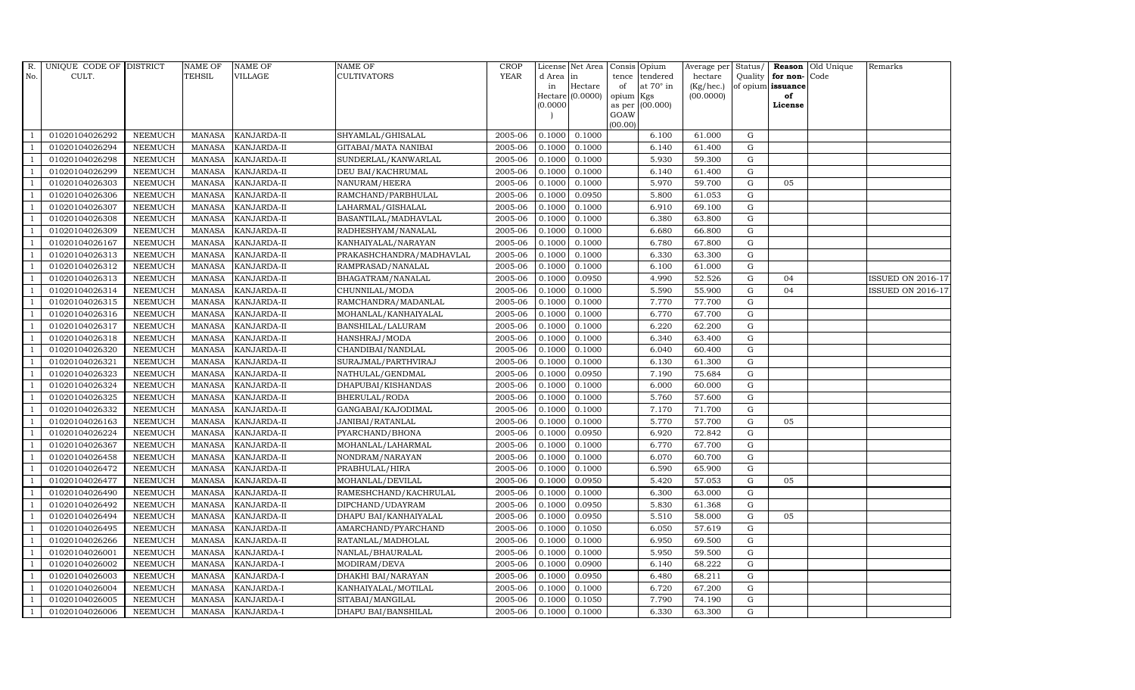| R.             | UNIQUE CODE OF DISTRICT |                | <b>NAME OF</b> | <b>NAME OF</b>     | <b>NAME OF</b>           | CROP        |           | License Net Area   Consis   Opium |           |                  | Average per Status/ |             |                   | <b>Reason</b> Old Unique | Remarks                  |
|----------------|-------------------------|----------------|----------------|--------------------|--------------------------|-------------|-----------|-----------------------------------|-----------|------------------|---------------------|-------------|-------------------|--------------------------|--------------------------|
| No.            | CULT.                   |                | <b>TEHSIL</b>  | <b>VILLAGE</b>     | <b>CULTIVATORS</b>       | <b>YEAR</b> | d Area in |                                   |           | tence tendered   | hectare             | Quality     | for non-          | Code                     |                          |
|                |                         |                |                |                    |                          |             | in        | Hectare                           | of        | at $70^\circ$ in | (Kg/hec.)           |             | of opium issuance |                          |                          |
|                |                         |                |                |                    |                          |             |           | Hectare (0.0000)                  | opium Kgs |                  | (00.0000)           |             | of                |                          |                          |
|                |                         |                |                |                    |                          |             | (0.0000)  |                                   | GOAW      | as per (00.000)  |                     |             | License           |                          |                          |
|                |                         |                |                |                    |                          |             |           |                                   | (00.00)   |                  |                     |             |                   |                          |                          |
|                | 01020104026292          | <b>NEEMUCH</b> | MANASA         | <b>KANJARDA-II</b> | SHYAMLAL/GHISALAL        | 2005-06     | 0.1000    | 0.1000                            |           | 6.100            | 61.000              | G           |                   |                          |                          |
| -1             | 01020104026294          | <b>NEEMUCH</b> | MANASA         | <b>KANJARDA-II</b> | GITABAI/MATA NANIBAI     | 2005-06     | 0.1000    | 0.1000                            |           | 6.140            | 61.400              | $\mathbf G$ |                   |                          |                          |
|                | 01020104026298          | <b>NEEMUCH</b> | <b>MANASA</b>  | KANJARDA-II        | SUNDERLAL/KANWARLAL      | 2005-06     | 0.1000    | 0.1000                            |           | 5.930            | 59.300              | G           |                   |                          |                          |
|                | 01020104026299          | <b>NEEMUCH</b> | MANASA         | KANJARDA-II        | DEU BAI/KACHRUMAL        | 2005-06     | 0.1000    | 0.1000                            |           | 6.140            | 61.400              | $\mathbf G$ |                   |                          |                          |
| $\overline{1}$ | 01020104026303          | <b>NEEMUCH</b> | <b>MANASA</b>  | KANJARDA-II        | NANURAM/HEERA            | 2005-06     | 0.1000    | 0.1000                            |           | 5.970            | 59.700              | ${\rm G}$   | 05                |                          |                          |
| $\overline{1}$ | 01020104026306          | <b>NEEMUCH</b> | <b>MANASA</b>  | KANJARDA-II        | RAMCHAND/PARBHULAL       | 2005-06     | 0.1000    | 0.0950                            |           | 5.800            | 61.053              | $\mathbf G$ |                   |                          |                          |
| $\overline{1}$ | 01020104026307          | <b>NEEMUCH</b> | <b>MANASA</b>  | KANJARDA-II        | LAHARMAL/GISHALAL        | 2005-06     | 0.1000    | 0.1000                            |           | 6.910            | 69.100              | $\mathbf G$ |                   |                          |                          |
| $\overline{1}$ | 01020104026308          | <b>NEEMUCH</b> | <b>MANASA</b>  | KANJARDA-II        | BASANTILAL/MADHAVLAL     | 2005-06     | 0.1000    | 0.1000                            |           | 6.380            | 63.800              | $\mathbf G$ |                   |                          |                          |
|                | 01020104026309          | <b>NEEMUCH</b> | <b>MANASA</b>  | KANJARDA-II        | RADHESHYAM/NANALAL       | 2005-06     | 0.1000    | 0.1000                            |           | 6.680            | 66.800              | $\mathbf G$ |                   |                          |                          |
|                | 01020104026167          | <b>NEEMUCH</b> | <b>MANASA</b>  | KANJARDA-II        | KANHAIYALAL/NARAYAN      | 2005-06     | 0.1000    | 0.1000                            |           | 6.780            | 67.800              | ${\rm G}$   |                   |                          |                          |
| $\overline{1}$ | 01020104026313          | <b>NEEMUCH</b> | <b>MANASA</b>  | KANJARDA-II        | PRAKASHCHANDRA/MADHAVLAL | 2005-06     | 0.1000    | 0.1000                            |           | 6.330            | 63.300              | ${\rm G}$   |                   |                          |                          |
| $\overline{1}$ | 01020104026312          | <b>NEEMUCH</b> | MANASA         | <b>KANJARDA-II</b> | RAMPRASAD/NANALAL        | 2005-06     | 0.1000    | 0.1000                            |           | 6.100            | 61.000              | ${\rm G}$   |                   |                          |                          |
| $\overline{1}$ | 01020104026313          | <b>NEEMUCH</b> | <b>MANASA</b>  | KANJARDA-II        | BHAGATRAM/NANALAL        | 2005-06     | 0.1000    | 0.0950                            |           | 4.990            | 52.526              | $\mathbf G$ | 04                |                          | <b>ISSUED ON 2016-17</b> |
|                | 01020104026314          | <b>NEEMUCH</b> | <b>MANASA</b>  | KANJARDA-II        | CHUNNILAL/MODA           | 2005-06     | 0.1000    | 0.1000                            |           | 5.590            | 55.900              | G           | 04                |                          | <b>ISSUED ON 2016-17</b> |
| $\overline{1}$ | 01020104026315          | <b>NEEMUCH</b> | <b>MANASA</b>  | KANJARDA-II        | RAMCHANDRA/MADANLAL      | 2005-06     | 0.1000    | 0.1000                            |           | 7.770            | 77.700              | G           |                   |                          |                          |
| $\overline{1}$ | 01020104026316          | <b>NEEMUCH</b> | <b>MANASA</b>  | KANJARDA-II        | MOHANLAL/KANHAIYALAL     | 2005-06     | 0.1000    | 0.1000                            |           | 6.770            | 67.700              | ${\rm G}$   |                   |                          |                          |
|                | 01020104026317          | <b>NEEMUCH</b> | MANASA         | KANJARDA-II        | BANSHILAL/LALURAM        | 2005-06     | 0.1000    | 0.1000                            |           | 6.220            | 62.200              | ${\rm G}$   |                   |                          |                          |
| $\overline{1}$ | 01020104026318          | <b>NEEMUCH</b> | MANASA         | <b>KANJARDA-II</b> | HANSHRAJ/MODA            | 2005-06     | 0.1000    | 0.1000                            |           | 6.340            | 63.400              | G           |                   |                          |                          |
|                | 01020104026320          | <b>NEEMUCH</b> | <b>MANASA</b>  | KANJARDA-II        | CHANDIBAI/NANDLAL        | 2005-06     | 0.1000    | 0.1000                            |           | 6.040            | 60.400              | $\mathbf G$ |                   |                          |                          |
|                | 01020104026321          | <b>NEEMUCH</b> | <b>MANASA</b>  | KANJARDA-II        | SURAJMAL/PARTHVIRAJ      | 2005-06     | 0.1000    | 0.1000                            |           | 6.130            | 61.300              | $\mathbf G$ |                   |                          |                          |
| -1             | 01020104026323          | <b>NEEMUCH</b> | <b>MANASA</b>  | KANJARDA-II        | NATHULAL/GENDMAL         | 2005-06     | 0.1000    | 0.0950                            |           | 7.190            | 75.684              | ${\rm G}$   |                   |                          |                          |
|                | 01020104026324          | NEEMUCH        | <b>MANASA</b>  | KANJARDA-II        | DHAPUBAI/KISHANDAS       | 2005-06     | 0.1000    | 0.1000                            |           | 6.000            | 60.000              | ${\rm G}$   |                   |                          |                          |
| $\overline{1}$ | 01020104026325          | <b>NEEMUCH</b> | MANASA         | <b>KANJARDA-II</b> | BHERULAL/RODA            | 2005-06     | 0.1000    | 0.1000                            |           | 5.760            | 57.600              | G           |                   |                          |                          |
|                | 01020104026332          | <b>NEEMUCH</b> | <b>MANASA</b>  | KANJARDA-II        | GANGABAI/KAJODIMAL       | 2005-06     | 0.1000    | 0.1000                            |           | 7.170            | 71.700              | $\mathbf G$ |                   |                          |                          |
|                | 01020104026163          | <b>NEEMUCH</b> | <b>MANASA</b>  | KANJARDA-II        | JANIBAI/RATANLAL         | 2005-06     | 0.1000    | 0.1000                            |           | 5.770            | 57.700              | $\mathbf G$ | 05                |                          |                          |
| - 1            | 01020104026224          | <b>NEEMUCH</b> | <b>MANASA</b>  | KANJARDA-II        | PYARCHAND/BHONA          | 2005-06     | 0.1000    | 0.0950                            |           | 6.920            | 72.842              | G           |                   |                          |                          |
| $\overline{1}$ | 01020104026367          | <b>NEEMUCH</b> | <b>MANASA</b>  | KANJARDA-II        | MOHANLAL/LAHARMAL        | 2005-06     | 0.1000    | 0.1000                            |           | 6.770            | 67.700              | ${\rm G}$   |                   |                          |                          |
| $\overline{1}$ | 01020104026458          | <b>NEEMUCH</b> | MANASA         | KANJARDA-II        | NONDRAM/NARAYAN          | 2005-06     | 0.1000    | 0.1000                            |           | 6.070            | 60.700              | G           |                   |                          |                          |
| $\overline{1}$ | 01020104026472          | <b>NEEMUCH</b> | <b>MANASA</b>  | KANJARDA-II        | PRABHULAL/HIRA           | 2005-06     | 0.1000    | 0.1000                            |           | 6.590            | 65.900              | $\mathbf G$ |                   |                          |                          |
|                | 01020104026477          | <b>NEEMUCH</b> | <b>MANASA</b>  | KANJARDA-II        | MOHANLAL/DEVILAL         | 2005-06     | 0.1000    | 0.0950                            |           | 5.420            | 57.053              | $\mathbf G$ | 05                |                          |                          |
| $\Box$         | 01020104026490          | <b>NEEMUCH</b> | <b>MANASA</b>  | KANJARDA-II        | RAMESHCHAND/KACHRULAL    | 2005-06     | 0.1000    | 0.1000                            |           | 6.300            | 63.000              | G           |                   |                          |                          |
|                | 01020104026492          | <b>NEEMUCH</b> | <b>MANASA</b>  | KANJARDA-II        | DIPCHAND/UDAYRAM         | 2005-06     | 0.1000    | 0.0950                            |           | 5.830            | 61.368              | ${\rm G}$   |                   |                          |                          |
| $\overline{1}$ | 01020104026494          | <b>NEEMUCH</b> | MANASA         | KANJARDA-II        | DHAPU BAI/KANHAIYALAL    | 2005-06     | 0.1000    | 0.0950                            |           | 5.510            | 58.000              | $\mathbf G$ | 05                |                          |                          |
| $\overline{1}$ | 01020104026495          | <b>NEEMUCH</b> | <b>MANASA</b>  | KANJARDA-II        | AMARCHAND/PYARCHAND      | 2005-06     | 0.1000    | 0.1050                            |           | 6.050            | 57.619              | $\mathbf G$ |                   |                          |                          |
|                | 01020104026266          | <b>NEEMUCH</b> | <b>MANASA</b>  | KANJARDA-II        | RATANLAL/MADHOLAL        | 2005-06     | 0.1000    | 0.1000                            |           | 6.950            | 69.500              | $\mathbf G$ |                   |                          |                          |
| $\overline{1}$ | 01020104026001          | <b>NEEMUCH</b> | <b>MANASA</b>  | KANJARDA-I         | NANLAL/BHAURALAL         | 2005-06     | 0.1000    | 0.1000                            |           | 5.950            | 59.500              | ${\rm G}$   |                   |                          |                          |
| $\overline{1}$ | 01020104026002          | <b>NEEMUCH</b> | <b>MANASA</b>  | KANJARDA-I         | MODIRAM/DEVA             | 2005-06     | 0.1000    | 0.0900                            |           | 6.140            | 68.222              | ${\rm G}$   |                   |                          |                          |
| $\overline{1}$ | 01020104026003          | <b>NEEMUCH</b> | <b>MANASA</b>  | KANJARDA-I         | DHAKHI BAI/NARAYAN       | 2005-06     | 0.1000    | 0.0950                            |           | 6.480            | 68.211              | $\mathbf G$ |                   |                          |                          |
| $\overline{1}$ | 01020104026004          | <b>NEEMUCH</b> | <b>MANASA</b>  | KANJARDA-I         | KANHAIYALAL/MOTILAL      | 2005-06     | 0.1000    | 0.1000                            |           | 6.720            | 67.200              | $\mathbf G$ |                   |                          |                          |
|                | 01020104026005          | <b>NEEMUCH</b> | <b>MANASA</b>  | KANJARDA-I         | SITABAI/MANGILAL         | 2005-06     | 0.1000    | 0.1050                            |           | 7.790            | 74.190              | $\mathbf G$ |                   |                          |                          |
| $\mathbf{1}$   | 01020104026006          | <b>NEEMUCH</b> |                | MANASA KANJARDA-I  | DHAPU BAI/BANSHILAL      | 2005-06     | 0.1000    | 0.1000                            |           | 6.330            | 63.300              | G           |                   |                          |                          |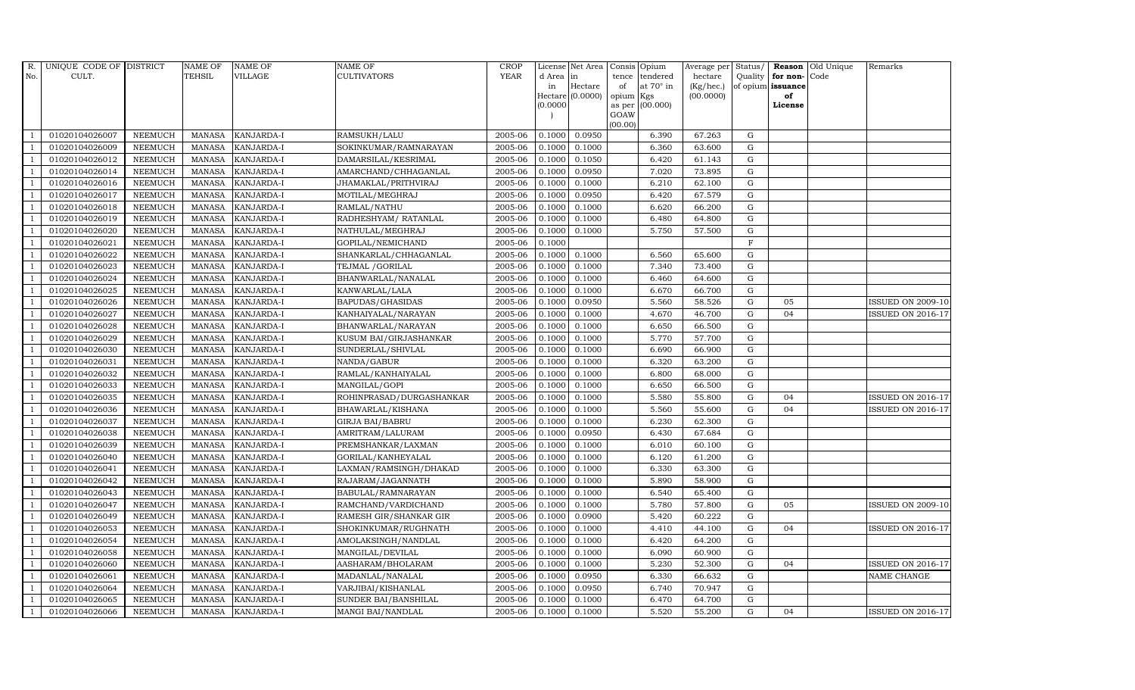| R.             | UNIQUE CODE OF DISTRICT |                | <b>NAME OF</b> | <b>NAME OF</b>    | <b>NAME OF</b>           | CROP        |           | License Net Area |                     | Consis Opium     | Average per     | Status/     | Reason            | Old Unique | Remarks                  |
|----------------|-------------------------|----------------|----------------|-------------------|--------------------------|-------------|-----------|------------------|---------------------|------------------|-----------------|-------------|-------------------|------------|--------------------------|
| No.            | CULT.                   |                | TEHSIL         | <b>VILLAGE</b>    | <b>CULTIVATORS</b>       | <b>YEAR</b> | d Area in |                  | tence               | tendered         | hectare         | Quality     | for non-          | Code       |                          |
|                |                         |                |                |                   |                          |             | in        | Hectare          | of                  | at $70^\circ$ in | $(Kg/$ hec. $)$ |             | of opium issuance |            |                          |
|                |                         |                |                |                   |                          |             | (0.0000)  | Hectare (0.0000) | opium Kgs<br>as per | (00.000)         | (00.0000)       |             | of<br>License     |            |                          |
|                |                         |                |                |                   |                          |             |           |                  | GOAW                |                  |                 |             |                   |            |                          |
|                |                         |                |                |                   |                          |             |           |                  | (00.00)             |                  |                 |             |                   |            |                          |
|                | 01020104026007          | <b>NEEMUCH</b> | <b>MANASA</b>  | KANJARDA-I        | RAMSUKH/LALU             | 2005-06     | 0.1000    | 0.0950           |                     | 6.390            | 67.263          | G           |                   |            |                          |
|                | 01020104026009          | <b>NEEMUCH</b> | <b>MANASA</b>  | KANJARDA-I        | SOKINKUMAR/RAMNARAYAN    | 2005-06     | 0.1000    | 0.1000           |                     | 6.360            | 63.600          | ${\rm G}$   |                   |            |                          |
| $\overline{1}$ | 01020104026012          | <b>NEEMUCH</b> | <b>MANASA</b>  | KANJARDA-I        | DAMARSILAL/KESRIMAL      | 2005-06     | 0.1000    | 0.1050           |                     | 6.420            | 61.143          | G           |                   |            |                          |
|                | 01020104026014          | <b>NEEMUCH</b> | <b>MANASA</b>  | <b>KANJARDA-I</b> | AMARCHAND/CHHAGANLAL     | 2005-06     | 0.1000    | 0.0950           |                     | 7.020            | 73.895          | $\mathbf G$ |                   |            |                          |
| $\overline{1}$ | 01020104026016          | <b>NEEMUCH</b> | <b>MANASA</b>  | KANJARDA-I        | JHAMAKLAL/PRITHVIRAJ     | 2005-06     | 0.1000    | 0.1000           |                     | 6.210            | 62.100          | ${\rm G}$   |                   |            |                          |
| $\overline{1}$ | 01020104026017          | <b>NEEMUCH</b> | <b>MANASA</b>  | KANJARDA-I        | MOTILAL/MEGHRAJ          | 2005-06     | 0.1000    | 0.0950           |                     | 6.420            | 67.579          | ${\rm G}$   |                   |            |                          |
| $\overline{1}$ | 01020104026018          | <b>NEEMUCH</b> | MANASA         | KANJARDA-I        | RAMLAL/NATHU             | 2005-06     | 0.1000    | 0.1000           |                     | 6.620            | 66.200          | $\mathbf G$ |                   |            |                          |
| $\overline{1}$ | 01020104026019          | <b>NEEMUCH</b> | MANASA         | KANJARDA-I        | RADHESHYAM/ RATANLAL     | 2005-06     | 0.1000    | 0.1000           |                     | 6.480            | 64.800          | G           |                   |            |                          |
|                | 01020104026020          | <b>NEEMUCH</b> | <b>MANASA</b>  | KANJARDA-I        | NATHULAL/MEGHRAJ         | 2005-06     | 0.1000    | 0.1000           |                     | 5.750            | 57.500          | $\mathbf G$ |                   |            |                          |
|                | 01020104026021          | NEEMUCH        | <b>MANASA</b>  | KANJARDA-I        | GOPILAL/NEMICHAND        | 2005-06     | 0.1000    |                  |                     |                  |                 | $\mathbf F$ |                   |            |                          |
| -1             | 01020104026022          | <b>NEEMUCH</b> | <b>MANASA</b>  | KANJARDA-I        | SHANKARLAL/CHHAGANLAL    | 2005-06     | 0.1000    | 0.1000           |                     | 6.560            | 65.600          | G           |                   |            |                          |
|                | 01020104026023          | <b>NEEMUCH</b> | <b>MANASA</b>  | KANJARDA-I        | TEJMAL / GORILAL         | 2005-06     | 0.1000    | 0.1000           |                     | 7.340            | 73.400          | ${\bf G}$   |                   |            |                          |
| $\overline{1}$ | 01020104026024          | <b>NEEMUCH</b> | MANASA         | KANJARDA-I        | BHANWARLAL/NANALAL       | 2005-06     | 0.1000    | 0.1000           |                     | 6.460            | 64.600          | G           |                   |            |                          |
|                | 01020104026025          | <b>NEEMUCH</b> | <b>MANASA</b>  | KANJARDA-I        | KANWARLAL/LALA           | 2005-06     | 0.1000    | 0.1000           |                     | 6.670            | 66.700          | $\mathbf G$ |                   |            |                          |
|                | 01020104026026          | NEEMUCH        | <b>MANASA</b>  | KANJARDA-I        | BAPUDAS/GHASIDAS         | 2005-06     | 0.1000    | 0.0950           |                     | 5.560            | 58.526          | $\mathbf G$ | 05                |            | <b>ISSUED ON 2009-10</b> |
| $\overline{1}$ | 01020104026027          | <b>NEEMUCH</b> | <b>MANASA</b>  | KANJARDA-I        | KANHAIYALAL/NARAYAN      | 2005-06     | 0.1000    | 0.1000           |                     | 4.670            | 46.700          | $\mathbf G$ | 0 <sub>4</sub>    |            | <b>ISSUED ON 2016-17</b> |
| -1             | 01020104026028          | <b>NEEMUCH</b> | <b>MANASA</b>  | KANJARDA-I        | BHANWARLAL/NARAYAN       | 2005-06     | 0.1000    | 0.1000           |                     | 6.650            | 66.500          | ${\rm G}$   |                   |            |                          |
| $\overline{1}$ | 01020104026029          | <b>NEEMUCH</b> | MANASA         | KANJARDA-I        | KUSUM BAI/GIRJASHANKAR   | 2005-06     | 0.1000    | 0.1000           |                     | 5.770            | 57.700          | G           |                   |            |                          |
|                | 01020104026030          | <b>NEEMUCH</b> | <b>MANASA</b>  | <b>KANJARDA-I</b> | SUNDERLAL/SHIVLAL        | 2005-06     | 0.1000    | 0.1000           |                     | 6.690            | 66.900          | $\mathbf G$ |                   |            |                          |
|                | 01020104026031          | NEEMUCH        | <b>MANASA</b>  | KANJARDA-I        | NANDA/GABUR              | 2005-06     | 0.1000    | 0.1000           |                     | 6.320            | 63.200          | $\mathbf G$ |                   |            |                          |
| $\overline{1}$ | 01020104026032          | <b>NEEMUCH</b> | <b>MANASA</b>  | KANJARDA-I        | RAMLAL/KANHAIYALAL       | 2005-06     | 0.1000    | 0.1000           |                     | 6.800            | 68.000          | ${\rm G}$   |                   |            |                          |
|                | 01020104026033          | <b>NEEMUCH</b> | <b>MANASA</b>  | KANJARDA-I        | MANGILAL/GOPI            | 2005-06     | 0.1000    | 0.1000           |                     | 6.650            | 66.500          | ${\rm G}$   |                   |            |                          |
| $\overline{1}$ | 01020104026035          | <b>NEEMUCH</b> | MANASA         | KANJARDA-I        | ROHINPRASAD/DURGASHANKAR | 2005-06     | 0.1000    | 0.1000           |                     | 5.580            | 55.800          | $\mathbf G$ | 04                |            | <b>ISSUED ON 2016-17</b> |
|                | 01020104026036          | <b>NEEMUCH</b> | <b>MANASA</b>  | KANJARDA-I        | BHAWARLAL/KISHANA        | 2005-06     | 0.1000    | 0.1000           |                     | 5.560            | 55.600          | $\mathbf G$ | 04                |            | <b>ISSUED ON 2016-17</b> |
|                | 01020104026037          | NEEMUCH        | <b>MANASA</b>  | KANJARDA-I        | <b>GIRJA BAI/BABRU</b>   | 2005-06     | 0.1000    | 0.1000           |                     | 6.230            | 62.300          | $\mathbf G$ |                   |            |                          |
| $\overline{1}$ | 01020104026038          | <b>NEEMUCH</b> | <b>MANASA</b>  | KANJARDA-I        | AMRITRAM/LALURAM         | 2005-06     | 0.1000    | 0.0950           |                     | 6.430            | 67.684          | $\mathbf G$ |                   |            |                          |
| -1             | 01020104026039          | <b>NEEMUCH</b> | <b>MANASA</b>  | KANJARDA-I        | PREMSHANKAR/LAXMAN       | 2005-06     | 0.1000    | 0.1000           |                     | 6.010            | 60.100          | ${\rm G}$   |                   |            |                          |
| $\overline{1}$ | 01020104026040          | NEEMUCH        | <b>MANASA</b>  | KANJARDA-I        | GORILAL/KANHEYALAL       | 2005-06     | 0.1000    | 0.1000           |                     | 6.120            | 61.200          | $\mathbf G$ |                   |            |                          |
|                | 01020104026041          | <b>NEEMUCH</b> | <b>MANASA</b>  | KANJARDA-I        | LAXMAN/RAMSINGH/DHAKAD   | 2005-06     | 0.1000    | 0.1000           |                     | 6.330            | 63.300          | $\mathbf G$ |                   |            |                          |
|                | 01020104026042          | <b>NEEMUCH</b> | <b>MANASA</b>  | KANJARDA-I        | RAJARAM/JAGANNATH        | 2005-06     | 0.1000    | 0.1000           |                     | 5.890            | 58.900          | $\mathbf G$ |                   |            |                          |
|                | 01020104026043          | <b>NEEMUCH</b> | MANASA         | KANJARDA-I        | BABULAL/RAMNARAYAN       | 2005-06     | 0.1000    | 0.1000           |                     | 6.540            | 65.400          | ${\rm G}$   |                   |            |                          |
|                | 01020104026047          | <b>NEEMUCH</b> | <b>MANASA</b>  | KANJARDA-I        | RAMCHAND/VARDICHAND      | 2005-06     | 0.1000    | 0.1000           |                     | 5.780            | 57.800          | ${\rm G}$   | 05                |            | <b>ISSUED ON 2009-10</b> |
| $\overline{1}$ | 01020104026049          | <b>NEEMUCH</b> | <b>MANASA</b>  | KANJARDA-I        | RAMESH GIR/SHANKAR GIR   | 2005-06     | 0.1000    | 0.0900           |                     | 5.420            | 60.222          | $\mathbf G$ |                   |            |                          |
| $\overline{1}$ | 01020104026053          | <b>NEEMUCH</b> | <b>MANASA</b>  | KANJARDA-I        | SHOKINKUMAR/RUGHNATH     | 2005-06     | 0.1000    | 0.1000           |                     | 4.410            | 44.100          | $\mathbf G$ | 04                |            | <b>ISSUED ON 2016-17</b> |
|                | 01020104026054          | <b>NEEMUCH</b> | <b>MANASA</b>  | KANJARDA-I        | AMOLAKSINGH/NANDLAL      | 2005-06     | 0.1000    | 0.1000           |                     | 6.420            | 64.200          | $\mathbf G$ |                   |            |                          |
| $\overline{1}$ | 01020104026058          | <b>NEEMUCH</b> | <b>MANASA</b>  | KANJARDA-I        | MANGILAL/DEVILAL         | 2005-06     | 0.1000    | 0.1000           |                     | 6.090            | 60.900          | $\mathbf G$ |                   |            |                          |
| $\overline{1}$ | 01020104026060          | <b>NEEMUCH</b> | <b>MANASA</b>  | KANJARDA-I        | AASHARAM/BHOLARAM        | 2005-06     | 0.1000    | 0.1000           |                     | 5.230            | 52.300          | ${\rm G}$   | 04                |            | <b>ISSUED ON 2016-17</b> |
| $\overline{1}$ | 01020104026061          | NEEMUCH        | <b>MANASA</b>  | KANJARDA-I        | MADANLAL/NANALAL         | 2005-06     | 0.1000    | 0.0950           |                     | 6.330            | 66.632          | $\mathbf G$ |                   |            | NAME CHANGE              |
| $\overline{1}$ | 01020104026064          | <b>NEEMUCH</b> | <b>MANASA</b>  | KANJARDA-I        | VARJIBAI/KISHANLAL       | 2005-06     | 0.1000    | 0.0950           |                     | 6.740            | 70.947          | $\mathbf G$ |                   |            |                          |
|                | 01020104026065          | <b>NEEMUCH</b> | <b>MANASA</b>  | KANJARDA-I        | SUNDER BAI/BANSHILAL     | 2005-06     | 0.1000    | 0.1000           |                     | 6.470            | 64.700          | $\mathbf G$ |                   |            |                          |
| $\mathbf{1}$   | 01020104026066          | <b>NEEMUCH</b> |                | MANASA KANJARDA-I | MANGI BAI/NANDLAL        | 2005-06     | 0.1000    | 0.1000           |                     | 5.520            | 55.200          | G           | 04                |            | <b>ISSUED ON 2016-17</b> |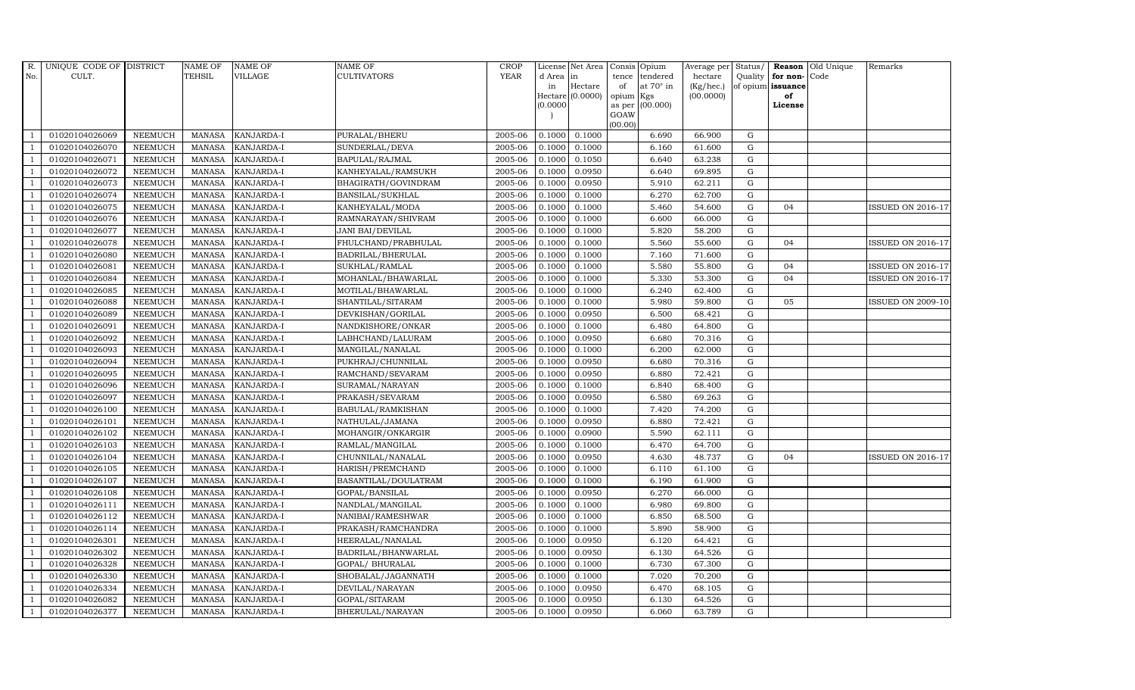| R.             | UNIQUE CODE OF DISTRICT |                | <b>NAME OF</b> | <b>NAME OF</b>    | NAME OF                 | <b>CROP</b> |           | License Net Area |                 | Consis Opium     | Average per | Status/     |                   | Reason Old Unique | Remarks                  |
|----------------|-------------------------|----------------|----------------|-------------------|-------------------------|-------------|-----------|------------------|-----------------|------------------|-------------|-------------|-------------------|-------------------|--------------------------|
| No.            | CULT.                   |                | <b>TEHSIL</b>  | VILLAGE           | CULTIVATORS             | <b>YEAR</b> | d Area in |                  | tence           | tendered         | hectare     | Quality     | for non-Code      |                   |                          |
|                |                         |                |                |                   |                         |             | in        | Hectare          | of              | at $70^\circ$ in | (Kg/hec.)   |             | of opium issuance |                   |                          |
|                |                         |                |                |                   |                         |             | (0.0000)  | Hectare (0.0000) | opium<br>as per | Kgs<br>(00.000)  | (00.0000)   |             | of<br>License     |                   |                          |
|                |                         |                |                |                   |                         |             |           |                  | GOAW            |                  |             |             |                   |                   |                          |
|                |                         |                |                |                   |                         |             |           |                  | (00.00)         |                  |             |             |                   |                   |                          |
|                | 01020104026069          | <b>NEEMUCH</b> | MANASA         | <b>KANJARDA-I</b> | PURALAL/BHERU           | 2005-06     | 0.1000    | 0.1000           |                 | 6.690            | 66.900      | G           |                   |                   |                          |
| -1             | 01020104026070          | <b>NEEMUCH</b> | <b>MANASA</b>  | KANJARDA-I        | SUNDERLAL/DEVA          | 2005-06     | 0.1000    | 0.1000           |                 | 6.160            | 61.600      | $\mathbf G$ |                   |                   |                          |
|                | 01020104026071          | <b>NEEMUCH</b> | <b>MANASA</b>  | KANJARDA-I        | BAPULAL/RAJMAL          | 2005-06     | 0.1000    | 0.1050           |                 | 6.640            | 63.238      | G           |                   |                   |                          |
|                | 01020104026072          | <b>NEEMUCH</b> | <b>MANASA</b>  | <b>KANJARDA-I</b> | KANHEYALAL/RAMSUKH      | 2005-06     | 0.1000    | 0.0950           |                 | 6.640            | 69.895      | ${\rm G}$   |                   |                   |                          |
| $\overline{1}$ | 01020104026073          | <b>NEEMUCH</b> | <b>MANASA</b>  | KANJARDA-I        | BHAGIRATH/GOVINDRAM     | 2005-06     | 0.1000    | 0.0950           |                 | 5.910            | 62.211      | ${\rm G}$   |                   |                   |                          |
|                | 01020104026074          | NEEMUCH        | <b>MANASA</b>  | KANJARDA-I        | BANSILAL/SUKHLAL        | 2005-06     | 0.1000    | 0.1000           |                 | 6.270            | 62.700      | G           |                   |                   |                          |
| $\overline{1}$ | 01020104026075          | <b>NEEMUCH</b> | <b>MANASA</b>  | KANJARDA-I        | KANHEYALAL/MODA         | 2005-06     | 0.1000    | 0.1000           |                 | 5.460            | 54.600      | $\mathbf G$ | 04                |                   | <b>ISSUED ON 2016-17</b> |
| $\overline{1}$ | 01020104026076          | <b>NEEMUCH</b> | <b>MANASA</b>  | KANJARDA-I        | RAMNARAYAN/SHIVRAM      | 2005-06     | 0.1000    | 0.1000           |                 | 6.600            | 66.000      | $\mathbf G$ |                   |                   |                          |
|                | 01020104026077          | <b>NEEMUCH</b> | <b>MANASA</b>  | KANJARDA-I        | <b>JANI BAI/DEVILAL</b> | 2005-06     | 0.1000    | 0.1000           |                 | 5.820            | 58.200      | $\mathbf G$ |                   |                   |                          |
| $\overline{1}$ | 01020104026078          | <b>NEEMUCH</b> | <b>MANASA</b>  | KANJARDA-I        | FHULCHAND/PRABHULAL     | 2005-06     | 0.1000    | 0.1000           |                 | 5.560            | 55.600      | ${\rm G}$   | 04                |                   | <b>ISSUED ON 2016-17</b> |
| -1             | 01020104026080          | <b>NEEMUCH</b> | <b>MANASA</b>  | KANJARDA-I        | BADRILAL/BHERULAL       | 2005-06     | 0.1000    | 0.1000           |                 | 7.160            | 71.600      | ${\rm G}$   |                   |                   |                          |
| $\overline{1}$ | 01020104026081          | <b>NEEMUCH</b> | <b>MANASA</b>  | KANJARDA-I        | SUKHLAL/RAMLAL          | 2005-06     | 0.1000    | 0.1000           |                 | 5.580            | 55.800      | $\mathbf G$ | 04                |                   | <b>ISSUED ON 2016-17</b> |
| $\overline{1}$ | 01020104026084          | <b>NEEMUCH</b> | <b>MANASA</b>  | <b>KANJARDA-I</b> | MOHANLAL/BHAWARLAL      | 2005-06     | 0.1000    | 0.1000           |                 | 5.330            | 53.300      | $\mathbf G$ | 04                |                   | <b>ISSUED ON 2016-17</b> |
|                | 01020104026085          | <b>NEEMUCH</b> | <b>MANASA</b>  | KANJARDA-I        | MOTILAL/BHAWARLAL       | 2005-06     | 0.1000    | 0.1000           |                 | 6.240            | 62.400      | G           |                   |                   |                          |
|                | 01020104026088          | <b>NEEMUCH</b> | <b>MANASA</b>  | KANJARDA-I        | SHANTILAL/SITARAM       | 2005-06     | 0.1000    | 0.1000           |                 | 5.980            | 59.800      | $\mathbf G$ | 05                |                   | <b>ISSUED ON 2009-10</b> |
| $\overline{1}$ | 01020104026089          | <b>NEEMUCH</b> | <b>MANASA</b>  | KANJARDA-I        | DEVKISHAN/GORILAL       | 2005-06     | 0.1000    | 0.0950           |                 | 6.500            | 68.421      | ${\rm G}$   |                   |                   |                          |
| $\overline{1}$ | 01020104026091          | <b>NEEMUCH</b> | <b>MANASA</b>  | KANJARDA-I        | NANDKISHORE/ONKAR       | 2005-06     | 0.1000    | 0.1000           |                 | 6.480            | 64.800      | G           |                   |                   |                          |
| $\overline{1}$ | 01020104026092          | <b>NEEMUCH</b> | <b>MANASA</b>  | KANJARDA-I        | LABHCHAND/LALURAM       | 2005-06     | 0.1000    | 0.0950           |                 | 6.680            | 70.316      | $\mathbf G$ |                   |                   |                          |
|                | 01020104026093          | <b>NEEMUCH</b> | <b>MANASA</b>  | <b>KANJARDA-I</b> | MANGILAL/NANALAL        | 2005-06     | 0.1000    | 0.1000           |                 | 6.200            | 62.000      | $\mathbf G$ |                   |                   |                          |
|                | 01020104026094          | <b>NEEMUCH</b> | <b>MANASA</b>  | KANJARDA-I        | PUKHRAJ/CHUNNILAL       | 2005-06     | 0.1000    | 0.0950           |                 | 6.680            | 70.316      | $\mathbf G$ |                   |                   |                          |
| $\overline{1}$ | 01020104026095          | <b>NEEMUCH</b> | <b>MANASA</b>  | KANJARDA-I        | RAMCHAND/SEVARAM        | 2005-06     | 0.1000    | 0.0950           |                 | 6.880            | 72.421      | G           |                   |                   |                          |
| $\overline{1}$ | 01020104026096          | <b>NEEMUCH</b> | <b>MANASA</b>  | KANJARDA-I        | SURAMAL/NARAYAN         | 2005-06     | 0.1000    | 0.1000           |                 | 6.840            | 68.400      | ${\rm G}$   |                   |                   |                          |
| $\overline{1}$ | 01020104026097          | <b>NEEMUCH</b> | <b>MANASA</b>  | KANJARDA-I        | PRAKASH/SEVARAM         | 2005-06     | 0.1000    | 0.0950           |                 | 6.580            | 69.263      | G           |                   |                   |                          |
|                | 01020104026100          | <b>NEEMUCH</b> | <b>MANASA</b>  | <b>KANJARDA-I</b> | BABULAL/RAMKISHAN       | 2005-06     | 0.1000    | 0.1000           |                 | 7.420            | 74.200      | $\mathbf G$ |                   |                   |                          |
|                | 01020104026101          | <b>NEEMUCH</b> | <b>MANASA</b>  | KANJARDA-I        | NATHULAL/JAMANA         | 2005-06     | 0.1000    | 0.0950           |                 | 6.880            | 72.421      | G           |                   |                   |                          |
| -1             | 01020104026102          | <b>NEEMUCH</b> | <b>MANASA</b>  | KANJARDA-I        | MOHANGIR/ONKARGIR       | 2005-06     | 0.1000    | 0.0900           |                 | 5.590            | 62.111      | G           |                   |                   |                          |
|                | 01020104026103          | <b>NEEMUCH</b> | <b>MANASA</b>  | KANJARDA-I        | RAMLAL/MANGILAL         | 2005-06     | 0.1000    | 0.1000           |                 | 6.470            | 64.700      | ${\rm G}$   |                   |                   |                          |
| $\overline{1}$ | 01020104026104          | <b>NEEMUCH</b> | <b>MANASA</b>  | KANJARDA-I        | CHUNNILAL/NANALAL       | 2005-06     | 0.1000    | 0.0950           |                 | 4.630            | 48.737      | G           | 04                |                   | <b>ISSUED ON 2016-17</b> |
| $\overline{1}$ | 01020104026105          | <b>NEEMUCH</b> | <b>MANASA</b>  | <b>KANJARDA-I</b> | HARISH/PREMCHAND        | 2005-06     | 0.1000    | 0.1000           |                 | 6.110            | 61.100      | $\mathbf G$ |                   |                   |                          |
|                | 01020104026107          | <b>NEEMUCH</b> | <b>MANASA</b>  | KANJARDA-I        | BASANTILAL/DOULATRAM    | 2005-06     | 0.1000    | 0.1000           |                 | 6.190            | 61.900      | $\mathbf G$ |                   |                   |                          |
| $\overline{1}$ | 01020104026108          | <b>NEEMUCH</b> | <b>MANASA</b>  | KANJARDA-I        | GOPAL/BANSILAL          | 2005-06     | 0.1000    | 0.0950           |                 | 6.270            | 66.000      | G           |                   |                   |                          |
|                | 01020104026111          | <b>NEEMUCH</b> | <b>MANASA</b>  | KANJARDA-I        | NANDLAL/MANGILAL        | 2005-06     | 0.1000    | 0.1000           |                 | 6.980            | 69.800      | ${\rm G}$   |                   |                   |                          |
| $\overline{1}$ | 01020104026112          | <b>NEEMUCH</b> | <b>MANASA</b>  | KANJARDA-I        | NANIBAI/RAMESHWAR       | 2005-06     | 0.1000    | 0.1000           |                 | 6.850            | 68.500      | $\mathbf G$ |                   |                   |                          |
| $\overline{1}$ | 01020104026114          | <b>NEEMUCH</b> | <b>MANASA</b>  | KANJARDA-I        | PRAKASH/RAMCHANDRA      | 2005-06     | 0.1000    | 0.1000           |                 | 5.890            | 58.900      | $\mathbf G$ |                   |                   |                          |
|                | 01020104026301          | <b>NEEMUCH</b> | <b>MANASA</b>  | KANJARDA-I        | HEERALAL/NANALAL        | 2005-06     | 0.1000    | 0.0950           |                 | 6.120            | 64.421      | $\mathbf G$ |                   |                   |                          |
| $\overline{1}$ | 01020104026302          | <b>NEEMUCH</b> | <b>MANASA</b>  | KANJARDA-I        | BADRILAL/BHANWARLAL     | 2005-06     | 0.1000    | 0.0950           |                 | 6.130            | 64.526      | ${\rm G}$   |                   |                   |                          |
| $\overline{1}$ | 01020104026328          | <b>NEEMUCH</b> | <b>MANASA</b>  | KANJARDA-I        | GOPAL/ BHURALAL         | 2005-06     | 0.1000    | 0.1000           |                 | 6.730            | 67.300      | ${\rm G}$   |                   |                   |                          |
| $\mathbf{1}$   | 01020104026330          | <b>NEEMUCH</b> | <b>MANASA</b>  | KANJARDA-I        | SHOBALAL/JAGANNATH      | 2005-06     | 0.1000    | 0.1000           |                 | 7.020            | 70.200      | G           |                   |                   |                          |
| $\overline{1}$ | 01020104026334          | <b>NEEMUCH</b> | <b>MANASA</b>  | KANJARDA-I        | DEVILAL/NARAYAN         | 2005-06     | 0.1000    | 0.0950           |                 | 6.470            | 68.105      | $\mathbf G$ |                   |                   |                          |
|                | 01020104026082          | <b>NEEMUCH</b> | <b>MANASA</b>  | KANJARDA-I        | GOPAL/SITARAM           | 2005-06     | 0.1000    | 0.0950           |                 | 6.130            | 64.526      | $\mathbf G$ |                   |                   |                          |
| $\mathbf{1}$   | 01020104026377          | <b>NEEMUCH</b> | MANASA         | KANJARDA-I        | BHERULAL/NARAYAN        | 2005-06     | 0.1000    | 0.0950           |                 | 6.060            | 63.789      | G           |                   |                   |                          |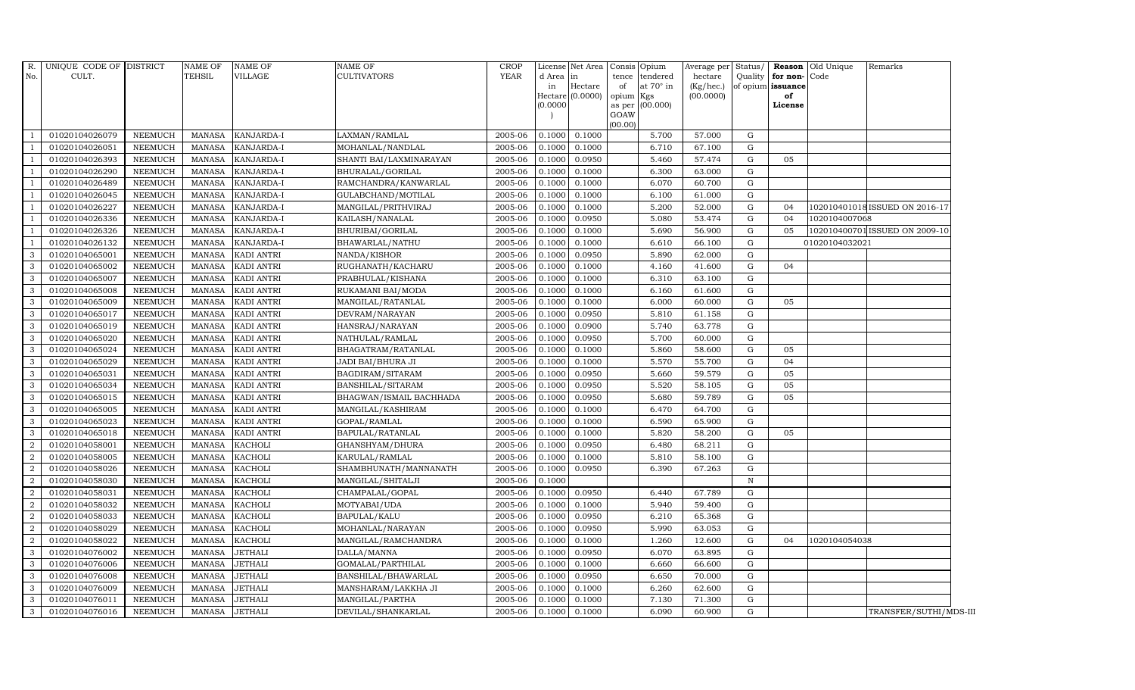| $R$ .<br>No.   | UNIQUE CODE OF DISTRICT<br>CULT. |                | <b>NAME OF</b><br><b>TEHSIL</b> | <b>NAME OF</b><br><b>VILLAGE</b> | <b>NAME OF</b><br><b>CULTIVATORS</b> | <b>CROP</b><br><b>YEAR</b> | d Area<br>in<br>0.0000 | License Net Area Consis<br>$\ln$<br>Hectare<br>Hectare (0.0000) | Opium<br>tendered<br>tence<br>at 70° in<br>of<br>opium Kgs<br>(00.000)<br>as per<br>GOAW<br>(00.00) | Average per<br>hectare<br>(Kg/hec.)<br>(00.0000) | Status/<br>Quality | for non-Code<br>of opium issuance<br>of<br>License | Reason Old Unique | Remarks                        |
|----------------|----------------------------------|----------------|---------------------------------|----------------------------------|--------------------------------------|----------------------------|------------------------|-----------------------------------------------------------------|-----------------------------------------------------------------------------------------------------|--------------------------------------------------|--------------------|----------------------------------------------------|-------------------|--------------------------------|
|                | 01020104026079                   | <b>NEEMUCH</b> | MANASA                          | KANJARDA-I                       | LAXMAN/RAMLAL                        | 2005-06                    | 0.1000                 | 0.1000                                                          | 5.700                                                                                               | 57.000                                           | G                  |                                                    |                   |                                |
|                | 01020104026051                   | <b>NEEMUCH</b> | MANASA                          | KANJARDA-I                       | MOHANLAL/NANDLAL                     | 2005-06                    | 0.1000                 | 0.1000                                                          | 6.710                                                                                               | 67.100                                           | G                  |                                                    |                   |                                |
|                | 01020104026393                   | <b>NEEMUCH</b> | <b>MANASA</b>                   | KANJARDA-I                       | SHANTI BAI/LAXMINARAYAN              | 2005-06                    | 0.1000                 | 0.0950                                                          | 5.460                                                                                               | 57.474                                           | G                  | 05                                                 |                   |                                |
|                | 01020104026290                   | <b>NEEMUCH</b> | <b>MANASA</b>                   | KANJARDA-I                       | BHURALAL/GORILAL                     | 2005-06                    | 0.1000                 | 0.1000                                                          | 6.300                                                                                               | 63.000                                           | G                  |                                                    |                   |                                |
|                | 01020104026489                   | <b>NEEMUCH</b> | <b>MANASA</b>                   | KANJARDA-I                       | RAMCHANDRA/KANWARLAL                 | 2005-06                    | 0.1000                 | 0.1000                                                          | 6.070                                                                                               | 60.700                                           | G                  |                                                    |                   |                                |
|                | 01020104026045                   | NEEMUCH        | <b>MANASA</b>                   | KANJARDA-I                       | GULABCHAND/MOTILAL                   | 2005-06                    | 0.1000                 | 0.1000                                                          | 6.100                                                                                               | 61.000                                           | $\mathbf{G}$       |                                                    |                   |                                |
|                | 01020104026227                   | <b>NEEMUCH</b> | <b>MANASA</b>                   | KANJARDA-I                       | MANGILAL/PRITHVIRAJ                  | 2005-06                    | 0.1000                 | 0.1000                                                          | 5.200                                                                                               | 52.000                                           | ${\rm G}$          | 04                                                 |                   | 102010401018 ISSUED ON 2016-17 |
|                | 01020104026336                   | <b>NEEMUCH</b> | <b>MANASA</b>                   | KANJARDA-I                       | KAILASH/NANALAL                      | 2005-06                    | 0.1000                 | 0.0950                                                          | 5.080                                                                                               | 53.474                                           | G                  | 04                                                 | 1020104007068     |                                |
|                | 01020104026326                   | <b>NEEMUCH</b> | <b>MANASA</b>                   | KANJARDA-I                       | BHURIBAI/GORILAL                     | 2005-06                    | 0.1000                 | 0.1000                                                          | 5.690                                                                                               | 56.900                                           | G                  | 05                                                 |                   | 102010400701 ISSUED ON 2009-10 |
|                | 01020104026132                   | <b>NEEMUCH</b> | <b>MANASA</b>                   | KANJARDA-I                       | BHAWARLAL/NATHU                      | 2005-06                    | 0.1000                 | 0.1000                                                          | 6.610                                                                                               | 66.100                                           | G                  |                                                    | 01020104032021    |                                |
| 3              | 01020104065001                   | <b>NEEMUCH</b> | <b>MANASA</b>                   | KADI ANTRI                       | NANDA/KISHOR                         | 2005-06                    | 0.1000                 | 0.0950                                                          | 5.890                                                                                               | 62.000                                           | $\mathbf{G}$       |                                                    |                   |                                |
| 3              | 01020104065002                   | <b>NEEMUCH</b> | <b>MANASA</b>                   | <b>KADI ANTRI</b>                | RUGHANATH/KACHARU                    | 2005-06                    | 0.1000                 | 0.1000                                                          | 4.160                                                                                               | 41.600                                           | G                  | 04                                                 |                   |                                |
| 3              | 01020104065007                   | <b>NEEMUCH</b> | <b>MANASA</b>                   | KADI ANTRI                       | PRABHULAL/KISHANA                    | 2005-06                    | 0.1000                 | 0.1000                                                          | 6.310                                                                                               | 63.100                                           | G                  |                                                    |                   |                                |
| 3              | 01020104065008                   | <b>NEEMUCH</b> | <b>MANASA</b>                   | <b>KADI ANTRI</b>                | RUKAMANI BAI/MODA                    | 2005-06                    | 0.1000                 | 0.1000                                                          | 6.160                                                                                               | 61.600                                           | G                  |                                                    |                   |                                |
| 3              | 01020104065009                   | <b>NEEMUCH</b> | <b>MANASA</b>                   | KADI ANTRI                       | MANGILAL/RATANLAL                    | 2005-06                    | 0.1000                 | 0.1000                                                          | 6.000                                                                                               | 60.000                                           | ${\rm G}$          | 05                                                 |                   |                                |
| 3              | 01020104065017                   | <b>NEEMUCH</b> | <b>MANASA</b>                   | KADI ANTRI                       | DEVRAM/NARAYAN                       | 2005-06                    | 0.1000                 | 0.0950                                                          | 5.810                                                                                               | 61.158                                           | G                  |                                                    |                   |                                |
| 3              | 01020104065019                   | <b>NEEMUCH</b> | <b>MANASA</b>                   | <b>KADI ANTRI</b>                | HANSRAJ/NARAYAN                      | 2005-06                    | 0.1000                 | 0.0900                                                          | 5.740                                                                                               | 63.778                                           | $\mathbf{G}$       |                                                    |                   |                                |
| 3              | 01020104065020                   | <b>NEEMUCH</b> | <b>MANASA</b>                   | <b>KADI ANTRI</b>                | NATHULAL/RAMLAL                      | 2005-06                    | 0.1000                 | 0.0950                                                          | 5.700                                                                                               | 60.000                                           | G                  |                                                    |                   |                                |
| 3              | 01020104065024                   | <b>NEEMUCH</b> | <b>MANASA</b>                   | <b>KADI ANTRI</b>                | BHAGATRAM/RATANLAL                   | 2005-06                    | 0.1000                 | 0.1000                                                          | 5.860                                                                                               | 58.600                                           | G                  | 05                                                 |                   |                                |
| 3              | 01020104065029                   | <b>NEEMUCH</b> | <b>MANASA</b>                   | <b>KADI ANTRI</b>                | JADI BAI/BHURA JI                    | 2005-06                    | 0.1000                 | 0.1000                                                          | 5.570                                                                                               | 55.700                                           | G                  | 04                                                 |                   |                                |
| 3              | 01020104065031                   | <b>NEEMUCH</b> | <b>MANASA</b>                   | KADI ANTRI                       | BAGDIRAM/SITARAM                     | 2005-06                    | 0.1000                 | 0.0950                                                          | 5.660                                                                                               | 59.579                                           | G                  | 05                                                 |                   |                                |
| 3              | 01020104065034                   | <b>NEEMUCH</b> | <b>MANASA</b>                   | KADI ANTRI                       | BANSHILAL/SITARAM                    | 2005-06                    | 0.1000                 | 0.0950                                                          | 5.520                                                                                               | 58.105                                           | G                  | 05                                                 |                   |                                |
| 3              | 01020104065015                   | <b>NEEMUCH</b> | <b>MANASA</b>                   | KADI ANTRI                       | BHAGWAN/ISMAIL BACHHADA              | 2005-06                    | 0.1000                 | 0.0950                                                          | 5.680                                                                                               | 59.789                                           | G                  | 05                                                 |                   |                                |
| 3              | 01020104065005                   | <b>NEEMUCH</b> | <b>MANASA</b>                   | <b>KADI ANTRI</b>                | MANGILAL/KASHIRAM                    | 2005-06                    | 0.1000                 | 0.1000                                                          | 6.470                                                                                               | 64.700                                           | ${\rm G}$          |                                                    |                   |                                |
| 3              | 01020104065023                   | <b>NEEMUCH</b> | <b>MANASA</b>                   | KADI ANTRI                       | GOPAL/RAMLAL                         | 2005-06                    | 0.1000                 | 0.1000                                                          | 6.590                                                                                               | 65.900                                           | G                  |                                                    |                   |                                |
| 3              | 01020104065018                   | <b>NEEMUCH</b> | <b>MANASA</b>                   | KADI ANTRI                       | BAPULAL/RATANLAL                     | 2005-06                    | 0.1000                 | 0.1000                                                          | 5.820                                                                                               | 58.200                                           | G                  | 05                                                 |                   |                                |
| 2              | 01020104058001                   | <b>NEEMUCH</b> | <b>MANASA</b>                   | <b>KACHOLI</b>                   | GHANSHYAM/DHURA                      | 2005-06                    | 0.1000                 | 0.0950                                                          | 6.480                                                                                               | 68.211                                           | G                  |                                                    |                   |                                |
| 2              | 01020104058005                   | <b>NEEMUCH</b> | <b>MANASA</b>                   | KACHOLI                          | KARULAL/RAMLAL                       | 2005-06                    | 0.1000                 | 0.1000                                                          | 5.810                                                                                               | 58.100                                           | G                  |                                                    |                   |                                |
| 2              | 01020104058026                   | <b>NEEMUCH</b> | <b>MANASA</b>                   | <b>KACHOLI</b>                   | SHAMBHUNATH/MANNANATH                | 2005-06                    | 0.1000                 | 0.0950                                                          | 6.390                                                                                               | 67.263                                           | ${\rm G}$          |                                                    |                   |                                |
| $\overline{2}$ | 01020104058030                   | <b>NEEMUCH</b> | <b>MANASA</b>                   | <b>KACHOLI</b>                   | MANGILAL/SHITALJI                    | 2005-06                    | 0.1000                 |                                                                 |                                                                                                     |                                                  | $\, {\rm N}$       |                                                    |                   |                                |
| 2              | 01020104058031                   | <b>NEEMUCH</b> | MANASA                          | <b>KACHOLI</b>                   | CHAMPALAL/GOPAL                      | 2005-06                    | 0.1000                 | 0.0950                                                          | 6.440                                                                                               | 67.789                                           | G                  |                                                    |                   |                                |
| 2              | 01020104058032                   | <b>NEEMUCH</b> | <b>MANASA</b>                   | <b>KACHOLI</b>                   | MOTYABAI/UDA                         | 2005-06                    | 0.1000                 | 0.1000                                                          | 5.940                                                                                               | 59.400                                           | G                  |                                                    |                   |                                |
| 2              | 01020104058033                   | <b>NEEMUCH</b> | <b>MANASA</b>                   | <b>KACHOLI</b>                   | BAPULAL/KALU                         | 2005-06                    | 0.1000                 | 0.0950                                                          | 6.210                                                                                               | 65.368                                           | G                  |                                                    |                   |                                |
| 2              | 01020104058029                   | <b>NEEMUCH</b> | <b>MANASA</b>                   | <b>KACHOLI</b>                   | MOHANLAL/NARAYAN                     | 2005-06                    | 0.1000                 | 0.0950                                                          | 5.990                                                                                               | 63.053                                           | G                  |                                                    |                   |                                |
|                | 01020104058022                   | <b>NEEMUCH</b> | <b>MANASA</b>                   | <b>KACHOLI</b>                   | MANGILAL/RAMCHANDRA                  | 2005-06                    | 0.1000                 | 0.1000                                                          | 1.260                                                                                               | 12.600                                           | G                  | 04                                                 | 1020104054038     |                                |
| 3              | 01020104076002                   | NEEMUCH        | MANASA                          | <b>JETHALI</b>                   | DALLA/MANNA                          | 2005-06                    | 0.1000                 | 0.0950                                                          | 6.070                                                                                               | 63.895                                           | $\mathbf{G}$       |                                                    |                   |                                |
| 3              | 01020104076006                   | <b>NEEMUCH</b> | <b>MANASA</b>                   | <b>JETHALI</b>                   | GOMALAL/PARTHILAL                    | 2005-06                    | 0.1000                 | 0.1000                                                          | 6.660                                                                                               | 66.600                                           | G                  |                                                    |                   |                                |
| 3              | 01020104076008                   | <b>NEEMUCH</b> | <b>MANASA</b>                   | <b>JETHALI</b>                   | BANSHILAL/BHAWARLAL                  | 2005-06                    | 0.1000                 | 0.0950                                                          | 6.650                                                                                               | 70.000                                           | G                  |                                                    |                   |                                |
| 3              | 01020104076009                   | <b>NEEMUCH</b> | <b>MANASA</b>                   | <b>JETHALI</b>                   | MANSHARAM/LAKKHA JI                  | 2005-06                    | 0.1000                 | 0.1000                                                          | 6.260                                                                                               | 62.600                                           | G                  |                                                    |                   |                                |
| 3              | 01020104076011                   | <b>NEEMUCH</b> | <b>MANASA</b>                   | <b>JETHALI</b>                   | MANGILAL/PARTHA                      | 2005-06                    | 0.1000                 | 0.1000                                                          | 7.130                                                                                               | 71.300                                           | G                  |                                                    |                   |                                |
| 3              | 01020104076016                   | <b>NEEMUCH</b> | <b>MANASA</b>                   | <b>JETHALI</b>                   | DEVILAL/SHANKARLAL                   | 2005-06                    | 0.1000                 | 0.1000                                                          | 6.090                                                                                               | 60.900                                           | G                  |                                                    |                   | TRANSFER/SUTHI/MDS-III         |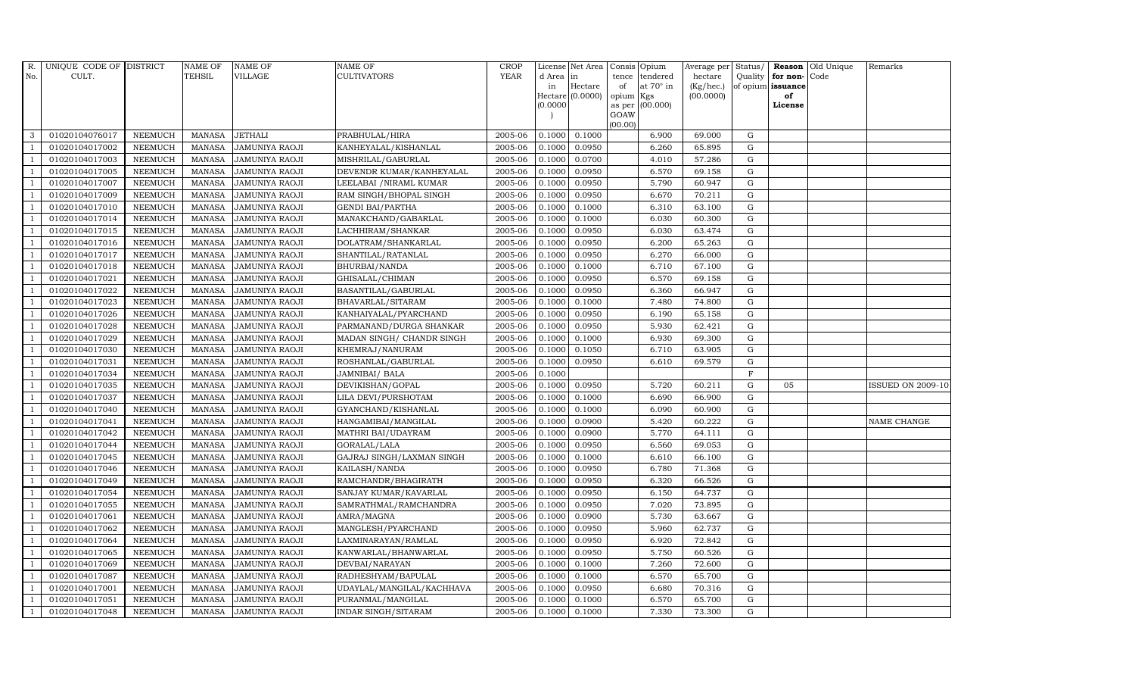| R.             | UNIQUE CODE OF DISTRICT |                | <b>NAME OF</b> | <b>NAME OF</b>        | <b>NAME OF</b>             | CROP        |           | License Net Area   Consis   Opium |           |                  | Average per | Status/     | Reason            | Old Unique | Remarks                  |
|----------------|-------------------------|----------------|----------------|-----------------------|----------------------------|-------------|-----------|-----------------------------------|-----------|------------------|-------------|-------------|-------------------|------------|--------------------------|
| No.            | CULT.                   |                | <b>TEHSIL</b>  | <b>VILLAGE</b>        | <b>CULTIVATORS</b>         | <b>YEAR</b> | d Area in |                                   |           | tence tendered   | hectare     | Quality     | for non-          | Code       |                          |
|                |                         |                |                |                       |                            |             | in        | Hectare                           | of        | at $70^\circ$ in | (Kg/hec.)   |             | of opium issuance |            |                          |
|                |                         |                |                |                       |                            |             |           | Hectare (0.0000)                  | opium Kgs |                  | (00.0000)   |             | of<br>License     |            |                          |
|                |                         |                |                |                       |                            |             | (0.0000)  |                                   | GOAW      | as per (00.000)  |             |             |                   |            |                          |
|                |                         |                |                |                       |                            |             |           |                                   | (00.00)   |                  |             |             |                   |            |                          |
| 3              | 01020104076017          | <b>NEEMUCH</b> | MANASA         | <b>JETHALI</b>        | PRABHULAL/HIRA             | 2005-06     | 0.1000    | 0.1000                            |           | 6.900            | 69.000      | ${\rm G}$   |                   |            |                          |
| $\overline{1}$ | 01020104017002          | <b>NEEMUCH</b> | MANASA         | <b>JAMUNIYA RAOJI</b> | KANHEYALAL/KISHANLAL       | 2005-06     | 0.1000    | 0.0950                            |           | 6.260            | 65.895      | $\mathbf G$ |                   |            |                          |
|                | 01020104017003          | <b>NEEMUCH</b> | <b>MANASA</b>  | <b>JAMUNIYA RAOJI</b> | MISHRILAL/GABURLAL         | 2005-06     | 0.1000    | 0.0700                            |           | 4.010            | 57.286      | G           |                   |            |                          |
|                | 01020104017005          | <b>NEEMUCH</b> | <b>MANASA</b>  | <b>JAMUNIYA RAOJI</b> | DEVENDR KUMAR/KANHEYALAL   | 2005-06     | 0.1000    | 0.0950                            |           | 6.570            | 69.158      | $\mathbf G$ |                   |            |                          |
| $\overline{1}$ | 01020104017007          | <b>NEEMUCH</b> | <b>MANASA</b>  | JAMUNIYA RAOJI        | LEELABAI / NIRAML KUMAR    | 2005-06     | 0.1000    | 0.0950                            |           | 5.790            | 60.947      | ${\rm G}$   |                   |            |                          |
| $\overline{1}$ | 01020104017009          | <b>NEEMUCH</b> | <b>MANASA</b>  | <b>JAMUNIYA RAOJI</b> | RAM SINGH/BHOPAL SINGH     | 2005-06     | 0.1000    | 0.0950                            |           | 6.670            | 70.211      | $\mathbf G$ |                   |            |                          |
| $\overline{1}$ | 01020104017010          | <b>NEEMUCH</b> | <b>MANASA</b>  | <b>JAMUNIYA RAOJI</b> | <b>GENDI BAI/PARTHA</b>    | 2005-06     | 0.1000    | 0.1000                            |           | 6.310            | 63.100      | $\mathbf G$ |                   |            |                          |
| $\overline{1}$ | 01020104017014          | <b>NEEMUCH</b> | <b>MANASA</b>  | JAMUNIYA RAOJI        | MANAKCHAND/GABARLAL        | 2005-06     | 0.1000    | 0.1000                            |           | 6.030            | 60.300      | $\mathbf G$ |                   |            |                          |
|                | 01020104017015          | <b>NEEMUCH</b> | <b>MANASA</b>  | JAMUNIYA RAOJI        | LACHHIRAM/SHANKAR          | 2005-06     | 0.1000    | 0.0950                            |           | 6.030            | 63.474      | $\mathbf G$ |                   |            |                          |
|                | 01020104017016          | <b>NEEMUCH</b> | <b>MANASA</b>  | JAMUNIYA RAOJI        | DOLATRAM/SHANKARLAL        | 2005-06     | 0.1000    | 0.0950                            |           | 6.200            | 65.263      | $\mathbf G$ |                   |            |                          |
| $\overline{1}$ | 01020104017017          | <b>NEEMUCH</b> | <b>MANASA</b>  | JAMUNIYA RAOJI        | SHANTILAL/RATANLAL         | 2005-06     | 0.1000    | 0.0950                            |           | 6.270            | 66.000      | ${\rm G}$   |                   |            |                          |
| $\overline{1}$ | 01020104017018          | <b>NEEMUCH</b> | <b>MANASA</b>  | <b>JAMUNIYA RAOJI</b> | BHURBAI/NANDA              | 2005-06     | 0.1000    | 0.1000                            |           | 6.710            | 67.100      | ${\rm G}$   |                   |            |                          |
| $\overline{1}$ | 01020104017021          | <b>NEEMUCH</b> | <b>MANASA</b>  | JAMUNIYA RAOJI        | GHISALAL/CHIMAN            | 2005-06     | 0.1000    | 0.0950                            |           | 6.570            | 69.158      | $\mathbf G$ |                   |            |                          |
|                | 01020104017022          | <b>NEEMUCH</b> | <b>MANASA</b>  | <b>JAMUNIYA RAOJI</b> | BASANTILAL/GABURLAL        | 2005-06     | 0.1000    | 0.0950                            |           | 6.360            | 66.947      | G           |                   |            |                          |
| $\overline{1}$ | 01020104017023          | <b>NEEMUCH</b> | <b>MANASA</b>  | JAMUNIYA RAOJI        | BHAVARLAL/SITARAM          | 2005-06     | 0.1000    | 0.1000                            |           | 7.480            | 74.800      | G           |                   |            |                          |
| -1             | 01020104017026          | <b>NEEMUCH</b> | <b>MANASA</b>  | JAMUNIYA RAOJI        | KANHAIYALAL/PYARCHAND      | 2005-06     | 0.1000    | 0.0950                            |           | 6.190            | 65.158      | ${\rm G}$   |                   |            |                          |
|                | 01020104017028          | <b>NEEMUCH</b> | <b>MANASA</b>  | <b>JAMUNIYA RAOJI</b> | PARMANAND/DURGA SHANKAR    | 2005-06     | 0.1000    | 0.0950                            |           | 5.930            | 62.421      | G           |                   |            |                          |
| $\overline{1}$ | 01020104017029          | <b>NEEMUCH</b> | MANASA         | <b>JAMUNIYA RAOJI</b> | MADAN SINGH/ CHANDR SINGH  | 2005-06     | 0.1000    | 0.1000                            |           | 6.930            | 69.300      | G           |                   |            |                          |
|                | 01020104017030          | <b>NEEMUCH</b> | <b>MANASA</b>  | <b>JAMUNIYA RAOJI</b> | KHEMRAJ/NANURAM            | 2005-06     | 0.1000    | 0.1050                            |           | 6.710            | 63.905      | $\mathbf G$ |                   |            |                          |
|                | 01020104017031          | <b>NEEMUCH</b> | <b>MANASA</b>  | <b>JAMUNIYA RAOJI</b> | ROSHANLAL/GABURLAL         | 2005-06     | 0.1000    | 0.0950                            |           | 6.610            | 69.579      | $\mathbf G$ |                   |            |                          |
| -1             | 01020104017034          | <b>NEEMUCH</b> | <b>MANASA</b>  | <b>JAMUNIYA RAOJI</b> | <b>JAMNIBAI/ BALA</b>      | 2005-06     | 0.1000    |                                   |           |                  |             | $\mathbf F$ |                   |            |                          |
| $\overline{1}$ | 01020104017035          | <b>NEEMUCH</b> | <b>MANASA</b>  | JAMUNIYA RAOJI        | DEVIKISHAN/GOPAL           | 2005-06     | 0.1000    | 0.0950                            |           | 5.720            | 60.211      | $\mathbf G$ | 05                |            | <b>ISSUED ON 2009-10</b> |
| $\overline{1}$ | 01020104017037          | <b>NEEMUCH</b> | MANASA         | JAMUNIYA RAOJI        | LILA DEVI/PURSHOTAM        | 2005-06     | 0.1000    | 0.1000                            |           | 6.690            | 66.900      | G           |                   |            |                          |
|                | 01020104017040          | <b>NEEMUCH</b> | <b>MANASA</b>  | <b>JAMUNIYA RAOJI</b> | GYANCHAND/KISHANLAL        | 2005-06     | 0.1000    | 0.1000                            |           | 6.090            | 60.900      | $\mathbf G$ |                   |            |                          |
|                | 01020104017041          | <b>NEEMUCH</b> | <b>MANASA</b>  | JAMUNIYA RAOJI        | HANGAMIBAI/MANGILAL        | 2005-06     | 0.1000    | 0.0900                            |           | 5.420            | 60.222      | $\mathbf G$ |                   |            | NAME CHANGE              |
| $\overline{1}$ | 01020104017042          | <b>NEEMUCH</b> | <b>MANASA</b>  | JAMUNIYA RAOJI        | MATHRI BAI/UDAYRAM         | 2005-06     | 0.1000    | 0.0900                            |           | 5.770            | 64.111      | G           |                   |            |                          |
| $\overline{1}$ | 01020104017044          | <b>NEEMUCH</b> | <b>MANASA</b>  | JAMUNIYA RAOJI        | GORALAL/LALA               | 2005-06     | 0.1000    | 0.0950                            |           | 6.560            | 69.053      | ${\rm G}$   |                   |            |                          |
| $\overline{1}$ | 01020104017045          | <b>NEEMUCH</b> | <b>MANASA</b>  | <b>JAMUNIYA RAOJI</b> | GAJRAJ SINGH/LAXMAN SINGH  | 2005-06     | 0.1000    | 0.1000                            |           | 6.610            | 66.100      | $\mathbf G$ |                   |            |                          |
| $\overline{1}$ | 01020104017046          | <b>NEEMUCH</b> | <b>MANASA</b>  | <b>JAMUNIYA RAOJI</b> | KAILASH/NANDA              | 2005-06     | 0.1000    | 0.0950                            |           | 6.780            | 71.368      | $\mathbf G$ |                   |            |                          |
|                | 01020104017049          | <b>NEEMUCH</b> | <b>MANASA</b>  | <b>JAMUNIYA RAOJI</b> | RAMCHANDR/BHAGIRATH        | 2005-06     | 0.1000    | 0.0950                            |           | 6.320            | 66.526      | $\mathbf G$ |                   |            |                          |
| $\overline{1}$ | 01020104017054          | <b>NEEMUCH</b> | <b>MANASA</b>  | JAMUNIYA RAOJI        | SANJAY KUMAR/KAVARLAL      | 2005-06     | 0.1000    | 0.0950                            |           | 6.150            | 64.737      | G           |                   |            |                          |
|                | 01020104017055          | <b>NEEMUCH</b> | MANASA         | <b>JAMUNIYA RAOJI</b> | SAMRATHMAL/RAMCHANDRA      | 2005-06     | 0.1000    | 0.0950                            |           | 7.020            | 73.895      | ${\rm G}$   |                   |            |                          |
| $\overline{1}$ | 01020104017061          | <b>NEEMUCH</b> | <b>MANASA</b>  | JAMUNIYA RAOJI        | AMRA/MAGNA                 | 2005-06     | 0.1000    | 0.0900                            |           | 5.730            | 63.667      | $\mathbf G$ |                   |            |                          |
| $\overline{1}$ | 01020104017062          | <b>NEEMUCH</b> | <b>MANASA</b>  | <b>JAMUNIYA RAOJI</b> | MANGLESH/PYARCHAND         | 2005-06     | 0.1000    | 0.0950                            |           | 5.960            | 62.737      | $\mathbf G$ |                   |            |                          |
|                | 01020104017064          | <b>NEEMUCH</b> | <b>MANASA</b>  | <b>JAMUNIYA RAOJI</b> | LAXMINARAYAN/RAMLAL        | 2005-06     | 0.1000    | 0.0950                            |           | 6.920            | 72.842      | $\mathbf G$ |                   |            |                          |
| $\overline{1}$ | 01020104017065          | <b>NEEMUCH</b> | <b>MANASA</b>  | JAMUNIYA RAOJI        | KANWARLAL/BHANWARLAL       | 2005-06     | 0.1000    | 0.0950                            |           | 5.750            | 60.526      | $\mathbf G$ |                   |            |                          |
| $\overline{1}$ | 01020104017069          | <b>NEEMUCH</b> | <b>MANASA</b>  | JAMUNIYA RAOJI        | DEVBAI/NARAYAN             | 2005-06     | 0.1000    | 0.1000                            |           | 7.260            | 72.600      | ${\rm G}$   |                   |            |                          |
| $\overline{1}$ | 01020104017087          | <b>NEEMUCH</b> | <b>MANASA</b>  | JAMUNIYA RAOJI        | RADHESHYAM/BAPULAL         | 2005-06     | 0.1000    | 0.1000                            |           | 6.570            | 65.700      | $\mathbf G$ |                   |            |                          |
| $\overline{1}$ | 01020104017001          | <b>NEEMUCH</b> | <b>MANASA</b>  | JAMUNIYA RAOJI        | UDAYLAL/MANGILAL/KACHHAVA  | 2005-06     | 0.1000    | 0.0950                            |           | 6.680            | 70.316      | $\mathbf G$ |                   |            |                          |
|                | 01020104017051          | <b>NEEMUCH</b> | <b>MANASA</b>  | <b>JAMUNIYA RAOJI</b> | PURANMAL/MANGILAL          | 2005-06     | 0.1000    | 0.1000                            |           | 6.570            | 65.700      | $\mathbf G$ |                   |            |                          |
| $\mathbf{1}$   | 01020104017048          | <b>NEEMUCH</b> | MANASA         | <b>JAMUNIYA RAOJI</b> | <b>INDAR SINGH/SITARAM</b> | 2005-06     | 0.1000    | 0.1000                            |           | 7.330            | 73.300      | G           |                   |            |                          |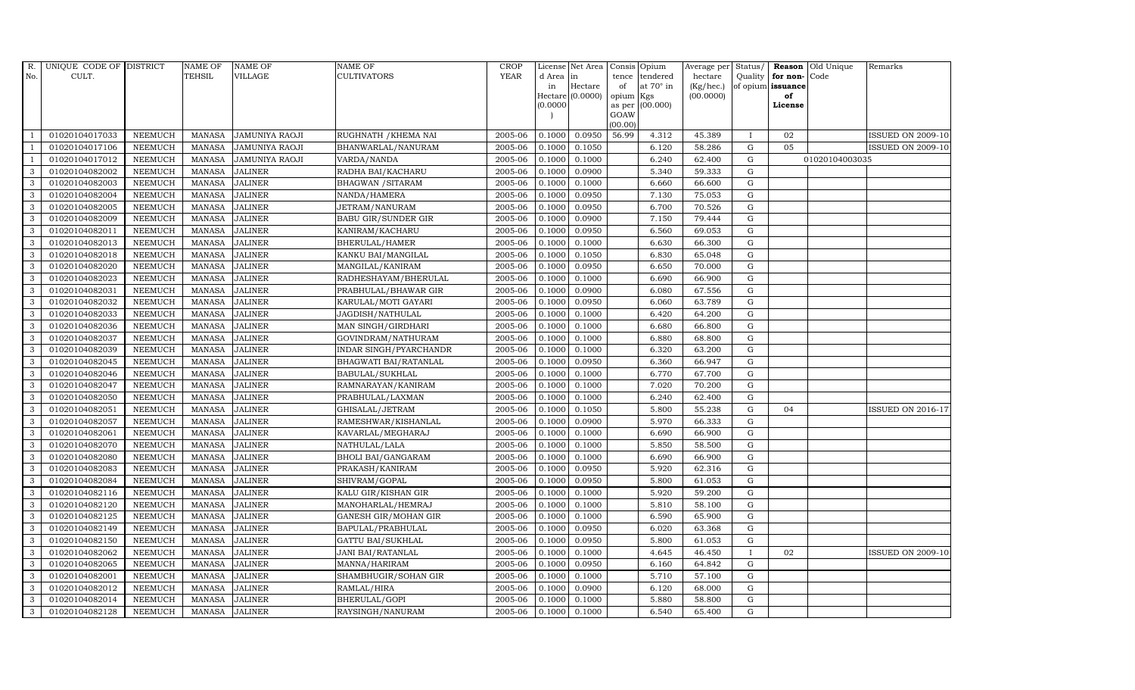| R.             | UNIQUE CODE OF DISTRICT |                | <b>NAME OF</b> | <b>NAME OF</b>        | <b>NAME OF</b>              | CROP        |           | License Net Area | Consis         | Opium            | Average per Status/ |              |                   | <b>Reason</b> Old Unique | Remarks                  |
|----------------|-------------------------|----------------|----------------|-----------------------|-----------------------------|-------------|-----------|------------------|----------------|------------------|---------------------|--------------|-------------------|--------------------------|--------------------------|
| No.            | CULT.                   |                | <b>TEHSIL</b>  | <b>VILLAGE</b>        | <b>CULTIVATORS</b>          | <b>YEAR</b> | d Area in |                  | tence          | tendered         | hectare             | Quality      | for non-Code      |                          |                          |
|                |                         |                |                |                       |                             |             | in        | Hectare          | of             | at $70^\circ$ in | (Kg/hec.)           |              | of opium issuance |                          |                          |
|                |                         |                |                |                       |                             |             | 0.0000    | Hectare (0.0000) | opium          | Kgs<br>(00.000)  | (00.0000)           |              | of<br>License     |                          |                          |
|                |                         |                |                |                       |                             |             |           |                  | as per<br>GOAW |                  |                     |              |                   |                          |                          |
|                |                         |                |                |                       |                             |             |           |                  | (00.00)        |                  |                     |              |                   |                          |                          |
|                | 01020104017033          | <b>NEEMUCH</b> | <b>MANASA</b>  | JAMUNIYA RAOJI        | RUGHNATH / KHEMA NAI        | 2005-06     | 0.1000    | 0.0950           | 56.99          | 4.312            | 45.389              | $\mathbf{I}$ | 02                |                          | <b>ISSUED ON 2009-10</b> |
|                | 01020104017106          | <b>NEEMUCH</b> | <b>MANASA</b>  | JAMUNIYA RAOJI        | BHANWARLAL/NANURAM          | 2005-06     | 0.1000    | 0.1050           |                | 6.120            | 58.286              | G            | 05                |                          | <b>ISSUED ON 2009-10</b> |
| $\overline{1}$ | 01020104017012          | <b>NEEMUCH</b> | <b>MANASA</b>  | <b>JAMUNIYA RAOJI</b> | VARDA/NANDA                 | 2005-06     | 0.1000    | 0.1000           |                | 6.240            | 62.400              | $\mathbf G$  |                   | 01020104003035           |                          |
| 3              | 01020104082002          | <b>NEEMUCH</b> | <b>MANASA</b>  | <b>JALINER</b>        | RADHA BAI/KACHARU           | 2005-06     | 0.1000    | 0.0900           |                | 5.340            | 59.333              | G            |                   |                          |                          |
| 3              | 01020104082003          | <b>NEEMUCH</b> | <b>MANASA</b>  | <b>JALINER</b>        | BHAGWAN / SITARAM           | 2005-06     | 0.1000    | 0.1000           |                | 6.660            | 66.600              | G            |                   |                          |                          |
| $\mathbf{3}$   | 01020104082004          | <b>NEEMUCH</b> | <b>MANASA</b>  | JALINER               | NANDA/HAMERA                | 2005-06     | 0.1000    | 0.0950           |                | 7.130            | 75.053              | G            |                   |                          |                          |
| 3              | 01020104082005          | <b>NEEMUCH</b> | MANASA         | JALINER               | JETRAM/NANURAM              | 2005-06     | 0.1000    | 0.0950           |                | 6.700            | 70.526              | G            |                   |                          |                          |
| 3              | 01020104082009          | <b>NEEMUCH</b> | MANASA         | <b>JALINER</b>        | BABU GIR/SUNDER GIR         | 2005-06     | 0.1000    | 0.0900           |                | 7.150            | 79.444              | G            |                   |                          |                          |
| 3              | 01020104082011          | <b>NEEMUCH</b> | <b>MANASA</b>  | <b>JALINER</b>        | KANIRAM/KACHARU             | 2005-06     | 0.1000    | 0.0950           |                | 6.560            | 69.053              | G            |                   |                          |                          |
| 3              | 01020104082013          | <b>NEEMUCH</b> | <b>MANASA</b>  | JALINER               | BHERULAL/HAMER              | 2005-06     | 0.1000    | 0.1000           |                | 6.630            | 66.300              | G            |                   |                          |                          |
| $\mathbf{3}$   | 01020104082018          | <b>NEEMUCH</b> | <b>MANASA</b>  | JALINER               | KANKU BAI/MANGILAL          | 2005-06     | 0.1000    | 0.1050           |                | 6.830            | 65.048              | G            |                   |                          |                          |
| 3              | 01020104082020          | <b>NEEMUCH</b> | <b>MANASA</b>  | <b>JALINER</b>        | MANGILAL/KANIRAM            | 2005-06     | 0.1000    | 0.0950           |                | 6.650            | 70.000              | G            |                   |                          |                          |
| 3              | 01020104082023          | <b>NEEMUCH</b> | <b>MANASA</b>  | JALINER               | RADHESHAYAM/BHERULAL        | 2005-06     | 0.1000    | 0.1000           |                | 6.690            | 66.900              | $\mathbf G$  |                   |                          |                          |
| 3              | 01020104082031          | <b>NEEMUCH</b> | <b>MANASA</b>  | <b>JALINER</b>        | PRABHULAL/BHAWAR GIR        | 2005-06     | 0.1000    | 0.0900           |                | 6.080            | 67.556              | G            |                   |                          |                          |
| 3              | 01020104082032          | <b>NEEMUCH</b> | <b>MANASA</b>  | <b>JALINER</b>        | KARULAL/MOTI GAYARI         | 2005-06     | 0.1000    | 0.0950           |                | 6.060            | 63.789              | G            |                   |                          |                          |
| 3              | 01020104082033          | <b>NEEMUCH</b> | <b>MANASA</b>  | <b>JALINER</b>        | JAGDISH/NATHULAL            | 2005-06     | 0.1000    | 0.1000           |                | 6.420            | 64.200              | G            |                   |                          |                          |
| 3              | 01020104082036          | <b>NEEMUCH</b> | <b>MANASA</b>  | <b>JALINER</b>        | MAN SINGH/GIRDHARI          | 2005-06     | 0.1000    | 0.1000           |                | 6.680            | 66.800              | G            |                   |                          |                          |
| 3              | 01020104082037          | <b>NEEMUCH</b> | <b>MANASA</b>  | <b>JALINER</b>        | GOVINDRAM/NATHURAM          | 2005-06     | 0.1000    | 0.1000           |                | 6.880            | 68.800              | G            |                   |                          |                          |
| 3              | 01020104082039          | <b>NEEMUCH</b> | <b>MANASA</b>  | <b>JALINER</b>        | INDAR SINGH/PYARCHANDR      | 2005-06     | 0.1000    | 0.1000           |                | 6.320            | 63.200              | G            |                   |                          |                          |
| 3              | 01020104082045          | <b>NEEMUCH</b> | <b>MANASA</b>  | JALINER               | BHAGWATI BAI/RATANLAL       | 2005-06     | 0.1000    | 0.0950           |                | 6.360            | 66.947              | G            |                   |                          |                          |
| $\mathbf{3}$   | 01020104082046          | <b>NEEMUCH</b> | <b>MANASA</b>  | <b>JALINER</b>        | BABULAL/SUKHLAL             | 2005-06     | 0.1000    | 0.1000           |                | 6.770            | 67.700              | G            |                   |                          |                          |
| 3              | 01020104082047          | <b>NEEMUCH</b> | <b>MANASA</b>  | <b>JALINER</b>        | RAMNARAYAN/KANIRAM          | 2005-06     | 0.1000    | 0.1000           |                | 7.020            | 70.200              | G            |                   |                          |                          |
| $\mathbf{3}$   | 01020104082050          | <b>NEEMUCH</b> | <b>MANASA</b>  | <b>JALINER</b>        | PRABHULAL/LAXMAN            | 2005-06     | 0.1000    | 0.1000           |                | 6.240            | 62.400              | G            |                   |                          |                          |
| 3              | 01020104082051          | <b>NEEMUCH</b> | <b>MANASA</b>  | <b>JALINER</b>        | GHISALAL/JETRAM             | 2005-06     | 0.1000    | 0.1050           |                | 5.800            | 55.238              | G            | 04                |                          | <b>ISSUED ON 2016-17</b> |
| 3              | 01020104082057          | <b>NEEMUCH</b> | <b>MANASA</b>  | <b>JALINER</b>        | RAMESHWAR/KISHANLAL         | 2005-06     | 0.1000    | 0.0900           |                | 5.970            | 66.333              | G            |                   |                          |                          |
| $\mathbf{3}$   | 01020104082061          | <b>NEEMUCH</b> | <b>MANASA</b>  | JALINER               | KAVARLAL/MEGHARAJ           | 2005-06     | 0.1000    | 0.1000           |                | 6.690            | 66.900              | G            |                   |                          |                          |
| 3              | 01020104082070          | <b>NEEMUCH</b> | <b>MANASA</b>  | <b>JALINER</b>        | NATHULAL/LALA               | 2005-06     | 0.1000    | 0.1000           |                | 5.850            | 58.500              | G            |                   |                          |                          |
| 3              | 01020104082080          | <b>NEEMUCH</b> | MANASA         | JALINER               | <b>BHOLI BAI/GANGARAM</b>   | 2005-06     | 0.1000    | 0.1000           |                | 6.690            | 66.900              | G            |                   |                          |                          |
| 3              | 01020104082083          | <b>NEEMUCH</b> | <b>MANASA</b>  | <b>JALINER</b>        | PRAKASH/KANIRAM             | 2005-06     | 0.1000    | 0.0950           |                | 5.920            | 62.316              | G            |                   |                          |                          |
| 3              | 01020104082084          | <b>NEEMUCH</b> | <b>MANASA</b>  | JALINER               | SHIVRAM/GOPAL               | 2005-06     | 0.1000    | 0.0950           |                | 5.800            | 61.053              | G            |                   |                          |                          |
| 3              | 01020104082116          | <b>NEEMUCH</b> | <b>MANASA</b>  | JALINER               | KALU GIR/KISHAN GIR         | 2005-06     | 0.1000    | 0.1000           |                | 5.920            | 59.200              | G            |                   |                          |                          |
| 3              | 01020104082120          | <b>NEEMUCH</b> | <b>MANASA</b>  | <b>JALINER</b>        | MANOHARLAL/HEMRAJ           | 2005-06     | 0.1000    | 0.1000           |                | 5.810            | 58.100              | G            |                   |                          |                          |
| $\mathbf{3}$   | 01020104082125          | <b>NEEMUCH</b> | MANASA         | <b>JALINER</b>        | <b>GANESH GIR/MOHAN GIR</b> | 2005-06     | 0.1000    | 0.1000           |                | 6.590            | 65.900              | G            |                   |                          |                          |
| 3              | 01020104082149          | <b>NEEMUCH</b> | <b>MANASA</b>  | <b>JALINER</b>        | BAPULAL/PRABHULAL           | 2005-06     | 0.1000    | 0.0950           |                | 6.020            | 63.368              | G            |                   |                          |                          |
| 3              | 01020104082150          | <b>NEEMUCH</b> | <b>MANASA</b>  | <b>JALINER</b>        | GATTU BAI/SUKHLAL           | 2005-06     | 0.1000    | 0.0950           |                | 5.800            | 61.053              | G            |                   |                          |                          |
| $\mathbf{3}$   | 01020104082062          | <b>NEEMUCH</b> | <b>MANASA</b>  | JALINER               | JANI BAI/RATANLAL           | 2005-06     | 0.1000    | 0.1000           |                | 4.645            | 46.450              | $\mathbf I$  | 02                |                          | <b>ISSUED ON 2009-10</b> |
| 3              | 01020104082065          | <b>NEEMUCH</b> | <b>MANASA</b>  | <b>JALINER</b>        | MANNA/HARIRAM               | 2005-06     | 0.1000    | 0.0950           |                | 6.160            | 64.842              | G            |                   |                          |                          |
| $\mathbf{3}$   | 01020104082001          | <b>NEEMUCH</b> | <b>MANASA</b>  | <b>JALINER</b>        | SHAMBHUGIR/SOHAN GIR        | 2005-06     | 0.1000    | 0.1000           |                | 5.710            | 57.100              | G            |                   |                          |                          |
| 3              | 01020104082012          | <b>NEEMUCH</b> | <b>MANASA</b>  | <b>JALINER</b>        | RAMLAL/HIRA                 | 2005-06     | 0.1000    | 0.0900           |                | 6.120            | 68.000              | G            |                   |                          |                          |
| 3              | 01020104082014          | <b>NEEMUCH</b> | <b>MANASA</b>  | JALINER               | BHERULAL/GOPI               | 2005-06     | 0.1000    | 0.1000           |                | 5.880            | 58.800              | G            |                   |                          |                          |
| $\mathbf{3}$   | 01020104082128          | NEEMUCH        | MANASA         | <b>JALINER</b>        | RAYSINGH/NANURAM            | 2005-06     | 0.1000    | 0.1000           |                | 6.540            | 65.400              | G            |                   |                          |                          |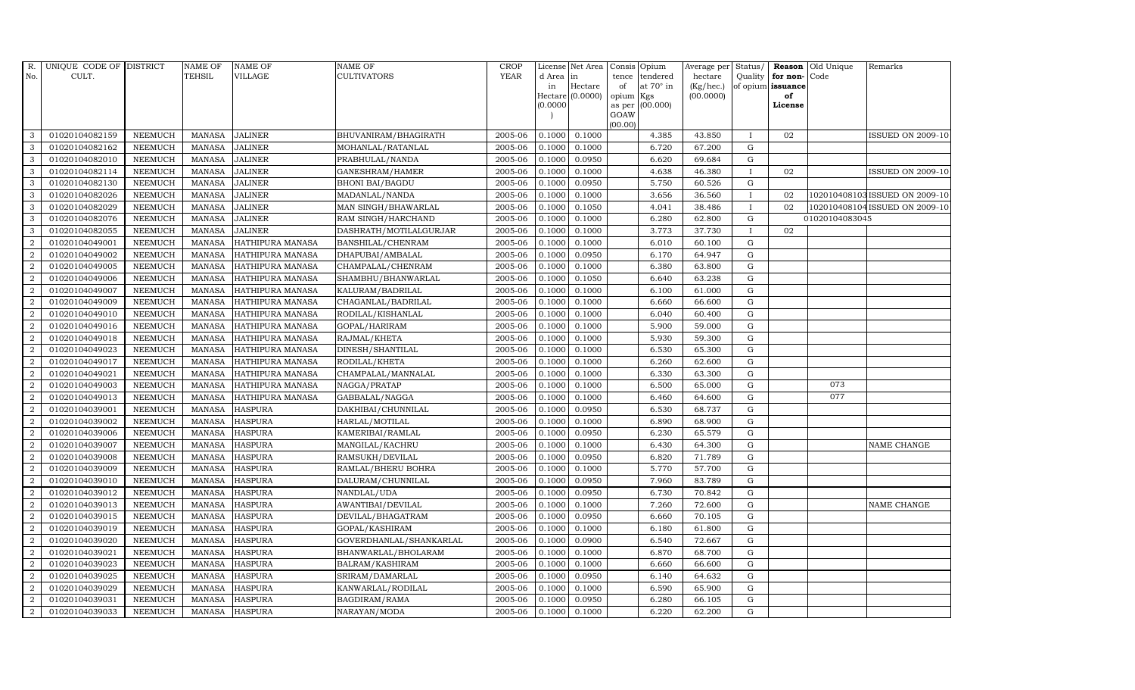| R.               | UNIQUE CODE OF DISTRICT |                | <b>NAME OF</b> | <b>NAME OF</b>   | <b>NAME OF</b>          | CROP        |           | License Net Area            |                     | Consis Opium     | Average per                  | Status/      | Reason                  | Old Unique     | Remarks                        |
|------------------|-------------------------|----------------|----------------|------------------|-------------------------|-------------|-----------|-----------------------------|---------------------|------------------|------------------------------|--------------|-------------------------|----------------|--------------------------------|
| No.              | CULT.                   |                | <b>TEHSIL</b>  | VILLAGE          | <b>CULTIVATORS</b>      | <b>YEAR</b> | d Area in |                             | tence               | tendered         | hectare                      | Quality      | for non-                | Code           |                                |
|                  |                         |                |                |                  |                         |             | in        | Hectare<br>Hectare (0.0000) | of                  | at $70^\circ$ in | $(Kg/$ hec. $)$<br>(00.0000) |              | of opium issuance<br>of |                |                                |
|                  |                         |                |                |                  |                         |             | (0.0000)  |                             | opium Kgs<br>as per | (00.000)         |                              |              | License                 |                |                                |
|                  |                         |                |                |                  |                         |             |           |                             | GOAW                |                  |                              |              |                         |                |                                |
|                  |                         |                |                |                  |                         |             |           |                             | (00.00)             |                  |                              |              |                         |                |                                |
| 3                | 01020104082159          | <b>NEEMUCH</b> | <b>MANASA</b>  | <b>JALINER</b>   | BHUVANIRAM/BHAGIRATH    | 2005-06     | 0.1000    | 0.1000                      |                     | 4.385            | 43.850                       | $\mathbf{I}$ | 02                      |                | <b>ISSUED ON 2009-10</b>       |
| 3                | 01020104082162          | <b>NEEMUCH</b> | <b>MANASA</b>  | <b>JALINER</b>   | MOHANLAL/RATANLAL       | 2005-06     | 0.1000    | 0.1000                      |                     | 6.720            | 67.200                       | ${\rm G}$    |                         |                |                                |
| 3                | 01020104082010          | <b>NEEMUCH</b> | <b>MANASA</b>  | <b>JALINER</b>   | PRABHULAL/NANDA         | 2005-06     | 0.1000    | 0.0950                      |                     | 6.620            | 69.684                       | G            |                         |                |                                |
| 3                | 01020104082114          | <b>NEEMUCH</b> | <b>MANASA</b>  | <b>JALINER</b>   | GANESHRAM/HAMER         | 2005-06     | 0.1000    | 0.1000                      |                     | 4.638            | 46.380                       | $\mathbf{I}$ | 02                      |                | <b>ISSUED ON 2009-10</b>       |
| 3                | 01020104082130          | <b>NEEMUCH</b> | <b>MANASA</b>  | <b>JALINER</b>   | <b>BHONI BAI/BAGDU</b>  | 2005-06     | 0.1000    | 0.0950                      |                     | 5.750            | 60.526                       | G            |                         |                |                                |
| 3                | 01020104082026          | <b>NEEMUCH</b> | <b>MANASA</b>  | <b>JALINER</b>   | MADANLAL/NANDA          | 2005-06     | 0.1000    | 0.1000                      |                     | 3.656            | 36.560                       | T            | 02                      |                | 102010408103 ISSUED ON 2009-10 |
| 3                | 01020104082029          | <b>NEEMUCH</b> | <b>MANASA</b>  | <b>JALINER</b>   | MAN SINGH/BHAWARLAL     | 2005-06     | 0.1000    | 0.1050                      |                     | 4.041            | 38.486                       | $\mathbf{I}$ | 02                      |                | 102010408104 ISSUED ON 2009-10 |
| 3                | 01020104082076          | <b>NEEMUCH</b> | <b>MANASA</b>  | <b>JALINER</b>   | RAM SINGH/HARCHAND      | 2005-06     | 0.1000    | 0.1000                      |                     | 6.280            | 62.800                       | G            |                         | 01020104083045 |                                |
| 3                | 01020104082055          | <b>NEEMUCH</b> | <b>MANASA</b>  | <b>JALINER</b>   | DASHRATH/MOTILALGURJAR  | 2005-06     | 0.1000    | 0.1000                      |                     | 3.773            | 37.730                       |              | 02                      |                |                                |
| $\overline{2}$   | 01020104049001          | <b>NEEMUCH</b> | <b>MANASA</b>  | HATHIPURA MANASA | BANSHILAL/CHENRAM       | 2005-06     | 0.1000    | 0.1000                      |                     | 6.010            | 60.100                       | ${\rm G}$    |                         |                |                                |
| $\overline{2}$   | 01020104049002          | <b>NEEMUCH</b> | <b>MANASA</b>  | HATHIPURA MANASA | DHAPUBAI/AMBALAL        | 2005-06     | 0.1000    | 0.0950                      |                     | 6.170            | 64.947                       | G            |                         |                |                                |
| $\overline{2}$   | 01020104049005          | <b>NEEMUCH</b> | <b>MANASA</b>  | HATHIPURA MANASA | CHAMPALAL/CHENRAM       | 2005-06     | 0.1000    | 0.1000                      |                     | 6.380            | 63.800                       | ${\bf G}$    |                         |                |                                |
| $\overline{2}$   | 01020104049006          | <b>NEEMUCH</b> | <b>MANASA</b>  | HATHIPURA MANASA | SHAMBHU/BHANWARLAL      | 2005-06     | 0.1000    | 0.1050                      |                     | 6.640            | 63.238                       | G            |                         |                |                                |
| $\overline{2}$   | 01020104049007          | <b>NEEMUCH</b> | <b>MANASA</b>  | HATHIPURA MANASA | KALURAM/BADRILAL        | 2005-06     | 0.1000    | 0.1000                      |                     | 6.100            | 61.000                       | $\mathbf G$  |                         |                |                                |
| $\boldsymbol{2}$ | 01020104049009          | <b>NEEMUCH</b> | <b>MANASA</b>  | HATHIPURA MANASA | CHAGANLAL/BADRILAL      | 2005-06     | 0.1000    | 0.1000                      |                     | 6.660            | 66.600                       | $\mathbf G$  |                         |                |                                |
| $\overline{2}$   | 01020104049010          | <b>NEEMUCH</b> | <b>MANASA</b>  | HATHIPURA MANASA | RODILAL/KISHANLAL       | 2005-06     | 0.1000    | 0.1000                      |                     | 6.040            | 60.400                       | $\mathbf G$  |                         |                |                                |
| $\overline{2}$   | 01020104049016          | <b>NEEMUCH</b> | <b>MANASA</b>  | HATHIPURA MANASA | GOPAL/HARIRAM           | 2005-06     | 0.1000    | 0.1000                      |                     | 5.900            | 59.000                       | ${\rm G}$    |                         |                |                                |
| $\overline{2}$   | 01020104049018          | <b>NEEMUCH</b> | <b>MANASA</b>  | HATHIPURA MANASA | RAJMAL/KHETA            | 2005-06     | 0.1000    | 0.1000                      |                     | 5.930            | 59.300                       | ${\rm G}$    |                         |                |                                |
| $\overline{2}$   | 01020104049023          | <b>NEEMUCH</b> | <b>MANASA</b>  | HATHIPURA MANASA | DINESH/SHANTILAL        | 2005-06     | 0.1000    | 0.1000                      |                     | 6.530            | 65.300                       | $\mathbf G$  |                         |                |                                |
| $\overline{2}$   | 01020104049017          | <b>NEEMUCH</b> | <b>MANASA</b>  | HATHIPURA MANASA | RODILAL/KHETA           | 2005-06     | 0.1000    | 0.1000                      |                     | 6.260            | 62.600                       | ${\bf G}$    |                         |                |                                |
| $\overline{2}$   | 01020104049021          | <b>NEEMUCH</b> | <b>MANASA</b>  | HATHIPURA MANASA | CHAMPALAL/MANNALAL      | 2005-06     | 0.1000    | 0.1000                      |                     | 6.330            | 63.300                       | ${\rm G}$    |                         |                |                                |
| $\overline{2}$   | 01020104049003          | <b>NEEMUCH</b> | <b>MANASA</b>  | HATHIPURA MANASA | NAGGA/PRATAP            | 2005-06     | 0.1000    | 0.1000                      |                     | 6.500            | 65.000                       | ${\rm G}$    |                         | 073            |                                |
| $\overline{2}$   | 01020104049013          | <b>NEEMUCH</b> | <b>MANASA</b>  | HATHIPURA MANASA | GABBALAL/NAGGA          | 2005-06     | 0.1000    | 0.1000                      |                     | 6.460            | 64.600                       | $\mathbf G$  |                         | 077            |                                |
| $\overline{2}$   | 01020104039001          | <b>NEEMUCH</b> | <b>MANASA</b>  | <b>HASPURA</b>   | DAKHIBAI/CHUNNILAL      | 2005-06     | 0.1000    | 0.0950                      |                     | 6.530            | 68.737                       | G            |                         |                |                                |
| $\overline{2}$   | 01020104039002          | <b>NEEMUCH</b> | <b>MANASA</b>  | <b>HASPURA</b>   | HARLAL/MOTILAL          | 2005-06     | 0.1000    | 0.1000                      |                     | 6.890            | 68.900                       | ${\rm G}$    |                         |                |                                |
| 2                | 01020104039006          | <b>NEEMUCH</b> | <b>MANASA</b>  | <b>HASPURA</b>   | KAMERIBAI/RAMLAL        | 2005-06     | 0.1000    | 0.0950                      |                     | 6.230            | 65.579                       | $\mathbf G$  |                         |                |                                |
| 2                | 01020104039007          | <b>NEEMUCH</b> | <b>MANASA</b>  | <b>HASPURA</b>   | MANGILAL/KACHRU         | 2005-06     | 0.1000    | 0.1000                      |                     | 6.430            | 64.300                       | ${\rm G}$    |                         |                | NAME CHANGE                    |
| $\overline{2}$   | 01020104039008          | <b>NEEMUCH</b> | <b>MANASA</b>  | <b>HASPURA</b>   | RAMSUKH/DEVILAL         | 2005-06     | 0.1000    | 0.0950                      |                     | 6.820            | 71.789                       | $\mathbf G$  |                         |                |                                |
| 2                | 01020104039009          | <b>NEEMUCH</b> | <b>MANASA</b>  | <b>HASPURA</b>   | RAMLAL/BHERU BOHRA      | 2005-06     | 0.1000    | 0.1000                      |                     | 5.770            | 57.700                       | $\mathbf G$  |                         |                |                                |
| $\overline{2}$   | 01020104039010          | <b>NEEMUCH</b> | <b>MANASA</b>  | <b>HASPURA</b>   | DALURAM/CHUNNILAL       | 2005-06     | 0.1000    | 0.0950                      |                     | 7.960            | 83.789                       | $\mathbf G$  |                         |                |                                |
| $\overline{2}$   | 01020104039012          | <b>NEEMUCH</b> | <b>MANASA</b>  | <b>HASPURA</b>   | NANDLAL/UDA             | 2005-06     | 0.1000    | 0.0950                      |                     | 6.730            | 70.842                       | G            |                         |                |                                |
| $\overline{2}$   | 01020104039013          | <b>NEEMUCH</b> | <b>MANASA</b>  | <b>HASPURA</b>   | AWANTIBAI/DEVILAL       | 2005-06     | 0.1000    | 0.1000                      |                     | 7.260            | 72.600                       | ${\rm G}$    |                         |                | NAME CHANGE                    |
| $\overline{2}$   | 01020104039015          | <b>NEEMUCH</b> | <b>MANASA</b>  | <b>HASPURA</b>   | DEVILAL/BHAGATRAM       | 2005-06     | 0.1000    | 0.0950                      |                     | 6.660            | 70.105                       | ${\rm G}$    |                         |                |                                |
| 2                | 01020104039019          | <b>NEEMUCH</b> | <b>MANASA</b>  | <b>HASPURA</b>   | GOPAL/KASHIRAM          | 2005-06     | 0.1000    | 0.1000                      |                     | 6.180            | 61.800                       | $\mathbf G$  |                         |                |                                |
| 2                | 01020104039020          | <b>NEEMUCH</b> | <b>MANASA</b>  | <b>HASPURA</b>   | GOVERDHANLAL/SHANKARLAL | 2005-06     | 0.1000    | 0.0900                      |                     | 6.540            | 72.667                       | $\mathbf G$  |                         |                |                                |
| $\overline{2}$   | 01020104039021          | <b>NEEMUCH</b> | <b>MANASA</b>  | <b>HASPURA</b>   | BHANWARLAL/BHOLARAM     | 2005-06     | 0.1000    | 0.1000                      |                     | 6.870            | 68.700                       | ${\rm G}$    |                         |                |                                |
| 2                | 01020104039023          | <b>NEEMUCH</b> | <b>MANASA</b>  | <b>HASPURA</b>   | BALRAM/KASHIRAM         | 2005-06     | 0.1000    | 0.1000                      |                     | 6.660            | 66.600                       | ${\rm G}$    |                         |                |                                |
| $\boldsymbol{2}$ | 01020104039025          | <b>NEEMUCH</b> | <b>MANASA</b>  | <b>HASPURA</b>   | SRIRAM/DAMARLAL         | 2005-06     | 0.1000    | 0.0950                      |                     | 6.140            | 64.632                       | ${\rm G}$    |                         |                |                                |
| 2                | 01020104039029          | <b>NEEMUCH</b> | <b>MANASA</b>  | <b>HASPURA</b>   | KANWARLAL/RODILAL       | 2005-06     | 0.1000    | 0.1000                      |                     | 6.590            | 65.900                       | ${\rm G}$    |                         |                |                                |
| 2                | 01020104039031          | <b>NEEMUCH</b> | <b>MANASA</b>  | <b>HASPURA</b>   | BAGDIRAM/RAMA           | 2005-06     | 0.1000    | 0.0950                      |                     | 6.280            | 66.105                       | $\mathbf G$  |                         |                |                                |
| $\overline{2}$   | 01020104039033          | <b>NEEMUCH</b> |                | MANASA HASPURA   | NARAYAN/MODA            | 2005-06     | 0.1000    | 0.1000                      |                     | 6.220            | 62.200                       | G            |                         |                |                                |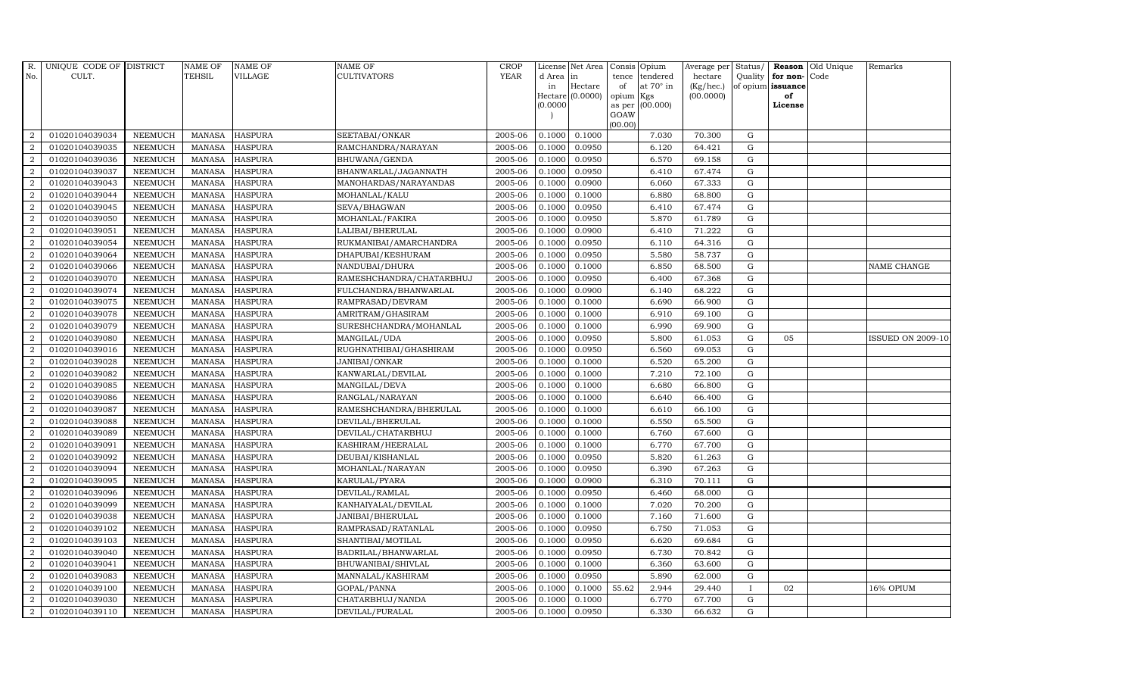| $R_{\cdot}$    | UNIQUE CODE OF DISTRICT |                | <b>NAME OF</b> | <b>NAME OF</b> | <b>NAME OF</b>           | <b>CROP</b> |           | License Net Area |                 | Consis Opium     | Average per  | Status/     |                   | Reason Old Unique | Remarks                  |
|----------------|-------------------------|----------------|----------------|----------------|--------------------------|-------------|-----------|------------------|-----------------|------------------|--------------|-------------|-------------------|-------------------|--------------------------|
| No.            | CULT.                   |                | <b>TEHSIL</b>  | VILLAGE        | <b>CULTIVATORS</b>       | <b>YEAR</b> | d Area in |                  | tence           | tendered         | hectare      | Quality     | for non-Code      |                   |                          |
|                |                         |                |                |                |                          |             | in        | Hectare          | of              | at $70^\circ$ in | $(Kg/$ hec.) |             | of opium issuance |                   |                          |
|                |                         |                |                |                |                          |             | (0.0000)  | Hectare (0.0000) | opium<br>as per | Kgs<br>(00.000)  | (00.0000)    |             | of<br>License     |                   |                          |
|                |                         |                |                |                |                          |             |           |                  | GOAW            |                  |              |             |                   |                   |                          |
|                |                         |                |                |                |                          |             |           |                  | (00.00)         |                  |              |             |                   |                   |                          |
| $\overline{2}$ | 01020104039034          | <b>NEEMUCH</b> |                | MANASA HASPURA | SEETABAI/ONKAR           | 2005-06     | 0.1000    | 0.1000           |                 | 7.030            | 70.300       | G           |                   |                   |                          |
| $\overline{2}$ | 01020104039035          | <b>NEEMUCH</b> | <b>MANASA</b>  | <b>HASPURA</b> | RAMCHANDRA/NARAYAN       | 2005-06     | 0.1000    | 0.0950           |                 | 6.120            | 64.421       | $\mathbf G$ |                   |                   |                          |
| 2              | 01020104039036          | <b>NEEMUCH</b> | <b>MANASA</b>  | <b>HASPURA</b> | BHUWANA/GENDA            | 2005-06     | 0.1000    | 0.0950           |                 | 6.570            | 69.158       | G           |                   |                   |                          |
| $\overline{2}$ | 01020104039037          | <b>NEEMUCH</b> | <b>MANASA</b>  | <b>HASPURA</b> | BHANWARLAL/JAGANNATH     | 2005-06     | 0.1000    | 0.0950           |                 | 6.410            | 67.474       | ${\rm G}$   |                   |                   |                          |
| $\overline{a}$ | 01020104039043          | <b>NEEMUCH</b> | <b>MANASA</b>  | <b>HASPURA</b> | MANOHARDAS/NARAYANDAS    | 2005-06     | 0.1000    | 0.0900           |                 | 6.060            | 67.333       | ${\rm G}$   |                   |                   |                          |
| 2              | 01020104039044          | <b>NEEMUCH</b> | <b>MANASA</b>  | <b>HASPURA</b> | MOHANLAL/KALU            | 2005-06     | 0.1000    | 0.1000           |                 | 6.880            | 68.800       | G           |                   |                   |                          |
| $\overline{2}$ | 01020104039045          | <b>NEEMUCH</b> | <b>MANASA</b>  | <b>HASPURA</b> | SEVA/BHAGWAN             | 2005-06     | 0.1000    | 0.0950           |                 | 6.410            | 67.474       | $\mathbf G$ |                   |                   |                          |
| 2              | 01020104039050          | <b>NEEMUCH</b> | <b>MANASA</b>  | <b>HASPURA</b> | MOHANLAL/FAKIRA          | 2005-06     | 0.1000    | 0.0950           |                 | 5.870            | 61.789       | $\mathbf G$ |                   |                   |                          |
| $\overline{2}$ | 01020104039051          | <b>NEEMUCH</b> | <b>MANASA</b>  | <b>HASPURA</b> | LALIBAI/BHERULAL         | 2005-06     | 0.1000    | 0.0900           |                 | 6.410            | 71.222       | G           |                   |                   |                          |
| $\overline{a}$ | 01020104039054          | <b>NEEMUCH</b> | <b>MANASA</b>  | <b>HASPURA</b> | RUKMANIBAI/AMARCHANDRA   | 2005-06     | 0.1000    | 0.0950           |                 | 6.110            | 64.316       | ${\rm G}$   |                   |                   |                          |
| $\overline{2}$ | 01020104039064          | <b>NEEMUCH</b> | <b>MANASA</b>  | <b>HASPURA</b> | DHAPUBAI/KESHURAM        | 2005-06     | 0.1000    | 0.0950           |                 | 5.580            | 58.737       | ${\rm G}$   |                   |                   |                          |
| 2              | 01020104039066          | <b>NEEMUCH</b> | <b>MANASA</b>  | <b>HASPURA</b> | NANDUBAI/DHURA           | 2005-06     | 0.1000    | 0.1000           |                 | 6.850            | 68.500       | $\mathbf G$ |                   |                   | <b>NAME CHANGE</b>       |
| $\overline{2}$ | 01020104039070          | <b>NEEMUCH</b> | <b>MANASA</b>  | <b>HASPURA</b> | RAMESHCHANDRA/CHATARBHUJ | 2005-06     | 0.1000    | 0.0950           |                 | 6.400            | 67.368       | $\mathbf G$ |                   |                   |                          |
| 2              | 01020104039074          | <b>NEEMUCH</b> | <b>MANASA</b>  | <b>HASPURA</b> | FULCHANDRA/BHANWARLAL    | 2005-06     | 0.1000    | 0.0900           |                 | 6.140            | 68.222       | G           |                   |                   |                          |
| $\overline{2}$ | 01020104039075          | <b>NEEMUCH</b> | <b>MANASA</b>  | <b>HASPURA</b> | RAMPRASAD/DEVRAM         | 2005-06     | 0.1000    | 0.1000           |                 | 6.690            | 66.900       | $\mathbf G$ |                   |                   |                          |
| $\overline{a}$ | 01020104039078          | <b>NEEMUCH</b> | <b>MANASA</b>  | <b>HASPURA</b> | AMRITRAM/GHASIRAM        | 2005-06     | 0.1000    | 0.1000           |                 | 6.910            | 69.100       | ${\rm G}$   |                   |                   |                          |
| 2              | 01020104039079          | <b>NEEMUCH</b> | <b>MANASA</b>  | <b>HASPURA</b> | SURESHCHANDRA/MOHANLAL   | 2005-06     | 0.1000    | 0.1000           |                 | 6.990            | 69.900       | G           |                   |                   |                          |
| $\overline{2}$ | 01020104039080          | <b>NEEMUCH</b> | <b>MANASA</b>  | <b>HASPURA</b> | MANGILAL/UDA             | 2005-06     | 0.1000    | 0.0950           |                 | 5.800            | 61.053       | $\mathbf G$ | 05                |                   | <b>ISSUED ON 2009-10</b> |
| $\overline{a}$ | 01020104039016          | <b>NEEMUCH</b> | <b>MANASA</b>  | <b>HASPURA</b> | RUGHNATHIBAI/GHASHIRAM   | 2005-06     | 0.1000    | 0.0950           |                 | 6.560            | 69.053       | $\mathbf G$ |                   |                   |                          |
| $\overline{2}$ | 01020104039028          | <b>NEEMUCH</b> | <b>MANASA</b>  | <b>HASPURA</b> | JANIBAI/ONKAR            | 2005-06     | 0.1000    | 0.1000           |                 | 6.520            | 65.200       | $\mathbf G$ |                   |                   |                          |
| $\overline{a}$ | 01020104039082          | <b>NEEMUCH</b> | <b>MANASA</b>  | <b>HASPURA</b> | KANWARLAL/DEVILAL        | 2005-06     | 0.1000    | 0.1000           |                 | 7.210            | 72.100       | ${\rm G}$   |                   |                   |                          |
| $\overline{a}$ | 01020104039085          | <b>NEEMUCH</b> | <b>MANASA</b>  | <b>HASPURA</b> | MANGILAL/DEVA            | 2005-06     | 0.1000    | 0.1000           |                 | 6.680            | 66.800       | G           |                   |                   |                          |
| $\overline{2}$ | 01020104039086          | <b>NEEMUCH</b> | <b>MANASA</b>  | <b>HASPURA</b> | RANGLAL/NARAYAN          | 2005-06     | 0.1000    | 0.1000           |                 | 6.640            | 66.400       | G           |                   |                   |                          |
| $\overline{2}$ | 01020104039087          | <b>NEEMUCH</b> | <b>MANASA</b>  | <b>HASPURA</b> | RAMESHCHANDRA/BHERULAL   | 2005-06     | 0.1000    | 0.1000           |                 | 6.610            | 66.100       | $\mathbf G$ |                   |                   |                          |
| $\overline{2}$ | 01020104039088          | <b>NEEMUCH</b> | <b>MANASA</b>  | <b>HASPURA</b> | DEVILAL/BHERULAL         | 2005-06     | 0.1000    | 0.1000           |                 | 6.550            | 65.500       | G           |                   |                   |                          |
| 2              | 01020104039089          | <b>NEEMUCH</b> | <b>MANASA</b>  | <b>HASPURA</b> | DEVILAL/CHATARBHUJ       | 2005-06     | 0.1000    | 0.1000           |                 | 6.760            | 67.600       | G           |                   |                   |                          |
| $\overline{a}$ | 01020104039091          | <b>NEEMUCH</b> | <b>MANASA</b>  | <b>HASPURA</b> | KASHIRAM/HEERALAL        | 2005-06     | 0.1000    | 0.1000           |                 | 6.770            | 67.700       | ${\rm G}$   |                   |                   |                          |
| 2              | 01020104039092          | <b>NEEMUCH</b> | <b>MANASA</b>  | <b>HASPURA</b> | DEUBAI/KISHANLAL         | 2005-06     | 0.1000    | 0.0950           |                 | 5.820            | 61.263       | G           |                   |                   |                          |
| 2              | 01020104039094          | <b>NEEMUCH</b> | <b>MANASA</b>  | <b>HASPURA</b> | MOHANLAL/NARAYAN         | 2005-06     | 0.1000    | 0.0950           |                 | 6.390            | 67.263       | $\mathbf G$ |                   |                   |                          |
| $\overline{2}$ | 01020104039095          | <b>NEEMUCH</b> | <b>MANASA</b>  | <b>HASPURA</b> | KARULAL/PYARA            | 2005-06     | 0.1000    | 0.0900           |                 | 6.310            | 70.111       | $\mathbf G$ |                   |                   |                          |
| 2              | 01020104039096          | <b>NEEMUCH</b> | <b>MANASA</b>  | <b>HASPURA</b> | DEVILAL/RAMLAL           | 2005-06     | 0.1000    | 0.0950           |                 | 6.460            | 68.000       | G           |                   |                   |                          |
| $\overline{a}$ | 01020104039099          | <b>NEEMUCH</b> | <b>MANASA</b>  | <b>HASPURA</b> | KANHAIYALAL/DEVILAL      | 2005-06     | 0.1000    | 0.1000           |                 | 7.020            | 70.200       | ${\rm G}$   |                   |                   |                          |
| $\overline{a}$ | 01020104039038          | NEEMUCH        | <b>MANASA</b>  | <b>HASPURA</b> | JANIBAI/BHERULAL         | 2005-06     | 0.1000    | 0.1000           |                 | 7.160            | 71.600       | G           |                   |                   |                          |
| 2              | 01020104039102          | <b>NEEMUCH</b> | <b>MANASA</b>  | <b>HASPURA</b> | RAMPRASAD/RATANLAL       | 2005-06     | 0.1000    | 0.0950           |                 | 6.750            | 71.053       | $\mathbf G$ |                   |                   |                          |
| $\overline{2}$ | 01020104039103          | <b>NEEMUCH</b> | <b>MANASA</b>  | <b>HASPURA</b> | SHANTIBAI/MOTILAL        | 2005-06     | 0.1000    | 0.0950           |                 | 6.620            | 69.684       | $\mathbf G$ |                   |                   |                          |
| $\overline{a}$ | 01020104039040          | <b>NEEMUCH</b> | <b>MANASA</b>  | <b>HASPURA</b> | BADRILAL/BHANWARLAL      | 2005-06     | 0.1000    | 0.0950           |                 | 6.730            | 70.842       | G           |                   |                   |                          |
| $\overline{2}$ | 01020104039041          | <b>NEEMUCH</b> | <b>MANASA</b>  | <b>HASPURA</b> | BHUWANIBAI/SHIVLAL       | 2005-06     | 0.1000    | 0.1000           |                 | 6.360            | 63.600       | ${\rm G}$   |                   |                   |                          |
| $\overline{a}$ | 01020104039083          | <b>NEEMUCH</b> | <b>MANASA</b>  | <b>HASPURA</b> | MANNALAL/KASHIRAM        | 2005-06     | 0.1000    | 0.0950           |                 | 5.890            | 62.000       | G           |                   |                   |                          |
| 2              | 01020104039100          | <b>NEEMUCH</b> | <b>MANASA</b>  | <b>HASPURA</b> | GOPAL/PANNA              | 2005-06     | 0.1000    | 0.1000           | 55.62           | 2.944            | 29.440       |             | 02                |                   | 16% OPIUM                |
| 2              | 01020104039030          | <b>NEEMUCH</b> | <b>MANASA</b>  | <b>HASPURA</b> | CHATARBHUJ/NANDA         | 2005-06     | 0.1000    | 0.1000           |                 | 6.770            | 67.700       | G           |                   |                   |                          |
| $\overline{a}$ | 01020104039110          | <b>NEEMUCH</b> |                | MANASA HASPURA | DEVILAL/PURALAL          | 2005-06     | 0.1000    | 0.0950           |                 | 6.330            | 66.632       | G           |                   |                   |                          |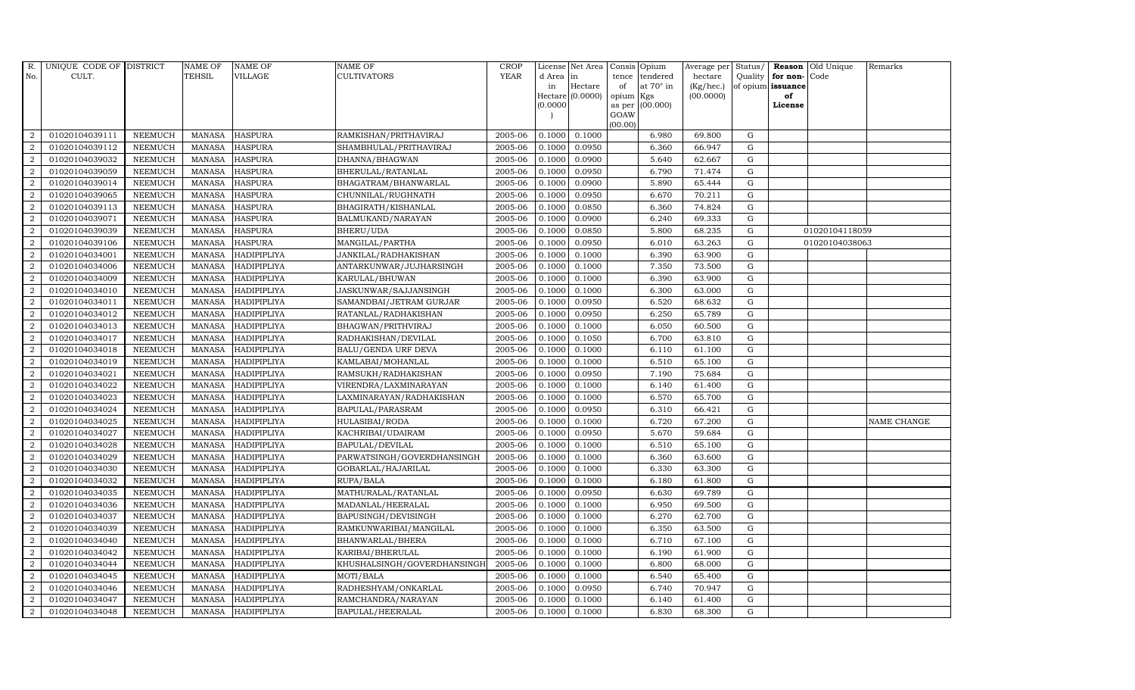| R.             | UNIQUE CODE OF DISTRICT |                | <b>NAME OF</b> | <b>NAME OF</b>     | NAME OF                     | <b>CROP</b> |           | License Net Area |                 | Consis Opium     | Average per | Status/     |                   | Reason Old Unique | Remarks            |
|----------------|-------------------------|----------------|----------------|--------------------|-----------------------------|-------------|-----------|------------------|-----------------|------------------|-------------|-------------|-------------------|-------------------|--------------------|
| No.            | CULT.                   |                | TEHSIL         | VILLAGE            | CULTIVATORS                 | <b>YEAR</b> | d Area in |                  | tence           | tendered         | hectare     | Quality     | for non-Code      |                   |                    |
|                |                         |                |                |                    |                             |             | in        | Hectare          | of              | at $70^\circ$ in | (Kg/hec.)   |             | of opium issuance |                   |                    |
|                |                         |                |                |                    |                             |             | (0.0000)  | Hectare (0.0000) | opium<br>as per | Kgs<br>(00.000)  | (00.0000)   |             | of<br>License     |                   |                    |
|                |                         |                |                |                    |                             |             |           |                  | GOAW            |                  |             |             |                   |                   |                    |
|                |                         |                |                |                    |                             |             |           |                  | (00.00)         |                  |             |             |                   |                   |                    |
| $\overline{2}$ | 01020104039111          | <b>NEEMUCH</b> |                | MANASA HASPURA     | RAMKISHAN/PRITHAVIRAJ       | 2005-06     | 0.1000    | 0.1000           |                 | 6.980            | 69.800      | G           |                   |                   |                    |
| $\overline{2}$ | 01020104039112          | <b>NEEMUCH</b> | <b>MANASA</b>  | <b>HASPURA</b>     | SHAMBHULAL/PRITHAVIRAJ      | 2005-06     | 0.1000    | 0.0950           |                 | 6.360            | 66.947      | $\mathbf G$ |                   |                   |                    |
| 2              | 01020104039032          | <b>NEEMUCH</b> | <b>MANASA</b>  | <b>HASPURA</b>     | DHANNA/BHAGWAN              | 2005-06     | 0.1000    | 0.0900           |                 | 5.640            | 62.667      | G           |                   |                   |                    |
| $\sqrt{2}$     | 01020104039059          | <b>NEEMUCH</b> | <b>MANASA</b>  | <b>HASPURA</b>     | BHERULAL/RATANLAL           | 2005-06     | 0.1000    | 0.0950           |                 | 6.790            | 71.474      | ${\rm G}$   |                   |                   |                    |
| $\overline{a}$ | 01020104039014          | <b>NEEMUCH</b> | <b>MANASA</b>  | <b>HASPURA</b>     | BHAGATRAM/BHANWARLAL        | 2005-06     | 0.1000    | 0.0900           |                 | 5.890            | 65.444      | ${\rm G}$   |                   |                   |                    |
| $\overline{2}$ | 01020104039065          | NEEMUCH        | <b>MANASA</b>  | <b>HASPURA</b>     | CHUNNILAL/RUGHNATH          | 2005-06     | 0.1000    | 0.0950           |                 | 6.670            | 70.211      | G           |                   |                   |                    |
| 2              | 01020104039113          | <b>NEEMUCH</b> | <b>MANASA</b>  | <b>HASPURA</b>     | BHAGIRATH/KISHANLAL         | 2005-06     | 0.1000    | 0.0850           |                 | 6.360            | 74.824      | $\mathbf G$ |                   |                   |                    |
| 2              | 01020104039071          | <b>NEEMUCH</b> | <b>MANASA</b>  | <b>HASPURA</b>     | BALMUKAND/NARAYAN           | 2005-06     | 0.1000    | 0.0900           |                 | 6.240            | 69.333      | G           |                   |                   |                    |
| $\overline{2}$ | 01020104039039          | <b>NEEMUCH</b> | <b>MANASA</b>  | <b>HASPURA</b>     | BHERU/UDA                   | 2005-06     | 0.1000    | 0.0850           |                 | 5.800            | 68.235      | G           |                   | 01020104118059    |                    |
| $\overline{a}$ | 01020104039106          | <b>NEEMUCH</b> | <b>MANASA</b>  | <b>HASPURA</b>     | MANGILAL/PARTHA             | 2005-06     | 0.1000    | 0.0950           |                 | 6.010            | 63.263      | G           |                   | 01020104038063    |                    |
| $\overline{2}$ | 01020104034001          | <b>NEEMUCH</b> | <b>MANASA</b>  | HADIPIPLIYA        | JANKILAL/RADHAKISHAN        | 2005-06     | 0.1000    | 0.1000           |                 | 6.390            | 63.900      | ${\rm G}$   |                   |                   |                    |
| 2              | 01020104034006          | <b>NEEMUCH</b> | <b>MANASA</b>  | HADIPIPLIYA        | ANTARKUNWAR/JUJHARSINGH     | 2005-06     | 0.1000    | 0.1000           |                 | 7.350            | 73.500      | $\mathbf G$ |                   |                   |                    |
| $\overline{2}$ | 01020104034009          | <b>NEEMUCH</b> | <b>MANASA</b>  | HADIPIPLIYA        | KARULAL/BHUWAN              | 2005-06     | 0.1000    | 0.1000           |                 | 6.390            | 63.900      | $\mathbf G$ |                   |                   |                    |
| $\overline{2}$ | 01020104034010          | <b>NEEMUCH</b> | <b>MANASA</b>  | HADIPIPLIYA        | JASKUNWAR/SAJJANSINGH       | 2005-06     | 0.1000    | 0.1000           |                 | 6.300            | 63.000      | G           |                   |                   |                    |
| $\overline{2}$ | 01020104034011          | <b>NEEMUCH</b> | <b>MANASA</b>  | <b>HADIPIPLIYA</b> | SAMANDBAI/JETRAM GURJAR     | 2005-06     | 0.1000    | 0.0950           |                 | 6.520            | 68.632      | $\mathbf G$ |                   |                   |                    |
| $\overline{2}$ | 01020104034012          | <b>NEEMUCH</b> | <b>MANASA</b>  | <b>HADIPIPLIYA</b> | RATANLAL/RADHAKISHAN        | 2005-06     | 0.1000    | 0.0950           |                 | 6.250            | 65.789      | G           |                   |                   |                    |
| $\overline{2}$ | 01020104034013          | <b>NEEMUCH</b> | <b>MANASA</b>  | <b>HADIPIPLIYA</b> | BHAGWAN/PRITHVIRAJ          | 2005-06     | 0.1000    | 0.1000           |                 | 6.050            | 60.500      | G           |                   |                   |                    |
| $\overline{2}$ | 01020104034017          | <b>NEEMUCH</b> | <b>MANASA</b>  | HADIPIPLIYA        | RADHAKISHAN/DEVILAL         | 2005-06     | 0.1000    | 0.1050           |                 | 6.700            | 63.810      | $\mathbf G$ |                   |                   |                    |
| $\overline{a}$ | 01020104034018          | <b>NEEMUCH</b> | <b>MANASA</b>  | HADIPIPLIYA        | <b>BALU/GENDA URF DEVA</b>  | 2005-06     | 0.1000    | 0.1000           |                 | 6.110            | 61.100      | $\mathbf G$ |                   |                   |                    |
| 2              | 01020104034019          | <b>NEEMUCH</b> | <b>MANASA</b>  | <b>HADIPIPLIYA</b> | KAMLABAI/MOHANLAL           | 2005-06     | 0.1000    | 0.1000           |                 | 6.510            | 65.100      | $\mathbf G$ |                   |                   |                    |
| $\overline{a}$ | 01020104034021          | <b>NEEMUCH</b> | <b>MANASA</b>  | <b>HADIPIPLIYA</b> | RAMSUKH/RADHAKISHAN         | 2005-06     | 0.1000    | 0.0950           |                 | 7.190            | 75.684      | G           |                   |                   |                    |
| $\overline{a}$ | 01020104034022          | <b>NEEMUCH</b> | <b>MANASA</b>  | <b>HADIPIPLIYA</b> | VIRENDRA/LAXMINARAYAN       | 2005-06     | 0.1000    | 0.1000           |                 | 6.140            | 61.400      | G           |                   |                   |                    |
| $\overline{2}$ | 01020104034023          | <b>NEEMUCH</b> | <b>MANASA</b>  | HADIPIPLIYA        | LAXMINARAYAN/RADHAKISHAN    | 2005-06     | 0.1000    | 0.1000           |                 | 6.570            | 65.700      | G           |                   |                   |                    |
| $\overline{2}$ | 01020104034024          | <b>NEEMUCH</b> | <b>MANASA</b>  | <b>HADIPIPLIYA</b> | BAPULAL/PARASRAM            | 2005-06     | 0.1000    | 0.0950           |                 | 6.310            | 66.421      | $\mathbf G$ |                   |                   |                    |
| $\overline{2}$ | 01020104034025          | <b>NEEMUCH</b> | <b>MANASA</b>  | HADIPIPLIYA        | HULASIBAI/RODA              | 2005-06     | 0.1000    | 0.1000           |                 | 6.720            | 67.200      | G           |                   |                   | <b>NAME CHANGE</b> |
| $\overline{2}$ | 01020104034027          | <b>NEEMUCH</b> | <b>MANASA</b>  | <b>HADIPIPLIYA</b> | KACHRIBAI/UDAIRAM           | 2005-06     | 0.1000    | 0.0950           |                 | 5.670            | 59.684      | G           |                   |                   |                    |
| $\overline{a}$ | 01020104034028          | <b>NEEMUCH</b> | <b>MANASA</b>  | <b>HADIPIPLIYA</b> | BAPULAL/DEVILAL             | 2005-06     | 0.1000    | 0.1000           |                 | 6.510            | 65.100      | G           |                   |                   |                    |
| 2              | 01020104034029          | <b>NEEMUCH</b> | <b>MANASA</b>  | HADIPIPLIYA        | PARWATSINGH/GOVERDHANSINGH  | 2005-06     | 0.1000    | 0.1000           |                 | 6.360            | 63.600      | G           |                   |                   |                    |
| 2              | 01020104034030          | <b>NEEMUCH</b> | <b>MANASA</b>  | <b>HADIPIPLIYA</b> | GOBARLAL/HAJARILAL          | 2005-06     | 0.1000    | 0.1000           |                 | 6.330            | 63.300      | $\mathbf G$ |                   |                   |                    |
| $\overline{2}$ | 01020104034032          | <b>NEEMUCH</b> | <b>MANASA</b>  | HADIPIPLIYA        | RUPA/BALA                   | 2005-06     | 0.1000    | 0.1000           |                 | 6.180            | 61.800      | $\mathbf G$ |                   |                   |                    |
| 2              | 01020104034035          | <b>NEEMUCH</b> | <b>MANASA</b>  | <b>HADIPIPLIYA</b> | MATHURALAL/RATANLAL         | 2005-06     | 0.1000    | 0.0950           |                 | 6.630            | 69.789      | G           |                   |                   |                    |
| $\overline{a}$ | 01020104034036          | <b>NEEMUCH</b> | <b>MANASA</b>  | <b>HADIPIPLIYA</b> | MADANLAL/HEERALAL           | 2005-06     | 0.1000    | 0.1000           |                 | 6.950            | 69.500      | ${\rm G}$   |                   |                   |                    |
| $\overline{a}$ | 01020104034037          | <b>NEEMUCH</b> | <b>MANASA</b>  | HADIPIPLIYA        | BAPUSINGH/DEVISINGH         | 2005-06     | 0.1000    | 0.1000           |                 | 6.270            | 62.700      | $\mathbf G$ |                   |                   |                    |
| $\overline{2}$ | 01020104034039          | <b>NEEMUCH</b> | <b>MANASA</b>  | <b>HADIPIPLIYA</b> | RAMKUNWARIBAI/MANGILAL      | 2005-06     | 0.1000    | 0.1000           |                 | 6.350            | 63.500      | $\mathbf G$ |                   |                   |                    |
| $\overline{2}$ | 01020104034040          | <b>NEEMUCH</b> | <b>MANASA</b>  | <b>HADIPIPLIYA</b> | BHANWARLAL/BHERA            | 2005-06     | 0.1000    | 0.1000           |                 | 6.710            | 67.100      | $\mathbf G$ |                   |                   |                    |
| $\overline{a}$ | 01020104034042          | <b>NEEMUCH</b> | <b>MANASA</b>  | HADIPIPLIYA        | KARIBAI/BHERULAL            | 2005-06     | 0.1000    | 0.1000           |                 | 6.190            | 61.900      | ${\rm G}$   |                   |                   |                    |
| $\overline{2}$ | 01020104034044          | <b>NEEMUCH</b> | <b>MANASA</b>  | HADIPIPLIYA        | KHUSHALSINGH/GOVERDHANSINGH | 2005-06     | 0.1000    | 0.1000           |                 | 6.800            | 68.000      | ${\rm G}$   |                   |                   |                    |
| $\overline{a}$ | 01020104034045          | <b>NEEMUCH</b> | <b>MANASA</b>  | HADIPIPLIYA        | MOTI/BALA                   | 2005-06     | 0.1000    | 0.1000           |                 | 6.540            | 65.400      | G           |                   |                   |                    |
| 2              | 01020104034046          | <b>NEEMUCH</b> | <b>MANASA</b>  | HADIPIPLIYA        | RADHESHYAM/ONKARLAL         | 2005-06     | 0.1000    | 0.0950           |                 | 6.740            | 70.947      | $\mathbf G$ |                   |                   |                    |
| 2              | 01020104034047          | <b>NEEMUCH</b> | <b>MANASA</b>  | <b>HADIPIPLIYA</b> | RAMCHANDRA/NARAYAN          | 2005-06     | 0.1000    | 0.1000           |                 | 6.140            | 61.400      | $\mathbf G$ |                   |                   |                    |
| $\overline{a}$ | 01020104034048          | <b>NEEMUCH</b> |                | MANASA HADIPIPLIYA | BAPULAL/HEERALAL            | 2005-06     | 0.1000    | 0.1000           |                 | 6.830            | 68.300      | G           |                   |                   |                    |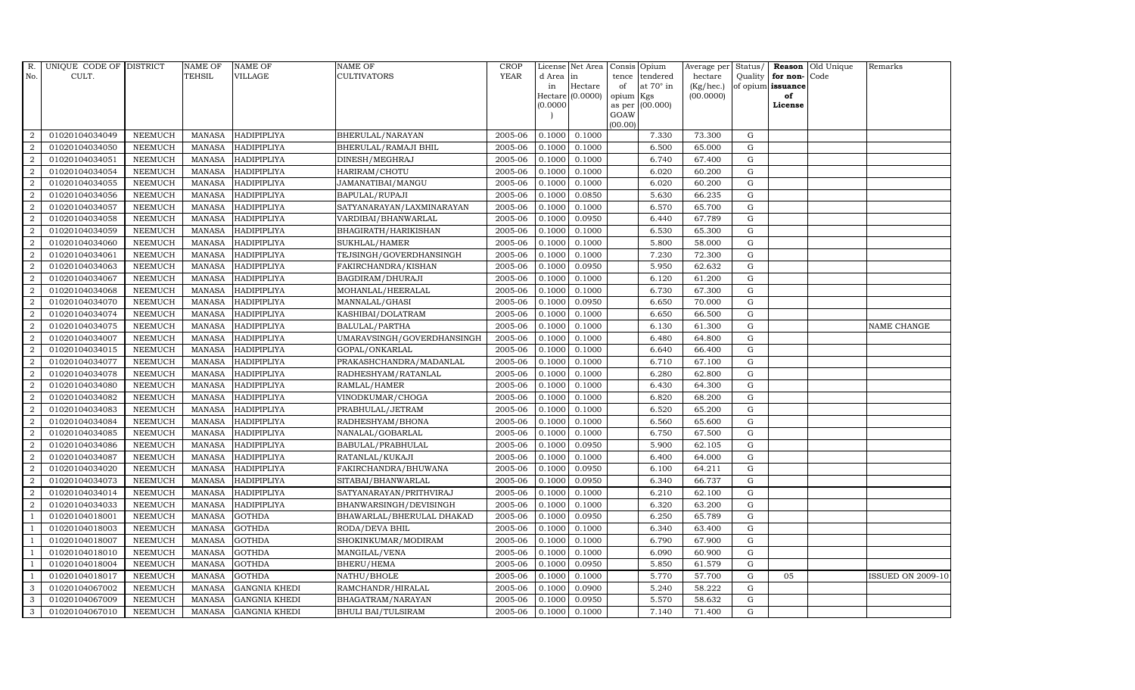| R.               | UNIQUE CODE OF DISTRICT |                | <b>NAME OF</b> | <b>NAME OF</b>       | <b>NAME OF</b>             | CROP        |           | License Net Area   Consis   Opium |           |                  | Average per | Status/     | Reason            | Old Unique | Remarks                  |
|------------------|-------------------------|----------------|----------------|----------------------|----------------------------|-------------|-----------|-----------------------------------|-----------|------------------|-------------|-------------|-------------------|------------|--------------------------|
| No.              | CULT.                   |                | <b>TEHSIL</b>  | <b>VILLAGE</b>       | <b>CULTIVATORS</b>         | <b>YEAR</b> | d Area in |                                   | tence     | tendered         | hectare     | Quality     | for non-          | Code       |                          |
|                  |                         |                |                |                      |                            |             | in        | Hectare                           | of        | at $70^\circ$ in | (Kg/hec.)   |             | of opium issuance |            |                          |
|                  |                         |                |                |                      |                            |             |           | Hectare (0.0000)                  | opium Kgs |                  | (00.0000)   |             | of                |            |                          |
|                  |                         |                |                |                      |                            |             | (0.0000)  |                                   | GOAW      | as per (00.000)  |             |             | License           |            |                          |
|                  |                         |                |                |                      |                            |             |           |                                   | (00.00)   |                  |             |             |                   |            |                          |
| $\overline{2}$   | 01020104034049          | <b>NEEMUCH</b> |                | MANASA HADIPIPLIYA   | BHERULAL/NARAYAN           | 2005-06     | 0.1000    | 0.1000                            |           | 7.330            | 73.300      | $\mathbf G$ |                   |            |                          |
| $\overline{2}$   | 01020104034050          | <b>NEEMUCH</b> | MANASA         | HADIPIPLIYA          | BHERULAL/RAMAJI BHIL       | 2005-06     | 0.1000    | 0.1000                            |           | 6.500            | 65.000      | $\mathbf G$ |                   |            |                          |
| 2                | 01020104034051          | <b>NEEMUCH</b> | <b>MANASA</b>  | HADIPIPLIYA          | DINESH/MEGHRAJ             | 2005-06     | 0.1000    | 0.1000                            |           | 6.740            | 67.400      | G           |                   |            |                          |
| $\overline{2}$   | 01020104034054          | <b>NEEMUCH</b> | MANASA         | <b>HADIPIPLIYA</b>   | HARIRAM/CHOTU              | 2005-06     | 0.1000    | 0.1000                            |           | 6.020            | 60.200      | $\mathbf G$ |                   |            |                          |
| $\overline{a}$   | 01020104034055          | <b>NEEMUCH</b> | <b>MANASA</b>  | <b>HADIPIPLIYA</b>   | JAMANATIBAI/MANGU          | 2005-06     | 0.1000    | 0.1000                            |           | 6.020            | 60.200      | ${\rm G}$   |                   |            |                          |
| $\overline{2}$   | 01020104034056          | <b>NEEMUCH</b> | <b>MANASA</b>  | HADIPIPLIYA          | BAPULAL/RUPAJI             | 2005-06     | 0.1000    | 0.0850                            |           | 5.630            | 66.235      | $\mathbf G$ |                   |            |                          |
| $\overline{a}$   | 01020104034057          | <b>NEEMUCH</b> | <b>MANASA</b>  | HADIPIPLIYA          | SATYANARAYAN/LAXMINARAYAN  | 2005-06     | 0.1000    | 0.1000                            |           | 6.570            | 65.700      | $\mathbf G$ |                   |            |                          |
| $\overline{2}$   | 01020104034058          | <b>NEEMUCH</b> | <b>MANASA</b>  | <b>HADIPIPLIYA</b>   | VARDIBAI/BHANWARLAL        | 2005-06     | 0.1000    | 0.0950                            |           | 6.440            | 67.789      | $\mathbf G$ |                   |            |                          |
| $\overline{2}$   | 01020104034059          | <b>NEEMUCH</b> | <b>MANASA</b>  | HADIPIPLIYA          | BHAGIRATH/HARIKISHAN       | 2005-06     | 0.1000    | 0.1000                            |           | 6.530            | 65.300      | $\mathbf G$ |                   |            |                          |
| $\overline{2}$   | 01020104034060          | <b>NEEMUCH</b> | <b>MANASA</b>  | HADIPIPLIYA          | SUKHLAL/HAMER              | 2005-06     | 0.1000    | 0.1000                            |           | 5.800            | 58.000      | ${\rm G}$   |                   |            |                          |
| $\overline{a}$   | 01020104034061          | <b>NEEMUCH</b> | <b>MANASA</b>  | HADIPIPLIYA          | TEJSINGH/GOVERDHANSINGH    | 2005-06     | 0.1000    | 0.1000                            |           | 7.230            | 72.300      | ${\rm G}$   |                   |            |                          |
| $\overline{2}$   | 01020104034063          | <b>NEEMUCH</b> | MANASA         | HADIPIPLIYA          | FAKIRCHANDRA/KISHAN        | 2005-06     | 0.1000    | 0.0950                            |           | 5.950            | 62.632      | ${\rm G}$   |                   |            |                          |
| 2                | 01020104034067          | <b>NEEMUCH</b> | <b>MANASA</b>  | HADIPIPLIYA          | BAGDIRAM/DHURAJI           | 2005-06     | 0.1000    | 0.1000                            |           | 6.120            | 61.200      | $\mathbf G$ |                   |            |                          |
| $\overline{2}$   | 01020104034068          | <b>NEEMUCH</b> | <b>MANASA</b>  | HADIPIPLIYA          | MOHANLAL/HEERALAL          | 2005-06     | 0.1000    | 0.1000                            |           | 6.730            | 67.300      | $\mathbf G$ |                   |            |                          |
| $\overline{2}$   | 01020104034070          | <b>NEEMUCH</b> | <b>MANASA</b>  | HADIPIPLIYA          | MANNALAL/GHASI             | 2005-06     | 0.1000    | 0.0950                            |           | 6.650            | 70.000      | G           |                   |            |                          |
| $\overline{a}$   | 01020104034074          | <b>NEEMUCH</b> | <b>MANASA</b>  | HADIPIPLIYA          | KASHIBAI/DOLATRAM          | 2005-06     | 0.1000    | 0.1000                            |           | 6.650            | 66.500      | ${\rm G}$   |                   |            |                          |
| 2                | 01020104034075          | <b>NEEMUCH</b> | MANASA         | <b>HADIPIPLIYA</b>   | BALULAL/PARTHA             | 2005-06     | 0.1000    | 0.1000                            |           | 6.130            | 61.300      | ${\rm G}$   |                   |            | NAME CHANGE              |
| 2                | 01020104034007          | <b>NEEMUCH</b> | MANASA         | <b>HADIPIPLIYA</b>   | UMARAVSINGH/GOVERDHANSINGH | 2005-06     | 0.1000    | 0.1000                            |           | 6.480            | 64.800      | G           |                   |            |                          |
| $\overline{2}$   | 01020104034015          | <b>NEEMUCH</b> | <b>MANASA</b>  | HADIPIPLIYA          | GOPAL/ONKARLAL             | 2005-06     | 0.1000    | 0.1000                            |           | 6.640            | 66.400      | $\mathbf G$ |                   |            |                          |
| $\overline{2}$   | 01020104034077          | <b>NEEMUCH</b> | <b>MANASA</b>  | <b>HADIPIPLIYA</b>   | PRAKASHCHANDRA/MADANLAL    | 2005-06     | 0.1000    | 0.1000                            |           | 6.710            | 67.100      | $\mathbf G$ |                   |            |                          |
| $\overline{2}$   | 01020104034078          | <b>NEEMUCH</b> | <b>MANASA</b>  | HADIPIPLIYA          | RADHESHYAM/RATANLAL        | 2005-06     | 0.1000    | 0.1000                            |           | 6.280            | 62.800      | ${\rm G}$   |                   |            |                          |
| $\overline{a}$   | 01020104034080          | <b>NEEMUCH</b> | <b>MANASA</b>  | HADIPIPLIYA          | RAMLAL/HAMER               | 2005-06     | 0.1000    | 0.1000                            |           | 6.430            | 64.300      | ${\rm G}$   |                   |            |                          |
| $\overline{a}$   | 01020104034082          | <b>NEEMUCH</b> | MANASA         | HADIPIPLIYA          | VINODKUMAR/CHOGA           | 2005-06     | 0.1000    | 0.1000                            |           | 6.820            | 68.200      | G           |                   |            |                          |
| $\overline{2}$   | 01020104034083          | <b>NEEMUCH</b> | <b>MANASA</b>  | HADIPIPLIYA          | PRABHULAL/JETRAM           | 2005-06     | 0.1000    | 0.1000                            |           | 6.520            | 65.200      | $\mathbf G$ |                   |            |                          |
| $\boldsymbol{2}$ | 01020104034084          | <b>NEEMUCH</b> | <b>MANASA</b>  | HADIPIPLIYA          | RADHESHYAM/BHONA           | 2005-06     | 0.1000    | 0.1000                            |           | 6.560            | 65.600      | $\mathbf G$ |                   |            |                          |
| $\overline{2}$   | 01020104034085          | <b>NEEMUCH</b> | <b>MANASA</b>  | <b>HADIPIPLIYA</b>   | NANALAL/GOBARLAL           | 2005-06     | 0.1000    | 0.1000                            |           | 6.750            | 67.500      | G           |                   |            |                          |
| $\overline{a}$   | 01020104034086          | <b>NEEMUCH</b> | <b>MANASA</b>  | HADIPIPLIYA          | BABULAL/PRABHULAL          | 2005-06     | 0.1000    | 0.0950                            |           | 5.900            | 62.105      | ${\rm G}$   |                   |            |                          |
| 2                | 01020104034087          | <b>NEEMUCH</b> | MANASA         | <b>HADIPIPLIYA</b>   | RATANLAL/KUKAJI            | 2005-06     | 0.1000    | 0.1000                            |           | 6.400            | 64.000      | $\mathbf G$ |                   |            |                          |
| 2                | 01020104034020          | <b>NEEMUCH</b> | <b>MANASA</b>  | <b>HADIPIPLIYA</b>   | FAKIRCHANDRA/BHUWANA       | 2005-06     | 0.1000    | 0.0950                            |           | 6.100            | 64.211      | $\mathbf G$ |                   |            |                          |
| $\overline{2}$   | 01020104034073          | <b>NEEMUCH</b> | <b>MANASA</b>  | <b>HADIPIPLIYA</b>   | SITABAI/BHANWARLAL         | 2005-06     | 0.1000    | 0.0950                            |           | 6.340            | 66.737      | $\mathbf G$ |                   |            |                          |
| $\overline{2}$   | 01020104034014          | <b>NEEMUCH</b> | MANASA         | <b>HADIPIPLIYA</b>   | SATYANARAYAN/PRITHVIRAJ    | 2005-06     | 0.1000    | 0.1000                            |           | 6.210            | 62.100      | G           |                   |            |                          |
| $\overline{a}$   | 01020104034033          | <b>NEEMUCH</b> | <b>MANASA</b>  | HADIPIPLIYA          | BHANWARSINGH/DEVISINGH     | 2005-06     | 0.1000    | 0.1000                            |           | 6.320            | 63.200      | ${\rm G}$   |                   |            |                          |
| $\overline{1}$   | 01020104018001          | <b>NEEMUCH</b> | MANASA         | <b>GOTHDA</b>        | BHAWARLAL/BHERULAL DHAKAD  | 2005-06     | 0.1000    | 0.0950                            |           | 6.250            | 65.789      | $\mathbf G$ |                   |            |                          |
| $\overline{1}$   | 01020104018003          | <b>NEEMUCH</b> | <b>MANASA</b>  | <b>GOTHDA</b>        | RODA/DEVA BHIL             | 2005-06     | 0.1000    | 0.1000                            |           | 6.340            | 63.400      | $\mathbf G$ |                   |            |                          |
|                  | 01020104018007          | <b>NEEMUCH</b> | <b>MANASA</b>  | <b>GOTHDA</b>        | SHOKINKUMAR/MODIRAM        | 2005-06     | 0.1000    | 0.1000                            |           | 6.790            | 67.900      | $\mathbf G$ |                   |            |                          |
| $\overline{1}$   | 01020104018010          | <b>NEEMUCH</b> | <b>MANASA</b>  | <b>GOTHDA</b>        | MANGILAL/VENA              | 2005-06     | 0.1000    | 0.1000                            |           | 6.090            | 60.900      | ${\rm G}$   |                   |            |                          |
| $\overline{1}$   | 01020104018004          | <b>NEEMUCH</b> | <b>MANASA</b>  | <b>GOTHDA</b>        | BHERU/HEMA                 | 2005-06     | 0.1000    | 0.0950                            |           | 5.850            | 61.579      | ${\rm G}$   |                   |            |                          |
| $\overline{1}$   | 01020104018017          | <b>NEEMUCH</b> | <b>MANASA</b>  | <b>GOTHDA</b>        | NATHU/BHOLE                | 2005-06     | 0.1000    | 0.1000                            |           | 5.770            | 57.700      | $\mathbf G$ | 05                |            | <b>ISSUED ON 2009-10</b> |
| 3                | 01020104067002          | <b>NEEMUCH</b> | <b>MANASA</b>  | <b>GANGNIA KHEDI</b> | RAMCHANDR/HIRALAL          | 2005-06     | 0.1000    | 0.0900                            |           | 5.240            | 58.222      | $\mathbf G$ |                   |            |                          |
| 3                | 01020104067009          | <b>NEEMUCH</b> | <b>MANASA</b>  | <b>GANGNIA KHEDI</b> | BHAGATRAM/NARAYAN          | 2005-06     | 0.1000    | 0.0950                            |           | 5.570            | 58.632      | $\mathbf G$ |                   |            |                          |
| 3                | 01020104067010          | <b>NEEMUCH</b> |                | MANASA GANGNIA KHEDI | <b>BHULI BAI/TULSIRAM</b>  | 2005-06     | 0.1000    | 0.1000                            |           | 7.140            | 71.400      | G           |                   |            |                          |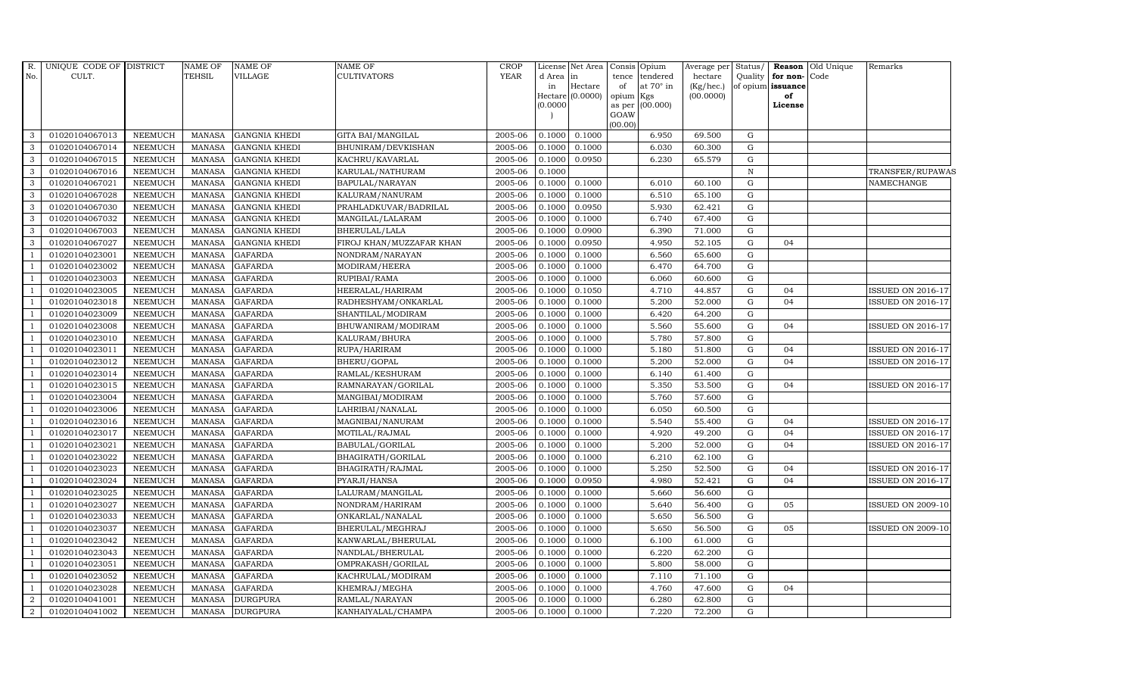|                          | R. UNIQUE CODE OF DISTRICT |                | <b>NAME OF</b> | <b>NAME OF</b>       | NAME OF                  | CROP        |                                | License Net Area | Consis Opium |                  | Average per  | Status/      |                      | <b>Reason</b> Old Unique | Remarks                  |
|--------------------------|----------------------------|----------------|----------------|----------------------|--------------------------|-------------|--------------------------------|------------------|--------------|------------------|--------------|--------------|----------------------|--------------------------|--------------------------|
| No.                      | CULT.                      |                | TEHSIL         | VILLAGE              | <b>CULTIVATORS</b>       | <b>YEAR</b> | d Area                         | in               |              | tence tendered   | hectare      |              | Quality for non-Code |                          |                          |
|                          |                            |                |                |                      |                          |             | in                             | Hectare          | of           | at $70^\circ$ in | $(Kg/$ hec.) |              | of opium issuance    |                          |                          |
|                          |                            |                |                |                      |                          |             | Hectare $(0.0000)$<br>(0.0000) |                  | opium Kgs    | as per (00.000)  | (00.0000)    |              | of<br>License        |                          |                          |
|                          |                            |                |                |                      |                          |             |                                |                  | GOAW         |                  |              |              |                      |                          |                          |
|                          |                            |                |                |                      |                          |             |                                |                  | (00.00)      |                  |              |              |                      |                          |                          |
| $\mathbf{3}$             | 01020104067013             | NEEMUCH        | <b>MANASA</b>  | <b>GANGNIA KHEDI</b> | <b>GITA BAI/MANGILAL</b> | 2005-06     | 0.1000                         | 0.1000           |              | 6.950            | 69.500       | G            |                      |                          |                          |
| 3                        | 01020104067014             | NEEMUCH        | <b>MANASA</b>  | <b>GANGNIA KHEDI</b> | BHUNIRAM/DEVKISHAN       | 2005-06     | 0.1000                         | 0.1000           |              | 6.030            | 60.300       | $\mathbf G$  |                      |                          |                          |
| $\mathbf{3}$             | 01020104067015             | <b>NEEMUCH</b> | <b>MANASA</b>  | <b>GANGNIA KHEDI</b> | KACHRU/KAVARLAL          | 2005-06     | 0.1000                         | 0.0950           |              | 6.230            | 65.579       | $\mathbf G$  |                      |                          |                          |
| 3                        | 01020104067016             | <b>NEEMUCH</b> | <b>MANASA</b>  | <b>GANGNIA KHEDI</b> | KARULAL/NATHURAM         | 2005-06     | 0.1000                         |                  |              |                  |              | $\, {\rm N}$ |                      |                          | TRANSFER/RUPAWAS         |
| 3                        | 01020104067021             | <b>NEEMUCH</b> | <b>MANASA</b>  | <b>GANGNIA KHEDI</b> | BAPULAL/NARAYAN          | 2005-06     | 0.1000                         | 0.1000           |              | 6.010            | 60.100       | G            |                      |                          | NAMECHANGE               |
| $\mathbf{3}$             | 01020104067028             | <b>NEEMUCH</b> | <b>MANASA</b>  | <b>GANGNIA KHEDI</b> | KALURAM/NANURAM          | 2005-06     | 0.1000                         | 0.1000           |              | 6.510            | 65.100       | ${\rm G}$    |                      |                          |                          |
| 3                        | 01020104067030             | <b>NEEMUCH</b> | <b>MANASA</b>  | <b>GANGNIA KHEDI</b> | PRAHLADKUVAR/BADRILAL    | 2005-06     | 0.1000                         | 0.0950           |              | 5.930            | 62.421       | ${\rm G}$    |                      |                          |                          |
| 3                        | 01020104067032             | <b>NEEMUCH</b> | <b>MANASA</b>  | <b>GANGNIA KHEDI</b> | MANGILAL/LALARAM         | 2005-06     | 0.1000                         | 0.1000           |              | 6.740            | 67.400       | G            |                      |                          |                          |
| 3                        | 01020104067003             | <b>NEEMUCH</b> | <b>MANASA</b>  | <b>GANGNIA KHEDI</b> | BHERULAL/LALA            | 2005-06     | 0.1000                         | 0.0900           |              | 6.390            | 71.000       | G            |                      |                          |                          |
| 3                        | 01020104067027             | <b>NEEMUCH</b> | <b>MANASA</b>  | <b>GANGNIA KHEDI</b> | FIROJ KHAN/MUZZAFAR KHAN | 2005-06     | 0.1000                         | 0.0950           |              | 4.950            | 52.105       | ${\rm G}$    | 04                   |                          |                          |
| $\overline{1}$           | 01020104023001             | <b>NEEMUCH</b> | <b>MANASA</b>  | <b>GAFARDA</b>       | NONDRAM/NARAYAN          | 2005-06     | 0.1000                         | 0.1000           |              | 6.560            | 65.600       | ${\rm G}$    |                      |                          |                          |
| $\overline{1}$           | 01020104023002             | <b>NEEMUCH</b> | <b>MANASA</b>  | <b>GAFARDA</b>       | MODIRAM/HEERA            | 2005-06     | 0.1000                         | 0.1000           |              | 6.470            | 64.700       | G            |                      |                          |                          |
| $\overline{1}$           | 01020104023003             | NEEMUCH        | <b>MANASA</b>  | <b>GAFARDA</b>       | RUPIBAI/RAMA             | 2005-06     | 0.1000                         | 0.1000           |              | 6.060            | 60.600       | G            |                      |                          |                          |
| $\overline{1}$           | 01020104023005             | <b>NEEMUCH</b> | <b>MANASA</b>  | <b>GAFARDA</b>       | HEERALAL/HARIRAM         | 2005-06     | 0.1000                         | 0.1050           |              | 4.710            | 44.857       | $\mathbf G$  | 04                   |                          | <b>ISSUED ON 2016-17</b> |
|                          | 01020104023018             | NEEMUCH        | <b>MANASA</b>  | <b>GAFARDA</b>       | RADHESHYAM/ONKARLAL      | 2005-06     | 0.1000                         | 0.1000           |              | 5.200            | 52.000       | G            | 04                   |                          | ISSUED ON 2016-17        |
| $\overline{1}$           | 01020104023009             | <b>NEEMUCH</b> | <b>MANASA</b>  | <b>GAFARDA</b>       | SHANTILAL/MODIRAM        | 2005-06     | 0.1000                         | 0.1000           |              | 6.420            | 64.200       | G            |                      |                          |                          |
| -1                       | 01020104023008             | <b>NEEMUCH</b> | <b>MANASA</b>  | <b>GAFARDA</b>       | BHUWANIRAM/MODIRAM       | 2005-06     | 0.1000                         | 0.1000           |              | 5.560            | 55.600       | G            | 04                   |                          | <b>ISSUED ON 2016-17</b> |
| $\overline{1}$           | 01020104023010             | NEEMUCH        | <b>MANASA</b>  | <b>GAFARDA</b>       | KALURAM/BHURA            | 2005-06     | 0.1000                         | 0.1000           |              | 5.780            | 57.800       | G            |                      |                          |                          |
| $\overline{1}$           | 01020104023011             | <b>NEEMUCH</b> | <b>MANASA</b>  | <b>GAFARDA</b>       | RUPA/HARIRAM             | 2005-06     | 0.1000                         | 0.1000           |              | 5.180            | 51.800       | ${\bf G}$    | 04                   |                          | <b>ISSUED ON 2016-17</b> |
|                          | 01020104023012             | NEEMUCH        | <b>MANASA</b>  | <b>GAFARDA</b>       | BHERU/GOPAL              | 2005-06     | 0.1000                         | 0.1000           |              | 5.200            | 52.000       | G            | 04                   |                          | ISSUED ON 2016-17        |
| $\overline{1}$           | 01020104023014             | <b>NEEMUCH</b> | <b>MANASA</b>  | <b>GAFARDA</b>       | RAMLAL/KESHURAM          | 2005-06     | 0.1000                         | 0.1000           |              | 6.140            | 61.400       | G            |                      |                          |                          |
| - 1                      | 01020104023015             | <b>NEEMUCH</b> | <b>MANASA</b>  | <b>GAFARDA</b>       | RAMNARAYAN/GORILAL       | 2005-06     | 0.1000                         | 0.1000           |              | 5.350            | 53.500       | G            | 04                   |                          | <b>ISSUED ON 2016-17</b> |
| $\overline{1}$           | 01020104023004             | NEEMUCH        | <b>MANASA</b>  | <b>GAFARDA</b>       | MANGIBAI/MODIRAM         | 2005-06     | 0.1000                         | 0.1000           |              | 5.760            | 57.600       | ${\rm G}$    |                      |                          |                          |
| $\overline{1}$           | 01020104023006             | NEEMUCH        | <b>MANASA</b>  | <b>GAFARDA</b>       | LAHRIBAI/NANALAL         | 2005-06     | 0.1000                         | 0.1000           |              | 6.050            | 60.500       | G            |                      |                          |                          |
|                          | 01020104023016             | <b>NEEMUCH</b> | <b>MANASA</b>  | <b>GAFARDA</b>       | MAGNIBAI/NANURAM         | 2005-06     | 0.1000                         | 0.1000           |              | 5.540            | 55.400       | G            | 04                   |                          | ISSUED ON 2016-17        |
| $\overline{1}$           | 01020104023017             | NEEMUCH        | <b>MANASA</b>  | <b>GAFARDA</b>       | MOTILAL/RAJMAL           | 2005-06     | 0.1000                         | 0.1000           |              | 4.920            | 49.200       | G            | 04                   |                          | ISSUED ON 2016-17        |
| -1                       | 01020104023021             | <b>NEEMUCH</b> | <b>MANASA</b>  | <b>GAFARDA</b>       | BABULAL/GORILAL          | 2005-06     | 0.1000                         | 0.1000           |              | 5.200            | 52.000       | G            | 04                   |                          | <b>ISSUED ON 2016-17</b> |
| $\overline{1}$           | 01020104023022             | NEEMUCH        | <b>MANASA</b>  | <b>GAFARDA</b>       | BHAGIRATH/GORILAL        | 2005-06     | 0.1000                         | 0.1000           |              | 6.210            | 62.100       | $\mathbf G$  |                      |                          |                          |
| $\overline{1}$           | 01020104023023             | <b>NEEMUCH</b> | <b>MANASA</b>  | <b>GAFARDA</b>       | BHAGIRATH/RAJMAL         | 2005-06     | 0.1000                         | 0.1000           |              | 5.250            | 52.500       | G            | 04                   |                          | <b>ISSUED ON 2016-17</b> |
|                          | 01020104023024             | <b>NEEMUCH</b> | <b>MANASA</b>  | <b>GAFARDA</b>       | PYARJI/HANSA             | 2005-06     | 0.1000                         | 0.0950           |              | 4.980            | 52.421       | G            | 04                   |                          | ISSUED ON 2016-17        |
| $\overline{1}$           | 01020104023025             | NEEMUCH        | <b>MANASA</b>  | <b>GAFARDA</b>       | LALURAM/MANGILAL         | 2005-06     | 0.1000                         | 0.1000           |              | 5.660            | 56.600       | ${\rm G}$    |                      |                          |                          |
| $\overline{1}$           | 01020104023027             | <b>NEEMUCH</b> | <b>MANASA</b>  | <b>GAFARDA</b>       | NONDRAM/HARIRAM          | 2005-06     | 0.1000                         | 0.1000           |              | 5.640            | 56.400       | ${\rm G}$    | 05                   |                          | <b>ISSUED ON 2009-10</b> |
| $\overline{1}$           | 01020104023033             | NEEMUCH        | <b>MANASA</b>  | <b>GAFARDA</b>       | ONKARLAL/NANALAL         | 2005-06     | 0.1000                         | 0.1000           |              | 5.650            | 56.500       | $\mathbf G$  |                      |                          |                          |
| $\overline{1}$           | 01020104023037             | <b>NEEMUCH</b> | <b>MANASA</b>  | <b>GAFARDA</b>       | BHERULAL/MEGHRAJ         | 2005-06     | 0.1000                         | 0.1000           |              | 5.650            | 56.500       | $\mathbf G$  | 05                   |                          | <b>ISSUED ON 2009-10</b> |
|                          | 01020104023042             | <b>NEEMUCH</b> | <b>MANASA</b>  | <b>GAFARDA</b>       | KANWARLAL/BHERULAL       | 2005-06     | 0.1000                         | 0.1000           |              | 6.100            | 61.000       | G            |                      |                          |                          |
| $\overline{1}$           | 01020104023043             | <b>NEEMUCH</b> | <b>MANASA</b>  | <b>GAFARDA</b>       | NANDLAL/BHERULAL         | 2005-06     | 0.1000                         | 0.1000           |              | 6.220            | 62.200       | ${\rm G}$    |                      |                          |                          |
| $\overline{\phantom{0}}$ | 01020104023051             | NEEMUCH        | <b>MANASA</b>  | <b>GAFARDA</b>       | OMPRAKASH/GORILAL        | 2005-06     | 0.1000                         | 0.1000           |              | 5.800            | 58.000       | G            |                      |                          |                          |
| $\overline{1}$           | 01020104023052             | NEEMUCH        | <b>MANASA</b>  | <b>GAFARDA</b>       | KACHRULAL/MODIRAM        | 2005-06     | 0.1000                         | 0.1000           |              | 7.110            | 71.100       | G            |                      |                          |                          |
| $\overline{1}$           | 01020104023028             | <b>NEEMUCH</b> | <b>MANASA</b>  | <b>GAFARDA</b>       | KHEMRAJ/MEGHA            | 2005-06     | 0.1000                         | 0.1000           |              | 4.760            | 47.600       | $\mathbf G$  | 04                   |                          |                          |
| 2                        | 01020104041001             | <b>NEEMUCH</b> | <b>MANASA</b>  | <b>DURGPURA</b>      | RAMLAL/NARAYAN           | 2005-06     | 0.1000                         | 0.1000           |              | 6.280            | 62.800       | G            |                      |                          |                          |
| $\overline{2}$           | 01020104041002             | <b>NEEMUCH</b> |                | MANASA DURGPURA      | KANHAIYALAL/CHAMPA       | 2005-06     | 0.1000                         | 0.1000           |              | 7.220            | 72.200       | G            |                      |                          |                          |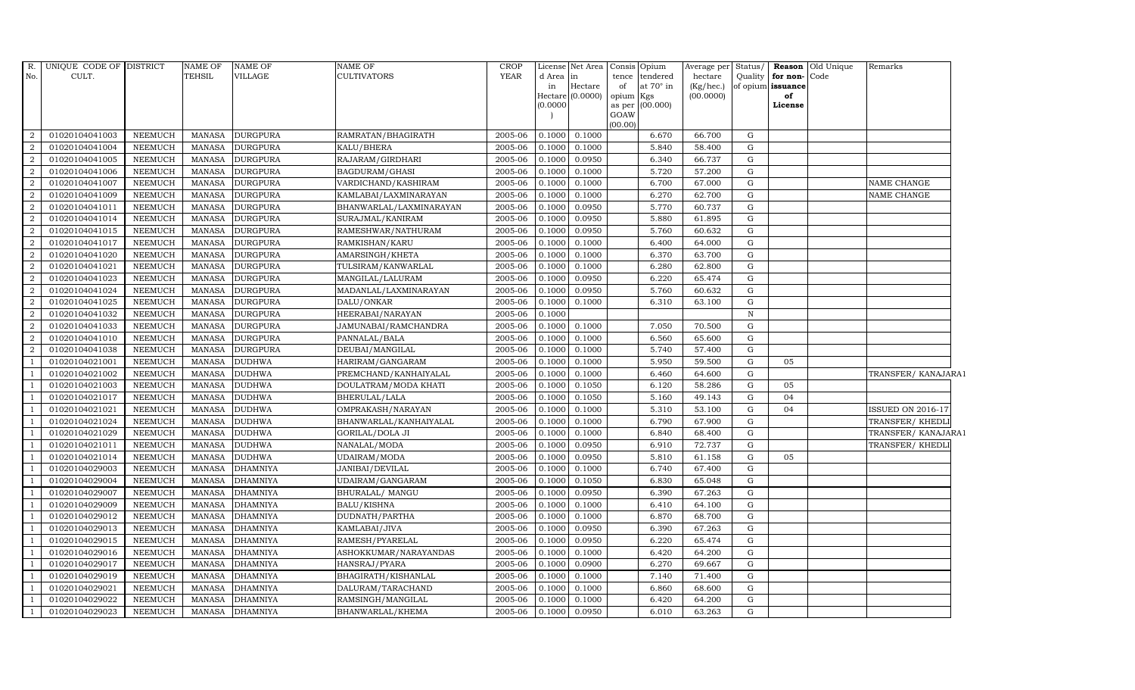| R.             | UNIQUE CODE OF DISTRICT |                | <b>NAME OF</b> | <b>NAME OF</b>  | <b>NAME OF</b>          | <b>CROP</b> |           | License Net Area | Consis Opium            |           | Average per | Status/     |                   | <b>Reason</b> Old Unique | Remarks                  |  |
|----------------|-------------------------|----------------|----------------|-----------------|-------------------------|-------------|-----------|------------------|-------------------------|-----------|-------------|-------------|-------------------|--------------------------|--------------------------|--|
| No.            | CULT.                   |                | TEHSIL         | <b>VILLAGE</b>  | <b>CULTIVATORS</b>      | <b>YEAR</b> | d Area in |                  | tence tendered          |           | hectare     | Quality     | for non-          | Code                     |                          |  |
|                |                         |                |                |                 |                         |             | in        | Hectare          | of                      | at 70° in | (Kg/hec.)   |             | of opium issuance |                          |                          |  |
|                |                         |                |                |                 |                         |             | (0.0000)  | Hectare (0.0000) | opium Kgs               |           | (00.0000)   |             | of<br>License     |                          |                          |  |
|                |                         |                |                |                 |                         |             |           |                  | as per (00.000)<br>GOAW |           |             |             |                   |                          |                          |  |
|                |                         |                |                |                 |                         |             |           |                  | (00.00)                 |           |             |             |                   |                          |                          |  |
| 2              | 01020104041003          | <b>NEEMUCH</b> | MANASA         | <b>DURGPURA</b> | RAMRATAN/BHAGIRATH      | 2005-06     | 0.1000    | 0.1000           |                         | 6.670     | 66.700      | G           |                   |                          |                          |  |
| $\overline{2}$ | 01020104041004          | <b>NEEMUCH</b> | <b>MANASA</b>  | <b>DURGPURA</b> | KALU/BHERA              | 2005-06     | 0.1000    | 0.1000           |                         | 5.840     | 58.400      | G           |                   |                          |                          |  |
| $\overline{2}$ | 01020104041005          | <b>NEEMUCH</b> | <b>MANASA</b>  | <b>DURGPURA</b> | RAJARAM/GIRDHARI        | 2005-06     | 0.1000    | 0.0950           |                         | 6.340     | 66.737      | G           |                   |                          |                          |  |
| $\overline{2}$ | 01020104041006          | <b>NEEMUCH</b> | <b>MANASA</b>  | <b>DURGPURA</b> | BAGDURAM/GHASI          | 2005-06     | 0.1000    | 0.1000           |                         | 5.720     | 57.200      | G           |                   |                          |                          |  |
| 2              | 01020104041007          | <b>NEEMUCH</b> | <b>MANASA</b>  | <b>DURGPURA</b> | VARDICHAND/KASHIRAM     | 2005-06     | 0.1000    | 0.1000           |                         | 6.700     | 67.000      | G           |                   |                          | NAME CHANGE              |  |
| 2              | 01020104041009          | <b>NEEMUCH</b> | MANASA         | <b>DURGPURA</b> | KAMLABAI/LAXMINARAYAN   | 2005-06     | 0.1000    | 0.1000           |                         | 6.270     | 62.700      | G           |                   |                          | NAME CHANGE              |  |
| $\overline{2}$ | 01020104041011          | <b>NEEMUCH</b> | <b>MANASA</b>  | <b>DURGPURA</b> | BHANWARLAL/LAXMINARAYAN | 2005-06     | 0.1000    | 0.0950           |                         | 5.770     | 60.737      | G           |                   |                          |                          |  |
| $\overline{2}$ | 01020104041014          | <b>NEEMUCH</b> | <b>MANASA</b>  | <b>DURGPURA</b> | SURAJMAL/KANIRAM        | 2005-06     | 0.1000    | 0.0950           |                         | 5.880     | 61.895      | G           |                   |                          |                          |  |
| $\overline{2}$ | 01020104041015          | <b>NEEMUCH</b> | <b>MANASA</b>  | <b>DURGPURA</b> | RAMESHWAR/NATHURAM      | 2005-06     | 0.1000    | 0.0950           |                         | 5.760     | 60.632      | G           |                   |                          |                          |  |
| $\overline{2}$ | 01020104041017          | <b>NEEMUCH</b> | <b>MANASA</b>  | <b>DURGPURA</b> | RAMKISHAN/KARU          | 2005-06     | 0.1000    | 0.1000           |                         | 6.400     | 64.000      | G           |                   |                          |                          |  |
| $\overline{2}$ | 01020104041020          | <b>NEEMUCH</b> | <b>MANASA</b>  | <b>DURGPURA</b> | AMARSINGH/KHETA         | 2005-06     | 0.1000    | 0.1000           |                         | 6.370     | 63.700      | G           |                   |                          |                          |  |
| $\overline{2}$ | 01020104041021          | <b>NEEMUCH</b> | <b>MANASA</b>  | <b>DURGPURA</b> | TULSIRAM/KANWARLAL      | 2005-06     | 0.1000    | 0.1000           |                         | 6.280     | 62.800      | G           |                   |                          |                          |  |
| 2              | 01020104041023          | <b>NEEMUCH</b> | <b>MANASA</b>  | <b>DURGPURA</b> | MANGILAL/LALURAM        | 2005-06     | 0.1000    | 0.0950           |                         | 6.220     | 65.474      | G           |                   |                          |                          |  |
| $\overline{2}$ | 01020104041024          | <b>NEEMUCH</b> | <b>MANASA</b>  | <b>DURGPURA</b> | MADANLAL/LAXMINARAYAN   | 2005-06     | 0.1000    | 0.0950           |                         | 5.760     | 60.632      | G           |                   |                          |                          |  |
| $\overline{2}$ | 01020104041025          | <b>NEEMUCH</b> | <b>MANASA</b>  | <b>DURGPURA</b> | DALU/ONKAR              | 2005-06     | 0.1000    | 0.1000           |                         | 6.310     | 63.100      | G           |                   |                          |                          |  |
| 2              | 01020104041032          | <b>NEEMUCH</b> | <b>MANASA</b>  | <b>DURGPURA</b> | HEERABAI/NARAYAN        | 2005-06     | 0.1000    |                  |                         |           |             | $\mathbb N$ |                   |                          |                          |  |
| 2              | 01020104041033          | <b>NEEMUCH</b> | <b>MANASA</b>  | <b>DURGPURA</b> | JAMUNABAI/RAMCHANDRA    | 2005-06     | 0.1000    | 0.1000           |                         | 7.050     | 70.500      | G           |                   |                          |                          |  |
| 2              | 01020104041010          | <b>NEEMUCH</b> | <b>MANASA</b>  | <b>DURGPURA</b> | PANNALAL/BALA           | 2005-06     | 0.1000    | 0.1000           |                         | 6.560     | 65.600      | G           |                   |                          |                          |  |
| $\overline{2}$ | 01020104041038          | <b>NEEMUCH</b> | <b>MANASA</b>  | <b>DURGPURA</b> | DEUBAI/MANGILAL         | 2005-06     | 0.1000    | 0.1000           |                         | 5.740     | 57.400      | G           |                   |                          |                          |  |
|                | 01020104021001          | <b>NEEMUCH</b> | <b>MANASA</b>  | <b>DUDHWA</b>   | HARIRAM/GANGARAM        | 2005-06     | 0.1000    | 0.1000           |                         | 5.950     | 59.500      | G           | 05                |                          |                          |  |
| -1             | 01020104021002          | <b>NEEMUCH</b> | <b>MANASA</b>  | <b>DUDHWA</b>   | PREMCHAND/KANHAIYALAL   | 2005-06     | 0.1000    | 0.1000           |                         | 6.460     | 64.600      | G           |                   |                          | TRANSFER/KANAJARA1       |  |
|                | 01020104021003          | <b>NEEMUCH</b> | <b>MANASA</b>  | <b>DUDHWA</b>   | DOULATRAM/MODA KHATI    | 2005-06     | 0.1000    | 0.1050           |                         | 6.120     | 58.286      | G           | 05                |                          |                          |  |
| $\mathbf{1}$   | 01020104021017          | <b>NEEMUCH</b> | <b>MANASA</b>  | <b>DUDHWA</b>   | <b>BHERULAL/LALA</b>    | 2005-06     | 0.1000    | 0.1050           |                         | 5.160     | 49.143      | G           | 04                |                          |                          |  |
|                | 01020104021021          | <b>NEEMUCH</b> | <b>MANASA</b>  | <b>DUDHWA</b>   | OMPRAKASH/NARAYAN       | 2005-06     | 0.1000    | 0.1000           |                         | 5.310     | 53.100      | G           | 04                |                          | <b>ISSUED ON 2016-17</b> |  |
|                | 01020104021024          | <b>NEEMUCH</b> | <b>MANASA</b>  | <b>DUDHWA</b>   | BHANWARLAL/KANHAIYALAL  | 2005-06     | 0.1000    | 0.1000           |                         | 6.790     | 67.900      | G           |                   |                          | TRANSFER/KHEDLI          |  |
|                | 01020104021029          | <b>NEEMUCH</b> | <b>MANASA</b>  | <b>DUDHWA</b>   | GORILAL/DOLA JI         | 2005-06     | 0.1000    | 0.1000           |                         | 6.840     | 68.400      | G           |                   |                          | TRANSFER/KANAJARA1       |  |
|                | 01020104021011          | <b>NEEMUCH</b> | <b>MANASA</b>  | <b>DUDHWA</b>   | NANALAL/MODA            | 2005-06     | 0.1000    | 0.0950           |                         | 6.910     | 72.737      | G           |                   |                          | TRANSFER/ KHEDLI         |  |
|                | 01020104021014          | <b>NEEMUCH</b> | <b>MANASA</b>  | <b>DUDHWA</b>   | UDAIRAM/MODA            | 2005-06     | 0.1000    | 0.0950           |                         | 5.810     | 61.158      | G           | 05                |                          |                          |  |
|                | 01020104029003          | <b>NEEMUCH</b> | <b>MANASA</b>  | <b>DHAMNIYA</b> | <b>JANIBAI/DEVILAL</b>  | 2005-06     | 0.1000    | 0.1000           |                         | 6.740     | 67.400      | G           |                   |                          |                          |  |
|                | 01020104029004          | <b>NEEMUCH</b> | <b>MANASA</b>  | <b>DHAMNIYA</b> | UDAIRAM/GANGARAM        | 2005-06     | 0.1000    | 0.1050           |                         | 6.830     | 65.048      | G           |                   |                          |                          |  |
|                | 01020104029007          | <b>NEEMUCH</b> | <b>MANASA</b>  | <b>DHAMNIYA</b> | BHURALAL/ MANGU         | 2005-06     | 0.1000    | 0.0950           |                         | 6.390     | 67.263      | G           |                   |                          |                          |  |
|                | 01020104029009          | <b>NEEMUCH</b> | <b>MANASA</b>  | <b>DHAMNIYA</b> | <b>BALU/KISHNA</b>      | 2005-06     | 0.1000    | 0.1000           |                         | 6.410     | 64.100      | G           |                   |                          |                          |  |
|                | 01020104029012          | <b>NEEMUCH</b> | <b>MANASA</b>  | <b>DHAMNIYA</b> | DUDNATH/PARTHA          | 2005-06     | 0.1000    | 0.1000           |                         | 6.870     | 68.700      | G           |                   |                          |                          |  |
|                | 01020104029013          | <b>NEEMUCH</b> | <b>MANASA</b>  | <b>DHAMNIYA</b> | KAMLABAI/JIVA           | 2005-06     | 0.1000    | 0.0950           |                         | 6.390     | 67.263      | G           |                   |                          |                          |  |
|                | 01020104029015          | <b>NEEMUCH</b> | <b>MANASA</b>  | <b>DHAMNIYA</b> | RAMESH/PYARELAL         | 2005-06     | 0.1000    | 0.0950           |                         | 6.220     | 65.474      | G           |                   |                          |                          |  |
|                | 01020104029016          | <b>NEEMUCH</b> | <b>MANASA</b>  | <b>DHAMNIYA</b> | ASHOKKUMAR/NARAYANDAS   | 2005-06     | 0.1000    | 0.1000           |                         | 6.420     | 64.200      | G           |                   |                          |                          |  |
|                | 01020104029017          | <b>NEEMUCH</b> | <b>MANASA</b>  | <b>DHAMNIYA</b> | HANSRAJ/PYARA           | 2005-06     | 0.1000    | 0.0900           |                         | 6.270     | 69.667      | G           |                   |                          |                          |  |
|                | 01020104029019          | <b>NEEMUCH</b> | <b>MANASA</b>  | <b>DHAMNIYA</b> | BHAGIRATH/KISHANLAL     | $2005 - 06$ | 0.1000    | 0.1000           |                         | 7.140     | 71.400      | G           |                   |                          |                          |  |
|                | 01020104029021          | <b>NEEMUCH</b> | <b>MANASA</b>  | <b>DHAMNIYA</b> | DALURAM/TARACHAND       | 2005-06     | 0.1000    | 0.1000           |                         | 6.860     | 68.600      | G           |                   |                          |                          |  |
|                | 01020104029022          | <b>NEEMUCH</b> | <b>MANASA</b>  | <b>DHAMNIYA</b> | RAMSINGH/MANGILAL       | 2005-06     | 0.1000    | 0.1000           |                         | 6.420     | 64.200      | G           |                   |                          |                          |  |
|                | 01020104029023          | <b>NEEMUCH</b> | MANASA         | <b>DHAMNIYA</b> | BHANWARLAL/KHEMA        | 2005-06     | 0.1000    | 0.0950           |                         | 6.010     | 63.263      | G           |                   |                          |                          |  |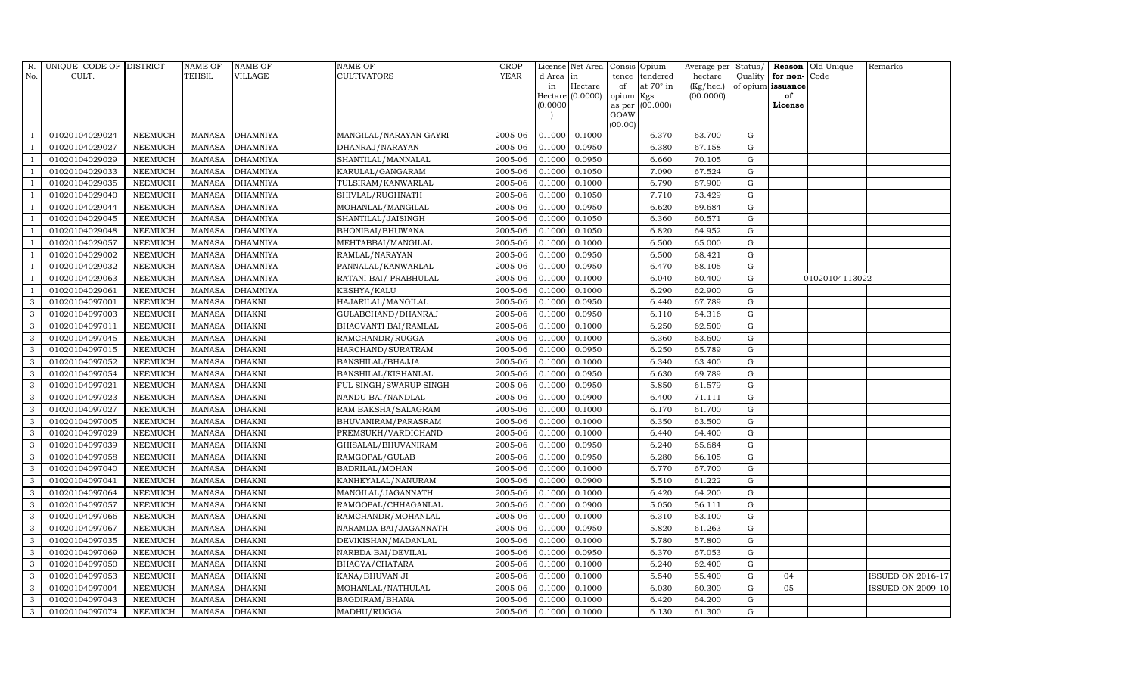| R.             | UNIQUE CODE OF DISTRICT |                | <b>NAME OF</b> | <b>NAME OF</b>  | <b>NAME OF</b>         | <b>CROP</b> |          | License Net Area   |         | Consis Opium     | Average per | Status/     |                      | Reason Old Unique | Remarks                  |
|----------------|-------------------------|----------------|----------------|-----------------|------------------------|-------------|----------|--------------------|---------|------------------|-------------|-------------|----------------------|-------------------|--------------------------|
| No.            | CULT.                   |                | <b>TEHSIL</b>  | VILLAGE         | <b>CULTIVATORS</b>     | <b>YEAR</b> | d Area   | in                 | tence   | tendered         | hectare     |             | Quality $ $ for non- | Code              |                          |
|                |                         |                |                |                 |                        |             | in       | Hectare            | of      | at $70^\circ$ in | (Kg/hec.)   |             | of opium issuance    |                   |                          |
|                |                         |                |                |                 |                        |             |          | Hectare $(0.0000)$ | opium   | Kgs              | (00.0000)   |             | of                   |                   |                          |
|                |                         |                |                |                 |                        |             | (0.0000) |                    | GOAW    | as per (00.000)  |             |             | License              |                   |                          |
|                |                         |                |                |                 |                        |             |          |                    | (00.00) |                  |             |             |                      |                   |                          |
|                | 01020104029024          | <b>NEEMUCH</b> | MANASA         | <b>DHAMNIYA</b> | MANGILAL/NARAYAN GAYRI | 2005-06     | 0.1000   | 0.1000             |         | 6.370            | 63.700      | G           |                      |                   |                          |
| -1             | 01020104029027          | <b>NEEMUCH</b> | MANASA         | <b>DHAMNIYA</b> | DHANRAJ/NARAYAN        | 2005-06     | 0.1000   | 0.0950             |         | 6.380            | 67.158      | $\mathbf G$ |                      |                   |                          |
|                | 01020104029029          | <b>NEEMUCH</b> | <b>MANASA</b>  | <b>DHAMNIYA</b> | SHANTILAL/MANNALAL     | 2005-06     | 0.1000   | 0.0950             |         | 6.660            | 70.105      | G           |                      |                   |                          |
|                | 01020104029033          | <b>NEEMUCH</b> | <b>MANASA</b>  | <b>DHAMNIYA</b> | KARULAL/GANGARAM       | 2005-06     | 0.1000   | 0.1050             |         | 7.090            | 67.524      | G           |                      |                   |                          |
| $\overline{1}$ | 01020104029035          | <b>NEEMUCH</b> | <b>MANASA</b>  | <b>DHAMNIYA</b> | TULSIRAM/KANWARLAL     | 2005-06     | 0.1000   | 0.1000             |         | 6.790            | 67.900      | G           |                      |                   |                          |
| $\overline{1}$ | 01020104029040          | <b>NEEMUCH</b> | <b>MANASA</b>  | <b>DHAMNIYA</b> | SHIVLAL/RUGHNATH       | 2005-06     | 0.1000   | 0.1050             |         | 7.710            | 73.429      | G           |                      |                   |                          |
| $\overline{1}$ | 01020104029044          | <b>NEEMUCH</b> | <b>MANASA</b>  | <b>DHAMNIYA</b> | MOHANLAL/MANGILAL      | 2005-06     | 0.1000   | 0.0950             |         | 6.620            | 69.684      | G           |                      |                   |                          |
|                | 01020104029045          | <b>NEEMUCH</b> | <b>MANASA</b>  | <b>DHAMNIYA</b> | SHANTILAL/JAISINGH     | 2005-06     | 0.1000   | 0.1050             |         | 6.360            | 60.571      | $\mathbf G$ |                      |                   |                          |
|                | 01020104029048          | <b>NEEMUCH</b> | <b>MANASA</b>  | <b>DHAMNIYA</b> | BHONIBAI/BHUWANA       | 2005-06     | 0.1000   | 0.1050             |         | 6.820            | 64.952      | $\mathbf G$ |                      |                   |                          |
|                | 01020104029057          | <b>NEEMUCH</b> | <b>MANASA</b>  | <b>DHAMNIYA</b> | MEHTABBAI/MANGILAL     | 2005-06     | 0.1000   | 0.1000             |         | 6.500            | 65.000      | G           |                      |                   |                          |
| $\overline{1}$ | 01020104029002          | <b>NEEMUCH</b> | <b>MANASA</b>  | <b>DHAMNIYA</b> | RAMLAL/NARAYAN         | 2005-06     | 0.1000   | 0.0950             |         | 6.500            | 68.421      | G           |                      |                   |                          |
|                | 01020104029032          | <b>NEEMUCH</b> | <b>MANASA</b>  | <b>DHAMNIYA</b> | PANNALAL/KANWARLAL     | 2005-06     | 0.1000   | 0.0950             |         | 6.470            | 68.105      | G           |                      |                   |                          |
| $\overline{1}$ | 01020104029063          | <b>NEEMUCH</b> | <b>MANASA</b>  | <b>DHAMNIYA</b> | RATANI BAI/ PRABHULAL  | 2005-06     | 0.1000   | 0.1000             |         | 6.040            | 60.400      | G           |                      | 01020104113022    |                          |
|                | 01020104029061          | <b>NEEMUCH</b> | <b>MANASA</b>  | <b>DHAMNIYA</b> | KESHYA/KALU            | 2005-06     | 0.1000   | 0.1000             |         | 6.290            | 62.900      | G           |                      |                   |                          |
| 3              | 01020104097001          | <b>NEEMUCH</b> | <b>MANASA</b>  | <b>DHAKNI</b>   | HAJARILAL/MANGILAL     | 2005-06     | 0.1000   | 0.0950             |         | 6.440            | 67.789      | G           |                      |                   |                          |
| 3              | 01020104097003          | <b>NEEMUCH</b> | <b>MANASA</b>  | <b>DHAKNI</b>   | GULABCHAND/DHANRAJ     | 2005-06     | 0.1000   | 0.0950             |         | 6.110            | 64.316      | G           |                      |                   |                          |
| 3              | 01020104097011          | <b>NEEMUCH</b> | <b>MANASA</b>  | <b>DHAKNI</b>   | BHAGVANTI BAI/RAMLAL   | 2005-06     | 0.1000   | 0.1000             |         | 6.250            | 62.500      | G           |                      |                   |                          |
| 3              | 01020104097045          | <b>NEEMUCH</b> | MANASA         | <b>DHAKNI</b>   | RAMCHANDR/RUGGA        | 2005-06     | 0.1000   | 0.1000             |         | 6.360            | 63.600      | G           |                      |                   |                          |
| 3              | 01020104097015          | <b>NEEMUCH</b> | <b>MANASA</b>  | <b>DHAKNI</b>   | HARCHAND/SURATRAM      | 2005-06     | 0.1000   | 0.0950             |         | 6.250            | 65.789      | G           |                      |                   |                          |
| 3              | 01020104097052          | <b>NEEMUCH</b> | <b>MANASA</b>  | <b>DHAKNI</b>   | BANSHILAL/BHAJJA       | 2005-06     | 0.1000   | 0.1000             |         | 6.340            | 63.400      | G           |                      |                   |                          |
| $\mathbf{3}$   | 01020104097054          | <b>NEEMUCH</b> | <b>MANASA</b>  | <b>DHAKNI</b>   | BANSHILAL/KISHANLAL    | 2005-06     | 0.1000   | 0.0950             |         | 6.630            | 69.789      | G           |                      |                   |                          |
| 3              | 01020104097021          | NEEMUCH        | <b>MANASA</b>  | <b>DHAKNI</b>   | FUL SINGH/SWARUP SINGH | 2005-06     | 0.1000   | 0.0950             |         | 5.850            | 61.579      | G           |                      |                   |                          |
| 3              | 01020104097023          | <b>NEEMUCH</b> | <b>MANASA</b>  | <b>DHAKNI</b>   | NANDU BAI/NANDLAL      | 2005-06     | 0.1000   | 0.0900             |         | 6.400            | 71.111      | G           |                      |                   |                          |
| 3              | 01020104097027          | <b>NEEMUCH</b> | <b>MANASA</b>  | <b>DHAKNI</b>   | RAM BAKSHA/SALAGRAM    | 2005-06     | 0.1000   | 0.1000             |         | 6.170            | 61.700      | $\mathbf G$ |                      |                   |                          |
| 3              | 01020104097005          | NEEMUCH        | <b>MANASA</b>  | <b>DHAKNI</b>   | BHUVANIRAM/PARASRAM    | 2005-06     | 0.1000   | 0.1000             |         | 6.350            | 63.500      | G           |                      |                   |                          |
| 3              | 01020104097029          | <b>NEEMUCH</b> | <b>MANASA</b>  | <b>DHAKNI</b>   | PREMSUKH/VARDICHAND    | 2005-06     | 0.1000   | 0.1000             |         | 6.440            | 64.400      | G           |                      |                   |                          |
| 3              | 01020104097039          | <b>NEEMUCH</b> | <b>MANASA</b>  | <b>DHAKNI</b>   | GHISALAL/BHUVANIRAM    | 2005-06     | 0.1000   | 0.0950             |         | 6.240            | 65.684      | G           |                      |                   |                          |
| 3              | 01020104097058          | <b>NEEMUCH</b> | MANASA         | <b>DHAKNI</b>   | RAMGOPAL/GULAB         | 2005-06     | 0.1000   | 0.0950             |         | 6.280            | 66.105      | G           |                      |                   |                          |
| 3              | 01020104097040          | <b>NEEMUCH</b> | <b>MANASA</b>  | <b>DHAKNI</b>   | BADRILAL/MOHAN         | 2005-06     | 0.1000   | 0.1000             |         | 6.770            | 67.700      | $\mathbf G$ |                      |                   |                          |
| 3              | 01020104097041          | <b>NEEMUCH</b> | <b>MANASA</b>  | <b>DHAKNI</b>   | KANHEYALAL/NANURAM     | 2005-06     | 0.1000   | 0.0900             |         | 5.510            | 61.222      | $\mathbf G$ |                      |                   |                          |
| 3              | 01020104097064          | <b>NEEMUCH</b> | <b>MANASA</b>  | <b>DHAKNI</b>   | MANGILAL/JAGANNATH     | 2005-06     | 0.1000   | 0.1000             |         | 6.420            | 64.200      | G           |                      |                   |                          |
| 3              | 01020104097057          | <b>NEEMUCH</b> | <b>MANASA</b>  | <b>DHAKNI</b>   | RAMGOPAL/CHHAGANLAL    | 2005-06     | 0.1000   | 0.0900             |         | 5.050            | 56.111      | G           |                      |                   |                          |
| 3              | 01020104097066          | <b>NEEMUCH</b> | MANASA         | <b>DHAKNI</b>   | RAMCHANDR/MOHANLAL     | 2005-06     | 0.1000   | 0.1000             |         | 6.310            | 63.100      | G           |                      |                   |                          |
| 3              | 01020104097067          | <b>NEEMUCH</b> | <b>MANASA</b>  | <b>DHAKNI</b>   | NARAMDA BAI/JAGANNATH  | 2005-06     | 0.1000   | 0.0950             |         | 5.820            | 61.263      | $\mathbf G$ |                      |                   |                          |
| 3              | 01020104097035          | <b>NEEMUCH</b> | <b>MANASA</b>  | <b>DHAKNI</b>   | DEVIKISHAN/MADANLAL    | 2005-06     | 0.1000   | 0.1000             |         | 5.780            | 57.800      | $\mathbf G$ |                      |                   |                          |
| 3              | 01020104097069          | <b>NEEMUCH</b> | <b>MANASA</b>  | <b>DHAKNI</b>   | NARBDA BAI/DEVILAL     | 2005-06     | 0.1000   | 0.0950             |         | 6.370            | 67.053      | G           |                      |                   |                          |
| 3              | 01020104097050          | <b>NEEMUCH</b> | <b>MANASA</b>  | <b>DHAKNI</b>   | BHAGYA/CHATARA         | 2005-06     | 0.1000   | 0.1000             |         | 6.240            | 62.400      | ${\rm G}$   |                      |                   |                          |
| 3              | 01020104097053          | <b>NEEMUCH</b> | <b>MANASA</b>  | <b>DHAKNI</b>   | KANA/BHUVAN JI         | 2005-06     | 0.1000   | 0.1000             |         | 5.540            | 55.400      | ${\rm G}$   | 04                   |                   | <b>ISSUED ON 2016-17</b> |
| 3              | 01020104097004          | <b>NEEMUCH</b> | <b>MANASA</b>  | <b>DHAKNI</b>   | MOHANLAL/NATHULAL      | 2005-06     | 0.1000   | 0.1000             |         | 6.030            | 60.300      | G           | 05                   |                   | <b>ISSUED ON 2009-10</b> |
| 3              | 01020104097043          | <b>NEEMUCH</b> | <b>MANASA</b>  | <b>DHAKNI</b>   | BAGDIRAM/BHANA         | 2005-06     | 0.1000   | 0.1000             |         | 6.420            | 64.200      | $\mathbf G$ |                      |                   |                          |
| 3              | 01020104097074          | <b>NEEMUCH</b> | MANASA DHAKNI  |                 | MADHU/RUGGA            | 2005-06     | 0.1000   | 0.1000             |         | 6.130            | 61.300      | G           |                      |                   |                          |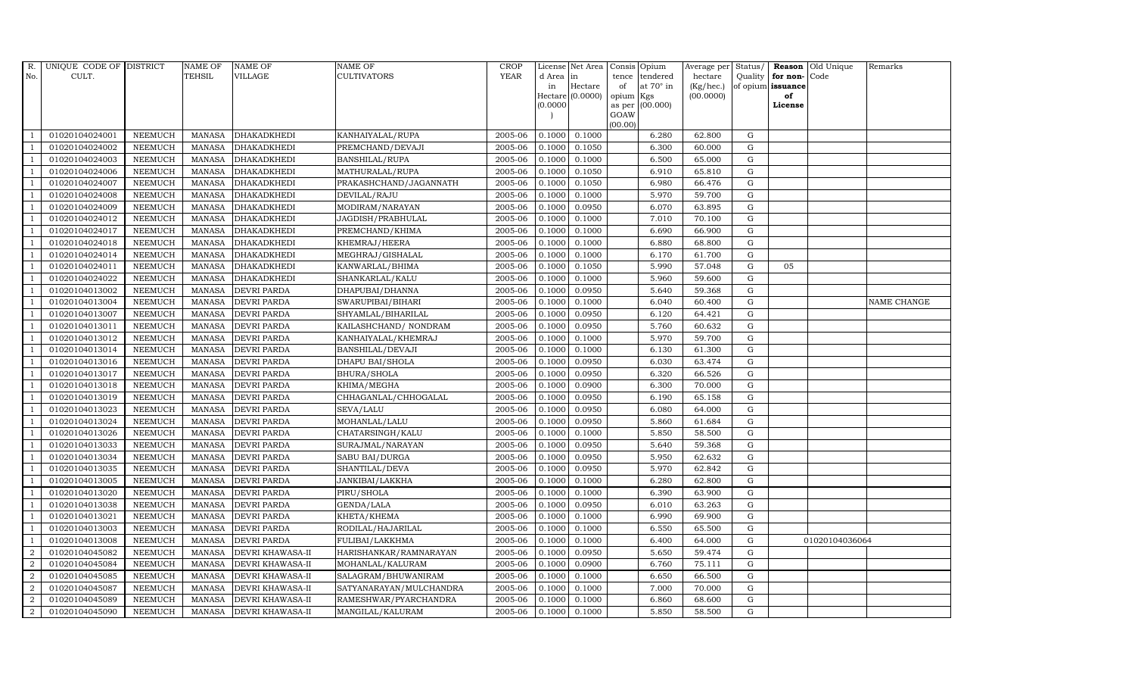| R.             | UNIQUE CODE OF DISTRICT |                | <b>NAME OF</b> | <b>NAME OF</b>          | <b>NAME OF</b>          | CROP    |           | License Net Area   Consis   Opium |           |                  | Average per Status/ |             |                   | <b>Reason</b> Old Unique | Remarks     |
|----------------|-------------------------|----------------|----------------|-------------------------|-------------------------|---------|-----------|-----------------------------------|-----------|------------------|---------------------|-------------|-------------------|--------------------------|-------------|
| No.            | CULT.                   |                | <b>TEHSIL</b>  | <b>VILLAGE</b>          | <b>CULTIVATORS</b>      | YEAR    | d Area in |                                   |           | tence tendered   | hectare             | Quality     | for non-          | Code                     |             |
|                |                         |                |                |                         |                         |         | in        | Hectare                           | of        | at $70^\circ$ in | (Kg/hec.)           |             | of opium issuance |                          |             |
|                |                         |                |                |                         |                         |         |           | Hectare (0.0000)                  | opium Kgs |                  | (00.0000)           |             | of                |                          |             |
|                |                         |                |                |                         |                         |         | (0.0000)  |                                   | GOAW      | as per (00.000)  |                     |             | License           |                          |             |
|                |                         |                |                |                         |                         |         |           |                                   | (00.00)   |                  |                     |             |                   |                          |             |
|                | 01020104024001          | <b>NEEMUCH</b> | MANASA         | <b>DHAKADKHEDI</b>      | KANHAIYALAL/RUPA        | 2005-06 | 0.1000    | 0.1000                            |           | 6.280            | 62.800              | ${\rm G}$   |                   |                          |             |
| -1             | 01020104024002          | <b>NEEMUCH</b> | MANASA         | <b>DHAKADKHEDI</b>      | PREMCHAND/DEVAJI        | 2005-06 | 0.1000    | 0.1050                            |           | 6.300            | 60.000              | $\mathbf G$ |                   |                          |             |
|                | 01020104024003          | <b>NEEMUCH</b> | <b>MANASA</b>  | <b>DHAKADKHEDI</b>      | <b>BANSHILAL/RUPA</b>   | 2005-06 | 0.1000    | 0.1000                            |           | 6.500            | 65.000              | G           |                   |                          |             |
|                | 01020104024006          | <b>NEEMUCH</b> | <b>MANASA</b>  | <b>DHAKADKHEDI</b>      | MATHURALAL/RUPA         | 2005-06 | 0.1000    | 0.1050                            |           | 6.910            | 65.810              | $\mathbf G$ |                   |                          |             |
| -1             | 01020104024007          | <b>NEEMUCH</b> | <b>MANASA</b>  | <b>DHAKADKHEDI</b>      | PRAKASHCHAND/JAGANNATH  | 2005-06 | 0.1000    | 0.1050                            |           | 6.980            | 66.476              | ${\rm G}$   |                   |                          |             |
| $\overline{1}$ | 01020104024008          | <b>NEEMUCH</b> | <b>MANASA</b>  | <b>DHAKADKHEDI</b>      | DEVILAL/RAJU            | 2005-06 | 0.1000    | 0.1000                            |           | 5.970            | 59.700              | $\mathbf G$ |                   |                          |             |
| $\overline{1}$ | 01020104024009          | <b>NEEMUCH</b> | <b>MANASA</b>  | <b>DHAKADKHEDI</b>      | MODIRAM/NARAYAN         | 2005-06 | 0.1000    | 0.0950                            |           | 6.070            | 63.895              | $\mathbf G$ |                   |                          |             |
| $\overline{1}$ | 01020104024012          | <b>NEEMUCH</b> | <b>MANASA</b>  | <b>DHAKADKHEDI</b>      | JAGDISH/PRABHULAL       | 2005-06 | 0.1000    | 0.1000                            |           | 7.010            | 70.100              | $\mathbf G$ |                   |                          |             |
|                | 01020104024017          | <b>NEEMUCH</b> | <b>MANASA</b>  | <b>DHAKADKHEDI</b>      | PREMCHAND/KHIMA         | 2005-06 | 0.1000    | 0.1000                            |           | 6.690            | 66.900              | $\mathbf G$ |                   |                          |             |
|                | 01020104024018          | <b>NEEMUCH</b> | <b>MANASA</b>  | DHAKADKHEDI             | KHEMRAJ/HEERA           | 2005-06 | 0.1000    | 0.1000                            |           | 6.880            | 68.800              | ${\rm G}$   |                   |                          |             |
| $\mathbf{1}$   | 01020104024014          | <b>NEEMUCH</b> | <b>MANASA</b>  | <b>DHAKADKHEDI</b>      | MEGHRAJ/GISHALAL        | 2005-06 | 0.1000    | 0.1000                            |           | 6.170            | 61.700              | ${\rm G}$   |                   |                          |             |
| $\overline{1}$ | 01020104024011          | <b>NEEMUCH</b> | <b>MANASA</b>  | <b>DHAKADKHEDI</b>      | KANWARLAL/BHIMA         | 2005-06 | 0.1000    | 0.1050                            |           | 5.990            | 57.048              | ${\rm G}$   | 05                |                          |             |
| $\overline{1}$ | 01020104024022          | <b>NEEMUCH</b> | <b>MANASA</b>  | <b>DHAKADKHEDI</b>      | SHANKARLAL/KALU         | 2005-06 | 0.1000    | 0.1000                            |           | 5.960            | 59.600              | $\mathbf G$ |                   |                          |             |
|                | 01020104013002          | <b>NEEMUCH</b> | <b>MANASA</b>  | <b>DEVRI PARDA</b>      | DHAPUBAI/DHANNA         | 2005-06 | 0.1000    | 0.0950                            |           | 5.640            | 59.368              | G           |                   |                          |             |
| $\overline{1}$ | 01020104013004          | <b>NEEMUCH</b> | <b>MANASA</b>  | <b>DEVRI PARDA</b>      | SWARUPIBAI/BIHARI       | 2005-06 | 0.1000    | 0.1000                            |           | 6.040            | 60.400              | G           |                   |                          | NAME CHANGE |
| -1             | 01020104013007          | <b>NEEMUCH</b> | <b>MANASA</b>  | <b>DEVRI PARDA</b>      | SHYAMLAL/BIHARILAL      | 2005-06 | 0.1000    | 0.0950                            |           | 6.120            | 64.421              | ${\rm G}$   |                   |                          |             |
| $\overline{1}$ | 01020104013011          | <b>NEEMUCH</b> | <b>MANASA</b>  | <b>DEVRI PARDA</b>      | KAILASHCHAND/ NONDRAM   | 2005-06 | 0.1000    | 0.0950                            |           | 5.760            | 60.632              | ${\rm G}$   |                   |                          |             |
| $\overline{1}$ | 01020104013012          | <b>NEEMUCH</b> | MANASA         | <b>DEVRI PARDA</b>      | KANHAIYALAL/KHEMRAJ     | 2005-06 | 0.1000    | 0.1000                            |           | 5.970            | 59.700              | G           |                   |                          |             |
|                | 01020104013014          | <b>NEEMUCH</b> | <b>MANASA</b>  | <b>DEVRI PARDA</b>      | BANSHILAL/DEVAJI        | 2005-06 | 0.1000    | 0.1000                            |           | 6.130            | 61.300              | $\mathbf G$ |                   |                          |             |
|                | 01020104013016          | <b>NEEMUCH</b> | <b>MANASA</b>  | <b>DEVRI PARDA</b>      | DHAPU BAI/SHOLA         | 2005-06 | 0.1000    | 0.0950                            |           | 6.030            | 63.474              | $\mathbf G$ |                   |                          |             |
| -1             | 01020104013017          | <b>NEEMUCH</b> | <b>MANASA</b>  | <b>DEVRI PARDA</b>      | BHURA/SHOLA             | 2005-06 | 0.1000    | 0.0950                            |           | 6.320            | 66.526              | ${\rm G}$   |                   |                          |             |
| $\overline{1}$ | 01020104013018          | <b>NEEMUCH</b> | <b>MANASA</b>  | <b>DEVRI PARDA</b>      | KHIMA/MEGHA             | 2005-06 | 0.1000    | 0.0900                            |           | 6.300            | 70.000              | ${\rm G}$   |                   |                          |             |
| $\overline{1}$ | 01020104013019          | <b>NEEMUCH</b> | MANASA         | <b>DEVRI PARDA</b>      | CHHAGANLAL/CHHOGALAL    | 2005-06 | 0.1000    | 0.0950                            |           | 6.190            | 65.158              | G           |                   |                          |             |
|                | 01020104013023          | <b>NEEMUCH</b> | <b>MANASA</b>  | <b>DEVRI PARDA</b>      | SEVA/LALU               | 2005-06 | 0.1000    | 0.0950                            |           | 6.080            | 64.000              | $\mathbf G$ |                   |                          |             |
|                | 01020104013024          | <b>NEEMUCH</b> | <b>MANASA</b>  | <b>DEVRI PARDA</b>      | MOHANLAL/LALU           | 2005-06 | 0.1000    | 0.0950                            |           | 5.860            | 61.684              | $\mathbf G$ |                   |                          |             |
| -1             | 01020104013026          | <b>NEEMUCH</b> | <b>MANASA</b>  | <b>DEVRI PARDA</b>      | CHATARSINGH/KALU        | 2005-06 | 0.1000    | 0.1000                            |           | 5.850            | 58.500              | G           |                   |                          |             |
| -1             | 01020104013033          | <b>NEEMUCH</b> | <b>MANASA</b>  | <b>DEVRI PARDA</b>      | SURAJMAL/NARAYAN        | 2005-06 | 0.1000    | 0.0950                            |           | 5.640            | 59.368              | ${\rm G}$   |                   |                          |             |
| $\overline{1}$ | 01020104013034          | <b>NEEMUCH</b> | MANASA         | <b>DEVRI PARDA</b>      | SABU BAI/DURGA          | 2005-06 | 0.1000    | 0.0950                            |           | 5.950            | 62.632              | G           |                   |                          |             |
| $\overline{1}$ | 01020104013035          | <b>NEEMUCH</b> | <b>MANASA</b>  | <b>DEVRI PARDA</b>      | SHANTILAL/DEVA          | 2005-06 | 0.1000    | 0.0950                            |           | 5.970            | 62.842              | $\mathbf G$ |                   |                          |             |
| $\overline{1}$ | 01020104013005          | <b>NEEMUCH</b> | <b>MANASA</b>  | <b>DEVRI PARDA</b>      | JANKIBAI/LAKKHA         | 2005-06 | 0.1000    | 0.1000                            |           | 6.280            | 62.800              | $\mathbf G$ |                   |                          |             |
| $\overline{1}$ | 01020104013020          | <b>NEEMUCH</b> | <b>MANASA</b>  | <b>DEVRI PARDA</b>      | PIRU/SHOLA              | 2005-06 | 0.1000    | 0.1000                            |           | 6.390            | 63.900              | G           |                   |                          |             |
| -1             | 01020104013038          | <b>NEEMUCH</b> | <b>MANASA</b>  | <b>DEVRI PARDA</b>      | GENDA/LALA              | 2005-06 | 0.1000    | 0.0950                            |           | 6.010            | 63.263              | ${\rm G}$   |                   |                          |             |
| $\overline{1}$ | 01020104013021          | <b>NEEMUCH</b> | <b>MANASA</b>  | <b>DEVRI PARDA</b>      | KHETA/KHEMA             | 2005-06 | 0.1000    | 0.1000                            |           | 6.990            | 69.900              | $\mathbf G$ |                   |                          |             |
| $\overline{1}$ | 01020104013003          | <b>NEEMUCH</b> | <b>MANASA</b>  | <b>DEVRI PARDA</b>      | RODILAL/HAJARILAL       | 2005-06 | 0.1000    | 0.1000                            |           | 6.550            | 65.500              | $\mathbf G$ |                   |                          |             |
|                | 01020104013008          | <b>NEEMUCH</b> | <b>MANASA</b>  | <b>DEVRI PARDA</b>      | FULIBAI/LAKKHMA         | 2005-06 | 0.1000    | 0.1000                            |           | 6.400            | 64.000              | $\mathbf G$ |                   | 01020104036064           |             |
| $\overline{a}$ | 01020104045082          | <b>NEEMUCH</b> | <b>MANASA</b>  | DEVRI KHAWASA-II        | HARISHANKAR/RAMNARAYAN  | 2005-06 | 0.1000    | 0.0950                            |           | 5.650            | 59.474              | ${\rm G}$   |                   |                          |             |
| $\overline{2}$ | 01020104045084          | <b>NEEMUCH</b> | <b>MANASA</b>  | <b>DEVRI KHAWASA-II</b> | MOHANLAL/KALURAM        | 2005-06 | 0.1000    | 0.0900                            |           | 6.760            | 75.111              | ${\rm G}$   |                   |                          |             |
| $\overline{a}$ | 01020104045085          | <b>NEEMUCH</b> | <b>MANASA</b>  | DEVRI KHAWASA-II        | SALAGRAM/BHUWANIRAM     | 2005-06 | 0.1000    | 0.1000                            |           | 6.650            | 66.500              | $\mathbf G$ |                   |                          |             |
| $\overline{2}$ | 01020104045087          | <b>NEEMUCH</b> | <b>MANASA</b>  | <b>DEVRI KHAWASA-II</b> | SATYANARAYAN/MULCHANDRA | 2005-06 | 0.1000    | 0.1000                            |           | 7.000            | 70.000              | $\mathbf G$ |                   |                          |             |
| 2              | 01020104045089          | <b>NEEMUCH</b> | <b>MANASA</b>  | <b>DEVRI KHAWASA-II</b> | RAMESHWAR/PYARCHANDRA   | 2005-06 | 0.1000    | 0.1000                            |           | 6.860            | 68.600              | $\mathbf G$ |                   |                          |             |
| $\overline{a}$ | 01020104045090          | <b>NEEMUCH</b> |                | MANASA DEVRI KHAWASA-II | MANGILAL/KALURAM        | 2005-06 | 0.1000    | 0.1000                            |           | 5.850            | 58.500              | G           |                   |                          |             |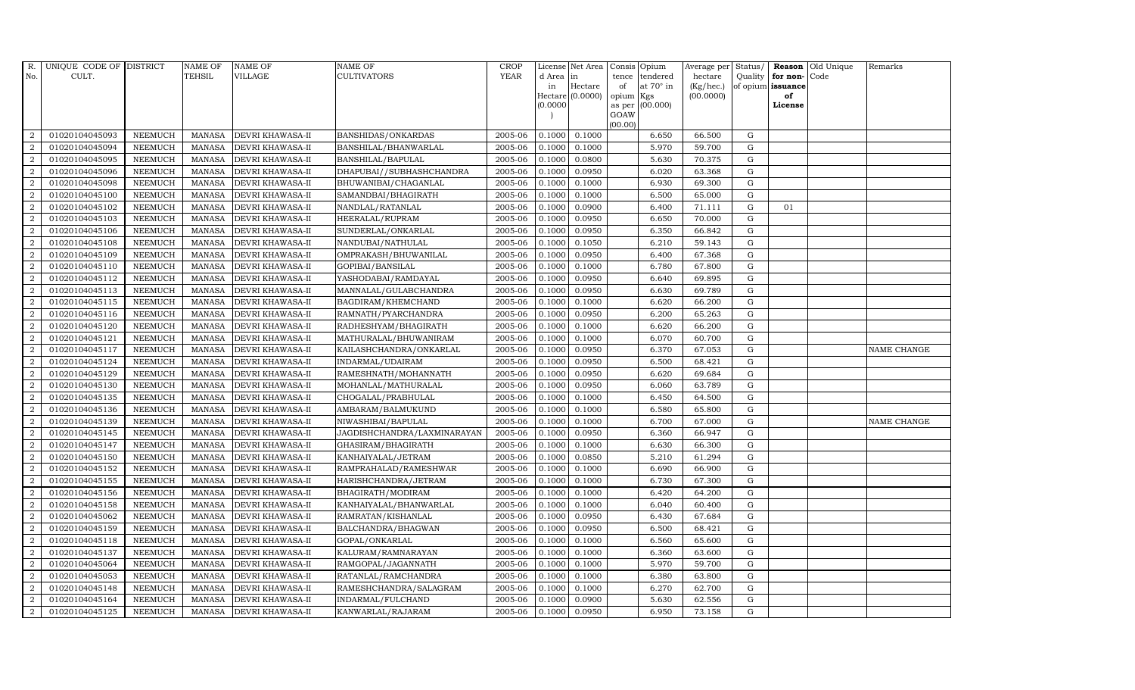| R.               | UNIQUE CODE OF DISTRICT |                | <b>NAME OF</b> | <b>NAME OF</b>   | <b>NAME OF</b>              | CROP        |           | License Net Area |                 | Consis Opium     | Average per | Status/     |                   | Reason Old Unique | Remarks            |
|------------------|-------------------------|----------------|----------------|------------------|-----------------------------|-------------|-----------|------------------|-----------------|------------------|-------------|-------------|-------------------|-------------------|--------------------|
| No.              | CULT.                   |                | <b>TEHSIL</b>  | <b>VILLAGE</b>   | CULTIVATORS                 | <b>YEAR</b> | d Area in |                  | tence           | tendered         | hectare     | Quality     | for non-          | Code              |                    |
|                  |                         |                |                |                  |                             |             | in        | Hectare          | of              | at $70^\circ$ in | (Kg/hec.)   |             | of opium issuance |                   |                    |
|                  |                         |                |                |                  |                             |             | (0.0000)  | Hectare (0.0000) | opium<br>as per | Kgs<br>(00.000)  | (00.0000)   |             | of<br>License     |                   |                    |
|                  |                         |                |                |                  |                             |             |           |                  | GOAW            |                  |             |             |                   |                   |                    |
|                  |                         |                |                |                  |                             |             |           |                  | (00.00)         |                  |             |             |                   |                   |                    |
| 2                | 01020104045093          | <b>NEEMUCH</b> | <b>MANASA</b>  | DEVRI KHAWASA-II | BANSHIDAS/ONKARDAS          | 2005-06     | 0.1000    | 0.1000           |                 | 6.650            | 66.500      | G           |                   |                   |                    |
| $\overline{2}$   | 01020104045094          | <b>NEEMUCH</b> | <b>MANASA</b>  | DEVRI KHAWASA-II | BANSHILAL/BHANWARLAL        | 2005-06     | 0.1000    | 0.1000           |                 | 5.970            | 59.700      | G           |                   |                   |                    |
| 2                | 01020104045095          | <b>NEEMUCH</b> | <b>MANASA</b>  | DEVRI KHAWASA-II | BANSHILAL/BAPULAL           | 2005-06     | 0.1000    | 0.0800           |                 | 5.630            | 70.375      | G           |                   |                   |                    |
| $\overline{2}$   | 01020104045096          | <b>NEEMUCH</b> | <b>MANASA</b>  | DEVRI KHAWASA-II | DHAPUBAI//SUBHASHCHANDRA    | 2005-06     | 0.1000    | 0.0950           |                 | 6.020            | 63.368      | $\mathbf G$ |                   |                   |                    |
| 2                | 01020104045098          | <b>NEEMUCH</b> | <b>MANASA</b>  | DEVRI KHAWASA-II | BHUWANIBAI/CHAGANLAL        | 2005-06     | 0.1000    | 0.1000           |                 | 6.930            | 69.300      | G           |                   |                   |                    |
| $\overline{2}$   | 01020104045100          | <b>NEEMUCH</b> | <b>MANASA</b>  | DEVRI KHAWASA-II | SAMANDBAI/BHAGIRATH         | 2005-06     | 0.1000    | 0.1000           |                 | 6.500            | 65.000      | G           |                   |                   |                    |
| $\overline{2}$   | 01020104045102          | <b>NEEMUCH</b> | <b>MANASA</b>  | DEVRI KHAWASA-II | NANDLAL/RATANLAL            | 2005-06     | 0.1000    | 0.0900           |                 | 6.400            | 71.111      | G           | 01                |                   |                    |
| 2                | 01020104045103          | <b>NEEMUCH</b> | <b>MANASA</b>  | DEVRI KHAWASA-II | HEERALAL/RUPRAM             | 2005-06     | 0.1000    | 0.0950           |                 | 6.650            | 70.000      | G           |                   |                   |                    |
| $\overline{2}$   | 01020104045106          | <b>NEEMUCH</b> | <b>MANASA</b>  | DEVRI KHAWASA-II | SUNDERLAL/ONKARLAL          | 2005-06     | 0.1000    | 0.0950           |                 | 6.350            | 66.842      | $\mathbf G$ |                   |                   |                    |
| $\overline{2}$   | 01020104045108          | <b>NEEMUCH</b> | <b>MANASA</b>  | DEVRI KHAWASA-II | NANDUBAI/NATHULAL           | 2005-06     | 0.1000    | 0.1050           |                 | 6.210            | 59.143      | G           |                   |                   |                    |
| 2                | 01020104045109          | <b>NEEMUCH</b> | <b>MANASA</b>  | DEVRI KHAWASA-II | OMPRAKASH/BHUWANILAL        | 2005-06     | 0.1000    | 0.0950           |                 | 6.400            | 67.368      | G           |                   |                   |                    |
| $\boldsymbol{2}$ | 01020104045110          | <b>NEEMUCH</b> | <b>MANASA</b>  | DEVRI KHAWASA-II | GOPIBAI/BANSILAL            | 2005-06     | 0.1000    | 0.1000           |                 | 6.780            | 67.800      | G           |                   |                   |                    |
| 2                | 01020104045112          | <b>NEEMUCH</b> | <b>MANASA</b>  | DEVRI KHAWASA-II | YASHODABAI/RAMDAYAL         | 2005-06     | 0.1000    | 0.0950           |                 | 6.640            | 69.895      | G           |                   |                   |                    |
| 2                | 01020104045113          | <b>NEEMUCH</b> | <b>MANASA</b>  | DEVRI KHAWASA-II | MANNALAL/GULABCHANDRA       | 2005-06     | 0.1000    | 0.0950           |                 | 6.630            | 69.789      | $\mathbf G$ |                   |                   |                    |
| $\boldsymbol{2}$ | 01020104045115          | <b>NEEMUCH</b> | <b>MANASA</b>  | DEVRI KHAWASA-II | BAGDIRAM/KHEMCHAND          | 2005-06     | 0.1000    | 0.1000           |                 | 6.620            | 66.200      | ${\rm G}$   |                   |                   |                    |
| 2                | 01020104045116          | <b>NEEMUCH</b> | <b>MANASA</b>  | DEVRI KHAWASA-II | RAMNATH/PYARCHANDRA         | 2005-06     | 0.1000    | 0.0950           |                 | 6.200            | 65.263      | G           |                   |                   |                    |
| 2                | 01020104045120          | <b>NEEMUCH</b> | <b>MANASA</b>  | DEVRI KHAWASA-II | RADHESHYAM/BHAGIRATH        | 2005-06     | 0.1000    | 0.1000           |                 | 6.620            | 66.200      | G           |                   |                   |                    |
| $\overline{2}$   | 01020104045121          | <b>NEEMUCH</b> | <b>MANASA</b>  | DEVRI KHAWASA-II | MATHURALAL/BHUWANIRAM       | 2005-06     | 0.1000    | 0.1000           |                 | 6.070            | 60.700      | G           |                   |                   |                    |
| 2                | 01020104045117          | <b>NEEMUCH</b> | <b>MANASA</b>  | DEVRI KHAWASA-II | KAILASHCHANDRA/ONKARLAL     | 2005-06     | 0.1000    | 0.0950           |                 | 6.370            | 67.053      | $\mathbf G$ |                   |                   | <b>NAME CHANGE</b> |
| $\overline{2}$   | 01020104045124          | <b>NEEMUCH</b> | <b>MANASA</b>  | DEVRI KHAWASA-II | INDARMAL/UDAIRAM            | 2005-06     | 0.1000    | 0.0950           |                 | 6.500            | 68.421      | G           |                   |                   |                    |
| 2                | 01020104045129          | <b>NEEMUCH</b> | <b>MANASA</b>  | DEVRI KHAWASA-II | RAMESHNATH/MOHANNATH        | 2005-06     | 0.1000    | 0.0950           |                 | 6.620            | 69.684      | G           |                   |                   |                    |
| $\overline{2}$   | 01020104045130          | <b>NEEMUCH</b> | <b>MANASA</b>  | DEVRI KHAWASA-II | MOHANLAL/MATHURALAL         | 2005-06     | 0.1000    | 0.0950           |                 | 6.060            | 63.789      | G           |                   |                   |                    |
| $\overline{2}$   | 01020104045135          | <b>NEEMUCH</b> | <b>MANASA</b>  | DEVRI KHAWASA-II | CHOGALAL/PRABHULAL          | 2005-06     | 0.1000    | 0.1000           |                 | 6.450            | 64.500      | G           |                   |                   |                    |
| 2                | 01020104045136          | <b>NEEMUCH</b> | <b>MANASA</b>  | DEVRI KHAWASA-II | AMBARAM/BALMUKUND           | 2005-06     | 0.1000    | 0.1000           |                 | 6.580            | 65.800      | G           |                   |                   |                    |
| $\overline{2}$   | 01020104045139          | <b>NEEMUCH</b> | <b>MANASA</b>  | DEVRI KHAWASA-II | NIWASHIBAI/BAPULAL          | 2005-06     | 0.1000    | 0.1000           |                 | 6.700            | 67.000      | G           |                   |                   | NAME CHANGE        |
| 2                | 01020104045145          | <b>NEEMUCH</b> | <b>MANASA</b>  | DEVRI KHAWASA-II | JAGDISHCHANDRA/LAXMINARAYAN | 2005-06     | 0.1000    | 0.0950           |                 | 6.360            | 66.947      | G           |                   |                   |                    |
| 2                | 01020104045147          | <b>NEEMUCH</b> | <b>MANASA</b>  | DEVRI KHAWASA-II | GHASIRAM/BHAGIRATH          | 2005-06     | 0.1000    | 0.1000           |                 | 6.630            | 66.300      | G           |                   |                   |                    |
| $\overline{2}$   | 01020104045150          | <b>NEEMUCH</b> | <b>MANASA</b>  | DEVRI KHAWASA-II | KANHAIYALAL/JETRAM          | 2005-06     | 0.1000    | 0.0850           |                 | 5.210            | 61.294      | G           |                   |                   |                    |
| $\overline{2}$   | 01020104045152          | <b>NEEMUCH</b> | <b>MANASA</b>  | DEVRI KHAWASA-II | RAMPRAHALAD/RAMESHWAR       | 2005-06     | 0.1000    | 0.1000           |                 | 6.690            | 66.900      | $\mathbf G$ |                   |                   |                    |
| $\overline{2}$   | 01020104045155          | <b>NEEMUCH</b> | <b>MANASA</b>  | DEVRI KHAWASA-II | HARISHCHANDRA/JETRAM        | 2005-06     | 0.1000    | 0.1000           |                 | 6.730            | 67.300      | G           |                   |                   |                    |
| $\overline{2}$   | 01020104045156          | <b>NEEMUCH</b> | <b>MANASA</b>  | DEVRI KHAWASA-II | BHAGIRATH/MODIRAM           | 2005-06     | 0.1000    | 0.1000           |                 | 6.420            | 64.200      | G           |                   |                   |                    |
| $\overline{2}$   | 01020104045158          | <b>NEEMUCH</b> | <b>MANASA</b>  | DEVRI KHAWASA-II | KANHAIYALAL/BHANWARLAL      | 2005-06     | 0.1000    | 0.1000           |                 | 6.040            | 60.400      | G           |                   |                   |                    |
| $\overline{2}$   | 01020104045062          | <b>NEEMUCH</b> | <b>MANASA</b>  | DEVRI KHAWASA-II | RAMRATAN/KISHANLAL          | 2005-06     | 0.1000    | 0.0950           |                 | 6.430            | 67.684      | G           |                   |                   |                    |
| $\overline{2}$   | 01020104045159          | <b>NEEMUCH</b> | <b>MANASA</b>  | DEVRI KHAWASA-II | BALCHANDRA/BHAGWAN          | 2005-06     | 0.1000    | 0.0950           |                 | 6.500            | 68.421      | $\mathbf G$ |                   |                   |                    |
| $\overline{2}$   | 01020104045118          | <b>NEEMUCH</b> | <b>MANASA</b>  | DEVRI KHAWASA-II | GOPAL/ONKARLAL              | 2005-06     | 0.1000    | 0.1000           |                 | 6.560            | 65.600      | $\mathbf G$ |                   |                   |                    |
| $\overline{2}$   | 01020104045137          | <b>NEEMUCH</b> | <b>MANASA</b>  | DEVRI KHAWASA-II | KALURAM/RAMNARAYAN          | 2005-06     | 0.1000    | 0.1000           |                 | 6.360            | 63.600      | G           |                   |                   |                    |
| $\overline{2}$   | 01020104045064          | <b>NEEMUCH</b> | <b>MANASA</b>  | DEVRI KHAWASA-II | RAMGOPAL/JAGANNATH          | 2005-06     | 0.1000    | 0.1000           |                 | 5.970            | 59.700      | G           |                   |                   |                    |
| $\boldsymbol{2}$ | 01020104045053          | <b>NEEMUCH</b> | <b>MANASA</b>  | DEVRI KHAWASA-II | RATANLAL/RAMCHANDRA         | 2005-06     | 0.1000    | 0.1000           |                 | 6.380            | 63.800      | G           |                   |                   |                    |
| $\overline{2}$   | 01020104045148          | <b>NEEMUCH</b> | <b>MANASA</b>  | DEVRI KHAWASA-II | RAMESHCHANDRA/SALAGRAM      | 2005-06     | 0.1000    | 0.1000           |                 | 6.270            | 62.700      | G           |                   |                   |                    |
| $\overline{2}$   | 01020104045164          | <b>NEEMUCH</b> | <b>MANASA</b>  | DEVRI KHAWASA-II | INDARMAL/FULCHAND           | 2005-06     | 0.1000    | 0.0900           |                 | 5.630            | 62.556      | $\mathbf G$ |                   |                   |                    |
| $\overline{2}$   | 01020104045125          | <b>NEEMUCH</b> | MANASA         | DEVRI KHAWASA-II | KANWARLAL/RAJARAM           | 2005-06     | 0.1000    | 0.0950           |                 | 6.950            | 73.158      | G           |                   |                   |                    |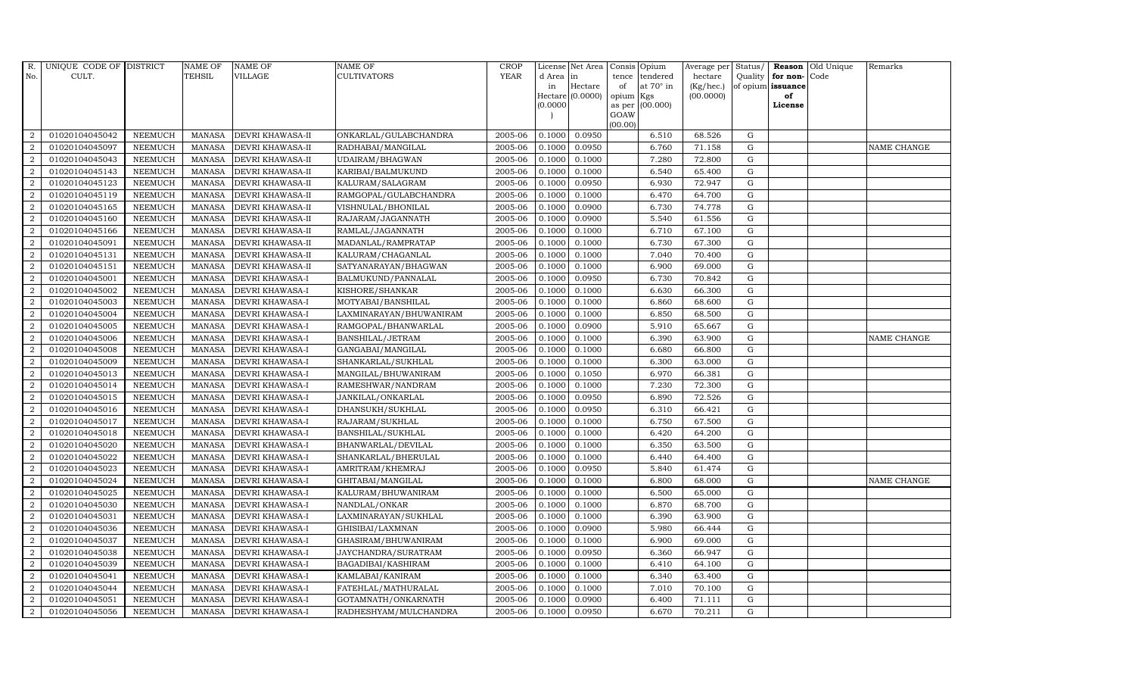| R.               | UNIQUE CODE OF DISTRICT |                | <b>NAME OF</b> | <b>NAME OF</b>         | <b>NAME OF</b>          | CROP        |          | License Net Area   |           | Consis Opium    | Average per | Status/     | Reason            | Old Unique | Remarks     |
|------------------|-------------------------|----------------|----------------|------------------------|-------------------------|-------------|----------|--------------------|-----------|-----------------|-------------|-------------|-------------------|------------|-------------|
| No.              | CULT.                   |                | <b>TEHSIL</b>  | VILLAGE                | CULTIVATORS             | <b>YEAR</b> | d Area   | in                 | tence     | tendered        | hectare     | Quality     | for non-          | Code       |             |
|                  |                         |                |                |                        |                         |             | in       | Hectare            | of        | at 70° in       | (Kg/hec.)   |             | of opium issuance |            |             |
|                  |                         |                |                |                        |                         |             | (0.0000) | Hectare $(0.0000)$ | opium Kgs | as per (00.000) | (00.0000)   |             | of<br>License     |            |             |
|                  |                         |                |                |                        |                         |             |          |                    | GOAW      |                 |             |             |                   |            |             |
|                  |                         |                |                |                        |                         |             |          |                    | (00.00)   |                 |             |             |                   |            |             |
| 2                | 01020104045042          | <b>NEEMUCH</b> | <b>MANASA</b>  | DEVRI KHAWASA-II       | ONKARLAL/GULABCHANDRA   | 2005-06     | 0.1000   | 0.0950             |           | 6.510           | 68.526      | G           |                   |            |             |
| $\overline{2}$   | 01020104045097          | <b>NEEMUCH</b> | <b>MANASA</b>  | DEVRI KHAWASA-II       | RADHABAI/MANGILAL       | 2005-06     | 0.1000   | 0.0950             |           | 6.760           | 71.158      | ${\rm G}$   |                   |            | NAME CHANGE |
| 2                | 01020104045043          | <b>NEEMUCH</b> | <b>MANASA</b>  | DEVRI KHAWASA-II       | UDAIRAM/BHAGWAN         | 2005-06     | 0.1000   | 0.1000             |           | 7.280           | 72.800      | G           |                   |            |             |
| $\overline{2}$   | 01020104045143          | <b>NEEMUCH</b> | <b>MANASA</b>  | DEVRI KHAWASA-II       | KARIBAI/BALMUKUND       | 2005-06     | 0.1000   | 0.1000             |           | 6.540           | 65.400      | $\mathbf G$ |                   |            |             |
| $\overline{2}$   | 01020104045123          | <b>NEEMUCH</b> | <b>MANASA</b>  | DEVRI KHAWASA-II       | KALURAM/SALAGRAM        | 2005-06     | 0.1000   | 0.0950             |           | 6.930           | 72.947      | ${\bf G}$   |                   |            |             |
| $\overline{2}$   | 01020104045119          | <b>NEEMUCH</b> | <b>MANASA</b>  | DEVRI KHAWASA-II       | RAMGOPAL/GULABCHANDRA   | 2005-06     | 0.1000   | 0.1000             |           | 6.470           | 64.700      | $\mathbf G$ |                   |            |             |
| $\overline{2}$   | 01020104045165          | <b>NEEMUCH</b> | <b>MANASA</b>  | DEVRI KHAWASA-II       | VISHNULAL/BHONILAL      | 2005-06     | 0.1000   | 0.0900             |           | 6.730           | 74.778      | ${\bf G}$   |                   |            |             |
| $\overline{2}$   | 01020104045160          | <b>NEEMUCH</b> | <b>MANASA</b>  | DEVRI KHAWASA-II       | RAJARAM/JAGANNATH       | 2005-06     | 0.1000   | 0.0900             |           | 5.540           | 61.556      | $\mathbf G$ |                   |            |             |
| $\overline{2}$   | 01020104045166          | <b>NEEMUCH</b> | <b>MANASA</b>  | DEVRI KHAWASA-II       | RAMLAL/JAGANNATH        | 2005-06     | 0.1000   | 0.1000             |           | 6.710           | 67.100      | G           |                   |            |             |
| $\overline{2}$   | 01020104045091          | <b>NEEMUCH</b> | <b>MANASA</b>  | DEVRI KHAWASA-II       | MADANLAL/RAMPRATAP      | 2005-06     | 0.1000   | 0.1000             |           | 6.730           | 67.300      | ${\rm G}$   |                   |            |             |
| $\overline{2}$   | 01020104045131          | <b>NEEMUCH</b> | <b>MANASA</b>  | DEVRI KHAWASA-II       | KALURAM/CHAGANLAL       | 2005-06     | 0.1000   | 0.1000             |           | 7.040           | 70.400      | ${\rm G}$   |                   |            |             |
| $\overline{2}$   | 01020104045151          | <b>NEEMUCH</b> | <b>MANASA</b>  | DEVRI KHAWASA-II       | SATYANARAYAN/BHAGWAN    | 2005-06     | 0.1000   | 0.1000             |           | 6.900           | 69.000      | $\mathbf G$ |                   |            |             |
| $\overline{2}$   | 01020104045001          | <b>NEEMUCH</b> | <b>MANASA</b>  | <b>DEVRI KHAWASA-I</b> | BALMUKUND/PANNALAL      | 2005-06     | 0.1000   | 0.0950             |           | 6.730           | 70.842      | G           |                   |            |             |
| $\overline{2}$   | 01020104045002          | <b>NEEMUCH</b> | <b>MANASA</b>  | DEVRI KHAWASA-I        | KISHORE/SHANKAR         | 2005-06     | 0.1000   | 0.1000             |           | 6.630           | 66.300      | $\mathbf G$ |                   |            |             |
| $\overline{2}$   | 01020104045003          | <b>NEEMUCH</b> | <b>MANASA</b>  | DEVRI KHAWASA-I        | MOTYABAI/BANSHILAL      | 2005-06     | 0.1000   | 0.1000             |           | 6.860           | 68.600      | ${\bf G}$   |                   |            |             |
| $\overline{2}$   | 01020104045004          | <b>NEEMUCH</b> | <b>MANASA</b>  | DEVRI KHAWASA-I        | LAXMINARAYAN/BHUWANIRAM | 2005-06     | 0.1000   | 0.1000             |           | 6.850           | 68.500      | ${\rm G}$   |                   |            |             |
| $\overline{2}$   | 01020104045005          | <b>NEEMUCH</b> | <b>MANASA</b>  | DEVRI KHAWASA-I        | RAMGOPAL/BHANWARLAL     | 2005-06     | 0.1000   | 0.0900             |           | 5.910           | 65.667      | G           |                   |            |             |
| $\overline{2}$   | 01020104045006          | NEEMUCH        | <b>MANASA</b>  | DEVRI KHAWASA-I        | BANSHILAL/JETRAM        | 2005-06     | 0.1000   | 0.1000             |           | 6.390           | 63.900      | $\mathbf G$ |                   |            | NAME CHANGE |
| $\overline{2}$   | 01020104045008          | <b>NEEMUCH</b> | <b>MANASA</b>  | DEVRI KHAWASA-I        | GANGABAI/MANGILAL       | 2005-06     | 0.1000   | 0.1000             |           | 6.680           | 66.800      | $\mathbf G$ |                   |            |             |
| $\overline{2}$   | 01020104045009          | <b>NEEMUCH</b> | <b>MANASA</b>  | DEVRI KHAWASA-I        | SHANKARLAL/SUKHLAL      | 2005-06     | 0.1000   | 0.1000             |           | 6.300           | 63.000      | ${\rm G}$   |                   |            |             |
| $\overline{2}$   | 01020104045013          | <b>NEEMUCH</b> | <b>MANASA</b>  | DEVRI KHAWASA-I        | MANGILAL/BHUWANIRAM     | 2005-06     | 0.1000   | 0.1050             |           | 6.970           | 66.381      | ${\rm G}$   |                   |            |             |
| $\boldsymbol{2}$ | 01020104045014          | <b>NEEMUCH</b> | <b>MANASA</b>  | DEVRI KHAWASA-I        | RAMESHWAR/NANDRAM       | 2005-06     | 0.1000   | 0.1000             |           | 7.230           | 72.300      | ${\rm G}$   |                   |            |             |
| $\overline{2}$   | 01020104045015          | <b>NEEMUCH</b> | <b>MANASA</b>  | DEVRI KHAWASA-I        | JANKILAL/ONKARLAL       | 2005-06     | 0.1000   | 0.0950             |           | 6.890           | 72.526      | G           |                   |            |             |
| $\overline{2}$   | 01020104045016          | <b>NEEMUCH</b> | <b>MANASA</b>  | DEVRI KHAWASA-I        | DHANSUKH/SUKHLAL        | 2005-06     | 0.1000   | 0.0950             |           | 6.310           | 66.421      | $\mathbf G$ |                   |            |             |
| $\overline{2}$   | 01020104045017          | <b>NEEMUCH</b> | <b>MANASA</b>  | DEVRI KHAWASA-I        | RAJARAM/SUKHLAL         | 2005-06     | 0.1000   | 0.1000             |           | 6.750           | 67.500      | ${\rm G}$   |                   |            |             |
| $\overline{2}$   | 01020104045018          | <b>NEEMUCH</b> | <b>MANASA</b>  | DEVRI KHAWASA-I        | BANSHILAL/SUKHLAL       | 2005-06     | 0.1000   | 0.1000             |           | 6.420           | 64.200      | G           |                   |            |             |
| $\overline{2}$   | 01020104045020          | <b>NEEMUCH</b> | <b>MANASA</b>  | DEVRI KHAWASA-I        | BHANWARLAL/DEVILAL      | 2005-06     | 0.1000   | 0.1000             |           | 6.350           | 63.500      | ${\rm G}$   |                   |            |             |
| $\overline{2}$   | 01020104045022          | <b>NEEMUCH</b> | <b>MANASA</b>  | DEVRI KHAWASA-I        | SHANKARLAL/BHERULAL     | 2005-06     | 0.1000   | 0.1000             |           | 6.440           | 64.400      | $\mathbf G$ |                   |            |             |
| $\overline{2}$   | 01020104045023          | <b>NEEMUCH</b> | <b>MANASA</b>  | DEVRI KHAWASA-I        | AMRITRAM/KHEMRAJ        | 2005-06     | 0.1000   | 0.0950             |           | 5.840           | 61.474      | $\mathbf G$ |                   |            |             |
| $\overline{2}$   | 01020104045024          | <b>NEEMUCH</b> | <b>MANASA</b>  | DEVRI KHAWASA-I        | GHITABAI/MANGILAL       | 2005-06     | 0.1000   | 0.1000             |           | 6.800           | 68.000      | ${\rm G}$   |                   |            | NAME CHANGE |
| $\overline{2}$   | 01020104045025          | <b>NEEMUCH</b> | <b>MANASA</b>  | DEVRI KHAWASA-I        | KALURAM/BHUWANIRAM      | 2005-06     | 0.1000   | 0.1000             |           | 6.500           | 65.000      | G           |                   |            |             |
| $\overline{2}$   | 01020104045030          | <b>NEEMUCH</b> | <b>MANASA</b>  | DEVRI KHAWASA-I        | NANDLAL/ONKAR           | 2005-06     | 0.1000   | 0.1000             |           | 6.870           | 68.700      | ${\rm G}$   |                   |            |             |
| $\overline{2}$   | 01020104045031          | <b>NEEMUCH</b> | <b>MANASA</b>  | DEVRI KHAWASA-I        | LAXMINARAYAN/SUKHLAL    | 2005-06     | 0.1000   | 0.1000             |           | 6.390           | 63.900      | ${\rm G}$   |                   |            |             |
| $\overline{2}$   | 01020104045036          | <b>NEEMUCH</b> | <b>MANASA</b>  | <b>DEVRI KHAWASA-I</b> | GHISIBAI/LAXMNAN        | 2005-06     | 0.1000   | 0.0900             |           | 5.980           | 66.444      | $\mathbf G$ |                   |            |             |
| $\overline{2}$   | 01020104045037          | <b>NEEMUCH</b> | <b>MANASA</b>  | DEVRI KHAWASA-I        | GHASIRAM/BHUWANIRAM     | 2005-06     | 0.1000   | 0.1000             |           | 6.900           | 69.000      | $\mathbf G$ |                   |            |             |
| $\overline{2}$   | 01020104045038          | <b>NEEMUCH</b> | <b>MANASA</b>  | DEVRI KHAWASA-I        | JAYCHANDRA/SURATRAM     | 2005-06     | 0.1000   | 0.0950             |           | 6.360           | 66.947      | G           |                   |            |             |
| $\overline{2}$   | 01020104045039          | <b>NEEMUCH</b> | <b>MANASA</b>  | DEVRI KHAWASA-I        | BAGADIBAI/KASHIRAM      | 2005-06     | 0.1000   | 0.1000             |           | 6.410           | 64.100      | G           |                   |            |             |
| $\boldsymbol{2}$ | 01020104045041          | <b>NEEMUCH</b> | <b>MANASA</b>  | DEVRI KHAWASA-I        | KAMLABAI/KANIRAM        | 2005-06     | 0.1000   | 0.1000             |           | 6.340           | 63.400      | $\mathbf G$ |                   |            |             |
| $\overline{2}$   | 01020104045044          | <b>NEEMUCH</b> | <b>MANASA</b>  | DEVRI KHAWASA-I        | FATEHLAL/MATHURALAL     | 2005-06     | 0.1000   | 0.1000             |           | 7.010           | 70.100      | G           |                   |            |             |
| $\overline{2}$   | 01020104045051          | <b>NEEMUCH</b> | <b>MANASA</b>  | DEVRI KHAWASA-I        | GOTAMNATH/ONKARNATH     | 2005-06     | 0.1000   | 0.0900             |           | 6.400           | 71.111      | $\mathbf G$ |                   |            |             |
| $\overline{2}$   | 01020104045056          | <b>NEEMUCH</b> | MANASA         | <b>DEVRI KHAWASA-I</b> | RADHESHYAM/MULCHANDRA   | 2005-06     | 0.1000   | 0.0950             |           | 6.670           | 70.211      | G           |                   |            |             |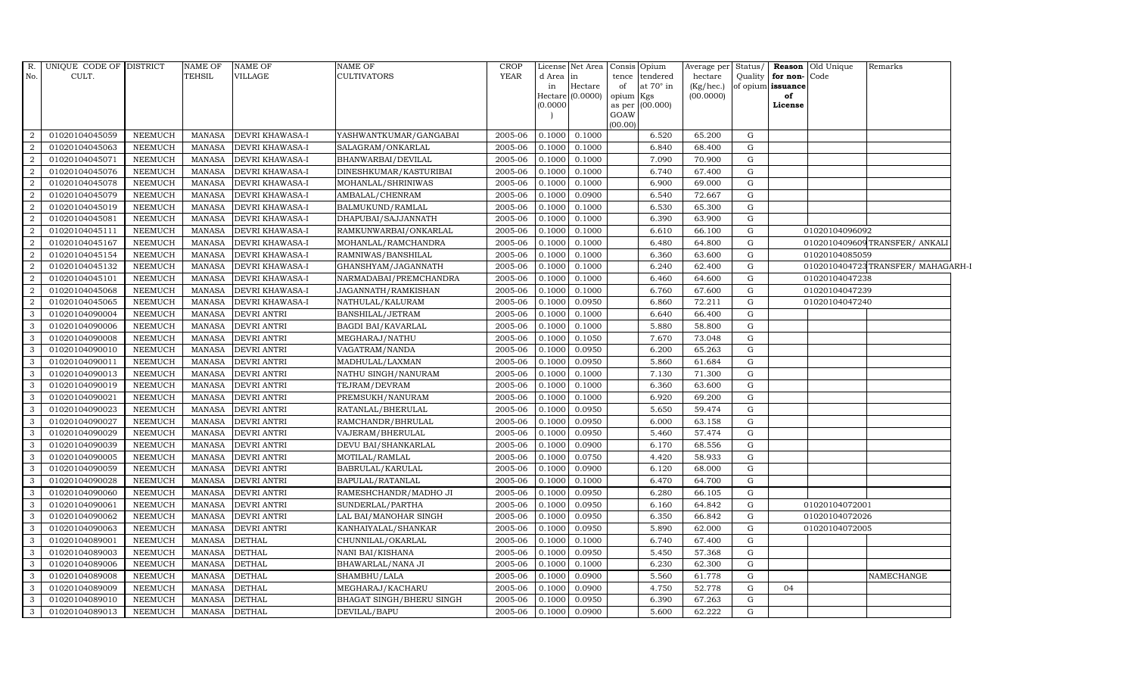| <b>YEAR</b><br>No.<br>CULT.<br>TEHSIL<br>VILLAGE<br><b>CULTIVATORS</b><br>tendered<br>hectare<br>Quality for non-Code<br>d Area in<br>tence<br>Hectare<br>at $70^\circ$ in<br>of opium issuance<br>of<br>$(Kg/$ hec.)<br>in<br>Hectare (0.0000)<br>(00.0000)<br>opium Kgs<br>of<br>(00.000)<br>(0.0000)<br>as per<br>License<br>GOAW<br>(00.00)<br>01020104045059<br>0.1000<br>0.1000<br>6.520<br>$\overline{2}$<br><b>NEEMUCH</b><br>MANASA<br><b>DEVRI KHAWASA-I</b><br>YASHWANTKUMAR/GANGABAI<br>2005-06<br>65.200<br>G<br>01020104045063<br><b>NEEMUCH</b><br><b>DEVRI KHAWASA-I</b><br>SALAGRAM/ONKARLAL<br>2005-06<br>0.1000<br>0.1000<br>6.840<br>$\mathbf{G}$<br>$\overline{2}$<br>MANASA<br>68.400<br>$\overline{2}$<br>01020104045071<br><b>NEEMUCH</b><br><b>DEVRI KHAWASA-I</b><br>BHANWARBAI/DEVILAL<br>2005-06<br>0.1000<br>0.1000<br>7.090<br>70.900<br>MANASA<br>G<br>01020104045076<br><b>NEEMUCH</b><br><b>MANASA</b><br><b>DEVRI KHAWASA-I</b><br>DINESHKUMAR/KASTURIBAI<br>2005-06<br>0.1000<br>0.1000<br>6.740<br>67.400<br>G<br>$\overline{2}$<br>01020104045078<br>6.900<br>$\overline{2}$<br><b>NEEMUCH</b><br><b>MANASA</b><br>DEVRI KHAWASA-I<br>MOHANLAL/SHRINIWAS<br>2005-06<br>0.1000<br>0.1000<br>69.000<br>G<br>$\overline{2}$<br>01020104045079<br><b>NEEMUCH</b><br>2005-06<br>0.1000<br>0.0900<br>6.540<br>72.667<br>G<br><b>MANASA</b><br>DEVRI KHAWASA-I<br>AMBALAL/CHENRAM<br>01020104045019<br><b>NEEMUCH</b><br>BALMUKUND/RAMLAL<br>2005-06<br>0.1000<br>6.530<br>65.300<br>$\mathbf{G}$<br>$\overline{2}$<br><b>MANASA</b><br><b>DEVRI KHAWASA-I</b><br>0.1000<br>01020104045081<br>$\overline{2}$<br><b>NEEMUCH</b><br><b>MANASA</b><br><b>DEVRI KHAWASA-I</b><br>DHAPUBAI/SAJJANNATH<br>2005-06<br>0.1000<br>0.1000<br>6.390<br>63.900<br>G<br>01020104045111<br><b>NEEMUCH</b><br><b>MANASA</b><br><b>DEVRI KHAWASA-I</b><br>RAMKUNWARBAI/ONKARLAL<br>2005-06<br>0.1000<br>0.1000<br>6.610<br>66.100<br>01020104096092<br>$\mathcal{D}_{\mathcal{L}}$<br>G<br>01020104045167<br><b>NEEMUCH</b><br>0102010409609TRANSFER/ANKALI<br><b>MANASA</b><br>DEVRI KHAWASA-I<br>MOHANLAL/RAMCHANDRA<br>2005-06<br>0.1000<br>0.1000<br>6.480<br>64.800<br>G<br>01020104045154<br><b>NEEMUCH</b><br>2005-06<br>0.1000<br>0.1000<br>G<br>01020104085059<br>$\overline{2}$<br><b>MANASA</b><br>DEVRI KHAWASA-I<br>RAMNIWAS/BANSHILAL<br>6.360<br>63.600<br>0102010404723TRANSFER/ MAHAGARH-I<br>01020104045132<br><b>NEEMUCH</b><br>DEVRI KHAWASA-I<br>2005-06<br>0.1000<br>0.1000<br>6.240<br>G<br>$\overline{2}$<br><b>MANASA</b><br>GHANSHYAM/JAGANNATH<br>62.400<br>2<br>01020104045101<br><b>NEEMUCH</b><br>DEVRI KHAWASA-I<br>2005-06<br>0.1000<br>0.1000<br>6.460<br>64.600<br>G<br>01020104047238<br>MANASA<br>NARMADABAI/PREMCHANDRA<br>01020104047239<br>01020104045068<br><b>NEEMUCH</b><br><b>MANASA</b><br><b>DEVRI KHAWASA-I</b><br>JAGANNATH/RAMKISHAN<br>2005-06<br>0.1000<br>0.1000<br>6.760<br>67.600<br>G<br>$\overline{2}$<br>01020104045065<br><b>NEEMUCH</b><br>2005-06<br>01020104047240<br><b>MANASA</b><br>DEVRI KHAWASA-I<br>NATHULAL/KALURAM<br>0.1000<br>0.0950<br>6.860<br>72.211<br>G<br>01020104090004<br><b>NEEMUCH</b><br>2005-06<br>0.1000<br>0.1000<br>G<br>3<br><b>MANASA</b><br><b>DEVRI ANTRI</b><br>BANSHILAL/JETRAM<br>6.640<br>66.400<br>01020104090006<br><b>NEEMUCH</b><br><b>DEVRI ANTRI</b><br><b>BAGDI BAI/KAVARLAL</b><br>2005-06<br>0.1000<br>0.1000<br>5.880<br>58.800<br>3<br><b>MANASA</b><br>G<br>01020104090008<br>3<br><b>NEEMUCH</b><br><b>DEVRI ANTRI</b><br>2005-06<br>0.1000<br>0.1050<br>7.670<br>G<br>MANASA<br>MEGHARAJ/NATHU<br>73.048<br>01020104090010<br><b>NEEMUCH</b><br><b>MANASA</b><br><b>DEVRI ANTRI</b><br>VAGATRAM/NANDA<br>2005-06<br>0.1000<br>0.0950<br>6.200<br>65.263<br>G<br>3<br>01020104090011<br><b>NEEMUCH</b><br>5.860<br>$\mathbf G$<br>3<br><b>MANASA</b><br>DEVRI ANTRI<br>MADHULAL/LAXMAN<br>2005-06<br>0.1000<br>0.0950<br>61.684<br><b>DEVRI ANTRI</b><br>2005-06<br>0.1000<br>0.1000<br>G<br>01020104090013<br><b>NEEMUCH</b><br><b>MANASA</b><br>NATHU SINGH/NANURAM<br>7.130<br>71.300<br>3<br>01020104090019<br><b>NEEMUCH</b><br><b>DEVRI ANTRI</b><br>TEJRAM/DEVRAM<br>2005-06<br>0.1000<br>0.1000<br>6.360<br>63.600<br>3<br><b>MANASA</b><br>G<br>01020104090021<br>3<br><b>NEEMUCH</b><br><b>MANASA</b><br><b>DEVRI ANTRI</b><br>PREMSUKH/NANURAM<br>2005-06<br>0.1000<br>0.1000<br>6.920<br>69.200<br>G<br>01020104090023<br><b>NEEMUCH</b><br><b>MANASA</b><br><b>DEVRI ANTRI</b><br>RATANLAL/BHERULAL<br>2005-06<br>0.1000<br>0.0950<br>5.650<br>59.474<br>G<br>3<br>01020104090027<br><b>NEEMUCH</b><br><b>DEVRI ANTRI</b><br>RAMCHANDR/BHRULAL<br>2005-06<br>0.0950<br>$\mathbf G$<br>3<br><b>MANASA</b><br>0.1000<br>6.000<br>63.158<br>01020104090029<br><b>NEEMUCH</b><br><b>MANASA</b><br><b>DEVRI ANTRI</b><br>2005-06<br>0.1000<br>0.0950<br>5.460<br>57.474<br>G<br>3<br>VAJERAM/BHERULAL<br>01020104090039<br><b>NEEMUCH</b><br><b>DEVRI ANTRI</b><br>DEVU BAI/SHANKARLAL<br>2005-06<br>0.1000<br>0.0900<br>6.170<br>68.556<br>3<br><b>MANASA</b><br>G<br>01020104090005<br>0.0750<br>3<br><b>NEEMUCH</b><br><b>MANASA</b><br><b>DEVRI ANTRI</b><br>MOTILAL/RAMLAL<br>2005-06<br>0.1000<br>4.420<br>58.933<br>G<br>01020104090059<br><b>NEEMUCH</b><br><b>DEVRI ANTRI</b><br>BABRULAL/KARULAL<br>2005-06<br>0.1000<br>0.0900<br>6.120<br>68.000<br>G<br>3<br><b>MANASA</b><br>01020104090028<br><b>NEEMUCH</b><br><b>DEVRI ANTRI</b><br>2005-06<br>3<br><b>MANASA</b><br>BAPULAL/RATANLAL<br>0.1000<br>0.1000<br>6.470<br>64.700<br>G<br>NEEMUCH<br>2005-06<br>0.1000<br>0.0950<br>3<br>01020104090060<br><b>MANASA</b><br><b>DEVRI ANTRI</b><br>RAMESHCHANDR/MADHO JI<br>6.280<br>66.105<br>G<br>01020104090061<br><b>NEEMUCH</b><br><b>DEVRI ANTRI</b><br>2005-06<br>0.1000<br>0.0950<br>6.160<br>64.842<br>3<br><b>MANASA</b><br>SUNDERLAL/PARTHA<br>G<br>01020104072001<br>01020104090062<br><b>NEEMUCH</b><br>2005-06<br>01020104072026<br>3<br>MANASA<br><b>DEVRI ANTRI</b><br>LAL BAI/MANOHAR SINGH<br>0.1000<br>0.0950<br>6.350<br>66.842<br>G<br>01020104090063<br><b>NEEMUCH</b><br><b>MANASA</b><br><b>DEVRI ANTRI</b><br>2005-06<br>0.1000<br>0.0950<br>5.890<br>62.000<br>G<br>01020104072005<br>3<br>KANHAIYALAL/SHANKAR<br>01020104089001<br><b>NEEMUCH</b><br>3<br><b>MANASA</b><br><b>DETHAL</b><br>CHUNNILAL/OKARLAL<br>2005-06<br>0.1000<br>0.1000<br>6.740<br>67.400<br>G<br><b>DETHAL</b><br>2005-06<br>0.1000<br>0.0950<br>5.450<br>G<br>3<br>01020104089003<br><b>NEEMUCH</b><br><b>MANASA</b><br>NANI BAI/KISHANA<br>57.368<br>01020104089006<br><b>NEEMUCH</b><br><b>DETHAL</b><br>BHAWARLAL/NANA JI<br>2005-06<br>0.1000<br>0.1000<br>6.230<br>62.300<br>3<br><b>MANASA</b><br>G<br><b>DETHAL</b><br>3<br>01020104089008<br><b>NEEMUCH</b><br>MANASA<br>SHAMBHU/LALA<br>2005-06<br>0.1000<br>0.0900<br>5.560<br>61.778<br>G<br><b>NAMECHANGE</b><br>01020104089009<br><b>NEEMUCH</b><br><b>DETHAL</b><br>MEGHARAJ/KACHARU<br>2005-06<br>0.1000<br>0.0900<br>4.750<br>52.778<br>G<br>3<br><b>MANASA</b><br>04<br>3<br>01020104089010<br><b>NEEMUCH</b><br><b>MANASA</b><br><b>DETHAL</b><br>BHAGAT SINGH/BHERU SINGH<br>2005-06<br>0.1000<br>0.0950<br>6.390<br>67.263<br>G<br><b>DETHAL</b><br>62.222<br>01020104089013<br>NEEMUCH<br>MANASA<br>2005-06<br>0.1000<br>0.0900<br>5.600<br>G<br>3<br>DEVILAL/BAPU | R. | UNIQUE CODE OF DISTRICT | NAME OF | <b>NAME OF</b> | NAME OF | CROP | License Net Area | Consis Opium | Average per | Status/ | <b>Reason</b> Old Unique | Remarks |
|---------------------------------------------------------------------------------------------------------------------------------------------------------------------------------------------------------------------------------------------------------------------------------------------------------------------------------------------------------------------------------------------------------------------------------------------------------------------------------------------------------------------------------------------------------------------------------------------------------------------------------------------------------------------------------------------------------------------------------------------------------------------------------------------------------------------------------------------------------------------------------------------------------------------------------------------------------------------------------------------------------------------------------------------------------------------------------------------------------------------------------------------------------------------------------------------------------------------------------------------------------------------------------------------------------------------------------------------------------------------------------------------------------------------------------------------------------------------------------------------------------------------------------------------------------------------------------------------------------------------------------------------------------------------------------------------------------------------------------------------------------------------------------------------------------------------------------------------------------------------------------------------------------------------------------------------------------------------------------------------------------------------------------------------------------------------------------------------------------------------------------------------------------------------------------------------------------------------------------------------------------------------------------------------------------------------------------------------------------------------------------------------------------------------------------------------------------------------------------------------------------------------------------------------------------------------------------------------------------------------------------------------------------------------------------------------------------------------------------------------------------------------------------------------------------------------------------------------------------------------------------------------------------------------------------------------------------------------------------------------------------------------------------------------------------------------------------------------------------------------------------------------------------------------------------------------------------------------------------------------------------------------------------------------------------------------------------------------------------------------------------------------------------------------------------------------------------------------------------------------------------------------------------------------------------------------------------------------------------------------------------------------------------------------------------------------------------------------------------------------------------------------------------------------------------------------------------------------------------------------------------------------------------------------------------------------------------------------------------------------------------------------------------------------------------------------------------------------------------------------------------------------------------------------------------------------------------------------------------------------------------------------------------------------------------------------------------------------------------------------------------------------------------------------------------------------------------------------------------------------------------------------------------------------------------------------------------------------------------------------------------------------------------------------------------------------------------------------------------------------------------------------------------------------------------------------------------------------------------------------------------------------------------------------------------------------------------------------------------------------------------------------------------------------------------------------------------------------------------------------------------------------------------------------------------------------------------------------------------------------------------------------------------------------------------------------------------------------------------------------------------------------------------------------------------------------------------------------------------------------------------------------------------------------------------------------------------------------------------------------------------------------------------------------------------------------------------------------------------------------------------------------------------------------------------------------------------------------------------------------------------------------------------------------------------------------------------------------------------------------------------------------------------------------------------------------------------------------------------------------------------------------------------------------------------------------------------------------------------------------------------------------------------------------------------------------------------------------------------------------------------------------------------------------------------------------------------------------------------------------------------------------------------------------------------------------------------------------------------------------------------------------------------------------------------------------------------------------------------------------------------------------------------------------------------------------------------------------------------------------------------------------------------------------------------------------------------------------------------------------------------------------------------------------------------------------------------------------------------------------------------------------------------------------------------------------------------------------------------------------------------------------------------------------------------------------------------------------------------------------------------------|----|-------------------------|---------|----------------|---------|------|------------------|--------------|-------------|---------|--------------------------|---------|
|                                                                                                                                                                                                                                                                                                                                                                                                                                                                                                                                                                                                                                                                                                                                                                                                                                                                                                                                                                                                                                                                                                                                                                                                                                                                                                                                                                                                                                                                                                                                                                                                                                                                                                                                                                                                                                                                                                                                                                                                                                                                                                                                                                                                                                                                                                                                                                                                                                                                                                                                                                                                                                                                                                                                                                                                                                                                                                                                                                                                                                                                                                                                                                                                                                                                                                                                                                                                                                                                                                                                                                                                                                                                                                                                                                                                                                                                                                                                                                                                                                                                                                                                                                                                                                                                                                                                                                                                                                                                                                                                                                                                                                                                                                                                                                                                                                                                                                                                                                                                                                                                                                                                                                                                                                                                                                                                                                                                                                                                                                                                                                                                                                                                                                                                                                                                                                                                                                                                                                                                                                                                                                                                                                                                                                                                                                                                                                                                                                                                                                                                                                                                                                                                                                                                                                                                                                                                                                                                                                                                                                                                                                                                                                                                                                                                                                                                                                                       |    |                         |         |                |         |      |                  |              |             |         |                          |         |
|                                                                                                                                                                                                                                                                                                                                                                                                                                                                                                                                                                                                                                                                                                                                                                                                                                                                                                                                                                                                                                                                                                                                                                                                                                                                                                                                                                                                                                                                                                                                                                                                                                                                                                                                                                                                                                                                                                                                                                                                                                                                                                                                                                                                                                                                                                                                                                                                                                                                                                                                                                                                                                                                                                                                                                                                                                                                                                                                                                                                                                                                                                                                                                                                                                                                                                                                                                                                                                                                                                                                                                                                                                                                                                                                                                                                                                                                                                                                                                                                                                                                                                                                                                                                                                                                                                                                                                                                                                                                                                                                                                                                                                                                                                                                                                                                                                                                                                                                                                                                                                                                                                                                                                                                                                                                                                                                                                                                                                                                                                                                                                                                                                                                                                                                                                                                                                                                                                                                                                                                                                                                                                                                                                                                                                                                                                                                                                                                                                                                                                                                                                                                                                                                                                                                                                                                                                                                                                                                                                                                                                                                                                                                                                                                                                                                                                                                                                                       |    |                         |         |                |         |      |                  |              |             |         |                          |         |
|                                                                                                                                                                                                                                                                                                                                                                                                                                                                                                                                                                                                                                                                                                                                                                                                                                                                                                                                                                                                                                                                                                                                                                                                                                                                                                                                                                                                                                                                                                                                                                                                                                                                                                                                                                                                                                                                                                                                                                                                                                                                                                                                                                                                                                                                                                                                                                                                                                                                                                                                                                                                                                                                                                                                                                                                                                                                                                                                                                                                                                                                                                                                                                                                                                                                                                                                                                                                                                                                                                                                                                                                                                                                                                                                                                                                                                                                                                                                                                                                                                                                                                                                                                                                                                                                                                                                                                                                                                                                                                                                                                                                                                                                                                                                                                                                                                                                                                                                                                                                                                                                                                                                                                                                                                                                                                                                                                                                                                                                                                                                                                                                                                                                                                                                                                                                                                                                                                                                                                                                                                                                                                                                                                                                                                                                                                                                                                                                                                                                                                                                                                                                                                                                                                                                                                                                                                                                                                                                                                                                                                                                                                                                                                                                                                                                                                                                                                                       |    |                         |         |                |         |      |                  |              |             |         |                          |         |
|                                                                                                                                                                                                                                                                                                                                                                                                                                                                                                                                                                                                                                                                                                                                                                                                                                                                                                                                                                                                                                                                                                                                                                                                                                                                                                                                                                                                                                                                                                                                                                                                                                                                                                                                                                                                                                                                                                                                                                                                                                                                                                                                                                                                                                                                                                                                                                                                                                                                                                                                                                                                                                                                                                                                                                                                                                                                                                                                                                                                                                                                                                                                                                                                                                                                                                                                                                                                                                                                                                                                                                                                                                                                                                                                                                                                                                                                                                                                                                                                                                                                                                                                                                                                                                                                                                                                                                                                                                                                                                                                                                                                                                                                                                                                                                                                                                                                                                                                                                                                                                                                                                                                                                                                                                                                                                                                                                                                                                                                                                                                                                                                                                                                                                                                                                                                                                                                                                                                                                                                                                                                                                                                                                                                                                                                                                                                                                                                                                                                                                                                                                                                                                                                                                                                                                                                                                                                                                                                                                                                                                                                                                                                                                                                                                                                                                                                                                                       |    |                         |         |                |         |      |                  |              |             |         |                          |         |
|                                                                                                                                                                                                                                                                                                                                                                                                                                                                                                                                                                                                                                                                                                                                                                                                                                                                                                                                                                                                                                                                                                                                                                                                                                                                                                                                                                                                                                                                                                                                                                                                                                                                                                                                                                                                                                                                                                                                                                                                                                                                                                                                                                                                                                                                                                                                                                                                                                                                                                                                                                                                                                                                                                                                                                                                                                                                                                                                                                                                                                                                                                                                                                                                                                                                                                                                                                                                                                                                                                                                                                                                                                                                                                                                                                                                                                                                                                                                                                                                                                                                                                                                                                                                                                                                                                                                                                                                                                                                                                                                                                                                                                                                                                                                                                                                                                                                                                                                                                                                                                                                                                                                                                                                                                                                                                                                                                                                                                                                                                                                                                                                                                                                                                                                                                                                                                                                                                                                                                                                                                                                                                                                                                                                                                                                                                                                                                                                                                                                                                                                                                                                                                                                                                                                                                                                                                                                                                                                                                                                                                                                                                                                                                                                                                                                                                                                                                                       |    |                         |         |                |         |      |                  |              |             |         |                          |         |
|                                                                                                                                                                                                                                                                                                                                                                                                                                                                                                                                                                                                                                                                                                                                                                                                                                                                                                                                                                                                                                                                                                                                                                                                                                                                                                                                                                                                                                                                                                                                                                                                                                                                                                                                                                                                                                                                                                                                                                                                                                                                                                                                                                                                                                                                                                                                                                                                                                                                                                                                                                                                                                                                                                                                                                                                                                                                                                                                                                                                                                                                                                                                                                                                                                                                                                                                                                                                                                                                                                                                                                                                                                                                                                                                                                                                                                                                                                                                                                                                                                                                                                                                                                                                                                                                                                                                                                                                                                                                                                                                                                                                                                                                                                                                                                                                                                                                                                                                                                                                                                                                                                                                                                                                                                                                                                                                                                                                                                                                                                                                                                                                                                                                                                                                                                                                                                                                                                                                                                                                                                                                                                                                                                                                                                                                                                                                                                                                                                                                                                                                                                                                                                                                                                                                                                                                                                                                                                                                                                                                                                                                                                                                                                                                                                                                                                                                                                                       |    |                         |         |                |         |      |                  |              |             |         |                          |         |
|                                                                                                                                                                                                                                                                                                                                                                                                                                                                                                                                                                                                                                                                                                                                                                                                                                                                                                                                                                                                                                                                                                                                                                                                                                                                                                                                                                                                                                                                                                                                                                                                                                                                                                                                                                                                                                                                                                                                                                                                                                                                                                                                                                                                                                                                                                                                                                                                                                                                                                                                                                                                                                                                                                                                                                                                                                                                                                                                                                                                                                                                                                                                                                                                                                                                                                                                                                                                                                                                                                                                                                                                                                                                                                                                                                                                                                                                                                                                                                                                                                                                                                                                                                                                                                                                                                                                                                                                                                                                                                                                                                                                                                                                                                                                                                                                                                                                                                                                                                                                                                                                                                                                                                                                                                                                                                                                                                                                                                                                                                                                                                                                                                                                                                                                                                                                                                                                                                                                                                                                                                                                                                                                                                                                                                                                                                                                                                                                                                                                                                                                                                                                                                                                                                                                                                                                                                                                                                                                                                                                                                                                                                                                                                                                                                                                                                                                                                                       |    |                         |         |                |         |      |                  |              |             |         |                          |         |
|                                                                                                                                                                                                                                                                                                                                                                                                                                                                                                                                                                                                                                                                                                                                                                                                                                                                                                                                                                                                                                                                                                                                                                                                                                                                                                                                                                                                                                                                                                                                                                                                                                                                                                                                                                                                                                                                                                                                                                                                                                                                                                                                                                                                                                                                                                                                                                                                                                                                                                                                                                                                                                                                                                                                                                                                                                                                                                                                                                                                                                                                                                                                                                                                                                                                                                                                                                                                                                                                                                                                                                                                                                                                                                                                                                                                                                                                                                                                                                                                                                                                                                                                                                                                                                                                                                                                                                                                                                                                                                                                                                                                                                                                                                                                                                                                                                                                                                                                                                                                                                                                                                                                                                                                                                                                                                                                                                                                                                                                                                                                                                                                                                                                                                                                                                                                                                                                                                                                                                                                                                                                                                                                                                                                                                                                                                                                                                                                                                                                                                                                                                                                                                                                                                                                                                                                                                                                                                                                                                                                                                                                                                                                                                                                                                                                                                                                                                                       |    |                         |         |                |         |      |                  |              |             |         |                          |         |
|                                                                                                                                                                                                                                                                                                                                                                                                                                                                                                                                                                                                                                                                                                                                                                                                                                                                                                                                                                                                                                                                                                                                                                                                                                                                                                                                                                                                                                                                                                                                                                                                                                                                                                                                                                                                                                                                                                                                                                                                                                                                                                                                                                                                                                                                                                                                                                                                                                                                                                                                                                                                                                                                                                                                                                                                                                                                                                                                                                                                                                                                                                                                                                                                                                                                                                                                                                                                                                                                                                                                                                                                                                                                                                                                                                                                                                                                                                                                                                                                                                                                                                                                                                                                                                                                                                                                                                                                                                                                                                                                                                                                                                                                                                                                                                                                                                                                                                                                                                                                                                                                                                                                                                                                                                                                                                                                                                                                                                                                                                                                                                                                                                                                                                                                                                                                                                                                                                                                                                                                                                                                                                                                                                                                                                                                                                                                                                                                                                                                                                                                                                                                                                                                                                                                                                                                                                                                                                                                                                                                                                                                                                                                                                                                                                                                                                                                                                                       |    |                         |         |                |         |      |                  |              |             |         |                          |         |
|                                                                                                                                                                                                                                                                                                                                                                                                                                                                                                                                                                                                                                                                                                                                                                                                                                                                                                                                                                                                                                                                                                                                                                                                                                                                                                                                                                                                                                                                                                                                                                                                                                                                                                                                                                                                                                                                                                                                                                                                                                                                                                                                                                                                                                                                                                                                                                                                                                                                                                                                                                                                                                                                                                                                                                                                                                                                                                                                                                                                                                                                                                                                                                                                                                                                                                                                                                                                                                                                                                                                                                                                                                                                                                                                                                                                                                                                                                                                                                                                                                                                                                                                                                                                                                                                                                                                                                                                                                                                                                                                                                                                                                                                                                                                                                                                                                                                                                                                                                                                                                                                                                                                                                                                                                                                                                                                                                                                                                                                                                                                                                                                                                                                                                                                                                                                                                                                                                                                                                                                                                                                                                                                                                                                                                                                                                                                                                                                                                                                                                                                                                                                                                                                                                                                                                                                                                                                                                                                                                                                                                                                                                                                                                                                                                                                                                                                                                                       |    |                         |         |                |         |      |                  |              |             |         |                          |         |
|                                                                                                                                                                                                                                                                                                                                                                                                                                                                                                                                                                                                                                                                                                                                                                                                                                                                                                                                                                                                                                                                                                                                                                                                                                                                                                                                                                                                                                                                                                                                                                                                                                                                                                                                                                                                                                                                                                                                                                                                                                                                                                                                                                                                                                                                                                                                                                                                                                                                                                                                                                                                                                                                                                                                                                                                                                                                                                                                                                                                                                                                                                                                                                                                                                                                                                                                                                                                                                                                                                                                                                                                                                                                                                                                                                                                                                                                                                                                                                                                                                                                                                                                                                                                                                                                                                                                                                                                                                                                                                                                                                                                                                                                                                                                                                                                                                                                                                                                                                                                                                                                                                                                                                                                                                                                                                                                                                                                                                                                                                                                                                                                                                                                                                                                                                                                                                                                                                                                                                                                                                                                                                                                                                                                                                                                                                                                                                                                                                                                                                                                                                                                                                                                                                                                                                                                                                                                                                                                                                                                                                                                                                                                                                                                                                                                                                                                                                                       |    |                         |         |                |         |      |                  |              |             |         |                          |         |
|                                                                                                                                                                                                                                                                                                                                                                                                                                                                                                                                                                                                                                                                                                                                                                                                                                                                                                                                                                                                                                                                                                                                                                                                                                                                                                                                                                                                                                                                                                                                                                                                                                                                                                                                                                                                                                                                                                                                                                                                                                                                                                                                                                                                                                                                                                                                                                                                                                                                                                                                                                                                                                                                                                                                                                                                                                                                                                                                                                                                                                                                                                                                                                                                                                                                                                                                                                                                                                                                                                                                                                                                                                                                                                                                                                                                                                                                                                                                                                                                                                                                                                                                                                                                                                                                                                                                                                                                                                                                                                                                                                                                                                                                                                                                                                                                                                                                                                                                                                                                                                                                                                                                                                                                                                                                                                                                                                                                                                                                                                                                                                                                                                                                                                                                                                                                                                                                                                                                                                                                                                                                                                                                                                                                                                                                                                                                                                                                                                                                                                                                                                                                                                                                                                                                                                                                                                                                                                                                                                                                                                                                                                                                                                                                                                                                                                                                                                                       |    |                         |         |                |         |      |                  |              |             |         |                          |         |
|                                                                                                                                                                                                                                                                                                                                                                                                                                                                                                                                                                                                                                                                                                                                                                                                                                                                                                                                                                                                                                                                                                                                                                                                                                                                                                                                                                                                                                                                                                                                                                                                                                                                                                                                                                                                                                                                                                                                                                                                                                                                                                                                                                                                                                                                                                                                                                                                                                                                                                                                                                                                                                                                                                                                                                                                                                                                                                                                                                                                                                                                                                                                                                                                                                                                                                                                                                                                                                                                                                                                                                                                                                                                                                                                                                                                                                                                                                                                                                                                                                                                                                                                                                                                                                                                                                                                                                                                                                                                                                                                                                                                                                                                                                                                                                                                                                                                                                                                                                                                                                                                                                                                                                                                                                                                                                                                                                                                                                                                                                                                                                                                                                                                                                                                                                                                                                                                                                                                                                                                                                                                                                                                                                                                                                                                                                                                                                                                                                                                                                                                                                                                                                                                                                                                                                                                                                                                                                                                                                                                                                                                                                                                                                                                                                                                                                                                                                                       |    |                         |         |                |         |      |                  |              |             |         |                          |         |
|                                                                                                                                                                                                                                                                                                                                                                                                                                                                                                                                                                                                                                                                                                                                                                                                                                                                                                                                                                                                                                                                                                                                                                                                                                                                                                                                                                                                                                                                                                                                                                                                                                                                                                                                                                                                                                                                                                                                                                                                                                                                                                                                                                                                                                                                                                                                                                                                                                                                                                                                                                                                                                                                                                                                                                                                                                                                                                                                                                                                                                                                                                                                                                                                                                                                                                                                                                                                                                                                                                                                                                                                                                                                                                                                                                                                                                                                                                                                                                                                                                                                                                                                                                                                                                                                                                                                                                                                                                                                                                                                                                                                                                                                                                                                                                                                                                                                                                                                                                                                                                                                                                                                                                                                                                                                                                                                                                                                                                                                                                                                                                                                                                                                                                                                                                                                                                                                                                                                                                                                                                                                                                                                                                                                                                                                                                                                                                                                                                                                                                                                                                                                                                                                                                                                                                                                                                                                                                                                                                                                                                                                                                                                                                                                                                                                                                                                                                                       |    |                         |         |                |         |      |                  |              |             |         |                          |         |
|                                                                                                                                                                                                                                                                                                                                                                                                                                                                                                                                                                                                                                                                                                                                                                                                                                                                                                                                                                                                                                                                                                                                                                                                                                                                                                                                                                                                                                                                                                                                                                                                                                                                                                                                                                                                                                                                                                                                                                                                                                                                                                                                                                                                                                                                                                                                                                                                                                                                                                                                                                                                                                                                                                                                                                                                                                                                                                                                                                                                                                                                                                                                                                                                                                                                                                                                                                                                                                                                                                                                                                                                                                                                                                                                                                                                                                                                                                                                                                                                                                                                                                                                                                                                                                                                                                                                                                                                                                                                                                                                                                                                                                                                                                                                                                                                                                                                                                                                                                                                                                                                                                                                                                                                                                                                                                                                                                                                                                                                                                                                                                                                                                                                                                                                                                                                                                                                                                                                                                                                                                                                                                                                                                                                                                                                                                                                                                                                                                                                                                                                                                                                                                                                                                                                                                                                                                                                                                                                                                                                                                                                                                                                                                                                                                                                                                                                                                                       |    |                         |         |                |         |      |                  |              |             |         |                          |         |
|                                                                                                                                                                                                                                                                                                                                                                                                                                                                                                                                                                                                                                                                                                                                                                                                                                                                                                                                                                                                                                                                                                                                                                                                                                                                                                                                                                                                                                                                                                                                                                                                                                                                                                                                                                                                                                                                                                                                                                                                                                                                                                                                                                                                                                                                                                                                                                                                                                                                                                                                                                                                                                                                                                                                                                                                                                                                                                                                                                                                                                                                                                                                                                                                                                                                                                                                                                                                                                                                                                                                                                                                                                                                                                                                                                                                                                                                                                                                                                                                                                                                                                                                                                                                                                                                                                                                                                                                                                                                                                                                                                                                                                                                                                                                                                                                                                                                                                                                                                                                                                                                                                                                                                                                                                                                                                                                                                                                                                                                                                                                                                                                                                                                                                                                                                                                                                                                                                                                                                                                                                                                                                                                                                                                                                                                                                                                                                                                                                                                                                                                                                                                                                                                                                                                                                                                                                                                                                                                                                                                                                                                                                                                                                                                                                                                                                                                                                                       |    |                         |         |                |         |      |                  |              |             |         |                          |         |
|                                                                                                                                                                                                                                                                                                                                                                                                                                                                                                                                                                                                                                                                                                                                                                                                                                                                                                                                                                                                                                                                                                                                                                                                                                                                                                                                                                                                                                                                                                                                                                                                                                                                                                                                                                                                                                                                                                                                                                                                                                                                                                                                                                                                                                                                                                                                                                                                                                                                                                                                                                                                                                                                                                                                                                                                                                                                                                                                                                                                                                                                                                                                                                                                                                                                                                                                                                                                                                                                                                                                                                                                                                                                                                                                                                                                                                                                                                                                                                                                                                                                                                                                                                                                                                                                                                                                                                                                                                                                                                                                                                                                                                                                                                                                                                                                                                                                                                                                                                                                                                                                                                                                                                                                                                                                                                                                                                                                                                                                                                                                                                                                                                                                                                                                                                                                                                                                                                                                                                                                                                                                                                                                                                                                                                                                                                                                                                                                                                                                                                                                                                                                                                                                                                                                                                                                                                                                                                                                                                                                                                                                                                                                                                                                                                                                                                                                                                                       |    |                         |         |                |         |      |                  |              |             |         |                          |         |
|                                                                                                                                                                                                                                                                                                                                                                                                                                                                                                                                                                                                                                                                                                                                                                                                                                                                                                                                                                                                                                                                                                                                                                                                                                                                                                                                                                                                                                                                                                                                                                                                                                                                                                                                                                                                                                                                                                                                                                                                                                                                                                                                                                                                                                                                                                                                                                                                                                                                                                                                                                                                                                                                                                                                                                                                                                                                                                                                                                                                                                                                                                                                                                                                                                                                                                                                                                                                                                                                                                                                                                                                                                                                                                                                                                                                                                                                                                                                                                                                                                                                                                                                                                                                                                                                                                                                                                                                                                                                                                                                                                                                                                                                                                                                                                                                                                                                                                                                                                                                                                                                                                                                                                                                                                                                                                                                                                                                                                                                                                                                                                                                                                                                                                                                                                                                                                                                                                                                                                                                                                                                                                                                                                                                                                                                                                                                                                                                                                                                                                                                                                                                                                                                                                                                                                                                                                                                                                                                                                                                                                                                                                                                                                                                                                                                                                                                                                                       |    |                         |         |                |         |      |                  |              |             |         |                          |         |
|                                                                                                                                                                                                                                                                                                                                                                                                                                                                                                                                                                                                                                                                                                                                                                                                                                                                                                                                                                                                                                                                                                                                                                                                                                                                                                                                                                                                                                                                                                                                                                                                                                                                                                                                                                                                                                                                                                                                                                                                                                                                                                                                                                                                                                                                                                                                                                                                                                                                                                                                                                                                                                                                                                                                                                                                                                                                                                                                                                                                                                                                                                                                                                                                                                                                                                                                                                                                                                                                                                                                                                                                                                                                                                                                                                                                                                                                                                                                                                                                                                                                                                                                                                                                                                                                                                                                                                                                                                                                                                                                                                                                                                                                                                                                                                                                                                                                                                                                                                                                                                                                                                                                                                                                                                                                                                                                                                                                                                                                                                                                                                                                                                                                                                                                                                                                                                                                                                                                                                                                                                                                                                                                                                                                                                                                                                                                                                                                                                                                                                                                                                                                                                                                                                                                                                                                                                                                                                                                                                                                                                                                                                                                                                                                                                                                                                                                                                                       |    |                         |         |                |         |      |                  |              |             |         |                          |         |
|                                                                                                                                                                                                                                                                                                                                                                                                                                                                                                                                                                                                                                                                                                                                                                                                                                                                                                                                                                                                                                                                                                                                                                                                                                                                                                                                                                                                                                                                                                                                                                                                                                                                                                                                                                                                                                                                                                                                                                                                                                                                                                                                                                                                                                                                                                                                                                                                                                                                                                                                                                                                                                                                                                                                                                                                                                                                                                                                                                                                                                                                                                                                                                                                                                                                                                                                                                                                                                                                                                                                                                                                                                                                                                                                                                                                                                                                                                                                                                                                                                                                                                                                                                                                                                                                                                                                                                                                                                                                                                                                                                                                                                                                                                                                                                                                                                                                                                                                                                                                                                                                                                                                                                                                                                                                                                                                                                                                                                                                                                                                                                                                                                                                                                                                                                                                                                                                                                                                                                                                                                                                                                                                                                                                                                                                                                                                                                                                                                                                                                                                                                                                                                                                                                                                                                                                                                                                                                                                                                                                                                                                                                                                                                                                                                                                                                                                                                                       |    |                         |         |                |         |      |                  |              |             |         |                          |         |
|                                                                                                                                                                                                                                                                                                                                                                                                                                                                                                                                                                                                                                                                                                                                                                                                                                                                                                                                                                                                                                                                                                                                                                                                                                                                                                                                                                                                                                                                                                                                                                                                                                                                                                                                                                                                                                                                                                                                                                                                                                                                                                                                                                                                                                                                                                                                                                                                                                                                                                                                                                                                                                                                                                                                                                                                                                                                                                                                                                                                                                                                                                                                                                                                                                                                                                                                                                                                                                                                                                                                                                                                                                                                                                                                                                                                                                                                                                                                                                                                                                                                                                                                                                                                                                                                                                                                                                                                                                                                                                                                                                                                                                                                                                                                                                                                                                                                                                                                                                                                                                                                                                                                                                                                                                                                                                                                                                                                                                                                                                                                                                                                                                                                                                                                                                                                                                                                                                                                                                                                                                                                                                                                                                                                                                                                                                                                                                                                                                                                                                                                                                                                                                                                                                                                                                                                                                                                                                                                                                                                                                                                                                                                                                                                                                                                                                                                                                                       |    |                         |         |                |         |      |                  |              |             |         |                          |         |
|                                                                                                                                                                                                                                                                                                                                                                                                                                                                                                                                                                                                                                                                                                                                                                                                                                                                                                                                                                                                                                                                                                                                                                                                                                                                                                                                                                                                                                                                                                                                                                                                                                                                                                                                                                                                                                                                                                                                                                                                                                                                                                                                                                                                                                                                                                                                                                                                                                                                                                                                                                                                                                                                                                                                                                                                                                                                                                                                                                                                                                                                                                                                                                                                                                                                                                                                                                                                                                                                                                                                                                                                                                                                                                                                                                                                                                                                                                                                                                                                                                                                                                                                                                                                                                                                                                                                                                                                                                                                                                                                                                                                                                                                                                                                                                                                                                                                                                                                                                                                                                                                                                                                                                                                                                                                                                                                                                                                                                                                                                                                                                                                                                                                                                                                                                                                                                                                                                                                                                                                                                                                                                                                                                                                                                                                                                                                                                                                                                                                                                                                                                                                                                                                                                                                                                                                                                                                                                                                                                                                                                                                                                                                                                                                                                                                                                                                                                                       |    |                         |         |                |         |      |                  |              |             |         |                          |         |
|                                                                                                                                                                                                                                                                                                                                                                                                                                                                                                                                                                                                                                                                                                                                                                                                                                                                                                                                                                                                                                                                                                                                                                                                                                                                                                                                                                                                                                                                                                                                                                                                                                                                                                                                                                                                                                                                                                                                                                                                                                                                                                                                                                                                                                                                                                                                                                                                                                                                                                                                                                                                                                                                                                                                                                                                                                                                                                                                                                                                                                                                                                                                                                                                                                                                                                                                                                                                                                                                                                                                                                                                                                                                                                                                                                                                                                                                                                                                                                                                                                                                                                                                                                                                                                                                                                                                                                                                                                                                                                                                                                                                                                                                                                                                                                                                                                                                                                                                                                                                                                                                                                                                                                                                                                                                                                                                                                                                                                                                                                                                                                                                                                                                                                                                                                                                                                                                                                                                                                                                                                                                                                                                                                                                                                                                                                                                                                                                                                                                                                                                                                                                                                                                                                                                                                                                                                                                                                                                                                                                                                                                                                                                                                                                                                                                                                                                                                                       |    |                         |         |                |         |      |                  |              |             |         |                          |         |
|                                                                                                                                                                                                                                                                                                                                                                                                                                                                                                                                                                                                                                                                                                                                                                                                                                                                                                                                                                                                                                                                                                                                                                                                                                                                                                                                                                                                                                                                                                                                                                                                                                                                                                                                                                                                                                                                                                                                                                                                                                                                                                                                                                                                                                                                                                                                                                                                                                                                                                                                                                                                                                                                                                                                                                                                                                                                                                                                                                                                                                                                                                                                                                                                                                                                                                                                                                                                                                                                                                                                                                                                                                                                                                                                                                                                                                                                                                                                                                                                                                                                                                                                                                                                                                                                                                                                                                                                                                                                                                                                                                                                                                                                                                                                                                                                                                                                                                                                                                                                                                                                                                                                                                                                                                                                                                                                                                                                                                                                                                                                                                                                                                                                                                                                                                                                                                                                                                                                                                                                                                                                                                                                                                                                                                                                                                                                                                                                                                                                                                                                                                                                                                                                                                                                                                                                                                                                                                                                                                                                                                                                                                                                                                                                                                                                                                                                                                                       |    |                         |         |                |         |      |                  |              |             |         |                          |         |
|                                                                                                                                                                                                                                                                                                                                                                                                                                                                                                                                                                                                                                                                                                                                                                                                                                                                                                                                                                                                                                                                                                                                                                                                                                                                                                                                                                                                                                                                                                                                                                                                                                                                                                                                                                                                                                                                                                                                                                                                                                                                                                                                                                                                                                                                                                                                                                                                                                                                                                                                                                                                                                                                                                                                                                                                                                                                                                                                                                                                                                                                                                                                                                                                                                                                                                                                                                                                                                                                                                                                                                                                                                                                                                                                                                                                                                                                                                                                                                                                                                                                                                                                                                                                                                                                                                                                                                                                                                                                                                                                                                                                                                                                                                                                                                                                                                                                                                                                                                                                                                                                                                                                                                                                                                                                                                                                                                                                                                                                                                                                                                                                                                                                                                                                                                                                                                                                                                                                                                                                                                                                                                                                                                                                                                                                                                                                                                                                                                                                                                                                                                                                                                                                                                                                                                                                                                                                                                                                                                                                                                                                                                                                                                                                                                                                                                                                                                                       |    |                         |         |                |         |      |                  |              |             |         |                          |         |
|                                                                                                                                                                                                                                                                                                                                                                                                                                                                                                                                                                                                                                                                                                                                                                                                                                                                                                                                                                                                                                                                                                                                                                                                                                                                                                                                                                                                                                                                                                                                                                                                                                                                                                                                                                                                                                                                                                                                                                                                                                                                                                                                                                                                                                                                                                                                                                                                                                                                                                                                                                                                                                                                                                                                                                                                                                                                                                                                                                                                                                                                                                                                                                                                                                                                                                                                                                                                                                                                                                                                                                                                                                                                                                                                                                                                                                                                                                                                                                                                                                                                                                                                                                                                                                                                                                                                                                                                                                                                                                                                                                                                                                                                                                                                                                                                                                                                                                                                                                                                                                                                                                                                                                                                                                                                                                                                                                                                                                                                                                                                                                                                                                                                                                                                                                                                                                                                                                                                                                                                                                                                                                                                                                                                                                                                                                                                                                                                                                                                                                                                                                                                                                                                                                                                                                                                                                                                                                                                                                                                                                                                                                                                                                                                                                                                                                                                                                                       |    |                         |         |                |         |      |                  |              |             |         |                          |         |
|                                                                                                                                                                                                                                                                                                                                                                                                                                                                                                                                                                                                                                                                                                                                                                                                                                                                                                                                                                                                                                                                                                                                                                                                                                                                                                                                                                                                                                                                                                                                                                                                                                                                                                                                                                                                                                                                                                                                                                                                                                                                                                                                                                                                                                                                                                                                                                                                                                                                                                                                                                                                                                                                                                                                                                                                                                                                                                                                                                                                                                                                                                                                                                                                                                                                                                                                                                                                                                                                                                                                                                                                                                                                                                                                                                                                                                                                                                                                                                                                                                                                                                                                                                                                                                                                                                                                                                                                                                                                                                                                                                                                                                                                                                                                                                                                                                                                                                                                                                                                                                                                                                                                                                                                                                                                                                                                                                                                                                                                                                                                                                                                                                                                                                                                                                                                                                                                                                                                                                                                                                                                                                                                                                                                                                                                                                                                                                                                                                                                                                                                                                                                                                                                                                                                                                                                                                                                                                                                                                                                                                                                                                                                                                                                                                                                                                                                                                                       |    |                         |         |                |         |      |                  |              |             |         |                          |         |
|                                                                                                                                                                                                                                                                                                                                                                                                                                                                                                                                                                                                                                                                                                                                                                                                                                                                                                                                                                                                                                                                                                                                                                                                                                                                                                                                                                                                                                                                                                                                                                                                                                                                                                                                                                                                                                                                                                                                                                                                                                                                                                                                                                                                                                                                                                                                                                                                                                                                                                                                                                                                                                                                                                                                                                                                                                                                                                                                                                                                                                                                                                                                                                                                                                                                                                                                                                                                                                                                                                                                                                                                                                                                                                                                                                                                                                                                                                                                                                                                                                                                                                                                                                                                                                                                                                                                                                                                                                                                                                                                                                                                                                                                                                                                                                                                                                                                                                                                                                                                                                                                                                                                                                                                                                                                                                                                                                                                                                                                                                                                                                                                                                                                                                                                                                                                                                                                                                                                                                                                                                                                                                                                                                                                                                                                                                                                                                                                                                                                                                                                                                                                                                                                                                                                                                                                                                                                                                                                                                                                                                                                                                                                                                                                                                                                                                                                                                                       |    |                         |         |                |         |      |                  |              |             |         |                          |         |
|                                                                                                                                                                                                                                                                                                                                                                                                                                                                                                                                                                                                                                                                                                                                                                                                                                                                                                                                                                                                                                                                                                                                                                                                                                                                                                                                                                                                                                                                                                                                                                                                                                                                                                                                                                                                                                                                                                                                                                                                                                                                                                                                                                                                                                                                                                                                                                                                                                                                                                                                                                                                                                                                                                                                                                                                                                                                                                                                                                                                                                                                                                                                                                                                                                                                                                                                                                                                                                                                                                                                                                                                                                                                                                                                                                                                                                                                                                                                                                                                                                                                                                                                                                                                                                                                                                                                                                                                                                                                                                                                                                                                                                                                                                                                                                                                                                                                                                                                                                                                                                                                                                                                                                                                                                                                                                                                                                                                                                                                                                                                                                                                                                                                                                                                                                                                                                                                                                                                                                                                                                                                                                                                                                                                                                                                                                                                                                                                                                                                                                                                                                                                                                                                                                                                                                                                                                                                                                                                                                                                                                                                                                                                                                                                                                                                                                                                                                                       |    |                         |         |                |         |      |                  |              |             |         |                          |         |
|                                                                                                                                                                                                                                                                                                                                                                                                                                                                                                                                                                                                                                                                                                                                                                                                                                                                                                                                                                                                                                                                                                                                                                                                                                                                                                                                                                                                                                                                                                                                                                                                                                                                                                                                                                                                                                                                                                                                                                                                                                                                                                                                                                                                                                                                                                                                                                                                                                                                                                                                                                                                                                                                                                                                                                                                                                                                                                                                                                                                                                                                                                                                                                                                                                                                                                                                                                                                                                                                                                                                                                                                                                                                                                                                                                                                                                                                                                                                                                                                                                                                                                                                                                                                                                                                                                                                                                                                                                                                                                                                                                                                                                                                                                                                                                                                                                                                                                                                                                                                                                                                                                                                                                                                                                                                                                                                                                                                                                                                                                                                                                                                                                                                                                                                                                                                                                                                                                                                                                                                                                                                                                                                                                                                                                                                                                                                                                                                                                                                                                                                                                                                                                                                                                                                                                                                                                                                                                                                                                                                                                                                                                                                                                                                                                                                                                                                                                                       |    |                         |         |                |         |      |                  |              |             |         |                          |         |
|                                                                                                                                                                                                                                                                                                                                                                                                                                                                                                                                                                                                                                                                                                                                                                                                                                                                                                                                                                                                                                                                                                                                                                                                                                                                                                                                                                                                                                                                                                                                                                                                                                                                                                                                                                                                                                                                                                                                                                                                                                                                                                                                                                                                                                                                                                                                                                                                                                                                                                                                                                                                                                                                                                                                                                                                                                                                                                                                                                                                                                                                                                                                                                                                                                                                                                                                                                                                                                                                                                                                                                                                                                                                                                                                                                                                                                                                                                                                                                                                                                                                                                                                                                                                                                                                                                                                                                                                                                                                                                                                                                                                                                                                                                                                                                                                                                                                                                                                                                                                                                                                                                                                                                                                                                                                                                                                                                                                                                                                                                                                                                                                                                                                                                                                                                                                                                                                                                                                                                                                                                                                                                                                                                                                                                                                                                                                                                                                                                                                                                                                                                                                                                                                                                                                                                                                                                                                                                                                                                                                                                                                                                                                                                                                                                                                                                                                                                                       |    |                         |         |                |         |      |                  |              |             |         |                          |         |
|                                                                                                                                                                                                                                                                                                                                                                                                                                                                                                                                                                                                                                                                                                                                                                                                                                                                                                                                                                                                                                                                                                                                                                                                                                                                                                                                                                                                                                                                                                                                                                                                                                                                                                                                                                                                                                                                                                                                                                                                                                                                                                                                                                                                                                                                                                                                                                                                                                                                                                                                                                                                                                                                                                                                                                                                                                                                                                                                                                                                                                                                                                                                                                                                                                                                                                                                                                                                                                                                                                                                                                                                                                                                                                                                                                                                                                                                                                                                                                                                                                                                                                                                                                                                                                                                                                                                                                                                                                                                                                                                                                                                                                                                                                                                                                                                                                                                                                                                                                                                                                                                                                                                                                                                                                                                                                                                                                                                                                                                                                                                                                                                                                                                                                                                                                                                                                                                                                                                                                                                                                                                                                                                                                                                                                                                                                                                                                                                                                                                                                                                                                                                                                                                                                                                                                                                                                                                                                                                                                                                                                                                                                                                                                                                                                                                                                                                                                                       |    |                         |         |                |         |      |                  |              |             |         |                          |         |
|                                                                                                                                                                                                                                                                                                                                                                                                                                                                                                                                                                                                                                                                                                                                                                                                                                                                                                                                                                                                                                                                                                                                                                                                                                                                                                                                                                                                                                                                                                                                                                                                                                                                                                                                                                                                                                                                                                                                                                                                                                                                                                                                                                                                                                                                                                                                                                                                                                                                                                                                                                                                                                                                                                                                                                                                                                                                                                                                                                                                                                                                                                                                                                                                                                                                                                                                                                                                                                                                                                                                                                                                                                                                                                                                                                                                                                                                                                                                                                                                                                                                                                                                                                                                                                                                                                                                                                                                                                                                                                                                                                                                                                                                                                                                                                                                                                                                                                                                                                                                                                                                                                                                                                                                                                                                                                                                                                                                                                                                                                                                                                                                                                                                                                                                                                                                                                                                                                                                                                                                                                                                                                                                                                                                                                                                                                                                                                                                                                                                                                                                                                                                                                                                                                                                                                                                                                                                                                                                                                                                                                                                                                                                                                                                                                                                                                                                                                                       |    |                         |         |                |         |      |                  |              |             |         |                          |         |
|                                                                                                                                                                                                                                                                                                                                                                                                                                                                                                                                                                                                                                                                                                                                                                                                                                                                                                                                                                                                                                                                                                                                                                                                                                                                                                                                                                                                                                                                                                                                                                                                                                                                                                                                                                                                                                                                                                                                                                                                                                                                                                                                                                                                                                                                                                                                                                                                                                                                                                                                                                                                                                                                                                                                                                                                                                                                                                                                                                                                                                                                                                                                                                                                                                                                                                                                                                                                                                                                                                                                                                                                                                                                                                                                                                                                                                                                                                                                                                                                                                                                                                                                                                                                                                                                                                                                                                                                                                                                                                                                                                                                                                                                                                                                                                                                                                                                                                                                                                                                                                                                                                                                                                                                                                                                                                                                                                                                                                                                                                                                                                                                                                                                                                                                                                                                                                                                                                                                                                                                                                                                                                                                                                                                                                                                                                                                                                                                                                                                                                                                                                                                                                                                                                                                                                                                                                                                                                                                                                                                                                                                                                                                                                                                                                                                                                                                                                                       |    |                         |         |                |         |      |                  |              |             |         |                          |         |
|                                                                                                                                                                                                                                                                                                                                                                                                                                                                                                                                                                                                                                                                                                                                                                                                                                                                                                                                                                                                                                                                                                                                                                                                                                                                                                                                                                                                                                                                                                                                                                                                                                                                                                                                                                                                                                                                                                                                                                                                                                                                                                                                                                                                                                                                                                                                                                                                                                                                                                                                                                                                                                                                                                                                                                                                                                                                                                                                                                                                                                                                                                                                                                                                                                                                                                                                                                                                                                                                                                                                                                                                                                                                                                                                                                                                                                                                                                                                                                                                                                                                                                                                                                                                                                                                                                                                                                                                                                                                                                                                                                                                                                                                                                                                                                                                                                                                                                                                                                                                                                                                                                                                                                                                                                                                                                                                                                                                                                                                                                                                                                                                                                                                                                                                                                                                                                                                                                                                                                                                                                                                                                                                                                                                                                                                                                                                                                                                                                                                                                                                                                                                                                                                                                                                                                                                                                                                                                                                                                                                                                                                                                                                                                                                                                                                                                                                                                                       |    |                         |         |                |         |      |                  |              |             |         |                          |         |
|                                                                                                                                                                                                                                                                                                                                                                                                                                                                                                                                                                                                                                                                                                                                                                                                                                                                                                                                                                                                                                                                                                                                                                                                                                                                                                                                                                                                                                                                                                                                                                                                                                                                                                                                                                                                                                                                                                                                                                                                                                                                                                                                                                                                                                                                                                                                                                                                                                                                                                                                                                                                                                                                                                                                                                                                                                                                                                                                                                                                                                                                                                                                                                                                                                                                                                                                                                                                                                                                                                                                                                                                                                                                                                                                                                                                                                                                                                                                                                                                                                                                                                                                                                                                                                                                                                                                                                                                                                                                                                                                                                                                                                                                                                                                                                                                                                                                                                                                                                                                                                                                                                                                                                                                                                                                                                                                                                                                                                                                                                                                                                                                                                                                                                                                                                                                                                                                                                                                                                                                                                                                                                                                                                                                                                                                                                                                                                                                                                                                                                                                                                                                                                                                                                                                                                                                                                                                                                                                                                                                                                                                                                                                                                                                                                                                                                                                                                                       |    |                         |         |                |         |      |                  |              |             |         |                          |         |
|                                                                                                                                                                                                                                                                                                                                                                                                                                                                                                                                                                                                                                                                                                                                                                                                                                                                                                                                                                                                                                                                                                                                                                                                                                                                                                                                                                                                                                                                                                                                                                                                                                                                                                                                                                                                                                                                                                                                                                                                                                                                                                                                                                                                                                                                                                                                                                                                                                                                                                                                                                                                                                                                                                                                                                                                                                                                                                                                                                                                                                                                                                                                                                                                                                                                                                                                                                                                                                                                                                                                                                                                                                                                                                                                                                                                                                                                                                                                                                                                                                                                                                                                                                                                                                                                                                                                                                                                                                                                                                                                                                                                                                                                                                                                                                                                                                                                                                                                                                                                                                                                                                                                                                                                                                                                                                                                                                                                                                                                                                                                                                                                                                                                                                                                                                                                                                                                                                                                                                                                                                                                                                                                                                                                                                                                                                                                                                                                                                                                                                                                                                                                                                                                                                                                                                                                                                                                                                                                                                                                                                                                                                                                                                                                                                                                                                                                                                                       |    |                         |         |                |         |      |                  |              |             |         |                          |         |
|                                                                                                                                                                                                                                                                                                                                                                                                                                                                                                                                                                                                                                                                                                                                                                                                                                                                                                                                                                                                                                                                                                                                                                                                                                                                                                                                                                                                                                                                                                                                                                                                                                                                                                                                                                                                                                                                                                                                                                                                                                                                                                                                                                                                                                                                                                                                                                                                                                                                                                                                                                                                                                                                                                                                                                                                                                                                                                                                                                                                                                                                                                                                                                                                                                                                                                                                                                                                                                                                                                                                                                                                                                                                                                                                                                                                                                                                                                                                                                                                                                                                                                                                                                                                                                                                                                                                                                                                                                                                                                                                                                                                                                                                                                                                                                                                                                                                                                                                                                                                                                                                                                                                                                                                                                                                                                                                                                                                                                                                                                                                                                                                                                                                                                                                                                                                                                                                                                                                                                                                                                                                                                                                                                                                                                                                                                                                                                                                                                                                                                                                                                                                                                                                                                                                                                                                                                                                                                                                                                                                                                                                                                                                                                                                                                                                                                                                                                                       |    |                         |         |                |         |      |                  |              |             |         |                          |         |
|                                                                                                                                                                                                                                                                                                                                                                                                                                                                                                                                                                                                                                                                                                                                                                                                                                                                                                                                                                                                                                                                                                                                                                                                                                                                                                                                                                                                                                                                                                                                                                                                                                                                                                                                                                                                                                                                                                                                                                                                                                                                                                                                                                                                                                                                                                                                                                                                                                                                                                                                                                                                                                                                                                                                                                                                                                                                                                                                                                                                                                                                                                                                                                                                                                                                                                                                                                                                                                                                                                                                                                                                                                                                                                                                                                                                                                                                                                                                                                                                                                                                                                                                                                                                                                                                                                                                                                                                                                                                                                                                                                                                                                                                                                                                                                                                                                                                                                                                                                                                                                                                                                                                                                                                                                                                                                                                                                                                                                                                                                                                                                                                                                                                                                                                                                                                                                                                                                                                                                                                                                                                                                                                                                                                                                                                                                                                                                                                                                                                                                                                                                                                                                                                                                                                                                                                                                                                                                                                                                                                                                                                                                                                                                                                                                                                                                                                                                                       |    |                         |         |                |         |      |                  |              |             |         |                          |         |
|                                                                                                                                                                                                                                                                                                                                                                                                                                                                                                                                                                                                                                                                                                                                                                                                                                                                                                                                                                                                                                                                                                                                                                                                                                                                                                                                                                                                                                                                                                                                                                                                                                                                                                                                                                                                                                                                                                                                                                                                                                                                                                                                                                                                                                                                                                                                                                                                                                                                                                                                                                                                                                                                                                                                                                                                                                                                                                                                                                                                                                                                                                                                                                                                                                                                                                                                                                                                                                                                                                                                                                                                                                                                                                                                                                                                                                                                                                                                                                                                                                                                                                                                                                                                                                                                                                                                                                                                                                                                                                                                                                                                                                                                                                                                                                                                                                                                                                                                                                                                                                                                                                                                                                                                                                                                                                                                                                                                                                                                                                                                                                                                                                                                                                                                                                                                                                                                                                                                                                                                                                                                                                                                                                                                                                                                                                                                                                                                                                                                                                                                                                                                                                                                                                                                                                                                                                                                                                                                                                                                                                                                                                                                                                                                                                                                                                                                                                                       |    |                         |         |                |         |      |                  |              |             |         |                          |         |
|                                                                                                                                                                                                                                                                                                                                                                                                                                                                                                                                                                                                                                                                                                                                                                                                                                                                                                                                                                                                                                                                                                                                                                                                                                                                                                                                                                                                                                                                                                                                                                                                                                                                                                                                                                                                                                                                                                                                                                                                                                                                                                                                                                                                                                                                                                                                                                                                                                                                                                                                                                                                                                                                                                                                                                                                                                                                                                                                                                                                                                                                                                                                                                                                                                                                                                                                                                                                                                                                                                                                                                                                                                                                                                                                                                                                                                                                                                                                                                                                                                                                                                                                                                                                                                                                                                                                                                                                                                                                                                                                                                                                                                                                                                                                                                                                                                                                                                                                                                                                                                                                                                                                                                                                                                                                                                                                                                                                                                                                                                                                                                                                                                                                                                                                                                                                                                                                                                                                                                                                                                                                                                                                                                                                                                                                                                                                                                                                                                                                                                                                                                                                                                                                                                                                                                                                                                                                                                                                                                                                                                                                                                                                                                                                                                                                                                                                                                                       |    |                         |         |                |         |      |                  |              |             |         |                          |         |
|                                                                                                                                                                                                                                                                                                                                                                                                                                                                                                                                                                                                                                                                                                                                                                                                                                                                                                                                                                                                                                                                                                                                                                                                                                                                                                                                                                                                                                                                                                                                                                                                                                                                                                                                                                                                                                                                                                                                                                                                                                                                                                                                                                                                                                                                                                                                                                                                                                                                                                                                                                                                                                                                                                                                                                                                                                                                                                                                                                                                                                                                                                                                                                                                                                                                                                                                                                                                                                                                                                                                                                                                                                                                                                                                                                                                                                                                                                                                                                                                                                                                                                                                                                                                                                                                                                                                                                                                                                                                                                                                                                                                                                                                                                                                                                                                                                                                                                                                                                                                                                                                                                                                                                                                                                                                                                                                                                                                                                                                                                                                                                                                                                                                                                                                                                                                                                                                                                                                                                                                                                                                                                                                                                                                                                                                                                                                                                                                                                                                                                                                                                                                                                                                                                                                                                                                                                                                                                                                                                                                                                                                                                                                                                                                                                                                                                                                                                                       |    |                         |         |                |         |      |                  |              |             |         |                          |         |
|                                                                                                                                                                                                                                                                                                                                                                                                                                                                                                                                                                                                                                                                                                                                                                                                                                                                                                                                                                                                                                                                                                                                                                                                                                                                                                                                                                                                                                                                                                                                                                                                                                                                                                                                                                                                                                                                                                                                                                                                                                                                                                                                                                                                                                                                                                                                                                                                                                                                                                                                                                                                                                                                                                                                                                                                                                                                                                                                                                                                                                                                                                                                                                                                                                                                                                                                                                                                                                                                                                                                                                                                                                                                                                                                                                                                                                                                                                                                                                                                                                                                                                                                                                                                                                                                                                                                                                                                                                                                                                                                                                                                                                                                                                                                                                                                                                                                                                                                                                                                                                                                                                                                                                                                                                                                                                                                                                                                                                                                                                                                                                                                                                                                                                                                                                                                                                                                                                                                                                                                                                                                                                                                                                                                                                                                                                                                                                                                                                                                                                                                                                                                                                                                                                                                                                                                                                                                                                                                                                                                                                                                                                                                                                                                                                                                                                                                                                                       |    |                         |         |                |         |      |                  |              |             |         |                          |         |
|                                                                                                                                                                                                                                                                                                                                                                                                                                                                                                                                                                                                                                                                                                                                                                                                                                                                                                                                                                                                                                                                                                                                                                                                                                                                                                                                                                                                                                                                                                                                                                                                                                                                                                                                                                                                                                                                                                                                                                                                                                                                                                                                                                                                                                                                                                                                                                                                                                                                                                                                                                                                                                                                                                                                                                                                                                                                                                                                                                                                                                                                                                                                                                                                                                                                                                                                                                                                                                                                                                                                                                                                                                                                                                                                                                                                                                                                                                                                                                                                                                                                                                                                                                                                                                                                                                                                                                                                                                                                                                                                                                                                                                                                                                                                                                                                                                                                                                                                                                                                                                                                                                                                                                                                                                                                                                                                                                                                                                                                                                                                                                                                                                                                                                                                                                                                                                                                                                                                                                                                                                                                                                                                                                                                                                                                                                                                                                                                                                                                                                                                                                                                                                                                                                                                                                                                                                                                                                                                                                                                                                                                                                                                                                                                                                                                                                                                                                                       |    |                         |         |                |         |      |                  |              |             |         |                          |         |
|                                                                                                                                                                                                                                                                                                                                                                                                                                                                                                                                                                                                                                                                                                                                                                                                                                                                                                                                                                                                                                                                                                                                                                                                                                                                                                                                                                                                                                                                                                                                                                                                                                                                                                                                                                                                                                                                                                                                                                                                                                                                                                                                                                                                                                                                                                                                                                                                                                                                                                                                                                                                                                                                                                                                                                                                                                                                                                                                                                                                                                                                                                                                                                                                                                                                                                                                                                                                                                                                                                                                                                                                                                                                                                                                                                                                                                                                                                                                                                                                                                                                                                                                                                                                                                                                                                                                                                                                                                                                                                                                                                                                                                                                                                                                                                                                                                                                                                                                                                                                                                                                                                                                                                                                                                                                                                                                                                                                                                                                                                                                                                                                                                                                                                                                                                                                                                                                                                                                                                                                                                                                                                                                                                                                                                                                                                                                                                                                                                                                                                                                                                                                                                                                                                                                                                                                                                                                                                                                                                                                                                                                                                                                                                                                                                                                                                                                                                                       |    |                         |         |                |         |      |                  |              |             |         |                          |         |
|                                                                                                                                                                                                                                                                                                                                                                                                                                                                                                                                                                                                                                                                                                                                                                                                                                                                                                                                                                                                                                                                                                                                                                                                                                                                                                                                                                                                                                                                                                                                                                                                                                                                                                                                                                                                                                                                                                                                                                                                                                                                                                                                                                                                                                                                                                                                                                                                                                                                                                                                                                                                                                                                                                                                                                                                                                                                                                                                                                                                                                                                                                                                                                                                                                                                                                                                                                                                                                                                                                                                                                                                                                                                                                                                                                                                                                                                                                                                                                                                                                                                                                                                                                                                                                                                                                                                                                                                                                                                                                                                                                                                                                                                                                                                                                                                                                                                                                                                                                                                                                                                                                                                                                                                                                                                                                                                                                                                                                                                                                                                                                                                                                                                                                                                                                                                                                                                                                                                                                                                                                                                                                                                                                                                                                                                                                                                                                                                                                                                                                                                                                                                                                                                                                                                                                                                                                                                                                                                                                                                                                                                                                                                                                                                                                                                                                                                                                                       |    |                         |         |                |         |      |                  |              |             |         |                          |         |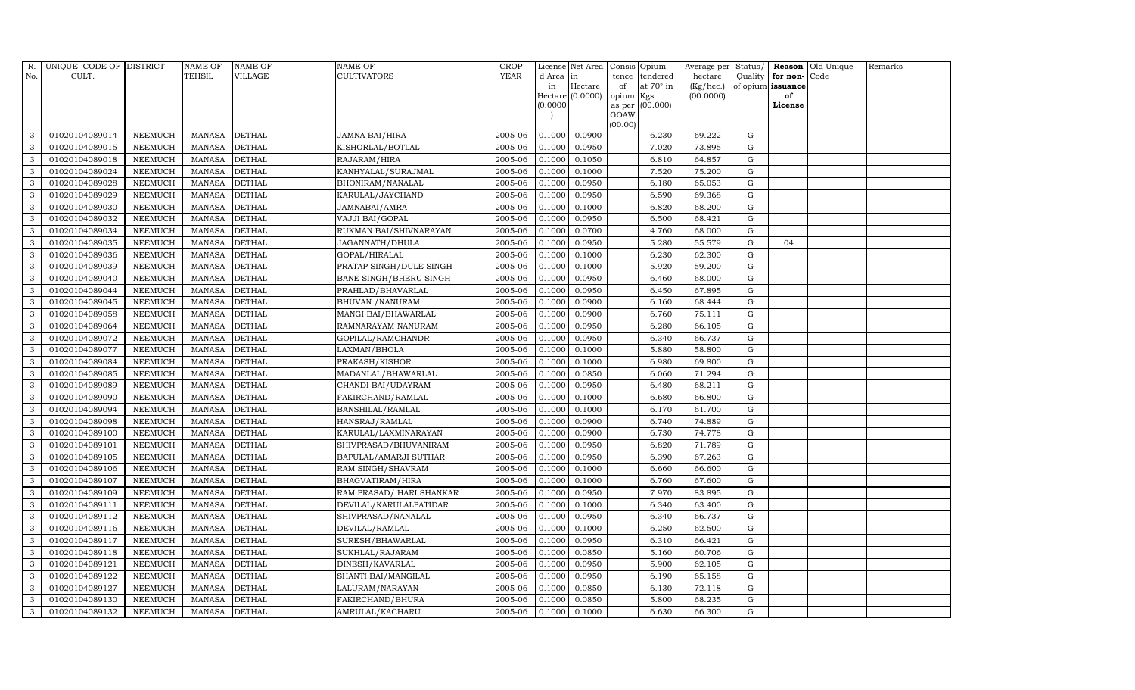| R.           | UNIQUE CODE OF DISTRICT |                | <b>NAME OF</b> | <b>NAME OF</b> | <b>NAME OF</b>           | CROP        |           | License Net Area | Consis Opium    |                  | Average per | Status/     |                   | Reason Old Unique | Remarks |
|--------------|-------------------------|----------------|----------------|----------------|--------------------------|-------------|-----------|------------------|-----------------|------------------|-------------|-------------|-------------------|-------------------|---------|
| No.          | CULT.                   |                | TEHSIL         | VILLAGE        | CULTIVATORS              | <b>YEAR</b> | d Area in |                  | tence           | tendered         | hectare     | Quality     | for non-Code      |                   |         |
|              |                         |                |                |                |                          |             | in        | Hectare          | of              | at $70^\circ$ in | (Kg/hec.)   |             | of opium issuance |                   |         |
|              |                         |                |                |                |                          |             | (0.0000)  | Hectare (0.0000) | opium<br>as per | Kgs<br>(00.000)  | (00.0000)   |             | of<br>License     |                   |         |
|              |                         |                |                |                |                          |             |           |                  | GOAW            |                  |             |             |                   |                   |         |
|              |                         |                |                |                |                          |             |           |                  | (00.00)         |                  |             |             |                   |                   |         |
| 3            | 01020104089014          | <b>NEEMUCH</b> | MANASA         | <b>DETHAL</b>  | JAMNA BAI/HIRA           | 2005-06     | 0.1000    | 0.0900           |                 | 6.230            | 69.222      | G           |                   |                   |         |
| 3            | 01020104089015          | <b>NEEMUCH</b> | <b>MANASA</b>  | <b>DETHAL</b>  | KISHORLAL/BOTLAL         | 2005-06     | 0.1000    | 0.0950           |                 | 7.020            | 73.895      | $\mathbf G$ |                   |                   |         |
| 3            | 01020104089018          | <b>NEEMUCH</b> | <b>MANASA</b>  | <b>DETHAL</b>  | RAJARAM/HIRA             | 2005-06     | 0.1000    | 0.1050           |                 | 6.810            | 64.857      | G           |                   |                   |         |
| 3            | 01020104089024          | <b>NEEMUCH</b> | <b>MANASA</b>  | <b>DETHAL</b>  | KANHYALAL/SURAJMAL       | 2005-06     | 0.1000    | 0.1000           |                 | 7.520            | 75.200      | ${\rm G}$   |                   |                   |         |
| 3            | 01020104089028          | <b>NEEMUCH</b> | <b>MANASA</b>  | <b>DETHAL</b>  | BHONIRAM/NANALAL         | 2005-06     | 0.1000    | 0.0950           |                 | 6.180            | 65.053      | ${\rm G}$   |                   |                   |         |
| $\mathbf{3}$ | 01020104089029          | <b>NEEMUCH</b> | <b>MANASA</b>  | <b>DETHAL</b>  | KARULAL/JAYCHAND         | 2005-06     | 0.1000    | 0.0950           |                 | 6.590            | 69.368      | G           |                   |                   |         |
| 3            | 01020104089030          | <b>NEEMUCH</b> | MANASA         | <b>DETHAL</b>  | JAMNABAI/AMRA            | 2005-06     | 0.1000    | 0.1000           |                 | 6.820            | 68.200      | $\mathbf G$ |                   |                   |         |
| 3            | 01020104089032          | <b>NEEMUCH</b> | <b>MANASA</b>  | <b>DETHAL</b>  | VAJJI BAI/GOPAL          | 2005-06     | 0.1000    | 0.0950           |                 | 6.500            | 68.421      | $\mathbf G$ |                   |                   |         |
| 3            | 01020104089034          | <b>NEEMUCH</b> | <b>MANASA</b>  | <b>DETHAL</b>  | RUKMAN BAI/SHIVNARAYAN   | 2005-06     | 0.1000    | 0.0700           |                 | 4.760            | 68.000      | G           |                   |                   |         |
| 3            | 01020104089035          | <b>NEEMUCH</b> | <b>MANASA</b>  | <b>DETHAL</b>  | JAGANNATH/DHULA          | 2005-06     | 0.1000    | 0.0950           |                 | 5.280            | 55.579      | ${\rm G}$   | 04                |                   |         |
| $\mathbf{3}$ | 01020104089036          | <b>NEEMUCH</b> | <b>MANASA</b>  | <b>DETHAL</b>  | GOPAL/HIRALAL            | 2005-06     | 0.1000    | 0.1000           |                 | 6.230            | 62.300      | ${\rm G}$   |                   |                   |         |
| 3            | 01020104089039          | <b>NEEMUCH</b> | <b>MANASA</b>  | <b>DETHAL</b>  | PRATAP SINGH/DULE SINGH  | 2005-06     | 0.1000    | 0.1000           |                 | 5.920            | 59.200      | $\mathbf G$ |                   |                   |         |
| $\mathbf{3}$ | 01020104089040          | <b>NEEMUCH</b> | <b>MANASA</b>  | <b>DETHAL</b>  | BANE SINGH/BHERU SINGH   | 2005-06     | 0.1000    | 0.0950           |                 | 6.460            | 68.000      | $\mathbf G$ |                   |                   |         |
| 3            | 01020104089044          | <b>NEEMUCH</b> | <b>MANASA</b>  | <b>DETHAL</b>  | PRAHLAD/BHAVARLAL        | 2005-06     | 0.1000    | 0.0950           |                 | 6.450            | 67.895      | G           |                   |                   |         |
| 3            | 01020104089045          | <b>NEEMUCH</b> | <b>MANASA</b>  | <b>DETHAL</b>  | <b>BHUVAN / NANURAM</b>  | 2005-06     | 0.1000    | 0.0900           |                 | 6.160            | 68.444      | ${\rm G}$   |                   |                   |         |
| $\mathbf{3}$ | 01020104089058          | <b>NEEMUCH</b> | <b>MANASA</b>  | <b>DETHAL</b>  | MANGI BAI/BHAWARLAL      | 2005-06     | 0.1000    | 0.0900           |                 | 6.760            | 75.111      | G           |                   |                   |         |
| 3            | 01020104089064          | <b>NEEMUCH</b> | <b>MANASA</b>  | <b>DETHAL</b>  | RAMNARAYAM NANURAM       | 2005-06     | 0.1000    | 0.0950           |                 | 6.280            | 66.105      | G           |                   |                   |         |
| $\mathbf{3}$ | 01020104089072          | <b>NEEMUCH</b> | <b>MANASA</b>  | <b>DETHAL</b>  | GOPILAL/RAMCHANDR        | 2005-06     | 0.1000    | 0.0950           |                 | 6.340            | 66.737      | $\mathbf G$ |                   |                   |         |
| 3            | 01020104089077          | <b>NEEMUCH</b> | <b>MANASA</b>  | <b>DETHAL</b>  | LAXMAN/BHOLA             | 2005-06     | 0.1000    | 0.1000           |                 | 5.880            | 58.800      | $\mathbf G$ |                   |                   |         |
| 3            | 01020104089084          | <b>NEEMUCH</b> | <b>MANASA</b>  | <b>DETHAL</b>  | PRAKASH/KISHOR           | 2005-06     | 0.1000    | 0.1000           |                 | 6.980            | 69.800      | $\mathbf G$ |                   |                   |         |
| 3            | 01020104089085          | <b>NEEMUCH</b> | <b>MANASA</b>  | <b>DETHAL</b>  | MADANLAL/BHAWARLAL       | 2005-06     | 0.1000    | 0.0850           |                 | 6.060            | 71.294      | G           |                   |                   |         |
| 3            | 01020104089089          | <b>NEEMUCH</b> | <b>MANASA</b>  | <b>DETHAL</b>  | CHANDI BAI/UDAYRAM       | 2005-06     | 0.1000    | 0.0950           |                 | 6.480            | 68.211      | G           |                   |                   |         |
| $\mathbf{3}$ | 01020104089090          | <b>NEEMUCH</b> | <b>MANASA</b>  | <b>DETHAL</b>  | FAKIRCHAND/RAMLAL        | 2005-06     | 0.1000    | 0.1000           |                 | 6.680            | 66.800      | G           |                   |                   |         |
| 3            | 01020104089094          | <b>NEEMUCH</b> | <b>MANASA</b>  | <b>DETHAL</b>  | BANSHILAL/RAMLAL         | 2005-06     | 0.1000    | 0.1000           |                 | 6.170            | 61.700      | $\mathbf G$ |                   |                   |         |
| 3            | 01020104089098          | <b>NEEMUCH</b> | <b>MANASA</b>  | <b>DETHAL</b>  | HANSRAJ/RAMLAL           | 2005-06     | 0.1000    | 0.0900           |                 | 6.740            | 74.889      | G           |                   |                   |         |
| 3            | 01020104089100          | <b>NEEMUCH</b> | <b>MANASA</b>  | <b>DETHAL</b>  | KARULAL/LAXMINARAYAN     | 2005-06     | 0.1000    | 0.0900           |                 | 6.730            | 74.778      | G           |                   |                   |         |
| 3            | 01020104089101          | <b>NEEMUCH</b> | <b>MANASA</b>  | <b>DETHAL</b>  | SHIVPRASAD/BHUVANIRAM    | 2005-06     | 0.1000    | 0.0950           |                 | 6.820            | 71.789      | G           |                   |                   |         |
| 3            | 01020104089105          | <b>NEEMUCH</b> | <b>MANASA</b>  | <b>DETHAL</b>  | BAPULAL/AMARJI SUTHAR    | 2005-06     | 0.1000    | 0.0950           |                 | 6.390            | 67.263      | G           |                   |                   |         |
| 3            | 01020104089106          | <b>NEEMUCH</b> | <b>MANASA</b>  | <b>DETHAL</b>  | RAM SINGH/SHAVRAM        | 2005-06     | 0.1000    | 0.1000           |                 | 6.660            | 66.600      | ${\rm G}$   |                   |                   |         |
| 3            | 01020104089107          | <b>NEEMUCH</b> | <b>MANASA</b>  | <b>DETHAL</b>  | BHAGVATIRAM/HIRA         | 2005-06     | 0.1000    | 0.1000           |                 | 6.760            | 67.600      | $\mathbf G$ |                   |                   |         |
| 3            | 01020104089109          | <b>NEEMUCH</b> | <b>MANASA</b>  | <b>DETHAL</b>  | RAM PRASAD/ HARI SHANKAR | 2005-06     | 0.1000    | 0.0950           |                 | 7.970            | 83.895      | G           |                   |                   |         |
| 3            | 01020104089111          | <b>NEEMUCH</b> | <b>MANASA</b>  | <b>DETHAL</b>  | DEVILAL/KARULALPATIDAR   | 2005-06     | 0.1000    | 0.1000           |                 | 6.340            | 63.400      | ${\rm G}$   |                   |                   |         |
| 3            | 01020104089112          | <b>NEEMUCH</b> | <b>MANASA</b>  | <b>DETHAL</b>  | SHIVPRASAD/NANALAL       | 2005-06     | 0.1000    | 0.0950           |                 | 6.340            | 66.737      | G           |                   |                   |         |
| 3            | 01020104089116          | <b>NEEMUCH</b> | <b>MANASA</b>  | <b>DETHAL</b>  | DEVILAL/RAMLAL           | 2005-06     | 0.1000    | 0.1000           |                 | 6.250            | 62.500      | $\mathbf G$ |                   |                   |         |
| 3            | 01020104089117          | <b>NEEMUCH</b> | <b>MANASA</b>  | <b>DETHAL</b>  | SURESH/BHAWARLAL         | 2005-06     | 0.1000    | 0.0950           |                 | 6.310            | 66.421      | $\mathbf G$ |                   |                   |         |
| 3            | 01020104089118          | <b>NEEMUCH</b> | <b>MANASA</b>  | <b>DETHAL</b>  | SUKHLAL/RAJARAM          | 2005-06     | 0.1000    | 0.0850           |                 | 5.160            | 60.706      | ${\rm G}$   |                   |                   |         |
| $\mathbf{3}$ | 01020104089121          | <b>NEEMUCH</b> | <b>MANASA</b>  | <b>DETHAL</b>  | DINESH/KAVARLAL          | 2005-06     | 0.1000    | 0.0950           |                 | 5.900            | 62.105      | ${\rm G}$   |                   |                   |         |
| 3            | 01020104089122          | <b>NEEMUCH</b> | <b>MANASA</b>  | <b>DETHAL</b>  | SHANTI BAI/MANGILAL      | 2005-06     | 0.1000    | 0.0950           |                 | 6.190            | 65.158      | G           |                   |                   |         |
| 3            | 01020104089127          | <b>NEEMUCH</b> | <b>MANASA</b>  | <b>DETHAL</b>  | LALURAM/NARAYAN          | 2005-06     | 0.1000    | 0.0850           |                 | 6.130            | 72.118      | $\mathbf G$ |                   |                   |         |
| 3            | 01020104089130          | <b>NEEMUCH</b> | <b>MANASA</b>  | <b>DETHAL</b>  | FAKIRCHAND/BHURA         | 2005-06     | 0.1000    | 0.0850           |                 | 5.800            | 68.235      | $\mathbf G$ |                   |                   |         |
| 3            | 01020104089132          | <b>NEEMUCH</b> | MANASA         | <b>DETHAL</b>  | AMRULAL/KACHARU          | 2005-06     | 0.1000    | 0.1000           |                 | 6.630            | 66.300      | G           |                   |                   |         |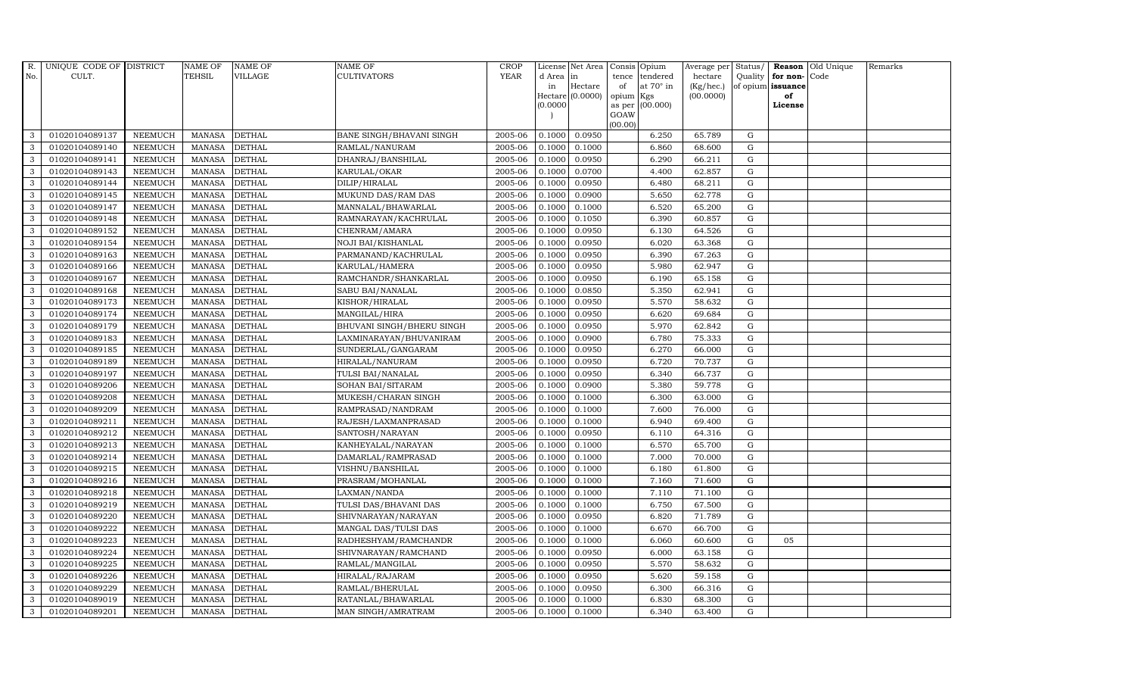| R.  | UNIQUE CODE OF DISTRICT |                | <b>NAME OF</b> | <b>NAME OF</b> | NAME OF                   | <b>CROP</b> |           | License Net Area   |                | Consis Opium     | Average per Status/ |                   |                  | Reason Old Unique | Remarks |
|-----|-------------------------|----------------|----------------|----------------|---------------------------|-------------|-----------|--------------------|----------------|------------------|---------------------|-------------------|------------------|-------------------|---------|
| No. | CULT.                   |                | <b>TEHSIL</b>  | <b>VILLAGE</b> | CULTIVATORS               | <b>YEAR</b> | d Area in |                    | tence          | tendered         | hectare             |                   | Quality for non- | Code              |         |
|     |                         |                |                |                |                           |             | in        | Hectare            | of             | at $70^\circ$ in | (Kg/hec.)           | of opium issuance |                  |                   |         |
|     |                         |                |                |                |                           |             | (0.0000)  | Hectare $(0.0000)$ | opium          | Kgs<br>(00.000)  | (00.0000)           |                   | of<br>License    |                   |         |
|     |                         |                |                |                |                           |             |           |                    | as per<br>GOAW |                  |                     |                   |                  |                   |         |
|     |                         |                |                |                |                           |             |           |                    | (00.00)        |                  |                     |                   |                  |                   |         |
| 3   | 01020104089137          | <b>NEEMUCH</b> | <b>MANASA</b>  | <b>DETHAL</b>  | BANE SINGH/BHAVANI SINGH  | 2005-06     | 0.1000    | 0.0950             |                | 6.250            | 65.789              | G                 |                  |                   |         |
| 3   | 01020104089140          | <b>NEEMUCH</b> | <b>MANASA</b>  | <b>DETHAL</b>  | RAMLAL/NANURAM            | 2005-06     | 0.1000    | 0.1000             |                | 6.860            | 68.600              | $\mathbf G$       |                  |                   |         |
| 3   | 01020104089141          | <b>NEEMUCH</b> | <b>MANASA</b>  | <b>DETHAL</b>  | DHANRAJ/BANSHILAL         | 2005-06     | 0.1000    | 0.0950             |                | 6.290            | 66.211              | G                 |                  |                   |         |
| 3   | 01020104089143          | <b>NEEMUCH</b> | <b>MANASA</b>  | <b>DETHAL</b>  | KARULAL/OKAR              | 2005-06     | 0.1000    | 0.0700             |                | 4.400            | 62.857              | G                 |                  |                   |         |
| 3   | 01020104089144          | <b>NEEMUCH</b> | <b>MANASA</b>  | <b>DETHAL</b>  | DILIP/HIRALAL             | 2005-06     | 0.1000    | 0.0950             |                | 6.480            | 68.211              | G                 |                  |                   |         |
| 3   | 01020104089145          | <b>NEEMUCH</b> | <b>MANASA</b>  | <b>DETHAL</b>  | MUKUND DAS/RAM DAS        | 2005-06     | 0.1000    | 0.0900             |                | 5.650            | 62.778              | G                 |                  |                   |         |
| 3   | 01020104089147          | <b>NEEMUCH</b> | <b>MANASA</b>  | <b>DETHAL</b>  | MANNALAL/BHAWARLAL        | 2005-06     | 0.1000    | 0.1000             |                | 6.520            | 65.200              | G                 |                  |                   |         |
| 3   | 01020104089148          | <b>NEEMUCH</b> | <b>MANASA</b>  | <b>DETHAL</b>  | RAMNARAYAN/KACHRULAL      | 2005-06     | 0.1000    | 0.1050             |                | 6.390            | 60.857              | $\mathbf G$       |                  |                   |         |
| 3   | 01020104089152          | <b>NEEMUCH</b> | <b>MANASA</b>  | <b>DETHAL</b>  | CHENRAM/AMARA             | 2005-06     | 0.1000    | 0.0950             |                | 6.130            | 64.526              | $\mathbf G$       |                  |                   |         |
| 3   | 01020104089154          | <b>NEEMUCH</b> | <b>MANASA</b>  | <b>DETHAL</b>  | NOJI BAI/KISHANLAL        | 2005-06     | 0.1000    | 0.0950             |                | 6.020            | 63.368              | G                 |                  |                   |         |
| 3   | 01020104089163          | <b>NEEMUCH</b> | <b>MANASA</b>  | <b>DETHAL</b>  | PARMANAND/KACHRULAL       | 2005-06     | 0.1000    | 0.0950             |                | 6.390            | 67.263              | G                 |                  |                   |         |
| 3   | 01020104089166          | <b>NEEMUCH</b> | <b>MANASA</b>  | <b>DETHAL</b>  | KARULAL/HAMERA            | 2005-06     | 0.1000    | 0.0950             |                | 5.980            | 62.947              | G                 |                  |                   |         |
| 3   | 01020104089167          | <b>NEEMUCH</b> | <b>MANASA</b>  | <b>DETHAL</b>  | RAMCHANDR/SHANKARLAL      | 2005-06     | 0.1000    | 0.0950             |                | 6.190            | 65.158              | G                 |                  |                   |         |
| 3   | 01020104089168          | <b>NEEMUCH</b> | <b>MANASA</b>  | <b>DETHAL</b>  | SABU BAI/NANALAL          | 2005-06     | 0.1000    | 0.0850             |                | 5.350            | 62.941              | G                 |                  |                   |         |
| 3   | 01020104089173          | <b>NEEMUCH</b> | <b>MANASA</b>  | <b>DETHAL</b>  | KISHOR/HIRALAL            | 2005-06     | 0.1000    | 0.0950             |                | 5.570            | 58.632              | G                 |                  |                   |         |
| 3   | 01020104089174          | <b>NEEMUCH</b> | <b>MANASA</b>  | <b>DETHAL</b>  | MANGILAL/HIRA             | 2005-06     | 0.1000    | 0.0950             |                | 6.620            | 69.684              | G                 |                  |                   |         |
| 3   | 01020104089179          | <b>NEEMUCH</b> | <b>MANASA</b>  | <b>DETHAL</b>  | BHUVANI SINGH/BHERU SINGH | 2005-06     | 0.1000    | 0.0950             |                | 5.970            | 62.842              | G                 |                  |                   |         |
| 3   | 01020104089183          | <b>NEEMUCH</b> | <b>MANASA</b>  | <b>DETHAL</b>  | LAXMINARAYAN/BHUVANIRAM   | 2005-06     | 0.1000    | 0.0900             |                | 6.780            | 75.333              | G                 |                  |                   |         |
| 3   | 01020104089185          | <b>NEEMUCH</b> | <b>MANASA</b>  | <b>DETHAL</b>  | SUNDERLAL/GANGARAM        | 2005-06     | 0.1000    | 0.0950             |                | 6.270            | 66.000              | G                 |                  |                   |         |
| 3   | 01020104089189          | <b>NEEMUCH</b> | <b>MANASA</b>  | <b>DETHAL</b>  | HIRALAL/NANURAM           | 2005-06     | 0.1000    | 0.0950             |                | 6.720            | 70.737              | G                 |                  |                   |         |
| 3   | 01020104089197          | <b>NEEMUCH</b> | <b>MANASA</b>  | <b>DETHAL</b>  | TULSI BAI/NANALAL         | 2005-06     | 0.1000    | 0.0950             |                | 6.340            | 66.737              | G                 |                  |                   |         |
| 3   | 01020104089206          | <b>NEEMUCH</b> | <b>MANASA</b>  | <b>DETHAL</b>  | SOHAN BAI/SITARAM         | 2005-06     | 0.1000    | 0.0900             |                | 5.380            | 59.778              | G                 |                  |                   |         |
| 3   | 01020104089208          | <b>NEEMUCH</b> | <b>MANASA</b>  | <b>DETHAL</b>  | MUKESH/CHARAN SINGH       | 2005-06     | 0.1000    | 0.1000             |                | 6.300            | 63.000              | G                 |                  |                   |         |
| 3   | 01020104089209          | <b>NEEMUCH</b> | <b>MANASA</b>  | <b>DETHAL</b>  | RAMPRASAD/NANDRAM         | 2005-06     | 0.1000    | 0.1000             |                | 7.600            | 76.000              | $\mathbf G$       |                  |                   |         |
| 3   | 01020104089211          | <b>NEEMUCH</b> | <b>MANASA</b>  | <b>DETHAL</b>  | RAJESH/LAXMANPRASAD       | 2005-06     | 0.1000    | 0.1000             |                | 6.940            | 69.400              | G                 |                  |                   |         |
| 3   | 01020104089212          | <b>NEEMUCH</b> | <b>MANASA</b>  | <b>DETHAL</b>  | SANTOSH/NARAYAN           | 2005-06     | 0.1000    | 0.0950             |                | 6.110            | 64.316              | G                 |                  |                   |         |
| 3   | 01020104089213          | <b>NEEMUCH</b> | <b>MANASA</b>  | <b>DETHAL</b>  | KANHEYALAL/NARAYAN        | 2005-06     | 0.1000    | 0.1000             |                | 6.570            | 65.700              | G                 |                  |                   |         |
| 3   | 01020104089214          | <b>NEEMUCH</b> | <b>MANASA</b>  | <b>DETHAL</b>  | DAMARLAL/RAMPRASAD        | 2005-06     | 0.1000    | 0.1000             |                | 7.000            | 70.000              | G                 |                  |                   |         |
| 3   | 01020104089215          | <b>NEEMUCH</b> | <b>MANASA</b>  | <b>DETHAL</b>  | VISHNU/BANSHILAL          | 2005-06     | 0.1000    | 0.1000             |                | 6.180            | 61.800              | $\mathbf G$       |                  |                   |         |
| 3   | 01020104089216          | <b>NEEMUCH</b> | <b>MANASA</b>  | <b>DETHAL</b>  | PRASRAM/MOHANLAL          | 2005-06     | 0.1000    | 0.1000             |                | 7.160            | 71.600              | G                 |                  |                   |         |
| 3   | 01020104089218          | <b>NEEMUCH</b> | <b>MANASA</b>  | <b>DETHAL</b>  | LAXMAN/NANDA              | 2005-06     | 0.1000    | 0.1000             |                | 7.110            | 71.100              | G                 |                  |                   |         |
| 3   | 01020104089219          | <b>NEEMUCH</b> | <b>MANASA</b>  | <b>DETHAL</b>  | TULSI DAS/BHAVANI DAS     | 2005-06     | 0.1000    | 0.1000             |                | 6.750            | 67.500              | G                 |                  |                   |         |
| 3   | 01020104089220          | <b>NEEMUCH</b> | <b>MANASA</b>  | <b>DETHAL</b>  | SHIVNARAYAN/NARAYAN       | 2005-06     | 0.1000    | 0.0950             |                | 6.820            | 71.789              | G                 |                  |                   |         |
| 3   | 01020104089222          | <b>NEEMUCH</b> | <b>MANASA</b>  | <b>DETHAL</b>  | MANGAL DAS/TULSI DAS      | 2005-06     | 0.1000    | 0.1000             |                | 6.670            | 66.700              | $\mathbf G$       |                  |                   |         |
| 3   | 01020104089223          | <b>NEEMUCH</b> | <b>MANASA</b>  | <b>DETHAL</b>  | RADHESHYAM/RAMCHANDR      | 2005-06     | 0.1000    | 0.1000             |                | 6.060            | 60.600              | $\mathbf G$       | 05               |                   |         |
| 3   | 01020104089224          | <b>NEEMUCH</b> | <b>MANASA</b>  | <b>DETHAL</b>  | SHIVNARAYAN/RAMCHAND      | 2005-06     | 0.1000    | 0.0950             |                | 6.000            | 63.158              | G                 |                  |                   |         |
| 3   | 01020104089225          | <b>NEEMUCH</b> | <b>MANASA</b>  | <b>DETHAL</b>  | RAMLAL/MANGILAL           | 2005-06     | 0.1000    | 0.0950             |                | 5.570            | 58.632              | G                 |                  |                   |         |
| 3   | 01020104089226          | <b>NEEMUCH</b> | <b>MANASA</b>  | <b>DETHAL</b>  | HIRALAL/RAJARAM           | 2005-06     | 0.1000    | 0.0950             |                | 5.620            | 59.158              | G                 |                  |                   |         |
| 3   | 01020104089229          | <b>NEEMUCH</b> | <b>MANASA</b>  | <b>DETHAL</b>  | RAMLAL/BHERULAL           | 2005-06     | 0.1000    | 0.0950             |                | 6.300            | 66.316              | G                 |                  |                   |         |
| 3   | 01020104089019          | <b>NEEMUCH</b> | <b>MANASA</b>  | <b>DETHAL</b>  | RATANLAL/BHAWARLAL        | 2005-06     | 0.1000    | 0.1000             |                | 6.830            | 68.300              | $\mathbf G$       |                  |                   |         |
| 3   | 01020104089201          | <b>NEEMUCH</b> | MANASA         | <b>DETHAL</b>  | MAN SINGH/AMRATRAM        | 2005-06     | 0.1000    | 0.1000             |                | 6.340            | 63.400              | G                 |                  |                   |         |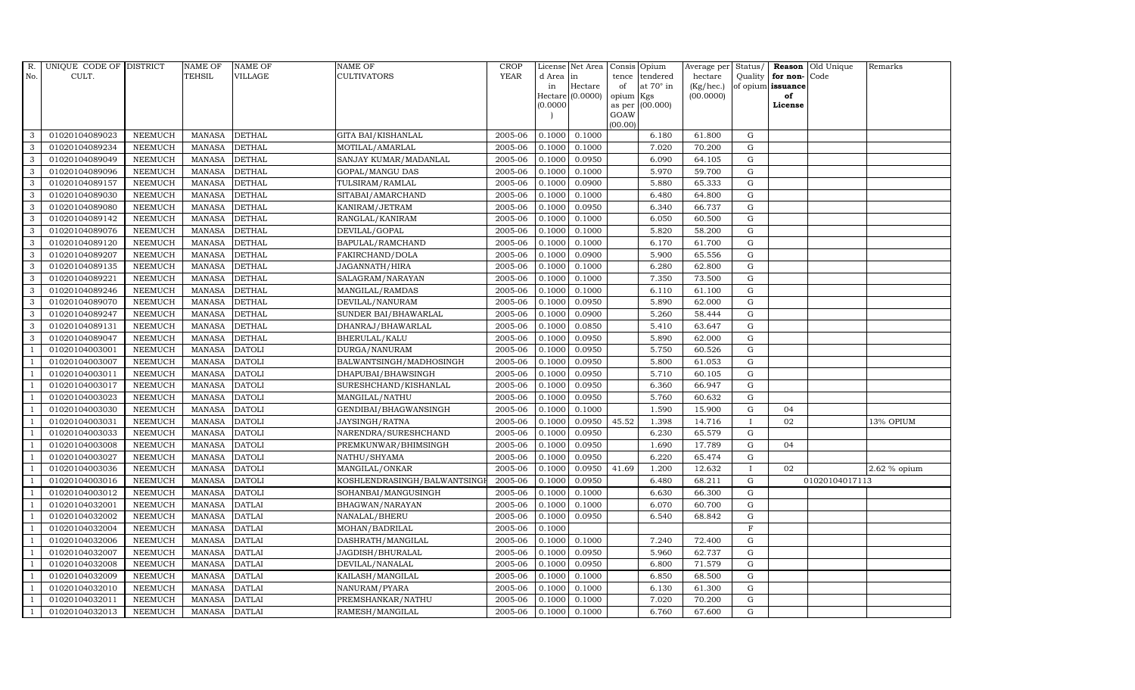| R.             | UNIQUE CODE OF DISTRICT |                | <b>NAME OF</b> | <b>NAME OF</b> | <b>NAME OF</b>              | <b>CROP</b> |           | License Net Area   |         | Consis Opium           | Average per | Status/           |                   | Reason Old Unique | Remarks      |
|----------------|-------------------------|----------------|----------------|----------------|-----------------------------|-------------|-----------|--------------------|---------|------------------------|-------------|-------------------|-------------------|-------------------|--------------|
| No.            | CULT.                   |                | <b>TEHSIL</b>  | VILLAGE        | <b>CULTIVATORS</b>          | <b>YEAR</b> | d Area in |                    | tence   | tendered               | hectare     |                   | Quality for non-  | Code              |              |
|                |                         |                |                |                |                             |             | in        | Hectare            | of      | at $70^\circ$ in       | (Kg/hec.)   |                   | of opium issuance |                   |              |
|                |                         |                |                |                |                             |             | (0.0000)  | Hectare $(0.0000)$ | opium   | Kgs<br>as per (00.000) | (00.0000)   |                   | of<br>License     |                   |              |
|                |                         |                |                |                |                             |             |           |                    | GOAW    |                        |             |                   |                   |                   |              |
|                |                         |                |                |                |                             |             |           |                    | (00.00) |                        |             |                   |                   |                   |              |
| 3              | 01020104089023          | <b>NEEMUCH</b> | MANASA         | <b>DETHAL</b>  | GITA BAI/KISHANLAL          | 2005-06     | 0.1000    | 0.1000             |         | 6.180                  | 61.800      | G                 |                   |                   |              |
| 3              | 01020104089234          | <b>NEEMUCH</b> | MANASA         | <b>DETHAL</b>  | MOTILAL/AMARLAL             | 2005-06     | 0.1000    | 0.1000             |         | 7.020                  | 70.200      | $\mathbf G$       |                   |                   |              |
| 3              | 01020104089049          | <b>NEEMUCH</b> | <b>MANASA</b>  | <b>DETHAL</b>  | SANJAY KUMAR/MADANLAL       | 2005-06     | 0.1000    | 0.0950             |         | 6.090                  | 64.105      | G                 |                   |                   |              |
| 3              | 01020104089096          | <b>NEEMUCH</b> | MANASA         | <b>DETHAL</b>  | GOPAL/MANGU DAS             | 2005-06     | 0.1000    | 0.1000             |         | 5.970                  | 59.700      | G                 |                   |                   |              |
| 3              | 01020104089157          | <b>NEEMUCH</b> | <b>MANASA</b>  | <b>DETHAL</b>  | TULSIRAM/RAMLAL             | 2005-06     | 0.1000    | 0.0900             |         | 5.880                  | 65.333      | G                 |                   |                   |              |
| $\mathbf{3}$   | 01020104089030          | <b>NEEMUCH</b> | MANASA         | <b>DETHAL</b>  | SITABAI/AMARCHAND           | 2005-06     | 0.1000    | 0.1000             |         | 6.480                  | 64.800      | G                 |                   |                   |              |
| 3              | 01020104089080          | <b>NEEMUCH</b> | <b>MANASA</b>  | <b>DETHAL</b>  | KANIRAM/JETRAM              | 2005-06     | 0.1000    | 0.0950             |         | 6.340                  | 66.737      | G                 |                   |                   |              |
| 3              | 01020104089142          | <b>NEEMUCH</b> | <b>MANASA</b>  | <b>DETHAL</b>  | RANGLAL/KANIRAM             | 2005-06     | 0.1000    | 0.1000             |         | 6.050                  | 60.500      | $\mathbf G$       |                   |                   |              |
| 3              | 01020104089076          | <b>NEEMUCH</b> | <b>MANASA</b>  | <b>DETHAL</b>  | DEVILAL/GOPAL               | 2005-06     | 0.1000    | 0.1000             |         | 5.820                  | 58.200      | $\mathbf G$       |                   |                   |              |
| 3              | 01020104089120          | <b>NEEMUCH</b> | <b>MANASA</b>  | <b>DETHAL</b>  | BAPULAL/RAMCHAND            | 2005-06     | 0.1000    | 0.1000             |         | 6.170                  | 61.700      | G                 |                   |                   |              |
| 3              | 01020104089207          | <b>NEEMUCH</b> | <b>MANASA</b>  | <b>DETHAL</b>  | FAKIRCHAND/DOLA             | 2005-06     | 0.1000    | 0.0900             |         | 5.900                  | 65.556      | G                 |                   |                   |              |
| 3              | 01020104089135          | <b>NEEMUCH</b> | MANASA         | <b>DETHAL</b>  | JAGANNATH/HIRA              | 2005-06     | 0.1000    | 0.1000             |         | 6.280                  | 62.800      | G                 |                   |                   |              |
| 3              | 01020104089221          | <b>NEEMUCH</b> | <b>MANASA</b>  | <b>DETHAL</b>  | SALAGRAM/NARAYAN            | 2005-06     | 0.1000    | 0.1000             |         | 7.350                  | 73.500      | $\mathbf G$       |                   |                   |              |
| 3              | 01020104089246          | <b>NEEMUCH</b> | <b>MANASA</b>  | <b>DETHAL</b>  | MANGILAL/RAMDAS             | 2005-06     | 0.1000    | 0.1000             |         | 6.110                  | 61.100      | G                 |                   |                   |              |
| 3              | 01020104089070          | <b>NEEMUCH</b> | MANASA         | <b>DETHAL</b>  | DEVILAL/NANURAM             | 2005-06     | 0.1000    | 0.0950             |         | 5.890                  | 62.000      | G                 |                   |                   |              |
| 3              | 01020104089247          | <b>NEEMUCH</b> | <b>MANASA</b>  | <b>DETHAL</b>  | SUNDER BAI/BHAWARLAL        | 2005-06     | 0.1000    | 0.0900             |         | 5.260                  | 58.444      | G                 |                   |                   |              |
| 3              | 01020104089131          | <b>NEEMUCH</b> | <b>MANASA</b>  | <b>DETHAL</b>  | DHANRAJ/BHAWARLAL           | 2005-06     | 0.1000    | 0.0850             |         | 5.410                  | 63.647      | G                 |                   |                   |              |
| 3              | 01020104089047          | <b>NEEMUCH</b> | MANASA         | <b>DETHAL</b>  | BHERULAL/KALU               | 2005-06     | 0.1000    | 0.0950             |         | 5.890                  | 62.000      | G                 |                   |                   |              |
|                | 01020104003001          | <b>NEEMUCH</b> | MANASA         | <b>DATOLI</b>  | DURGA/NANURAM               | 2005-06     | 0.1000    | 0.0950             |         | 5.750                  | 60.526      | G                 |                   |                   |              |
|                | 01020104003007          | <b>NEEMUCH</b> | <b>MANASA</b>  | <b>DATOLI</b>  | BALWANTSINGH/MADHOSINGH     | 2005-06     | 0.1000    | 0.0950             |         | 5.800                  | 61.053      | G                 |                   |                   |              |
| -1             | 01020104003011          | <b>NEEMUCH</b> | <b>MANASA</b>  | <b>DATOLI</b>  | DHAPUBAI/BHAWSINGH          | 2005-06     | 0.1000    | 0.0950             |         | 5.710                  | 60.105      | G                 |                   |                   |              |
| $\overline{1}$ | 01020104003017          | <b>NEEMUCH</b> | <b>MANASA</b>  | <b>DATOLI</b>  | SURESHCHAND/KISHANLAL       | 2005-06     | 0.1000    | 0.0950             |         | 6.360                  | 66.947      | G                 |                   |                   |              |
| $\overline{1}$ | 01020104003023          | <b>NEEMUCH</b> | MANASA         | <b>DATOLI</b>  | MANGILAL/NATHU              | 2005-06     | 0.1000    | 0.0950             |         | 5.760                  | 60.632      | G                 |                   |                   |              |
|                | 01020104003030          | <b>NEEMUCH</b> | <b>MANASA</b>  | <b>DATOLI</b>  | GENDIBAI/BHAGWANSINGH       | 2005-06     | 0.1000    | 0.1000             |         | 1.590                  | 15.900      | $\mathbf G$       | 04                |                   |              |
|                | 01020104003031          | NEEMUCH        | <b>MANASA</b>  | <b>DATOLI</b>  | JAYSINGH/RATNA              | 2005-06     | 0.1000    | 0.0950             | 45.52   | 1.398                  | 14.716      |                   | 02                |                   | 13% OPIUM    |
| $\overline{1}$ | 01020104003033          | <b>NEEMUCH</b> | <b>MANASA</b>  | <b>DATOLI</b>  | NARENDRA/SURESHCHAND        | 2005-06     | 0.1000    | 0.0950             |         | 6.230                  | 65.579      | G                 |                   |                   |              |
| $\overline{1}$ | 01020104003008          | <b>NEEMUCH</b> | <b>MANASA</b>  | <b>DATOLI</b>  | PREMKUNWAR/BHIMSINGH        | 2005-06     | 0.1000    | 0.0950             |         | 1.690                  | 17.789      | G                 | 04                |                   |              |
| $\overline{1}$ | 01020104003027          | <b>NEEMUCH</b> | MANASA         | <b>DATOLI</b>  | NATHU/SHYAMA                | 2005-06     | 0.1000    | 0.0950             |         | 6.220                  | 65.474      | $\mathbf G$       |                   |                   |              |
| $\overline{1}$ | 01020104003036          | <b>NEEMUCH</b> | <b>MANASA</b>  | <b>DATOLI</b>  | MANGILAL/ONKAR              | 2005-06     | 0.1000    | 0.0950             | 41.69   | 1.200                  | 12.632      | $\mathbf{I}$      | 02                |                   | 2.62 % opium |
|                | 01020104003016          | <b>NEEMUCH</b> | <b>MANASA</b>  | <b>DATOLI</b>  | KOSHLENDRASINGH/BALWANTSING | 2005-06     | 0.1000    | 0.0950             |         | 6.480                  | 68.211      | $\mathbf G$       |                   | 01020104017113    |              |
| $\overline{1}$ | 01020104003012          | <b>NEEMUCH</b> | MANASA         | <b>DATOLI</b>  | SOHANBAI/MANGUSINGH         | 2005-06     | 0.1000    | 0.1000             |         | 6.630                  | 66.300      | G                 |                   |                   |              |
|                | 01020104032001          | <b>NEEMUCH</b> | <b>MANASA</b>  | <b>DATLAI</b>  | BHAGWAN/NARAYAN             | 2005-06     | 0.1000    | 0.1000             |         | 6.070                  | 60.700      | G                 |                   |                   |              |
| $\overline{1}$ | 01020104032002          | <b>NEEMUCH</b> | MANASA         | <b>DATLAI</b>  | NANALAL/BHERU               | 2005-06     | 0.1000    | 0.0950             |         | 6.540                  | 68.842      | G<br>$\mathbf{F}$ |                   |                   |              |
| $\overline{1}$ | 01020104032004          | <b>NEEMUCH</b> | <b>MANASA</b>  | <b>DATLAI</b>  | MOHAN/BADRILAL              | 2005-06     | 0.1000    |                    |         |                        |             |                   |                   |                   |              |
|                | 01020104032006          | <b>NEEMUCH</b> | <b>MANASA</b>  | <b>DATLAI</b>  | DASHRATH/MANGILAL           | 2005-06     | 0.1000    | 0.1000             |         | 7.240                  | 72.400      | $\mathbf G$       |                   |                   |              |
| $\overline{1}$ | 01020104032007          | <b>NEEMUCH</b> | <b>MANASA</b>  | <b>DATLAI</b>  | JAGDISH/BHURALAL            | 2005-06     | 0.1000    | 0.0950             |         | 5.960                  | 62.737      | G                 |                   |                   |              |
|                | 01020104032008          | <b>NEEMUCH</b> | <b>MANASA</b>  | <b>DATLAI</b>  | DEVILAL/NANALAL             | 2005-06     | 0.1000    | 0.0950             |         | 6.800                  | 71.579      | G                 |                   |                   |              |
| $\overline{1}$ | 01020104032009          | <b>NEEMUCH</b> | <b>MANASA</b>  | <b>DATLAI</b>  | KAILASH/MANGILAL            | 2005-06     | 0.1000    | 0.1000             |         | 6.850                  | 68.500      | G                 |                   |                   |              |
| $\overline{1}$ | 01020104032010          | <b>NEEMUCH</b> | <b>MANASA</b>  | <b>DATLAI</b>  | NANURAM/PYARA               | 2005-06     | 0.1000    | 0.1000             |         | 6.130                  | 61.300      | G                 |                   |                   |              |
|                | 01020104032011          | <b>NEEMUCH</b> | <b>MANASA</b>  | <b>DATLAI</b>  | PREMSHANKAR/NATHU           | 2005-06     | 0.1000    | 0.1000             |         | 7.020                  | 70.200      | $\mathbf G$       |                   |                   |              |
| $\mathbf{1}$   | 01020104032013          | <b>NEEMUCH</b> | MANASA DATLAI  |                | RAMESH/MANGILAL             | 2005-06     | 0.1000    | 0.1000             |         | 6.760                  | 67.600      | G                 |                   |                   |              |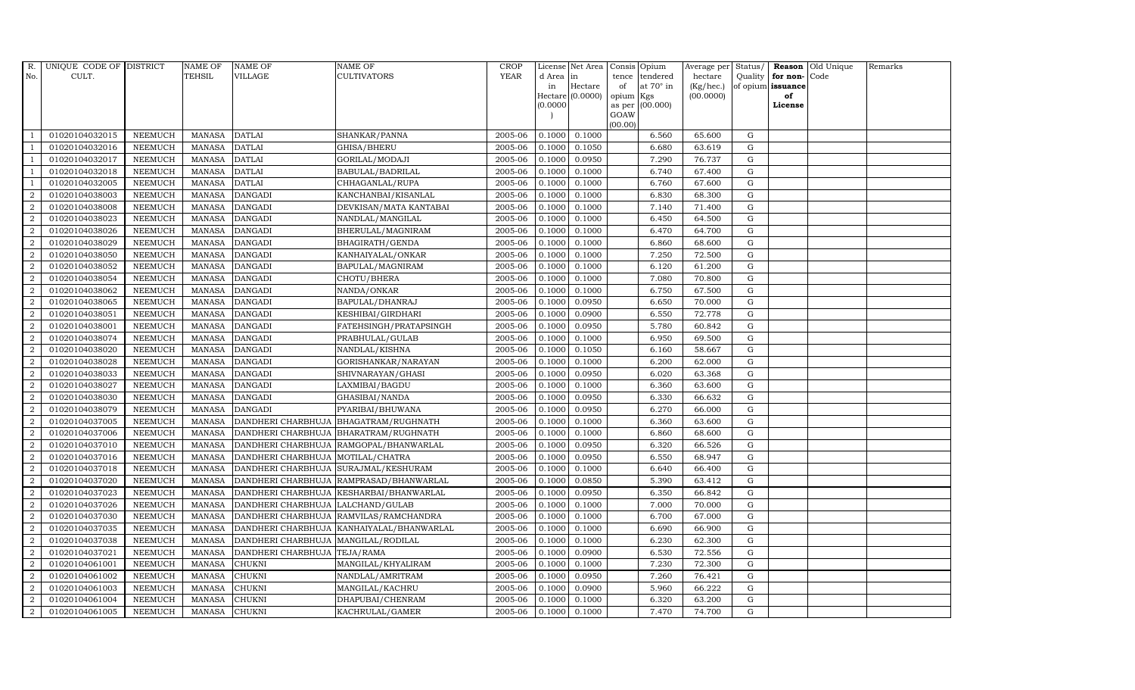| $R$ .          | UNIQUE CODE OF DISTRICT |                | <b>NAME OF</b> | <b>NAME OF</b>                    | NAME OF                                 | <b>CROP</b> |           | License Net Area | Consis Opium |                        | Average per | Status/     |                   | Reason Old Unique | Remarks |
|----------------|-------------------------|----------------|----------------|-----------------------------------|-----------------------------------------|-------------|-----------|------------------|--------------|------------------------|-------------|-------------|-------------------|-------------------|---------|
| No.            | CULT.                   |                | <b>TEHSIL</b>  | VILLAGE                           | <b>CULTIVATORS</b>                      | <b>YEAR</b> | d Area in |                  | tence        | tendered               | hectare     | Quality     | for non-Code      |                   |         |
|                |                         |                |                |                                   |                                         |             | in        | Hectare          | of           | at $70^\circ$ in       | (Kg/hec.)   |             | of opium issuance |                   |         |
|                |                         |                |                |                                   |                                         |             | (0.0000)  | Hectare (0.0000) | opium        | Kgs<br>as per (00.000) | (00.0000)   |             | of<br>License     |                   |         |
|                |                         |                |                |                                   |                                         |             |           |                  | GOAW         |                        |             |             |                   |                   |         |
|                |                         |                |                |                                   |                                         |             |           |                  | (00.00)      |                        |             |             |                   |                   |         |
|                | 01020104032015          | <b>NEEMUCH</b> | MANASA         | <b>DATLAI</b>                     | SHANKAR/PANNA                           | 2005-06     | 0.1000    | 0.1000           |              | 6.560                  | 65.600      | G           |                   |                   |         |
| $\overline{1}$ | 01020104032016          | <b>NEEMUCH</b> | <b>MANASA</b>  | <b>DATLAI</b>                     | GHISA/BHERU                             | 2005-06     | 0.1000    | 0.1050           |              | 6.680                  | 63.619      | G           |                   |                   |         |
|                | 01020104032017          | <b>NEEMUCH</b> | <b>MANASA</b>  | <b>DATLAI</b>                     | GORILAL/MODAJI                          | 2005-06     | 0.1000    | 0.0950           |              | 7.290                  | 76.737      | G           |                   |                   |         |
|                | 01020104032018          | <b>NEEMUCH</b> | <b>MANASA</b>  | <b>DATLAI</b>                     | BABULAL/BADRILAL                        | 2005-06     | 0.1000    | 0.1000           |              | 6.740                  | 67.400      | G           |                   |                   |         |
| $\overline{1}$ | 01020104032005          | <b>NEEMUCH</b> | <b>MANASA</b>  | <b>DATLAI</b>                     | CHHAGANLAL/RUPA                         | 2005-06     | 0.1000    | 0.1000           |              | 6.760                  | 67.600      | G           |                   |                   |         |
| $\overline{a}$ | 01020104038003          | <b>NEEMUCH</b> | <b>MANASA</b>  | <b>DANGADI</b>                    | KANCHANBAI/KISANLAL                     | 2005-06     | 0.1000    | 0.1000           |              | 6.830                  | 68.300      | G           |                   |                   |         |
| $\overline{a}$ | 01020104038008          | <b>NEEMUCH</b> | <b>MANASA</b>  | <b>DANGADI</b>                    | DEVKISAN/MATA KANTABAI                  | 2005-06     | 0.1000    | 0.1000           |              | 7.140                  | 71.400      | $\mathbf G$ |                   |                   |         |
| 2              | 01020104038023          | <b>NEEMUCH</b> | <b>MANASA</b>  | <b>DANGADI</b>                    | NANDLAL/MANGILAL                        | 2005-06     | 0.1000    | 0.1000           |              | 6.450                  | 64.500      | G           |                   |                   |         |
| $\overline{2}$ | 01020104038026          | <b>NEEMUCH</b> | <b>MANASA</b>  | <b>DANGADI</b>                    | BHERULAL/MAGNIRAM                       | 2005-06     | 0.1000    | 0.1000           |              | 6.470                  | 64.700      | $\mathbf G$ |                   |                   |         |
| $\overline{a}$ | 01020104038029          | NEEMUCH        | <b>MANASA</b>  | <b>DANGADI</b>                    | BHAGIRATH/GENDA                         | 2005-06     | 0.1000    | 0.1000           |              | 6.860                  | 68.600      | G           |                   |                   |         |
| 2              | 01020104038050          | <b>NEEMUCH</b> | <b>MANASA</b>  | <b>DANGADI</b>                    | KANHAIYALAL/ONKAR                       | 2005-06     | 0.1000    | 0.1000           |              | 7.250                  | 72.500      | G           |                   |                   |         |
| $\overline{a}$ | 01020104038052          | <b>NEEMUCH</b> | <b>MANASA</b>  | <b>DANGADI</b>                    | BAPULAL/MAGNIRAM                        | 2005-06     | 0.1000    | 0.1000           |              | 6.120                  | 61.200      | $\mathbf G$ |                   |                   |         |
| 2              | 01020104038054          | <b>NEEMUCH</b> | <b>MANASA</b>  | <b>DANGADI</b>                    | CHOTU/BHERA                             | 2005-06     | 0.1000    | 0.1000           |              | 7.080                  | 70.800      | G           |                   |                   |         |
| $\overline{2}$ | 01020104038062          | <b>NEEMUCH</b> | <b>MANASA</b>  | <b>DANGADI</b>                    | NANDA/ONKAR                             | 2005-06     | 0.1000    | 0.1000           |              | 6.750                  | 67.500      | $\mathbf G$ |                   |                   |         |
| $\overline{a}$ | 01020104038065          | <b>NEEMUCH</b> | <b>MANASA</b>  | <b>DANGADI</b>                    | BAPULAL/DHANRAJ                         | 2005-06     | 0.1000    | 0.0950           |              | 6.650                  | 70.000      | G           |                   |                   |         |
| $\overline{a}$ | 01020104038051          | <b>NEEMUCH</b> | <b>MANASA</b>  | <b>DANGADI</b>                    | KESHIBAI/GIRDHARI                       | 2005-06     | 0.1000    | 0.0900           |              | 6.550                  | 72.778      | G           |                   |                   |         |
| $\overline{a}$ | 01020104038001          | <b>NEEMUCH</b> | <b>MANASA</b>  | <b>DANGADI</b>                    | FATEHSINGH/PRATAPSINGH                  | 2005-06     | 0.1000    | 0.0950           |              | 5.780                  | 60.842      | ${\rm G}$   |                   |                   |         |
| 2              | 01020104038074          | <b>NEEMUCH</b> | <b>MANASA</b>  | <b>DANGADI</b>                    | PRABHULAL/GULAB                         | 2005-06     | 0.1000    | 0.1000           |              | 6.950                  | 69.500      | $\mathbf G$ |                   |                   |         |
| 2              | 01020104038020          | <b>NEEMUCH</b> | <b>MANASA</b>  | <b>DANGADI</b>                    | NANDLAL/KISHNA                          | 2005-06     | 0.1000    | 0.1050           |              | 6.160                  | 58.667      | G           |                   |                   |         |
| $\overline{2}$ | 01020104038028          | <b>NEEMUCH</b> | <b>MANASA</b>  | <b>DANGADI</b>                    | GORISHANKAR/NARAYAN                     | 2005-06     | 0.1000    | 0.1000           |              | 6.200                  | 62.000      | $\mathbf G$ |                   |                   |         |
| 2              | 01020104038033          | <b>NEEMUCH</b> | <b>MANASA</b>  | <b>DANGADI</b>                    | SHIVNARAYAN/GHASI                       | 2005-06     | 0.1000    | 0.0950           |              | 6.020                  | 63.368      | G           |                   |                   |         |
| $\overline{a}$ | 01020104038027          | <b>NEEMUCH</b> | <b>MANASA</b>  | <b>DANGADI</b>                    | LAXMIBAI/BAGDU                          | 2005-06     | 0.1000    | 0.1000           |              | 6.360                  | 63.600      | ${\rm G}$   |                   |                   |         |
| $\overline{a}$ | 01020104038030          | <b>NEEMUCH</b> | <b>MANASA</b>  | <b>DANGADI</b>                    | GHASIBAI/NANDA                          | 2005-06     | 0.1000    | 0.0950           |              | 6.330                  | 66.632      | $\mathbf G$ |                   |                   |         |
| $\overline{2}$ | 01020104038079          | <b>NEEMUCH</b> | <b>MANASA</b>  | <b>DANGADI</b>                    | PYARIBAI/BHUWANA                        | 2005-06     | 0.1000    | 0.0950           |              | 6.270                  | 66.000      | G           |                   |                   |         |
| $\overline{2}$ | 01020104037005          | <b>NEEMUCH</b> | <b>MANASA</b>  | DANDHERI CHARBHUJA                | BHAGATRAM/RUGHNATH                      | 2005-06     | 0.1000    | 0.1000           |              | 6.360                  | 63.600      | $\mathbf G$ |                   |                   |         |
| $\overline{2}$ | 01020104037006          | <b>NEEMUCH</b> | <b>MANASA</b>  |                                   | DANDHERI CHARBHUJA   BHARATRAM/RUGHNATH | 2005-06     | 0.1000    | 0.1000           |              | 6.860                  | 68.600      | ${\rm G}$   |                   |                   |         |
| $\overline{a}$ | 01020104037010          | <b>NEEMUCH</b> | <b>MANASA</b>  | DANDHERI CHARBHUJA                | RAMGOPAL/BHANWARLAL                     | 2005-06     | 0.1000    | 0.0950           |              | 6.320                  | 66.526      | G           |                   |                   |         |
| $\overline{a}$ | 01020104037016          | <b>NEEMUCH</b> | <b>MANASA</b>  | DANDHERI CHARBHUJA                | MOTILAL/CHATRA                          | 2005-06     | 0.1000    | 0.0950           |              | 6.550                  | 68.947      | $\mathbf G$ |                   |                   |         |
| 2              | 01020104037018          | <b>NEEMUCH</b> | <b>MANASA</b>  | DANDHERI CHARBHUJA                | SURAJMAL/KESHURAM                       | 2005-06     | 0.1000    | 0.1000           |              | 6.640                  | 66.400      | $\mathbf G$ |                   |                   |         |
| $\overline{2}$ | 01020104037020          | <b>NEEMUCH</b> | <b>MANASA</b>  | DANDHERI CHARBHUJA                | RAMPRASAD/BHANWARLAL                    | 2005-06     | 0.1000    | 0.0850           |              | 5.390                  | 63.412      | $\mathbf G$ |                   |                   |         |
| $\overline{2}$ | 01020104037023          | <b>NEEMUCH</b> | <b>MANASA</b>  |                                   | DANDHERI CHARBHUJA KESHARBAI/BHANWARLAL | 2005-06     | 0.1000    | 0.0950           |              | 6.350                  | 66.842      | ${\rm G}$   |                   |                   |         |
| 2              | 01020104037026          | <b>NEEMUCH</b> | <b>MANASA</b>  | DANDHERI CHARBHUJA LALCHAND/GULAB |                                         | 2005-06     | 0.1000    | 0.1000           |              | 7.000                  | 70.000      | G           |                   |                   |         |
| $\overline{a}$ | 01020104037030          | <b>NEEMUCH</b> | <b>MANASA</b>  | DANDHERI CHARBHUJA                | RAMVILAS/RAMCHANDRA                     | 2005-06     | 0.1000    | 0.1000           |              | 6.700                  | 67.000      | $\mathbf G$ |                   |                   |         |
| 2              | 01020104037035          | <b>NEEMUCH</b> | <b>MANASA</b>  | DANDHERI CHARBHUJA                | KANHAIYALAL/BHANWARLAL                  | 2005-06     | 0.1000    | 0.1000           |              | 6.690                  | 66.900      | G           |                   |                   |         |
| $\overline{2}$ | 01020104037038          | <b>NEEMUCH</b> | <b>MANASA</b>  | DANDHERI CHARBHUJA                | MANGILAL/RODILAL                        | 2005-06     | 0.1000    | 0.1000           |              | 6.230                  | 62.300      | $\mathbf G$ |                   |                   |         |
| $\overline{2}$ | 01020104037021          | <b>NEEMUCH</b> | <b>MANASA</b>  | DANDHERI CHARBHUJA TEJA/RAMA      |                                         | 2005-06     | 0.1000    | 0.0900           |              | 6.530                  | 72.556      | ${\rm G}$   |                   |                   |         |
| 2              | 01020104061001          | <b>NEEMUCH</b> | <b>MANASA</b>  | <b>CHUKNI</b>                     | MANGILAL/KHYALIRAM                      | 2005-06     | 0.1000    | 0.1000           |              | 7.230                  | 72.300      | G           |                   |                   |         |
| $\overline{a}$ | 01020104061002          | <b>NEEMUCH</b> | <b>MANASA</b>  | CHUKNI                            | NANDLAL/AMRITRAM                        | 2005-06     | 0.1000    | 0.0950           |              | 7.260                  | 76.421      | $\mathbf G$ |                   |                   |         |
| $\overline{a}$ | 01020104061003          | <b>NEEMUCH</b> | <b>MANASA</b>  | CHUKNI                            | MANGILAL/KACHRU                         | 2005-06     | 0.1000    | 0.0900           |              | 5.960                  | 66.222      | G           |                   |                   |         |
| $\overline{2}$ | 01020104061004          | <b>NEEMUCH</b> | <b>MANASA</b>  | <b>CHUKNI</b>                     | DHAPUBAI/CHENRAM                        | 2005-06     | 0.1000    | 0.1000           |              | 6.320                  | 63.200      | $\mathbf G$ |                   |                   |         |
| $\overline{2}$ | 01020104061005          | <b>NEEMUCH</b> | MANASA         | <b>CHUKNI</b>                     | KACHRULAL/GAMER                         | 2005-06     | 0.1000    | 0.1000           |              | 7.470                  | 74.700      | G           |                   |                   |         |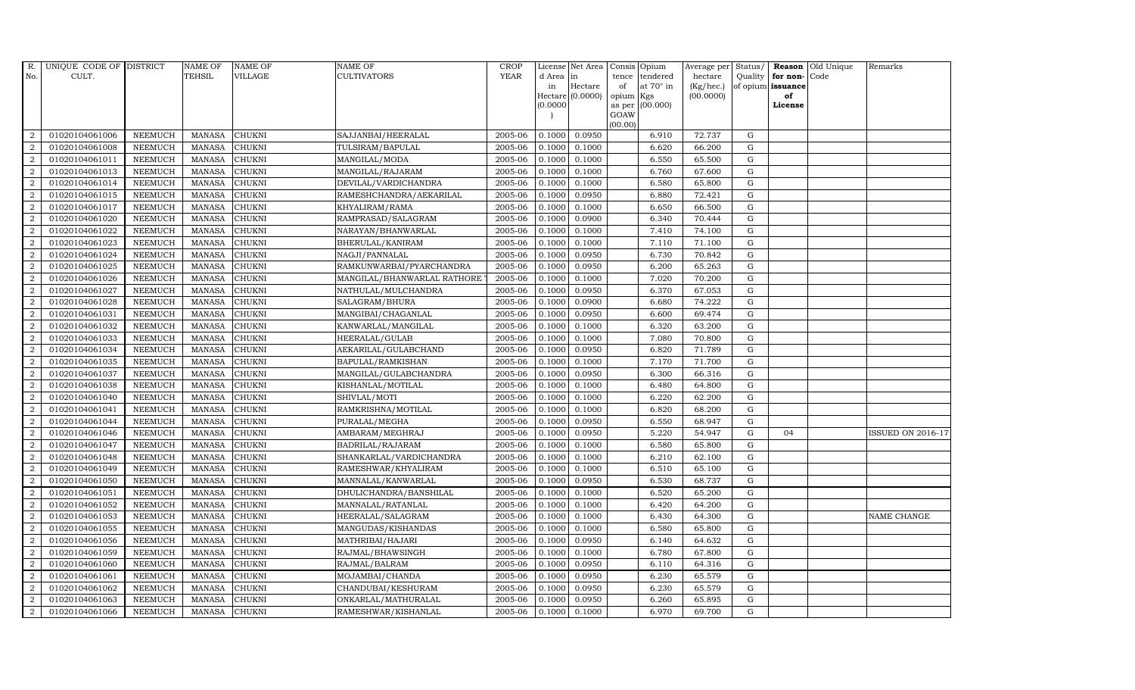| R.             | UNIQUE CODE OF DISTRICT |                | <b>NAME OF</b> | <b>NAME OF</b> | NAME OF                     | <b>CROP</b> |           | License Net Area |                | Consis Opium    | Average per | Status/     |                   | Reason Old Unique | Remarks                  |
|----------------|-------------------------|----------------|----------------|----------------|-----------------------------|-------------|-----------|------------------|----------------|-----------------|-------------|-------------|-------------------|-------------------|--------------------------|
| No.            | CULT.                   |                | <b>TEHSIL</b>  | VILLAGE        | CULTIVATORS                 | <b>YEAR</b> | d Area in |                  | tence          | tendered        | hectare     | Quality     | for non-Code      |                   |                          |
|                |                         |                |                |                |                             |             | in        | Hectare          | of             | at 70° in       | (Kg/hec.)   |             | of opium issuance |                   |                          |
|                |                         |                |                |                |                             |             | (0.0000)  | Hectare (0.0000) | opium          | Kgs<br>(00.000) | (00.0000)   |             | of<br>License     |                   |                          |
|                |                         |                |                |                |                             |             |           |                  | as per<br>GOAW |                 |             |             |                   |                   |                          |
|                |                         |                |                |                |                             |             |           |                  | (00.00)        |                 |             |             |                   |                   |                          |
| $\overline{2}$ | 01020104061006          | <b>NEEMUCH</b> | MANASA         | <b>CHUKNI</b>  | SAJJANBAI/HEERALAL          | 2005-06     | 0.1000    | 0.0950           |                | 6.910           | 72.737      | G           |                   |                   |                          |
| $\overline{2}$ | 01020104061008          | <b>NEEMUCH</b> | <b>MANASA</b>  | CHUKNI         | TULSIRAM/BAPULAL            | 2005-06     | 0.1000    | 0.1000           |                | 6.620           | 66.200      | $\mathbf G$ |                   |                   |                          |
| 2              | 01020104061011          | <b>NEEMUCH</b> | <b>MANASA</b>  | CHUKNI         | MANGILAL/MODA               | 2005-06     | 0.1000    | 0.1000           |                | 6.550           | 65.500      | G           |                   |                   |                          |
| $\sqrt{2}$     | 01020104061013          | <b>NEEMUCH</b> | <b>MANASA</b>  | <b>CHUKNI</b>  | MANGILAL/RAJARAM            | 2005-06     | 0.1000    | 0.1000           |                | 6.760           | 67.600      | ${\rm G}$   |                   |                   |                          |
| $\overline{a}$ | 01020104061014          | <b>NEEMUCH</b> | <b>MANASA</b>  | CHUKNI         | DEVILAL/VARDICHANDRA        | 2005-06     | 0.1000    | 0.1000           |                | 6.580           | 65.800      | ${\rm G}$   |                   |                   |                          |
| $\overline{2}$ | 01020104061015          | <b>NEEMUCH</b> | <b>MANASA</b>  | CHUKNI         | RAMESHCHANDRA/AEKARILAL     | 2005-06     | 0.1000    | 0.0950           |                | 6.880           | 72.421      | G           |                   |                   |                          |
| 2              | 01020104061017          | <b>NEEMUCH</b> | <b>MANASA</b>  | CHUKNI         | KHYALIRAM/RAMA              | 2005-06     | 0.1000    | 0.1000           |                | 6.650           | 66.500      | $\mathbf G$ |                   |                   |                          |
| 2              | 01020104061020          | <b>NEEMUCH</b> | <b>MANASA</b>  | CHUKNI         | RAMPRASAD/SALAGRAM          | 2005-06     | 0.1000    | 0.0900           |                | 6.340           | 70.444      | G           |                   |                   |                          |
| $\overline{2}$ | 01020104061022          | <b>NEEMUCH</b> | <b>MANASA</b>  | CHUKNI         | NARAYAN/BHANWARLAL          | 2005-06     | 0.1000    | 0.1000           |                | 7.410           | 74.100      | $\mathbf G$ |                   |                   |                          |
| $\overline{a}$ | 01020104061023          | <b>NEEMUCH</b> | <b>MANASA</b>  | CHUKNI         | BHERULAL/KANIRAM            | 2005-06     | 0.1000    | 0.1000           |                | 7.110           | 71.100      | G           |                   |                   |                          |
| $\overline{2}$ | 01020104061024          | <b>NEEMUCH</b> | <b>MANASA</b>  | <b>CHUKNI</b>  | NAGJI/PANNALAL              | 2005-06     | 0.1000    | 0.0950           |                | 6.730           | 70.842      | ${\rm G}$   |                   |                   |                          |
| 2              | 01020104061025          | <b>NEEMUCH</b> | <b>MANASA</b>  | <b>CHUKNI</b>  | RAMKUNWARBAI/PYARCHANDRA    | 2005-06     | 0.1000    | 0.0950           |                | 6.200           | 65.263      | $\mathbf G$ |                   |                   |                          |
| $\overline{2}$ | 01020104061026          | <b>NEEMUCH</b> | <b>MANASA</b>  | CHUKNI         | MANGILAL/BHANWARLAL RATHORE | 2005-06     | 0.1000    | 0.1000           |                | 7.020           | 70.200      | $\mathbf G$ |                   |                   |                          |
| $\overline{2}$ | 01020104061027          | <b>NEEMUCH</b> | <b>MANASA</b>  | <b>CHUKNI</b>  | NATHULAL/MULCHANDRA         | 2005-06     | 0.1000    | 0.0950           |                | 6.370           | 67.053      | G           |                   |                   |                          |
| $\overline{2}$ | 01020104061028          | <b>NEEMUCH</b> | <b>MANASA</b>  | <b>CHUKNI</b>  | SALAGRAM/BHURA              | 2005-06     | 0.1000    | 0.0900           |                | 6.680           | 74.222      | ${\rm G}$   |                   |                   |                          |
| $\overline{2}$ | 01020104061031          | <b>NEEMUCH</b> | <b>MANASA</b>  | CHUKNI         | MANGIBAI/CHAGANLAL          | 2005-06     | 0.1000    | 0.0950           |                | 6.600           | 69.474      | G           |                   |                   |                          |
| $\overline{2}$ | 01020104061032          | <b>NEEMUCH</b> | <b>MANASA</b>  | <b>CHUKNI</b>  | KANWARLAL/MANGILAL          | 2005-06     | 0.1000    | 0.1000           |                | 6.320           | 63.200      | G           |                   |                   |                          |
| $\overline{2}$ | 01020104061033          | <b>NEEMUCH</b> | <b>MANASA</b>  | CHUKNI         | HEERALAL/GULAB              | 2005-06     | 0.1000    | 0.1000           |                | 7.080           | 70.800      | $\mathbf G$ |                   |                   |                          |
| $\overline{a}$ | 01020104061034          | <b>NEEMUCH</b> | <b>MANASA</b>  | CHUKNI         | AEKARILAL/GULABCHAND        | 2005-06     | 0.1000    | 0.0950           |                | 6.820           | 71.789      | $\mathbf G$ |                   |                   |                          |
| 2              | 01020104061035          | <b>NEEMUCH</b> | <b>MANASA</b>  | <b>CHUKNI</b>  | BAPULAL/RAMKISHAN           | 2005-06     | 0.1000    | 0.1000           |                | 7.170           | 71.700      | $\mathbf G$ |                   |                   |                          |
| $\overline{a}$ | 01020104061037          | <b>NEEMUCH</b> | <b>MANASA</b>  | <b>CHUKNI</b>  | MANGILAL/GULABCHANDRA       | 2005-06     | 0.1000    | 0.0950           |                | 6.300           | 66.316      | G           |                   |                   |                          |
| $\overline{a}$ | 01020104061038          | <b>NEEMUCH</b> | <b>MANASA</b>  | CHUKNI         | KISHANLAL/MOTILAL           | 2005-06     | 0.1000    | 0.1000           |                | 6.480           | 64.800      | ${\rm G}$   |                   |                   |                          |
| $\overline{2}$ | 01020104061040          | <b>NEEMUCH</b> | <b>MANASA</b>  | <b>CHUKNI</b>  | SHIVLAL/MOTI                | 2005-06     | 0.1000    | 0.1000           |                | 6.220           | 62.200      | G           |                   |                   |                          |
| 2              | 01020104061041          | <b>NEEMUCH</b> | <b>MANASA</b>  | <b>CHUKNI</b>  | RAMKRISHNA/MOTILAL          | 2005-06     | 0.1000    | 0.1000           |                | 6.820           | 68.200      | $\mathbf G$ |                   |                   |                          |
| $\overline{2}$ | 01020104061044          | <b>NEEMUCH</b> | <b>MANASA</b>  | CHUKNI         | PURALAL/MEGHA               | 2005-06     | 0.1000    | 0.0950           |                | 6.550           | 68.947      | G           |                   |                   |                          |
| $\overline{2}$ | 01020104061046          | <b>NEEMUCH</b> | <b>MANASA</b>  | <b>CHUKNI</b>  | AMBARAM/MEGHRAJ             | 2005-06     | 0.1000    | 0.0950           |                | 5.220           | 54.947      | G           | 04                |                   | <b>ISSUED ON 2016-17</b> |
| $\overline{a}$ | 01020104061047          | <b>NEEMUCH</b> | <b>MANASA</b>  | CHUKNI         | BADRILAL/RAJARAM            | 2005-06     | 0.1000    | 0.1000           |                | 6.580           | 65.800      | G           |                   |                   |                          |
| 2              | 01020104061048          | <b>NEEMUCH</b> | <b>MANASA</b>  | <b>CHUKNI</b>  | SHANKARLAL/VARDICHANDRA     | 2005-06     | 0.1000    | 0.1000           |                | 6.210           | 62.100      | G           |                   |                   |                          |
| 2              | 01020104061049          | <b>NEEMUCH</b> | <b>MANASA</b>  | <b>CHUKNI</b>  | RAMESHWAR/KHYALIRAM         | 2005-06     | 0.1000    | 0.1000           |                | 6.510           | 65.100      | $\mathbf G$ |                   |                   |                          |
| $\sqrt{2}$     | 01020104061050          | <b>NEEMUCH</b> | <b>MANASA</b>  | CHUKNI         | MANNALAL/KANWARLAL          | 2005-06     | 0.1000    | 0.0950           |                | 6.530           | 68.737      | $\mathbf G$ |                   |                   |                          |
| 2              | 01020104061051          | <b>NEEMUCH</b> | <b>MANASA</b>  | <b>CHUKNI</b>  | DHULICHANDRA/BANSHILAL      | 2005-06     | 0.1000    | 0.1000           |                | 6.520           | 65.200      | G           |                   |                   |                          |
| $\overline{a}$ | 01020104061052          | <b>NEEMUCH</b> | <b>MANASA</b>  | CHUKNI         | MANNALAL/RATANLAL           | 2005-06     | 0.1000    | 0.1000           |                | 6.420           | 64.200      | ${\rm G}$   |                   |                   |                          |
| $\overline{a}$ | 01020104061053          | <b>NEEMUCH</b> | <b>MANASA</b>  | CHUKNI         | HEERALAL/SALAGRAM           | 2005-06     | 0.1000    | 0.1000           |                | 6.430           | 64.300      | $\mathbf G$ |                   |                   | NAME CHANGE              |
| $\overline{2}$ | 01020104061055          | <b>NEEMUCH</b> | <b>MANASA</b>  | CHUKNI         | MANGUDAS/KISHANDAS          | 2005-06     | 0.1000    | 0.1000           |                | 6.580           | 65.800      | $\mathbf G$ |                   |                   |                          |
| $\overline{2}$ | 01020104061056          | <b>NEEMUCH</b> | <b>MANASA</b>  | CHUKNI         | MATHRIBAI/HAJARI            | 2005-06     | 0.1000    | 0.0950           |                | 6.140           | 64.632      | $\mathbf G$ |                   |                   |                          |
| $\overline{a}$ | 01020104061059          | <b>NEEMUCH</b> | <b>MANASA</b>  | <b>CHUKNI</b>  | RAJMAL/BHAWSINGH            | 2005-06     | 0.1000    | 0.1000           |                | 6.780           | 67.800      | ${\rm G}$   |                   |                   |                          |
| $\overline{2}$ | 01020104061060          | <b>NEEMUCH</b> | <b>MANASA</b>  | <b>CHUKNI</b>  | RAJMAL/BALRAM               | 2005-06     | 0.1000    | 0.0950           |                | 6.110           | 64.316      | ${\rm G}$   |                   |                   |                          |
| $\overline{a}$ | 01020104061061          | <b>NEEMUCH</b> | <b>MANASA</b>  | CHUKNI         | MOJAMBAI/CHANDA             | 2005-06     | 0.1000    | 0.0950           |                | 6.230           | 65.579      | G           |                   |                   |                          |
| 2              | 01020104061062          | <b>NEEMUCH</b> | <b>MANASA</b>  | <b>CHUKNI</b>  | CHANDUBAI/KESHURAM          | 2005-06     | 0.1000    | 0.0950           |                | 6.230           | 65.579      | $\mathbf G$ |                   |                   |                          |
| 2              | 01020104061063          | <b>NEEMUCH</b> | <b>MANASA</b>  | CHUKNI         | ONKARLAL/MATHURALAL         | 2005-06     | 0.1000    | 0.0950           |                | 6.260           | 65.895      | $\mathbf G$ |                   |                   |                          |
| $\overline{a}$ | 01020104061066          | <b>NEEMUCH</b> | MANASA         | <b>CHUKNI</b>  | RAMESHWAR/KISHANLAL         | 2005-06     | 0.1000    | 0.1000           |                | 6.970           | 69.700      | G           |                   |                   |                          |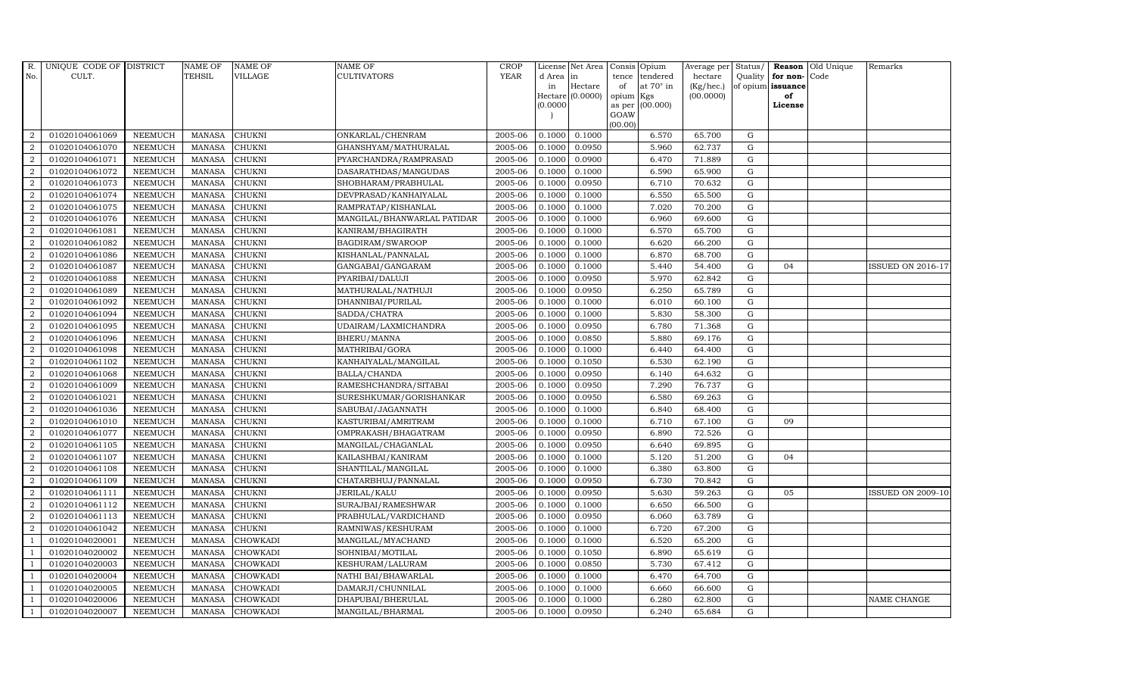| R.             | UNIQUE CODE OF DISTRICT |                | <b>NAME OF</b> | <b>NAME OF</b>  | <b>NAME OF</b>              | <b>CROP</b> |          | License Net Area   |         | Consis Opium     | Average per | Status/     |                      | Reason Old Unique | Remarks                  |
|----------------|-------------------------|----------------|----------------|-----------------|-----------------------------|-------------|----------|--------------------|---------|------------------|-------------|-------------|----------------------|-------------------|--------------------------|
| No.            | CULT.                   |                | <b>TEHSIL</b>  | VILLAGE         | <b>CULTIVATORS</b>          | <b>YEAR</b> | d Area   | in                 | tence   | tendered         | hectare     |             | Quality $ $ for non- | Code              |                          |
|                |                         |                |                |                 |                             |             | in       | Hectare            | of      | at $70^\circ$ in | (Kg/hec.)   |             | of opium issuance    |                   |                          |
|                |                         |                |                |                 |                             |             |          | $Hectare (0.0000)$ | opium   | Kgs              | (00.0000)   |             | of<br>License        |                   |                          |
|                |                         |                |                |                 |                             |             | (0.0000) |                    | GOAW    | as per (00.000)  |             |             |                      |                   |                          |
|                |                         |                |                |                 |                             |             |          |                    | (00.00) |                  |             |             |                      |                   |                          |
| $\overline{2}$ | 01020104061069          | <b>NEEMUCH</b> | MANASA         | <b>CHUKNI</b>   | ONKARLAL/CHENRAM            | 2005-06     | 0.1000   | 0.1000             |         | 6.570            | 65.700      | G           |                      |                   |                          |
| $\overline{2}$ | 01020104061070          | <b>NEEMUCH</b> | <b>MANASA</b>  | <b>CHUKNI</b>   | GHANSHYAM/MATHURALAL        | 2005-06     | 0.1000   | 0.0950             |         | 5.960            | 62.737      | $\mathbf G$ |                      |                   |                          |
| 2              | 01020104061071          | <b>NEEMUCH</b> | <b>MANASA</b>  | <b>CHUKNI</b>   | PYARCHANDRA/RAMPRASAD       | 2005-06     | 0.1000   | 0.0900             |         | 6.470            | 71.889      | G           |                      |                   |                          |
| $\overline{2}$ | 01020104061072          | <b>NEEMUCH</b> | <b>MANASA</b>  | <b>CHUKNI</b>   | DASARATHDAS/MANGUDAS        | 2005-06     | 0.1000   | 0.1000             |         | 6.590            | 65.900      | G           |                      |                   |                          |
| $\overline{a}$ | 01020104061073          | <b>NEEMUCH</b> | <b>MANASA</b>  | <b>CHUKNI</b>   | SHOBHARAM/PRABHULAL         | 2005-06     | 0.1000   | 0.0950             |         | 6.710            | 70.632      | G           |                      |                   |                          |
| 2              | 01020104061074          | <b>NEEMUCH</b> | <b>MANASA</b>  | <b>CHUKNI</b>   | DEVPRASAD/KANHAIYALAL       | 2005-06     | 0.1000   | 0.1000             |         | 6.550            | 65.500      | G           |                      |                   |                          |
| 2              | 01020104061075          | <b>NEEMUCH</b> | <b>MANASA</b>  | <b>CHUKNI</b>   | RAMPRATAP/KISHANLAL         | 2005-06     | 0.1000   | 0.1000             |         | 7.020            | 70.200      | G           |                      |                   |                          |
| $\overline{2}$ | 01020104061076          | <b>NEEMUCH</b> | <b>MANASA</b>  | CHUKNI          | MANGILAL/BHANWARLAL PATIDAR | 2005-06     | 0.1000   | 0.1000             |         | 6.960            | 69.600      | $\mathbf G$ |                      |                   |                          |
| $\overline{2}$ | 01020104061081          | <b>NEEMUCH</b> | <b>MANASA</b>  | <b>CHUKNI</b>   | KANIRAM/BHAGIRATH           | 2005-06     | 0.1000   | 0.1000             |         | 6.570            | 65.700      | $\mathbf G$ |                      |                   |                          |
| $\overline{2}$ | 01020104061082          | <b>NEEMUCH</b> | <b>MANASA</b>  | CHUKNI          | BAGDIRAM/SWAROOP            | 2005-06     | 0.1000   | 0.1000             |         | 6.620            | 66.200      | G           |                      |                   |                          |
| $\overline{a}$ | 01020104061086          | <b>NEEMUCH</b> | <b>MANASA</b>  | <b>CHUKNI</b>   | KISHANLAL/PANNALAL          | 2005-06     | 0.1000   | 0.1000             |         | 6.870            | 68.700      | G           |                      |                   |                          |
| $\overline{2}$ | 01020104061087          | <b>NEEMUCH</b> | <b>MANASA</b>  | <b>CHUKNI</b>   | GANGABAI/GANGARAM           | 2005-06     | 0.1000   | 0.1000             |         | 5.440            | 54.400      | G           | 04                   |                   | <b>ISSUED ON 2016-17</b> |
| 2              | 01020104061088          | <b>NEEMUCH</b> | <b>MANASA</b>  | CHUKNI          | PYARIBAI/DALUJI             | 2005-06     | 0.1000   | 0.0950             |         | 5.970            | 62.842      | $\mathbf G$ |                      |                   |                          |
| 2              | 01020104061089          | <b>NEEMUCH</b> | <b>MANASA</b>  | <b>CHUKNI</b>   | MATHURALAL/NATHUJI          | 2005-06     | 0.1000   | 0.0950             |         | 6.250            | 65.789      | G           |                      |                   |                          |
| $\overline{2}$ | 01020104061092          | <b>NEEMUCH</b> | <b>MANASA</b>  | <b>CHUKNI</b>   | DHANNIBAI/PURILAL           | 2005-06     | 0.1000   | 0.1000             |         | 6.010            | 60.100      | G           |                      |                   |                          |
| $\overline{a}$ | 01020104061094          | <b>NEEMUCH</b> | <b>MANASA</b>  | <b>CHUKNI</b>   | SADDA/CHATRA                | 2005-06     | 0.1000   | 0.1000             |         | 5.830            | 58.300      | G           |                      |                   |                          |
| 2              | 01020104061095          | <b>NEEMUCH</b> | <b>MANASA</b>  | <b>CHUKNI</b>   | UDAIRAM/LAXMICHANDRA        | 2005-06     | 0.1000   | 0.0950             |         | 6.780            | 71.368      | G           |                      |                   |                          |
| 2              | 01020104061096          | <b>NEEMUCH</b> | <b>MANASA</b>  | <b>CHUKNI</b>   | BHERU/MANNA                 | 2005-06     | 0.1000   | 0.0850             |         | 5.880            | 69.176      | G           |                      |                   |                          |
| $\overline{2}$ | 01020104061098          | <b>NEEMUCH</b> | <b>MANASA</b>  | <b>CHUKNI</b>   | MATHRIBAI/GORA              | 2005-06     | 0.1000   | 0.1000             |         | 6.440            | 64.400      | G           |                      |                   |                          |
| $\overline{2}$ | 01020104061102          | <b>NEEMUCH</b> | <b>MANASA</b>  | <b>CHUKNI</b>   | KANHAIYALAL/MANGILAL        | 2005-06     | 0.1000   | 0.1050             |         | 6.530            | 62.190      | G           |                      |                   |                          |
| 2              | 01020104061068          | <b>NEEMUCH</b> | <b>MANASA</b>  | <b>CHUKNI</b>   | BALLA/CHANDA                | 2005-06     | 0.1000   | 0.0950             |         | 6.140            | 64.632      | G           |                      |                   |                          |
| $\overline{a}$ | 01020104061009          | <b>NEEMUCH</b> | <b>MANASA</b>  | <b>CHUKNI</b>   | RAMESHCHANDRA/SITABAI       | 2005-06     | 0.1000   | 0.0950             |         | 7.290            | 76.737      | G           |                      |                   |                          |
| $\overline{2}$ | 01020104061021          | <b>NEEMUCH</b> | <b>MANASA</b>  | <b>CHUKNI</b>   | SURESHKUMAR/GORISHANKAR     | 2005-06     | 0.1000   | 0.0950             |         | 6.580            | 69.263      | G           |                      |                   |                          |
| $\overline{2}$ | 01020104061036          | <b>NEEMUCH</b> | <b>MANASA</b>  | <b>CHUKNI</b>   | SABUBAI/JAGANNATH           | 2005-06     | 0.1000   | 0.1000             |         | 6.840            | 68.400      | $\mathbf G$ |                      |                   |                          |
| 2              | 01020104061010          | NEEMUCH        | <b>MANASA</b>  | <b>CHUKNI</b>   | KASTURIBAI/AMRITRAM         | 2005-06     | 0.1000   | 0.1000             |         | 6.710            | 67.100      | ${\rm G}$   | 09                   |                   |                          |
| $\overline{2}$ | 01020104061077          | <b>NEEMUCH</b> | <b>MANASA</b>  | <b>CHUKNI</b>   | OMPRAKASH/BHAGATRAM         | 2005-06     | 0.1000   | 0.0950             |         | 6.890            | 72.526      | G           |                      |                   |                          |
| 2              | 01020104061105          | <b>NEEMUCH</b> | <b>MANASA</b>  | <b>CHUKNI</b>   | MANGILAL/CHAGANLAL          | 2005-06     | 0.1000   | 0.0950             |         | 6.640            | 69.895      | G           |                      |                   |                          |
| 2              | 01020104061107          | <b>NEEMUCH</b> | <b>MANASA</b>  | <b>CHUKNI</b>   | KAILASHBAI/KANIRAM          | 2005-06     | 0.1000   | 0.1000             |         | 5.120            | 51.200      | $\mathbf G$ | 04                   |                   |                          |
| 2              | 01020104061108          | <b>NEEMUCH</b> | <b>MANASA</b>  | <b>CHUKNI</b>   | SHANTILAL/MANGILAL          | 2005-06     | 0.1000   | 0.1000             |         | 6.380            | 63.800      | $\mathbf G$ |                      |                   |                          |
| $\overline{2}$ | 01020104061109          | <b>NEEMUCH</b> | <b>MANASA</b>  | <b>CHUKNI</b>   | CHATARBHUJ/PANNALAL         | 2005-06     | 0.1000   | 0.0950             |         | 6.730            | 70.842      | $\mathbf G$ |                      |                   |                          |
| $\overline{2}$ | 01020104061111          | <b>NEEMUCH</b> | <b>MANASA</b>  | <b>CHUKNI</b>   | JERILAL/KALU                | 2005-06     | 0.1000   | 0.0950             |         | 5.630            | 59.263      | G           | 05                   |                   | <b>ISSUED ON 2009-10</b> |
| $\overline{2}$ | 01020104061112          | <b>NEEMUCH</b> | <b>MANASA</b>  | <b>CHUKNI</b>   | SURAJBAI/RAMESHWAR          | 2005-06     | 0.1000   | 0.1000             |         | 6.650            | 66.500      | G           |                      |                   |                          |
| $\overline{a}$ | 01020104061113          | <b>NEEMUCH</b> | MANASA         | CHUKNI          | PRABHULAL/VARDICHAND        | 2005-06     | 0.1000   | 0.0950             |         | 6.060            | 63.789      | G           |                      |                   |                          |
| 2              | 01020104061042          | <b>NEEMUCH</b> | <b>MANASA</b>  | <b>CHUKNI</b>   | RAMNIWAS/KESHURAM           | 2005-06     | 0.1000   | 0.1000             |         | 6.720            | 67.200      | G           |                      |                   |                          |
|                | 01020104020001          | <b>NEEMUCH</b> | <b>MANASA</b>  | <b>CHOWKADI</b> | MANGILAL/MYACHAND           | 2005-06     | 0.1000   | 0.1000             |         | 6.520            | 65.200      | $\mathbf G$ |                      |                   |                          |
| $\overline{1}$ | 01020104020002          | <b>NEEMUCH</b> | <b>MANASA</b>  | <b>CHOWKADI</b> | SOHNIBAI/MOTILAL            | 2005-06     | 0.1000   | 0.1050             |         | 6.890            | 65.619      | G           |                      |                   |                          |
|                | 01020104020003          | <b>NEEMUCH</b> | <b>MANASA</b>  | <b>CHOWKADI</b> | KESHURAM/LALURAM            | 2005-06     | 0.1000   | 0.0850             |         | 5.730            | 67.412      | G           |                      |                   |                          |
| $\overline{1}$ | 01020104020004          | <b>NEEMUCH</b> | <b>MANASA</b>  | CHOWKADI        | NATHI BAI/BHAWARLAL         | 2005-06     | 0.1000   | 0.1000             |         | 6.470            | 64.700      | G           |                      |                   |                          |
| $\overline{1}$ | 01020104020005          | <b>NEEMUCH</b> | <b>MANASA</b>  | <b>CHOWKADI</b> | DAMARJI/CHUNNILAL           | 2005-06     | 0.1000   | 0.1000             |         | 6.660            | 66.600      | G           |                      |                   |                          |
|                | 01020104020006          | <b>NEEMUCH</b> | <b>MANASA</b>  | <b>CHOWKADI</b> | DHAPUBAI/BHERULAL           | 2005-06     | 0.1000   | 0.1000             |         | 6.280            | 62.800      | $\mathbf G$ |                      |                   | NAME CHANGE              |
| $\overline{1}$ | 01020104020007          | <b>NEEMUCH</b> |                | MANASA CHOWKADI | MANGILAL/BHARMAL            | 2005-06     | 0.1000   | 0.0950             |         | 6.240            | 65.684      | G           |                      |                   |                          |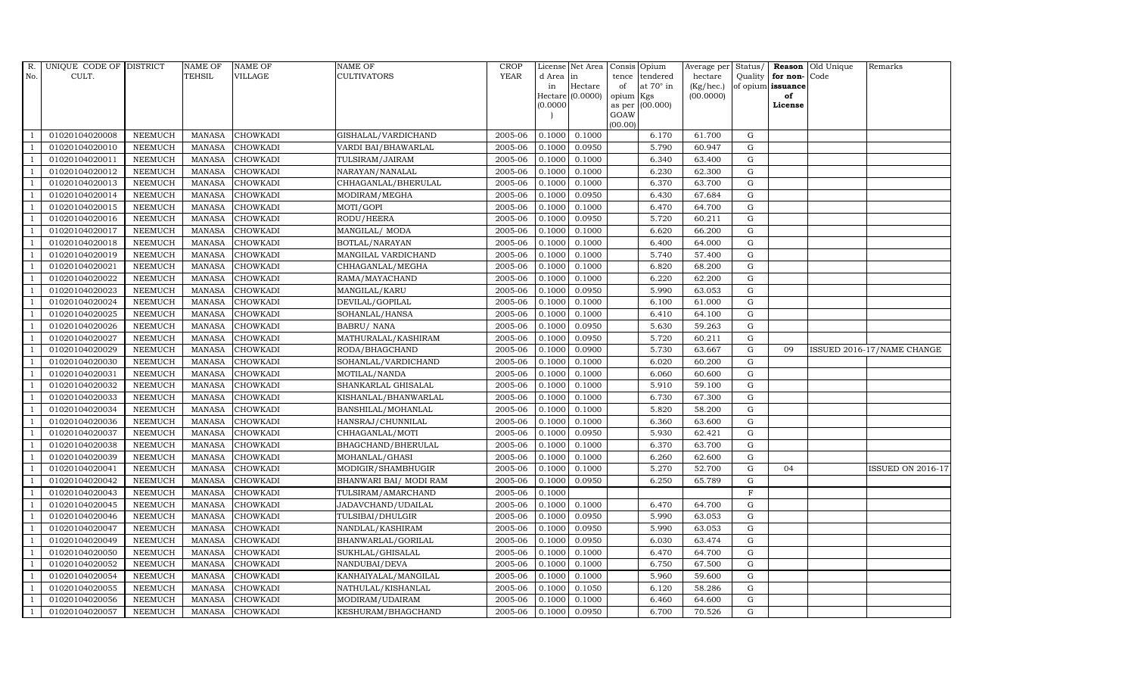| R.  | UNIQUE CODE OF DISTRICT |                | <b>NAME OF</b> | <b>NAME OF</b>  | <b>NAME OF</b>          | <b>CROP</b> |           | License Net Area | Consis          | Opium            | Average per     | Status/     |                   | Reason Old Unique | Remarks                    |
|-----|-------------------------|----------------|----------------|-----------------|-------------------------|-------------|-----------|------------------|-----------------|------------------|-----------------|-------------|-------------------|-------------------|----------------------------|
| No. | CULT.                   |                | <b>TEHSIL</b>  | <b>VILLAGE</b>  | <b>CULTIVATORS</b>      | <b>YEAR</b> | d Area in |                  | tence           | tendered         | hectare         | Quality     | for non-Code      |                   |                            |
|     |                         |                |                |                 |                         |             | in        | Hectare          | of              | at $70^\circ$ in | $(Kg/$ hec. $)$ |             | of opium issuance |                   |                            |
|     |                         |                |                |                 |                         |             | (0.0000)  | Hectare (0.0000) | opium<br>as per | Kgs<br>(00.000)  | (00.0000)       |             | of<br>License     |                   |                            |
|     |                         |                |                |                 |                         |             |           |                  | GOAW            |                  |                 |             |                   |                   |                            |
|     |                         |                |                |                 |                         |             |           |                  | (00.00)         |                  |                 |             |                   |                   |                            |
|     | 01020104020008          | <b>NEEMUCH</b> | <b>MANASA</b>  | <b>CHOWKADI</b> | GISHALAL/VARDICHAND     | 2005-06     | 0.1000    | 0.1000           |                 | 6.170            | 61.700          | G           |                   |                   |                            |
|     | 01020104020010          | <b>NEEMUCH</b> | <b>MANASA</b>  | <b>CHOWKADI</b> | VARDI BAI/BHAWARLAL     | 2005-06     | 0.1000    | 0.0950           |                 | 5.790            | 60.947          | ${\rm G}$   |                   |                   |                            |
|     | 01020104020011          | <b>NEEMUCH</b> | <b>MANASA</b>  | <b>CHOWKADI</b> | TULSIRAM/JAIRAM         | 2005-06     | 0.1000    | 0.1000           |                 | 6.340            | 63.400          | $\mathbf G$ |                   |                   |                            |
|     | 01020104020012          | <b>NEEMUCH</b> | <b>MANASA</b>  | <b>CHOWKADI</b> | NARAYAN/NANALAL         | 2005-06     | 0.1000    | 0.1000           |                 | 6.230            | 62.300          | $\mathbf G$ |                   |                   |                            |
|     | 01020104020013          | <b>NEEMUCH</b> | <b>MANASA</b>  | <b>CHOWKADI</b> | CHHAGANLAL/BHERULAL     | 2005-06     | 0.1000    | 0.1000           |                 | 6.370            | 63.700          | $\mathbf G$ |                   |                   |                            |
|     | 01020104020014          | <b>NEEMUCH</b> | <b>MANASA</b>  | CHOWKADI        | MODIRAM/MEGHA           | 2005-06     | 0.1000    | 0.0950           |                 | 6.430            | 67.684          | ${\rm G}$   |                   |                   |                            |
|     | 01020104020015          | <b>NEEMUCH</b> | <b>MANASA</b>  | <b>CHOWKADI</b> | MOTI/GOPI               | 2005-06     | 0.1000    | 0.1000           |                 | 6.470            | 64.700          | ${\rm G}$   |                   |                   |                            |
|     | 01020104020016          | <b>NEEMUCH</b> | <b>MANASA</b>  | <b>CHOWKADI</b> | RODU/HEERA              | 2005-06     | 0.1000    | 0.0950           |                 | 5.720            | 60.211          | G           |                   |                   |                            |
|     | 01020104020017          | <b>NEEMUCH</b> | <b>MANASA</b>  | <b>CHOWKADI</b> | MANGILAL/ MODA          | 2005-06     | 0.1000    | 0.1000           |                 | 6.620            | 66.200          | $\mathbf G$ |                   |                   |                            |
|     | 01020104020018          | <b>NEEMUCH</b> | MANASA         | <b>CHOWKADI</b> | BOTLAL/NARAYAN          | 2005-06     | 0.1000    | 0.1000           |                 | 6.400            | 64.000          | ${\rm G}$   |                   |                   |                            |
|     | 01020104020019          | <b>NEEMUCH</b> | <b>MANASA</b>  | <b>CHOWKADI</b> | MANGILAL VARDICHAND     | 2005-06     | 0.1000    | 0.1000           |                 | 5.740            | 57.400          | ${\rm G}$   |                   |                   |                            |
|     | 01020104020021          | <b>NEEMUCH</b> | <b>MANASA</b>  | <b>CHOWKADI</b> | CHHAGANLAL/MEGHA        | 2005-06     | 0.1000    | 0.1000           |                 | 6.820            | 68.200          | ${\rm G}$   |                   |                   |                            |
|     | 01020104020022          | <b>NEEMUCH</b> | <b>MANASA</b>  | <b>CHOWKADI</b> | RAMA/MAYACHAND          | 2005-06     | 0.1000    | 0.1000           |                 | 6.220            | 62.200          | G           |                   |                   |                            |
|     | 01020104020023          | <b>NEEMUCH</b> | <b>MANASA</b>  | <b>CHOWKADI</b> | MANGILAL/KARU           | 2005-06     | 0.1000    | 0.0950           |                 | 5.990            | 63.053          | ${\rm G}$   |                   |                   |                            |
|     | 01020104020024          | <b>NEEMUCH</b> | <b>MANASA</b>  | <b>CHOWKADI</b> | DEVILAL/GOPILAL         | 2005-06     | 0.1000    | 0.1000           |                 | 6.100            | 61.000          | ${\rm G}$   |                   |                   |                            |
|     | 01020104020025          | <b>NEEMUCH</b> | <b>MANASA</b>  | <b>CHOWKADI</b> | SOHANLAL/HANSA          | 2005-06     | 0.1000    | 0.1000           |                 | 6.410            | 64.100          | G           |                   |                   |                            |
|     | 01020104020026          | <b>NEEMUCH</b> | <b>MANASA</b>  | <b>CHOWKADI</b> | <b>BABRU/ NANA</b>      | 2005-06     | 0.1000    | 0.0950           |                 | 5.630            | 59.263          | G           |                   |                   |                            |
|     | 01020104020027          | <b>NEEMUCH</b> | <b>MANASA</b>  | <b>CHOWKADI</b> | MATHURALAL/KASHIRAM     | 2005-06     | 0.1000    | 0.0950           |                 | 5.720            | 60.211          | ${\rm G}$   |                   |                   |                            |
|     | 01020104020029          | <b>NEEMUCH</b> | <b>MANASA</b>  | <b>CHOWKADI</b> | RODA/BHAGCHAND          | 2005-06     | 0.1000    | 0.0900           |                 | 5.730            | 63.667          | ${\rm G}$   | 09                |                   | ISSUED 2016-17/NAME CHANGE |
|     | 01020104020030          | NEEMUCH        | <b>MANASA</b>  | <b>CHOWKADI</b> | SOHANLAL/VARDICHAND     | 2005-06     | 0.1000    | 0.1000           |                 | 6.020            | 60.200          | $\mathbf G$ |                   |                   |                            |
|     | 01020104020031          | <b>NEEMUCH</b> | <b>MANASA</b>  | <b>CHOWKADI</b> | MOTILAL/NANDA           | 2005-06     | 0.1000    | 0.1000           |                 | 6.060            | 60.600          | ${\rm G}$   |                   |                   |                            |
|     | 01020104020032          | <b>NEEMUCH</b> | <b>MANASA</b>  | <b>CHOWKADI</b> | SHANKARLAL GHISALAL     | 2005-06     | 0.1000    | 0.1000           |                 | 5.910            | 59.100          | G           |                   |                   |                            |
|     | 01020104020033          | <b>NEEMUCH</b> | MANASA         | CHOWKADI        | KISHANLAL/BHANWARLAL    | 2005-06     | 0.1000    | 0.1000           |                 | 6.730            | 67.300          | ${\rm G}$   |                   |                   |                            |
|     | 01020104020034          | <b>NEEMUCH</b> | <b>MANASA</b>  | <b>CHOWKADI</b> | BANSHILAL/MOHANLAL      | 2005-06     | 0.1000    | 0.1000           |                 | 5.820            | 58.200          | ${\rm G}$   |                   |                   |                            |
|     | 01020104020036          | <b>NEEMUCH</b> | <b>MANASA</b>  | CHOWKADI        | HANSRAJ/CHUNNILAL       | 2005-06     | 0.1000    | 0.1000           |                 | 6.360            | 63.600          | $\mathbf G$ |                   |                   |                            |
|     | 01020104020037          | <b>NEEMUCH</b> | MANASA         | <b>CHOWKADI</b> | CHHAGANLAL/MOTI         | 2005-06     | 0.1000    | 0.0950           |                 | 5.930            | 62.421          | G           |                   |                   |                            |
|     | 01020104020038          | <b>NEEMUCH</b> | <b>MANASA</b>  | <b>CHOWKADI</b> | BHAGCHAND/BHERULAL      | 2005-06     | 0.1000    | 0.1000           |                 | 6.370            | 63.700          | ${\rm G}$   |                   |                   |                            |
|     | 01020104020039          | <b>NEEMUCH</b> | <b>MANASA</b>  | <b>CHOWKADI</b> | MOHANLAL/GHASI          | 2005-06     | 0.1000    | 0.1000           |                 | 6.260            | 62.600          | G           |                   |                   |                            |
|     | 01020104020041          | <b>NEEMUCH</b> | <b>MANASA</b>  | <b>CHOWKADI</b> | MODIGIR/SHAMBHUGIR      | 2005-06     | 0.1000    | 0.1000           |                 | 5.270            | 52.700          | ${\rm G}$   | 04                |                   | <b>ISSUED ON 2016-17</b>   |
|     | 01020104020042          | <b>NEEMUCH</b> | <b>MANASA</b>  | CHOWKADI        | BHANWARI BAI / MODI RAM | 2005-06     | 0.1000    | 0.0950           |                 | 6.250            | 65.789          | ${\rm G}$   |                   |                   |                            |
|     | 01020104020043          | <b>NEEMUCH</b> | <b>MANASA</b>  | <b>CHOWKADI</b> | TULSIRAM/AMARCHAND      | 2005-06     | 0.1000    |                  |                 |                  |                 | $\mathbf F$ |                   |                   |                            |
|     | 01020104020045          | <b>NEEMUCH</b> | <b>MANASA</b>  | <b>CHOWKADI</b> | JADAVCHAND/UDAILAL      | 2005-06     | 0.1000    | 0.1000           |                 | 6.470            | 64.700          | ${\rm G}$   |                   |                   |                            |
|     | 01020104020046          | <b>NEEMUCH</b> | <b>MANASA</b>  | CHOWKADI        | TULSIBAI/DHULGIR        | 2005-06     | 0.1000    | 0.0950           |                 | 5.990            | 63.053          | G           |                   |                   |                            |
|     | 01020104020047          | <b>NEEMUCH</b> | <b>MANASA</b>  | <b>CHOWKADI</b> | NANDLAL/KASHIRAM        | 2005-06     | 0.1000    | 0.0950           |                 | 5.990            | 63.053          | ${\rm G}$   |                   |                   |                            |
|     | 01020104020049          | <b>NEEMUCH</b> | <b>MANASA</b>  | CHOWKADI        | BHANWARLAL/GORILAL      | 2005-06     | 0.1000    | 0.0950           |                 | 6.030            | 63.474          | $\mathbf G$ |                   |                   |                            |
|     | 01020104020050          | <b>NEEMUCH</b> | <b>MANASA</b>  | <b>CHOWKADI</b> | SUKHLAL/GHISALAL        | 2005-06     | 0.1000    | 0.1000           |                 | 6.470            | 64.700          | ${\rm G}$   |                   |                   |                            |
|     | 01020104020052          | <b>NEEMUCH</b> | <b>MANASA</b>  | CHOWKADI        | NANDUBAI/DEVA           | 2005-06     | 0.1000    | 0.1000           |                 | 6.750            | 67.500          | G           |                   |                   |                            |
|     | 01020104020054          | <b>NEEMUCH</b> | <b>MANASA</b>  | CHOWKADI        | KANHAIYALAL/MANGILAL    | 2005-06     | 0.1000    | 0.1000           |                 | 5.960            | 59.600          | G           |                   |                   |                            |
|     | 01020104020055          | <b>NEEMUCH</b> | <b>MANASA</b>  | <b>CHOWKADI</b> | NATHULAL/KISHANLAL      | 2005-06     | 0.1000    | 0.1050           |                 | 6.120            | 58.286          | ${\rm G}$   |                   |                   |                            |
|     | 01020104020056          | <b>NEEMUCH</b> | <b>MANASA</b>  | <b>CHOWKADI</b> | MODIRAM/UDAIRAM         | 2005-06     | 0.1000    | 0.1000           |                 | 6.460            | 64.600          | $\mathbf G$ |                   |                   |                            |
|     | 01020104020057          | <b>NEEMUCH</b> | MANASA         | <b>CHOWKADI</b> | KESHURAM/BHAGCHAND      | 2005-06     | 0.1000    | 0.0950           |                 | 6.700            | 70.526          | $\mathbf G$ |                   |                   |                            |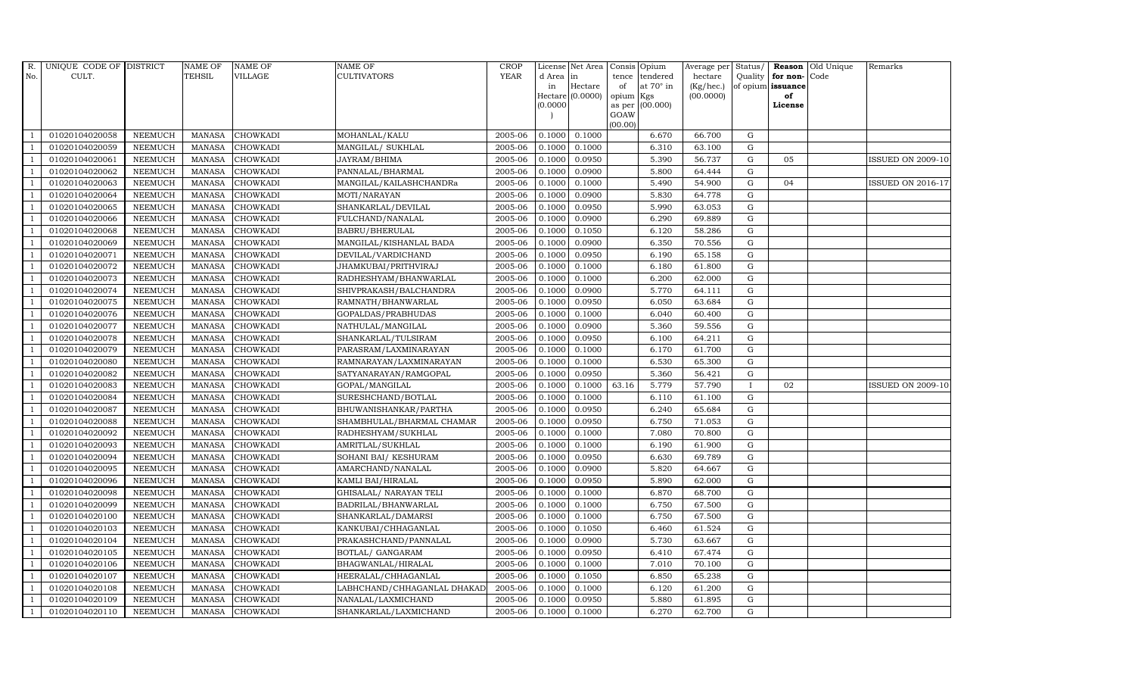| R.             | UNIQUE CODE OF DISTRICT |                | <b>NAME OF</b>  | <b>NAME OF</b>  | <b>NAME OF</b>              | CROP        |           | License Net Area Consis Opium |                |                  | Average per     | Status/      | Reason            | Old Unique | Remarks                  |
|----------------|-------------------------|----------------|-----------------|-----------------|-----------------------------|-------------|-----------|-------------------------------|----------------|------------------|-----------------|--------------|-------------------|------------|--------------------------|
| No.            | CULT.                   |                | <b>TEHSIL</b>   | <b>VILLAGE</b>  | <b>CULTIVATORS</b>          | <b>YEAR</b> | d Area in |                               | tence          | tendered         | hectare         | Quality      | for non-          | Code       |                          |
|                |                         |                |                 |                 |                             |             | in        | Hectare                       | of             | at $70^\circ$ in | $(Kg/$ hec. $)$ |              | of opium issuance |            |                          |
|                |                         |                |                 |                 |                             |             |           | Hectare (0.0000)              | opium Kgs      |                  | (00.0000)       |              | of                |            |                          |
|                |                         |                |                 |                 |                             |             | (0.0000)  |                               | as per<br>GOAW | (00.000)         |                 |              | License           |            |                          |
|                |                         |                |                 |                 |                             |             |           |                               | (00.00)        |                  |                 |              |                   |            |                          |
|                | 01020104020058          | <b>NEEMUCH</b> | <b>MANASA</b>   | <b>CHOWKADI</b> | MOHANLAL/KALU               | 2005-06     | 0.1000    | 0.1000                        |                | 6.670            | 66.700          | G            |                   |            |                          |
|                | 01020104020059          | <b>NEEMUCH</b> | <b>MANASA</b>   | <b>CHOWKADI</b> | MANGILAL/ SUKHLAL           | 2005-06     | 0.1000    | 0.1000                        |                | 6.310            | 63.100          | ${\rm G}$    |                   |            |                          |
| $\overline{1}$ | 01020104020061          | <b>NEEMUCH</b> | <b>MANASA</b>   | <b>CHOWKADI</b> | JAYRAM/BHIMA                | 2005-06     | 0.1000    | 0.0950                        |                | 5.390            | 56.737          | $\mathbf G$  | 05                |            | <b>ISSUED ON 2009-10</b> |
|                | 01020104020062          | <b>NEEMUCH</b> | <b>MANASA</b>   | <b>CHOWKADI</b> | PANNALAL/BHARMAL            | 2005-06     | 0.1000    | 0.0900                        |                | 5.800            | 64.444          | $\mathbf G$  |                   |            |                          |
| $\overline{1}$ | 01020104020063          | <b>NEEMUCH</b> | $\mbox{MANASA}$ | <b>CHOWKADI</b> | MANGILAL/KAILASHCHANDRa     | 2005-06     | 0.1000    | 0.1000                        |                | 5.490            | 54.900          | $\mathbf G$  | 04                |            | <b>ISSUED ON 2016-17</b> |
| $\overline{1}$ | 01020104020064          | <b>NEEMUCH</b> | <b>MANASA</b>   | <b>CHOWKADI</b> | MOTI/NARAYAN                | 2005-06     | 0.1000    | 0.0900                        |                | 5.830            | 64.778          | ${\rm G}$    |                   |            |                          |
| $\overline{1}$ | 01020104020065          | <b>NEEMUCH</b> | MANASA          | <b>CHOWKADI</b> | SHANKARLAL/DEVILAL          | 2005-06     | 0.1000    | 0.0950                        |                | 5.990            | 63.053          | ${\rm G}$    |                   |            |                          |
| $\overline{1}$ | 01020104020066          | <b>NEEMUCH</b> | <b>MANASA</b>   | <b>CHOWKADI</b> | FULCHAND/NANALAL            | 2005-06     | 0.1000    | 0.0900                        |                | 6.290            | 69.889          | G            |                   |            |                          |
|                | 01020104020068          | <b>NEEMUCH</b> | <b>MANASA</b>   | <b>CHOWKADI</b> | BABRU/BHERULAL              | 2005-06     | 0.1000    | 0.1050                        |                | 6.120            | 58.286          | $\mathbf G$  |                   |            |                          |
|                | 01020104020069          | NEEMUCH        | <b>MANASA</b>   | <b>CHOWKADI</b> | MANGILAL/KISHANLAL BADA     | 2005-06     | 0.1000    | 0.0900                        |                | 6.350            | 70.556          | $\mathbf G$  |                   |            |                          |
| -1             | 01020104020071          | <b>NEEMUCH</b> | <b>MANASA</b>   | <b>CHOWKADI</b> | DEVILAL/VARDICHAND          | 2005-06     | 0.1000    | 0.0950                        |                | 6.190            | 65.158          | ${\rm G}$    |                   |            |                          |
| $\overline{1}$ | 01020104020072          | <b>NEEMUCH</b> | <b>MANASA</b>   | <b>CHOWKADI</b> | JHAMKUBAI/PRITHVIRAJ        | 2005-06     | 0.1000    | 0.1000                        |                | 6.180            | 61.800          | ${\rm G}$    |                   |            |                          |
| $\overline{1}$ | 01020104020073          | <b>NEEMUCH</b> | <b>MANASA</b>   | <b>CHOWKADI</b> | RADHESHYAM/BHANWARLAL       | 2005-06     | 0.1000    | 0.1000                        |                | 6.200            | 62.000          | G            |                   |            |                          |
|                | 01020104020074          | <b>NEEMUCH</b> | <b>MANASA</b>   | <b>CHOWKADI</b> | SHIVPRAKASH/BALCHANDRA      | 2005-06     | 0.1000    | 0.0900                        |                | 5.770            | 64.111          | $\mathbf G$  |                   |            |                          |
|                | 01020104020075          | NEEMUCH        | <b>MANASA</b>   | <b>CHOWKADI</b> | RAMNATH/BHANWARLAL          | 2005-06     | 0.1000    | 0.0950                        |                | 6.050            | 63.684          | $\mathbf G$  |                   |            |                          |
| $\overline{1}$ | 01020104020076          | <b>NEEMUCH</b> | <b>MANASA</b>   | <b>CHOWKADI</b> | GOPALDAS/PRABHUDAS          | 2005-06     | 0.1000    | 0.1000                        |                | 6.040            | 60.400          | $\mathbf G$  |                   |            |                          |
| -1             | 01020104020077          | <b>NEEMUCH</b> | <b>MANASA</b>   | <b>CHOWKADI</b> | NATHULAL/MANGILAL           | 2005-06     | 0.1000    | 0.0900                        |                | 5.360            | 59.556          | ${\rm G}$    |                   |            |                          |
| $\overline{1}$ | 01020104020078          | <b>NEEMUCH</b> | MANASA          | <b>CHOWKADI</b> | SHANKARLAL/TULSIRAM         | 2005-06     | 0.1000    | 0.0950                        |                | 6.100            | 64.211          | G            |                   |            |                          |
|                | 01020104020079          | <b>NEEMUCH</b> | <b>MANASA</b>   | <b>CHOWKADI</b> | PARASRAM/LAXMINARAYAN       | 2005-06     | 0.1000    | 0.1000                        |                | 6.170            | 61.700          | $\mathbf G$  |                   |            |                          |
|                | 01020104020080          | NEEMUCH        | <b>MANASA</b>   | <b>CHOWKADI</b> | RAMNARAYAN/LAXMINARAYAN     | 2005-06     | 0.1000    | 0.1000                        |                | 6.530            | 65.300          | $\mathbf G$  |                   |            |                          |
| $\overline{1}$ | 01020104020082          | <b>NEEMUCH</b> | <b>MANASA</b>   | <b>CHOWKADI</b> | SATYANARAYAN/RAMGOPAL       | 2005-06     | 0.1000    | 0.0950                        |                | 5.360            | 56.421          | $\mathbf G$  |                   |            |                          |
|                | 01020104020083          | <b>NEEMUCH</b> | <b>MANASA</b>   | <b>CHOWKADI</b> | GOPAL/MANGILAL              | 2005-06     | 0.1000    | 0.1000                        | 63.16          | 5.779            | 57.790          | $\mathbf{I}$ | 02                |            | <b>ISSUED ON 2009-10</b> |
| $\overline{1}$ | 01020104020084          | <b>NEEMUCH</b> | MANASA          | <b>CHOWKADI</b> | SURESHCHAND/BOTLAL          | 2005-06     | 0.1000    | 0.1000                        |                | 6.110            | 61.100          | $\mathbf G$  |                   |            |                          |
|                | 01020104020087          | <b>NEEMUCH</b> | <b>MANASA</b>   | <b>CHOWKADI</b> | BHUWANISHANKAR/PARTHA       | 2005-06     | 0.1000    | 0.0950                        |                | 6.240            | 65.684          | $\mathbf G$  |                   |            |                          |
|                | 01020104020088          | NEEMUCH        | <b>MANASA</b>   | <b>CHOWKADI</b> | SHAMBHULAL/BHARMAL CHAMAR   | 2005-06     | 0.1000    | 0.0950                        |                | 6.750            | 71.053          | $\mathbf G$  |                   |            |                          |
| $\overline{1}$ | 01020104020092          | <b>NEEMUCH</b> | <b>MANASA</b>   | <b>CHOWKADI</b> | RADHESHYAM/SUKHLAL          | 2005-06     | 0.1000    | 0.1000                        |                | 7.080            | 70.800          | $\mathbf G$  |                   |            |                          |
| -1             | 01020104020093          | <b>NEEMUCH</b> | <b>MANASA</b>   | <b>CHOWKADI</b> | AMRITLAL/SUKHLAL            | 2005-06     | 0.1000    | 0.1000                        |                | 6.190            | 61.900          | ${\rm G}$    |                   |            |                          |
| $\overline{1}$ | 01020104020094          | <b>NEEMUCH</b> | <b>MANASA</b>   | <b>CHOWKADI</b> | SOHANI BAI/ KESHURAM        | 2005-06     | 0.1000    | 0.0950                        |                | 6.630            | 69.789          | $\mathbf G$  |                   |            |                          |
|                | 01020104020095          | <b>NEEMUCH</b> | <b>MANASA</b>   | <b>CHOWKADI</b> | AMARCHAND/NANALAL           | 2005-06     | 0.1000    | 0.0900                        |                | 5.820            | 64.667          | $\mathbf G$  |                   |            |                          |
|                | 01020104020096          | <b>NEEMUCH</b> | <b>MANASA</b>   | <b>CHOWKADI</b> | KAMLI BAI/HIRALAL           | 2005-06     | 0.1000    | 0.0950                        |                | 5.890            | 62.000          | $\mathbf G$  |                   |            |                          |
|                | 01020104020098          | <b>NEEMUCH</b> | MANASA          | <b>CHOWKADI</b> | GHISALAL/ NARAYAN TELI      | 2005-06     | 0.1000    | 0.1000                        |                | 6.870            | 68.700          | G            |                   |            |                          |
|                | 01020104020099          | <b>NEEMUCH</b> | <b>MANASA</b>   | <b>CHOWKADI</b> | BADRILAL/BHANWARLAL         | 2005-06     | 0.1000    | 0.1000                        |                | 6.750            | 67.500          | ${\rm G}$    |                   |            |                          |
| $\overline{1}$ | 01020104020100          | <b>NEEMUCH</b> | <b>MANASA</b>   | <b>CHOWKADI</b> | SHANKARLAL/DAMARSI          | 2005-06     | 0.1000    | 0.1000                        |                | 6.750            | 67.500          | ${\rm G}$    |                   |            |                          |
| $\overline{1}$ | 01020104020103          | <b>NEEMUCH</b> | <b>MANASA</b>   | <b>CHOWKADI</b> | KANKUBAI/CHHAGANLAL         | 2005-06     | 0.1000    | 0.1050                        |                | 6.460            | 61.524          | $\mathbf G$  |                   |            |                          |
|                | 01020104020104          | <b>NEEMUCH</b> | <b>MANASA</b>   | <b>CHOWKADI</b> | PRAKASHCHAND/PANNALAL       | 2005-06     | 0.1000    | 0.0900                        |                | 5.730            | 63.667          | $\mathbf G$  |                   |            |                          |
| $\overline{1}$ | 01020104020105          | <b>NEEMUCH</b> | <b>MANASA</b>   | <b>CHOWKADI</b> | BOTLAL/ GANGARAM            | 2005-06     | 0.1000    | 0.0950                        |                | 6.410            | 67.474          | ${\rm G}$    |                   |            |                          |
| $\overline{1}$ | 01020104020106          | <b>NEEMUCH</b> | <b>MANASA</b>   | <b>CHOWKADI</b> | BHAGWANLAL/HIRALAL          | 2005-06     | 0.1000    | 0.1000                        |                | 7.010            | 70.100          | ${\rm G}$    |                   |            |                          |
| $\overline{1}$ | 01020104020107          | <b>NEEMUCH</b> | <b>MANASA</b>   | <b>CHOWKADI</b> | HEERALAL/CHHAGANLAL         | 2005-06     | 0.1000    | 0.1050                        |                | 6.850            | 65.238          | ${\rm G}$    |                   |            |                          |
| $\overline{1}$ | 01020104020108          | <b>NEEMUCH</b> | <b>MANASA</b>   | <b>CHOWKADI</b> | LABHCHAND/CHHAGANLAL DHAKAD | 2005-06     | 0.1000    | 0.1000                        |                | 6.120            | 61.200          | G            |                   |            |                          |
|                | 01020104020109          | <b>NEEMUCH</b> | <b>MANASA</b>   | <b>CHOWKADI</b> | NANALAL/LAXMICHAND          | 2005-06     | 0.1000    | 0.0950                        |                | 5.880            | 61.895          | $\mathbf G$  |                   |            |                          |
| $\mathbf{1}$   | 01020104020110          | NEEMUCH        |                 | MANASA CHOWKADI | SHANKARLAL/LAXMICHAND       | 2005-06     | 0.1000    | 0.1000                        |                | 6.270            | 62.700          | G            |                   |            |                          |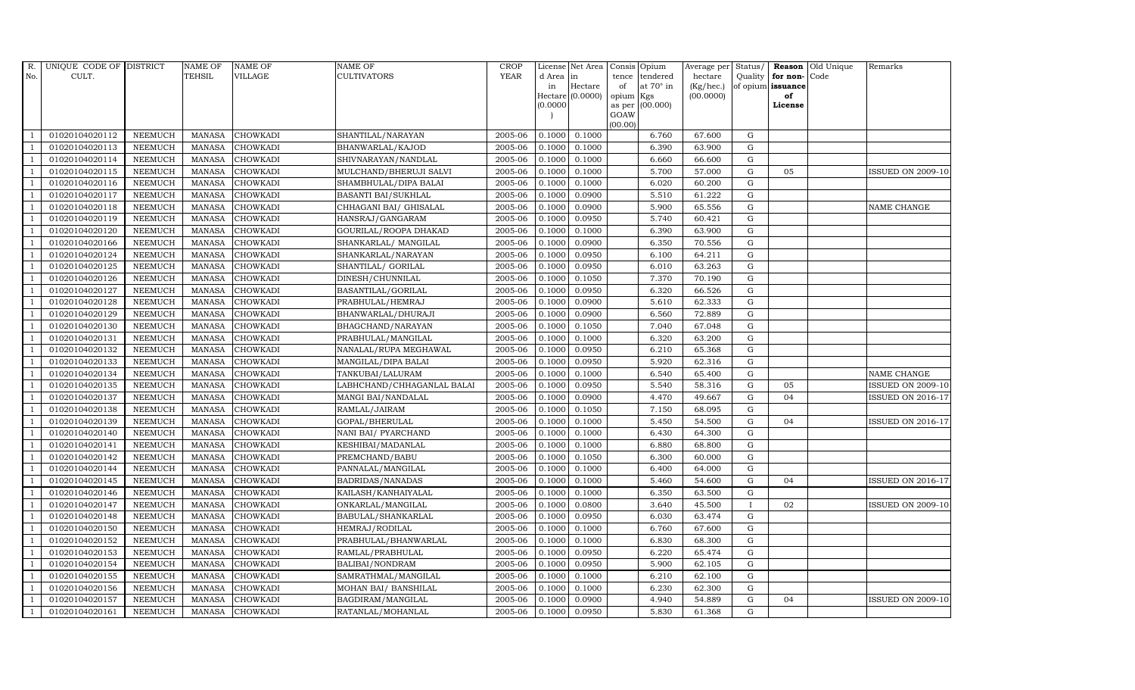| R.             | UNIQUE CODE OF DISTRICT |                | <b>NAME OF</b> | <b>NAME OF</b>  | <b>NAME OF</b>             | CROP        |           | License Net Area | Consis Opium        |                  | Average per     | Status/      | Reason            | Old Unique | Remarks                  |
|----------------|-------------------------|----------------|----------------|-----------------|----------------------------|-------------|-----------|------------------|---------------------|------------------|-----------------|--------------|-------------------|------------|--------------------------|
| No.            | CULT.                   |                | <b>TEHSIL</b>  | <b>VILLAGE</b>  | <b>CULTIVATORS</b>         | <b>YEAR</b> | d Area in |                  | tence               | tendered         | hectare         | Quality      | for non-          | Code       |                          |
|                |                         |                |                |                 |                            |             | in        | Hectare          | of                  | at $70^\circ$ in | $(Kg/$ hec. $)$ |              | of opium issuance |            |                          |
|                |                         |                |                |                 |                            |             | (0.0000)  | Hectare (0.0000) | opium Kgs<br>as per | (00.000)         | (00.0000)       |              | of<br>License     |            |                          |
|                |                         |                |                |                 |                            |             |           |                  | GOAW                |                  |                 |              |                   |            |                          |
|                |                         |                |                |                 |                            |             |           |                  | (00.00)             |                  |                 |              |                   |            |                          |
|                | 01020104020112          | <b>NEEMUCH</b> | MANASA         | <b>CHOWKADI</b> | SHANTILAL/NARAYAN          | 2005-06     | 0.1000    | 0.1000           |                     | 6.760            | 67.600          | G            |                   |            |                          |
|                | 01020104020113          | <b>NEEMUCH</b> | <b>MANASA</b>  | <b>CHOWKADI</b> | BHANWARLAL/KAJOD           | 2005-06     | 0.1000    | 0.1000           |                     | 6.390            | 63.900          | ${\rm G}$    |                   |            |                          |
| $\overline{1}$ | 01020104020114          | <b>NEEMUCH</b> | <b>MANASA</b>  | <b>CHOWKADI</b> | SHIVNARAYAN/NANDLAL        | 2005-06     | 0.1000    | 0.1000           |                     | 6.660            | 66.600          | $\mathbf G$  |                   |            |                          |
|                | 01020104020115          | <b>NEEMUCH</b> | <b>MANASA</b>  | <b>CHOWKADI</b> | MULCHAND/BHERUJI SALVI     | 2005-06     | 0.1000    | 0.1000           |                     | 5.700            | 57.000          | $\mathbf G$  | 05                |            | <b>ISSUED ON 2009-10</b> |
|                | 01020104020116          | NEEMUCH        | <b>MANASA</b>  | <b>CHOWKADI</b> | SHAMBHULAL/DIPA BALAI      | 2005-06     | 0.1000    | 0.1000           |                     | 6.020            | 60.200          | $\mathbf G$  |                   |            |                          |
| $\overline{1}$ | 01020104020117          | NEEMUCH        | <b>MANASA</b>  | CHOWKADI        | <b>BASANTI BAI/SUKHLAL</b> | 2005-06     | 0.1000    | 0.0900           |                     | 5.510            | 61.222          | $\mathbf G$  |                   |            |                          |
| $\overline{1}$ | 01020104020118          | <b>NEEMUCH</b> | <b>MANASA</b>  | <b>CHOWKADI</b> | CHHAGANI BAI/ GHISALAL     | 2005-06     | 0.1000    | 0.0900           |                     | 5.900            | 65.556          | ${\rm G}$    |                   |            | NAME CHANGE              |
| $\overline{1}$ | 01020104020119          | <b>NEEMUCH</b> | <b>MANASA</b>  | <b>CHOWKADI</b> | HANSRAJ/GANGARAM           | 2005-06     | 0.1000    | 0.0950           |                     | 5.740            | 60.421          | $\mathbf G$  |                   |            |                          |
|                | 01020104020120          | <b>NEEMUCH</b> | <b>MANASA</b>  | <b>CHOWKADI</b> | GOURILAL/ROOPA DHAKAD      | 2005-06     | 0.1000    | 0.1000           |                     | 6.390            | 63.900          | $\mathbf G$  |                   |            |                          |
|                | 01020104020166          | <b>NEEMUCH</b> | <b>MANASA</b>  | <b>CHOWKADI</b> | SHANKARLAL/ MANGILAL       | 2005-06     | 0.1000    | 0.0900           |                     | 6.350            | 70.556          | $\mathbf G$  |                   |            |                          |
| $\overline{1}$ | 01020104020124          | <b>NEEMUCH</b> | <b>MANASA</b>  | <b>CHOWKADI</b> | SHANKARLAL/NARAYAN         | 2005-06     | 0.1000    | 0.0950           |                     | 6.100            | 64.211          | $\mathbf G$  |                   |            |                          |
|                | 01020104020125          | <b>NEEMUCH</b> | MANASA         | <b>CHOWKADI</b> | SHANTILAL/ GORILAL         | 2005-06     | 0.1000    | 0.0950           |                     | 6.010            | 63.263          | ${\rm G}$    |                   |            |                          |
| $\overline{1}$ | 01020104020126          | <b>NEEMUCH</b> | <b>MANASA</b>  | <b>CHOWKADI</b> | DINESH/CHUNNILAL           | 2005-06     | 0.1000    | 0.1050           |                     | 7.370            | 70.190          | $\mathbf G$  |                   |            |                          |
|                | 01020104020127          | <b>NEEMUCH</b> | <b>MANASA</b>  | <b>CHOWKADI</b> | BASANTILAL/GORILAL         | 2005-06     | 0.1000    | 0.0950           |                     | 6.320            | 66.526          | $\mathbf G$  |                   |            |                          |
|                | 01020104020128          | <b>NEEMUCH</b> | <b>MANASA</b>  | <b>CHOWKADI</b> | PRABHULAL/HEMRAJ           | 2005-06     | 0.1000    | 0.0900           |                     | 5.610            | 62.333          | $\mathbf G$  |                   |            |                          |
| $\overline{1}$ | 01020104020129          | <b>NEEMUCH</b> | <b>MANASA</b>  | <b>CHOWKADI</b> | BHANWARLAL/DHURAJI         | 2005-06     | 0.1000    | 0.0900           |                     | 6.560            | 72.889          | ${\rm G}$    |                   |            |                          |
| -1             | 01020104020130          | <b>NEEMUCH</b> | <b>MANASA</b>  | <b>CHOWKADI</b> | BHAGCHAND/NARAYAN          | 2005-06     | 0.1000    | 0.1050           |                     | 7.040            | 67.048          | $\mathbf G$  |                   |            |                          |
| $\overline{1}$ | 01020104020131          | <b>NEEMUCH</b> | <b>MANASA</b>  | <b>CHOWKADI</b> | PRABHULAL/MANGILAL         | 2005-06     | 0.1000    | 0.1000           |                     | 6.320            | 63.200          | $\mathbf G$  |                   |            |                          |
|                | 01020104020132          | <b>NEEMUCH</b> | <b>MANASA</b>  | <b>CHOWKADI</b> | NANALAL/RUPA MEGHAWAL      | 2005-06     | 0.1000    | 0.0950           |                     | 6.210            | 65.368          | $\mathbf G$  |                   |            |                          |
|                | 01020104020133          | <b>NEEMUCH</b> | <b>MANASA</b>  | <b>CHOWKADI</b> | MANGILAL/DIPA BALAI        | 2005-06     | 0.1000    | 0.0950           |                     | 5.920            | 62.316          | $\mathbf G$  |                   |            |                          |
|                | 01020104020134          | <b>NEEMUCH</b> | <b>MANASA</b>  | <b>CHOWKADI</b> | TANKUBAI/LALURAM           | 2005-06     | 0.1000    | 0.1000           |                     | 6.540            | 65.400          | ${\rm G}$    |                   |            | NAME CHANGE              |
|                | 01020104020135          | <b>NEEMUCH</b> | <b>MANASA</b>  | <b>CHOWKADI</b> | LABHCHAND/CHHAGANLAL BALAI | 2005-06     | 0.1000    | 0.0950           |                     | 5.540            | 58.316          | $\mathbf G$  | 05                |            | <b>ISSUED ON 2009-10</b> |
| $\overline{1}$ | 01020104020137          | <b>NEEMUCH</b> | <b>MANASA</b>  | <b>CHOWKADI</b> | MANGI BAI/NANDALAL         | 2005-06     | 0.1000    | 0.0900           |                     | 4.470            | 49.667          | ${\rm G}$    | 04                |            | <b>ISSUED ON 2016-17</b> |
|                | 01020104020138          | <b>NEEMUCH</b> | <b>MANASA</b>  | <b>CHOWKADI</b> | RAMLAL/JAIRAM              | 2005-06     | 0.1000    | 0.1050           |                     | 7.150            | 68.095          | $\mathbf G$  |                   |            |                          |
|                | 01020104020139          | <b>NEEMUCH</b> | <b>MANASA</b>  | <b>CHOWKADI</b> | GOPAL/BHERULAL             | 2005-06     | 0.1000    | 0.1000           |                     | 5.450            | 54.500          | G            | 04                |            | <b>ISSUED ON 2016-17</b> |
| $\overline{1}$ | 01020104020140          | <b>NEEMUCH</b> | <b>MANASA</b>  | <b>CHOWKADI</b> | NANI BAI/ PYARCHAND        | 2005-06     | 0.1000    | 0.1000           |                     | 6.430            | 64.300          | $\mathbf G$  |                   |            |                          |
|                | 01020104020141          | <b>NEEMUCH</b> | <b>MANASA</b>  | <b>CHOWKADI</b> | KESHIBAI/MADANLAL          | 2005-06     | 0.1000    | 0.1000           |                     | 6.880            | 68.800          | ${\rm G}$    |                   |            |                          |
|                | 01020104020142          | <b>NEEMUCH</b> | <b>MANASA</b>  | <b>CHOWKADI</b> | PREMCHAND/BABU             | 2005-06     | 0.1000    | 0.1050           |                     | 6.300            | 60.000          | G            |                   |            |                          |
| -1             | 01020104020144          | <b>NEEMUCH</b> | <b>MANASA</b>  | <b>CHOWKADI</b> | PANNALAL/MANGILAL          | 2005-06     | 0.1000    | 0.1000           |                     | 6.400            | 64.000          | ${\rm G}$    |                   |            |                          |
|                | 01020104020145          | <b>NEEMUCH</b> | <b>MANASA</b>  | <b>CHOWKADI</b> | BADRIDAS/NANADAS           | 2005-06     | 0.1000    | 0.1000           |                     | 5.460            | 54.600          | $\mathbf G$  | 04                |            | <b>ISSUED ON 2016-17</b> |
|                | 01020104020146          | <b>NEEMUCH</b> | <b>MANASA</b>  | <b>CHOWKADI</b> | KAILASH/KANHAIYALAL        | 2005-06     | 0.1000    | 0.1000           |                     | 6.350            | 63.500          | $\mathbf G$  |                   |            |                          |
| $\overline{1}$ | 01020104020147          | <b>NEEMUCH</b> | <b>MANASA</b>  | <b>CHOWKADI</b> | ONKARLAL/MANGILAL          | 2005-06     | 0.1000    | 0.0800           |                     | 3.640            | 45.500          | $\mathbf{I}$ | 02                |            | <b>ISSUED ON 2009-10</b> |
| $\overline{1}$ | 01020104020148          | <b>NEEMUCH</b> | <b>MANASA</b>  | <b>CHOWKADI</b> | BABULAL/SHANKARLAL         | 2005-06     | 0.1000    | 0.0950           |                     | 6.030            | 63.474          | $\mathbf G$  |                   |            |                          |
| $\overline{1}$ | 01020104020150          | <b>NEEMUCH</b> | <b>MANASA</b>  | <b>CHOWKADI</b> | HEMRAJ/RODILAL             | 2005-06     | 0.1000    | 0.1000           |                     | 6.760            | 67.600          | $\mathbf G$  |                   |            |                          |
|                | 01020104020152          | <b>NEEMUCH</b> | <b>MANASA</b>  | <b>CHOWKADI</b> | PRABHULAL/BHANWARLAL       | 2005-06     | 0.1000    | 0.1000           |                     | 6.830            | 68.300          | $\mathbf G$  |                   |            |                          |
|                | 01020104020153          | <b>NEEMUCH</b> | <b>MANASA</b>  | <b>CHOWKADI</b> | RAMLAL/PRABHULAL           | 2005-06     | 0.1000    | 0.0950           |                     | 6.220            | 65.474          | G            |                   |            |                          |
|                | 01020104020154          | <b>NEEMUCH</b> | <b>MANASA</b>  | <b>CHOWKADI</b> | BALIBAI/NONDRAM            | 2005-06     | 0.1000    | 0.0950           |                     | 5.900            | 62.105          | ${\rm G}$    |                   |            |                          |
| $\overline{1}$ | 01020104020155          | <b>NEEMUCH</b> | <b>MANASA</b>  | <b>CHOWKADI</b> | SAMRATHMAL/MANGILAL        | 2005-06     | 0.1000    | 0.1000           |                     | 6.210            | 62.100          | ${\rm G}$    |                   |            |                          |
| $\overline{1}$ | 01020104020156          | <b>NEEMUCH</b> | <b>MANASA</b>  | <b>CHOWKADI</b> | MOHAN BAI/ BANSHILAL       | 2005-06     | 0.1000    | 0.1000           |                     | 6.230            | 62.300          | $\mathbf G$  |                   |            |                          |
| $\overline{1}$ |                         |                |                | <b>CHOWKADI</b> | BAGDIRAM/MANGILAL          | 2005-06     | 0.1000    | 0.0900           |                     | 4.940            | 54.889          | $\mathbf G$  | 04                |            | <b>ISSUED ON 2009-10</b> |
|                | 01020104020157          | <b>NEEMUCH</b> | <b>MANASA</b>  |                 |                            |             |           |                  |                     |                  |                 |              |                   |            |                          |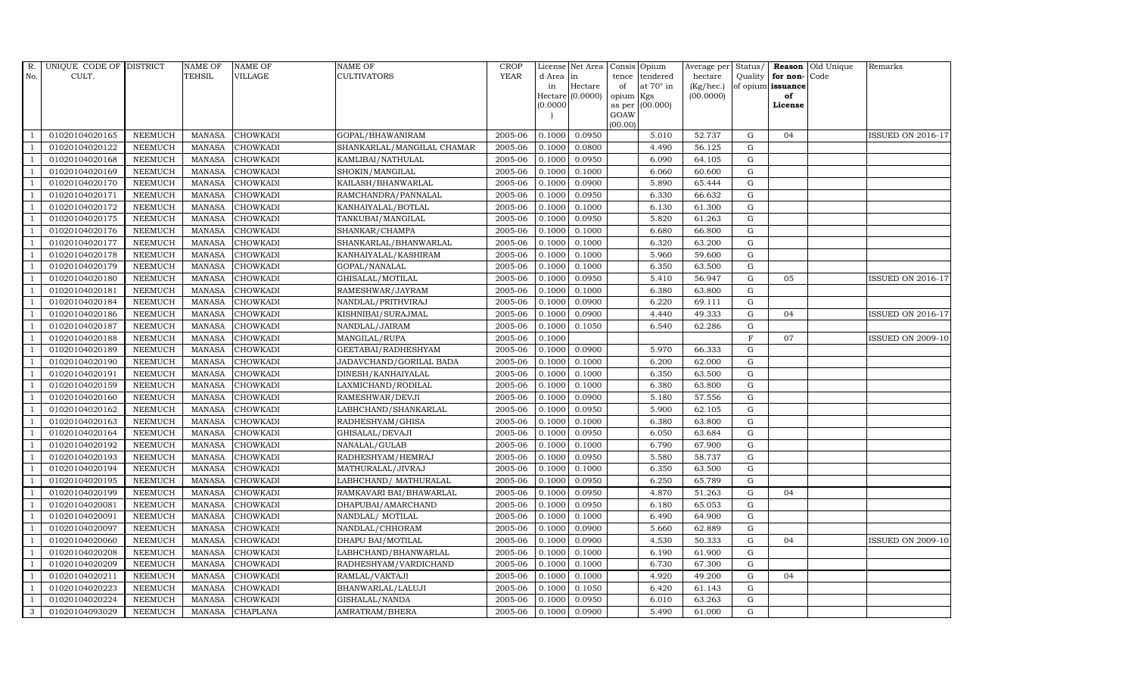| R.             | UNIQUE CODE OF DISTRICT |                | <b>NAME OF</b> | <b>NAME OF</b>  | <b>NAME OF</b>             | <b>CROP</b> |           | License Net Area Consis Opium |           |                 | Average per Status/    |              |                         | <b>Reason</b> Old Unique | Remarks                  |
|----------------|-------------------------|----------------|----------------|-----------------|----------------------------|-------------|-----------|-------------------------------|-----------|-----------------|------------------------|--------------|-------------------------|--------------------------|--------------------------|
| No.            | CULT.                   |                | <b>TEHSIL</b>  | <b>VILLAGE</b>  | <b>CULTIVATORS</b>         | <b>YEAR</b> | d Area in |                               |           | tence tendered  | hectare                |              | Quality   for non- Code |                          |                          |
|                |                         |                |                |                 |                            |             | in        | Hectare<br>Hectare $(0.0000)$ | of        | at 70° in       | (Kg/hec.)<br>(00.0000) |              | of opium issuance<br>of |                          |                          |
|                |                         |                |                |                 |                            |             | (0.0000)  |                               | opium Kgs | as per (00.000) |                        |              | License                 |                          |                          |
|                |                         |                |                |                 |                            |             |           |                               | GOAW      |                 |                        |              |                         |                          |                          |
|                |                         |                |                |                 |                            |             |           |                               | (00.00)   |                 |                        |              |                         |                          |                          |
|                | 01020104020165          | <b>NEEMUCH</b> | MANASA         | <b>CHOWKADI</b> | GOPAL/BHAWANIRAM           | 2005-06     | 0.1000    | 0.0950                        |           | 5.010           | 52.737                 | G            | 04                      |                          | <b>ISSUED ON 2016-17</b> |
| -1             | 01020104020122          | <b>NEEMUCH</b> | <b>MANASA</b>  | <b>CHOWKADI</b> | SHANKARLAL/MANGILAL CHAMAR | 2005-06     | 0.1000    | 0.0800                        |           | 4.490           | 56.125                 | $\mathbf G$  |                         |                          |                          |
|                | 01020104020168          | <b>NEEMUCH</b> | <b>MANASA</b>  | <b>CHOWKADI</b> | KAMLIBAI/NATHULAL          | 2005-06     | 0.1000    | 0.0950                        |           | 6.090           | 64.105                 | G            |                         |                          |                          |
|                | 01020104020169          | <b>NEEMUCH</b> | <b>MANASA</b>  | <b>CHOWKADI</b> | SHOKIN/MANGILAL            | 2005-06     | 0.1000    | 0.1000                        |           | 6.060           | 60.600                 | $\mathbf G$  |                         |                          |                          |
|                | 01020104020170          | <b>NEEMUCH</b> | <b>MANASA</b>  | <b>CHOWKADI</b> | KAILASH/BHANWARLAL         | 2005-06     | 0.1000    | 0.0900                        |           | 5.890           | 65.444                 | ${\bf G}$    |                         |                          |                          |
| $\overline{1}$ | 01020104020171          | <b>NEEMUCH</b> | <b>MANASA</b>  | <b>CHOWKADI</b> | RAMCHANDRA/PANNALAL        | 2005-06     | 0.1000    | 0.0950                        |           | 6.330           | 66.632                 | $\mathbf G$  |                         |                          |                          |
| $\overline{1}$ | 01020104020172          | <b>NEEMUCH</b> | <b>MANASA</b>  | <b>CHOWKADI</b> | KANHAIYALAL/BOTLAL         | 2005-06     | 0.1000    | 0.1000                        |           | 6.130           | 61.300                 | ${\bf G}$    |                         |                          |                          |
| $\overline{1}$ | 01020104020175          | <b>NEEMUCH</b> | <b>MANASA</b>  | <b>CHOWKADI</b> | TANKUBAI/MANGILAL          | 2005-06     | 0.1000    | 0.0950                        |           | 5.820           | 61.263                 | $\mathbf G$  |                         |                          |                          |
|                | 01020104020176          | <b>NEEMUCH</b> | <b>MANASA</b>  | <b>CHOWKADI</b> | SHANKAR/CHAMPA             | 2005-06     | 0.1000    | 0.1000                        |           | 6.680           | 66.800                 | $\mathbf G$  |                         |                          |                          |
| $\overline{1}$ | 01020104020177          | <b>NEEMUCH</b> | <b>MANASA</b>  | <b>CHOWKADI</b> | SHANKARLAL/BHANWARLAL      | 2005-06     | 0.1000    | 0.1000                        |           | 6.320           | 63.200                 | ${\rm G}$    |                         |                          |                          |
| $\overline{1}$ | 01020104020178          | <b>NEEMUCH</b> | <b>MANASA</b>  | <b>CHOWKADI</b> | KANHAIYALAL/KASHIRAM       | 2005-06     | 0.1000    | 0.1000                        |           | 5.960           | 59.600                 | G            |                         |                          |                          |
| $\overline{1}$ | 01020104020179          | <b>NEEMUCH</b> | <b>MANASA</b>  | <b>CHOWKADI</b> | GOPAL/NANALAL              | 2005-06     | 0.1000    | 0.1000                        |           | 6.350           | 63.500                 | $\mathbf G$  |                         |                          |                          |
| $\overline{1}$ | 01020104020180          | <b>NEEMUCH</b> | <b>MANASA</b>  | <b>CHOWKADI</b> | GHISALAL/MOTILAL           | 2005-06     | 0.1000    | 0.0950                        |           | 5.410           | 56.947                 | G            | 05                      |                          | ISSUED ON 2016-17        |
|                | 01020104020181          | <b>NEEMUCH</b> | <b>MANASA</b>  | <b>CHOWKADI</b> | RAMESHWAR/JAYRAM           | 2005-06     | 0.1000    | 0.1000                        |           | 6.380           | 63.800                 | $\mathbf G$  |                         |                          |                          |
|                | 01020104020184          | <b>NEEMUCH</b> | <b>MANASA</b>  | <b>CHOWKADI</b> | NANDLAL/PRITHVIRAJ         | 2005-06     | 0.1000    | 0.0900                        |           | 6.220           | 69.111                 | $\mathbf G$  |                         |                          |                          |
| $\overline{1}$ | 01020104020186          | <b>NEEMUCH</b> | <b>MANASA</b>  | <b>CHOWKADI</b> | KISHNIBAI/SURAJMAL         | 2005-06     | 0.1000    | 0.0900                        |           | 4.440           | 49.333                 | $\mathbf G$  | 04                      |                          | <b>ISSUED ON 2016-17</b> |
| $\overline{1}$ | 01020104020187          | <b>NEEMUCH</b> | <b>MANASA</b>  | <b>CHOWKADI</b> | NANDLAL/JAIRAM             | 2005-06     | 0.1000    | 0.1050                        |           | 6.540           | 62.286                 | $\mathbf G$  |                         |                          |                          |
| $\overline{1}$ | 01020104020188          | <b>NEEMUCH</b> | <b>MANASA</b>  | <b>CHOWKADI</b> | MANGILAL/RUPA              | 2005-06     | 0.1000    |                               |           |                 |                        | $\mathbf{F}$ | 07                      |                          | <b>ISSUED ON 2009-10</b> |
|                | 01020104020189          | <b>NEEMUCH</b> | <b>MANASA</b>  | <b>CHOWKADI</b> | GEETABAI/RADHESHYAM        | 2005-06     | 0.1000    | 0.0900                        |           | 5.970           | 66.333                 | $\mathbf G$  |                         |                          |                          |
|                | 01020104020190          | <b>NEEMUCH</b> | <b>MANASA</b>  | <b>CHOWKADI</b> | JADAVCHAND/GORILAL BADA    | 2005-06     | 0.1000    | 0.1000                        |           | 6.200           | 62.000                 | $\mathbf G$  |                         |                          |                          |
| $\overline{1}$ | 01020104020191          | <b>NEEMUCH</b> | <b>MANASA</b>  | <b>CHOWKADI</b> | DINESH/KANHAIYALAL         | 2005-06     | 0.1000    | 0.1000                        |           | 6.350           | 63.500                 | $\mathbf G$  |                         |                          |                          |
|                | 01020104020159          | <b>NEEMUCH</b> | <b>MANASA</b>  | <b>CHOWKADI</b> | LAXMICHAND/RODILAL         | 2005-06     | 0.1000    | 0.1000                        |           | 6.380           | 63.800                 | ${\rm G}$    |                         |                          |                          |
| $\overline{1}$ | 01020104020160          | <b>NEEMUCH</b> | <b>MANASA</b>  | <b>CHOWKADI</b> | RAMESHWAR/DEVJI            | 2005-06     | 0.1000    | 0.0900                        |           | 5.180           | 57.556                 | G            |                         |                          |                          |
|                | 01020104020162          | <b>NEEMUCH</b> | <b>MANASA</b>  | <b>CHOWKADI</b> | LABHCHAND/SHANKARLAL       | 2005-06     | 0.1000    | 0.0950                        |           | 5.900           | 62.105                 | $\mathbf G$  |                         |                          |                          |
|                | 01020104020163          | <b>NEEMUCH</b> | <b>MANASA</b>  | <b>CHOWKADI</b> | RADHESHYAM/GHISA           | 2005-06     | 0.1000    | 0.1000                        |           | 6.380           | 63.800                 | ${\rm G}$    |                         |                          |                          |
| -1             | 01020104020164          | <b>NEEMUCH</b> | <b>MANASA</b>  | CHOWKADI        | GHISALAL/DEVAJI            | 2005-06     | 0.1000    | 0.0950                        |           | 6.050           | 63.684                 | $\mathbf G$  |                         |                          |                          |
| $\mathbf{1}$   | 01020104020192          | <b>NEEMUCH</b> | <b>MANASA</b>  | <b>CHOWKADI</b> | NANALAL/GULAB              | 2005-06     | 0.1000    | 0.1000                        |           | 6.790           | 67.900                 | ${\rm G}$    |                         |                          |                          |
| $\overline{1}$ | 01020104020193          | <b>NEEMUCH</b> | <b>MANASA</b>  | <b>CHOWKADI</b> | RADHESHYAM/HEMRAJ          | 2005-06     | 0.1000    | 0.0950                        |           | 5.580           | 58.737                 | G            |                         |                          |                          |
|                | 01020104020194          | <b>NEEMUCH</b> | <b>MANASA</b>  | <b>CHOWKADI</b> | MATHURALAL/JIVRAJ          | 2005-06     | 0.1000    | 0.1000                        |           | 6.350           | 63.500                 | $\mathbf G$  |                         |                          |                          |
|                | 01020104020195          | <b>NEEMUCH</b> | <b>MANASA</b>  | <b>CHOWKADI</b> | LABHCHAND/ MATHURALAL      | 2005-06     | 0.1000    | 0.0950                        |           | 6.250           | 65.789                 | $\mathbf G$  |                         |                          |                          |
| -1             | 01020104020199          | <b>NEEMUCH</b> | <b>MANASA</b>  | <b>CHOWKADI</b> | RAMKAVARI BAI/BHAWARLAL    | 2005-06     | 0.1000    | 0.0950                        |           | 4.870           | 51.263                 | G            | 04                      |                          |                          |
|                | 01020104020081          | <b>NEEMUCH</b> | <b>MANASA</b>  | <b>CHOWKADI</b> | DHAPUBAI/AMARCHAND         | 2005-06     | 0.1000    | 0.0950                        |           | 6.180           | 65.053                 | $\mathbf G$  |                         |                          |                          |
| $\overline{1}$ | 01020104020091          | <b>NEEMUCH</b> | MANASA         | CHOWKADI        | NANDLAL/ MOTILAL           | 2005-06     | 0.1000    | 0.1000                        |           | 6.490           | 64.900                 | ${\rm G}$    |                         |                          |                          |
| $\overline{1}$ | 01020104020097          | <b>NEEMUCH</b> | <b>MANASA</b>  | <b>CHOWKADI</b> | NANDLAL/CHHORAM            | 2005-06     | 0.1000    | 0.0900                        |           | 5.660           | 62.889                 | $\mathbf G$  |                         |                          |                          |
|                | 01020104020060          | <b>NEEMUCH</b> | <b>MANASA</b>  | CHOWKADI        | DHAPU BAI/MOTILAL          | 2005-06     | 0.1000    | 0.0900                        |           | 4.530           | 50.333                 | $\mathbf G$  | 04                      |                          | <b>ISSUED ON 2009-10</b> |
| $\overline{1}$ | 01020104020208          | <b>NEEMUCH</b> | <b>MANASA</b>  | <b>CHOWKADI</b> | LABHCHAND/BHANWARLAL       | 2005-06     | 0.1000    | 0.1000                        |           | 6.190           | 61.900                 | G            |                         |                          |                          |
|                | 01020104020209          | <b>NEEMUCH</b> | <b>MANASA</b>  | <b>CHOWKADI</b> | RADHESHYAM/VARDICHAND      | 2005-06     | 0.1000    | 0.1000                        |           | 6.730           | 67.300                 | G            |                         |                          |                          |
| $\overline{1}$ | 01020104020211          | NEEMUCH        | <b>MANASA</b>  | CHOWKADI        | RAMLAL/VAKTAJI             | 2005-06     | 0.1000    | 0.1000                        |           | 4.920           | 49.200                 | ${\rm G}$    | 04                      |                          |                          |
| $\overline{1}$ | 01020104020223          | <b>NEEMUCH</b> | <b>MANASA</b>  | <b>CHOWKADI</b> | BHANWARLAL/LALUJI          | 2005-06     | 0.1000    | 0.1050                        |           | 6.420           | 61.143                 | $\mathbf G$  |                         |                          |                          |
|                | 01020104020224          | <b>NEEMUCH</b> | <b>MANASA</b>  | <b>CHOWKADI</b> | GISHALAL/NANDA             | 2005-06     | 0.1000    | 0.0950                        |           | 6.010           | 63.263                 | $\mathbf G$  |                         |                          |                          |
| 3              | 01020104093029          | NEEMUCH        | MANASA         | <b>CHAPLANA</b> | AMRATRAM/BHERA             | 2005-06     | 0.1000    | 0.0900                        |           | 5.490           | 61.000                 | G            |                         |                          |                          |
|                |                         |                |                |                 |                            |             |           |                               |           |                 |                        |              |                         |                          |                          |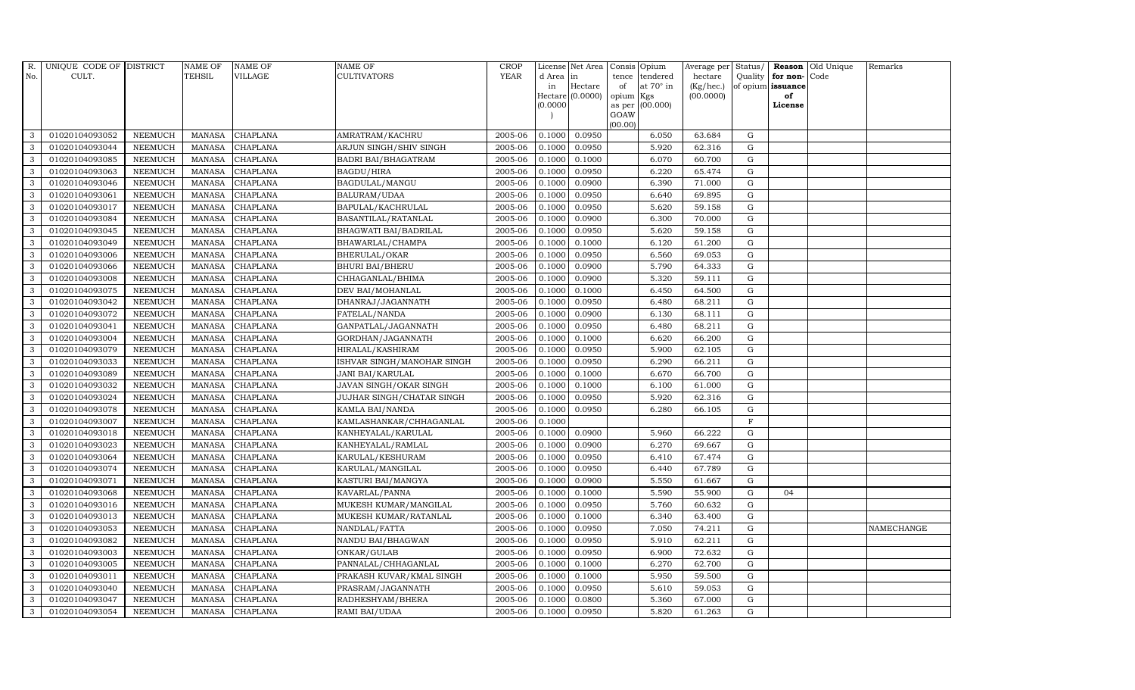| R.           | UNIQUE CODE OF DISTRICT |                | <b>NAME OF</b> | <b>NAME OF</b>  | NAME OF                    | <b>CROP</b> |           | License Net Area |                 | Consis Opium     | Average per | Status/      |                   | Reason Old Unique | Remarks    |
|--------------|-------------------------|----------------|----------------|-----------------|----------------------------|-------------|-----------|------------------|-----------------|------------------|-------------|--------------|-------------------|-------------------|------------|
| No.          | CULT.                   |                | <b>TEHSIL</b>  | VILLAGE         | CULTIVATORS                | <b>YEAR</b> | d Area in |                  | tence           | tendered         | hectare     | Quality      | for non-Code      |                   |            |
|              |                         |                |                |                 |                            |             | in        | Hectare          | of              | at $70^\circ$ in | (Kg/hec.)   |              | of opium issuance |                   |            |
|              |                         |                |                |                 |                            |             | (0.0000)  | Hectare (0.0000) | opium<br>as per | Kgs<br>(00.000)  | (00.0000)   |              | of<br>License     |                   |            |
|              |                         |                |                |                 |                            |             |           |                  | GOAW            |                  |             |              |                   |                   |            |
|              |                         |                |                |                 |                            |             |           |                  | (00.00)         |                  |             |              |                   |                   |            |
| 3            | 01020104093052          | <b>NEEMUCH</b> | MANASA         | <b>CHAPLANA</b> | AMRATRAM/KACHRU            | 2005-06     | 0.1000    | 0.0950           |                 | 6.050            | 63.684      | G            |                   |                   |            |
| 3            | 01020104093044          | <b>NEEMUCH</b> | <b>MANASA</b>  | <b>CHAPLANA</b> | ARJUN SINGH/SHIV SINGH     | 2005-06     | 0.1000    | 0.0950           |                 | 5.920            | 62.316      | $\mathbf G$  |                   |                   |            |
| 3            | 01020104093085          | <b>NEEMUCH</b> | <b>MANASA</b>  | <b>CHAPLANA</b> | <b>BADRI BAI/BHAGATRAM</b> | 2005-06     | 0.1000    | 0.1000           |                 | 6.070            | 60.700      | G            |                   |                   |            |
| 3            | 01020104093063          | <b>NEEMUCH</b> | <b>MANASA</b>  | <b>CHAPLANA</b> | BAGDU/HIRA                 | 2005-06     | 0.1000    | 0.0950           |                 | 6.220            | 65.474      | ${\rm G}$    |                   |                   |            |
| 3            | 01020104093046          | <b>NEEMUCH</b> | <b>MANASA</b>  | <b>CHAPLANA</b> | BAGDULAL/MANGU             | 2005-06     | 0.1000    | 0.0900           |                 | 6.390            | 71.000      | ${\rm G}$    |                   |                   |            |
| $\mathbf{3}$ | 01020104093061          | <b>NEEMUCH</b> | <b>MANASA</b>  | CHAPLANA        | BALURAM/UDAA               | 2005-06     | 0.1000    | 0.0950           |                 | 6.640            | 69.895      | G            |                   |                   |            |
| 3            | 01020104093017          | <b>NEEMUCH</b> | <b>MANASA</b>  | <b>CHAPLANA</b> | BAPULAL/KACHRULAL          | 2005-06     | 0.1000    | 0.0950           |                 | 5.620            | 59.158      | $\mathbf G$  |                   |                   |            |
| 3            | 01020104093084          | <b>NEEMUCH</b> | <b>MANASA</b>  | <b>CHAPLANA</b> | BASANTILAL/RATANLAL        | 2005-06     | 0.1000    | 0.0900           |                 | 6.300            | 70.000      | $\mathbf G$  |                   |                   |            |
| 3            | 01020104093045          | <b>NEEMUCH</b> | <b>MANASA</b>  | <b>CHAPLANA</b> | BHAGWATI BAI/BADRILAL      | 2005-06     | 0.1000    | 0.0950           |                 | 5.620            | 59.158      | G            |                   |                   |            |
| 3            | 01020104093049          | <b>NEEMUCH</b> | <b>MANASA</b>  | <b>CHAPLANA</b> | BHAWARLAL/CHAMPA           | 2005-06     | 0.1000    | 0.1000           |                 | 6.120            | 61.200      | G            |                   |                   |            |
| $\mathbf{3}$ | 01020104093006          | <b>NEEMUCH</b> | <b>MANASA</b>  | <b>CHAPLANA</b> | BHERULAL/OKAR              | 2005-06     | 0.1000    | 0.0950           |                 | 6.560            | 69.053      | ${\rm G}$    |                   |                   |            |
| 3            | 01020104093066          | <b>NEEMUCH</b> | <b>MANASA</b>  | <b>CHAPLANA</b> | <b>BHURI BAI/BHERU</b>     | 2005-06     | 0.1000    | 0.0900           |                 | 5.790            | 64.333      | $\mathbf G$  |                   |                   |            |
| $\mathbf{3}$ | 01020104093008          | <b>NEEMUCH</b> | <b>MANASA</b>  | <b>CHAPLANA</b> | CHHAGANLAL/BHIMA           | 2005-06     | 0.1000    | 0.0900           |                 | 5.320            | 59.111      | $\mathbf G$  |                   |                   |            |
| 3            | 01020104093075          | <b>NEEMUCH</b> | <b>MANASA</b>  | CHAPLANA        | DEV BAI/MOHANLAL           | 2005-06     | 0.1000    | 0.1000           |                 | 6.450            | 64.500      | G            |                   |                   |            |
| 3            | 01020104093042          | <b>NEEMUCH</b> | <b>MANASA</b>  | CHAPLANA        | DHANRAJ/JAGANNATH          | 2005-06     | 0.1000    | 0.0950           |                 | 6.480            | 68.211      | $\mathbf G$  |                   |                   |            |
| $\mathbf{3}$ | 01020104093072          | <b>NEEMUCH</b> | <b>MANASA</b>  | <b>CHAPLANA</b> | FATELAL/NANDA              | 2005-06     | 0.1000    | 0.0900           |                 | 6.130            | 68.111      | ${\rm G}$    |                   |                   |            |
| 3            | 01020104093041          | <b>NEEMUCH</b> | <b>MANASA</b>  | <b>CHAPLANA</b> | GANPATLAL/JAGANNATH        | 2005-06     | 0.1000    | 0.0950           |                 | 6.480            | 68.211      | G            |                   |                   |            |
| $\mathbf{3}$ | 01020104093004          | <b>NEEMUCH</b> | <b>MANASA</b>  | <b>CHAPLANA</b> | GORDHAN/JAGANNATH          | 2005-06     | 0.1000    | 0.1000           |                 | 6.620            | 66.200      | $\mathbf G$  |                   |                   |            |
| 3            | 01020104093079          | <b>NEEMUCH</b> | <b>MANASA</b>  | <b>CHAPLANA</b> | HIRALAL/KASHIRAM           | 2005-06     | 0.1000    | 0.0950           |                 | 5.900            | 62.105      | $\mathbf G$  |                   |                   |            |
| 3            | 01020104093033          | <b>NEEMUCH</b> | <b>MANASA</b>  | <b>CHAPLANA</b> | ISHVAR SINGH/MANOHAR SINGH | 2005-06     | 0.1000    | 0.0950           |                 | 6.290            | 66.211      | $\mathbf G$  |                   |                   |            |
| $\mathbf{3}$ | 01020104093089          | <b>NEEMUCH</b> | <b>MANASA</b>  | <b>CHAPLANA</b> | JANI BAI/KARULAL           | 2005-06     | 0.1000    | 0.1000           |                 | 6.670            | 66.700      | G            |                   |                   |            |
| 3            | 01020104093032          | <b>NEEMUCH</b> | <b>MANASA</b>  | CHAPLANA        | JAVAN SINGH/OKAR SINGH     | 2005-06     | 0.1000    | 0.1000           |                 | 6.100            | 61.000      | G            |                   |                   |            |
| $\mathbf{3}$ | 01020104093024          | <b>NEEMUCH</b> | <b>MANASA</b>  | CHAPLANA        | JUJHAR SINGH/CHATAR SINGH  | 2005-06     | 0.1000    | 0.0950           |                 | 5.920            | 62.316      | G            |                   |                   |            |
| 3            | 01020104093078          | <b>NEEMUCH</b> | <b>MANASA</b>  | <b>CHAPLANA</b> | KAMLA BAI/NANDA            | 2005-06     | 0.1000    | 0.0950           |                 | 6.280            | 66.105      | $\mathbf G$  |                   |                   |            |
| 3            | 01020104093007          | <b>NEEMUCH</b> | <b>MANASA</b>  | <b>CHAPLANA</b> | KAMLASHANKAR/CHHAGANLAL    | 2005-06     | 0.1000    |                  |                 |                  |             | $\mathbf{F}$ |                   |                   |            |
| 3            | 01020104093018          | <b>NEEMUCH</b> | <b>MANASA</b>  | CHAPLANA        | KANHEYALAL/KARULAL         | 2005-06     | 0.1000    | 0.0900           |                 | 5.960            | 66.222      | G            |                   |                   |            |
| 3            | 01020104093023          | <b>NEEMUCH</b> | <b>MANASA</b>  | CHAPLANA        | KANHEYALAL/RAMLAL          | 2005-06     | 0.1000    | 0.0900           |                 | 6.270            | 69.667      | G            |                   |                   |            |
| 3            | 01020104093064          | <b>NEEMUCH</b> | <b>MANASA</b>  | CHAPLANA        | KARULAL/KESHURAM           | 2005-06     | 0.1000    | 0.0950           |                 | 6.410            | 67.474      | G            |                   |                   |            |
| 3            | 01020104093074          | <b>NEEMUCH</b> | <b>MANASA</b>  | <b>CHAPLANA</b> | KARULAL/MANGILAL           | 2005-06     | 0.1000    | 0.0950           |                 | 6.440            | 67.789      | ${\rm G}$    |                   |                   |            |
| 3            | 01020104093071          | <b>NEEMUCH</b> | <b>MANASA</b>  | <b>CHAPLANA</b> | KASTURI BAI/MANGYA         | 2005-06     | 0.1000    | 0.0900           |                 | 5.550            | 61.667      | $\mathbf G$  |                   |                   |            |
| 3            | 01020104093068          | <b>NEEMUCH</b> | <b>MANASA</b>  | CHAPLANA        | KAVARLAL/PANNA             | 2005-06     | 0.1000    | 0.1000           |                 | 5.590            | 55.900      | G            | 04                |                   |            |
| 3            | 01020104093016          | <b>NEEMUCH</b> | <b>MANASA</b>  | <b>CHAPLANA</b> | MUKESH KUMAR/MANGILAL      | 2005-06     | 0.1000    | 0.0950           |                 | 5.760            | 60.632      | G            |                   |                   |            |
| 3            | 01020104093013          | NEEMUCH        | <b>MANASA</b>  | CHAPLANA        | MUKESH KUMAR/RATANLAL      | 2005-06     | 0.1000    | 0.1000           |                 | 6.340            | 63.400      | $\mathbf G$  |                   |                   |            |
| 3            | 01020104093053          | <b>NEEMUCH</b> | <b>MANASA</b>  | CHAPLANA        | NANDLAL/FATTA              | 2005-06     | 0.1000    | 0.0950           |                 | 7.050            | 74.211      | $\mathbf G$  |                   |                   | NAMECHANGE |
| 3            | 01020104093082          | <b>NEEMUCH</b> | <b>MANASA</b>  | CHAPLANA        | NANDU BAI/BHAGWAN          | 2005-06     | 0.1000    | 0.0950           |                 | 5.910            | 62.211      | $\mathbf G$  |                   |                   |            |
| 3            | 01020104093003          | <b>NEEMUCH</b> | <b>MANASA</b>  | CHAPLANA        | ONKAR/GULAB                | 2005-06     | 0.1000    | 0.0950           |                 | 6.900            | 72.632      | ${\rm G}$    |                   |                   |            |
| $\mathbf{3}$ | 01020104093005          | <b>NEEMUCH</b> | <b>MANASA</b>  | CHAPLANA        | PANNALAL/CHHAGANLAL        | 2005-06     | 0.1000    | 0.1000           |                 | 6.270            | 62.700      | ${\rm G}$    |                   |                   |            |
| 3            | 01020104093011          | <b>NEEMUCH</b> | <b>MANASA</b>  | CHAPLANA        | PRAKASH KUVAR/KMAL SINGH   | 2005-06     | 0.1000    | 0.1000           |                 | 5.950            | 59.500      | G            |                   |                   |            |
| 3            | 01020104093040          | <b>NEEMUCH</b> | <b>MANASA</b>  | <b>CHAPLANA</b> | PRASRAM/JAGANNATH          | 2005-06     | 0.1000    | 0.0950           |                 | 5.610            | 59.053      | $\mathbf G$  |                   |                   |            |
| 3            | 01020104093047          | <b>NEEMUCH</b> | <b>MANASA</b>  | CHAPLANA        | RADHESHYAM/BHERA           | 2005-06     | 0.1000    | 0.0800           |                 | 5.360            | 67.000      | $\mathbf G$  |                   |                   |            |
| 3            | 01020104093054          | <b>NEEMUCH</b> | MANASA         | <b>CHAPLANA</b> | RAMI BAI/UDAA              | 2005-06     | 0.1000    | 0.0950           |                 | 5.820            | 61.263      | G            |                   |                   |            |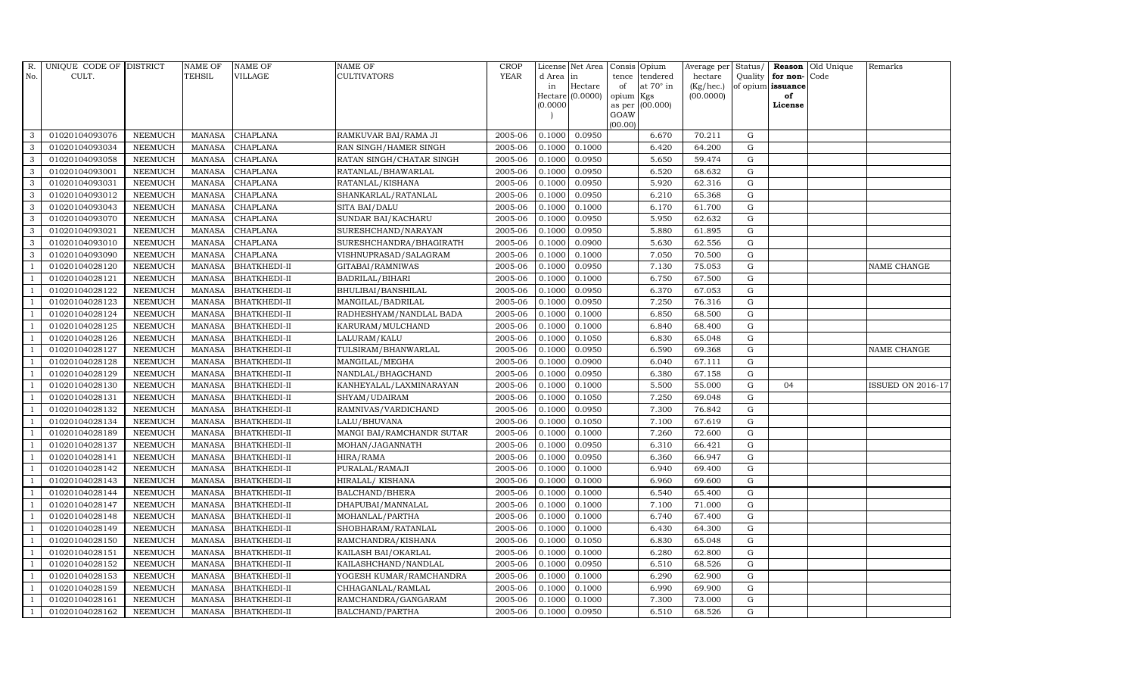| R.             | UNIQUE CODE OF DISTRICT |                | <b>NAME OF</b> | <b>NAME OF</b>      | NAME OF                   | <b>CROP</b> |           | License Net Area |         | Consis Opium           | Average per | Status/     |                   | Reason Old Unique | Remarks                  |
|----------------|-------------------------|----------------|----------------|---------------------|---------------------------|-------------|-----------|------------------|---------|------------------------|-------------|-------------|-------------------|-------------------|--------------------------|
| No.            | CULT.                   |                | TEHSIL         | VILLAGE             | CULTIVATORS               | <b>YEAR</b> | d Area in |                  | tence   | tendered               | hectare     | Quality     | for non-Code      |                   |                          |
|                |                         |                |                |                     |                           |             | in        | Hectare          | of      | at $70^\circ$ in       | (Kg/hec.)   |             | of opium issuance |                   |                          |
|                |                         |                |                |                     |                           |             | (0.0000)  | Hectare (0.0000) | opium   | Kgs<br>as per (00.000) | (00.0000)   |             | of<br>License     |                   |                          |
|                |                         |                |                |                     |                           |             |           |                  | GOAW    |                        |             |             |                   |                   |                          |
|                |                         |                |                |                     |                           |             |           |                  | (00.00) |                        |             |             |                   |                   |                          |
| 3              | 01020104093076          | <b>NEEMUCH</b> | MANASA         | <b>CHAPLANA</b>     | RAMKUVAR BAI/RAMA JI      | 2005-06     | 0.1000    | 0.0950           |         | 6.670                  | 70.211      | G           |                   |                   |                          |
| 3              | 01020104093034          | <b>NEEMUCH</b> | <b>MANASA</b>  | <b>CHAPLANA</b>     | RAN SINGH/HAMER SINGH     | 2005-06     | 0.1000    | 0.1000           |         | 6.420                  | 64.200      | $\mathbf G$ |                   |                   |                          |
| 3              | 01020104093058          | <b>NEEMUCH</b> | <b>MANASA</b>  | <b>CHAPLANA</b>     | RATAN SINGH/CHATAR SINGH  | 2005-06     | 0.1000    | 0.0950           |         | 5.650                  | 59.474      | G           |                   |                   |                          |
| 3              | 01020104093001          | <b>NEEMUCH</b> | <b>MANASA</b>  | <b>CHAPLANA</b>     | RATANLAL/BHAWARLAL        | 2005-06     | 0.1000    | 0.0950           |         | 6.520                  | 68.632      | ${\rm G}$   |                   |                   |                          |
| 3              | 01020104093031          | <b>NEEMUCH</b> | <b>MANASA</b>  | <b>CHAPLANA</b>     | RATANLAL/KISHANA          | 2005-06     | 0.1000    | 0.0950           |         | 5.920                  | 62.316      | ${\rm G}$   |                   |                   |                          |
| $\mathbf{3}$   | 01020104093012          | NEEMUCH        | <b>MANASA</b>  | CHAPLANA            | SHANKARLAL/RATANLAL       | 2005-06     | 0.1000    | 0.0950           |         | 6.210                  | 65.368      | G           |                   |                   |                          |
| $\mathbf{3}$   | 01020104093043          | <b>NEEMUCH</b> | <b>MANASA</b>  | <b>CHAPLANA</b>     | SITA BAI/DALU             | 2005-06     | 0.1000    | 0.1000           |         | 6.170                  | 61.700      | $\mathbf G$ |                   |                   |                          |
| 3              | 01020104093070          | <b>NEEMUCH</b> | <b>MANASA</b>  | CHAPLANA            | SUNDAR BAI/KACHARU        | 2005-06     | 0.1000    | 0.0950           |         | 5.950                  | 62.632      | $\mathbf G$ |                   |                   |                          |
| 3              | 01020104093021          | <b>NEEMUCH</b> | <b>MANASA</b>  | <b>CHAPLANA</b>     | SURESHCHAND/NARAYAN       | 2005-06     | 0.1000    | 0.0950           |         | 5.880                  | 61.895      | G           |                   |                   |                          |
| 3              | 01020104093010          | <b>NEEMUCH</b> | <b>MANASA</b>  | <b>CHAPLANA</b>     | SURESHCHANDRA/BHAGIRATH   | 2005-06     | 0.1000    | 0.0900           |         | 5.630                  | 62.556      | G           |                   |                   |                          |
| $\mathbf{3}$   | 01020104093090          | <b>NEEMUCH</b> | <b>MANASA</b>  | CHAPLANA            | VISHNUPRASAD/SALAGRAM     | 2005-06     | 0.1000    | 0.1000           |         | 7.050                  | 70.500      | ${\rm G}$   |                   |                   |                          |
| $\overline{1}$ | 01020104028120          | <b>NEEMUCH</b> | <b>MANASA</b>  | <b>BHATKHEDI-II</b> | GITABAI/RAMNIWAS          | 2005-06     | 0.1000    | 0.0950           |         | 7.130                  | 75.053      | $\mathbf G$ |                   |                   | <b>NAME CHANGE</b>       |
| 1              | 01020104028121          | <b>NEEMUCH</b> | <b>MANASA</b>  | <b>BHATKHEDI-II</b> | BADRILAL/BIHARI           | 2005-06     | 0.1000    | 0.1000           |         | 6.750                  | 67.500      | $\mathbf G$ |                   |                   |                          |
|                | 01020104028122          | <b>NEEMUCH</b> | <b>MANASA</b>  | <b>BHATKHEDI-II</b> | BHULIBAI/BANSHILAL        | 2005-06     | 0.1000    | 0.0950           |         | 6.370                  | 67.053      | G           |                   |                   |                          |
| $\overline{1}$ | 01020104028123          | <b>NEEMUCH</b> | <b>MANASA</b>  | <b>BHATKHEDI-II</b> | MANGILAL/BADRILAL         | 2005-06     | 0.1000    | 0.0950           |         | 7.250                  | 76.316      | ${\rm G}$   |                   |                   |                          |
| $\overline{1}$ | 01020104028124          | <b>NEEMUCH</b> | <b>MANASA</b>  | <b>BHATKHEDI-II</b> | RADHESHYAM/NANDLAL BADA   | 2005-06     | 0.1000    | 0.1000           |         | 6.850                  | 68.500      | ${\rm G}$   |                   |                   |                          |
| $\overline{1}$ | 01020104028125          | <b>NEEMUCH</b> | <b>MANASA</b>  | <b>BHATKHEDI-II</b> | KARURAM/MULCHAND          | 2005-06     | 0.1000    | 0.1000           |         | 6.840                  | 68.400      | G           |                   |                   |                          |
| $\overline{1}$ | 01020104028126          | <b>NEEMUCH</b> | <b>MANASA</b>  | <b>BHATKHEDI-II</b> | LALURAM/KALU              | 2005-06     | 0.1000    | 0.1050           |         | 6.830                  | 65.048      | $\mathbf G$ |                   |                   |                          |
| $\overline{1}$ | 01020104028127          | <b>NEEMUCH</b> | <b>MANASA</b>  | <b>BHATKHEDI-II</b> | TULSIRAM/BHANWARLAL       | 2005-06     | 0.1000    | 0.0950           |         | 6.590                  | 69.368      | $\mathbf G$ |                   |                   | NAME CHANGE              |
| $\overline{1}$ | 01020104028128          | <b>NEEMUCH</b> | <b>MANASA</b>  | <b>BHATKHEDI-II</b> | MANGILAL/MEGHA            | 2005-06     | 0.1000    | 0.0900           |         | 6.040                  | 67.111      | $\mathbf G$ |                   |                   |                          |
| $\overline{1}$ | 01020104028129          | <b>NEEMUCH</b> | <b>MANASA</b>  | <b>BHATKHEDI-II</b> | NANDLAL/BHAGCHAND         | 2005-06     | 0.1000    | 0.0950           |         | 6.380                  | 67.158      | G           |                   |                   |                          |
| $\overline{1}$ | 01020104028130          | <b>NEEMUCH</b> | <b>MANASA</b>  | <b>BHATKHEDI-II</b> | KANHEYALAL/LAXMINARAYAN   | 2005-06     | 0.1000    | 0.1000           |         | 5.500                  | 55.000      | ${\rm G}$   | 04                |                   | <b>ISSUED ON 2016-17</b> |
| $\overline{1}$ | 01020104028131          | <b>NEEMUCH</b> | MANASA         | <b>BHATKHEDI-II</b> | SHYAM/UDAIRAM             | 2005-06     | 0.1000    | 0.1050           |         | 7.250                  | 69.048      | G           |                   |                   |                          |
| $\overline{1}$ | 01020104028132          | <b>NEEMUCH</b> | <b>MANASA</b>  | <b>BHATKHEDI-II</b> | RAMNIVAS/VARDICHAND       | 2005-06     | 0.1000    | 0.0950           |         | 7.300                  | 76.842      | $\mathbf G$ |                   |                   |                          |
| $\overline{1}$ | 01020104028134          | <b>NEEMUCH</b> | <b>MANASA</b>  | BHATKHEDI-II        | LALU/BHUVANA              | 2005-06     | 0.1000    | 0.1050           |         | 7.100                  | 67.619      | G           |                   |                   |                          |
| -1             | 01020104028189          | <b>NEEMUCH</b> | <b>MANASA</b>  | <b>BHATKHEDI-II</b> | MANGI BAI/RAMCHANDR SUTAR | 2005-06     | 0.1000    | 0.1000           |         | 7.260                  | 72.600      | G           |                   |                   |                          |
| $\overline{1}$ | 01020104028137          | <b>NEEMUCH</b> | <b>MANASA</b>  | <b>BHATKHEDI-II</b> | MOHAN/JAGANNATH           | 2005-06     | 0.1000    | 0.0950           |         | 6.310                  | 66.421      | G           |                   |                   |                          |
| $\overline{1}$ | 01020104028141          | <b>NEEMUCH</b> | <b>MANASA</b>  | <b>BHATKHEDI-II</b> | HIRA/RAMA                 | 2005-06     | 0.1000    | 0.0950           |         | 6.360                  | 66.947      | G           |                   |                   |                          |
| $\overline{1}$ | 01020104028142          | <b>NEEMUCH</b> | <b>MANASA</b>  | <b>BHATKHEDI-II</b> | PURALAL/RAMAJI            | 2005-06     | 0.1000    | 0.1000           |         | 6.940                  | 69.400      | $\mathbf G$ |                   |                   |                          |
|                | 01020104028143          | <b>NEEMUCH</b> | <b>MANASA</b>  | BHATKHEDI-II        | HIRALAL/KISHANA           | 2005-06     | 0.1000    | 0.1000           |         | 6.960                  | 69.600      | $\mathbf G$ |                   |                   |                          |
| $\overline{1}$ | 01020104028144          | <b>NEEMUCH</b> | <b>MANASA</b>  | <b>BHATKHEDI-II</b> | <b>BALCHAND/BHERA</b>     | 2005-06     | 0.1000    | 0.1000           |         | 6.540                  | 65.400      | G           |                   |                   |                          |
| -1             | 01020104028147          | <b>NEEMUCH</b> | <b>MANASA</b>  | <b>BHATKHEDI-II</b> | DHAPUBAI/MANNALAL         | 2005-06     | 0.1000    | 0.1000           |         | 7.100                  | 71.000      | ${\rm G}$   |                   |                   |                          |
| $\overline{1}$ | 01020104028148          | <b>NEEMUCH</b> | <b>MANASA</b>  | <b>BHATKHEDI-II</b> | MOHANLAL/PARTHA           | 2005-06     | 0.1000    | 0.1000           |         | 6.740                  | 67.400      | $\mathbf G$ |                   |                   |                          |
| $\overline{1}$ | 01020104028149          | <b>NEEMUCH</b> | <b>MANASA</b>  | <b>BHATKHEDI-II</b> | SHOBHARAM / RATANLAL      | 2005-06     | 0.1000    | 0.1000           |         | 6.430                  | 64.300      | $\mathbf G$ |                   |                   |                          |
|                | 01020104028150          | <b>NEEMUCH</b> | <b>MANASA</b>  | BHATKHEDI-II        | RAMCHANDRA/KISHANA        | 2005-06     | 0.1000    | 0.1050           |         | 6.830                  | 65.048      | $\mathbf G$ |                   |                   |                          |
| $\overline{1}$ | 01020104028151          | <b>NEEMUCH</b> | <b>MANASA</b>  | <b>BHATKHEDI-II</b> | KAILASH BAI/OKARLAL       | 2005-06     | 0.1000    | 0.1000           |         | 6.280                  | 62.800      | ${\rm G}$   |                   |                   |                          |
| $\overline{1}$ | 01020104028152          | <b>NEEMUCH</b> | <b>MANASA</b>  | <b>BHATKHEDI-II</b> | KAILASHCHAND/NANDLAL      | 2005-06     | 0.1000    | 0.0950           |         | 6.510                  | 68.526      | ${\rm G}$   |                   |                   |                          |
| $\mathbf{1}$   | 01020104028153          | <b>NEEMUCH</b> | <b>MANASA</b>  | BHATKHEDI-II        | YOGESH KUMAR/RAMCHANDRA   | 2005-06     | 0.1000    | 0.1000           |         | 6.290                  | 62.900      | ${\rm G}$   |                   |                   |                          |
| $\overline{1}$ | 01020104028159          | <b>NEEMUCH</b> | <b>MANASA</b>  | <b>BHATKHEDI-II</b> | CHHAGANLAL/RAMLAL         | 2005-06     | 0.1000    | 0.1000           |         | 6.990                  | 69.900      | $\mathbf G$ |                   |                   |                          |
|                | 01020104028161          | <b>NEEMUCH</b> | <b>MANASA</b>  | <b>BHATKHEDI-II</b> | RAMCHANDRA/GANGARAM       | 2005-06     | 0.1000    | 0.1000           |         | 7.300                  | 73.000      | $\mathbf G$ |                   |                   |                          |
| $\mathbf{1}$   | 01020104028162          | <b>NEEMUCH</b> | MANASA         | <b>BHATKHEDI-II</b> | BALCHAND/PARTHA           | 2005-06     | 0.1000    | 0.0950           |         | 6.510                  | 68.526      | G           |                   |                   |                          |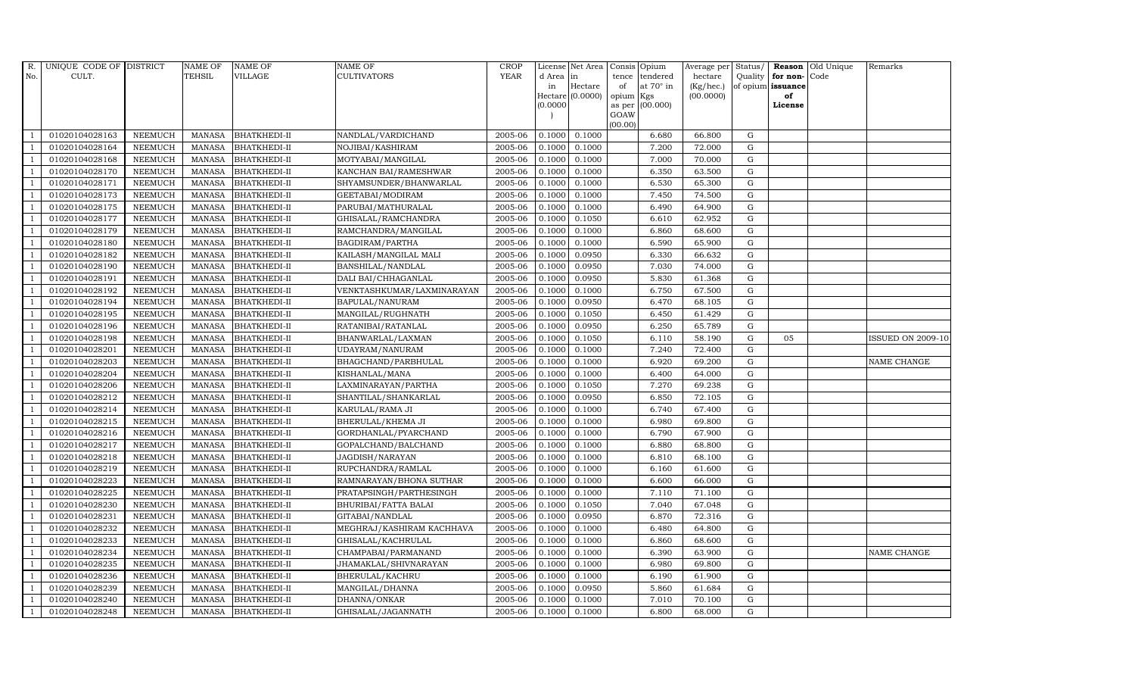| R.             | UNIQUE CODE OF DISTRICT |                | <b>NAME OF</b> | <b>NAME OF</b>      | <b>NAME OF</b>             | <b>CROP</b> |           | License Net Area |         | Consis Opium           | Average per | Status/     |                   | Reason Old Unique | Remarks                  |
|----------------|-------------------------|----------------|----------------|---------------------|----------------------------|-------------|-----------|------------------|---------|------------------------|-------------|-------------|-------------------|-------------------|--------------------------|
| No.            | CULT.                   |                | TEHSIL         | VILLAGE             | CULTIVATORS                | <b>YEAR</b> | d Area in |                  | tence   | tendered               | hectare     | Quality     | for non-Code      |                   |                          |
|                |                         |                |                |                     |                            |             | in        | Hectare          | of      | at $70^\circ$ in       | (Kg/hec.)   |             | of opium issuance |                   |                          |
|                |                         |                |                |                     |                            |             | (0.0000)  | Hectare (0.0000) | opium   | Kgs<br>as per (00.000) | (00.0000)   |             | of<br>License     |                   |                          |
|                |                         |                |                |                     |                            |             |           |                  | GOAW    |                        |             |             |                   |                   |                          |
|                |                         |                |                |                     |                            |             |           |                  | (00.00) |                        |             |             |                   |                   |                          |
|                | 01020104028163          | <b>NEEMUCH</b> | MANASA         | <b>BHATKHEDI-II</b> | NANDLAL/VARDICHAND         | 2005-06     | 0.1000    | 0.1000           |         | 6.680                  | 66.800      | G           |                   |                   |                          |
| -1             | 01020104028164          | <b>NEEMUCH</b> | MANASA         | <b>BHATKHEDI-II</b> | NOJIBAI/KASHIRAM           | 2005-06     | 0.1000    | 0.1000           |         | 7.200                  | 72.000      | $\mathbf G$ |                   |                   |                          |
|                | 01020104028168          | <b>NEEMUCH</b> | <b>MANASA</b>  | <b>BHATKHEDI-II</b> | MOTYABAI/MANGILAL          | 2005-06     | 0.1000    | 0.1000           |         | 7.000                  | 70.000      | G           |                   |                   |                          |
|                | 01020104028170          | <b>NEEMUCH</b> | MANASA         | <b>BHATKHEDI-II</b> | KANCHAN BAI/RAMESHWAR      | 2005-06     | 0.1000    | 0.1000           |         | 6.350                  | 63.500      | ${\rm G}$   |                   |                   |                          |
| $\overline{1}$ | 01020104028171          | <b>NEEMUCH</b> | <b>MANASA</b>  | <b>BHATKHEDI-II</b> | SHYAMSUNDER/BHANWARLAL     | 2005-06     | 0.1000    | 0.1000           |         | 6.530                  | 65.300      | ${\rm G}$   |                   |                   |                          |
| $\overline{1}$ | 01020104028173          | NEEMUCH        | <b>MANASA</b>  | <b>BHATKHEDI-II</b> | GEETABAI/MODIRAM           | 2005-06     | 0.1000    | 0.1000           |         | 7.450                  | 74.500      | G           |                   |                   |                          |
| $\overline{1}$ | 01020104028175          | <b>NEEMUCH</b> | MANASA         | <b>BHATKHEDI-II</b> | PARUBAI/MATHURALAL         | 2005-06     | 0.1000    | 0.1000           |         | 6.490                  | 64.900      | $\mathbf G$ |                   |                   |                          |
| $\overline{1}$ | 01020104028177          | <b>NEEMUCH</b> | <b>MANASA</b>  | <b>BHATKHEDI-II</b> | GHISALAL/RAMCHANDRA        | 2005-06     | 0.1000    | 0.1050           |         | 6.610                  | 62.952      | $\mathbf G$ |                   |                   |                          |
|                | 01020104028179          | <b>NEEMUCH</b> | <b>MANASA</b>  | <b>BHATKHEDI-II</b> | RAMCHANDRA/MANGILAL        | 2005-06     | 0.1000    | 0.1000           |         | 6.860                  | 68.600      | $\mathbf G$ |                   |                   |                          |
| $\overline{1}$ | 01020104028180          | <b>NEEMUCH</b> | <b>MANASA</b>  | <b>BHATKHEDI-II</b> | BAGDIRAM/PARTHA            | 2005-06     | 0.1000    | 0.1000           |         | 6.590                  | 65.900      | G           |                   |                   |                          |
| -1             | 01020104028182          | <b>NEEMUCH</b> | <b>MANASA</b>  | <b>BHATKHEDI-II</b> | KAILASH/MANGILAL MALI      | 2005-06     | 0.1000    | 0.0950           |         | 6.330                  | 66.632      | ${\rm G}$   |                   |                   |                          |
| $\overline{1}$ | 01020104028190          | <b>NEEMUCH</b> | <b>MANASA</b>  | <b>BHATKHEDI-II</b> | BANSHILAL/NANDLAL          | 2005-06     | 0.1000    | 0.0950           |         | 7.030                  | 74.000      | $\mathbf G$ |                   |                   |                          |
| $\overline{1}$ | 01020104028191          | <b>NEEMUCH</b> | <b>MANASA</b>  | <b>BHATKHEDI-II</b> | DALI BAI/CHHAGANLAL        | 2005-06     | 0.1000    | 0.0950           |         | 5.830                  | 61.368      | $\mathbf G$ |                   |                   |                          |
|                | 01020104028192          | <b>NEEMUCH</b> | <b>MANASA</b>  | <b>BHATKHEDI-II</b> | VENKTASHKUMAR/LAXMINARAYAN | 2005-06     | 0.1000    | 0.1000           |         | 6.750                  | 67.500      | G           |                   |                   |                          |
|                | 01020104028194          | <b>NEEMUCH</b> | <b>MANASA</b>  | <b>BHATKHEDI-II</b> | BAPULAL/NANURAM            | 2005-06     | 0.1000    | 0.0950           |         | 6.470                  | 68.105      | ${\rm G}$   |                   |                   |                          |
| $\overline{1}$ | 01020104028195          | <b>NEEMUCH</b> | <b>MANASA</b>  | <b>BHATKHEDI-II</b> | MANGILAL/RUGHNATH          | 2005-06     | 0.1000    | 0.1050           |         | 6.450                  | 61.429      | ${\rm G}$   |                   |                   |                          |
| $\overline{1}$ | 01020104028196          | <b>NEEMUCH</b> | <b>MANASA</b>  | <b>BHATKHEDI-II</b> | RATANIBAI/RATANLAL         | 2005-06     | 0.1000    | 0.0950           |         | 6.250                  | 65.789      | G           |                   |                   |                          |
| $\overline{1}$ | 01020104028198          | <b>NEEMUCH</b> | <b>MANASA</b>  | <b>BHATKHEDI-II</b> | BHANWARLAL/LAXMAN          | 2005-06     | 0.1000    | 0.1050           |         | 6.110                  | 58.190      | $\mathbf G$ | 05                |                   | <b>ISSUED ON 2009-10</b> |
|                | 01020104028201          | <b>NEEMUCH</b> | <b>MANASA</b>  | <b>BHATKHEDI-II</b> | UDAYRAM/NANURAM            | 2005-06     | 0.1000    | 0.1000           |         | 7.240                  | 72.400      | $\mathbf G$ |                   |                   |                          |
| $\overline{1}$ | 01020104028203          | <b>NEEMUCH</b> | <b>MANASA</b>  | BHATKHEDI-II        | BHAGCHAND/PARBHULAL        | 2005-06     | 0.1000    | 0.1000           |         | 6.920                  | 69.200      | $\mathbf G$ |                   |                   | NAME CHANGE              |
| $\overline{1}$ | 01020104028204          | <b>NEEMUCH</b> | <b>MANASA</b>  | <b>BHATKHEDI-II</b> | KISHANLAL/MANA             | 2005-06     | 0.1000    | 0.1000           |         | 6.400                  | 64.000      | G           |                   |                   |                          |
| $\overline{1}$ | 01020104028206          | <b>NEEMUCH</b> | <b>MANASA</b>  | <b>BHATKHEDI-II</b> | LAXMINARAYAN/PARTHA        | 2005-06     | 0.1000    | 0.1050           |         | 7.270                  | 69.238      | ${\rm G}$   |                   |                   |                          |
| $\overline{1}$ | 01020104028212          | <b>NEEMUCH</b> | MANASA         | BHATKHEDI-II        | SHANTILAL/SHANKARLAL       | 2005-06     | 0.1000    | 0.0950           |         | 6.850                  | 72.105      | G           |                   |                   |                          |
|                | 01020104028214          | <b>NEEMUCH</b> | <b>MANASA</b>  | <b>BHATKHEDI-II</b> | KARULAL/RAMA JI            | 2005-06     | 0.1000    | 0.1000           |         | 6.740                  | 67.400      | $\mathbf G$ |                   |                   |                          |
| $\overline{1}$ | 01020104028215          | <b>NEEMUCH</b> | <b>MANASA</b>  | BHATKHEDI-II        | BHERULAL/KHEMA JI          | 2005-06     | 0.1000    | 0.1000           |         | 6.980                  | 69.800      | G           |                   |                   |                          |
| -1             | 01020104028216          | <b>NEEMUCH</b> | <b>MANASA</b>  | <b>BHATKHEDI-II</b> | GORDHANLAL/PYARCHAND       | 2005-06     | 0.1000    | 0.1000           |         | 6.790                  | 67.900      | G           |                   |                   |                          |
| $\overline{1}$ | 01020104028217          | <b>NEEMUCH</b> | <b>MANASA</b>  | <b>BHATKHEDI-II</b> | GOPALCHAND/BALCHAND        | 2005-06     | 0.1000    | 0.1000           |         | 6.880                  | 68.800      | G           |                   |                   |                          |
| $\overline{1}$ | 01020104028218          | <b>NEEMUCH</b> | <b>MANASA</b>  | <b>BHATKHEDI-II</b> | JAGDISH/NARAYAN            | 2005-06     | 0.1000    | 0.1000           |         | 6.810                  | 68.100      | G           |                   |                   |                          |
| $\overline{1}$ | 01020104028219          | <b>NEEMUCH</b> | <b>MANASA</b>  | <b>BHATKHEDI-II</b> | RUPCHANDRA/RAMLAL          | 2005-06     | 0.1000    | 0.1000           |         | 6.160                  | 61.600      | $\mathbf G$ |                   |                   |                          |
|                | 01020104028223          | <b>NEEMUCH</b> | <b>MANASA</b>  | BHATKHEDI-II        | RAMNARAYAN/BHONA SUTHAR    | 2005-06     | 0.1000    | 0.1000           |         | 6.600                  | 66.000      | $\mathbf G$ |                   |                   |                          |
| $\overline{1}$ | 01020104028225          | <b>NEEMUCH</b> | <b>MANASA</b>  | <b>BHATKHEDI-II</b> | PRATAPSINGH/PARTHESINGH    | 2005-06     | 0.1000    | 0.1000           |         | 7.110                  | 71.100      | G           |                   |                   |                          |
| -1             | 01020104028230          | <b>NEEMUCH</b> | <b>MANASA</b>  | <b>BHATKHEDI-II</b> | BHURIBAI/FATTA BALAI       | 2005-06     | 0.1000    | 0.1050           |         | 7.040                  | 67.048      | ${\rm G}$   |                   |                   |                          |
| $\overline{1}$ | 01020104028231          | <b>NEEMUCH</b> | <b>MANASA</b>  | <b>BHATKHEDI-II</b> | GITABAI/NANDLAL            | 2005-06     | 0.1000    | 0.0950           |         | 6.870                  | 72.316      | $\mathbf G$ |                   |                   |                          |
| $\overline{1}$ | 01020104028232          | <b>NEEMUCH</b> | <b>MANASA</b>  | <b>BHATKHEDI-II</b> | MEGHRAJ/KASHIRAM KACHHAVA  | 2005-06     | 0.1000    | 0.1000           |         | 6.480                  | 64.800      | $\mathbf G$ |                   |                   |                          |
|                | 01020104028233          | <b>NEEMUCH</b> | <b>MANASA</b>  | BHATKHEDI-II        | GHISALAL/KACHRULAL         | 2005-06     | 0.1000    | 0.1000           |         | 6.860                  | 68.600      | $\mathbf G$ |                   |                   |                          |
| $\overline{1}$ | 01020104028234          | <b>NEEMUCH</b> | <b>MANASA</b>  | <b>BHATKHEDI-II</b> | CHAMPABAI/PARMANAND        | 2005-06     | 0.1000    | 0.1000           |         | 6.390                  | 63.900      | ${\rm G}$   |                   |                   | NAME CHANGE              |
| $\overline{1}$ | 01020104028235          | <b>NEEMUCH</b> | <b>MANASA</b>  | <b>BHATKHEDI-II</b> | JHAMAKLAL/SHIVNARAYAN      | 2005-06     | 0.1000    | 0.1000           |         | 6.980                  | 69.800      | ${\rm G}$   |                   |                   |                          |
| $\mathbf{1}$   | 01020104028236          | <b>NEEMUCH</b> | <b>MANASA</b>  | BHATKHEDI-II        | BHERULAL/KACHRU            | 2005-06     | 0.1000    | 0.1000           |         | 6.190                  | 61.900      | ${\rm G}$   |                   |                   |                          |
| $\overline{1}$ | 01020104028239          | <b>NEEMUCH</b> | <b>MANASA</b>  | <b>BHATKHEDI-II</b> | MANGILAL/DHANNA            | 2005-06     | 0.1000    | 0.0950           |         | 5.860                  | 61.684      | $\mathbf G$ |                   |                   |                          |
|                | 01020104028240          | <b>NEEMUCH</b> | <b>MANASA</b>  | <b>BHATKHEDI-II</b> | DHANNA/ONKAR               | 2005-06     | 0.1000    | 0.1000           |         | 7.010                  | 70.100      | $\mathbf G$ |                   |                   |                          |
| $\mathbf{1}$   | 01020104028248          | <b>NEEMUCH</b> | MANASA         | <b>BHATKHEDI-II</b> | GHISALAL/JAGANNATH         | 2005-06     | 0.1000    | 0.1000           |         | 6.800                  | 68.000      | G           |                   |                   |                          |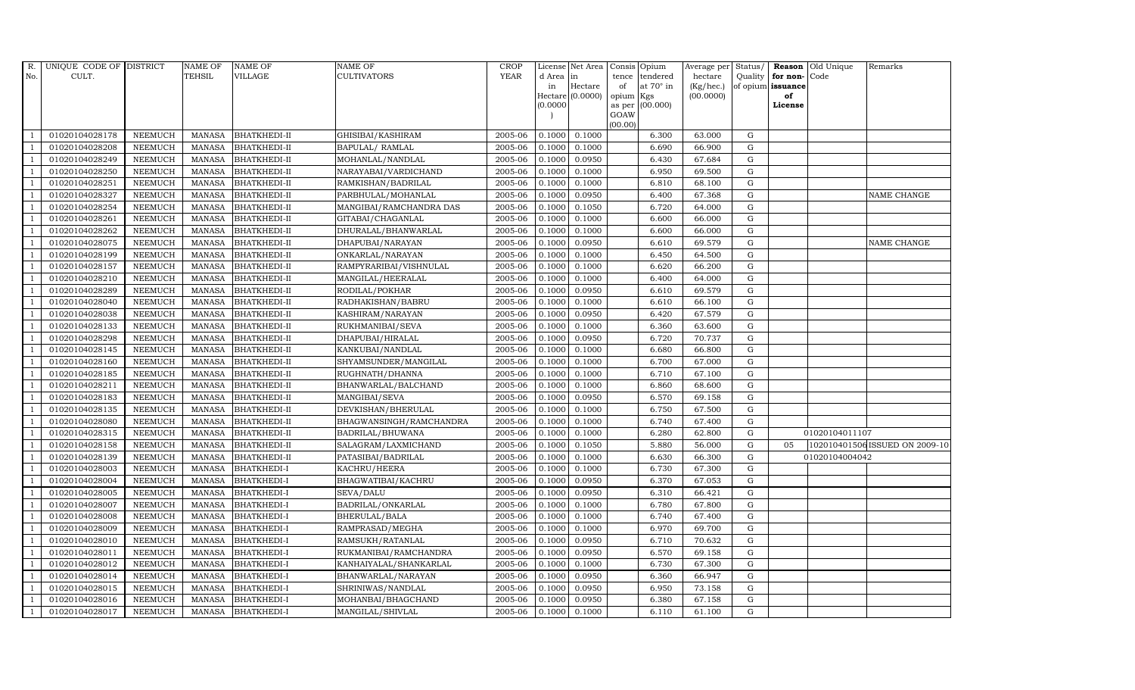| R.             | UNIQUE CODE OF DISTRICT |                | NAME OF       | <b>NAME OF</b>      | <b>NAME OF</b>          | CROP        |           | License Net Area |         | Consis Opium           | Average per | Status/     |                   | <b>Reason</b> Old Unique | Remarks                        |
|----------------|-------------------------|----------------|---------------|---------------------|-------------------------|-------------|-----------|------------------|---------|------------------------|-------------|-------------|-------------------|--------------------------|--------------------------------|
| No.            | CULT.                   |                | TEHSIL        | <b>VILLAGE</b>      | <b>CULTIVATORS</b>      | <b>YEAR</b> | d Area in |                  | tence   | tendered               | hectare     | Quality     | for non-          | Code                     |                                |
|                |                         |                |               |                     |                         |             | in        | Hectare          | of      | at $70^\circ$ in       | (Kg/hec.)   |             | of opium issuance |                          |                                |
|                |                         |                |               |                     |                         |             | (0.0000)  | Hectare (0.0000) | opium   | Kgs<br>as per (00.000) | (00.0000)   |             | of<br>License     |                          |                                |
|                |                         |                |               |                     |                         |             |           |                  | GOAW    |                        |             |             |                   |                          |                                |
|                |                         |                |               |                     |                         |             |           |                  | (00.00) |                        |             |             |                   |                          |                                |
|                | 01020104028178          | <b>NEEMUCH</b> | <b>MANASA</b> | <b>BHATKHEDI-II</b> | GHISIBAI/KASHIRAM       | 2005-06     | 0.1000    | 0.1000           |         | 6.300                  | 63.000      | G           |                   |                          |                                |
|                | 01020104028208          | <b>NEEMUCH</b> | MANASA        | <b>BHATKHEDI-II</b> | BAPULAL/ RAMLAL         | 2005-06     | 0.1000    | 0.1000           |         | 6.690                  | 66.900      | G           |                   |                          |                                |
| $\overline{1}$ | 01020104028249          | <b>NEEMUCH</b> | <b>MANASA</b> | <b>BHATKHEDI-II</b> | MOHANLAL/NANDLAL        | 2005-06     | 0.1000    | 0.0950           |         | 6.430                  | 67.684      | G           |                   |                          |                                |
|                | 01020104028250          | <b>NEEMUCH</b> | MANASA        | <b>BHATKHEDI-II</b> | NARAYABAI/VARDICHAND    | 2005-06     | 0.1000    | 0.1000           |         | 6.950                  | 69.500      | $\mathbf G$ |                   |                          |                                |
| $\overline{1}$ | 01020104028251          | <b>NEEMUCH</b> | MANASA        | <b>BHATKHEDI-II</b> | RAMKISHAN/BADRILAL      | 2005-06     | 0.1000    | 0.1000           |         | 6.810                  | 68.100      | G           |                   |                          |                                |
| $\overline{1}$ | 01020104028327          | <b>NEEMUCH</b> | <b>MANASA</b> | <b>BHATKHEDI-II</b> | PARBHULAL/MOHANLAL      | 2005-06     | 0.1000    | 0.0950           |         | 6.400                  | 67.368      | G           |                   |                          | NAME CHANGE                    |
| $\overline{1}$ | 01020104028254          | <b>NEEMUCH</b> | MANASA        | <b>BHATKHEDI-II</b> | MANGIBAI/RAMCHANDRA DAS | 2005-06     | 0.1000    | 0.1050           |         | 6.720                  | 64.000      | G           |                   |                          |                                |
| $\overline{1}$ | 01020104028261          | <b>NEEMUCH</b> | MANASA        | <b>BHATKHEDI-II</b> | GITABAI/CHAGANLAL       | 2005-06     | 0.1000    | 0.1000           |         | 6.600                  | 66.000      | G           |                   |                          |                                |
|                | 01020104028262          | <b>NEEMUCH</b> | <b>MANASA</b> | <b>BHATKHEDI-II</b> | DHURALAL/BHANWARLAL     | 2005-06     | 0.1000    | 0.1000           |         | 6.600                  | 66.000      | $\mathbf G$ |                   |                          |                                |
|                | 01020104028075          | <b>NEEMUCH</b> | MANASA        | <b>BHATKHEDI-II</b> | DHAPUBAI/NARAYAN        | 2005-06     | 0.1000    | 0.0950           |         | 6.610                  | 69.579      | ${\rm G}$   |                   |                          | NAME CHANGE                    |
| -1             | 01020104028199          | <b>NEEMUCH</b> | <b>MANASA</b> | <b>BHATKHEDI-II</b> | ONKARLAL/NARAYAN        | 2005-06     | 0.1000    | 0.1000           |         | 6.450                  | 64.500      | G           |                   |                          |                                |
| $\overline{1}$ | 01020104028157          | <b>NEEMUCH</b> | MANASA        | <b>BHATKHEDI-II</b> | RAMPYRARIBAI/VISHNULAL  | 2005-06     | 0.1000    | 0.1000           |         | 6.620                  | 66.200      | G           |                   |                          |                                |
| $\overline{1}$ | 01020104028210          | <b>NEEMUCH</b> | MANASA        | <b>BHATKHEDI-II</b> | MANGILAL/HEERALAL       | 2005-06     | 0.1000    | 0.1000           |         | 6.400                  | 64.000      | G           |                   |                          |                                |
|                | 01020104028289          | <b>NEEMUCH</b> | <b>MANASA</b> | <b>BHATKHEDI-II</b> | RODILAL/POKHAR          | 2005-06     | 0.1000    | 0.0950           |         | 6.610                  | 69.579      | $\mathbf G$ |                   |                          |                                |
|                | 01020104028040          | <b>NEEMUCH</b> | <b>MANASA</b> | <b>BHATKHEDI-II</b> | RADHAKISHAN/BABRU       | 2005-06     | 0.1000    | 0.1000           |         | 6.610                  | 66.100      | ${\rm G}$   |                   |                          |                                |
| $\overline{1}$ | 01020104028038          | <b>NEEMUCH</b> | <b>MANASA</b> | <b>BHATKHEDI-II</b> | KASHIRAM/NARAYAN        | 2005-06     | 0.1000    | 0.0950           |         | 6.420                  | 67.579      | G           |                   |                          |                                |
| -1             | 01020104028133          | <b>NEEMUCH</b> | MANASA        | <b>BHATKHEDI-II</b> | RUKHMANIBAI/SEVA        | 2005-06     | 0.1000    | 0.1000           |         | 6.360                  | 63.600      | G           |                   |                          |                                |
| $\overline{1}$ | 01020104028298          | <b>NEEMUCH</b> | MANASA        | <b>BHATKHEDI-II</b> | DHAPUBAI/HIRALAL        | 2005-06     | 0.1000    | 0.0950           |         | 6.720                  | 70.737      | G           |                   |                          |                                |
|                | 01020104028145          | <b>NEEMUCH</b> | <b>MANASA</b> | <b>BHATKHEDI-II</b> | KANKUBAI/NANDLAL        | 2005-06     | 0.1000    | 0.1000           |         | 6.680                  | 66.800      | G           |                   |                          |                                |
|                | 01020104028160          | <b>NEEMUCH</b> | <b>MANASA</b> | <b>BHATKHEDI-II</b> | SHYAMSUNDER/MANGILAL    | 2005-06     | 0.1000    | 0.1000           |         | 6.700                  | 67.000      | ${\rm G}$   |                   |                          |                                |
| $\overline{1}$ | 01020104028185          | <b>NEEMUCH</b> | MANASA        | <b>BHATKHEDI-II</b> | RUGHNATH/DHANNA         | 2005-06     | 0.1000    | 0.1000           |         | 6.710                  | 67.100      | G           |                   |                          |                                |
|                | 01020104028211          | <b>NEEMUCH</b> | <b>MANASA</b> | <b>BHATKHEDI-II</b> | BHANWARLAL/BALCHAND     | 2005-06     | 0.1000    | 0.1000           |         | 6.860                  | 68.600      | G           |                   |                          |                                |
| $\overline{1}$ | 01020104028183          | <b>NEEMUCH</b> | <b>MANASA</b> | <b>BHATKHEDI-II</b> | MANGIBAI/SEVA           | 2005-06     | 0.1000    | 0.0950           |         | 6.570                  | 69.158      | G           |                   |                          |                                |
|                | 01020104028135          | <b>NEEMUCH</b> | <b>MANASA</b> | <b>BHATKHEDI-II</b> | DEVKISHAN/BHERULAL      | 2005-06     | 0.1000    | 0.1000           |         | 6.750                  | 67.500      | G           |                   |                          |                                |
|                | 01020104028080          | <b>NEEMUCH</b> | <b>MANASA</b> | <b>BHATKHEDI-II</b> | BHAGWANSINGH/RAMCHANDRA | 2005-06     | 0.1000    | 0.1000           |         | 6.740                  | 67.400      | G           |                   |                          |                                |
| $\overline{1}$ | 01020104028315          | <b>NEEMUCH</b> | <b>MANASA</b> | <b>BHATKHEDI-II</b> | BADRILAL/BHUWANA        | 2005-06     | 0.1000    | 0.1000           |         | 6.280                  | 62.800      | G           |                   | 01020104011107           |                                |
| -1             | 01020104028158          | <b>NEEMUCH</b> | <b>MANASA</b> | <b>BHATKHEDI-II</b> | SALAGRAM/LAXMICHAND     | 2005-06     | 0.1000    | 0.1050           |         | 5.880                  | 56.000      | G           | 05                |                          | 102010401506 ISSUED ON 2009-10 |
| $\overline{1}$ | 01020104028139          | <b>NEEMUCH</b> | MANASA        | <b>BHATKHEDI-II</b> | PATASIBAI/BADRILAL      | 2005-06     | 0.1000    | 0.1000           |         | 6.630                  | 66.300      | ${\rm G}$   |                   | 01020104004042           |                                |
| $\overline{1}$ | 01020104028003          | <b>NEEMUCH</b> | <b>MANASA</b> | <b>BHATKHEDI-I</b>  | KACHRU/HEERA            | 2005-06     | 0.1000    | 0.1000           |         | 6.730                  | 67.300      | $\mathbf G$ |                   |                          |                                |
|                | 01020104028004          | <b>NEEMUCH</b> | <b>MANASA</b> | <b>BHATKHEDI-I</b>  | BHAGWATIBAI/KACHRU      | 2005-06     | 0.1000    | 0.0950           |         | 6.370                  | 67.053      | G           |                   |                          |                                |
|                | 01020104028005          | <b>NEEMUCH</b> | MANASA        | <b>BHATKHEDI-I</b>  | SEVA/DALU               | 2005-06     | 0.1000    | 0.0950           |         | 6.310                  | 66.421      | G           |                   |                          |                                |
|                | 01020104028007          | <b>NEEMUCH</b> | <b>MANASA</b> | <b>BHATKHEDI-I</b>  | BADRILAL/ONKARLAL       | 2005-06     | 0.1000    | 0.1000           |         | 6.780                  | 67.800      | G           |                   |                          |                                |
| $\overline{1}$ | 01020104028008          | <b>NEEMUCH</b> | MANASA        | <b>BHATKHEDI-I</b>  | BHERULAL/BALA           | 2005-06     | 0.1000    | 0.1000           |         | 6.740                  | 67.400      | G           |                   |                          |                                |
| $\overline{1}$ | 01020104028009          | <b>NEEMUCH</b> | <b>MANASA</b> | <b>BHATKHEDI-I</b>  | RAMPRASAD/MEGHA         | 2005-06     | 0.1000    | 0.1000           |         | 6.970                  | 69.700      | $\mathbf G$ |                   |                          |                                |
|                | 01020104028010          | <b>NEEMUCH</b> | <b>MANASA</b> | <b>BHATKHEDI-I</b>  | RAMSUKH/RATANLAL        | 2005-06     | 0.1000    | 0.0950           |         | 6.710                  | 70.632      | $\mathbf G$ |                   |                          |                                |
| $\overline{1}$ | 01020104028011          | <b>NEEMUCH</b> | <b>MANASA</b> | <b>BHATKHEDI-I</b>  | RUKMANIBAI/RAMCHANDRA   | 2005-06     | 0.1000    | 0.0950           |         | 6.570                  | 69.158      | G           |                   |                          |                                |
| $\overline{1}$ | 01020104028012          | <b>NEEMUCH</b> | <b>MANASA</b> | <b>BHATKHEDI-I</b>  | KANHAIYALAL/SHANKARLAL  | 2005-06     | 0.1000    | 0.1000           |         | 6.730                  | 67.300      | G           |                   |                          |                                |
| $\overline{1}$ | 01020104028014          | <b>NEEMUCH</b> | <b>MANASA</b> | <b>BHATKHEDI-I</b>  | BHANWARLAL/NARAYAN      | 2005-06     | 0.1000    | 0.0950           |         | 6.360                  | 66.947      | G           |                   |                          |                                |
| $\overline{1}$ | 01020104028015          | <b>NEEMUCH</b> | <b>MANASA</b> | <b>BHATKHEDI-I</b>  | SHRINIWAS/NANDLAL       | 2005-06     | 0.1000    | 0.0950           |         | 6.950                  | 73.158      | G           |                   |                          |                                |
|                | 01020104028016          | <b>NEEMUCH</b> | <b>MANASA</b> | <b>BHATKHEDI-I</b>  | MOHANBAI/BHAGCHAND      | 2005-06     | 0.1000    | 0.0950           |         | 6.380                  | 67.158      | $\mathbf G$ |                   |                          |                                |
| $\mathbf{1}$   | 01020104028017          | <b>NEEMUCH</b> |               | MANASA BHATKHEDI-I  | MANGILAL/SHIVLAL        | 2005-06     | 0.1000    | 0.1000           |         | 6.110                  | 61.100      | G           |                   |                          |                                |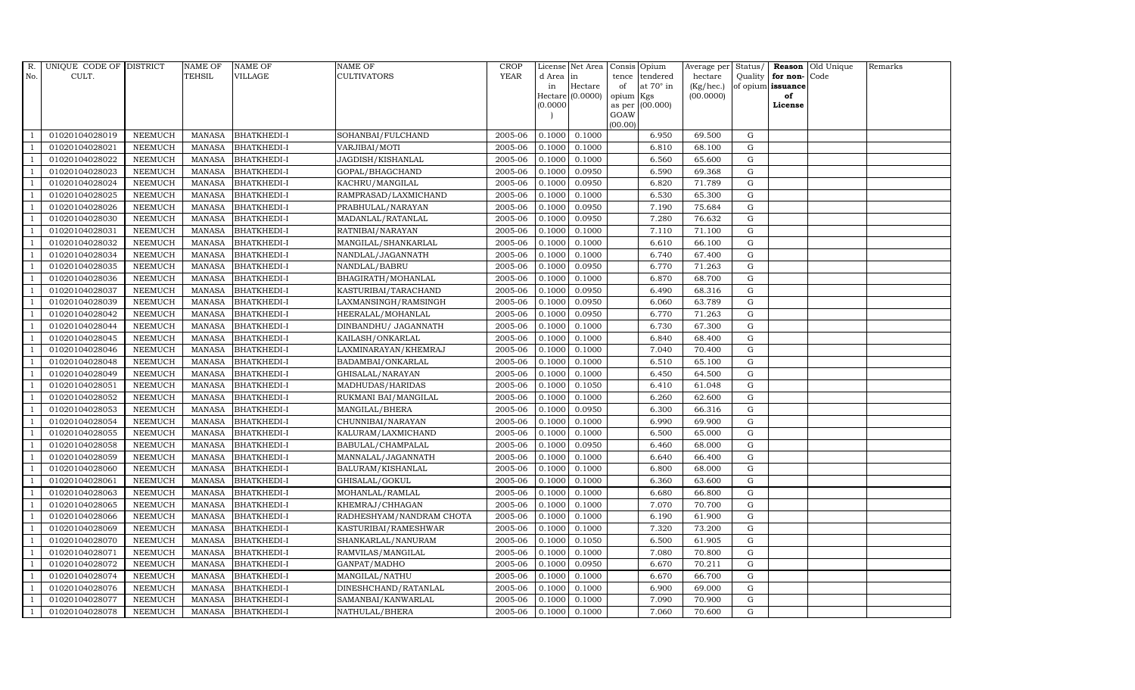| R.             | UNIQUE CODE OF DISTRICT |                | <b>NAME OF</b> | <b>NAME OF</b>     | <b>NAME OF</b>           | <b>CROP</b> |           | License Net Area   |           | Consis Opium     | Average per Status/ |             |                      | <b>Reason</b> Old Unique | Remarks |
|----------------|-------------------------|----------------|----------------|--------------------|--------------------------|-------------|-----------|--------------------|-----------|------------------|---------------------|-------------|----------------------|--------------------------|---------|
| No.            | CULT.                   |                | <b>TEHSIL</b>  | <b>VILLAGE</b>     | <b>CULTIVATORS</b>       | <b>YEAR</b> | d Area in |                    | tence     | tendered         | hectare             |             | Quality $ $ for non- | Code                     |         |
|                |                         |                |                |                    |                          |             | in        | Hectare            | of        | at $70^\circ$ in | (Kg/hec.)           |             | of opium issuance    |                          |         |
|                |                         |                |                |                    |                          |             |           | Hectare $(0.0000)$ | opium Kgs |                  | (00.0000)           |             | of<br>License        |                          |         |
|                |                         |                |                |                    |                          |             | (0.0000)  |                    | GOAW      | as per (00.000)  |                     |             |                      |                          |         |
|                |                         |                |                |                    |                          |             |           |                    | (00.00)   |                  |                     |             |                      |                          |         |
|                | 01020104028019          | <b>NEEMUCH</b> | MANASA         | <b>BHATKHEDI-I</b> | SOHANBAI/FULCHAND        | 2005-06     |           | $0.1000$ $0.1000$  |           | 6.950            | 69.500              | G           |                      |                          |         |
| -1             | 01020104028021          | <b>NEEMUCH</b> | MANASA         | <b>BHATKHEDI-I</b> | VARJIBAI/MOTI            | 2005-06     | 0.1000    | 0.1000             |           | 6.810            | 68.100              | G           |                      |                          |         |
|                | 01020104028022          | <b>NEEMUCH</b> | <b>MANASA</b>  | <b>BHATKHEDI-I</b> | JAGDISH/KISHANLAL        | 2005-06     | 0.1000    | 0.1000             |           | 6.560            | 65.600              | G           |                      |                          |         |
|                | 01020104028023          | <b>NEEMUCH</b> | MANASA         | <b>BHATKHEDI-I</b> | GOPAL/BHAGCHAND          | 2005-06     | 0.1000    | 0.0950             |           | 6.590            | 69.368              | G           |                      |                          |         |
| $\overline{1}$ | 01020104028024          | <b>NEEMUCH</b> | <b>MANASA</b>  | <b>BHATKHEDI-I</b> | KACHRU/MANGILAL          | 2005-06     | 0.1000    | 0.0950             |           | 6.820            | 71.789              | G           |                      |                          |         |
| $\overline{1}$ | 01020104028025          | <b>NEEMUCH</b> | MANASA         | <b>BHATKHEDI-I</b> | RAMPRASAD/LAXMICHAND     | 2005-06     | 0.1000    | 0.1000             |           | 6.530            | 65.300              | G           |                      |                          |         |
| $\overline{1}$ | 01020104028026          | <b>NEEMUCH</b> | MANASA         | <b>BHATKHEDI-I</b> | PRABHULAL/NARAYAN        | 2005-06     | 0.1000    | 0.0950             |           | 7.190            | 75.684              | ${\rm G}$   |                      |                          |         |
| $\overline{1}$ | 01020104028030          | <b>NEEMUCH</b> | <b>MANASA</b>  | <b>BHATKHEDI-I</b> | MADANLAL/RATANLAL        | 2005-06     | 0.1000    | 0.0950             |           | 7.280            | 76.632              | $\mathbf G$ |                      |                          |         |
|                | 01020104028031          | <b>NEEMUCH</b> | MANASA         | <b>BHATKHEDI-I</b> | RATNIBAI/NARAYAN         | 2005-06     | 0.1000    | 0.1000             |           | 7.110            | 71.100              | $\mathbf G$ |                      |                          |         |
|                | 01020104028032          | <b>NEEMUCH</b> | <b>MANASA</b>  | <b>BHATKHEDI-I</b> | MANGILAL/SHANKARLAL      | 2005-06     | 0.1000    | 0.1000             |           | 6.610            | 66.100              | ${\rm G}$   |                      |                          |         |
| $\overline{1}$ | 01020104028034          | <b>NEEMUCH</b> | <b>MANASA</b>  | <b>BHATKHEDI-I</b> | NANDLAL/JAGANNATH        | 2005-06     | 0.1000    | 0.1000             |           | 6.740            | 67.400              | G           |                      |                          |         |
| $\overline{1}$ | 01020104028035          | <b>NEEMUCH</b> | MANASA         | <b>BHATKHEDI-I</b> | NANDLAL/BABRU            | 2005-06     | 0.1000    | 0.0950             |           | 6.770            | 71.263              | G           |                      |                          |         |
| $\overline{1}$ | 01020104028036          | <b>NEEMUCH</b> | <b>MANASA</b>  | <b>BHATKHEDI-I</b> | BHAGIRATH/MOHANLAL       | 2005-06     | 0.1000    | 0.1000             |           | 6.870            | 68.700              | G           |                      |                          |         |
|                | 01020104028037          | <b>NEEMUCH</b> | <b>MANASA</b>  | <b>BHATKHEDI-I</b> | KASTURIBAI/TARACHAND     | 2005-06     | 0.1000    | 0.0950             |           | 6.490            | 68.316              | G           |                      |                          |         |
| $\overline{1}$ | 01020104028039          | <b>NEEMUCH</b> | MANASA         | <b>BHATKHEDI-I</b> | LAXMANSINGH/RAMSINGH     | 2005-06     | 0.1000    | 0.0950             |           | 6.060            | 63.789              | G           |                      |                          |         |
| $\overline{1}$ | 01020104028042          | <b>NEEMUCH</b> | MANASA         | <b>BHATKHEDI-I</b> | HEERALAL/MOHANLAL        | 2005-06     | 0.1000    | 0.0950             |           | 6.770            | 71.263              | G           |                      |                          |         |
|                | 01020104028044          | <b>NEEMUCH</b> | MANASA         | <b>BHATKHEDI-I</b> | DINBANDHU/ JAGANNATH     | 2005-06     | 0.1000    | 0.1000             |           | 6.730            | 67.300              | G           |                      |                          |         |
| $\overline{1}$ | 01020104028045          | <b>NEEMUCH</b> | MANASA         | <b>BHATKHEDI-I</b> | KAILASH/ONKARLAL         | 2005-06     | 0.1000    | 0.1000             |           | 6.840            | 68.400              | G           |                      |                          |         |
|                | 01020104028046          | <b>NEEMUCH</b> | MANASA         | <b>BHATKHEDI-I</b> | LAXMINARAYAN/KHEMRAJ     | 2005-06     | 0.1000    | 0.1000             |           | 7.040            | 70.400              | G           |                      |                          |         |
|                | 01020104028048          | <b>NEEMUCH</b> | <b>MANASA</b>  | <b>BHATKHEDI-I</b> | BADAMBAI/ONKARLAL        | 2005-06     | 0.1000    | 0.1000             |           | 6.510            | 65.100              | G           |                      |                          |         |
| -1             | 01020104028049          | <b>NEEMUCH</b> | <b>MANASA</b>  | <b>BHATKHEDI-I</b> | GHISALAL/NARAYAN         | 2005-06     | 0.1000    | 0.1000             |           | 6.450            | 64.500              | G           |                      |                          |         |
| $\overline{1}$ | 01020104028051          | <b>NEEMUCH</b> | MANASA         | <b>BHATKHEDI-I</b> | MADHUDAS/HARIDAS         | 2005-06     | 0.1000    | 0.1050             |           | 6.410            | 61.048              | G           |                      |                          |         |
| $\overline{1}$ | 01020104028052          | <b>NEEMUCH</b> | MANASA         | <b>BHATKHEDI-I</b> | RUKMANI BAI/MANGILAL     | 2005-06     | 0.1000    | 0.1000             |           | 6.260            | 62.600              | G           |                      |                          |         |
|                | 01020104028053          | <b>NEEMUCH</b> | <b>MANASA</b>  | <b>BHATKHEDI-I</b> | MANGILAL/BHERA           | 2005-06     | 0.1000    | 0.0950             |           | 6.300            | 66.316              | $\mathbf G$ |                      |                          |         |
|                | 01020104028054          | <b>NEEMUCH</b> | <b>MANASA</b>  | <b>BHATKHEDI-I</b> | CHUNNIBAI/NARAYAN        | 2005-06     | 0.1000    | 0.1000             |           | 6.990            | 69.900              | G           |                      |                          |         |
| -1             | 01020104028055          | <b>NEEMUCH</b> | <b>MANASA</b>  | <b>BHATKHEDI-I</b> | KALURAM/LAXMICHAND       | 2005-06     | 0.1000    | 0.1000             |           | 6.500            | 65.000              | G           |                      |                          |         |
| $\overline{1}$ | 01020104028058          | <b>NEEMUCH</b> | <b>MANASA</b>  | <b>BHATKHEDI-I</b> | BABULAL/CHAMPALAL        | 2005-06     | 0.1000    | 0.0950             |           | 6.460            | 68.000              | G           |                      |                          |         |
| $\overline{1}$ | 01020104028059          | <b>NEEMUCH</b> | MANASA         | <b>BHATKHEDI-I</b> | MANNALAL/JAGANNATH       | 2005-06     | 0.1000    | 0.1000             |           | 6.640            | 66.400              | G           |                      |                          |         |
| $\overline{1}$ | 01020104028060          | <b>NEEMUCH</b> | MANASA         | <b>BHATKHEDI-I</b> | BALURAM/KISHANLAL        | 2005-06     | 0.1000    | 0.1000             |           | 6.800            | 68.000              | $\mathbf G$ |                      |                          |         |
|                | 01020104028061          | <b>NEEMUCH</b> | MANASA         | <b>BHATKHEDI-I</b> | GHISALAL/GOKUL           | 2005-06     | 0.1000    | 0.1000             |           | 6.360            | 63.600              | G           |                      |                          |         |
| $\overline{1}$ | 01020104028063          | <b>NEEMUCH</b> | MANASA         | <b>BHATKHEDI-I</b> | MOHANLAL/RAMLAL          | 2005-06     | 0.1000    | 0.1000             |           | 6.680            | 66.800              | G           |                      |                          |         |
|                | 01020104028065          | <b>NEEMUCH</b> | MANASA         | <b>BHATKHEDI-I</b> | KHEMRAJ/CHHAGAN          | 2005-06     | 0.1000    | 0.1000             |           | 7.070            | 70.700              | G           |                      |                          |         |
| $\overline{1}$ | 01020104028066          | <b>NEEMUCH</b> | MANASA         | <b>BHATKHEDI-I</b> | RADHESHYAM/NANDRAM CHOTA | 2005-06     | 0.1000    | 0.1000             |           | 6.190            | 61.900              | G           |                      |                          |         |
| $\overline{1}$ | 01020104028069          | <b>NEEMUCH</b> | <b>MANASA</b>  | <b>BHATKHEDI-I</b> | KASTURIBAI/RAMESHWAR     | 2005-06     | 0.1000    | 0.1000             |           | 7.320            | 73.200              | G           |                      |                          |         |
|                | 01020104028070          | <b>NEEMUCH</b> | <b>MANASA</b>  | <b>BHATKHEDI-I</b> | SHANKARLAL/NANURAM       | 2005-06     | 0.1000    | 0.1050             |           | 6.500            | 61.905              | $\mathbf G$ |                      |                          |         |
| $\overline{1}$ | 01020104028071          | <b>NEEMUCH</b> | <b>MANASA</b>  | <b>BHATKHEDI-I</b> | RAMVILAS/MANGILAL        | 2005-06     | 0.1000    | 0.1000             |           | 7.080            | 70.800              | G           |                      |                          |         |
| $\overline{1}$ | 01020104028072          | <b>NEEMUCH</b> | <b>MANASA</b>  | <b>BHATKHEDI-I</b> | GANPAT/MADHO             | 2005-06     | 0.1000    | 0.0950             |           | 6.670            | 70.211              | G           |                      |                          |         |
| $\overline{1}$ | 01020104028074          | <b>NEEMUCH</b> | MANASA         | <b>BHATKHEDI-I</b> | MANGILAL/NATHU           | 2005-06     | 0.1000    | 0.1000             |           | 6.670            | 66.700              | ${\rm G}$   |                      |                          |         |
| $\overline{1}$ | 01020104028076          | <b>NEEMUCH</b> | <b>MANASA</b>  | <b>BHATKHEDI-I</b> | DINESHCHAND/RATANLAL     | 2005-06     | 0.1000    | 0.1000             |           | 6.900            | 69.000              | G           |                      |                          |         |
|                | 01020104028077          | <b>NEEMUCH</b> | <b>MANASA</b>  | <b>BHATKHEDI-I</b> | SAMANBAI/KANWARLAL       | 2005-06     | 0.1000    | 0.1000             |           | 7.090            | 70.900              | $\mathbf G$ |                      |                          |         |
| $\overline{1}$ | 01020104028078          | <b>NEEMUCH</b> |                | MANASA BHATKHEDI-I | NATHULAL/BHERA           | 2005-06     | 0.1000    | 0.1000             |           | 7.060            | 70.600              | G           |                      |                          |         |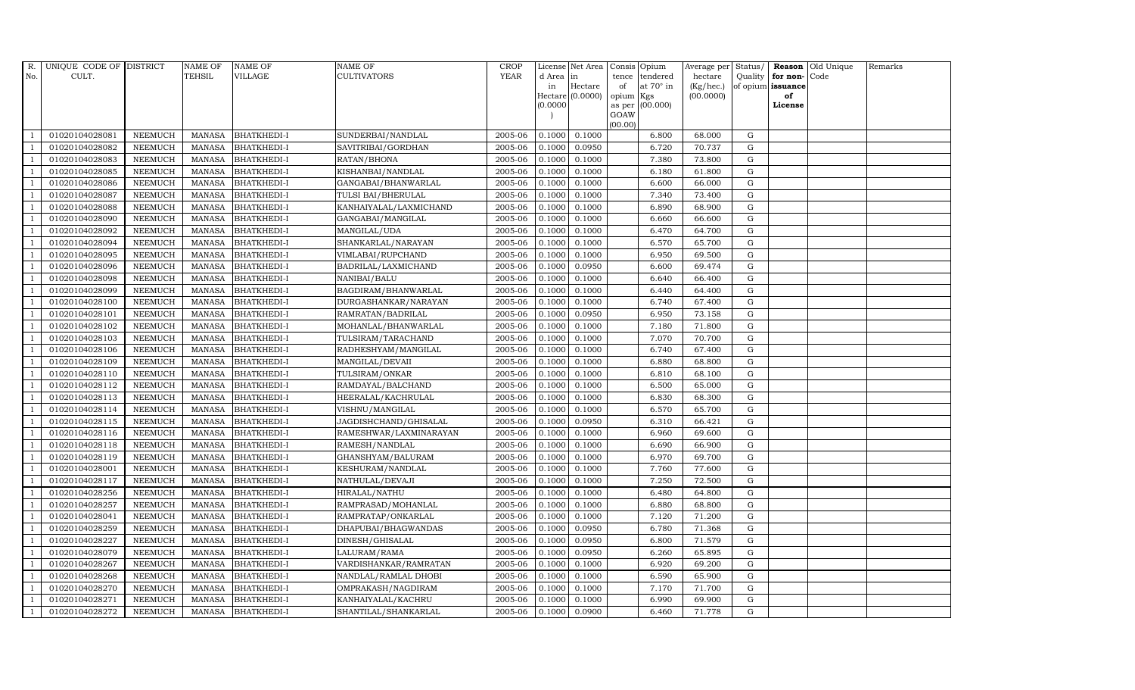| $R_{\cdot}$    | UNIQUE CODE OF DISTRICT |                | <b>NAME OF</b> | <b>NAME OF</b>     | <b>NAME OF</b>         | <b>CROP</b> |           | License Net Area | Consis Opium |                  | Average per | Status/     |                   | <b>Reason</b> Old Unique | Remarks |
|----------------|-------------------------|----------------|----------------|--------------------|------------------------|-------------|-----------|------------------|--------------|------------------|-------------|-------------|-------------------|--------------------------|---------|
| No.            | CULT.                   |                | TEHSIL         | VILLAGE            | CULTIVATORS            | <b>YEAR</b> | d Area in |                  | tence        | tendered         | hectare     | Quality     | for non-Code      |                          |         |
|                |                         |                |                |                    |                        |             | in        | Hectare          | of           | at $70^\circ$ in | (Kg/hec.)   |             | of opium issuance |                          |         |
|                |                         |                |                |                    |                        |             | (0.0000)  | Hectare (0.0000) | opium Kgs    | as per (00.000)  | (00.0000)   |             | of<br>License     |                          |         |
|                |                         |                |                |                    |                        |             |           |                  | GOAW         |                  |             |             |                   |                          |         |
|                |                         |                |                |                    |                        |             |           |                  | (00.00)      |                  |             |             |                   |                          |         |
|                | 01020104028081          | <b>NEEMUCH</b> | MANASA         | <b>BHATKHEDI-I</b> | SUNDERBAI/NANDLAL      | 2005-06     | 0.1000    | 0.1000           |              | 6.800            | 68.000      | G           |                   |                          |         |
| -1             | 01020104028082          | <b>NEEMUCH</b> | MANASA         | <b>BHATKHEDI-I</b> | SAVITRIBAI/GORDHAN     | 2005-06     | 0.1000    | 0.0950           |              | 6.720            | 70.737      | $\mathbf G$ |                   |                          |         |
|                | 01020104028083          | <b>NEEMUCH</b> | <b>MANASA</b>  | <b>BHATKHEDI-I</b> | RATAN/BHONA            | 2005-06     | 0.1000    | 0.1000           |              | 7.380            | 73.800      | G           |                   |                          |         |
|                | 01020104028085          | <b>NEEMUCH</b> | MANASA         | <b>BHATKHEDI-I</b> | KISHANBAI/NANDLAL      | 2005-06     | 0.1000    | 0.1000           |              | 6.180            | 61.800      | G           |                   |                          |         |
| $\overline{1}$ | 01020104028086          | <b>NEEMUCH</b> | <b>MANASA</b>  | <b>BHATKHEDI-I</b> | GANGABAI/BHANWARLAL    | 2005-06     | 0.1000    | 0.1000           |              | 6.600            | 66.000      | ${\rm G}$   |                   |                          |         |
| $\overline{1}$ | 01020104028087          | NEEMUCH        | <b>MANASA</b>  | <b>BHATKHEDI-I</b> | TULSI BAI/BHERULAL     | 2005-06     | 0.1000    | 0.1000           |              | 7.340            | 73.400      | G           |                   |                          |         |
| $\overline{1}$ | 01020104028088          | <b>NEEMUCH</b> | MANASA         | <b>BHATKHEDI-I</b> | KANHAIYALAL/LAXMICHAND | 2005-06     | 0.1000    | 0.1000           |              | 6.890            | 68.900      | $\mathbf G$ |                   |                          |         |
| $\overline{1}$ | 01020104028090          | <b>NEEMUCH</b> | <b>MANASA</b>  | <b>BHATKHEDI-I</b> | GANGABAI/MANGILAL      | 2005-06     | 0.1000    | 0.1000           |              | 6.660            | 66.600      | G           |                   |                          |         |
|                | 01020104028092          | <b>NEEMUCH</b> | <b>MANASA</b>  | <b>BHATKHEDI-I</b> | MANGILAL/UDA           | 2005-06     | 0.1000    | 0.1000           |              | 6.470            | 64.700      | G           |                   |                          |         |
| $\overline{1}$ | 01020104028094          | <b>NEEMUCH</b> | <b>MANASA</b>  | <b>BHATKHEDI-I</b> | SHANKARLAL/NARAYAN     | 2005-06     | 0.1000    | 0.1000           |              | 6.570            | 65.700      | G           |                   |                          |         |
| -1             | 01020104028095          | <b>NEEMUCH</b> | <b>MANASA</b>  | <b>BHATKHEDI-I</b> | VIMLABAI/RUPCHAND      | 2005-06     | 0.1000    | 0.1000           |              | 6.950            | 69.500      | ${\rm G}$   |                   |                          |         |
| $\overline{1}$ | 01020104028096          | <b>NEEMUCH</b> | <b>MANASA</b>  | <b>BHATKHEDI-I</b> | BADRILAL/LAXMICHAND    | 2005-06     | 0.1000    | 0.0950           |              | 6.600            | 69.474      | $\mathbf G$ |                   |                          |         |
| $\overline{1}$ | 01020104028098          | <b>NEEMUCH</b> | <b>MANASA</b>  | <b>BHATKHEDI-I</b> | NANIBAI/BALU           | 2005-06     | 0.1000    | 0.1000           |              | 6.640            | 66.400      | $\mathbf G$ |                   |                          |         |
|                | 01020104028099          | <b>NEEMUCH</b> | <b>MANASA</b>  | <b>BHATKHEDI-I</b> | BAGDIRAM/BHANWARLAL    | 2005-06     | 0.1000    | 0.1000           |              | 6.440            | 64.400      | G           |                   |                          |         |
|                | 01020104028100          | <b>NEEMUCH</b> | <b>MANASA</b>  | BHATKHEDI-I        | DURGASHANKAR/NARAYAN   | 2005-06     | 0.1000    | 0.1000           |              | 6.740            | 67.400      | ${\rm G}$   |                   |                          |         |
| $\overline{1}$ | 01020104028101          | <b>NEEMUCH</b> | <b>MANASA</b>  | <b>BHATKHEDI-I</b> | RAMRATAN/BADRILAL      | 2005-06     | 0.1000    | 0.0950           |              | 6.950            | 73.158      | ${\rm G}$   |                   |                          |         |
| $\overline{1}$ | 01020104028102          | <b>NEEMUCH</b> | <b>MANASA</b>  | <b>BHATKHEDI-I</b> | MOHANLAL/BHANWARLAL    | 2005-06     | 0.1000    | 0.1000           |              | 7.180            | 71.800      | G           |                   |                          |         |
| $\overline{1}$ | 01020104028103          | <b>NEEMUCH</b> | <b>MANASA</b>  | <b>BHATKHEDI-I</b> | TULSIRAM/TARACHAND     | 2005-06     | 0.1000    | 0.1000           |              | 7.070            | 70.700      | $\mathbf G$ |                   |                          |         |
|                | 01020104028106          | <b>NEEMUCH</b> | <b>MANASA</b>  | <b>BHATKHEDI-I</b> | RADHESHYAM/MANGILAL    | 2005-06     | 0.1000    | 0.1000           |              | 6.740            | 67.400      | $\mathbf G$ |                   |                          |         |
| $\overline{1}$ | 01020104028109          | <b>NEEMUCH</b> | <b>MANASA</b>  | <b>BHATKHEDI-I</b> | MANGILAL/DEVAII        | 2005-06     | 0.1000    | 0.1000           |              | 6.880            | 68.800      | $\mathbf G$ |                   |                          |         |
| $\overline{1}$ | 01020104028110          | <b>NEEMUCH</b> | <b>MANASA</b>  | <b>BHATKHEDI-I</b> | TULSIRAM/ONKAR         | 2005-06     | 0.1000    | 0.1000           |              | 6.810            | 68.100      | G           |                   |                          |         |
| $\overline{1}$ | 01020104028112          | <b>NEEMUCH</b> | MANASA         | <b>BHATKHEDI-I</b> | RAMDAYAL/BALCHAND      | 2005-06     | 0.1000    | 0.1000           |              | 6.500            | 65.000      | ${\rm G}$   |                   |                          |         |
| $\overline{1}$ | 01020104028113          | <b>NEEMUCH</b> | MANASA         | <b>BHATKHEDI-I</b> | HEERALAL/KACHRULAL     | 2005-06     | 0.1000    | 0.1000           |              | 6.830            | 68.300      | G           |                   |                          |         |
|                | 01020104028114          | <b>NEEMUCH</b> | <b>MANASA</b>  | <b>BHATKHEDI-I</b> | VISHNU/MANGILAL        | 2005-06     | 0.1000    | 0.1000           |              | 6.570            | 65.700      | $\mathbf G$ |                   |                          |         |
| $\overline{1}$ | 01020104028115          | <b>NEEMUCH</b> | <b>MANASA</b>  | BHATKHEDI-I        | JAGDISHCHAND/GHISALAL  | 2005-06     | 0.1000    | 0.0950           |              | 6.310            | 66.421      | G           |                   |                          |         |
| -1             | 01020104028116          | <b>NEEMUCH</b> | <b>MANASA</b>  | <b>BHATKHEDI-I</b> | RAMESHWAR/LAXMINARAYAN | 2005-06     | 0.1000    | 0.1000           |              | 6.960            | 69.600      | G           |                   |                          |         |
| $\overline{1}$ | 01020104028118          | <b>NEEMUCH</b> | <b>MANASA</b>  | <b>BHATKHEDI-I</b> | RAMESH/NANDLAL         | 2005-06     | 0.1000    | 0.1000           |              | 6.690            | 66.900      | G           |                   |                          |         |
| $\overline{1}$ | 01020104028119          | <b>NEEMUCH</b> | <b>MANASA</b>  | <b>BHATKHEDI-I</b> | GHANSHYAM/BALURAM      | 2005-06     | 0.1000    | 0.1000           |              | 6.970            | 69.700      | G           |                   |                          |         |
| $\overline{1}$ | 01020104028001          | <b>NEEMUCH</b> | <b>MANASA</b>  | <b>BHATKHEDI-I</b> | KESHURAM/NANDLAL       | 2005-06     | 0.1000    | 0.1000           |              | 7.760            | 77.600      | $\mathbf G$ |                   |                          |         |
|                | 01020104028117          | <b>NEEMUCH</b> | <b>MANASA</b>  | BHATKHEDI-I        | NATHULAL/DEVAJI        | 2005-06     | 0.1000    | 0.1000           |              | 7.250            | 72.500      | $\mathbf G$ |                   |                          |         |
| $\overline{1}$ | 01020104028256          | <b>NEEMUCH</b> | <b>MANASA</b>  | <b>BHATKHEDI-I</b> | HIRALAL/NATHU          | 2005-06     | 0.1000    | 0.1000           |              | 6.480            | 64.800      | G           |                   |                          |         |
| -1             | 01020104028257          | <b>NEEMUCH</b> | MANASA         | <b>BHATKHEDI-I</b> | RAMPRASAD/MOHANLAL     | 2005-06     | 0.1000    | 0.1000           |              | 6.880            | 68.800      | ${\rm G}$   |                   |                          |         |
| $\overline{1}$ | 01020104028041          | <b>NEEMUCH</b> | <b>MANASA</b>  | BHATKHEDI-I        | RAMPRATAP/ONKARLAL     | 2005-06     | 0.1000    | 0.1000           |              | 7.120            | 71.200      | $\mathbf G$ |                   |                          |         |
| $\overline{1}$ | 01020104028259          | <b>NEEMUCH</b> | <b>MANASA</b>  | <b>BHATKHEDI-I</b> | DHAPUBAI/BHAGWANDAS    | 2005-06     | 0.1000    | 0.0950           |              | 6.780            | 71.368      | $\mathbf G$ |                   |                          |         |
|                | 01020104028227          | <b>NEEMUCH</b> | <b>MANASA</b>  | BHATKHEDI-I        | DINESH/GHISALAL        | 2005-06     | 0.1000    | 0.0950           |              | 6.800            | 71.579      | $\mathbf G$ |                   |                          |         |
| $\overline{1}$ | 01020104028079          | <b>NEEMUCH</b> | <b>MANASA</b>  | <b>BHATKHEDI-I</b> | LALURAM/RAMA           | 2005-06     | 0.1000    | 0.0950           |              | 6.260            | 65.895      | ${\rm G}$   |                   |                          |         |
| $\overline{1}$ | 01020104028267          | <b>NEEMUCH</b> | <b>MANASA</b>  | <b>BHATKHEDI-I</b> | VARDISHANKAR/RAMRATAN  | 2005-06     | 0.1000    | 0.1000           |              | 6.920            | 69.200      | ${\rm G}$   |                   |                          |         |
| $\mathbf{1}$   | 01020104028268          | <b>NEEMUCH</b> | <b>MANASA</b>  | BHATKHEDI-I        | NANDLAL/RAMLAL DHOBI   | 2005-06     | 0.1000    | 0.1000           |              | 6.590            | 65.900      | ${\rm G}$   |                   |                          |         |
| $\overline{1}$ | 01020104028270          | <b>NEEMUCH</b> | <b>MANASA</b>  | <b>BHATKHEDI-I</b> | OMPRAKASH/NAGDIRAM     | 2005-06     | 0.1000    | 0.1000           |              | 7.170            | 71.700      | $\mathbf G$ |                   |                          |         |
|                | 01020104028271          | <b>NEEMUCH</b> | <b>MANASA</b>  | <b>BHATKHEDI-I</b> | KANHAIYALAL/KACHRU     | 2005-06     | 0.1000    | 0.1000           |              | 6.990            | 69.900      | $\mathbf G$ |                   |                          |         |
| $\mathbf{1}$   | 01020104028272          | <b>NEEMUCH</b> | MANASA         | <b>BHATKHEDI-I</b> | SHANTILAL/SHANKARLAL   | 2005-06     | 0.1000    | 0.0900           |              | 6.460            | 71.778      | G           |                   |                          |         |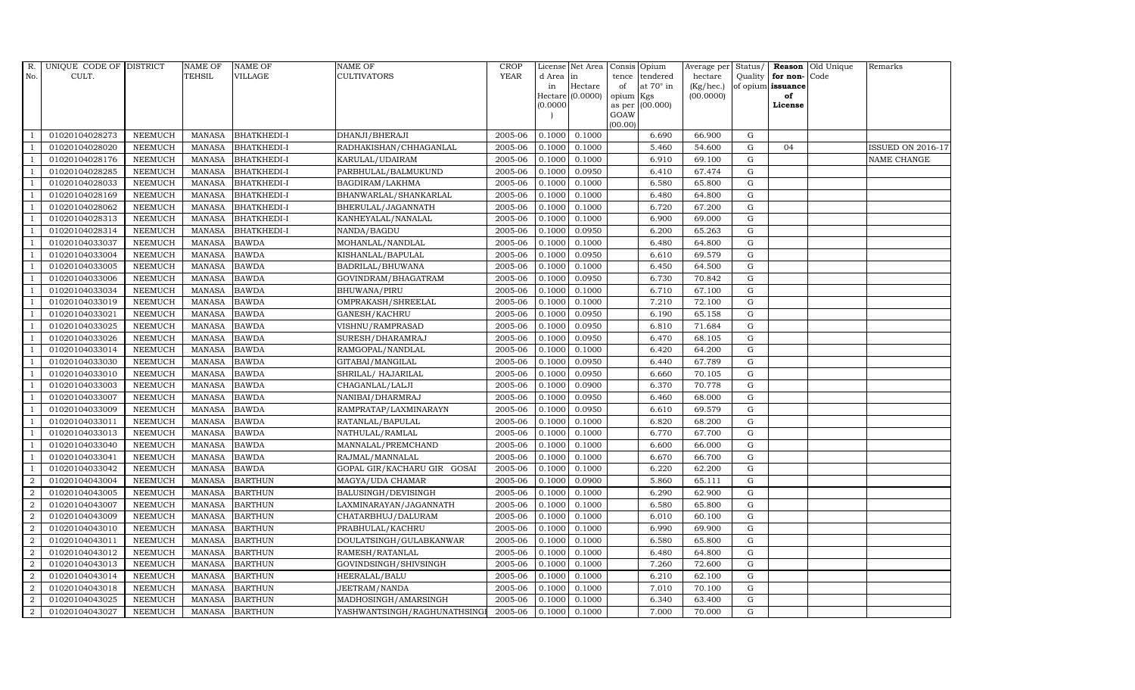| R.             | UNIQUE CODE OF DISTRICT |                | NAME OF       | <b>NAME OF</b>     | <b>NAME OF</b>               | CROP        |           | License Net Area Consis Opium |                |                  | Average per | Status/     | Reason            | Old Unique | Remarks                  |
|----------------|-------------------------|----------------|---------------|--------------------|------------------------------|-------------|-----------|-------------------------------|----------------|------------------|-------------|-------------|-------------------|------------|--------------------------|
| No.            | CULT.                   |                | TEHSIL        | <b>VILLAGE</b>     | <b>CULTIVATORS</b>           | <b>YEAR</b> | d Area in |                               | tence          | tendered         | hectare     | Quality     | for non-          | Code       |                          |
|                |                         |                |               |                    |                              |             | in        | Hectare                       | of             | at $70^\circ$ in | (Kg/hec.)   |             | of opium issuance |            |                          |
|                |                         |                |               |                    |                              |             |           | Hectare (0.0000)              | opium Kgs      |                  | (00.0000)   |             | of                |            |                          |
|                |                         |                |               |                    |                              |             | (0.0000)  |                               | as per<br>GOAW | (00.000)         |             |             | License           |            |                          |
|                |                         |                |               |                    |                              |             |           |                               | (00.00)        |                  |             |             |                   |            |                          |
|                | 01020104028273          | <b>NEEMUCH</b> | <b>MANASA</b> | <b>BHATKHEDI-I</b> | DHANJI/BHERAJI               | 2005-06     | 0.1000    | 0.1000                        |                | 6.690            | 66.900      | ${\rm G}$   |                   |            |                          |
| $\overline{1}$ | 01020104028020          | <b>NEEMUCH</b> | MANASA        | <b>BHATKHEDI-I</b> | RADHAKISHAN/CHHAGANLAL       | 2005-06     | 0.1000    | 0.1000                        |                | 5.460            | 54.600      | $\mathbf G$ | 04                |            | <b>ISSUED ON 2016-17</b> |
| $\overline{1}$ | 01020104028176          | <b>NEEMUCH</b> | <b>MANASA</b> | <b>BHATKHEDI-I</b> | KARULAL/UDAIRAM              | 2005-06     | 0.1000    | 0.1000                        |                | 6.910            | 69.100      | $\mathbf G$ |                   |            | NAME CHANGE              |
|                | 01020104028285          | <b>NEEMUCH</b> | MANASA        | <b>BHATKHEDI-I</b> | PARBHULAL/BALMUKUND          | 2005-06     | 0.1000    | 0.0950                        |                | 6.410            | 67.474      | $\mathbf G$ |                   |            |                          |
| $\overline{1}$ | 01020104028033          | <b>NEEMUCH</b> | <b>MANASA</b> | <b>BHATKHEDI-I</b> | BAGDIRAM/LAKHMA              | 2005-06     | 0.1000    | 0.1000                        |                | 6.580            | 65.800      | ${\rm G}$   |                   |            |                          |
| $\overline{1}$ | 01020104028169          | <b>NEEMUCH</b> | <b>MANASA</b> | <b>BHATKHEDI-I</b> | BHANWARLAL/SHANKARLAL        | 2005-06     | 0.1000    | 0.1000                        |                | 6.480            | 64.800      | ${\rm G}$   |                   |            |                          |
| $\overline{1}$ | 01020104028062          | <b>NEEMUCH</b> | MANASA        | <b>BHATKHEDI-I</b> | BHERULAL/JAGANNATH           | 2005-06     | 0.1000    | 0.1000                        |                | 6.720            | 67.200      | $\mathbf G$ |                   |            |                          |
| $\overline{1}$ | 01020104028313          | <b>NEEMUCH</b> | MANASA        | <b>BHATKHEDI-I</b> | KANHEYALAL/NANALAL           | 2005-06     | 0.1000    | 0.1000                        |                | 6.900            | 69.000      | G           |                   |            |                          |
|                | 01020104028314          | <b>NEEMUCH</b> | <b>MANASA</b> | <b>BHATKHEDI-I</b> | NANDA/BAGDU                  | 2005-06     | 0.1000    | 0.0950                        |                | 6.200            | 65.263      | $\mathbf G$ |                   |            |                          |
|                | 01020104033037          | <b>NEEMUCH</b> | <b>MANASA</b> | <b>BAWDA</b>       | MOHANLAL/NANDLAL             | 2005-06     | 0.1000    | 0.1000                        |                | 6.480            | 64.800      | $\mathbf G$ |                   |            |                          |
| $\overline{1}$ | 01020104033004          | <b>NEEMUCH</b> | <b>MANASA</b> | <b>BAWDA</b>       | KISHANLAL/BAPULAL            | 2005-06     | 0.1000    | 0.0950                        |                | 6.610            | 69.579      | ${\rm G}$   |                   |            |                          |
| $\overline{1}$ | 01020104033005          | <b>NEEMUCH</b> | MANASA        | <b>BAWDA</b>       | BADRILAL/BHUWANA             | 2005-06     | 0.1000    | 0.1000                        |                | 6.450            | 64.500      | $\mathbf G$ |                   |            |                          |
| $\overline{1}$ | 01020104033006          | <b>NEEMUCH</b> | <b>MANASA</b> | <b>BAWDA</b>       | GOVINDRAM/BHAGATRAM          | 2005-06     | 0.1000    | 0.0950                        |                | 6.730            | 70.842      | $\mathbf G$ |                   |            |                          |
|                | 01020104033034          | <b>NEEMUCH</b> | <b>MANASA</b> | <b>BAWDA</b>       | BHUWANA/PIRU                 | 2005-06     | 0.1000    | 0.1000                        |                | 6.710            | 67.100      | $\mathbf G$ |                   |            |                          |
| $\overline{1}$ | 01020104033019          | <b>NEEMUCH</b> | <b>MANASA</b> | <b>BAWDA</b>       | OMPRAKASH/SHREELAL           | 2005-06     | 0.1000    | 0.1000                        |                | 7.210            | 72.100      | $\mathbf G$ |                   |            |                          |
| $\overline{1}$ | 01020104033021          | <b>NEEMUCH</b> | <b>MANASA</b> | <b>BAWDA</b>       | GANESH/KACHRU                | 2005-06     | 0.1000    | 0.0950                        |                | 6.190            | 65.158      | ${\rm G}$   |                   |            |                          |
|                | 01020104033025          | <b>NEEMUCH</b> | <b>MANASA</b> | <b>BAWDA</b>       | VISHNU/RAMPRASAD             | 2005-06     | 0.1000    | 0.0950                        |                | 6.810            | 71.684      | $\mathbf G$ |                   |            |                          |
| $\overline{1}$ | 01020104033026          | <b>NEEMUCH</b> | MANASA        | <b>BAWDA</b>       | SURESH/DHARAMRAJ             | 2005-06     | 0.1000    | 0.0950                        |                | 6.470            | 68.105      | G           |                   |            |                          |
|                | 01020104033014          | <b>NEEMUCH</b> | <b>MANASA</b> | <b>BAWDA</b>       | RAMGOPAL/NANDLAL             | 2005-06     | 0.1000    | 0.1000                        |                | 6.420            | 64.200      | $\mathbf G$ |                   |            |                          |
|                | 01020104033030          | <b>NEEMUCH</b> | <b>MANASA</b> | <b>BAWDA</b>       | GITABAI/MANGILAL             | 2005-06     | 0.1000    | 0.0950                        |                | 6.440            | 67.789      | $\mathbf G$ |                   |            |                          |
| $\overline{1}$ | 01020104033010          | <b>NEEMUCH</b> | <b>MANASA</b> | <b>BAWDA</b>       | SHRILAL/ HAJARILAL           | 2005-06     | 0.1000    | 0.0950                        |                | 6.660            | 70.105      | ${\rm G}$   |                   |            |                          |
| $\overline{1}$ | 01020104033003          | <b>NEEMUCH</b> | <b>MANASA</b> | <b>BAWDA</b>       | CHAGANLAL/LALJI              | 2005-06     | 0.1000    | 0.0900                        |                | 6.370            | 70.778      | G           |                   |            |                          |
| $\overline{1}$ | 01020104033007          | <b>NEEMUCH</b> | <b>MANASA</b> | <b>BAWDA</b>       | NANIBAI/DHARMRAJ             | 2005-06     | 0.1000    | 0.0950                        |                | 6.460            | 68.000      | $\mathbf G$ |                   |            |                          |
|                | 01020104033009          | <b>NEEMUCH</b> | <b>MANASA</b> | <b>BAWDA</b>       | RAMPRATAP/LAXMINARAYN        | 2005-06     | 0.1000    | 0.0950                        |                | 6.610            | 69.579      | $\mathbf G$ |                   |            |                          |
|                | 01020104033011          | <b>NEEMUCH</b> | <b>MANASA</b> | <b>BAWDA</b>       | RATANLAL/BAPULAL             | 2005-06     | 0.1000    | 0.1000                        |                | 6.820            | 68.200      | $\mathbf G$ |                   |            |                          |
| -1             | 01020104033013          | <b>NEEMUCH</b> | <b>MANASA</b> | <b>BAWDA</b>       | NATHULAL/RAMLAL              | 2005-06     | 0.1000    | 0.1000                        |                | 6.770            | 67.700      | ${\rm G}$   |                   |            |                          |
| $\overline{1}$ | 01020104033040          | <b>NEEMUCH</b> | <b>MANASA</b> | <b>BAWDA</b>       | MANNALAL/PREMCHAND           | 2005-06     | 0.1000    | 0.1000                        |                | 6.600            | 66.000      | $\mathbf G$ |                   |            |                          |
| -1             | 01020104033041          | <b>NEEMUCH</b> | MANASA        | <b>BAWDA</b>       | RAJMAL/MANNALAL              | 2005-06     | 0.1000    | 0.1000                        |                | 6.670            | 66.700      | $\mathbf G$ |                   |            |                          |
|                | 01020104033042          | <b>NEEMUCH</b> | <b>MANASA</b> | <b>BAWDA</b>       | GOPAL GIR/KACHARU GIR GOSAI  | 2005-06     | 0.1000    | 0.1000                        |                | 6.220            | 62.200      | $\mathbf G$ |                   |            |                          |
| $\overline{2}$ | 01020104043004          | <b>NEEMUCH</b> | <b>MANASA</b> | <b>BARTHUN</b>     | MAGYA/UDA CHAMAR             | 2005-06     | 0.1000    | 0.0900                        |                | 5.860            | 65.111      | $\mathbf G$ |                   |            |                          |
| $\overline{a}$ | 01020104043005          | <b>NEEMUCH</b> | <b>MANASA</b> | <b>BARTHUN</b>     | BALUSINGH/DEVISINGH          | 2005-06     | 0.1000    | 0.1000                        |                | 6.290            | 62.900      | $\mathbf G$ |                   |            |                          |
| 2              | 01020104043007          | <b>NEEMUCH</b> | MANASA        | <b>BARTHUN</b>     | LAXMINARAYAN/JAGANNATH       | 2005-06     | 0.1000    | 0.1000                        |                | 6.580            | 65.800      | $\mathbf G$ |                   |            |                          |
| $\overline{a}$ | 01020104043009          | <b>NEEMUCH</b> | MANASA        | <b>BARTHUN</b>     | CHATARBHUJ/DALURAM           | 2005-06     | 0.1000    | 0.1000                        |                | 6.010            | 60.100      | $\mathbf G$ |                   |            |                          |
| 2              | 01020104043010          | <b>NEEMUCH</b> | <b>MANASA</b> | <b>BARTHUN</b>     | PRABHULAL/KACHRU             | 2005-06     | 0.1000    | 0.1000                        |                | 6.990            | 69.900      | $\mathbf G$ |                   |            |                          |
| 2              | 01020104043011          | <b>NEEMUCH</b> | <b>MANASA</b> | <b>BARTHUN</b>     | DOULATSINGH/GULABKANWAR      | 2005-06     | 0.1000    | 0.1000                        |                | 6.580            | 65.800      | $\mathbf G$ |                   |            |                          |
| $\overline{a}$ | 01020104043012          | <b>NEEMUCH</b> | <b>MANASA</b> | <b>BARTHUN</b>     | RAMESH/RATANLAL              | 2005-06     | 0.1000    | 0.1000                        |                | 6.480            | 64.800      | ${\rm G}$   |                   |            |                          |
| 2              | 01020104043013          | <b>NEEMUCH</b> | MANASA        | <b>BARTHUN</b>     | GOVINDSINGH/SHIVSINGH        | 2005-06     | 0.1000    | 0.1000                        |                | 7.260            | 72.600      | $\mathbf G$ |                   |            |                          |
| $\overline{2}$ | 01020104043014          | <b>NEEMUCH</b> | MANASA        | <b>BARTHUN</b>     | HEERALAL/BALU                | 2005-06     | 0.1000    | 0.1000                        |                | 6.210            | 62.100      | $\mathbf G$ |                   |            |                          |
| 2              | 01020104043018          | <b>NEEMUCH</b> | <b>MANASA</b> | <b>BARTHUN</b>     | JEETRAM/NANDA                | 2005-06     | 0.1000    | 0.1000                        |                | 7.010            | 70.100      | $\mathbf G$ |                   |            |                          |
| 2              | 01020104043025          | <b>NEEMUCH</b> | <b>MANASA</b> | <b>BARTHUN</b>     | MADHOSINGH/AMARSINGH         | 2005-06     | 0.1000    | 0.1000                        |                | 6.340            | 63.400      | G           |                   |            |                          |
| $\overline{2}$ | 01020104043027          | <b>NEEMUCH</b> |               | MANASA BARTHUN     | YASHWANTSINGH/RAGHUNATHSINGI | 2005-06     | 0.1000    | 0.1000                        |                | 7.000            | 70.000      | $\mathbf G$ |                   |            |                          |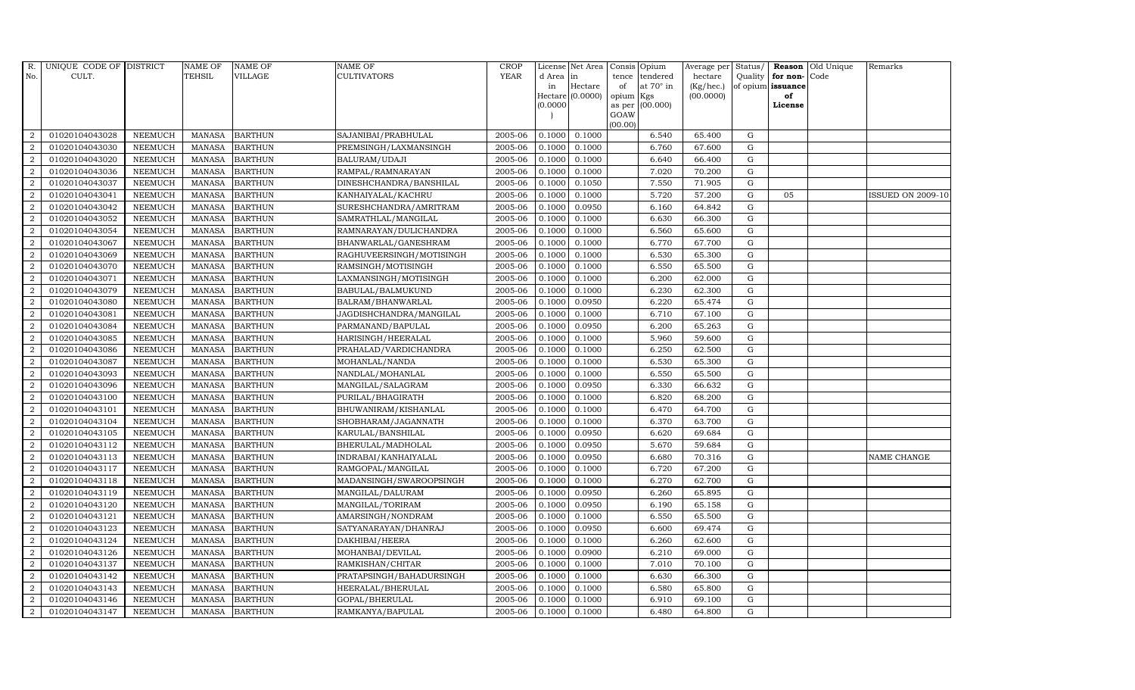| R.             | UNIQUE CODE OF DISTRICT |                | <b>NAME OF</b> | <b>NAME OF</b> | NAME OF                  | <b>CROP</b> |           | License Net Area   | Consis          | Opium            | Average per        | Status/     |                   | Reason Old Unique | Remarks                  |
|----------------|-------------------------|----------------|----------------|----------------|--------------------------|-------------|-----------|--------------------|-----------------|------------------|--------------------|-------------|-------------------|-------------------|--------------------------|
| No.            | CULT.                   |                | <b>TEHSIL</b>  | VILLAGE        | CULTIVATORS              | <b>YEAR</b> | d Area in |                    | tence           | tendered         | hectare            | Quality     | for non-Code      |                   |                          |
|                |                         |                |                |                |                          |             | in        | Hectare            | of              | at $70^\circ$ in | $(Kg/ {\rm hec.})$ |             | of opium issuance |                   |                          |
|                |                         |                |                |                |                          |             | (0.0000)  | $Hectare (0.0000)$ | opium<br>as per | Kgs<br>(00.000)  | (00.0000)          |             | of<br>License     |                   |                          |
|                |                         |                |                |                |                          |             |           |                    | GOAW            |                  |                    |             |                   |                   |                          |
|                |                         |                |                |                |                          |             |           |                    | (00.00)         |                  |                    |             |                   |                   |                          |
| $\overline{2}$ | 01020104043028          | <b>NEEMUCH</b> | <b>MANASA</b>  | <b>BARTHUN</b> | SAJANIBAI/PRABHULAL      | 2005-06     | 0.1000    | 0.1000             |                 | 6.540            | 65.400             | G           |                   |                   |                          |
| $\overline{2}$ | 01020104043030          | <b>NEEMUCH</b> | <b>MANASA</b>  | <b>BARTHUN</b> | PREMSINGH/LAXMANSINGH    | 2005-06     | 0.1000    | 0.1000             |                 | 6.760            | 67.600             | ${\rm G}$   |                   |                   |                          |
| 2              | 01020104043020          | <b>NEEMUCH</b> | <b>MANASA</b>  | <b>BARTHUN</b> | BALURAM/UDAJI            | 2005-06     | 0.1000    | 0.1000             |                 | 6.640            | 66.400             | $\mathbf G$ |                   |                   |                          |
| $\overline{2}$ | 01020104043036          | <b>NEEMUCH</b> | <b>MANASA</b>  | <b>BARTHUN</b> | RAMPAL/RAMNARAYAN        | 2005-06     | 0.1000    | 0.1000             |                 | 7.020            | 70.200             | $\mathbf G$ |                   |                   |                          |
| 2              | 01020104043037          | <b>NEEMUCH</b> | <b>MANASA</b>  | <b>BARTHUN</b> | DINESHCHANDRA/BANSHILAL  | 2005-06     | 0.1000    | 0.1050             |                 | 7.550            | 71.905             | $\mathbf G$ |                   |                   |                          |
| $\overline{2}$ | 01020104043041          | <b>NEEMUCH</b> | <b>MANASA</b>  | <b>BARTHUN</b> | KANHAIYALAL/KACHRU       | 2005-06     | 0.1000    | 0.1000             |                 | 5.720            | 57.200             | G           | 05                |                   | <b>ISSUED ON 2009-10</b> |
| $\overline{a}$ | 01020104043042          | <b>NEEMUCH</b> | <b>MANASA</b>  | <b>BARTHUN</b> | SURESHCHANDRA/AMRITRAM   | 2005-06     | 0.1000    | 0.0950             |                 | 6.160            | 64.842             | G           |                   |                   |                          |
| $\overline{2}$ | 01020104043052          | <b>NEEMUCH</b> | <b>MANASA</b>  | <b>BARTHUN</b> | SAMRATHLAL/MANGILAL      | 2005-06     | 0.1000    | 0.1000             |                 | 6.630            | 66.300             | G           |                   |                   |                          |
| $\overline{2}$ | 01020104043054          | <b>NEEMUCH</b> | <b>MANASA</b>  | <b>BARTHUN</b> | RAMNARAYAN/DULICHANDRA   | 2005-06     | 0.1000    | 0.1000             |                 | 6.560            | 65.600             | $\mathbf G$ |                   |                   |                          |
| $\overline{2}$ | 01020104043067          | <b>NEEMUCH</b> | <b>MANASA</b>  | <b>BARTHUN</b> | BHANWARLAL/GANESHRAM     | 2005-06     | 0.1000    | 0.1000             |                 | 6.770            | 67.700             | $\mathbf G$ |                   |                   |                          |
| $\overline{2}$ | 01020104043069          | <b>NEEMUCH</b> | <b>MANASA</b>  | <b>BARTHUN</b> | RAGHUVEERSINGH/MOTISINGH | 2005-06     | 0.1000    | 0.1000             |                 | 6.530            | 65.300             | G           |                   |                   |                          |
| $\overline{a}$ | 01020104043070          | <b>NEEMUCH</b> | <b>MANASA</b>  | <b>BARTHUN</b> | RAMSINGH/MOTISINGH       | 2005-06     | 0.1000    | 0.1000             |                 | 6.550            | 65.500             | G           |                   |                   |                          |
| 2              | 01020104043071          | <b>NEEMUCH</b> | <b>MANASA</b>  | <b>BARTHUN</b> | LAXMANSINGH/MOTISINGH    | 2005-06     | 0.1000    | 0.1000             |                 | 6.200            | 62.000             | G           |                   |                   |                          |
| $\overline{2}$ | 01020104043079          | <b>NEEMUCH</b> | <b>MANASA</b>  | <b>BARTHUN</b> | BABULAL/BALMUKUND        | 2005-06     | 0.1000    | 0.1000             |                 | 6.230            | 62.300             | $\mathbf G$ |                   |                   |                          |
| $\overline{2}$ | 01020104043080          | <b>NEEMUCH</b> | <b>MANASA</b>  | <b>BARTHUN</b> | BALRAM/BHANWARLAL        | 2005-06     | 0.1000    | 0.0950             |                 | 6.220            | 65.474             | $\mathbf G$ |                   |                   |                          |
| 2              | 01020104043081          | <b>NEEMUCH</b> | <b>MANASA</b>  | <b>BARTHUN</b> | JAGDISHCHANDRA/MANGILAL  | 2005-06     | 0.1000    | 0.1000             |                 | 6.710            | 67.100             | G           |                   |                   |                          |
| $\overline{a}$ | 01020104043084          | <b>NEEMUCH</b> | <b>MANASA</b>  | <b>BARTHUN</b> | PARMANAND/BAPULAL        | 2005-06     | 0.1000    | 0.0950             |                 | 6.200            | 65.263             | G           |                   |                   |                          |
| $\overline{a}$ | 01020104043085          | <b>NEEMUCH</b> | <b>MANASA</b>  | <b>BARTHUN</b> | HARISINGH/HEERALAL       | 2005-06     | 0.1000    | 0.1000             |                 | 5.960            | 59.600             | G           |                   |                   |                          |
| $\overline{2}$ | 01020104043086          | <b>NEEMUCH</b> | <b>MANASA</b>  | <b>BARTHUN</b> | PRAHALAD/VARDICHANDRA    | 2005-06     | 0.1000    | 0.1000             |                 | 6.250            | 62.500             | G           |                   |                   |                          |
| $\sqrt{2}$     | 01020104043087          | <b>NEEMUCH</b> | <b>MANASA</b>  | <b>BARTHUN</b> | MOHANLAL/NANDA           | 2005-06     | 0.1000    | 0.1000             |                 | 6.530            | 65.300             | $\mathbf G$ |                   |                   |                          |
| 2              | 01020104043093          | <b>NEEMUCH</b> | <b>MANASA</b>  | <b>BARTHUN</b> | NANDLAL/MOHANLAL         | 2005-06     | 0.1000    | 0.1000             |                 | 6.550            | 65.500             | G           |                   |                   |                          |
| 2              | 01020104043096          | <b>NEEMUCH</b> | <b>MANASA</b>  | <b>BARTHUN</b> | MANGILAL/SALAGRAM        | 2005-06     | 0.1000    | 0.0950             |                 | 6.330            | 66.632             | G           |                   |                   |                          |
| $\overline{a}$ | 01020104043100          | <b>NEEMUCH</b> | <b>MANASA</b>  | <b>BARTHUN</b> | PURILAL/BHAGIRATH        | 2005-06     | 0.1000    | 0.1000             |                 | 6.820            | 68.200             | $\mathbf G$ |                   |                   |                          |
| 2              | 01020104043101          | <b>NEEMUCH</b> | <b>MANASA</b>  | <b>BARTHUN</b> | BHUWANIRAM/KISHANLAL     | 2005-06     | 0.1000    | 0.1000             |                 | 6.470            | 64.700             | $\mathbf G$ |                   |                   |                          |
| $\overline{2}$ | 01020104043104          | <b>NEEMUCH</b> | <b>MANASA</b>  | <b>BARTHUN</b> | SHOBHARAM/JAGANNATH      | 2005-06     | 0.1000    | 0.1000             |                 | 6.370            | 63.700             | $\mathbf G$ |                   |                   |                          |
| $\overline{2}$ | 01020104043105          | <b>NEEMUCH</b> | <b>MANASA</b>  | <b>BARTHUN</b> | KARULAL/BANSHILAL        | 2005-06     | 0.1000    | 0.0950             |                 | 6.620            | 69.684             | G           |                   |                   |                          |
| $\overline{2}$ | 01020104043112          | <b>NEEMUCH</b> | <b>MANASA</b>  | <b>BARTHUN</b> | BHERULAL/MADHOLAL        | 2005-06     | 0.1000    | 0.0950             |                 | 5.670            | 59.684             | ${\rm G}$   |                   |                   |                          |
| $\overline{a}$ | 01020104043113          | <b>NEEMUCH</b> | <b>MANASA</b>  | <b>BARTHUN</b> | INDRABAI/KANHAIYALAL     | 2005-06     | 0.1000    | 0.0950             |                 | 6.680            | 70.316             | $\mathbf G$ |                   |                   | NAME CHANGE              |
| $\overline{2}$ | 01020104043117          | <b>NEEMUCH</b> | <b>MANASA</b>  | <b>BARTHUN</b> | RAMGOPAL/MANGILAL        | 2005-06     | 0.1000    | 0.1000             |                 | 6.720            | 67.200             | $\mathbf G$ |                   |                   |                          |
| $\overline{2}$ | 01020104043118          | <b>NEEMUCH</b> | <b>MANASA</b>  | <b>BARTHUN</b> | MADANSINGH/SWAROOPSINGH  | 2005-06     | 0.1000    | 0.1000             |                 | 6.270            | 62.700             | $\mathbf G$ |                   |                   |                          |
| $\overline{a}$ | 01020104043119          | <b>NEEMUCH</b> | <b>MANASA</b>  | <b>BARTHUN</b> | MANGILAL/DALURAM         | 2005-06     | 0.1000    | 0.0950             |                 | 6.260            | 65.895             | G           |                   |                   |                          |
| $\overline{2}$ | 01020104043120          | <b>NEEMUCH</b> | <b>MANASA</b>  | <b>BARTHUN</b> | MANGILAL/TORIRAM         | 2005-06     | 0.1000    | 0.0950             |                 | 6.190            | 65.158             | ${\rm G}$   |                   |                   |                          |
| $\overline{a}$ | 01020104043121          | <b>NEEMUCH</b> | <b>MANASA</b>  | <b>BARTHUN</b> | AMARSINGH/NONDRAM        | 2005-06     | 0.1000    | 0.1000             |                 | 6.550            | 65.500             | G           |                   |                   |                          |
| 2              | 01020104043123          | <b>NEEMUCH</b> | <b>MANASA</b>  | <b>BARTHUN</b> | SATYANARAYAN/DHANRAJ     | 2005-06     | 0.1000    | 0.0950             |                 | 6.600            | 69.474             | $\mathbf G$ |                   |                   |                          |
| 2              | 01020104043124          | <b>NEEMUCH</b> | <b>MANASA</b>  | <b>BARTHUN</b> | DAKHIBAI/HEERA           | 2005-06     | 0.1000    | 0.1000             |                 | 6.260            | 62.600             | $\mathbf G$ |                   |                   |                          |
| $\overline{a}$ | 01020104043126          | <b>NEEMUCH</b> | <b>MANASA</b>  | <b>BARTHUN</b> | MOHANBAI/DEVILAL         | 2005-06     | 0.1000    | 0.0900             |                 | 6.210            | 69.000             | G           |                   |                   |                          |
| 2              | 01020104043137          | <b>NEEMUCH</b> | <b>MANASA</b>  | <b>BARTHUN</b> | RAMKISHAN/CHITAR         | 2005-06     | 0.1000    | 0.1000             |                 | 7.010            | 70.100             | G           |                   |                   |                          |
| $\overline{a}$ | 01020104043142          | <b>NEEMUCH</b> | <b>MANASA</b>  | <b>BARTHUN</b> | PRATAPSINGH/BAHADURSINGH | 2005-06     | 0.1000    | 0.1000             |                 | 6.630            | 66.300             | G           |                   |                   |                          |
| $\overline{2}$ | 01020104043143          | <b>NEEMUCH</b> | <b>MANASA</b>  | <b>BARTHUN</b> | HEERALAL/BHERULAL        | 2005-06     | 0.1000    | 0.1000             |                 | 6.580            | 65.800             | $\mathbf G$ |                   |                   |                          |
| 2              | 01020104043146          | <b>NEEMUCH</b> | <b>MANASA</b>  | <b>BARTHUN</b> | GOPAL/BHERULAL           | 2005-06     | 0.1000    | 0.1000             |                 | 6.910            | 69.100             | $\mathbf G$ |                   |                   |                          |
| $\overline{a}$ | 01020104043147          | <b>NEEMUCH</b> | MANASA         | <b>BARTHUN</b> | RAMKANYA/BAPULAL         | 2005-06     | 0.1000    | 0.1000             |                 | 6.480            | 64.800             | G           |                   |                   |                          |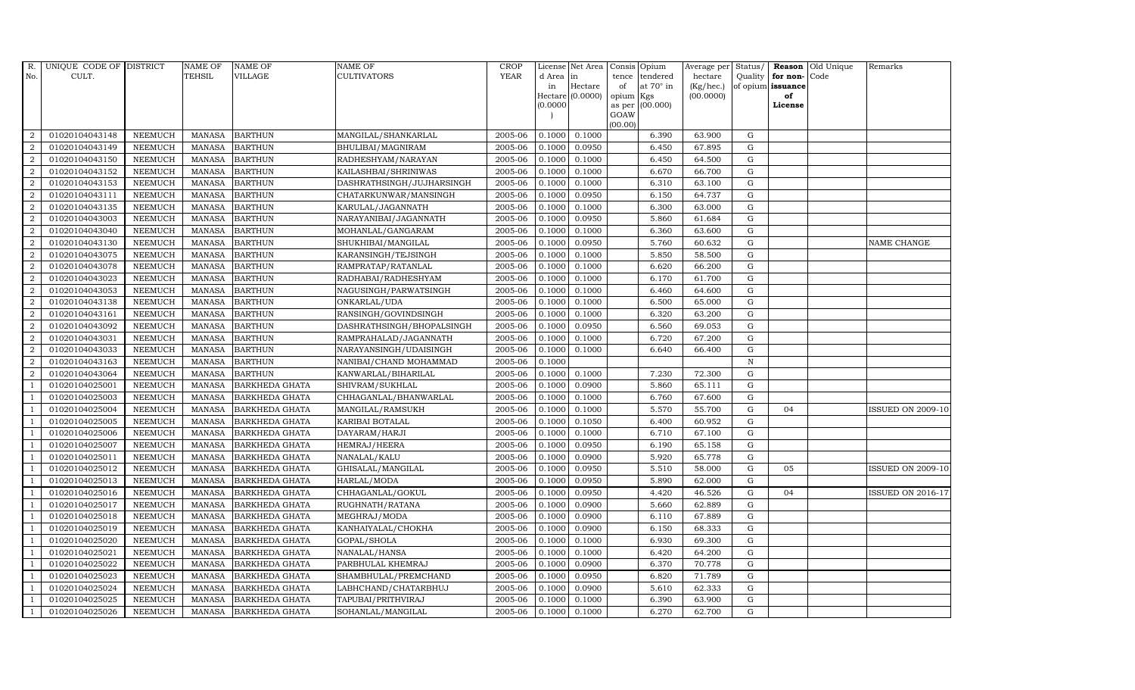| R.             | UNIQUE CODE OF DISTRICT |                | <b>NAME OF</b> | <b>NAME OF</b>        | NAME OF                   | <b>CROP</b> |           | License Net Area |                 | Consis Opium     | Average per | Status/      |                   | Reason Old Unique | Remarks                  |
|----------------|-------------------------|----------------|----------------|-----------------------|---------------------------|-------------|-----------|------------------|-----------------|------------------|-------------|--------------|-------------------|-------------------|--------------------------|
| No.            | CULT.                   |                | <b>TEHSIL</b>  | VILLAGE               | CULTIVATORS               | <b>YEAR</b> | d Area in |                  | tence           | tendered         | hectare     | Quality      | for non-Code      |                   |                          |
|                |                         |                |                |                       |                           |             | in        | Hectare          | of              | at $70^\circ$ in | (Kg/hec.)   |              | of opium issuance |                   |                          |
|                |                         |                |                |                       |                           |             | (0.0000)  | Hectare (0.0000) | opium<br>as per | Kgs<br>(00.000)  | (00.0000)   |              | of<br>License     |                   |                          |
|                |                         |                |                |                       |                           |             |           |                  | GOAW            |                  |             |              |                   |                   |                          |
|                |                         |                |                |                       |                           |             |           |                  | (00.00)         |                  |             |              |                   |                   |                          |
| $\overline{2}$ | 01020104043148          | <b>NEEMUCH</b> | MANASA         | <b>BARTHUN</b>        | MANGILAL/SHANKARLAL       | 2005-06     | 0.1000    | 0.1000           |                 | 6.390            | 63.900      | G            |                   |                   |                          |
| $\overline{2}$ | 01020104043149          | <b>NEEMUCH</b> | <b>MANASA</b>  | <b>BARTHUN</b>        | BHULIBAI/MAGNIRAM         | 2005-06     | 0.1000    | 0.0950           |                 | 6.450            | 67.895      | $\mathbf G$  |                   |                   |                          |
| 2              | 01020104043150          | <b>NEEMUCH</b> | <b>MANASA</b>  | <b>BARTHUN</b>        | RADHESHYAM/NARAYAN        | 2005-06     | 0.1000    | 0.1000           |                 | 6.450            | 64.500      | G            |                   |                   |                          |
| $\sqrt{2}$     | 01020104043152          | <b>NEEMUCH</b> | <b>MANASA</b>  | <b>BARTHUN</b>        | KAILASHBAI/SHRINIWAS      | 2005-06     | 0.1000    | 0.1000           |                 | 6.670            | 66.700      | ${\rm G}$    |                   |                   |                          |
| $\overline{a}$ | 01020104043153          | <b>NEEMUCH</b> | <b>MANASA</b>  | <b>BARTHUN</b>        | DASHRATHSINGH/JUJHARSINGH | 2005-06     | 0.1000    | 0.1000           |                 | 6.310            | 63.100      | ${\rm G}$    |                   |                   |                          |
| $\overline{2}$ | 01020104043111          | NEEMUCH        | <b>MANASA</b>  | <b>BARTHUN</b>        | CHATARKUNWAR/MANSINGH     | 2005-06     | 0.1000    | 0.0950           |                 | 6.150            | 64.737      | G            |                   |                   |                          |
| 2              | 01020104043135          | <b>NEEMUCH</b> | <b>MANASA</b>  | <b>BARTHUN</b>        | KARULAL/JAGANNATH         | 2005-06     | 0.1000    | 0.1000           |                 | 6.300            | 63.000      | $\mathbf G$  |                   |                   |                          |
| 2              | 01020104043003          | <b>NEEMUCH</b> | <b>MANASA</b>  | <b>BARTHUN</b>        | NARAYANIBAI/JAGANNATH     | 2005-06     | 0.1000    | 0.0950           |                 | 5.860            | 61.684      | $\mathbf G$  |                   |                   |                          |
| $\overline{2}$ | 01020104043040          | <b>NEEMUCH</b> | <b>MANASA</b>  | <b>BARTHUN</b>        | MOHANLAL/GANGARAM         | 2005-06     | 0.1000    | 0.1000           |                 | 6.360            | 63.600      | $\mathbf G$  |                   |                   |                          |
| $\overline{a}$ | 01020104043130          | <b>NEEMUCH</b> | <b>MANASA</b>  | <b>BARTHUN</b>        | SHUKHIBAI/MANGILAL        | 2005-06     | 0.1000    | 0.0950           |                 | 5.760            | 60.632      | G            |                   |                   | NAME CHANGE              |
| $\overline{2}$ | 01020104043075          | <b>NEEMUCH</b> | <b>MANASA</b>  | <b>BARTHUN</b>        | KARANSINGH/TEJSINGH       | 2005-06     | 0.1000    | 0.1000           |                 | 5.850            | 58.500      | ${\rm G}$    |                   |                   |                          |
| 2              | 01020104043078          | <b>NEEMUCH</b> | <b>MANASA</b>  | <b>BARTHUN</b>        | RAMPRATAP/RATANLAL        | 2005-06     | 0.1000    | 0.1000           |                 | 6.620            | 66.200      | $\mathbf G$  |                   |                   |                          |
| $\overline{2}$ | 01020104043023          | <b>NEEMUCH</b> | <b>MANASA</b>  | <b>BARTHUN</b>        | RADHABAI/RADHESHYAM       | 2005-06     | 0.1000    | 0.1000           |                 | 6.170            | 61.700      | $\mathbf G$  |                   |                   |                          |
| 2              | 01020104043053          | <b>NEEMUCH</b> | <b>MANASA</b>  | <b>BARTHUN</b>        | NAGUSINGH/PARWATSINGH     | 2005-06     | 0.1000    | 0.1000           |                 | 6.460            | 64.600      | G            |                   |                   |                          |
| $\overline{2}$ | 01020104043138          | <b>NEEMUCH</b> | <b>MANASA</b>  | <b>BARTHUN</b>        | ONKARLAL/UDA              | 2005-06     | 0.1000    | 0.1000           |                 | 6.500            | 65.000      | $\mathbf G$  |                   |                   |                          |
| $\overline{a}$ | 01020104043161          | <b>NEEMUCH</b> | <b>MANASA</b>  | <b>BARTHUN</b>        | RANSINGH/GOVINDSINGH      | 2005-06     | 0.1000    | 0.1000           |                 | 6.320            | 63.200      | ${\rm G}$    |                   |                   |                          |
| $\overline{2}$ | 01020104043092          | <b>NEEMUCH</b> | <b>MANASA</b>  | <b>BARTHUN</b>        | DASHRATHSINGH/BHOPALSINGH | 2005-06     | 0.1000    | 0.0950           |                 | 6.560            | 69.053      | G            |                   |                   |                          |
| $\overline{2}$ | 01020104043031          | <b>NEEMUCH</b> | <b>MANASA</b>  | <b>BARTHUN</b>        | RAMPRAHALAD/JAGANNATH     | 2005-06     | 0.1000    | 0.1000           |                 | 6.720            | 67.200      | $\mathbf G$  |                   |                   |                          |
| $\overline{a}$ | 01020104043033          | <b>NEEMUCH</b> | <b>MANASA</b>  | <b>BARTHUN</b>        | NARAYANSINGH/UDAISINGH    | 2005-06     | 0.1000    | 0.1000           |                 | 6.640            | 66.400      | $\mathbf G$  |                   |                   |                          |
| 2              | 01020104043163          | <b>NEEMUCH</b> | <b>MANASA</b>  | <b>BARTHUN</b>        | NANIBAI/CHAND MOHAMMAD    | 2005-06     | 0.1000    |                  |                 |                  |             | $\, {\rm N}$ |                   |                   |                          |
| $\overline{2}$ | 01020104043064          | <b>NEEMUCH</b> | <b>MANASA</b>  | <b>BARTHUN</b>        | KANWARLAL/BIHARILAL       | 2005-06     | 0.1000    | 0.1000           |                 | 7.230            | 72.300      | G            |                   |                   |                          |
| $\overline{1}$ | 01020104025001          | <b>NEEMUCH</b> | <b>MANASA</b>  | BARKHEDA GHATA        | SHIVRAM/SUKHLAL           | 2005-06     | 0.1000    | 0.0900           |                 | 5.860            | 65.111      | G            |                   |                   |                          |
| -1             | 01020104025003          | <b>NEEMUCH</b> | <b>MANASA</b>  | BARKHEDA GHATA        | CHHAGANLAL/BHANWARLAL     | 2005-06     | 0.1000    | 0.1000           |                 | 6.760            | 67.600      | G            |                   |                   |                          |
| $\overline{1}$ | 01020104025004          | <b>NEEMUCH</b> | <b>MANASA</b>  | <b>BARKHEDA GHATA</b> | MANGILAL/RAMSUKH          | 2005-06     | 0.1000    | 0.1000           |                 | 5.570            | 55.700      | $\mathbf G$  | 04                |                   | <b>ISSUED ON 2009-10</b> |
| $\overline{1}$ | 01020104025005          | <b>NEEMUCH</b> | <b>MANASA</b>  | BARKHEDA GHATA        | KARIBAI BOTALAL           | 2005-06     | 0.1000    | 0.1050           |                 | 6.400            | 60.952      | G            |                   |                   |                          |
| -1             | 01020104025006          | <b>NEEMUCH</b> | <b>MANASA</b>  | BARKHEDA GHATA        | DAYARAM/HARJI             | 2005-06     | 0.1000    | 0.1000           |                 | 6.710            | 67.100      | G            |                   |                   |                          |
| $\overline{1}$ | 01020104025007          | <b>NEEMUCH</b> | <b>MANASA</b>  | BARKHEDA GHATA        | HEMRAJ/HEERA              | 2005-06     | 0.1000    | 0.0950           |                 | 6.190            | 65.158      | G            |                   |                   |                          |
| $\overline{1}$ | 01020104025011          | <b>NEEMUCH</b> | <b>MANASA</b>  | <b>BARKHEDA GHATA</b> | NANALAL/KALU              | 2005-06     | 0.1000    | 0.0900           |                 | 5.920            | 65.778      | G            |                   |                   |                          |
| $\overline{1}$ | 01020104025012          | <b>NEEMUCH</b> | <b>MANASA</b>  | <b>BARKHEDA GHATA</b> | GHISALAL/MANGILAL         | 2005-06     | 0.1000    | 0.0950           |                 | 5.510            | 58.000      | $\mathbf G$  | 05                |                   | <b>ISSUED ON 2009-10</b> |
|                | 01020104025013          | <b>NEEMUCH</b> | <b>MANASA</b>  | BARKHEDA GHATA        | HARLAL/MODA               | 2005-06     | 0.1000    | 0.0950           |                 | 5.890            | 62.000      | $\mathbf G$  |                   |                   |                          |
| $\overline{1}$ | 01020104025016          | <b>NEEMUCH</b> | <b>MANASA</b>  | BARKHEDA GHATA        | CHHAGANLAL/GOKUL          | 2005-06     | 0.1000    | 0.0950           |                 | 4.420            | 46.526      | G            | 04                |                   | <b>ISSUED ON 2016-17</b> |
|                | 01020104025017          | <b>NEEMUCH</b> | <b>MANASA</b>  | BARKHEDA GHATA        | RUGHNATH/RATANA           | 2005-06     | 0.1000    | 0.0900           |                 | 5.660            | 62.889      | G            |                   |                   |                          |
| $\overline{1}$ | 01020104025018          | <b>NEEMUCH</b> | <b>MANASA</b>  | <b>BARKHEDA GHATA</b> | MEGHRAJ/MODA              | 2005-06     | 0.1000    | 0.0900           |                 | 6.110            | 67.889      | $\mathbf G$  |                   |                   |                          |
| $\overline{1}$ | 01020104025019          | <b>NEEMUCH</b> | <b>MANASA</b>  | <b>BARKHEDA GHATA</b> | KANHAIYALAL/CHOKHA        | 2005-06     | 0.1000    | 0.0900           |                 | 6.150            | 68.333      | $\mathbf G$  |                   |                   |                          |
|                | 01020104025020          | <b>NEEMUCH</b> | <b>MANASA</b>  | <b>BARKHEDA GHATA</b> | GOPAL/SHOLA               | 2005-06     | 0.1000    | 0.1000           |                 | 6.930            | 69.300      | $\mathbf G$  |                   |                   |                          |
| $\overline{1}$ | 01020104025021          | <b>NEEMUCH</b> | <b>MANASA</b>  | <b>BARKHEDA GHATA</b> | NANALAL/HANSA             | 2005-06     | 0.1000    | 0.1000           |                 | 6.420            | 64.200      | ${\rm G}$    |                   |                   |                          |
| $\overline{1}$ | 01020104025022          | <b>NEEMUCH</b> | <b>MANASA</b>  | <b>BARKHEDA GHATA</b> | PARBHULAL KHEMRAJ         | 2005-06     | 0.1000    | 0.0900           |                 | 6.370            | 70.778      | ${\rm G}$    |                   |                   |                          |
| $\mathbf{1}$   | 01020104025023          | <b>NEEMUCH</b> | <b>MANASA</b>  | BARKHEDA GHATA        | SHAMBHULAL/PREMCHAND      | 2005-06     | 0.1000    | 0.0950           |                 | 6.820            | 71.789      | G            |                   |                   |                          |
| $\overline{1}$ | 01020104025024          | <b>NEEMUCH</b> | <b>MANASA</b>  | <b>BARKHEDA GHATA</b> | LABHCHAND/CHATARBHUJ      | 2005-06     | 0.1000    | 0.0900           |                 | 5.610            | 62.333      | $\mathbf G$  |                   |                   |                          |
|                | 01020104025025          | <b>NEEMUCH</b> | <b>MANASA</b>  | <b>BARKHEDA GHATA</b> | TAPUBAI/PRITHVIRAJ        | 2005-06     | 0.1000    | 0.1000           |                 | 6.390            | 63.900      | $\mathbf G$  |                   |                   |                          |
| $\mathbf{1}$   | 01020104025026          | <b>NEEMUCH</b> | MANASA         | <b>BARKHEDA GHATA</b> | SOHANLAL/MANGILAL         | 2005-06     | 0.1000    | 0.1000           |                 | 6.270            | 62.700      | G            |                   |                   |                          |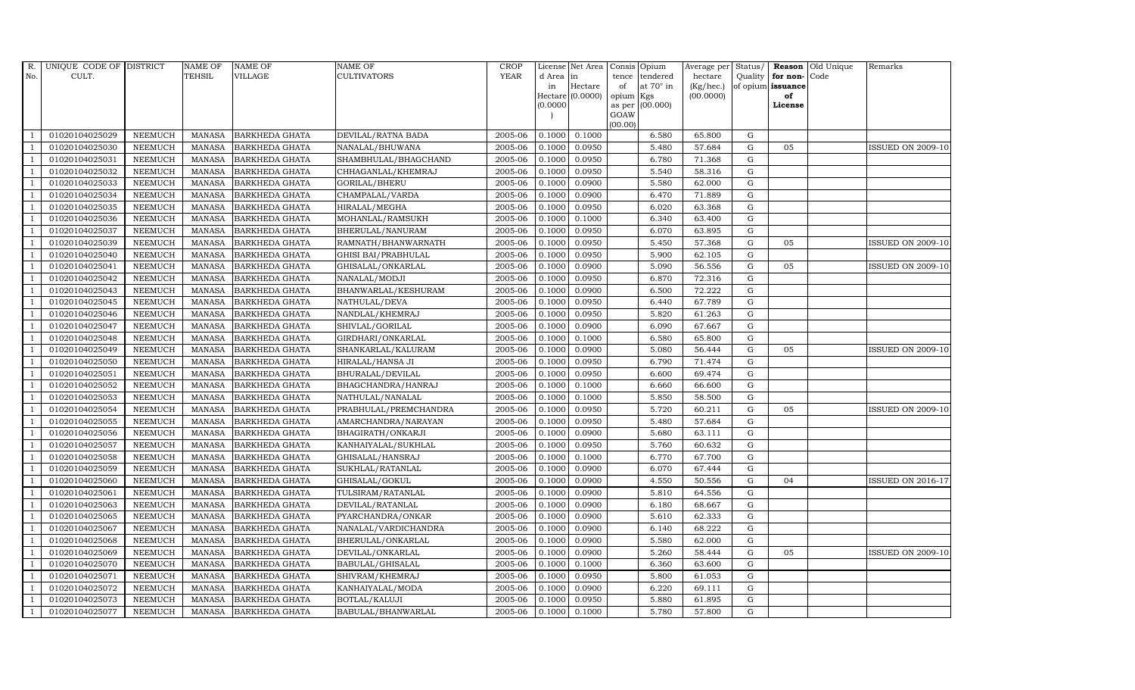| $R_{\cdot}$    | UNIQUE CODE OF DISTRICT |                | <b>NAME OF</b> | <b>NAME OF</b>        | <b>NAME OF</b>        | CROP        |          | License Net Area |           | Consis Opium    | Average per | Status/     | Reason            | Old Unique | Remarks                  |
|----------------|-------------------------|----------------|----------------|-----------------------|-----------------------|-------------|----------|------------------|-----------|-----------------|-------------|-------------|-------------------|------------|--------------------------|
| No.            | CULT.                   |                | <b>TEHSIL</b>  | VILLAGE               | CULTIVATORS           | <b>YEAR</b> | d Area   | in               | tence     | tendered        | hectare     |             | Quality for non-  | Code       |                          |
|                |                         |                |                |                       |                       |             | in       | Hectare          | of        | at 70° in       | (Kg/hec.)   |             | of opium issuance |            |                          |
|                |                         |                |                |                       |                       |             | (0.0000) | Hectare (0.0000) | opium Kgs | as per (00.000) | (00.0000)   |             | of<br>License     |            |                          |
|                |                         |                |                |                       |                       |             |          |                  | GOAW      |                 |             |             |                   |            |                          |
|                |                         |                |                |                       |                       |             |          |                  | (00.00)   |                 |             |             |                   |            |                          |
|                | 01020104025029          | <b>NEEMUCH</b> | <b>MANASA</b>  | <b>BARKHEDA GHATA</b> | DEVILAL/RATNA BADA    | 2005-06     | 0.1000   | 0.1000           |           | 6.580           | 65.800      | ${\rm G}$   |                   |            |                          |
| -1             | 01020104025030          | <b>NEEMUCH</b> | <b>MANASA</b>  | <b>BARKHEDA GHATA</b> | NANALAL/BHUWANA       | 2005-06     | 0.1000   | 0.0950           |           | 5.480           | 57.684      | ${\rm G}$   | 05                |            | <b>ISSUED ON 2009-10</b> |
|                | 01020104025031          | <b>NEEMUCH</b> | <b>MANASA</b>  | <b>BARKHEDA GHATA</b> | SHAMBHULAL/BHAGCHAND  | 2005-06     | 0.1000   | 0.0950           |           | 6.780           | 71.368      | G           |                   |            |                          |
|                | 01020104025032          | <b>NEEMUCH</b> | <b>MANASA</b>  | <b>BARKHEDA GHATA</b> | CHHAGANLAL/KHEMRAJ    | 2005-06     | 0.1000   | 0.0950           |           | 5.540           | 58.316      | $\mathbf G$ |                   |            |                          |
|                | 01020104025033          | <b>NEEMUCH</b> | <b>MANASA</b>  | <b>BARKHEDA GHATA</b> | GORILAL/BHERU         | 2005-06     | 0.1000   | 0.0900           |           | 5.580           | 62.000      | ${\rm G}$   |                   |            |                          |
| $\overline{1}$ | 01020104025034          | <b>NEEMUCH</b> | <b>MANASA</b>  | <b>BARKHEDA GHATA</b> | CHAMPALAL/VARDA       | 2005-06     | 0.1000   | 0.0900           |           | 6.470           | 71.889      | $\mathbf G$ |                   |            |                          |
| - 1            | 01020104025035          | <b>NEEMUCH</b> | <b>MANASA</b>  | <b>BARKHEDA GHATA</b> | HIRALAL/MEGHA         | 2005-06     | 0.1000   | 0.0950           |           | 6.020           | 63.368      | ${\rm G}$   |                   |            |                          |
| $\overline{1}$ | 01020104025036          | NEEMUCH        | <b>MANASA</b>  | <b>BARKHEDA GHATA</b> | MOHANLAL/RAMSUKH      | 2005-06     | 0.1000   | 0.1000           |           | 6.340           | 63.400      | $\mathbf G$ |                   |            |                          |
|                | 01020104025037          | <b>NEEMUCH</b> | <b>MANASA</b>  | <b>BARKHEDA GHATA</b> | BHERULAL/NANURAM      | 2005-06     | 0.1000   | 0.0950           |           | 6.070           | 63.895      | G           |                   |            |                          |
| $\overline{1}$ | 01020104025039          | <b>NEEMUCH</b> | <b>MANASA</b>  | BARKHEDA GHATA        | RAMNATH/BHANWARNATH   | 2005-06     | 0.1000   | 0.0950           |           | 5.450           | 57.368      | ${\rm G}$   | 05                |            | <b>ISSUED ON 2009-10</b> |
| $\overline{1}$ | 01020104025040          | <b>NEEMUCH</b> | <b>MANASA</b>  | BARKHEDA GHATA        | GHISI BAI/PRABHULAL   | 2005-06     | 0.1000   | 0.0950           |           | 5.900           | 62.105      | ${\rm G}$   |                   |            |                          |
| $\overline{1}$ | 01020104025041          | <b>NEEMUCH</b> | <b>MANASA</b>  | <b>BARKHEDA GHATA</b> | GHISALAL/ONKARLAL     | 2005-06     | 0.1000   | 0.0900           |           | 5.090           | 56.556      | G           | 05                |            | <b>ISSUED ON 2009-10</b> |
| $\overline{1}$ | 01020104025042          | <b>NEEMUCH</b> | <b>MANASA</b>  | <b>BARKHEDA GHATA</b> | NANALAL/MODJI         | 2005-06     | 0.1000   | 0.0950           |           | 6.870           | 72.316      | $\mathbf G$ |                   |            |                          |
|                | 01020104025043          | <b>NEEMUCH</b> | <b>MANASA</b>  | <b>BARKHEDA GHATA</b> | BHANWARLAL/KESHURAM   | 2005-06     | 0.1000   | 0.0900           |           | 6.500           | 72.222      | $\mathbf G$ |                   |            |                          |
|                | 01020104025045          | <b>NEEMUCH</b> | <b>MANASA</b>  | BARKHEDA GHATA        | NATHULAL/DEVA         | 2005-06     | 0.1000   | 0.0950           |           | 6.440           | 67.789      | ${\rm G}$   |                   |            |                          |
| $\mathbf{1}$   | 01020104025046          | <b>NEEMUCH</b> | <b>MANASA</b>  | BARKHEDA GHATA        | NANDLAL/KHEMRAJ       | 2005-06     | 0.1000   | 0.0950           |           | 5.820           | 61.263      | ${\rm G}$   |                   |            |                          |
| $\overline{1}$ | 01020104025047          | <b>NEEMUCH</b> | <b>MANASA</b>  | BARKHEDA GHATA        | SHIVLAL/GORILAL       | 2005-06     | 0.1000   | 0.0900           |           | 6.090           | 67.667      | G           |                   |            |                          |
| $\overline{1}$ | 01020104025048          | <b>NEEMUCH</b> | <b>MANASA</b>  | <b>BARKHEDA GHATA</b> | GIRDHARI/ONKARLAL     | 2005-06     | 0.1000   | 0.1000           |           | 6.580           | 65.800      | $\mathbf G$ |                   |            |                          |
|                | 01020104025049          | <b>NEEMUCH</b> | <b>MANASA</b>  | <b>BARKHEDA GHATA</b> | SHANKARLAL/KALURAM    | 2005-06     | 0.1000   | 0.0900           |           | 5.080           | 56.444      | $\mathbf G$ | 05                |            | <b>ISSUED ON 2009-10</b> |
|                | 01020104025050          | <b>NEEMUCH</b> | <b>MANASA</b>  | <b>BARKHEDA GHATA</b> | HIRALAL/HANSA JI      | 2005-06     | 0.1000   | 0.0950           |           | 6.790           | 71.474      | $\mathbf G$ |                   |            |                          |
|                | 01020104025051          | <b>NEEMUCH</b> | <b>MANASA</b>  | BARKHEDA GHATA        | BHURALAL/DEVILAL      | 2005-06     | 0.1000   | 0.0950           |           | 6.600           | 69.474      | ${\rm G}$   |                   |            |                          |
|                | 01020104025052          | <b>NEEMUCH</b> | <b>MANASA</b>  | BARKHEDA GHATA        | BHAGCHANDRA/HANRAJ    | 2005-06     | 0.1000   | 0.1000           |           | 6.660           | 66.600      | ${\rm G}$   |                   |            |                          |
| $\overline{1}$ | 01020104025053          | <b>NEEMUCH</b> | <b>MANASA</b>  | <b>BARKHEDA GHATA</b> | NATHULAL/NANALAL      | 2005-06     | 0.1000   | 0.1000           |           | 5.850           | 58.500      | G           |                   |            |                          |
|                | 01020104025054          | <b>NEEMUCH</b> | <b>MANASA</b>  | <b>BARKHEDA GHATA</b> | PRABHULAL/PREMCHANDRA | 2005-06     | 0.1000   | 0.0950           |           | 5.720           | 60.211      | $\mathbf G$ | 05                |            | <b>ISSUED ON 2009-10</b> |
|                | 01020104025055          | <b>NEEMUCH</b> | <b>MANASA</b>  | BARKHEDA GHATA        | AMARCHANDRA/NARAYAN   | 2005-06     | 0.1000   | 0.0950           |           | 5.480           | 57.684      | $\mathbf G$ |                   |            |                          |
| $\overline{1}$ | 01020104025056          | <b>NEEMUCH</b> | <b>MANASA</b>  | <b>BARKHEDA GHATA</b> | BHAGIRATH/ONKARJI     | 2005-06     | 0.1000   | 0.0900           |           | 5.680           | 63.111      | ${\rm G}$   |                   |            |                          |
|                | 01020104025057          | <b>NEEMUCH</b> | <b>MANASA</b>  | <b>BARKHEDA GHATA</b> | KANHAIYALAL/SUKHLAL   | 2005-06     | 0.1000   | 0.0950           |           | 5.760           | 60.632      | ${\rm G}$   |                   |            |                          |
| - 1            | 01020104025058          | <b>NEEMUCH</b> | <b>MANASA</b>  | <b>BARKHEDA GHATA</b> | GHISALAL/HANSRAJ      | 2005-06     | 0.1000   | 0.1000           |           | 6.770           | 67.700      | $\mathbf G$ |                   |            |                          |
| $\overline{1}$ | 01020104025059          | <b>NEEMUCH</b> | <b>MANASA</b>  | <b>BARKHEDA GHATA</b> | SUKHLAL/RATANLAL      | 2005-06     | 0.1000   | 0.0900           |           | 6.070           | 67.444      | $\mathbf G$ |                   |            |                          |
|                | 01020104025060          | <b>NEEMUCH</b> | <b>MANASA</b>  | BARKHEDA GHATA        | GHISALAL/GOKUL        | 2005-06     | 0.1000   | 0.0900           |           | 4.550           | 50.556      | $\mathbf G$ | 04                |            | <b>ISSUED ON 2016-17</b> |
| -1             | 01020104025061          | <b>NEEMUCH</b> | <b>MANASA</b>  | BARKHEDA GHATA        | TULSIRAM/RATANLAL     | 2005-06     | 0.1000   | 0.0900           |           | 5.810           | 64.556      | G           |                   |            |                          |
| -1             | 01020104025063          | <b>NEEMUCH</b> | <b>MANASA</b>  | <b>BARKHEDA GHATA</b> | DEVILAL/RATANLAL      | 2005-06     | 0.1000   | 0.0900           |           | 6.180           | 68.667      | ${\rm G}$   |                   |            |                          |
| $\overline{1}$ | 01020104025065          | <b>NEEMUCH</b> | <b>MANASA</b>  | <b>BARKHEDA GHATA</b> | PYARCHANDRA/ONKAR     | 2005-06     | 0.1000   | 0.0900           |           | 5.610           | 62.333      | ${\rm G}$   |                   |            |                          |
| $\overline{1}$ | 01020104025067          | <b>NEEMUCH</b> | <b>MANASA</b>  | <b>BARKHEDA GHATA</b> | NANALAL/VARDICHANDRA  | 2005-06     | 0.1000   | 0.0900           |           | 6.140           | 68.222      | $\mathbf G$ |                   |            |                          |
|                | 01020104025068          | <b>NEEMUCH</b> | <b>MANASA</b>  | <b>BARKHEDA GHATA</b> | BHERULAL/ONKARLAL     | 2005-06     | 0.1000   | 0.0900           |           | 5.580           | 62.000      | $\mathbf G$ |                   |            |                          |
| $\overline{1}$ | 01020104025069          | <b>NEEMUCH</b> | <b>MANASA</b>  | BARKHEDA GHATA        | DEVILAL/ONKARLAL      | 2005-06     | 0.1000   | 0.0900           |           | 5.260           | 58.444      | ${\rm G}$   | 05                |            | <b>ISSUED ON 2009-10</b> |
| -1             | 01020104025070          | <b>NEEMUCH</b> | <b>MANASA</b>  | BARKHEDA GHATA        | BABULAL/GHISALAL      | 2005-06     | 0.1000   | 0.1000           |           | 6.360           | 63.600      | ${\rm G}$   |                   |            |                          |
| $\overline{1}$ | 01020104025071          | <b>NEEMUCH</b> | <b>MANASA</b>  | BARKHEDA GHATA        | SHIVRAM/KHEMRAJ       | 2005-06     | 0.1000   | 0.0950           |           | 5.800           | 61.053      | ${\rm G}$   |                   |            |                          |
| $\overline{1}$ | 01020104025072          | <b>NEEMUCH</b> | <b>MANASA</b>  | <b>BARKHEDA GHATA</b> | KANHAIYALAL/MODA      | 2005-06     | 0.1000   | 0.0900           |           | 6.220           | 69.111      | G           |                   |            |                          |
|                | 01020104025073          | <b>NEEMUCH</b> | <b>MANASA</b>  | <b>BARKHEDA GHATA</b> | BOTLAL/KALUJI         | 2005-06     | 0.1000   | 0.0950           |           | 5.880           | 61.895      | $\mathbf G$ |                   |            |                          |
| $\mathbf{1}$   | 01020104025077          | <b>NEEMUCH</b> | MANASA         | <b>BARKHEDA GHATA</b> | BABULAL/BHANWARLAL    | 2005-06     | 0.1000   | 0.1000           |           | 5.780           | 57.800      | G           |                   |            |                          |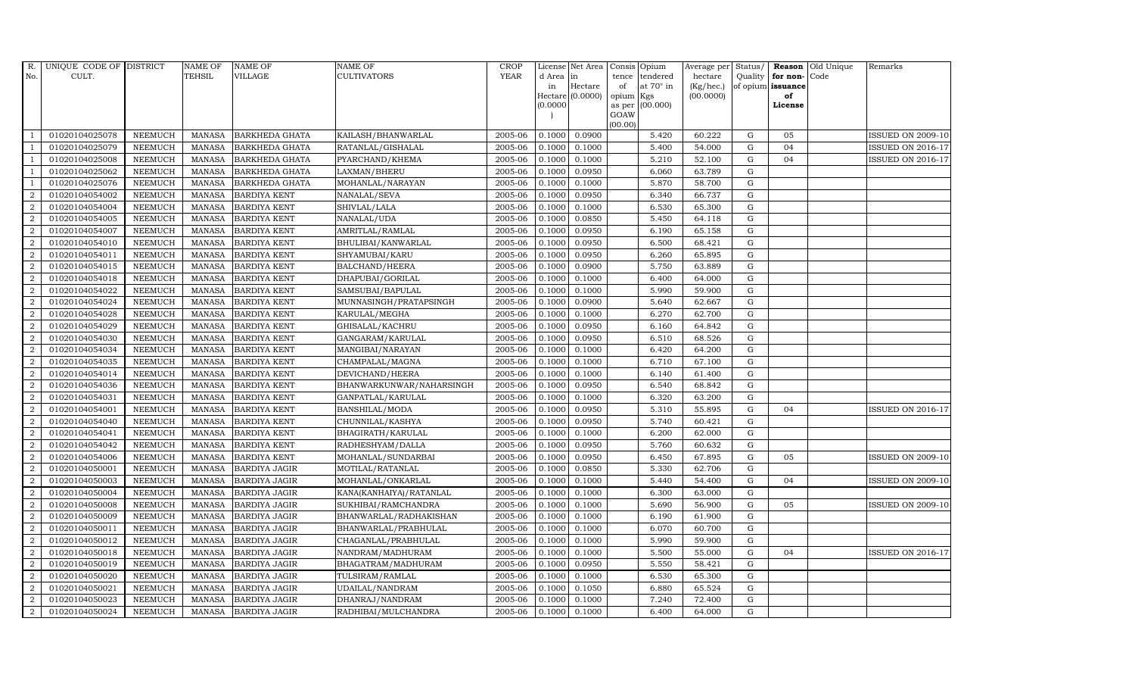| R.               | UNIQUE CODE OF DISTRICT |                | <b>NAME OF</b> | <b>NAME OF</b>        | <b>NAME OF</b>            | CROP        |            | License Net Area | Consis          | Opium            | Average per Status/ |             |                   | <b>Reason</b> Old Unique | Remarks                  |
|------------------|-------------------------|----------------|----------------|-----------------------|---------------------------|-------------|------------|------------------|-----------------|------------------|---------------------|-------------|-------------------|--------------------------|--------------------------|
| No.              | CULT.                   |                | <b>TEHSIL</b>  | <b>VILLAGE</b>        | <b>CULTIVATORS</b>        | <b>YEAR</b> | d Area  in |                  | tence           | tendered         | hectare             | Quality     | for non-Code      |                          |                          |
|                  |                         |                |                |                       |                           |             | in         | Hectare          | of              | at $70^\circ$ in | (Kg/hec.)           |             | of opium issuance |                          |                          |
|                  |                         |                |                |                       |                           |             |            | Hectare (0.0000) | opium           | Kgs              | (00.0000)           |             | of                |                          |                          |
|                  |                         |                |                |                       |                           |             | 0.0000     |                  | as per          | (00.000)         |                     |             | License           |                          |                          |
|                  |                         |                |                |                       |                           |             |            |                  | GOAW<br>(00.00) |                  |                     |             |                   |                          |                          |
|                  | 01020104025078          | <b>NEEMUCH</b> | MANASA         | <b>BARKHEDA GHATA</b> | KAILASH/BHANWARLAL        | 2005-06     | 0.1000     | 0.0900           |                 | 5.420            | 60.222              | G           | 05                |                          | <b>ISSUED ON 2009-10</b> |
| $\overline{1}$   | 01020104025079          | <b>NEEMUCH</b> | <b>MANASA</b>  | <b>BARKHEDA GHATA</b> | RATANLAL/GISHALAL         | 2005-06     | 0.1000     | 0.1000           |                 | 5.400            | 54.000              | G           | 04                |                          | <b>ISSUED ON 2016-17</b> |
| $\overline{1}$   | 01020104025008          | <b>NEEMUCH</b> | <b>MANASA</b>  | <b>BARKHEDA GHATA</b> | PYARCHAND/KHEMA           | 2005-06     | 0.1000     | 0.1000           |                 | 5.210            | 52.100              | $\mathbf G$ | 04                |                          | ISSUED ON 2016-17        |
|                  | 01020104025062          | <b>NEEMUCH</b> | <b>MANASA</b>  | <b>BARKHEDA GHATA</b> | LAXMAN/BHERU              | 2005-06     | 0.1000     | 0.0950           |                 | 6.060            | 63.789              | G           |                   |                          |                          |
| -1               | 01020104025076          | <b>NEEMUCH</b> | <b>MANASA</b>  | <b>BARKHEDA GHATA</b> | MOHANLAL/NARAYAN          | 2005-06     | 0.1000     | 0.1000           |                 | 5.870            | 58.700              | G           |                   |                          |                          |
| $\overline{2}$   | 01020104054002          | <b>NEEMUCH</b> | <b>MANASA</b>  | <b>BARDIYA KENT</b>   | NANALAL/SEVA              | 2005-06     | 0.1000     | 0.0950           |                 | 6.340            | 66.737              | G           |                   |                          |                          |
| $\overline{2}$   | 01020104054004          | <b>NEEMUCH</b> | <b>MANASA</b>  | <b>BARDIYA KENT</b>   | SHIVLAL/LALA              | 2005-06     | 0.1000     | 0.1000           |                 | 6.530            | 65.300              | G           |                   |                          |                          |
| $\overline{2}$   | 01020104054005          | <b>NEEMUCH</b> | <b>MANASA</b>  | <b>BARDIYA KENT</b>   | NANALAL/UDA               | 2005-06     | 0.1000     | 0.0850           |                 | 5.450            | 64.118              | G           |                   |                          |                          |
| $\overline{2}$   | 01020104054007          | <b>NEEMUCH</b> | <b>MANASA</b>  | <b>BARDIYA KENT</b>   | AMRITLAL/RAMLAL           | 2005-06     | 0.1000     | 0.0950           |                 | 6.190            | 65.158              | G           |                   |                          |                          |
| $\overline{2}$   | 01020104054010          | <b>NEEMUCH</b> | <b>MANASA</b>  | <b>BARDIYA KENT</b>   | BHULIBAI/KANWARLAL        | 2005-06     | 0.1000     | 0.0950           |                 | 6.500            | 68.421              | ${\bf G}$   |                   |                          |                          |
| 2                | 01020104054011          | <b>NEEMUCH</b> | <b>MANASA</b>  | <b>BARDIYA KENT</b>   | SHYAMUBAI/KARU            | 2005-06     | 0.1000     | 0.0950           |                 | 6.260            | 65.895              | G           |                   |                          |                          |
| $\overline{2}$   | 01020104054015          | <b>NEEMUCH</b> | <b>MANASA</b>  | <b>BARDIYA KENT</b>   | <b>BALCHAND/HEERA</b>     | 2005-06     | 0.1000     | 0.0900           |                 | 5.750            | 63.889              | G           |                   |                          |                          |
| 2                | 01020104054018          | <b>NEEMUCH</b> | <b>MANASA</b>  | <b>BARDIYA KENT</b>   | DHAPUBAI/GORILAL          | 2005-06     | 0.1000     | 0.1000           |                 | 6.400            | 64.000              | G           |                   |                          |                          |
| $\overline{2}$   | 01020104054022          | <b>NEEMUCH</b> | <b>MANASA</b>  | <b>BARDIYA KENT</b>   | SAMSUBAI/BAPULAL          | 2005-06     | 0.1000     | 0.1000           |                 | 5.990            | 59.900              | G           |                   |                          |                          |
| $\overline{2}$   | 01020104054024          | <b>NEEMUCH</b> | <b>MANASA</b>  | <b>BARDIYA KENT</b>   | MUNNASINGH/PRATAPSINGH    | 2005-06     | 0.1000     | 0.0900           |                 | 5.640            | 62.667              | G           |                   |                          |                          |
| 2                | 01020104054028          | <b>NEEMUCH</b> | <b>MANASA</b>  | <b>BARDIYA KENT</b>   | KARULAL/MEGHA             | 2005-06     | 0.1000     | 0.1000           |                 | 6.270            | 62.700              | G           |                   |                          |                          |
| $\overline{a}$   | 01020104054029          | <b>NEEMUCH</b> | <b>MANASA</b>  | <b>BARDIYA KENT</b>   | GHISALAL/KACHRU           | 2005-06     | 0.1000     | 0.0950           |                 | 6.160            | 64.842              | $\mathbf G$ |                   |                          |                          |
| 2                | 01020104054030          | <b>NEEMUCH</b> | <b>MANASA</b>  | <b>BARDIYA KENT</b>   | GANGARAM/KARULAL          | 2005-06     | 0.1000     | 0.0950           |                 | 6.510            | 68.526              | G           |                   |                          |                          |
| $\overline{2}$   | 01020104054034          | <b>NEEMUCH</b> | <b>MANASA</b>  | <b>BARDIYA KENT</b>   | MANGIBAI/NARAYAN          | 2005-06     | 0.1000     | 0.1000           |                 | 6.420            | 64.200              | G           |                   |                          |                          |
| $\overline{a}$   | 01020104054035          | <b>NEEMUCH</b> | <b>MANASA</b>  | <b>BARDIYA KENT</b>   | CHAMPALAL/MAGNA           | 2005-06     | 0.1000     | 0.1000           |                 | 6.710            | 67.100              | G           |                   |                          |                          |
| 2                | 01020104054014          | <b>NEEMUCH</b> | <b>MANASA</b>  | <b>BARDIYA KENT</b>   | DEVICHAND/HEERA           | 2005-06     | 0.1000     | 0.1000           |                 | 6.140            | 61.400              | G           |                   |                          |                          |
| $\overline{a}$   | 01020104054036          | <b>NEEMUCH</b> | <b>MANASA</b>  | <b>BARDIYA KENT</b>   | BHANWARKUNWAR/NAHARSINGH  | 2005-06     | 0.1000     | 0.0950           |                 | 6.540            | 68.842              | G           |                   |                          |                          |
| 2                | 01020104054031          | <b>NEEMUCH</b> | <b>MANASA</b>  | <b>BARDIYA KENT</b>   | GANPATLAL/KARULAL         | 2005-06     | 0.1000     | 0.1000           |                 | 6.320            | 63.200              | G           |                   |                          |                          |
| $\overline{2}$   | 01020104054001          | <b>NEEMUCH</b> | <b>MANASA</b>  | <b>BARDIYA KENT</b>   | BANSHILAL/MODA            | 2005-06     | 0.1000     | 0.0950           |                 | 5.310            | 55.895              | $\mathbf G$ | 04                |                          | <b>ISSUED ON 2016-17</b> |
| $\overline{2}$   | 01020104054040          | <b>NEEMUCH</b> | <b>MANASA</b>  | <b>BARDIYA KENT</b>   | CHUNNILAL/KASHYA          | 2005-06     | 0.1000     | 0.0950           |                 | 5.740            | 60.421              | G           |                   |                          |                          |
| 2                | 01020104054041          | <b>NEEMUCH</b> | <b>MANASA</b>  | <b>BARDIYA KENT</b>   | BHAGIRATH/KARULAL         | 2005-06     | 0.1000     | 0.1000           |                 | 6.200            | 62.000              | G           |                   |                          |                          |
| $\overline{a}$   | 01020104054042          | <b>NEEMUCH</b> | <b>MANASA</b>  | <b>BARDIYA KENT</b>   | RADHESHYAM/DALLA          | 2005-06     | 0.1000     | 0.0950           |                 | 5.760            | 60.632              | $\mathbf G$ |                   |                          |                          |
| 2                | 01020104054006          | <b>NEEMUCH</b> | <b>MANASA</b>  | <b>BARDIYA KENT</b>   | MOHANLAL/SUNDARBAI        | 2005-06     | 0.1000     | 0.0950           |                 | 6.450            | 67.895              | G           | 05                |                          | <b>ISSUED ON 2009-10</b> |
| $\boldsymbol{2}$ | 01020104050001          | <b>NEEMUCH</b> | <b>MANASA</b>  | <b>BARDIYA JAGIR</b>  | MOTILAL/RATANLAL          | 2005-06     | 0.1000     | 0.0850           |                 | 5.330            | 62.706              | $\mathbf G$ |                   |                          |                          |
| $\boldsymbol{2}$ | 01020104050003          | <b>NEEMUCH</b> | <b>MANASA</b>  | <b>BARDIYA JAGIR</b>  | MOHANLAL/ONKARLAL         | 2005-06     | 0.1000     | 0.1000           |                 | 5.440            | 54.400              | G           | 04                |                          | <b>ISSUED ON 2009-10</b> |
| $\overline{a}$   | 01020104050004          | <b>NEEMUCH</b> | <b>MANASA</b>  | <b>BARDIYA JAGIR</b>  | KANA(KANHAIYA) / RATANLAL | 2005-06     | 0.1000     | 0.1000           |                 | 6.300            | 63.000              | G           |                   |                          |                          |
| $\overline{a}$   | 01020104050008          | <b>NEEMUCH</b> | <b>MANASA</b>  | <b>BARDIYA JAGIR</b>  | SUKHIBAI/RAMCHANDRA       | 2005-06     | 0.1000     | 0.1000           |                 | 5.690            | 56.900              | G           | 05                |                          | <b>ISSUED ON 2009-10</b> |
| 2                | 01020104050009          | <b>NEEMUCH</b> | <b>MANASA</b>  | <b>BARDIYA JAGIR</b>  | BHANWARLAL/RADHAKISHAN    | 2005-06     | 0.1000     | 0.1000           |                 | 6.190            | 61.900              | G           |                   |                          |                          |
| $\overline{2}$   | 01020104050011          | <b>NEEMUCH</b> | <b>MANASA</b>  | <b>BARDIYA JAGIR</b>  | BHANWARLAL/PRABHULAL      | 2005-06     | 0.1000     | 0.1000           |                 | 6.070            | 60.700              | G           |                   |                          |                          |
| 2                | 01020104050012          | <b>NEEMUCH</b> | <b>MANASA</b>  | <b>BARDIYA JAGIR</b>  | CHAGANLAL/PRABHULAL       | 2005-06     | 0.1000     | 0.1000           |                 | 5.990            | 59.900              | G           |                   |                          |                          |
| $\overline{a}$   | 01020104050018          | <b>NEEMUCH</b> | <b>MANASA</b>  | <b>BARDIYA JAGIR</b>  | NANDRAM/MADHURAM          | 2005-06     | 0.1000     | 0.1000           |                 | 5.500            | 55.000              | G           | 04                |                          | ISSUED ON 2016-17        |
| $\overline{a}$   | 01020104050019          | <b>NEEMUCH</b> | <b>MANASA</b>  | <b>BARDIYA JAGIR</b>  | BHAGATRAM/MADHURAM        | 2005-06     | 0.1000     | 0.0950           |                 | 5.550            | 58.421              | G           |                   |                          |                          |
| $\overline{2}$   | 01020104050020          | <b>NEEMUCH</b> | MANASA         | <b>BARDIYA JAGIR</b>  | TULSIRAM/RAMLAL           | 2005-06     | 0.1000     | 0.1000           |                 | 6.530            | 65.300              | G           |                   |                          |                          |
| $\boldsymbol{2}$ | 01020104050021          | <b>NEEMUCH</b> | <b>MANASA</b>  | <b>BARDIYA JAGIR</b>  | UDAILAL/NANDRAM           | 2005-06     | 0.1000     | 0.1050           |                 | 6.880            | 65.524              | G           |                   |                          |                          |
| 2                | 01020104050023          | <b>NEEMUCH</b> | <b>MANASA</b>  | <b>BARDIYA JAGIR</b>  | DHANRAJ/NANDRAM           | 2005-06     | 0.1000     | 0.1000           |                 | 7.240            | 72.400              | G           |                   |                          |                          |
| $\overline{2}$   | 01020104050024          | <b>NEEMUCH</b> | <b>MANASA</b>  | <b>BARDIYA JAGIR</b>  | RADHIBAI/MULCHANDRA       | 2005-06     | 0.1000     | 0.1000           |                 | 6.400            | 64.000              | G           |                   |                          |                          |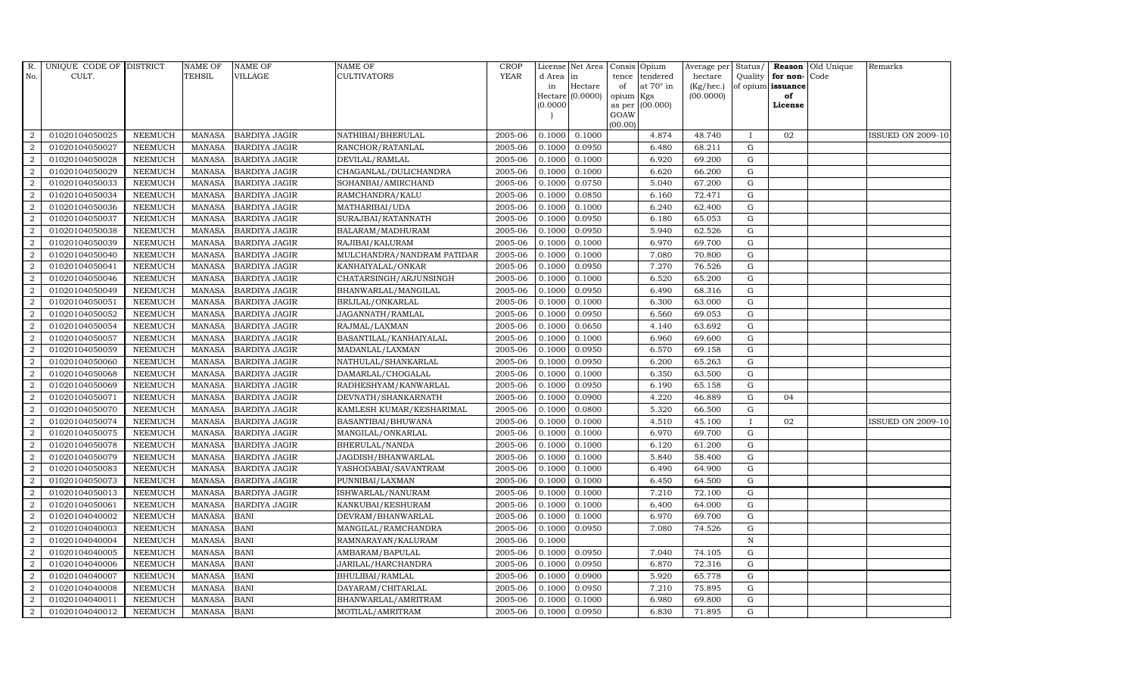| R.               | UNIQUE CODE OF DISTRICT |                | <b>NAME OF</b> | <b>NAME OF</b>       | <b>NAME OF</b>             | CROP        |           | License Net Area   Consis   Opium |           |                  | Average per | Status/      | Reason            | Old Unique | Remarks                  |
|------------------|-------------------------|----------------|----------------|----------------------|----------------------------|-------------|-----------|-----------------------------------|-----------|------------------|-------------|--------------|-------------------|------------|--------------------------|
| No.              | CULT.                   |                | <b>TEHSIL</b>  | <b>VILLAGE</b>       | <b>CULTIVATORS</b>         | <b>YEAR</b> | d Area in |                                   | tence     | tendered         | hectare     | Quality      | for non-          | Code       |                          |
|                  |                         |                |                |                      |                            |             | in        | Hectare                           | of        | at $70^\circ$ in | (Kg/hec.)   |              | of opium issuance |            |                          |
|                  |                         |                |                |                      |                            |             |           | Hectare (0.0000)                  | opium Kgs |                  | (00.0000)   |              | of                |            |                          |
|                  |                         |                |                |                      |                            |             | (0.0000)  |                                   | GOAW      | as per (00.000)  |             |              | License           |            |                          |
|                  |                         |                |                |                      |                            |             |           |                                   | (00.00)   |                  |             |              |                   |            |                          |
| $\overline{2}$   | 01020104050025          | <b>NEEMUCH</b> | MANASA         | <b>BARDIYA JAGIR</b> | NATHIBAI/BHERULAL          | 2005-06     | 0.1000    | 0.1000                            |           | 4.874            | 48.740      | $\mathbf{I}$ | 02                |            | <b>ISSUED ON 2009-10</b> |
| $\overline{2}$   | 01020104050027          | <b>NEEMUCH</b> | MANASA         | <b>BARDIYA JAGIR</b> | RANCHOR/RATANLAL           | 2005-06     | 0.1000    | 0.0950                            |           | 6.480            | 68.211      | $\mathbf G$  |                   |            |                          |
| 2                | 01020104050028          | <b>NEEMUCH</b> | <b>MANASA</b>  | <b>BARDIYA JAGIR</b> | DEVILAL/RAMLAL             | 2005-06     | 0.1000    | 0.1000                            |           | 6.920            | 69.200      | G            |                   |            |                          |
| $\overline{2}$   | 01020104050029          | <b>NEEMUCH</b> | <b>MANASA</b>  | <b>BARDIYA JAGIR</b> | CHAGANLAL/DULICHANDRA      | 2005-06     | 0.1000    | 0.1000                            |           | 6.620            | 66.200      | $\mathbf G$  |                   |            |                          |
| $\overline{a}$   | 01020104050033          | <b>NEEMUCH</b> | <b>MANASA</b>  | <b>BARDIYA JAGIR</b> | SOHANBAI/AMIRCHAND         | 2005-06     | 0.1000    | 0.0750                            |           | 5.040            | 67.200      | ${\rm G}$    |                   |            |                          |
| $\overline{2}$   | 01020104050034          | <b>NEEMUCH</b> | <b>MANASA</b>  | <b>BARDIYA JAGIR</b> | RAMCHANDRA/KALU            | 2005-06     | 0.1000    | 0.0850                            |           | 6.160            | 72.471      | $\mathbf G$  |                   |            |                          |
| $\overline{a}$   | 01020104050036          | <b>NEEMUCH</b> | <b>MANASA</b>  | <b>BARDIYA JAGIR</b> | MATHARIBAI/UDA             | 2005-06     | 0.1000    | 0.1000                            |           | 6.240            | 62.400      | $\mathbf G$  |                   |            |                          |
| $\overline{2}$   | 01020104050037          | <b>NEEMUCH</b> | <b>MANASA</b>  | <b>BARDIYA JAGIR</b> | SURAJBAI/RATANNATH         | 2005-06     | 0.1000    | 0.0950                            |           | 6.180            | 65.053      | $\mathbf G$  |                   |            |                          |
| $\overline{2}$   | 01020104050038          | <b>NEEMUCH</b> | <b>MANASA</b>  | <b>BARDIYA JAGIR</b> | BALARAM/MADHURAM           | 2005-06     | 0.1000    | 0.0950                            |           | 5.940            | 62.526      | $\mathbf G$  |                   |            |                          |
| $\overline{2}$   | 01020104050039          | <b>NEEMUCH</b> | <b>MANASA</b>  | <b>BARDIYA JAGIR</b> | RAJIBAI/KALURAM            | 2005-06     | 0.1000    | 0.1000                            |           | 6.970            | 69.700      | $\mathbf G$  |                   |            |                          |
| $\overline{a}$   | 01020104050040          | <b>NEEMUCH</b> | <b>MANASA</b>  | <b>BARDIYA JAGIR</b> | MULCHANDRA/NANDRAM PATIDAR | 2005-06     | 0.1000    | 0.1000                            |           | 7.080            | 70.800      | ${\rm G}$    |                   |            |                          |
| $\overline{2}$   | 01020104050041          | <b>NEEMUCH</b> | <b>MANASA</b>  | <b>BARDIYA JAGIR</b> | KANHAIYALAL/ONKAR          | 2005-06     | 0.1000    | 0.0950                            |           | 7.270            | 76.526      | ${\rm G}$    |                   |            |                          |
| 2                | 01020104050046          | <b>NEEMUCH</b> | <b>MANASA</b>  | <b>BARDIYA JAGIR</b> | CHATARSINGH/ARJUNSINGH     | 2005-06     | 0.1000    | 0.1000                            |           | 6.520            | 65.200      | $\mathbf G$  |                   |            |                          |
| $\overline{2}$   | 01020104050049          | <b>NEEMUCH</b> | <b>MANASA</b>  | <b>BARDIYA JAGIR</b> | BHANWARLAL/MANGILAL        | 2005-06     | 0.1000    | 0.0950                            |           | 6.490            | 68.316      | $\mathbf G$  |                   |            |                          |
| $\overline{2}$   | 01020104050051          | <b>NEEMUCH</b> | <b>MANASA</b>  | <b>BARDIYA JAGIR</b> | BRIJLAL/ONKARLAL           | 2005-06     | 0.1000    | 0.1000                            |           | 6.300            | 63.000      | G            |                   |            |                          |
| $\overline{2}$   | 01020104050052          | <b>NEEMUCH</b> | <b>MANASA</b>  | <b>BARDIYA JAGIR</b> | JAGANNATH/RAMLAL           | 2005-06     | 0.1000    | 0.0950                            |           | 6.560            | 69.053      | ${\rm G}$    |                   |            |                          |
| 2                | 01020104050054          | <b>NEEMUCH</b> | <b>MANASA</b>  | <b>BARDIYA JAGIR</b> | RAJMAL/LAXMAN              | 2005-06     | 0.1000    | 0.0650                            |           | 4.140            | 63.692      | ${\rm G}$    |                   |            |                          |
| 2                | 01020104050057          | <b>NEEMUCH</b> | MANASA         | <b>BARDIYA JAGIR</b> | BASANTILAL/KANHAIYALAL     | 2005-06     | 0.1000    | 0.1000                            |           | 6.960            | 69.600      | G            |                   |            |                          |
| $\overline{2}$   | 01020104050059          | <b>NEEMUCH</b> | <b>MANASA</b>  | <b>BARDIYA JAGIR</b> | MADANLAL/LAXMAN            | 2005-06     | 0.1000    | 0.0950                            |           | 6.570            | 69.158      | $\mathbf G$  |                   |            |                          |
| $\overline{2}$   | 01020104050060          | <b>NEEMUCH</b> | <b>MANASA</b>  | <b>BARDIYA JAGIR</b> | NATHULAL/SHANKARLAL        | 2005-06     | 0.1000    | 0.0950                            |           | 6.200            | 65.263      | $\mathbf G$  |                   |            |                          |
| $\overline{2}$   | 01020104050068          | <b>NEEMUCH</b> | <b>MANASA</b>  | <b>BARDIYA JAGIR</b> | DAMARLAL/CHOGALAL          | 2005-06     | 0.1000    | 0.1000                            |           | 6.350            | 63.500      | ${\rm G}$    |                   |            |                          |
| $\overline{a}$   | 01020104050069          | <b>NEEMUCH</b> | <b>MANASA</b>  | <b>BARDIYA JAGIR</b> | RADHESHYAM/KANWARLAL       | 2005-06     | 0.1000    | 0.0950                            |           | 6.190            | 65.158      | $\mathbf G$  |                   |            |                          |
| $\overline{a}$   | 01020104050071          | <b>NEEMUCH</b> | MANASA         | <b>BARDIYA JAGIR</b> | DEVNATH/SHANKARNATH        | 2005-06     | 0.1000    | 0.0900                            |           | 4.220            | 46.889      | G            | 04                |            |                          |
| $\overline{2}$   | 01020104050070          | <b>NEEMUCH</b> | <b>MANASA</b>  | <b>BARDIYA JAGIR</b> | KAMLESH KUMAR/KESHARIMAL   | 2005-06     | 0.1000    | 0.0800                            |           | 5.320            | 66.500      | $\mathbf G$  |                   |            |                          |
| $\boldsymbol{2}$ | 01020104050074          | <b>NEEMUCH</b> | <b>MANASA</b>  | <b>BARDIYA JAGIR</b> | BASANTIBAI/BHUWANA         | 2005-06     | 0.1000    | 0.1000                            |           | 4.510            | 45.100      |              | 02                |            | <b>ISSUED ON 2009-10</b> |
| $\overline{2}$   | 01020104050075          | <b>NEEMUCH</b> | <b>MANASA</b>  | <b>BARDIYA JAGIR</b> | MANGILAL/ONKARLAL          | 2005-06     | 0.1000    | 0.1000                            |           | 6.970            | 69.700      | G            |                   |            |                          |
| $\overline{a}$   | 01020104050078          | <b>NEEMUCH</b> | <b>MANASA</b>  | <b>BARDIYA JAGIR</b> | BHERULAL/NANDA             | 2005-06     | 0.1000    | 0.1000                            |           | 6.120            | 61.200      | ${\rm G}$    |                   |            |                          |
| 2                | 01020104050079          | <b>NEEMUCH</b> | MANASA         | <b>BARDIYA JAGIR</b> | JAGDISH/BHANWARLAL         | 2005-06     | 0.1000    | 0.1000                            |           | 5.840            | 58.400      | G            |                   |            |                          |
| 2                | 01020104050083          | <b>NEEMUCH</b> | <b>MANASA</b>  | <b>BARDIYA JAGIR</b> | YASHODABAI/SAVANTRAM       | 2005-06     | 0.1000    | 0.1000                            |           | 6.490            | 64.900      | $\mathbf G$  |                   |            |                          |
| $\overline{2}$   | 01020104050073          | <b>NEEMUCH</b> | <b>MANASA</b>  | <b>BARDIYA JAGIR</b> | PUNNIBAI/LAXMAN            | 2005-06     | 0.1000    | 0.1000                            |           | 6.450            | 64.500      | $\mathbf G$  |                   |            |                          |
| $\overline{2}$   | 01020104050013          | <b>NEEMUCH</b> | <b>MANASA</b>  | <b>BARDIYA JAGIR</b> | ISHWARLAL/NANURAM          | 2005-06     | 0.1000    | 0.1000                            |           | 7.210            | 72.100      | G            |                   |            |                          |
| $\overline{a}$   | 01020104050061          | <b>NEEMUCH</b> | <b>MANASA</b>  | <b>BARDIYA JAGIR</b> | KANKUBAI/KESHURAM          | 2005-06     | 0.1000    | 0.1000                            |           | 6.400            | 64.000      | ${\rm G}$    |                   |            |                          |
| $\overline{2}$   | 01020104040002          | <b>NEEMUCH</b> | MANASA         | <b>BANI</b>          | DEVRAM/BHANWARLAL          | 2005-06     | 0.1000    | 0.1000                            |           | 6.970            | 69.700      | $\mathbf G$  |                   |            |                          |
| 2                | 01020104040003          | <b>NEEMUCH</b> | <b>MANASA</b>  | <b>BANI</b>          | MANGILAL/RAMCHANDRA        | 2005-06     | 0.1000    | 0.0950                            |           | 7.080            | 74.526      | $\mathbf G$  |                   |            |                          |
| $\overline{2}$   | 01020104040004          | <b>NEEMUCH</b> | <b>MANASA</b>  | <b>BANI</b>          | RAMNARAYAN/KALURAM         | 2005-06     | 0.1000    |                                   |           |                  |             | $\,$ N       |                   |            |                          |
| $\overline{a}$   | 01020104040005          | <b>NEEMUCH</b> | <b>MANASA</b>  | <b>BANI</b>          | AMBARAM/BAPULAL            | 2005-06     | 0.1000    | 0.0950                            |           | 7.040            | 74.105      | G            |                   |            |                          |
| $\overline{2}$   | 01020104040006          | <b>NEEMUCH</b> | <b>MANASA</b>  | <b>BANI</b>          | JARILAL/HARCHANDRA         | 2005-06     | 0.1000    | 0.0950                            |           | 6.870            | 72.316      | ${\rm G}$    |                   |            |                          |
| $\overline{a}$   | 01020104040007          | <b>NEEMUCH</b> | MANASA         | <b>BANI</b>          | BHULIBAI/RAMLAL            | 2005-06     | 0.1000    | 0.0900                            |           | 5.920            | 65.778      | $\mathbf G$  |                   |            |                          |
| $\overline{2}$   | 01020104040008          | <b>NEEMUCH</b> | <b>MANASA</b>  | <b>BANI</b>          | DAYARAM/CHITARLAL          | 2005-06     | 0.1000    | 0.0950                            |           | 7.210            | 75.895      | $\mathbf G$  |                   |            |                          |
| 2                | 01020104040011          | <b>NEEMUCH</b> | <b>MANASA</b>  | <b>BANI</b>          | BHANWARLAL/AMRITRAM        | 2005-06     | 0.1000    | 0.1000                            |           | 6.980            | 69.800      | $\mathbf G$  |                   |            |                          |
| $\overline{a}$   | 01020104040012          | <b>NEEMUCH</b> | MANASA         | <b>BANI</b>          | MOTILAL/AMRITRAM           | 2005-06     | 0.1000    | 0.0950                            |           | 6.830            | 71.895      | G            |                   |            |                          |
|                  |                         |                |                |                      |                            |             |           |                                   |           |                  |             |              |                   |            |                          |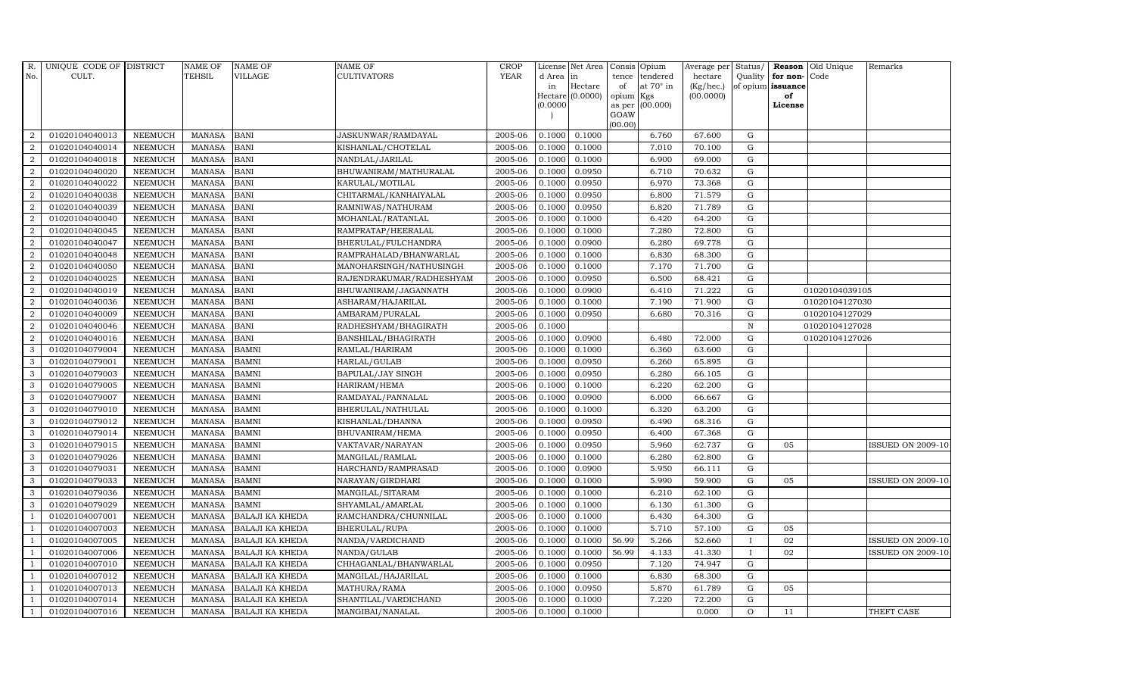| <b>TEHSIL</b><br><b>YEAR</b><br><b>VILLAGE</b><br><b>CULTIVATORS</b><br>No.<br>CULT.<br>d Area in<br>tence<br>tendered<br>hectare<br>at $70^\circ$ in<br>Hectare<br>(Kg/hec.)<br>in<br>of<br>Hectare (0.0000)<br>(00.0000)<br>opium Kgs | Quality<br>of opium issuance | Old Unique<br>for non-<br>Code |
|-----------------------------------------------------------------------------------------------------------------------------------------------------------------------------------------------------------------------------------------|------------------------------|--------------------------------|
|                                                                                                                                                                                                                                         |                              |                                |
|                                                                                                                                                                                                                                         |                              |                                |
|                                                                                                                                                                                                                                         |                              | of                             |
| as per (00.000)<br>(0.0000)<br>GOAW                                                                                                                                                                                                     |                              | License                        |
| (00.00)                                                                                                                                                                                                                                 |                              |                                |
| $\overline{2}$<br>01020104040013<br>MANASA<br><b>BANI</b><br>2005-06<br>0.1000<br>0.1000<br>6.760<br>67.600<br><b>NEEMUCH</b><br>JASKUNWAR/RAMDAYAL                                                                                     | ${\rm G}$                    |                                |
| 01020104040014<br><b>BANI</b><br>2005-06<br>0.1000<br>7.010<br>70.100<br>$\overline{2}$<br><b>NEEMUCH</b><br><b>MANASA</b><br>KISHANLAL/CHOTELAL<br>0.1000                                                                              | $\mathbf G$                  |                                |
| 2<br>2005-06<br>0.1000<br>6.900<br>01020104040018<br><b>NEEMUCH</b><br><b>MANASA</b><br><b>BANI</b><br>NANDLAL/JARILAL<br>0.1000<br>69.000                                                                                              | G                            |                                |
| $\overline{2}$<br>2005-06<br>0.0950<br>01020104040020<br><b>NEEMUCH</b><br><b>MANASA</b><br><b>BANI</b><br>BHUWANIRAM/MATHURALAL<br>0.1000<br>6.710<br>70.632                                                                           | $\mathbf G$                  |                                |
| $\overline{a}$<br>01020104040022<br><b>MANASA</b><br><b>BANI</b><br>KARULAL/MOTILAL<br>2005-06<br>0.0950<br>6.970<br>73.368<br><b>NEEMUCH</b><br>0.1000                                                                                 | ${\rm G}$                    |                                |
| $\overline{2}$<br><b>NEEMUCH</b><br><b>BANI</b><br>2005-06<br>0.0950<br>6.800<br>71.579<br>01020104040038<br>MANASA<br>CHITARMAL/KANHAIYALAL<br>0.1000                                                                                  | $\mathbf G$                  |                                |
| 2005-06<br>0.0950<br>71.789<br>$\overline{a}$<br>01020104040039<br><b>NEEMUCH</b><br><b>MANASA</b><br><b>BANI</b><br>0.1000<br>6.820<br>RAMNIWAS/NATHURAM                                                                               | $\mathbf G$                  |                                |
| $\overline{2}$<br>01020104040040<br><b>NEEMUCH</b><br><b>MANASA</b><br>2005-06<br>0.1000<br>6.420<br>64.200<br><b>BANI</b><br>MOHANLAL/RATANLAL<br>0.1000                                                                               | $\mathbf G$                  |                                |
| $\overline{2}$<br><b>NEEMUCH</b><br><b>MANASA</b><br><b>BANI</b><br>2005-06<br>0.1000<br>7.280<br>01020104040045<br>RAMPRATAP/HEERALAL<br>0.1000<br>72.800                                                                              | $\mathbf G$                  |                                |
| $\overline{2}$<br>01020104040047<br><b>MANASA</b><br><b>BANI</b><br>2005-06<br>0.1000<br>0.0900<br>6.280<br>69.778<br><b>NEEMUCH</b><br>BHERULAL/FULCHANDRA                                                                             | $\mathbf G$                  |                                |
| $\overline{a}$<br><b>NEEMUCH</b><br><b>MANASA</b><br><b>BANI</b><br>2005-06<br>0.1000<br>6.830<br>68.300<br>01020104040048<br>RAMPRAHALAD/BHANWARLAL<br>0.1000                                                                          | ${\rm G}$                    |                                |
| 01020104040050<br><b>MANASA</b><br>2005-06<br>0.1000<br>7.170<br>71.700<br>$\overline{2}$<br><b>NEEMUCH</b><br><b>BANI</b><br>MANOHARSINGH/NATHUSINGH<br>0.1000                                                                         | ${\rm G}$                    |                                |
| 2<br>01020104040025<br><b>NEEMUCH</b><br><b>MANASA</b><br><b>BANI</b><br>2005-06<br>0.1000<br>0.0950<br>6.500<br>68.421<br>RAJENDRAKUMAR/RADHESHYAM                                                                                     | $\mathbf G$                  |                                |
| $\overline{2}$<br>01020104040019<br><b>NEEMUCH</b><br><b>MANASA</b><br><b>BANI</b><br>2005-06<br>0.0900<br>6.410<br>71.222<br>BHUWANIRAM/JAGANNATH<br>0.1000                                                                            | G                            | 01020104039105                 |
| $\overline{2}$<br>01020104040036<br><b>MANASA</b><br><b>BANI</b><br>2005-06<br>0.1000<br>0.1000<br>7.190<br>71.900<br><b>NEEMUCH</b><br>ASHARAM/HAJARILAL                                                                               | G                            | 01020104127030                 |
| $\overline{2}$<br><b>NEEMUCH</b><br><b>MANASA</b><br><b>BANI</b><br>2005-06<br>0.0950<br>6.680<br>70.316<br>01020104040009<br>AMBARAM/PURALAL<br>0.1000                                                                                 | ${\rm G}$                    | 01020104127029                 |
| 2<br>01020104040046<br><b>NEEMUCH</b><br><b>MANASA</b><br><b>BANI</b><br>2005-06<br>0.1000<br>RADHESHYAM/BHAGIRATH                                                                                                                      | $\,$ N                       | 01020104127028                 |
| 2<br>01020104040016<br><b>NEEMUCH</b><br><b>MANASA</b><br><b>BANI</b><br>2005-06<br>0.1000<br>0.0900<br>6.480<br>72.000<br>BANSHILAL/BHAGIRATH                                                                                          | $\mathbf G$                  | 01020104127026                 |
| 3<br>01020104079004<br><b>NEEMUCH</b><br><b>MANASA</b><br><b>BAMNI</b><br>RAMLAL/HARIRAM<br>2005-06<br>0.1000<br>0.1000<br>6.360<br>63.600                                                                                              | $\mathbf G$                  |                                |
| 3<br><b>MANASA</b><br>2005-06<br>0.0950<br>6.260<br>01020104079001<br><b>NEEMUCH</b><br><b>BAMNI</b><br>HARLAL/GULAB<br>0.1000<br>65.895                                                                                                | G                            |                                |
| $\mathbf{3}$<br>01020104079003<br><b>NEEMUCH</b><br><b>MANASA</b><br><b>BAMNI</b><br>BAPULAL/JAY SINGH<br>2005-06<br>0.1000<br>0.0950<br>6.280<br>66.105                                                                                | ${\rm G}$                    |                                |
| 01020104079005<br>NEEMUCH<br><b>MANASA</b><br><b>BAMNI</b><br>2005-06<br>0.1000<br>6.220<br>62.200<br>3<br>HARIRAM/HEMA<br>0.1000                                                                                                       | ${\rm G}$                    |                                |
| $\mathbf{3}$<br>2005-06<br>0.0900<br>01020104079007<br><b>NEEMUCH</b><br><b>MANASA</b><br><b>BAMNI</b><br>0.1000<br>6.000<br>66.667<br>RAMDAYAL/PANNALAL                                                                                | G                            |                                |
| <b>BAMNI</b><br>2005-06<br>0.1000<br>3<br>01020104079010<br><b>NEEMUCH</b><br><b>MANASA</b><br>BHERULAL/NATHULAL<br>0.1000<br>6.320<br>63.200                                                                                           | $\mathbf G$                  |                                |
| 3<br><b>MANASA</b><br><b>BAMNI</b><br>2005-06<br>0.0950<br>6.490<br>01020104079012<br><b>NEEMUCH</b><br>KISHANLAL/DHANNA<br>0.1000<br>68.316                                                                                            | $\mathbf G$                  |                                |
| 3<br>01020104079014<br><b>NEEMUCH</b><br><b>MANASA</b><br><b>BAMNI</b><br>2005-06<br>0.1000<br>0.0950<br>6.400<br>67.368<br>BHUVANIRAM/HEMA                                                                                             | G                            |                                |
| 01020104079015<br><b>NEEMUCH</b><br><b>MANASA</b><br><b>BAMNI</b><br>2005-06<br>0.1000<br>0.0950<br>5.960<br>62.737<br>3<br>VAKTAVAR/NARAYAN                                                                                            | ${\rm G}$                    | <b>ISSUED ON 2009-10</b><br>05 |
| 3<br>01020104079026<br>2005-06<br>0.1000<br>6.280<br><b>NEEMUCH</b><br><b>MANASA</b><br><b>BAMNI</b><br>0.1000<br>62.800<br>MANGILAL/RAMLAL                                                                                             | $\mathbf G$                  |                                |
| 3<br>01020104079031<br><b>NEEMUCH</b><br><b>MANASA</b><br><b>BAMNI</b><br>HARCHAND/RAMPRASAD<br>2005-06<br>0.1000<br>0.0900<br>5.950<br>66.111                                                                                          | $\mathbf G$                  |                                |
| 3<br>01020104079033<br><b>NEEMUCH</b><br><b>MANASA</b><br><b>BAMNI</b><br>2005-06<br>0.1000<br>5.990<br>59.900<br>NARAYAN/GIRDHARI<br>0.1000                                                                                            | $\mathbf G$                  | 05<br><b>ISSUED ON 2009-10</b> |
| 3<br>01020104079036<br><b>NEEMUCH</b><br><b>MANASA</b><br><b>BAMNI</b><br>2005-06<br>0.1000<br>0.1000<br>6.210<br>62.100<br>MANGILAL/SITARAM                                                                                            | G                            |                                |
| 01020104079029<br><b>MANASA</b><br>2005-06<br>0.1000<br>6.130<br>3<br><b>NEEMUCH</b><br><b>BAMNI</b><br>SHYAMLAL/AMARLAL<br>0.1000<br>61.300                                                                                            | ${\rm G}$                    |                                |
| 01020104007001<br><b>NEEMUCH</b><br>2005-06<br>0.1000<br>0.1000<br>6.430<br>64.300<br>$\overline{1}$<br><b>MANASA</b><br><b>BALAJI KA KHEDA</b><br>RAMCHANDRA/CHUNNILAL                                                                 | $\mathbf G$                  |                                |
| 2005-06<br>0.1000<br>5.710<br>01020104007003<br><b>NEEMUCH</b><br><b>MANASA</b><br><b>BALAJI KA KHEDA</b><br>BHERULAL/RUPA<br>0.1000<br>57.100<br>$\overline{1}$                                                                        | $\mathbf G$                  | 05                             |
| 01020104007005<br><b>NEEMUCH</b><br><b>MANASA</b><br><b>BALAJI KA KHEDA</b><br>NANDA/VARDICHAND<br>2005-06<br>0.1000<br>56.99<br>5.266<br>52.660<br>0.1000                                                                              | $\mathbf{I}$                 | 02<br><b>ISSUED ON 2009-10</b> |
| 01020104007006<br><b>NEEMUCH</b><br><b>MANASA</b><br>NANDA/GULAB<br>2005-06<br>0.1000<br>0.1000<br>56.99<br>4.133<br>41.330<br>$\overline{1}$<br><b>BALAJI KA KHEDA</b>                                                                 | $\mathbf I$                  | 02<br><b>ISSUED ON 2009-10</b> |
| 01020104007010<br>2005-06<br>0.0950<br>7.120<br>74.947<br><b>NEEMUCH</b><br><b>MANASA</b><br>BALAJI KA KHEDA<br>CHHAGANLAL/BHANWARLAL<br>0.1000<br>$\overline{1}$                                                                       | ${\rm G}$                    |                                |
| 01020104007012<br><b>NEEMUCH</b><br>2005-06<br>0.1000<br>0.1000<br>6.830<br>68.300<br><b>MANASA</b><br><b>BALAJI KA KHEDA</b><br>MANGILAL/HAJARILAL<br>$\overline{1}$                                                                   | $\mathbf G$                  |                                |
| 2005-06<br>0.0950<br>5.870<br>01020104007013<br><b>NEEMUCH</b><br><b>MANASA</b><br><b>BALAJI KA KHEDA</b><br>MATHURA/RAMA<br>0.1000<br>61.789<br>$\overline{1}$                                                                         | $\mathbf G$                  | 05                             |
| 01020104007014<br><b>NEEMUCH</b><br><b>MANASA</b><br><b>BALAJI KA KHEDA</b><br>SHANTILAL/VARDICHAND<br>2005-06<br>0.1000<br>7.220<br>72.200<br>0.1000                                                                                   | G                            |                                |
| 01020104007016<br><b>NEEMUCH</b><br>MANASA BALAJI KA KHEDA<br>2005-06<br>0.1000<br>0.1000<br>0.000<br>$\mathbf{1}$<br>MANGIBAI/NANALAL                                                                                                  | $\Omega$                     | THEFT CASE<br>11               |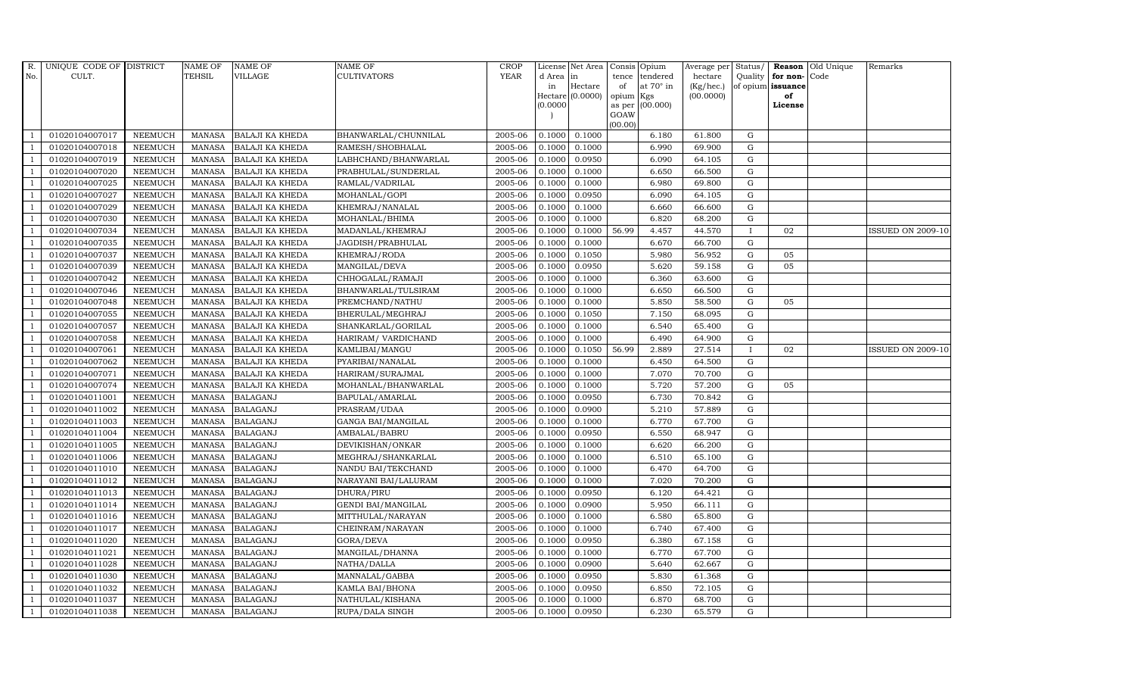| R.             | UNIQUE CODE OF DISTRICT |                | <b>NAME OF</b> | <b>NAME OF</b>         | <b>NAME OF</b>            | <b>CROP</b> |           | License Net Area |         | Consis Opium           | Average per     | Status/      |                   | Reason Old Unique | Remarks                  |
|----------------|-------------------------|----------------|----------------|------------------------|---------------------------|-------------|-----------|------------------|---------|------------------------|-----------------|--------------|-------------------|-------------------|--------------------------|
| No.            | CULT.                   |                | TEHSIL         | VILLAGE                | CULTIVATORS               | <b>YEAR</b> | d Area in |                  | tence   | tendered               | hectare         | Quality      | for non-Code      |                   |                          |
|                |                         |                |                |                        |                           |             | in        | Hectare          | of      | at $70^\circ$ in       | $(Kg/$ hec. $)$ |              | of opium issuance |                   |                          |
|                |                         |                |                |                        |                           |             | (0.0000)  | Hectare (0.0000) | opium   | Kgs<br>as per (00.000) | (00.0000)       |              | of<br>License     |                   |                          |
|                |                         |                |                |                        |                           |             |           |                  | GOAW    |                        |                 |              |                   |                   |                          |
|                |                         |                |                |                        |                           |             |           |                  | (00.00) |                        |                 |              |                   |                   |                          |
|                | 01020104007017          | <b>NEEMUCH</b> | MANASA         | <b>BALAJI KA KHEDA</b> | BHANWARLAL/CHUNNILAL      | 2005-06     | 0.1000    | 0.1000           |         | 6.180                  | 61.800          | G            |                   |                   |                          |
| -1             | 01020104007018          | <b>NEEMUCH</b> | <b>MANASA</b>  | <b>BALAJI KA KHEDA</b> | RAMESH/SHOBHALAL          | 2005-06     | 0.1000    | 0.1000           |         | 6.990                  | 69.900          | $\mathbf G$  |                   |                   |                          |
|                | 01020104007019          | <b>NEEMUCH</b> | <b>MANASA</b>  | <b>BALAJI KA KHEDA</b> | LABHCHAND/BHANWARLAL      | 2005-06     | 0.1000    | 0.0950           |         | 6.090                  | 64.105          | G            |                   |                   |                          |
|                | 01020104007020          | <b>NEEMUCH</b> | <b>MANASA</b>  | <b>BALAJI KA KHEDA</b> | PRABHULAL/SUNDERLAL       | 2005-06     | 0.1000    | 0.1000           |         | 6.650                  | 66.500          | ${\rm G}$    |                   |                   |                          |
| $\overline{1}$ | 01020104007025          | <b>NEEMUCH</b> | <b>MANASA</b>  | <b>BALAJI KA KHEDA</b> | RAMLAL/VADRILAL           | 2005-06     | 0.1000    | 0.1000           |         | 6.980                  | 69.800          | ${\rm G}$    |                   |                   |                          |
| $\overline{1}$ | 01020104007027          | NEEMUCH        | <b>MANASA</b>  | <b>BALAJI KA KHEDA</b> | MOHANLAL/GOPI             | 2005-06     | 0.1000    | 0.0950           |         | 6.090                  | 64.105          | G            |                   |                   |                          |
| $\overline{1}$ | 01020104007029          | <b>NEEMUCH</b> | <b>MANASA</b>  | <b>BALAJI KA KHEDA</b> | KHEMRAJ/NANALAL           | 2005-06     | 0.1000    | 0.1000           |         | 6.660                  | 66.600          | $\mathbf G$  |                   |                   |                          |
| $\overline{1}$ | 01020104007030          | <b>NEEMUCH</b> | <b>MANASA</b>  | <b>BALAJI KA KHEDA</b> | MOHANLAL/BHIMA            | 2005-06     | 0.1000    | 0.1000           |         | 6.820                  | 68.200          | $\mathbf G$  |                   |                   |                          |
|                | 01020104007034          | <b>NEEMUCH</b> | <b>MANASA</b>  | <b>BALAJI KA KHEDA</b> | MADANLAL/KHEMRAJ          | 2005-06     | 0.1000    | 0.1000           | 56.99   | 4.457                  | 44.570          |              | 02                |                   | <b>ISSUED ON 2009-10</b> |
| $\overline{1}$ | 01020104007035          | <b>NEEMUCH</b> | <b>MANASA</b>  | <b>BALAJI KA KHEDA</b> | JAGDISH/PRABHULAL         | 2005-06     | 0.1000    | 0.1000           |         | 6.670                  | 66.700          | $\mathbf G$  |                   |                   |                          |
| -1             | 01020104007037          | <b>NEEMUCH</b> | <b>MANASA</b>  | <b>BALAJI KA KHEDA</b> | KHEMRAJ/RODA              | 2005-06     | 0.1000    | 0.1050           |         | 5.980                  | 56.952          | ${\rm G}$    | 05                |                   |                          |
| $\overline{1}$ | 01020104007039          | <b>NEEMUCH</b> | <b>MANASA</b>  | <b>BALAJI KA KHEDA</b> | MANGILAL/DEVA             | 2005-06     | 0.1000    | 0.0950           |         | 5.620                  | 59.158          | $\mathbf G$  | 05                |                   |                          |
| $\overline{1}$ | 01020104007042          | <b>NEEMUCH</b> | <b>MANASA</b>  | <b>BALAJI KA KHEDA</b> | CHHOGALAL/RAMAJI          | 2005-06     | 0.1000    | 0.1000           |         | 6.360                  | 63.600          | $\mathbf G$  |                   |                   |                          |
|                | 01020104007046          | <b>NEEMUCH</b> | <b>MANASA</b>  | <b>BALAJI KA KHEDA</b> | BHANWARLAL/TULSIRAM       | 2005-06     | 0.1000    | 0.1000           |         | 6.650                  | 66.500          | G            |                   |                   |                          |
|                | 01020104007048          | <b>NEEMUCH</b> | <b>MANASA</b>  | BALAJI KA KHEDA        | PREMCHAND/NATHU           | 2005-06     | 0.1000    | 0.1000           |         | 5.850                  | 58.500          | ${\rm G}$    | 05                |                   |                          |
| $\overline{1}$ | 01020104007055          | <b>NEEMUCH</b> | <b>MANASA</b>  | <b>BALAJI KA KHEDA</b> | BHERULAL/MEGHRAJ          | 2005-06     | 0.1000    | 0.1050           |         | 7.150                  | 68.095          | ${\rm G}$    |                   |                   |                          |
| $\overline{1}$ | 01020104007057          | <b>NEEMUCH</b> | <b>MANASA</b>  | <b>BALAJI KA KHEDA</b> | SHANKARLAL/GORILAL        | 2005-06     | 0.1000    | 0.1000           |         | 6.540                  | 65.400          | G            |                   |                   |                          |
| $\overline{1}$ | 01020104007058          | <b>NEEMUCH</b> | <b>MANASA</b>  | <b>BALAJI KA KHEDA</b> | HARIRAM/ VARDICHAND       | 2005-06     | 0.1000    | 0.1000           |         | 6.490                  | 64.900          | $\mathbf G$  |                   |                   |                          |
|                | 01020104007061          | <b>NEEMUCH</b> | <b>MANASA</b>  | <b>BALAJI KA KHEDA</b> | KAMLIBAI/MANGU            | 2005-06     | 0.1000    | 0.1050           | 56.99   | 2.889                  | 27.514          | $\mathbf{I}$ | 02                |                   | <b>ISSUED ON 2009-10</b> |
|                | 01020104007062          | <b>NEEMUCH</b> | <b>MANASA</b>  | <b>BALAJI KA KHEDA</b> | PYARIBAI/NANALAL          | 2005-06     | 0.1000    | 0.1000           |         | 6.450                  | 64.500          | $\mathbf G$  |                   |                   |                          |
| $\overline{1}$ | 01020104007071          | <b>NEEMUCH</b> | <b>MANASA</b>  | <b>BALAJI KA KHEDA</b> | HARIRAM/SURAJMAL          | 2005-06     | 0.1000    | 0.1000           |         | 7.070                  | 70.700          | G            |                   |                   |                          |
| $\overline{1}$ | 01020104007074          | <b>NEEMUCH</b> | <b>MANASA</b>  | BALAJI KA KHEDA        | MOHANLAL/BHANWARLAL       | 2005-06     | 0.1000    | 0.1000           |         | 5.720                  | 57.200          | ${\rm G}$    | 05                |                   |                          |
| $\overline{1}$ | 01020104011001          | <b>NEEMUCH</b> | <b>MANASA</b>  | <b>BALAGANJ</b>        | BAPULAL/AMARLAL           | 2005-06     | 0.1000    | 0.0950           |         | 6.730                  | 70.842          | G            |                   |                   |                          |
|                | 01020104011002          | <b>NEEMUCH</b> | <b>MANASA</b>  | <b>BALAGANJ</b>        | PRASRAM/UDAA              | 2005-06     | 0.1000    | 0.0900           |         | 5.210                  | 57.889          | $\mathbf G$  |                   |                   |                          |
| $\overline{1}$ | 01020104011003          | <b>NEEMUCH</b> | <b>MANASA</b>  | <b>BALAGANJ</b>        | GANGA BAI/MANGILAL        | 2005-06     | 0.1000    | 0.1000           |         | 6.770                  | 67.700          | G            |                   |                   |                          |
| -1             | 01020104011004          | <b>NEEMUCH</b> | <b>MANASA</b>  | <b>BALAGANJ</b>        | AMBALAL/BABRU             | 2005-06     | 0.1000    | 0.0950           |         | 6.550                  | 68.947          | G            |                   |                   |                          |
| $\overline{1}$ | 01020104011005          | <b>NEEMUCH</b> | <b>MANASA</b>  | <b>BALAGANJ</b>        | DEVIKISHAN/ONKAR          | 2005-06     | 0.1000    | 0.1000           |         | 6.620                  | 66.200          | ${\rm G}$    |                   |                   |                          |
| $\overline{1}$ | 01020104011006          | <b>NEEMUCH</b> | <b>MANASA</b>  | <b>BALAGANJ</b>        | MEGHRAJ/SHANKARLAL        | 2005-06     | 0.1000    | 0.1000           |         | 6.510                  | 65.100          | G            |                   |                   |                          |
| $\overline{1}$ | 01020104011010          | <b>NEEMUCH</b> | <b>MANASA</b>  | <b>BALAGANJ</b>        | NANDU BAI/TEKCHAND        | 2005-06     | 0.1000    | 0.1000           |         | 6.470                  | 64.700          | $\mathbf G$  |                   |                   |                          |
|                | 01020104011012          | <b>NEEMUCH</b> | <b>MANASA</b>  | <b>BALAGANJ</b>        | NARAYANI BAI/LALURAM      | 2005-06     | 0.1000    | 0.1000           |         | 7.020                  | 70.200          | $\mathbf G$  |                   |                   |                          |
| $\overline{1}$ | 01020104011013          | <b>NEEMUCH</b> | <b>MANASA</b>  | <b>BALAGANJ</b>        | DHURA/PIRU                | 2005-06     | 0.1000    | 0.0950           |         | 6.120                  | 64.421          | G            |                   |                   |                          |
| -1             | 01020104011014          | <b>NEEMUCH</b> | <b>MANASA</b>  | <b>BALAGANJ</b>        | <b>GENDI BAI/MANGILAL</b> | 2005-06     | 0.1000    | 0.0900           |         | 5.950                  | 66.111          | ${\rm G}$    |                   |                   |                          |
| $\overline{1}$ | 01020104011016          | NEEMUCH        | <b>MANASA</b>  | <b>BALAGANJ</b>        | MITTHULAL/NARAYAN         | 2005-06     | 0.1000    | 0.1000           |         | 6.580                  | 65.800          | $\mathbf G$  |                   |                   |                          |
| $\overline{1}$ | 01020104011017          | <b>NEEMUCH</b> | <b>MANASA</b>  | <b>BALAGANJ</b>        | CHEINRAM/NARAYAN          | 2005-06     | 0.1000    | 0.1000           |         | 6.740                  | 67.400          | $\mathbf G$  |                   |                   |                          |
|                | 01020104011020          | <b>NEEMUCH</b> | <b>MANASA</b>  | <b>BALAGANJ</b>        | GORA/DEVA                 | 2005-06     | 0.1000    | 0.0950           |         | 6.380                  | 67.158          | $\mathbf G$  |                   |                   |                          |
| $\overline{1}$ | 01020104011021          | <b>NEEMUCH</b> | <b>MANASA</b>  | <b>BALAGANJ</b>        | MANGILAL/DHANNA           | 2005-06     | 0.1000    | 0.1000           |         | 6.770                  | 67.700          | ${\rm G}$    |                   |                   |                          |
| $\overline{1}$ | 01020104011028          | <b>NEEMUCH</b> | <b>MANASA</b>  | <b>BALAGANJ</b>        | NATHA/DALLA               | 2005-06     | 0.1000    | 0.0900           |         | 5.640                  | 62.667          | ${\rm G}$    |                   |                   |                          |
| $\mathbf{1}$   | 01020104011030          | <b>NEEMUCH</b> | <b>MANASA</b>  | <b>BALAGANJ</b>        | MANNALAL/GABBA            | 2005-06     | 0.1000    | 0.0950           |         | 5.830                  | 61.368          | ${\rm G}$    |                   |                   |                          |
| $\overline{1}$ | 01020104011032          | <b>NEEMUCH</b> | <b>MANASA</b>  | <b>BALAGANJ</b>        | KAMLA BAI/BHONA           | 2005-06     | 0.1000    | 0.0950           |         | 6.850                  | 72.105          | $\mathbf G$  |                   |                   |                          |
|                | 01020104011037          | <b>NEEMUCH</b> | <b>MANASA</b>  | <b>BALAGANJ</b>        | NATHULAL/KISHANA          | 2005-06     | 0.1000    | 0.1000           |         | 6.870                  | 68.700          | $\mathbf G$  |                   |                   |                          |
| $\mathbf{1}$   | 01020104011038          | <b>NEEMUCH</b> |                | MANASA BALAGANJ        | RUPA/DALA SINGH           | 2005-06     | 0.1000    | 0.0950           |         | 6.230                  | 65.579          | G            |                   |                   |                          |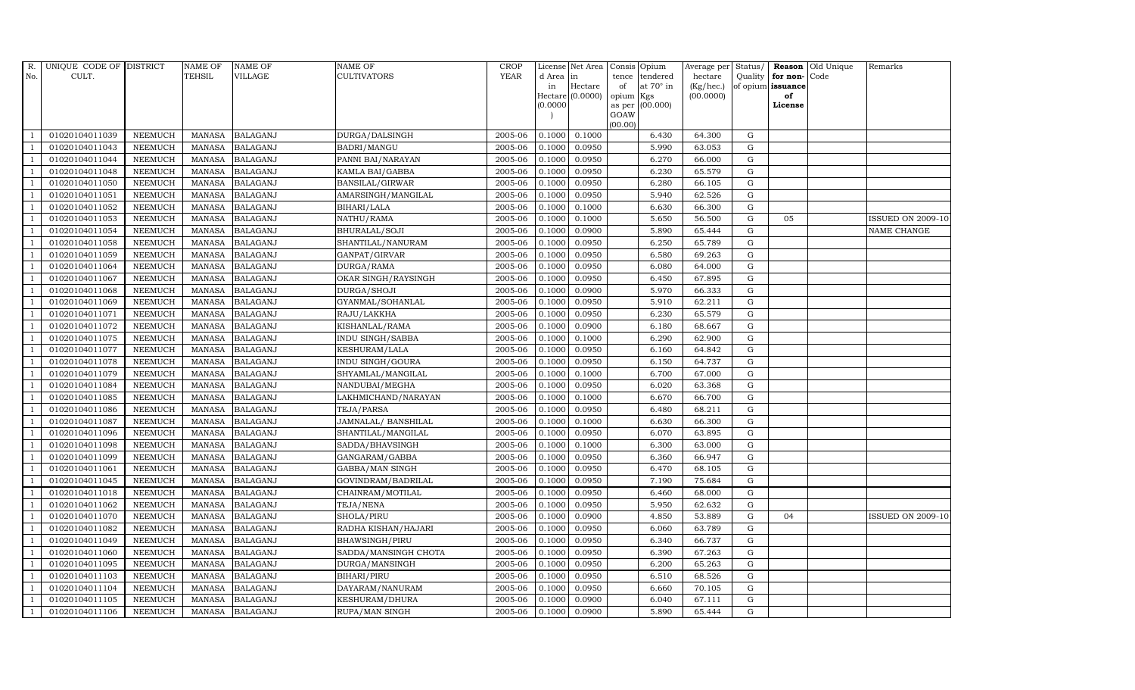| R.             | UNIQUE CODE OF DISTRICT |                | <b>NAME OF</b> | <b>NAME OF</b>  | <b>NAME OF</b>        | CROP        |           | License Net Area   |         | Consis Opium           | Average per Status/ |             |                      | <b>Reason</b> Old Unique | Remarks                  |
|----------------|-------------------------|----------------|----------------|-----------------|-----------------------|-------------|-----------|--------------------|---------|------------------------|---------------------|-------------|----------------------|--------------------------|--------------------------|
| No.            | CULT.                   |                | <b>TEHSIL</b>  | VILLAGE         | <b>CULTIVATORS</b>    | <b>YEAR</b> | d Area in |                    | tence   | tendered               | hectare             |             | Quality $ $ for non- | Code                     |                          |
|                |                         |                |                |                 |                       |             | in        | Hectare            | of      | at $70^\circ$ in       | (Kg/hec.)           |             | of opium issuance    |                          |                          |
|                |                         |                |                |                 |                       |             | (0.0000)  | Hectare $(0.0000)$ | opium   | Kgs<br>as per (00.000) | (00.0000)           |             | of<br>License        |                          |                          |
|                |                         |                |                |                 |                       |             |           |                    | GOAW    |                        |                     |             |                      |                          |                          |
|                |                         |                |                |                 |                       |             |           |                    | (00.00) |                        |                     |             |                      |                          |                          |
|                | 01020104011039          | <b>NEEMUCH</b> | MANASA         | <b>BALAGANJ</b> | DURGA/DALSINGH        | 2005-06     | 0.1000    | 0.1000             |         | 6.430                  | 64.300              | G           |                      |                          |                          |
| -1             | 01020104011043          | <b>NEEMUCH</b> | MANASA         | <b>BALAGANJ</b> | BADRI/MANGU           | 2005-06     | 0.1000    | 0.0950             |         | 5.990                  | 63.053              | $\mathbf G$ |                      |                          |                          |
|                | 01020104011044          | <b>NEEMUCH</b> | <b>MANASA</b>  | <b>BALAGANJ</b> | PANNI BAI/NARAYAN     | 2005-06     | 0.1000    | 0.0950             |         | 6.270                  | 66.000              | G           |                      |                          |                          |
|                | 01020104011048          | <b>NEEMUCH</b> | MANASA         | <b>BALAGANJ</b> | KAMLA BAI/GABBA       | 2005-06     | 0.1000    | 0.0950             |         | 6.230                  | 65.579              | G           |                      |                          |                          |
| $\overline{1}$ | 01020104011050          | <b>NEEMUCH</b> | <b>MANASA</b>  | <b>BALAGANJ</b> | BANSILAL/GIRWAR       | 2005-06     | 0.1000    | 0.0950             |         | 6.280                  | 66.105              | G           |                      |                          |                          |
| $\overline{1}$ | 01020104011051          | <b>NEEMUCH</b> | MANASA         | <b>BALAGANJ</b> | AMARSINGH/MANGILAL    | 2005-06     | 0.1000    | 0.0950             |         | 5.940                  | 62.526              | G           |                      |                          |                          |
| $\overline{1}$ | 01020104011052          | <b>NEEMUCH</b> | <b>MANASA</b>  | <b>BALAGANJ</b> | BIHARI/LALA           | 2005-06     | 0.1000    | 0.1000             |         | 6.630                  | 66.300              | ${\rm G}$   |                      |                          |                          |
| $\overline{1}$ | 01020104011053          | <b>NEEMUCH</b> | <b>MANASA</b>  | <b>BALAGANJ</b> | NATHU/RAMA            | 2005-06     | 0.1000    | 0.1000             |         | 5.650                  | 56.500              | ${\rm G}$   | 05                   |                          | <b>ISSUED ON 2009-10</b> |
|                | 01020104011054          | <b>NEEMUCH</b> | <b>MANASA</b>  | <b>BALAGANJ</b> | BHURALAL/SOJI         | 2005-06     | 0.1000    | 0.0900             |         | 5.890                  | 65.444              | $\mathbf G$ |                      |                          | <b>NAME CHANGE</b>       |
|                | 01020104011058          | <b>NEEMUCH</b> | <b>MANASA</b>  | <b>BALAGANJ</b> | SHANTILAL/NANURAM     | 2005-06     | 0.1000    | 0.0950             |         | 6.250                  | 65.789              | ${\rm G}$   |                      |                          |                          |
| $\overline{1}$ | 01020104011059          | <b>NEEMUCH</b> | <b>MANASA</b>  | <b>BALAGANJ</b> | GANPAT/GIRVAR         | 2005-06     | 0.1000    | 0.0950             |         | 6.580                  | 69.263              | G           |                      |                          |                          |
| $\overline{1}$ | 01020104011064          | <b>NEEMUCH</b> | MANASA         | <b>BALAGANJ</b> | DURGA/RAMA            | 2005-06     | 0.1000    | 0.0950             |         | 6.080                  | 64.000              | G           |                      |                          |                          |
| $\overline{1}$ | 01020104011067          | <b>NEEMUCH</b> | <b>MANASA</b>  | <b>BALAGANJ</b> | OKAR SINGH/RAYSINGH   | 2005-06     | 0.1000    | 0.0950             |         | 6.450                  | 67.895              | $\mathbf G$ |                      |                          |                          |
|                | 01020104011068          | <b>NEEMUCH</b> | <b>MANASA</b>  | <b>BALAGANJ</b> | DURGA/SHOJI           | 2005-06     | 0.1000    | 0.0900             |         | 5.970                  | 66.333              | $\mathbf G$ |                      |                          |                          |
| $\overline{1}$ | 01020104011069          | <b>NEEMUCH</b> | <b>MANASA</b>  | <b>BALAGANJ</b> | GYANMAL/SOHANLAL      | 2005-06     | 0.1000    | 0.0950             |         | 5.910                  | 62.211              | G           |                      |                          |                          |
| $\overline{1}$ | 01020104011071          | <b>NEEMUCH</b> | MANASA         | <b>BALAGANJ</b> | RAJU/LAKKHA           | 2005-06     | 0.1000    | 0.0950             |         | 6.230                  | 65.579              | G           |                      |                          |                          |
|                | 01020104011072          | <b>NEEMUCH</b> | <b>MANASA</b>  | <b>BALAGANJ</b> | KISHANLAL/RAMA        | 2005-06     | 0.1000    | 0.0900             |         | 6.180                  | 68.667              | G           |                      |                          |                          |
| $\overline{1}$ | 01020104011075          | <b>NEEMUCH</b> | MANASA         | <b>BALAGANJ</b> | INDU SINGH/SABBA      | 2005-06     | 0.1000    | 0.1000             |         | 6.290                  | 62.900              | G           |                      |                          |                          |
|                | 01020104011077          | <b>NEEMUCH</b> | <b>MANASA</b>  | <b>BALAGANJ</b> | KESHURAM/LALA         | 2005-06     | 0.1000    | 0.0950             |         | 6.160                  | 64.842              | G           |                      |                          |                          |
|                | 01020104011078          | <b>NEEMUCH</b> | <b>MANASA</b>  | <b>BALAGANJ</b> | INDU SINGH/GOURA      | 2005-06     | 0.1000    | 0.0950             |         | 6.150                  | 64.737              | G           |                      |                          |                          |
| -1             | 01020104011079          | <b>NEEMUCH</b> | <b>MANASA</b>  | <b>BALAGANJ</b> | SHYAMLAL/MANGILAL     | 2005-06     | 0.1000    | 0.1000             |         | 6.700                  | 67.000              | G           |                      |                          |                          |
|                | 01020104011084          | NEEMUCH        | <b>MANASA</b>  | <b>BALAGANJ</b> | NANDUBAI/MEGHA        | 2005-06     | 0.1000    | 0.0950             |         | 6.020                  | 63.368              | G           |                      |                          |                          |
| $\overline{1}$ | 01020104011085          | <b>NEEMUCH</b> | MANASA         | <b>BALAGANJ</b> | LAKHMICHAND/NARAYAN   | 2005-06     | 0.1000    | 0.1000             |         | 6.670                  | 66.700              | G           |                      |                          |                          |
|                | 01020104011086          | <b>NEEMUCH</b> | <b>MANASA</b>  | <b>BALAGANJ</b> | TEJA/PARSA            | 2005-06     | 0.1000    | 0.0950             |         | 6.480                  | 68.211              | $\mathbf G$ |                      |                          |                          |
|                | 01020104011087          | <b>NEEMUCH</b> | <b>MANASA</b>  | <b>BALAGANJ</b> | JAMNALAL/BANSHILAL    | 2005-06     | 0.1000    | 0.1000             |         | 6.630                  | 66.300              | G           |                      |                          |                          |
| - 1            | 01020104011096          | <b>NEEMUCH</b> | <b>MANASA</b>  | <b>BALAGANJ</b> | SHANTILAL/MANGILAL    | 2005-06     | 0.1000    | 0.0950             |         | 6.070                  | 63.895              | G           |                      |                          |                          |
| $\overline{1}$ | 01020104011098          | <b>NEEMUCH</b> | <b>MANASA</b>  | <b>BALAGANJ</b> | SADDA/BHAVSINGH       | 2005-06     | 0.1000    | 0.1000             |         | 6.300                  | 63.000              | G           |                      |                          |                          |
| $\overline{1}$ | 01020104011099          | <b>NEEMUCH</b> | MANASA         | <b>BALAGANJ</b> | GANGARAM/GABBA        | 2005-06     | 0.1000    | 0.0950             |         | 6.360                  | 66.947              | G           |                      |                          |                          |
| $\overline{1}$ | 01020104011061          | <b>NEEMUCH</b> | <b>MANASA</b>  | <b>BALAGANJ</b> | GABBA/MAN SINGH       | 2005-06     | 0.1000    | 0.0950             |         | 6.470                  | 68.105              | $\mathbf G$ |                      |                          |                          |
|                | 01020104011045          | <b>NEEMUCH</b> | <b>MANASA</b>  | <b>BALAGANJ</b> | GOVINDRAM/BADRILAL    | 2005-06     | 0.1000    | 0.0950             |         | 7.190                  | 75.684              | G           |                      |                          |                          |
| $\overline{1}$ | 01020104011018          | <b>NEEMUCH</b> | MANASA         | <b>BALAGANJ</b> | CHAINRAM/MOTILAL      | 2005-06     | 0.1000    | 0.0950             |         | 6.460                  | 68.000              | G           |                      |                          |                          |
|                | 01020104011062          | <b>NEEMUCH</b> | <b>MANASA</b>  | <b>BALAGANJ</b> | TEJA/NENA             | 2005-06     | 0.1000    | 0.0950             |         | 5.950                  | 62.632              | G           |                      |                          |                          |
| $\overline{1}$ | 01020104011070          | <b>NEEMUCH</b> | MANASA         | <b>BALAGANJ</b> | SHOLA/PIRU            | 2005-06     | 0.1000    | 0.0900             |         | 4.850                  | 53.889              | ${\rm G}$   | 04                   |                          | <b>ISSUED ON 2009-10</b> |
| $\overline{1}$ | 01020104011082          | <b>NEEMUCH</b> | <b>MANASA</b>  | <b>BALAGANJ</b> | RADHA KISHAN/HAJARI   | 2005-06     | 0.1000    | 0.0950             |         | 6.060                  | 63.789              | $\mathbf G$ |                      |                          |                          |
|                | 01020104011049          | <b>NEEMUCH</b> | <b>MANASA</b>  | <b>BALAGANJ</b> | <b>BHAWSINGH/PIRU</b> | 2005-06     | 0.1000    | 0.0950             |         | 6.340                  | 66.737              | $\mathbf G$ |                      |                          |                          |
| $\overline{1}$ | 01020104011060          | <b>NEEMUCH</b> | <b>MANASA</b>  | <b>BALAGANJ</b> | SADDA/MANSINGH CHOTA  | 2005-06     | 0.1000    | 0.0950             |         | 6.390                  | 67.263              | G           |                      |                          |                          |
|                | 01020104011095          | <b>NEEMUCH</b> | <b>MANASA</b>  | <b>BALAGANJ</b> | DURGA/MANSINGH        | 2005-06     | 0.1000    | 0.0950             |         | 6.200                  | 65.263              | ${\rm G}$   |                      |                          |                          |
| $\overline{1}$ | 01020104011103          | <b>NEEMUCH</b> | <b>MANASA</b>  | <b>BALAGANJ</b> | BIHARI/PIRU           | 2005-06     | 0.1000    | 0.0950             |         | 6.510                  | 68.526              | G           |                      |                          |                          |
| $\overline{1}$ | 01020104011104          | <b>NEEMUCH</b> | <b>MANASA</b>  | <b>BALAGANJ</b> | DAYARAM/NANURAM       | 2005-06     | 0.1000    | 0.0950             |         | 6.660                  | 70.105              | G           |                      |                          |                          |
|                | 01020104011105          | <b>NEEMUCH</b> | <b>MANASA</b>  | <b>BALAGANJ</b> | KESHURAM/DHURA        | 2005-06     | 0.1000    | 0.0900             |         | 6.040                  | 67.111              | $\mathbf G$ |                      |                          |                          |
| $\mathbf{1}$   | 01020104011106          | <b>NEEMUCH</b> |                | MANASA BALAGANJ | RUPA/MAN SINGH        | 2005-06     | 0.1000    | 0.0900             |         | 5.890                  | 65.444              | G           |                      |                          |                          |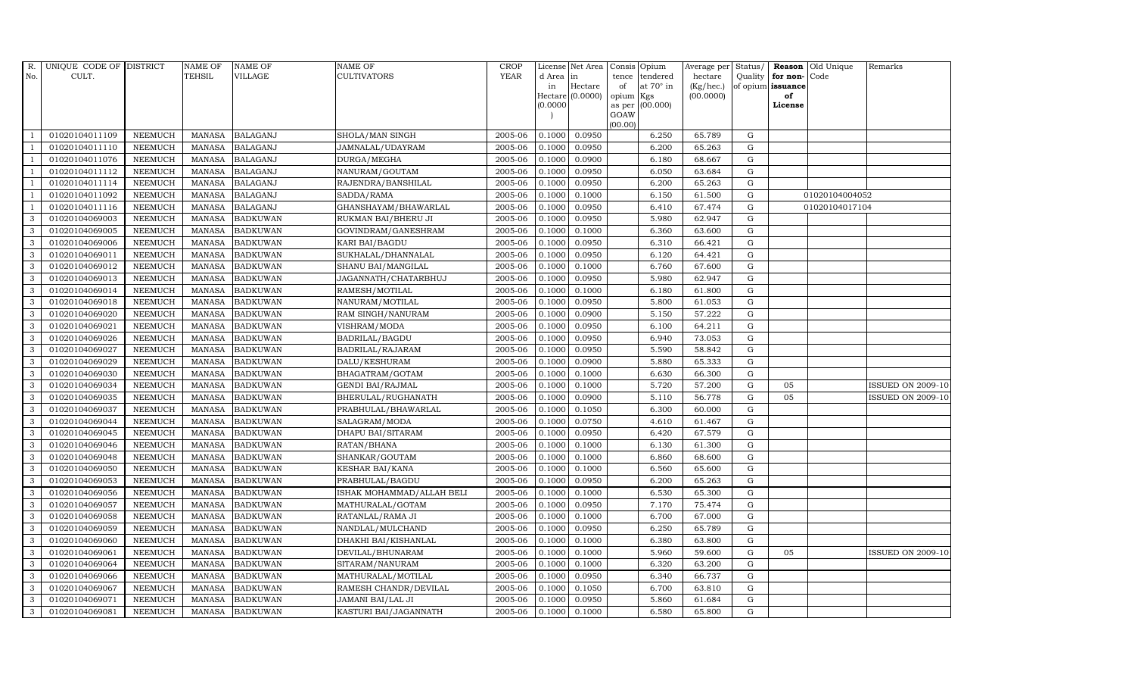| R.             | UNIQUE CODE OF DISTRICT |                | <b>NAME OF</b> | <b>NAME OF</b>  | <b>NAME OF</b>            | <b>CROP</b> |           | License Net Area   |           | Consis Opium    | Average per | Status/     | Reason            | Old Unique     | Remarks                  |
|----------------|-------------------------|----------------|----------------|-----------------|---------------------------|-------------|-----------|--------------------|-----------|-----------------|-------------|-------------|-------------------|----------------|--------------------------|
| No.            | CULT.                   |                | <b>TEHSIL</b>  | VILLAGE         | CULTIVATORS               | <b>YEAR</b> | d Area in |                    | tence     | tendered        | hectare     |             | Quality for non-  | Code           |                          |
|                |                         |                |                |                 |                           |             | in        | Hectare            | of        | at 70° in       | (Kg/hec.)   |             | of opium issuance |                |                          |
|                |                         |                |                |                 |                           |             | (0.0000)  | Hectare $(0.0000)$ | opium Kgs | as per (00.000) | (00.0000)   |             | of<br>License     |                |                          |
|                |                         |                |                |                 |                           |             |           |                    | GOAW      |                 |             |             |                   |                |                          |
|                |                         |                |                |                 |                           |             |           |                    | (00.00)   |                 |             |             |                   |                |                          |
|                | 01020104011109          | <b>NEEMUCH</b> | MANASA         | <b>BALAGANJ</b> | SHOLA/MAN SINGH           | 2005-06     | 0.1000    | 0.0950             |           | 6.250           | 65.789      | G           |                   |                |                          |
|                | 01020104011110          | <b>NEEMUCH</b> | <b>MANASA</b>  | <b>BALAGANJ</b> | JAMNALAL/UDAYRAM          | 2005-06     | 0.1000    | 0.0950             |           | 6.200           | 65.263      | ${\rm G}$   |                   |                |                          |
|                | 01020104011076          | <b>NEEMUCH</b> | <b>MANASA</b>  | <b>BALAGANJ</b> | DURGA/MEGHA               | 2005-06     | 0.1000    | 0.0900             |           | 6.180           | 68.667      | G           |                   |                |                          |
|                | 01020104011112          | <b>NEEMUCH</b> | <b>MANASA</b>  | <b>BALAGANJ</b> | NANURAM/GOUTAM            | 2005-06     | 0.1000    | 0.0950             |           | 6.050           | 63.684      | ${\rm G}$   |                   |                |                          |
|                | 01020104011114          | <b>NEEMUCH</b> | <b>MANASA</b>  | <b>BALAGANJ</b> | RAJENDRA/BANSHILAL        | 2005-06     | 0.1000    | 0.0950             |           | 6.200           | 65.263      | ${\rm G}$   |                   |                |                          |
| $\overline{1}$ | 01020104011092          | NEEMUCH        | <b>MANASA</b>  | <b>BALAGANJ</b> | SADDA/RAMA                | 2005-06     | 0.1000    | 0.1000             |           | 6.150           | 61.500      | ${\rm G}$   |                   | 01020104004052 |                          |
| - 1            | 01020104011116          | <b>NEEMUCH</b> | <b>MANASA</b>  | <b>BALAGANJ</b> | GHANSHAYAM/BHAWARLAL      | 2005-06     | 0.1000    | 0.0950             |           | 6.410           | 67.474      | ${\rm G}$   |                   | 01020104017104 |                          |
| 3              | 01020104069003          | <b>NEEMUCH</b> | <b>MANASA</b>  | <b>BADKUWAN</b> | RUKMAN BAI/BHERU JI       | 2005-06     | 0.1000    | 0.0950             |           | 5.980           | 62.947      | $\mathbf G$ |                   |                |                          |
| 3              | 01020104069005          | <b>NEEMUCH</b> | <b>MANASA</b>  | <b>BADKUWAN</b> | GOVINDRAM/GANESHRAM       | 2005-06     | 0.1000    | 0.1000             |           | 6.360           | 63.600      | G           |                   |                |                          |
| 3              | 01020104069006          | <b>NEEMUCH</b> | <b>MANASA</b>  | <b>BADKUWAN</b> | KARI BAI/BAGDU            | 2005-06     | 0.1000    | 0.0950             |           | 6.310           | 66.421      | ${\rm G}$   |                   |                |                          |
| 3              | 01020104069011          | <b>NEEMUCH</b> | <b>MANASA</b>  | <b>BADKUWAN</b> | SUKHALAL/DHANNALAL        | 2005-06     | 0.1000    | 0.0950             |           | 6.120           | 64.421      | ${\rm G}$   |                   |                |                          |
| 3              | 01020104069012          | <b>NEEMUCH</b> | <b>MANASA</b>  | <b>BADKUWAN</b> | SHANU BAI/MANGILAL        | 2005-06     | 0.1000    | 0.1000             |           | 6.760           | 67.600      | G           |                   |                |                          |
| 3              | 01020104069013          | <b>NEEMUCH</b> | <b>MANASA</b>  | <b>BADKUWAN</b> | JAGANNATH/CHATARBHUJ      | 2005-06     | 0.1000    | 0.0950             |           | 5.980           | 62.947      | G           |                   |                |                          |
| 3              | 01020104069014          | <b>NEEMUCH</b> | <b>MANASA</b>  | <b>BADKUWAN</b> | RAMESH/MOTILAL            | 2005-06     | 0.1000    | 0.1000             |           | 6.180           | 61.800      | G           |                   |                |                          |
| 3              | 01020104069018          | <b>NEEMUCH</b> | <b>MANASA</b>  | <b>BADKUWAN</b> | NANURAM/MOTILAL           | 2005-06     | 0.1000    | 0.0950             |           | 5.800           | 61.053      | ${\bf G}$   |                   |                |                          |
| 3              | 01020104069020          | <b>NEEMUCH</b> | <b>MANASA</b>  | <b>BADKUWAN</b> | RAM SINGH/NANURAM         | 2005-06     | 0.1000    | 0.0900             |           | 5.150           | 57.222      | ${\rm G}$   |                   |                |                          |
| 3              | 01020104069021          | <b>NEEMUCH</b> | <b>MANASA</b>  | <b>BADKUWAN</b> | VISHRAM/MODA              | 2005-06     | 0.1000    | 0.0950             |           | 6.100           | 64.211      | G           |                   |                |                          |
| 3              | 01020104069026          | <b>NEEMUCH</b> | <b>MANASA</b>  | <b>BADKUWAN</b> | <b>BADRILAL/BAGDU</b>     | 2005-06     | 0.1000    | 0.0950             |           | 6.940           | 73.053      | $\mathbf G$ |                   |                |                          |
| 3              | 01020104069027          | <b>NEEMUCH</b> | <b>MANASA</b>  | <b>BADKUWAN</b> | BADRILAL/RAJARAM          | 2005-06     | 0.1000    | 0.0950             |           | 5.590           | 58.842      | $\mathbf G$ |                   |                |                          |
| 3              | 01020104069029          | <b>NEEMUCH</b> | <b>MANASA</b>  | <b>BADKUWAN</b> | DALU/KESHURAM             | 2005-06     | 0.1000    | 0.0900             |           | 5.880           | 65.333      | ${\rm G}$   |                   |                |                          |
| 3              | 01020104069030          | <b>NEEMUCH</b> | <b>MANASA</b>  | <b>BADKUWAN</b> | BHAGATRAM/GOTAM           | 2005-06     | 0.1000    | 0.1000             |           | 6.630           | 66.300      | ${\rm G}$   |                   |                |                          |
| 3              | 01020104069034          | <b>NEEMUCH</b> | <b>MANASA</b>  | <b>BADKUWAN</b> | <b>GENDI BAI/RAJMAL</b>   | 2005-06     | 0.1000    | 0.1000             |           | 5.720           | 57.200      | ${\rm G}$   | 05                |                | <b>ISSUED ON 2009-10</b> |
| 3              | 01020104069035          | <b>NEEMUCH</b> | <b>MANASA</b>  | <b>BADKUWAN</b> | BHERULAL/RUGHANATH        | 2005-06     | 0.1000    | 0.0900             |           | 5.110           | 56.778      | G           | 05                |                | <b>ISSUED ON 2009-10</b> |
| 3              | 01020104069037          | <b>NEEMUCH</b> | <b>MANASA</b>  | <b>BADKUWAN</b> | PRABHULAL/BHAWARLAL       | 2005-06     | 0.1000    | 0.1050             |           | 6.300           | 60.000      | $\mathbf G$ |                   |                |                          |
| 3              | 01020104069044          | <b>NEEMUCH</b> | <b>MANASA</b>  | <b>BADKUWAN</b> | SALAGRAM/MODA             | 2005-06     | 0.1000    | 0.0750             |           | 4.610           | 61.467      | ${\rm G}$   |                   |                |                          |
| 3              | 01020104069045          | <b>NEEMUCH</b> | <b>MANASA</b>  | <b>BADKUWAN</b> | DHAPU BAI/SITARAM         | 2005-06     | 0.1000    | 0.0950             |           | 6.420           | 67.579      | G           |                   |                |                          |
| 3              | 01020104069046          | <b>NEEMUCH</b> | <b>MANASA</b>  | <b>BADKUWAN</b> | RATAN/BHANA               | 2005-06     | 0.1000    | 0.1000             |           | 6.130           | 61.300      | ${\rm G}$   |                   |                |                          |
| 3              | 01020104069048          | <b>NEEMUCH</b> | <b>MANASA</b>  | <b>BADKUWAN</b> | SHANKAR/GOUTAM            | 2005-06     | 0.1000    | 0.1000             |           | 6.860           | 68.600      | G           |                   |                |                          |
| 3              | 01020104069050          | <b>NEEMUCH</b> | <b>MANASA</b>  | <b>BADKUWAN</b> | KESHAR BAI/KANA           | 2005-06     | 0.1000    | 0.1000             |           | 6.560           | 65.600      | $\mathbf G$ |                   |                |                          |
| 3              | 01020104069053          | <b>NEEMUCH</b> | <b>MANASA</b>  | <b>BADKUWAN</b> | PRABHULAL/BAGDU           | 2005-06     | 0.1000    | 0.0950             |           | 6.200           | 65.263      | ${\rm G}$   |                   |                |                          |
| 3              | 01020104069056          | <b>NEEMUCH</b> | <b>MANASA</b>  | <b>BADKUWAN</b> | ISHAK MOHAMMAD/ALLAH BELI | 2005-06     | 0.1000    | 0.1000             |           | 6.530           | 65.300      | G           |                   |                |                          |
| 3              | 01020104069057          | <b>NEEMUCH</b> | <b>MANASA</b>  | <b>BADKUWAN</b> | MATHURALAL/GOTAM          | 2005-06     | 0.1000    | 0.0950             |           | 7.170           | 75.474      | ${\rm G}$   |                   |                |                          |
| 3              | 01020104069058          | NEEMUCH        | <b>MANASA</b>  | <b>BADKUWAN</b> | RATANLAL/RAMA JI          | 2005-06     | 0.1000    | 0.1000             |           | 6.700           | 67.000      | ${\rm G}$   |                   |                |                          |
| 3              | 01020104069059          | <b>NEEMUCH</b> | <b>MANASA</b>  | <b>BADKUWAN</b> | NANDLAL/MULCHAND          | 2005-06     | 0.1000    | 0.0950             |           | 6.250           | 65.789      | $\mathbf G$ |                   |                |                          |
| 3              | 01020104069060          | <b>NEEMUCH</b> | <b>MANASA</b>  | <b>BADKUWAN</b> | DHAKHI BAI/KISHANLAL      | 2005-06     | 0.1000    | 0.1000             |           | 6.380           | 63.800      | $\mathbf G$ |                   |                |                          |
| 3              | 01020104069061          | <b>NEEMUCH</b> | <b>MANASA</b>  | <b>BADKUWAN</b> | DEVILAL/BHUNARAM          | 2005-06     | 0.1000    | 0.1000             |           | 5.960           | 59.600      | ${\rm G}$   | 05                |                | <b>ISSUED ON 2009-10</b> |
| 3              | 01020104069064          | <b>NEEMUCH</b> | <b>MANASA</b>  | <b>BADKUWAN</b> | SITARAM/NANURAM           | 2005-06     | 0.1000    | 0.1000             |           | 6.320           | 63.200      | G           |                   |                |                          |
| 3              | 01020104069066          | NEEMUCH        | <b>MANASA</b>  | <b>BADKUWAN</b> | MATHURALAL/MOTILAL        | 2005-06     | 0.1000    | 0.0950             |           | 6.340           | 66.737      | ${\rm G}$   |                   |                |                          |
| 3              | 01020104069067          | <b>NEEMUCH</b> | <b>MANASA</b>  | <b>BADKUWAN</b> | RAMESH CHANDR/DEVILAL     | 2005-06     | 0.1000    | 0.1050             |           | 6.700           | 63.810      | G           |                   |                |                          |
| 3              | 01020104069071          | <b>NEEMUCH</b> | <b>MANASA</b>  | <b>BADKUWAN</b> | JAMANI BAI/LAL JI         | 2005-06     | 0.1000    | 0.0950             |           | 5.860           | 61.684      | $\mathbf G$ |                   |                |                          |
| 3              | 01020104069081          | <b>NEEMUCH</b> | MANASA         | <b>BADKUWAN</b> | KASTURI BAI/JAGANNATH     | 2005-06     | 0.1000    | 0.1000             |           | 6.580           | 65.800      | G           |                   |                |                          |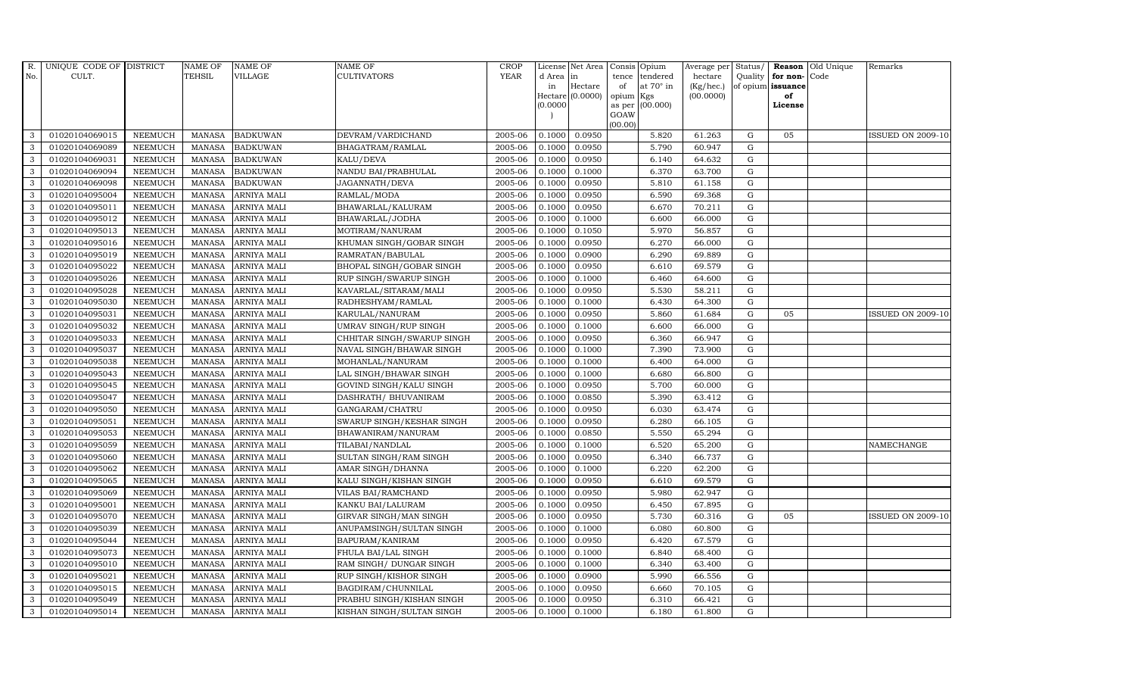| R.  | UNIQUE CODE OF DISTRICT |                | <b>NAME OF</b> | <b>NAME OF</b>     | <b>NAME OF</b>             | <b>CROP</b> |           | License Net Area Consis Opium |           |                  | Average per Status/ |             |                   | <b>Reason</b> Old Unique | Remarks                  |
|-----|-------------------------|----------------|----------------|--------------------|----------------------------|-------------|-----------|-------------------------------|-----------|------------------|---------------------|-------------|-------------------|--------------------------|--------------------------|
| No. | CULT.                   |                | <b>TEHSIL</b>  | VILLAGE            | <b>CULTIVATORS</b>         | <b>YEAR</b> | d Area in |                               |           | tence tendered   | hectare             | Quality     | for non-          | Code                     |                          |
|     |                         |                |                |                    |                            |             | in        | Hectare                       | of        | at $70^\circ$ in | (Kg/hec.)           |             | of opium issuance |                          |                          |
|     |                         |                |                |                    |                            |             | (0.0000)  | $Hectare (0.0000)$            | opium Kgs | as per (00.000)  | (00.0000)           |             | of<br>License     |                          |                          |
|     |                         |                |                |                    |                            |             |           |                               | GOAW      |                  |                     |             |                   |                          |                          |
|     |                         |                |                |                    |                            |             |           |                               | (00.00)   |                  |                     |             |                   |                          |                          |
| 3   | 01020104069015          | <b>NEEMUCH</b> | <b>MANASA</b>  | <b>BADKUWAN</b>    | DEVRAM/VARDICHAND          | 2005-06     | 0.1000    | 0.0950                        |           | 5.820            | 61.263              | G           | 05                |                          | <b>ISSUED ON 2009-10</b> |
| 3   | 01020104069089          | NEEMUCH        | <b>MANASA</b>  | <b>BADKUWAN</b>    | BHAGATRAM/RAMLAL           | 2005-06     | 0.1000    | 0.0950                        |           | 5.790            | 60.947              | $\mathbf G$ |                   |                          |                          |
| 3   | 01020104069031          | <b>NEEMUCH</b> | <b>MANASA</b>  | <b>BADKUWAN</b>    | KALU/DEVA                  | 2005-06     | 0.1000    | 0.0950                        |           | 6.140            | 64.632              | $\mathbf G$ |                   |                          |                          |
| 3   | 01020104069094          | <b>NEEMUCH</b> | <b>MANASA</b>  | <b>BADKUWAN</b>    | NANDU BAI/PRABHULAL        | 2005-06     | 0.1000    | 0.1000                        |           | 6.370            | 63.700              | ${\rm G}$   |                   |                          |                          |
| 3   | 01020104069098          | <b>NEEMUCH</b> | <b>MANASA</b>  | <b>BADKUWAN</b>    | JAGANNATH/DEVA             | 2005-06     | 0.1000    | 0.0950                        |           | 5.810            | 61.158              | G           |                   |                          |                          |
| 3   | 01020104095004          | <b>NEEMUCH</b> | <b>MANASA</b>  | ARNIYA MALI        | RAMLAL/MODA                | 2005-06     | 0.1000    | 0.0950                        |           | 6.590            | 69.368              | ${\rm G}$   |                   |                          |                          |
| 3   | 01020104095011          | NEEMUCH        | <b>MANASA</b>  | ARNIYA MALI        | BHAWARLAL/KALURAM          | 2005-06     | 0.1000    | 0.0950                        |           | 6.670            | 70.211              | $\mathbf G$ |                   |                          |                          |
| 3   | 01020104095012          | <b>NEEMUCH</b> | <b>MANASA</b>  | <b>ARNIYA MALI</b> | BHAWARLAL/JODHA            | 2005-06     | 0.1000    | 0.1000                        |           | 6.600            | 66.000              | G           |                   |                          |                          |
| 3   | 01020104095013          | <b>NEEMUCH</b> | <b>MANASA</b>  | <b>ARNIYA MALI</b> | MOTIRAM/NANURAM            | 2005-06     | 0.1000    | 0.1050                        |           | 5.970            | 56.857              | $\mathbf G$ |                   |                          |                          |
| 3   | 01020104095016          | <b>NEEMUCH</b> | <b>MANASA</b>  | ARNIYA MALI        | KHUMAN SINGH/GOBAR SINGH   | 2005-06     | 0.1000    | 0.0950                        |           | 6.270            | 66.000              | $\mathbf G$ |                   |                          |                          |
| 3   | 01020104095019          | <b>NEEMUCH</b> | <b>MANASA</b>  | ARNIYA MALI        | RAMRATAN/BABULAL           | 2005-06     | 0.1000    | 0.0900                        |           | 6.290            | 69.889              | ${\rm G}$   |                   |                          |                          |
| 3   | 01020104095022          | <b>NEEMUCH</b> | <b>MANASA</b>  | ARNIYA MALI        | BHOPAL SINGH/GOBAR SINGH   | 2005-06     | 0.1000    | 0.0950                        |           | 6.610            | 69.579              | $\mathbf G$ |                   |                          |                          |
| 3   | 01020104095026          | <b>NEEMUCH</b> | <b>MANASA</b>  | <b>ARNIYA MALI</b> | RUP SINGH/SWARUP SINGH     | 2005-06     | 0.1000    | 0.1000                        |           | 6.460            | 64.600              | $\mathbf G$ |                   |                          |                          |
| 3   | 01020104095028          | <b>NEEMUCH</b> | <b>MANASA</b>  | <b>ARNIYA MALI</b> | KAVARLAL/SITARAM/MALI      | 2005-06     | 0.1000    | 0.0950                        |           | 5.530            | 58.211              | $\mathbf G$ |                   |                          |                          |
| 3   | 01020104095030          | <b>NEEMUCH</b> | <b>MANASA</b>  | ARNIYA MALI        | RADHESHYAM/RAMLAL          | 2005-06     | 0.1000    | 0.1000                        |           | 6.430            | 64.300              | G           |                   |                          |                          |
| 3   | 01020104095031          | <b>NEEMUCH</b> | <b>MANASA</b>  | <b>ARNIYA MALI</b> | KARULAL/NANURAM            | 2005-06     | 0.1000    | 0.0950                        |           | 5.860            | 61.684              | ${\rm G}$   | 05                |                          | <b>ISSUED ON 2009-10</b> |
| 3   | 01020104095032          | <b>NEEMUCH</b> | <b>MANASA</b>  | ARNIYA MALI        | UMRAV SINGH/RUP SINGH      | 2005-06     | 0.1000    | 0.1000                        |           | 6.600            | 66.000              | $\mathbf G$ |                   |                          |                          |
| 3   | 01020104095033          | <b>NEEMUCH</b> | <b>MANASA</b>  | <b>ARNIYA MALI</b> | CHHITAR SINGH/SWARUP SINGH | 2005-06     | 0.1000    | 0.0950                        |           | 6.360            | 66.947              | G           |                   |                          |                          |
| 3   | 01020104095037          | <b>NEEMUCH</b> | <b>MANASA</b>  | ARNIYA MALI        | NAVAL SINGH/BHAWAR SINGH   | 2005-06     | 0.1000    | 0.1000                        |           | 7.390            | 73.900              | ${\rm G}$   |                   |                          |                          |
| 3   | 01020104095038          | <b>NEEMUCH</b> | <b>MANASA</b>  | ARNIYA MALI        | MOHANLAL/NANURAM           | 2005-06     | 0.1000    | 0.1000                        |           | 6.400            | 64.000              | $\mathbf G$ |                   |                          |                          |
| 3   | 01020104095043          | <b>NEEMUCH</b> | <b>MANASA</b>  | ARNIYA MALI        | LAL SINGH/BHAWAR SINGH     | 2005-06     | 0.1000    | 0.1000                        |           | 6.680            | 66.800              | G           |                   |                          |                          |
| 3   | 01020104095045          | <b>NEEMUCH</b> | <b>MANASA</b>  | ARNIYA MALI        | GOVIND SINGH/KALU SINGH    | 2005-06     | 0.1000    | 0.0950                        |           | 5.700            | 60.000              | $\mathbf G$ |                   |                          |                          |
| 3   | 01020104095047          | <b>NEEMUCH</b> | <b>MANASA</b>  | ARNIYA MALI        | DASHRATH / BHUVANIRAM      | 2005-06     | 0.1000    | 0.0850                        |           | 5.390            | 63.412              | ${\rm G}$   |                   |                          |                          |
| 3   | 01020104095050          | <b>NEEMUCH</b> | <b>MANASA</b>  | <b>ARNIYA MALI</b> | GANGARAM/CHATRU            | 2005-06     | 0.1000    | 0.0950                        |           | 6.030            | 63.474              | $\mathbf G$ |                   |                          |                          |
| 3   | 01020104095051          | <b>NEEMUCH</b> | <b>MANASA</b>  | ARNIYA MALI        | SWARUP SINGH/KESHAR SINGH  | 2005-06     | 0.1000    | 0.0950                        |           | 6.280            | 66.105              | $\mathbf G$ |                   |                          |                          |
| 3   | 01020104095053          | <b>NEEMUCH</b> | <b>MANASA</b>  | ARNIYA MALI        | BHAWANIRAM/NANURAM         | 2005-06     | 0.1000    | 0.0850                        |           | 5.550            | 65.294              | G           |                   |                          |                          |
| 3   | 01020104095059          | <b>NEEMUCH</b> | <b>MANASA</b>  | <b>ARNIYA MALI</b> | TILABAI/NANDLAL            | 2005-06     | 0.1000    | 0.1000                        |           | 6.520            | 65.200              | G           |                   |                          | <b>NAMECHANGE</b>        |
| 3   | 01020104095060          | <b>NEEMUCH</b> | <b>MANASA</b>  | <b>ARNIYA MALI</b> | SULTAN SINGH/RAM SINGH     | 2005-06     | 0.1000    | 0.0950                        |           | 6.340            | 66.737              | ${\rm G}$   |                   |                          |                          |
| 3   | 01020104095062          | <b>NEEMUCH</b> | <b>MANASA</b>  | <b>ARNIYA MALI</b> | AMAR SINGH/DHANNA          | 2005-06     | 0.1000    | 0.1000                        |           | 6.220            | 62.200              | ${\rm G}$   |                   |                          |                          |
| 3   | 01020104095065          | <b>NEEMUCH</b> | <b>MANASA</b>  | ARNIYA MALI        | KALU SINGH/KISHAN SINGH    | 2005-06     | 0.1000    | 0.0950                        |           | 6.610            | 69.579              | G           |                   |                          |                          |
| 3   | 01020104095069          | <b>NEEMUCH</b> | <b>MANASA</b>  | ARNIYA MALI        | VILAS BAI/RAMCHAND         | 2005-06     | 0.1000    | 0.0950                        |           | 5.980            | 62.947              | G           |                   |                          |                          |
| 3   | 01020104095001          | <b>NEEMUCH</b> | <b>MANASA</b>  | ARNIYA MALI        | KANKU BAI/LALURAM          | 2005-06     | 0.1000    | 0.0950                        |           | 6.450            | 67.895              | $\mathbf G$ |                   |                          |                          |
| 3   | 01020104095070          | <b>NEEMUCH</b> | <b>MANASA</b>  | ARNIYA MALI        | GIRVAR SINGH/MAN SINGH     | 2005-06     | 0.1000    | 0.0950                        |           | 5.730            | 60.316              | ${\rm G}$   | 05                |                          | <b>ISSUED ON 2009-10</b> |
| 3   | 01020104095039          | <b>NEEMUCH</b> | <b>MANASA</b>  | <b>ARNIYA MALI</b> | ANUPAMSINGH/SULTAN SINGH   | 2005-06     | 0.1000    | 0.1000                        |           | 6.080            | 60.800              | ${\rm G}$   |                   |                          |                          |
| 3   | 01020104095044          | <b>NEEMUCH</b> | <b>MANASA</b>  | <b>ARNIYA MALI</b> | BAPURAM/KANIRAM            | 2005-06     | 0.1000    | 0.0950                        |           | 6.420            | 67.579              | G           |                   |                          |                          |
| 3   | 01020104095073          | <b>NEEMUCH</b> | <b>MANASA</b>  | ARNIYA MALI        | FHULA BAI/LAL SINGH        | 2005-06     | 0.1000    | 0.1000                        |           | 6.840            | 68.400              | G           |                   |                          |                          |
| 3   | 01020104095010          | <b>NEEMUCH</b> | <b>MANASA</b>  | ARNIYA MALI        | RAM SINGH/ DUNGAR SINGH    | 2005-06     | 0.1000    | 0.1000                        |           | 6.340            | 63.400              | ${\rm G}$   |                   |                          |                          |
| 3   | 01020104095021          | <b>NEEMUCH</b> | <b>MANASA</b>  | ARNIYA MALI        | RUP SINGH/KISHOR SINGH     | 2005-06     | 0.1000    | 0.0900                        |           | 5.990            | 66.556              | $\mathbf G$ |                   |                          |                          |
| 3   | 01020104095015          | <b>NEEMUCH</b> | <b>MANASA</b>  | <b>ARNIYA MALI</b> | BAGDIRAM/CHUNNILAL         | 2005-06     | 0.1000    | 0.0950                        |           | 6.660            | 70.105              | G           |                   |                          |                          |
| 3   | 01020104095049          | <b>NEEMUCH</b> | <b>MANASA</b>  | ARNIYA MALI        | PRABHU SINGH/KISHAN SINGH  | 2005-06     | 0.1000    | 0.0950                        |           | 6.310            | 66.421              | G           |                   |                          |                          |
| 3   | 01020104095014          | <b>NEEMUCH</b> |                | MANASA ARNIYA MALI | KISHAN SINGH/SULTAN SINGH  | 2005-06     | 0.1000    | 0.1000                        |           | 6.180            | 61.800              | $\mathbf G$ |                   |                          |                          |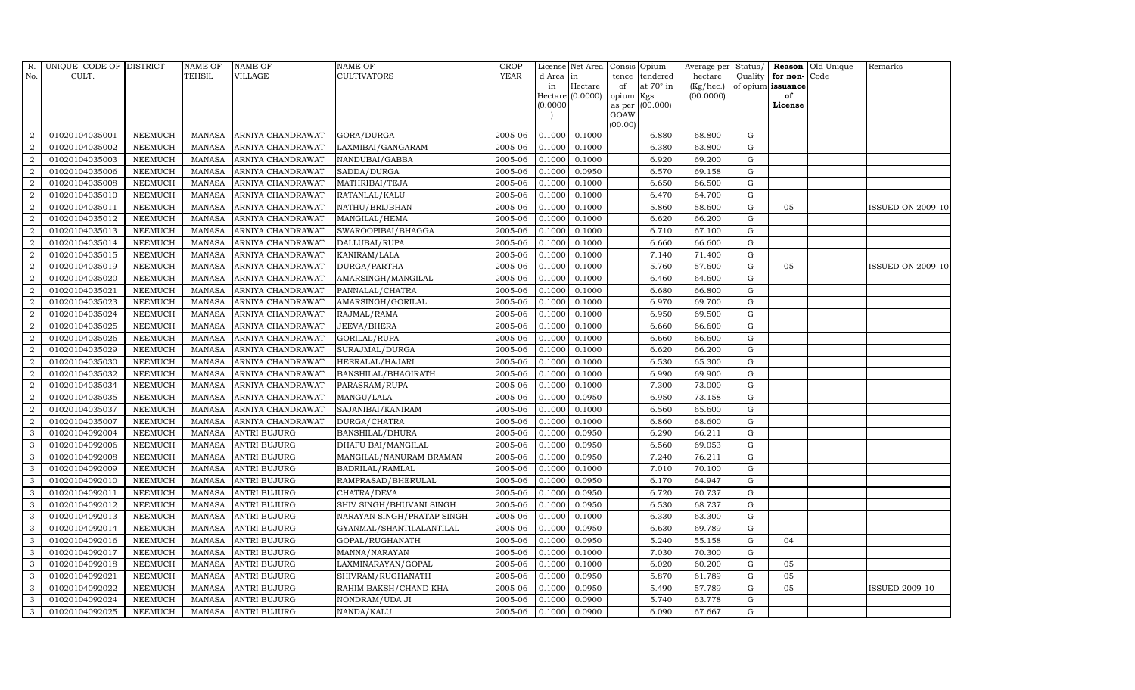| R.               | UNIQUE CODE OF DISTRICT |                | <b>NAME OF</b> | <b>NAME OF</b>      | <b>NAME OF</b>             | CROP        |           | License Net Area            |                 | Consis Opium     | Average per     | Status/     |                   | <b>Reason</b> Old Unique | Remarks                  |
|------------------|-------------------------|----------------|----------------|---------------------|----------------------------|-------------|-----------|-----------------------------|-----------------|------------------|-----------------|-------------|-------------------|--------------------------|--------------------------|
| No.              | CULT.                   |                | <b>TEHSIL</b>  | <b>VILLAGE</b>      | <b>CULTIVATORS</b>         | <b>YEAR</b> | d Area in |                             | tence           | tendered         | hectare         | Quality     | for non-          | Code                     |                          |
|                  |                         |                |                |                     |                            |             | in        | Hectare<br>Hectare (0.0000) | of              | at $70^\circ$ in | $(Kg/$ hec. $)$ |             | of opium issuance |                          |                          |
|                  |                         |                |                |                     |                            |             | (0.0000)  |                             | opium<br>as per | Kgs<br>(00.000)  | (00.0000)       |             | of<br>License     |                          |                          |
|                  |                         |                |                |                     |                            |             |           |                             | GOAW            |                  |                 |             |                   |                          |                          |
|                  |                         |                |                |                     |                            |             |           |                             | (00.00)         |                  |                 |             |                   |                          |                          |
| $\overline{2}$   | 01020104035001          | <b>NEEMUCH</b> | <b>MANASA</b>  | ARNIYA CHANDRAWAT   | GORA/DURGA                 | 2005-06     | 0.1000    | 0.1000                      |                 | 6.880            | 68.800          | G           |                   |                          |                          |
| $\overline{2}$   | 01020104035002          | <b>NEEMUCH</b> | <b>MANASA</b>  | ARNIYA CHANDRAWAT   | LAXMIBAI/GANGARAM          | 2005-06     | 0.1000    | 0.1000                      |                 | 6.380            | 63.800          | G           |                   |                          |                          |
| $\overline{2}$   | 01020104035003          | <b>NEEMUCH</b> | <b>MANASA</b>  | ARNIYA CHANDRAWAT   | NANDUBAI/GABBA             | 2005-06     | 0.1000    | 0.1000                      |                 | 6.920            | 69.200          | G           |                   |                          |                          |
| $\overline{2}$   | 01020104035006          | <b>NEEMUCH</b> | <b>MANASA</b>  | ARNIYA CHANDRAWAT   | SADDA/DURGA                | 2005-06     | 0.1000    | 0.0950                      |                 | 6.570            | 69.158          | G           |                   |                          |                          |
| $\overline{2}$   | 01020104035008          | <b>NEEMUCH</b> | <b>MANASA</b>  | ARNIYA CHANDRAWAT   | MATHRIBAI/TEJA             | 2005-06     | 0.1000    | 0.1000                      |                 | 6.650            | 66.500          | G           |                   |                          |                          |
| $\overline{2}$   | 01020104035010          | <b>NEEMUCH</b> | <b>MANASA</b>  | ARNIYA CHANDRAWAT   | RATANLAL/KALU              | 2005-06     | 0.1000    | 0.1000                      |                 | 6.470            | 64.700          | G           |                   |                          |                          |
| 2                | 01020104035011          | <b>NEEMUCH</b> | <b>MANASA</b>  | ARNIYA CHANDRAWAT   | NATHU/BRIJBHAN             | 2005-06     | 0.1000    | 0.1000                      |                 | 5.860            | 58.600          | G           | 05                |                          | <b>ISSUED ON 2009-10</b> |
| $\overline{2}$   | 01020104035012          | <b>NEEMUCH</b> | <b>MANASA</b>  | ARNIYA CHANDRAWAT   | MANGILAL/HEMA              | 2005-06     | 0.1000    | 0.1000                      |                 | 6.620            | 66.200          | G           |                   |                          |                          |
| $\overline{2}$   | 01020104035013          | <b>NEEMUCH</b> | <b>MANASA</b>  | ARNIYA CHANDRAWAT   | SWAROOPIBAI/BHAGGA         | 2005-06     | 0.1000    | 0.1000                      |                 | 6.710            | 67.100          | G           |                   |                          |                          |
| $\overline{2}$   | 01020104035014          | <b>NEEMUCH</b> | <b>MANASA</b>  | ARNIYA CHANDRAWAT   | DALLUBAI/RUPA              | 2005-06     | 0.1000    | 0.1000                      |                 | 6.660            | 66.600          | G           |                   |                          |                          |
| $\overline{2}$   | 01020104035015          | <b>NEEMUCH</b> | <b>MANASA</b>  | ARNIYA CHANDRAWAT   | KANIRAM/LALA               | 2005-06     | 0.1000    | 0.1000                      |                 | 7.140            | 71.400          | G           |                   |                          |                          |
| $\overline{2}$   | 01020104035019          | <b>NEEMUCH</b> | <b>MANASA</b>  | ARNIYA CHANDRAWAT   | DURGA/PARTHA               | 2005-06     | 0.1000    | 0.1000                      |                 | 5.760            | 57.600          | ${\rm G}$   | 05                |                          | <b>ISSUED ON 2009-10</b> |
| $\overline{2}$   | 01020104035020          | <b>NEEMUCH</b> | <b>MANASA</b>  | ARNIYA CHANDRAWAT   | AMARSINGH/MANGILAL         | 2005-06     | 0.1000    | 0.1000                      |                 | 6.460            | 64.600          | $\mathbf G$ |                   |                          |                          |
| $\overline{2}$   | 01020104035021          | <b>NEEMUCH</b> | <b>MANASA</b>  | ARNIYA CHANDRAWAT   | PANNALAL/CHATRA            | 2005-06     | 0.1000    | 0.1000                      |                 | 6.680            | 66.800          | $\mathbf G$ |                   |                          |                          |
| $\boldsymbol{2}$ | 01020104035023          | <b>NEEMUCH</b> | <b>MANASA</b>  | ARNIYA CHANDRAWAT   | AMARSINGH/GORILAL          | 2005-06     | 0.1000    | 0.1000                      |                 | 6.970            | 69.700          | G           |                   |                          |                          |
| $\overline{2}$   | 01020104035024          | <b>NEEMUCH</b> | <b>MANASA</b>  | ARNIYA CHANDRAWAT   | RAJMAL/RAMA                | 2005-06     | 0.1000    | 0.1000                      |                 | 6.950            | 69.500          | G           |                   |                          |                          |
| $\overline{2}$   | 01020104035025          | <b>NEEMUCH</b> | <b>MANASA</b>  | ARNIYA CHANDRAWAT   | JEEVA/BHERA                | 2005-06     | 0.1000    | 0.1000                      |                 | 6.660            | 66.600          | G           |                   |                          |                          |
| $\overline{2}$   | 01020104035026          | <b>NEEMUCH</b> | <b>MANASA</b>  | ARNIYA CHANDRAWAT   | GORILAL/RUPA               | 2005-06     | 0.1000    | 0.1000                      |                 | 6.660            | 66.600          | G           |                   |                          |                          |
| $\overline{2}$   | 01020104035029          | <b>NEEMUCH</b> | <b>MANASA</b>  | ARNIYA CHANDRAWAT   | SURAJMAL/DURGA             | 2005-06     | 0.1000    | 0.1000                      |                 | 6.620            | 66.200          | G           |                   |                          |                          |
| $\overline{2}$   | 01020104035030          | <b>NEEMUCH</b> | <b>MANASA</b>  | ARNIYA CHANDRAWAT   | HEERALAL/HAJARI            | 2005-06     | 0.1000    | 0.1000                      |                 | 6.530            | 65.300          | G           |                   |                          |                          |
| $\overline{2}$   | 01020104035032          | <b>NEEMUCH</b> | <b>MANASA</b>  | ARNIYA CHANDRAWAT   | BANSHILAL/BHAGIRATH        | 2005-06     | 0.1000    | 0.1000                      |                 | 6.990            | 69.900          | G           |                   |                          |                          |
| $\overline{2}$   | 01020104035034          | <b>NEEMUCH</b> | <b>MANASA</b>  | ARNIYA CHANDRAWAT   | PARASRAM/RUPA              | 2005-06     | 0.1000    | 0.1000                      |                 | 7.300            | 73.000          | G           |                   |                          |                          |
| $\overline{2}$   | 01020104035035          | <b>NEEMUCH</b> | <b>MANASA</b>  | ARNIYA CHANDRAWAT   | MANGU/LALA                 | 2005-06     | 0.1000    | 0.0950                      |                 | 6.950            | 73.158          | G           |                   |                          |                          |
| $\overline{2}$   | 01020104035037          | <b>NEEMUCH</b> | <b>MANASA</b>  | ARNIYA CHANDRAWAT   | SAJANIBAI/KANIRAM          | 2005-06     | 0.1000    | 0.1000                      |                 | 6.560            | 65.600          | G           |                   |                          |                          |
| $\overline{2}$   | 01020104035007          | <b>NEEMUCH</b> | <b>MANASA</b>  | ARNIYA CHANDRAWAT   | DURGA/CHATRA               | 2005-06     | 0.1000    | 0.1000                      |                 | 6.860            | 68.600          | G           |                   |                          |                          |
| 3                | 01020104092004          | <b>NEEMUCH</b> | <b>MANASA</b>  | ANTRI BUJURG        | BANSHILAL/DHURA            | 2005-06     | 0.1000    | 0.0950                      |                 | 6.290            | 66.211          | G           |                   |                          |                          |
| 3                | 01020104092006          | <b>NEEMUCH</b> | <b>MANASA</b>  | <b>ANTRI BUJURG</b> | DHAPU BAI/MANGILAL         | 2005-06     | 0.1000    | 0.0950                      |                 | 6.560            | 69.053          | G           |                   |                          |                          |
| $\mathbf{3}$     | 01020104092008          | <b>NEEMUCH</b> | <b>MANASA</b>  | <b>ANTRI BUJURG</b> | MANGILAL/NANURAM BRAMAN    | 2005-06     | 0.1000    | 0.0950                      |                 | 7.240            | 76.211          | ${\rm G}$   |                   |                          |                          |
| 3                | 01020104092009          | <b>NEEMUCH</b> | <b>MANASA</b>  | <b>ANTRI BUJURG</b> | BADRILAL/RAMLAL            | 2005-06     | 0.1000    | 0.1000                      |                 | 7.010            | 70.100          | $\mathbf G$ |                   |                          |                          |
| 3                | 01020104092010          | <b>NEEMUCH</b> | <b>MANASA</b>  | <b>ANTRI BUJURG</b> | RAMPRASAD/BHERULAL         | 2005-06     | 0.1000    | 0.0950                      |                 | 6.170            | 64.947          | G           |                   |                          |                          |
| 3                | 01020104092011          | <b>NEEMUCH</b> | <b>MANASA</b>  | ANTRI BUJURG        | CHATRA/DEVA                | 2005-06     | 0.1000    | 0.0950                      |                 | 6.720            | 70.737          | G           |                   |                          |                          |
| 3                | 01020104092012          | <b>NEEMUCH</b> | <b>MANASA</b>  | <b>ANTRI BUJURG</b> | SHIV SINGH/BHUVANI SINGH   | 2005-06     | 0.1000    | 0.0950                      |                 | 6.530            | 68.737          | G           |                   |                          |                          |
| 3                | 01020104092013          | <b>NEEMUCH</b> | <b>MANASA</b>  | <b>ANTRI BUJURG</b> | NARAYAN SINGH/PRATAP SINGH | 2005-06     | 0.1000    | 0.1000                      |                 | 6.330            | 63.300          | G           |                   |                          |                          |
| 3                | 01020104092014          | <b>NEEMUCH</b> | <b>MANASA</b>  | <b>ANTRI BUJURG</b> | GYANMAL/SHANTILALANTILAL   | 2005-06     | 0.1000    | 0.0950                      |                 | 6.630            | 69.789          | G           |                   |                          |                          |
| 3                | 01020104092016          | <b>NEEMUCH</b> | <b>MANASA</b>  | <b>ANTRI BUJURG</b> | GOPAL/RUGHANATH            | 2005-06     | 0.1000    | 0.0950                      |                 | 5.240            | 55.158          | $\mathbf G$ | 04                |                          |                          |
| 3                | 01020104092017          | <b>NEEMUCH</b> | <b>MANASA</b>  | ANTRI BUJURG        | MANNA/NARAYAN              | 2005-06     | 0.1000    | 0.1000                      |                 | 7.030            | 70.300          | G           |                   |                          |                          |
| 3                | 01020104092018          | <b>NEEMUCH</b> | <b>MANASA</b>  | <b>ANTRI BUJURG</b> | LAXMINARAYAN/GOPAL         | 2005-06     | 0.1000    | 0.1000                      |                 | 6.020            | 60.200          | G           | 05                |                          |                          |
| 3                | 01020104092021          | <b>NEEMUCH</b> | <b>MANASA</b>  | <b>ANTRI BUJURG</b> | SHIVRAM/RUGHANATH          | 2005-06     | 0.1000    | 0.0950                      |                 | 5.870            | 61.789          | G           | 05                |                          |                          |
| 3                | 01020104092022          | <b>NEEMUCH</b> | <b>MANASA</b>  | <b>ANTRI BUJURG</b> | RAHIM BAKSH/CHAND KHA      | 2005-06     | 0.1000    | 0.0950                      |                 | 5.490            | 57.789          | G           | 05                |                          | <b>ISSUED 2009-10</b>    |
| 3                | 01020104092024          | <b>NEEMUCH</b> | <b>MANASA</b>  | <b>ANTRI BUJURG</b> | NONDRAM/UDA JI             | 2005-06     | 0.1000    | 0.0900                      |                 | 5.740            | 63.778          | $\mathbf G$ |                   |                          |                          |
| 3                | 01020104092025          | <b>NEEMUCH</b> | MANASA         | <b>ANTRI BUJURG</b> | NANDA/KALU                 | 2005-06     | 0.1000    | 0.0900                      |                 | 6.090            | 67.667          | G           |                   |                          |                          |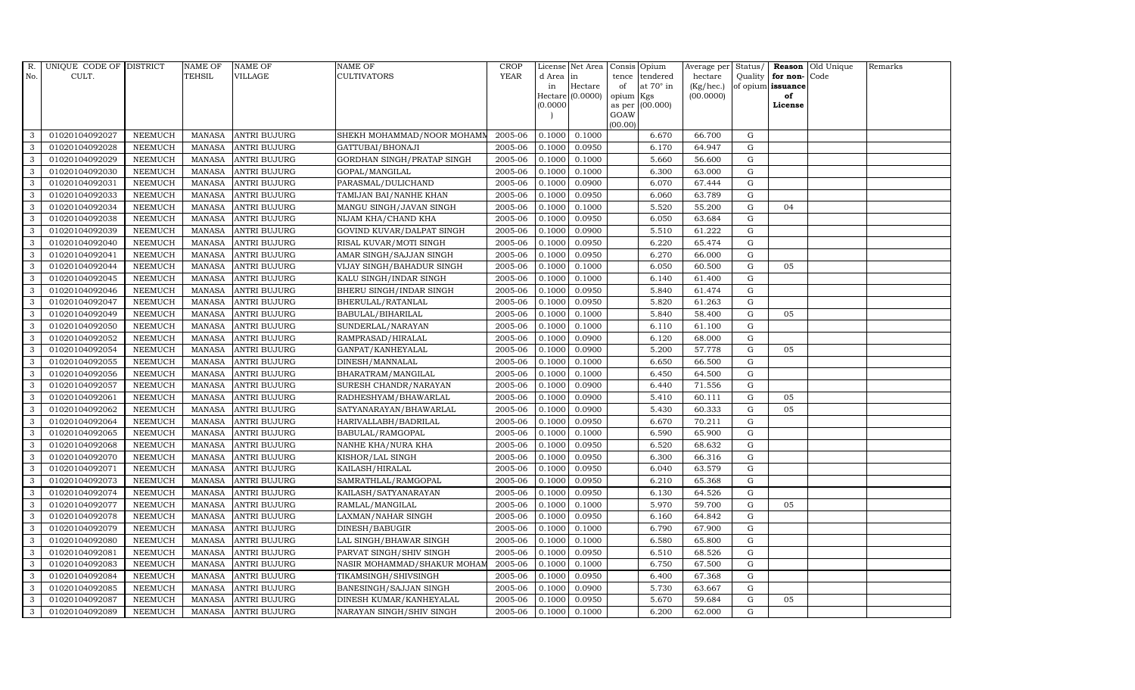| R.           | UNIQUE CODE OF DISTRICT |                | <b>NAME OF</b> | <b>NAME OF</b>      | <b>NAME OF</b>              | <b>CROP</b> |           | License Net Area   | Consis         | Opium            | Average per | Status/     |                   | Reason Old Unique | Remarks |
|--------------|-------------------------|----------------|----------------|---------------------|-----------------------------|-------------|-----------|--------------------|----------------|------------------|-------------|-------------|-------------------|-------------------|---------|
| No.          | CULT.                   |                | <b>TEHSIL</b>  | VILLAGE             | CULTIVATORS                 | <b>YEAR</b> | d Area in |                    | tence          | tendered         | hectare     | Quality     | for non-Code      |                   |         |
|              |                         |                |                |                     |                             |             | in        | Hectare            | of             | at $70^\circ$ in | (Kg/hec.)   |             | of opium issuance |                   |         |
|              |                         |                |                |                     |                             |             | (0.0000)  | $Hectare (0.0000)$ | opium          | Kgs<br>(00.000)  | (00.0000)   |             | of<br>License     |                   |         |
|              |                         |                |                |                     |                             |             |           |                    | as per<br>GOAW |                  |             |             |                   |                   |         |
|              |                         |                |                |                     |                             |             |           |                    | (00.00)        |                  |             |             |                   |                   |         |
| 3            | 01020104092027          | <b>NEEMUCH</b> | MANASA         | <b>ANTRI BUJURG</b> | SHEKH MOHAMMAD/NOOR MOHAMM  | 2005-06     | 0.1000    | 0.1000             |                | 6.670            | 66.700      | G           |                   |                   |         |
| 3            | 01020104092028          | <b>NEEMUCH</b> | <b>MANASA</b>  | <b>ANTRI BUJURG</b> | GATTUBAI/BHONAJI            | 2005-06     | 0.1000    | 0.0950             |                | 6.170            | 64.947      | ${\rm G}$   |                   |                   |         |
| 3            | 01020104092029          | <b>NEEMUCH</b> | <b>MANASA</b>  | <b>ANTRI BUJURG</b> | GORDHAN SINGH/PRATAP SINGH  | 2005-06     | 0.1000    | 0.1000             |                | 5.660            | 56.600      | G           |                   |                   |         |
| 3            | 01020104092030          | <b>NEEMUCH</b> | <b>MANASA</b>  | <b>ANTRI BUJURG</b> | GOPAL/MANGILAL              | 2005-06     | 0.1000    | 0.1000             |                | 6.300            | 63.000      | $\mathbf G$ |                   |                   |         |
| 3            | 01020104092031          | <b>NEEMUCH</b> | <b>MANASA</b>  | <b>ANTRI BUJURG</b> | PARASMAL/DULICHAND          | 2005-06     | 0.1000    | 0.0900             |                | 6.070            | 67.444      | G           |                   |                   |         |
| 3            | 01020104092033          | <b>NEEMUCH</b> | <b>MANASA</b>  | ANTRI BUJURG        | TAMIJAN BAI/NANHE KHAN      | 2005-06     | 0.1000    | 0.0950             |                | 6.060            | 63.789      | G           |                   |                   |         |
| 3            | 01020104092034          | <b>NEEMUCH</b> | <b>MANASA</b>  | <b>ANTRI BUJURG</b> | MANGU SINGH/JAVAN SINGH     | 2005-06     | 0.1000    | 0.1000             |                | 5.520            | 55.200      | ${\rm G}$   | 04                |                   |         |
| 3            | 01020104092038          | <b>NEEMUCH</b> | <b>MANASA</b>  | <b>ANTRI BUJURG</b> | NIJAM KHA/CHAND KHA         | 2005-06     | 0.1000    | 0.0950             |                | 6.050            | 63.684      | G           |                   |                   |         |
| 3            | 01020104092039          | <b>NEEMUCH</b> | <b>MANASA</b>  | <b>ANTRI BUJURG</b> | GOVIND KUVAR/DALPAT SINGH   | 2005-06     | 0.1000    | 0.0900             |                | 5.510            | 61.222      | $\mathbf G$ |                   |                   |         |
| 3            | 01020104092040          | <b>NEEMUCH</b> | <b>MANASA</b>  | ANTRI BUJURG        | RISAL KUVAR/MOTI SINGH      | 2005-06     | 0.1000    | 0.0950             |                | 6.220            | 65.474      | ${\rm G}$   |                   |                   |         |
| 3            | 01020104092041          | <b>NEEMUCH</b> | <b>MANASA</b>  | ANTRI BUJURG        | AMAR SINGH/SAJJAN SINGH     | 2005-06     | 0.1000    | 0.0950             |                | 6.270            | 66.000      | G           |                   |                   |         |
| 3            | 01020104092044          | <b>NEEMUCH</b> | <b>MANASA</b>  | <b>ANTRI BUJURG</b> | VIJAY SINGH/BAHADUR SINGH   | 2005-06     | 0.1000    | 0.1000             |                | 6.050            | 60.500      | G           | 05                |                   |         |
| 3            | 01020104092045          | <b>NEEMUCH</b> | <b>MANASA</b>  | <b>ANTRI BUJURG</b> | KALU SINGH/INDAR SINGH      | 2005-06     | 0.1000    | 0.1000             |                | 6.140            | 61.400      | G           |                   |                   |         |
| 3            | 01020104092046          | <b>NEEMUCH</b> | <b>MANASA</b>  | <b>ANTRI BUJURG</b> | BHERU SINGH/INDAR SINGH     | 2005-06     | 0.1000    | 0.0950             |                | 5.840            | 61.474      | $\mathbf G$ |                   |                   |         |
| 3            | 01020104092047          | <b>NEEMUCH</b> | <b>MANASA</b>  | <b>ANTRI BUJURG</b> | BHERULAL/RATANLAL           | 2005-06     | 0.1000    | 0.0950             |                | 5.820            | 61.263      | $\mathbf G$ |                   |                   |         |
| 3            | 01020104092049          | <b>NEEMUCH</b> | <b>MANASA</b>  | <b>ANTRI BUJURG</b> | BABULAL/BIHARILAL           | 2005-06     | 0.1000    | 0.1000             |                | 5.840            | 58.400      | G           | 05                |                   |         |
| 3            | 01020104092050          | <b>NEEMUCH</b> | <b>MANASA</b>  | <b>ANTRI BUJURG</b> | SUNDERLAL/NARAYAN           | 2005-06     | 0.1000    | 0.1000             |                | 6.110            | 61.100      | G           |                   |                   |         |
| $\mathbf{3}$ | 01020104092052          | <b>NEEMUCH</b> | <b>MANASA</b>  | <b>ANTRI BUJURG</b> | RAMPRASAD/HIRALAL           | 2005-06     | 0.1000    | 0.0900             |                | 6.120            | 68.000      | G           |                   |                   |         |
| 3            | 01020104092054          | <b>NEEMUCH</b> | <b>MANASA</b>  | <b>ANTRI BUJURG</b> | GANPAT/KANHEYALAL           | 2005-06     | 0.1000    | 0.0900             |                | 5.200            | 57.778      | G           | 05                |                   |         |
| 3            | 01020104092055          | <b>NEEMUCH</b> | <b>MANASA</b>  | <b>ANTRI BUJURG</b> | DINESH/MANNALAL             | 2005-06     | 0.1000    | 0.1000             |                | 6.650            | 66.500      | $\mathbf G$ |                   |                   |         |
| 3            | 01020104092056          | <b>NEEMUCH</b> | <b>MANASA</b>  | <b>ANTRI BUJURG</b> | BHARATRAM/MANGILAL          | 2005-06     | 0.1000    | 0.1000             |                | 6.450            | 64.500      | G           |                   |                   |         |
| 3            | 01020104092057          | <b>NEEMUCH</b> | <b>MANASA</b>  | <b>ANTRI BUJURG</b> | SURESH CHANDR/NARAYAN       | 2005-06     | 0.1000    | 0.0900             |                | 6.440            | 71.556      | G           |                   |                   |         |
| 3            | 01020104092061          | <b>NEEMUCH</b> | <b>MANASA</b>  | <b>ANTRI BUJURG</b> | RADHESHYAM/BHAWARLAL        | 2005-06     | 0.1000    | 0.0900             |                | 5.410            | 60.111      | $\mathbf G$ | 05                |                   |         |
| 3            | 01020104092062          | <b>NEEMUCH</b> | <b>MANASA</b>  | <b>ANTRI BUJURG</b> | SATYANARAYAN/BHAWARLAL      | 2005-06     | 0.1000    | 0.0900             |                | 5.430            | 60.333      | $\mathbf G$ | 05                |                   |         |
| 3            | 01020104092064          | <b>NEEMUCH</b> | <b>MANASA</b>  | <b>ANTRI BUJURG</b> | HARIVALLABH/BADRILAL        | 2005-06     | 0.1000    | 0.0950             |                | 6.670            | 70.211      | $\mathbf G$ |                   |                   |         |
| 3            | 01020104092065          | <b>NEEMUCH</b> | <b>MANASA</b>  | ANTRI BUJURG        | BABULAL/RAMGOPAL            | 2005-06     | 0.1000    | 0.1000             |                | 6.590            | 65.900      | G           |                   |                   |         |
| 3            | 01020104092068          | <b>NEEMUCH</b> | <b>MANASA</b>  | <b>ANTRI BUJURG</b> | NANHE KHA/NURA KHA          | 2005-06     | 0.1000    | 0.0950             |                | 6.520            | 68.632      | ${\rm G}$   |                   |                   |         |
| 3            | 01020104092070          | <b>NEEMUCH</b> | <b>MANASA</b>  | <b>ANTRI BUJURG</b> | KISHOR/LAL SINGH            | 2005-06     | 0.1000    | 0.0950             |                | 6.300            | 66.316      | ${\rm G}$   |                   |                   |         |
| 3            | 01020104092071          | <b>NEEMUCH</b> | <b>MANASA</b>  | <b>ANTRI BUJURG</b> | KAILASH/HIRALAL             | 2005-06     | 0.1000    | 0.0950             |                | 6.040            | 63.579      | $\mathbf G$ |                   |                   |         |
| 3            | 01020104092073          | <b>NEEMUCH</b> | <b>MANASA</b>  | <b>ANTRI BUJURG</b> | SAMRATHLAL/RAMGOPAL         | 2005-06     | 0.1000    | 0.0950             |                | 6.210            | 65.368      | $\mathbf G$ |                   |                   |         |
| 3            | 01020104092074          | <b>NEEMUCH</b> | <b>MANASA</b>  | <b>ANTRI BUJURG</b> | KAILASH/SATYANARAYAN        | 2005-06     | 0.1000    | 0.0950             |                | 6.130            | 64.526      | G           |                   |                   |         |
| 3            | 01020104092077          | <b>NEEMUCH</b> | <b>MANASA</b>  | <b>ANTRI BUJURG</b> | RAMLAL/MANGILAL             | 2005-06     | 0.1000    | 0.1000             |                | 5.970            | 59.700      | ${\rm G}$   | 05                |                   |         |
| 3            | 01020104092078          | <b>NEEMUCH</b> | <b>MANASA</b>  | <b>ANTRI BUJURG</b> | LAXMAN/NAHAR SINGH          | 2005-06     | 0.1000    | 0.0950             |                | 6.160            | 64.842      | G           |                   |                   |         |
| 3            | 01020104092079          | <b>NEEMUCH</b> | <b>MANASA</b>  | <b>ANTRI BUJURG</b> | DINESH/BABUGIR              | 2005-06     | 0.1000    | 0.1000             |                | 6.790            | 67.900      | $\mathbf G$ |                   |                   |         |
| 3            | 01020104092080          | <b>NEEMUCH</b> | <b>MANASA</b>  | <b>ANTRI BUJURG</b> | LAL SINGH/BHAWAR SINGH      | 2005-06     | 0.1000    | 0.1000             |                | 6.580            | 65.800      | $\mathbf G$ |                   |                   |         |
| 3            | 01020104092081          | <b>NEEMUCH</b> | <b>MANASA</b>  | ANTRI BUJURG        | PARVAT SINGH/SHIV SINGH     | 2005-06     | 0.1000    | 0.0950             |                | 6.510            | 68.526      | G           |                   |                   |         |
| 3            | 01020104092083          | <b>NEEMUCH</b> | <b>MANASA</b>  | <b>ANTRI BUJURG</b> | NASIR MOHAMMAD/SHAKUR MOHAM | 2005-06     | 0.1000    | 0.1000             |                | 6.750            | 67.500      | G           |                   |                   |         |
| 3            | 01020104092084          | <b>NEEMUCH</b> | <b>MANASA</b>  | <b>ANTRI BUJURG</b> | TIKAMSINGH/SHIVSINGH        | 2005-06     | 0.1000    | 0.0950             |                | 6.400            | 67.368      | G           |                   |                   |         |
| 3            | 01020104092085          | <b>NEEMUCH</b> | <b>MANASA</b>  | <b>ANTRI BUJURG</b> | BANESINGH/SAJJAN SINGH      | 2005-06     | 0.1000    | 0.0900             |                | 5.730            | 63.667      | $\mathbf G$ |                   |                   |         |
| 3            | 01020104092087          | <b>NEEMUCH</b> | <b>MANASA</b>  | <b>ANTRI BUJURG</b> | DINESH KUMAR/KANHEYALAL     | 2005-06     | 0.1000    | 0.0950             |                | 5.670            | 59.684      | $\mathbf G$ | 05                |                   |         |
| 3            | 01020104092089          | <b>NEEMUCH</b> | MANASA         | <b>ANTRI BUJURG</b> | NARAYAN SINGH/SHIV SINGH    | 2005-06     | 0.1000    | 0.1000             |                | 6.200            | 62.000      | G           |                   |                   |         |
|              |                         |                |                |                     |                             |             |           |                    |                |                  |             |             |                   |                   |         |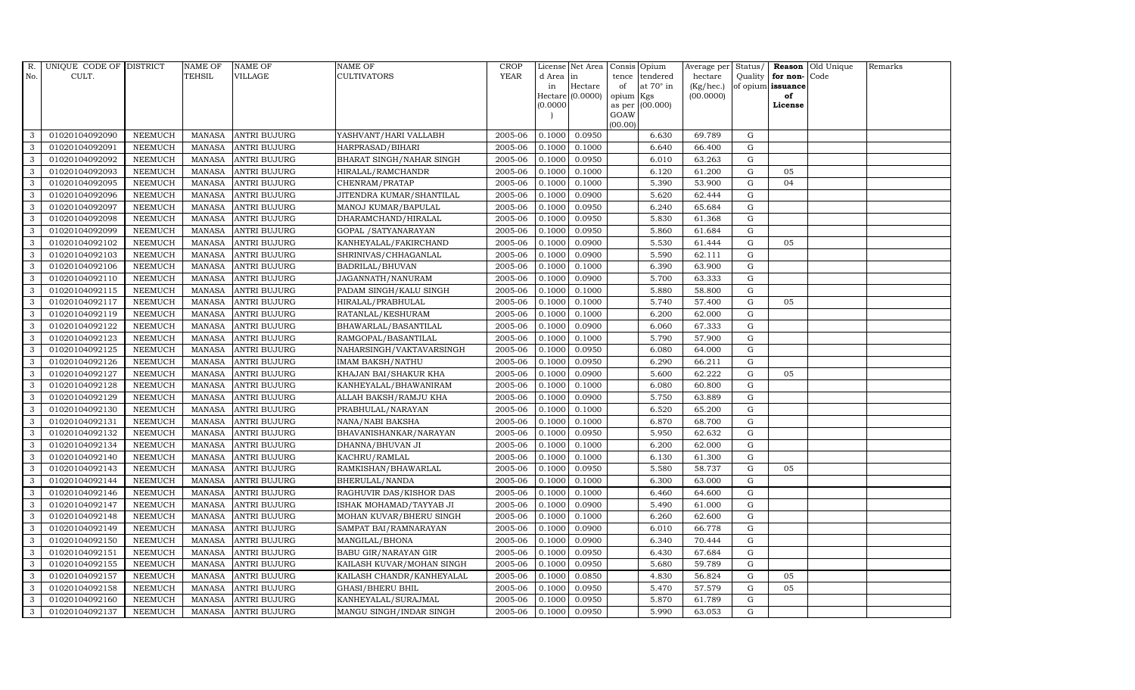| R.           | UNIQUE CODE OF DISTRICT |                | <b>NAME OF</b> | <b>NAME OF</b>      | <b>NAME OF</b>            | <b>CROP</b> |           | License Net Area   | Consis          | Opium            | Average per | Status/     |                   | <b>Reason</b> Old Unique | Remarks |
|--------------|-------------------------|----------------|----------------|---------------------|---------------------------|-------------|-----------|--------------------|-----------------|------------------|-------------|-------------|-------------------|--------------------------|---------|
| No.          | CULT.                   |                | TEHSIL         | VILLAGE             | CULTIVATORS               | <b>YEAR</b> | d Area in |                    | tence           | tendered         | hectare     | Quality     | for non-Code      |                          |         |
|              |                         |                |                |                     |                           |             | in        | Hectare            | of              | at $70^\circ$ in | (Kg/hec.)   |             | of opium issuance |                          |         |
|              |                         |                |                |                     |                           |             | (0.0000)  | $Hectare (0.0000)$ | opium<br>as per | Kgs<br>(00.000)  | (00.0000)   |             | of<br>License     |                          |         |
|              |                         |                |                |                     |                           |             |           |                    | GOAW            |                  |             |             |                   |                          |         |
|              |                         |                |                |                     |                           |             |           |                    | (00.00)         |                  |             |             |                   |                          |         |
| 3            | 01020104092090          | <b>NEEMUCH</b> | MANASA         | <b>ANTRI BUJURG</b> | YASHVANT/HARI VALLABH     | 2005-06     | 0.1000    | 0.0950             |                 | 6.630            | 69.789      | G           |                   |                          |         |
| 3            | 01020104092091          | <b>NEEMUCH</b> | <b>MANASA</b>  | <b>ANTRI BUJURG</b> | HARPRASAD/BIHARI          | 2005-06     | 0.1000    | 0.1000             |                 | 6.640            | 66.400      | ${\rm G}$   |                   |                          |         |
| 3            | 01020104092092          | <b>NEEMUCH</b> | <b>MANASA</b>  | <b>ANTRI BUJURG</b> | BHARAT SINGH/NAHAR SINGH  | 2005-06     | 0.1000    | 0.0950             |                 | 6.010            | 63.263      | G           |                   |                          |         |
| 3            | 01020104092093          | <b>NEEMUCH</b> | <b>MANASA</b>  | <b>ANTRI BUJURG</b> | HIRALAL/RAMCHANDR         | 2005-06     | 0.1000    | 0.1000             |                 | 6.120            | 61.200      | $\mathbf G$ | 05                |                          |         |
| 3            | 01020104092095          | <b>NEEMUCH</b> | <b>MANASA</b>  | <b>ANTRI BUJURG</b> | CHENRAM/PRATAP            | 2005-06     | 0.1000    | 0.1000             |                 | 5.390            | 53.900      | $\mathbf G$ | 04                |                          |         |
| 3            | 01020104092096          | <b>NEEMUCH</b> | <b>MANASA</b>  | ANTRI BUJURG        | JITENDRA KUMAR/SHANTILAL  | 2005-06     | 0.1000    | 0.0900             |                 | 5.620            | 62.444      | G           |                   |                          |         |
| 3            | 01020104092097          | <b>NEEMUCH</b> | <b>MANASA</b>  | <b>ANTRI BUJURG</b> | MANOJ KUMAR/BAPULAL       | 2005-06     | 0.1000    | 0.0950             |                 | 6.240            | 65.684      | G           |                   |                          |         |
| 3            | 01020104092098          | <b>NEEMUCH</b> | <b>MANASA</b>  | <b>ANTRI BUJURG</b> | DHARAMCHAND/HIRALAL       | 2005-06     | 0.1000    | 0.0950             |                 | 5.830            | 61.368      | G           |                   |                          |         |
| 3            | 01020104092099          | <b>NEEMUCH</b> | <b>MANASA</b>  | <b>ANTRI BUJURG</b> | GOPAL / SATYANARAYAN      | 2005-06     | 0.1000    | 0.0950             |                 | 5.860            | 61.684      | $\mathbf G$ |                   |                          |         |
| 3            | 01020104092102          | <b>NEEMUCH</b> | <b>MANASA</b>  | ANTRI BUJURG        | KANHEYALAL/FAKIRCHAND     | 2005-06     | 0.1000    | 0.0900             |                 | 5.530            | 61.444      | $\mathbf G$ | 05                |                          |         |
| 3            | 01020104092103          | <b>NEEMUCH</b> | <b>MANASA</b>  | ANTRI BUJURG        | SHRINIVAS/CHHAGANLAL      | 2005-06     | 0.1000    | 0.0900             |                 | 5.590            | 62.111      | G           |                   |                          |         |
| 3            | 01020104092106          | <b>NEEMUCH</b> | <b>MANASA</b>  | <b>ANTRI BUJURG</b> | BADRILAL/BHUVAN           | 2005-06     | 0.1000    | 0.1000             |                 | 6.390            | 63.900      | G           |                   |                          |         |
| 3            | 01020104092110          | <b>NEEMUCH</b> | <b>MANASA</b>  | <b>ANTRI BUJURG</b> | JAGANNATH/NANURAM         | 2005-06     | 0.1000    | 0.0900             |                 | 5.700            | 63.333      | G           |                   |                          |         |
| 3            | 01020104092115          | <b>NEEMUCH</b> | <b>MANASA</b>  | <b>ANTRI BUJURG</b> | PADAM SINGH/KALU SINGH    | 2005-06     | 0.1000    | 0.1000             |                 | 5.880            | 58.800      | $\mathbf G$ |                   |                          |         |
| 3            | 01020104092117          | <b>NEEMUCH</b> | <b>MANASA</b>  | <b>ANTRI BUJURG</b> | HIRALAL/PRABHULAL         | 2005-06     | 0.1000    | 0.1000             |                 | 5.740            | 57.400      | $\mathbf G$ | 05                |                          |         |
| 3            | 01020104092119          | <b>NEEMUCH</b> | <b>MANASA</b>  | <b>ANTRI BUJURG</b> | RATANLAL/KESHURAM         | 2005-06     | 0.1000    | 0.1000             |                 | 6.200            | 62.000      | G           |                   |                          |         |
| 3            | 01020104092122          | <b>NEEMUCH</b> | <b>MANASA</b>  | <b>ANTRI BUJURG</b> | BHAWARLAL/BASANTILAL      | 2005-06     | 0.1000    | 0.0900             |                 | 6.060            | 67.333      | G           |                   |                          |         |
| $\mathbf{3}$ | 01020104092123          | <b>NEEMUCH</b> | <b>MANASA</b>  | <b>ANTRI BUJURG</b> | RAMGOPAL/BASANTILAL       | 2005-06     | 0.1000    | 0.1000             |                 | 5.790            | 57.900      | G           |                   |                          |         |
| 3            | 01020104092125          | <b>NEEMUCH</b> | <b>MANASA</b>  | <b>ANTRI BUJURG</b> | NAHARSINGH/VAKTAVARSINGH  | 2005-06     | 0.1000    | 0.0950             |                 | 6.080            | 64.000      | G           |                   |                          |         |
| 3            | 01020104092126          | <b>NEEMUCH</b> | <b>MANASA</b>  | <b>ANTRI BUJURG</b> | <b>IMAM BAKSH/NATHU</b>   | 2005-06     | 0.1000    | 0.0950             |                 | 6.290            | 66.211      | $\mathbf G$ |                   |                          |         |
| 3            | 01020104092127          | <b>NEEMUCH</b> | <b>MANASA</b>  | <b>ANTRI BUJURG</b> | KHAJAN BAI/SHAKUR KHA     | 2005-06     | 0.1000    | 0.0900             |                 | 5.600            | 62.222      | G           | 05                |                          |         |
| 3            | 01020104092128          | <b>NEEMUCH</b> | <b>MANASA</b>  | <b>ANTRI BUJURG</b> | KANHEYALAL/BHAWANIRAM     | 2005-06     | 0.1000    | 0.1000             |                 | 6.080            | 60.800      | G           |                   |                          |         |
| 3            | 01020104092129          | <b>NEEMUCH</b> | <b>MANASA</b>  | <b>ANTRI BUJURG</b> | ALLAH BAKSH/RAMJU KHA     | 2005-06     | 0.1000    | 0.0900             |                 | 5.750            | 63.889      | G           |                   |                          |         |
| 3            | 01020104092130          | <b>NEEMUCH</b> | <b>MANASA</b>  | <b>ANTRI BUJURG</b> | PRABHULAL/NARAYAN         | 2005-06     | 0.1000    | 0.1000             |                 | 6.520            | 65.200      | $\mathbf G$ |                   |                          |         |
| 3            | 01020104092131          | <b>NEEMUCH</b> | <b>MANASA</b>  | <b>ANTRI BUJURG</b> | NANA/NABI BAKSHA          | 2005-06     | 0.1000    | 0.1000             |                 | 6.870            | 68.700      | $\mathbf G$ |                   |                          |         |
| 3            | 01020104092132          | <b>NEEMUCH</b> | <b>MANASA</b>  | ANTRI BUJURG        | BHAVANISHANKAR/NARAYAN    | 2005-06     | 0.1000    | 0.0950             |                 | 5.950            | 62.632      | G           |                   |                          |         |
| 3            | 01020104092134          | <b>NEEMUCH</b> | <b>MANASA</b>  | <b>ANTRI BUJURG</b> | DHANNA/BHUVAN JI          | 2005-06     | 0.1000    | 0.1000             |                 | 6.200            | 62.000      | ${\rm G}$   |                   |                          |         |
| 3            | 01020104092140          | <b>NEEMUCH</b> | <b>MANASA</b>  | <b>ANTRI BUJURG</b> | KACHRU/RAMLAL             | 2005-06     | 0.1000    | 0.1000             |                 | 6.130            | 61.300      | $\mathbf G$ |                   |                          |         |
| 3            | 01020104092143          | <b>NEEMUCH</b> | <b>MANASA</b>  | <b>ANTRI BUJURG</b> | RAMKISHAN/BHAWARLAL       | 2005-06     | 0.1000    | 0.0950             |                 | 5.580            | 58.737      | $\mathbf G$ | 05                |                          |         |
| 3            | 01020104092144          | <b>NEEMUCH</b> | <b>MANASA</b>  | <b>ANTRI BUJURG</b> | BHERULAL/NANDA            | 2005-06     | 0.1000    | 0.1000             |                 | 6.300            | 63.000      | $\mathbf G$ |                   |                          |         |
| 3            | 01020104092146          | <b>NEEMUCH</b> | <b>MANASA</b>  | <b>ANTRI BUJURG</b> | RAGHUVIR DAS/KISHOR DAS   | 2005-06     | 0.1000    | 0.1000             |                 | 6.460            | 64.600      | G           |                   |                          |         |
| 3            | 01020104092147          | <b>NEEMUCH</b> | <b>MANASA</b>  | <b>ANTRI BUJURG</b> | ISHAK MOHAMAD/TAYYAB JI   | 2005-06     | 0.1000    | 0.0900             |                 | 5.490            | 61.000      | G           |                   |                          |         |
| 3            | 01020104092148          | <b>NEEMUCH</b> | <b>MANASA</b>  | <b>ANTRI BUJURG</b> | MOHAN KUVAR/BHERU SINGH   | 2005-06     | 0.1000    | 0.1000             |                 | 6.260            | 62.600      | G           |                   |                          |         |
| 3            | 01020104092149          | <b>NEEMUCH</b> | <b>MANASA</b>  | <b>ANTRI BUJURG</b> | SAMPAT BAI/RAMNARAYAN     | 2005-06     | 0.1000    | 0.0900             |                 | 6.010            | 66.778      | $\mathbf G$ |                   |                          |         |
| 3            | 01020104092150          | <b>NEEMUCH</b> | <b>MANASA</b>  | <b>ANTRI BUJURG</b> | MANGILAL/BHONA            | 2005-06     | 0.1000    | 0.0900             |                 | 6.340            | 70.444      | $\mathbf G$ |                   |                          |         |
| 3            | 01020104092151          | <b>NEEMUCH</b> | <b>MANASA</b>  | ANTRI BUJURG        | BABU GIR/NARAYAN GIR      | 2005-06     | 0.1000    | 0.0950             |                 | 6.430            | 67.684      | G           |                   |                          |         |
| 3            | 01020104092155          | <b>NEEMUCH</b> | <b>MANASA</b>  | <b>ANTRI BUJURG</b> | KAILASH KUVAR/MOHAN SINGH | 2005-06     | 0.1000    | 0.0950             |                 | 5.680            | 59.789      | G           |                   |                          |         |
| 3            | 01020104092157          | <b>NEEMUCH</b> | <b>MANASA</b>  | <b>ANTRI BUJURG</b> | KAILASH CHANDR/KANHEYALAL | 2005-06     | 0.1000    | 0.0850             |                 | 4.830            | 56.824      | G           | 05                |                          |         |
| 3            | 01020104092158          | <b>NEEMUCH</b> | <b>MANASA</b>  | <b>ANTRI BUJURG</b> | GHASI/BHERU BHIL          | 2005-06     | 0.1000    | 0.0950             |                 | 5.470            | 57.579      | $\mathbf G$ | 05                |                          |         |
| 3            | 01020104092160          | <b>NEEMUCH</b> | <b>MANASA</b>  | <b>ANTRI BUJURG</b> | KANHEYALAL/SURAJMAL       | 2005-06     | 0.1000    | 0.0950             |                 | 5.870            | 61.789      | G           |                   |                          |         |
| 3            | 01020104092137          | <b>NEEMUCH</b> | MANASA         | <b>ANTRI BUJURG</b> | MANGU SINGH/INDAR SINGH   | 2005-06     | 0.1000    | 0.0950             |                 | 5.990            | 63.053      | G           |                   |                          |         |
|              |                         |                |                |                     |                           |             |           |                    |                 |                  |             |             |                   |                          |         |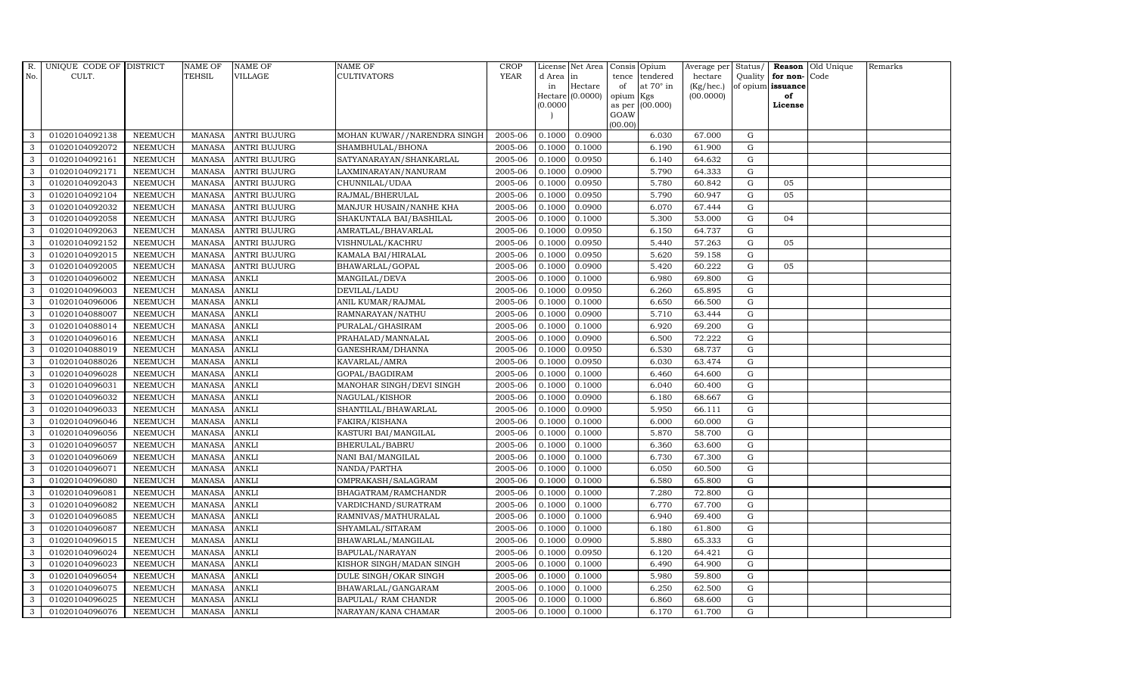| R.           | UNIQUE CODE OF DISTRICT |                | <b>NAME OF</b> | <b>NAME OF</b>      | NAME OF                     | <b>CROP</b> |           | License Net Area |                | Consis Opium     | Average per | Status/     |                   | Reason Old Unique | Remarks |
|--------------|-------------------------|----------------|----------------|---------------------|-----------------------------|-------------|-----------|------------------|----------------|------------------|-------------|-------------|-------------------|-------------------|---------|
| No.          | CULT.                   |                | <b>TEHSIL</b>  | VILLAGE             | CULTIVATORS                 | <b>YEAR</b> | d Area in |                  | tence          | tendered         | hectare     | Quality     | for non-Code      |                   |         |
|              |                         |                |                |                     |                             |             | in        | Hectare          | of             | at $70^\circ$ in | (Kg/hec.)   |             | of opium issuance |                   |         |
|              |                         |                |                |                     |                             |             |           | Hectare (0.0000) | opium          | Kgs              | (00.0000)   |             | of<br>License     |                   |         |
|              |                         |                |                |                     |                             |             | (0.0000)  |                  | as per<br>GOAW | (00.000)         |             |             |                   |                   |         |
|              |                         |                |                |                     |                             |             |           |                  | (00.00)        |                  |             |             |                   |                   |         |
| 3            | 01020104092138          | <b>NEEMUCH</b> | MANASA         | <b>ANTRI BUJURG</b> | MOHAN KUWAR//NARENDRA SINGH | 2005-06     | 0.1000    | 0.0900           |                | 6.030            | 67.000      | G           |                   |                   |         |
| 3            | 01020104092072          | <b>NEEMUCH</b> | MANASA         | <b>ANTRI BUJURG</b> | SHAMBHULAL/BHONA            | 2005-06     | 0.1000    | 0.1000           |                | 6.190            | 61.900      | $\mathbf G$ |                   |                   |         |
| 3            | 01020104092161          | <b>NEEMUCH</b> | <b>MANASA</b>  | <b>ANTRI BUJURG</b> | SATYANARAYAN/SHANKARLAL     | 2005-06     | 0.1000    | 0.0950           |                | 6.140            | 64.632      | G           |                   |                   |         |
| 3            | 01020104092171          | <b>NEEMUCH</b> | <b>MANASA</b>  | <b>ANTRI BUJURG</b> | LAXMINARAYAN / NANURAM      | 2005-06     | 0.1000    | 0.0900           |                | 5.790            | 64.333      | ${\rm G}$   |                   |                   |         |
| 3            | 01020104092043          | <b>NEEMUCH</b> | <b>MANASA</b>  | <b>ANTRI BUJURG</b> | CHUNNILAL/UDAA              | 2005-06     | 0.1000    | 0.0950           |                | 5.780            | 60.842      | ${\rm G}$   | 05                |                   |         |
| $\mathbf{3}$ | 01020104092104          | <b>NEEMUCH</b> | <b>MANASA</b>  | <b>ANTRI BUJURG</b> | RAJMAL/BHERULAL             | 2005-06     | 0.1000    | 0.0950           |                | 5.790            | 60.947      | G           | 05                |                   |         |
| 3            | 01020104092032          | <b>NEEMUCH</b> | <b>MANASA</b>  | <b>ANTRI BUJURG</b> | MANJUR HUSAIN/NANHE KHA     | 2005-06     | 0.1000    | 0.0900           |                | 6.070            | 67.444      | $\mathbf G$ |                   |                   |         |
| 3            | 01020104092058          | <b>NEEMUCH</b> | <b>MANASA</b>  | <b>ANTRI BUJURG</b> | SHAKUNTALA BAI/BASHILAL     | 2005-06     | 0.1000    | 0.1000           |                | 5.300            | 53.000      | G           | 04                |                   |         |
| 3            | 01020104092063          | <b>NEEMUCH</b> | <b>MANASA</b>  | <b>ANTRI BUJURG</b> | AMRATLAL/BHAVARLAL          | 2005-06     | 0.1000    | 0.0950           |                | 6.150            | 64.737      | G           |                   |                   |         |
| 3            | 01020104092152          | <b>NEEMUCH</b> | <b>MANASA</b>  | <b>ANTRI BUJURG</b> | VISHNULAL/KACHRU            | 2005-06     | 0.1000    | 0.0950           |                | 5.440            | 57.263      | G           | 05                |                   |         |
| $\mathbf{3}$ | 01020104092015          | <b>NEEMUCH</b> | <b>MANASA</b>  | <b>ANTRI BUJURG</b> | KAMALA BAI/HIRALAL          | 2005-06     | 0.1000    | 0.0950           |                | 5.620            | 59.158      | ${\rm G}$   |                   |                   |         |
| 3            | 01020104092005          | <b>NEEMUCH</b> | <b>MANASA</b>  | <b>ANTRI BUJURG</b> | BHAWARLAL/GOPAL             | 2005-06     | 0.1000    | 0.0900           |                | 5.420            | 60.222      | $\mathbf G$ | 05                |                   |         |
| $\mathbf{3}$ | 01020104096002          | <b>NEEMUCH</b> | <b>MANASA</b>  | <b>ANKLI</b>        | MANGILAL/DEVA               | 2005-06     | 0.1000    | 0.1000           |                | 6.980            | 69.800      | $\mathbf G$ |                   |                   |         |
| 3            | 01020104096003          | <b>NEEMUCH</b> | <b>MANASA</b>  | <b>ANKLI</b>        | DEVILAL/LADU                | 2005-06     | 0.1000    | 0.0950           |                | 6.260            | 65.895      | G           |                   |                   |         |
| 3            | 01020104096006          | <b>NEEMUCH</b> | <b>MANASA</b>  | <b>ANKLI</b>        | ANIL KUMAR/RAJMAL           | 2005-06     | 0.1000    | 0.1000           |                | 6.650            | 66.500      | ${\rm G}$   |                   |                   |         |
| $\mathbf{3}$ | 01020104088007          | <b>NEEMUCH</b> | <b>MANASA</b>  | <b>ANKLI</b>        | RAMNARAYAN/NATHU            | 2005-06     | 0.1000    | 0.0900           |                | 5.710            | 63.444      | G           |                   |                   |         |
| 3            | 01020104088014          | <b>NEEMUCH</b> | <b>MANASA</b>  | <b>ANKLI</b>        | PURALAL/GHASIRAM            | 2005-06     | 0.1000    | 0.1000           |                | 6.920            | 69.200      | G           |                   |                   |         |
| $\mathbf{3}$ | 01020104096016          | <b>NEEMUCH</b> | <b>MANASA</b>  | <b>ANKLI</b>        | PRAHALAD/MANNALAL           | 2005-06     | 0.1000    | 0.0900           |                | 6.500            | 72.222      | $\mathbf G$ |                   |                   |         |
| 3            | 01020104088019          | <b>NEEMUCH</b> | <b>MANASA</b>  | <b>ANKLI</b>        | GANESHRAM/DHANNA            | 2005-06     | 0.1000    | 0.0950           |                | 6.530            | 68.737      | $\mathbf G$ |                   |                   |         |
| 3            | 01020104088026          | <b>NEEMUCH</b> | <b>MANASA</b>  | <b>ANKLI</b>        | KAVARLAL/AMRA               | 2005-06     | 0.1000    | 0.0950           |                | 6.030            | 63.474      | $\mathbf G$ |                   |                   |         |
| $\mathbf{3}$ | 01020104096028          | <b>NEEMUCH</b> | <b>MANASA</b>  | <b>ANKLI</b>        | GOPAL/BAGDIRAM              | 2005-06     | 0.1000    | 0.1000           |                | 6.460            | 64.600      | G           |                   |                   |         |
| 3            | 01020104096031          | <b>NEEMUCH</b> | <b>MANASA</b>  | <b>ANKLI</b>        | MANOHAR SINGH/DEVI SINGH    | 2005-06     | 0.1000    | 0.1000           |                | 6.040            | 60.400      | G           |                   |                   |         |
| $\mathbf{3}$ | 01020104096032          | <b>NEEMUCH</b> | <b>MANASA</b>  | <b>ANKLI</b>        | NAGULAL/KISHOR              | 2005-06     | 0.1000    | 0.0900           |                | 6.180            | 68.667      | G           |                   |                   |         |
| 3            | 01020104096033          | <b>NEEMUCH</b> | <b>MANASA</b>  | <b>ANKLI</b>        | SHANTILAL/BHAWARLAL         | 2005-06     | 0.1000    | 0.0900           |                | 5.950            | 66.111      | $\mathbf G$ |                   |                   |         |
| 3            | 01020104096046          | <b>NEEMUCH</b> | <b>MANASA</b>  | ANKLI               | FAKIRA/KISHANA              | 2005-06     | 0.1000    | 0.1000           |                | 6.000            | 60.000      | G           |                   |                   |         |
| 3            | 01020104096056          | <b>NEEMUCH</b> | <b>MANASA</b>  | <b>ANKLI</b>        | KASTURI BAI/MANGILAL        | 2005-06     | 0.1000    | 0.1000           |                | 5.870            | 58.700      | G           |                   |                   |         |
| 3            | 01020104096057          | <b>NEEMUCH</b> | <b>MANASA</b>  | <b>ANKLI</b>        | BHERULAL/BABRU              | 2005-06     | 0.1000    | 0.1000           |                | 6.360            | 63.600      | G           |                   |                   |         |
| 3            | 01020104096069          | <b>NEEMUCH</b> | <b>MANASA</b>  | <b>ANKLI</b>        | NANI BAI/MANGILAL           | 2005-06     | 0.1000    | 0.1000           |                | 6.730            | 67.300      | G           |                   |                   |         |
| 3            | 01020104096071          | <b>NEEMUCH</b> | <b>MANASA</b>  | <b>ANKLI</b>        | NANDA/PARTHA                | 2005-06     | 0.1000    | 0.1000           |                | 6.050            | 60.500      | $\mathbf G$ |                   |                   |         |
| 3            | 01020104096080          | <b>NEEMUCH</b> | <b>MANASA</b>  | ANKLI               | OMPRAKASH/SALAGRAM          | 2005-06     | 0.1000    | 0.1000           |                | 6.580            | 65.800      | $\mathbf G$ |                   |                   |         |
| 3            | 01020104096081          | <b>NEEMUCH</b> | <b>MANASA</b>  | <b>ANKLI</b>        | BHAGATRAM/RAMCHANDR         | 2005-06     | 0.1000    | 0.1000           |                | 7.280            | 72.800      | G           |                   |                   |         |
| 3            | 01020104096082          | <b>NEEMUCH</b> | <b>MANASA</b>  | <b>ANKLI</b>        | VARDICHAND/SURATRAM         | 2005-06     | 0.1000    | 0.1000           |                | 6.770            | 67.700      | ${\rm G}$   |                   |                   |         |
| 3            | 01020104096085          | <b>NEEMUCH</b> | <b>MANASA</b>  | <b>ANKLI</b>        | RAMNIVAS/MATHURALAL         | 2005-06     | 0.1000    | 0.1000           |                | 6.940            | 69.400      | G           |                   |                   |         |
| 3            | 01020104096087          | <b>NEEMUCH</b> | <b>MANASA</b>  | <b>ANKLI</b>        | SHYAMLAL/SITARAM            | 2005-06     | 0.1000    | 0.1000           |                | 6.180            | 61.800      | $\mathbf G$ |                   |                   |         |
| 3            | 01020104096015          | <b>NEEMUCH</b> | <b>MANASA</b>  | <b>ANKLI</b>        | BHAWARLAL/MANGILAL          | 2005-06     | 0.1000    | 0.0900           |                | 5.880            | 65.333      | $\mathbf G$ |                   |                   |         |
| 3            | 01020104096024          | <b>NEEMUCH</b> | <b>MANASA</b>  | <b>ANKLI</b>        | BAPULAL/NARAYAN             | 2005-06     | 0.1000    | 0.0950           |                | 6.120            | 64.421      | ${\rm G}$   |                   |                   |         |
| $\mathbf{3}$ | 01020104096023          | <b>NEEMUCH</b> | <b>MANASA</b>  | <b>ANKLI</b>        | KISHOR SINGH/MADAN SINGH    | 2005-06     | 0.1000    | 0.1000           |                | 6.490            | 64.900      | ${\rm G}$   |                   |                   |         |
| 3            | 01020104096054          | <b>NEEMUCH</b> | <b>MANASA</b>  | ANKLI               | DULE SINGH/OKAR SINGH       | 2005-06     | 0.1000    | 0.1000           |                | 5.980            | 59.800      | G           |                   |                   |         |
| 3            | 01020104096075          | <b>NEEMUCH</b> | <b>MANASA</b>  | <b>ANKLI</b>        | BHAWARLAL/GANGARAM          | 2005-06     | 0.1000    | 0.1000           |                | 6.250            | 62.500      | $\mathbf G$ |                   |                   |         |
| 3            | 01020104096025          | <b>NEEMUCH</b> | <b>MANASA</b>  | <b>ANKLI</b>        | BAPULAL/ RAM CHANDR         | 2005-06     | 0.1000    | 0.1000           |                | 6.860            | 68.600      | $\mathbf G$ |                   |                   |         |
| 3            | 01020104096076          | <b>NEEMUCH</b> | MANASA         | <b>ANKLI</b>        | NARAYAN/KANA CHAMAR         | 2005-06     | 0.1000    | 0.1000           |                | 6.170            | 61.700      | G           |                   |                   |         |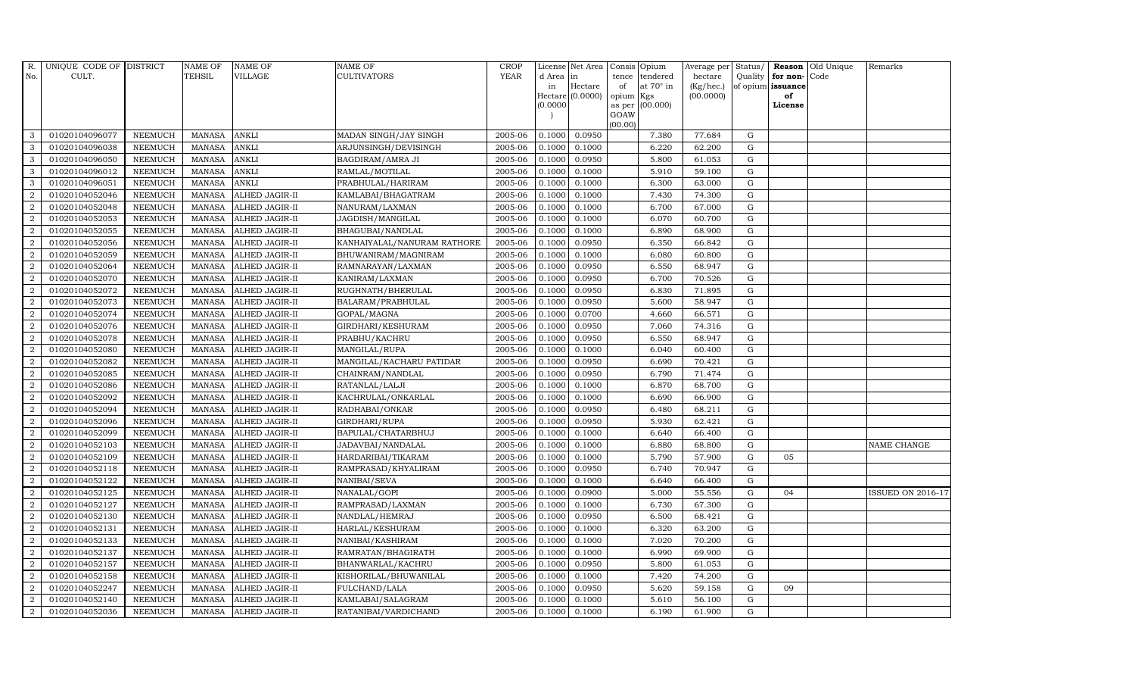| R.             | UNIQUE CODE OF DISTRICT |                | <b>NAME OF</b> | <b>NAME OF</b>        | <b>NAME OF</b>              | CROP        |           | License Net Area |         | Consis Opium           | Average per | Status/     |                   | Reason Old Unique | Remarks                  |
|----------------|-------------------------|----------------|----------------|-----------------------|-----------------------------|-------------|-----------|------------------|---------|------------------------|-------------|-------------|-------------------|-------------------|--------------------------|
| No.            | CULT.                   |                | TEHSIL         | VILLAGE               | <b>CULTIVATORS</b>          | <b>YEAR</b> | d Area in |                  | tence   | tendered               | hectare     | Quality     | for non-          | Code              |                          |
|                |                         |                |                |                       |                             |             | in        | Hectare          | of      | at $70^\circ$ in       | (Kg/hec.)   |             | of opium issuance |                   |                          |
|                |                         |                |                |                       |                             |             | (0.0000)  | Hectare (0.0000) | opium   | Kgs<br>as per (00.000) | (00.0000)   |             | of<br>License     |                   |                          |
|                |                         |                |                |                       |                             |             |           |                  | GOAW    |                        |             |             |                   |                   |                          |
|                |                         |                |                |                       |                             |             |           |                  | (00.00) |                        |             |             |                   |                   |                          |
| 3              | 01020104096077          | <b>NEEMUCH</b> | <b>MANASA</b>  | <b>ANKLI</b>          | MADAN SINGH/JAY SINGH       | 2005-06     | 0.1000    | 0.0950           |         | 7.380                  | 77.684      | G           |                   |                   |                          |
| 3              | 01020104096038          | <b>NEEMUCH</b> | <b>MANASA</b>  | <b>ANKLI</b>          | ARJUNSINGH/DEVISINGH        | 2005-06     | 0.1000    | 0.1000           |         | 6.220                  | 62.200      | G           |                   |                   |                          |
| 3              | 01020104096050          | <b>NEEMUCH</b> | <b>MANASA</b>  | <b>ANKLI</b>          | BAGDIRAM/AMRA JI            | 2005-06     | 0.1000    | 0.0950           |         | 5.800                  | 61.053      | G           |                   |                   |                          |
| 3              | 01020104096012          | <b>NEEMUCH</b> | MANASA         | <b>ANKLI</b>          | RAMLAL/MOTILAL              | 2005-06     | 0.1000    | 0.1000           |         | 5.910                  | 59.100      | $\mathbf G$ |                   |                   |                          |
| 3              | 01020104096051          | <b>NEEMUCH</b> | MANASA         | <b>ANKLI</b>          | PRABHULAL/HARIRAM           | 2005-06     | 0.1000    | 0.1000           |         | 6.300                  | 63.000      | G           |                   |                   |                          |
| $\overline{2}$ | 01020104052046          | <b>NEEMUCH</b> | <b>MANASA</b>  | <b>ALHED JAGIR-II</b> | KAMLABAI/BHAGATRAM          | 2005-06     | 0.1000    | 0.1000           |         | 7.430                  | 74.300      | G           |                   |                   |                          |
| $\overline{a}$ | 01020104052048          | <b>NEEMUCH</b> | MANASA         | <b>ALHED JAGIR-II</b> | NANURAM/LAXMAN              | 2005-06     | 0.1000    | 0.1000           |         | 6.700                  | 67.000      | G           |                   |                   |                          |
| 2              | 01020104052053          | <b>NEEMUCH</b> | MANASA         | <b>ALHED JAGIR-II</b> | JAGDISH/MANGILAL            | 2005-06     | 0.1000    | 0.1000           |         | 6.070                  | 60.700      | G           |                   |                   |                          |
| 2              | 01020104052055          | <b>NEEMUCH</b> | <b>MANASA</b>  | <b>ALHED JAGIR-II</b> | BHAGUBAI/NANDLAL            | 2005-06     | 0.1000    | 0.1000           |         | 6.890                  | 68.900      | $\mathbf G$ |                   |                   |                          |
| $\overline{2}$ | 01020104052056          | <b>NEEMUCH</b> | MANASA         | ALHED JAGIR-II        | KANHAIYALAL/NANURAM RATHORE | 2005-06     | 0.1000    | 0.0950           |         | 6.350                  | 66.842      | G           |                   |                   |                          |
| 2              | 01020104052059          | <b>NEEMUCH</b> | <b>MANASA</b>  | <b>ALHED JAGIR-II</b> | BHUWANIRAM/MAGNIRAM         | 2005-06     | 0.1000    | 0.1000           |         | 6.080                  | 60.800      | G           |                   |                   |                          |
| $\overline{a}$ | 01020104052064          | <b>NEEMUCH</b> | MANASA         | <b>ALHED JAGIR-II</b> | RAMNARAYAN/LAXMAN           | 2005-06     | 0.1000    | 0.0950           |         | 6.550                  | 68.947      | G           |                   |                   |                          |
| $\overline{2}$ | 01020104052070          | <b>NEEMUCH</b> | MANASA         | <b>ALHED JAGIR-II</b> | KANIRAM/LAXMAN              | 2005-06     | 0.1000    | 0.0950           |         | 6.700                  | 70.526      | G           |                   |                   |                          |
| $\overline{2}$ | 01020104052072          | <b>NEEMUCH</b> | MANASA         | <b>ALHED JAGIR-II</b> | RUGHNATH/BHERULAL           | 2005-06     | 0.1000    | 0.0950           |         | 6.830                  | 71.895      | $\mathbf G$ |                   |                   |                          |
| $\overline{a}$ | 01020104052073          | <b>NEEMUCH</b> | <b>MANASA</b>  | ALHED JAGIR-II        | BALARAM/PRABHULAL           | 2005-06     | 0.1000    | 0.0950           |         | 5.600                  | 58.947      | ${\rm G}$   |                   |                   |                          |
| $\overline{a}$ | 01020104052074          | <b>NEEMUCH</b> | <b>MANASA</b>  | <b>ALHED JAGIR-II</b> | GOPAL/MAGNA                 | 2005-06     | 0.1000    | 0.0700           |         | 4.660                  | 66.571      | G           |                   |                   |                          |
| $\overline{a}$ | 01020104052076          | <b>NEEMUCH</b> | MANASA         | ALHED JAGIR-II        | GIRDHARI/KESHURAM           | 2005-06     | 0.1000    | 0.0950           |         | 7.060                  | 74.316      | G           |                   |                   |                          |
| $\overline{2}$ | 01020104052078          | <b>NEEMUCH</b> | MANASA         | ALHED JAGIR-II        | PRABHU/KACHRU               | 2005-06     | 0.1000    | 0.0950           |         | 6.550                  | 68.947      | G           |                   |                   |                          |
| $\overline{2}$ | 01020104052080          | <b>NEEMUCH</b> | <b>MANASA</b>  | <b>ALHED JAGIR-II</b> | MANGILAL/RUPA               | 2005-06     | 0.1000    | 0.1000           |         | 6.040                  | 60.400      | G           |                   |                   |                          |
| $\overline{2}$ | 01020104052082          | <b>NEEMUCH</b> | <b>MANASA</b>  | <b>ALHED JAGIR-II</b> | MANGILAL/KACHARU PATIDAR    | 2005-06     | 0.1000    | 0.0950           |         | 6.690                  | 70.421      | ${\rm G}$   |                   |                   |                          |
| $\overline{2}$ | 01020104052085          | <b>NEEMUCH</b> | MANASA         | <b>ALHED JAGIR-II</b> | CHAINRAM/NANDLAL            | 2005-06     | 0.1000    | 0.0950           |         | 6.790                  | 71.474      | G           |                   |                   |                          |
| $\overline{a}$ | 01020104052086          | <b>NEEMUCH</b> | <b>MANASA</b>  | ALHED JAGIR-II        | RATANLAL/LALJI              | 2005-06     | 0.1000    | 0.1000           |         | 6.870                  | 68.700      | G           |                   |                   |                          |
| $\overline{a}$ | 01020104052092          | <b>NEEMUCH</b> | <b>MANASA</b>  | ALHED JAGIR-II        | KACHRULAL/ONKARLAL          | 2005-06     | 0.1000    | 0.1000           |         | 6.690                  | 66.900      | G           |                   |                   |                          |
| 2              | 01020104052094          | <b>NEEMUCH</b> | <b>MANASA</b>  | <b>ALHED JAGIR-II</b> | RADHABAI/ONKAR              | 2005-06     | 0.1000    | 0.0950           |         | 6.480                  | 68.211      | G           |                   |                   |                          |
| $\overline{2}$ | 01020104052096          | <b>NEEMUCH</b> | <b>MANASA</b>  | <b>ALHED JAGIR-II</b> | GIRDHARI/RUPA               | 2005-06     | 0.1000    | 0.0950           |         | 5.930                  | 62.421      | G           |                   |                   |                          |
| 2              | 01020104052099          | <b>NEEMUCH</b> | <b>MANASA</b>  | <b>ALHED JAGIR-II</b> | BAPULAL/CHATARBHUJ          | 2005-06     | 0.1000    | 0.1000           |         | 6.640                  | 66.400      | G           |                   |                   |                          |
| 2              | 01020104052103          | <b>NEEMUCH</b> | <b>MANASA</b>  | ALHED JAGIR-II        | JADAVBAI/NANDALAL           | 2005-06     | 0.1000    | 0.1000           |         | 6.880                  | 68.800      | G           |                   |                   | NAME CHANGE              |
| $\overline{a}$ | 01020104052109          | <b>NEEMUCH</b> | MANASA         | <b>ALHED JAGIR-II</b> | HARDARIBAI/TIKARAM          | 2005-06     | 0.1000    | 0.1000           |         | 5.790                  | 57.900      | ${\rm G}$   | 05                |                   |                          |
| $\overline{2}$ | 01020104052118          | <b>NEEMUCH</b> | <b>MANASA</b>  | <b>ALHED JAGIR-II</b> | RAMPRASAD/KHYALIRAM         | 2005-06     | 0.1000    | 0.0950           |         | 6.740                  | 70.947      | $\mathbf G$ |                   |                   |                          |
| $\overline{2}$ | 01020104052122          | <b>NEEMUCH</b> | <b>MANASA</b>  | ALHED JAGIR-II        | NANIBAI/SEVA                | 2005-06     | 0.1000    | 0.1000           |         | 6.640                  | 66.400      | $\mathbf G$ |                   |                   |                          |
| $\overline{2}$ | 01020104052125          | <b>NEEMUCH</b> | MANASA         | ALHED JAGIR-II        | NANALAL/GOPI                | 2005-06     | 0.1000    | 0.0900           |         | 5.000                  | 55.556      | G           | 04                |                   | <b>ISSUED ON 2016-17</b> |
| $\overline{2}$ | 01020104052127          | <b>NEEMUCH</b> | <b>MANASA</b>  | <b>ALHED JAGIR-II</b> | RAMPRASAD/LAXMAN            | 2005-06     | 0.1000    | 0.1000           |         | 6.730                  | 67.300      | G           |                   |                   |                          |
| $\overline{a}$ | 01020104052130          | <b>NEEMUCH</b> | MANASA         | <b>ALHED JAGIR-II</b> | NANDLAL/HEMRAJ              | 2005-06     | 0.1000    | 0.0950           |         | 6.500                  | 68.421      | G           |                   |                   |                          |
| $\overline{2}$ | 01020104052131          | <b>NEEMUCH</b> | <b>MANASA</b>  | <b>ALHED JAGIR-II</b> | HARLAL/KESHURAM             | 2005-06     | 0.1000    | 0.1000           |         | 6.320                  | 63.200      | G           |                   |                   |                          |
| 2              | 01020104052133          | <b>NEEMUCH</b> | <b>MANASA</b>  | ALHED JAGIR-II        | NANIBAI/KASHIRAM            | 2005-06     | 0.1000    | 0.1000           |         | 7.020                  | 70.200      | $\mathbf G$ |                   |                   |                          |
| $\overline{a}$ | 01020104052137          | <b>NEEMUCH</b> | <b>MANASA</b>  | ALHED JAGIR-II        | RAMRATAN/BHAGIRATH          | 2005-06     | 0.1000    | 0.1000           |         | 6.990                  | 69.900      | G           |                   |                   |                          |
| 2              | 01020104052157          | <b>NEEMUCH</b> | <b>MANASA</b>  | ALHED JAGIR-II        | BHANWARLAL/KACHRU           | 2005-06     | 0.1000    | 0.0950           |         | 5.800                  | 61.053      | G           |                   |                   |                          |
| $\overline{a}$ | 01020104052158          | <b>NEEMUCH</b> | <b>MANASA</b>  | ALHED JAGIR-II        | KISHORILAL/BHUWANILAL       | 2005-06     | 0.1000    | 0.1000           |         | 7.420                  | 74.200      | ${\rm G}$   |                   |                   |                          |
| $\overline{2}$ | 01020104052247          | <b>NEEMUCH</b> | <b>MANASA</b>  | <b>ALHED JAGIR-II</b> | FULCHAND/LALA               | 2005-06     | 0.1000    | 0.0950           |         | 5.620                  | 59.158      | G           | 09                |                   |                          |
| 2              | 01020104052140          | <b>NEEMUCH</b> | <b>MANASA</b>  | ALHED JAGIR-II        | KAMLABAI/SALAGRAM           | 2005-06     | 0.1000    | 0.1000           |         | 5.610                  | 56.100      | G           |                   |                   |                          |
| $\overline{a}$ | 01020104052036          | <b>NEEMUCH</b> |                | MANASA ALHED JAGIR-II | RATANIBAI/VARDICHAND        | 2005-06     | 0.1000    | 0.1000           |         | 6.190                  | 61.900      | G           |                   |                   |                          |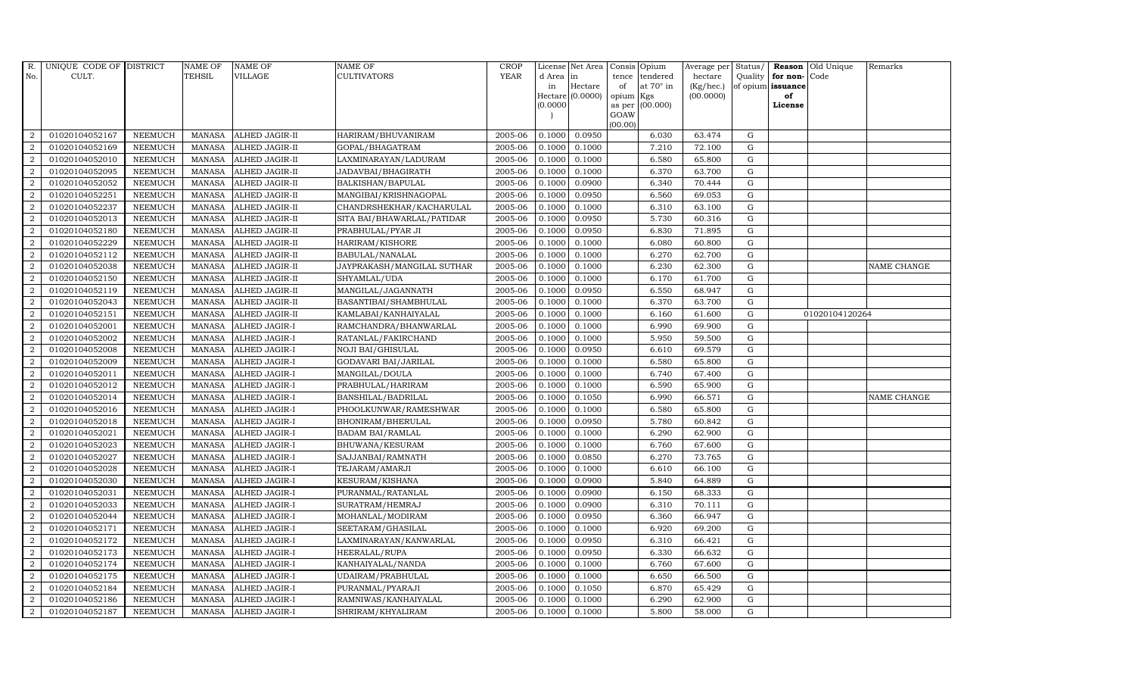| R.             | UNIQUE CODE OF DISTRICT |                | <b>NAME OF</b> | <b>NAME OF</b>        | NAME OF                    | <b>CROP</b> |           | License Net Area |                 | Consis Opium     | Average per | Status/     |                   | Reason Old Unique | Remarks            |
|----------------|-------------------------|----------------|----------------|-----------------------|----------------------------|-------------|-----------|------------------|-----------------|------------------|-------------|-------------|-------------------|-------------------|--------------------|
| No.            | CULT.                   |                | <b>TEHSIL</b>  | VILLAGE               | CULTIVATORS                | <b>YEAR</b> | d Area in |                  | tence           | tendered         | hectare     | Quality     | for non-Code      |                   |                    |
|                |                         |                |                |                       |                            |             | in        | Hectare          | of              | at $70^\circ$ in | (Kg/hec.)   |             | of opium issuance |                   |                    |
|                |                         |                |                |                       |                            |             | (0.0000)  | Hectare (0.0000) | opium<br>as per | Kgs<br>(00.000)  | (00.0000)   |             | of<br>License     |                   |                    |
|                |                         |                |                |                       |                            |             |           |                  | GOAW            |                  |             |             |                   |                   |                    |
|                |                         |                |                |                       |                            |             |           |                  | (00.00)         |                  |             |             |                   |                   |                    |
| $\overline{2}$ | 01020104052167          | <b>NEEMUCH</b> | MANASA         | ALHED JAGIR-II        | HARIRAM/BHUVANIRAM         | 2005-06     | 0.1000    | 0.0950           |                 | 6.030            | 63.474      | G           |                   |                   |                    |
| $\overline{2}$ | 01020104052169          | <b>NEEMUCH</b> | MANASA         | ALHED JAGIR-II        | GOPAL/BHAGATRAM            | 2005-06     | 0.1000    | 0.1000           |                 | 7.210            | 72.100      | $\mathbf G$ |                   |                   |                    |
| 2              | 01020104052010          | <b>NEEMUCH</b> | <b>MANASA</b>  | ALHED JAGIR-II        | LAXMINARAYAN/LADURAM       | 2005-06     | 0.1000    | 0.1000           |                 | 6.580            | 65.800      | G           |                   |                   |                    |
| $\sqrt{2}$     | 01020104052095          | <b>NEEMUCH</b> | <b>MANASA</b>  | <b>ALHED JAGIR-II</b> | JADAVBAI/BHAGIRATH         | 2005-06     | 0.1000    | 0.1000           |                 | 6.370            | 63.700      | ${\rm G}$   |                   |                   |                    |
| $\overline{a}$ | 01020104052052          | <b>NEEMUCH</b> | <b>MANASA</b>  | ALHED JAGIR-II        | BALKISHAN/BAPULAL          | 2005-06     | 0.1000    | 0.0900           |                 | 6.340            | 70.444      | ${\rm G}$   |                   |                   |                    |
| 2              | 01020104052251          | <b>NEEMUCH</b> | <b>MANASA</b>  | ALHED JAGIR-II        | MANGIBAI/KRISHNAGOPAL      | 2005-06     | 0.1000    | 0.0950           |                 | 6.560            | 69.053      | G           |                   |                   |                    |
| 2              | 01020104052237          | <b>NEEMUCH</b> | MANASA         | ALHED JAGIR-II        | CHANDRSHEKHAR/KACHARULAL   | 2005-06     | 0.1000    | 0.1000           |                 | 6.310            | 63.100      | $\mathbf G$ |                   |                   |                    |
| 2              | 01020104052013          | <b>NEEMUCH</b> | <b>MANASA</b>  | ALHED JAGIR-II        | SITA BAI/BHAWARLAL/PATIDAR | 2005-06     | 0.1000    | 0.0950           |                 | 5.730            | 60.316      | G           |                   |                   |                    |
| $\overline{2}$ | 01020104052180          | <b>NEEMUCH</b> | <b>MANASA</b>  | ALHED JAGIR-II        | PRABHULAL/PYAR JI          | 2005-06     | 0.1000    | 0.0950           |                 | 6.830            | 71.895      | $\mathbf G$ |                   |                   |                    |
| $\overline{a}$ | 01020104052229          | <b>NEEMUCH</b> | <b>MANASA</b>  | ALHED JAGIR-II        | HARIRAM/KISHORE            | 2005-06     | 0.1000    | 0.1000           |                 | 6.080            | 60.800      | G           |                   |                   |                    |
| $\overline{2}$ | 01020104052112          | <b>NEEMUCH</b> | <b>MANASA</b>  | ALHED JAGIR-II        | BABULAL/NANALAL            | 2005-06     | 0.1000    | 0.1000           |                 | 6.270            | 62.700      | ${\rm G}$   |                   |                   |                    |
| 2              | 01020104052038          | <b>NEEMUCH</b> | <b>MANASA</b>  | ALHED JAGIR-II        | JAYPRAKASH/MANGILAL SUTHAR | 2005-06     | 0.1000    | 0.1000           |                 | 6.230            | 62.300      | $\mathbf G$ |                   |                   | <b>NAME CHANGE</b> |
| $\overline{2}$ | 01020104052150          | <b>NEEMUCH</b> | <b>MANASA</b>  | ALHED JAGIR-II        | SHYAMLAL/UDA               | 2005-06     | 0.1000    | 0.1000           |                 | 6.170            | 61.700      | $\mathbf G$ |                   |                   |                    |
| 2              | 01020104052119          | <b>NEEMUCH</b> | <b>MANASA</b>  | ALHED JAGIR-II        | MANGILAL/JAGANNATH         | 2005-06     | 0.1000    | 0.0950           |                 | 6.550            | 68.947      | G           |                   |                   |                    |
| $\overline{2}$ | 01020104052043          | <b>NEEMUCH</b> | <b>MANASA</b>  | ALHED JAGIR-II        | BASANTIBAI/SHAMBHULAL      | 2005-06     | 0.1000    | 0.1000           |                 | 6.370            | 63.700      | ${\rm G}$   |                   |                   |                    |
| $\overline{2}$ | 01020104052151          | <b>NEEMUCH</b> | <b>MANASA</b>  | ALHED JAGIR-II        | KAMLABAI/KANHAIYALAL       | 2005-06     | 0.1000    | 0.1000           |                 | 6.160            | 61.600      | ${\rm G}$   |                   | 01020104120264    |                    |
| $\overline{2}$ | 01020104052001          | <b>NEEMUCH</b> | <b>MANASA</b>  | ALHED JAGIR-I         | RAMCHANDRA/BHANWARLAL      | 2005-06     | 0.1000    | 0.1000           |                 | 6.990            | 69.900      | G           |                   |                   |                    |
| $\overline{2}$ | 01020104052002          | <b>NEEMUCH</b> | <b>MANASA</b>  | ALHED JAGIR-I         | RATANLAL/FAKIRCHAND        | 2005-06     | 0.1000    | 0.1000           |                 | 5.950            | 59.500      | $\mathbf G$ |                   |                   |                    |
| $\overline{a}$ | 01020104052008          | <b>NEEMUCH</b> | <b>MANASA</b>  | ALHED JAGIR-I         | <b>NOJI BAI/GHISULAL</b>   | 2005-06     | 0.1000    | 0.0950           |                 | 6.610            | 69.579      | $\mathbf G$ |                   |                   |                    |
| 2              | 01020104052009          | <b>NEEMUCH</b> | <b>MANASA</b>  | ALHED JAGIR-I         | GODAVARI BAI/JARILAL       | 2005-06     | 0.1000    | 0.1000           |                 | 6.580            | 65.800      | $\mathbf G$ |                   |                   |                    |
| $\overline{a}$ | 01020104052011          | <b>NEEMUCH</b> | <b>MANASA</b>  | ALHED JAGIR-I         | MANGILAL/DOULA             | 2005-06     | 0.1000    | 0.1000           |                 | 6.740            | 67.400      | G           |                   |                   |                    |
| $\overline{a}$ | 01020104052012          | <b>NEEMUCH</b> | <b>MANASA</b>  | ALHED JAGIR-I         | PRABHULAL/HARIRAM          | 2005-06     | 0.1000    | 0.1000           |                 | 6.590            | 65.900      | ${\rm G}$   |                   |                   |                    |
| 2              | 01020104052014          | <b>NEEMUCH</b> | <b>MANASA</b>  | ALHED JAGIR-I         | BANSHILAL/BADRILAL         | 2005-06     | 0.1000    | 0.1050           |                 | 6.990            | 66.571      | G           |                   |                   | <b>NAME CHANGE</b> |
| $\overline{2}$ | 01020104052016          | <b>NEEMUCH</b> | <b>MANASA</b>  | ALHED JAGIR-I         | PHOOLKUNWAR/RAMESHWAR      | 2005-06     | 0.1000    | 0.1000           |                 | 6.580            | 65.800      | $\mathbf G$ |                   |                   |                    |
| $\sqrt{2}$     | 01020104052018          | <b>NEEMUCH</b> | <b>MANASA</b>  | ALHED JAGIR-I         | BHONIRAM/BHERULAL          | 2005-06     | 0.1000    | 0.0950           |                 | 5.780            | 60.842      | G           |                   |                   |                    |
| $\overline{2}$ | 01020104052021          | <b>NEEMUCH</b> | <b>MANASA</b>  | ALHED JAGIR-I         | <b>BADAM BAI/RAMLAL</b>    | 2005-06     | 0.1000    | 0.1000           |                 | 6.290            | 62.900      | G           |                   |                   |                    |
| $\overline{a}$ | 01020104052023          | <b>NEEMUCH</b> | <b>MANASA</b>  | ALHED JAGIR-I         | BHUWANA/KESURAM            | 2005-06     | 0.1000    | 0.1000           |                 | 6.760            | 67.600      | G           |                   |                   |                    |
| 2              | 01020104052027          | <b>NEEMUCH</b> | <b>MANASA</b>  | ALHED JAGIR-I         | SAJJANBAI/RAMNATH          | 2005-06     | 0.1000    | 0.0850           |                 | 6.270            | 73.765      | G           |                   |                   |                    |
| 2              | 01020104052028          | <b>NEEMUCH</b> | <b>MANASA</b>  | <b>ALHED JAGIR-I</b>  | TEJARAM/AMARJI             | 2005-06     | 0.1000    | 0.1000           |                 | 6.610            | 66.100      | $\mathbf G$ |                   |                   |                    |
| $\overline{2}$ | 01020104052030          | <b>NEEMUCH</b> | <b>MANASA</b>  | ALHED JAGIR-I         | KESURAM/KISHANA            | 2005-06     | 0.1000    | 0.0900           |                 | 5.840            | 64.889      | $\mathbf G$ |                   |                   |                    |
| 2              | 01020104052031          | <b>NEEMUCH</b> | <b>MANASA</b>  | ALHED JAGIR-I         | PURANMAL/RATANLAL          | 2005-06     | 0.1000    | 0.0900           |                 | 6.150            | 68.333      | G           |                   |                   |                    |
| $\overline{a}$ | 01020104052033          | <b>NEEMUCH</b> | <b>MANASA</b>  | ALHED JAGIR-I         | SURATRAM/HEMRAJ            | 2005-06     | 0.1000    | 0.0900           |                 | 6.310            | 70.111      | G           |                   |                   |                    |
| $\overline{a}$ | 01020104052044          | <b>NEEMUCH</b> | <b>MANASA</b>  | ALHED JAGIR-I         | MOHANLAL/MODIRAM           | 2005-06     | 0.1000    | 0.0950           |                 | 6.360            | 66.947      | $\mathbf G$ |                   |                   |                    |
| $\overline{2}$ | 01020104052171          | <b>NEEMUCH</b> | <b>MANASA</b>  | <b>ALHED JAGIR-I</b>  | SEETARAM/GHASILAL          | 2005-06     | 0.1000    | 0.1000           |                 | 6.920            | 69.200      | $\mathbf G$ |                   |                   |                    |
| $\overline{2}$ | 01020104052172          | <b>NEEMUCH</b> | <b>MANASA</b>  | ALHED JAGIR-I         | LAXMINARAYAN/KANWARLAL     | 2005-06     | 0.1000    | 0.0950           |                 | 6.310            | 66.421      | $\mathbf G$ |                   |                   |                    |
| $\overline{a}$ | 01020104052173          | <b>NEEMUCH</b> | <b>MANASA</b>  | ALHED JAGIR-I         | HEERALAL/RUPA              | 2005-06     | 0.1000    | 0.0950           |                 | 6.330            | 66.632      | ${\rm G}$   |                   |                   |                    |
| $\overline{2}$ | 01020104052174          | <b>NEEMUCH</b> | <b>MANASA</b>  | ALHED JAGIR-I         | KANHAIYALAL/NANDA          | 2005-06     | 0.1000    | 0.1000           |                 | 6.760            | 67.600      | ${\rm G}$   |                   |                   |                    |
| $\overline{a}$ | 01020104052175          | <b>NEEMUCH</b> | <b>MANASA</b>  | ALHED JAGIR-I         | UDAIRAM/PRABHULAL          | 2005-06     | 0.1000    | 0.1000           |                 | 6.650            | 66.500      | G           |                   |                   |                    |
| 2              | 01020104052184          | <b>NEEMUCH</b> | <b>MANASA</b>  | ALHED JAGIR-I         | PURANMAL/PYARAJI           | 2005-06     | 0.1000    | 0.1050           |                 | 6.870            | 65.429      | $\mathbf G$ |                   |                   |                    |
| 2              | 01020104052186          | <b>NEEMUCH</b> | <b>MANASA</b>  | ALHED JAGIR-I         | RAMNIWAS/KANHAIYALAL       | 2005-06     | 0.1000    | 0.1000           |                 | 6.290            | 62.900      | $\mathbf G$ |                   |                   |                    |
| $\overline{a}$ | 01020104052187          | <b>NEEMUCH</b> | MANASA         | <b>ALHED JAGIR-I</b>  | SHRIRAM/KHYALIRAM          | 2005-06     | 0.1000    | 0.1000           |                 | 5.800            | 58.000      | G           |                   |                   |                    |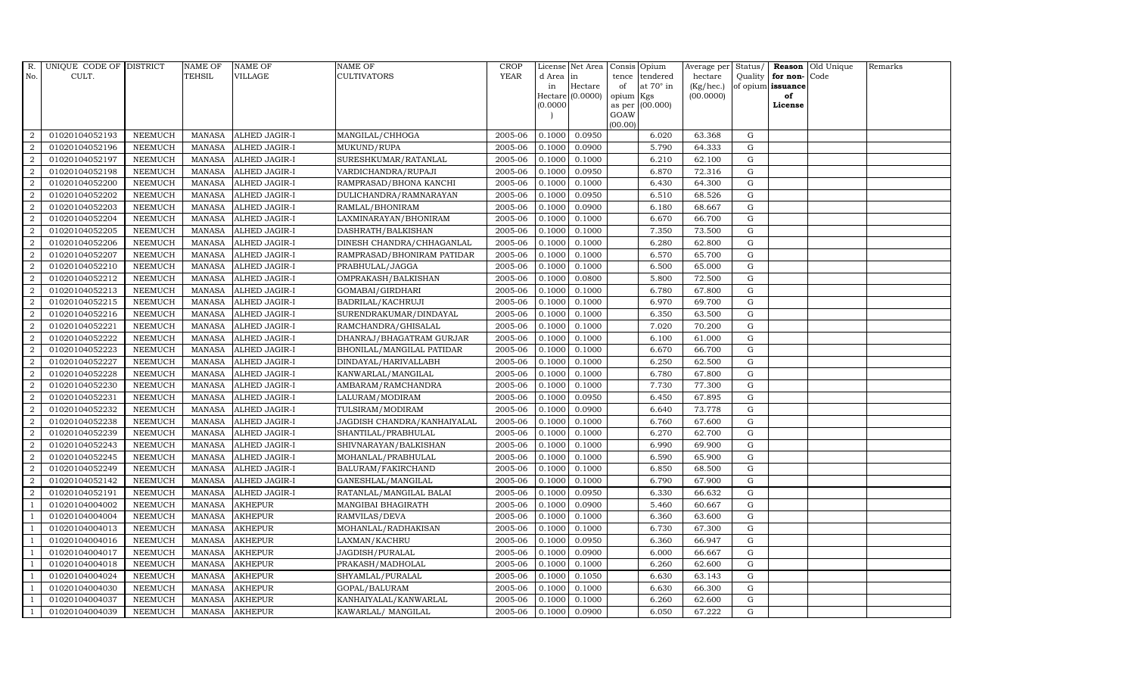| R.             | UNIQUE CODE OF DISTRICT |                | <b>NAME OF</b> | <b>NAME OF</b>       | NAME OF                     | <b>CROP</b> |           | License Net Area | Consis Opium |                        | Average per | Status/     |                   | Reason Old Unique | Remarks |
|----------------|-------------------------|----------------|----------------|----------------------|-----------------------------|-------------|-----------|------------------|--------------|------------------------|-------------|-------------|-------------------|-------------------|---------|
| No.            | CULT.                   |                | TEHSIL         | VILLAGE              | CULTIVATORS                 | <b>YEAR</b> | d Area in |                  | tence        | tendered               | hectare     | Quality     | for non-Code      |                   |         |
|                |                         |                |                |                      |                             |             | in        | Hectare          | of           | at $70^\circ$ in       | (Kg/hec.)   |             | of opium issuance |                   |         |
|                |                         |                |                |                      |                             |             | (0.0000)  | Hectare (0.0000) | opium        | Kgs<br>as per (00.000) | (00.0000)   |             | of<br>License     |                   |         |
|                |                         |                |                |                      |                             |             |           |                  | GOAW         |                        |             |             |                   |                   |         |
|                |                         |                |                |                      |                             |             |           |                  | (00.00)      |                        |             |             |                   |                   |         |
| $\overline{2}$ | 01020104052193          | <b>NEEMUCH</b> | MANASA         | <b>ALHED JAGIR-I</b> | MANGILAL/CHHOGA             | 2005-06     | 0.1000    | 0.0950           |              | 6.020                  | 63.368      | G           |                   |                   |         |
| $\overline{2}$ | 01020104052196          | <b>NEEMUCH</b> | MANASA         | <b>ALHED JAGIR-I</b> | MUKUND/RUPA                 | 2005-06     | 0.1000    | 0.0900           |              | 5.790                  | 64.333      | $\mathbf G$ |                   |                   |         |
| 2              | 01020104052197          | <b>NEEMUCH</b> | <b>MANASA</b>  | <b>ALHED JAGIR-I</b> | SURESHKUMAR/RATANLAL        | 2005-06     | 0.1000    | 0.1000           |              | 6.210                  | 62.100      | G           |                   |                   |         |
| $\sqrt{2}$     | 01020104052198          | <b>NEEMUCH</b> | MANASA         | <b>ALHED JAGIR-I</b> | VARDICHANDRA/RUPAJI         | 2005-06     | 0.1000    | 0.0950           |              | 6.870                  | 72.316      | G           |                   |                   |         |
| $\overline{a}$ | 01020104052200          | <b>NEEMUCH</b> | <b>MANASA</b>  | ALHED JAGIR-I        | RAMPRASAD/BHONA KANCHI      | 2005-06     | 0.1000    | 0.1000           |              | 6.430                  | 64.300      | ${\rm G}$   |                   |                   |         |
| $\overline{2}$ | 01020104052202          | <b>NEEMUCH</b> | <b>MANASA</b>  | ALHED JAGIR-I        | DULICHANDRA/RAMNARAYAN      | 2005-06     | 0.1000    | 0.0950           |              | 6.510                  | 68.526      | G           |                   |                   |         |
| 2              | 01020104052203          | <b>NEEMUCH</b> | MANASA         | ALHED JAGIR-I        | RAMLAL/BHONIRAM             | 2005-06     | 0.1000    | 0.0900           |              | 6.180                  | 68.667      | $\mathbf G$ |                   |                   |         |
| 2              | 01020104052204          | <b>NEEMUCH</b> | <b>MANASA</b>  | <b>ALHED JAGIR-I</b> | LAXMINARAYAN/BHONIRAM       | 2005-06     | 0.1000    | 0.1000           |              | 6.670                  | 66.700      | G           |                   |                   |         |
| $\overline{2}$ | 01020104052205          | <b>NEEMUCH</b> | <b>MANASA</b>  | ALHED JAGIR-I        | DASHRATH/BALKISHAN          | 2005-06     | 0.1000    | 0.1000           |              | 7.350                  | 73.500      | G           |                   |                   |         |
| $\overline{a}$ | 01020104052206          | <b>NEEMUCH</b> | <b>MANASA</b>  | ALHED JAGIR-I        | DINESH CHANDRA/CHHAGANLAL   | 2005-06     | 0.1000    | 0.1000           |              | 6.280                  | 62.800      | G           |                   |                   |         |
| $\overline{2}$ | 01020104052207          | <b>NEEMUCH</b> | <b>MANASA</b>  | ALHED JAGIR-I        | RAMPRASAD/BHONIRAM PATIDAR  | 2005-06     | 0.1000    | 0.1000           |              | 6.570                  | 65.700      | ${\rm G}$   |                   |                   |         |
| 2              | 01020104052210          | <b>NEEMUCH</b> | <b>MANASA</b>  | ALHED JAGIR-I        | PRABHULAL/JAGGA             | 2005-06     | 0.1000    | 0.1000           |              | 6.500                  | 65.000      | $\mathbf G$ |                   |                   |         |
| $\overline{2}$ | 01020104052212          | <b>NEEMUCH</b> | <b>MANASA</b>  | <b>ALHED JAGIR-I</b> | OMPRAKASH/BALKISHAN         | 2005-06     | 0.1000    | 0.0800           |              | 5.800                  | 72.500      | $\mathbf G$ |                   |                   |         |
| 2              | 01020104052213          | <b>NEEMUCH</b> | <b>MANASA</b>  | ALHED JAGIR-I        | GOMABAI/GIRDHARI            | 2005-06     | 0.1000    | 0.1000           |              | 6.780                  | 67.800      | G           |                   |                   |         |
| $\overline{2}$ | 01020104052215          | <b>NEEMUCH</b> | <b>MANASA</b>  | ALHED JAGIR-I        | BADRILAL/KACHRUJI           | 2005-06     | 0.1000    | 0.1000           |              | 6.970                  | 69.700      | ${\rm G}$   |                   |                   |         |
| $\overline{2}$ | 01020104052216          | <b>NEEMUCH</b> | <b>MANASA</b>  | ALHED JAGIR-I        | SURENDRAKUMAR/DINDAYAL      | 2005-06     | 0.1000    | 0.1000           |              | 6.350                  | 63.500      | G           |                   |                   |         |
| $\overline{2}$ | 01020104052221          | <b>NEEMUCH</b> | <b>MANASA</b>  | ALHED JAGIR-I        | RAMCHANDRA/GHISALAL         | 2005-06     | 0.1000    | 0.1000           |              | 7.020                  | 70.200      | G           |                   |                   |         |
| $\overline{2}$ | 01020104052222          | <b>NEEMUCH</b> | <b>MANASA</b>  | ALHED JAGIR-I        | DHANRAJ/BHAGATRAM GURJAR    | 2005-06     | 0.1000    | 0.1000           |              | 6.100                  | 61.000      | $\mathbf G$ |                   |                   |         |
| $\overline{a}$ | 01020104052223          | <b>NEEMUCH</b> | <b>MANASA</b>  | <b>ALHED JAGIR-I</b> | BHONILAL/MANGILAL PATIDAR   | 2005-06     | 0.1000    | 0.1000           |              | 6.670                  | 66.700      | $\mathbf G$ |                   |                   |         |
| 2              | 01020104052227          | <b>NEEMUCH</b> | <b>MANASA</b>  | ALHED JAGIR-I        | DINDAYAL/HARIVALLABH        | 2005-06     | 0.1000    | 0.1000           |              | 6.250                  | 62.500      | G           |                   |                   |         |
| $\overline{a}$ | 01020104052228          | <b>NEEMUCH</b> | <b>MANASA</b>  | ALHED JAGIR-I        | KANWARLAL/MANGILAL          | 2005-06     | 0.1000    | 0.1000           |              | 6.780                  | 67.800      | G           |                   |                   |         |
| $\overline{a}$ | 01020104052230          | <b>NEEMUCH</b> | <b>MANASA</b>  | ALHED JAGIR-I        | AMBARAM/RAMCHANDRA          | 2005-06     | 0.1000    | 0.1000           |              | 7.730                  | 77.300      | G           |                   |                   |         |
| 2              | 01020104052231          | <b>NEEMUCH</b> | <b>MANASA</b>  | ALHED JAGIR-I        | LALURAM/MODIRAM             | 2005-06     | 0.1000    | 0.0950           |              | 6.450                  | 67.895      | G           |                   |                   |         |
| $\overline{2}$ | 01020104052232          | <b>NEEMUCH</b> | <b>MANASA</b>  | <b>ALHED JAGIR-I</b> | TULSIRAM/MODIRAM            | 2005-06     | 0.1000    | 0.0900           |              | 6.640                  | 73.778      | $\mathbf G$ |                   |                   |         |
| $\overline{2}$ | 01020104052238          | <b>NEEMUCH</b> | <b>MANASA</b>  | ALHED JAGIR-I        | JAGDISH CHANDRA/KANHAIYALAL | 2005-06     | 0.1000    | 0.1000           |              | 6.760                  | 67.600      | G           |                   |                   |         |
| $\overline{2}$ | 01020104052239          | <b>NEEMUCH</b> | <b>MANASA</b>  | ALHED JAGIR-I        | SHANTILAL/PRABHULAL         | 2005-06     | 0.1000    | 0.1000           |              | 6.270                  | 62.700      | G           |                   |                   |         |
| $\overline{a}$ | 01020104052243          | <b>NEEMUCH</b> | <b>MANASA</b>  | ALHED JAGIR-I        | SHIVNARAYAN/BALKISHAN       | 2005-06     | 0.1000    | 0.1000           |              | 6.990                  | 69.900      | G           |                   |                   |         |
| 2              | 01020104052245          | <b>NEEMUCH</b> | <b>MANASA</b>  | ALHED JAGIR-I        | MOHANLAL/PRABHULAL          | 2005-06     | 0.1000    | 0.1000           |              | 6.590                  | 65.900      | G           |                   |                   |         |
| 2              | 01020104052249          | <b>NEEMUCH</b> | <b>MANASA</b>  | <b>ALHED JAGIR-I</b> | BALURAM/FAKIRCHAND          | 2005-06     | 0.1000    | 0.1000           |              | 6.850                  | 68.500      | $\mathbf G$ |                   |                   |         |
| $\overline{2}$ | 01020104052142          | <b>NEEMUCH</b> | <b>MANASA</b>  | ALHED JAGIR-I        | GANESHLAL/MANGILAL          | 2005-06     | 0.1000    | 0.1000           |              | 6.790                  | 67.900      | $\mathbf G$ |                   |                   |         |
| 2              | 01020104052191          | <b>NEEMUCH</b> | <b>MANASA</b>  | ALHED JAGIR-I        | RATANLAL/MANGILAL BALAI     | 2005-06     | 0.1000    | 0.0950           |              | 6.330                  | 66.632      | G           |                   |                   |         |
| -1             | 01020104004002          | <b>NEEMUCH</b> | <b>MANASA</b>  | <b>AKHEPUR</b>       | MANGIBAI BHAGIRATH          | 2005-06     | 0.1000    | 0.0900           |              | 5.460                  | 60.667      | G           |                   |                   |         |
| $\overline{1}$ | 01020104004004          | <b>NEEMUCH</b> | <b>MANASA</b>  | <b>AKHEPUR</b>       | RAMVILAS/DEVA               | 2005-06     | 0.1000    | 0.1000           |              | 6.360                  | 63.600      | G           |                   |                   |         |
| $\overline{1}$ | 01020104004013          | <b>NEEMUCH</b> | <b>MANASA</b>  | <b>AKHEPUR</b>       | MOHANLAL/RADHAKISAN         | 2005-06     | 0.1000    | 0.1000           |              | 6.730                  | 67.300      | $\mathbf G$ |                   |                   |         |
|                | 01020104004016          | <b>NEEMUCH</b> | <b>MANASA</b>  | <b>AKHEPUR</b>       | LAXMAN/KACHRU               | 2005-06     | 0.1000    | 0.0950           |              | 6.360                  | 66.947      | $\mathbf G$ |                   |                   |         |
| $\overline{1}$ | 01020104004017          | <b>NEEMUCH</b> | <b>MANASA</b>  | <b>AKHEPUR</b>       | JAGDISH/PURALAL             | 2005-06     | 0.1000    | 0.0900           |              | 6.000                  | 66.667      | ${\rm G}$   |                   |                   |         |
| $\overline{1}$ | 01020104004018          | <b>NEEMUCH</b> | <b>MANASA</b>  | <b>AKHEPUR</b>       | PRAKASH/MADHOLAL            | 2005-06     | 0.1000    | 0.1000           |              | 6.260                  | 62.600      | ${\rm G}$   |                   |                   |         |
| 1              | 01020104004024          | <b>NEEMUCH</b> | <b>MANASA</b>  | <b>AKHEPUR</b>       | SHYAMLAL/PURALAL            | 2005-06     | 0.1000    | 0.1050           |              | 6.630                  | 63.143      | G           |                   |                   |         |
| $\overline{1}$ | 01020104004030          | <b>NEEMUCH</b> | <b>MANASA</b>  | <b>AKHEPUR</b>       | GOPAL/BALURAM               | 2005-06     | 0.1000    | 0.1000           |              | 6.630                  | 66.300      | $\mathbf G$ |                   |                   |         |
|                | 01020104004037          | <b>NEEMUCH</b> | <b>MANASA</b>  | <b>AKHEPUR</b>       | KANHAIYALAL/KANWARLAL       | 2005-06     | 0.1000    | 0.1000           |              | 6.260                  | 62.600      | $\mathbf G$ |                   |                   |         |
| $\mathbf{1}$   | 01020104004039          | <b>NEEMUCH</b> |                | MANASA AKHEPUR       | KAWARLAL/ MANGILAL          | 2005-06     | 0.1000    | 0.0900           |              | 6.050                  | 67.222      | G           |                   |                   |         |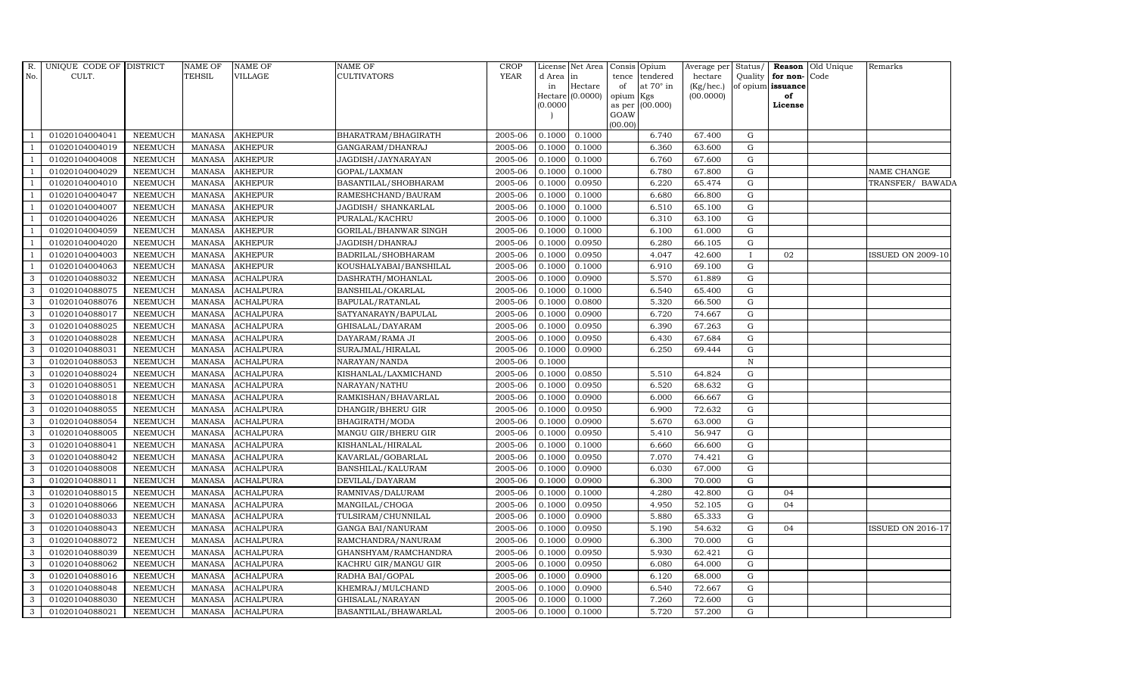| R.<br>No.      | UNIQUE CODE OF DISTRICT<br>CULT. |                                  | <b>NAME OF</b><br>TEHSIL       | NAME OF<br>VILLAGE                   | <b>NAME OF</b><br><b>CULTIVATORS</b> | <b>CROP</b><br><b>YEAR</b> | d Area in        | License Net Area Consis Opium | tence     | tendered        | Average per Status/<br>hectare | Quality      | for non-Code      | <b>Reason</b> Old Unique | Remarks                  |
|----------------|----------------------------------|----------------------------------|--------------------------------|--------------------------------------|--------------------------------------|----------------------------|------------------|-------------------------------|-----------|-----------------|--------------------------------|--------------|-------------------|--------------------------|--------------------------|
|                |                                  |                                  |                                |                                      |                                      |                            | in               | Hectare                       | of        | at 70° in       | (Kg/hec.)                      |              | of opium issuance |                          |                          |
|                |                                  |                                  |                                |                                      |                                      |                            |                  | Hectare $(0.0000)$            | opium Kgs |                 | (00.0000)                      |              | of                |                          |                          |
|                |                                  |                                  |                                |                                      |                                      |                            | (0.0000)         |                               | GOAW      | as per (00.000) |                                |              | License           |                          |                          |
|                |                                  |                                  |                                |                                      |                                      |                            |                  |                               | (00.00)   |                 |                                |              |                   |                          |                          |
|                | 01020104004041                   | <b>NEEMUCH</b>                   | MANASA                         | <b>AKHEPUR</b>                       | BHARATRAM/BHAGIRATH                  | 2005-06                    | 0.1000           | 0.1000                        |           | 6.740           | 67.400                         | G            |                   |                          |                          |
|                | 01020104004019                   | <b>NEEMUCH</b>                   | <b>MANASA</b>                  | <b>AKHEPUR</b>                       | GANGARAM/DHANRAJ                     | 2005-06                    | 0.1000           | 0.1000                        |           | 6.360           | 63.600                         | G            |                   |                          |                          |
|                | 01020104004008                   | <b>NEEMUCH</b>                   | <b>MANASA</b>                  | <b>AKHEPUR</b>                       | JAGDISH/JAYNARAYAN                   | 2005-06                    | 0.1000           | 0.1000                        |           | 6.760           | 67.600                         | G            |                   |                          |                          |
|                | 01020104004029                   | <b>NEEMUCH</b>                   | <b>MANASA</b>                  | <b>AKHEPUR</b>                       | GOPAL/LAXMAN                         | 2005-06                    | 0.1000           | 0.1000                        |           | 6.780           | 67.800                         | G            |                   |                          | NAME CHANGE              |
|                | 01020104004010                   | <b>NEEMUCH</b>                   | <b>MANASA</b>                  | AKHEPUR                              | BASANTILAL/SHOBHARAM                 | 2005-06                    | 0.1000           | 0.0950                        |           | 6.220           | 65.474                         | ${\rm G}$    |                   |                          | TRANSFER/ BAWADA         |
|                | 01020104004047                   | <b>NEEMUCH</b>                   | <b>MANASA</b>                  | <b>AKHEPUR</b>                       | RAMESHCHAND/BAURAM                   | 2005-06                    | 0.1000           | 0.1000                        |           | 6.680           | 66.800                         | G            |                   |                          |                          |
| $\mathbf{1}$   | 01020104004007                   | NEEMUCH                          | <b>MANASA</b>                  | AKHEPUR                              | JAGDISH / SHANKARLAL                 | 2005-06                    | 0.1000           | 0.1000                        |           | 6.510           | 65.100                         | G            |                   |                          |                          |
|                | 01020104004026                   | <b>NEEMUCH</b>                   | MANASA                         | <b>AKHEPUR</b>                       | PURALAL/KACHRU                       | 2005-06                    | 0.1000           | 0.1000                        |           | 6.310           | 63.100                         | G            |                   |                          |                          |
|                | 01020104004059                   | <b>NEEMUCH</b>                   | <b>MANASA</b>                  | <b>AKHEPUR</b>                       | GORILAL/BHANWAR SINGH                | 2005-06                    | 0.1000           | 0.1000                        |           | 6.100           | 61.000                         | G            |                   |                          |                          |
|                | 01020104004020                   | <b>NEEMUCH</b>                   | <b>MANASA</b>                  | <b>AKHEPUR</b>                       | JAGDISH/DHANRAJ                      | 2005-06                    | 0.1000           | 0.0950                        |           | 6.280           | 66.105                         | $\mathbf G$  |                   |                          |                          |
| $\overline{1}$ | 01020104004003                   | <b>NEEMUCH</b>                   | <b>MANASA</b>                  | <b>AKHEPUR</b>                       | BADRILAL/SHOBHARAM                   | 2005-06                    | 0.1000           | 0.0950                        |           | 4.047           | 42.600                         | $\bf{I}$     | 02                |                          | <b>ISSUED ON 2009-10</b> |
|                | 01020104004063                   | <b>NEEMUCH</b>                   | <b>MANASA</b>                  | <b>AKHEPUR</b>                       | KOUSHALYABAI/BANSHILAL               | 2005-06                    | 0.1000           | 0.1000                        |           | 6.910           | 69.100                         | G            |                   |                          |                          |
| 3              | 01020104088032                   | <b>NEEMUCH</b>                   | <b>MANASA</b>                  | <b>ACHALPURA</b>                     | DASHRATH/MOHANLAL                    | 2005-06                    | 0.1000           | 0.0900                        |           | 5.570           | 61.889                         | G            |                   |                          |                          |
| 3              | 01020104088075                   | <b>NEEMUCH</b>                   | <b>MANASA</b>                  | <b>ACHALPURA</b>                     | BANSHILAL/OKARLAL                    | 2005-06                    | 0.1000           | 0.1000                        |           | 6.540           | 65.400                         | G            |                   |                          |                          |
| 3              | 01020104088076                   | <b>NEEMUCH</b>                   | <b>MANASA</b>                  | <b>ACHALPURA</b>                     | BAPULAL/RATANLAL                     | 2005-06                    | 0.1000           | 0.0800                        |           | 5.320           | 66.500                         | G            |                   |                          |                          |
| 3              | 01020104088017                   | <b>NEEMUCH</b>                   | <b>MANASA</b>                  | <b>ACHALPURA</b>                     | SATYANARAYN/BAPULAL                  | 2005-06                    | 0.1000           | 0.0900                        |           | 6.720           | 74.667                         | G            |                   |                          |                          |
| 3              | 01020104088025                   | <b>NEEMUCH</b>                   | <b>MANASA</b>                  | <b>ACHALPURA</b>                     | GHISALAL/DAYARAM                     | 2005-06                    | 0.1000           | 0.0950                        |           | 6.390           | 67.263                         | G            |                   |                          |                          |
| 3              | 01020104088028                   | <b>NEEMUCH</b>                   | MANASA                         | <b>ACHALPURA</b>                     | DAYARAM/RAMA JI                      | 2005-06                    | 0.1000           | 0.0950                        |           | 6.430           | 67.684                         | G            |                   |                          |                          |
| 3              | 01020104088031                   | <b>NEEMUCH</b>                   | <b>MANASA</b>                  | <b>ACHALPURA</b>                     | SURAJMAL/HIRALAL                     | 2005-06                    | 0.1000           | 0.0900                        |           | 6.250           | 69.444                         | G            |                   |                          |                          |
| 3              | 01020104088053                   | <b>NEEMUCH</b>                   | <b>MANASA</b>                  | <b>ACHALPURA</b>                     | NARAYAN/NANDA                        | 2005-06                    | 0.1000           |                               |           |                 |                                | $\, {\rm N}$ |                   |                          |                          |
| 3<br>3         | 01020104088024<br>01020104088051 | <b>NEEMUCH</b><br><b>NEEMUCH</b> | <b>MANASA</b><br><b>MANASA</b> | <b>ACHALPURA</b><br><b>ACHALPURA</b> | KISHANLAL/LAXMICHAND                 | 2005-06<br>2005-06         | 0.1000<br>0.1000 | 0.0850<br>0.0950              |           | 5.510<br>6.520  | 64.824<br>68.632               | G<br>G       |                   |                          |                          |
| 3              | 01020104088018                   | <b>NEEMUCH</b>                   | <b>MANASA</b>                  | <b>ACHALPURA</b>                     | NARAYAN/NATHU<br>RAMKISHAN/BHAVARLAL | 2005-06                    | 0.1000           | 0.0900                        |           | 6.000           | 66.667                         | G            |                   |                          |                          |
| 3              | 01020104088055                   | <b>NEEMUCH</b>                   | <b>MANASA</b>                  | <b>ACHALPURA</b>                     | DHANGIR/BHERU GIR                    | 2005-06                    | 0.1000           | 0.0950                        |           | 6.900           | 72.632                         | G            |                   |                          |                          |
| 3              | 01020104088054                   | <b>NEEMUCH</b>                   | <b>MANASA</b>                  | <b>ACHALPURA</b>                     | <b>BHAGIRATH/MODA</b>                | 2005-06                    | 0.1000           | 0.0900                        |           | 5.670           | 63.000                         | $\mathbf G$  |                   |                          |                          |
| 3              | 01020104088005                   | <b>NEEMUCH</b>                   | <b>MANASA</b>                  | <b>ACHALPURA</b>                     | MANGU GIR/BHERU GIR                  | 2005-06                    | 0.1000           | 0.0950                        |           | 5.410           | 56.947                         | G            |                   |                          |                          |
| 3              | 01020104088041                   | <b>NEEMUCH</b>                   | <b>MANASA</b>                  | <b>ACHALPURA</b>                     | KISHANLAL/HIRALAL                    | 2005-06                    | 0.1000           | 0.1000                        |           | 6.660           | 66.600                         | G            |                   |                          |                          |
| 3              | 01020104088042                   | <b>NEEMUCH</b>                   | MANASA                         | <b>ACHALPURA</b>                     | KAVARLAL/GOBARLAL                    | 2005-06                    | 0.1000           | 0.0950                        |           | 7.070           | 74.421                         | G            |                   |                          |                          |
| 3              | 01020104088008                   | <b>NEEMUCH</b>                   | <b>MANASA</b>                  | <b>ACHALPURA</b>                     | BANSHILAL/KALURAM                    | 2005-06                    | 0.1000           | 0.0900                        |           | 6.030           | 67.000                         | G            |                   |                          |                          |
| 3              | 01020104088011                   | <b>NEEMUCH</b>                   | <b>MANASA</b>                  | <b>ACHALPURA</b>                     | DEVILAL/DAYARAM                      | 2005-06                    | 0.1000           | 0.0900                        |           | 6.300           | 70.000                         | $\mathbf G$  |                   |                          |                          |
| 3              | 01020104088015                   | <b>NEEMUCH</b>                   | <b>MANASA</b>                  | <b>ACHALPURA</b>                     | RAMNIVAS/DALURAM                     | 2005-06                    | 0.1000           | 0.1000                        |           | 4.280           | 42.800                         | G            | 04                |                          |                          |
| 3              | 01020104088066                   | <b>NEEMUCH</b>                   | <b>MANASA</b>                  | <b>ACHALPURA</b>                     | MANGILAL/CHOGA                       | 2005-06                    | 0.1000           | 0.0950                        |           | 4.950           | 52.105                         | G            | 04                |                          |                          |
| 3              | 01020104088033                   | <b>NEEMUCH</b>                   | MANASA                         | <b>ACHALPURA</b>                     | TULSIRAM/CHUNNILAL                   | 2005-06                    | 0.1000           | 0.0900                        |           | 5.880           | 65.333                         | G            |                   |                          |                          |
| 3              | 01020104088043                   | <b>NEEMUCH</b>                   | <b>MANASA</b>                  | <b>ACHALPURA</b>                     | <b>GANGA BAI/NANURAM</b>             | 2005-06                    | 0.1000           | 0.0950                        |           | 5.190           | 54.632                         | G            | 04                |                          | <b>ISSUED ON 2016-17</b> |
| 3              | 01020104088072                   | <b>NEEMUCH</b>                   | <b>MANASA</b>                  | <b>ACHALPURA</b>                     | RAMCHANDRA/NANURAM                   | 2005-06                    | 0.1000           | 0.0900                        |           | 6.300           | 70.000                         | $\mathbf G$  |                   |                          |                          |
| 3              | 01020104088039                   | <b>NEEMUCH</b>                   | <b>MANASA</b>                  | <b>ACHALPURA</b>                     | GHANSHYAM/RAMCHANDRA                 | 2005-06                    | 0.1000           | 0.0950                        |           | 5.930           | 62.421                         | G            |                   |                          |                          |
| 3              | 01020104088062                   | <b>NEEMUCH</b>                   | <b>MANASA</b>                  | <b>ACHALPURA</b>                     | KACHRU GIR/MANGU GIR                 | 2005-06                    | 0.1000           | 0.0950                        |           | 6.080           | 64.000                         | G            |                   |                          |                          |
| 3              | 01020104088016                   | <b>NEEMUCH</b>                   | MANASA                         | <b>ACHALPURA</b>                     | RADHA BAI/GOPAL                      | 2005-06                    | 0.1000           | 0.0900                        |           | 6.120           | 68.000                         | G            |                   |                          |                          |
| 3              | 01020104088048                   | <b>NEEMUCH</b>                   | <b>MANASA</b>                  | <b>ACHALPURA</b>                     | KHEMRAJ/MULCHAND                     | 2005-06                    | 0.1000           | 0.0900                        |           | 6.540           | 72.667                         | G            |                   |                          |                          |
| 3              | 01020104088030                   | <b>NEEMUCH</b>                   | <b>MANASA</b>                  | ACHALPURA                            | GHISALAL/NARAYAN                     | 2005-06                    | 0.1000           | 0.1000                        |           | 7.260           | 72.600                         | $\mathbf G$  |                   |                          |                          |
| 3              | 01020104088021                   | NEEMUCH                          | MANASA                         | <b>ACHALPURA</b>                     | BASANTILAL/BHAWARLAL                 | 2005-06                    |                  | $0.1000$ 0.1000               |           | 5.720           | 57.200                         | G            |                   |                          |                          |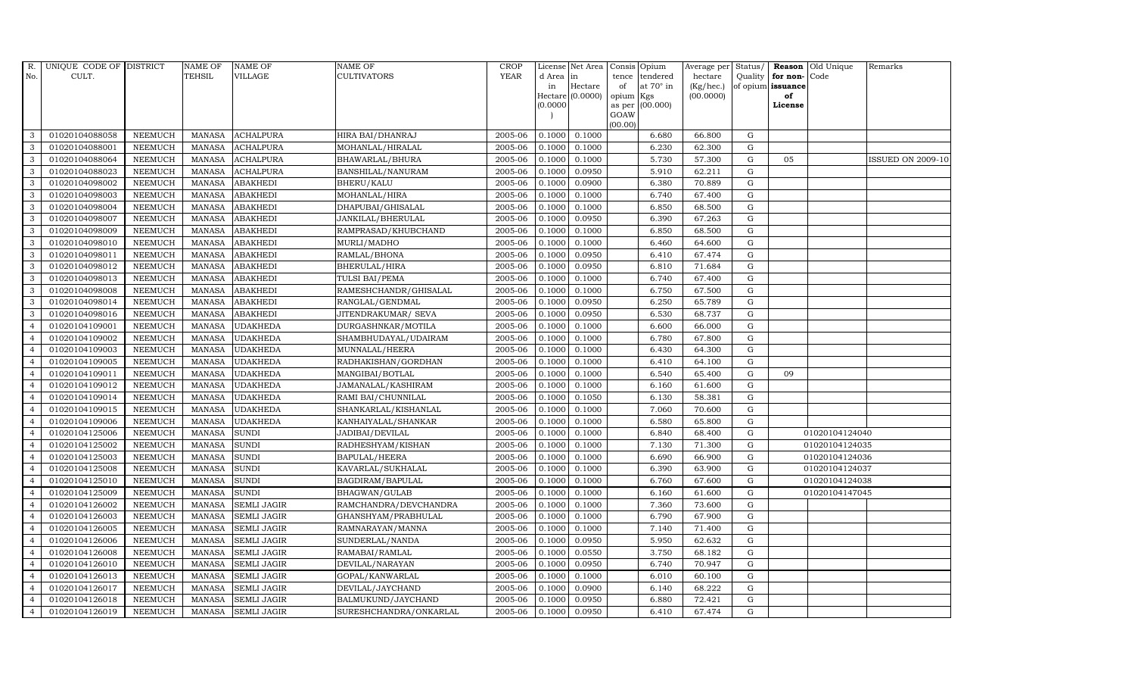| R.             | UNIQUE CODE OF DISTRICT |                | <b>NAME OF</b> | <b>NAME OF</b>     | <b>NAME OF</b>         | CROP        |           | License Net Area | Consis Opium |                  | Average per Status/ |             |                   | <b>Reason</b> Old Unique | Remarks                  |
|----------------|-------------------------|----------------|----------------|--------------------|------------------------|-------------|-----------|------------------|--------------|------------------|---------------------|-------------|-------------------|--------------------------|--------------------------|
| No.            | CULT.                   |                | TEHSIL         | <b>VILLAGE</b>     | <b>CULTIVATORS</b>     | <b>YEAR</b> | d Area in |                  |              | tence tendered   | hectare             | Quality     | for non-Code      |                          |                          |
|                |                         |                |                |                    |                        |             | in        | Hectare          | of           | at $70^\circ$ in | (Kg/hec.)           |             | of opium issuance |                          |                          |
|                |                         |                |                |                    |                        |             | 0.0000    | Hectare (0.0000) | opium Kgs    | as per (00.000)  | (00.0000)           |             | of<br>License     |                          |                          |
|                |                         |                |                |                    |                        |             |           |                  | GOAW         |                  |                     |             |                   |                          |                          |
|                |                         |                |                |                    |                        |             |           |                  | (00.00)      |                  |                     |             |                   |                          |                          |
| 3              | 01020104088058          | <b>NEEMUCH</b> | <b>MANASA</b>  | <b>ACHALPURA</b>   | HIRA BAI/DHANRAJ       | 2005-06     | 0.1000    | 0.1000           |              | 6.680            | 66.800              | $\mathbf G$ |                   |                          |                          |
| 3              | 01020104088001          | <b>NEEMUCH</b> | <b>MANASA</b>  | <b>ACHALPURA</b>   | MOHANLAL/HIRALAL       | 2005-06     | 0.1000    | 0.1000           |              | 6.230            | 62.300              | $\mathbf G$ |                   |                          |                          |
| 3              | 01020104088064          | <b>NEEMUCH</b> | <b>MANASA</b>  | <b>ACHALPURA</b>   | BHAWARLAL/BHURA        | 2005-06     | 0.1000    | 0.1000           |              | 5.730            | 57.300              | $\mathbf G$ | 05                |                          | <b>ISSUED ON 2009-10</b> |
| 3              | 01020104088023          | <b>NEEMUCH</b> | <b>MANASA</b>  | <b>ACHALPURA</b>   | BANSHILAL/NANURAM      | 2005-06     | 0.1000    | 0.0950           |              | 5.910            | 62.211              | G           |                   |                          |                          |
| 3              | 01020104098002          | <b>NEEMUCH</b> | <b>MANASA</b>  | <b>ABAKHEDI</b>    | BHERU/KALU             | 2005-06     | 0.1000    | 0.0900           |              | 6.380            | 70.889              | $\mathbf G$ |                   |                          |                          |
| 3              | 01020104098003          | <b>NEEMUCH</b> | <b>MANASA</b>  | <b>ABAKHEDI</b>    | MOHANLAL/HIRA          | 2005-06     | 0.1000    | 0.1000           |              | 6.740            | 67.400              | $\mathbf G$ |                   |                          |                          |
| 3              | 01020104098004          | <b>NEEMUCH</b> | <b>MANASA</b>  | <b>ABAKHEDI</b>    | DHAPUBAI/GHISALAL      | 2005-06     | 0.1000    | 0.1000           |              | 6.850            | 68.500              | $\mathbf G$ |                   |                          |                          |
| 3              | 01020104098007          | <b>NEEMUCH</b> | <b>MANASA</b>  | <b>ABAKHEDI</b>    | JANKILAL/BHERULAL      | 2005-06     | 0.1000    | 0.0950           |              | 6.390            | 67.263              | G           |                   |                          |                          |
| 3              | 01020104098009          | <b>NEEMUCH</b> | <b>MANASA</b>  | <b>ABAKHEDI</b>    | RAMPRASAD/KHUBCHAND    | 2005-06     | 0.1000    | 0.1000           |              | 6.850            | 68.500              | $\mathbf G$ |                   |                          |                          |
| 3              | 01020104098010          | <b>NEEMUCH</b> | <b>MANASA</b>  | <b>ABAKHEDI</b>    | MURLI/MADHO            | 2005-06     | 0.1000    | 0.1000           |              | 6.460            | 64.600              | $\mathbf G$ |                   |                          |                          |
| $\mathbf{3}$   | 01020104098011          | <b>NEEMUCH</b> | <b>MANASA</b>  | <b>ABAKHEDI</b>    | RAMLAL/BHONA           | 2005-06     | 0.1000    | 0.0950           |              | 6.410            | 67.474              | G           |                   |                          |                          |
| 3              | 01020104098012          | <b>NEEMUCH</b> | <b>MANASA</b>  | <b>ABAKHEDI</b>    | <b>BHERULAL/HIRA</b>   | 2005-06     | 0.1000    | 0.0950           |              | 6.810            | 71.684              | $\mathbf G$ |                   |                          |                          |
| 3              | 01020104098013          | <b>NEEMUCH</b> | <b>MANASA</b>  | <b>ABAKHEDI</b>    | TULSI BAI/PEMA         | 2005-06     | 0.1000    | 0.1000           |              | 6.740            | 67.400              | $\mathbf G$ |                   |                          |                          |
| 3              | 01020104098008          | <b>NEEMUCH</b> | <b>MANASA</b>  | <b>ABAKHEDI</b>    | RAMESHCHANDR/GHISALAL  | 2005-06     | 0.1000    | 0.1000           |              | 6.750            | 67.500              | G           |                   |                          |                          |
| 3              | 01020104098014          | <b>NEEMUCH</b> | <b>MANASA</b>  | ABAKHEDI           | RANGLAL/GENDMAL        | 2005-06     | 0.1000    | 0.0950           |              | 6.250            | 65.789              | $\mathbf G$ |                   |                          |                          |
| 3              | 01020104098016          | <b>NEEMUCH</b> | <b>MANASA</b>  | <b>ABAKHEDI</b>    | JITENDRAKUMAR / SEVA   | 2005-06     | 0.1000    | 0.0950           |              | 6.530            | 68.737              | G           |                   |                          |                          |
| $\overline{4}$ | 01020104109001          | <b>NEEMUCH</b> | <b>MANASA</b>  | <b>UDAKHEDA</b>    | DURGASHNKAR/MOTILA     | 2005-06     | 0.1000    | 0.1000           |              | 6.600            | 66.000              | ${\bf G}$   |                   |                          |                          |
| $\overline{4}$ | 01020104109002          | <b>NEEMUCH</b> | <b>MANASA</b>  | <b>UDAKHEDA</b>    | SHAMBHUDAYAL/UDAIRAM   | 2005-06     | 0.1000    | 0.1000           |              | 6.780            | 67.800              | ${\rm G}$   |                   |                          |                          |
|                | 01020104109003          | <b>NEEMUCH</b> | <b>MANASA</b>  | <b>UDAKHEDA</b>    | MUNNALAL/HEERA         | 2005-06     | 0.1000    | 0.1000           |              | 6.430            | 64.300              | $\mathbf G$ |                   |                          |                          |
| $\overline{4}$ | 01020104109005          | <b>NEEMUCH</b> | <b>MANASA</b>  | <b>UDAKHEDA</b>    | RADHAKISHAN/GORDHAN    | 2005-06     | 0.1000    | 0.1000           |              | 6.410            | 64.100              | $\mathbf G$ |                   |                          |                          |
| $\overline{4}$ | 01020104109011          | <b>NEEMUCH</b> | <b>MANASA</b>  | <b>UDAKHEDA</b>    | MANGIBAI/BOTLAL        | 2005-06     | 0.1000    | 0.1000           |              | 6.540            | 65.400              | G           | 09                |                          |                          |
| $\overline{4}$ | 01020104109012          | <b>NEEMUCH</b> | <b>MANASA</b>  | <b>UDAKHEDA</b>    | JAMANALAL/KASHIRAM     | 2005-06     | 0.1000    | 0.1000           |              | 6.160            | 61.600              | $\mathbf G$ |                   |                          |                          |
| $\overline{4}$ | 01020104109014          | <b>NEEMUCH</b> | <b>MANASA</b>  | <b>UDAKHEDA</b>    | RAMI BAI/CHUNNILAL     | 2005-06     | 0.1000    | 0.1050           |              | 6.130            | 58.381              | $\mathbf G$ |                   |                          |                          |
| $\overline{4}$ | 01020104109015          | <b>NEEMUCH</b> | <b>MANASA</b>  | <b>UDAKHEDA</b>    | SHANKARLAL/KISHANLAL   | 2005-06     | 0.1000    | 0.1000           |              | 7.060            | 70.600              | G           |                   |                          |                          |
| $\overline{4}$ | 01020104109006          | <b>NEEMUCH</b> | <b>MANASA</b>  | <b>UDAKHEDA</b>    | KANHAIYALAL/SHANKAR    | 2005-06     | 0.1000    | 0.1000           |              | 6.580            | 65.800              | ${\rm G}$   |                   |                          |                          |
| $\overline{4}$ | 01020104125006          | <b>NEEMUCH</b> | <b>MANASA</b>  | SUNDI              | JADIBAI/DEVILAL        | 2005-06     | 0.1000    | 0.1000           |              | 6.840            | 68.400              | G           |                   | 01020104124040           |                          |
| $\overline{4}$ | 01020104125002          | <b>NEEMUCH</b> | <b>MANASA</b>  | <b>SUNDI</b>       | RADHESHYAM/KISHAN      | 2005-06     | 0.1000    | 0.1000           |              | 7.130            | 71.300              | ${\rm G}$   |                   | 01020104124035           |                          |
| $\overline{4}$ | 01020104125003          | <b>NEEMUCH</b> | <b>MANASA</b>  | <b>SUNDI</b>       | <b>BAPULAL/HEERA</b>   | 2005-06     | 0.1000    | 0.1000           |              | 6.690            | 66.900              | $\mathbf G$ |                   | 01020104124036           |                          |
| $\overline{4}$ | 01020104125008          | <b>NEEMUCH</b> | <b>MANASA</b>  | <b>SUNDI</b>       | KAVARLAL/SUKHALAL      | 2005-06     | 0.1000    | 0.1000           |              | 6.390            | 63.900              | $\mathbf G$ |                   | 01020104124037           |                          |
| $\overline{4}$ | 01020104125010          | <b>NEEMUCH</b> | <b>MANASA</b>  | <b>SUNDI</b>       | BAGDIRAM/BAPULAL       | 2005-06     | 0.1000    | 0.1000           |              | 6.760            | 67.600              | ${\rm G}$   |                   | 01020104124038           |                          |
| $\overline{4}$ | 01020104125009          | <b>NEEMUCH</b> | <b>MANASA</b>  | <b>SUNDI</b>       | BHAGWAN/GULAB          | 2005-06     | 0.1000    | 0.1000           |              | 6.160            | 61.600              | G           |                   | 01020104147045           |                          |
| $\overline{4}$ | 01020104126002          | <b>NEEMUCH</b> | <b>MANASA</b>  | <b>SEMLI JAGIR</b> | RAMCHANDRA/DEVCHANDRA  | 2005-06     | 0.1000    | 0.1000           |              | 7.360            | 73.600              | ${\rm G}$   |                   |                          |                          |
| $\overline{4}$ | 01020104126003          | <b>NEEMUCH</b> | <b>MANASA</b>  | <b>SEMLI JAGIR</b> | GHANSHYAM/PRABHULAL    | 2005-06     | 0.1000    | 0.1000           |              | 6.790            | 67.900              | $\mathbf G$ |                   |                          |                          |
| $\overline{4}$ | 01020104126005          | <b>NEEMUCH</b> | <b>MANASA</b>  | <b>SEMLI JAGIR</b> | RAMNARAYAN/MANNA       | 2005-06     | 0.1000    | 0.1000           |              | 7.140            | 71.400              | $\mathbf G$ |                   |                          |                          |
| $\overline{4}$ | 01020104126006          | <b>NEEMUCH</b> | <b>MANASA</b>  | <b>SEMLI JAGIR</b> | SUNDERLAL/NANDA        | 2005-06     | 0.1000    | 0.0950           |              | 5.950            | 62.632              | $\mathbf G$ |                   |                          |                          |
| $\overline{4}$ | 01020104126008          | <b>NEEMUCH</b> | <b>MANASA</b>  | <b>SEMLI JAGIR</b> | RAMABAI/RAMLAL         | 2005-06     | 0.1000    | 0.0550           |              | 3.750            | 68.182              | $\mathbf G$ |                   |                          |                          |
| $\overline{4}$ | 01020104126010          | <b>NEEMUCH</b> | <b>MANASA</b>  | <b>SEMLI JAGIR</b> | DEVILAL/NARAYAN        | 2005-06     | 0.1000    | 0.0950           |              | 6.740            | 70.947              | ${\rm G}$   |                   |                          |                          |
| $\overline{4}$ | 01020104126013          | <b>NEEMUCH</b> | <b>MANASA</b>  | <b>SEMLI JAGIR</b> | GOPAL/KANWARLAL        | 2005-06     | 0.1000    | 0.1000           |              | 6.010            | 60.100              | G           |                   |                          |                          |
| $\overline{4}$ | 01020104126017          | <b>NEEMUCH</b> | <b>MANASA</b>  | <b>SEMLI JAGIR</b> | DEVILAL/JAYCHAND       | 2005-06     | 0.1000    | 0.0900           |              | 6.140            | 68.222              | $\mathbf G$ |                   |                          |                          |
| $\overline{4}$ | 01020104126018          | <b>NEEMUCH</b> | <b>MANASA</b>  | <b>SEMLI JAGIR</b> | BALMUKUND/JAYCHAND     | 2005-06     | 0.1000    | 0.0950           |              | 6.880            | 72.421              | $\mathbf G$ |                   |                          |                          |
| $\overline{4}$ | 01020104126019          | <b>NEEMUCH</b> | MANASA         | <b>SEMLI JAGIR</b> | SURESHCHANDRA/ONKARLAL | 2005-06     |           | $0.1000$ 0.0950  |              | 6.410            | 67.474              | G           |                   |                          |                          |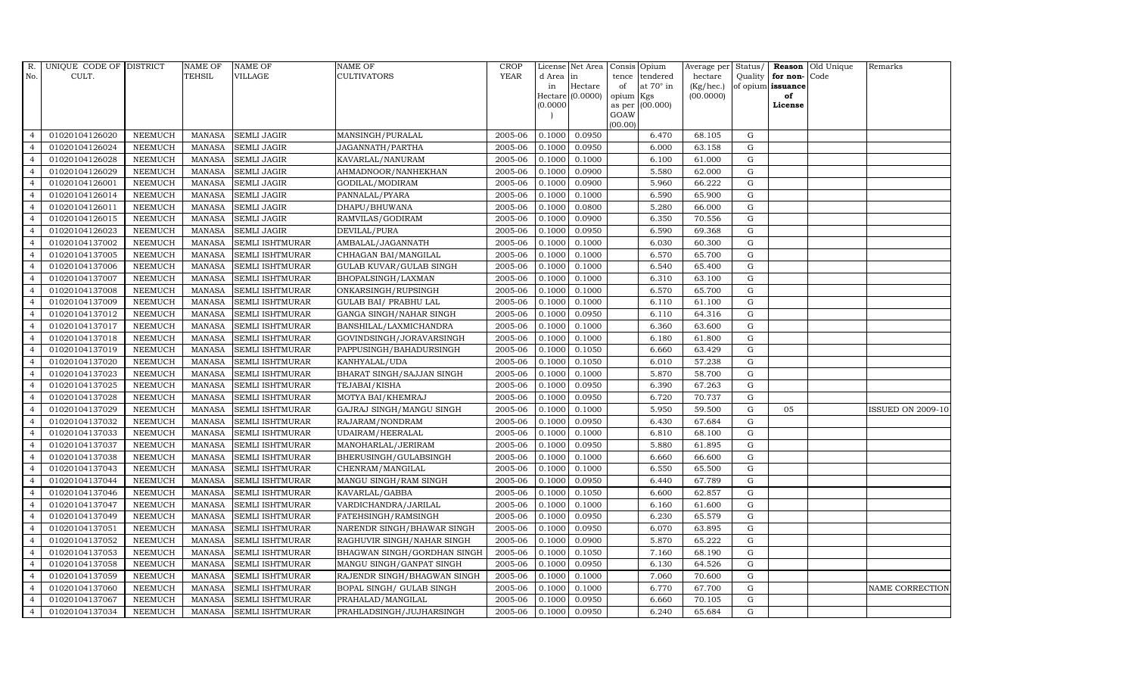| R.             | UNIQUE CODE OF DISTRICT |                | <b>NAME OF</b> | <b>NAME OF</b>         | <b>NAME OF</b>               | <b>CROP</b> |           | License Net Area |           | Consis Opium     | Average per | Status/     | Reason            | Old Unique | Remarks                  |
|----------------|-------------------------|----------------|----------------|------------------------|------------------------------|-------------|-----------|------------------|-----------|------------------|-------------|-------------|-------------------|------------|--------------------------|
| No.            | CULT.                   |                | <b>TEHSIL</b>  | VILLAGE                | <b>CULTIVATORS</b>           | <b>YEAR</b> | d Area in |                  | tence     | tendered         | hectare     |             | Quality for non-  | Code       |                          |
|                |                         |                |                |                        |                              |             | in        | Hectare          | of        | at $70^\circ$ in | (Kg/hec.)   |             | of opium issuance |            |                          |
|                |                         |                |                |                        |                              |             | (0.0000)  | Hectare (0.0000) | opium Kgs | as per (00.000)  | (00.0000)   |             | of<br>License     |            |                          |
|                |                         |                |                |                        |                              |             |           |                  | GOAW      |                  |             |             |                   |            |                          |
|                |                         |                |                |                        |                              |             |           |                  | (00.00)   |                  |             |             |                   |            |                          |
| $\overline{4}$ | 01020104126020          | <b>NEEMUCH</b> | MANASA         | <b>SEMLI JAGIR</b>     | MANSINGH/PURALAL             | 2005-06     | 0.1000    | 0.0950           |           | 6.470            | 68.105      | G           |                   |            |                          |
| $\overline{4}$ | 01020104126024          | <b>NEEMUCH</b> | <b>MANASA</b>  | <b>SEMLI JAGIR</b>     | JAGANNATH/PARTHA             | 2005-06     | 0.1000    | 0.0950           |           | 6.000            | 63.158      | ${\bf G}$   |                   |            |                          |
| $\overline{4}$ | 01020104126028          | <b>NEEMUCH</b> | <b>MANASA</b>  | <b>SEMLI JAGIR</b>     | KAVARLAL/NANURAM             | 2005-06     | 0.1000    | 0.1000           |           | 6.100            | 61.000      | G           |                   |            |                          |
| $\overline{4}$ | 01020104126029          | <b>NEEMUCH</b> | <b>MANASA</b>  | <b>SEMLI JAGIR</b>     | AHMADNOOR/NANHEKHAN          | 2005-06     | 0.1000    | 0.0900           |           | 5.580            | 62.000      | $\mathbf G$ |                   |            |                          |
| $\overline{4}$ | 01020104126001          | <b>NEEMUCH</b> | <b>MANASA</b>  | SEMLI JAGIR            | GODILAL/MODIRAM              | 2005-06     | 0.1000    | 0.0900           |           | 5.960            | 66.222      | ${\bf G}$   |                   |            |                          |
| $\overline{4}$ | 01020104126014          | <b>NEEMUCH</b> | <b>MANASA</b>  | <b>SEMLI JAGIR</b>     | PANNALAL/PYARA               | 2005-06     | 0.1000    | 0.1000           |           | 6.590            | 65.900      | $\mathbf G$ |                   |            |                          |
| $\overline{4}$ | 01020104126011          | <b>NEEMUCH</b> | <b>MANASA</b>  | <b>SEMLI JAGIR</b>     | DHAPU/BHUWANA                | 2005-06     | 0.1000    | 0.0800           |           | 5.280            | 66.000      | ${\rm G}$   |                   |            |                          |
| $\overline{4}$ | 01020104126015          | <b>NEEMUCH</b> | <b>MANASA</b>  | <b>SEMLI JAGIR</b>     | RAMVILAS/GODIRAM             | 2005-06     | 0.1000    | 0.0900           |           | 6.350            | 70.556      | $\mathbf G$ |                   |            |                          |
| $\overline{4}$ | 01020104126023          | <b>NEEMUCH</b> | <b>MANASA</b>  | <b>SEMLI JAGIR</b>     | DEVILAL/PURA                 | 2005-06     | 0.1000    | 0.0950           |           | 6.590            | 69.368      | G           |                   |            |                          |
| $\overline{4}$ | 01020104137002          | <b>NEEMUCH</b> | <b>MANASA</b>  | <b>SEMLI ISHTMURAR</b> | AMBALAL/JAGANNATH            | 2005-06     | 0.1000    | 0.1000           |           | 6.030            | 60.300      | ${\rm G}$   |                   |            |                          |
| $\overline{4}$ | 01020104137005          | <b>NEEMUCH</b> | <b>MANASA</b>  | SEMLI ISHTMURAR        | CHHAGAN BAI/MANGILAL         | 2005-06     | 0.1000    | 0.1000           |           | 6.570            | 65.700      | ${\rm G}$   |                   |            |                          |
| $\overline{4}$ | 01020104137006          | <b>NEEMUCH</b> | <b>MANASA</b>  | <b>SEMLI ISHTMURAR</b> | GULAB KUVAR/GULAB SINGH      | 2005-06     | 0.1000    | 0.1000           |           | 6.540            | 65.400      | G           |                   |            |                          |
| $\overline{4}$ | 01020104137007          | <b>NEEMUCH</b> | <b>MANASA</b>  | <b>SEMLI ISHTMURAR</b> | BHOPALSINGH/LAXMAN           | 2005-06     | 0.1000    | 0.1000           |           | 6.310            | 63.100      | G           |                   |            |                          |
| $\overline{4}$ | 01020104137008          | <b>NEEMUCH</b> | <b>MANASA</b>  | SEMLI ISHTMURAR        | ONKARSINGH/RUPSINGH          | 2005-06     | 0.1000    | 0.1000           |           | 6.570            | 65.700      | $\mathbf G$ |                   |            |                          |
| $\overline{4}$ | 01020104137009          | <b>NEEMUCH</b> | <b>MANASA</b>  | SEMLI ISHTMURAR        | <b>GULAB BAI/ PRABHU LAL</b> | 2005-06     | 0.1000    | 0.1000           |           | 6.110            | 61.100      | ${\bf G}$   |                   |            |                          |
| $\overline{4}$ | 01020104137012          | <b>NEEMUCH</b> | <b>MANASA</b>  | SEMLI ISHTMURAR        | GANGA SINGH/NAHAR SINGH      | 2005-06     | 0.1000    | 0.0950           |           | 6.110            | 64.316      | G           |                   |            |                          |
| $\overline{4}$ | 01020104137017          | <b>NEEMUCH</b> | <b>MANASA</b>  | SEMLI ISHTMURAR        | BANSHILAL/LAXMICHANDRA       | 2005-06     | 0.1000    | 0.1000           |           | 6.360            | 63.600      | G           |                   |            |                          |
| $\overline{4}$ | 01020104137018          | <b>NEEMUCH</b> | <b>MANASA</b>  | <b>SEMLI ISHTMURAR</b> | GOVINDSINGH/JORAVARSINGH     | 2005-06     | 0.1000    | 0.1000           |           | 6.180            | 61.800      | $\mathbf G$ |                   |            |                          |
| $\overline{4}$ | 01020104137019          | <b>NEEMUCH</b> | <b>MANASA</b>  | <b>SEMLI ISHTMURAR</b> | PAPPUSINGH/BAHADURSINGH      | 2005-06     | 0.1000    | 0.1050           |           | 6.660            | 63.429      | $\mathbf G$ |                   |            |                          |
| $\overline{4}$ | 01020104137020          | <b>NEEMUCH</b> | <b>MANASA</b>  | SEMLI ISHTMURAR        | KANHYALAL/UDA                | 2005-06     | 0.1000    | 0.1050           |           | 6.010            | 57.238      | ${\rm G}$   |                   |            |                          |
| $\overline{4}$ | 01020104137023          | <b>NEEMUCH</b> | <b>MANASA</b>  | SEMLI ISHTMURAR        | BHARAT SINGH/SAJJAN SINGH    | 2005-06     | 0.1000    | 0.1000           |           | 5.870            | 58.700      | ${\rm G}$   |                   |            |                          |
| $\overline{4}$ | 01020104137025          | <b>NEEMUCH</b> | <b>MANASA</b>  | SEMLI ISHTMURAR        | TEJABAI/KISHA                | 2005-06     | 0.1000    | 0.0950           |           | 6.390            | 67.263      | G           |                   |            |                          |
| $\overline{4}$ | 01020104137028          | <b>NEEMUCH</b> | <b>MANASA</b>  | <b>SEMLI ISHTMURAR</b> | MOTYA BAI/KHEMRAJ            | 2005-06     | 0.1000    | 0.0950           |           | 6.720            | 70.737      | G           |                   |            |                          |
| $\overline{4}$ | 01020104137029          | <b>NEEMUCH</b> | <b>MANASA</b>  | <b>SEMLI ISHTMURAR</b> | GAJRAJ SINGH/MANGU SINGH     | 2005-06     | 0.1000    | 0.1000           |           | 5.950            | 59.500      | $\mathbf G$ | 05                |            | <b>ISSUED ON 2009-10</b> |
| $\overline{4}$ | 01020104137032          | <b>NEEMUCH</b> | <b>MANASA</b>  | SEMLI ISHTMURAR        | RAJARAM/NONDRAM              | 2005-06     | 0.1000    | 0.0950           |           | 6.430            | 67.684      | $\mathbf G$ |                   |            |                          |
| $\overline{4}$ | 01020104137033          | <b>NEEMUCH</b> | <b>MANASA</b>  | <b>SEMLI ISHTMURAR</b> | UDAIRAM/HEERALAL             | 2005-06     | 0.1000    | 0.1000           |           | 6.810            | 68.100      | G           |                   |            |                          |
| $\overline{4}$ | 01020104137037          | <b>NEEMUCH</b> | <b>MANASA</b>  | SEMLI ISHTMURAR        | MANOHARLAL/JERIRAM           | 2005-06     | 0.1000    | 0.0950           |           | 5.880            | 61.895      | ${\rm G}$   |                   |            |                          |
| $\overline{4}$ | 01020104137038          | <b>NEEMUCH</b> | <b>MANASA</b>  | SEMLI ISHTMURAR        | BHERUSINGH/GULABSINGH        | 2005-06     | 0.1000    | 0.1000           |           | 6.660            | 66.600      | $\mathbf G$ |                   |            |                          |
| $\overline{4}$ | 01020104137043          | <b>NEEMUCH</b> | <b>MANASA</b>  | <b>SEMLI ISHTMURAR</b> | CHENRAM/MANGILAL             | 2005-06     | 0.1000    | 0.1000           |           | 6.550            | 65.500      | $\mathbf G$ |                   |            |                          |
| $\overline{4}$ | 01020104137044          | <b>NEEMUCH</b> | <b>MANASA</b>  | <b>SEMLI ISHTMURAR</b> | MANGU SINGH/RAM SINGH        | 2005-06     | 0.1000    | 0.0950           |           | 6.440            | 67.789      | ${\rm G}$   |                   |            |                          |
| $\overline{4}$ | 01020104137046          | <b>NEEMUCH</b> | <b>MANASA</b>  | SEMLI ISHTMURAR        | KAVARLAL/GABBA               | 2005-06     | 0.1000    | 0.1050           |           | 6.600            | 62.857      | G           |                   |            |                          |
| $\overline{4}$ | 01020104137047          | <b>NEEMUCH</b> | <b>MANASA</b>  | SEMLI ISHTMURAR        | VARDICHANDRA/JARILAL         | 2005-06     | 0.1000    | 0.1000           |           | 6.160            | 61.600      | ${\rm G}$   |                   |            |                          |
| $\overline{4}$ | 01020104137049          | <b>NEEMUCH</b> | <b>MANASA</b>  | SEMLI ISHTMURAR        | FATEHSINGH/RAMSINGH          | 2005-06     | 0.1000    | 0.0950           |           | 6.230            | 65.579      | ${\rm G}$   |                   |            |                          |
| $\overline{4}$ | 01020104137051          | <b>NEEMUCH</b> | <b>MANASA</b>  | SEMLI ISHTMURAR        | NARENDR SINGH/BHAWAR SINGH   | 2005-06     | 0.1000    | 0.0950           |           | 6.070            | 63.895      | $\mathbf G$ |                   |            |                          |
| $\overline{4}$ | 01020104137052          | <b>NEEMUCH</b> | <b>MANASA</b>  | SEMLI ISHTMURAR        | RAGHUVIR SINGH/NAHAR SINGH   | 2005-06     | 0.1000    | 0.0900           |           | 5.870            | 65.222      | $\mathbf G$ |                   |            |                          |
| $\overline{4}$ | 01020104137053          | <b>NEEMUCH</b> | <b>MANASA</b>  | SEMLI ISHTMURAR        | BHAGWAN SINGH/GORDHAN SINGH  | 2005-06     | 0.1000    | 0.1050           |           | 7.160            | 68.190      | ${\rm G}$   |                   |            |                          |
| $\overline{4}$ | 01020104137058          | <b>NEEMUCH</b> | <b>MANASA</b>  | SEMLI ISHTMURAR        | MANGU SINGH/GANPAT SINGH     | 2005-06     | 0.1000    | 0.0950           |           | 6.130            | 64.526      | ${\rm G}$   |                   |            |                          |
| $\overline{4}$ | 01020104137059          | <b>NEEMUCH</b> | <b>MANASA</b>  | SEMLI ISHTMURAR        | RAJENDR SINGH/BHAGWAN SINGH  | 2005-06     | 0.1000    | 0.1000           |           | 7.060            | 70.600      | ${\rm G}$   |                   |            |                          |
| $\overline{4}$ | 01020104137060          | <b>NEEMUCH</b> | <b>MANASA</b>  | SEMLI ISHTMURAR        | BOPAL SINGH/ GULAB SINGH     | 2005-06     | 0.1000    | 0.1000           |           | 6.770            | 67.700      | G           |                   |            | NAME CORRECTION          |
| $\overline{4}$ | 01020104137067          | <b>NEEMUCH</b> | <b>MANASA</b>  | <b>SEMLI ISHTMURAR</b> | PRAHALAD/MANGILAL            | 2005-06     | 0.1000    | 0.0950           |           | 6.660            | 70.105      | $\mathbf G$ |                   |            |                          |
| $\overline{4}$ | 01020104137034          | <b>NEEMUCH</b> | MANASA         | SEMLI ISHTMURAR        | PRAHLADSINGH/JUJHARSINGH     | 2005-06     | 0.1000    | 0.0950           |           | 6.240            | 65.684      | G           |                   |            |                          |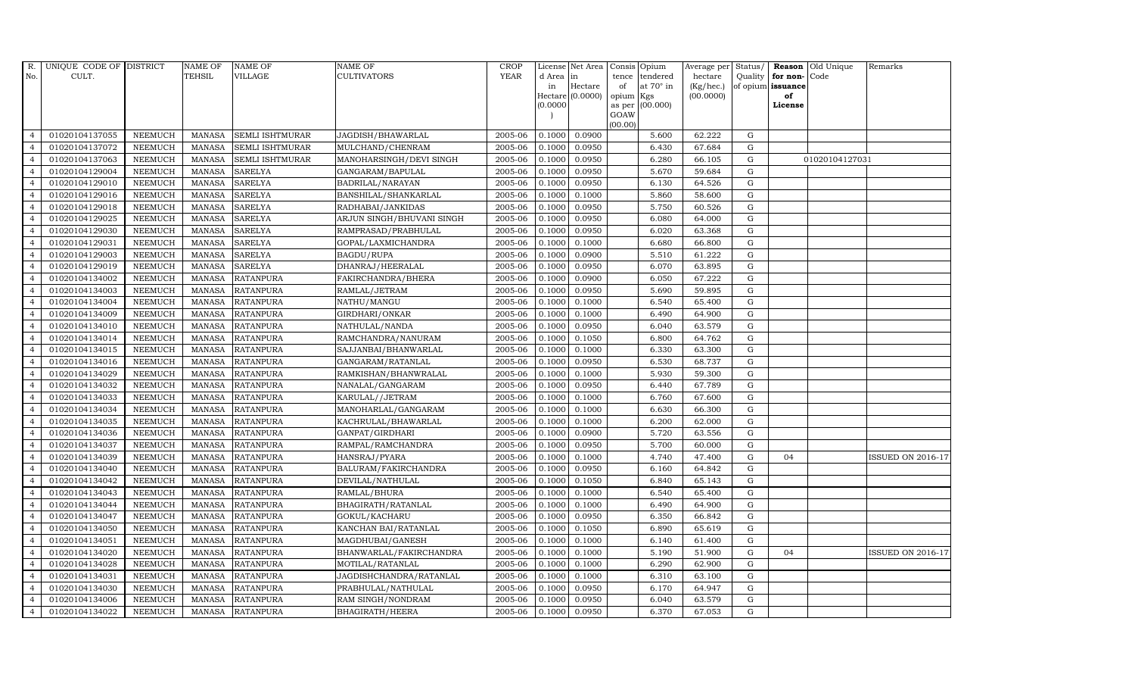| R.             | UNIQUE CODE OF DISTRICT |                | <b>NAME OF</b> | <b>NAME OF</b>         | <b>NAME OF</b>            | CROP        |           | License Net Area   Consis   Opium |           |                  | Average per Status/ |             | Reason            | Old Unique     | Remarks                  |
|----------------|-------------------------|----------------|----------------|------------------------|---------------------------|-------------|-----------|-----------------------------------|-----------|------------------|---------------------|-------------|-------------------|----------------|--------------------------|
| No.            | CULT.                   |                | <b>TEHSIL</b>  | <b>VILLAGE</b>         | <b>CULTIVATORS</b>        | <b>YEAR</b> | d Area in |                                   |           | tence tendered   | hectare             | Quality     | for non-          | Code           |                          |
|                |                         |                |                |                        |                           |             | in        | Hectare                           | of        | at $70^\circ$ in | (Kg/hec.)           |             | of opium issuance |                |                          |
|                |                         |                |                |                        |                           |             |           | Hectare (0.0000)                  | opium Kgs |                  | (00.0000)           |             | of                |                |                          |
|                |                         |                |                |                        |                           |             | (0.0000)  |                                   | GOAW      | as per (00.000)  |                     |             | License           |                |                          |
|                |                         |                |                |                        |                           |             |           |                                   | (00.00)   |                  |                     |             |                   |                |                          |
| $\overline{4}$ | 01020104137055          | <b>NEEMUCH</b> | MANASA         | <b>SEMLI ISHTMURAR</b> | JAGDISH/BHAWARLAL         | 2005-06     | 0.1000    | 0.0900                            |           | 5.600            | 62.222              | ${\rm G}$   |                   |                |                          |
| $\overline{a}$ | 01020104137072          | <b>NEEMUCH</b> | <b>MANASA</b>  | <b>SEMLI ISHTMURAR</b> | MULCHAND/CHENRAM          | 2005-06     | 0.1000    | 0.0950                            |           | 6.430            | 67.684              | ${\rm G}$   |                   |                |                          |
| $\overline{4}$ | 01020104137063          | <b>NEEMUCH</b> | <b>MANASA</b>  | SEMLI ISHTMURAR        | MANOHARSINGH/DEVI SINGH   | 2005-06     | 0.1000    | 0.0950                            |           | 6.280            | 66.105              | G           |                   | 01020104127031 |                          |
|                | 01020104129004          | <b>NEEMUCH</b> | <b>MANASA</b>  | <b>SARELYA</b>         | GANGARAM/BAPULAL          | 2005-06     | 0.1000    | 0.0950                            |           | 5.670            | 59.684              | $\mathbf G$ |                   |                |                          |
| $\overline{4}$ | 01020104129010          | <b>NEEMUCH</b> | <b>MANASA</b>  | <b>SARELYA</b>         | BADRILAL/NARAYAN          | 2005-06     | 0.1000    | 0.0950                            |           | 6.130            | 64.526              | ${\rm G}$   |                   |                |                          |
| $\overline{4}$ | 01020104129016          | <b>NEEMUCH</b> | MANASA         | <b>SARELYA</b>         | BANSHILAL/SHANKARLAL      | 2005-06     | 0.1000    | 0.1000                            |           | 5.860            | 58.600              | ${\rm G}$   |                   |                |                          |
| $\overline{4}$ | 01020104129018          | <b>NEEMUCH</b> | <b>MANASA</b>  | <b>SARELYA</b>         | RADHABAI/JANKIDAS         | 2005-06     | 0.1000    | 0.0950                            |           | 5.750            | 60.526              | $\mathbf G$ |                   |                |                          |
| $\overline{4}$ | 01020104129025          | <b>NEEMUCH</b> | <b>MANASA</b>  | <b>SARELYA</b>         | ARJUN SINGH/BHUVANI SINGH | 2005-06     | 0.1000    | 0.0950                            |           | 6.080            | 64.000              | $\mathbf G$ |                   |                |                          |
|                | 01020104129030          | <b>NEEMUCH</b> | <b>MANASA</b>  | <b>SARELYA</b>         | RAMPRASAD/PRABHULAL       | 2005-06     | 0.1000    | 0.0950                            |           | 6.020            | 63.368              | $\mathbf G$ |                   |                |                          |
| $\overline{4}$ | 01020104129031          | <b>NEEMUCH</b> | <b>MANASA</b>  | <b>SARELYA</b>         | GOPAL/LAXMICHANDRA        | 2005-06     | 0.1000    | 0.1000                            |           | 6.680            | 66.800              | $\mathbf G$ |                   |                |                          |
| $\overline{4}$ | 01020104129003          | <b>NEEMUCH</b> | <b>MANASA</b>  | <b>SARELYA</b>         | BAGDU/RUPA                | 2005-06     | 0.1000    | 0.0900                            |           | 5.510            | 61.222              | ${\rm G}$   |                   |                |                          |
| $\overline{4}$ | 01020104129019          | <b>NEEMUCH</b> | <b>MANASA</b>  | <b>SARELYA</b>         | DHANRAJ/HEERALAL          | 2005-06     | 0.1000    | 0.0950                            |           | 6.070            | 63.895              | ${\rm G}$   |                   |                |                          |
| $\overline{4}$ | 01020104134002          | <b>NEEMUCH</b> | <b>MANASA</b>  | <b>RATANPURA</b>       | FAKIRCHANDRA/BHERA        | 2005-06     | 0.1000    | 0.0900                            |           | 6.050            | 67.222              | $\mathbf G$ |                   |                |                          |
| $\overline{4}$ | 01020104134003          | <b>NEEMUCH</b> | <b>MANASA</b>  | <b>RATANPURA</b>       | RAMLAL/JETRAM             | 2005-06     | 0.1000    | 0.0950                            |           | 5.690            | 59.895              | $\mathbf G$ |                   |                |                          |
| $\overline{4}$ | 01020104134004          | <b>NEEMUCH</b> | <b>MANASA</b>  | <b>RATANPURA</b>       | NATHU/MANGU               | 2005-06     | 0.1000    | 0.1000                            |           | 6.540            | 65.400              | G           |                   |                |                          |
| $\overline{4}$ | 01020104134009          | <b>NEEMUCH</b> | <b>MANASA</b>  | <b>RATANPURA</b>       | GIRDHARI/ONKAR            | 2005-06     | 0.1000    | 0.1000                            |           | 6.490            | 64.900              | ${\rm G}$   |                   |                |                          |
| $\overline{4}$ | 01020104134010          | <b>NEEMUCH</b> | <b>MANASA</b>  | <b>RATANPURA</b>       | NATHULAL/NANDA            | 2005-06     | 0.1000    | 0.0950                            |           | 6.040            | 63.579              | ${\rm G}$   |                   |                |                          |
| $\overline{4}$ | 01020104134014          | <b>NEEMUCH</b> | MANASA         | <b>RATANPURA</b>       | RAMCHANDRA/NANURAM        | 2005-06     | 0.1000    | 0.1050                            |           | 6.800            | 64.762              | G           |                   |                |                          |
| $\overline{4}$ | 01020104134015          | <b>NEEMUCH</b> | <b>MANASA</b>  | <b>RATANPURA</b>       | SAJJANBAI/BHANWARLAL      | 2005-06     | 0.1000    | 0.1000                            |           | 6.330            | 63.300              | $\mathbf G$ |                   |                |                          |
| $\overline{4}$ | 01020104134016          | <b>NEEMUCH</b> | <b>MANASA</b>  | <b>RATANPURA</b>       | GANGARAM/RATANLAL         | 2005-06     | 0.1000    | 0.0950                            |           | 6.530            | 68.737              | $\mathbf G$ |                   |                |                          |
| 4              | 01020104134029          | <b>NEEMUCH</b> | <b>MANASA</b>  | <b>RATANPURA</b>       | RAMKISHAN/BHANWRALAL      | 2005-06     | 0.1000    | 0.1000                            |           | 5.930            | 59.300              | ${\rm G}$   |                   |                |                          |
| $\overline{4}$ | 01020104134032          | NEEMUCH        | <b>MANASA</b>  | <b>RATANPURA</b>       | NANALAL/GANGARAM          | 2005-06     | 0.1000    | 0.0950                            |           | 6.440            | 67.789              | ${\rm G}$   |                   |                |                          |
| $\overline{4}$ | 01020104134033          | <b>NEEMUCH</b> | MANASA         | <b>RATANPURA</b>       | KARULAL//JETRAM           | 2005-06     | 0.1000    | 0.1000                            |           | 6.760            | 67.600              | G           |                   |                |                          |
| $\overline{4}$ | 01020104134034          | <b>NEEMUCH</b> | <b>MANASA</b>  | <b>RATANPURA</b>       | MANOHARLAL/GANGARAM       | 2005-06     | 0.1000    | 0.1000                            |           | 6.630            | 66.300              | $\mathbf G$ |                   |                |                          |
| $\overline{4}$ | 01020104134035          | <b>NEEMUCH</b> | <b>MANASA</b>  | <b>RATANPURA</b>       | KACHRULAL/BHAWARLAL       | 2005-06     | 0.1000    | 0.1000                            |           | 6.200            | 62.000              | $\mathbf G$ |                   |                |                          |
| $\overline{4}$ | 01020104134036          | <b>NEEMUCH</b> | <b>MANASA</b>  | <b>RATANPURA</b>       | GANPAT/GIRDHARI           | 2005-06     | 0.1000    | 0.0900                            |           | 5.720            | 63.556              | G           |                   |                |                          |
| $\overline{4}$ | 01020104134037          | <b>NEEMUCH</b> | <b>MANASA</b>  | <b>RATANPURA</b>       | RAMPAL/RAMCHANDRA         | 2005-06     | 0.1000    | 0.0950                            |           | 5.700            | 60.000              | ${\rm G}$   |                   |                |                          |
| $\overline{4}$ | 01020104134039          | <b>NEEMUCH</b> | MANASA         | <b>RATANPURA</b>       | HANSRAJ/PYARA             | 2005-06     | 0.1000    | 0.1000                            |           | 4.740            | 47.400              | $\mathbf G$ | 04                |                | ISSUED ON 2016-17        |
| $\overline{4}$ | 01020104134040          | <b>NEEMUCH</b> | <b>MANASA</b>  | <b>RATANPURA</b>       | BALURAM/FAKIRCHANDRA      | 2005-06     | 0.1000    | 0.0950                            |           | 6.160            | 64.842              | $\mathbf G$ |                   |                |                          |
| $\overline{4}$ | 01020104134042          | <b>NEEMUCH</b> | <b>MANASA</b>  | <b>RATANPURA</b>       | DEVILAL/NATHULAL          | 2005-06     | 0.1000    | 0.1050                            |           | 6.840            | 65.143              | $\mathbf G$ |                   |                |                          |
| 4              | 01020104134043          | <b>NEEMUCH</b> | <b>MANASA</b>  | <b>RATANPURA</b>       | RAMLAL/BHURA              | 2005-06     | 0.1000    | 0.1000                            |           | 6.540            | 65.400              | G           |                   |                |                          |
| $\overline{4}$ | 01020104134044          | <b>NEEMUCH</b> | <b>MANASA</b>  | <b>RATANPURA</b>       | BHAGIRATH/RATANLAL        | 2005-06     | 0.1000    | $\frac{1}{0.1000}$                |           | 6.490            | 64.900              | ${\rm G}$   |                   |                |                          |
| $\overline{4}$ | 01020104134047          | <b>NEEMUCH</b> | MANASA         | <b>RATANPURA</b>       | GOKUL/KACHARU             | 2005-06     | 0.1000    | 0.0950                            |           | 6.350            | 66.842              | $\mathbf G$ |                   |                |                          |
| $\overline{4}$ | 01020104134050          | <b>NEEMUCH</b> | <b>MANASA</b>  | <b>RATANPURA</b>       | KANCHAN BAI/RATANLAL      | 2005-06     | 0.1000    | 0.1050                            |           | 6.890            | 65.619              | $\mathbf G$ |                   |                |                          |
| $\overline{4}$ | 01020104134051          | <b>NEEMUCH</b> | <b>MANASA</b>  | <b>RATANPURA</b>       | MAGDHUBAI/GANESH          | 2005-06     | 0.1000    | 0.1000                            |           | 6.140            | 61.400              | $\mathbf G$ |                   |                |                          |
| $\overline{4}$ | 01020104134020          | <b>NEEMUCH</b> | <b>MANASA</b>  | <b>RATANPURA</b>       | BHANWARLAL/FAKIRCHANDRA   | 2005-06     | 0.1000    | 0.1000                            |           | 5.190            | 51.900              | ${\rm G}$   | 04                |                | <b>ISSUED ON 2016-17</b> |
| $\overline{4}$ | 01020104134028          | <b>NEEMUCH</b> | <b>MANASA</b>  | <b>RATANPURA</b>       | MOTILAL/RATANLAL          | 2005-06     | 0.1000    | 0.1000                            |           | 6.290            | 62.900              | ${\rm G}$   |                   |                |                          |
| $\overline{4}$ | 01020104134031          | <b>NEEMUCH</b> | <b>MANASA</b>  | <b>RATANPURA</b>       | JAGDISHCHANDRA/RATANLAL   | 2005-06     | 0.1000    | 0.1000                            |           | 6.310            | 63.100              | $\mathbf G$ |                   |                |                          |
| $\overline{4}$ | 01020104134030          | <b>NEEMUCH</b> | <b>MANASA</b>  | <b>RATANPURA</b>       | PRABHULAL/NATHULAL        | 2005-06     | 0.1000    | 0.0950                            |           | 6.170            | 64.947              | $\mathbf G$ |                   |                |                          |
| $\overline{4}$ | 01020104134006          | <b>NEEMUCH</b> | <b>MANASA</b>  | <b>RATANPURA</b>       | RAM SINGH/NONDRAM         | 2005-06     | 0.1000    | 0.0950                            |           | 6.040            | 63.579              | $\mathbf G$ |                   |                |                          |
| $\overline{4}$ | 01020104134022          | <b>NEEMUCH</b> |                | MANASA RATANPURA       | BHAGIRATH/HEERA           | 2005-06     | 0.1000    | 0.0950                            |           | 6.370            | 67.053              | G           |                   |                |                          |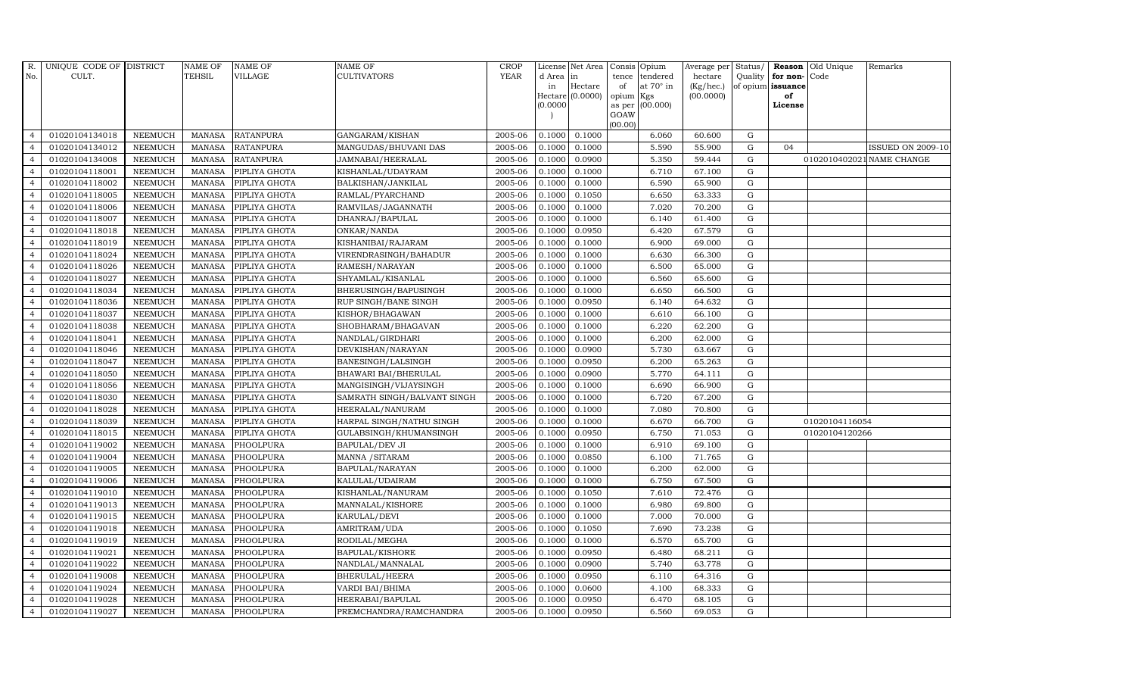| $R_{\cdot}$    | UNIQUE CODE OF DISTRICT |                | <b>NAME OF</b> | <b>NAME OF</b>   | <b>NAME OF</b>              | CROP        |           | License Net Area   Consis   Opium |                 |                 | Average per Status/ |             |                   | <b>Reason</b> Old Unique | Remarks                   |
|----------------|-------------------------|----------------|----------------|------------------|-----------------------------|-------------|-----------|-----------------------------------|-----------------|-----------------|---------------------|-------------|-------------------|--------------------------|---------------------------|
| No.            | CULT.                   |                | <b>TEHSIL</b>  | VILLAGE          | <b>CULTIVATORS</b>          | <b>YEAR</b> | d Area in |                                   |                 | tence tendered  | hectare             | Quality     | for non-          | Code                     |                           |
|                |                         |                |                |                  |                             |             | in        | Hectare                           | of              | at 70° in       | (Kg/hec.)           |             | of opium issuance |                          |                           |
|                |                         |                |                |                  |                             |             |           | Hectare [0.0000]                  | opium Kgs       |                 | (00.0000)           |             | of                |                          |                           |
|                |                         |                |                |                  |                             |             | (0.0000)  |                                   |                 | as per (00.000) |                     |             | License           |                          |                           |
|                |                         |                |                |                  |                             |             |           |                                   | GOAW<br>(00.00) |                 |                     |             |                   |                          |                           |
| $\overline{4}$ | 01020104134018          | <b>NEEMUCH</b> | MANASA         | <b>RATANPURA</b> | GANGARAM/KISHAN             | 2005-06     | 0.1000    | 0.1000                            |                 | 6.060           | 60.600              | G           |                   |                          |                           |
| $\overline{4}$ | 01020104134012          | <b>NEEMUCH</b> | <b>MANASA</b>  | <b>RATANPURA</b> | MANGUDAS/BHUVANI DAS        | 2005-06     | 0.1000    | 0.1000                            |                 | 5.590           | 55.900              | G           | 0 <sub>4</sub>    |                          | <b>ISSUED ON 2009-10</b>  |
| $\overline{4}$ | 01020104134008          | <b>NEEMUCH</b> | <b>MANASA</b>  | <b>RATANPURA</b> | JAMNABAI/HEERALAL           | 2005-06     | 0.1000    | 0.0900                            |                 | 5.350           | 59.444              | G           |                   |                          | 0102010402021 NAME CHANGE |
| $\overline{4}$ | 01020104118001          | <b>NEEMUCH</b> | <b>MANASA</b>  | PIPLIYA GHOTA    | KISHANLAL/UDAYRAM           | 2005-06     | 0.1000    | 0.1000                            |                 | 6.710           | 67.100              | ${\rm G}$   |                   |                          |                           |
| $\overline{4}$ | 01020104118002          | <b>NEEMUCH</b> | <b>MANASA</b>  | PIPLIYA GHOTA    | BALKISHAN/JANKILAL          | 2005-06     | 0.1000    | 0.1000                            |                 | 6.590           | 65.900              | $\mathbf G$ |                   |                          |                           |
| $\overline{4}$ | 01020104118005          | <b>NEEMUCH</b> | MANASA         | PIPLIYA GHOTA    | RAMLAL/PYARCHAND            | 2005-06     | 0.1000    | 0.1050                            |                 | 6.650           | 63.333              | ${\rm G}$   |                   |                          |                           |
| $\overline{4}$ | 01020104118006          | NEEMUCH        | <b>MANASA</b>  | PIPLIYA GHOTA    | RAMVILAS/JAGANNATH          | 2005-06     | 0.1000    | 0.1000                            |                 | 7.020           | 70.200              | ${\rm G}$   |                   |                          |                           |
| $\overline{4}$ | 01020104118007          | <b>NEEMUCH</b> | <b>MANASA</b>  | PIPLIYA GHOTA    | DHANRAJ/BAPULAL             | 2005-06     | 0.1000    | 0.1000                            |                 | 6.140           | 61.400              | $\mathbf G$ |                   |                          |                           |
| $\overline{4}$ | 01020104118018          | <b>NEEMUCH</b> | <b>MANASA</b>  | PIPLIYA GHOTA    | ONKAR/NANDA                 | 2005-06     | 0.1000    | 0.0950                            |                 | 6.420           | 67.579              | ${\rm G}$   |                   |                          |                           |
| $\overline{4}$ | 01020104118019          | <b>NEEMUCH</b> | <b>MANASA</b>  | PIPLIYA GHOTA    | KISHANIBAI/RAJARAM          | 2005-06     | 0.1000    | 0.1000                            |                 | 6.900           | 69.000              | $\mathbf G$ |                   |                          |                           |
| $\overline{4}$ | 01020104118024          | <b>NEEMUCH</b> | <b>MANASA</b>  | PIPLIYA GHOTA    | VIRENDRASINGH/BAHADUR       | 2005-06     | 0.1000    | 0.1000                            |                 | 6.630           | 66.300              | $\mathbf G$ |                   |                          |                           |
| $\overline{4}$ | 01020104118026          | <b>NEEMUCH</b> | <b>MANASA</b>  | PIPLIYA GHOTA    | RAMESH/NARAYAN              | 2005-06     | 0.1000    | 0.1000                            |                 | 6.500           | 65.000              | ${\rm G}$   |                   |                          |                           |
| $\overline{4}$ | 01020104118027          | <b>NEEMUCH</b> | <b>MANASA</b>  | PIPLIYA GHOTA    | SHYAMLAL/KISANLAL           | 2005-06     | 0.1000    | 0.1000                            |                 | 6.560           | 65.600              | G           |                   |                          |                           |
| $\overline{4}$ | 01020104118034          | <b>NEEMUCH</b> | <b>MANASA</b>  | PIPLIYA GHOTA    | BHERUSINGH/BAPUSINGH        | 2005-06     | 0.1000    | 0.1000                            |                 | 6.650           | 66.500              | ${\rm G}$   |                   |                          |                           |
| $\overline{4}$ | 01020104118036          | <b>NEEMUCH</b> | <b>MANASA</b>  | PIPLIYA GHOTA    | RUP SINGH/BANE SINGH        | 2005-06     | 0.1000    | 0.0950                            |                 | 6.140           | 64.632              | $\mathbf G$ |                   |                          |                           |
| $\overline{4}$ | 01020104118037          | <b>NEEMUCH</b> | <b>MANASA</b>  | PIPLIYA GHOTA    | KISHOR/BHAGAWAN             | 2005-06     | 0.1000    | 0.1000                            |                 | 6.610           | 66.100              | ${\rm G}$   |                   |                          |                           |
| $\overline{4}$ | 01020104118038          | NEEMUCH        | <b>MANASA</b>  | PIPLIYA GHOTA    | SHOBHARAM/BHAGAVAN          | 2005-06     | 0.1000    | 0.1000                            |                 | 6.220           | 62.200              | ${\rm G}$   |                   |                          |                           |
| $\overline{4}$ | 01020104118041          | <b>NEEMUCH</b> | <b>MANASA</b>  | PIPLIYA GHOTA    | NANDLAL/GIRDHARI            | 2005-06     | 0.1000    | 0.1000                            |                 | 6.200           | 62.000              | $\mathbf G$ |                   |                          |                           |
| $\overline{4}$ | 01020104118046          | <b>NEEMUCH</b> | <b>MANASA</b>  | PIPLIYA GHOTA    | DEVKISHAN/NARAYAN           | 2005-06     | 0.1000    | 0.0900                            |                 | 5.730           | 63.667              | ${\rm G}$   |                   |                          |                           |
| $\overline{4}$ | 01020104118047          | <b>NEEMUCH</b> | <b>MANASA</b>  | PIPLIYA GHOTA    | BANESINGH/LALSINGH          | 2005-06     | 0.1000    | 0.0950                            |                 | 6.200           | 65.263              | G           |                   |                          |                           |
| $\overline{4}$ | 01020104118050          | <b>NEEMUCH</b> | <b>MANASA</b>  | PIPLIYA GHOTA    | BHAWARI BAI/BHERULAL        | 2005-06     | 0.1000    | 0.0900                            |                 | 5.770           | 64.111              | $\mathbf G$ |                   |                          |                           |
| $\overline{4}$ | 01020104118056          | <b>NEEMUCH</b> | MANASA         | PIPLIYA GHOTA    | MANGISINGH/VIJAYSINGH       | 2005-06     | 0.1000    | 0.1000                            |                 | 6.690           | 66.900              | $\mathbf G$ |                   |                          |                           |
| $\overline{4}$ | 01020104118030          | <b>NEEMUCH</b> | <b>MANASA</b>  | PIPLIYA GHOTA    | SAMRATH SINGH/BALVANT SINGH | 2005-06     | 0.1000    | 0.1000                            |                 | 6.720           | 67.200              | $\mathbf G$ |                   |                          |                           |
| $\overline{4}$ | 01020104118028          | <b>NEEMUCH</b> | <b>MANASA</b>  | PIPLIYA GHOTA    | HEERALAL/NANURAM            | 2005-06     | 0.1000    | 0.1000                            |                 | 7.080           | 70.800              | ${\rm G}$   |                   |                          |                           |
| $\overline{4}$ | 01020104118039          | <b>NEEMUCH</b> | <b>MANASA</b>  | PIPLIYA GHOTA    | HARPAL SINGH/NATHU SINGH    | 2005-06     | 0.1000    | 0.1000                            |                 | 6.670           | 66.700              | $\mathbf G$ |                   | 01020104116054           |                           |
| $\overline{4}$ | 01020104118015          | <b>NEEMUCH</b> | <b>MANASA</b>  | PIPLIYA GHOTA    | GULABSINGH/KHUMANSINGH      | 2005-06     | 0.1000    | 0.0950                            |                 | 6.750           | 71.053              | $\mathbf G$ |                   | 01020104120266           |                           |
| $\overline{4}$ | 01020104119002          | NEEMUCH        | <b>MANASA</b>  | PHOOLPURA        | BAPULAL/DEV JI              | 2005-06     | 0.1000    | 0.1000                            |                 | 6.910           | 69.100              | $\mathbf G$ |                   |                          |                           |
| $\overline{4}$ | 01020104119004          | <b>NEEMUCH</b> | <b>MANASA</b>  | PHOOLPURA        | MANNA / SITARAM             | 2005-06     | 0.1000    | 0.0850                            |                 | 6.100           | 71.765              | $\mathbf G$ |                   |                          |                           |
| $\overline{4}$ | 01020104119005          | <b>NEEMUCH</b> | <b>MANASA</b>  | PHOOLPURA        | BAPULAL/NARAYAN             | 2005-06     | 0.1000    | 0.1000                            |                 | 6.200           | 62.000              | $\mathbf G$ |                   |                          |                           |
| $\overline{4}$ | 01020104119006          | <b>NEEMUCH</b> | <b>MANASA</b>  | PHOOLPURA        | KALULAL/UDAIRAM             | 2005-06     | 0.1000    | 0.1000                            |                 | 6.750           | 67.500              | G           |                   |                          |                           |
| $\overline{4}$ | 01020104119010          | <b>NEEMUCH</b> | <b>MANASA</b>  | PHOOLPURA        | KISHANLAL/NANURAM           | 2005-06     | 0.1000    | 0.1050                            |                 | 7.610           | 72.476              | ${\rm G}$   |                   |                          |                           |
| $\overline{4}$ | 01020104119013          | <b>NEEMUCH</b> | <b>MANASA</b>  | PHOOLPURA        | MANNALAL/KISHORE            | 2005-06     | 0.1000    | 0.1000                            |                 | 6.980           | 69.800              | ${\bf G}$   |                   |                          |                           |
| $\overline{4}$ | 01020104119015          | <b>NEEMUCH</b> | <b>MANASA</b>  | PHOOLPURA        | KARULAL/DEVI                | 2005-06     | 0.1000    | 0.1000                            |                 | 7.000           | 70.000              | $\mathbf G$ |                   |                          |                           |
| $\overline{4}$ | 01020104119018          | <b>NEEMUCH</b> | <b>MANASA</b>  | PHOOLPURA        | AMRITRAM/UDA                | 2005-06     | 0.1000    | 0.1050                            |                 | 7.690           | 73.238              | $\mathbf G$ |                   |                          |                           |
| $\overline{4}$ | 01020104119019          | <b>NEEMUCH</b> | <b>MANASA</b>  | PHOOLPURA        | RODILAL/MEGHA               | 2005-06     | 0.1000    | 0.1000                            |                 | 6.570           | 65.700              | $\mathbf G$ |                   |                          |                           |
| $\overline{4}$ | 01020104119021          | <b>NEEMUCH</b> | <b>MANASA</b>  | PHOOLPURA        | BAPULAL/KISHORE             | 2005-06     | 0.1000    | 0.0950                            |                 | 6.480           | 68.211              | ${\rm G}$   |                   |                          |                           |
| $\overline{4}$ | 01020104119022          | <b>NEEMUCH</b> | <b>MANASA</b>  | PHOOLPURA        | NANDLAL/MANNALAL            | 2005-06     | 0.1000    | 0.0900                            |                 | 5.740           | 63.778              | ${\rm G}$   |                   |                          |                           |
| $\overline{4}$ | 01020104119008          | <b>NEEMUCH</b> | <b>MANASA</b>  | PHOOLPURA        | BHERULAL/HEERA              | 2005-06     | 0.1000    | 0.0950                            |                 | 6.110           | 64.316              | G           |                   |                          |                           |
| $\overline{4}$ | 01020104119024          | <b>NEEMUCH</b> | <b>MANASA</b>  | PHOOLPURA        | VARDI BAI/BHIMA             | 2005-06     | 0.1000    | 0.0600                            |                 | 4.100           | 68.333              | $\mathbf G$ |                   |                          |                           |
| $\overline{4}$ | 01020104119028          | <b>NEEMUCH</b> | MANASA         | PHOOLPURA        | HEERABAI/BAPULAL            | 2005-06     | 0.1000    | 0.0950                            |                 | 6.470           | 68.105              | G           |                   |                          |                           |
| $\overline{4}$ | 01020104119027          | <b>NEEMUCH</b> |                | MANASA PHOOLPURA | PREMCHANDRA/RAMCHANDRA      | 2005-06     | 0.1000    | 0.0950                            |                 | 6.560           | 69.053              | G           |                   |                          |                           |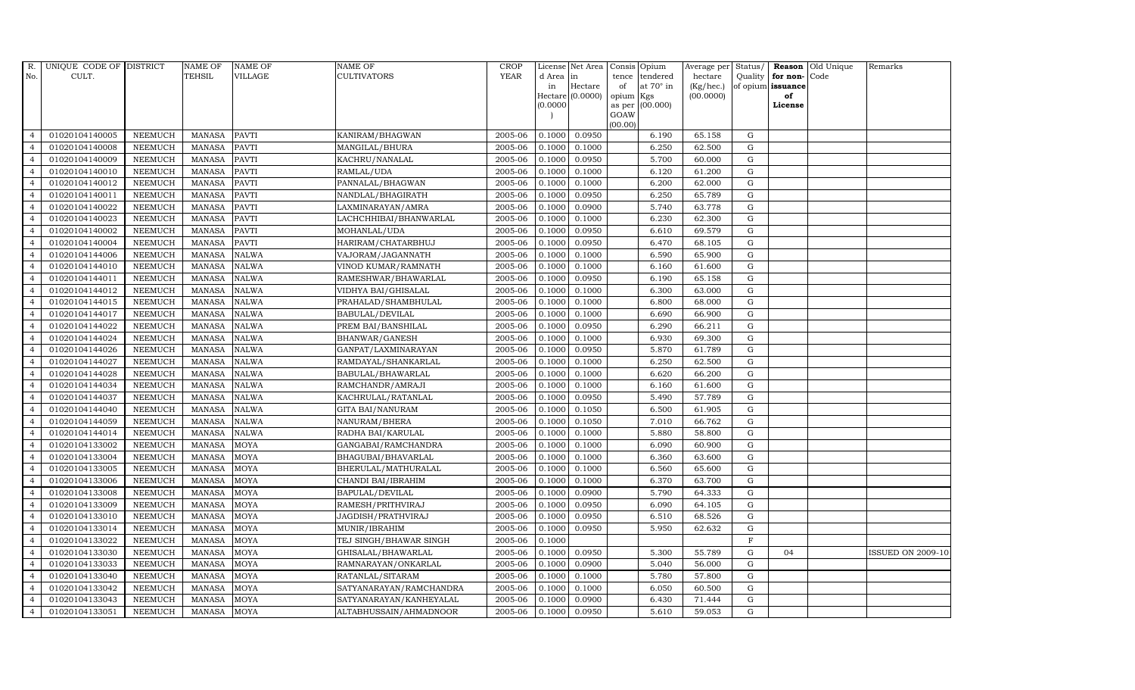| R.             | UNIQUE CODE OF DISTRICT |                | <b>NAME OF</b> | <b>NAME OF</b> | <b>NAME OF</b>          | CROP        |           | License Net Area            |             | Consis Opium            | Average per            | Status/      |                         | <b>Reason</b> Old Unique | Remarks                  |
|----------------|-------------------------|----------------|----------------|----------------|-------------------------|-------------|-----------|-----------------------------|-------------|-------------------------|------------------------|--------------|-------------------------|--------------------------|--------------------------|
| No.            | CULT.                   |                | <b>TEHSIL</b>  | <b>VILLAGE</b> | CULTIVATORS             | <b>YEAR</b> | d Area in |                             | tence       | tendered                | hectare                | Quality      | for non-                | Code                     |                          |
|                |                         |                |                |                |                         |             | in        | Hectare<br>Hectare (0.0000) | of<br>opium | at $70^\circ$ in<br>Kgs | (Kg/hec.)<br>(00.0000) |              | of opium issuance<br>of |                          |                          |
|                |                         |                |                |                |                         |             | (0.0000)  |                             | as per      | (00.000)                |                        |              | License                 |                          |                          |
|                |                         |                |                |                |                         |             |           |                             | GOAW        |                         |                        |              |                         |                          |                          |
|                |                         |                |                |                |                         |             |           |                             | (00.00)     |                         |                        |              |                         |                          |                          |
| $\overline{4}$ | 01020104140005          | <b>NEEMUCH</b> | <b>MANASA</b>  | <b>PAVTI</b>   | KANIRAM/BHAGWAN         | 2005-06     | 0.1000    | 0.0950                      |             | 6.190                   | 65.158                 | G            |                         |                          |                          |
| $\overline{4}$ | 01020104140008          | <b>NEEMUCH</b> | <b>MANASA</b>  | <b>PAVTI</b>   | MANGILAL/BHURA          | 2005-06     | 0.1000    | 0.1000                      |             | 6.250                   | 62.500                 | G            |                         |                          |                          |
| $\overline{4}$ | 01020104140009          | <b>NEEMUCH</b> | <b>MANASA</b>  | <b>PAVTI</b>   | KACHRU/NANALAL          | 2005-06     | 0.1000    | 0.0950                      |             | 5.700                   | 60.000                 | G            |                         |                          |                          |
| $\overline{4}$ | 01020104140010          | <b>NEEMUCH</b> | <b>MANASA</b>  | <b>PAVTI</b>   | RAMLAL/UDA              | 2005-06     | 0.1000    | 0.1000                      |             | 6.120                   | 61.200                 | G            |                         |                          |                          |
| $\overline{4}$ | 01020104140012          | <b>NEEMUCH</b> | <b>MANASA</b>  | <b>PAVTI</b>   | PANNALAL/BHAGWAN        | 2005-06     | 0.1000    | 0.1000                      |             | 6.200                   | 62.000                 | G            |                         |                          |                          |
| $\overline{4}$ | 01020104140011          | <b>NEEMUCH</b> | <b>MANASA</b>  | <b>PAVTI</b>   | NANDLAL/BHAGIRATH       | 2005-06     | 0.1000    | 0.0950                      |             | 6.250                   | 65.789                 | G            |                         |                          |                          |
| $\overline{4}$ | 01020104140022          | <b>NEEMUCH</b> | <b>MANASA</b>  | <b>PAVTI</b>   | LAXMINARAYAN/AMRA       | 2005-06     | 0.1000    | 0.0900                      |             | 5.740                   | 63.778                 | G            |                         |                          |                          |
| $\overline{4}$ | 01020104140023          | <b>NEEMUCH</b> | <b>MANASA</b>  | <b>PAVTI</b>   | LACHCHHIBAI/BHANWARLAL  | 2005-06     | 0.1000    | 0.1000                      |             | 6.230                   | 62.300                 | G            |                         |                          |                          |
| $\overline{4}$ | 01020104140002          | <b>NEEMUCH</b> | <b>MANASA</b>  | <b>PAVTI</b>   | MOHANLAL/UDA            | 2005-06     | 0.1000    | 0.0950                      |             | 6.610                   | 69.579                 | G            |                         |                          |                          |
|                | 01020104140004          | <b>NEEMUCH</b> | <b>MANASA</b>  | <b>PAVTI</b>   | HARIRAM/CHATARBHUJ      | 2005-06     | 0.1000    | 0.0950                      |             | 6.470                   | 68.105                 | G            |                         |                          |                          |
| $\overline{4}$ | 01020104144006          | <b>NEEMUCH</b> | <b>MANASA</b>  | <b>NALWA</b>   | VAJORAM/JAGANNATH       | 2005-06     | 0.1000    | 0.1000                      |             | 6.590                   | 65.900                 | G            |                         |                          |                          |
| $\overline{4}$ | 01020104144010          | <b>NEEMUCH</b> | <b>MANASA</b>  | <b>NALWA</b>   | VINOD KUMAR/RAMNATH     | 2005-06     | 0.1000    | 0.1000                      |             | 6.160                   | 61.600                 | G            |                         |                          |                          |
| $\overline{4}$ | 01020104144011          | <b>NEEMUCH</b> | <b>MANASA</b>  | <b>NALWA</b>   | RAMESHWAR/BHAWARLAL     | 2005-06     | 0.1000    | 0.0950                      |             | 6.190                   | 65.158                 | G            |                         |                          |                          |
| $\overline{4}$ | 01020104144012          | <b>NEEMUCH</b> | <b>MANASA</b>  | <b>NALWA</b>   | VIDHYA BAI/GHISALAL     | 2005-06     | 0.1000    | 0.1000                      |             | 6.300                   | 63.000                 | $\mathbf G$  |                         |                          |                          |
| $\overline{4}$ | 01020104144015          | <b>NEEMUCH</b> | <b>MANASA</b>  | <b>NALWA</b>   | PRAHALAD/SHAMBHULAL     | 2005-06     | 0.1000    | 0.1000                      |             | 6.800                   | 68.000                 | ${\rm G}$    |                         |                          |                          |
| $\overline{4}$ | 01020104144017          | <b>NEEMUCH</b> | <b>MANASA</b>  | <b>NALWA</b>   | BABULAL/DEVILAL         | 2005-06     | 0.1000    | 0.1000                      |             | 6.690                   | 66.900                 | G            |                         |                          |                          |
| $\overline{4}$ | 01020104144022          | <b>NEEMUCH</b> | <b>MANASA</b>  | <b>NALWA</b>   | PREM BAI/BANSHILAL      | 2005-06     | 0.1000    | 0.0950                      |             | 6.290                   | 66.211                 | G            |                         |                          |                          |
| $\overline{4}$ | 01020104144024          | <b>NEEMUCH</b> | <b>MANASA</b>  | <b>NALWA</b>   | BHANWAR/GANESH          | 2005-06     | 0.1000    | 0.1000                      |             | 6.930                   | 69.300                 | G            |                         |                          |                          |
| $\overline{4}$ | 01020104144026          | <b>NEEMUCH</b> | <b>MANASA</b>  | <b>NALWA</b>   | GANPAT/LAXMINARAYAN     | 2005-06     | 0.1000    | 0.0950                      |             | 5.870                   | 61.789                 | G            |                         |                          |                          |
|                | 01020104144027          | <b>NEEMUCH</b> | <b>MANASA</b>  | <b>NALWA</b>   | RAMDAYAL/SHANKARLAL     | 2005-06     | 0.1000    | 0.1000                      |             | 6.250                   | 62.500                 | G            |                         |                          |                          |
| $\overline{4}$ | 01020104144028          | <b>NEEMUCH</b> | <b>MANASA</b>  | <b>NALWA</b>   | BABULAL/BHAWARLAL       | 2005-06     | 0.1000    | 0.1000                      |             | 6.620                   | 66.200                 | G            |                         |                          |                          |
| $\overline{4}$ | 01020104144034          | <b>NEEMUCH</b> | <b>MANASA</b>  | <b>NALWA</b>   | RAMCHANDR/AMRAJI        | 2005-06     | 0.1000    | 0.1000                      |             | 6.160                   | 61.600                 | G            |                         |                          |                          |
| $\overline{4}$ | 01020104144037          | <b>NEEMUCH</b> | <b>MANASA</b>  | <b>NALWA</b>   | KACHRULAL/RATANLAL      | 2005-06     | 0.1000    | 0.0950                      |             | 5.490                   | 57.789                 | G            |                         |                          |                          |
| $\overline{4}$ | 01020104144040          | <b>NEEMUCH</b> | <b>MANASA</b>  | <b>NALWA</b>   | <b>GITA BAI/NANURAM</b> | 2005-06     | 0.1000    | 0.1050                      |             | 6.500                   | 61.905                 | G            |                         |                          |                          |
| $\overline{4}$ | 01020104144059          | <b>NEEMUCH</b> | <b>MANASA</b>  | <b>NALWA</b>   | NANURAM/BHERA           | 2005-06     | 0.1000    | 0.1050                      |             | 7.010                   | 66.762                 | G            |                         |                          |                          |
| $\overline{4}$ | 01020104144014          | <b>NEEMUCH</b> | <b>MANASA</b>  | <b>NALWA</b>   | RADHA BAI/KARULAL       | 2005-06     | 0.1000    | 0.1000                      |             | 5.880                   | 58.800                 | G            |                         |                          |                          |
| $\overline{4}$ | 01020104133002          | <b>NEEMUCH</b> | <b>MANASA</b>  | <b>MOYA</b>    | GANGABAI/RAMCHANDRA     | 2005-06     | 0.1000    | 0.1000                      |             | 6.090                   | 60.900                 | G            |                         |                          |                          |
| $\overline{4}$ | 01020104133004          | <b>NEEMUCH</b> | <b>MANASA</b>  | <b>MOYA</b>    | BHAGUBAI/BHAVARLAL      | 2005-06     | 0.1000    | 0.1000                      |             | 6.360                   | 63.600                 | G            |                         |                          |                          |
| $\overline{4}$ | 01020104133005          | <b>NEEMUCH</b> | <b>MANASA</b>  | <b>MOYA</b>    | BHERULAL/MATHURALAL     | 2005-06     | 0.1000    | 0.1000                      |             | 6.560                   | 65.600                 | $\mathbf G$  |                         |                          |                          |
| $\overline{4}$ | 01020104133006          | <b>NEEMUCH</b> | <b>MANASA</b>  | <b>MOYA</b>    | CHANDI BAI/IBRAHIM      | 2005-06     | 0.1000    | 0.1000                      |             | 6.370                   | 63.700                 | G            |                         |                          |                          |
| $\overline{4}$ | 01020104133008          | <b>NEEMUCH</b> | <b>MANASA</b>  | MOYA           | BAPULAL/DEVILAL         | 2005-06     | 0.1000    | 0.0900                      |             | 5.790                   | 64.333                 | G            |                         |                          |                          |
| $\overline{4}$ | 01020104133009          | <b>NEEMUCH</b> | <b>MANASA</b>  | <b>MOYA</b>    | RAMESH/PRITHVIRAJ       | 2005-06     | 0.1000    | 0.0950                      |             | 6.090                   | 64.105                 | G            |                         |                          |                          |
| $\overline{4}$ | 01020104133010          | <b>NEEMUCH</b> | <b>MANASA</b>  | <b>MOYA</b>    | JAGDISH/PRATHVIRAJ      | 2005-06     | 0.1000    | 0.0950                      |             | 6.510                   | 68.526                 | G            |                         |                          |                          |
| $\overline{4}$ | 01020104133014          | <b>NEEMUCH</b> | <b>MANASA</b>  | <b>MOYA</b>    | MUNIR/IBRAHIM           | 2005-06     | 0.1000    | 0.0950                      |             | 5.950                   | 62.632                 | G            |                         |                          |                          |
| $\overline{4}$ | 01020104133022          | <b>NEEMUCH</b> | <b>MANASA</b>  | <b>MOYA</b>    | TEJ SINGH/BHAWAR SINGH  | 2005-06     | 0.1000    |                             |             |                         |                        | $\mathbf{F}$ |                         |                          |                          |
| $\overline{4}$ | 01020104133030          | <b>NEEMUCH</b> | <b>MANASA</b>  | <b>MOYA</b>    | GHISALAL/BHAWARLAL      | 2005-06     | 0.1000    | 0.0950                      |             | 5.300                   | 55.789                 | G            | 04                      |                          | <b>ISSUED ON 2009-10</b> |
| $\overline{4}$ | 01020104133033          | <b>NEEMUCH</b> | <b>MANASA</b>  | <b>MOYA</b>    | RAMNARAYAN/ONKARLAL     | 2005-06     | 0.1000    | 0.0900                      |             | 5.040                   | 56.000                 | G            |                         |                          |                          |
| $\overline{4}$ | 01020104133040          | <b>NEEMUCH</b> | <b>MANASA</b>  | <b>MOYA</b>    | RATANLAL/SITARAM        | 2005-06     | 0.1000    | 0.1000                      |             | 5.780                   | 57.800                 | G            |                         |                          |                          |
| $\overline{4}$ | 01020104133042          | <b>NEEMUCH</b> | <b>MANASA</b>  | <b>MOYA</b>    | SATYANARAYAN/RAMCHANDRA | 2005-06     | 0.1000    | 0.1000                      |             | 6.050                   | 60.500                 | G            |                         |                          |                          |
| $\overline{4}$ | 01020104133043          | <b>NEEMUCH</b> | <b>MANASA</b>  | <b>MOYA</b>    | SATYANARAYAN/KANHEYALAL | 2005-06     | 0.1000    | 0.0900                      |             | 6.430                   | 71.444                 | $\mathbf G$  |                         |                          |                          |
| $\overline{4}$ | 01020104133051          | <b>NEEMUCH</b> | MANASA         | <b>MOYA</b>    | ALTABHUSSAIN/AHMADNOOR  | 2005-06     | 0.1000    | 0.0950                      |             | 5.610                   | 59.053                 | G            |                         |                          |                          |
|                |                         |                |                |                |                         |             |           |                             |             |                         |                        |              |                         |                          |                          |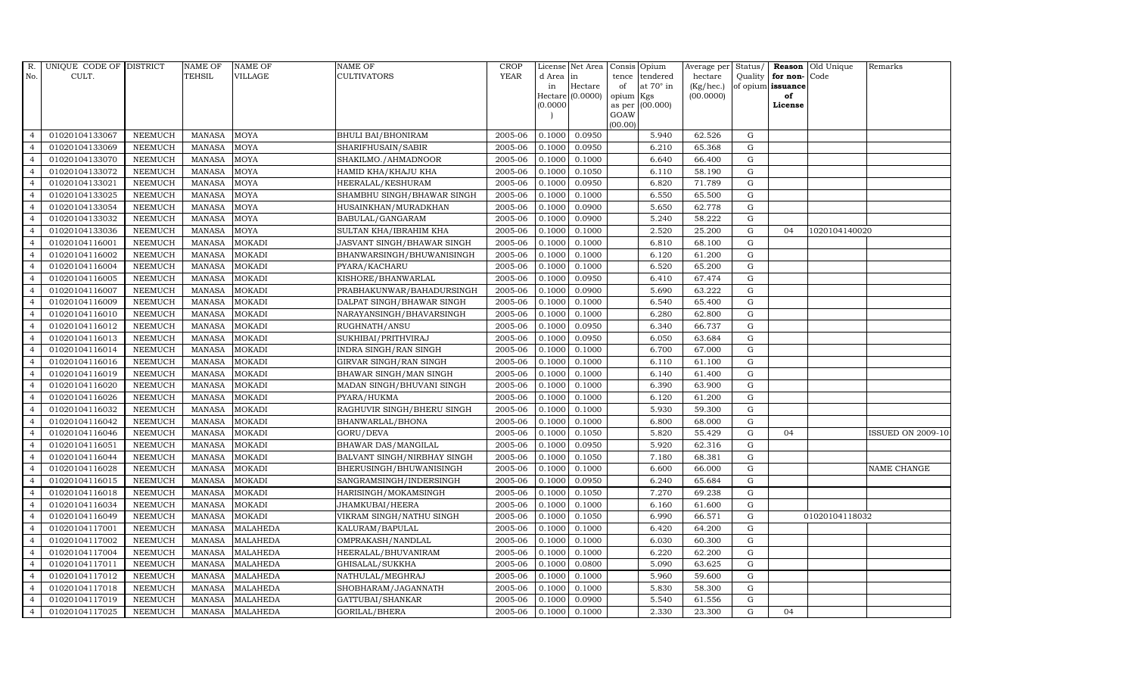| R.             | UNIQUE CODE OF DISTRICT |                | <b>NAME OF</b> | <b>NAME OF</b>  | NAME OF                     | <b>CROP</b> |           | License Net Area   | Consis          | Opium            | Average per     | Status/     |                   | Reason Old Unique | Remarks                  |
|----------------|-------------------------|----------------|----------------|-----------------|-----------------------------|-------------|-----------|--------------------|-----------------|------------------|-----------------|-------------|-------------------|-------------------|--------------------------|
| No.            | CULT.                   |                | <b>TEHSIL</b>  | VILLAGE         | CULTIVATORS                 | <b>YEAR</b> | d Area in |                    | tence           | tendered         | hectare         | Quality     | for non-Code      |                   |                          |
|                |                         |                |                |                 |                             |             | in        | Hectare            | of              | at $70^\circ$ in | $(Kg/$ hec. $)$ |             | of opium issuance |                   |                          |
|                |                         |                |                |                 |                             |             | (0.0000)  | $Hectare (0.0000)$ | opium<br>as per | Kgs<br>(00.000)  | (00.0000)       |             | of<br>License     |                   |                          |
|                |                         |                |                |                 |                             |             |           |                    | GOAW            |                  |                 |             |                   |                   |                          |
|                |                         |                |                |                 |                             |             |           |                    | (00.00)         |                  |                 |             |                   |                   |                          |
| 4              | 01020104133067          | <b>NEEMUCH</b> | <b>MANASA</b>  | <b>MOYA</b>     | <b>BHULI BAI/BHONIRAM</b>   | 2005-06     | 0.1000    | 0.0950             |                 | 5.940            | 62.526          | G           |                   |                   |                          |
| $\overline{4}$ | 01020104133069          | <b>NEEMUCH</b> | <b>MANASA</b>  | <b>MOYA</b>     | SHARIFHUSAIN/SABIR          | 2005-06     | 0.1000    | 0.0950             |                 | 6.210            | 65.368          | ${\rm G}$   |                   |                   |                          |
| $\overline{4}$ | 01020104133070          | <b>NEEMUCH</b> | <b>MANASA</b>  | <b>MOYA</b>     | SHAKILMO./AHMADNOOR         | 2005-06     | 0.1000    | 0.1000             |                 | 6.640            | 66.400          | $\mathbf G$ |                   |                   |                          |
| $\overline{4}$ | 01020104133072          | <b>NEEMUCH</b> | <b>MANASA</b>  | <b>MOYA</b>     | HAMID KHA/KHAJU KHA         | 2005-06     | 0.1000    | 0.1050             |                 | 6.110            | 58.190          | $\mathbf G$ |                   |                   |                          |
| $\overline{4}$ | 01020104133021          | <b>NEEMUCH</b> | <b>MANASA</b>  | MOYA            | HEERALAL/KESHURAM           | 2005-06     | 0.1000    | 0.0950             |                 | 6.820            | 71.789          | $\mathbf G$ |                   |                   |                          |
| $\overline{4}$ | 01020104133025          | <b>NEEMUCH</b> | <b>MANASA</b>  | MOYA            | SHAMBHU SINGH/BHAWAR SINGH  | 2005-06     | 0.1000    | 0.1000             |                 | 6.550            | 65.500          | G           |                   |                   |                          |
| $\overline{4}$ | 01020104133054          | <b>NEEMUCH</b> | <b>MANASA</b>  | <b>MOYA</b>     | HUSAINKHAN/MURADKHAN        | 2005-06     | 0.1000    | 0.0900             |                 | 5.650            | 62.778          | G           |                   |                   |                          |
| $\overline{4}$ | 01020104133032          | <b>NEEMUCH</b> | <b>MANASA</b>  | <b>MOYA</b>     | BABULAL/GANGARAM            | 2005-06     | 0.1000    | 0.0900             |                 | 5.240            | 58.222          | G           |                   |                   |                          |
| $\overline{4}$ | 01020104133036          | <b>NEEMUCH</b> | <b>MANASA</b>  | <b>MOYA</b>     | SULTAN KHA/IBRAHIM KHA      | 2005-06     | 0.1000    | 0.1000             |                 | 2.520            | 25.200          | $\mathbf G$ | 04                | 1020104140020     |                          |
| $\overline{4}$ | 01020104116001          | <b>NEEMUCH</b> | <b>MANASA</b>  | <b>MOKADI</b>   | JASVANT SINGH/BHAWAR SINGH  | 2005-06     | 0.1000    | 0.1000             |                 | 6.810            | 68.100          | $\mathbf G$ |                   |                   |                          |
| $\overline{4}$ | 01020104116002          | <b>NEEMUCH</b> | <b>MANASA</b>  | <b>MOKADI</b>   | BHANWARSINGH/BHUWANISINGH   | 2005-06     | 0.1000    | 0.1000             |                 | 6.120            | 61.200          | G           |                   |                   |                          |
| $\overline{4}$ | 01020104116004          | <b>NEEMUCH</b> | <b>MANASA</b>  | <b>MOKADI</b>   | PYARA/KACHARU               | 2005-06     | 0.1000    | 0.1000             |                 | 6.520            | 65.200          | ${\rm G}$   |                   |                   |                          |
| $\overline{4}$ | 01020104116005          | <b>NEEMUCH</b> | <b>MANASA</b>  | <b>MOKADI</b>   | KISHORE/BHANWARLAL          | 2005-06     | 0.1000    | 0.0950             |                 | 6.410            | 67.474          | G           |                   |                   |                          |
| $\overline{4}$ | 01020104116007          | <b>NEEMUCH</b> | <b>MANASA</b>  | <b>MOKADI</b>   | PRABHAKUNWAR/BAHADURSINGH   | 2005-06     | 0.1000    | 0.0900             |                 | 5.690            | 63.222          | $\mathbf G$ |                   |                   |                          |
| $\overline{4}$ | 01020104116009          | <b>NEEMUCH</b> | <b>MANASA</b>  | <b>MOKADI</b>   | DALPAT SINGH/BHAWAR SINGH   | 2005-06     | 0.1000    | 0.1000             |                 | 6.540            | 65.400          | ${\rm G}$   |                   |                   |                          |
| $\overline{4}$ | 01020104116010          | <b>NEEMUCH</b> | <b>MANASA</b>  | <b>MOKADI</b>   | NARAYANSINGH/BHAVARSINGH    | 2005-06     | 0.1000    | 0.1000             |                 | 6.280            | 62.800          | G           |                   |                   |                          |
| $\overline{4}$ | 01020104116012          | <b>NEEMUCH</b> | <b>MANASA</b>  | <b>MOKADI</b>   | RUGHNATH/ANSU               | 2005-06     | 0.1000    | 0.0950             |                 | 6.340            | 66.737          | G           |                   |                   |                          |
| $\overline{4}$ | 01020104116013          | <b>NEEMUCH</b> | <b>MANASA</b>  | <b>MOKADI</b>   | SUKHIBAI/PRITHVIRAJ         | 2005-06     | 0.1000    | 0.0950             |                 | 6.050            | 63.684          | G           |                   |                   |                          |
| $\overline{4}$ | 01020104116014          | <b>NEEMUCH</b> | <b>MANASA</b>  | <b>MOKADI</b>   | INDRA SINGH/RAN SINGH       | 2005-06     | 0.1000    | 0.1000             |                 | 6.700            | 67.000          | G           |                   |                   |                          |
| $\overline{4}$ | 01020104116016          | <b>NEEMUCH</b> | <b>MANASA</b>  | <b>MOKADI</b>   | GIRVAR SINGH/RAN SINGH      | 2005-06     | 0.1000    | 0.1000             |                 | 6.110            | 61.100          | $\mathbf G$ |                   |                   |                          |
| $\overline{4}$ | 01020104116019          | <b>NEEMUCH</b> | <b>MANASA</b>  | <b>MOKADI</b>   | BHAWAR SINGH/MAN SINGH      | 2005-06     | 0.1000    | 0.1000             |                 | 6.140            | 61.400          | G           |                   |                   |                          |
| $\overline{4}$ | 01020104116020          | <b>NEEMUCH</b> | <b>MANASA</b>  | <b>MOKADI</b>   | MADAN SINGH/BHUVANI SINGH   | 2005-06     | 0.1000    | 0.1000             |                 | 6.390            | 63.900          | G           |                   |                   |                          |
| $\overline{4}$ | 01020104116026          | <b>NEEMUCH</b> | <b>MANASA</b>  | <b>MOKADI</b>   | PYARA/HUKMA                 | 2005-06     | 0.1000    | 0.1000             |                 | 6.120            | 61.200          | $\mathbf G$ |                   |                   |                          |
| $\overline{4}$ | 01020104116032          | <b>NEEMUCH</b> | <b>MANASA</b>  | <b>MOKADI</b>   | RAGHUVIR SINGH/BHERU SINGH  | 2005-06     | 0.1000    | 0.1000             |                 | 5.930            | 59.300          | $\mathbf G$ |                   |                   |                          |
| $\overline{4}$ | 01020104116042          | <b>NEEMUCH</b> | <b>MANASA</b>  | <b>MOKADI</b>   | BHANWARLAL/BHONA            | 2005-06     | 0.1000    | 0.1000             |                 | 6.800            | 68.000          | $\mathbf G$ |                   |                   |                          |
| $\overline{4}$ | 01020104116046          | <b>NEEMUCH</b> | <b>MANASA</b>  | <b>MOKADI</b>   | GORU/DEVA                   | 2005-06     | 0.1000    | 0.1050             |                 | 5.820            | 55.429          | G           | 04                |                   | <b>ISSUED ON 2009-10</b> |
| $\overline{4}$ | 01020104116051          | <b>NEEMUCH</b> | <b>MANASA</b>  | <b>MOKADI</b>   | BHAWAR DAS/MANGILAL         | 2005-06     | 0.1000    | 0.0950             |                 | 5.920            | 62.316          | ${\rm G}$   |                   |                   |                          |
| $\overline{4}$ | 01020104116044          | <b>NEEMUCH</b> | <b>MANASA</b>  | <b>MOKADI</b>   | BALVANT SINGH/NIRBHAY SINGH | 2005-06     | 0.1000    | 0.1050             |                 | 7.180            | 68.381          | ${\rm G}$   |                   |                   |                          |
| $\overline{4}$ | 01020104116028          | <b>NEEMUCH</b> | <b>MANASA</b>  | <b>MOKADI</b>   | BHERUSINGH/BHUWANISINGH     | 2005-06     | 0.1000    | 0.1000             |                 | 6.600            | 66.000          | $\mathbf G$ |                   |                   | <b>NAME CHANGE</b>       |
| $\overline{4}$ | 01020104116015          | <b>NEEMUCH</b> | <b>MANASA</b>  | <b>MOKADI</b>   | SANGRAMSINGH/INDERSINGH     | 2005-06     | 0.1000    | 0.0950             |                 | 6.240            | 65.684          | $\mathbf G$ |                   |                   |                          |
| $\overline{4}$ | 01020104116018          | <b>NEEMUCH</b> | <b>MANASA</b>  | <b>MOKADI</b>   | HARISINGH/MOKAMSINGH        | 2005-06     | 0.1000    | 0.1050             |                 | 7.270            | 69.238          | G           |                   |                   |                          |
| $\overline{4}$ | 01020104116034          | <b>NEEMUCH</b> | <b>MANASA</b>  | <b>MOKADI</b>   | JHAMKUBAI/HEERA             | 2005-06     | 0.1000    | 0.1000             |                 | 6.160            | 61.600          | ${\rm G}$   |                   |                   |                          |
| $\overline{4}$ | 01020104116049          | <b>NEEMUCH</b> | <b>MANASA</b>  | <b>MOKADI</b>   | VIKRAM SINGH/NATHU SINGH    | 2005-06     | 0.1000    | 0.1050             |                 | 6.990            | 66.571          | G           |                   | 01020104118032    |                          |
| $\overline{4}$ | 01020104117001          | <b>NEEMUCH</b> | <b>MANASA</b>  | <b>MALAHEDA</b> | KALURAM/BAPULAL             | 2005-06     | 0.1000    | 0.1000             |                 | 6.420            | 64.200          | $\mathbf G$ |                   |                   |                          |
| $\overline{4}$ | 01020104117002          | <b>NEEMUCH</b> | <b>MANASA</b>  | <b>MALAHEDA</b> | OMPRAKASH/NANDLAL           | 2005-06     | 0.1000    | 0.1000             |                 | 6.030            | 60.300          | $\mathbf G$ |                   |                   |                          |
| $\overline{4}$ | 01020104117004          | <b>NEEMUCH</b> | <b>MANASA</b>  | MALAHEDA        | HEERALAL/BHUVANIRAM         | 2005-06     | 0.1000    | 0.1000             |                 | 6.220            | 62.200          | G           |                   |                   |                          |
| $\overline{4}$ | 01020104117011          | <b>NEEMUCH</b> | <b>MANASA</b>  | <b>MALAHEDA</b> | GHISALAL/SUKKHA             | 2005-06     | 0.1000    | 0.0800             |                 | 5.090            | 63.625          | G           |                   |                   |                          |
| $\overline{4}$ | 01020104117012          | <b>NEEMUCH</b> | <b>MANASA</b>  | <b>MALAHEDA</b> | NATHULAL/MEGHRAJ            | 2005-06     | 0.1000    | 0.1000             |                 | 5.960            | 59.600          | G           |                   |                   |                          |
| $\overline{4}$ | 01020104117018          | <b>NEEMUCH</b> | <b>MANASA</b>  | <b>MALAHEDA</b> | SHOBHARAM/JAGANNATH         | 2005-06     | 0.1000    | 0.1000             |                 | 5.830            | 58.300          | $\mathbf G$ |                   |                   |                          |
| $\overline{4}$ | 01020104117019          | <b>NEEMUCH</b> | <b>MANASA</b>  | <b>MALAHEDA</b> | GATTUBAI/SHANKAR            | 2005-06     | 0.1000    | 0.0900             |                 | 5.540            | 61.556          | G           |                   |                   |                          |
| $\overline{4}$ | 01020104117025          | <b>NEEMUCH</b> | MANASA         | <b>MALAHEDA</b> | GORILAL/BHERA               | 2005-06     | 0.1000    | 0.1000             |                 | 2.330            | 23.300          | G           | 04                |                   |                          |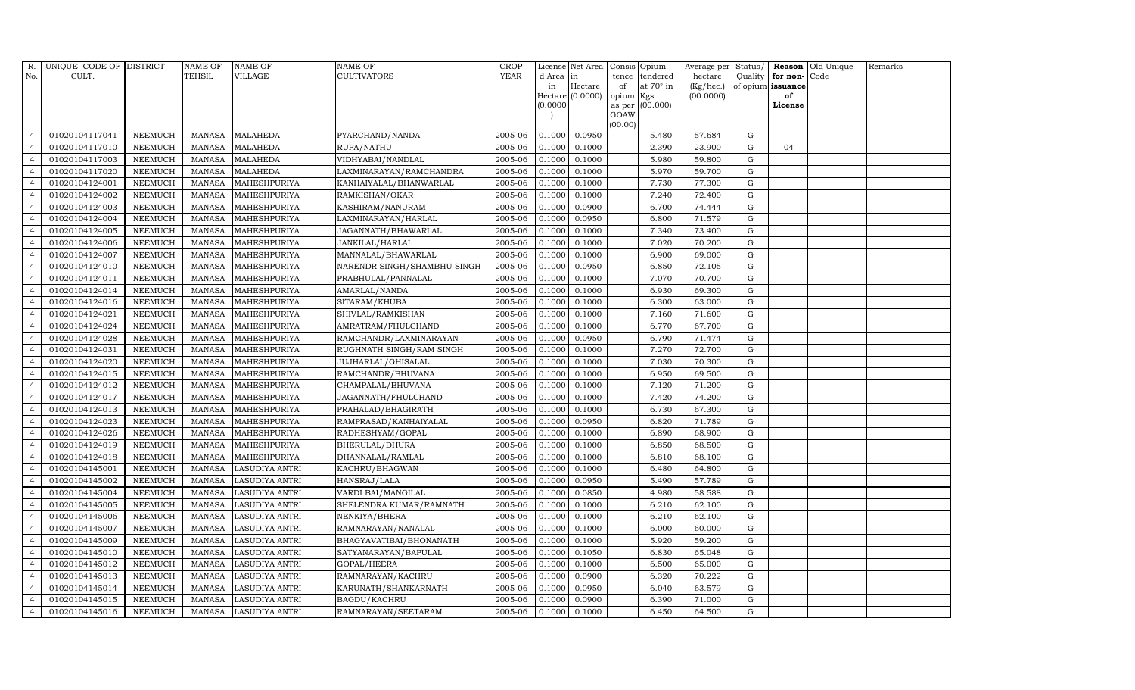| R.             | UNIQUE CODE OF DISTRICT |                | <b>NAME OF</b> | <b>NAME OF</b>        | <b>NAME OF</b>              | <b>CROP</b> |           | License Net Area   | Consis         | Opium            | Average per     | Status/     |                   | <b>Reason</b> Old Unique | Remarks |
|----------------|-------------------------|----------------|----------------|-----------------------|-----------------------------|-------------|-----------|--------------------|----------------|------------------|-----------------|-------------|-------------------|--------------------------|---------|
| No.            | CULT.                   |                | TEHSIL         | VILLAGE               | CULTIVATORS                 | <b>YEAR</b> | d Area in |                    | tence          | tendered         | hectare         | Quality     | for non-Code      |                          |         |
|                |                         |                |                |                       |                             |             | in        | Hectare            | of             | at $70^\circ$ in | $(Kg/$ hec. $)$ |             | of opium issuance |                          |         |
|                |                         |                |                |                       |                             |             |           | $Hectare (0.0000)$ | opium          | Kgs              | (00.0000)       |             | of                |                          |         |
|                |                         |                |                |                       |                             |             | (0.0000)  |                    | as per<br>GOAW | (00.000)         |                 |             | License           |                          |         |
|                |                         |                |                |                       |                             |             |           |                    | (00.00)        |                  |                 |             |                   |                          |         |
| $\overline{4}$ | 01020104117041          | <b>NEEMUCH</b> | <b>MANASA</b>  | <b>MALAHEDA</b>       | PYARCHAND/NANDA             | 2005-06     | 0.1000    | 0.0950             |                | 5.480            | 57.684          | G           |                   |                          |         |
| $\overline{4}$ | 01020104117010          | <b>NEEMUCH</b> | <b>MANASA</b>  | <b>MALAHEDA</b>       | RUPA/NATHU                  | 2005-06     | 0.1000    | 0.1000             |                | 2.390            | 23.900          | ${\rm G}$   | 04                |                          |         |
| $\overline{4}$ | 01020104117003          | <b>NEEMUCH</b> | <b>MANASA</b>  | <b>MALAHEDA</b>       | VIDHYABAI/NANDLAL           | 2005-06     | 0.1000    | 0.1000             |                | 5.980            | 59.800          | $\mathbf G$ |                   |                          |         |
| $\overline{4}$ | 01020104117020          | <b>NEEMUCH</b> | <b>MANASA</b>  | <b>MALAHEDA</b>       | LAXMINARAYAN/RAMCHANDRA     | 2005-06     | 0.1000    | 0.1000             |                | 5.970            | 59.700          | $\mathbf G$ |                   |                          |         |
| $\overline{4}$ | 01020104124001          | <b>NEEMUCH</b> | <b>MANASA</b>  | MAHESHPURIYA          | KANHAIYALAL/BHANWARLAL      | 2005-06     | 0.1000    | 0.1000             |                | 7.730            | 77.300          | $\mathbf G$ |                   |                          |         |
| $\overline{4}$ | 01020104124002          | <b>NEEMUCH</b> | <b>MANASA</b>  | MAHESHPURIYA          | RAMKISHAN/OKAR              | 2005-06     | 0.1000    | 0.1000             |                | 7.240            | 72.400          | G           |                   |                          |         |
| $\overline{4}$ | 01020104124003          | <b>NEEMUCH</b> | <b>MANASA</b>  | MAHESHPURIYA          | KASHIRAM/NANURAM            | 2005-06     | 0.1000    | 0.0900             |                | 6.700            | 74.444          | ${\rm G}$   |                   |                          |         |
| $\overline{4}$ | 01020104124004          | <b>NEEMUCH</b> | <b>MANASA</b>  | MAHESHPURIYA          | LAXMINARAYAN/HARLAL         | 2005-06     | 0.1000    | 0.0950             |                | 6.800            | 71.579          | G           |                   |                          |         |
| $\overline{4}$ | 01020104124005          | <b>NEEMUCH</b> | <b>MANASA</b>  | MAHESHPURIYA          | JAGANNATH/BHAWARLAL         | 2005-06     | 0.1000    | 0.1000             |                | 7.340            | 73.400          | $\mathbf G$ |                   |                          |         |
| $\overline{4}$ | 01020104124006          | <b>NEEMUCH</b> | <b>MANASA</b>  | MAHESHPURIYA          | JANKILAL/HARLAL             | 2005-06     | 0.1000    | 0.1000             |                | 7.020            | 70.200          | $\mathbf G$ |                   |                          |         |
| $\overline{4}$ | 01020104124007          | <b>NEEMUCH</b> | <b>MANASA</b>  | MAHESHPURIYA          | MANNALAL/BHAWARLAL          | 2005-06     | 0.1000    | 0.1000             |                | 6.900            | 69.000          | G           |                   |                          |         |
| $\overline{4}$ | 01020104124010          | <b>NEEMUCH</b> | <b>MANASA</b>  | MAHESHPURIYA          | NARENDR SINGH/SHAMBHU SINGH | 2005-06     | 0.1000    | 0.0950             |                | 6.850            | 72.105          | G           |                   |                          |         |
| $\overline{4}$ | 01020104124011          | <b>NEEMUCH</b> | <b>MANASA</b>  | MAHESHPURIYA          | PRABHULAL/PANNALAL          | 2005-06     | 0.1000    | 0.1000             |                | 7.070            | 70.700          | G           |                   |                          |         |
| $\overline{4}$ | 01020104124014          | <b>NEEMUCH</b> | <b>MANASA</b>  | MAHESHPURIYA          | AMARLAL/NANDA               | 2005-06     | 0.1000    | 0.1000             |                | 6.930            | 69.300          | $\mathbf G$ |                   |                          |         |
| $\overline{4}$ | 01020104124016          | <b>NEEMUCH</b> | <b>MANASA</b>  | MAHESHPURIYA          | SITARAM/KHUBA               | 2005-06     | 0.1000    | 0.1000             |                | 6.300            | 63.000          | ${\rm G}$   |                   |                          |         |
| $\overline{4}$ | 01020104124021          | <b>NEEMUCH</b> | <b>MANASA</b>  | MAHESHPURIYA          | SHIVLAL/RAMKISHAN           | 2005-06     | 0.1000    | 0.1000             |                | 7.160            | 71.600          | G           |                   |                          |         |
| $\overline{4}$ | 01020104124024          | <b>NEEMUCH</b> | <b>MANASA</b>  | MAHESHPURIYA          | AMRATRAM/FHULCHAND          | 2005-06     | 0.1000    | 0.1000             |                | 6.770            | 67.700          | G           |                   |                          |         |
| $\overline{4}$ | 01020104124028          | <b>NEEMUCH</b> | <b>MANASA</b>  | MAHESHPURIYA          | RAMCHANDR/LAXMINARAYAN      | 2005-06     | 0.1000    | 0.0950             |                | 6.790            | 71.474          | G           |                   |                          |         |
| $\overline{4}$ | 01020104124031          | <b>NEEMUCH</b> | <b>MANASA</b>  | MAHESHPURIYA          | RUGHNATH SINGH/RAM SINGH    | 2005-06     | 0.1000    | 0.1000             |                | 7.270            | 72.700          | G           |                   |                          |         |
| $\overline{4}$ | 01020104124020          | <b>NEEMUCH</b> | <b>MANASA</b>  | MAHESHPURIYA          | JUJHARLAL/GHISALAL          | 2005-06     | 0.1000    | 0.1000             |                | 7.030            | 70.300          | $\mathbf G$ |                   |                          |         |
| $\overline{4}$ | 01020104124015          | <b>NEEMUCH</b> | <b>MANASA</b>  | MAHESHPURIYA          | RAMCHANDR/BHUVANA           | 2005-06     | 0.1000    | 0.1000             |                | 6.950            | 69.500          | G           |                   |                          |         |
| $\overline{4}$ | 01020104124012          | <b>NEEMUCH</b> | <b>MANASA</b>  | MAHESHPURIYA          | CHAMPALAL/BHUVANA           | 2005-06     | 0.1000    | 0.1000             |                | 7.120            | 71.200          | G           |                   |                          |         |
| $\overline{4}$ | 01020104124017          | <b>NEEMUCH</b> | <b>MANASA</b>  | MAHESHPURIYA          | JAGANNATH/FHULCHAND         | 2005-06     | 0.1000    | 0.1000             |                | 7.420            | 74.200          | $\mathbf G$ |                   |                          |         |
| $\overline{4}$ | 01020104124013          | <b>NEEMUCH</b> | <b>MANASA</b>  | MAHESHPURIYA          | PRAHALAD/BHAGIRATH          | 2005-06     | 0.1000    | 0.1000             |                | 6.730            | 67.300          | $\mathbf G$ |                   |                          |         |
| $\overline{4}$ | 01020104124023          | <b>NEEMUCH</b> | <b>MANASA</b>  | MAHESHPURIYA          | RAMPRASAD/KANHAIYALAL       | 2005-06     | 0.1000    | 0.0950             |                | 6.820            | 71.789          | $\mathbf G$ |                   |                          |         |
| $\overline{4}$ | 01020104124026          | <b>NEEMUCH</b> | <b>MANASA</b>  | MAHESHPURIYA          | RADHESHYAM/GOPAL            | 2005-06     | 0.1000    | 0.1000             |                | 6.890            | 68.900          | G           |                   |                          |         |
| $\overline{4}$ | 01020104124019          | <b>NEEMUCH</b> | <b>MANASA</b>  | MAHESHPURIYA          | BHERULAL/DHURA              | 2005-06     | 0.1000    | 0.1000             |                | 6.850            | 68.500          | ${\rm G}$   |                   |                          |         |
| $\overline{4}$ | 01020104124018          | <b>NEEMUCH</b> | <b>MANASA</b>  | MAHESHPURIYA          | DHANNALAL/RAMLAL            | 2005-06     | 0.1000    | 0.1000             |                | 6.810            | 68.100          | $\mathbf G$ |                   |                          |         |
| $\overline{4}$ | 01020104145001          | <b>NEEMUCH</b> | <b>MANASA</b>  | <b>LASUDIYA ANTRI</b> | KACHRU/BHAGWAN              | 2005-06     | 0.1000    | 0.1000             |                | 6.480            | 64.800          | $\mathbf G$ |                   |                          |         |
| $\overline{4}$ | 01020104145002          | <b>NEEMUCH</b> | <b>MANASA</b>  | LASUDIYA ANTRI        | HANSRAJ/LALA                | 2005-06     | 0.1000    | 0.0950             |                | 5.490            | 57.789          | $\mathbf G$ |                   |                          |         |
| $\overline{4}$ | 01020104145004          | <b>NEEMUCH</b> | <b>MANASA</b>  | LASUDIYA ANTRI        | VARDI BAI/MANGILAL          | 2005-06     | 0.1000    | 0.0850             |                | 4.980            | 58.588          | G           |                   |                          |         |
| $\overline{4}$ | 01020104145005          | <b>NEEMUCH</b> | <b>MANASA</b>  | <b>LASUDIYA ANTRI</b> | SHELENDRA KUMAR/RAMNATH     | 2005-06     | 0.1000    | 0.1000             |                | 6.210            | 62.100          | ${\rm G}$   |                   |                          |         |
| $\overline{4}$ | 01020104145006          | <b>NEEMUCH</b> | <b>MANASA</b>  | LASUDIYA ANTRI        | NENKIYA/BHERA               | 2005-06     | 0.1000    | 0.1000             |                | 6.210            | 62.100          | $\mathbf G$ |                   |                          |         |
| $\overline{4}$ | 01020104145007          | <b>NEEMUCH</b> | <b>MANASA</b>  | <b>LASUDIYA ANTRI</b> | RAMNARAYAN/NANALAL          | 2005-06     | 0.1000    | 0.1000             |                | 6.000            | 60.000          | $\mathbf G$ |                   |                          |         |
| $\overline{4}$ | 01020104145009          | <b>NEEMUCH</b> | <b>MANASA</b>  | <b>LASUDIYA ANTRI</b> | BHAGYAVATIBAI/BHONANATH     | 2005-06     | 0.1000    | 0.1000             |                | 5.920            | 59.200          | $\mathbf G$ |                   |                          |         |
| $\overline{4}$ | 01020104145010          | <b>NEEMUCH</b> | <b>MANASA</b>  | <b>LASUDIYA ANTRI</b> | SATYANARAYAN/BAPULAL        | 2005-06     | 0.1000    | 0.1050             |                | 6.830            | 65.048          | G           |                   |                          |         |
| $\overline{4}$ | 01020104145012          | <b>NEEMUCH</b> | <b>MANASA</b>  | <b>LASUDIYA ANTRI</b> | GOPAL/HEERA                 | 2005-06     | 0.1000    | 0.1000             |                | 6.500            | 65.000          | G           |                   |                          |         |
| $\overline{4}$ | 01020104145013          | <b>NEEMUCH</b> | <b>MANASA</b>  | LASUDIYA ANTRI        | RAMNARAYAN/KACHRU           | 2005-06     | 0.1000    | 0.0900             |                | 6.320            | 70.222          | G           |                   |                          |         |
| $\overline{4}$ | 01020104145014          | <b>NEEMUCH</b> | <b>MANASA</b>  | <b>LASUDIYA ANTRI</b> | KARUNATH/SHANKARNATH        | 2005-06     | 0.1000    | 0.0950             |                | 6.040            | 63.579          | $\mathbf G$ |                   |                          |         |
| $\overline{4}$ | 01020104145015          | <b>NEEMUCH</b> | <b>MANASA</b>  | <b>LASUDIYA ANTRI</b> | BAGDU/KACHRU                | 2005-06     | 0.1000    | 0.0900             |                | 6.390            | 71.000          | $\mathbf G$ |                   |                          |         |
| $\overline{4}$ | 01020104145016          | <b>NEEMUCH</b> | MANASA         | <b>LASUDIYA ANTRI</b> | RAMNARAYAN/SEETARAM         | 2005-06     | 0.1000    | 0.1000             |                | 6.450            | 64.500          | G           |                   |                          |         |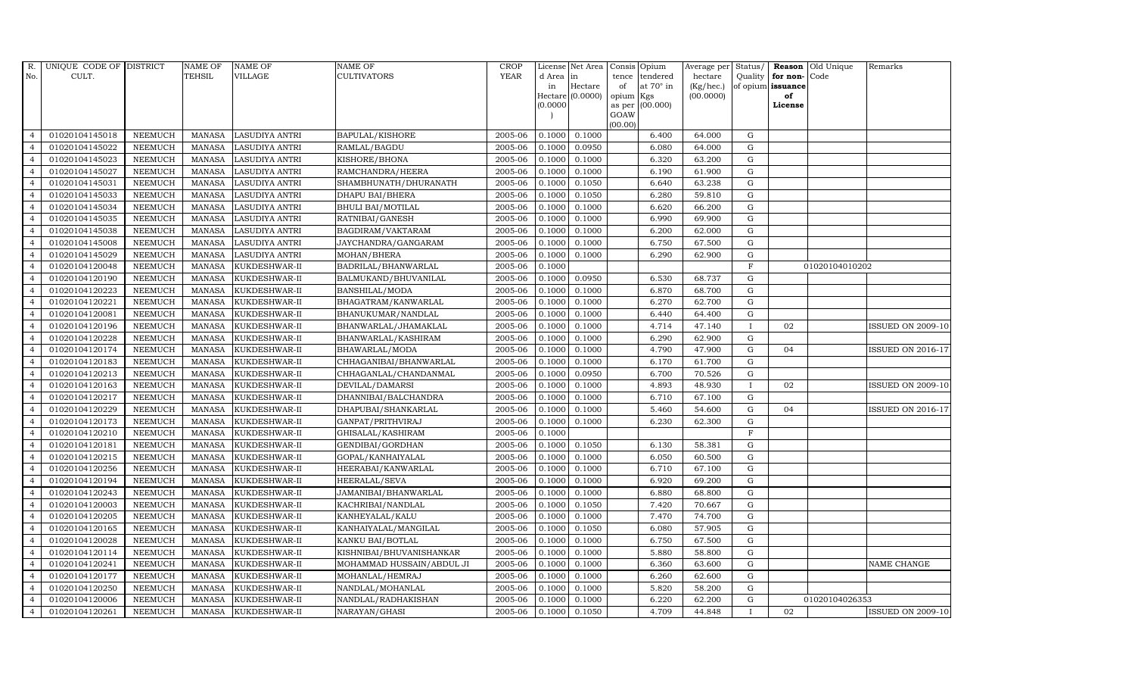| R.             | UNIQUE CODE OF DISTRICT |                | <b>NAME OF</b> | <b>NAME OF</b>        | <b>NAME OF</b>            | CROP        |           | License Net Area Consis Opium |           |                  | Average per | Status/      | Reason            | Old Unique     | Remarks                  |
|----------------|-------------------------|----------------|----------------|-----------------------|---------------------------|-------------|-----------|-------------------------------|-----------|------------------|-------------|--------------|-------------------|----------------|--------------------------|
| No.            | CULT.                   |                | <b>TEHSIL</b>  | VILLAGE               | <b>CULTIVATORS</b>        | <b>YEAR</b> | d Area in |                               |           | tence tendered   | hectare     | Quality      | for non-          | Code           |                          |
|                |                         |                |                |                       |                           |             | in        | Hectare                       | of        | at $70^\circ$ in | (Kg/hec.)   |              | of opium issuance |                |                          |
|                |                         |                |                |                       |                           |             | (0.0000)  | Hectare (0.0000)              | opium Kgs | as per (00.000)  | (00.0000)   |              | of<br>License     |                |                          |
|                |                         |                |                |                       |                           |             |           |                               | GOAW      |                  |             |              |                   |                |                          |
|                |                         |                |                |                       |                           |             |           |                               | (00.00)   |                  |             |              |                   |                |                          |
| $\overline{4}$ | 01020104145018          | <b>NEEMUCH</b> | MANASA         | <b>LASUDIYA ANTRI</b> | <b>BAPULAL/KISHORE</b>    | 2005-06     | 0.1000    | 0.1000                        |           | 6.400            | 64.000      | ${\rm G}$    |                   |                |                          |
| $\overline{4}$ | 01020104145022          | <b>NEEMUCH</b> | MANASA         | <b>LASUDIYA ANTRI</b> | RAMLAL/BAGDU              | 2005-06     | 0.1000    | 0.0950                        |           | 6.080            | 64.000      | $\mathbf G$  |                   |                |                          |
| $\overline{4}$ | 01020104145023          | <b>NEEMUCH</b> | <b>MANASA</b>  | <b>LASUDIYA ANTRI</b> | KISHORE/BHONA             | 2005-06     | 0.1000    | 0.1000                        |           | 6.320            | 63.200      | G            |                   |                |                          |
|                | 01020104145027          | <b>NEEMUCH</b> | <b>MANASA</b>  | <b>LASUDIYA ANTRI</b> | RAMCHANDRA/HEERA          | 2005-06     | 0.1000    | 0.1000                        |           | 6.190            | 61.900      | $\mathbf G$  |                   |                |                          |
| $\overline{4}$ | 01020104145031          | <b>NEEMUCH</b> | <b>MANASA</b>  | LASUDIYA ANTRI        | SHAMBHUNATH/DHURANATH     | 2005-06     | 0.1000    | 0.1050                        |           | 6.640            | 63.238      | ${\rm G}$    |                   |                |                          |
| $\overline{4}$ | 01020104145033          | <b>NEEMUCH</b> | <b>MANASA</b>  | <b>LASUDIYA ANTRI</b> | DHAPU BAI/BHERA           | 2005-06     | 0.1000    | 0.1050                        |           | 6.280            | 59.810      | ${\rm G}$    |                   |                |                          |
| $\overline{4}$ | 01020104145034          | <b>NEEMUCH</b> | <b>MANASA</b>  | <b>LASUDIYA ANTRI</b> | <b>BHULI BAI/MOTILAL</b>  | 2005-06     | 0.1000    | 0.1000                        |           | 6.620            | 66.200      | ${\rm G}$    |                   |                |                          |
| $\overline{4}$ | 01020104145035          | <b>NEEMUCH</b> | <b>MANASA</b>  | <b>LASUDIYA ANTRI</b> | RATNIBAI/GANESH           | 2005-06     | 0.1000    | 0.1000                        |           | 6.990            | 69.900      | $\mathbf G$  |                   |                |                          |
| $\overline{4}$ | 01020104145038          | <b>NEEMUCH</b> | <b>MANASA</b>  | <b>LASUDIYA ANTRI</b> | BAGDIRAM/VAKTARAM         | 2005-06     | 0.1000    | 0.1000                        |           | 6.200            | 62.000      | G            |                   |                |                          |
| $\overline{4}$ | 01020104145008          | <b>NEEMUCH</b> | <b>MANASA</b>  | <b>LASUDIYA ANTRI</b> | JAYCHANDRA/GANGARAM       | 2005-06     | 0.1000    | 0.1000                        |           | 6.750            | 67.500      | ${\rm G}$    |                   |                |                          |
| $\overline{4}$ | 01020104145029          | <b>NEEMUCH</b> | <b>MANASA</b>  | <b>LASUDIYA ANTRI</b> | MOHAN/BHERA               | 2005-06     | 0.1000    | 0.1000                        |           | 6.290            | 62.900      | $\mathbf G$  |                   |                |                          |
| $\overline{4}$ | 01020104120048          | <b>NEEMUCH</b> | MANASA         | KUKDESHWAR-II         | BADRILAL/BHANWARLAL       | 2005-06     | 0.1000    |                               |           |                  |             | $\mathbf{F}$ |                   | 01020104010202 |                          |
| $\overline{4}$ | 01020104120190          | <b>NEEMUCH</b> | <b>MANASA</b>  | KUKDESHWAR-II         | BALMUKAND/BHUVANILAL      | 2005-06     | 0.1000    | 0.0950                        |           | 6.530            | 68.737      | G            |                   |                |                          |
| $\overline{a}$ | 01020104120223          | <b>NEEMUCH</b> | <b>MANASA</b>  | KUKDESHWAR-II         | BANSHILAL/MODA            | 2005-06     | 0.1000    | 0.1000                        |           | 6.870            | 68.700      | $\mathbf G$  |                   |                |                          |
| $\overline{4}$ | 01020104120221          | <b>NEEMUCH</b> | MANASA         | KUKDESHWAR-II         | BHAGATRAM/KANWARLAL       | 2005-06     | 0.1000    | 0.1000                        |           | 6.270            | 62.700      | ${\rm G}$    |                   |                |                          |
| $\overline{4}$ | 01020104120081          | <b>NEEMUCH</b> | <b>MANASA</b>  | KUKDESHWAR-II         | BHANUKUMAR/NANDLAL        | 2005-06     | 0.1000    | 0.1000                        |           | 6.440            | 64.400      | G            |                   |                |                          |
| $\overline{4}$ | 01020104120196          | <b>NEEMUCH</b> | <b>MANASA</b>  | KUKDESHWAR-II         | BHANWARLAL/JHAMAKLAL      | 2005-06     | 0.1000    | 0.1000                        |           | 4.714            | 47.140      | $\mathbf{I}$ | 02                |                | <b>ISSUED ON 2009-10</b> |
| $\overline{4}$ | 01020104120228          | <b>NEEMUCH</b> | <b>MANASA</b>  | KUKDESHWAR-II         | BHANWARLAL/KASHIRAM       | 2005-06     | 0.1000    | 0.1000                        |           | 6.290            | 62.900      | G            |                   |                |                          |
| $\overline{4}$ | 01020104120174          | <b>NEEMUCH</b> | <b>MANASA</b>  | KUKDESHWAR-II         | BHAWARLAL/MODA            | 2005-06     | 0.1000    | 0.1000                        |           | 4.790            | 47.900      | $\mathbf G$  | 04                |                | <b>ISSUED ON 2016-17</b> |
|                | 01020104120183          | <b>NEEMUCH</b> | <b>MANASA</b>  | KUKDESHWAR-II         | CHHAGANIBAI/BHANWARLAL    | 2005-06     | 0.1000    | 0.1000                        |           | 6.170            | 61.700      | $\mathbf G$  |                   |                |                          |
| $\overline{4}$ | 01020104120213          | <b>NEEMUCH</b> | <b>MANASA</b>  | KUKDESHWAR-II         | CHHAGANLAL/CHANDANMAL     | 2005-06     | 0.1000    | 0.0950                        |           | 6.700            | 70.526      | $\mathbf G$  |                   |                |                          |
| $\overline{4}$ | 01020104120163          | <b>NEEMUCH</b> | <b>MANASA</b>  | KUKDESHWAR-II         | DEVILAL/DAMARSI           | 2005-06     | 0.1000    | 0.1000                        |           | 4.893            | 48.930      | $\mathbf{I}$ | 02                |                | <b>ISSUED ON 2009-10</b> |
| $\overline{4}$ | 01020104120217          | <b>NEEMUCH</b> | <b>MANASA</b>  | KUKDESHWAR-II         | DHANNIBAI/BALCHANDRA      | 2005-06     | 0.1000    | 0.1000                        |           | 6.710            | 67.100      | $\mathbf G$  |                   |                |                          |
| $\overline{4}$ | 01020104120229          | <b>NEEMUCH</b> | <b>MANASA</b>  | KUKDESHWAR-II         | DHAPUBAI/SHANKARLAL       | 2005-06     | 0.1000    | 0.1000                        |           | 5.460            | 54.600      | $\mathbf G$  | 04                |                | <b>ISSUED ON 2016-17</b> |
| $\overline{4}$ | 01020104120173          | <b>NEEMUCH</b> | <b>MANASA</b>  | KUKDESHWAR-II         | GANPAT/PRITHVIRAJ         | 2005-06     | 0.1000    | 0.1000                        |           | 6.230            | 62.300      | $\mathbf G$  |                   |                |                          |
| $\overline{4}$ | 01020104120210          | <b>NEEMUCH</b> | <b>MANASA</b>  | KUKDESHWAR-II         | GHISALAL/KASHIRAM         | 2005-06     | 0.1000    |                               |           |                  |             | $\mathbf F$  |                   |                |                          |
| $\overline{4}$ | 01020104120181          | <b>NEEMUCH</b> | <b>MANASA</b>  | KUKDESHWAR-II         | GENDIBAI/GORDHAN          | 2005-06     | 0.1000    | 0.1050                        |           | 6.130            | 58.381      | $\mathbf G$  |                   |                |                          |
| $\overline{4}$ | 01020104120215          | <b>NEEMUCH</b> | <b>MANASA</b>  | KUKDESHWAR-II         | GOPAL/KANHAIYALAL         | 2005-06     | 0.1000    | 0.1000                        |           | 6.050            | 60.500      | $\mathbf G$  |                   |                |                          |
| $\overline{4}$ | 01020104120256          | <b>NEEMUCH</b> | <b>MANASA</b>  | KUKDESHWAR-II         | HEERABAI/KANWARLAL        | 2005-06     | 0.1000    | 0.1000                        |           | 6.710            | 67.100      | $\mathbf G$  |                   |                |                          |
| $\overline{4}$ | 01020104120194          | <b>NEEMUCH</b> | <b>MANASA</b>  | KUKDESHWAR-II         | HEERALAL/SEVA             | 2005-06     | 0.1000    | 0.1000                        |           | 6.920            | 69.200      | $\mathbf G$  |                   |                |                          |
| $\overline{4}$ | 01020104120243          | <b>NEEMUCH</b> | <b>MANASA</b>  | KUKDESHWAR-II         | JAMANIBAI/BHANWARLAL      | 2005-06     | 0.1000    | 0.1000                        |           | 6.880            | 68.800      | $\mathbf G$  |                   |                |                          |
| $\overline{4}$ | 01020104120003          | <b>NEEMUCH</b> | <b>MANASA</b>  | KUKDESHWAR-II         | KACHRIBAI/NANDLAL         | 2005-06     | 0.1000    | 0.1050                        |           | 7.420            | 70.667      | ${\rm G}$    |                   |                |                          |
| $\overline{4}$ | 01020104120205          | <b>NEEMUCH</b> | <b>MANASA</b>  | KUKDESHWAR-II         | KANHEYALAL/KALU           | 2005-06     | 0.1000    | 0.1000                        |           | 7.470            | 74.700      | $\mathbf G$  |                   |                |                          |
| $\overline{4}$ | 01020104120165          | <b>NEEMUCH</b> | <b>MANASA</b>  | KUKDESHWAR-II         | KANHAIYALAL/MANGILAL      | 2005-06     | 0.1000    | 0.1050                        |           | 6.080            | 57.905      | $\mathbf G$  |                   |                |                          |
| $\overline{4}$ | 01020104120028          | <b>NEEMUCH</b> | <b>MANASA</b>  | KUKDESHWAR-II         | KANKU BAI/BOTLAL          | 2005-06     | 0.1000    | 0.1000                        |           | 6.750            | 67.500      | $\mathbf G$  |                   |                |                          |
| $\overline{4}$ | 01020104120114          | <b>NEEMUCH</b> | <b>MANASA</b>  | KUKDESHWAR-II         | KISHNIBAI/BHUVANISHANKAR  | 2005-06     | 0.1000    | 0.1000                        |           | 5.880            | 58.800      | G            |                   |                |                          |
| $\overline{4}$ | 01020104120241          | <b>NEEMUCH</b> | <b>MANASA</b>  | KUKDESHWAR-II         | MOHAMMAD HUSSAIN/ABDUL JI | 2005-06     | 0.1000    | 0.1000                        |           | 6.360            | 63.600      | ${\rm G}$    |                   |                | NAME CHANGE              |
| $\overline{4}$ | 01020104120177          | <b>NEEMUCH</b> | <b>MANASA</b>  | KUKDESHWAR-II         | MOHANLAL/HEMRAJ           | 2005-06     | 0.1000    | 0.1000                        |           | 6.260            | 62.600      | ${\rm G}$    |                   |                |                          |
| $\overline{4}$ | 01020104120250          | <b>NEEMUCH</b> | <b>MANASA</b>  | KUKDESHWAR-II         | NANDLAL/MOHANLAL          | 2005-06     | 0.1000    | 0.1000                        |           | 5.820            | 58.200      | $\mathbf G$  |                   |                |                          |
| $\overline{4}$ | 01020104120006          | <b>NEEMUCH</b> | <b>MANASA</b>  | KUKDESHWAR-II         | NANDLAL/RADHAKISHAN       | 2005-06     | 0.1000    | 0.1000                        |           | 6.220            | 62.200      | $\mathbf G$  |                   | 01020104026353 |                          |
| $\overline{4}$ | 01020104120261          | <b>NEEMUCH</b> |                | MANASA KUKDESHWAR-II  | NARAYAN/GHASI             | 2005-06     | 0.1000    | 0.1050                        |           | 4.709            | 44.848      |              | 02                |                | <b>ISSUED ON 2009-10</b> |
|                |                         |                |                |                       |                           |             |           |                               |           |                  |             |              |                   |                |                          |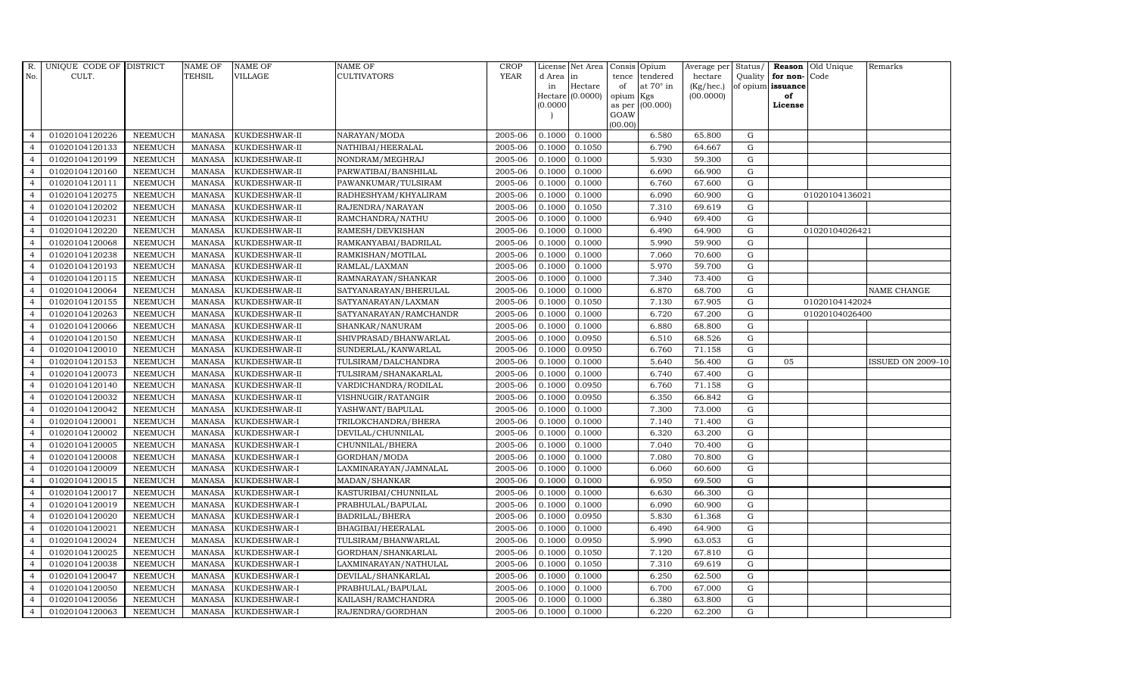| R.             | UNIQUE CODE OF DISTRICT |                | <b>NAME OF</b> | <b>NAME OF</b> | <b>NAME OF</b>         | CROP    |           | License Net Area   Consis   Opium |           |                  | Average per | Status/     | Reason            | Old Unique     | Remarks                  |
|----------------|-------------------------|----------------|----------------|----------------|------------------------|---------|-----------|-----------------------------------|-----------|------------------|-------------|-------------|-------------------|----------------|--------------------------|
| No.            | CULT.                   |                | <b>TEHSIL</b>  | <b>VILLAGE</b> | <b>CULTIVATORS</b>     | YEAR    | d Area in |                                   |           | tence tendered   | hectare     | Quality     | for non-          | Code           |                          |
|                |                         |                |                |                |                        |         | in        | Hectare                           | of        | at $70^\circ$ in | (Kg/hec.)   |             | of opium issuance |                |                          |
|                |                         |                |                |                |                        |         |           | Hectare (0.0000)                  | opium Kgs |                  | (00.0000)   |             | of                |                |                          |
|                |                         |                |                |                |                        |         | (0.0000)  |                                   | GOAW      | as per (00.000)  |             |             | License           |                |                          |
|                |                         |                |                |                |                        |         |           |                                   | (00.00)   |                  |             |             |                   |                |                          |
| $\overline{4}$ | 01020104120226          | <b>NEEMUCH</b> | MANASA         | KUKDESHWAR-II  | NARAYAN/MODA           | 2005-06 | 0.1000    | 0.1000                            |           | 6.580            | 65.800      | ${\rm G}$   |                   |                |                          |
| $\overline{a}$ | 01020104120133          | <b>NEEMUCH</b> | MANASA         | KUKDESHWAR-II  | NATHIBAI/HEERALAL      | 2005-06 | 0.1000    | 0.1050                            |           | 6.790            | 64.667      | $\mathbf G$ |                   |                |                          |
| $\overline{4}$ | 01020104120199          | <b>NEEMUCH</b> | <b>MANASA</b>  | KUKDESHWAR-II  | NONDRAM/MEGHRAJ        | 2005-06 | 0.1000    | 0.1000                            |           | 5.930            | 59.300      | G           |                   |                |                          |
|                | 01020104120160          | <b>NEEMUCH</b> | <b>MANASA</b>  | KUKDESHWAR-II  | PARWATIBAI/BANSHILAL   | 2005-06 | 0.1000    | 0.1000                            |           | 6.690            | 66.900      | $\mathbf G$ |                   |                |                          |
| $\overline{4}$ | 01020104120111          | <b>NEEMUCH</b> | <b>MANASA</b>  | KUKDESHWAR-II  | PAWANKUMAR/TULSIRAM    | 2005-06 | 0.1000    | 0.1000                            |           | 6.760            | 67.600      | ${\rm G}$   |                   |                |                          |
| $\overline{4}$ | 01020104120275          | <b>NEEMUCH</b> | <b>MANASA</b>  | KUKDESHWAR-II  | RADHESHYAM/KHYALIRAM   | 2005-06 | 0.1000    | 0.1000                            |           | 6.090            | 60.900      | ${\rm G}$   |                   | 01020104136021 |                          |
| $\overline{4}$ | 01020104120202          | <b>NEEMUCH</b> | <b>MANASA</b>  | KUKDESHWAR-II  | RAJENDRA/NARAYAN       | 2005-06 | 0.1000    | 0.1050                            |           | 7.310            | 69.619      | $\mathbf G$ |                   |                |                          |
| $\overline{4}$ | 01020104120231          | <b>NEEMUCH</b> | <b>MANASA</b>  | KUKDESHWAR-II  | RAMCHANDRA/NATHU       | 2005-06 | 0.1000    | 0.1000                            |           | 6.940            | 69.400      | $\mathbf G$ |                   |                |                          |
|                | 01020104120220          | <b>NEEMUCH</b> | <b>MANASA</b>  | KUKDESHWAR-II  | RAMESH/DEVKISHAN       | 2005-06 | 0.1000    | 0.1000                            |           | 6.490            | 64.900      | $\mathbf G$ |                   | 01020104026421 |                          |
| $\overline{4}$ | 01020104120068          | <b>NEEMUCH</b> | <b>MANASA</b>  | KUKDESHWAR-II  | RAMKANYABAI/BADRILAL   | 2005-06 | 0.1000    | 0.1000                            |           | 5.990            | 59.900      | ${\rm G}$   |                   |                |                          |
| $\overline{4}$ | 01020104120238          | <b>NEEMUCH</b> | <b>MANASA</b>  | KUKDESHWAR-II  | RAMKISHAN/MOTILAL      | 2005-06 | 0.1000    | 0.1000                            |           | 7.060            | 70.600      | ${\rm G}$   |                   |                |                          |
| $\overline{4}$ | 01020104120193          | <b>NEEMUCH</b> | <b>MANASA</b>  | KUKDESHWAR-II  | RAMLAL/LAXMAN          | 2005-06 | 0.1000    | 0.1000                            |           | 5.970            | 59.700      | ${\rm G}$   |                   |                |                          |
| $\overline{4}$ | 01020104120115          | <b>NEEMUCH</b> | <b>MANASA</b>  | KUKDESHWAR-II  | RAMNARAYAN/SHANKAR     | 2005-06 | 0.1000    | 0.1000                            |           | 7.340            | 73.400      | $\mathbf G$ |                   |                |                          |
| $\overline{4}$ | 01020104120064          | <b>NEEMUCH</b> | <b>MANASA</b>  | KUKDESHWAR-II  | SATYANARAYAN/BHERULAL  | 2005-06 | 0.1000    | 0.1000                            |           | 6.870            | 68.700      | $\mathbf G$ |                   |                | NAME CHANGE              |
| $\overline{4}$ | 01020104120155          | <b>NEEMUCH</b> | <b>MANASA</b>  | KUKDESHWAR-II  | SATYANARAYAN/LAXMAN    | 2005-06 | 0.1000    | 0.1050                            |           | 7.130            | 67.905      | G           |                   | 01020104142024 |                          |
| $\overline{4}$ | 01020104120263          | <b>NEEMUCH</b> | <b>MANASA</b>  | KUKDESHWAR-II  | SATYANARAYAN/RAMCHANDR | 2005-06 | 0.1000    | 0.1000                            |           | 6.720            | 67.200      | ${\rm G}$   |                   | 01020104026400 |                          |
| $\overline{4}$ | 01020104120066          | <b>NEEMUCH</b> | <b>MANASA</b>  | KUKDESHWAR-II  | SHANKAR/NANURAM        | 2005-06 | 0.1000    | 0.1000                            |           | 6.880            | 68.800      | ${\rm G}$   |                   |                |                          |
| $\overline{4}$ | 01020104120150          | <b>NEEMUCH</b> | MANASA         | KUKDESHWAR-II  | SHIVPRASAD/BHANWARLAL  | 2005-06 | 0.1000    | 0.0950                            |           | 6.510            | 68.526      | G           |                   |                |                          |
| $\overline{4}$ | 01020104120010          | <b>NEEMUCH</b> | <b>MANASA</b>  | KUKDESHWAR-II  | SUNDERLAL/KANWARLAL    | 2005-06 | 0.1000    | 0.0950                            |           | 6.760            | 71.158      | $\mathbf G$ |                   |                |                          |
| $\overline{4}$ | 01020104120153          | <b>NEEMUCH</b> | <b>MANASA</b>  | KUKDESHWAR-II  | TULSIRAM/DALCHANDRA    | 2005-06 | 0.1000    | 0.1000                            |           | 5.640            | 56.400      | $\mathbf G$ | 05                |                | <b>ISSUED ON 2009-10</b> |
| 4              | 01020104120073          | <b>NEEMUCH</b> | <b>MANASA</b>  | KUKDESHWAR-II  | TULSIRAM/SHANAKARLAL   | 2005-06 | 0.1000    | 0.1000                            |           | 6.740            | 67.400      | ${\rm G}$   |                   |                |                          |
| $\overline{4}$ | 01020104120140          | <b>NEEMUCH</b> | <b>MANASA</b>  | KUKDESHWAR-II  | VARDICHANDRA/RODILAL   | 2005-06 | 0.1000    | 0.0950                            |           | 6.760            | 71.158      | ${\rm G}$   |                   |                |                          |
| $\overline{4}$ | 01020104120032          | <b>NEEMUCH</b> | MANASA         | KUKDESHWAR-II  | VISHNUGIR/RATANGIR     | 2005-06 | 0.1000    | 0.0950                            |           | 6.350            | 66.842      | G           |                   |                |                          |
| $\overline{4}$ | 01020104120042          | <b>NEEMUCH</b> | <b>MANASA</b>  | KUKDESHWAR-II  | YASHWANT/BAPULAL       | 2005-06 | 0.1000    | 0.1000                            |           | 7.300            | 73.000      | $\mathbf G$ |                   |                |                          |
| $\overline{4}$ | 01020104120001          | <b>NEEMUCH</b> | <b>MANASA</b>  | KUKDESHWAR-I   | TRILOKCHANDRA/BHERA    | 2005-06 | 0.1000    | 0.1000                            |           | 7.140            | 71.400      | $\mathbf G$ |                   |                |                          |
| $\overline{4}$ | 01020104120002          | <b>NEEMUCH</b> | <b>MANASA</b>  | KUKDESHWAR-I   | DEVILAL/CHUNNILAL      | 2005-06 | 0.1000    | 0.1000                            |           | 6.320            | 63.200      | G           |                   |                |                          |
| $\overline{4}$ | 01020104120005          | <b>NEEMUCH</b> | <b>MANASA</b>  | KUKDESHWAR-I   | CHUNNILAL/BHERA        | 2005-06 | 0.1000    | 0.1000                            |           | 7.040            | 70.400      | ${\rm G}$   |                   |                |                          |
| $\overline{4}$ | 01020104120008          | <b>NEEMUCH</b> | <b>MANASA</b>  | KUKDESHWAR-I   | GORDHAN/MODA           | 2005-06 | 0.1000    | 0.1000                            |           | 7.080            | 70.800      | $\mathbf G$ |                   |                |                          |
| $\overline{4}$ | 01020104120009          | <b>NEEMUCH</b> | <b>MANASA</b>  | KUKDESHWAR-I   | LAXMINARAYAN/JAMNALAL  | 2005-06 | 0.1000    | 0.1000                            |           | 6.060            | 60.600      | $\mathbf G$ |                   |                |                          |
| $\overline{4}$ | 01020104120015          | <b>NEEMUCH</b> | <b>MANASA</b>  | KUKDESHWAR-I   | MADAN/SHANKAR          | 2005-06 | 0.1000    | 0.1000                            |           | 6.950            | 69.500      | $\mathbf G$ |                   |                |                          |
| $\overline{4}$ | 01020104120017          | <b>NEEMUCH</b> | <b>MANASA</b>  | KUKDESHWAR-I   | KASTURIBAI/CHUNNILAL   | 2005-06 | 0.1000    | 0.1000                            |           | 6.630            | 66.300      | G           |                   |                |                          |
| $\overline{4}$ | 01020104120019          | <b>NEEMUCH</b> | <b>MANASA</b>  | KUKDESHWAR-I   | PRABHULAL/BAPULAL      | 2005-06 | 0.1000    | 0.1000                            |           | 6.090            | 60.900      | ${\rm G}$   |                   |                |                          |
| $\overline{4}$ | 01020104120020          | <b>NEEMUCH</b> | <b>MANASA</b>  | KUKDESHWAR-I   | <b>BADRILAL/BHERA</b>  | 2005-06 | 0.1000    | 0.0950                            |           | 5.830            | 61.368      | $\mathbf G$ |                   |                |                          |
| $\overline{4}$ | 01020104120021          | <b>NEEMUCH</b> | <b>MANASA</b>  | KUKDESHWAR-I   | BHAGIBAI/HEERALAL      | 2005-06 | 0.1000    | 0.1000                            |           | 6.490            | 64.900      | $\mathbf G$ |                   |                |                          |
| $\overline{4}$ | 01020104120024          | <b>NEEMUCH</b> | <b>MANASA</b>  | KUKDESHWAR-I   | TULSIRAM/BHANWARLAL    | 2005-06 | 0.1000    | 0.0950                            |           | 5.990            | 63.053      | $\mathbf G$ |                   |                |                          |
| $\overline{4}$ | 01020104120025          | <b>NEEMUCH</b> | <b>MANASA</b>  | KUKDESHWAR-I   | GORDHAN/SHANKARLAL     | 2005-06 | 0.1000    | 0.1050                            |           | 7.120            | 67.810      | $\mathbf G$ |                   |                |                          |
| $\overline{4}$ | 01020104120038          | <b>NEEMUCH</b> | <b>MANASA</b>  | KUKDESHWAR-I   | LAXMINARAYAN/NATHULAL  | 2005-06 | 0.1000    | 0.1050                            |           | 7.310            | 69.619      | ${\rm G}$   |                   |                |                          |
| $\overline{4}$ | 01020104120047          | <b>NEEMUCH</b> | <b>MANASA</b>  | KUKDESHWAR-I   | DEVILAL/SHANKARLAL     | 2005-06 | 0.1000    | 0.1000                            |           | 6.250            | 62.500      | $\mathbf G$ |                   |                |                          |
| $\overline{4}$ | 01020104120050          | <b>NEEMUCH</b> | <b>MANASA</b>  | KUKDESHWAR-I   | PRABHULAL/BAPULAL      | 2005-06 | 0.1000    | 0.1000                            |           | 6.700            | 67.000      | $\mathbf G$ |                   |                |                          |
| $\overline{4}$ | 01020104120056          | <b>NEEMUCH</b> | <b>MANASA</b>  | KUKDESHWAR-I   | KAILASH/RAMCHANDRA     | 2005-06 | 0.1000    | 0.1000                            |           | 6.380            | 63.800      | $\mathbf G$ |                   |                |                          |
| $\overline{4}$ | 01020104120063          | <b>NEEMUCH</b> | MANASA         | KUKDESHWAR-I   | RAJENDRA/GORDHAN       | 2005-06 | 0.1000    | 0.1000                            |           | 6.220            | 62.200      | G           |                   |                |                          |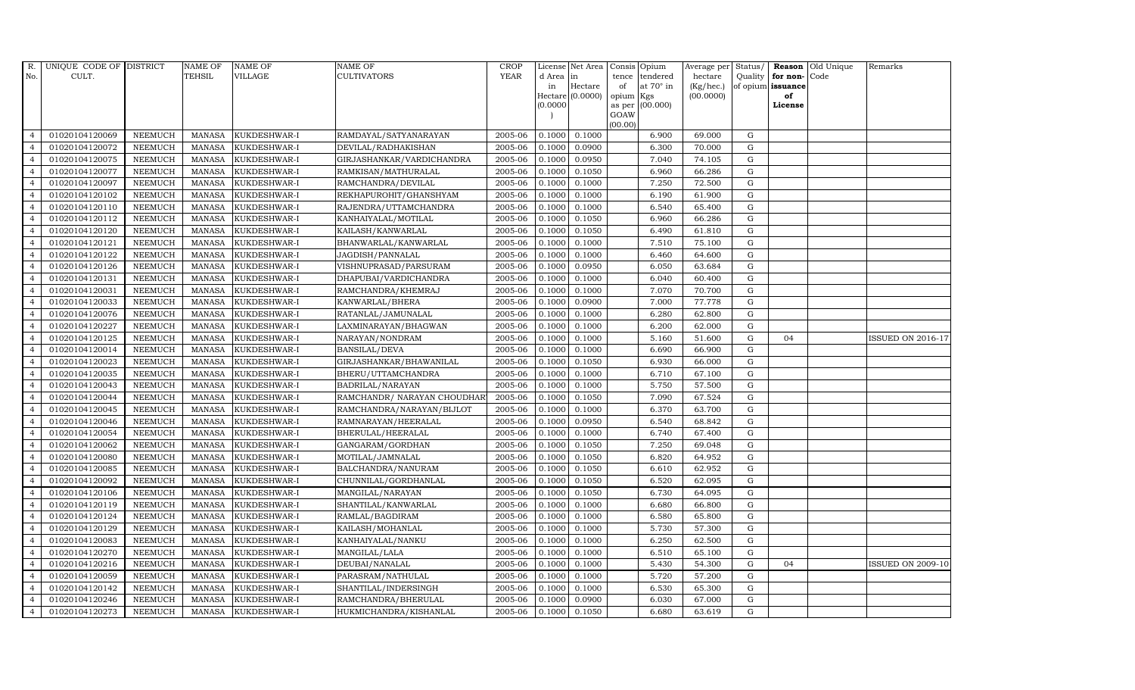| R.             | UNIQUE CODE OF DISTRICT |                | <b>NAME OF</b> | <b>NAME OF</b>      | <b>NAME OF</b>              | CROP        |           | License Net Area   |           | Consis Opium     | Average per Status/ |             |                      | <b>Reason</b> Old Unique | Remarks                  |
|----------------|-------------------------|----------------|----------------|---------------------|-----------------------------|-------------|-----------|--------------------|-----------|------------------|---------------------|-------------|----------------------|--------------------------|--------------------------|
| No.            | CULT.                   |                | TEHSIL         | VILLAGE             | <b>CULTIVATORS</b>          | <b>YEAR</b> | d Area in |                    | tence     | tendered         | hectare             |             | Quality $ $ for non- | Code                     |                          |
|                |                         |                |                |                     |                             |             | in        | Hectare            | of        | at $70^\circ$ in | (Kg/hec.)           |             | of opium issuance    |                          |                          |
|                |                         |                |                |                     |                             |             | (0.0000)  | Hectare $(0.0000)$ | opium Kgs | as per (00.000)  | (00.0000)           |             | of<br>License        |                          |                          |
|                |                         |                |                |                     |                             |             |           |                    | GOAW      |                  |                     |             |                      |                          |                          |
|                |                         |                |                |                     |                             |             |           |                    | (00.00)   |                  |                     |             |                      |                          |                          |
| $\overline{4}$ | 01020104120069          | <b>NEEMUCH</b> | MANASA         | KUKDESHWAR-I        | RAMDAYAL/SATYANARAYAN       | 2005-06     | 0.1000    | 0.1000             |           | 6.900            | 69.000              | G           |                      |                          |                          |
| $\overline{a}$ | 01020104120072          | <b>NEEMUCH</b> | MANASA         | KUKDESHWAR-I        | DEVILAL/RADHAKISHAN         | 2005-06     | 0.1000    | 0.0900             |           | 6.300            | 70.000              | ${\rm G}$   |                      |                          |                          |
| $\overline{4}$ | 01020104120075          | <b>NEEMUCH</b> | <b>MANASA</b>  | KUKDESHWAR-I        | GIRJASHANKAR/VARDICHANDRA   | 2005-06     | 0.1000    | 0.0950             |           | 7.040            | 74.105              | G           |                      |                          |                          |
|                | 01020104120077          | <b>NEEMUCH</b> | MANASA         | KUKDESHWAR-I        | RAMKISAN/MATHURALAL         | 2005-06     | 0.1000    | 0.1050             |           | 6.960            | 66.286              | G           |                      |                          |                          |
| $\overline{4}$ | 01020104120097          | <b>NEEMUCH</b> | <b>MANASA</b>  | KUKDESHWAR-I        | RAMCHANDRA/DEVILAL          | 2005-06     | 0.1000    | 0.1000             |           | 7.250            | 72.500              | G           |                      |                          |                          |
| $\overline{4}$ | 01020104120102          | <b>NEEMUCH</b> | <b>MANASA</b>  | KUKDESHWAR-I        | REKHAPUROHIT/GHANSHYAM      | 2005-06     | 0.1000    | 0.1000             |           | 6.190            | 61.900              | G           |                      |                          |                          |
| $\overline{4}$ | 01020104120110          | <b>NEEMUCH</b> | <b>MANASA</b>  | KUKDESHWAR-I        | RAJENDRA/UTTAMCHANDRA       | 2005-06     | 0.1000    | 0.1000             |           | 6.540            | 65.400              | ${\rm G}$   |                      |                          |                          |
| $\overline{4}$ | 01020104120112          | <b>NEEMUCH</b> | <b>MANASA</b>  | KUKDESHWAR-I        | KANHAIYALAL/MOTILAL         | 2005-06     | 0.1000    | 0.1050             |           | 6.960            | 66.286              | ${\rm G}$   |                      |                          |                          |
| $\overline{4}$ | 01020104120120          | <b>NEEMUCH</b> | <b>MANASA</b>  | KUKDESHWAR-I        | KAILASH/KANWARLAL           | 2005-06     | 0.1000    | 0.1050             |           | 6.490            | 61.810              | $\mathbf G$ |                      |                          |                          |
| $\overline{4}$ | 01020104120121          | <b>NEEMUCH</b> | <b>MANASA</b>  | KUKDESHWAR-I        | BHANWARLAL/KANWARLAL        | 2005-06     | 0.1000    | 0.1000             |           | 7.510            | 75.100              | ${\rm G}$   |                      |                          |                          |
| $\overline{4}$ | 01020104120122          | <b>NEEMUCH</b> | <b>MANASA</b>  | KUKDESHWAR-I        | JAGDISH/PANNALAL            | 2005-06     | 0.1000    | 0.1000             |           | 6.460            | 64.600              | G           |                      |                          |                          |
| $\overline{4}$ | 01020104120126          | <b>NEEMUCH</b> | MANASA         | KUKDESHWAR-I        | VISHNUPRASAD/PARSURAM       | 2005-06     | 0.1000    | 0.0950             |           | 6.050            | 63.684              | G           |                      |                          |                          |
| $\overline{4}$ | 01020104120131          | <b>NEEMUCH</b> | <b>MANASA</b>  | KUKDESHWAR-I        | DHAPUBAI/VARDICHANDRA       | 2005-06     | 0.1000    | 0.1000             |           | 6.040            | 60.400              | ${\rm G}$   |                      |                          |                          |
| $\overline{4}$ | 01020104120031          | <b>NEEMUCH</b> | <b>MANASA</b>  | KUKDESHWAR-I        | RAMCHANDRA/KHEMRAJ          | 2005-06     | 0.1000    | 0.1000             |           | 7.070            | 70.700              | G           |                      |                          |                          |
| 4              | 01020104120033          | <b>NEEMUCH</b> | <b>MANASA</b>  | KUKDESHWAR-I        | KANWARLAL/BHERA             | 2005-06     | 0.1000    | 0.0900             |           | 7.000            | 77.778              | G           |                      |                          |                          |
| $\overline{4}$ | 01020104120076          | <b>NEEMUCH</b> | <b>MANASA</b>  | KUKDESHWAR-I        | RATANLAL/JAMUNALAL          | 2005-06     | 0.1000    | 0.1000             |           | 6.280            | 62.800              | G           |                      |                          |                          |
| $\overline{4}$ | 01020104120227          | <b>NEEMUCH</b> | <b>MANASA</b>  | KUKDESHWAR-I        | LAXMINARAYAN/BHAGWAN        | 2005-06     | 0.1000    | 0.1000             |           | 6.200            | 62.000              | G           |                      |                          |                          |
| $\overline{4}$ | 01020104120125          | <b>NEEMUCH</b> | MANASA         | KUKDESHWAR-I        | NARAYAN/NONDRAM             | 2005-06     | 0.1000    | 0.1000             |           | 5.160            | 51.600              | G           | 04                   |                          | ISSUED ON 2016-17        |
| $\overline{4}$ | 01020104120014          | <b>NEEMUCH</b> | <b>MANASA</b>  | KUKDESHWAR-I        | BANSILAL/DEVA               | 2005-06     | 0.1000    | 0.1000             |           | 6.690            | 66.900              | G           |                      |                          |                          |
| $\overline{4}$ | 01020104120023          | <b>NEEMUCH</b> | <b>MANASA</b>  | KUKDESHWAR-I        | GIRJASHANKAR/BHAWANILAL     | 2005-06     | 0.1000    | 0.1050             |           | 6.930            | 66.000              | G           |                      |                          |                          |
| 4              | 01020104120035          | <b>NEEMUCH</b> | <b>MANASA</b>  | KUKDESHWAR-I        | BHERU/UTTAMCHANDRA          | 2005-06     | 0.1000    | 0.1000             |           | 6.710            | 67.100              | G           |                      |                          |                          |
| $\overline{4}$ | 01020104120043          | <b>NEEMUCH</b> | <b>MANASA</b>  | KUKDESHWAR-I        | BADRILAL/NARAYAN            | 2005-06     | 0.1000    | 0.1000             |           | 5.750            | 57.500              | G           |                      |                          |                          |
| $\overline{4}$ | 01020104120044          | <b>NEEMUCH</b> | MANASA         | KUKDESHWAR-I        | RAMCHANDR/ NARAYAN CHOUDHAR | 2005-06     | 0.1000    | 0.1050             |           | 7.090            | 67.524              | G           |                      |                          |                          |
| $\overline{4}$ | 01020104120045          | <b>NEEMUCH</b> | <b>MANASA</b>  | KUKDESHWAR-I        | RAMCHANDRA/NARAYAN/BIJLOT   | 2005-06     | 0.1000    | 0.1000             |           | 6.370            | 63.700              | $\mathbf G$ |                      |                          |                          |
| $\overline{4}$ | 01020104120046          | <b>NEEMUCH</b> | <b>MANASA</b>  | KUKDESHWAR-I        | RAMNARAYAN/HEERALAL         | 2005-06     | 0.1000    | 0.0950             |           | 6.540            | 68.842              | G           |                      |                          |                          |
| $\overline{4}$ | 01020104120054          | <b>NEEMUCH</b> | <b>MANASA</b>  | KUKDESHWAR-I        | BHERULAL/HEERALAL           | 2005-06     | 0.1000    | 0.1000             |           | 6.740            | 67.400              | G           |                      |                          |                          |
| $\overline{4}$ | 01020104120062          | <b>NEEMUCH</b> | <b>MANASA</b>  | KUKDESHWAR-I        | GANGARAM/GORDHAN            | 2005-06     | 0.1000    | 0.1050             |           | 7.250            | 69.048              | G           |                      |                          |                          |
| $\overline{4}$ | 01020104120080          | <b>NEEMUCH</b> | MANASA         | KUKDESHWAR-I        | MOTILAL/JAMNALAL            | 2005-06     | 0.1000    | 0.1050             |           | 6.820            | 64.952              | G           |                      |                          |                          |
| $\overline{4}$ | 01020104120085          | <b>NEEMUCH</b> | <b>MANASA</b>  | KUKDESHWAR-I        | BALCHANDRA/NANURAM          | 2005-06     | 0.1000    | 0.1050             |           | 6.610            | 62.952              | $\mathbf G$ |                      |                          |                          |
| $\overline{4}$ | 01020104120092          | <b>NEEMUCH</b> | <b>MANASA</b>  | KUKDESHWAR-I        | CHUNNILAL/GORDHANLAL        | 2005-06     | 0.1000    | 0.1050             |           | 6.520            | 62.095              | G           |                      |                          |                          |
| $\overline{4}$ | 01020104120106          | <b>NEEMUCH</b> | <b>MANASA</b>  | KUKDESHWAR-I        | MANGILAL/NARAYAN            | 2005-06     | 0.1000    | 0.1050             |           | 6.730            | 64.095              | G           |                      |                          |                          |
| $\overline{4}$ | 01020104120119          | <b>NEEMUCH</b> | <b>MANASA</b>  | KUKDESHWAR-I        | SHANTILAL/KANWARLAL         | 2005-06     | 0.1000    | 0.1000             |           | 6.680            | 66.800              | G           |                      |                          |                          |
| $\overline{4}$ | 01020104120124          | <b>NEEMUCH</b> | <b>MANASA</b>  | KUKDESHWAR-I        | RAMLAL/BAGDIRAM             | 2005-06     | 0.1000    | 0.1000             |           | 6.580            | 65.800              | G           |                      |                          |                          |
| $\overline{4}$ | 01020104120129          | <b>NEEMUCH</b> | <b>MANASA</b>  | KUKDESHWAR-I        | KAILASH/MOHANLAL            | 2005-06     | 0.1000    | 0.1000             |           | 5.730            | 57.300              | G           |                      |                          |                          |
| $\overline{4}$ | 01020104120083          | <b>NEEMUCH</b> | <b>MANASA</b>  | KUKDESHWAR-I        | KANHAIYALAL/NANKU           | 2005-06     | 0.1000    | 0.1000             |           | 6.250            | 62.500              | $\mathbf G$ |                      |                          |                          |
| $\overline{4}$ | 01020104120270          | <b>NEEMUCH</b> | <b>MANASA</b>  | KUKDESHWAR-I        | MANGILAL/LALA               | 2005-06     | 0.1000    | 0.1000             |           | 6.510            | 65.100              | G           |                      |                          |                          |
| $\overline{4}$ | 01020104120216          | <b>NEEMUCH</b> | <b>MANASA</b>  | KUKDESHWAR-I        | DEUBAI/NANALAL              | 2005-06     | 0.1000    | 0.1000             |           | 5.430            | 54.300              | G           | 04                   |                          | <b>ISSUED ON 2009-10</b> |
| $\overline{4}$ | 01020104120059          | <b>NEEMUCH</b> | <b>MANASA</b>  | KUKDESHWAR-I        | PARASRAM/NATHULAL           | 2005-06     | 0.1000    | 0.1000             |           | 5.720            | 57.200              | ${\rm G}$   |                      |                          |                          |
| $\overline{4}$ | 01020104120142          | <b>NEEMUCH</b> | <b>MANASA</b>  | KUKDESHWAR-I        | SHANTILAL/INDERSINGH        | 2005-06     | 0.1000    | 0.1000             |           | 6.530            | 65.300              | G           |                      |                          |                          |
| $\overline{4}$ | 01020104120246          | <b>NEEMUCH</b> | <b>MANASA</b>  | KUKDESHWAR-I        | RAMCHANDRA/BHERULAL         | 2005-06     | 0.1000    | 0.0900             |           | 6.030            | 67.000              | $\mathbf G$ |                      |                          |                          |
| $\overline{4}$ | 01020104120273          | <b>NEEMUCH</b> |                | MANASA KUKDESHWAR-I | HUKMICHANDRA/KISHANLAL      | 2005-06     | 0.1000    | 0.1050             |           | 6.680            | 63.619              | G           |                      |                          |                          |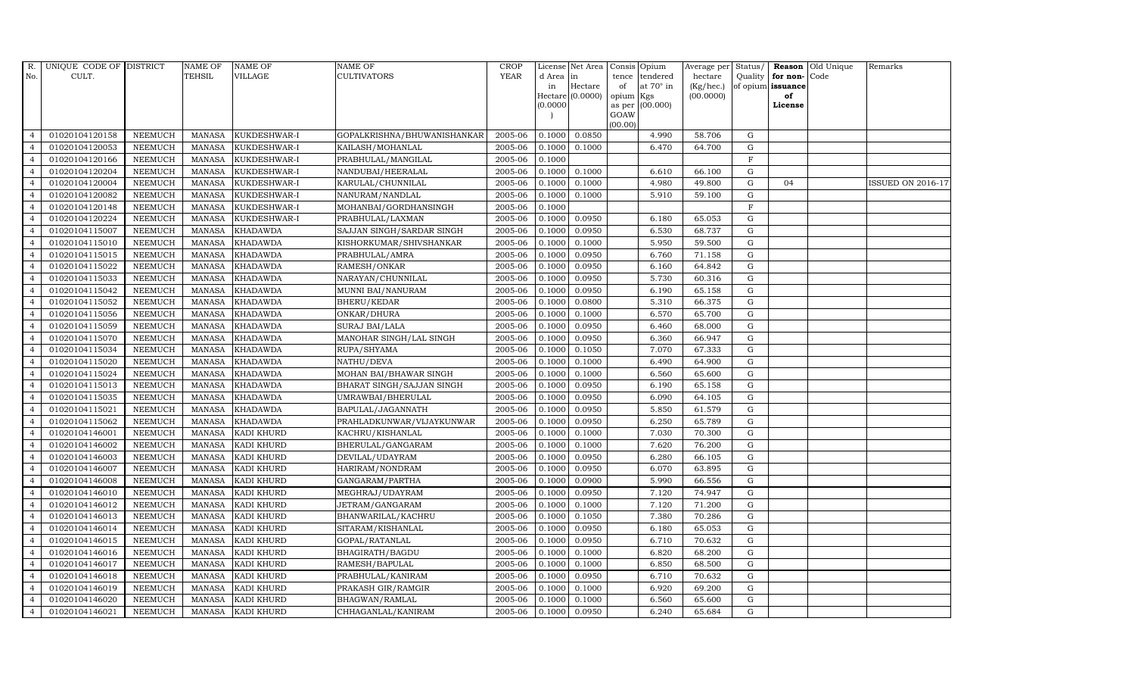| R.             | UNIQUE CODE OF DISTRICT |                | <b>NAME OF</b> | <b>NAME OF</b>    | <b>NAME OF</b>              | <b>CROP</b> |           | License Net Area |         | Consis Opium           | Average per | Status/      |                   | Reason Old Unique | Remarks                  |
|----------------|-------------------------|----------------|----------------|-------------------|-----------------------------|-------------|-----------|------------------|---------|------------------------|-------------|--------------|-------------------|-------------------|--------------------------|
| No.            | CULT.                   |                | TEHSIL         | VILLAGE           | CULTIVATORS                 | <b>YEAR</b> | d Area in |                  | tence   | tendered               | hectare     | Quality      | for non-Code      |                   |                          |
|                |                         |                |                |                   |                             |             | in        | Hectare          | of      | at $70^\circ$ in       | (Kg/hec.)   |              | of opium issuance |                   |                          |
|                |                         |                |                |                   |                             |             | (0.0000)  | Hectare (0.0000) | opium   | Kgs<br>as per (00.000) | (00.0000)   |              | of<br>License     |                   |                          |
|                |                         |                |                |                   |                             |             |           |                  | GOAW    |                        |             |              |                   |                   |                          |
|                |                         |                |                |                   |                             |             |           |                  | (00.00) |                        |             |              |                   |                   |                          |
| $\overline{4}$ | 01020104120158          | <b>NEEMUCH</b> | MANASA         | KUKDESHWAR-I      | GOPALKRISHNA/BHUWANISHANKAR | 2005-06     | 0.1000    | 0.0850           |         | 4.990                  | 58.706      | G            |                   |                   |                          |
| $\overline{4}$ | 01020104120053          | <b>NEEMUCH</b> | <b>MANASA</b>  | KUKDESHWAR-I      | KAILASH/MOHANLAL            | 2005-06     | 0.1000    | 0.1000           |         | 6.470                  | 64.700      | $\mathbf G$  |                   |                   |                          |
| $\overline{4}$ | 01020104120166          | <b>NEEMUCH</b> | <b>MANASA</b>  | KUKDESHWAR-I      | PRABHULAL/MANGILAL          | 2005-06     | 0.1000    |                  |         |                        |             | F            |                   |                   |                          |
| $\overline{4}$ | 01020104120204          | <b>NEEMUCH</b> | <b>MANASA</b>  | KUKDESHWAR-I      | NANDUBAI/HEERALAL           | 2005-06     | 0.1000    | 0.1000           |         | 6.610                  | 66.100      | $\mathbf G$  |                   |                   |                          |
| $\overline{4}$ | 01020104120004          | <b>NEEMUCH</b> | <b>MANASA</b>  | KUKDESHWAR-I      | KARULAL/CHUNNILAL           | 2005-06     | 0.1000    | 0.1000           |         | 4.980                  | 49.800      | ${\rm G}$    | 04                |                   | <b>ISSUED ON 2016-17</b> |
| $\overline{4}$ | 01020104120082          | <b>NEEMUCH</b> | <b>MANASA</b>  | KUKDESHWAR-I      | NANURAM/NANDLAL             | 2005-06     | 0.1000    | 0.1000           |         | 5.910                  | 59.100      | G            |                   |                   |                          |
| $\overline{4}$ | 01020104120148          | <b>NEEMUCH</b> | <b>MANASA</b>  | KUKDESHWAR-I      | MOHANBAI/GORDHANSINGH       | 2005-06     | 0.1000    |                  |         |                        |             | $\mathbf{F}$ |                   |                   |                          |
| $\overline{4}$ | 01020104120224          | <b>NEEMUCH</b> | <b>MANASA</b>  | KUKDESHWAR-I      | PRABHULAL/LAXMAN            | 2005-06     | 0.1000    | 0.0950           |         | 6.180                  | 65.053      | G            |                   |                   |                          |
| $\overline{4}$ | 01020104115007          | <b>NEEMUCH</b> | <b>MANASA</b>  | <b>KHADAWDA</b>   | SAJJAN SINGH/SARDAR SINGH   | 2005-06     | 0.1000    | 0.0950           |         | 6.530                  | 68.737      | $\mathbf G$  |                   |                   |                          |
| $\overline{4}$ | 01020104115010          | <b>NEEMUCH</b> | <b>MANASA</b>  | <b>KHADAWDA</b>   | KISHORKUMAR/SHIVSHANKAR     | 2005-06     | 0.1000    | 0.1000           |         | 5.950                  | 59.500      | G            |                   |                   |                          |
| $\overline{4}$ | 01020104115015          | <b>NEEMUCH</b> | <b>MANASA</b>  | <b>KHADAWDA</b>   | PRABHULAL/AMRA              | 2005-06     | 0.1000    | 0.0950           |         | 6.760                  | 71.158      | ${\rm G}$    |                   |                   |                          |
| $\overline{4}$ | 01020104115022          | <b>NEEMUCH</b> | <b>MANASA</b>  | <b>KHADAWDA</b>   | RAMESH/ONKAR                | 2005-06     | 0.1000    | 0.0950           |         | 6.160                  | 64.842      | $\mathbf G$  |                   |                   |                          |
| $\overline{4}$ | 01020104115033          | <b>NEEMUCH</b> | <b>MANASA</b>  | <b>KHADAWDA</b>   | NARAYAN/CHUNNILAL           | 2005-06     | 0.1000    | 0.0950           |         | 5.730                  | 60.316      | $\mathbf G$  |                   |                   |                          |
| $\overline{4}$ | 01020104115042          | <b>NEEMUCH</b> | <b>MANASA</b>  | <b>KHADAWDA</b>   | MUNNI BAI/NANURAM           | 2005-06     | 0.1000    | 0.0950           |         | 6.190                  | 65.158      | G            |                   |                   |                          |
| $\overline{4}$ | 01020104115052          | <b>NEEMUCH</b> | <b>MANASA</b>  | <b>KHADAWDA</b>   | BHERU/KEDAR                 | 2005-06     | 0.1000    | 0.0800           |         | 5.310                  | 66.375      | ${\rm G}$    |                   |                   |                          |
| $\overline{4}$ | 01020104115056          | <b>NEEMUCH</b> | <b>MANASA</b>  | <b>KHADAWDA</b>   | ONKAR/DHURA                 | 2005-06     | 0.1000    | 0.1000           |         | 6.570                  | 65.700      | ${\rm G}$    |                   |                   |                          |
| $\overline{4}$ | 01020104115059          | <b>NEEMUCH</b> | <b>MANASA</b>  | <b>KHADAWDA</b>   | SURAJ BAI/LALA              | 2005-06     | 0.1000    | 0.0950           |         | 6.460                  | 68.000      | G            |                   |                   |                          |
| $\overline{4}$ | 01020104115070          | <b>NEEMUCH</b> | <b>MANASA</b>  | <b>KHADAWDA</b>   | MANOHAR SINGH/LAL SINGH     | 2005-06     | 0.1000    | 0.0950           |         | 6.360                  | 66.947      | $\mathbf G$  |                   |                   |                          |
| $\overline{4}$ | 01020104115034          | <b>NEEMUCH</b> | <b>MANASA</b>  | <b>KHADAWDA</b>   | RUPA/SHYAMA                 | 2005-06     | 0.1000    | 0.1050           |         | 7.070                  | 67.333      | $\mathbf G$  |                   |                   |                          |
| $\overline{4}$ | 01020104115020          | <b>NEEMUCH</b> | MANASA         | <b>KHADAWDA</b>   | NATHU/DEVA                  | 2005-06     | 0.1000    | 0.1000           |         | 6.490                  | 64.900      | $\mathbf G$  |                   |                   |                          |
| $\overline{4}$ | 01020104115024          | <b>NEEMUCH</b> | <b>MANASA</b>  | <b>KHADAWDA</b>   | MOHAN BAI/BHAWAR SINGH      | 2005-06     | 0.1000    | 0.1000           |         | 6.560                  | 65.600      | G            |                   |                   |                          |
| $\overline{4}$ | 01020104115013          | <b>NEEMUCH</b> | <b>MANASA</b>  | <b>KHADAWDA</b>   | BHARAT SINGH/SAJJAN SINGH   | 2005-06     | 0.1000    | 0.0950           |         | 6.190                  | 65.158      | ${\rm G}$    |                   |                   |                          |
| $\overline{4}$ | 01020104115035          | <b>NEEMUCH</b> | <b>MANASA</b>  | <b>KHADAWDA</b>   | UMRAWBAI/BHERULAL           | 2005-06     | 0.1000    | 0.0950           |         | 6.090                  | 64.105      | G            |                   |                   |                          |
| $\overline{4}$ | 01020104115021          | <b>NEEMUCH</b> | <b>MANASA</b>  | <b>KHADAWDA</b>   | BAPULAL/JAGANNATH           | 2005-06     | 0.1000    | 0.0950           |         | 5.850                  | 61.579      | $\mathbf G$  |                   |                   |                          |
| $\overline{4}$ | 01020104115062          | <b>NEEMUCH</b> | <b>MANASA</b>  | <b>KHADAWDA</b>   | PRAHLADKUNWAR/VIJAYKUNWAR   | 2005-06     | 0.1000    | 0.0950           |         | 6.250                  | 65.789      | G            |                   |                   |                          |
| $\overline{4}$ | 01020104146001          | <b>NEEMUCH</b> | <b>MANASA</b>  | KADI KHURD        | KACHRU/KISHANLAL            | 2005-06     | 0.1000    | 0.1000           |         | 7.030                  | 70.300      | G            |                   |                   |                          |
| $\overline{4}$ | 01020104146002          | <b>NEEMUCH</b> | <b>MANASA</b>  | KADI KHURD        | BHERULAL/GANGARAM           | 2005-06     | 0.1000    | 0.1000           |         | 7.620                  | 76.200      | ${\rm G}$    |                   |                   |                          |
| $\overline{4}$ | 01020104146003          | <b>NEEMUCH</b> | <b>MANASA</b>  | KADI KHURD        | DEVILAL/UDAYRAM             | 2005-06     | 0.1000    | 0.0950           |         | 6.280                  | 66.105      | G            |                   |                   |                          |
| $\overline{4}$ | 01020104146007          | <b>NEEMUCH</b> | <b>MANASA</b>  | KADI KHURD        | HARIRAM/NONDRAM             | 2005-06     | 0.1000    | 0.0950           |         | 6.070                  | 63.895      | $\mathbf G$  |                   |                   |                          |
| $\overline{4}$ | 01020104146008          | <b>NEEMUCH</b> | <b>MANASA</b>  | KADI KHURD        | GANGARAM/PARTHA             | 2005-06     | 0.1000    | 0.0900           |         | 5.990                  | 66.556      | $\mathbf G$  |                   |                   |                          |
| $\overline{4}$ | 01020104146010          | <b>NEEMUCH</b> | <b>MANASA</b>  | KADI KHURD        | MEGHRAJ/UDAYRAM             | 2005-06     | 0.1000    | 0.0950           |         | 7.120                  | 74.947      | G            |                   |                   |                          |
| $\overline{4}$ | 01020104146012          | <b>NEEMUCH</b> | <b>MANASA</b>  | KADI KHURD        | JETRAM/GANGARAM             | 2005-06     | 0.1000    | 0.1000           |         | 7.120                  | 71.200      | ${\rm G}$    |                   |                   |                          |
| $\overline{4}$ | 01020104146013          | <b>NEEMUCH</b> | <b>MANASA</b>  | KADI KHURD        | BHANWARILAL/KACHRU          | 2005-06     | 0.1000    | 0.1050           |         | 7.380                  | 70.286      | $\mathbf G$  |                   |                   |                          |
| $\overline{4}$ | 01020104146014          | <b>NEEMUCH</b> | <b>MANASA</b>  | KADI KHURD        | SITARAM/KISHANLAL           | 2005-06     | 0.1000    | 0.0950           |         | 6.180                  | 65.053      | $\mathbf G$  |                   |                   |                          |
| $\overline{4}$ | 01020104146015          | <b>NEEMUCH</b> | <b>MANASA</b>  | KADI KHURD        | GOPAL/RATANLAL              | 2005-06     | 0.1000    | 0.0950           |         | 6.710                  | 70.632      | $\mathbf G$  |                   |                   |                          |
| $\overline{4}$ | 01020104146016          | <b>NEEMUCH</b> | <b>MANASA</b>  | KADI KHURD        | BHAGIRATH/BAGDU             | 2005-06     | 0.1000    | 0.1000           |         | 6.820                  | 68.200      | ${\rm G}$    |                   |                   |                          |
| $\overline{4}$ | 01020104146017          | <b>NEEMUCH</b> | <b>MANASA</b>  | KADI KHURD        | RAMESH/BAPULAL              | 2005-06     | 0.1000    | 0.1000           |         | 6.850                  | 68.500      | ${\rm G}$    |                   |                   |                          |
| $\overline{4}$ | 01020104146018          | <b>NEEMUCH</b> | <b>MANASA</b>  | KADI KHURD        | PRABHULAL/KANIRAM           | 2005-06     | 0.1000    | 0.0950           |         | 6.710                  | 70.632      | G            |                   |                   |                          |
| $\overline{4}$ | 01020104146019          | <b>NEEMUCH</b> | <b>MANASA</b>  | KADI KHURD        | PRAKASH GIR/RAMGIR          | 2005-06     | 0.1000    | 0.1000           |         | 6.920                  | 69.200      | $\mathbf G$  |                   |                   |                          |
| $\overline{4}$ | 01020104146020          | <b>NEEMUCH</b> | <b>MANASA</b>  | KADI KHURD        | BHAGWAN/RAMLAL              | 2005-06     | 0.1000    | 0.1000           |         | 6.560                  | 65.600      | $\mathbf G$  |                   |                   |                          |
| $\overline{4}$ | 01020104146021          | <b>NEEMUCH</b> |                | MANASA KADI KHURD | CHHAGANLAL/KANIRAM          | 2005-06     | 0.1000    | 0.0950           |         | 6.240                  | 65.684      | G            |                   |                   |                          |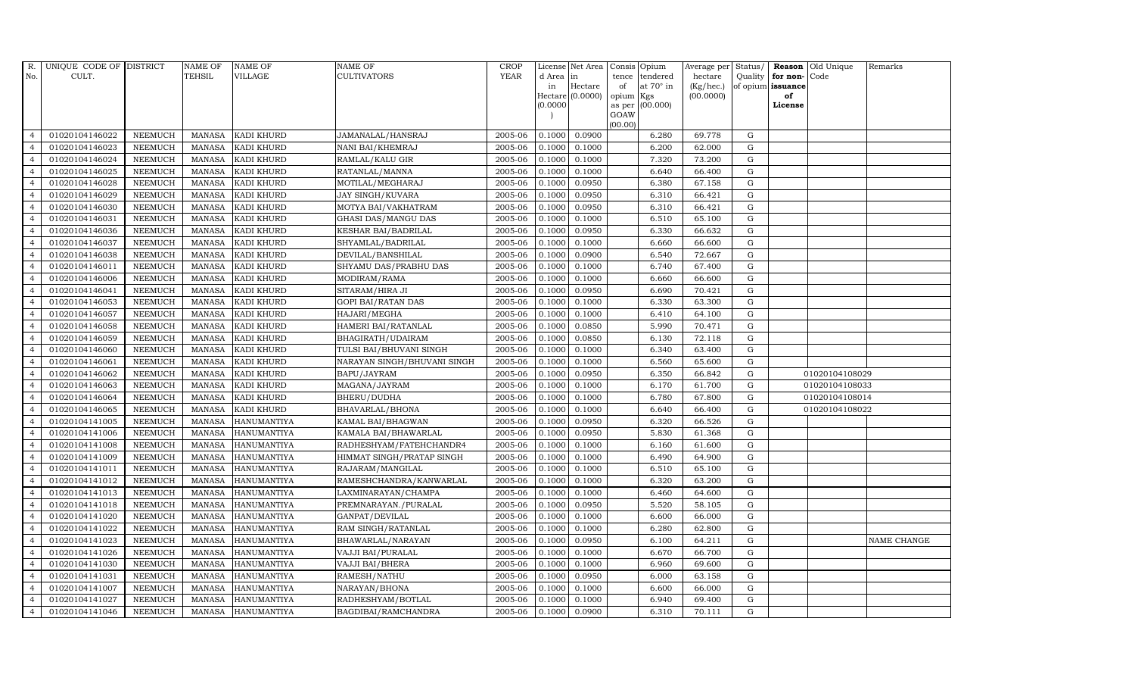| R.             | UNIQUE CODE OF DISTRICT |                | <b>NAME OF</b> | <b>NAME OF</b>     | <b>NAME OF</b>              | CROP        |           | License Net Area Consis Opium |           |                  | Average per | Status/     | Reason            | Old Unique     | Remarks     |
|----------------|-------------------------|----------------|----------------|--------------------|-----------------------------|-------------|-----------|-------------------------------|-----------|------------------|-------------|-------------|-------------------|----------------|-------------|
| No.            | CULT.                   |                | <b>TEHSIL</b>  | <b>VILLAGE</b>     | <b>CULTIVATORS</b>          | <b>YEAR</b> | d Area in |                               |           | tence tendered   | hectare     | Quality     | for non-          | Code           |             |
|                |                         |                |                |                    |                             |             | in        | Hectare                       | of        | at $70^\circ$ in | (Kg/hec.)   |             | of opium issuance |                |             |
|                |                         |                |                |                    |                             |             |           | Hectare (0.0000)              | opium Kgs |                  | (00.0000)   |             | of                |                |             |
|                |                         |                |                |                    |                             |             | (0.0000)  |                               | GOAW      | as per (00.000)  |             |             | License           |                |             |
|                |                         |                |                |                    |                             |             |           |                               | (00.00)   |                  |             |             |                   |                |             |
| $\overline{4}$ | 01020104146022          | <b>NEEMUCH</b> | MANASA         | <b>KADI KHURD</b>  | JAMANALAL/HANSRAJ           | 2005-06     | 0.1000    | 0.0900                        |           | 6.280            | 69.778      | ${\rm G}$   |                   |                |             |
| $\overline{a}$ | 01020104146023          | <b>NEEMUCH</b> | MANASA         | KADI KHURD         | NANI BAI/KHEMRAJ            | 2005-06     | 0.1000    | 0.1000                        |           | 6.200            | 62.000      | $\mathbf G$ |                   |                |             |
| $\overline{4}$ | 01020104146024          | <b>NEEMUCH</b> | <b>MANASA</b>  | <b>KADI KHURD</b>  | RAMLAL/KALU GIR             | 2005-06     | 0.1000    | 0.1000                        |           | 7.320            | 73.200      | G           |                   |                |             |
|                | 01020104146025          | <b>NEEMUCH</b> | MANASA         | KADI KHURD         | RATANLAL/MANNA              | 2005-06     | 0.1000    | 0.1000                        |           | 6.640            | 66.400      | $\mathbf G$ |                   |                |             |
| $\overline{4}$ | 01020104146028          | <b>NEEMUCH</b> | <b>MANASA</b>  | KADI KHURD         | MOTILAL/MEGHARAJ            | 2005-06     | 0.1000    | 0.0950                        |           | 6.380            | 67.158      | ${\rm G}$   |                   |                |             |
| $\overline{4}$ | 01020104146029          | <b>NEEMUCH</b> | <b>MANASA</b>  | <b>KADI KHURD</b>  | JAY SINGH/KUVARA            | 2005-06     | 0.1000    | 0.0950                        |           | 6.310            | 66.421      | $\mathbf G$ |                   |                |             |
| $\overline{4}$ | 01020104146030          | <b>NEEMUCH</b> | <b>MANASA</b>  | KADI KHURD         | MOTYA BAI/VAKHATRAM         | 2005-06     | 0.1000    | 0.0950                        |           | 6.310            | 66.421      | $\mathbf G$ |                   |                |             |
| $\overline{4}$ | 01020104146031          | <b>NEEMUCH</b> | <b>MANASA</b>  | KADI KHURD         | <b>GHASI DAS/MANGU DAS</b>  | 2005-06     | 0.1000    | 0.1000                        |           | 6.510            | 65.100      | $\mathbf G$ |                   |                |             |
|                | 01020104146036          | <b>NEEMUCH</b> | <b>MANASA</b>  | <b>KADI KHURD</b>  | KESHAR BAI/BADRILAL         | 2005-06     | 0.1000    | 0.0950                        |           | 6.330            | 66.632      | $\mathbf G$ |                   |                |             |
| $\overline{4}$ | 01020104146037          | <b>NEEMUCH</b> | <b>MANASA</b>  | KADI KHURD         | SHYAMLAL/BADRILAL           | 2005-06     | 0.1000    | 0.1000                        |           | 6.660            | 66.600      | ${\bf G}$   |                   |                |             |
| $\overline{4}$ | 01020104146038          | <b>NEEMUCH</b> | <b>MANASA</b>  | KADI KHURD         | DEVILAL/BANSHILAL           | 2005-06     | 0.1000    | 0.0900                        |           | 6.540            | 72.667      | ${\rm G}$   |                   |                |             |
| $\overline{4}$ | 01020104146011          | <b>NEEMUCH</b> | MANASA         | <b>KADI KHURD</b>  | SHYAMU DAS/PRABHU DAS       | 2005-06     | 0.1000    | 0.1000                        |           | 6.740            | 67.400      | $\mathbf G$ |                   |                |             |
| $\overline{4}$ | 01020104146006          | <b>NEEMUCH</b> | <b>MANASA</b>  | KADI KHURD         | MODIRAM/RAMA                | 2005-06     | 0.1000    | 0.1000                        |           | 6.660            | 66.600      | $\mathbf G$ |                   |                |             |
| $\overline{4}$ | 01020104146041          | <b>NEEMUCH</b> | <b>MANASA</b>  | KADI KHURD         | SITARAM/HIRA JI             | 2005-06     | 0.1000    | 0.0950                        |           | 6.690            | 70.421      | G           |                   |                |             |
| $\overline{4}$ | 01020104146053          | <b>NEEMUCH</b> | <b>MANASA</b>  | <b>KADI KHURD</b>  | GOPI BAI/RATAN DAS          | 2005-06     | 0.1000    | 0.1000                        |           | 6.330            | 63.300      | G           |                   |                |             |
| $\overline{4}$ | 01020104146057          | <b>NEEMUCH</b> | <b>MANASA</b>  | KADI KHURD         | HAJARI/MEGHA                | 2005-06     | 0.1000    | 0.1000                        |           | 6.410            | 64.100      | ${\rm G}$   |                   |                |             |
| $\overline{4}$ | 01020104146058          | <b>NEEMUCH</b> | MANASA         | KADI KHURD         | HAMERI BAI/RATANLAL         | 2005-06     | 0.1000    | 0.0850                        |           | 5.990            | 70.471      | G           |                   |                |             |
| $\overline{4}$ | 01020104146059          | <b>NEEMUCH</b> | MANASA         | <b>KADI KHURD</b>  | BHAGIRATH/UDAIRAM           | 2005-06     | 0.1000    | 0.0850                        |           | 6.130            | 72.118      | G           |                   |                |             |
| $\overline{4}$ | 01020104146060          | <b>NEEMUCH</b> | <b>MANASA</b>  | KADI KHURD         | TULSI BAI/BHUVANI SINGH     | 2005-06     | 0.1000    | 0.1000                        |           | 6.340            | 63.400      | $\mathbf G$ |                   |                |             |
| $\overline{4}$ | 01020104146061          | <b>NEEMUCH</b> | <b>MANASA</b>  | <b>KADI KHURD</b>  | NARAYAN SINGH/BHUVANI SINGH | 2005-06     | 0.1000    | 0.1000                        |           | 6.560            | 65.600      | G           |                   |                |             |
| 4              | 01020104146062          | <b>NEEMUCH</b> | <b>MANASA</b>  | KADI KHURD         | BAPU/JAYRAM                 | 2005-06     | 0.1000    | 0.0950                        |           | 6.350            | 66.842      | ${\rm G}$   |                   | 01020104108029 |             |
| $\overline{4}$ | 01020104146063          | <b>NEEMUCH</b> | <b>MANASA</b>  | KADI KHURD         | MAGANA/JAYRAM               | 2005-06     | 0.1000    | 0.1000                        |           | 6.170            | 61.700      | ${\rm G}$   |                   | 01020104108033 |             |
| $\overline{4}$ | 01020104146064          | <b>NEEMUCH</b> | MANASA         | <b>KADI KHURD</b>  | BHERU/DUDHA                 | 2005-06     | 0.1000    | 0.1000                        |           | 6.780            | 67.800      | G           |                   | 01020104108014 |             |
| $\overline{4}$ | 01020104146065          | <b>NEEMUCH</b> | <b>MANASA</b>  | KADI KHURD         | BHAVARLAL/BHONA             | 2005-06     | 0.1000    | 0.1000                        |           | 6.640            | 66.400      | $\mathbf G$ |                   | 01020104108022 |             |
| $\overline{4}$ | 01020104141005          | <b>NEEMUCH</b> | <b>MANASA</b>  | HANUMANTIYA        | KAMAL BAI/BHAGWAN           | 2005-06     | 0.1000    | 0.0950                        |           | 6.320            | 66.526      | ${\rm G}$   |                   |                |             |
| $\overline{4}$ | 01020104141006          | <b>NEEMUCH</b> | <b>MANASA</b>  | <b>HANUMANTIYA</b> | KAMALA BAI/BHAWARLAL        | 2005-06     | 0.1000    | 0.0950                        |           | 5.830            | 61.368      | G           |                   |                |             |
| $\overline{4}$ | 01020104141008          | <b>NEEMUCH</b> | <b>MANASA</b>  | <b>HANUMANTIYA</b> | RADHESHYAM/FATEHCHANDR4     | 2005-06     | 0.1000    | 0.1000                        |           | 6.160            | 61.600      | ${\rm G}$   |                   |                |             |
| $\overline{4}$ | 01020104141009          | <b>NEEMUCH</b> | MANASA         | <b>HANUMANTIYA</b> | HIMMAT SINGH/PRATAP SINGH   | 2005-06     | 0.1000    | 0.1000                        |           | 6.490            | 64.900      | G           |                   |                |             |
| $\overline{4}$ | 01020104141011          | <b>NEEMUCH</b> | <b>MANASA</b>  | <b>HANUMANTIYA</b> | RAJARAM / MANGILAL          | 2005-06     | 0.1000    | 0.1000                        |           | 6.510            | 65.100      | $\mathbf G$ |                   |                |             |
| $\overline{4}$ | 01020104141012          | <b>NEEMUCH</b> | <b>MANASA</b>  | <b>HANUMANTIYA</b> | RAMESHCHANDRA/KANWARLAL     | 2005-06     | 0.1000    | 0.1000                        |           | 6.320            | 63.200      | $\mathbf G$ |                   |                |             |
| $\overline{4}$ | 01020104141013          | <b>NEEMUCH</b> | <b>MANASA</b>  | <b>HANUMANTIYA</b> | LAXMINARAYAN/CHAMPA         | 2005-06     | 0.1000    | 0.1000                        |           | 6.460            | 64.600      | G           |                   |                |             |
| $\overline{4}$ | 01020104141018          | <b>NEEMUCH</b> | <b>MANASA</b>  | <b>HANUMANTIYA</b> | PREMNARAYAN./PURALAL        | 2005-06     | 0.1000    | 0.0950                        |           | 5.520            | 58.105      | ${\rm G}$   |                   |                |             |
| $\overline{4}$ | 01020104141020          | <b>NEEMUCH</b> | <b>MANASA</b>  | HANUMANTIYA        | GANPAT/DEVILAL              | 2005-06     | 0.1000    | 0.1000                        |           | 6.600            | 66.000      | $\mathbf G$ |                   |                |             |
| $\overline{4}$ | 01020104141022          | <b>NEEMUCH</b> | <b>MANASA</b>  | <b>HANUMANTIYA</b> | RAM SINGH/RATANLAL          | 2005-06     | 0.1000    | 0.1000                        |           | 6.280            | 62.800      | $\mathbf G$ |                   |                |             |
| $\overline{4}$ | 01020104141023          | <b>NEEMUCH</b> | <b>MANASA</b>  | <b>HANUMANTIYA</b> | BHAWARLAL/NARAYAN           | 2005-06     | 0.1000    | 0.0950                        |           | 6.100            | 64.211      | $\mathbf G$ |                   |                | NAME CHANGE |
| $\overline{4}$ | 01020104141026          | <b>NEEMUCH</b> | <b>MANASA</b>  | HANUMANTIYA        | VAJJI BAI/PURALAL           | 2005-06     | 0.1000    | 0.1000                        |           | 6.670            | 66.700      | ${\rm G}$   |                   |                |             |
| $\overline{4}$ | 01020104141030          | <b>NEEMUCH</b> | <b>MANASA</b>  | <b>HANUMANTIYA</b> | VAJJI BAI/BHERA             | 2005-06     | 0.1000    | 0.1000                        |           | 6.960            | 69.600      | ${\rm G}$   |                   |                |             |
| $\overline{4}$ | 01020104141031          | <b>NEEMUCH</b> | <b>MANASA</b>  | HANUMANTIYA        | RAMESH/NATHU                | 2005-06     | 0.1000    | 0.0950                        |           | 6.000            | 63.158      | $\mathbf G$ |                   |                |             |
| $\overline{4}$ | 01020104141007          | <b>NEEMUCH</b> | <b>MANASA</b>  | <b>HANUMANTIYA</b> | NARAYAN/BHONA               | 2005-06     | 0.1000    | 0.1000                        |           | 6.600            | 66.000      | $\mathbf G$ |                   |                |             |
| $\overline{4}$ | 01020104141027          | <b>NEEMUCH</b> | <b>MANASA</b>  | <b>HANUMANTIYA</b> | RADHESHYAM/BOTLAL           | 2005-06     | 0.1000    | 0.1000                        |           | 6.940            | 69.400      | $\mathbf G$ |                   |                |             |
| $\overline{4}$ | 01020104141046          | <b>NEEMUCH</b> |                | MANASA HANUMANTIYA | BAGDIBAI/RAMCHANDRA         | 2005-06     | 0.1000    | 0.0900                        |           | 6.310            | 70.111      | G           |                   |                |             |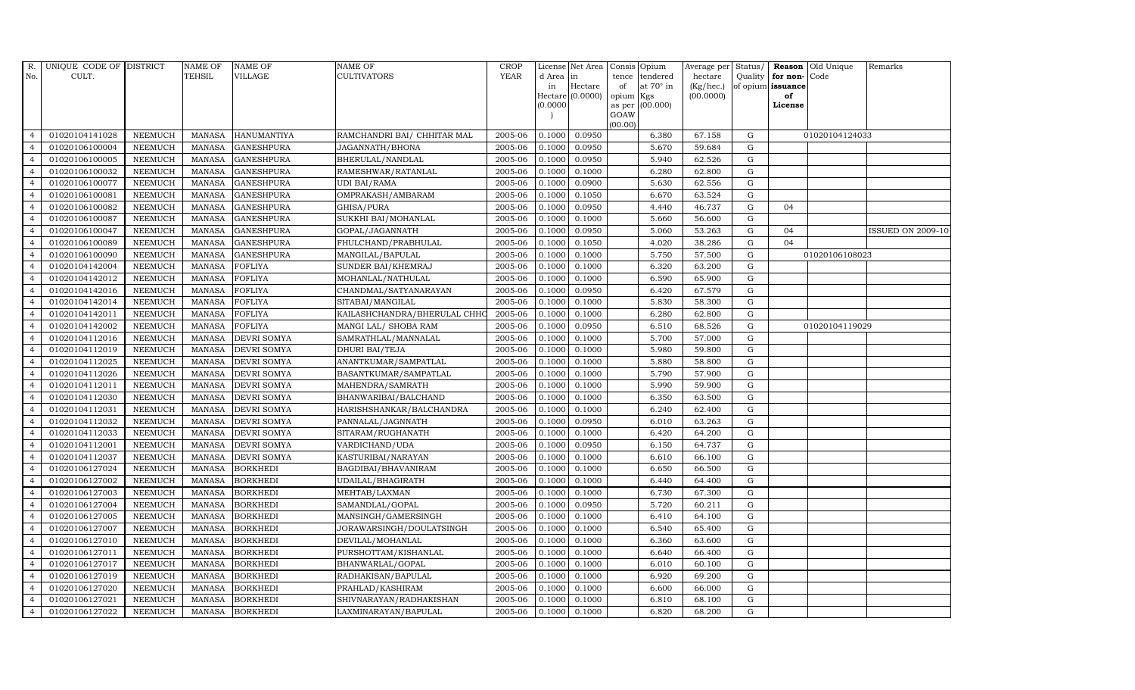| R.             | UNIQUE CODE OF DISTRICT |                | <b>NAME OF</b> | <b>NAME OF</b>     | <b>NAME OF</b>               | CROP        |           | License Net Area   Consis   Opium |           |                  | Average per | Status/     | Reason            | Old Unique     | Remarks                  |
|----------------|-------------------------|----------------|----------------|--------------------|------------------------------|-------------|-----------|-----------------------------------|-----------|------------------|-------------|-------------|-------------------|----------------|--------------------------|
| No.            | CULT.                   |                | <b>TEHSIL</b>  | <b>VILLAGE</b>     | <b>CULTIVATORS</b>           | <b>YEAR</b> | d Area in |                                   |           | tence tendered   | hectare     | Quality     | for non-          | Code           |                          |
|                |                         |                |                |                    |                              |             | in        | Hectare                           | of        | at $70^\circ$ in | (Kg/hec.)   |             | of opium issuance |                |                          |
|                |                         |                |                |                    |                              |             |           | Hectare (0.0000)                  | opium Kgs |                  | (00.0000)   |             | of<br>License     |                |                          |
|                |                         |                |                |                    |                              |             | (0.0000)  |                                   | GOAW      | as per (00.000)  |             |             |                   |                |                          |
|                |                         |                |                |                    |                              |             |           |                                   | (00.00)   |                  |             |             |                   |                |                          |
| $\overline{4}$ | 01020104141028          | <b>NEEMUCH</b> | MANASA         | <b>HANUMANTIYA</b> | RAMCHANDRI BAI/ CHHITAR MAL  | 2005-06     | 0.1000    | 0.0950                            |           | 6.380            | 67.158      | G           |                   | 01020104124033 |                          |
| $\overline{a}$ | 01020106100004          | <b>NEEMUCH</b> | MANASA         | <b>GANESHPURA</b>  | JAGANNATH/BHONA              | 2005-06     | 0.1000    | 0.0950                            |           | 5.670            | 59.684      | $\mathbf G$ |                   |                |                          |
| $\overline{4}$ | 01020106100005          | <b>NEEMUCH</b> | <b>MANASA</b>  | <b>GANESHPURA</b>  | BHERULAL/NANDLAL             | 2005-06     | 0.1000    | 0.0950                            |           | 5.940            | 62.526      | G           |                   |                |                          |
|                | 01020106100032          | <b>NEEMUCH</b> | MANASA         | <b>GANESHPURA</b>  | RAMESHWAR/RATANLAL           | 2005-06     | 0.1000    | 0.1000                            |           | 6.280            | 62.800      | $\mathbf G$ |                   |                |                          |
| $\overline{4}$ | 01020106100077          | <b>NEEMUCH</b> | <b>MANASA</b>  | <b>GANESHPURA</b>  | <b>UDI BAI/RAMA</b>          | 2005-06     | 0.1000    | 0.0900                            |           | 5.630            | 62.556      | ${\rm G}$   |                   |                |                          |
| $\overline{4}$ | 01020106100081          | <b>NEEMUCH</b> | <b>MANASA</b>  | <b>GANESHPURA</b>  | OMPRAKASH/AMBARAM            | 2005-06     | 0.1000    | 0.1050                            |           | 6.670            | 63.524      | $\mathbf G$ |                   |                |                          |
| $\overline{4}$ | 01020106100082          | <b>NEEMUCH</b> | <b>MANASA</b>  | <b>GANESHPURA</b>  | GHISA/PURA                   | 2005-06     | 0.1000    | 0.0950                            |           | 4.440            | 46.737      | $\mathbf G$ | 04                |                |                          |
| $\overline{4}$ | 01020106100087          | <b>NEEMUCH</b> | <b>MANASA</b>  | <b>GANESHPURA</b>  | SUKKHI BAI/MOHANLAL          | 2005-06     | 0.1000    | 0.1000                            |           | 5.660            | 56.600      | $\mathbf G$ |                   |                |                          |
|                | 01020106100047          | <b>NEEMUCH</b> | <b>MANASA</b>  | <b>GANESHPURA</b>  | GOPAL/JAGANNATH              | 2005-06     | 0.1000    | 0.0950                            |           | 5.060            | 53.263      | $\mathbf G$ | 04                |                | <b>ISSUED ON 2009-10</b> |
| $\overline{4}$ | 01020106100089          | <b>NEEMUCH</b> | <b>MANASA</b>  | <b>GANESHPURA</b>  | FHULCHAND/PRABHULAL          | 2005-06     | 0.1000    | 0.1050                            |           | 4.020            | 38.286      | $\mathbf G$ | 04                |                |                          |
| $\overline{4}$ | 01020106100090          | <b>NEEMUCH</b> | <b>MANASA</b>  | <b>GANESHPURA</b>  | MANGILAL/BAPULAL             | 2005-06     | 0.1000    | 0.1000                            |           | 5.750            | 57.500      | ${\rm G}$   |                   | 01020106108023 |                          |
| $\overline{4}$ | 01020104142004          | <b>NEEMUCH</b> | <b>MANASA</b>  | <b>FOFLIYA</b>     | SUNDER BAI/KHEMRAJ           | 2005-06     | 0.1000    | 0.1000                            |           | 6.320            | 63.200      | $\mathbf G$ |                   |                |                          |
| $\overline{4}$ | 01020104142012          | <b>NEEMUCH</b> | <b>MANASA</b>  | <b>FOFLIYA</b>     | MOHANLAL/NATHULAL            | 2005-06     | 0.1000    | 0.1000                            |           | 6.590            | 65.900      | $\mathbf G$ |                   |                |                          |
| $\overline{4}$ | 01020104142016          | <b>NEEMUCH</b> | <b>MANASA</b>  | <b>FOFLIYA</b>     | CHANDMAL/SATYANARAYAN        | 2005-06     | 0.1000    | 0.0950                            |           | 6.420            | 67.579      | $\mathbf G$ |                   |                |                          |
| $\overline{4}$ | 01020104142014          | <b>NEEMUCH</b> | <b>MANASA</b>  | <b>FOFLIYA</b>     | SITABAI/MANGILAL             | 2005-06     | 0.1000    | 0.1000                            |           | 5.830            | 58.300      | G           |                   |                |                          |
| $\overline{4}$ | 01020104142011          | <b>NEEMUCH</b> | <b>MANASA</b>  | <b>FOFLIYA</b>     | KAILASHCHANDRA/BHERULAL CHHO | 2005-06     | 0.1000    | 0.1000                            |           | 6.280            | 62.800      | ${\rm G}$   |                   |                |                          |
| $\overline{4}$ | 01020104142002          | <b>NEEMUCH</b> | <b>MANASA</b>  | <b>FOFLIYA</b>     | MANGI LAL/ SHOBA RAM         | 2005-06     | 0.1000    | 0.0950                            |           | 6.510            | 68.526      | ${\rm G}$   |                   | 01020104119029 |                          |
| $\overline{4}$ | 01020104112016          | <b>NEEMUCH</b> | MANASA         | <b>DEVRI SOMYA</b> | SAMRATHLAL/MANNALAL          | 2005-06     | 0.1000    | 0.1000                            |           | 5.700            | 57.000      | G           |                   |                |                          |
| $\overline{4}$ | 01020104112019          | <b>NEEMUCH</b> | <b>MANASA</b>  | <b>DEVRI SOMYA</b> | DHURI BAI/TEJA               | 2005-06     | 0.1000    | 0.1000                            |           | 5.980            | 59.800      | $\mathbf G$ |                   |                |                          |
| $\overline{4}$ | 01020104112025          | <b>NEEMUCH</b> | <b>MANASA</b>  | <b>DEVRI SOMYA</b> | ANANTKUMAR/SAMPATLAL         | 2005-06     | 0.1000    | 0.1000                            |           | 5.880            | 58.800      | $\mathbf G$ |                   |                |                          |
| 4              | 01020104112026          | <b>NEEMUCH</b> | <b>MANASA</b>  | <b>DEVRI SOMYA</b> | BASANTKUMAR/SAMPATLAL        | 2005-06     | 0.1000    | 0.1000                            |           | 5.790            | 57.900      | ${\rm G}$   |                   |                |                          |
| $\overline{4}$ | 01020104112011          | NEEMUCH        | <b>MANASA</b>  | <b>DEVRI SOMYA</b> | MAHENDRA/SAMRATH             | 2005-06     | 0.1000    | 0.1000                            |           | 5.990            | 59.900      | ${\rm G}$   |                   |                |                          |
| $\overline{4}$ | 01020104112030          | <b>NEEMUCH</b> | MANASA         | <b>DEVRI SOMYA</b> | BHANWARIBAI/BALCHAND         | 2005-06     | 0.1000    | 0.1000                            |           | 6.350            | 63.500      | G           |                   |                |                          |
| $\overline{4}$ | 01020104112031          | <b>NEEMUCH</b> | <b>MANASA</b>  | <b>DEVRI SOMYA</b> | HARISHSHANKAR/BALCHANDRA     | 2005-06     | 0.1000    | 0.1000                            |           | 6.240            | 62.400      | $\mathbf G$ |                   |                |                          |
| $\overline{4}$ | 01020104112032          | <b>NEEMUCH</b> | <b>MANASA</b>  | <b>DEVRI SOMYA</b> | PANNALAL/JAGNNATH            | 2005-06     | 0.1000    | 0.0950                            |           | 6.010            | 63.263      | $\mathbf G$ |                   |                |                          |
| $\overline{4}$ | 01020104112033          | <b>NEEMUCH</b> | <b>MANASA</b>  | <b>DEVRI SOMYA</b> | SITARAM/RUGHANATH            | 2005-06     | 0.1000    | 0.1000                            |           | 6.420            | 64.200      | G           |                   |                |                          |
| $\overline{4}$ | 01020104112001          | <b>NEEMUCH</b> | <b>MANASA</b>  | <b>DEVRI SOMYA</b> | VARDICHAND/UDA               | 2005-06     | 0.1000    | 0.0950                            |           | 6.150            | 64.737      | ${\rm G}$   |                   |                |                          |
| $\overline{4}$ | 01020104112037          | <b>NEEMUCH</b> | <b>MANASA</b>  | <b>DEVRI SOMYA</b> | KASTURIBAI/NARAYAN           | 2005-06     | 0.1000    | 0.1000                            |           | 6.610            | 66.100      | G           |                   |                |                          |
| $\overline{4}$ | 01020106127024          | <b>NEEMUCH</b> | <b>MANASA</b>  | <b>BORKHEDI</b>    | BAGDIBAI/BHAVANIRAM          | 2005-06     | 0.1000    | 0.1000                            |           | 6.650            | 66.500      | $\mathbf G$ |                   |                |                          |
| $\overline{4}$ | 01020106127002          | <b>NEEMUCH</b> | <b>MANASA</b>  | <b>BORKHEDI</b>    | UDAILAL/BHAGIRATH            | 2005-06     | 0.1000    | 0.1000                            |           | 6.440            | 64.400      | $\mathbf G$ |                   |                |                          |
| 4              | 01020106127003          | <b>NEEMUCH</b> | <b>MANASA</b>  | <b>BORKHEDI</b>    | MEHTAB/LAXMAN                | 2005-06     | 0.1000    | 0.1000                            |           | 6.730            | 67.300      | G           |                   |                |                          |
| $\overline{4}$ | 01020106127004          | <b>NEEMUCH</b> | <b>MANASA</b>  | <b>BORKHEDI</b>    | SAMANDLAL/GOPAL              | 2005-06     | 0.1000    | 0.0950                            |           | 5.720            | 60.211      | ${\rm G}$   |                   |                |                          |
| $\overline{4}$ | 01020106127005          | <b>NEEMUCH</b> | MANASA         | <b>BORKHEDI</b>    | MANSINGH/GAMERSINGH          | 2005-06     | 0.1000    | 0.1000                            |           | 6.410            | 64.100      | $\mathbf G$ |                   |                |                          |
| $\overline{4}$ | 01020106127007          | <b>NEEMUCH</b> | <b>MANASA</b>  | <b>BORKHEDI</b>    | JORAWARSINGH/DOULATSINGH     | 2005-06     | 0.1000    | 0.1000                            |           | 6.540            | 65.400      | $\mathbf G$ |                   |                |                          |
| $\overline{4}$ | 01020106127010          | <b>NEEMUCH</b> | <b>MANASA</b>  | <b>BORKHEDI</b>    | DEVILAL/MOHANLAL             | 2005-06     | 0.1000    | 0.1000                            |           | 6.360            | 63.600      | $\mathbf G$ |                   |                |                          |
| $\overline{4}$ | 01020106127011          | <b>NEEMUCH</b> | <b>MANASA</b>  | <b>BORKHEDI</b>    | PURSHOTTAM/KISHANLAL         | 2005-06     | 0.1000    | 0.1000                            |           | 6.640            | 66.400      | $\mathbf G$ |                   |                |                          |
| $\overline{4}$ | 01020106127017          | <b>NEEMUCH</b> | <b>MANASA</b>  | <b>BORKHEDI</b>    | BHANWARLAL/GOPAL             | 2005-06     | 0.1000    | 0.1000                            |           | 6.010            | 60.100      | ${\rm G}$   |                   |                |                          |
| $\overline{4}$ | 01020106127019          | <b>NEEMUCH</b> | <b>MANASA</b>  | <b>BORKHEDI</b>    | RADHAKISAN/BAPULAL           | 2005-06     | 0.1000    | 0.1000                            |           | 6.920            | 69.200      | $\mathbf G$ |                   |                |                          |
| $\overline{4}$ | 01020106127020          | <b>NEEMUCH</b> | <b>MANASA</b>  | <b>BORKHEDI</b>    | PRAHLAD/KASHIRAM             | 2005-06     | 0.1000    | 0.1000                            |           | 6.600            | 66.000      | $\mathbf G$ |                   |                |                          |
| $\overline{4}$ | 01020106127021          | <b>NEEMUCH</b> | <b>MANASA</b>  | <b>BORKHEDI</b>    | SHIVNARAYAN/RADHAKISHAN      | 2005-06     | 0.1000    | 0.1000                            |           | 6.810            | 68.100      | $\mathbf G$ |                   |                |                          |
| $\overline{4}$ | 01020106127022          | <b>NEEMUCH</b> |                | MANASA BORKHEDI    | LAXMINARAYAN/BAPULAL         | 2005-06     | 0.1000    | 0.1000                            |           | 6.820            | 68.200      | G           |                   |                |                          |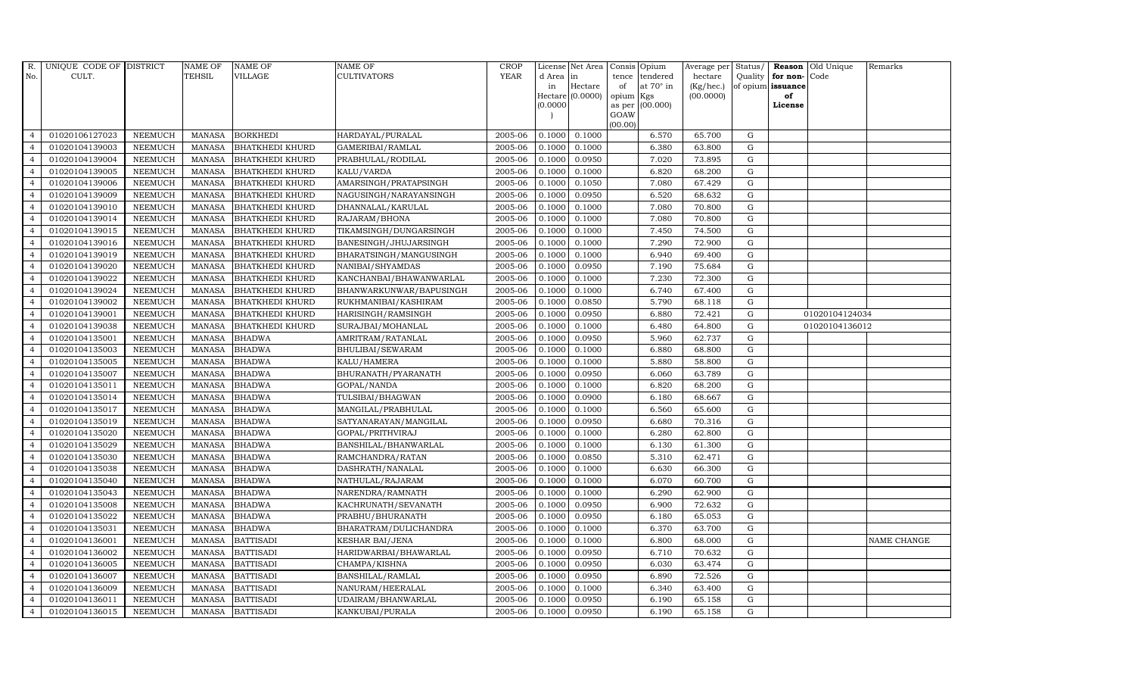| R.             | UNIQUE CODE OF DISTRICT |                | <b>NAME OF</b> | <b>NAME OF</b>         | <b>NAME OF</b>          | <b>CROP</b> |           | License Net Area |                | Consis Opium     | Average per | Status/     |                   | Reason Old Unique | Remarks            |
|----------------|-------------------------|----------------|----------------|------------------------|-------------------------|-------------|-----------|------------------|----------------|------------------|-------------|-------------|-------------------|-------------------|--------------------|
| No.            | CULT.                   |                | TEHSIL         | VILLAGE                | CULTIVATORS             | <b>YEAR</b> | d Area in |                  | tence          | tendered         | hectare     | Quality     | for non-Code      |                   |                    |
|                |                         |                |                |                        |                         |             | in        | Hectare          | of             | at $70^\circ$ in | (Kg/hec.)   |             | of opium issuance |                   |                    |
|                |                         |                |                |                        |                         |             |           | Hectare (0.0000) | opium          | Kgs              | (00.0000)   |             | of                |                   |                    |
|                |                         |                |                |                        |                         |             | (0.0000)  |                  | as per<br>GOAW | (00.000)         |             |             | License           |                   |                    |
|                |                         |                |                |                        |                         |             |           |                  | (00.00)        |                  |             |             |                   |                   |                    |
| $\overline{4}$ | 01020106127023          | <b>NEEMUCH</b> | MANASA         | <b>BORKHEDI</b>        | HARDAYAL/PURALAL        | 2005-06     | 0.1000    | 0.1000           |                | 6.570            | 65.700      | G           |                   |                   |                    |
| $\overline{a}$ | 01020104139003          | <b>NEEMUCH</b> | <b>MANASA</b>  | <b>BHATKHEDI KHURD</b> | GAMERIBAI/RAMLAL        | 2005-06     | 0.1000    | 0.1000           |                | 6.380            | 63.800      | $\mathbf G$ |                   |                   |                    |
| $\overline{4}$ | 01020104139004          | <b>NEEMUCH</b> | <b>MANASA</b>  | <b>BHATKHEDI KHURD</b> | PRABHULAL/RODILAL       | 2005-06     | 0.1000    | 0.0950           |                | 7.020            | 73.895      | G           |                   |                   |                    |
|                | 01020104139005          | <b>NEEMUCH</b> | <b>MANASA</b>  | <b>BHATKHEDI KHURD</b> | KALU/VARDA              | 2005-06     | 0.1000    | 0.1000           |                | 6.820            | 68.200      | ${\rm G}$   |                   |                   |                    |
| $\overline{4}$ | 01020104139006          | <b>NEEMUCH</b> | <b>MANASA</b>  | <b>BHATKHEDI KHURD</b> | AMARSINGH/PRATAPSINGH   | 2005-06     | 0.1000    | 0.1050           |                | 7.080            | 67.429      | ${\rm G}$   |                   |                   |                    |
| $\overline{4}$ | 01020104139009          | <b>NEEMUCH</b> | <b>MANASA</b>  | <b>BHATKHEDI KHURD</b> | NAGUSINGH/NARAYANSINGH  | 2005-06     | 0.1000    | 0.0950           |                | 6.520            | 68.632      | G           |                   |                   |                    |
| $\overline{4}$ | 01020104139010          | <b>NEEMUCH</b> | <b>MANASA</b>  | <b>BHATKHEDI KHURD</b> | DHANNALAL/KARULAL       | 2005-06     | 0.1000    | 0.1000           |                | 7.080            | 70.800      | $\mathbf G$ |                   |                   |                    |
| $\overline{4}$ | 01020104139014          | <b>NEEMUCH</b> | <b>MANASA</b>  | <b>BHATKHEDI KHURD</b> | RAJARAM/BHONA           | 2005-06     | 0.1000    | 0.1000           |                | 7.080            | 70.800      | $\mathbf G$ |                   |                   |                    |
| $\overline{4}$ | 01020104139015          | <b>NEEMUCH</b> | <b>MANASA</b>  | <b>BHATKHEDI KHURD</b> | TIKAMSINGH/DUNGARSINGH  | 2005-06     | 0.1000    | 0.1000           |                | 7.450            | 74.500      | $\mathbf G$ |                   |                   |                    |
| $\overline{4}$ | 01020104139016          | <b>NEEMUCH</b> | <b>MANASA</b>  | <b>BHATKHEDI KHURD</b> | BANESINGH/JHUJARSINGH   | 2005-06     | 0.1000    | 0.1000           |                | 7.290            | 72.900      | G           |                   |                   |                    |
| $\overline{4}$ | 01020104139019          | <b>NEEMUCH</b> | <b>MANASA</b>  | <b>BHATKHEDI KHURD</b> | BHARATSINGH/MANGUSINGH  | 2005-06     | 0.1000    | 0.1000           |                | 6.940            | 69.400      | ${\rm G}$   |                   |                   |                    |
| $\overline{4}$ | 01020104139020          | <b>NEEMUCH</b> | <b>MANASA</b>  | <b>BHATKHEDI KHURD</b> | NANIBAI/SHYAMDAS        | 2005-06     | 0.1000    | 0.0950           |                | 7.190            | 75.684      | $\mathbf G$ |                   |                   |                    |
| $\overline{4}$ | 01020104139022          | <b>NEEMUCH</b> | <b>MANASA</b>  | <b>BHATKHEDI KHURD</b> | KANCHANBAI/BHAWANWARLAL | 2005-06     | 0.1000    | 0.1000           |                | 7.230            | 72.300      | $\mathbf G$ |                   |                   |                    |
| $\overline{4}$ | 01020104139024          | <b>NEEMUCH</b> | <b>MANASA</b>  | <b>BHATKHEDI KHURD</b> | BHANWARKUNWAR/BAPUSINGH | 2005-06     | 0.1000    | 0.1000           |                | 6.740            | 67.400      | G           |                   |                   |                    |
| $\overline{4}$ | 01020104139002          | <b>NEEMUCH</b> | <b>MANASA</b>  | <b>BHATKHEDI KHURD</b> | RUKHMANIBAI/KASHIRAM    | 2005-06     | 0.1000    | 0.0850           |                | 5.790            | 68.118      | ${\rm G}$   |                   |                   |                    |
| $\overline{4}$ | 01020104139001          | <b>NEEMUCH</b> | <b>MANASA</b>  | <b>BHATKHEDI KHURD</b> | HARISINGH/RAMSINGH      | 2005-06     | 0.1000    | 0.0950           |                | 6.880            | 72.421      | ${\rm G}$   |                   | 01020104124034    |                    |
| $\overline{4}$ | 01020104139038          | <b>NEEMUCH</b> | <b>MANASA</b>  | <b>BHATKHEDI KHURD</b> | SURAJBAI/MOHANLAL       | 2005-06     | 0.1000    | 0.1000           |                | 6.480            | 64.800      | G           |                   | 01020104136012    |                    |
| $\overline{4}$ | 01020104135001          | <b>NEEMUCH</b> | <b>MANASA</b>  | <b>BHADWA</b>          | AMRITRAM/RATANLAL       | 2005-06     | 0.1000    | 0.0950           |                | 5.960            | 62.737      | $\mathbf G$ |                   |                   |                    |
| $\overline{4}$ | 01020104135003          | <b>NEEMUCH</b> | <b>MANASA</b>  | <b>BHADWA</b>          | BHULIBAI/SEWARAM        | 2005-06     | 0.1000    | 0.1000           |                | 6.880            | 68.800      | $\mathbf G$ |                   |                   |                    |
| $\overline{4}$ | 01020104135005          | <b>NEEMUCH</b> | <b>MANASA</b>  | <b>BHADWA</b>          | KALU/HAMERA             | 2005-06     | 0.1000    | 0.1000           |                | 5.880            | 58.800      | $\mathbf G$ |                   |                   |                    |
| $\overline{4}$ | 01020104135007          | <b>NEEMUCH</b> | <b>MANASA</b>  | <b>BHADWA</b>          | BHURANATH/PYARANATH     | 2005-06     | 0.1000    | 0.0950           |                | 6.060            | 63.789      | G           |                   |                   |                    |
| $\overline{4}$ | 01020104135011          | <b>NEEMUCH</b> | <b>MANASA</b>  | <b>BHADWA</b>          | GOPAL/NANDA             | 2005-06     | 0.1000    | 0.1000           |                | 6.820            | 68.200      | G           |                   |                   |                    |
| $\overline{4}$ | 01020104135014          | <b>NEEMUCH</b> | <b>MANASA</b>  | <b>BHADWA</b>          | TULSIBAI/BHAGWAN        | 2005-06     | 0.1000    | 0.0900           |                | 6.180            | 68.667      | G           |                   |                   |                    |
| $\overline{4}$ | 01020104135017          | <b>NEEMUCH</b> | <b>MANASA</b>  | <b>BHADWA</b>          | MANGILAL/PRABHULAL      | 2005-06     | 0.1000    | 0.1000           |                | 6.560            | 65.600      | $\mathbf G$ |                   |                   |                    |
| $\overline{4}$ | 01020104135019          | <b>NEEMUCH</b> | <b>MANASA</b>  | <b>BHADWA</b>          | SATYANARAYAN/MANGILAL   | 2005-06     | 0.1000    | 0.0950           |                | 6.680            | 70.316      | G           |                   |                   |                    |
| 4              | 01020104135020          | <b>NEEMUCH</b> | <b>MANASA</b>  | <b>BHADWA</b>          | GOPAL/PRITHVIRAJ        | 2005-06     | 0.1000    | 0.1000           |                | 6.280            | 62.800      | G           |                   |                   |                    |
| $\overline{4}$ | 01020104135029          | <b>NEEMUCH</b> | <b>MANASA</b>  | <b>BHADWA</b>          | BANSHILAL/BHANWARLAL    | 2005-06     | 0.1000    | 0.1000           |                | 6.130            | 61.300      | G           |                   |                   |                    |
| $\overline{4}$ | 01020104135030          | <b>NEEMUCH</b> | <b>MANASA</b>  | <b>BHADWA</b>          | RAMCHANDRA/RATAN        | 2005-06     | 0.1000    | 0.0850           |                | 5.310            | 62.471      | G           |                   |                   |                    |
| $\overline{4}$ | 01020104135038          | <b>NEEMUCH</b> | <b>MANASA</b>  | <b>BHADWA</b>          | DASHRATH/NANALAL        | 2005-06     | 0.1000    | 0.1000           |                | 6.630            | 66.300      | $\mathbf G$ |                   |                   |                    |
| $\overline{4}$ | 01020104135040          | <b>NEEMUCH</b> | <b>MANASA</b>  | <b>BHADWA</b>          | NATHULAL/RAJARAM        | 2005-06     | 0.1000    | 0.1000           |                | 6.070            | 60.700      | $\mathbf G$ |                   |                   |                    |
| $\overline{4}$ | 01020104135043          | <b>NEEMUCH</b> | <b>MANASA</b>  | <b>BHADWA</b>          | NARENDRA/RAMNATH        | 2005-06     | 0.1000    | 0.1000           |                | 6.290            | 62.900      | G           |                   |                   |                    |
| $\overline{4}$ | 01020104135008          | <b>NEEMUCH</b> | <b>MANASA</b>  | <b>BHADWA</b>          | KACHRUNATH/SEVANATH     | 2005-06     | 0.1000    | 0.0950           |                | 6.900            | 72.632      | ${\rm G}$   |                   |                   |                    |
| $\overline{4}$ | 01020104135022          | <b>NEEMUCH</b> | <b>MANASA</b>  | <b>BHADWA</b>          | PRABHU/BHURANATH        | 2005-06     | 0.1000    | 0.0950           |                | 6.180            | 65.053      | $\mathbf G$ |                   |                   |                    |
| $\overline{4}$ | 01020104135031          | <b>NEEMUCH</b> | <b>MANASA</b>  | <b>BHADWA</b>          | BHARATRAM/DULICHANDRA   | 2005-06     | 0.1000    | 0.1000           |                | 6.370            | 63.700      | $\mathbf G$ |                   |                   |                    |
| $\overline{4}$ | 01020104136001          | <b>NEEMUCH</b> | <b>MANASA</b>  | <b>BATTISADI</b>       | <b>KESHAR BAI/JENA</b>  | 2005-06     | 0.1000    | 0.1000           |                | 6.800            | 68.000      | $\mathbf G$ |                   |                   | <b>NAME CHANGE</b> |
| $\overline{4}$ | 01020104136002          | <b>NEEMUCH</b> | <b>MANASA</b>  | <b>BATTISADI</b>       | HARIDWARBAI/BHAWARLAL   | 2005-06     | 0.1000    | 0.0950           |                | 6.710            | 70.632      | ${\rm G}$   |                   |                   |                    |
| $\overline{4}$ | 01020104136005          | <b>NEEMUCH</b> | <b>MANASA</b>  | <b>BATTISADI</b>       | CHAMPA/KISHNA           | 2005-06     | 0.1000    | 0.0950           |                | 6.030            | 63.474      | ${\rm G}$   |                   |                   |                    |
| $\overline{4}$ | 01020104136007          | <b>NEEMUCH</b> | <b>MANASA</b>  | <b>BATTISADI</b>       | BANSHILAL/RAMLAL        | 2005-06     | 0.1000    | 0.0950           |                | 6.890            | 72.526      | ${\rm G}$   |                   |                   |                    |
| $\overline{4}$ | 01020104136009          | <b>NEEMUCH</b> | <b>MANASA</b>  | <b>BATTISADI</b>       | NANURAM/HEERALAL        | 2005-06     | 0.1000    | 0.1000           |                | 6.340            | 63.400      | $\mathbf G$ |                   |                   |                    |
| $\overline{4}$ | 01020104136011          | <b>NEEMUCH</b> | <b>MANASA</b>  | <b>BATTISADI</b>       | UDAIRAM/BHANWARLAL      | 2005-06     | 0.1000    | 0.0950           |                | 6.190            | 65.158      | $\mathbf G$ |                   |                   |                    |
| $\overline{4}$ | 01020104136015          | <b>NEEMUCH</b> |                | MANASA BATTISADI       | KANKUBAI/PURALA         | 2005-06     | 0.1000    | 0.0950           |                | 6.190            | 65.158      | G           |                   |                   |                    |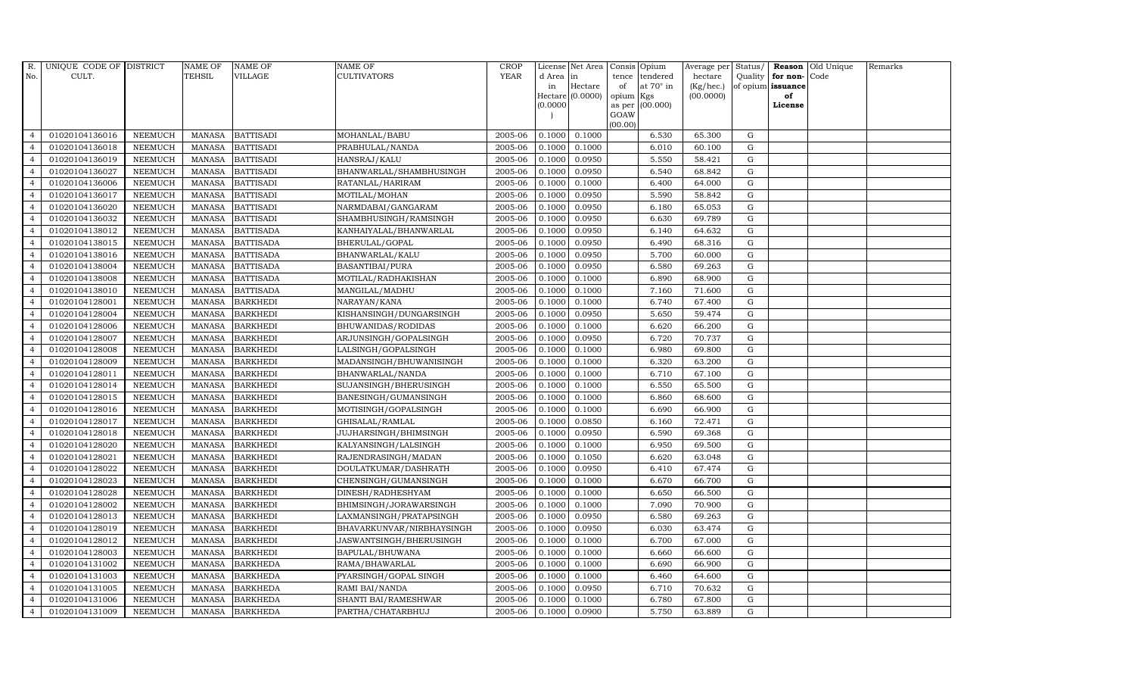| R.             | UNIQUE CODE OF DISTRICT |                | <b>NAME OF</b> | <b>NAME OF</b>   | <b>NAME OF</b>            | <b>CROP</b> |           | License Net Area | Consis          | Opium            | Average per  | Status/     |                   | Reason Old Unique | Remarks |
|----------------|-------------------------|----------------|----------------|------------------|---------------------------|-------------|-----------|------------------|-----------------|------------------|--------------|-------------|-------------------|-------------------|---------|
| No.            | CULT.                   |                | <b>TEHSIL</b>  | VILLAGE          | CULTIVATORS               | <b>YEAR</b> | d Area in |                  | tence           | tendered         | hectare      | Quality     | for non-Code      |                   |         |
|                |                         |                |                |                  |                           |             | in        | Hectare          | of              | at $70^\circ$ in | $(Kg/$ hec.) |             | of opium issuance |                   |         |
|                |                         |                |                |                  |                           |             | (0.0000)  | Hectare (0.0000) | opium<br>as per | Kgs<br>(00.000)  | (00.0000)    |             | of<br>License     |                   |         |
|                |                         |                |                |                  |                           |             |           |                  | GOAW            |                  |              |             |                   |                   |         |
|                |                         |                |                |                  |                           |             |           |                  | (00.00)         |                  |              |             |                   |                   |         |
| $\overline{4}$ | 01020104136016          | <b>NEEMUCH</b> | <b>MANASA</b>  | <b>BATTISADI</b> | MOHANLAL/BABU             | 2005-06     | 0.1000    | 0.1000           |                 | 6.530            | 65.300       | G           |                   |                   |         |
| $\overline{4}$ | 01020104136018          | <b>NEEMUCH</b> | <b>MANASA</b>  | <b>BATTISADI</b> | PRABHULAL/NANDA           | 2005-06     | 0.1000    | 0.1000           |                 | 6.010            | 60.100       | ${\rm G}$   |                   |                   |         |
| $\overline{4}$ | 01020104136019          | <b>NEEMUCH</b> | <b>MANASA</b>  | <b>BATTISADI</b> | HANSRAJ/KALU              | 2005-06     | 0.1000    | 0.0950           |                 | 5.550            | 58.421       | $\mathbf G$ |                   |                   |         |
| $\overline{4}$ | 01020104136027          | <b>NEEMUCH</b> | <b>MANASA</b>  | <b>BATTISADI</b> | BHANWARLAL/SHAMBHUSINGH   | 2005-06     | 0.1000    | 0.0950           |                 | 6.540            | 68.842       | $\mathbf G$ |                   |                   |         |
| $\overline{4}$ | 01020104136006          | <b>NEEMUCH</b> | <b>MANASA</b>  | <b>BATTISADI</b> | RATANLAL/HARIRAM          | 2005-06     | 0.1000    | 0.1000           |                 | 6.400            | 64.000       | $\mathbf G$ |                   |                   |         |
| $\overline{4}$ | 01020104136017          | <b>NEEMUCH</b> | <b>MANASA</b>  | <b>BATTISADI</b> | MOTILAL/MOHAN             | 2005-06     | 0.1000    | 0.0950           |                 | 5.590            | 58.842       | G           |                   |                   |         |
| $\overline{4}$ | 01020104136020          | <b>NEEMUCH</b> | <b>MANASA</b>  | <b>BATTISADI</b> | NARMDABAI/GANGARAM        | 2005-06     | 0.1000    | 0.0950           |                 | 6.180            | 65.053       | G           |                   |                   |         |
| $\overline{4}$ | 01020104136032          | <b>NEEMUCH</b> | <b>MANASA</b>  | <b>BATTISADI</b> | SHAMBHUSINGH/RAMSINGH     | 2005-06     | 0.1000    | 0.0950           |                 | 6.630            | 69.789       | G           |                   |                   |         |
| $\overline{4}$ | 01020104138012          | <b>NEEMUCH</b> | <b>MANASA</b>  | <b>BATTISADA</b> | KANHAIYALAL/BHANWARLAL    | 2005-06     | 0.1000    | 0.0950           |                 | 6.140            | 64.632       | $\mathbf G$ |                   |                   |         |
| $\overline{4}$ | 01020104138015          | <b>NEEMUCH</b> | <b>MANASA</b>  | <b>BATTISADA</b> | BHERULAL/GOPAL            | 2005-06     | 0.1000    | 0.0950           |                 | 6.490            | 68.316       | $\mathbf G$ |                   |                   |         |
| $\overline{4}$ | 01020104138016          | <b>NEEMUCH</b> | <b>MANASA</b>  | <b>BATTISADA</b> | BHANWARLAL/KALU           | 2005-06     | 0.1000    | 0.0950           |                 | 5.700            | 60.000       | G           |                   |                   |         |
| $\overline{4}$ | 01020104138004          | <b>NEEMUCH</b> | <b>MANASA</b>  | <b>BATTISADA</b> | <b>BASANTIBAI/PURA</b>    | 2005-06     | 0.1000    | 0.0950           |                 | 6.580            | 69.263       | ${\rm G}$   |                   |                   |         |
| $\overline{4}$ | 01020104138008          | <b>NEEMUCH</b> | <b>MANASA</b>  | <b>BATTISADA</b> | MOTILAL/RADHAKISHAN       | 2005-06     | 0.1000    | 0.1000           |                 | 6.890            | 68.900       | G           |                   |                   |         |
| $\overline{4}$ | 01020104138010          | <b>NEEMUCH</b> | <b>MANASA</b>  | <b>BATTISADA</b> | MANGILAL/MADHU            | 2005-06     | 0.1000    | 0.1000           |                 | 7.160            | 71.600       | $\mathbf G$ |                   |                   |         |
| $\overline{4}$ | 01020104128001          | <b>NEEMUCH</b> | <b>MANASA</b>  | <b>BARKHEDI</b>  | NARAYAN/KANA              | 2005-06     | 0.1000    | 0.1000           |                 | 6.740            | 67.400       | $\mathbf G$ |                   |                   |         |
| $\overline{4}$ | 01020104128004          | <b>NEEMUCH</b> | <b>MANASA</b>  | <b>BARKHEDI</b>  | KISHANSINGH/DUNGARSINGH   | 2005-06     | 0.1000    | 0.0950           |                 | 5.650            | 59.474       | G           |                   |                   |         |
| $\overline{4}$ | 01020104128006          | <b>NEEMUCH</b> | <b>MANASA</b>  | <b>BARKHEDI</b>  | BHUWANIDAS/RODIDAS        | 2005-06     | 0.1000    | 0.1000           |                 | 6.620            | 66.200       | G           |                   |                   |         |
| $\overline{4}$ | 01020104128007          | <b>NEEMUCH</b> | <b>MANASA</b>  | <b>BARKHEDI</b>  | ARJUNSINGH/GOPALSINGH     | 2005-06     | 0.1000    | 0.0950           |                 | 6.720            | 70.737       | G           |                   |                   |         |
| $\overline{4}$ | 01020104128008          | <b>NEEMUCH</b> | <b>MANASA</b>  | <b>BARKHEDI</b>  | LALSINGH/GOPALSINGH       | 2005-06     | 0.1000    | 0.1000           |                 | 6.980            | 69.800       | G           |                   |                   |         |
| $\overline{4}$ | 01020104128009          | <b>NEEMUCH</b> | <b>MANASA</b>  | <b>BARKHEDI</b>  | MADANSINGH/BHUWANISINGH   | 2005-06     | 0.1000    | 0.1000           |                 | 6.320            | 63.200       | $\mathbf G$ |                   |                   |         |
| $\overline{4}$ | 01020104128011          | <b>NEEMUCH</b> | <b>MANASA</b>  | <b>BARKHEDI</b>  | BHANWARLAL/NANDA          | 2005-06     | 0.1000    | 0.1000           |                 | 6.710            | 67.100       | G           |                   |                   |         |
| $\overline{4}$ | 01020104128014          | <b>NEEMUCH</b> | <b>MANASA</b>  | <b>BARKHEDI</b>  | SUJANSINGH/BHERUSINGH     | 2005-06     | 0.1000    | 0.1000           |                 | 6.550            | 65.500       | G           |                   |                   |         |
| $\overline{4}$ | 01020104128015          | <b>NEEMUCH</b> | <b>MANASA</b>  | <b>BARKHEDI</b>  | BANESINGH/GUMANSINGH      | 2005-06     | 0.1000    | 0.1000           |                 | 6.860            | 68.600       | $\mathbf G$ |                   |                   |         |
| $\overline{4}$ | 01020104128016          | <b>NEEMUCH</b> | <b>MANASA</b>  | <b>BARKHEDI</b>  | MOTISINGH/GOPALSINGH      | 2005-06     | 0.1000    | 0.1000           |                 | 6.690            | 66.900       | $\mathbf G$ |                   |                   |         |
| $\overline{4}$ | 01020104128017          | <b>NEEMUCH</b> | <b>MANASA</b>  | <b>BARKHEDI</b>  | GHISALAL/RAMLAL           | 2005-06     | 0.1000    | 0.0850           |                 | 6.160            | 72.471       | $\mathbf G$ |                   |                   |         |
| $\overline{4}$ | 01020104128018          | <b>NEEMUCH</b> | <b>MANASA</b>  | <b>BARKHEDI</b>  | JUJHARSINGH/BHIMSINGH     | 2005-06     | 0.1000    | 0.0950           |                 | 6.590            | 69.368       | G           |                   |                   |         |
| $\overline{4}$ | 01020104128020          | <b>NEEMUCH</b> | <b>MANASA</b>  | <b>BARKHEDI</b>  | KALYANSINGH/LALSINGH      | 2005-06     | 0.1000    | 0.1000           |                 | 6.950            | 69.500       | ${\rm G}$   |                   |                   |         |
| $\overline{4}$ | 01020104128021          | <b>NEEMUCH</b> | <b>MANASA</b>  | <b>BARKHEDI</b>  | RAJENDRASINGH/MADAN       | 2005-06     | 0.1000    | 0.1050           |                 | 6.620            | 63.048       | G           |                   |                   |         |
| $\overline{4}$ | 01020104128022          | <b>NEEMUCH</b> | <b>MANASA</b>  | <b>BARKHEDI</b>  | DOULATKUMAR/DASHRATH      | 2005-06     | 0.1000    | 0.0950           |                 | 6.410            | 67.474       | $\mathbf G$ |                   |                   |         |
| $\overline{4}$ | 01020104128023          | <b>NEEMUCH</b> | <b>MANASA</b>  | <b>BARKHEDI</b>  | CHENSINGH/GUMANSINGH      | 2005-06     | 0.1000    | 0.1000           |                 | 6.670            | 66.700       | $\mathbf G$ |                   |                   |         |
| $\overline{4}$ | 01020104128028          | <b>NEEMUCH</b> | <b>MANASA</b>  | <b>BARKHEDI</b>  | DINESH/RADHESHYAM         | 2005-06     | 0.1000    | 0.1000           |                 | 6.650            | 66.500       | G           |                   |                   |         |
| $\overline{4}$ | 01020104128002          | <b>NEEMUCH</b> | <b>MANASA</b>  | <b>BARKHEDI</b>  | BHIMSINGH/JORAWARSINGH    | 2005-06     | 0.1000    | 0.1000           |                 | 7.090            | 70.900       | G           |                   |                   |         |
| $\overline{4}$ | 01020104128013          | <b>NEEMUCH</b> | <b>MANASA</b>  | <b>BARKHEDI</b>  | LAXMANSINGH/PRATAPSINGH   | 2005-06     | 0.1000    | 0.0950           |                 | 6.580            | 69.263       | G           |                   |                   |         |
| $\overline{4}$ | 01020104128019          | <b>NEEMUCH</b> | <b>MANASA</b>  | <b>BARKHEDI</b>  | BHAVARKUNVAR/NIRBHAYSINGH | 2005-06     | 0.1000    | 0.0950           |                 | 6.030            | 63.474       | $\mathbf G$ |                   |                   |         |
| $\overline{4}$ | 01020104128012          | <b>NEEMUCH</b> | <b>MANASA</b>  | <b>BARKHEDI</b>  | JASWANTSINGH/BHERUSINGH   | 2005-06     | 0.1000    | 0.1000           |                 | 6.700            | 67.000       | $\mathbf G$ |                   |                   |         |
| $\overline{4}$ | 01020104128003          | <b>NEEMUCH</b> | <b>MANASA</b>  | <b>BARKHEDI</b>  | BAPULAL/BHUWANA           | 2005-06     | 0.1000    | 0.1000           |                 | 6.660            | 66.600       | G           |                   |                   |         |
| $\overline{4}$ | 01020104131002          | <b>NEEMUCH</b> | <b>MANASA</b>  | <b>BARKHEDA</b>  | RAMA/BHAWARLAL            | 2005-06     | 0.1000    | 0.1000           |                 | 6.690            | 66.900       | G           |                   |                   |         |
| $\overline{4}$ | 01020104131003          | <b>NEEMUCH</b> | <b>MANASA</b>  | <b>BARKHEDA</b>  | PYARSINGH/GOPAL SINGH     | 2005-06     | 0.1000    | 0.1000           |                 | 6.460            | 64.600       | G           |                   |                   |         |
| $\overline{4}$ | 01020104131005          | <b>NEEMUCH</b> | <b>MANASA</b>  | <b>BARKHEDA</b>  | RAMI BAI/NANDA            | 2005-06     | 0.1000    | 0.0950           |                 | 6.710            | 70.632       | G           |                   |                   |         |
| $\overline{4}$ | 01020104131006          | <b>NEEMUCH</b> | <b>MANASA</b>  | <b>BARKHEDA</b>  | SHANTI BAI/RAMESHWAR      | 2005-06     | 0.1000    | 0.1000           |                 | 6.780            | 67.800       | $\mathbf G$ |                   |                   |         |
| $\overline{4}$ | 01020104131009          | <b>NEEMUCH</b> | MANASA         | <b>BARKHEDA</b>  | PARTHA/CHATARBHUJ         | 2005-06     | 0.1000    | 0.0900           |                 | 5.750            | 63.889       | G           |                   |                   |         |